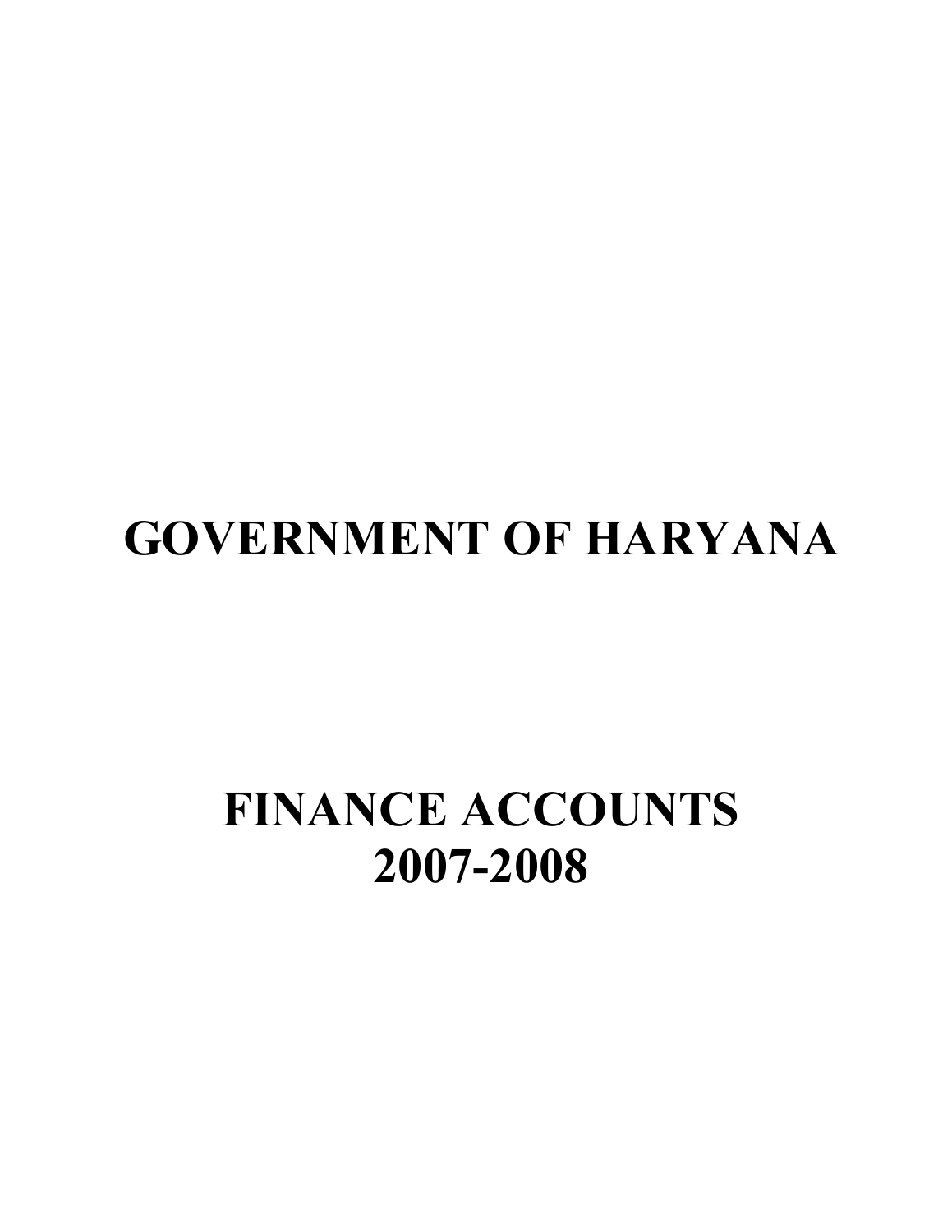## **GOVERNMENT OF HARYANA**

## **FINANCE ACCOUNTS 20072008**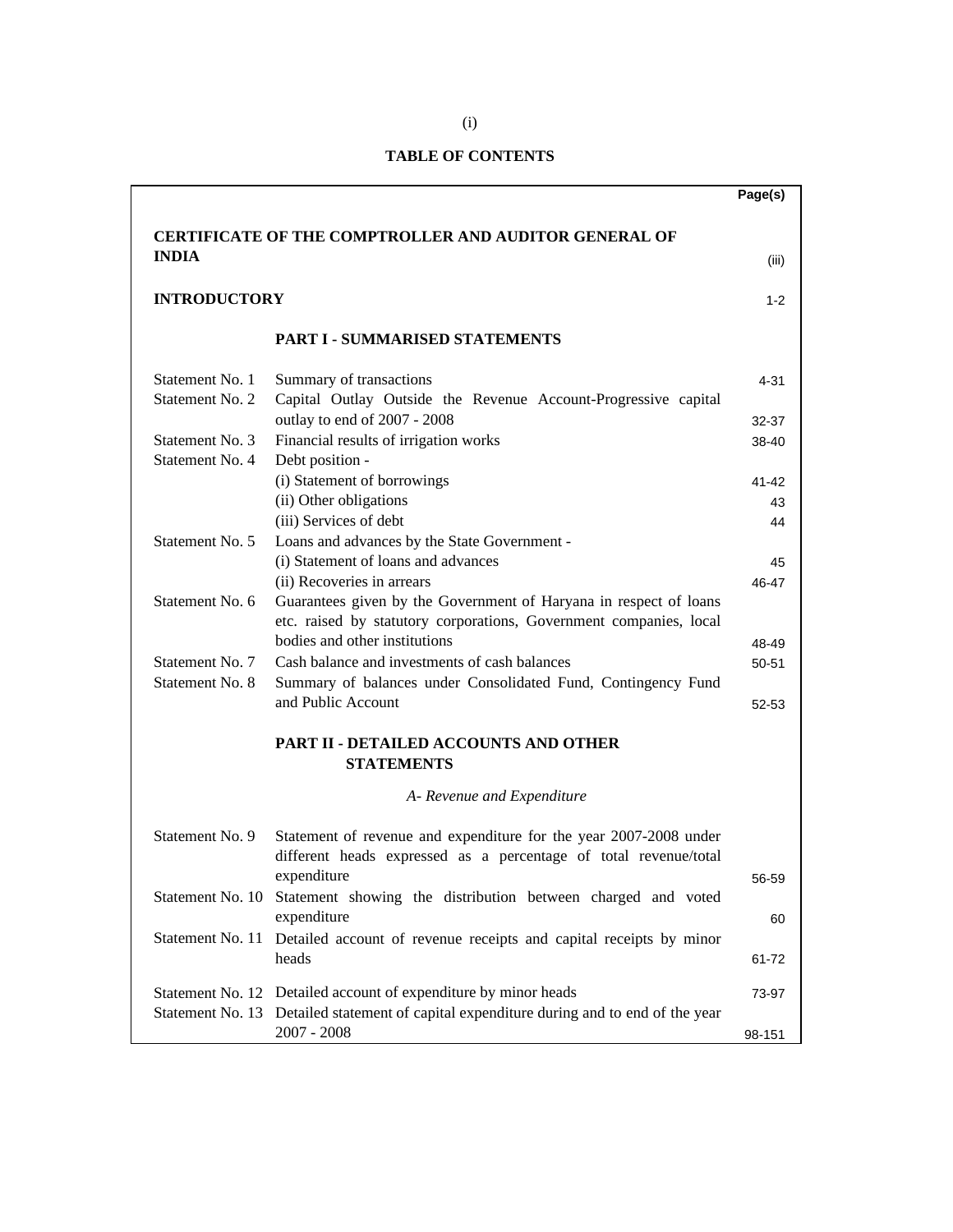|  | <b>TABLE OF CONTENTS</b> |
|--|--------------------------|
|--|--------------------------|

|                     |                                                                                                                                                      | Page(s)  |
|---------------------|------------------------------------------------------------------------------------------------------------------------------------------------------|----------|
| <b>INDIA</b>        | <b>CERTIFICATE OF THE COMPTROLLER AND AUDITOR GENERAL OF</b>                                                                                         |          |
|                     |                                                                                                                                                      | (iii)    |
| <b>INTRODUCTORY</b> |                                                                                                                                                      | $1 - 2$  |
|                     | PART I - SUMMARISED STATEMENTS                                                                                                                       |          |
| Statement No. 1     | Summary of transactions                                                                                                                              | $4 - 31$ |
| Statement No. 2     | Capital Outlay Outside the Revenue Account-Progressive capital                                                                                       |          |
|                     | outlay to end of 2007 - 2008                                                                                                                         | 32-37    |
| Statement No. 3     | Financial results of irrigation works                                                                                                                | 38-40    |
| Statement No. 4     | Debt position -                                                                                                                                      |          |
|                     | (i) Statement of borrowings<br>(ii) Other obligations                                                                                                | 41-42    |
|                     | (iii) Services of debt                                                                                                                               | 43<br>44 |
| Statement No. 5     | Loans and advances by the State Government -                                                                                                         |          |
|                     | (i) Statement of loans and advances                                                                                                                  | 45       |
|                     | (ii) Recoveries in arrears                                                                                                                           | 46-47    |
| Statement No. 6     | Guarantees given by the Government of Haryana in respect of loans<br>etc. raised by statutory corporations, Government companies, local              |          |
|                     | bodies and other institutions                                                                                                                        | 48-49    |
| Statement No. 7     | Cash balance and investments of cash balances                                                                                                        | 50-51    |
| Statement No. 8     | Summary of balances under Consolidated Fund, Contingency Fund                                                                                        |          |
|                     | and Public Account                                                                                                                                   | 52-53    |
|                     | PART II - DETAILED ACCOUNTS AND OTHER                                                                                                                |          |
|                     | <b>STATEMENTS</b>                                                                                                                                    |          |
|                     | A- Revenue and Expenditure                                                                                                                           |          |
| Statement No. 9     | Statement of revenue and expenditure for the year 2007-2008 under<br>different heads expressed as a percentage of total revenue/total<br>expenditure | 56-59    |
|                     | Statement No. 10 Statement showing the distribution between charged and voted<br>expenditure                                                         | 60       |
| Statement No. 11    | Detailed account of revenue receipts and capital receipts by minor<br>heads                                                                          |          |
|                     |                                                                                                                                                      | 61-72    |
|                     | Statement No. 12 Detailed account of expenditure by minor heads                                                                                      | 73-97    |
|                     | Statement No. 13 Detailed statement of capital expenditure during and to end of the year<br>$2007 - 2008$                                            | 98-151   |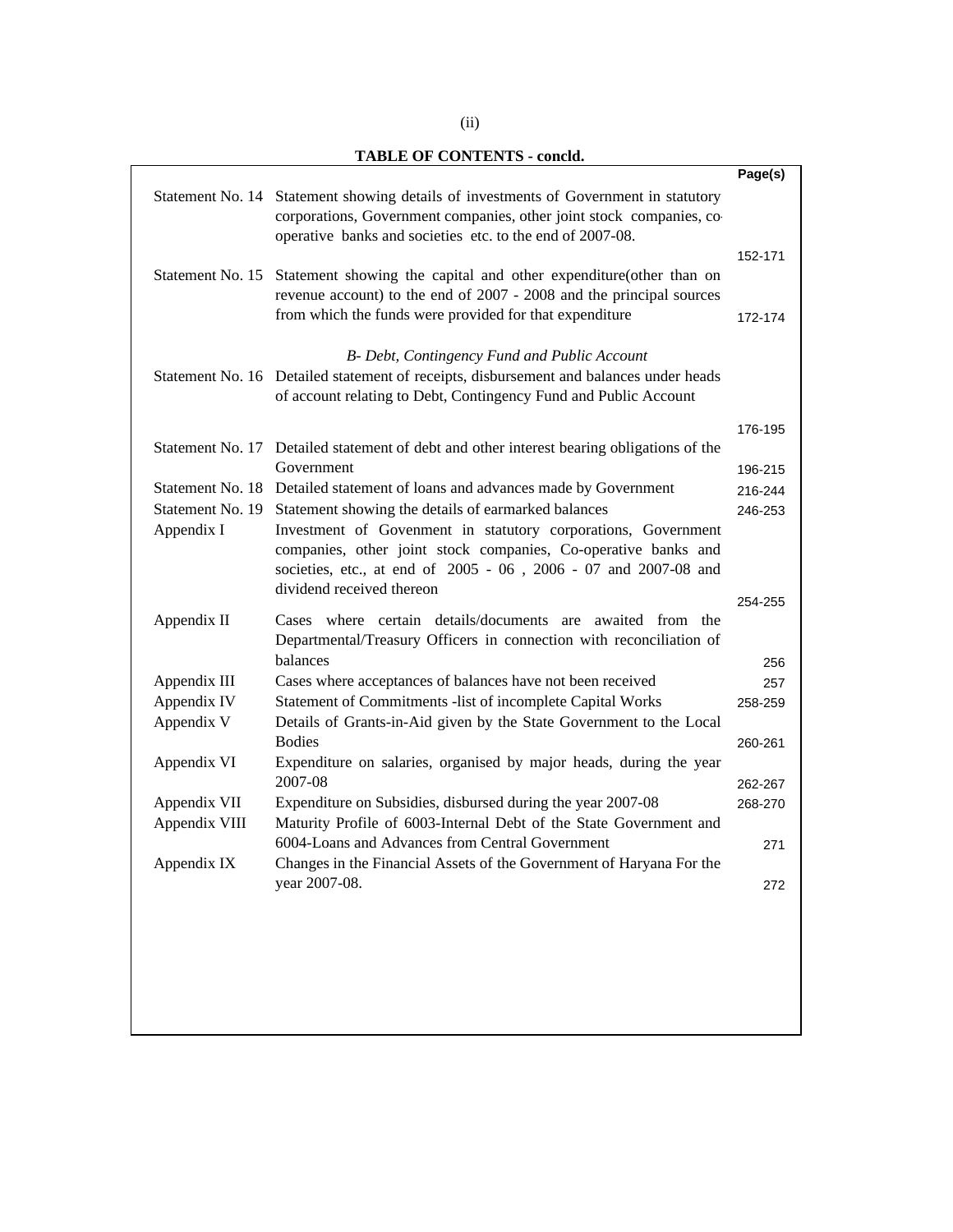**TABLE OF CONTENTS - concld.**

|                  |                                                                                                                                                                                                          | Page(s) |
|------------------|----------------------------------------------------------------------------------------------------------------------------------------------------------------------------------------------------------|---------|
| Statement No. 14 | Statement showing details of investments of Government in statutory<br>corporations, Government companies, other joint stock companies, co-<br>operative banks and societies etc. to the end of 2007-08. |         |
|                  |                                                                                                                                                                                                          | 152-171 |
| Statement No. 15 | Statement showing the capital and other expenditure(other than on<br>revenue account) to the end of 2007 - 2008 and the principal sources<br>from which the funds were provided for that expenditure     | 172-174 |
|                  |                                                                                                                                                                                                          |         |
|                  | B- Debt, Contingency Fund and Public Account                                                                                                                                                             |         |
|                  | Statement No. 16 Detailed statement of receipts, disbursement and balances under heads<br>of account relating to Debt, Contingency Fund and Public Account                                               |         |
|                  |                                                                                                                                                                                                          | 176-195 |
|                  | Statement No. 17 Detailed statement of debt and other interest bearing obligations of the                                                                                                                |         |
|                  | Government                                                                                                                                                                                               | 196-215 |
|                  | Statement No. 18 Detailed statement of loans and advances made by Government                                                                                                                             | 216-244 |
| Statement No. 19 | Statement showing the details of earmarked balances                                                                                                                                                      | 246-253 |
| Appendix I       | Investment of Govenment in statutory corporations, Government                                                                                                                                            |         |
|                  | companies, other joint stock companies, Co-operative banks and                                                                                                                                           |         |
|                  | societies, etc., at end of 2005 - 06, 2006 - 07 and 2007-08 and                                                                                                                                          |         |
|                  | dividend received thereon                                                                                                                                                                                | 254-255 |
| Appendix II      | Cases where certain details/documents are awaited from the                                                                                                                                               |         |
|                  | Departmental/Treasury Officers in connection with reconciliation of                                                                                                                                      |         |
|                  | balances                                                                                                                                                                                                 | 256     |
| Appendix III     | Cases where acceptances of balances have not been received                                                                                                                                               | 257     |
| Appendix IV      | Statement of Commitments -list of incomplete Capital Works                                                                                                                                               | 258-259 |
| Appendix V       | Details of Grants-in-Aid given by the State Government to the Local                                                                                                                                      |         |
|                  | <b>Bodies</b>                                                                                                                                                                                            | 260-261 |
| Appendix VI      | Expenditure on salaries, organised by major heads, during the year                                                                                                                                       |         |
|                  | 2007-08                                                                                                                                                                                                  | 262-267 |
| Appendix VII     | Expenditure on Subsidies, disbursed during the year 2007-08                                                                                                                                              | 268-270 |
| Appendix VIII    | Maturity Profile of 6003-Internal Debt of the State Government and                                                                                                                                       |         |
|                  | 6004-Loans and Advances from Central Government                                                                                                                                                          | 271     |
| Appendix IX      | Changes in the Financial Assets of the Government of Haryana For the                                                                                                                                     |         |
|                  | year 2007-08.                                                                                                                                                                                            | 272     |
|                  |                                                                                                                                                                                                          |         |
|                  |                                                                                                                                                                                                          |         |
|                  |                                                                                                                                                                                                          |         |
|                  |                                                                                                                                                                                                          |         |
|                  |                                                                                                                                                                                                          |         |
|                  |                                                                                                                                                                                                          |         |
|                  |                                                                                                                                                                                                          |         |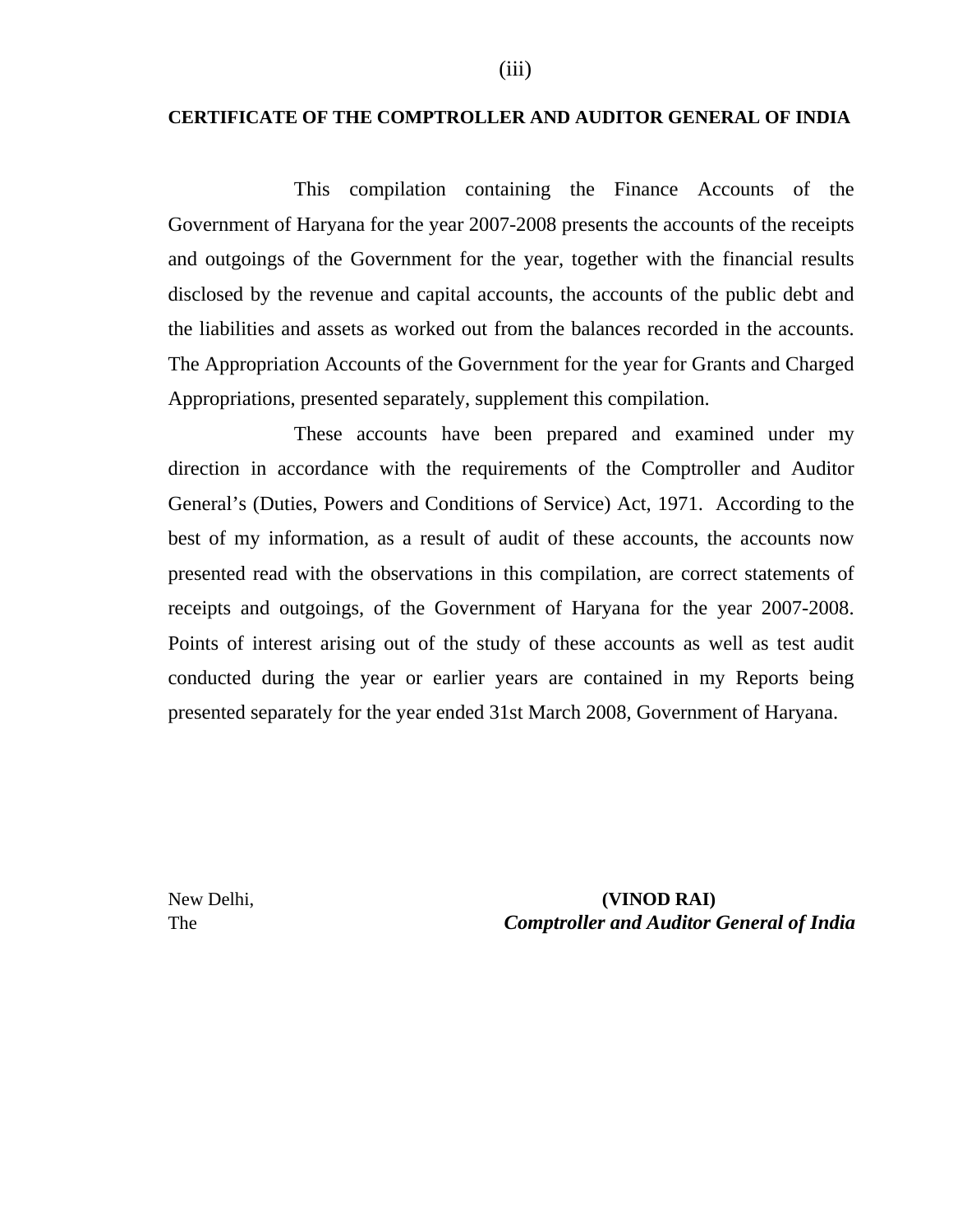### **CERTIFICATE OF THE COMPTROLLER AND AUDITOR GENERAL OF INDIA**

This compilation containing the Finance Accounts of the Government of Haryana for the year 2007-2008 presents the accounts of the receipts and outgoings of the Government for the year, together with the financial results disclosed by the revenue and capital accounts, the accounts of the public debt and the liabilities and assets as worked out from the balances recorded in the accounts. The Appropriation Accounts of the Government for the year for Grants and Charged Appropriations, presented separately, supplement this compilation.

These accounts have been prepared and examined under my direction in accordance with the requirements of the Comptroller and Auditor General's (Duties, Powers and Conditions of Service) Act, 1971. According to the best of my information, as a result of audit of these accounts, the accounts now presented read with the observations in this compilation, are correct statements of receipts and outgoings, of the Government of Haryana for the year 2007-2008. Points of interest arising out of the study of these accounts as well as test audit conducted during the year or earlier years are contained in my Reports being presented separately for the year ended 31st March 2008, Government of Haryana.

New Delhi, **(VINOD RAI)**  The *Comptroller and Auditor General of India*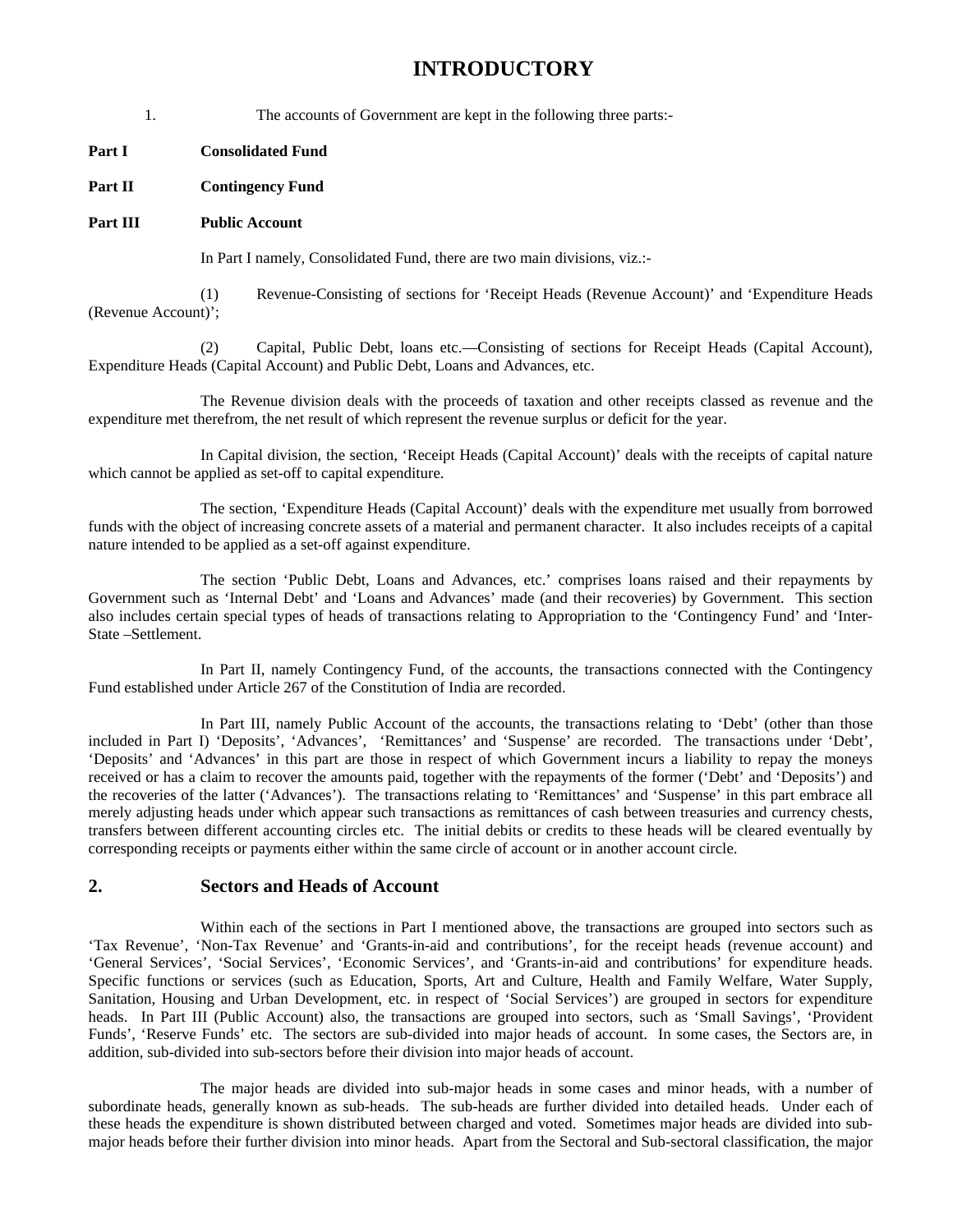### **INTRODUCTORY**

1. The accounts of Government are kept in the following three parts:-

- **Part I Consolidated Fund**
- **Part II Contingency Fund**

#### **Part III Public Account**

In Part I namely, Consolidated Fund, there are two main divisions, viz.:-

 (1) Revenue-Consisting of sections for 'Receipt Heads (Revenue Account)' and 'Expenditure Heads (Revenue Account)';

 (2) Capital, Public Debt, loans etc.—Consisting of sections for Receipt Heads (Capital Account), Expenditure Heads (Capital Account) and Public Debt, Loans and Advances, etc.

 The Revenue division deals with the proceeds of taxation and other receipts classed as revenue and the expenditure met therefrom, the net result of which represent the revenue surplus or deficit for the year.

 In Capital division, the section, 'Receipt Heads (Capital Account)' deals with the receipts of capital nature which cannot be applied as set-off to capital expenditure.

 The section, 'Expenditure Heads (Capital Account)' deals with the expenditure met usually from borrowed funds with the object of increasing concrete assets of a material and permanent character. It also includes receipts of a capital nature intended to be applied as a set-off against expenditure.

 The section 'Public Debt, Loans and Advances, etc.' comprises loans raised and their repayments by Government such as 'Internal Debt' and 'Loans and Advances' made (and their recoveries) by Government. This section also includes certain special types of heads of transactions relating to Appropriation to the 'Contingency Fund' and 'Inter-State –Settlement.

 In Part II, namely Contingency Fund, of the accounts, the transactions connected with the Contingency Fund established under Article 267 of the Constitution of India are recorded.

In Part III, namely Public Account of the accounts, the transactions relating to 'Debt' (other than those included in Part I) 'Deposits', 'Advances', 'Remittances' and 'Suspense' are recorded. The transactions under 'Debt', 'Deposits' and 'Advances' in this part are those in respect of which Government incurs a liability to repay the moneys received or has a claim to recover the amounts paid, together with the repayments of the former ('Debt' and 'Deposits') and the recoveries of the latter ('Advances'). The transactions relating to 'Remittances' and 'Suspense' in this part embrace all merely adjusting heads under which appear such transactions as remittances of cash between treasuries and currency chests, transfers between different accounting circles etc. The initial debits or credits to these heads will be cleared eventually by corresponding receipts or payments either within the same circle of account or in another account circle.

### **2. Sectors and Heads of Account**

 Within each of the sections in Part I mentioned above, the transactions are grouped into sectors such as 'Tax Revenue', 'Non-Tax Revenue' and 'Grants-in-aid and contributions', for the receipt heads (revenue account) and 'General Services', 'Social Services', 'Economic Services', and 'Grants-in-aid and contributions' for expenditure heads. Specific functions or services (such as Education, Sports, Art and Culture, Health and Family Welfare, Water Supply, Sanitation, Housing and Urban Development, etc. in respect of 'Social Services') are grouped in sectors for expenditure heads. In Part III (Public Account) also, the transactions are grouped into sectors, such as 'Small Savings', 'Provident Funds', 'Reserve Funds' etc. The sectors are sub-divided into major heads of account. In some cases, the Sectors are, in addition, sub-divided into sub-sectors before their division into major heads of account.

 The major heads are divided into sub-major heads in some cases and minor heads, with a number of subordinate heads, generally known as sub-heads. The sub-heads are further divided into detailed heads. Under each of these heads the expenditure is shown distributed between charged and voted. Sometimes major heads are divided into submajor heads before their further division into minor heads. Apart from the Sectoral and Sub-sectoral classification, the major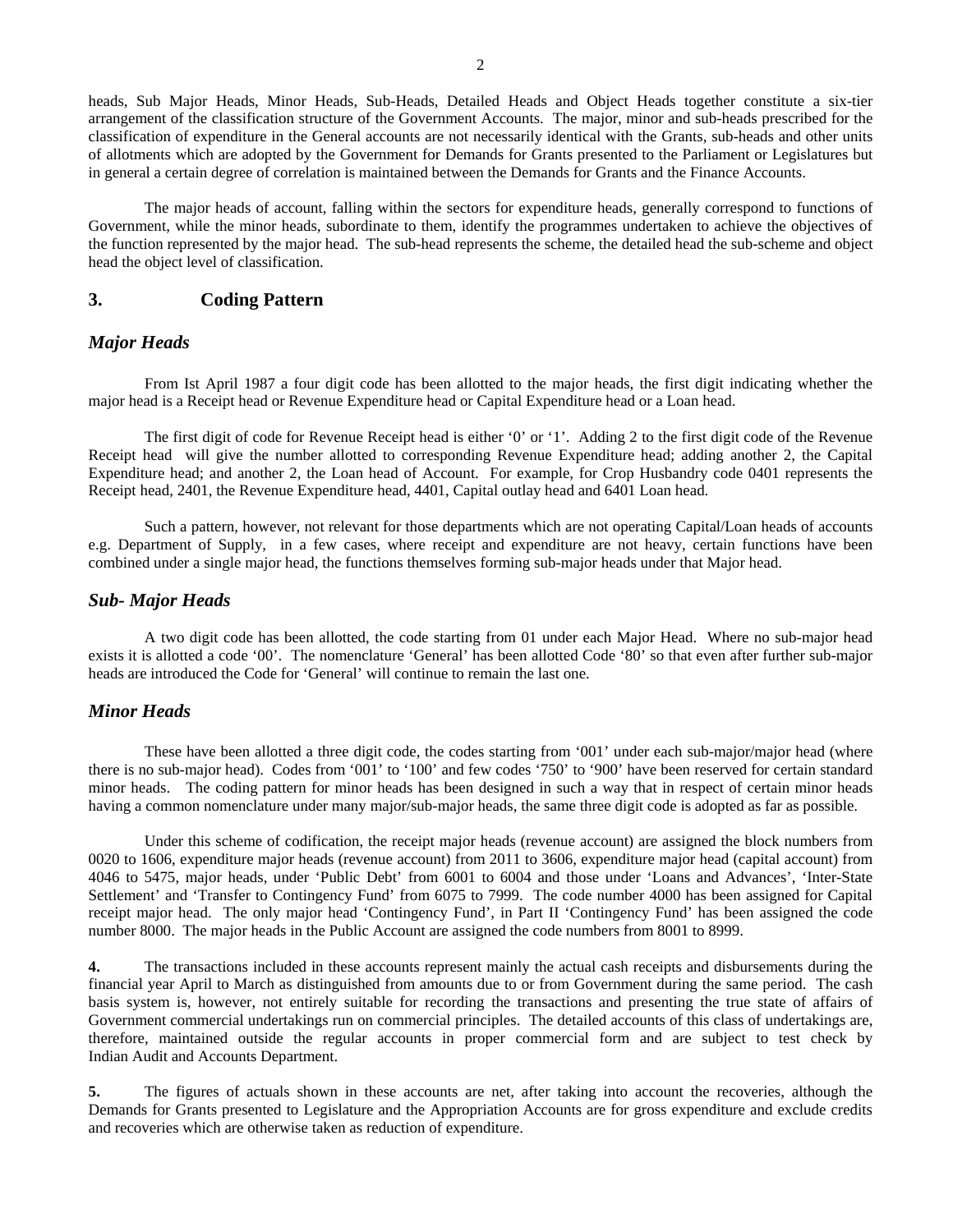heads, Sub Major Heads, Minor Heads, Sub-Heads, Detailed Heads and Object Heads together constitute a six-tier arrangement of the classification structure of the Government Accounts. The major, minor and sub-heads prescribed for the classification of expenditure in the General accounts are not necessarily identical with the Grants, sub-heads and other units of allotments which are adopted by the Government for Demands for Grants presented to the Parliament or Legislatures but in general a certain degree of correlation is maintained between the Demands for Grants and the Finance Accounts.

 The major heads of account, falling within the sectors for expenditure heads, generally correspond to functions of Government, while the minor heads, subordinate to them, identify the programmes undertaken to achieve the objectives of the function represented by the major head. The sub-head represents the scheme, the detailed head the sub-scheme and object head the object level of classification.

### **3. Coding Pattern**

### *Major Heads*

From Ist April 1987 a four digit code has been allotted to the major heads, the first digit indicating whether the major head is a Receipt head or Revenue Expenditure head or Capital Expenditure head or a Loan head.

 The first digit of code for Revenue Receipt head is either '0' or '1'. Adding 2 to the first digit code of the Revenue Receipt head will give the number allotted to corresponding Revenue Expenditure head; adding another 2, the Capital Expenditure head; and another 2, the Loan head of Account. For example, for Crop Husbandry code 0401 represents the Receipt head, 2401, the Revenue Expenditure head, 4401, Capital outlay head and 6401 Loan head.

 Such a pattern, however, not relevant for those departments which are not operating Capital/Loan heads of accounts e.g. Department of Supply, in a few cases, where receipt and expenditure are not heavy, certain functions have been combined under a single major head, the functions themselves forming sub-major heads under that Major head.

#### *Sub- Major Heads*

 A two digit code has been allotted, the code starting from 01 under each Major Head. Where no sub-major head exists it is allotted a code '00'. The nomenclature 'General' has been allotted Code '80' so that even after further sub-major heads are introduced the Code for 'General' will continue to remain the last one.

### *Minor Heads*

 These have been allotted a three digit code, the codes starting from '001' under each sub-major/major head (where there is no sub-major head). Codes from '001' to '100' and few codes '750' to '900' have been reserved for certain standard minor heads. The coding pattern for minor heads has been designed in such a way that in respect of certain minor heads having a common nomenclature under many major/sub-major heads, the same three digit code is adopted as far as possible.

 Under this scheme of codification, the receipt major heads (revenue account) are assigned the block numbers from 0020 to 1606, expenditure major heads (revenue account) from 2011 to 3606, expenditure major head (capital account) from 4046 to 5475, major heads, under 'Public Debt' from 6001 to 6004 and those under 'Loans and Advances', 'Inter-State Settlement' and 'Transfer to Contingency Fund' from 6075 to 7999. The code number 4000 has been assigned for Capital receipt major head. The only major head 'Contingency Fund', in Part II 'Contingency Fund' has been assigned the code number 8000. The major heads in the Public Account are assigned the code numbers from 8001 to 8999.

**4.** The transactions included in these accounts represent mainly the actual cash receipts and disbursements during the financial year April to March as distinguished from amounts due to or from Government during the same period. The cash basis system is, however, not entirely suitable for recording the transactions and presenting the true state of affairs of Government commercial undertakings run on commercial principles. The detailed accounts of this class of undertakings are, therefore, maintained outside the regular accounts in proper commercial form and are subject to test check by Indian Audit and Accounts Department.

**5.** The figures of actuals shown in these accounts are net, after taking into account the recoveries, although the Demands for Grants presented to Legislature and the Appropriation Accounts are for gross expenditure and exclude credits and recoveries which are otherwise taken as reduction of expenditure.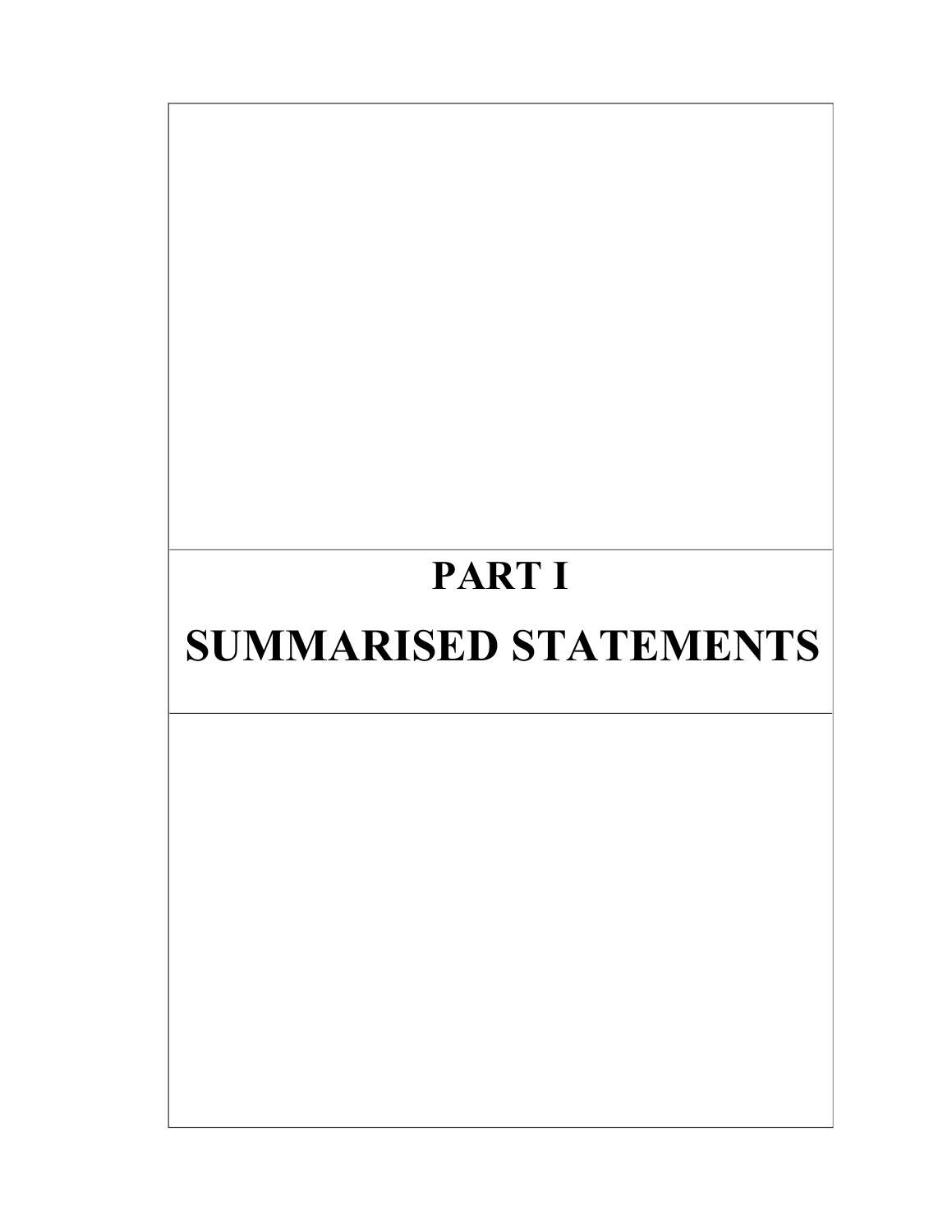## **PART I**

# **SUMMARISED STATEMENTS**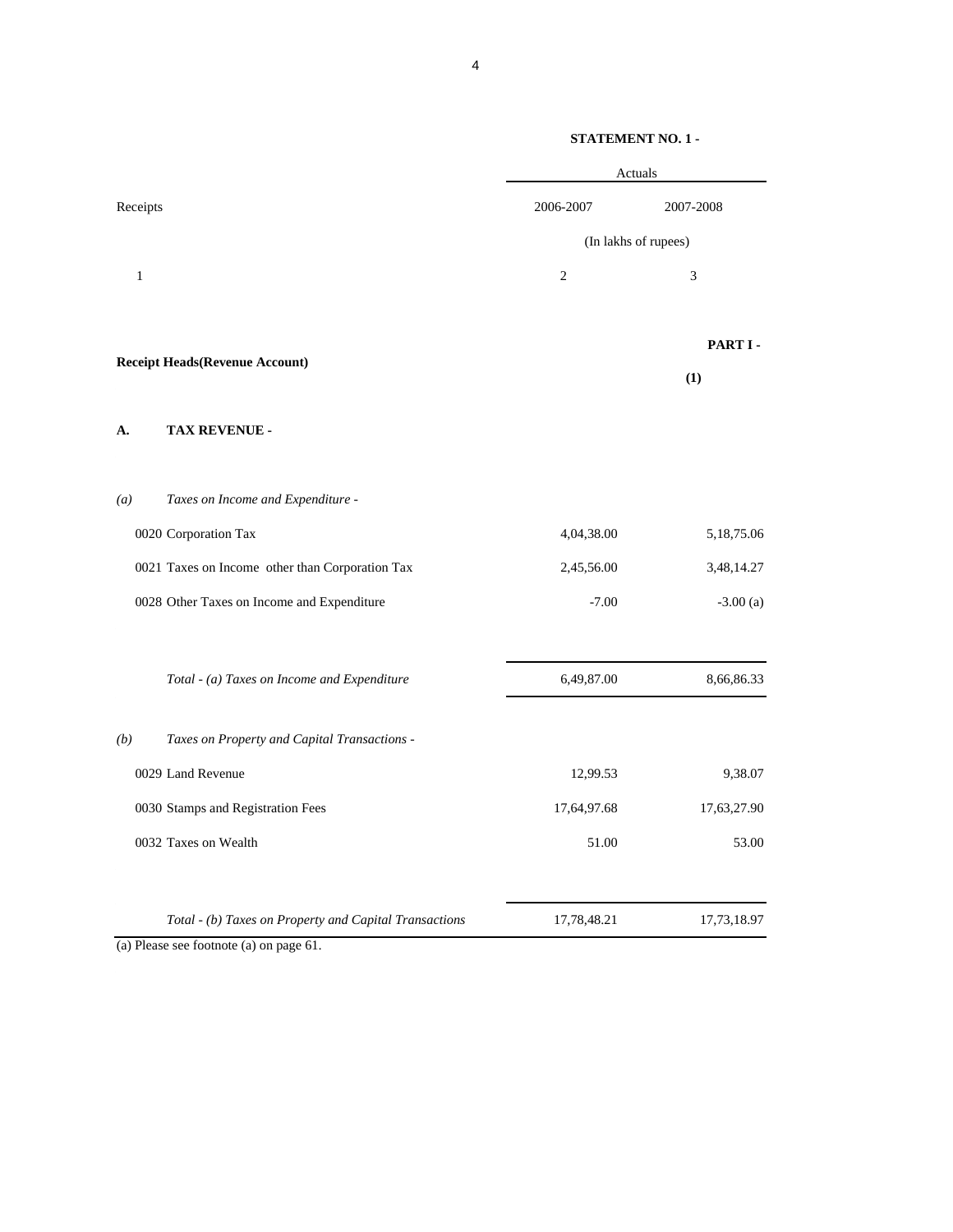### Receipts 2006-2007 2007-2008 1 2 3 **PART I - Receipt Heads(Revenue Account) (1) A. TAX REVENUE -**  *(a) Taxes on Income and Expenditure -*  0020 Corporation Tax  $4,04,38.00$   $5,18,75.06$ 0021 Taxes on Income other than Corporation Tax 2,45,56.00 3,48,14.27 0028 Other Taxes on Income and Expenditure -7.00 -3.00 (a) *Total - (a) Taxes on Income and Expenditure* 6,49,87.00 8,66,86.33 *(b) Taxes on Property and Capital Transactions -*  0029 Land Revenue 12,99.53 9,38.07 0030 Stamps and Registration Fees 17,64,97.68 17,63,27.90 0032 Taxes on Wealth 51.00 53.00 *Total - (b) Taxes on Property and Capital Transactions* 17,78,48.21 17,73,18.97 Actuals (In lakhs of rupees)

#### **STATEMENT NO. 1 -**

(a) Please see footnote (a) on page 61.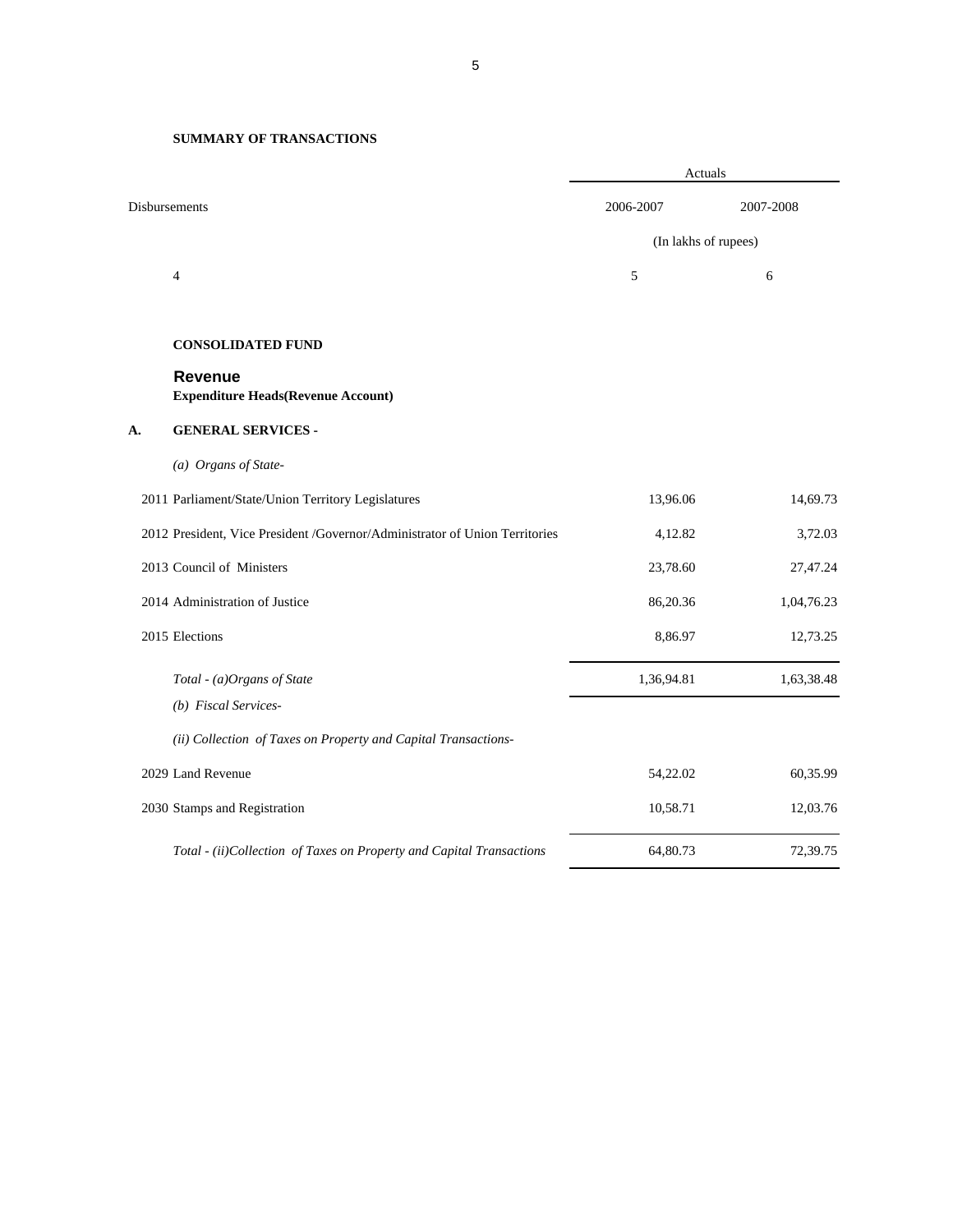5

### **SUMMARY OF TRANSACTIONS**

|    |                                                                             | Actuals              |            |
|----|-----------------------------------------------------------------------------|----------------------|------------|
|    | Disbursements                                                               | 2006-2007            | 2007-2008  |
|    |                                                                             | (In lakhs of rupees) |            |
|    | $\overline{4}$                                                              | 5                    | 6          |
|    | <b>CONSOLIDATED FUND</b>                                                    |                      |            |
|    | <b>Revenue</b><br><b>Expenditure Heads (Revenue Account)</b>                |                      |            |
| A. | <b>GENERAL SERVICES -</b>                                                   |                      |            |
|    | (a) Organs of State-                                                        |                      |            |
|    | 2011 Parliament/State/Union Territory Legislatures                          | 13,96.06             | 14,69.73   |
|    | 2012 President, Vice President /Governor/Administrator of Union Territories | 4,12.82              | 3,72.03    |
|    | 2013 Council of Ministers                                                   | 23,78.60             | 27,47.24   |
|    | 2014 Administration of Justice                                              | 86,20.36             | 1,04,76.23 |
|    | 2015 Elections                                                              | 8,86.97              | 12,73.25   |
|    | Total - (a)Organs of State                                                  | 1,36,94.81           | 1,63,38.48 |
|    | (b) Fiscal Services-                                                        |                      |            |
|    | (ii) Collection of Taxes on Property and Capital Transactions-              |                      |            |
|    | 2029 Land Revenue                                                           | 54,22.02             | 60,35.99   |
|    | 2030 Stamps and Registration                                                | 10,58.71             | 12,03.76   |
|    | Total - (ii)Collection of Taxes on Property and Capital Transactions        | 64,80.73             | 72,39.75   |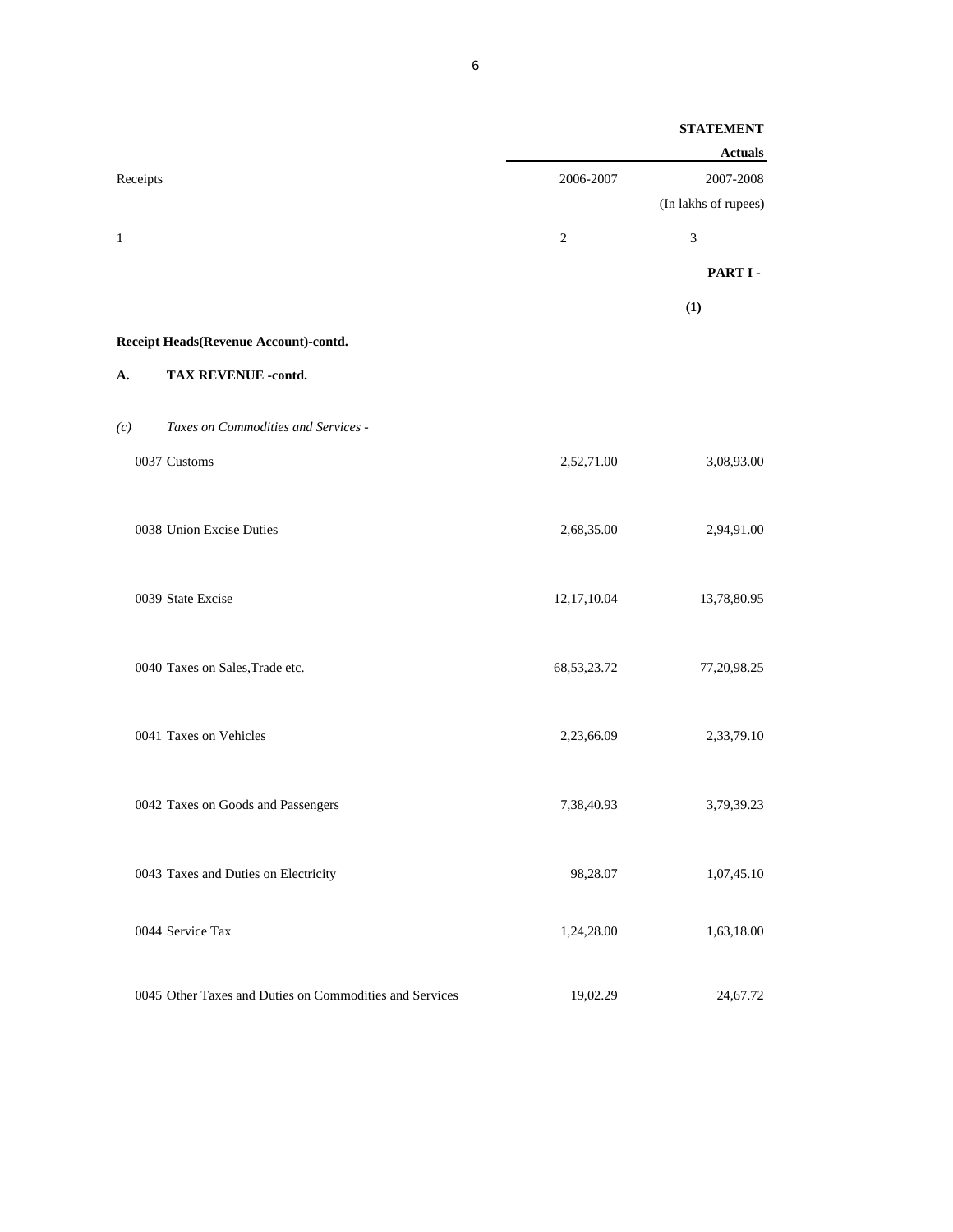Receipts 2006-2007 2007-2008 1 2 3 **PART I - (1) Receipt Heads(Revenue Account)-contd. A. TAX REVENUE -contd.** *(c) Taxes on Commodities and Services -*  0037 Customs 2,52,71.00 3,08,93.00 0038 Union Excise Duties 2,68,35.00 2,94,91.00 0039 State Excise 12,17,10.04 13,78,80.95 0040 Taxes on Sales, Trade etc. 68,53,23.72 77,20,98.25 0041 Taxes on Vehicles 2,23,66.09 2,33,79.10 0042 Taxes on Goods and Passengers 7,38,40.93 3,79,39.23 0043 Taxes and Duties on Electricity 98,28.07 1,07,45.10 0044 Service Tax 1,24,28.00 1,63,18.00 0045 Other Taxes and Duties on Commodities and Services 19,02.29 24,67.72 (In lakhs of rupees) **Actuals**

6

. **STATEMENT**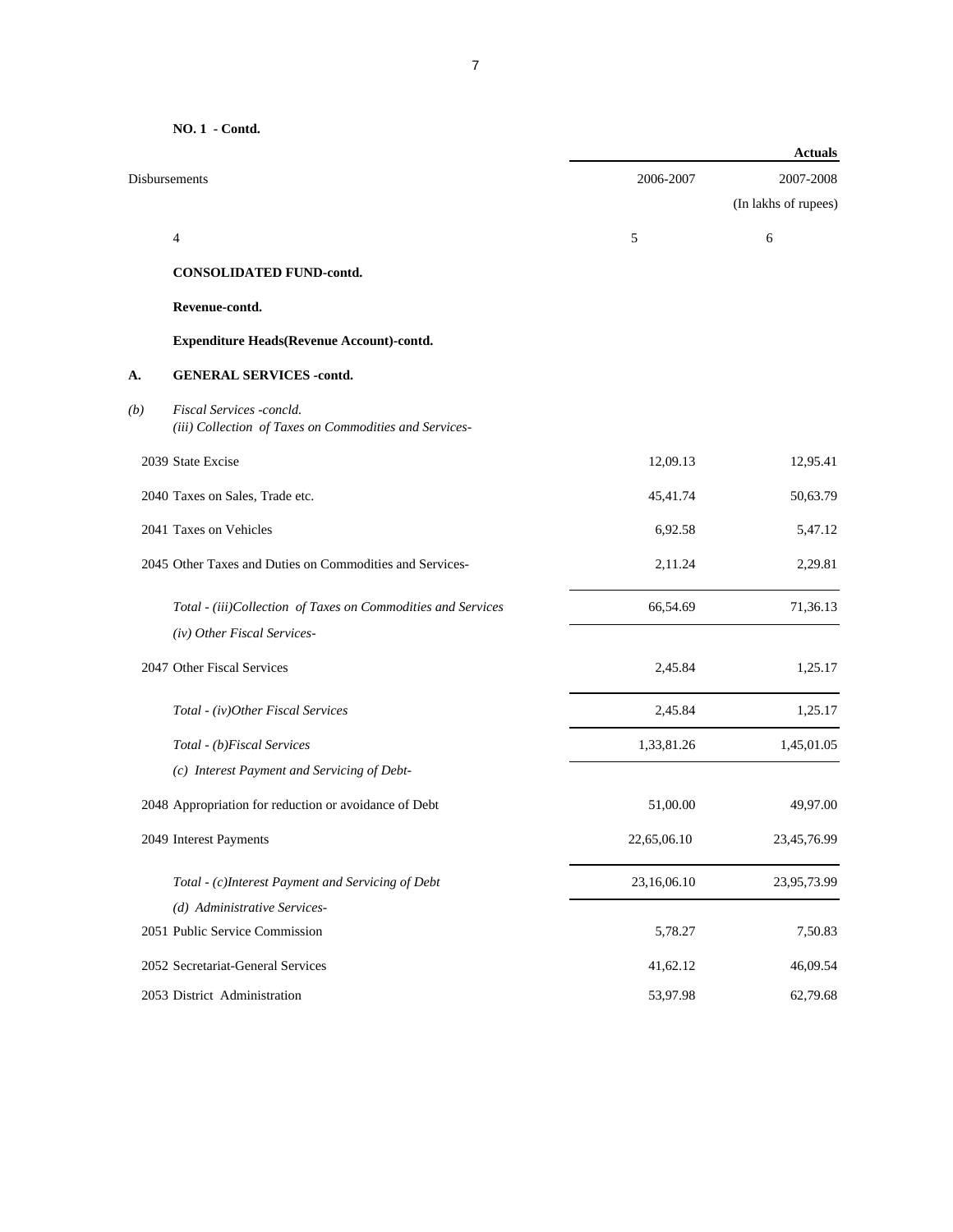|                                                                                           |             | <b>Actuals</b>       |
|-------------------------------------------------------------------------------------------|-------------|----------------------|
| Disbursements                                                                             | 2006-2007   | 2007-2008            |
|                                                                                           |             | (In lakhs of rupees) |
| $\overline{4}$                                                                            | 5           | 6                    |
| <b>CONSOLIDATED FUND-contd.</b>                                                           |             |                      |
| Revenue-contd.                                                                            |             |                      |
| <b>Expenditure Heads (Revenue Account)-contd.</b>                                         |             |                      |
| <b>GENERAL SERVICES -contd.</b><br>A.                                                     |             |                      |
| (b)<br>Fiscal Services -concld.<br>(iii) Collection of Taxes on Commodities and Services- |             |                      |
| 2039 State Excise                                                                         | 12,09.13    | 12,95.41             |
| 2040 Taxes on Sales, Trade etc.                                                           | 45,41.74    | 50,63.79             |
| 2041 Taxes on Vehicles                                                                    | 6,92.58     | 5,47.12              |
| 2045 Other Taxes and Duties on Commodities and Services-                                  | 2,11.24     | 2,29.81              |
| Total - (iii)Collection of Taxes on Commodities and Services                              | 66,54.69    | 71,36.13             |
| (iv) Other Fiscal Services-                                                               |             |                      |
| 2047 Other Fiscal Services                                                                | 2,45.84     | 1,25.17              |
| Total - (iv)Other Fiscal Services                                                         | 2,45.84     | 1,25.17              |
| Total - (b)Fiscal Services                                                                | 1,33,81.26  | 1,45,01.05           |
| (c) Interest Payment and Servicing of Debt-                                               |             |                      |
| 2048 Appropriation for reduction or avoidance of Debt                                     | 51,00.00    | 49,97.00             |
| 2049 Interest Payments                                                                    | 22,65,06.10 | 23,45,76.99          |
| Total - (c)Interest Payment and Servicing of Debt                                         | 23,16,06.10 | 23,95,73.99          |
| (d) Administrative Services-                                                              |             |                      |
| 2051 Public Service Commission                                                            | 5,78.27     | 7,50.83              |
| 2052 Secretariat-General Services                                                         | 41,62.12    | 46,09.54             |
| 2053 District Administration                                                              | 53,97.98    | 62,79.68             |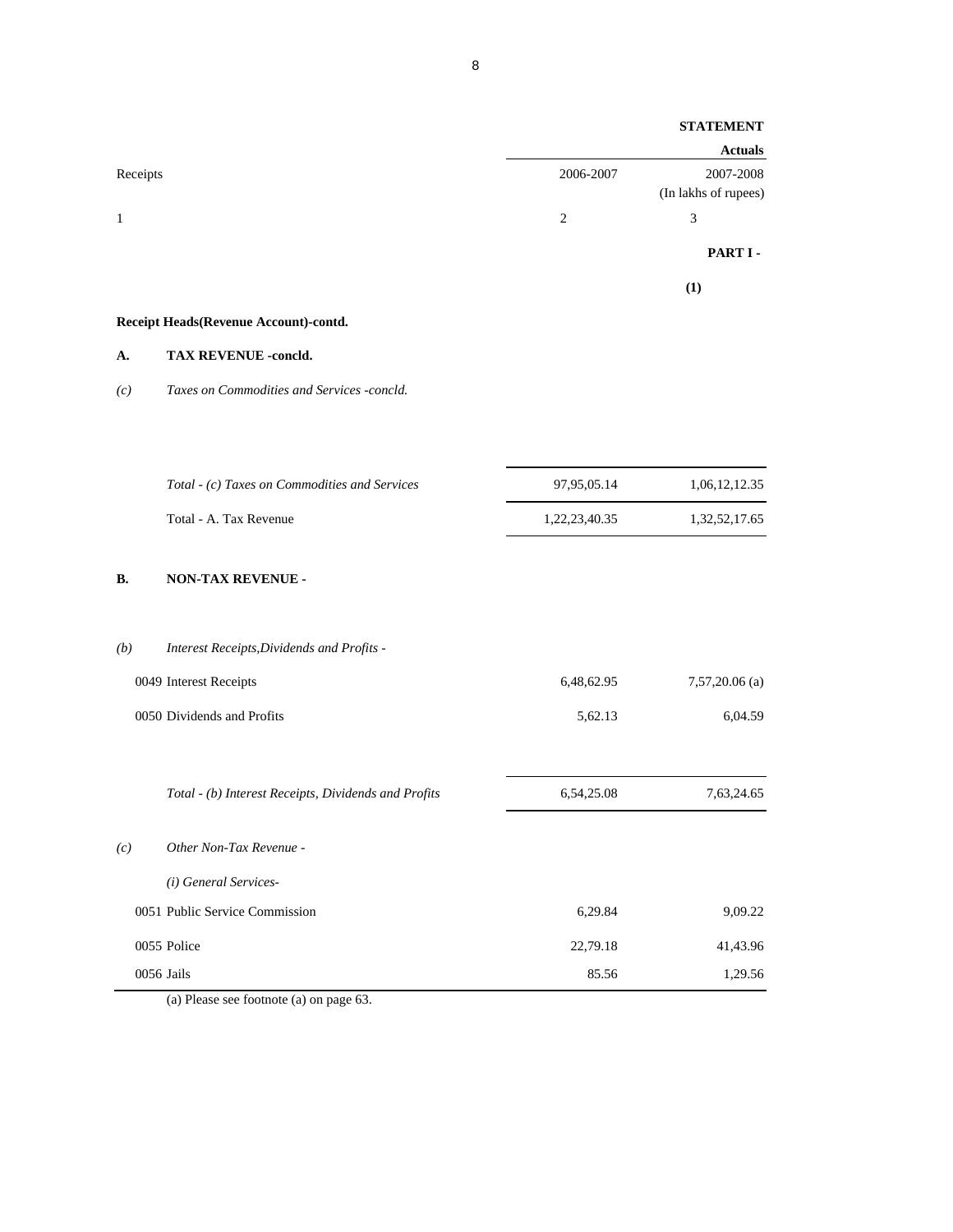|              |                                                      |                | <b>STATEMENT</b>                  |
|--------------|------------------------------------------------------|----------------|-----------------------------------|
|              |                                                      |                | <b>Actuals</b>                    |
| Receipts     |                                                      | 2006-2007      | 2007-2008<br>(In lakhs of rupees) |
| $\mathbf{1}$ |                                                      | $\mathfrak{2}$ | 3                                 |
|              |                                                      |                | PART I-                           |
|              |                                                      |                | (1)                               |
|              | Receipt Heads(Revenue Account)-contd.                |                |                                   |
| A.           | TAX REVENUE -concld.                                 |                |                                   |
| (c)          | Taxes on Commodities and Services -concld.           |                |                                   |
|              |                                                      |                |                                   |
|              |                                                      |                |                                   |
|              | Total - (c) Taxes on Commodities and Services        | 97,95,05.14    | 1,06,12,12.35                     |
|              | Total - A. Tax Revenue                               | 1,22,23,40.35  | 1,32,52,17.65                     |
|              |                                                      |                |                                   |
| В.           | NON-TAX REVENUE -                                    |                |                                   |
| (b)          | Interest Receipts, Dividends and Profits -           |                |                                   |
|              | 0049 Interest Receipts                               | 6,48,62.95     | 7,57,20.06 (a)                    |
|              | 0050 Dividends and Profits                           | 5,62.13        | 6,04.59                           |
|              |                                                      |                |                                   |
|              | Total - (b) Interest Receipts, Dividends and Profits | 6,54,25.08     | 7,63,24.65                        |
|              |                                                      |                |                                   |
| (c)          | Other Non-Tax Revenue -                              |                |                                   |
|              | (i) General Services-                                |                |                                   |
|              | 0051 Public Service Commission                       | 6,29.84        | 9,09.22                           |
|              | 0055 Police                                          | 22,79.18       | 41,43.96                          |
|              | 0056 Jails                                           | 85.56          | 1,29.56                           |

(a) Please see footnote (a) on page 63.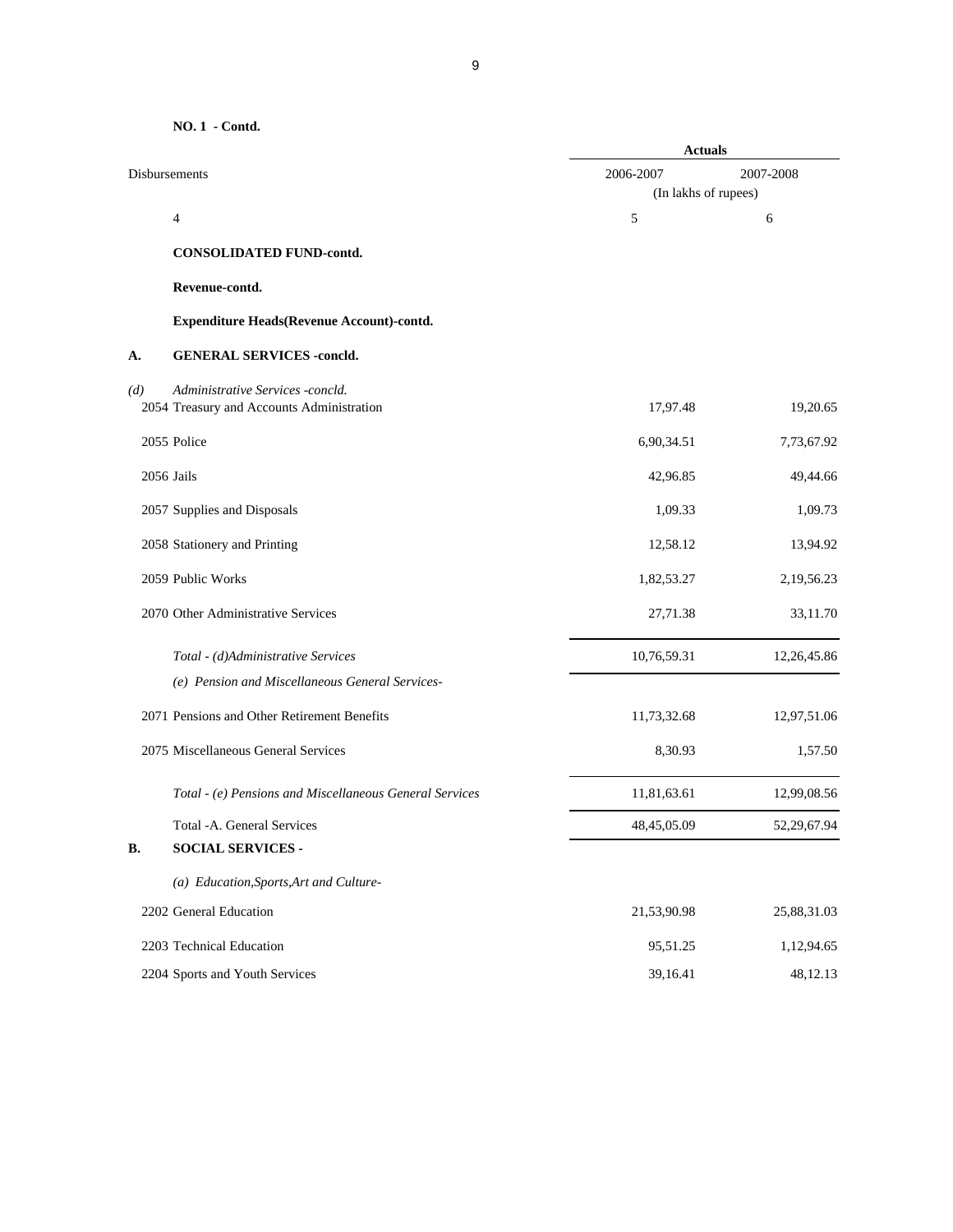|                                                                                      | <b>Actuals</b>       |             |
|--------------------------------------------------------------------------------------|----------------------|-------------|
| Disbursements                                                                        | 2006-2007            | 2007-2008   |
|                                                                                      | (In lakhs of rupees) |             |
| 4                                                                                    | 5                    | 6           |
| <b>CONSOLIDATED FUND-contd.</b>                                                      |                      |             |
| Revenue-contd.                                                                       |                      |             |
| <b>Expenditure Heads (Revenue Account)-contd.</b>                                    |                      |             |
| <b>GENERAL SERVICES -concld.</b><br>А.                                               |                      |             |
| Administrative Services -concld.<br>(d)<br>2054 Treasury and Accounts Administration | 17,97.48             | 19,20.65    |
| 2055 Police                                                                          | 6,90,34.51           | 7,73,67.92  |
| 2056 Jails                                                                           | 42,96.85             | 49,44.66    |
| 2057 Supplies and Disposals                                                          | 1,09.33              | 1,09.73     |
| 2058 Stationery and Printing                                                         | 12,58.12             | 13,94.92    |
| 2059 Public Works                                                                    | 1,82,53.27           | 2,19,56.23  |
| 2070 Other Administrative Services                                                   | 27,71.38             | 33,11.70    |
| Total - (d)Administrative Services                                                   | 10,76,59.31          | 12,26,45.86 |
| (e) Pension and Miscellaneous General Services-                                      |                      |             |
| 2071 Pensions and Other Retirement Benefits                                          | 11,73,32.68          | 12,97,51.06 |
| 2075 Miscellaneous General Services                                                  | 8,30.93              | 1,57.50     |
| Total - (e) Pensions and Miscellaneous General Services                              | 11,81,63.61          | 12,99,08.56 |
| Total - A. General Services                                                          | 48, 45, 05. 09       | 52,29,67.94 |
| <b>SOCIAL SERVICES -</b><br><b>B.</b>                                                |                      |             |
| (a) Education, Sports, Art and Culture-                                              |                      |             |
| 2202 General Education                                                               | 21,53,90.98          | 25,88,31.03 |
| 2203 Technical Education                                                             | 95,51.25             | 1,12,94.65  |
| 2204 Sports and Youth Services                                                       | 39,16.41             | 48,12.13    |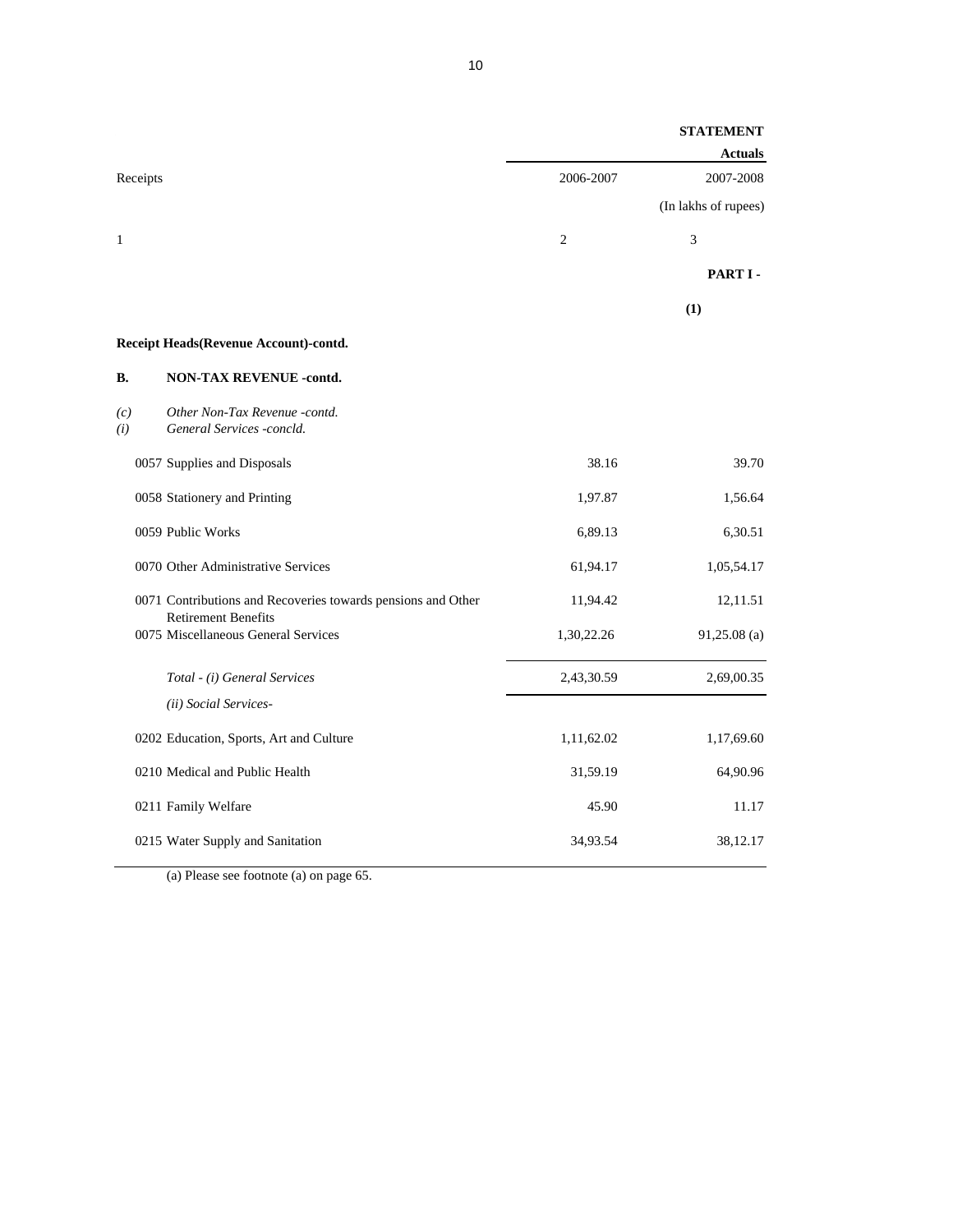|            |                                                                                            |                | <b>STATEMENT</b>     |
|------------|--------------------------------------------------------------------------------------------|----------------|----------------------|
|            |                                                                                            |                | <b>Actuals</b>       |
| Receipts   |                                                                                            | 2006-2007      | 2007-2008            |
|            |                                                                                            |                | (In lakhs of rupees) |
| 1          |                                                                                            | $\overline{c}$ | 3                    |
|            |                                                                                            |                | PART I-              |
|            |                                                                                            |                | (1)                  |
|            | Receipt Heads(Revenue Account)-contd.                                                      |                |                      |
| В.         | <b>NON-TAX REVENUE -contd.</b>                                                             |                |                      |
| (c)<br>(i) | Other Non-Tax Revenue -contd.<br>General Services -concld.                                 |                |                      |
|            | 0057 Supplies and Disposals                                                                | 38.16          | 39.70                |
|            | 0058 Stationery and Printing                                                               | 1,97.87        | 1,56.64              |
|            | 0059 Public Works                                                                          | 6,89.13        | 6,30.51              |
|            | 0070 Other Administrative Services                                                         | 61,94.17       | 1,05,54.17           |
|            | 0071 Contributions and Recoveries towards pensions and Other<br><b>Retirement Benefits</b> | 11,94.42       | 12,11.51             |
|            | 0075 Miscellaneous General Services                                                        | 1,30,22.26     | $91,25.08$ (a)       |
|            | Total - (i) General Services                                                               | 2,43,30.59     | 2,69,00.35           |
|            | (ii) Social Services-                                                                      |                |                      |
|            | 0202 Education, Sports, Art and Culture                                                    | 1,11,62.02     | 1,17,69.60           |
|            | 0210 Medical and Public Health                                                             | 31,59.19       | 64,90.96             |
|            | 0211 Family Welfare                                                                        | 45.90          | 11.17                |
|            | 0215 Water Supply and Sanitation                                                           | 34,93.54       | 38,12.17             |

(a) Please see footnote (a) on page 65.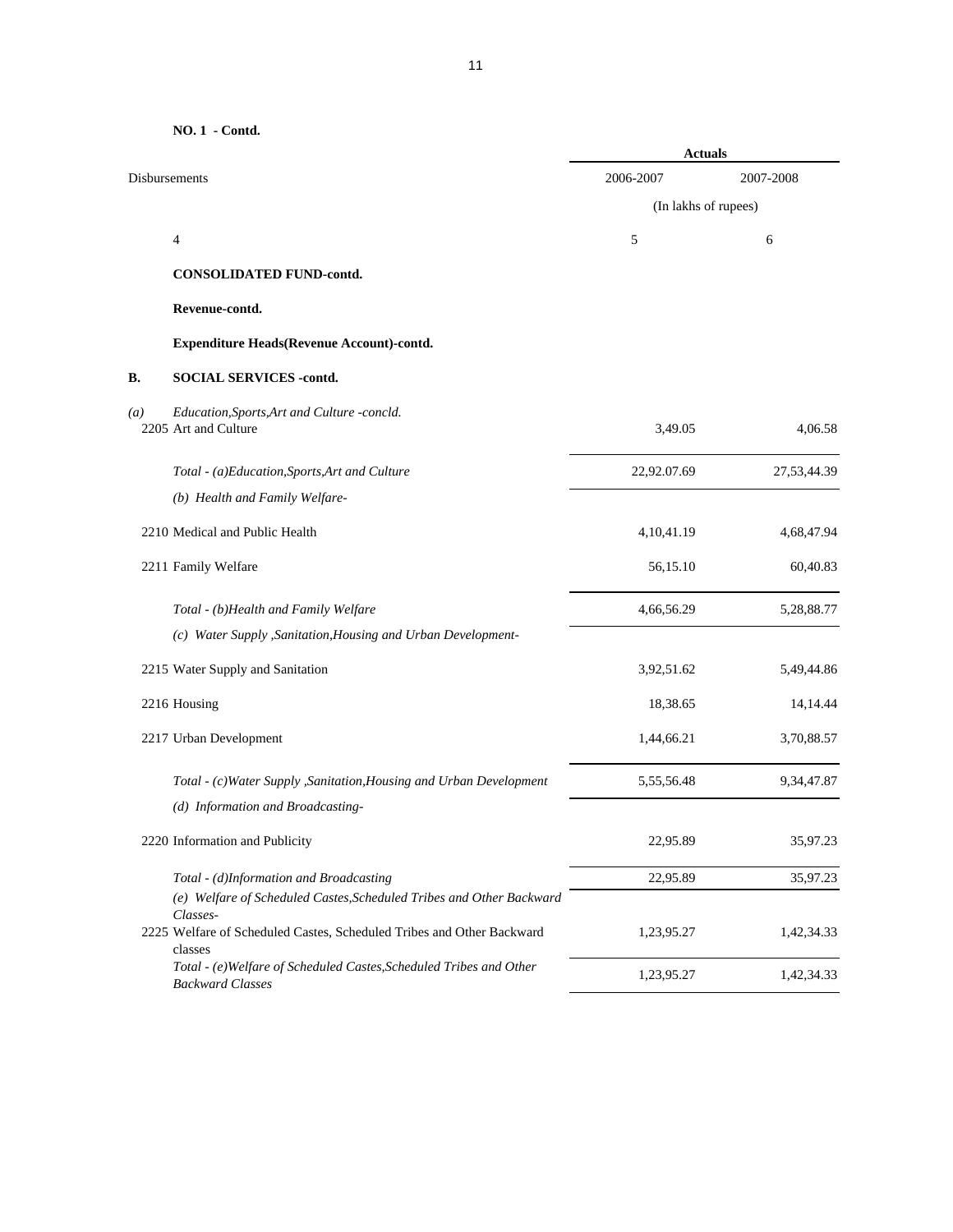|               |                                                                                               | <b>Actuals</b>       |             |
|---------------|-----------------------------------------------------------------------------------------------|----------------------|-------------|
| Disbursements |                                                                                               | 2006-2007            | 2007-2008   |
|               |                                                                                               | (In lakhs of rupees) |             |
|               | 4                                                                                             | 5                    | 6           |
|               | <b>CONSOLIDATED FUND-contd.</b>                                                               |                      |             |
|               | Revenue-contd.                                                                                |                      |             |
|               | Expenditure Heads(Revenue Account)-contd.                                                     |                      |             |
| В.            | <b>SOCIAL SERVICES -contd.</b>                                                                |                      |             |
| (a)           | Education, Sports, Art and Culture -concld.<br>2205 Art and Culture                           | 3,49.05              | 4,06.58     |
|               | Total - (a)Education, Sports, Art and Culture                                                 | 22,92.07.69          | 27,53,44.39 |
|               | (b) Health and Family Welfare-                                                                |                      |             |
|               | 2210 Medical and Public Health                                                                | 4,10,41.19           | 4,68,47.94  |
|               | 2211 Family Welfare                                                                           | 56,15.10             | 60,40.83    |
|               | Total - (b)Health and Family Welfare                                                          | 4,66,56.29           | 5,28,88.77  |
|               | (c) Water Supply , Sanitation, Housing and Urban Development-                                 |                      |             |
|               | 2215 Water Supply and Sanitation                                                              | 3,92,51.62           | 5,49,44.86  |
|               | 2216 Housing                                                                                  | 18,38.65             | 14,14.44    |
|               | 2217 Urban Development                                                                        | 1,44,66.21           | 3,70,88.57  |
|               | Total - (c)Water Supply , Sanitation, Housing and Urban Development                           | 5,55,56.48           | 9,34,47.87  |
|               | (d) Information and Broadcasting-                                                             |                      |             |
|               | 2220 Information and Publicity                                                                | 22,95.89             | 35,97.23    |
|               | Total - (d)Information and Broadcasting                                                       | 22,95.89             | 35,97.23    |
|               | (e) Welfare of Scheduled Castes, Scheduled Tribes and Other Backward                          |                      |             |
|               | Classes-<br>2225 Welfare of Scheduled Castes, Scheduled Tribes and Other Backward<br>classes  | 1,23,95.27           | 1,42,34.33  |
|               | Total - (e)Welfare of Scheduled Castes, Scheduled Tribes and Other<br><b>Backward Classes</b> | 1,23,95.27           | 1,42,34.33  |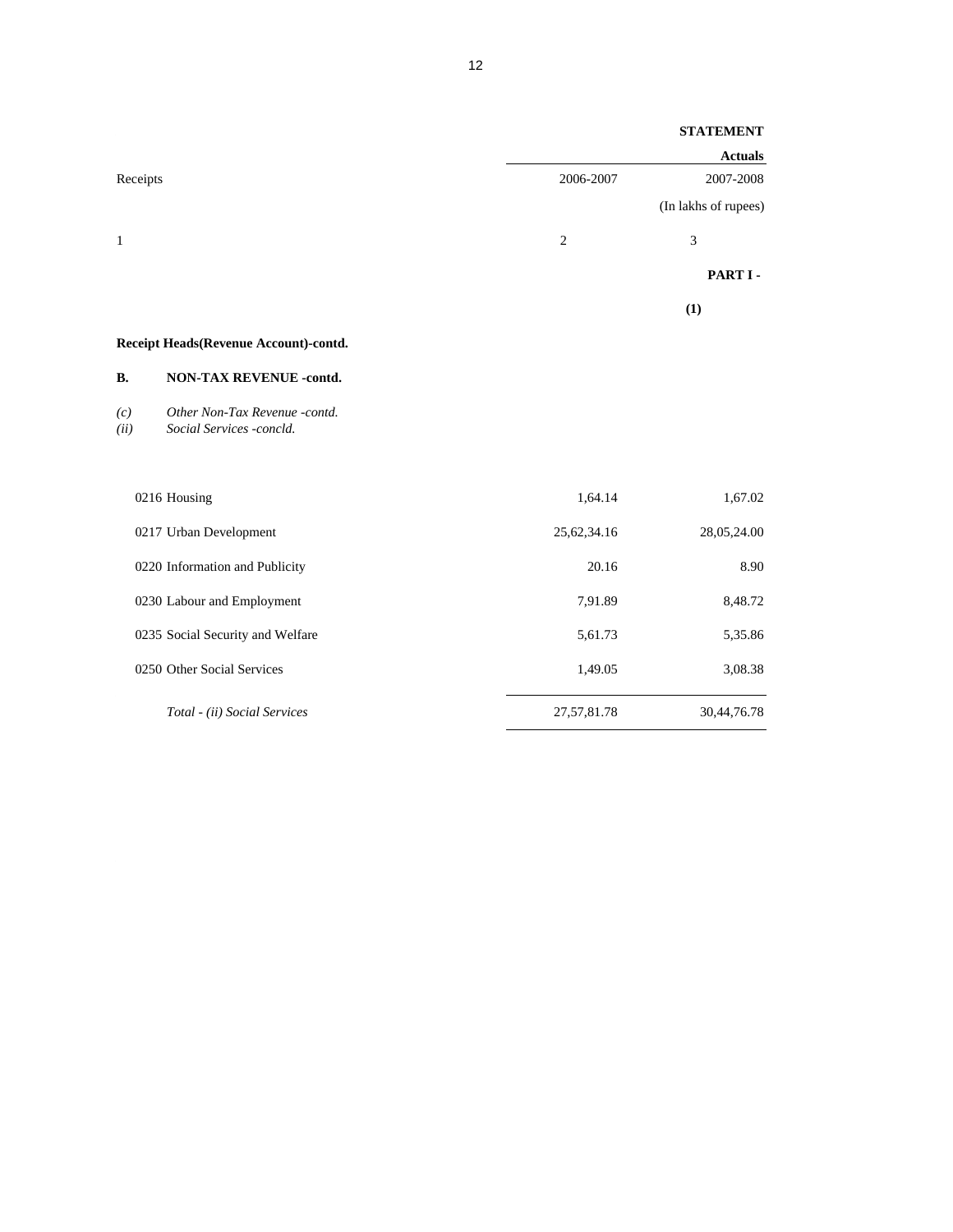|                                                                          |                | <b>STATEMENT</b>     |
|--------------------------------------------------------------------------|----------------|----------------------|
|                                                                          |                | <b>Actuals</b>       |
| Receipts                                                                 | 2006-2007      | 2007-2008            |
|                                                                          |                | (In lakhs of rupees) |
| $\mathbf{1}$                                                             | $\mathfrak{2}$ | 3                    |
|                                                                          |                | PART I-              |
|                                                                          |                | (1)                  |
| Receipt Heads(Revenue Account)-contd.                                    |                |                      |
| <b>B.</b><br><b>NON-TAX REVENUE -contd.</b>                              |                |                      |
| Other Non-Tax Revenue -contd.<br>(c)<br>Social Services -concld.<br>(ii) |                |                      |
| 0216 Housing                                                             | 1,64.14        | 1,67.02              |
| 0217 Urban Development                                                   | 25,62,34.16    | 28,05,24.00          |
| 0220 Information and Publicity                                           | 20.16          | 8.90                 |
| 0230 Labour and Employment                                               | 7,91.89        | 8,48.72              |
| 0235 Social Security and Welfare                                         | 5,61.73        | 5,35.86              |
| 0250 Other Social Services                                               | 1,49.05        | 3,08.38              |
| Total - (ii) Social Services                                             | 27,57,81.78    | 30,44,76.78          |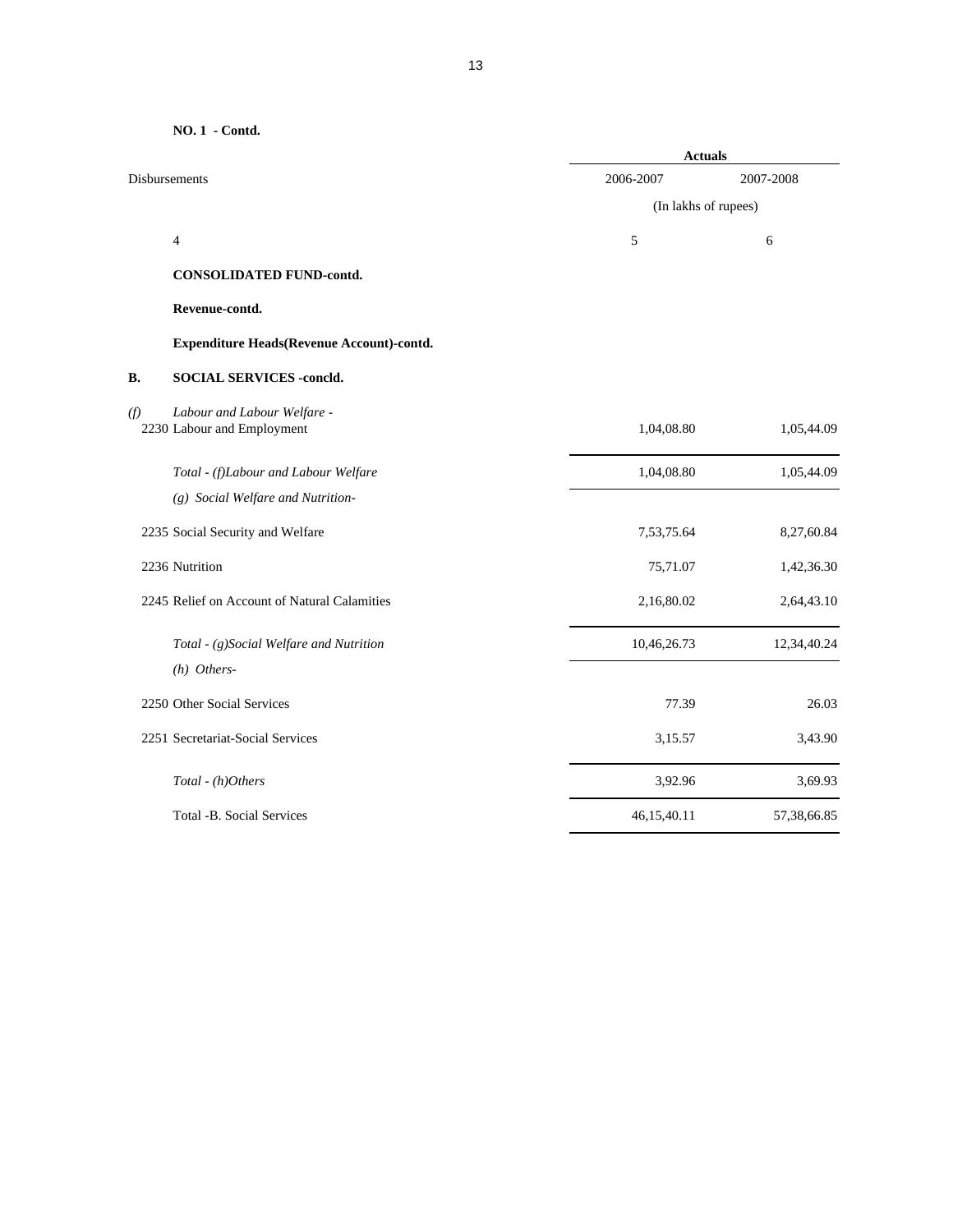|                      |                                                           | <b>Actuals</b>       |             |
|----------------------|-----------------------------------------------------------|----------------------|-------------|
| <b>Disbursements</b> |                                                           | 2006-2007            | 2007-2008   |
|                      |                                                           | (In lakhs of rupees) |             |
|                      | $\overline{4}$                                            | 5                    | 6           |
|                      | <b>CONSOLIDATED FUND-contd.</b>                           |                      |             |
|                      | Revenue-contd.                                            |                      |             |
|                      | Expenditure Heads(Revenue Account)-contd.                 |                      |             |
| В.                   | <b>SOCIAL SERVICES -concld.</b>                           |                      |             |
| (f)                  | Labour and Labour Welfare -<br>2230 Labour and Employment | 1,04,08.80           | 1,05,44.09  |
|                      | Total - (f)Labour and Labour Welfare                      | 1,04,08.80           | 1,05,44.09  |
|                      | (g) Social Welfare and Nutrition-                         |                      |             |
|                      | 2235 Social Security and Welfare                          | 7,53,75.64           | 8,27,60.84  |
|                      | 2236 Nutrition                                            | 75,71.07             | 1,42,36.30  |
|                      | 2245 Relief on Account of Natural Calamities              | 2,16,80.02           | 2,64,43.10  |
|                      | Total - (g)Social Welfare and Nutrition                   | 10,46,26.73          | 12,34,40.24 |
|                      | $(h)$ Others-                                             |                      |             |
|                      | 2250 Other Social Services                                | 77.39                | 26.03       |
|                      | 2251 Secretariat-Social Services                          | 3,15.57              | 3,43.90     |
|                      | $Total - (h) Others$                                      | 3,92.96              | 3,69.93     |
|                      | Total -B. Social Services                                 | 46,15,40.11          | 57,38,66.85 |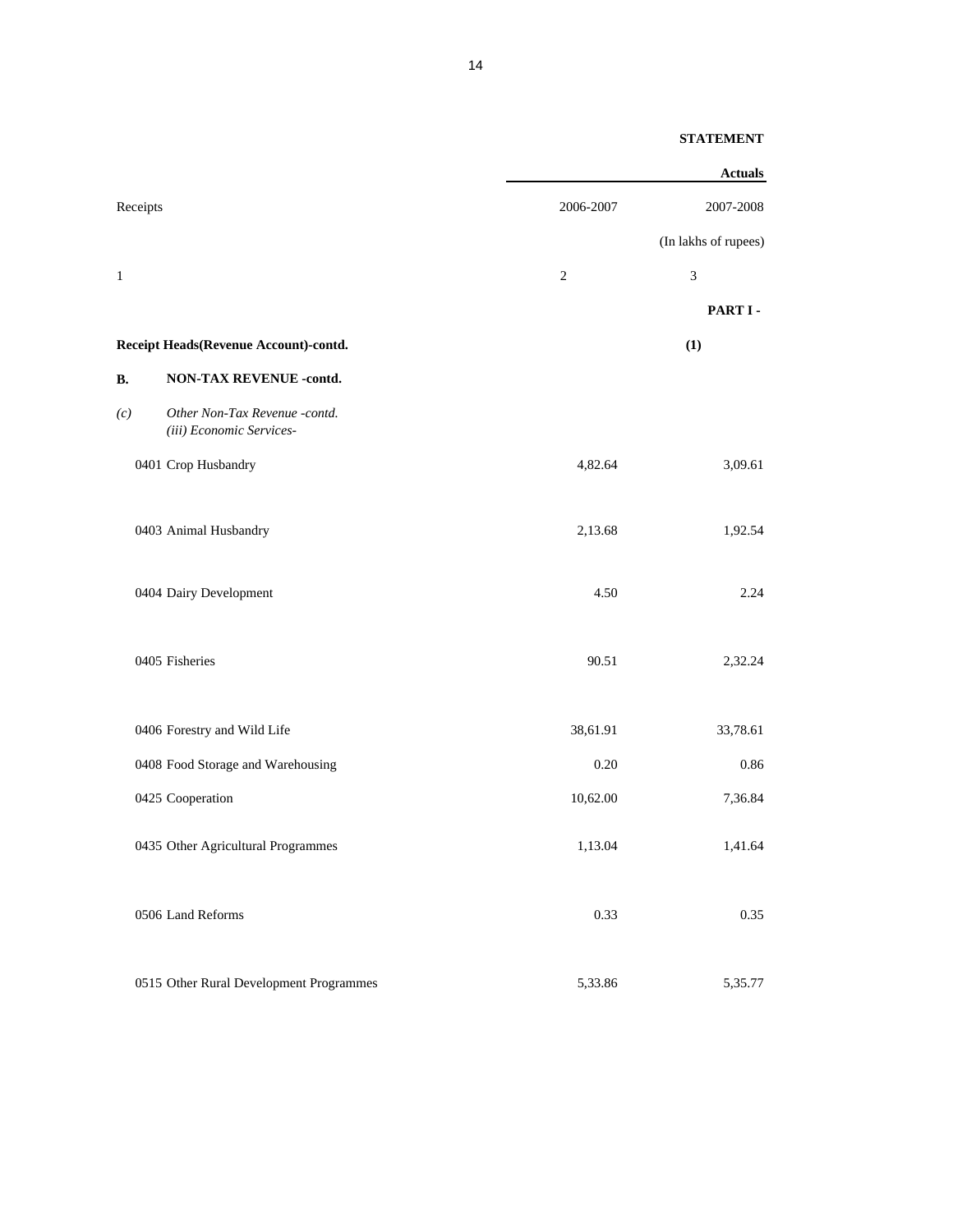**STATEMENT**

|                                                                  |                | <b>Actuals</b>       |
|------------------------------------------------------------------|----------------|----------------------|
| Receipts                                                         | 2006-2007      | 2007-2008            |
|                                                                  |                | (In lakhs of rupees) |
| $\mathbf{1}$                                                     | $\overline{c}$ | 3                    |
|                                                                  |                | PART I-              |
| Receipt Heads(Revenue Account)-contd.                            |                | (1)                  |
| <b>NON-TAX REVENUE -contd.</b><br><b>B.</b>                      |                |                      |
| Other Non-Tax Revenue -contd.<br>(c)<br>(iii) Economic Services- |                |                      |
| 0401 Crop Husbandry                                              | 4,82.64        | 3,09.61              |
|                                                                  |                |                      |
| 0403 Animal Husbandry                                            | 2,13.68        | 1,92.54              |
|                                                                  |                |                      |
| 0404 Dairy Development                                           | 4.50           | 2.24                 |
| 0405 Fisheries                                                   | 90.51          | 2,32.24              |
|                                                                  |                |                      |
| 0406 Forestry and Wild Life                                      | 38,61.91       | 33,78.61             |
| 0408 Food Storage and Warehousing                                | 0.20           | 0.86                 |
| 0425 Cooperation                                                 | 10,62.00       | 7,36.84              |
| 0435 Other Agricultural Programmes                               | 1,13.04        | 1,41.64              |
| 0506 Land Reforms                                                | 0.33           | 0.35                 |
| 0515 Other Rural Development Programmes                          | 5,33.86        | 5,35.77              |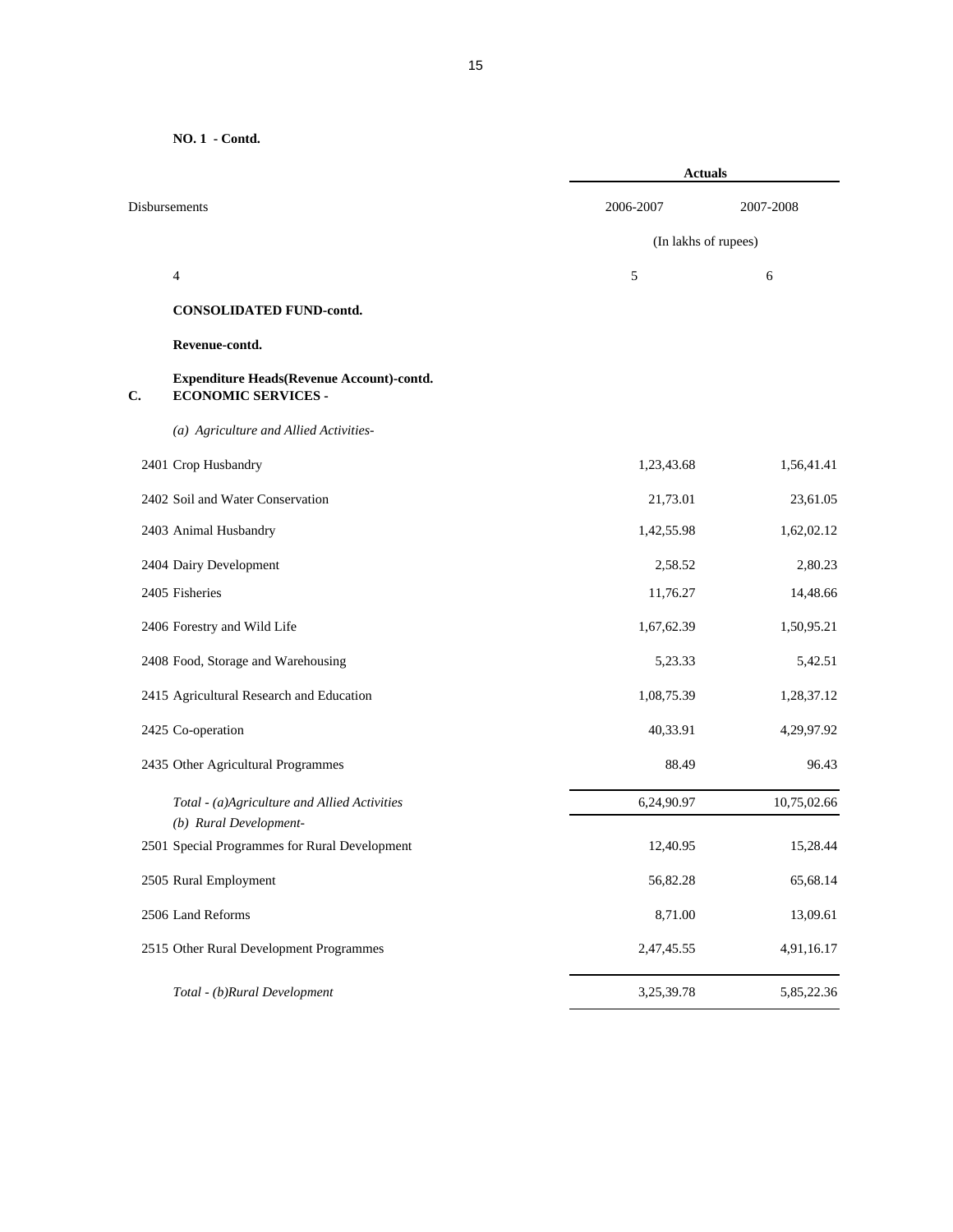|                                                                               | <b>Actuals</b>       |             |
|-------------------------------------------------------------------------------|----------------------|-------------|
| Disbursements                                                                 | 2006-2007            | 2007-2008   |
|                                                                               | (In lakhs of rupees) |             |
| 4                                                                             | 5                    | 6           |
| <b>CONSOLIDATED FUND-contd.</b>                                               |                      |             |
| Revenue-contd.                                                                |                      |             |
| Expenditure Heads(Revenue Account)-contd.<br><b>ECONOMIC SERVICES -</b><br>C. |                      |             |
| (a) Agriculture and Allied Activities-                                        |                      |             |
| 2401 Crop Husbandry                                                           | 1,23,43.68           | 1,56,41.41  |
| 2402 Soil and Water Conservation                                              | 21,73.01             | 23,61.05    |
| 2403 Animal Husbandry                                                         | 1,42,55.98           | 1,62,02.12  |
| 2404 Dairy Development                                                        | 2,58.52              | 2,80.23     |
| 2405 Fisheries                                                                | 11,76.27             | 14,48.66    |
| 2406 Forestry and Wild Life                                                   | 1,67,62.39           | 1,50,95.21  |
| 2408 Food, Storage and Warehousing                                            | 5,23.33              | 5,42.51     |
| 2415 Agricultural Research and Education                                      | 1,08,75.39           | 1,28,37.12  |
| 2425 Co-operation                                                             | 40,33.91             | 4,29,97.92  |
| 2435 Other Agricultural Programmes                                            | 88.49                | 96.43       |
| Total - (a)Agriculture and Allied Activities<br>(b) Rural Development-        | 6,24,90.97           | 10,75,02.66 |
| 2501 Special Programmes for Rural Development                                 | 12,40.95             | 15,28.44    |
| 2505 Rural Employment                                                         | 56,82.28             | 65,68.14    |
| 2506 Land Reforms                                                             | 8,71.00              | 13,09.61    |
| 2515 Other Rural Development Programmes                                       | 2,47,45.55           | 4,91,16.17  |
| Total - (b)Rural Development                                                  | 3,25,39.78           | 5,85,22.36  |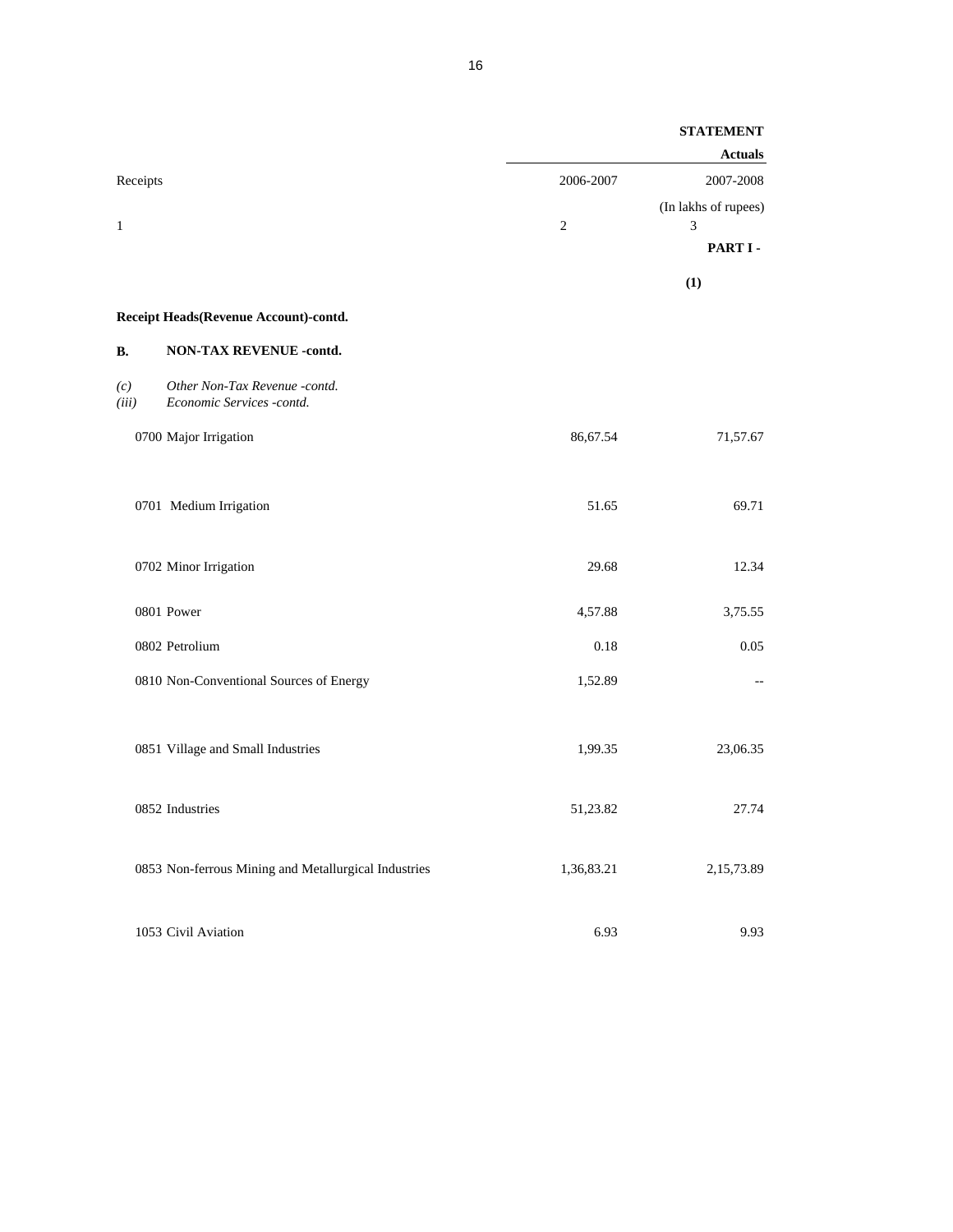|              |                                                            |                | <b>STATEMENT</b>                     |
|--------------|------------------------------------------------------------|----------------|--------------------------------------|
|              |                                                            |                | <b>Actuals</b>                       |
| Receipts     |                                                            | 2006-2007      | 2007-2008                            |
| $\mathbf{1}$ |                                                            | $\overline{2}$ | (In lakhs of rupees)<br>3<br>PART I- |
|              |                                                            |                | (1)                                  |
|              | Receipt Heads(Revenue Account)-contd.                      |                |                                      |
| <b>B.</b>    | <b>NON-TAX REVENUE -contd.</b>                             |                |                                      |
| (c)<br>(iii) | Other Non-Tax Revenue -contd.<br>Economic Services -contd. |                |                                      |
|              | 0700 Major Irrigation                                      | 86,67.54       | 71,57.67                             |
|              | 0701 Medium Irrigation                                     | 51.65          | 69.71                                |
|              | 0702 Minor Irrigation                                      | 29.68          | 12.34                                |
|              | 0801 Power                                                 | 4,57.88        | 3,75.55                              |
|              | 0802 Petrolium                                             | 0.18           | 0.05                                 |
|              | 0810 Non-Conventional Sources of Energy                    | 1,52.89        |                                      |
|              | 0851 Village and Small Industries                          | 1,99.35        | 23,06.35                             |
|              | 0852 Industries                                            | 51,23.82       | 27.74                                |
|              | 0853 Non-ferrous Mining and Metallurgical Industries       | 1,36,83.21     | 2,15,73.89                           |
|              | 1053 Civil Aviation                                        | 6.93           | 9.93                                 |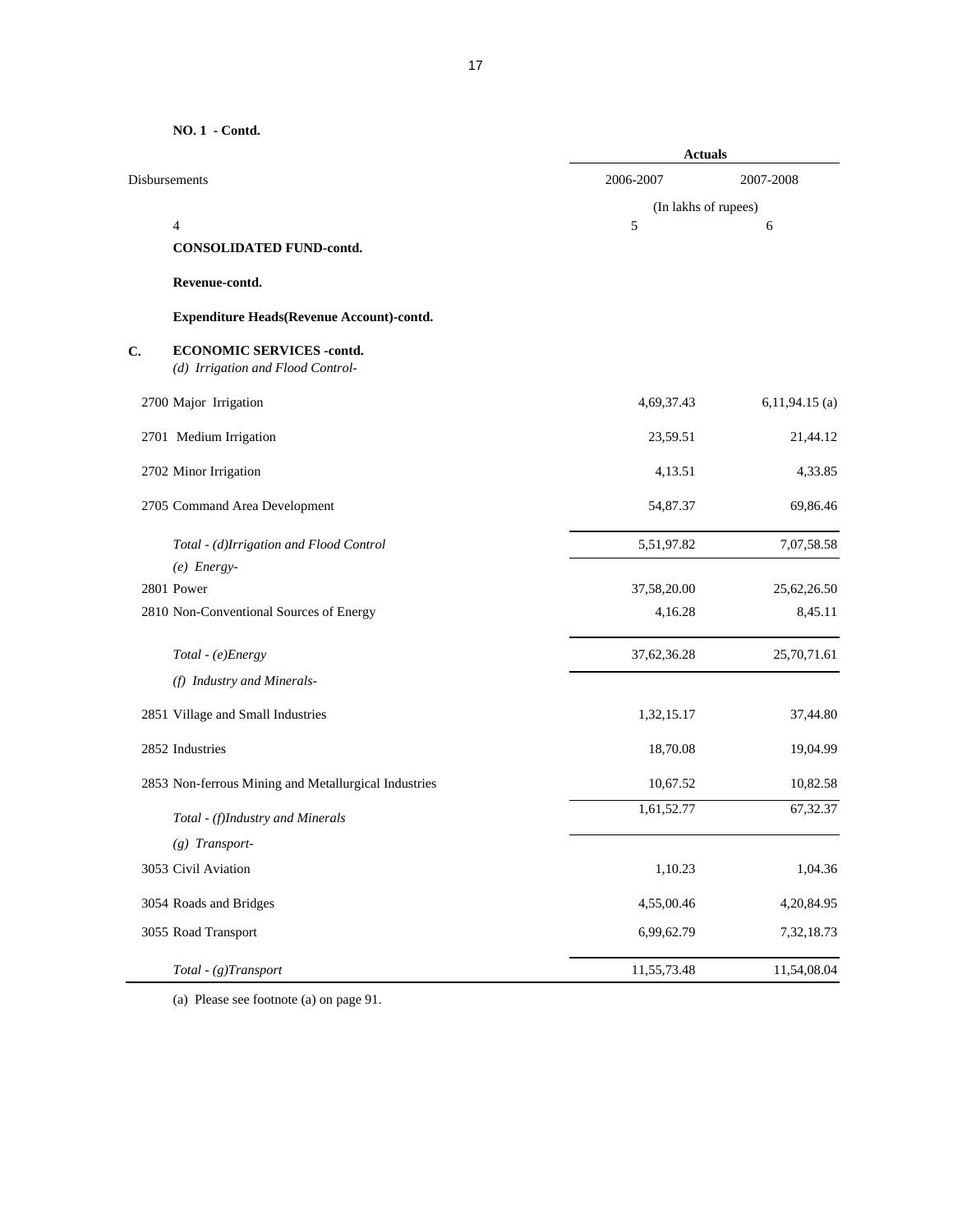|               |                                                                       | <b>Actuals</b>       |                  |
|---------------|-----------------------------------------------------------------------|----------------------|------------------|
| Disbursements |                                                                       | 2006-2007            | 2007-2008        |
|               |                                                                       | (In lakhs of rupees) |                  |
|               | 4                                                                     | 5                    | 6                |
|               | <b>CONSOLIDATED FUND-contd.</b>                                       |                      |                  |
|               | Revenue-contd.                                                        |                      |                  |
|               | Expenditure Heads(Revenue Account)-contd.                             |                      |                  |
| C.            | <b>ECONOMIC SERVICES -contd.</b><br>(d) Irrigation and Flood Control- |                      |                  |
|               | 2700 Major Irrigation                                                 | 4,69,37.43           | $6,11,94.15$ (a) |
|               | 2701 Medium Irrigation                                                | 23,59.51             | 21,44.12         |
|               | 2702 Minor Irrigation                                                 | 4,13.51              | 4,33.85          |
|               | 2705 Command Area Development                                         | 54,87.37             | 69,86.46         |
|               | Total - (d)Irrigation and Flood Control                               | 5,51,97.82           | 7,07,58.58       |
|               | $(e)$ Energy-                                                         |                      |                  |
|               | 2801 Power                                                            | 37,58,20.00          | 25,62,26.50      |
|               | 2810 Non-Conventional Sources of Energy                               | 4,16.28              | 8,45.11          |
|               | Total - (e)Energy                                                     | 37, 62, 36. 28       | 25,70,71.61      |
|               | (f) Industry and Minerals-                                            |                      |                  |
|               | 2851 Village and Small Industries                                     | 1,32,15.17           | 37,44.80         |
|               | 2852 Industries                                                       | 18,70.08             | 19,04.99         |
|               | 2853 Non-ferrous Mining and Metallurgical Industries                  | 10,67.52             | 10,82.58         |
|               | Total - (f)Industry and Minerals                                      | 1,61,52.77           | 67,32.37         |
|               | $(g)$ Transport-                                                      |                      |                  |
|               | 3053 Civil Aviation                                                   | 1,10.23              | 1,04.36          |
|               | 3054 Roads and Bridges                                                | 4,55,00.46           | 4,20,84.95       |
|               | 3055 Road Transport                                                   | 6,99,62.79           | 7,32,18.73       |
|               | Total - (g)Transport                                                  | 11,55,73.48          | 11,54,08.04      |

(a) Please see footnote (a) on page 91.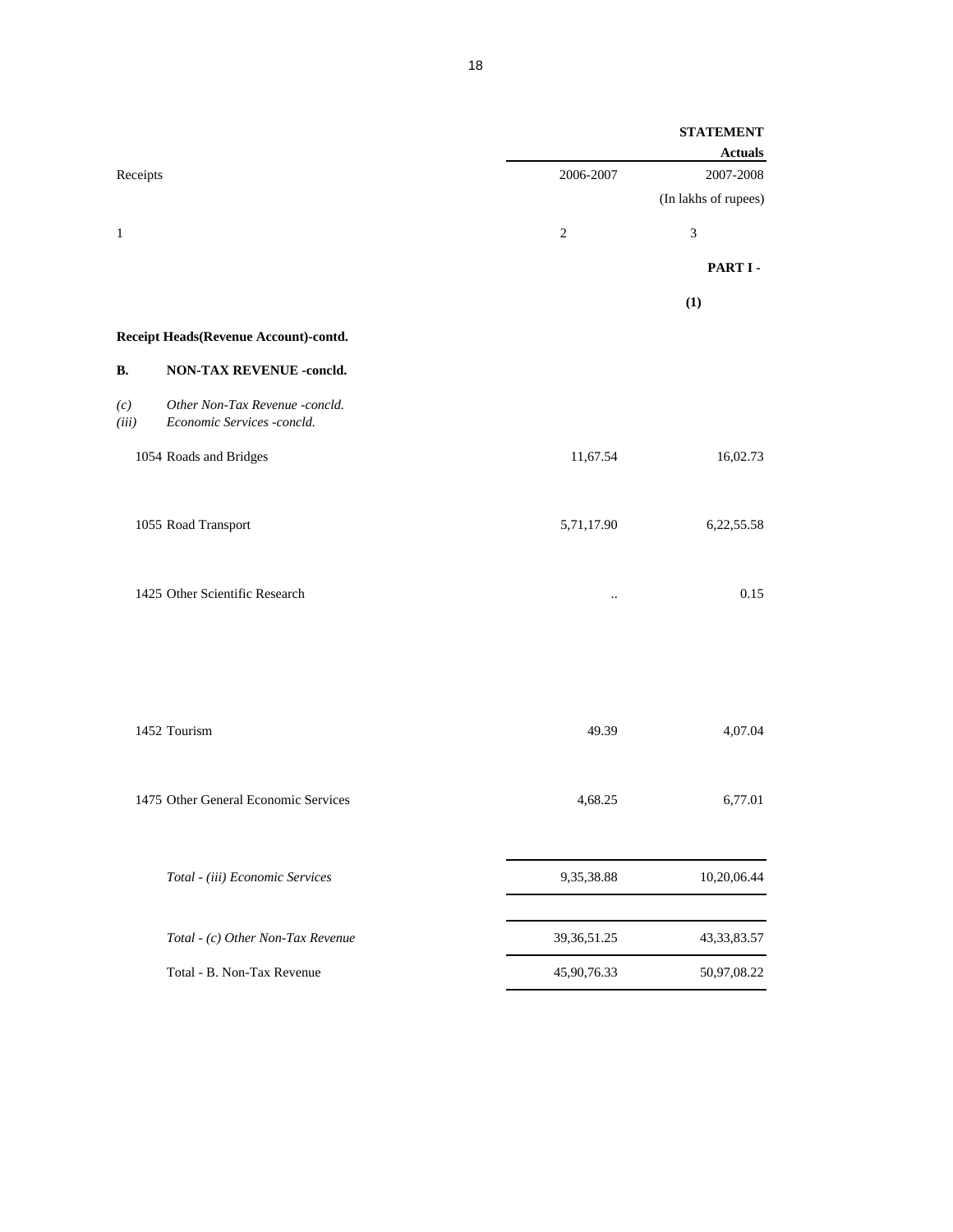|              |                                                              |                | <b>STATEMENT</b><br><b>Actuals</b> |
|--------------|--------------------------------------------------------------|----------------|------------------------------------|
| Receipts     |                                                              | 2006-2007      | 2007-2008                          |
|              |                                                              |                | (In lakhs of rupees)               |
| $\mathbf{1}$ |                                                              | $\mathfrak{2}$ | 3                                  |
|              |                                                              |                | PART I-                            |
|              |                                                              |                | (1)                                |
|              | Receipt Heads(Revenue Account)-contd.                        |                |                                    |
| <b>B.</b>    | <b>NON-TAX REVENUE -concld.</b>                              |                |                                    |
| (c)<br>(iii) | Other Non-Tax Revenue -concld.<br>Economic Services -concld. |                |                                    |
|              | 1054 Roads and Bridges                                       | 11,67.54       | 16,02.73                           |
|              | 1055 Road Transport                                          | 5,71,17.90     | 6,22,55.58                         |
|              | 1425 Other Scientific Research                               |                | 0.15                               |
|              |                                                              |                |                                    |
|              | 1452 Tourism                                                 | 49.39          | 4,07.04                            |
|              | 1475 Other General Economic Services                         | 4,68.25        | 6,77.01                            |
|              | Total - (iii) Economic Services                              | 9,35,38.88     | 10,20,06.44                        |
|              | Total - (c) Other Non-Tax Revenue                            | 39, 36, 51. 25 | 43, 33, 83. 57                     |
|              | Total - B. Non-Tax Revenue                                   | 45,90,76.33    | 50,97,08.22                        |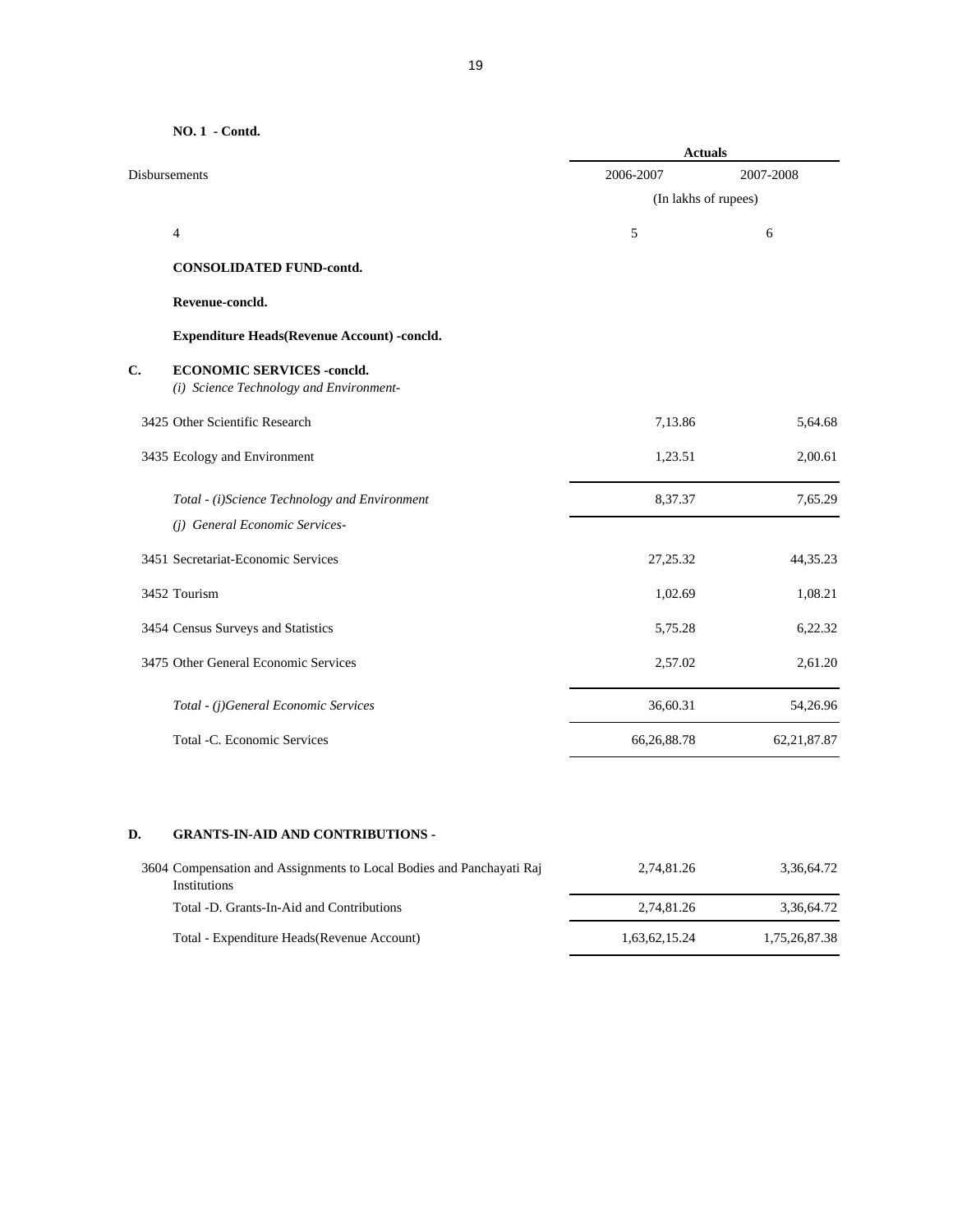|                                                                                    | <b>Actuals</b>       |             |
|------------------------------------------------------------------------------------|----------------------|-------------|
| <b>Disbursements</b>                                                               | 2006-2007            | 2007-2008   |
|                                                                                    | (In lakhs of rupees) |             |
| $\overline{4}$                                                                     | 5                    | 6           |
| <b>CONSOLIDATED FUND-contd.</b>                                                    |                      |             |
| Revenue-concld.                                                                    |                      |             |
| Expenditure Heads (Revenue Account) -concld.                                       |                      |             |
| C.<br><b>ECONOMIC SERVICES -concld.</b><br>(i) Science Technology and Environment- |                      |             |
| 3425 Other Scientific Research                                                     | 7,13.86              | 5,64.68     |
| 3435 Ecology and Environment                                                       | 1,23.51              | 2,00.61     |
| Total - (i)Science Technology and Environment                                      | 8,37.37              | 7,65.29     |
| (j) General Economic Services-                                                     |                      |             |
| 3451 Secretariat-Economic Services                                                 | 27, 25. 32           | 44,35.23    |
| 3452 Tourism                                                                       | 1,02.69              | 1,08.21     |
| 3454 Census Surveys and Statistics                                                 | 5,75.28              | 6,22.32     |
| 3475 Other General Economic Services                                               | 2,57.02              | 2,61.20     |
| Total - (j)General Economic Services                                               | 36,60.31             | 54,26.96    |
| Total - C. Economic Services                                                       | 66,26,88.78          | 62,21,87.87 |

#### **D. GRANTS-IN-AID AND CONTRIBUTIONS -**

| 3604 Compensation and Assignments to Local Bodies and Panchayati Raj | 2.74.81.26    | 3,36,64.72    |
|----------------------------------------------------------------------|---------------|---------------|
| <b>Institutions</b>                                                  |               |               |
| Total -D. Grants-In-Aid and Contributions                            | 2.74.81.26    | 3.36.64.72    |
| Total - Expenditure Heads (Revenue Account)                          | 1.63.62.15.24 | 1.75.26.87.38 |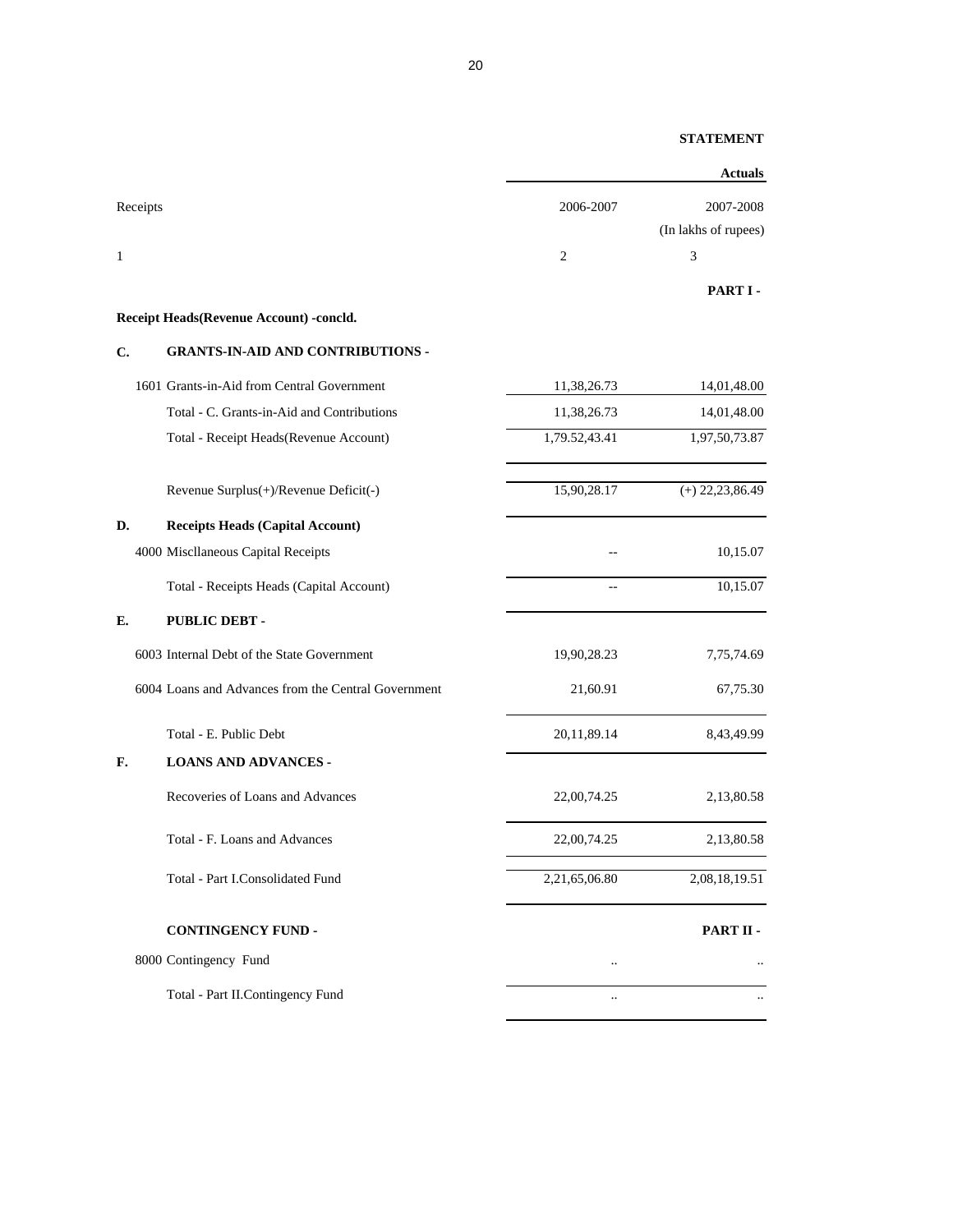**STATEMENT**

|                | <b>Actuals</b>       |
|----------------|----------------------|
| 2006-2007      | 2007-2008            |
|                | (In lakhs of rupees) |
| $\mathfrak{2}$ | 3                    |
|                | PART I-              |
|                |                      |
|                |                      |
| 11,38,26.73    | 14,01,48.00          |
| 11,38,26.73    | 14,01,48.00          |
| 1,79.52,43.41  | 1,97,50,73.87        |
| 15,90,28.17    | $(+)$ 22,23,86.49    |
|                |                      |
| --             | 10,15.07             |
| $\mathbf{u}$   | 10,15.07             |
|                |                      |
| 19,90,28.23    | 7,75,74.69           |
| 21,60.91       | 67,75.30             |
| 20,11,89.14    | 8,43,49.99           |
|                |                      |
| 22,00,74.25    | 2,13,80.58           |
| 22,00,74.25    | 2,13,80.58           |
| 2,21,65,06.80  | 2,08,18,19.51        |
|                | PART II -            |
| $\ddotsc$      |                      |
|                |                      |
|                |                      |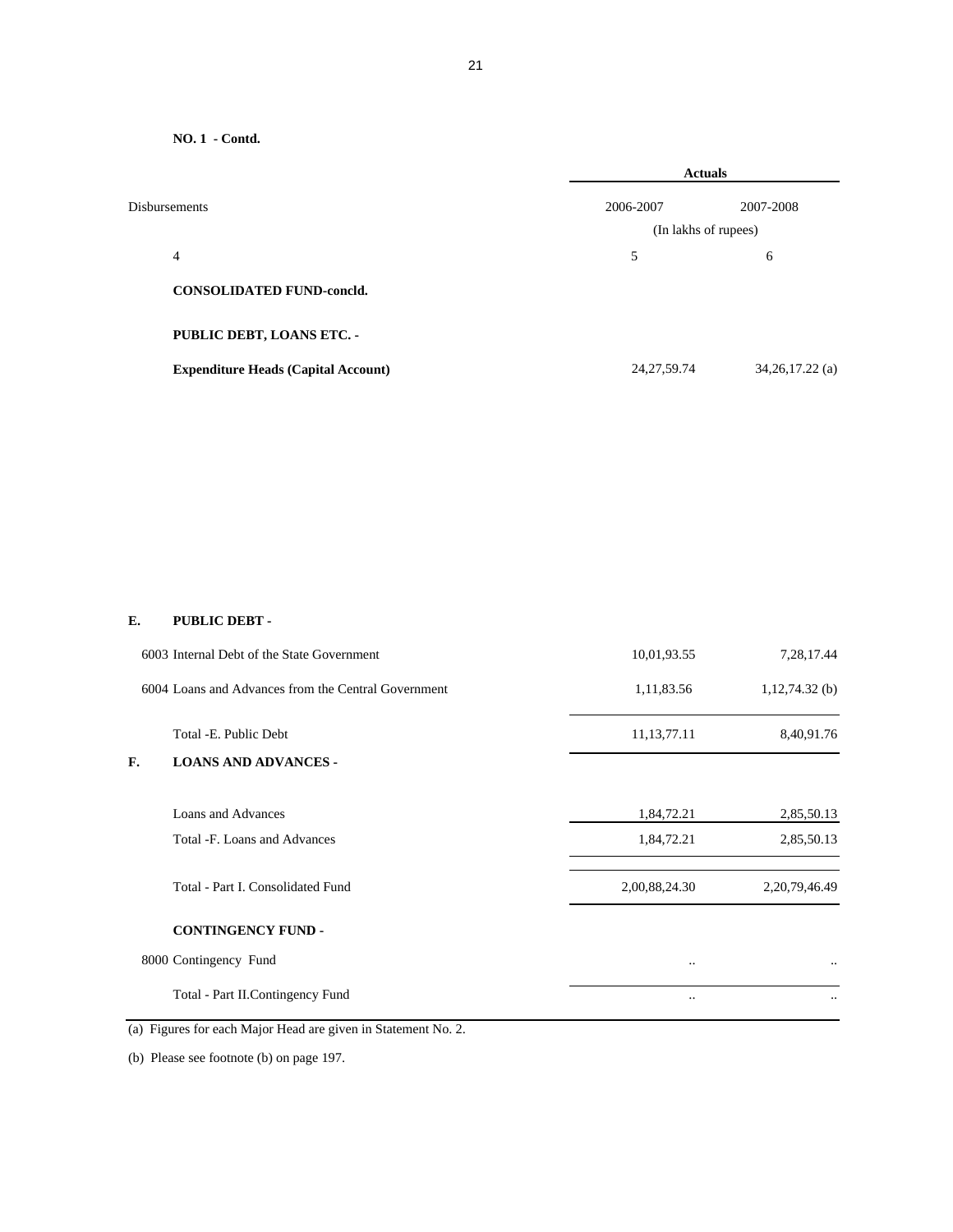|                                            | <b>Actuals</b> |                      |
|--------------------------------------------|----------------|----------------------|
| <b>Disbursements</b>                       | 2006-2007      | 2007-2008            |
|                                            |                | (In lakhs of rupees) |
| $\overline{4}$                             | 5              | 6                    |
| <b>CONSOLIDATED FUND-concld.</b>           |                |                      |
| <b>PUBLIC DEBT, LOANS ETC. -</b>           |                |                      |
| <b>Expenditure Heads (Capital Account)</b> | 24, 27, 59. 74 | $34,26,17.22$ (a)    |
|                                            |                |                      |

### **E. PUBLIC DEBT -**

|    | 6003 Internal Debt of the State Government          | 10,01,93.55         | 7,28,17.44        |
|----|-----------------------------------------------------|---------------------|-------------------|
|    | 6004 Loans and Advances from the Central Government | 1,11,83.56          | $1,12,74.32$ (b)  |
|    | Total - E. Public Debt                              | 11, 13, 77. 11      | 8,40,91.76        |
| F. | <b>LOANS AND ADVANCES -</b>                         |                     |                   |
|    | Loans and Advances                                  | 1,84,72.21          | 2,85,50.13        |
|    | Total -F. Loans and Advances                        | 1,84,72.21          | 2,85,50.13        |
|    | Total - Part I. Consolidated Fund                   | 2,00,88,24.30       | 2, 20, 79, 46. 49 |
|    | <b>CONTINGENCY FUND -</b>                           |                     |                   |
|    | 8000 Contingency Fund                               |                     |                   |
|    | Total - Part II. Contingency Fund                   | $\bullet$ $\bullet$ |                   |

(a) Figures for each Major Head are given in Statement No. 2.

(b) Please see footnote (b) on page 197.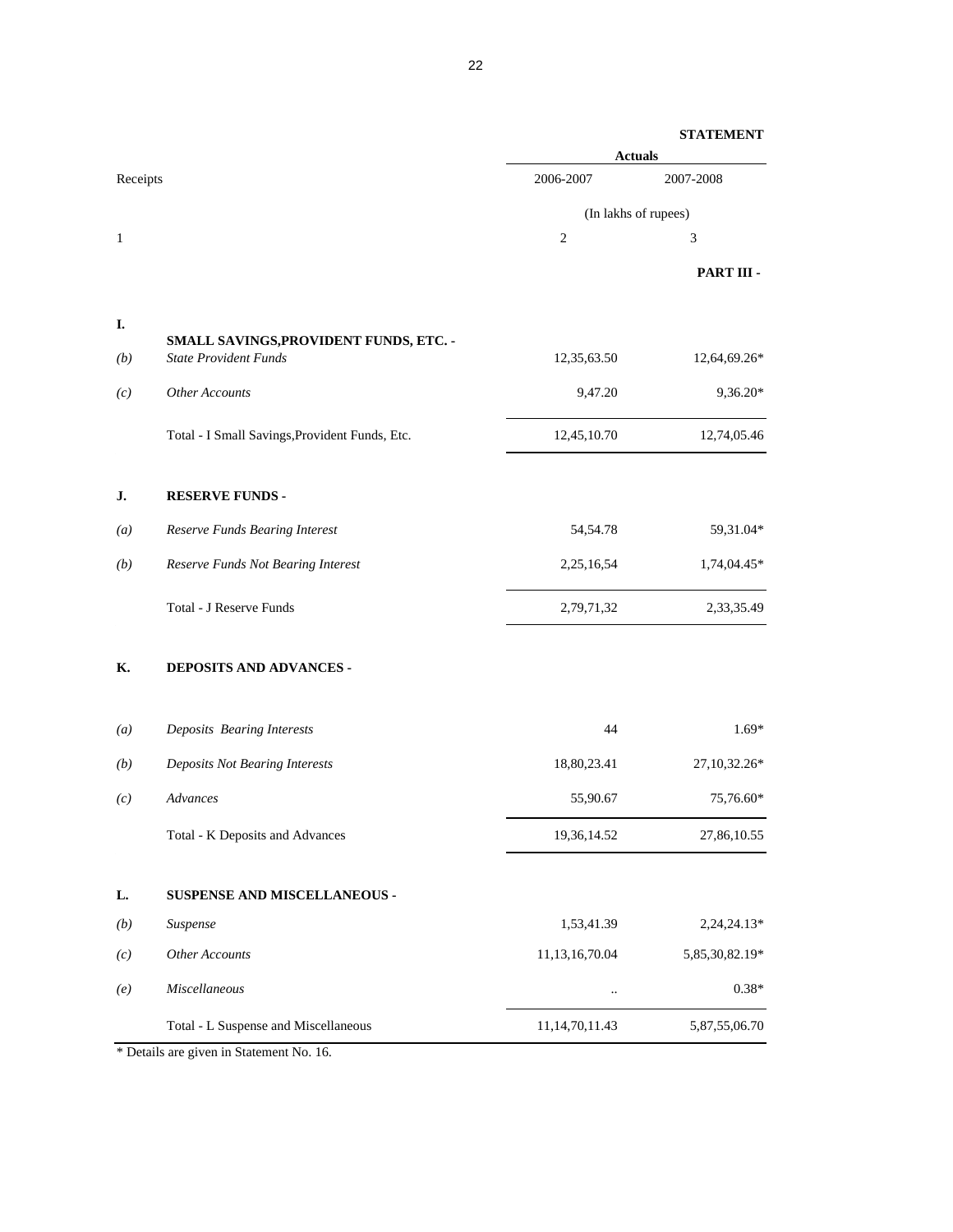|                  |                                                | <b>Actuals</b>       | <b>STATEMENT</b> |
|------------------|------------------------------------------------|----------------------|------------------|
| Receipts         |                                                | 2006-2007            | 2007-2008        |
|                  |                                                | (In lakhs of rupees) |                  |
| $\mathbf{1}$     |                                                | $\overline{2}$       | 3                |
|                  |                                                |                      | PART III -       |
| I.               | SMALL SAVINGS, PROVIDENT FUNDS, ETC. -         |                      |                  |
| (b)              | <b>State Provident Funds</b>                   | 12,35,63.50          | 12,64,69.26*     |
| (c)              | <b>Other Accounts</b>                          | 9,47.20              | 9,36.20*         |
|                  | Total - I Small Savings, Provident Funds, Etc. | 12,45,10.70          | 12,74,05.46      |
| J.               | <b>RESERVE FUNDS -</b>                         |                      |                  |
| $\left(a\right)$ | Reserve Funds Bearing Interest                 | 54, 54. 78           | 59,31.04*        |
| (b)              | Reserve Funds Not Bearing Interest             | 2,25,16,54           | 1,74,04.45*      |
|                  | Total - J Reserve Funds                        | 2,79,71,32           | 2,33,35.49       |
| К.               | DEPOSITS AND ADVANCES -                        |                      |                  |
| $\left(a\right)$ | Deposits Bearing Interests                     | 44                   | 1.69*            |
| (b)              | Deposits Not Bearing Interests                 | 18,80,23.41          | 27, 10, 32. 26*  |
| (c)              | Advances                                       | 55,90.67             | 75,76.60*        |
|                  | Total - K Deposits and Advances                | 19,36,14.52          | 27,86,10.55      |
| L.               | SUSPENSE AND MISCELLANEOUS -                   |                      |                  |
| (b)              | Suspense                                       | 1,53,41.39           | 2,24,24.13*      |
| (c)              | Other Accounts                                 | 11, 13, 16, 70.04    | 5,85,30,82.19*   |
| (e)              | Miscellaneous                                  | $\ddotsc$            | $0.38*$          |
|                  | Total - L Suspense and Miscellaneous           | 11, 14, 70, 11. 43   | 5,87,55,06.70    |

\* Details are given in Statement No. 16.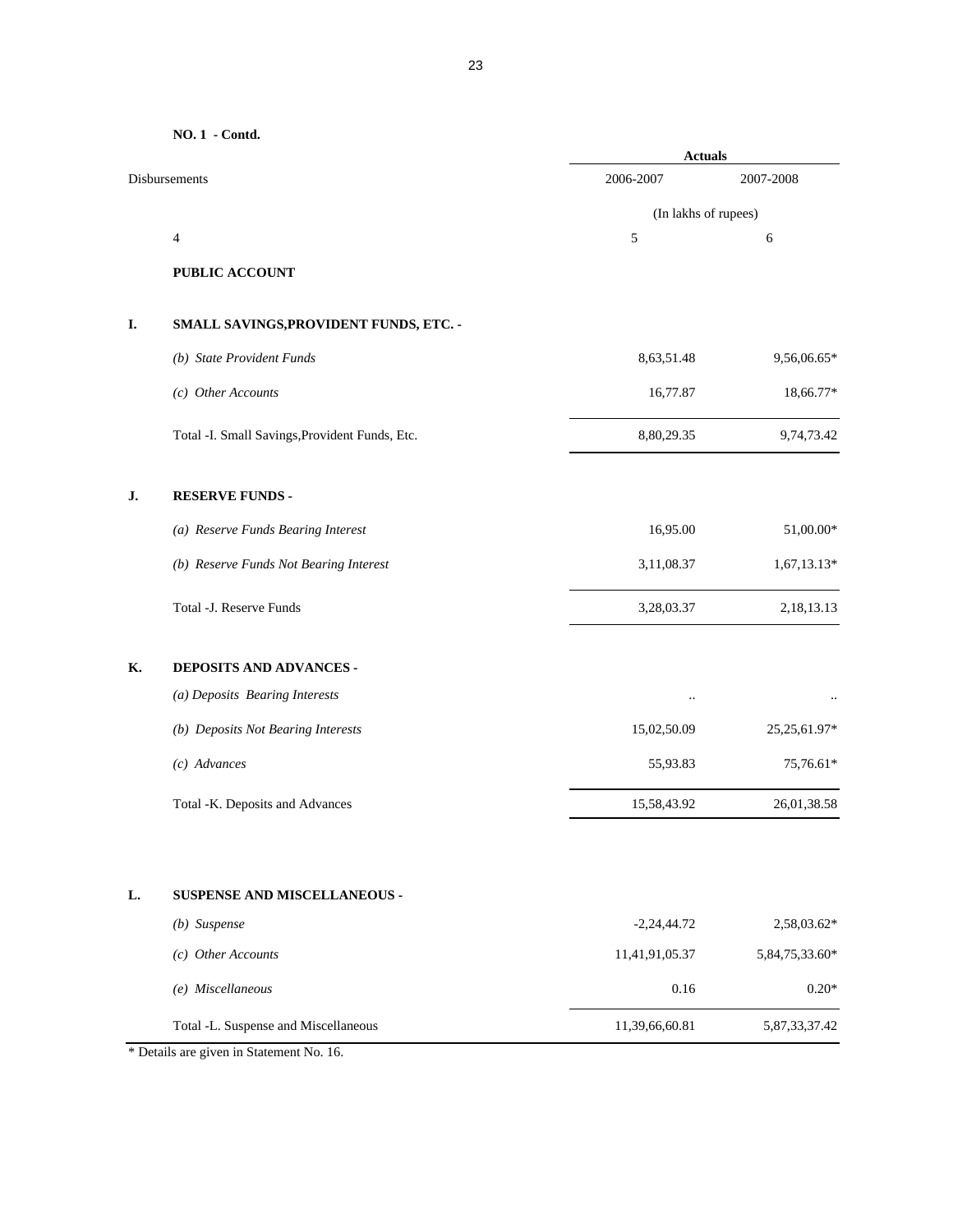|    |                                                | <b>Actuals</b>       |                   |
|----|------------------------------------------------|----------------------|-------------------|
|    | Disbursements                                  | 2006-2007            | 2007-2008         |
|    |                                                | (In lakhs of rupees) |                   |
|    | $\overline{4}$                                 | 5                    | 6                 |
|    | <b>PUBLIC ACCOUNT</b>                          |                      |                   |
| I. | SMALL SAVINGS, PROVIDENT FUNDS, ETC. -         |                      |                   |
|    | (b) State Provident Funds                      | 8,63,51.48           | 9,56,06.65*       |
|    | (c) Other Accounts                             | 16,77.87             | 18,66.77*         |
|    | Total -I. Small Savings, Provident Funds, Etc. | 8,80,29.35           | 9,74,73.42        |
| J. | <b>RESERVE FUNDS -</b>                         |                      |                   |
|    | (a) Reserve Funds Bearing Interest             | 16,95.00             | 51,00.00*         |
|    | (b) Reserve Funds Not Bearing Interest         | 3,11,08.37           | 1,67,13.13*       |
|    | Total -J. Reserve Funds                        | 3,28,03.37           | 2,18,13.13        |
| К. | DEPOSITS AND ADVANCES -                        |                      |                   |
|    | (a) Deposits Bearing Interests                 |                      |                   |
|    | (b) Deposits Not Bearing Interests             | 15,02,50.09          | 25, 25, 61. 97*   |
|    | $(c)$ Advances                                 | 55,93.83             | 75,76.61*         |
|    | Total -K. Deposits and Advances                | 15,58,43.92          | 26,01,38.58       |
|    |                                                |                      |                   |
| L. | SUSPENSE AND MISCELLANEOUS -                   |                      |                   |
|    | (b) Suspense                                   | $-2,24,44.72$        | 2,58,03.62*       |
|    | (c) Other Accounts                             | 11,41,91,05.37       | 5,84,75,33.60*    |
|    | (e) Miscellaneous                              | 0.16                 | $0.20*$           |
|    | Total -L. Suspense and Miscellaneous           | 11,39,66,60.81       | 5, 87, 33, 37. 42 |

\* Details are given in Statement No. 16.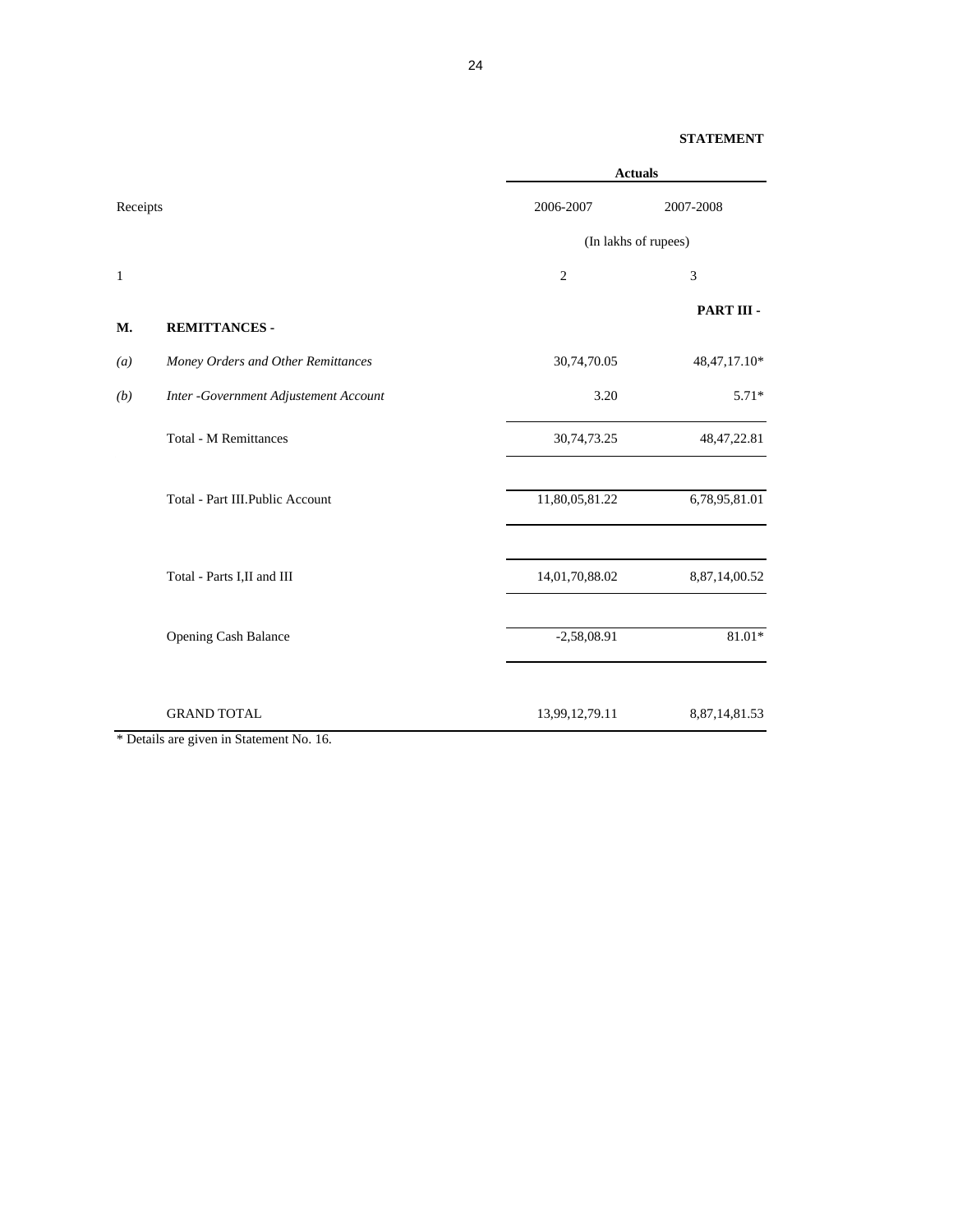### **STATEMENT**

|              |                                        | <b>Actuals</b>       |                |
|--------------|----------------------------------------|----------------------|----------------|
| Receipts     |                                        | 2006-2007            | 2007-2008      |
|              |                                        | (In lakhs of rupees) |                |
| $\mathbf{1}$ |                                        | $\overline{2}$       | 3              |
| M.           | <b>REMITTANCES -</b>                   |                      | PART III -     |
| (a)          | Money Orders and Other Remittances     | 30,74,70.05          | 48,47,17.10*   |
| (b)          | Inter - Government Adjustement Account | 3.20                 | $5.71*$        |
|              | <b>Total - M Remittances</b>           | 30,74,73.25          | 48, 47, 22. 81 |
|              | Total - Part III. Public Account       | 11,80,05,81.22       | 6,78,95,81.01  |
|              | Total - Parts I,II and III             | 14,01,70,88.02       | 8,87,14,00.52  |
|              | <b>Opening Cash Balance</b>            | $-2,58,08.91$        | $81.01*$       |
|              | <b>GRAND TOTAL</b>                     | 13,99,12,79.11       | 8,87,14,81.53  |

\* Details are given in Statement No. 16.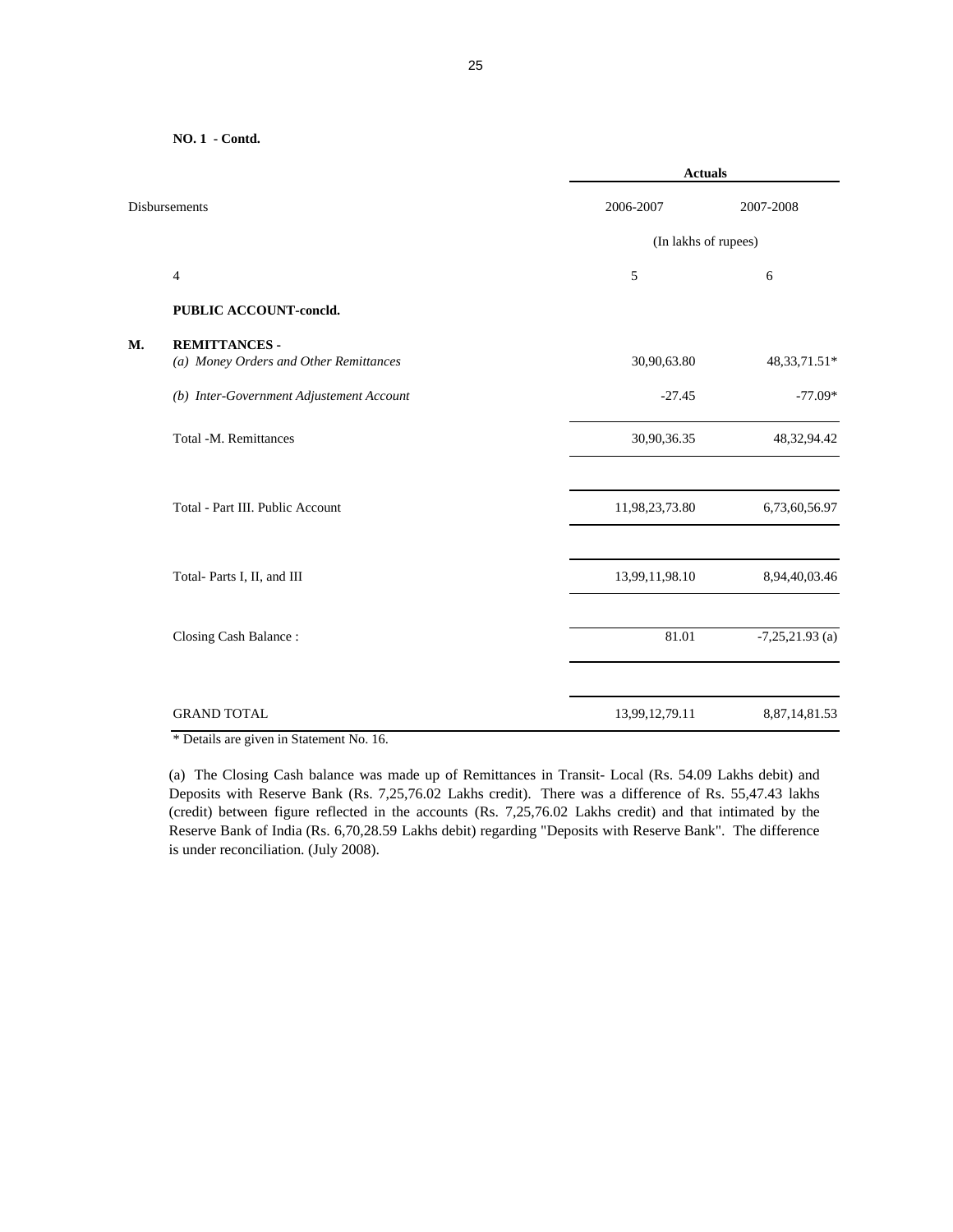|    |                                                                |                      | <b>Actuals</b>    |  |  |  |
|----|----------------------------------------------------------------|----------------------|-------------------|--|--|--|
|    | Disbursements                                                  | 2006-2007            | 2007-2008         |  |  |  |
|    |                                                                | (In lakhs of rupees) |                   |  |  |  |
|    | $\overline{4}$                                                 | 5                    | 6                 |  |  |  |
|    | PUBLIC ACCOUNT-concld.                                         |                      |                   |  |  |  |
| М. | <b>REMITTANCES -</b><br>(a) Money Orders and Other Remittances | 30,90,63.80          | 48, 33, 71. 51*   |  |  |  |
|    | (b) Inter-Government Adjustement Account                       | $-27.45$             | $-77.09*$         |  |  |  |
|    | Total -M. Remittances                                          | 30,90,36.35          | 48, 32, 94. 42    |  |  |  |
|    | Total - Part III. Public Account                               | 11,98,23,73.80       | 6,73,60,56.97     |  |  |  |
|    | Total- Parts I, II, and III                                    | 13,99,11,98.10       | 8,94,40,03.46     |  |  |  |
|    | Closing Cash Balance:                                          | 81.01                | $-7,25,21.93$ (a) |  |  |  |
|    | <b>GRAND TOTAL</b>                                             | 13,99,12,79.11       | 8,87,14,81.53     |  |  |  |

\* Details are given in Statement No. 16.

(a) The Closing Cash balance was made up of Remittances in Transit- Local (Rs. 54.09 Lakhs debit) and Deposits with Reserve Bank (Rs. 7,25,76.02 Lakhs credit). There was a difference of Rs. 55,47.43 lakhs (credit) between figure reflected in the accounts (Rs. 7,25,76.02 Lakhs credit) and that intimated by the Reserve Bank of India (Rs. 6,70,28.59 Lakhs debit) regarding "Deposits with Reserve Bank". The difference is under reconciliation. (July 2008).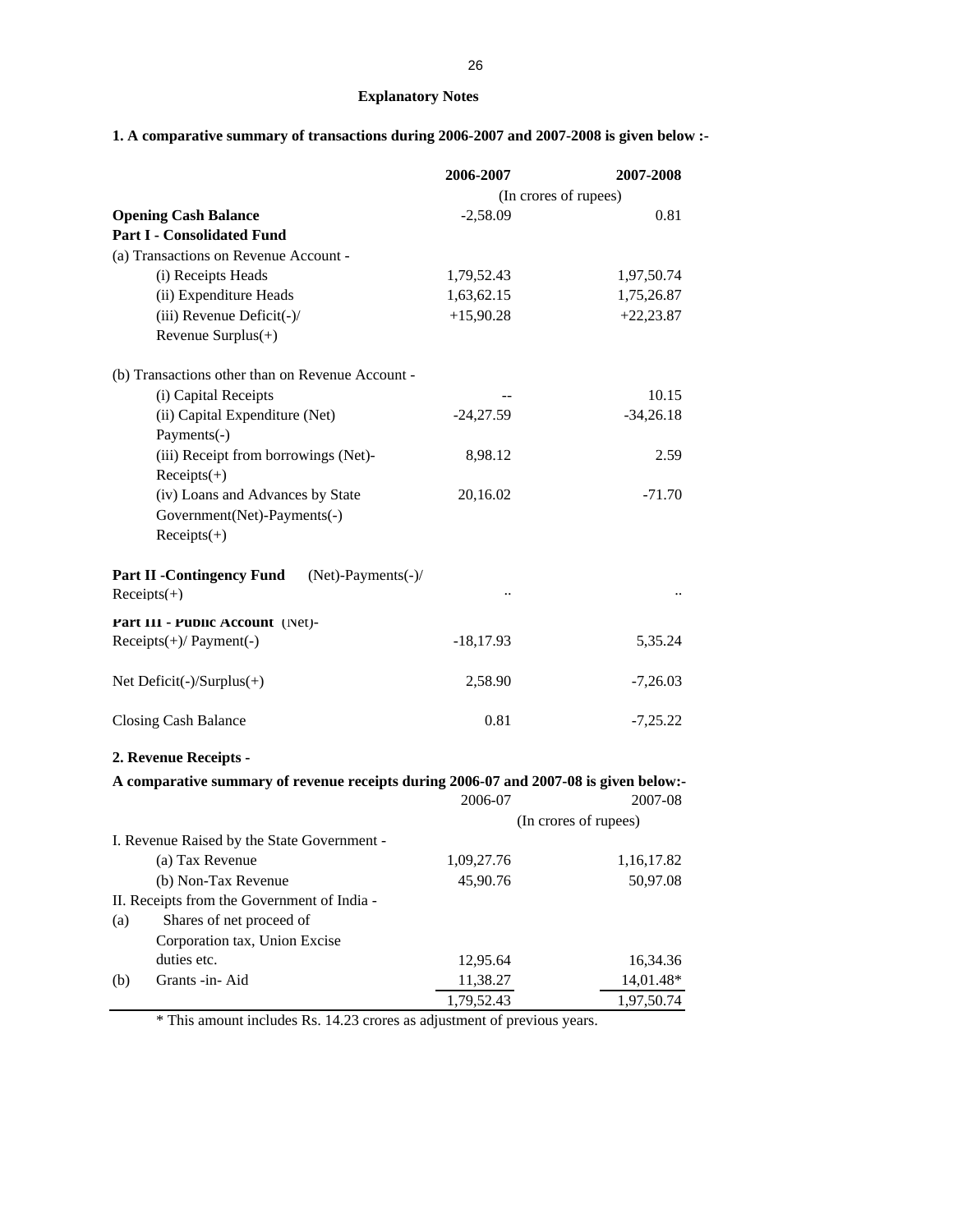|                                                                                       | 2006-2007   | 2007-2008             |
|---------------------------------------------------------------------------------------|-------------|-----------------------|
|                                                                                       |             | (In crores of rupees) |
| <b>Opening Cash Balance</b>                                                           | $-2,58.09$  | 0.81                  |
| <b>Part I - Consolidated Fund</b>                                                     |             |                       |
| (a) Transactions on Revenue Account -                                                 |             |                       |
| (i) Receipts Heads                                                                    | 1,79,52.43  | 1,97,50.74            |
| (ii) Expenditure Heads                                                                | 1,63,62.15  | 1,75,26.87            |
| (iii) Revenue Deficit(-)/                                                             | $+15,90.28$ | $+22,23.87$           |
| Revenue Surplus(+)                                                                    |             |                       |
| (b) Transactions other than on Revenue Account -                                      |             |                       |
| (i) Capital Receipts                                                                  |             | 10.15                 |
| (ii) Capital Expenditure (Net)                                                        | $-24,27.59$ | $-34,26.18$           |
| Payments(-)                                                                           |             |                       |
| (iii) Receipt from borrowings (Net)-                                                  | 8,98.12     | 2.59                  |
| $Receipts(+)$                                                                         |             |                       |
| (iv) Loans and Advances by State                                                      | 20,16.02    | $-71.70$              |
| Government(Net)-Payments(-)                                                           |             |                       |
| $Receipts(+)$                                                                         |             |                       |
| <b>Part II -Contingency Fund</b><br>$(Net)$ -Payments $(\text{-})$<br>$Receipts(+)$   |             |                       |
| Part III - Public Account (Net)-                                                      |             |                       |
| $Receipts(+)/$ Payment(-)                                                             | $-18,17.93$ | 5,35.24               |
|                                                                                       |             |                       |
| Net Deficit(-)/Surplus(+)                                                             | 2,58.90     | $-7,26.03$            |
| <b>Closing Cash Balance</b>                                                           | 0.81        | $-7,25.22$            |
| 2. Revenue Receipts -                                                                 |             |                       |
| A comparative summary of revenue receipts during 2006-07 and 2007-08 is given below:- |             |                       |
|                                                                                       | 2006-07     | 2007-08               |
|                                                                                       |             | (In crores of rupees) |
| I. Revenue Raised by the State Government -                                           |             |                       |
| (a) Tax Revenue                                                                       | 1,09,27.76  | 1,16,17.82            |
| (b) Non-Tax Revenue                                                                   | 45,90.76    | 50,97.08              |
| II. Receipts from the Government of India -                                           |             |                       |
| Shares of net proceed of<br>(a)                                                       |             |                       |
| Corporation tax, Union Excise                                                         |             |                       |
| duties etc.                                                                           | 12,95.64    | 16,34.36              |

**1. A comparative summary of transactions during 2006-2007 and 2007-2008 is given below :-** 

\* This amount includes Rs. 14.23 crores as adjustment of previous years.

(b) Grants -in- Aid 11,38.27 14,01.48\*

1,79,52.43 1,97,50.74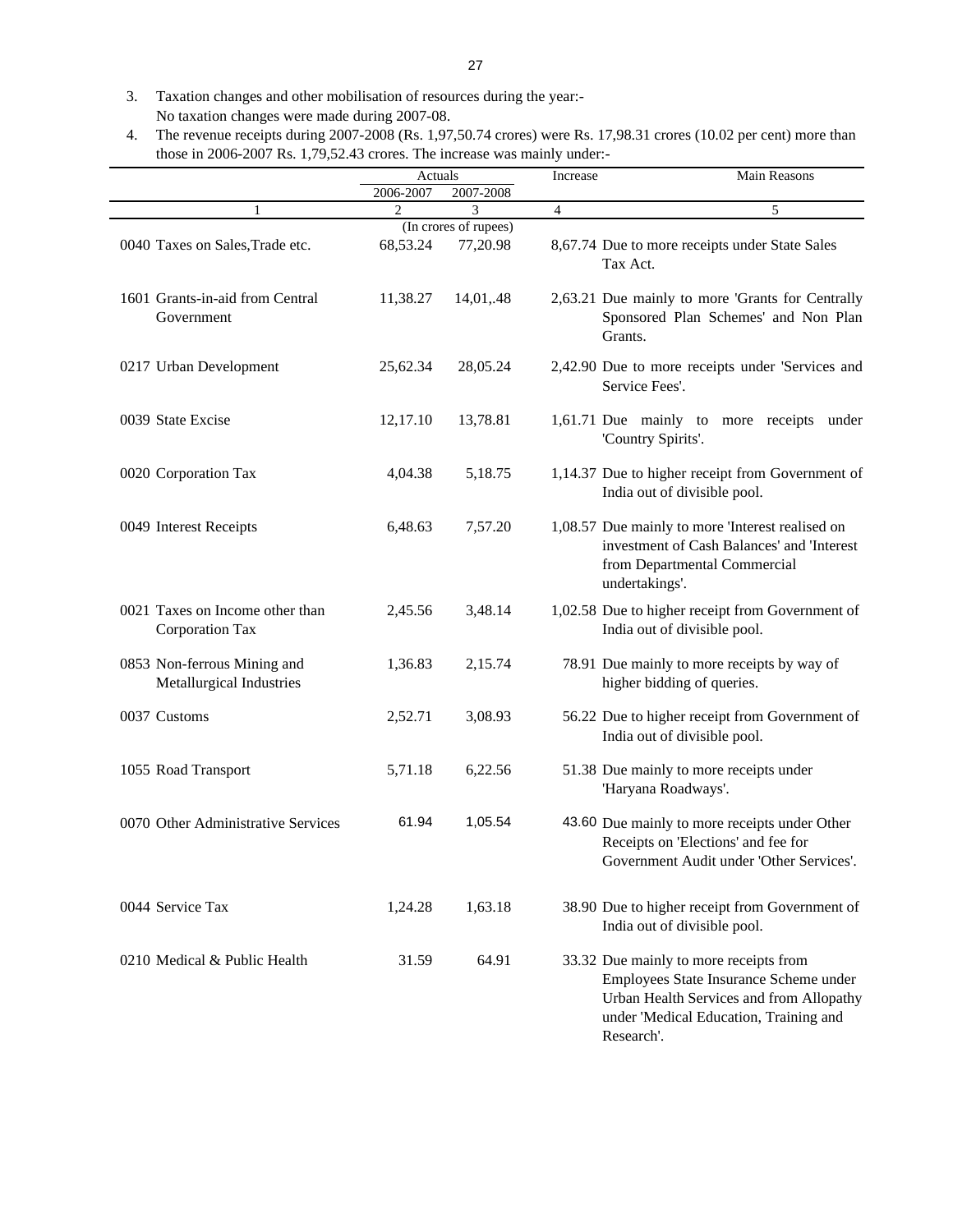- 3. Taxation changes and other mobilisation of resources during the year:- No taxation changes were made during 2007-08.
- 4. The revenue receipts during 2007-2008 (Rs. 1,97,50.74 crores) were Rs. 17,98.31 crores (10.02 per cent) more than those in 2006-2007 Rs. 1,79,52.43 crores. The increase was mainly under:-

|                                                         | Actuals        |                                   | Increase       | Main Reasons                                                                                                                                                                         |  |
|---------------------------------------------------------|----------------|-----------------------------------|----------------|--------------------------------------------------------------------------------------------------------------------------------------------------------------------------------------|--|
|                                                         | 2006-2007      | 2007-2008                         |                |                                                                                                                                                                                      |  |
| $\mathbf{1}$                                            | $\overline{c}$ |                                   | $\overline{4}$ | 5                                                                                                                                                                                    |  |
| 0040 Taxes on Sales, Trade etc.                         | 68,53.24       | (In crores of rupees)<br>77,20.98 |                | 8,67.74 Due to more receipts under State Sales<br>Tax Act.                                                                                                                           |  |
| 1601 Grants-in-aid from Central<br>Government           | 11,38.27       | 14,01,.48                         |                | 2,63.21 Due mainly to more 'Grants for Centrally<br>Sponsored Plan Schemes' and Non Plan<br>Grants.                                                                                  |  |
| 0217 Urban Development                                  | 25,62.34       | 28,05.24                          |                | 2,42.90 Due to more receipts under 'Services and<br>Service Fees'.                                                                                                                   |  |
| 0039 State Excise                                       | 12,17.10       | 13,78.81                          |                | 1,61.71 Due mainly to more receipts under<br>'Country Spirits'.                                                                                                                      |  |
| 0020 Corporation Tax                                    | 4,04.38        | 5,18.75                           |                | 1,14.37 Due to higher receipt from Government of<br>India out of divisible pool.                                                                                                     |  |
| 0049 Interest Receipts                                  | 6,48.63        | 7,57.20                           |                | 1,08.57 Due mainly to more 'Interest realised on<br>investment of Cash Balances' and 'Interest<br>from Departmental Commercial<br>undertakings'.                                     |  |
| 0021 Taxes on Income other than<br>Corporation Tax      | 2,45.56        | 3,48.14                           |                | 1,02.58 Due to higher receipt from Government of<br>India out of divisible pool.                                                                                                     |  |
| 0853 Non-ferrous Mining and<br>Metallurgical Industries | 1,36.83        | 2,15.74                           |                | 78.91 Due mainly to more receipts by way of<br>higher bidding of queries.                                                                                                            |  |
| 0037 Customs                                            | 2,52.71        | 3,08.93                           |                | 56.22 Due to higher receipt from Government of<br>India out of divisible pool.                                                                                                       |  |
| 1055 Road Transport                                     | 5,71.18        | 6,22.56                           |                | 51.38 Due mainly to more receipts under<br>'Haryana Roadways'.                                                                                                                       |  |
| 0070 Other Administrative Services                      | 61.94          | 1,05.54                           |                | 43.60 Due mainly to more receipts under Other<br>Receipts on 'Elections' and fee for<br>Government Audit under 'Other Services'.                                                     |  |
| 0044 Service Tax                                        | 1,24.28        | 1,63.18                           |                | 38.90 Due to higher receipt from Government of<br>India out of divisible pool.                                                                                                       |  |
| 0210 Medical & Public Health                            | 31.59          | 64.91                             |                | 33.32 Due mainly to more receipts from<br>Employees State Insurance Scheme under<br>Urban Health Services and from Allopathy<br>under 'Medical Education, Training and<br>Research'. |  |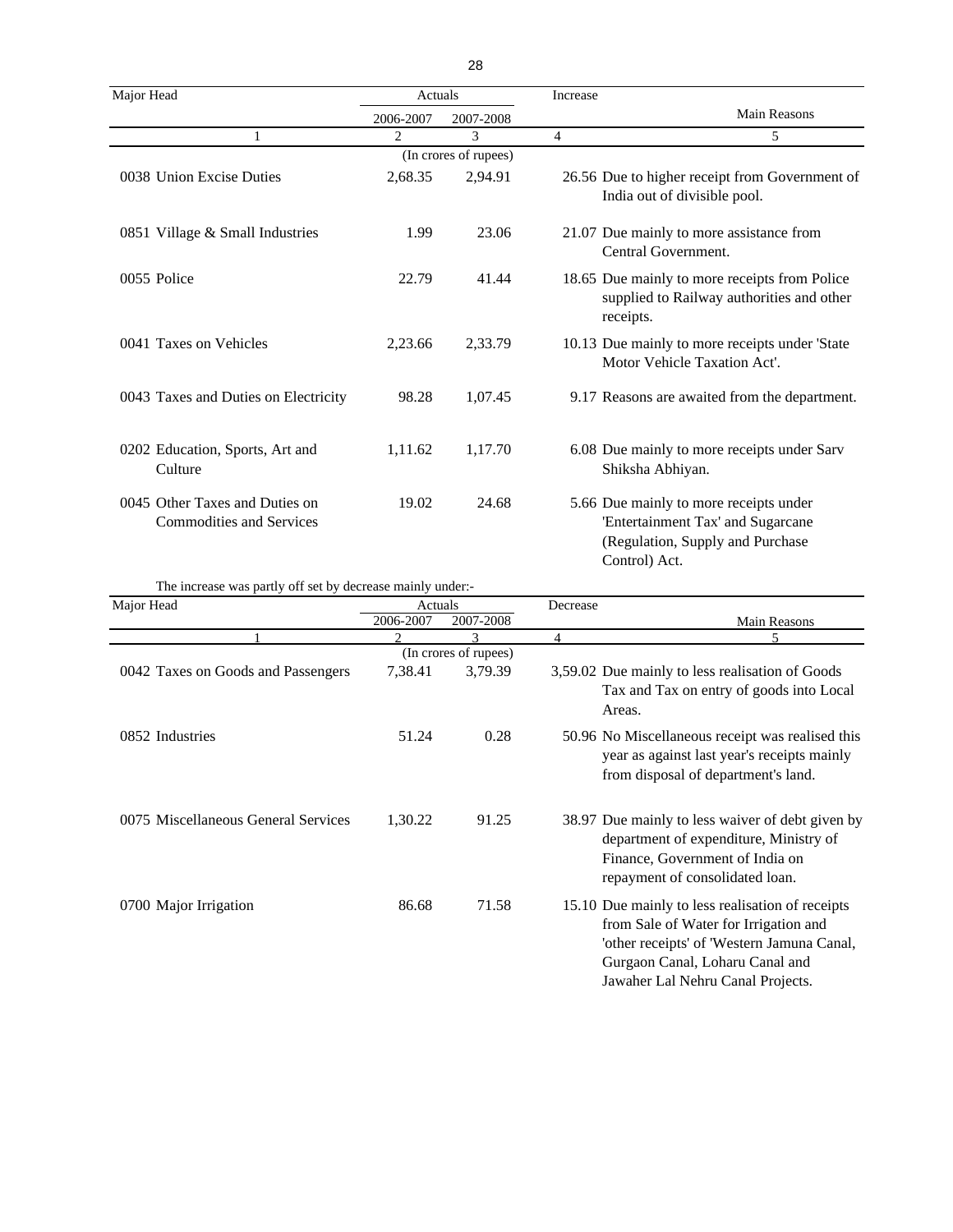| Major Head                                                        | Actuals   |                       | Increase                                                                                                                         |
|-------------------------------------------------------------------|-----------|-----------------------|----------------------------------------------------------------------------------------------------------------------------------|
|                                                                   | 2006-2007 | 2007-2008             | <b>Main Reasons</b>                                                                                                              |
| 1                                                                 | 2         | 3                     | $\overline{4}$<br>5                                                                                                              |
|                                                                   |           | (In crores of rupees) |                                                                                                                                  |
| 0038 Union Excise Duties                                          | 2,68.35   | 2,94.91               | 26.56 Due to higher receipt from Government of<br>India out of divisible pool.                                                   |
| 0851 Village & Small Industries                                   | 1.99      | 23.06                 | 21.07 Due mainly to more assistance from<br>Central Government.                                                                  |
| 0055 Police                                                       | 22.79     | 41.44                 | 18.65 Due mainly to more receipts from Police<br>supplied to Railway authorities and other<br>receipts.                          |
| 0041 Taxes on Vehicles                                            | 2,23.66   | 2,33.79               | 10.13 Due mainly to more receipts under 'State<br>Motor Vehicle Taxation Act'.                                                   |
| 0043 Taxes and Duties on Electricity                              | 98.28     | 1,07.45               | 9.17 Reasons are awaited from the department.                                                                                    |
| 0202 Education, Sports, Art and<br>Culture                        | 1,11.62   | 1,17.70               | 6.08 Due mainly to more receipts under Sarv<br>Shiksha Abhiyan.                                                                  |
| 0045 Other Taxes and Duties on<br><b>Commodities and Services</b> | 19.02     | 24.68                 | 5.66 Due mainly to more receipts under<br>'Entertainment Tax' and Sugarcane<br>(Regulation, Supply and Purchase<br>Control) Act. |

The increase was partly off set by decrease mainly under:-

| Major Head                          | Actuals   |                       | Decrease |                                                                                                                                                                                                                 |
|-------------------------------------|-----------|-----------------------|----------|-----------------------------------------------------------------------------------------------------------------------------------------------------------------------------------------------------------------|
|                                     | 2006-2007 | 2007-2008             |          | Main Reasons                                                                                                                                                                                                    |
|                                     | 2         | 3                     | 4        | 5                                                                                                                                                                                                               |
|                                     |           | (In crores of rupees) |          |                                                                                                                                                                                                                 |
| 0042 Taxes on Goods and Passengers  | 7,38.41   | 3,79.39               |          | 3,59.02 Due mainly to less realisation of Goods<br>Tax and Tax on entry of goods into Local<br>Areas.                                                                                                           |
| 0852 Industries                     | 51.24     | 0.28                  |          | 50.96 No Miscellaneous receipt was realised this<br>year as against last year's receipts mainly<br>from disposal of department's land.                                                                          |
| 0075 Miscellaneous General Services | 1,30.22   | 91.25                 |          | 38.97 Due mainly to less waiver of debt given by<br>department of expenditure, Ministry of<br>Finance, Government of India on<br>repayment of consolidated loan.                                                |
| 0700 Major Irrigation               | 86.68     | 71.58                 |          | 15.10 Due mainly to less realisation of receipts<br>from Sale of Water for Irrigation and<br>'other receipts' of 'Western Jamuna Canal,<br>Gurgaon Canal, Loharu Canal and<br>Jawaher Lal Nehru Canal Projects. |

28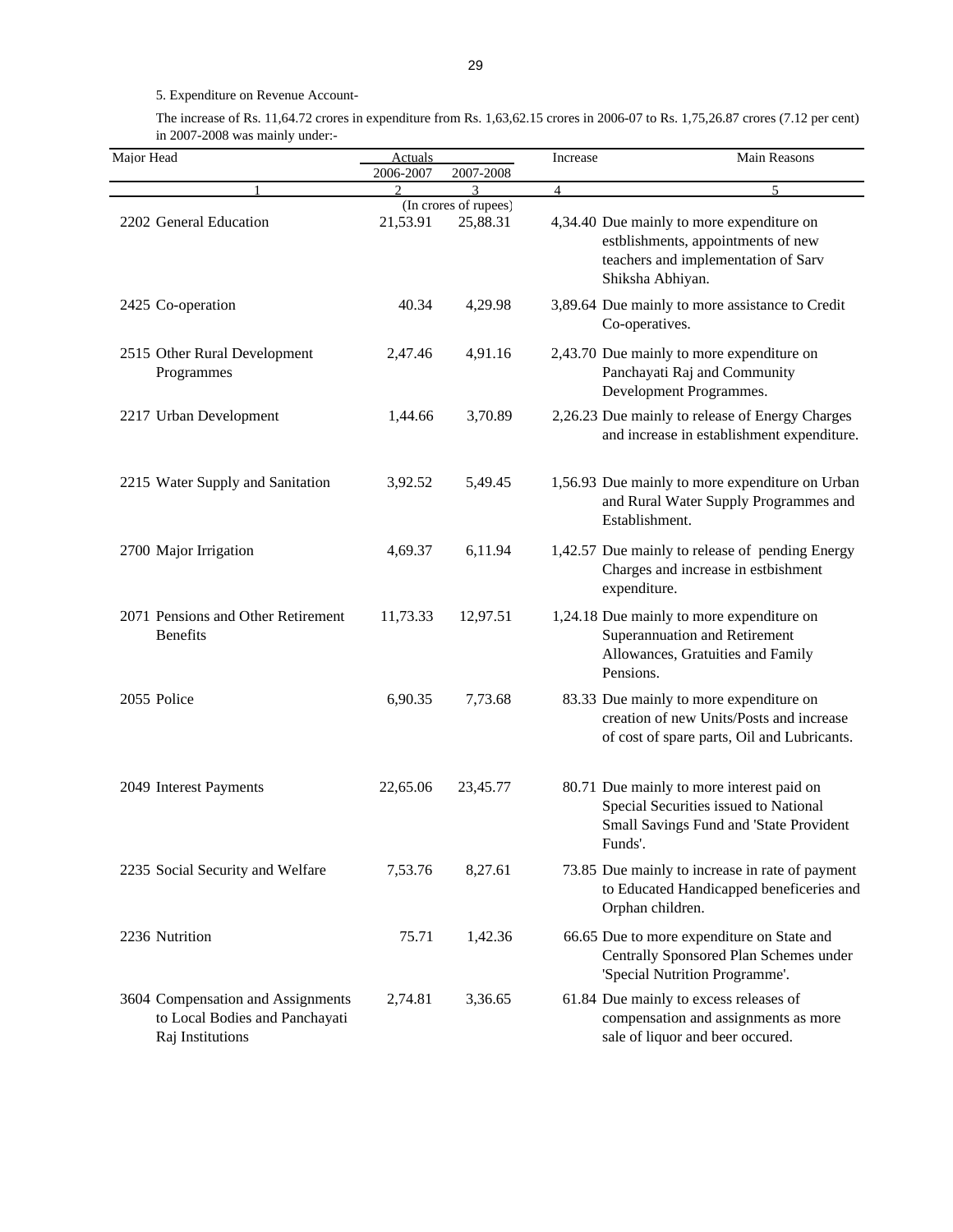The increase of Rs. 11,64.72 crores in expenditure from Rs. 1,63,62.15 crores in 2006-07 to Rs. 1,75,26.87 crores (7.12 per cent) in 2007-2008 was mainly under:-

| Major Head                                                                              | Actuals<br>2006-2007 | 2007-2008                         | Increase       | Main Reasons                                                                                                                               |
|-----------------------------------------------------------------------------------------|----------------------|-----------------------------------|----------------|--------------------------------------------------------------------------------------------------------------------------------------------|
|                                                                                         |                      |                                   | $\overline{4}$ | 5                                                                                                                                          |
| 2202 General Education                                                                  | 21,53.91             | (In crores of rupees)<br>25,88.31 |                | 4,34.40 Due mainly to more expenditure on<br>estblishments, appointments of new<br>teachers and implementation of Sarv<br>Shiksha Abhiyan. |
| 2425 Co-operation                                                                       | 40.34                | 4,29.98                           |                | 3,89.64 Due mainly to more assistance to Credit<br>Co-operatives.                                                                          |
| 2515 Other Rural Development<br>Programmes                                              | 2,47.46              | 4,91.16                           |                | 2,43.70 Due mainly to more expenditure on<br>Panchayati Raj and Community<br>Development Programmes.                                       |
| 2217 Urban Development                                                                  | 1,44.66              | 3,70.89                           |                | 2,26.23 Due mainly to release of Energy Charges<br>and increase in establishment expenditure.                                              |
| 2215 Water Supply and Sanitation                                                        | 3,92.52              | 5,49.45                           |                | 1,56.93 Due mainly to more expenditure on Urban<br>and Rural Water Supply Programmes and<br>Establishment.                                 |
| 2700 Major Irrigation                                                                   | 4,69.37              | 6,11.94                           |                | 1,42.57 Due mainly to release of pending Energy<br>Charges and increase in estbishment<br>expenditure.                                     |
| 2071 Pensions and Other Retirement<br><b>Benefits</b>                                   | 11,73.33             | 12,97.51                          |                | 1,24.18 Due mainly to more expenditure on<br>Superannuation and Retirement<br>Allowances, Gratuities and Family<br>Pensions.               |
| 2055 Police                                                                             | 6,90.35              | 7,73.68                           |                | 83.33 Due mainly to more expenditure on<br>creation of new Units/Posts and increase<br>of cost of spare parts, Oil and Lubricants.         |
| 2049 Interest Payments                                                                  | 22,65.06             | 23,45.77                          |                | 80.71 Due mainly to more interest paid on<br>Special Securities issued to National<br>Small Savings Fund and 'State Provident<br>Funds'.   |
| 2235 Social Security and Welfare                                                        | 7,53.76              | 8,27.61                           |                | 73.85 Due mainly to increase in rate of payment<br>to Educated Handicapped beneficeries and<br>Orphan children.                            |
| 2236 Nutrition                                                                          | 75.71                | 1,42.36                           |                | 66.65 Due to more expenditure on State and<br>Centrally Sponsored Plan Schemes under<br>'Special Nutrition Programme'.                     |
| 3604 Compensation and Assignments<br>to Local Bodies and Panchayati<br>Raj Institutions | 2,74.81              | 3,36.65                           |                | 61.84 Due mainly to excess releases of<br>compensation and assignments as more<br>sale of liquor and beer occured.                         |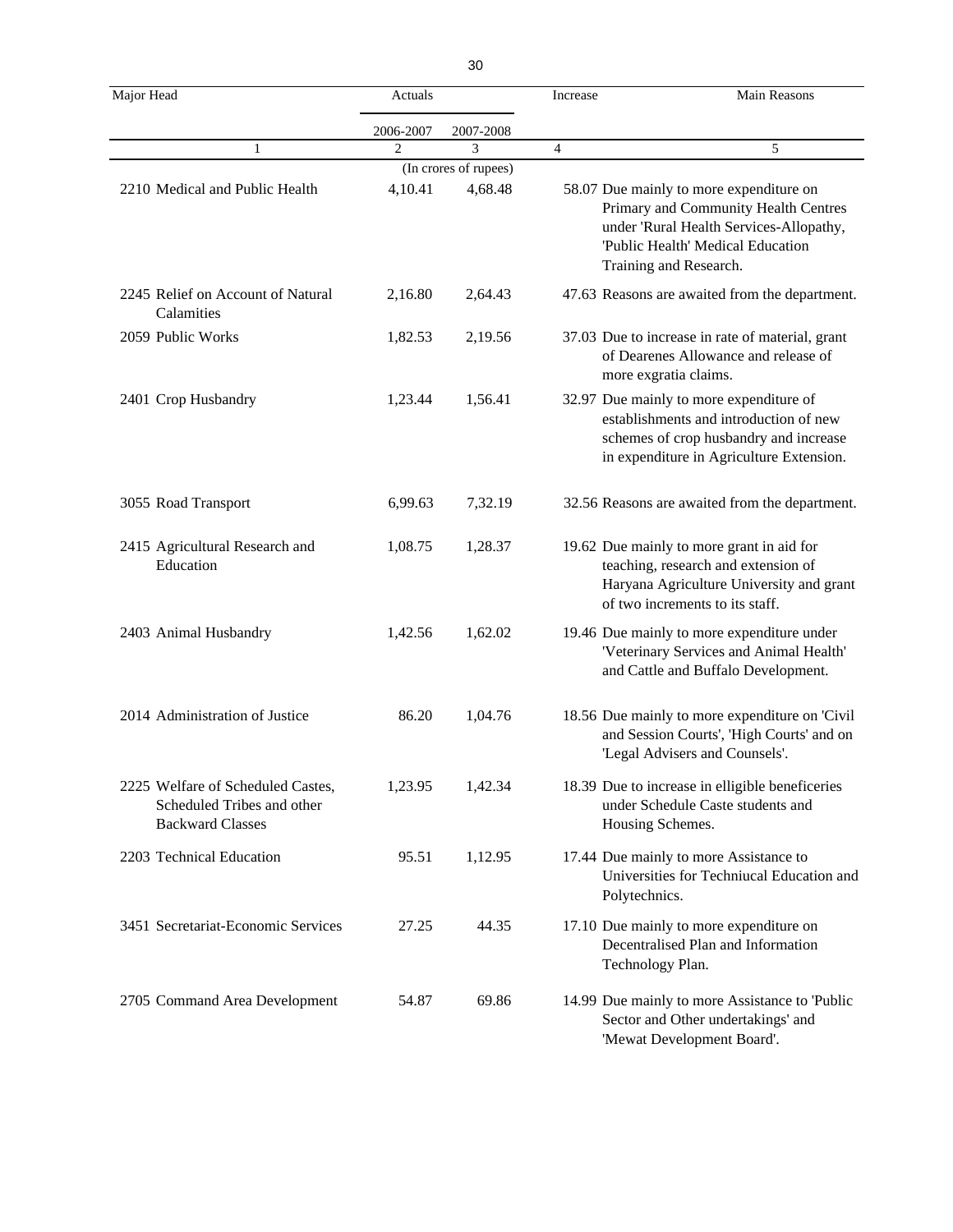| Major Head                                                                                 | Actuals        |                       | Increase       | Main Reasons                                                                                                                                                                              |
|--------------------------------------------------------------------------------------------|----------------|-----------------------|----------------|-------------------------------------------------------------------------------------------------------------------------------------------------------------------------------------------|
|                                                                                            | 2006-2007      | 2007-2008             |                |                                                                                                                                                                                           |
| $\mathbf{1}$                                                                               | $\overline{2}$ | 3                     | $\overline{4}$ | 5                                                                                                                                                                                         |
|                                                                                            |                | (In crores of rupees) |                |                                                                                                                                                                                           |
| 2210 Medical and Public Health                                                             | 4,10.41        | 4,68.48               |                | 58.07 Due mainly to more expenditure on<br>Primary and Community Health Centres<br>under 'Rural Health Services-Allopathy,<br>'Public Health' Medical Education<br>Training and Research. |
| 2245 Relief on Account of Natural<br>Calamities                                            | 2,16.80        | 2,64.43               |                | 47.63 Reasons are awaited from the department.                                                                                                                                            |
| 2059 Public Works                                                                          | 1,82.53        | 2,19.56               |                | 37.03 Due to increase in rate of material, grant<br>of Dearenes Allowance and release of<br>more exgratia claims.                                                                         |
| 2401 Crop Husbandry                                                                        | 1,23.44        | 1,56.41               |                | 32.97 Due mainly to more expenditure of<br>establishments and introduction of new<br>schemes of crop husbandry and increase<br>in expenditure in Agriculture Extension.                   |
| 3055 Road Transport                                                                        | 6,99.63        | 7,32.19               |                | 32.56 Reasons are awaited from the department.                                                                                                                                            |
| 2415 Agricultural Research and<br>Education                                                | 1,08.75        | 1,28.37               |                | 19.62 Due mainly to more grant in aid for<br>teaching, research and extension of<br>Haryana Agriculture University and grant<br>of two increments to its staff.                           |
| 2403 Animal Husbandry                                                                      | 1,42.56        | 1,62.02               |                | 19.46 Due mainly to more expenditure under<br>'Veterinary Services and Animal Health'<br>and Cattle and Buffalo Development.                                                              |
| 2014 Administration of Justice                                                             | 86.20          | 1,04.76               |                | 18.56 Due mainly to more expenditure on 'Civil<br>and Session Courts', 'High Courts' and on<br>'Legal Advisers and Counsels'.                                                             |
| 2225 Welfare of Scheduled Castes,<br>Scheduled Tribes and other<br><b>Backward Classes</b> | 1,23.95        | 1,42.34               |                | 18.39 Due to increase in elligible beneficeries<br>under Schedule Caste students and<br>Housing Schemes.                                                                                  |
| 2203 Technical Education                                                                   | 95.51          | 1,12.95               |                | 17.44 Due mainly to more Assistance to<br>Universities for Techniucal Education and<br>Polytechnics.                                                                                      |
| 3451 Secretariat-Economic Services                                                         | 27.25          | 44.35                 |                | 17.10 Due mainly to more expenditure on<br>Decentralised Plan and Information<br>Technology Plan.                                                                                         |
| 2705 Command Area Development                                                              | 54.87          | 69.86                 |                | 14.99 Due mainly to more Assistance to 'Public<br>Sector and Other undertakings' and<br>'Mewat Development Board'.                                                                        |

30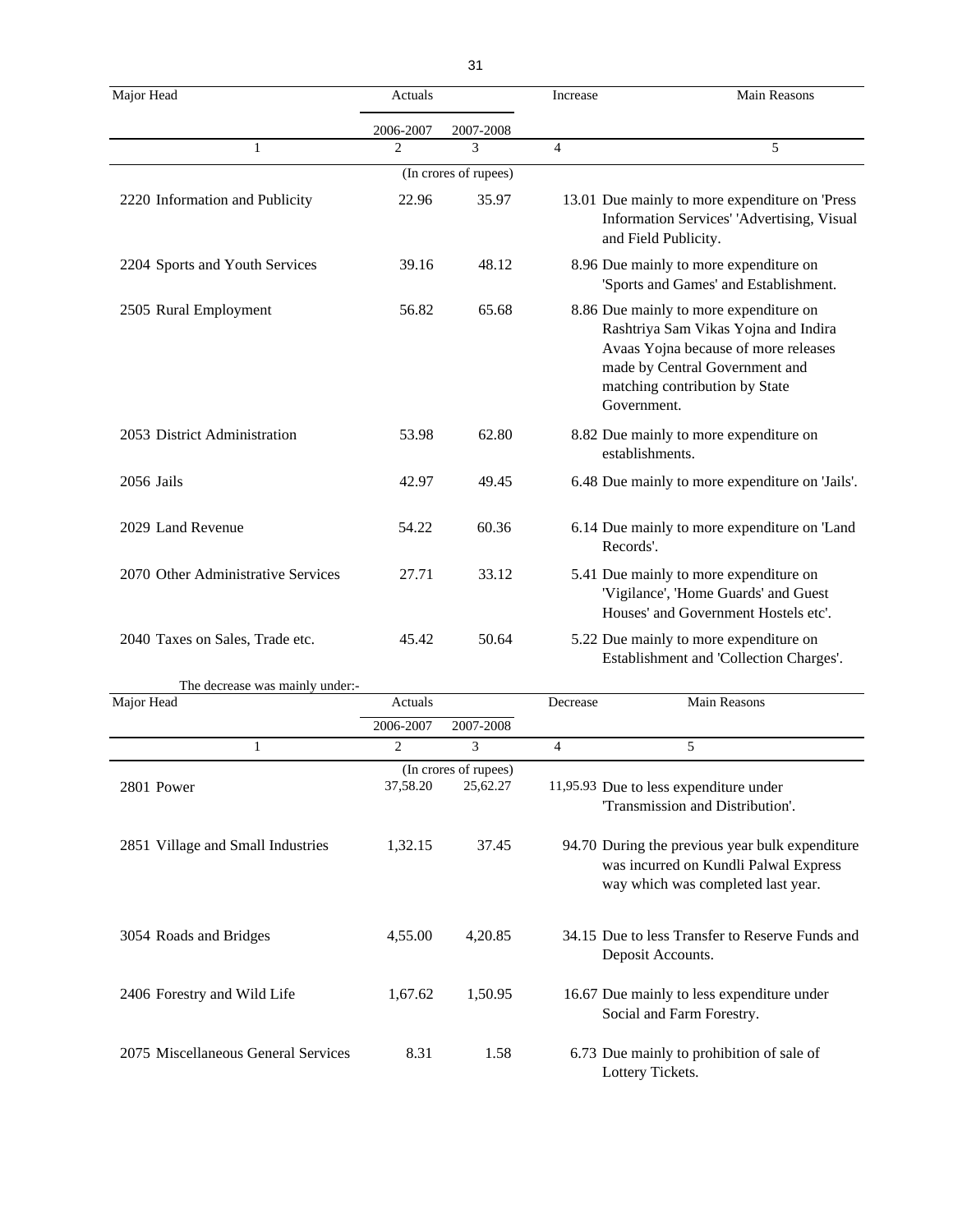| Major Head                         | Actuals        |                       | Increase        | <b>Main Reasons</b>                                                                                                                                                                        |  |
|------------------------------------|----------------|-----------------------|-----------------|--------------------------------------------------------------------------------------------------------------------------------------------------------------------------------------------|--|
|                                    | 2006-2007      | 2007-2008             |                 |                                                                                                                                                                                            |  |
| 1                                  | $\overline{c}$ | 3                     | $\overline{4}$  | 5                                                                                                                                                                                          |  |
|                                    |                | (In crores of rupees) |                 |                                                                                                                                                                                            |  |
| 2220 Information and Publicity     | 22.96          | 35.97                 |                 | 13.01 Due mainly to more expenditure on 'Press<br>Information Services' 'Advertising, Visual<br>and Field Publicity.                                                                       |  |
| 2204 Sports and Youth Services     | 39.16          | 48.12                 |                 | 8.96 Due mainly to more expenditure on<br>'Sports and Games' and Establishment.                                                                                                            |  |
| 2505 Rural Employment              | 56.82          | 65.68                 | Government.     | 8.86 Due mainly to more expenditure on<br>Rashtriya Sam Vikas Yojna and Indira<br>Avaas Yojna because of more releases<br>made by Central Government and<br>matching contribution by State |  |
| 2053 District Administration       | 53.98          | 62.80                 | establishments. | 8.82 Due mainly to more expenditure on                                                                                                                                                     |  |
| 2056 Jails                         | 42.97          | 49.45                 |                 | 6.48 Due mainly to more expenditure on 'Jails'.                                                                                                                                            |  |
| 2029 Land Revenue                  | 54.22          | 60.36                 | Records'.       | 6.14 Due mainly to more expenditure on 'Land                                                                                                                                               |  |
| 2070 Other Administrative Services | 27.71          | 33.12                 |                 | 5.41 Due mainly to more expenditure on<br>'Vigilance', 'Home Guards' and Guest<br>Houses' and Government Hostels etc'.                                                                     |  |
| 2040 Taxes on Sales, Trade etc.    | 45.42          | 50.64                 |                 | 5.22 Due mainly to more expenditure on<br>Establishment and 'Collection Charges'.                                                                                                          |  |

| Major Head                          | Actuals   |                       |   | <b>Main Reasons</b>                                                                                                            |
|-------------------------------------|-----------|-----------------------|---|--------------------------------------------------------------------------------------------------------------------------------|
|                                     | 2006-2007 | 2007-2008             |   |                                                                                                                                |
|                                     | 2         | 3                     | 4 | 5                                                                                                                              |
|                                     |           | (In crores of rupees) |   |                                                                                                                                |
| 2801 Power                          | 37,58.20  | 25,62.27              |   | 11,95.93 Due to less expenditure under<br>Transmission and Distribution'.                                                      |
| 2851 Village and Small Industries   | 1,32.15   | 37.45                 |   | 94.70 During the previous year bulk expenditure<br>was incurred on Kundli Palwal Express<br>way which was completed last year. |
| 3054 Roads and Bridges              | 4,55.00   | 4,20.85               |   | 34.15 Due to less Transfer to Reserve Funds and<br>Deposit Accounts.                                                           |
| 2406 Forestry and Wild Life         | 1,67.62   | 1,50.95               |   | 16.67 Due mainly to less expenditure under<br>Social and Farm Forestry.                                                        |
| 2075 Miscellaneous General Services | 8.31      | 1.58                  |   | 6.73 Due mainly to prohibition of sale of<br>Lottery Tickets.                                                                  |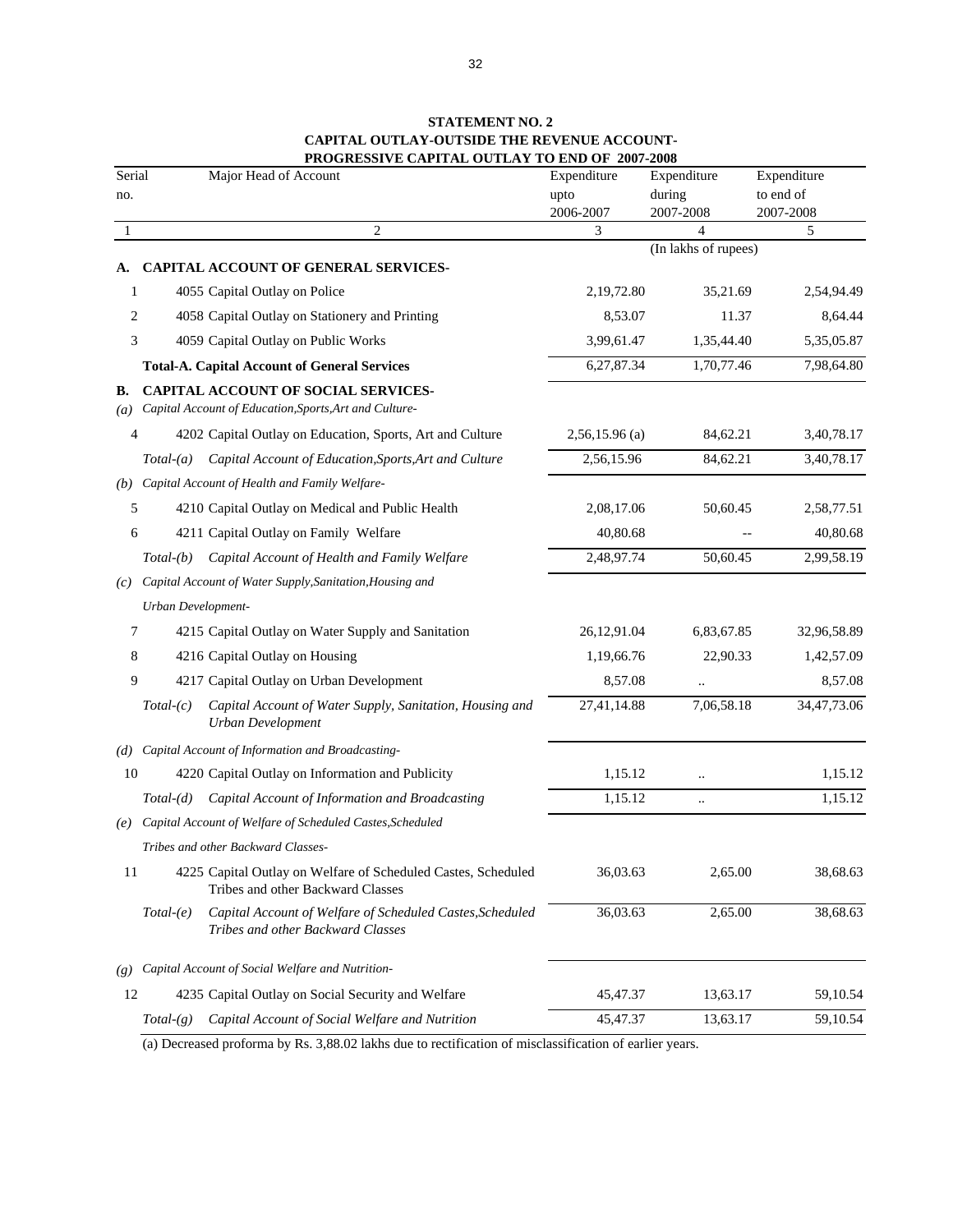| Serial                 |                    | Major Head of Account                                                                                | Expenditure       | Expenditure               | Expenditure            |
|------------------------|--------------------|------------------------------------------------------------------------------------------------------|-------------------|---------------------------|------------------------|
| no.                    |                    |                                                                                                      | upto<br>2006-2007 | during<br>2007-2008       | to end of<br>2007-2008 |
| 1                      |                    | $\boldsymbol{2}$                                                                                     | 3                 | 4                         | 5                      |
| А.                     |                    | CAPITAL ACCOUNT OF GENERAL SERVICES-                                                                 |                   | (In lakhs of rupees)      |                        |
| 1                      |                    | 4055 Capital Outlay on Police                                                                        | 2,19,72.80        | 35,21.69                  | 2,54,94.49             |
| 2                      |                    | 4058 Capital Outlay on Stationery and Printing                                                       | 8,53.07           | 11.37                     | 8,64.44                |
| 3                      |                    | 4059 Capital Outlay on Public Works                                                                  | 3,99,61.47        | 1,35,44.40                | 5,35,05.87             |
|                        |                    | <b>Total-A. Capital Account of General Services</b>                                                  | 6,27,87.34        | 1,70,77.46                | 7,98,64.80             |
| В.<br>$\left(a\right)$ |                    | <b>CAPITAL ACCOUNT OF SOCIAL SERVICES-</b><br>Capital Account of Education, Sports, Art and Culture- |                   |                           |                        |
| 4                      |                    | 4202 Capital Outlay on Education, Sports, Art and Culture                                            | $2,56,15.96$ (a)  | 84,62.21                  | 3,40,78.17             |
|                        | $Total-(a)$        | Capital Account of Education, Sports, Art and Culture                                                | 2,56,15.96        | 84,62.21                  | 3,40,78.17             |
| (b)                    |                    | Capital Account of Health and Family Welfare-                                                        |                   |                           |                        |
| 5                      |                    | 4210 Capital Outlay on Medical and Public Health                                                     | 2,08,17.06        | 50,60.45                  | 2,58,77.51             |
| 6                      |                    | 4211 Capital Outlay on Family Welfare                                                                | 40,80.68          |                           | 40,80.68               |
|                        | $Total-(b)$        | Capital Account of Health and Family Welfare                                                         | 2,48,97.74        | 50,60.45                  | 2,99,58.19             |
| (c)                    |                    | Capital Account of Water Supply, Sanitation, Housing and                                             |                   |                           |                        |
|                        | Urban Development- |                                                                                                      |                   |                           |                        |
| 7                      |                    | 4215 Capital Outlay on Water Supply and Sanitation                                                   | 26,12,91.04       | 6,83,67.85                | 32,96,58.89            |
| 8                      |                    | 4216 Capital Outlay on Housing                                                                       | 1,19,66.76        | 22,90.33                  | 1,42,57.09             |
| 9                      |                    | 4217 Capital Outlay on Urban Development                                                             | 8,57.08           |                           | 8,57.08                |
|                        | $Total-(c)$        | Capital Account of Water Supply, Sanitation, Housing and<br><b>Urban Development</b>                 | 27,41,14.88       | 7,06,58.18                | 34,47,73.06            |
| (d)                    |                    | Capital Account of Information and Broadcasting-                                                     |                   |                           |                        |
| 10                     |                    | 4220 Capital Outlay on Information and Publicity                                                     | 1,15.12           | $\ddot{\phantom{0}}\cdot$ | 1,15.12                |
|                        | $Total-(d)$        | Capital Account of Information and Broadcasting                                                      | 1,15.12           | $\ddot{\phantom{0}}$      | 1,15.12                |
| (e)                    |                    | Capital Account of Welfare of Scheduled Castes, Scheduled                                            |                   |                           |                        |
|                        |                    | Tribes and other Backward Classes-                                                                   |                   |                           |                        |
| 11                     |                    | 4225 Capital Outlay on Welfare of Scheduled Castes, Scheduled<br>Tribes and other Backward Classes   | 36,03.63          | 2,65.00                   | 38,68.63               |
|                        | Total(e)           | Capital Account of Welfare of Scheduled Castes, Scheduled<br>Tribes and other Backward Classes       | 36,03.63          | 2,65.00                   | 38,68.63               |
| (g)                    |                    | Capital Account of Social Welfare and Nutrition-                                                     |                   |                           |                        |
| 12                     |                    | 4235 Capital Outlay on Social Security and Welfare                                                   | 45,47.37          | 13,63.17                  | 59,10.54               |
|                        | $Total-(g)$        | Capital Account of Social Welfare and Nutrition                                                      | 45,47.37          | 13,63.17                  | 59,10.54               |

### **CAPITAL OUTLAY-OUTSIDE THE REVENUE ACCOUNT-PROGRESSIVE CAPITAL OUTLAY TO END OF 2007-2008 STATEMENT NO. 2**

(a) Decreased proforma by Rs. 3,88.02 lakhs due to rectification of misclassification of earlier years.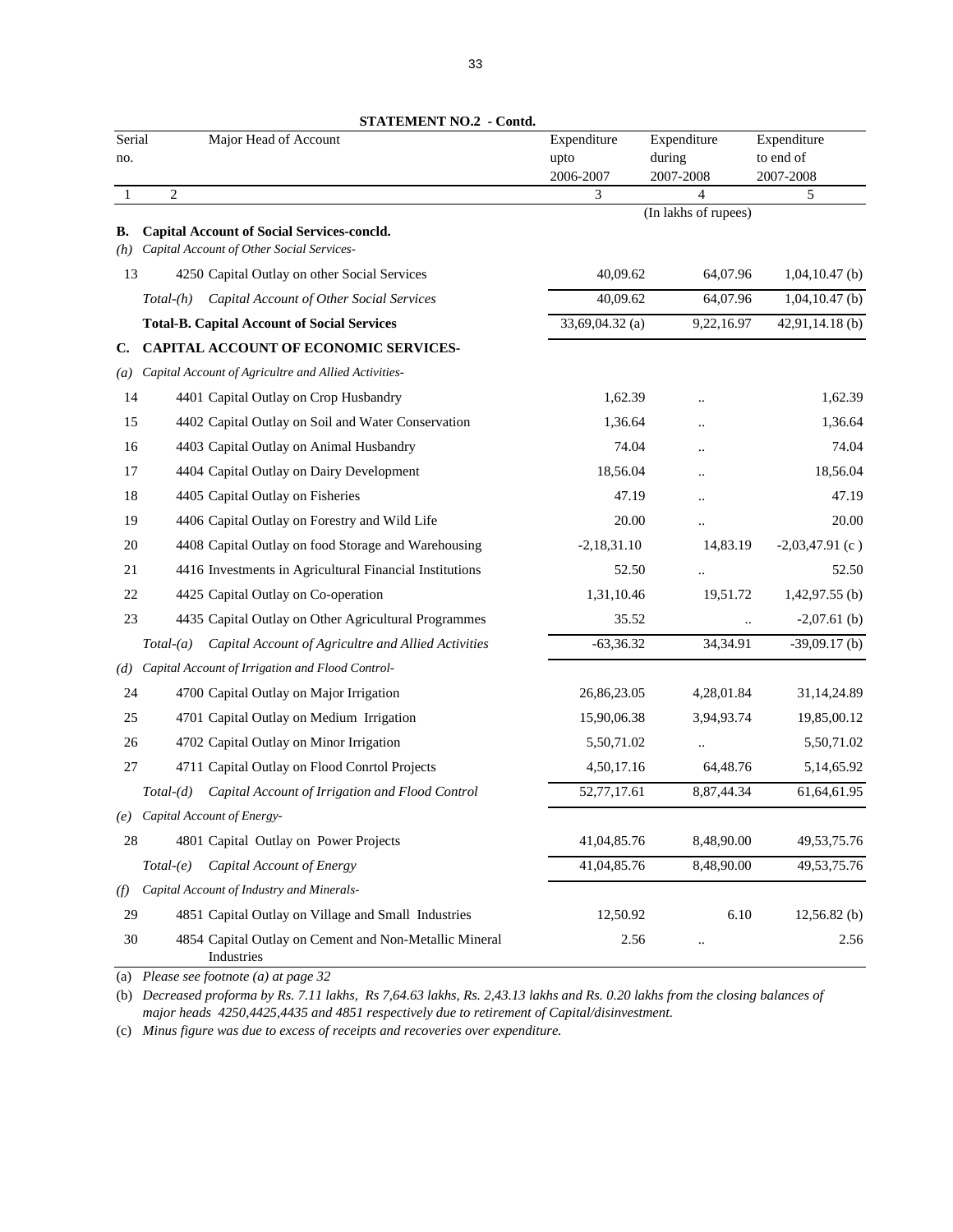| Serial<br>no. |                | Major Head of Account                                                                          | Expenditure<br>upto<br>2006-2007 | Expenditure<br>during<br>2007-2008 | Expenditure<br>to end of<br>2007-2008 |
|---------------|----------------|------------------------------------------------------------------------------------------------|----------------------------------|------------------------------------|---------------------------------------|
| $\mathbf{1}$  | $\overline{c}$ |                                                                                                | 3                                | 4                                  | 5                                     |
| В.<br>(h)     |                | <b>Capital Account of Social Services-concld.</b><br>Capital Account of Other Social Services- |                                  | (In lakhs of rupees)               |                                       |
| 13            |                | 4250 Capital Outlay on other Social Services                                                   | 40,09.62                         | 64,07.96                           | $1,04,10.47$ (b)                      |
|               | $Total-(h)$    | Capital Account of Other Social Services                                                       | 40,09.62                         | 64,07.96                           | $1,04,10.47$ (b)                      |
|               |                | <b>Total-B. Capital Account of Social Services</b>                                             | 33,69,04.32 (a)                  | 9,22,16.97                         | $42,91,14.18$ (b)                     |
| C.            |                | CAPITAL ACCOUNT OF ECONOMIC SERVICES-                                                          |                                  |                                    |                                       |
| (a)           |                | Capital Account of Agricultre and Allied Activities-                                           |                                  |                                    |                                       |
| 14            |                | 4401 Capital Outlay on Crop Husbandry                                                          | 1,62.39                          |                                    | 1,62.39                               |
| 15            |                | 4402 Capital Outlay on Soil and Water Conservation                                             | 1,36.64                          |                                    | 1,36.64                               |
| 16            |                | 4403 Capital Outlay on Animal Husbandry                                                        | 74.04                            | $\ddot{\phantom{a}}$               | 74.04                                 |
| 17            |                | 4404 Capital Outlay on Dairy Development                                                       | 18,56.04                         |                                    | 18,56.04                              |
| 18            |                | 4405 Capital Outlay on Fisheries                                                               | 47.19                            | $\ddotsc$                          | 47.19                                 |
| 19            |                | 4406 Capital Outlay on Forestry and Wild Life                                                  | 20.00                            |                                    | 20.00                                 |
| 20            |                | 4408 Capital Outlay on food Storage and Warehousing                                            | $-2,18,31.10$                    | 14,83.19                           | $-2,03,47.91$ (c)                     |
| 21            |                | 4416 Investments in Agricultural Financial Institutions                                        | 52.50                            |                                    | 52.50                                 |
| 22            |                | 4425 Capital Outlay on Co-operation                                                            | 1,31,10.46                       | 19,51.72                           | $1,42,97.55$ (b)                      |
| 23            |                | 4435 Capital Outlay on Other Agricultural Programmes                                           | 35.52                            |                                    | $-2,07.61$ (b)                        |
|               | $Total-(a)$    | Capital Account of Agricultre and Allied Activities                                            | $-63,36.32$                      | 34,34.91                           | $-39,09.17$ (b)                       |
| (d)           |                | Capital Account of Irrigation and Flood Control-                                               |                                  |                                    |                                       |
| 24            |                | 4700 Capital Outlay on Major Irrigation                                                        | 26,86,23.05                      | 4,28,01.84                         | 31, 14, 24.89                         |
| 25            |                | 4701 Capital Outlay on Medium Irrigation                                                       | 15,90,06.38                      | 3,94,93.74                         | 19,85,00.12                           |
| 26            |                | 4702 Capital Outlay on Minor Irrigation                                                        | 5,50,71.02                       |                                    | 5,50,71.02                            |
| 27            |                | 4711 Capital Outlay on Flood Conrtol Projects                                                  | 4,50,17.16                       | 64,48.76                           | 5,14,65.92                            |
|               | $Total-(d)$    | Capital Account of Irrigation and Flood Control                                                | 52,77,17.61                      | 8,87,44.34                         | 61,64,61.95                           |
| (e)           |                | Capital Account of Energy-                                                                     |                                  |                                    |                                       |
| 28            |                | 4801 Capital Outlay on Power Projects                                                          | 41,04,85.76                      | 8,48,90.00                         | 49,53,75.76                           |
|               | Total(e)       | Capital Account of Energy                                                                      | 41,04,85.76                      | 8,48,90.00                         | 49, 53, 75. 76                        |
| (f)           |                | Capital Account of Industry and Minerals-                                                      |                                  |                                    |                                       |
| 29            |                | 4851 Capital Outlay on Village and Small Industries                                            | 12,50.92                         | 6.10                               | $12,56.82$ (b)                        |
| 30            |                | 4854 Capital Outlay on Cement and Non-Metallic Mineral<br>Industries                           | 2.56                             | $\ddotsc$                          | 2.56                                  |

**STATEMENT NO.2 - Contd.**

(a) *Please see footnote (a) at page 32*

(b) *Decreased proforma by Rs. 7.11 lakhs, Rs 7,64.63 lakhs, Rs. 2,43.13 lakhs and Rs. 0.20 lakhs from the closing balances of major heads 4250,4425,4435 and 4851 respectively due to retirement of Capital/disinvestment.*

(c) *Minus figure was due to excess of receipts and recoveries over expenditure.*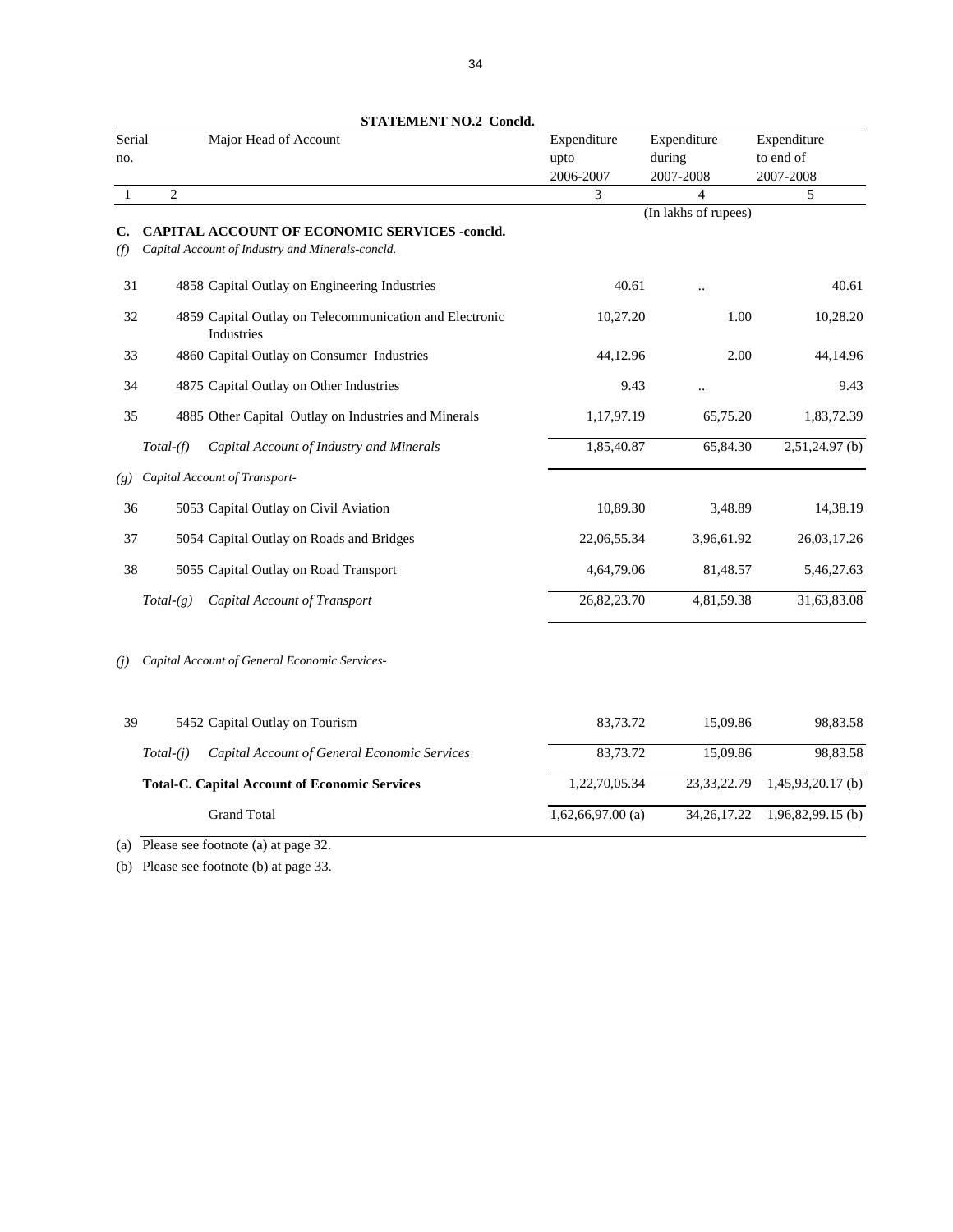| Serial       |                | Major Head of Account                                                 | Expenditure         | Expenditure          | Expenditure       |
|--------------|----------------|-----------------------------------------------------------------------|---------------------|----------------------|-------------------|
| no.          |                |                                                                       | upto                | during               | to end of         |
|              |                |                                                                       | 2006-2007           | 2007-2008            | 2007-2008         |
| $\mathbf{1}$ | $\overline{c}$ |                                                                       | 3                   | 4                    | 5                 |
|              |                |                                                                       |                     | (In lakhs of rupees) |                   |
| C.           |                | CAPITAL ACCOUNT OF ECONOMIC SERVICES -concld.                         |                     |                      |                   |
| (f)          |                | Capital Account of Industry and Minerals-concld.                      |                     |                      |                   |
| 31           |                | 4858 Capital Outlay on Engineering Industries                         | 40.61               |                      | 40.61             |
| 32           |                | 4859 Capital Outlay on Telecommunication and Electronic<br>Industries | 10,27.20            | 1.00                 | 10,28.20          |
| 33           |                | 4860 Capital Outlay on Consumer Industries                            | 44,12.96            | 2.00                 | 44,14.96          |
| 34           |                | 4875 Capital Outlay on Other Industries                               | 9.43                |                      | 9.43              |
| 35           |                | 4885 Other Capital Outlay on Industries and Minerals                  | 1,17,97.19          | 65,75.20             | 1,83,72.39        |
|              | $Total-(f)$    | Capital Account of Industry and Minerals                              | 1,85,40.87          | 65,84.30             | 2,51,24.97 (b)    |
| (g)          |                | Capital Account of Transport-                                         |                     |                      |                   |
| 36           |                | 5053 Capital Outlay on Civil Aviation                                 | 10,89.30            | 3,48.89              | 14,38.19          |
| 37           |                | 5054 Capital Outlay on Roads and Bridges                              | 22,06,55.34         | 3,96,61.92           | 26,03,17.26       |
| 38           |                | 5055 Capital Outlay on Road Transport                                 | 4,64,79.06          | 81,48.57             | 5,46,27.63        |
|              | $Total-(g)$    | Capital Account of Transport                                          | 26,82,23.70         | 4,81,59.38           | 31,63,83.08       |
| (i)          |                | Capital Account of General Economic Services-                         |                     |                      |                   |
| 39           |                | 5452 Capital Outlay on Tourism                                        | 83,73.72            | 15,09.86             | 98,83.58          |
|              | $Total-(j)$    | Capital Account of General Economic Services                          | 83,73.72            | 15,09.86             | 98,83.58          |
|              |                | <b>Total-C. Capital Account of Economic Services</b>                  | 1,22,70,05.34       | 23,33,22.79          | 1,45,93,20.17(b)  |
|              |                | <b>Grand Total</b>                                                    | $1,62,66,97.00$ (a) | 34, 26, 17. 22       | 1,96,82,99.15 (b) |

**STATEMENT NO.2 Concld.**

(a) Please see footnote (a) at page 32.

(b) Please see footnote (b) at page 33.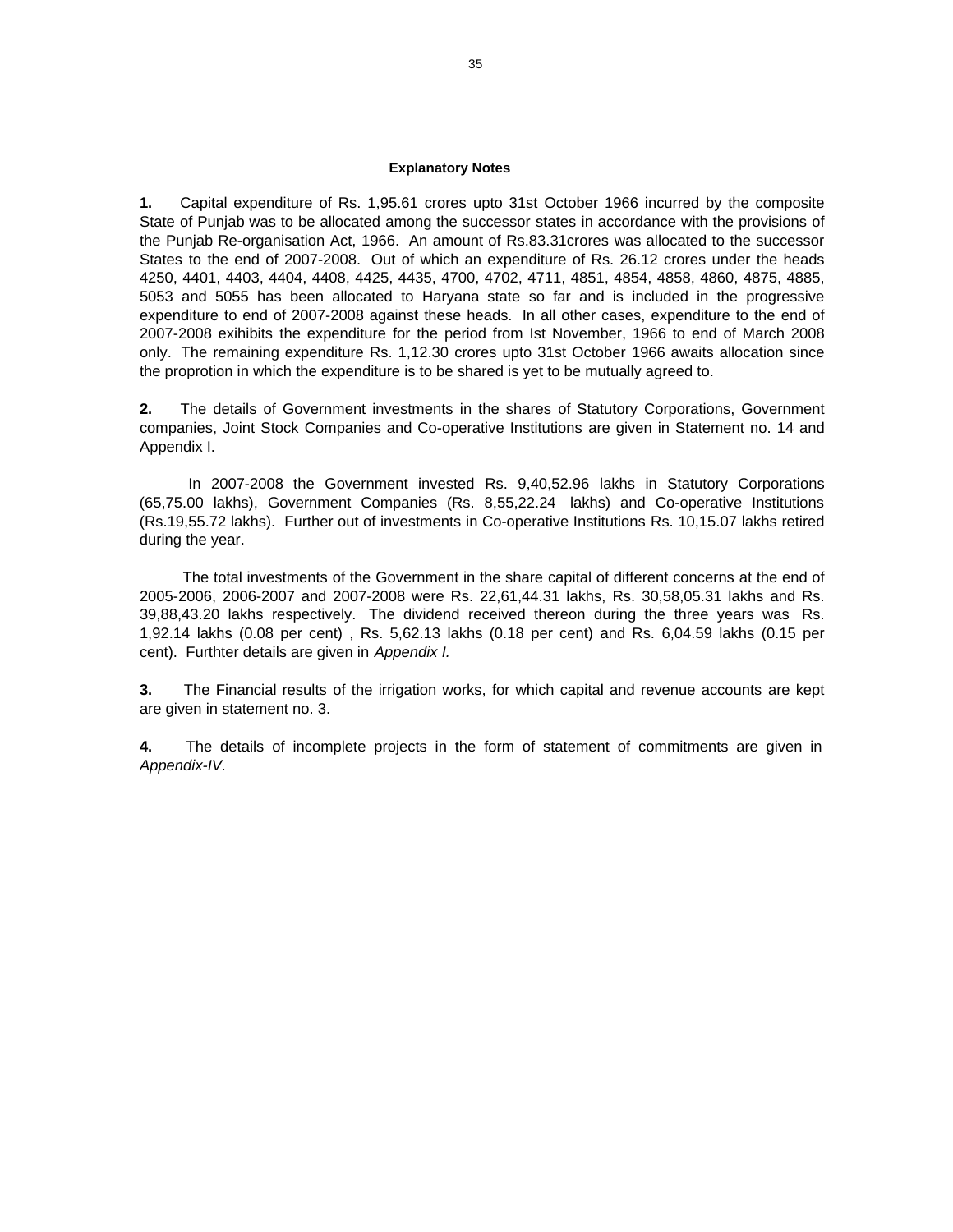#### **Explanatory Notes**

**1.** Capital expenditure of Rs. 1,95.61 crores upto 31st October 1966 incurred by the composite State of Punjab was to be allocated among the successor states in accordance with the provisions of the Punjab Re-organisation Act, 1966. An amount of Rs.83.31crores was allocated to the successor States to the end of 2007-2008. Out of which an expenditure of Rs. 26.12 crores under the heads 4250, 4401, 4403, 4404, 4408, 4425, 4435, 4700, 4702, 4711, 4851, 4854, 4858, 4860, 4875, 4885, 5053 and 5055 has been allocated to Haryana state so far and is included in the progressive expenditure to end of 2007-2008 against these heads. In all other cases, expenditure to the end of 2007-2008 exihibits the expenditure for the period from Ist November, 1966 to end of March 2008 only. The remaining expenditure Rs. 1,12.30 crores upto 31st October 1966 awaits allocation since the proprotion in which the expenditure is to be shared is yet to be mutually agreed to.

**2.** The details of Government investments in the shares of Statutory Corporations, Government companies, Joint Stock Companies and Co-operative Institutions are given in Statement no. 14 and Appendix I.

In 2007-2008 the Government invested Rs. 9,40,52.96 lakhs in Statutory Corporations (65,75.00 lakhs), Government Companies (Rs. 8,55,22.24 lakhs) and Co-operative Institutions (Rs.19,55.72 lakhs). Further out of investments in Co-operative Institutions Rs. 10,15.07 lakhs retired during the year.

The total investments of the Government in the share capital of different concerns at the end of 2005-2006, 2006-2007 and 2007-2008 were Rs. 22,61,44.31 lakhs, Rs. 30,58,05.31 lakhs and Rs. 39,88,43.20 lakhs respectively. The dividend received thereon during the three years was Rs. 1,92.14 lakhs (0.08 per cent) , Rs. 5,62.13 lakhs (0.18 per cent) and Rs. 6,04.59 lakhs (0.15 per cent). Furthter details are given in *Appendix I.*

**3.** The Financial results of the irrigation works, for which capital and revenue accounts are kept are given in statement no. 3.

**4.** The details of incomplete projects in the form of statement of commitments are given in *Appendix-IV.*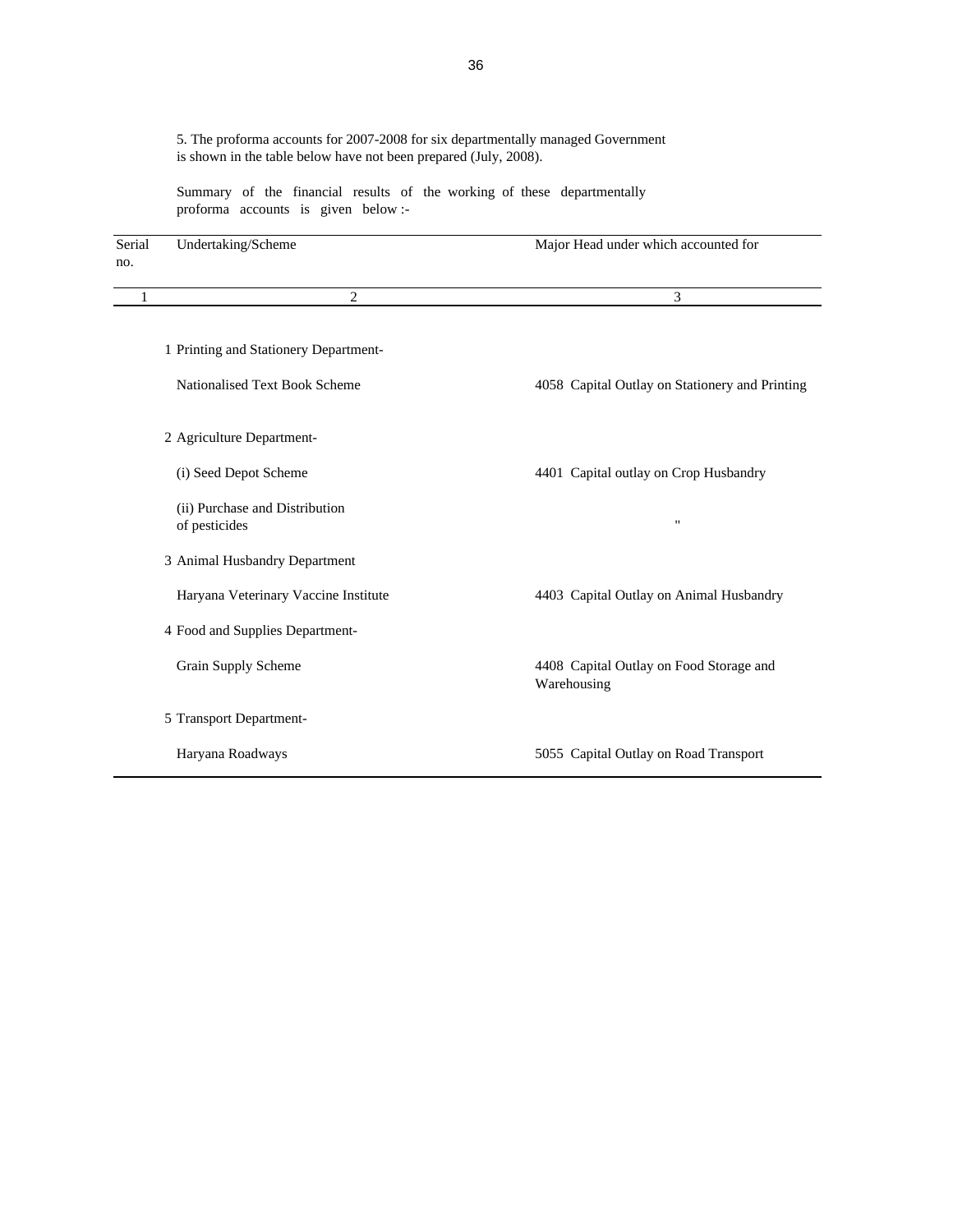| 5. The proforma accounts for 2007-2008 for six departmentally managed Government<br>is shown in the table below have not been prepared (July, 2008). |                                                                                                               |                                                        |  |  |  |  |  |
|------------------------------------------------------------------------------------------------------------------------------------------------------|---------------------------------------------------------------------------------------------------------------|--------------------------------------------------------|--|--|--|--|--|
|                                                                                                                                                      | Summary of the financial results of the working of these departmentally<br>proforma accounts is given below:- |                                                        |  |  |  |  |  |
| Serial<br>no.                                                                                                                                        | Undertaking/Scheme                                                                                            | Major Head under which accounted for                   |  |  |  |  |  |
|                                                                                                                                                      | $\overline{2}$                                                                                                | 3                                                      |  |  |  |  |  |
|                                                                                                                                                      | 1 Printing and Stationery Department-                                                                         |                                                        |  |  |  |  |  |
|                                                                                                                                                      | Nationalised Text Book Scheme                                                                                 | 4058 Capital Outlay on Stationery and Printing         |  |  |  |  |  |
|                                                                                                                                                      | 2 Agriculture Department-                                                                                     |                                                        |  |  |  |  |  |
|                                                                                                                                                      | (i) Seed Depot Scheme                                                                                         | 4401 Capital outlay on Crop Husbandry                  |  |  |  |  |  |
|                                                                                                                                                      | (ii) Purchase and Distribution<br>of pesticides                                                               | $\pmb{\mathsf{H}}$                                     |  |  |  |  |  |
|                                                                                                                                                      | 3 Animal Husbandry Department                                                                                 |                                                        |  |  |  |  |  |
|                                                                                                                                                      | Haryana Veterinary Vaccine Institute                                                                          | 4403 Capital Outlay on Animal Husbandry                |  |  |  |  |  |
|                                                                                                                                                      | 4 Food and Supplies Department-                                                                               |                                                        |  |  |  |  |  |
|                                                                                                                                                      | Grain Supply Scheme                                                                                           | 4408 Capital Outlay on Food Storage and<br>Warehousing |  |  |  |  |  |
|                                                                                                                                                      | 5 Transport Department-                                                                                       |                                                        |  |  |  |  |  |
|                                                                                                                                                      | Haryana Roadways                                                                                              | 5055 Capital Outlay on Road Transport                  |  |  |  |  |  |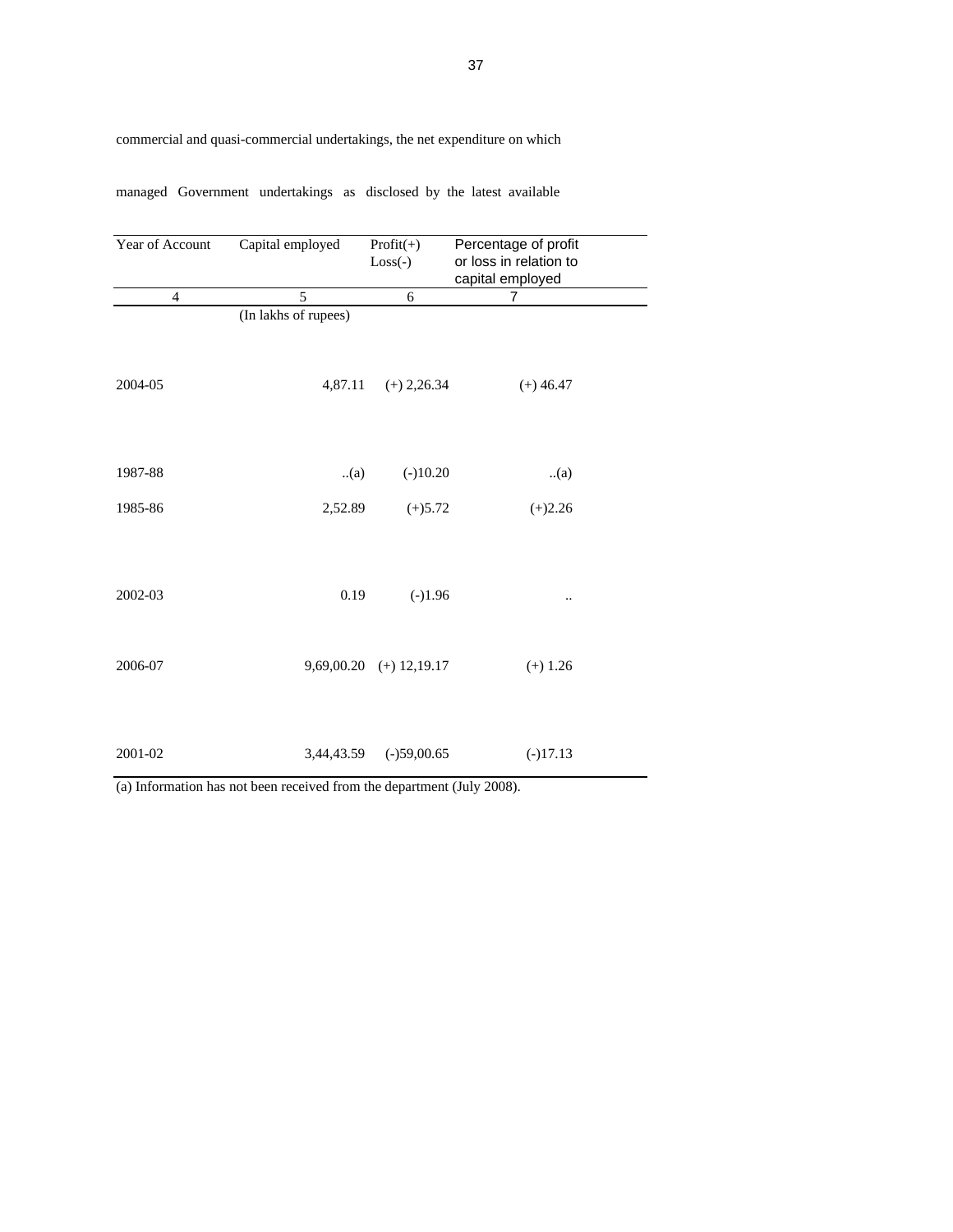commercial and quasi-commercial undertakings, the net expenditure on which

managed Government undertakings as disclosed by the latest available

| Year of Account          | Capital employed     | $Profit(+)$<br>$Loss(-)$  | Percentage of profit<br>or loss in relation to<br>capital employed |  |
|--------------------------|----------------------|---------------------------|--------------------------------------------------------------------|--|
| $\overline{\mathcal{A}}$ | 5                    | 6                         | 7                                                                  |  |
|                          | (In lakhs of rupees) |                           |                                                                    |  |
| 2004-05                  | 4,87.11              | $(+)$ 2,26.34             | $(+) 46.47$                                                        |  |
| 1987-88                  | (a)                  | $(-)10.20$                | $\cdot$ (a)                                                        |  |
| 1985-86                  | 2,52.89              | $(+)5.72$                 | $(+)2.26$                                                          |  |
| 2002-03                  | 0.19                 | $(-)1.96$                 |                                                                    |  |
| 2006-07                  |                      | $9,69,00.20$ (+) 12,19.17 | $(+)$ 1.26                                                         |  |
| 2001-02                  | 3,44,43.59           | $(-)59,00.65$             | $(-)17.13$                                                         |  |

(a) Information has not been received from the department (July 2008).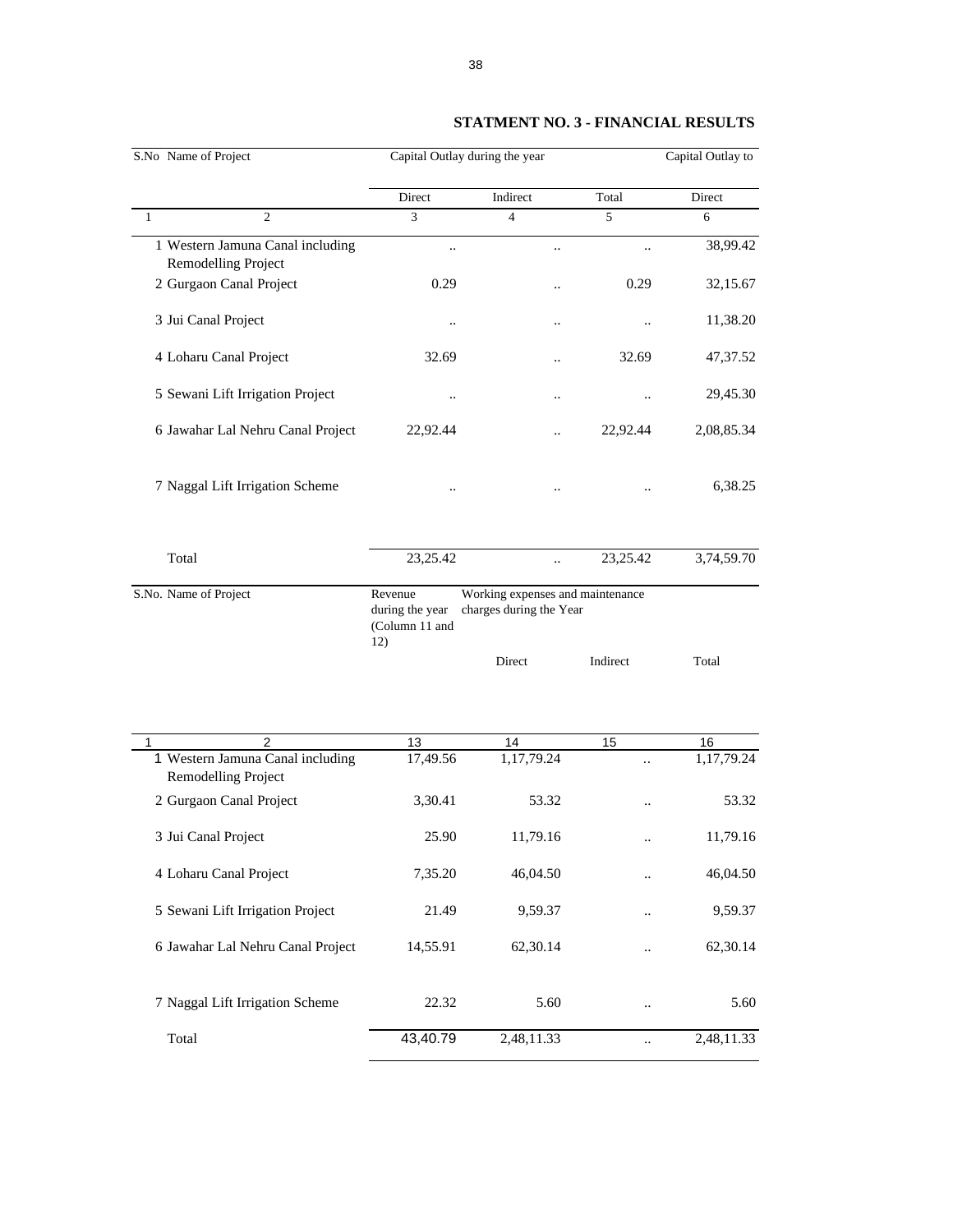| S.No Name of Project                                    |                                                     | Capital Outlay during the year                                        |                      | Capital Outlay to |  |
|---------------------------------------------------------|-----------------------------------------------------|-----------------------------------------------------------------------|----------------------|-------------------|--|
|                                                         | Direct                                              | Indirect                                                              | Total                | Direct            |  |
| $\overline{c}$<br>$\mathbf{1}$                          | 3                                                   | 4                                                                     | 5                    | 6                 |  |
| 1 Western Jamuna Canal including<br>Remodelling Project | $\ddot{\phantom{a}}$                                | $\ddot{\phantom{a}}$                                                  | $\ddot{\phantom{a}}$ | 38,99.42          |  |
| 2 Gurgaon Canal Project                                 | 0.29                                                |                                                                       | 0.29                 | 32,15.67          |  |
| 3 Jui Canal Project                                     |                                                     |                                                                       | $\ddot{\phantom{a}}$ | 11,38.20          |  |
| 4 Loharu Canal Project                                  | 32.69                                               |                                                                       | 32.69                | 47,37.52          |  |
| 5 Sewani Lift Irrigation Project                        | $\ddot{\phantom{0}}$                                |                                                                       | $\ddot{\phantom{0}}$ | 29,45.30          |  |
| 6 Jawahar Lal Nehru Canal Project                       | 22,92.44                                            |                                                                       | 22,92.44             | 2,08,85.34        |  |
| 7 Naggal Lift Irrigation Scheme                         |                                                     |                                                                       |                      | 6,38.25           |  |
| Total                                                   | 23, 25. 42                                          |                                                                       | 23, 25. 42           | 3,74,59.70        |  |
| S.No. Name of Project                                   | Revenue<br>during the year<br>(Column 11 and<br>12) | Working expenses and maintenance<br>charges during the Year<br>Direct | Indirect             | Total             |  |
|                                                         |                                                     |                                                                       |                      |                   |  |
| $\overline{2}$<br>1                                     | 13                                                  | 14                                                                    | 15                   | 16                |  |
| 1 Western Jamuna Canal including<br>Remodelling Project | 17,49.56                                            | 1,17,79.24                                                            |                      | 1,17,79.24        |  |
| 2 Gurgaon Canal Project                                 | 3,30.41                                             | 53.32                                                                 |                      | 53.32             |  |
| 3 Jui Canal Project                                     | 25.90                                               | 11,79.16                                                              |                      | 11,79.16          |  |
| 4 Loharu Canal Project                                  | 7,35.20                                             | 46,04.50                                                              |                      | 46,04.50          |  |
| 5 Sewani Lift Irrigation Project                        | 21.49                                               | 9,59.37                                                               |                      | 9,59.37           |  |
| 6 Jawahar Lal Nehru Canal Project                       | 14,55.91                                            | 62,30.14                                                              |                      | 62,30.14          |  |
| 7 Naggal Lift Irrigation Scheme                         | 22.32                                               | 5.60                                                                  | $\ddot{\phantom{0}}$ | 5.60              |  |
| Total                                                   | 43,40.79                                            | 2,48,11.33                                                            |                      | 2,48,11.33        |  |

### **STATMENT NO. 3 - FINANCIAL RESULTS**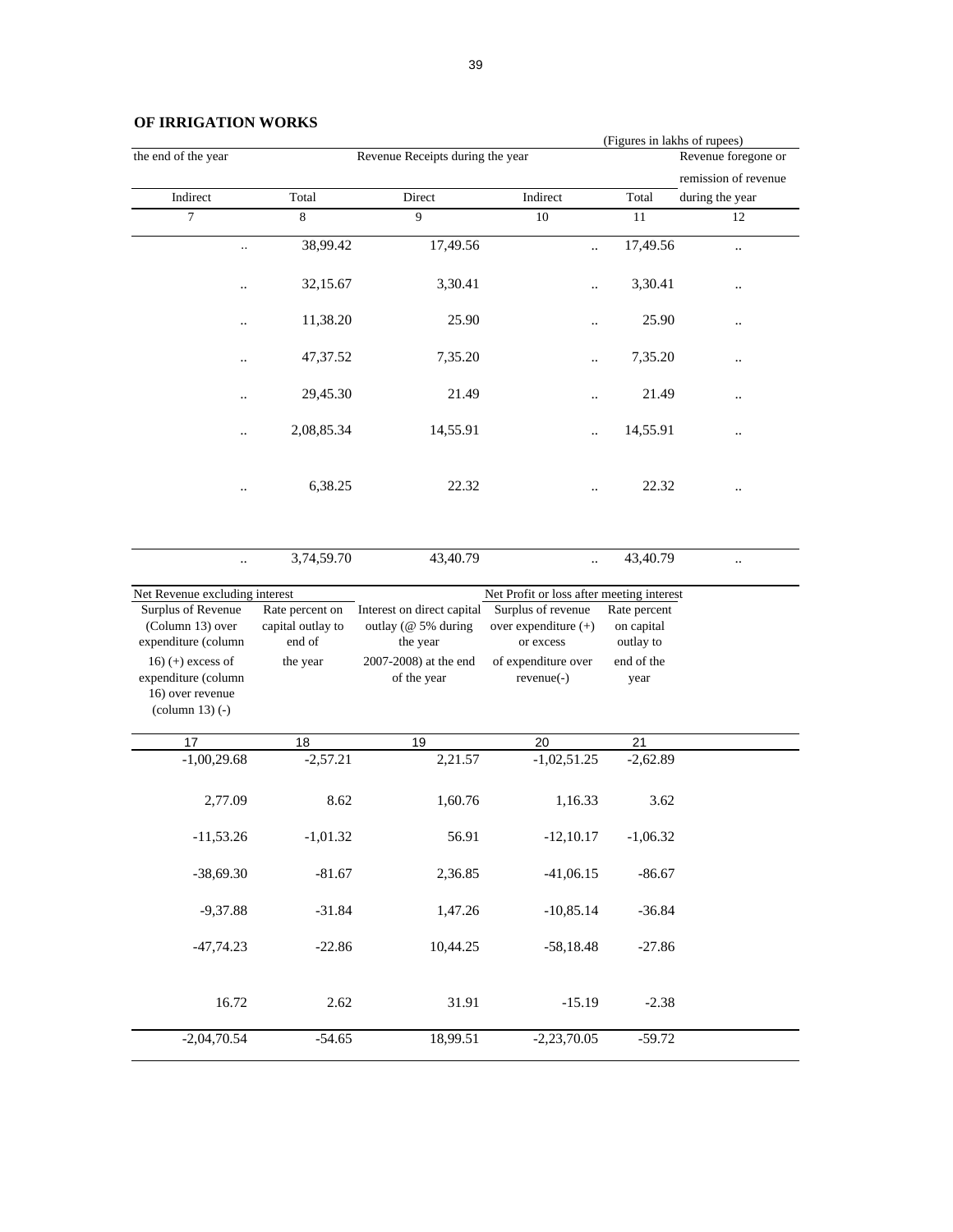|                                                                                                                     |                             |                                      |                                           | (Figures in lakhs of rupees) |                      |
|---------------------------------------------------------------------------------------------------------------------|-----------------------------|--------------------------------------|-------------------------------------------|------------------------------|----------------------|
| the end of the year                                                                                                 |                             | Revenue Receipts during the year     |                                           |                              | Revenue foregone or  |
|                                                                                                                     |                             |                                      |                                           |                              | remission of revenue |
| Indirect                                                                                                            | Total                       | Direct                               | Indirect                                  | Total                        | during the year      |
| $\overline{7}$                                                                                                      | 8                           | 9                                    | 10                                        | 11                           | 12                   |
| $\ddot{\phantom{a}}$                                                                                                | 38,99.42                    | 17,49.56                             | $\ddot{\phantom{a}}$                      | 17,49.56                     | $\ddot{\phantom{a}}$ |
|                                                                                                                     |                             |                                      |                                           |                              |                      |
|                                                                                                                     | 32,15.67                    | 3,30.41                              | $\ddot{\phantom{a}}$                      | 3,30.41                      | $\ddotsc$            |
|                                                                                                                     | 11,38.20                    | 25.90                                |                                           | 25.90                        | $\ddotsc$            |
|                                                                                                                     | 47,37.52                    | 7,35.20                              |                                           | 7,35.20                      |                      |
|                                                                                                                     | 29,45.30                    | 21.49                                |                                           | 21.49                        | $\ddotsc$            |
| $\ddot{\phantom{a}}$                                                                                                | 2,08,85.34                  | 14,55.91                             | $\ddot{\phantom{a}}$                      | 14,55.91                     | $\ddot{\phantom{a}}$ |
| $\ddot{\phantom{a}}$                                                                                                | 6,38.25                     | 22.32                                |                                           | 22.32                        |                      |
|                                                                                                                     | 3,74,59.70                  | 43,40.79                             | $\ddot{\phantom{a}}$                      | 43,40.79                     | $\ldots$             |
| Net Revenue excluding interest                                                                                      |                             |                                      | Net Profit or loss after meeting interest |                              |                      |
| Surplus of Revenue                                                                                                  | Rate percent on             | Interest on direct capital           | Surplus of revenue                        | Rate percent                 |                      |
| (Column 13) over<br>expenditure (column                                                                             | capital outlay to<br>end of | outlay (@ 5% during<br>the year      | over expenditure (+)<br>or excess         | on capital<br>outlay to      |                      |
|                                                                                                                     |                             |                                      |                                           | end of the                   |                      |
| $16)$ (+) excess of<br>expenditure (column<br>16) over revenue<br>$\left(\text{column } 13\right)$ $\left(-\right)$ | the year                    | 2007-2008) at the end<br>of the year | of expenditure over<br>$revenue(-)$       | year                         |                      |
| 17                                                                                                                  | 18                          | 19                                   | 20                                        | 21                           |                      |
| $-1,00,29.68$                                                                                                       | $-2,57.21$                  | 2,21.57                              | $-1,02,51.25$                             | $-2,62.89$                   |                      |
| 2,77.09                                                                                                             | 8.62                        | 1,60.76                              | 1,16.33                                   | 3.62                         |                      |
| $-11,53.26$                                                                                                         | $-1,01.32$                  | 56.91                                | $-12,10.17$                               | $-1,06.32$                   |                      |
| $-38,69.30$                                                                                                         | $-81.67$                    | 2,36.85                              | $-41,06.15$                               | $-86.67$                     |                      |
| $-9,37.88$                                                                                                          | $-31.84$                    | 1,47.26                              | $-10,85.14$                               | $-36.84$                     |                      |
| $-47,74.23$                                                                                                         | $-22.86$                    | 10,44.25                             | $-58,18.48$                               | $-27.86$                     |                      |
| 16.72                                                                                                               | 2.62                        | 31.91                                | $-15.19$                                  | $-2.38$                      |                      |
| $-2,04,70.54$                                                                                                       | $-54.65$                    | 18,99.51                             | $-2,23,70.05$                             | $-59.72$                     |                      |

## **OF IRRIGATION WORKS**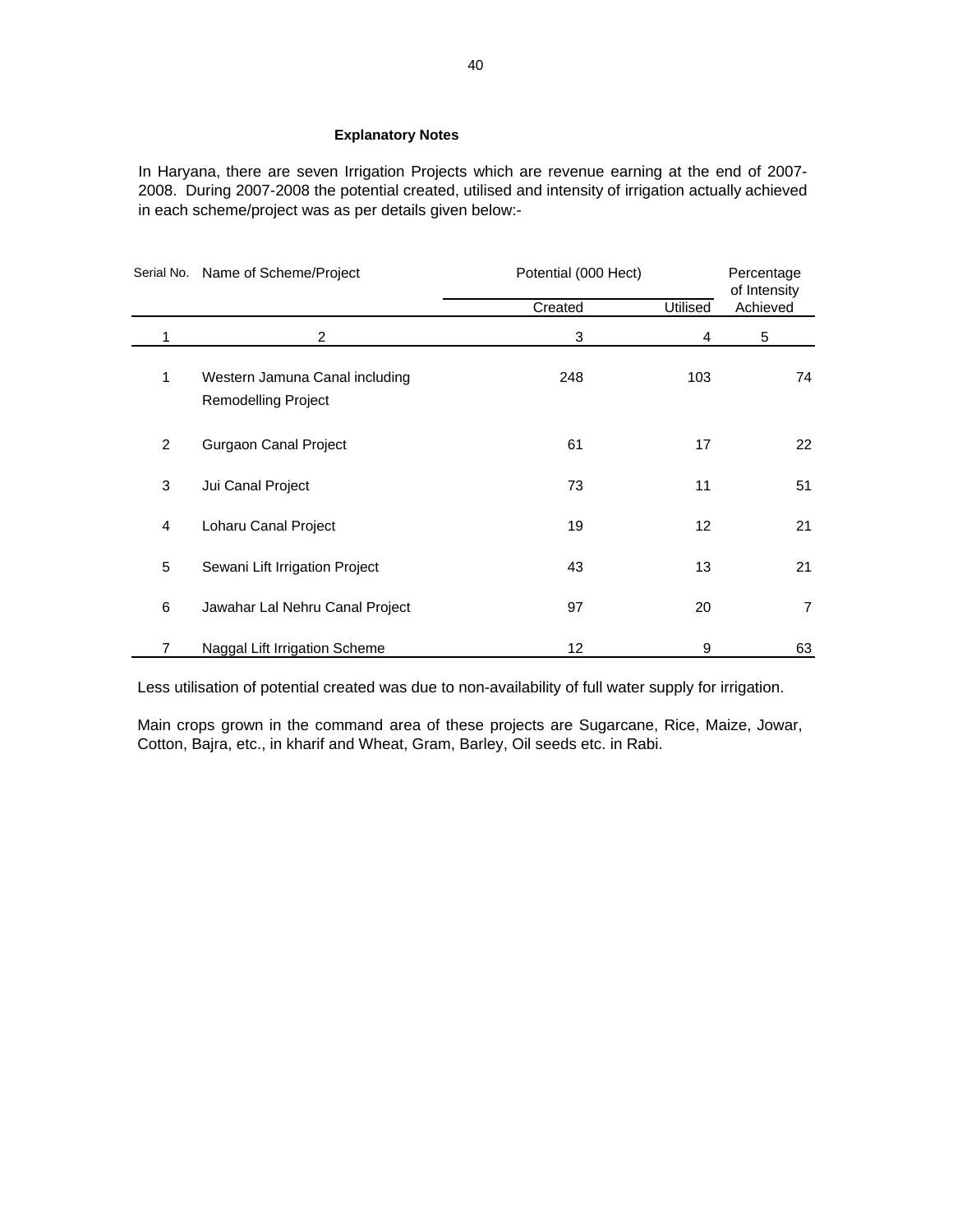### **Explanatory Notes**

In Haryana, there are seven Irrigation Projects which are revenue earning at the end of 2007- 2008. During 2007-2008 the potential created, utilised and intensity of irrigation actually achieved in each scheme/project was as per details given below:-

| Serial No.     | Name of Scheme/Project                                       | Potential (000 Hect) | Percentage<br>of Intensity |                |
|----------------|--------------------------------------------------------------|----------------------|----------------------------|----------------|
|                |                                                              | Created              | Utilised                   | Achieved       |
|                | 2                                                            | 3                    | 4                          | 5              |
| 1              | Western Jamuna Canal including<br><b>Remodelling Project</b> | 248                  | 103                        | 74             |
| $\overline{2}$ | <b>Gurgaon Canal Project</b>                                 | 61                   | 17                         | 22             |
| 3              | Jui Canal Project                                            | 73                   | 11                         | 51             |
| 4              | Loharu Canal Project                                         | 19                   | 12                         | 21             |
| 5              | Sewani Lift Irrigation Project                               | 43                   | 13                         | 21             |
| 6              | Jawahar Lal Nehru Canal Project                              | 97                   | 20                         | $\overline{7}$ |
| 7              | Naggal Lift Irrigation Scheme                                | 12                   | 9                          | 63             |

Less utilisation of potential created was due to non-availability of full water supply for irrigation.

Main crops grown in the command area of these projects are Sugarcane, Rice, Maize, Jowar, Cotton, Bajra, etc., in kharif and Wheat, Gram, Barley, Oil seeds etc. in Rabi.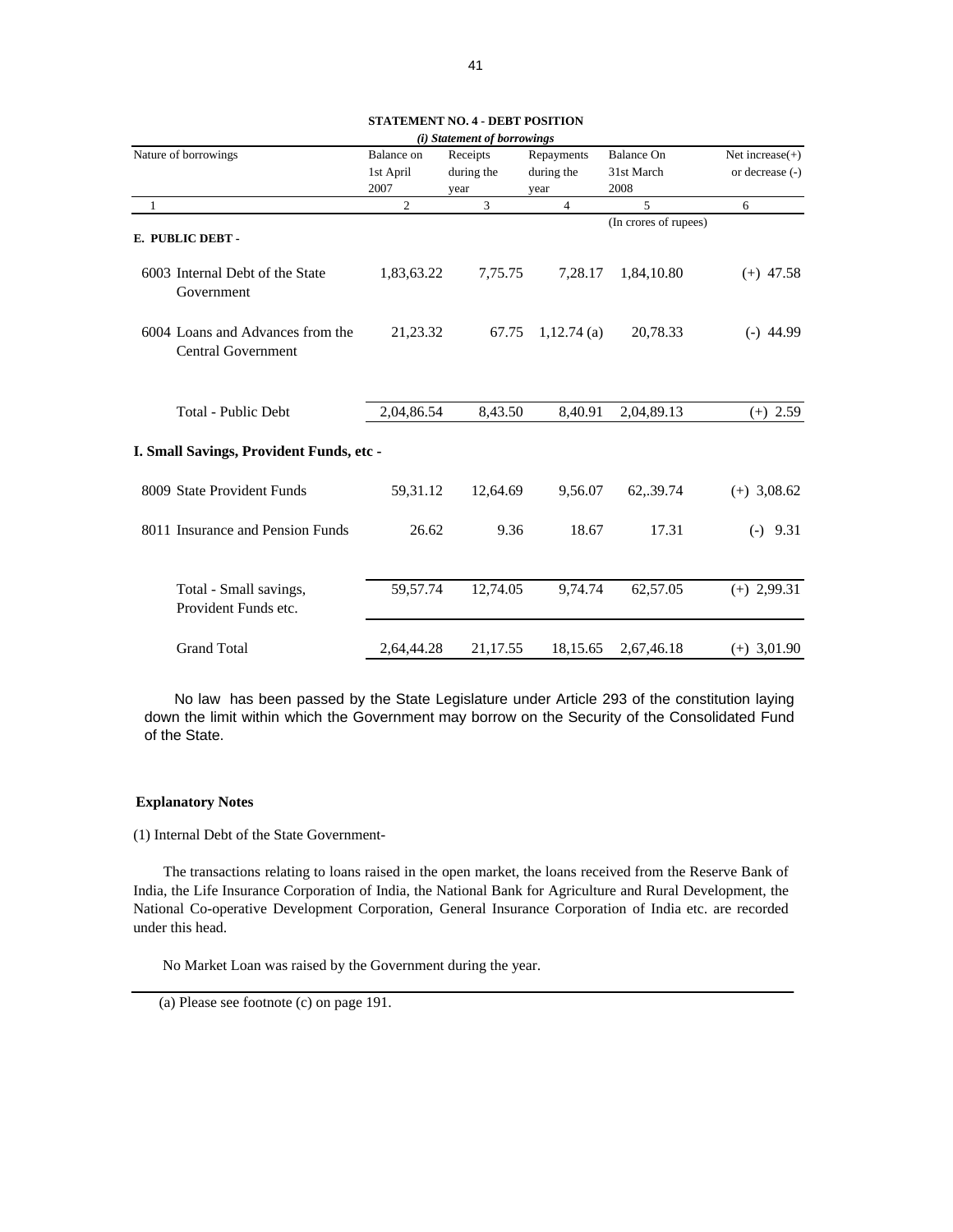| (i) Statement of borrowings                                   |                |                        |               |                       |                    |  |  |  |
|---------------------------------------------------------------|----------------|------------------------|---------------|-----------------------|--------------------|--|--|--|
| Nature of borrowings                                          | Balance on     | Receipts<br>Repayments |               | <b>Balance On</b>     | Net increase $(+)$ |  |  |  |
|                                                               | 1st April      | during the             | during the    | 31st March            | or decrease (-)    |  |  |  |
|                                                               | 2007           | year                   | year          | 2008                  |                    |  |  |  |
| 1                                                             | $\overline{c}$ | 3                      | 4             | 5                     | 6                  |  |  |  |
| E. PUBLIC DEBT -                                              |                |                        |               | (In crores of rupees) |                    |  |  |  |
| 6003 Internal Debt of the State<br>Government                 | 1,83,63.22     | 7,75.75                | 7,28.17       | 1,84,10.80            | $(+)$ 47.58        |  |  |  |
| 6004 Loans and Advances from the<br><b>Central Government</b> | 21, 23. 32     | 67.75                  | $1,12.74$ (a) | 20,78.33              | $(-)$ 44.99        |  |  |  |
| Total - Public Debt                                           | 2,04,86.54     | 8,43.50                | 8.40.91       | 2,04,89.13            | $(+)$ 2.59         |  |  |  |
| I. Small Savings, Provident Funds, etc -                      |                |                        |               |                       |                    |  |  |  |
| 8009 State Provident Funds                                    | 59, 31. 12     | 12,64.69               | 9,56.07       | 62, 39.74             | $(+)$ 3,08.62      |  |  |  |
| 8011 Insurance and Pension Funds                              | 26.62          | 9.36                   | 18.67         | 17.31                 | $(-)$ 9.31         |  |  |  |
| Total - Small savings,<br>Provident Funds etc.                | 59,57.74       | 12,74.05               | 9,74.74       | 62,57.05              | $(+)$ 2,99.31      |  |  |  |
| <b>Grand Total</b>                                            | 2,64,44.28     | 21,17.55               | 18,15.65      | 2,67,46.18            | $(+)$ 3,01.90      |  |  |  |

**STATEMENT NO. 4 - DEBT POSITION**

No law has been passed by the State Legislature under Article 293 of the constitution laying down the limit within which the Government may borrow on the Security of the Consolidated Fund of the State.

### **Explanatory Notes**

(1) Internal Debt of the State Government-

The transactions relating to loans raised in the open market, the loans received from the Reserve Bank of India, the Life Insurance Corporation of India, the National Bank for Agriculture and Rural Development, the National Co-operative Development Corporation, General Insurance Corporation of India etc. are recorded under this head.

No Market Loan was raised by the Government during the year.

 <sup>(</sup>a) Please see footnote (c) on page 191.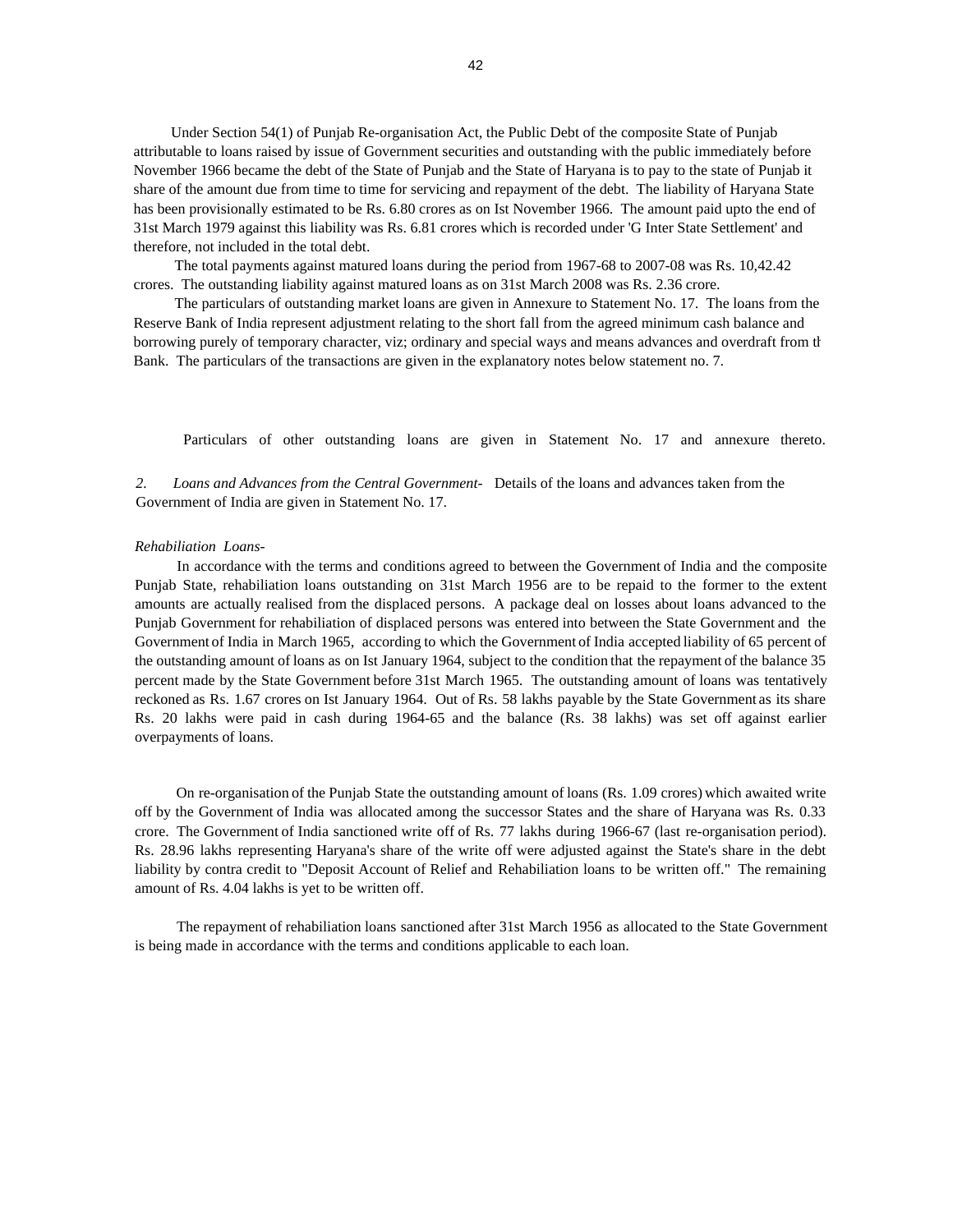Under Section 54(1) of Punjab Re-organisation Act, the Public Debt of the composite State of Punjab attributable to loans raised by issue of Government securities and outstanding with the public immediately before November 1966 became the debt of the State of Punjab and the State of Haryana is to pay to the state of Punjab it share of the amount due from time to time for servicing and repayment of the debt. The liability of Haryana State has been provisionally estimated to be Rs. 6.80 crores as on Ist November 1966. The amount paid upto the end of 31st March 1979 against this liability was Rs. 6.81 crores which is recorded under 'G Inter State Settlement' and therefore, not included in the total debt.

 The total payments against matured loans during the period from 1967-68 to 2007-08 was Rs. 10,42.42 crores. The outstanding liability against matured loans as on 31st March 2008 was Rs. 2.36 crore.

 The particulars of outstanding market loans are given in Annexure to Statement No. 17. The loans from the Reserve Bank of India represent adjustment relating to the short fall from the agreed minimum cash balance and borrowing purely of temporary character, viz; ordinary and special ways and means advances and overdraft from th Bank. The particulars of the transactions are given in the explanatory notes below statement no. 7.

Particulars of other outstanding loans are given in Statement No. 17 and annexure thereto.

*2. Loans and Advances from the Central Government-* Details of the loans and advances taken from the Government of India are given in Statement No. 17.

### *Rehabiliation Loans-*

In accordance with the terms and conditions agreed to between the Government of India and the composite Punjab State, rehabiliation loans outstanding on 31st March 1956 are to be repaid to the former to the extent amounts are actually realised from the displaced persons. A package deal on losses about loans advanced to the Punjab Government for rehabiliation of displaced persons was entered into between the State Government and the Government of India in March 1965, according to which the Government of India accepted liability of 65 percent of the outstanding amount of loans as on Ist January 1964, subject to the condition that the repayment of the balance 35 percent made by the State Government before 31st March 1965. The outstanding amount of loans was tentatively reckoned as Rs. 1.67 crores on Ist January 1964. Out of Rs. 58 lakhs payable by the State Government as its share Rs. 20 lakhs were paid in cash during 1964-65 and the balance (Rs. 38 lakhs) was set off against earlier overpayments of loans.

On re-organisation of the Punjab State the outstanding amount of loans (Rs. 1.09 crores) which awaited write off by the Government of India was allocated among the successor States and the share of Haryana was Rs. 0.33 crore. The Government of India sanctioned write off of Rs. 77 lakhs during 1966-67 (last re-organisation period). Rs. 28.96 lakhs representing Haryana's share of the write off were adjusted against the State's share in the debt liability by contra credit to "Deposit Account of Relief and Rehabiliation loans to be written off." The remaining amount of Rs. 4.04 lakhs is yet to be written off.

The repayment of rehabiliation loans sanctioned after 31st March 1956 as allocated to the State Government is being made in accordance with the terms and conditions applicable to each loan.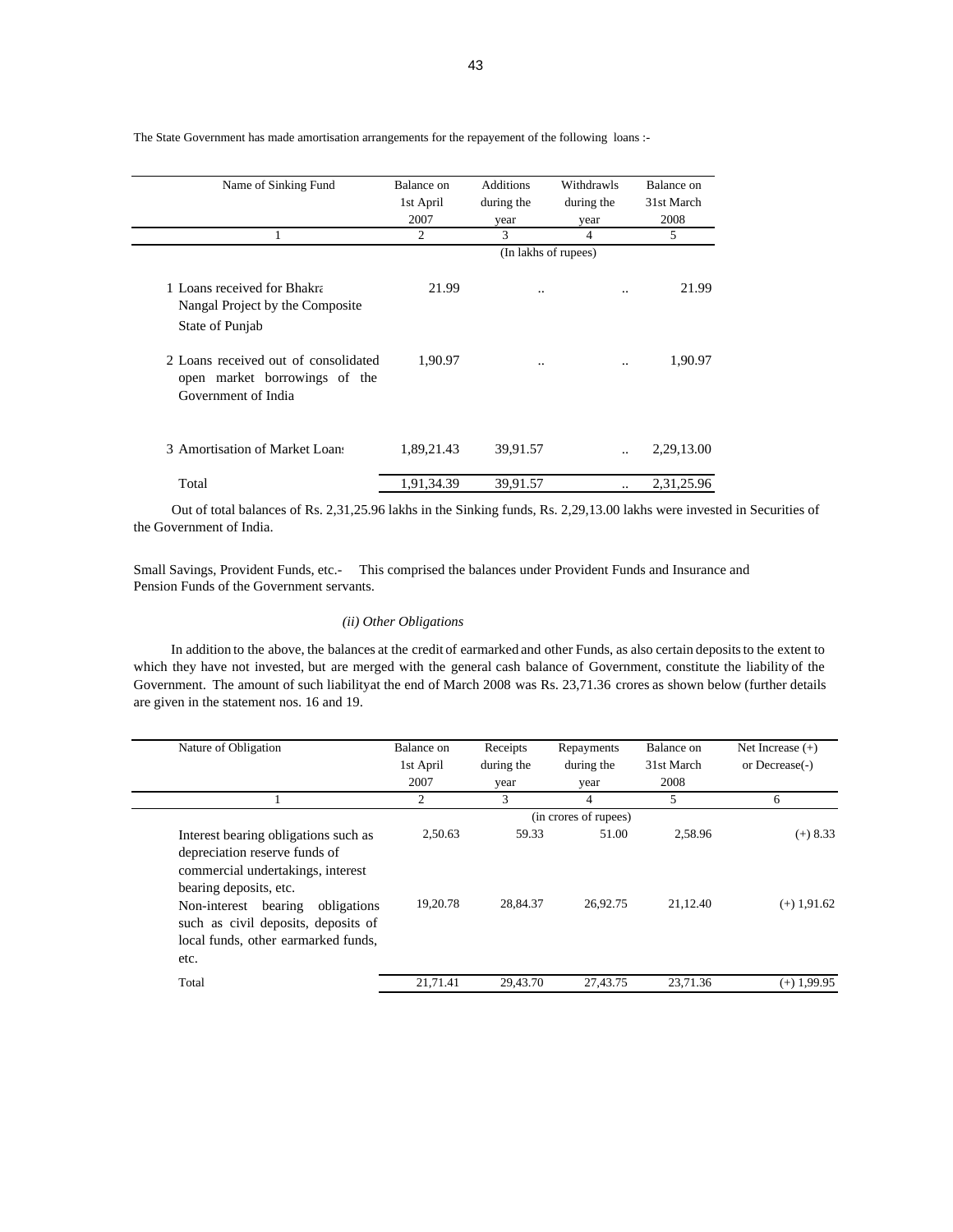| Name of Sinking Fund                                                                         | Balance on<br>1st April | <b>Additions</b><br>during the | Withdrawls<br>during the | Balance on<br>31st March |
|----------------------------------------------------------------------------------------------|-------------------------|--------------------------------|--------------------------|--------------------------|
|                                                                                              | 2007                    | year                           | year                     | 2008                     |
|                                                                                              | $\overline{c}$          | 3                              | $\overline{4}$           | 5                        |
|                                                                                              |                         |                                | (In lakhs of rupees)     |                          |
| 1 Loans received for Bhakra<br>Nangal Project by the Composite<br>State of Punjab            | 21.99                   | $\ddot{\phantom{0}}$           |                          | 21.99                    |
| 2 Loans received out of consolidated<br>open market borrowings of the<br>Government of India | 1,90.97                 |                                |                          | 1,90.97                  |
| 3 Amortisation of Market Loan:                                                               | 1,89,21.43              | 39,91.57                       |                          | 2,29,13.00               |
| Total                                                                                        | 1,91,34.39              | 39,91.57                       |                          | 2,31,25.96               |

The State Government has made amortisation arrangements for the repayement of the following loans :-

 Out of total balances of Rs. 2,31,25.96 lakhs in the Sinking funds, Rs. 2,29,13.00 lakhs were invested in Securities of the Government of India.

Small Savings, Provident Funds, etc.- This comprised the balances under Provident Funds and Insurance and Pension Funds of the Government servants.

### *(ii) Other Obligations*

In addition to the above, the balances at the credit of earmarked and other Funds, as also certain deposits to the extent to which they have not invested, but are merged with the general cash balance of Government, constitute the liability of the Government. The amount of such liabilityat the end of March 2008 was Rs. 23,71.36 crores as shown below (further details are given in the statement nos. 16 and 19.

| Nature of Obligation                                                                                                                 | Balance on<br>1st April | Receipts<br>during the | Repayments<br>during the | Balance on<br>31st March | Net Increase $(+)$<br>or Decrease(-) |
|--------------------------------------------------------------------------------------------------------------------------------------|-------------------------|------------------------|--------------------------|--------------------------|--------------------------------------|
|                                                                                                                                      | 2007                    | year                   | year                     | 2008                     |                                      |
|                                                                                                                                      | $\overline{c}$          | 3                      | 4                        | 5                        | 6                                    |
|                                                                                                                                      |                         |                        | (in crores of rupees)    |                          |                                      |
| Interest bearing obligations such as<br>depreciation reserve funds of<br>commercial undertakings, interest<br>bearing deposits, etc. | 2.50.63                 | 59.33                  | 51.00                    | 2.58.96                  | $(+) 8.33$                           |
| Non-interest bearing<br>obligations<br>such as civil deposits, deposits of<br>local funds, other earmarked funds,<br>etc.            | 19,20.78                | 28.84.37               | 26,92.75                 | 21,12.40                 | $(+)$ 1,91.62                        |
| Total                                                                                                                                | 21,71.41                | 29,43.70               | 27,43.75                 | 23,71.36                 | $(+)$ 1,99.95                        |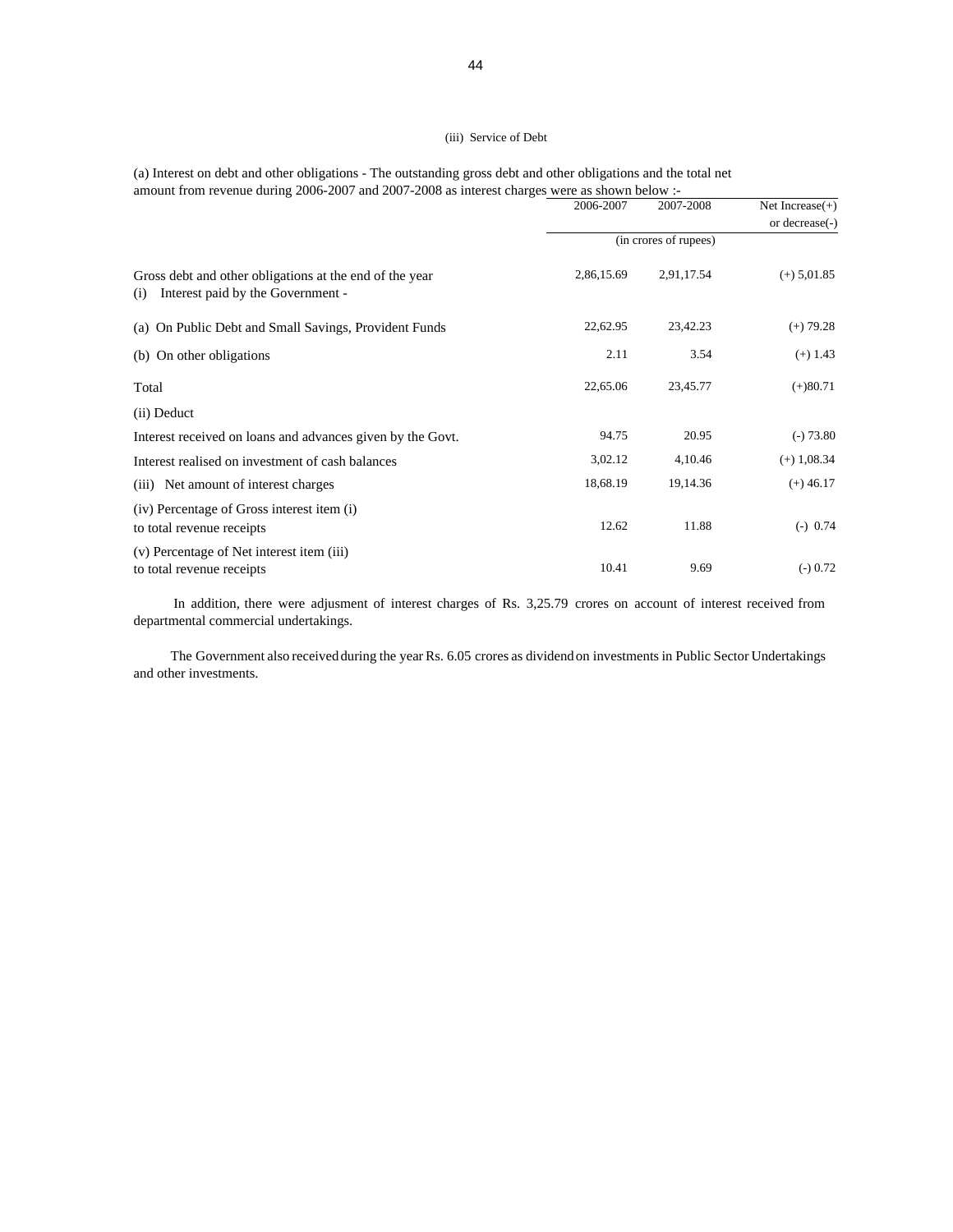## (iii) Service of Debt

| (a) Interest on debt and other obligations - The outstanding gross debt and other obligations and the total net |  |
|-----------------------------------------------------------------------------------------------------------------|--|
| amount from revenue during 2006-2007 and 2007-2008 as interest charges were as shown below :-                   |  |

|                                                                                                     | 2006-2007  | 2007-2008             | Net Increase $(+)$<br>or decrease(-) |
|-----------------------------------------------------------------------------------------------------|------------|-----------------------|--------------------------------------|
|                                                                                                     |            | (in crores of rupees) |                                      |
| Gross debt and other obligations at the end of the year<br>Interest paid by the Government -<br>(i) | 2,86,15.69 | 2,91,17.54            | $(+) 5,01.85$                        |
| (a) On Public Debt and Small Savings, Provident Funds                                               | 22,62.95   | 23,42.23              | $(+) 79.28$                          |
| (b) On other obligations                                                                            | 2.11       | 3.54                  | $(+)$ 1.43                           |
| Total                                                                                               | 22,65.06   | 23,45.77              | $(+)80.71$                           |
| (ii) Deduct                                                                                         |            |                       |                                      |
| Interest received on loans and advances given by the Govt.                                          | 94.75      | 20.95                 | $(-) 73.80$                          |
| Interest realised on investment of cash balances                                                    | 3,02.12    | 4,10.46               | $(+)$ 1,08.34                        |
| (iii) Net amount of interest charges                                                                | 18,68.19   | 19,14.36              | $(+) 46.17$                          |
| (iv) Percentage of Gross interest item (i)<br>to total revenue receipts                             | 12.62      | 11.88                 | $(-)$ 0.74                           |
| (v) Percentage of Net interest item (iii)<br>to total revenue receipts                              | 10.41      | 9.69                  | $(-) 0.72$                           |

In addition, there were adjusment of interest charges of Rs. 3,25.79 crores on account of interest received from departmental commercial undertakings.

The Government also received during the year Rs. 6.05 crores as dividendon investments in Public Sector Undertakings and other investments.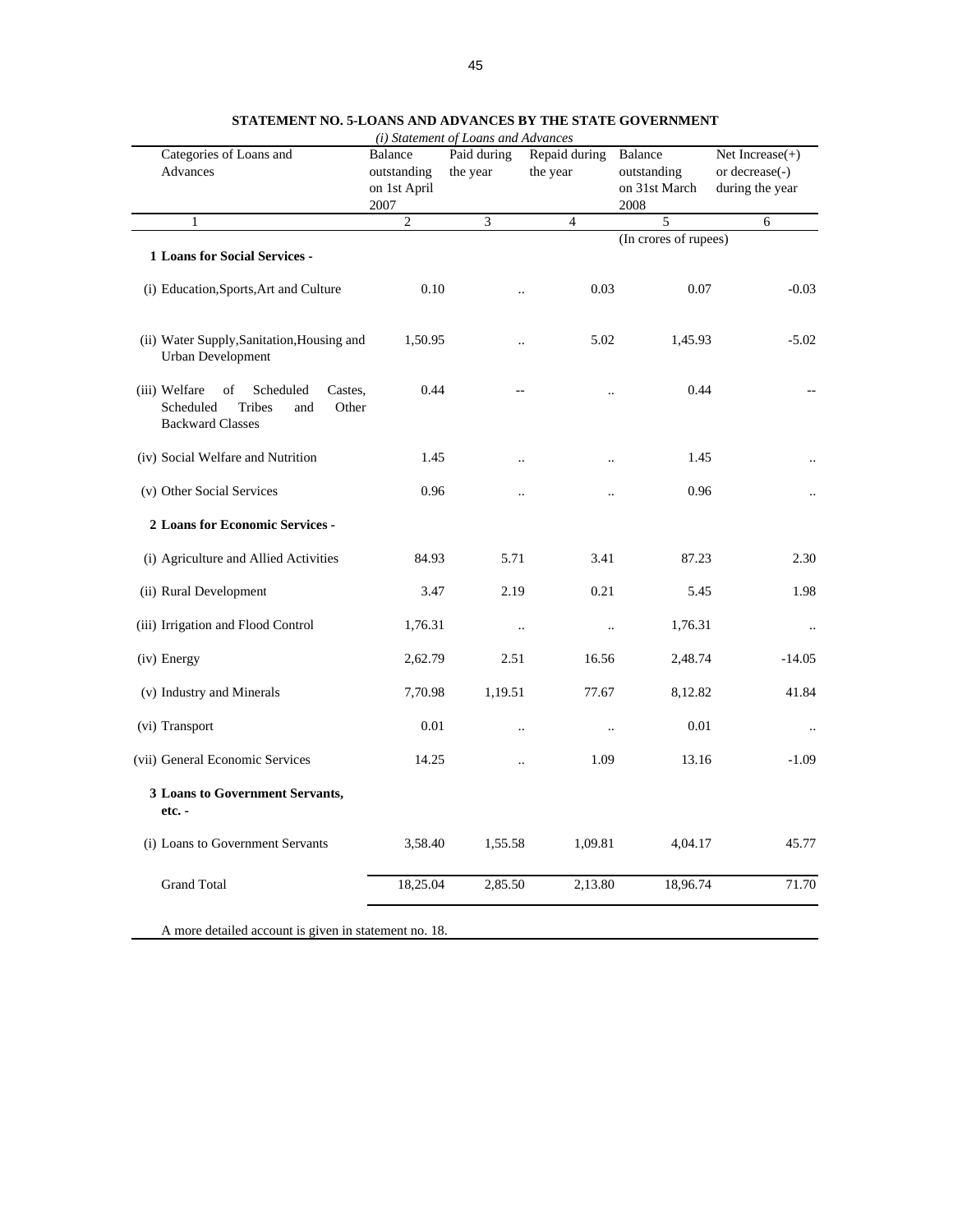|                                                                                                               |                                                       | (i) Statement of Loans and Advances |                           |                                                 |                                                         |
|---------------------------------------------------------------------------------------------------------------|-------------------------------------------------------|-------------------------------------|---------------------------|-------------------------------------------------|---------------------------------------------------------|
| Categories of Loans and<br>Advances                                                                           | <b>Balance</b><br>outstanding<br>on 1st April<br>2007 | Paid during<br>the year             | Repaid during<br>the year | Balance<br>outstanding<br>on 31st March<br>2008 | Net Increase $(+)$<br>or decrease(-)<br>during the year |
| $\mathbf{1}$                                                                                                  | $\overline{c}$                                        | $\overline{3}$                      | $\overline{4}$            | 5                                               | 6                                                       |
| <b>1 Loans for Social Services -</b>                                                                          |                                                       |                                     |                           | (In crores of rupees)                           |                                                         |
| (i) Education, Sports, Art and Culture                                                                        | 0.10                                                  |                                     | 0.03                      | 0.07                                            | $-0.03$                                                 |
| (ii) Water Supply, Sanitation, Housing and<br><b>Urban Development</b>                                        | 1,50.95                                               | $\ddot{\phantom{a}}$                | 5.02                      | 1,45.93                                         | $-5.02$                                                 |
| (iii) Welfare<br>Scheduled<br>of<br>Castes,<br>Scheduled<br>Tribes<br>and<br>Other<br><b>Backward Classes</b> | 0.44                                                  | $=$                                 |                           | 0.44                                            |                                                         |
| (iv) Social Welfare and Nutrition                                                                             | 1.45                                                  | $\ddotsc$                           | $\ddot{\phantom{a}}$      | 1.45                                            |                                                         |
| (v) Other Social Services                                                                                     | 0.96                                                  | $\ddot{\phantom{a}}$                |                           | 0.96                                            | $\ddot{\phantom{a}}$                                    |
| 2 Loans for Economic Services -                                                                               |                                                       |                                     |                           |                                                 |                                                         |
| (i) Agriculture and Allied Activities                                                                         | 84.93                                                 | 5.71                                | 3.41                      | 87.23                                           | 2.30                                                    |
| (ii) Rural Development                                                                                        | 3.47                                                  | 2.19                                | 0.21                      | 5.45                                            | 1.98                                                    |
| (iii) Irrigation and Flood Control                                                                            | 1,76.31                                               | $\ddot{\phantom{0}}$                | $\ddot{\phantom{a}}$      | 1,76.31                                         | $\ddotsc$                                               |
| (iv) Energy                                                                                                   | 2,62.79                                               | 2.51                                | 16.56                     | 2,48.74                                         | $-14.05$                                                |
| (v) Industry and Minerals                                                                                     | 7,70.98                                               | 1,19.51                             | 77.67                     | 8,12.82                                         | 41.84                                                   |
| (vi) Transport                                                                                                | 0.01                                                  | $\ddot{\phantom{a}}$                | $\ddot{\phantom{a}}$      | 0.01                                            | $\ddotsc$                                               |
| (vii) General Economic Services                                                                               | 14.25                                                 | $\ddot{\phantom{a}}$                | 1.09                      | 13.16                                           | $-1.09$                                                 |
| 3 Loans to Government Servants,<br>etc. -                                                                     |                                                       |                                     |                           |                                                 |                                                         |
| (i) Loans to Government Servants                                                                              | 3,58.40                                               | 1,55.58                             | 1,09.81                   | 4,04.17                                         | 45.77                                                   |
| <b>Grand Total</b>                                                                                            | 18,25.04                                              | 2,85.50                             | 2,13.80                   | 18,96.74                                        | 71.70                                                   |
| A more detailed account is given in statement no. 18.                                                         |                                                       |                                     |                           |                                                 |                                                         |

**STATEMENT NO. 5-LOANS AND ADVANCES BY THE STATE GOVERNMENT**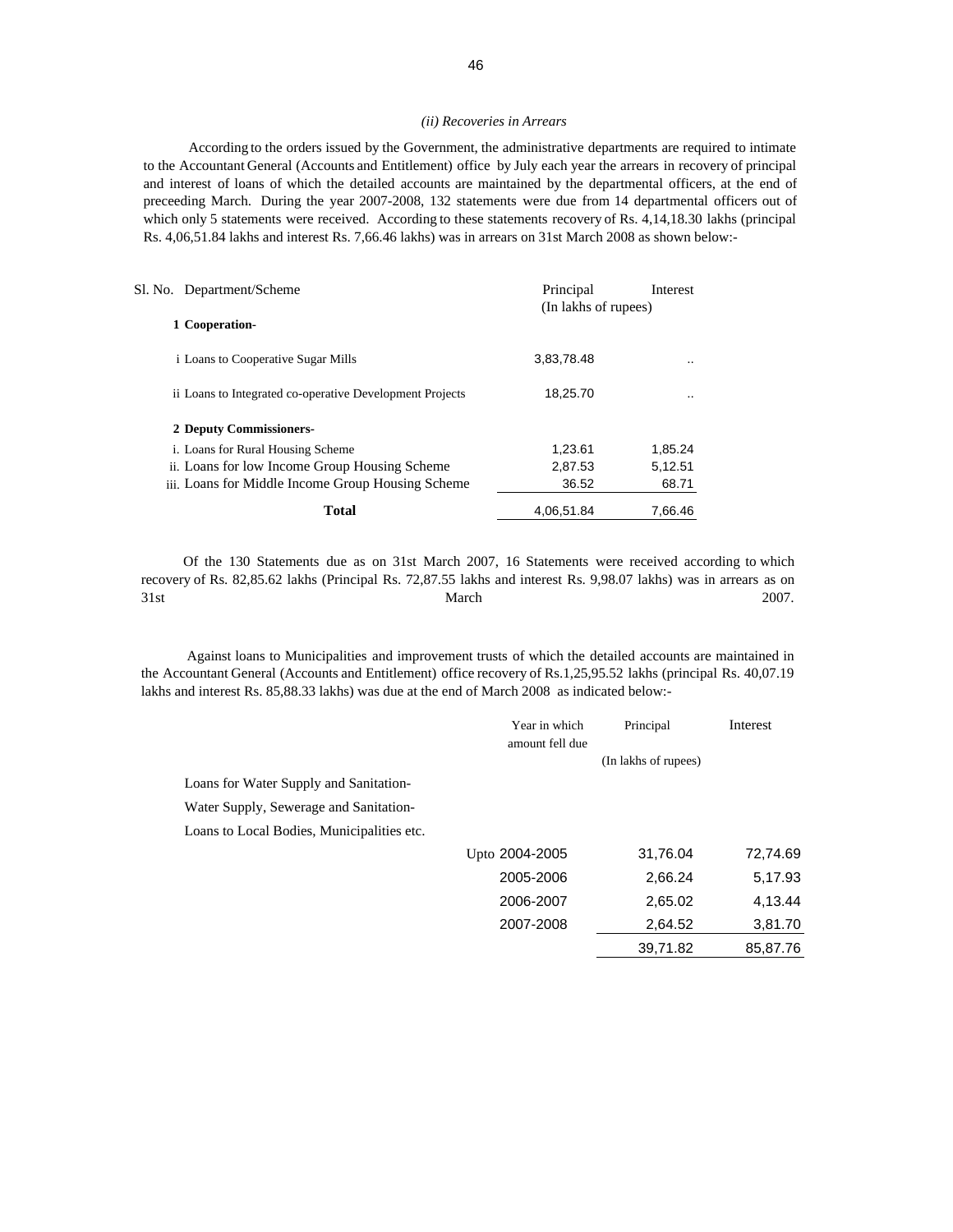#### *(ii) Recoveries in Arrears*

According to the orders issued by the Government, the administrative departments are required to intimate to the Accountant General (Accounts and Entitlement) office by July each year the arrears in recovery of principal and interest of loans of which the detailed accounts are maintained by the departmental officers, at the end of preceeding March. During the year 2007-2008, 132 statements were due from 14 departmental officers out of which only 5 statements were received. According to these statements recovery of Rs. 4,14,18.30 lakhs (principal Rs. 4,06,51.84 lakhs and interest Rs. 7,66.46 lakhs) was in arrears on 31st March 2008 as shown below:-

| Sl. No. Department/Scheme                                | Principal<br>(In lakhs of rupees) | Interest |
|----------------------------------------------------------|-----------------------------------|----------|
| 1 Cooperation-                                           |                                   |          |
| <i>i</i> Loans to Cooperative Sugar Mills                | 3,83,78.48                        |          |
| ii Loans to Integrated co-operative Development Projects | 18.25.70                          |          |
| 2 Deputy Commissioners-                                  |                                   |          |
| <i>i.</i> Loans for Rural Housing Scheme                 | 1.23.61                           | 1.85.24  |
| ii. Loans for low Income Group Housing Scheme            | 2,87.53                           | 5,12.51  |
| iii. Loans for Middle Income Group Housing Scheme        | 36.52                             | 68.71    |
| <b>Total</b>                                             | 4,06,51.84                        | 7,66.46  |

Of the 130 Statements due as on 31st March 2007, 16 Statements were received according to which recovery of Rs. 82,85.62 lakhs (Principal Rs. 72,87.55 lakhs and interest Rs. 9,98.07 lakhs) was in arrears as on 31st March 2007.

Against loans to Municipalities and improvement trusts of which the detailed accounts are maintained in the Accountant General (Accounts and Entitlement) office recovery of Rs.1,25,95.52 lakhs (principal Rs. 40,07.19 lakhs and interest Rs. 85,88.33 lakhs) was due at the end of March 2008 as indicated below:-

|                                            | Year in which<br>amount fell due | Principal            | Interest |
|--------------------------------------------|----------------------------------|----------------------|----------|
|                                            |                                  | (In lakhs of rupees) |          |
| Loans for Water Supply and Sanitation-     |                                  |                      |          |
| Water Supply, Sewerage and Sanitation-     |                                  |                      |          |
| Loans to Local Bodies, Municipalities etc. |                                  |                      |          |
|                                            | Upto 2004-2005                   | 31,76.04             | 72,74.69 |
|                                            | 2005-2006                        | 2,66.24              | 5,17.93  |
|                                            | 2006-2007                        | 2,65.02              | 4,13.44  |
|                                            | 2007-2008                        | 2,64.52              | 3,81.70  |

39,71.82 85,87.76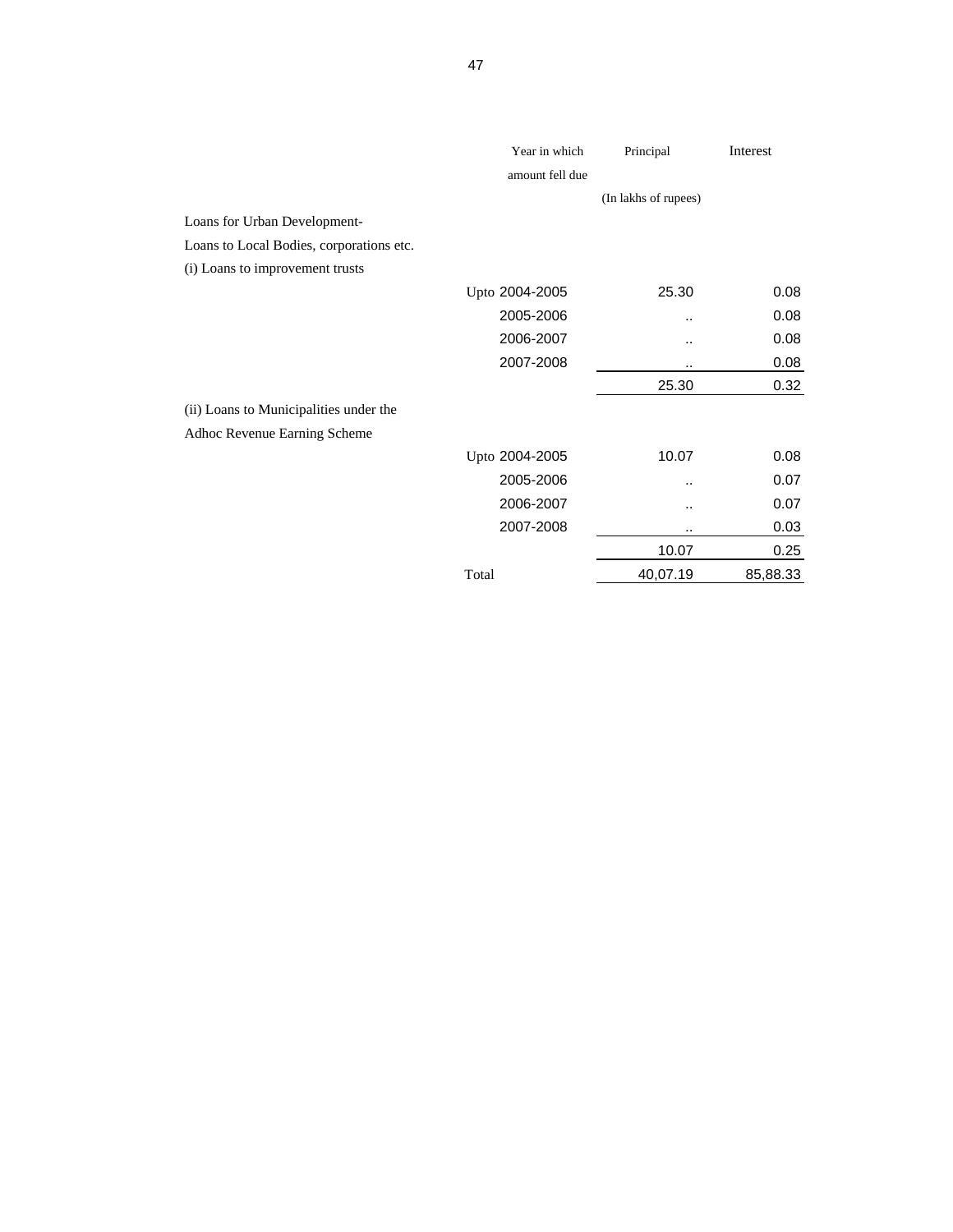|                                          | Year in which   | Principal            | Interest |
|------------------------------------------|-----------------|----------------------|----------|
|                                          | amount fell due |                      |          |
|                                          |                 | (In lakhs of rupees) |          |
| Loans for Urban Development-             |                 |                      |          |
| Loans to Local Bodies, corporations etc. |                 |                      |          |
| (i) Loans to improvement trusts          |                 |                      |          |
|                                          | Upto 2004-2005  | 25.30                | 0.08     |
|                                          | 2005-2006       |                      | 0.08     |
|                                          | 2006-2007       |                      | 0.08     |
|                                          | 2007-2008       |                      | 0.08     |
|                                          |                 | 25.30                | 0.32     |
| (ii) Loans to Municipalities under the   |                 |                      |          |
| Adhoc Revenue Earning Scheme             |                 |                      |          |
|                                          | Upto 2004-2005  | 10.07                | 0.08     |
|                                          | 2005-2006       |                      | 0.07     |
|                                          | 2006-2007       |                      | 0.07     |
|                                          | 2007-2008       |                      | 0.03     |
|                                          |                 | 10.07                | 0.25     |
|                                          | Total           | 40,07.19             | 85,88.33 |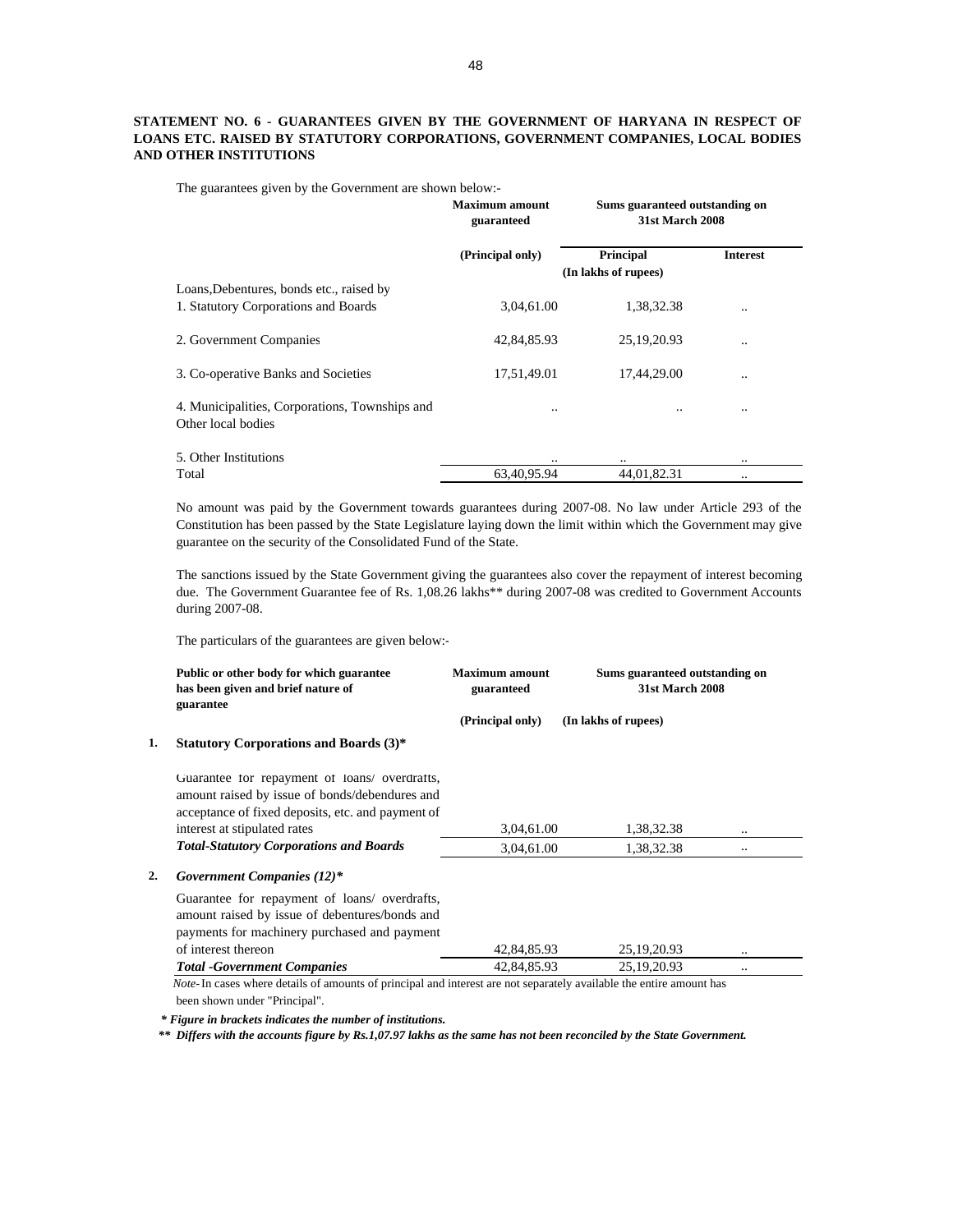### **STATEMENT NO. 6 - GUARANTEES GIVEN BY THE GOVERNMENT OF HARYANA IN RESPECT OF LOANS ETC. RAISED BY STATUTORY CORPORATIONS, GOVERNMENT COMPANIES, LOCAL BODIES AND OTHER INSTITUTIONS**

The guarantees given by the Government are shown below:-

|                                                                      | <b>Maximum</b> amount<br>guaranteed | Sums guaranteed outstanding on<br><b>31st March 2008</b> |                 |
|----------------------------------------------------------------------|-------------------------------------|----------------------------------------------------------|-----------------|
|                                                                      | (Principal only)                    | <b>Principal</b>                                         | <b>Interest</b> |
|                                                                      |                                     | (In lakhs of rupees)                                     |                 |
| Loans, Debentures, bonds etc., raised by                             |                                     |                                                          |                 |
| 1. Statutory Corporations and Boards                                 | 3,04,61.00                          | 1.38.32.38                                               |                 |
| 2. Government Companies                                              | 42,84,85.93                         | 25.19.20.93                                              |                 |
| 3. Co-operative Banks and Societies                                  | 17,51,49.01                         | 17.44.29.00                                              |                 |
| 4. Municipalities, Corporations, Townships and<br>Other local bodies |                                     |                                                          |                 |
| 5. Other Institutions                                                | $\cdot \cdot$                       | $\cdot \cdot$                                            |                 |
| Total                                                                | 63.40.95.94                         | 44.01.82.31                                              |                 |

No amount was paid by the Government towards guarantees during 2007-08. No law under Article 293 of the Constitution has been passed by the State Legislature laying down the limit within which the Government may give guarantee on the security of the Consolidated Fund of the State.

The sanctions issued by the State Government giving the guarantees also cover the repayment of interest becoming due. The Government Guarantee fee of Rs. 1,08.26 lakhs<sup>\*\*</sup> during 2007-08 was credited to Government Accounts during 2007-08.

The particulars of the guarantees are given below:-

| Public or other body for which guarantee<br>has been given and brief nature of<br>guarantee                                                         | <b>Maximum amount</b><br>Sums guaranteed outstanding on<br><b>31st March 2008</b><br>guaranteed |                      |    |  |
|-----------------------------------------------------------------------------------------------------------------------------------------------------|-------------------------------------------------------------------------------------------------|----------------------|----|--|
|                                                                                                                                                     | (Principal only)                                                                                | (In lakhs of rupees) |    |  |
| <b>Statutory Corporations and Boards (3)*</b>                                                                                                       |                                                                                                 |                      |    |  |
| Guarantee for repayment of loans/overdrafts,<br>amount raised by issue of bonds/debendures and<br>acceptance of fixed deposits, etc. and payment of |                                                                                                 |                      |    |  |
| interest at stipulated rates                                                                                                                        | 3,04,61.00                                                                                      | 1,38,32.38           |    |  |
| <b>Total-Statutory Corporations and Boards</b>                                                                                                      | 3,04,61.00                                                                                      | 1,38,32.38           |    |  |
| Government Companies $(12)^*$                                                                                                                       |                                                                                                 |                      |    |  |
| Guarantee for repayment of loans/ overdrafts,<br>amount raised by issue of debentures/bonds and<br>payments for machinery purchased and payment     |                                                                                                 |                      |    |  |
| of interest thereon                                                                                                                                 | 42,84,85.93                                                                                     | 25, 19, 20. 93       |    |  |
| <b>Total -Government Companies</b>                                                                                                                  | 42,84,85.93                                                                                     | 25, 19, 20. 93       | ٠. |  |

been shown under "Principal".

 *\* Figure in brackets indicates the number of institutions.*

*\*\* Differs with the accounts figure by Rs.1,07.97 lakhs as the same has not been reconciled by the State Government.*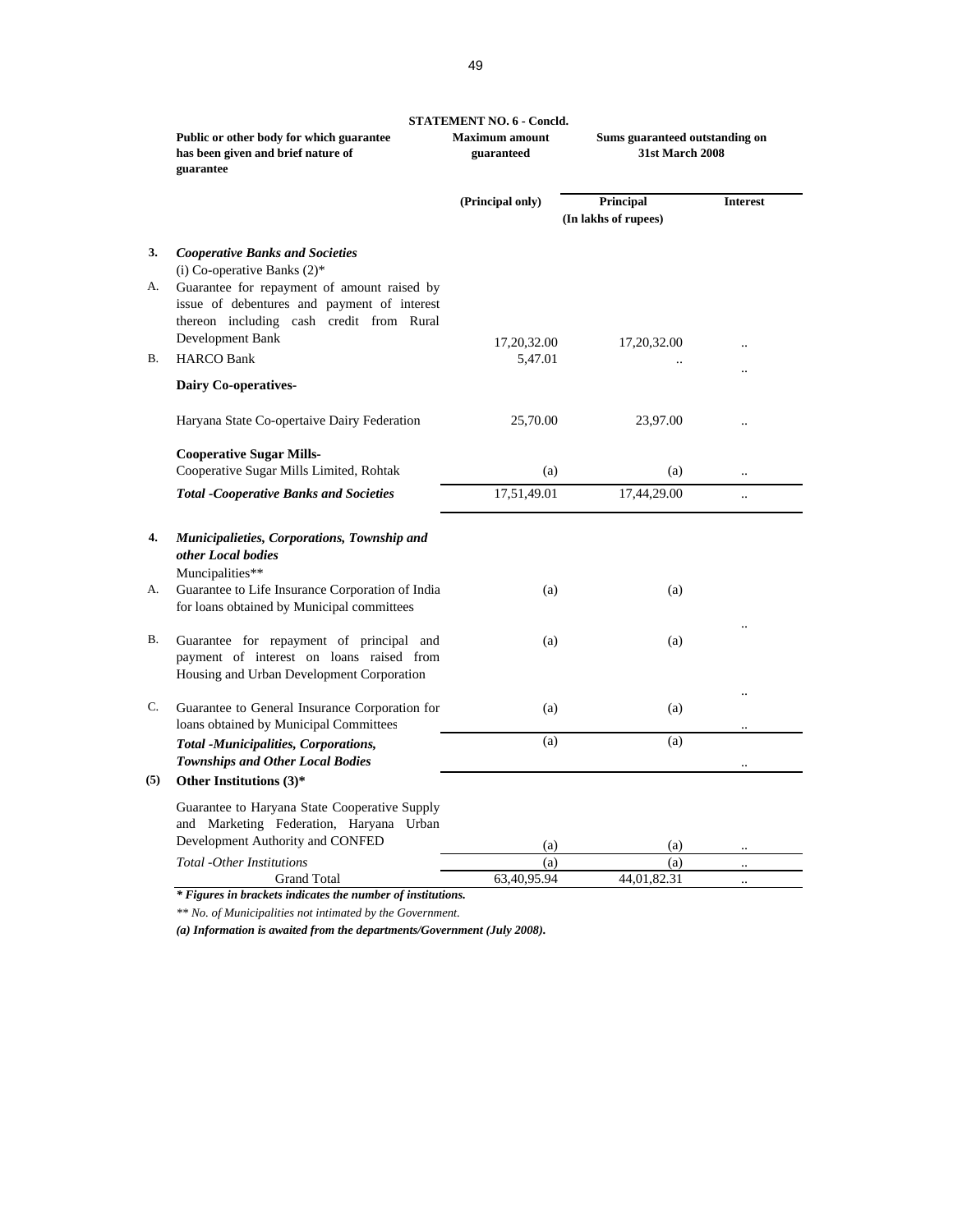**STATEMENT NO. 6 - Concld.**

|          | Public or other body for which guarantee<br>has been given and brief nature of<br>guarantee                                              | <b>Maximum</b> amount<br>guaranteed |                                   | Sums guaranteed outstanding on<br>31st March 2008 |  |
|----------|------------------------------------------------------------------------------------------------------------------------------------------|-------------------------------------|-----------------------------------|---------------------------------------------------|--|
|          |                                                                                                                                          | (Principal only)                    | Principal<br>(In lakhs of rupees) | <b>Interest</b>                                   |  |
| 3.       | <b>Cooperative Banks and Societies</b>                                                                                                   |                                     |                                   |                                                   |  |
| А.       | (i) Co-operative Banks $(2)^*$<br>Guarantee for repayment of amount raised by<br>issue of debentures and payment of interest             |                                     |                                   |                                                   |  |
|          | thereon including cash credit from Rural                                                                                                 |                                     |                                   |                                                   |  |
|          | Development Bank                                                                                                                         | 17,20,32.00                         | 17,20,32.00                       |                                                   |  |
| В.       | <b>HARCO Bank</b><br><b>Dairy Co-operatives-</b>                                                                                         | 5,47.01                             |                                   |                                                   |  |
|          |                                                                                                                                          |                                     |                                   |                                                   |  |
|          | Haryana State Co-opertaive Dairy Federation                                                                                              | 25,70.00                            | 23,97.00                          |                                                   |  |
|          | <b>Cooperative Sugar Mills-</b><br>Cooperative Sugar Mills Limited, Rohtak                                                               | (a)                                 | (a)                               | $\ddot{\phantom{a}}$                              |  |
|          | <b>Total -Cooperative Banks and Societies</b>                                                                                            | 17,51,49.01                         | 17,44,29.00                       | $\ddot{\phantom{a}}$                              |  |
| 4.<br>А. | Municipalieties, Corporations, Township and<br>other Local bodies<br>Muncipalities**<br>Guarantee to Life Insurance Corporation of India | (a)                                 | (a)                               |                                                   |  |
|          | for loans obtained by Municipal committees                                                                                               |                                     |                                   |                                                   |  |
| В.       | Guarantee for repayment of principal and<br>payment of interest on loans raised from<br>Housing and Urban Development Corporation        | (a)                                 | (a)                               |                                                   |  |
| C.       | Guarantee to General Insurance Corporation for<br>loans obtained by Municipal Committees                                                 | (a)                                 | (a)                               |                                                   |  |
|          | <b>Total -Municipalities, Corporations,</b><br><b>Townships and Other Local Bodies</b>                                                   | (a)                                 | (a)                               |                                                   |  |
| (5)      | Other Institutions (3)*                                                                                                                  |                                     |                                   |                                                   |  |
|          | Guarantee to Haryana State Cooperative Supply<br>and Marketing Federation, Haryana Urban                                                 |                                     |                                   |                                                   |  |
|          | Development Authority and CONFED                                                                                                         | (a)                                 | (a)                               | $\ddotsc$                                         |  |
|          |                                                                                                                                          |                                     |                                   |                                                   |  |
|          | <b>Total</b> - Other Institutions                                                                                                        | (a)                                 | (a)                               | $\ddot{\phantom{a}}$                              |  |

*\*\* No. of Municipalities not intimated by the Government.*

*(a) Information is awaited from the departments/Government (July 2008).*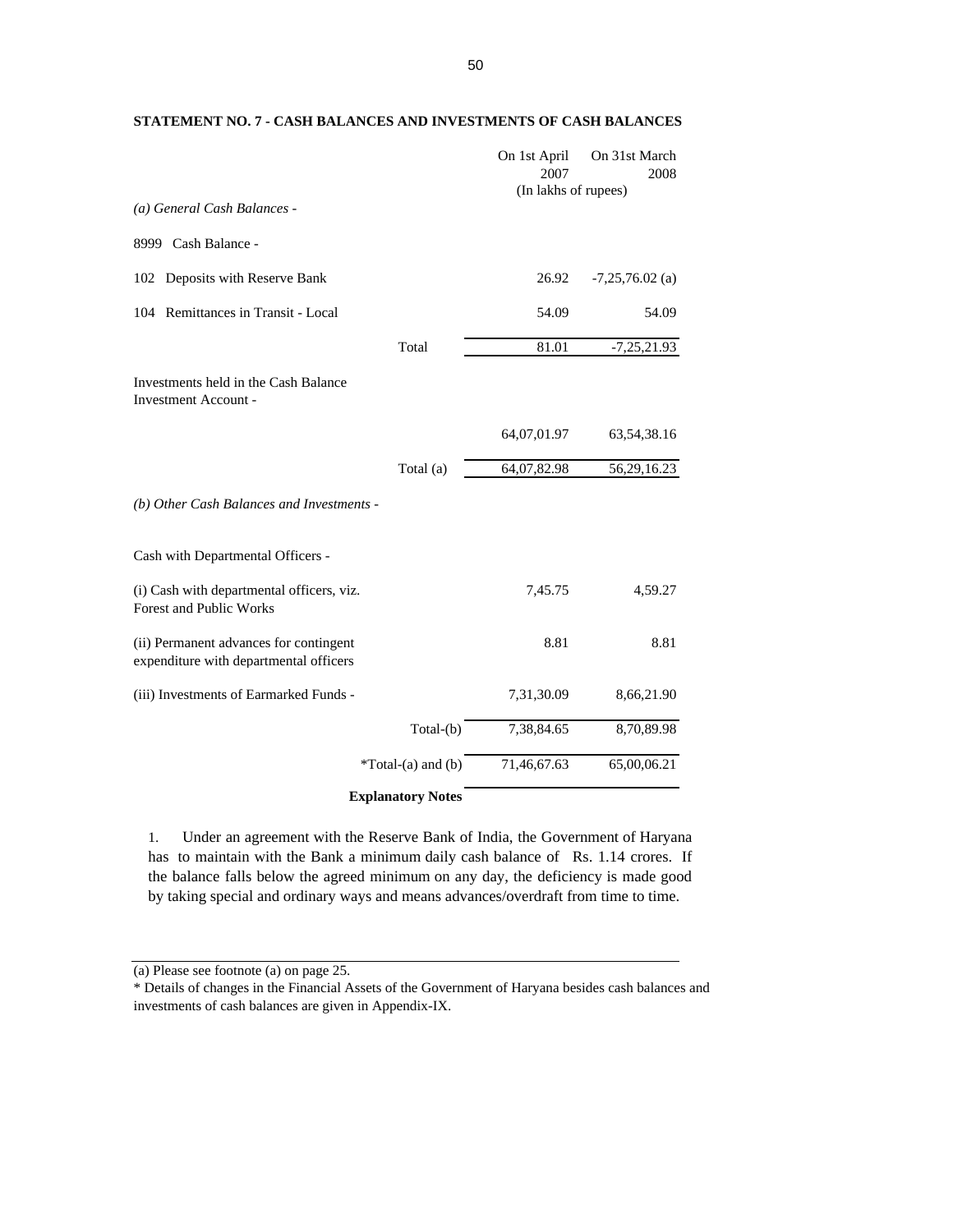|                                                                                  |                          | On 1st April<br>2007 | On 31st March<br>2008 |
|----------------------------------------------------------------------------------|--------------------------|----------------------|-----------------------|
| (a) General Cash Balances -                                                      |                          | (In lakhs of rupees) |                       |
|                                                                                  |                          |                      |                       |
| 8999 Cash Balance -                                                              |                          |                      |                       |
| 102 Deposits with Reserve Bank                                                   |                          | 26.92                | $-7,25,76.02$ (a)     |
| 104 Remittances in Transit - Local                                               |                          | 54.09                | 54.09                 |
|                                                                                  | Total                    | 81.01                | $-7,25,21.93$         |
| Investments held in the Cash Balance<br><b>Investment Account -</b>              |                          |                      |                       |
|                                                                                  |                          | 64,07,01.97          | 63,54,38.16           |
|                                                                                  | Total (a)                | 64,07,82.98          | 56,29,16.23           |
| (b) Other Cash Balances and Investments -                                        |                          |                      |                       |
| Cash with Departmental Officers -                                                |                          |                      |                       |
| (i) Cash with departmental officers, viz.<br>Forest and Public Works             |                          | 7,45.75              | 4,59.27               |
| (ii) Permanent advances for contingent<br>expenditure with departmental officers |                          | 8.81                 | 8.81                  |
| (iii) Investments of Earmarked Funds -                                           |                          | 7,31,30.09           | 8,66,21.90            |
|                                                                                  | Total-(b)                | 7,38,84.65           | 8,70,89.98            |
|                                                                                  | $*Total-(a)$ and (b)     | 71,46,67.63          | 65,00,06.21           |
|                                                                                  | <b>Explanatory Notes</b> |                      |                       |

## **STATEMENT NO. 7 - CASH BALANCES AND INVESTMENTS OF CASH BALANCES**

1. Under an agreement with the Reserve Bank of India, the Government of Haryana has to maintain with the Bank a minimum daily cash balance of Rs. 1.14 crores. If the balance falls below the agreed minimum on any day, the deficiency is made good by taking special and ordinary ways and means advances/overdraft from time to time.

<sup>(</sup>a) Please see footnote (a) on page 25.

<sup>\*</sup> Details of changes in the Financial Assets of the Government of Haryana besides cash balances and investments of cash balances are given in Appendix-IX.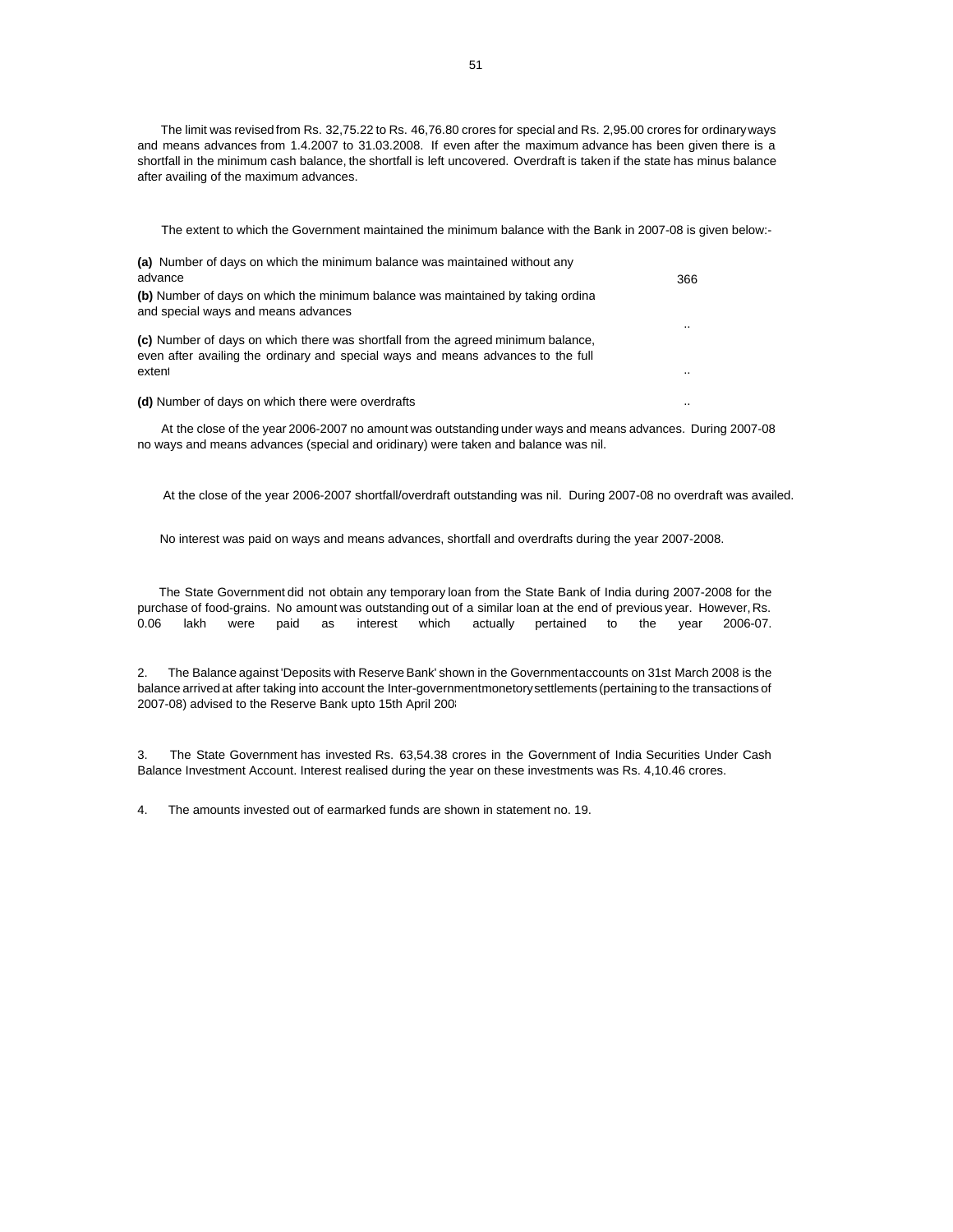The limit was revised from Rs. 32,75.22 to Rs. 46,76.80 crores for special and Rs. 2,95.00 crores for ordinaryways and means advances from 1.4.2007 to 31.03.2008. If even after the maximum advance has been given there is a shortfall in the minimum cash balance, the shortfall is left uncovered. Overdraft is taken if the state has minus balance after availing of the maximum advances.

The extent to which the Government maintained the minimum balance with the Bank in 2007-08 is given below:-

| (a) Number of days on which the minimum balance was maintained without any<br>advance                                                                                | 366       |
|----------------------------------------------------------------------------------------------------------------------------------------------------------------------|-----------|
| (b) Number of days on which the minimum balance was maintained by taking ordina<br>and special ways and means advances                                               |           |
| (c) Number of days on which there was shortfall from the agreed minimum balance,<br>even after availing the ordinary and special ways and means advances to the full | $\cdot$ . |
| extent<br>(d) Number of days on which there were overdrafts                                                                                                          | $\cdot$ . |

At the close of the year 2006-2007 no amount was outstanding under ways and means advances. During 2007-08 no ways and means advances (special and oridinary) were taken and balance was nil.

At the close of the year 2006-2007 shortfall/overdraft outstanding was nil. During 2007-08 no overdraft was availed.

No interest was paid on ways and means advances, shortfall and overdrafts during the year 2007-2008.

The State Government did not obtain any temporary loan from the State Bank of India during 2007-2008 for the purchase of food-grains. No amount was outstanding out of a similar loan at the end of previous year. However, Rs. 0.06 lakh were paid as interest which actually pertained to the year 2006-07.

2. The Balance against 'Deposits with Reserve Bank' shown in the Governmentaccounts on 31st March 2008 is the balance arrived at after taking into account the Inter-governmentmonetorysettlements (pertaining to the transactions of 2007-08) advised to the Reserve Bank upto 15th April 200

3. The State Government has invested Rs. 63,54.38 crores in the Government of India Securities Under Cash Balance Investment Account. Interest realised during the year on these investments was Rs. 4,10.46 crores.

4. The amounts invested out of earmarked funds are shown in statement no. 19.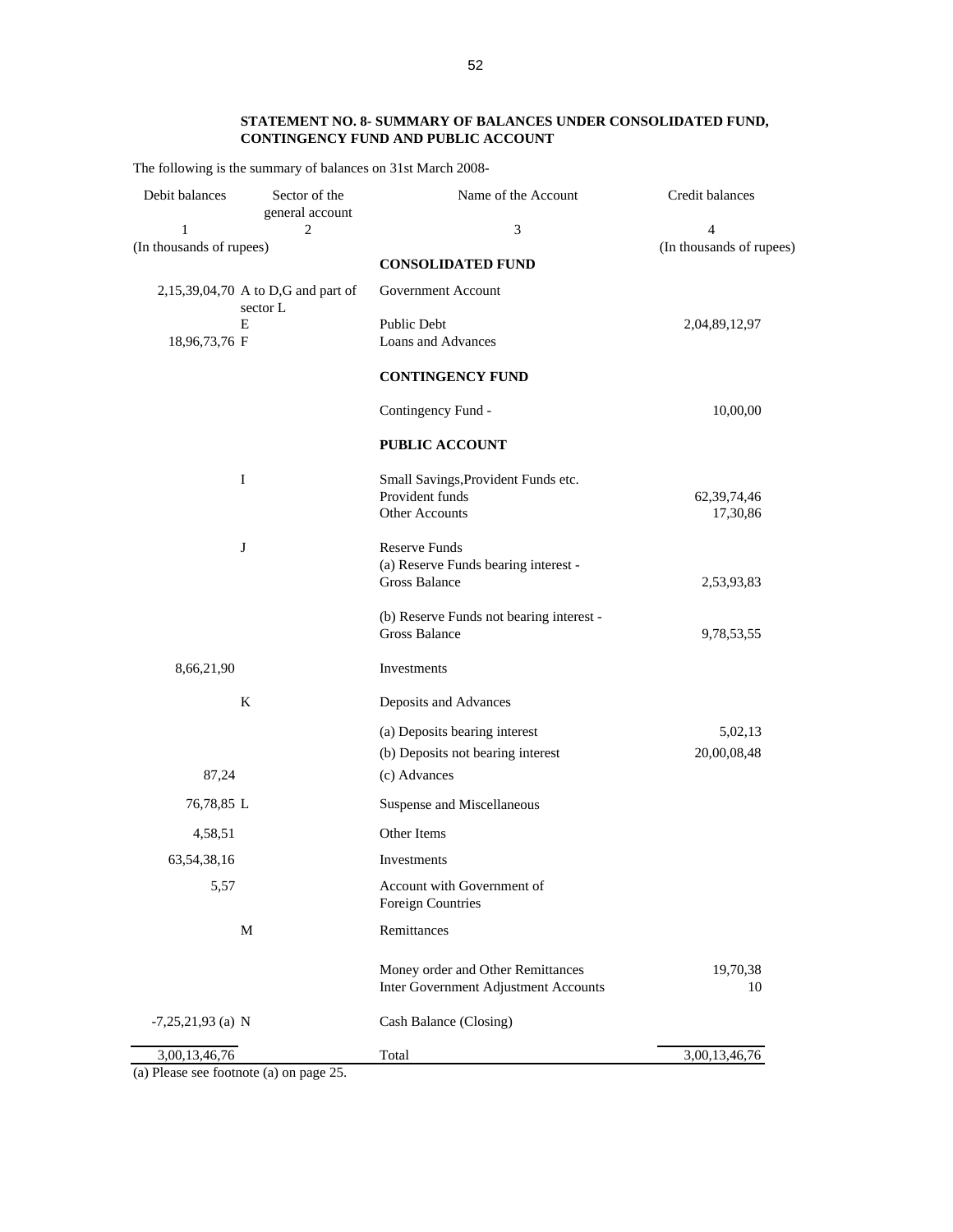### **STATEMENT NO. 8- SUMMARY OF BALANCES UNDER CONSOLIDATED FUND, CONTINGENCY FUND AND PUBLIC ACCOUNT**

The following is the summary of balances on 31st March 2008-

| Debit balances                                 | Sector of the<br>general account | Name of the Account                                                       | Credit balances          |
|------------------------------------------------|----------------------------------|---------------------------------------------------------------------------|--------------------------|
| $\mathbf{1}$                                   | 2                                | 3                                                                         | $\overline{4}$           |
| (In thousands of rupees)                       |                                  |                                                                           | (In thousands of rupees) |
|                                                |                                  | <b>CONSOLIDATED FUND</b>                                                  |                          |
| 2,15,39,04,70 A to D,G and part of<br>sector L |                                  | Government Account                                                        |                          |
| E                                              |                                  | Public Debt                                                               | 2,04,89,12,97            |
| 18,96,73,76 F                                  |                                  | Loans and Advances                                                        |                          |
|                                                |                                  | <b>CONTINGENCY FUND</b>                                                   |                          |
|                                                |                                  | Contingency Fund -                                                        | 10,00,00                 |
|                                                |                                  | <b>PUBLIC ACCOUNT</b>                                                     |                          |
| $\mathbf I$                                    |                                  | Small Savings, Provident Funds etc.                                       |                          |
|                                                |                                  | Provident funds                                                           | 62, 39, 74, 46           |
|                                                |                                  | Other Accounts                                                            | 17,30,86                 |
| J                                              |                                  | Reserve Funds                                                             |                          |
|                                                |                                  | (a) Reserve Funds bearing interest -                                      |                          |
|                                                |                                  | <b>Gross Balance</b>                                                      | 2,53,93,83               |
|                                                |                                  | (b) Reserve Funds not bearing interest -                                  |                          |
|                                                |                                  | <b>Gross Balance</b>                                                      | 9,78,53,55               |
| 8,66,21,90                                     |                                  | Investments                                                               |                          |
| K                                              |                                  | Deposits and Advances                                                     |                          |
|                                                |                                  | (a) Deposits bearing interest                                             | 5,02,13                  |
|                                                |                                  | (b) Deposits not bearing interest                                         | 20,00,08,48              |
| 87,24                                          |                                  | (c) Advances                                                              |                          |
| 76,78,85 L                                     |                                  | Suspense and Miscellaneous                                                |                          |
| 4,58,51                                        |                                  | Other Items                                                               |                          |
| 63, 54, 38, 16                                 |                                  | Investments                                                               |                          |
| 5,57                                           |                                  | Account with Government of<br>Foreign Countries                           |                          |
| M                                              |                                  | Remittances                                                               |                          |
|                                                |                                  | Money order and Other Remittances<br>Inter Government Adjustment Accounts | 19,70,38<br>10           |
| $-7,25,21,93$ (a) N                            |                                  | Cash Balance (Closing)                                                    |                          |
| 3,00,13,46,76                                  |                                  | Total                                                                     | 3,00,13,46,76            |

(a) Please see footnote (a) on page 25.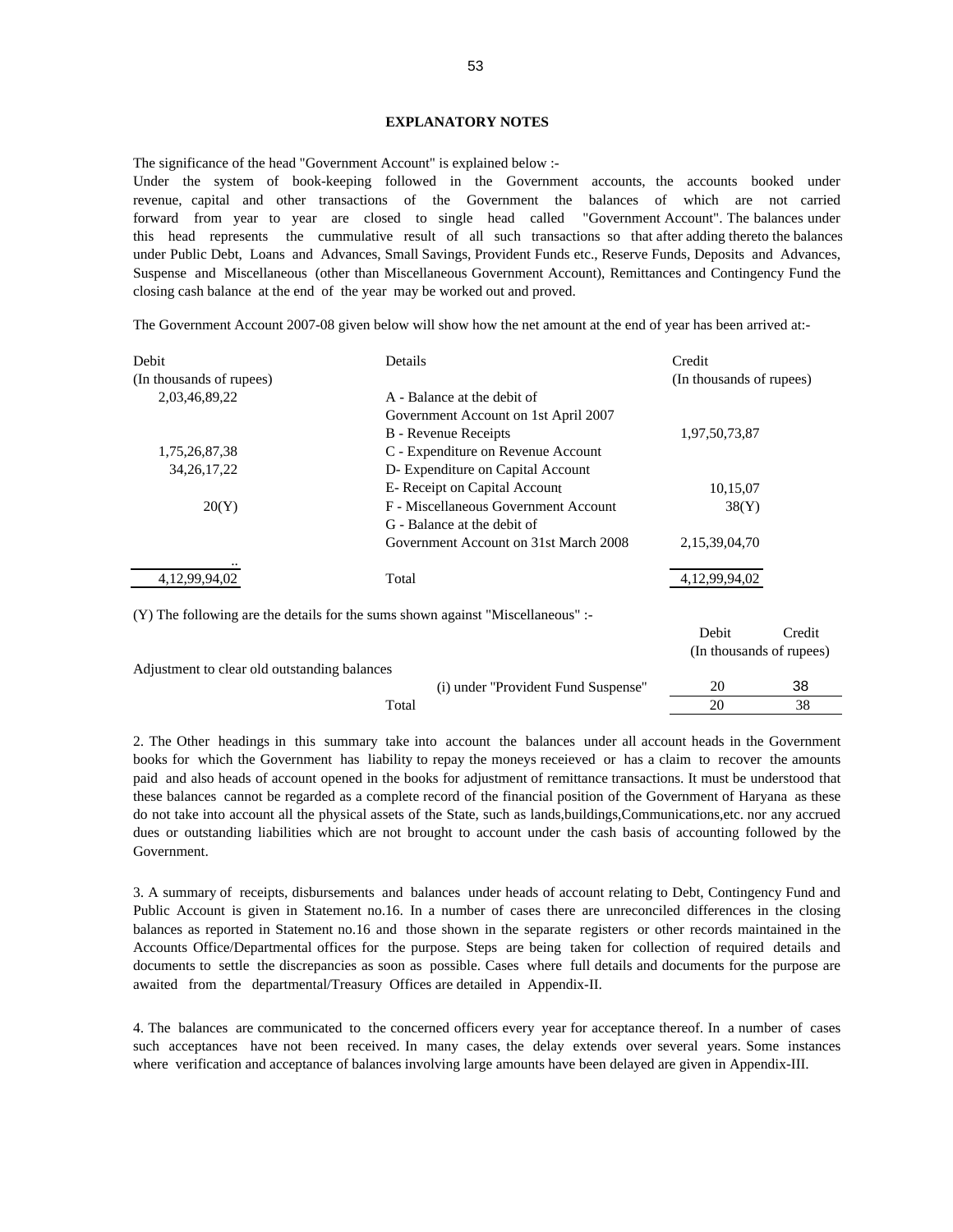### **EXPLANATORY NOTES**

The significance of the head "Government Account" is explained below :-

Under the system of book-keeping followed in the Government accounts, the accounts booked under revenue, capital and other transactions of the Government the balances of which are not carried forward from year to year are closed to single head called "Government Account". The balances under this head represents the cummulative result of all such transactions so that after adding thereto the balances under Public Debt, Loans and Advances, Small Savings, Provident Funds etc., Reserve Funds, Deposits and Advances, Suspense and Miscellaneous (other than Miscellaneous Government Account), Remittances and Contingency Fund the closing cash balance at the end of the year may be worked out and proved.

The Government Account 2007-08 given below will show how the net amount at the end of year has been arrived at:-

| Debit                    | Details                               | Credit                   |
|--------------------------|---------------------------------------|--------------------------|
| (In thousands of rupees) |                                       | (In thousands of rupees) |
| 2,03,46,89,22            | A - Balance at the debit of           |                          |
|                          | Government Account on 1st April 2007  |                          |
|                          | <b>B</b> - Revenue Receipts           | 1,97,50,73,87            |
| 1,75,26,87,38            | C - Expenditure on Revenue Account    |                          |
| 34, 26, 17, 22           | D- Expenditure on Capital Account     |                          |
|                          | E- Receipt on Capital Account         | 10,15,07                 |
| 20(Y)                    | F - Miscellaneous Government Account  | 38(Y)                    |
|                          | G - Balance at the debit of           |                          |
|                          | Government Account on 31st March 2008 | 2,15,39,04,70            |
| <br>4.12.99.94.02        | Total                                 | 4,12,99,94,02            |
|                          |                                       |                          |

(Y) The following are the details for the sums shown against "Miscellaneous" :-

|                                              |                                     | Debit | Credit                   |
|----------------------------------------------|-------------------------------------|-------|--------------------------|
|                                              |                                     |       | (In thousands of rupees) |
| Adjustment to clear old outstanding balances |                                     |       |                          |
|                                              | (i) under "Provident Fund Suspense" | 20    | 38                       |
| Total                                        |                                     | 20    | 38                       |
|                                              |                                     |       |                          |

2. The Other headings in this summary take into account the balances under all account heads in the Government books for which the Government has liability to repay the moneys receieved or has a claim to recover the amounts paid and also heads of account opened in the books for adjustment of remittance transactions. It must be understood that these balances cannot be regarded as a complete record of the financial position of the Government of Haryana as these do not take into account all the physical assets of the State, such as lands,buildings,Communications,etc. nor any accrued dues or outstanding liabilities which are not brought to account under the cash basis of accounting followed by the Government.

3. A summary of receipts, disbursements and balances under heads of account relating to Debt, Contingency Fund and Public Account is given in Statement no.16. In a number of cases there are unreconciled differences in the closing balances as reported in Statement no.16 and those shown in the separate registers or other records maintained in the Accounts Office/Departmental offices for the purpose. Steps are being taken for collection of required details and documents to settle the discrepancies as soon as possible. Cases where full details and documents for the purpose are awaited from the departmental/Treasury Offices are detailed in Appendix-II.

4. The balances are communicated to the concerned officers every year for acceptance thereof. In a number of cases such acceptances have not been received. In many cases, the delay extends over several years. Some instances where verification and acceptance of balances involving large amounts have been delayed are given in Appendix-III.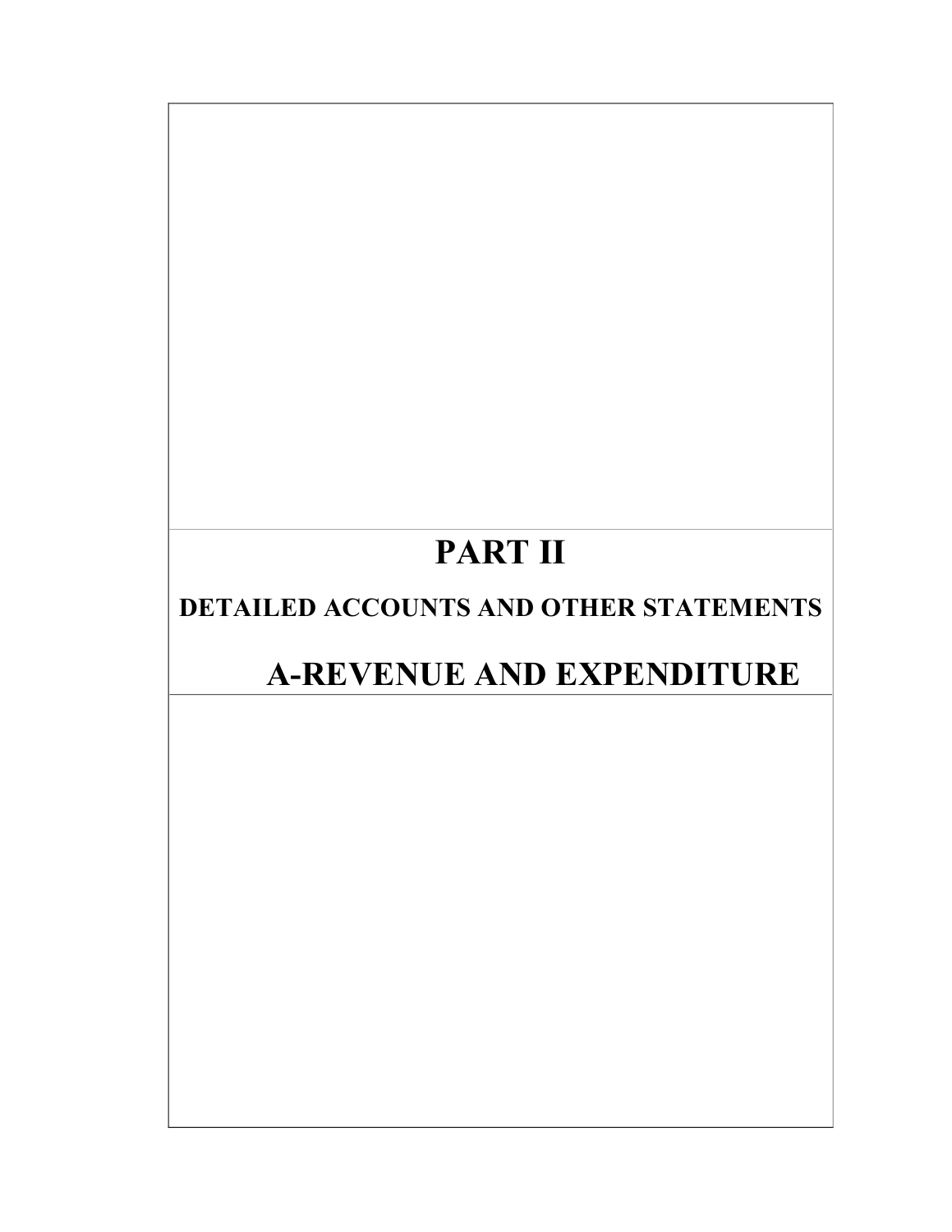# **PART II**

## **DETAILED ACCOUNTS AND OTHER STATEMENTS**

## **A-REVENUE AND EXPENDITURE**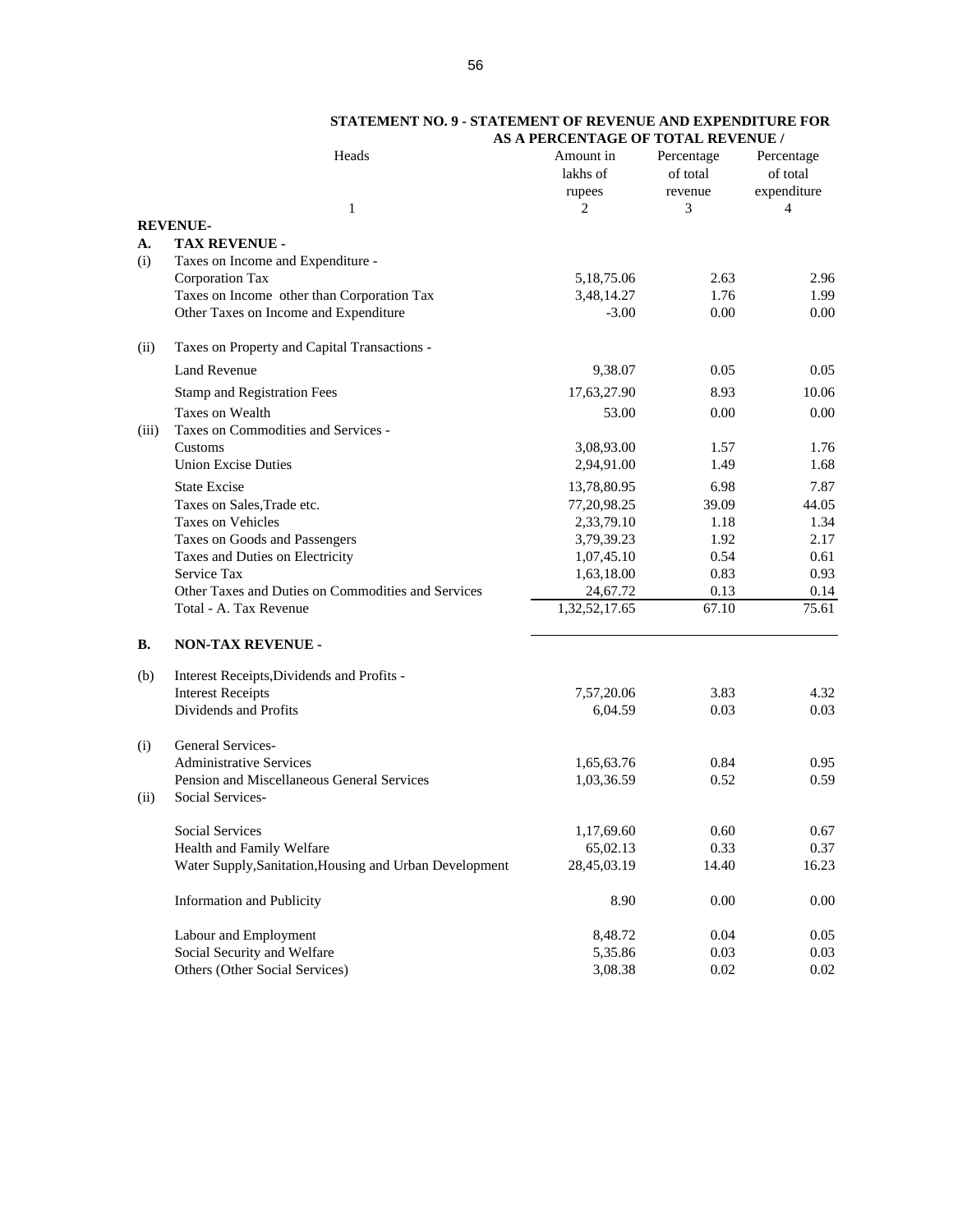|       | Heads                                                          | Amount in<br>lakhs of<br>rupees | Percentage<br>of total<br>revenue | Percentage<br>of total<br>expenditure |
|-------|----------------------------------------------------------------|---------------------------------|-----------------------------------|---------------------------------------|
|       | 1                                                              | $\overline{c}$                  | 3                                 | $\overline{4}$                        |
|       | <b>REVENUE-</b>                                                |                                 |                                   |                                       |
| A.    | <b>TAX REVENUE -</b>                                           |                                 |                                   |                                       |
| (i)   | Taxes on Income and Expenditure -<br>Corporation Tax           | 5,18,75.06                      | 2.63                              | 2.96                                  |
|       | Taxes on Income other than Corporation Tax                     | 3,48,14.27                      | 1.76                              | 1.99                                  |
|       | Other Taxes on Income and Expenditure                          | $-3.00$                         | 0.00                              | 0.00                                  |
| (ii)  | Taxes on Property and Capital Transactions -                   |                                 |                                   |                                       |
|       | <b>Land Revenue</b>                                            | 9,38.07                         | 0.05                              | 0.05                                  |
|       | <b>Stamp and Registration Fees</b>                             | 17,63,27.90                     | 8.93                              | 10.06                                 |
|       | Taxes on Wealth                                                | 53.00                           | 0.00                              | 0.00                                  |
| (iii) | Taxes on Commodities and Services -                            |                                 |                                   |                                       |
|       | Customs                                                        | 3,08,93.00                      | 1.57                              | 1.76                                  |
|       | <b>Union Excise Duties</b>                                     | 2,94,91.00                      | 1.49                              | 1.68                                  |
|       | <b>State Excise</b>                                            | 13,78,80.95                     | 6.98                              | 7.87                                  |
|       | Taxes on Sales, Trade etc.                                     | 77,20,98.25                     | 39.09                             | 44.05                                 |
|       | Taxes on Vehicles                                              | 2,33,79.10                      | 1.18                              | 1.34                                  |
|       | Taxes on Goods and Passengers                                  | 3,79,39.23                      | 1.92                              | 2.17                                  |
|       | Taxes and Duties on Electricity                                | 1,07,45.10                      | 0.54                              | 0.61                                  |
|       | Service Tax                                                    | 1,63,18.00                      | 0.83                              | 0.93                                  |
|       | Other Taxes and Duties on Commodities and Services             | 24,67.72                        | 0.13                              | 0.14                                  |
|       | Total - A. Tax Revenue                                         | 1,32,52,17.65                   | 67.10                             | 75.61                                 |
| В.    | <b>NON-TAX REVENUE -</b>                                       |                                 |                                   |                                       |
| (b)   | Interest Receipts, Dividends and Profits -                     |                                 |                                   |                                       |
|       | <b>Interest Receipts</b>                                       | 7,57,20.06                      | 3.83                              | 4.32                                  |
|       | Dividends and Profits                                          | 6,04.59                         | 0.03                              | 0.03                                  |
| (i)   | General Services-                                              |                                 |                                   |                                       |
|       | <b>Administrative Services</b>                                 | 1,65,63.76                      | 0.84                              | 0.95                                  |
| (ii)  | Pension and Miscellaneous General Services<br>Social Services- | 1,03,36.59                      | 0.52                              | 0.59                                  |
|       | <b>Social Services</b>                                         | 1,17,69.60                      | 0.60                              | 0.67                                  |
|       | Health and Family Welfare                                      | 65,02.13                        | 0.33                              | 0.37                                  |
|       | Water Supply, Sanitation, Housing and Urban Development        | 28,45,03.19                     | 14.40                             | 16.23                                 |
|       | Information and Publicity                                      | 8.90                            | 0.00                              | 0.00                                  |
|       | Labour and Employment                                          | 8,48.72                         | 0.04                              | 0.05                                  |
|       | Social Security and Welfare                                    | 5,35.86                         | 0.03                              | 0.03                                  |
|       | Others (Other Social Services)                                 | 3,08.38                         | $0.02\,$                          | 0.02                                  |

### **AS A PERCENTAGE OF TOTAL REVENUE / STATEMENT NO. 9 - STATEMENT OF REVENUE AND EXPENDITURE FOR**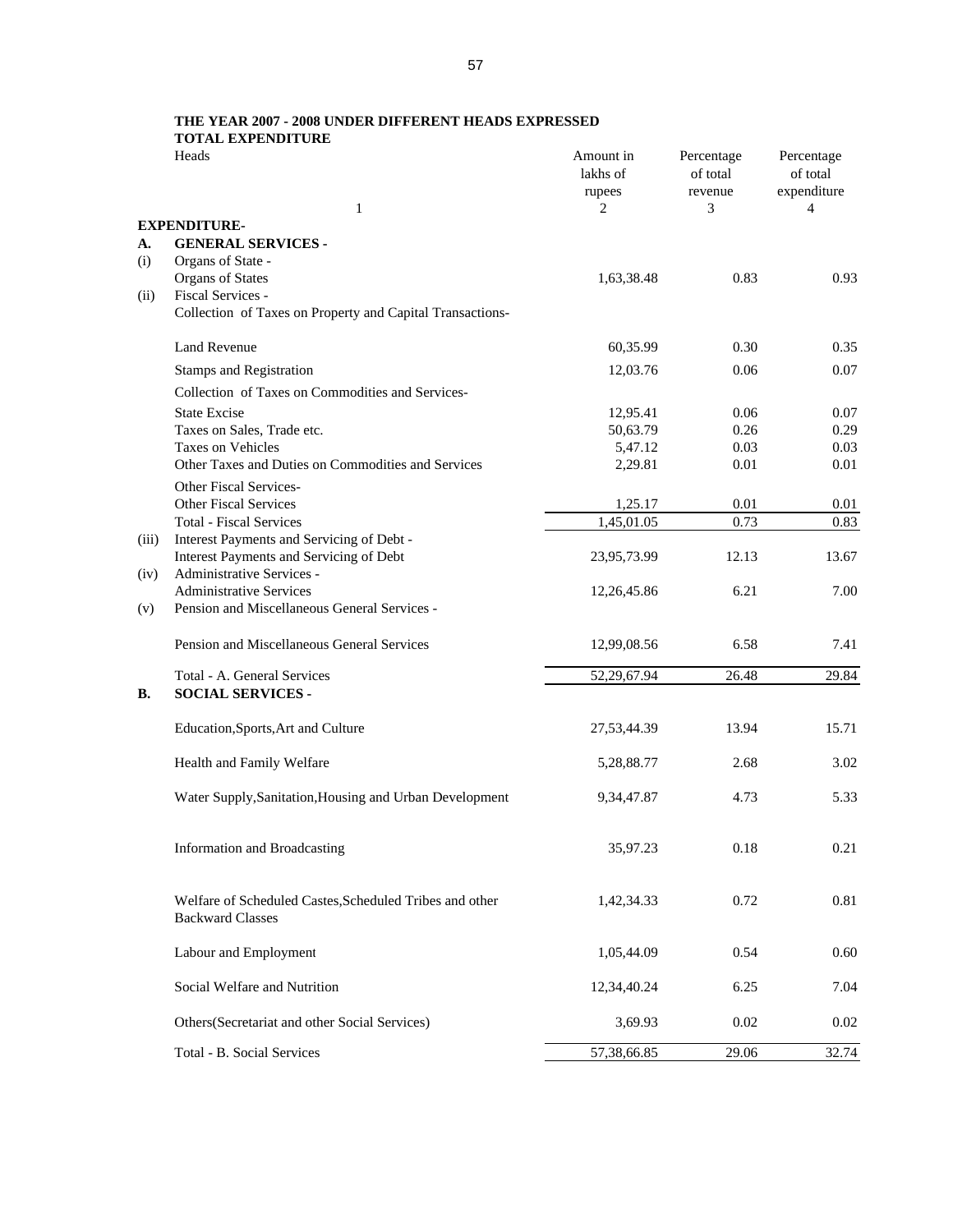| THE YEAR 2007 - 2008 UNDER DIFFERENT HEADS EXPRESSED |  |  |
|------------------------------------------------------|--|--|
| <b>TOTAL EXPENDITURE</b>                             |  |  |

|       | Heads                                                                              | Amount in<br>lakhs of<br>rupees | Percentage<br>of total<br>revenue | Percentage<br>of total<br>expenditure |
|-------|------------------------------------------------------------------------------------|---------------------------------|-----------------------------------|---------------------------------------|
|       | 1                                                                                  | 2                               | 3                                 | $\overline{4}$                        |
|       | <b>EXPENDITURE-</b>                                                                |                                 |                                   |                                       |
| A.    | <b>GENERAL SERVICES -</b>                                                          |                                 |                                   |                                       |
| (i)   | Organs of State -                                                                  |                                 |                                   |                                       |
|       | <b>Organs</b> of States                                                            | 1,63,38.48                      | 0.83                              | 0.93                                  |
| (ii)  | Fiscal Services -                                                                  |                                 |                                   |                                       |
|       | Collection of Taxes on Property and Capital Transactions-                          |                                 |                                   |                                       |
|       | <b>Land Revenue</b>                                                                | 60,35.99                        | 0.30                              | 0.35                                  |
|       | <b>Stamps and Registration</b>                                                     | 12,03.76                        | 0.06                              | 0.07                                  |
|       | Collection of Taxes on Commodities and Services-                                   |                                 |                                   |                                       |
|       | <b>State Excise</b>                                                                | 12,95.41                        | 0.06                              | 0.07                                  |
|       | Taxes on Sales, Trade etc.                                                         | 50,63.79                        | 0.26                              | 0.29                                  |
|       | <b>Taxes on Vehicles</b>                                                           | 5,47.12                         | 0.03                              | 0.03                                  |
|       | Other Taxes and Duties on Commodities and Services                                 | 2,29.81                         | 0.01                              | 0.01                                  |
|       | <b>Other Fiscal Services-</b>                                                      |                                 |                                   |                                       |
|       | <b>Other Fiscal Services</b>                                                       | 1,25.17                         | 0.01                              | 0.01                                  |
|       | <b>Total - Fiscal Services</b>                                                     | 1,45,01.05                      | 0.73                              | 0.83                                  |
| (iii) | Interest Payments and Servicing of Debt -                                          |                                 |                                   |                                       |
|       | Interest Payments and Servicing of Debt                                            | 23,95,73.99                     | 12.13                             | 13.67                                 |
| (iv)  | Administrative Services -                                                          |                                 |                                   |                                       |
|       | <b>Administrative Services</b>                                                     | 12,26,45.86                     | 6.21                              | 7.00                                  |
| (v)   | Pension and Miscellaneous General Services -                                       |                                 |                                   |                                       |
|       | Pension and Miscellaneous General Services                                         | 12,99,08.56                     | 6.58                              | 7.41                                  |
|       | Total - A. General Services                                                        | 52,29,67.94                     | 26.48                             | 29.84                                 |
| В.    | <b>SOCIAL SERVICES -</b>                                                           |                                 |                                   |                                       |
|       | Education, Sports, Art and Culture                                                 | 27,53,44.39                     | 13.94                             | 15.71                                 |
|       | Health and Family Welfare                                                          | 5,28,88.77                      | 2.68                              | 3.02                                  |
|       |                                                                                    |                                 |                                   |                                       |
|       | Water Supply, Sanitation, Housing and Urban Development                            | 9, 34, 47. 87                   | 4.73                              | 5.33                                  |
|       | Information and Broadcasting                                                       | 35,97.23                        | 0.18                              | 0.21                                  |
|       | Welfare of Scheduled Castes, Scheduled Tribes and other<br><b>Backward Classes</b> | 1,42,34.33                      | 0.72                              | 0.81                                  |
|       | Labour and Employment                                                              | 1,05,44.09                      | 0.54                              | 0.60                                  |
|       | Social Welfare and Nutrition                                                       | 12,34,40.24                     | 6.25                              | 7.04                                  |
|       | Others (Secretariat and other Social Services)                                     | 3,69.93                         | 0.02                              | 0.02                                  |
|       | Total - B. Social Services                                                         | 57,38,66.85                     | 29.06                             | 32.74                                 |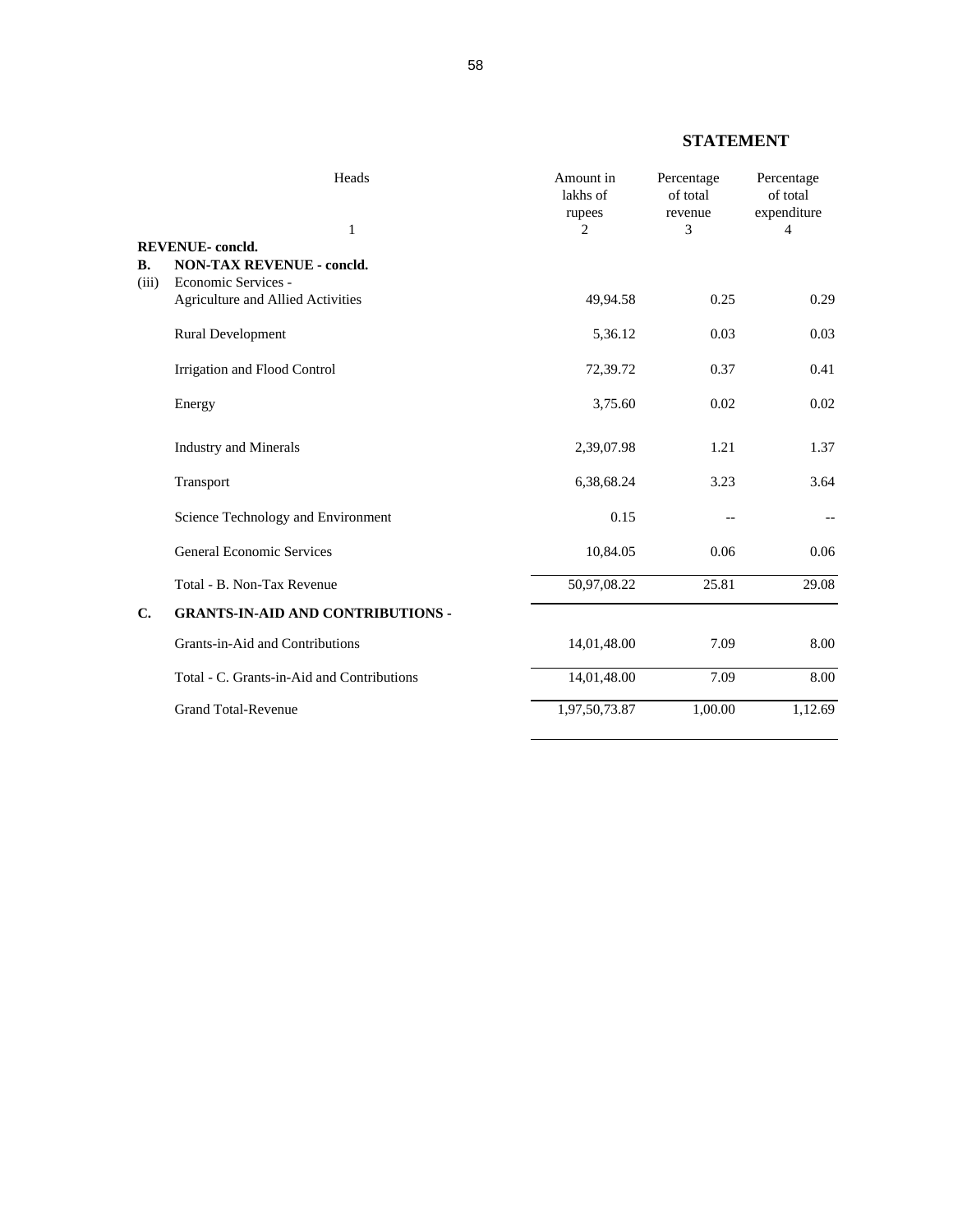## **STATEMENT**

|                | Heads<br>1                                 | Amount in<br>lakhs of<br>rupees<br>$\overline{2}$ | Percentage<br>of total<br>revenue<br>3 | Percentage<br>of total<br>expenditure<br>$\overline{4}$ |
|----------------|--------------------------------------------|---------------------------------------------------|----------------------------------------|---------------------------------------------------------|
|                | <b>REVENUE-concld.</b>                     |                                                   |                                        |                                                         |
| <b>B.</b>      | <b>NON-TAX REVENUE - concld.</b>           |                                                   |                                        |                                                         |
| (iii)          | Economic Services -                        |                                                   |                                        |                                                         |
|                | Agriculture and Allied Activities          | 49,94.58                                          | 0.25                                   | 0.29                                                    |
|                | <b>Rural Development</b>                   | 5,36.12                                           | 0.03                                   | 0.03                                                    |
|                | Irrigation and Flood Control               | 72,39.72                                          | 0.37                                   | 0.41                                                    |
|                | Energy                                     | 3,75.60                                           | 0.02                                   | 0.02                                                    |
|                | <b>Industry and Minerals</b>               | 2,39,07.98                                        | 1.21                                   | 1.37                                                    |
|                | Transport                                  | 6,38,68.24                                        | 3.23                                   | 3.64                                                    |
|                | Science Technology and Environment         | 0.15                                              | $-$                                    |                                                         |
|                | <b>General Economic Services</b>           | 10,84.05                                          | 0.06                                   | 0.06                                                    |
|                | Total - B. Non-Tax Revenue                 | 50,97,08.22                                       | 25.81                                  | 29.08                                                   |
| $\mathbf{C}$ . | <b>GRANTS-IN-AID AND CONTRIBUTIONS -</b>   |                                                   |                                        |                                                         |
|                | Grants-in-Aid and Contributions            | 14,01,48.00                                       | 7.09                                   | 8.00                                                    |
|                | Total - C. Grants-in-Aid and Contributions | 14,01,48.00                                       | 7.09                                   | 8.00                                                    |
|                | <b>Grand Total-Revenue</b>                 | 1,97,50,73.87                                     | 1,00.00                                | 1,12.69                                                 |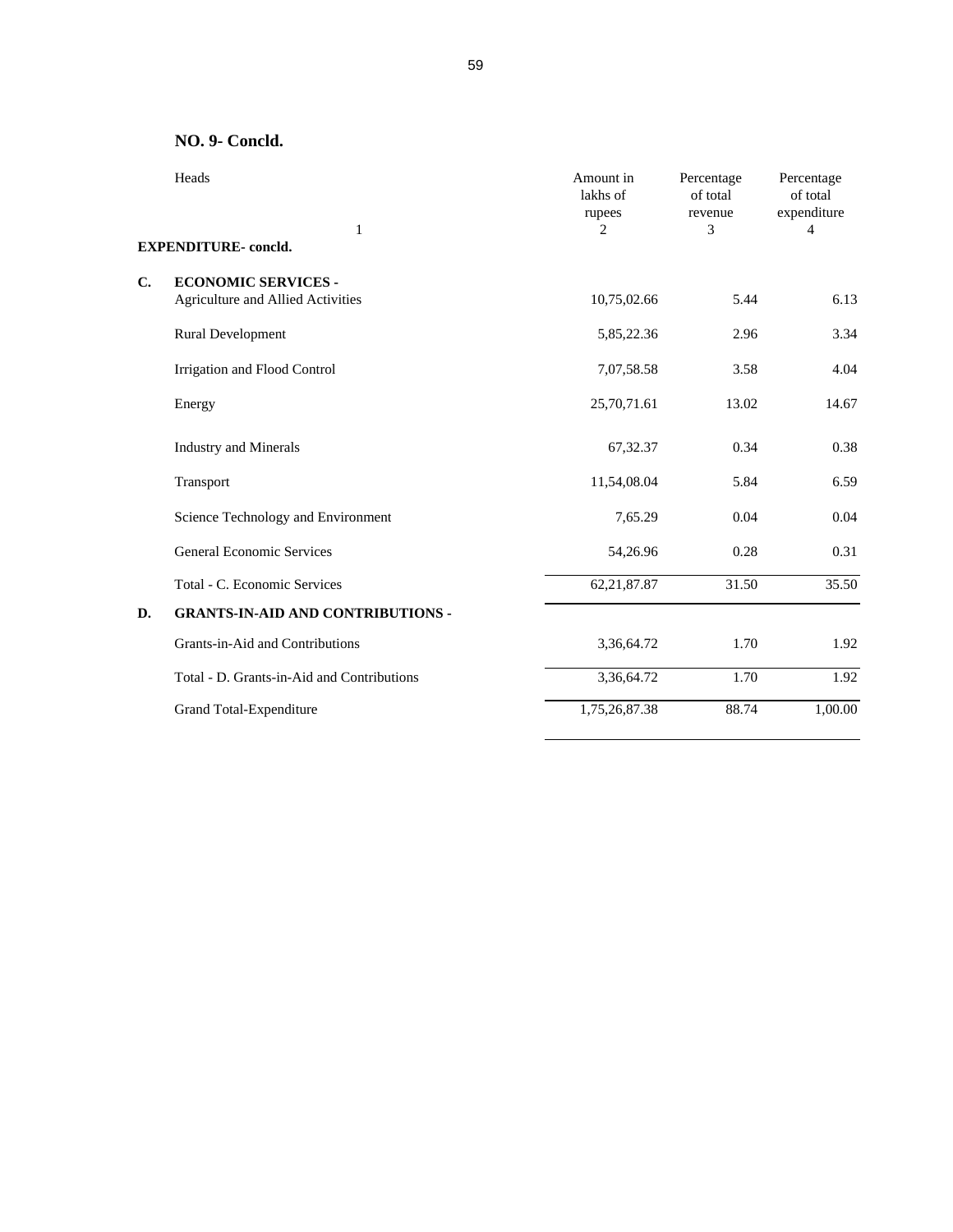**NO. 9- Concld.**

|                | Heads<br>1                                 | Amount in<br>lakhs of<br>rupees<br>$\overline{c}$ | Percentage<br>of total<br>revenue<br>3 | Percentage<br>of total<br>expenditure<br>$\overline{4}$ |
|----------------|--------------------------------------------|---------------------------------------------------|----------------------------------------|---------------------------------------------------------|
|                | <b>EXPENDITURE-</b> concld.                |                                                   |                                        |                                                         |
| $\mathbf{C}$ . | <b>ECONOMIC SERVICES -</b>                 |                                                   |                                        |                                                         |
|                | Agriculture and Allied Activities          | 10,75,02.66                                       | 5.44                                   | 6.13                                                    |
|                | <b>Rural Development</b>                   | 5,85,22.36                                        | 2.96                                   | 3.34                                                    |
|                | Irrigation and Flood Control               | 7,07,58.58                                        | 3.58                                   | 4.04                                                    |
|                | Energy                                     | 25,70,71.61                                       | 13.02                                  | 14.67                                                   |
|                | <b>Industry and Minerals</b>               | 67,32.37                                          | 0.34                                   | 0.38                                                    |
|                | Transport                                  | 11,54,08.04                                       | 5.84                                   | 6.59                                                    |
|                | Science Technology and Environment         | 7,65.29                                           | 0.04                                   | 0.04                                                    |
|                | <b>General Economic Services</b>           | 54,26.96                                          | 0.28                                   | 0.31                                                    |
|                | Total - C. Economic Services               | 62,21,87.87                                       | 31.50                                  | 35.50                                                   |
| D.             | <b>GRANTS-IN-AID AND CONTRIBUTIONS -</b>   |                                                   |                                        |                                                         |
|                | Grants-in-Aid and Contributions            | 3,36,64.72                                        | 1.70                                   | 1.92                                                    |
|                | Total - D. Grants-in-Aid and Contributions | 3,36,64.72                                        | 1.70                                   | 1.92                                                    |
|                | Grand Total-Expenditure                    | 1,75,26,87.38                                     | 88.74                                  | 1,00.00                                                 |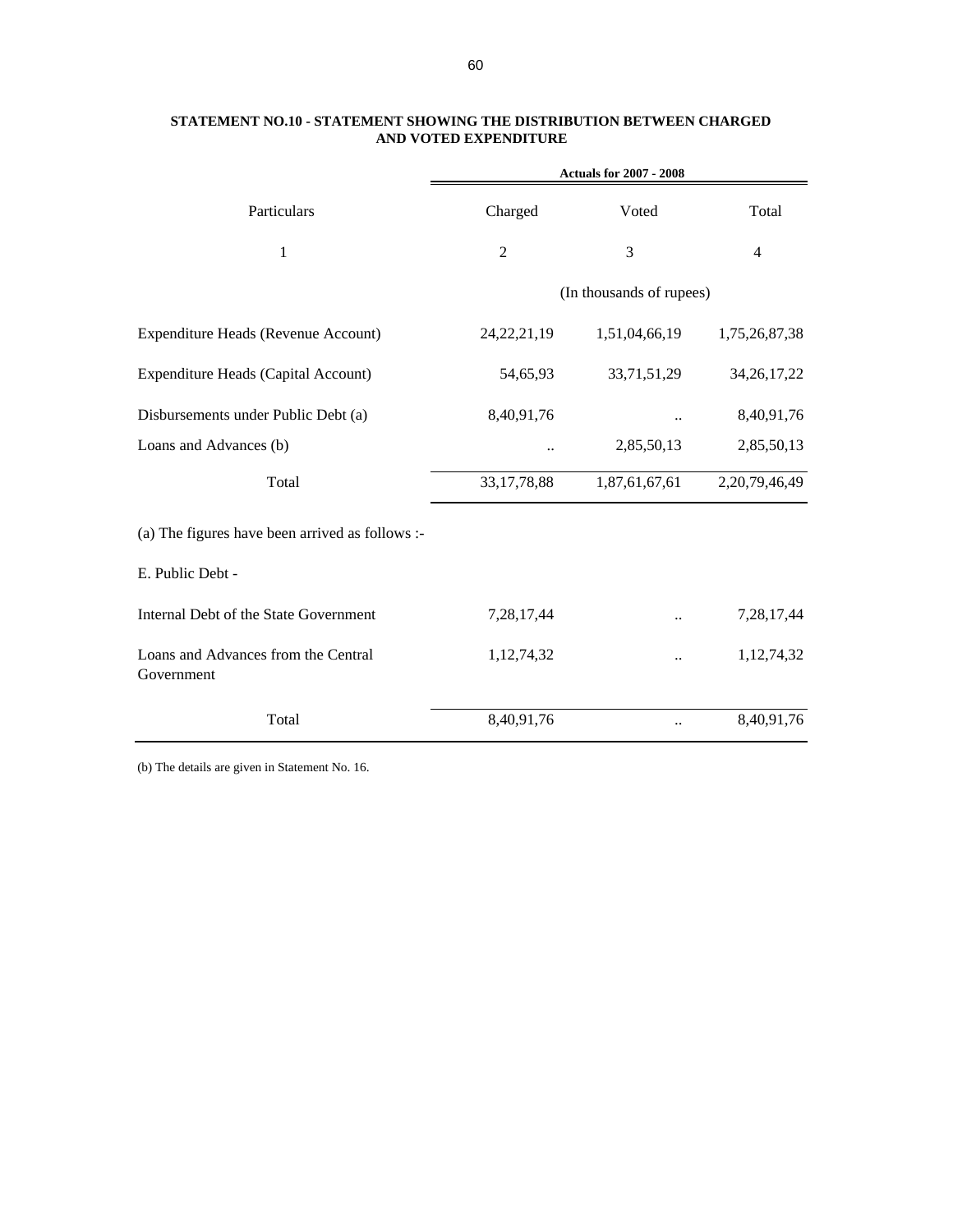|                                                   |                      | <b>Actuals for 2007 - 2008</b> |                |
|---------------------------------------------------|----------------------|--------------------------------|----------------|
| Particulars                                       | Charged              | Voted                          | Total          |
| $\mathbf{1}$                                      | $\overline{2}$       | 3                              | $\overline{4}$ |
|                                                   |                      | (In thousands of rupees)       |                |
| Expenditure Heads (Revenue Account)               | 24, 22, 21, 19       | 1,51,04,66,19                  | 1,75,26,87,38  |
| <b>Expenditure Heads (Capital Account)</b>        | 54,65,93             | 33,71,51,29                    | 34, 26, 17, 22 |
| Disbursements under Public Debt (a)               | 8,40,91,76           | $\ddot{\phantom{0}}$           | 8,40,91,76     |
| Loans and Advances (b)                            | $\ddot{\phantom{0}}$ | 2,85,50,13                     | 2,85,50,13     |
| Total                                             | 33, 17, 78, 88       | 1,87,61,67,61                  | 2,20,79,46,49  |
| (a) The figures have been arrived as follows :-   |                      |                                |                |
| E. Public Debt -                                  |                      |                                |                |
| Internal Debt of the State Government             | 7,28,17,44           |                                | 7,28,17,44     |
| Loans and Advances from the Central<br>Government | 1,12,74,32           |                                | 1,12,74,32     |
| Total                                             | 8,40,91,76           |                                | 8,40,91,76     |

## **AND VOTED EXPENDITURE STATEMENT NO.10 - STATEMENT SHOWING THE DISTRIBUTION BETWEEN CHARGED**

(b) The details are given in Statement No. 16.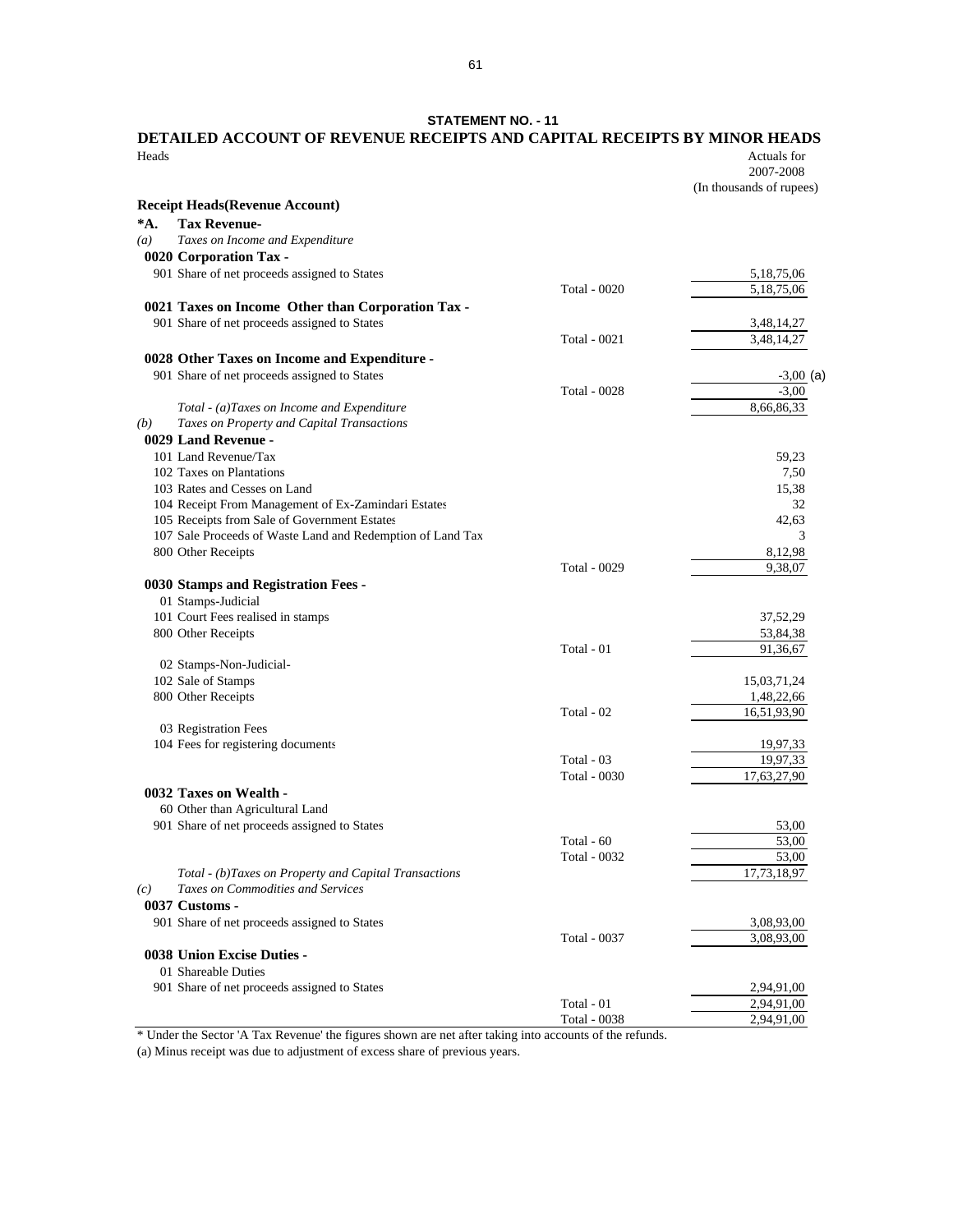**STATEMENT NO. - 11**

### **DETAILED ACCOUNT OF REVENUE RECEIPTS AND CAPITAL RECEIPTS BY MINOR HEADS**<br>Heads Heads **Actuals** for the contract of the contract of the contract of the contract of the contract of the contract of the contract of the contract of the contract of the contract of the contract of the contract of the contra

| ricaus |                                                                                     |                     | Actuais Ioi<br>2007-2008 |
|--------|-------------------------------------------------------------------------------------|---------------------|--------------------------|
|        |                                                                                     |                     | (In thousands of rupees) |
|        | <b>Receipt Heads (Revenue Account)</b>                                              |                     |                          |
| *A.    | <b>Tax Revenue-</b>                                                                 |                     |                          |
| (a)    | Taxes on Income and Expenditure                                                     |                     |                          |
|        | 0020 Corporation Tax -                                                              |                     |                          |
|        | 901 Share of net proceeds assigned to States                                        |                     | 5, 18, 75, 06            |
|        |                                                                                     | <b>Total - 0020</b> | 5,18,75,06               |
|        | 0021 Taxes on Income Other than Corporation Tax -                                   |                     |                          |
|        | 901 Share of net proceeds assigned to States                                        |                     | 3,48,14,27               |
|        |                                                                                     | Total - 0021        | 3,48,14,27               |
|        | 0028 Other Taxes on Income and Expenditure -                                        |                     |                          |
|        | 901 Share of net proceeds assigned to States                                        |                     | -3,00 (a)                |
|        |                                                                                     | <b>Total - 0028</b> | -3.00                    |
|        | Total - (a)Taxes on Income and Expenditure                                          |                     | 8,66,86,33               |
| (b)    | Taxes on Property and Capital Transactions                                          |                     |                          |
|        | 0029 Land Revenue -                                                                 |                     |                          |
|        | 101 Land Revenue/Tax                                                                |                     | 59,23                    |
|        | 102 Taxes on Plantations                                                            |                     | 7,50                     |
|        | 103 Rates and Cesses on Land<br>104 Receipt From Management of Ex-Zamindari Estates |                     | 15,38<br>32              |
|        | 105 Receipts from Sale of Government Estates                                        |                     | 42.63                    |
|        | 107 Sale Proceeds of Waste Land and Redemption of Land Tax                          |                     | 3                        |
|        | 800 Other Receipts                                                                  |                     | 8,12,98                  |
|        |                                                                                     | Total - 0029        | 9,38,07                  |
|        | 0030 Stamps and Registration Fees -                                                 |                     |                          |
|        | 01 Stamps-Judicial                                                                  |                     |                          |
|        | 101 Court Fees realised in stamps                                                   |                     | 37,52,29                 |
|        | 800 Other Receipts                                                                  |                     | 53,84,38                 |
|        |                                                                                     | Total - 01          | 91, 36, 67               |
|        | 02 Stamps-Non-Judicial-                                                             |                     |                          |
|        | 102 Sale of Stamps                                                                  |                     | 15,03,71,24              |
|        | 800 Other Receipts                                                                  |                     | 1,48,22,66               |
|        |                                                                                     | Total - 02          | 16,51,93,90              |
|        | 03 Registration Fees<br>104 Fees for registering documents                          |                     |                          |
|        |                                                                                     | Total - 03          | 19,97,33<br>19,97,33     |
|        |                                                                                     | Total - 0030        | 17,63,27,90              |
|        | 0032 Taxes on Wealth -                                                              |                     |                          |
|        | 60 Other than Agricultural Land                                                     |                     |                          |
|        | 901 Share of net proceeds assigned to States                                        |                     | 53,00                    |
|        |                                                                                     | Total - 60          | 53,00                    |
|        |                                                                                     | <b>Total - 0032</b> | 53,00                    |
|        | Total - (b)Taxes on Property and Capital Transactions                               |                     | 17,73,18,97              |
| (c)    | Taxes on Commodities and Services                                                   |                     |                          |
|        | 0037 Customs -                                                                      |                     |                          |
|        | 901 Share of net proceeds assigned to States                                        |                     | 3,08,93,00               |
|        |                                                                                     | Total - 0037        | 3,08,93,00               |
|        | 0038 Union Excise Duties -                                                          |                     |                          |
|        | 01 Shareable Duties                                                                 |                     |                          |
|        | 901 Share of net proceeds assigned to States                                        |                     | 2,94,91,00               |
|        |                                                                                     | Total - 01          | 2,94,91,00               |
|        |                                                                                     | <b>Total - 0038</b> | 2,94,91,00               |

\* Under the Sector 'A Tax Revenue' the figures shown are net after taking into accounts of the refunds.

(a) Minus receipt was due to adjustment of excess share of previous years.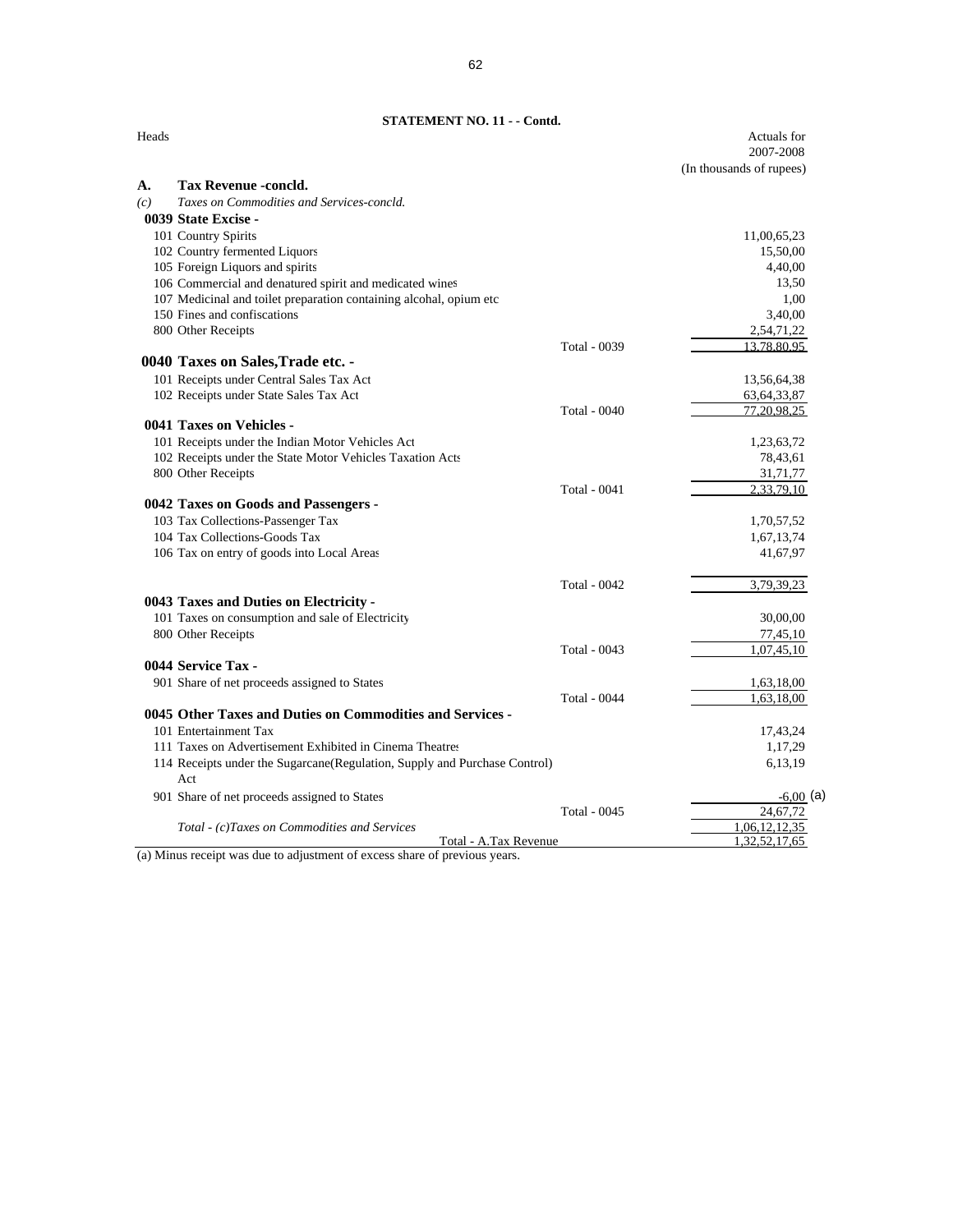| Heads |                                                                            |                       | Actuals for              |
|-------|----------------------------------------------------------------------------|-----------------------|--------------------------|
|       |                                                                            |                       | 2007-2008                |
|       |                                                                            |                       | (In thousands of rupees) |
| А.    | <b>Tax Revenue -concld.</b>                                                |                       |                          |
| (c)   | Taxes on Commodities and Services-concld.                                  |                       |                          |
|       | 0039 State Excise -                                                        |                       |                          |
|       | 101 Country Spirits                                                        |                       | 11,00,65,23              |
|       | 102 Country fermented Liquors                                              |                       | 15,50,00                 |
|       | 105 Foreign Liquors and spirits                                            |                       | 4,40,00                  |
|       | 106 Commercial and denatured spirit and medicated wines                    |                       | 13,50                    |
|       | 107 Medicinal and toilet preparation containing alcohal, opium etc         |                       | 1,00                     |
|       | 150 Fines and confiscations                                                |                       | 3,40,00                  |
|       | 800 Other Receipts                                                         |                       | 2,54,71,22               |
|       |                                                                            | Total - 0039          | 13.78.80.95              |
|       | 0040 Taxes on Sales, Trade etc. -                                          |                       |                          |
|       | 101 Receipts under Central Sales Tax Act                                   |                       | 13,56,64,38              |
|       | 102 Receipts under State Sales Tax Act                                     |                       | 63, 64, 33, 87           |
|       |                                                                            | Total - 0040          | 77.20.98.25              |
|       | 0041 Taxes on Vehicles -                                                   |                       |                          |
|       | 101 Receipts under the Indian Motor Vehicles Act                           |                       | 1,23,63,72               |
|       | 102 Receipts under the State Motor Vehicles Taxation Acts                  |                       | 78,43,61                 |
|       | 800 Other Receipts                                                         |                       | 31,71,77                 |
|       |                                                                            | Total - 0041          | 2,33,79,10               |
|       | 0042 Taxes on Goods and Passengers -                                       |                       |                          |
|       | 103 Tax Collections-Passenger Tax                                          |                       | 1,70,57,52               |
|       | 104 Tax Collections-Goods Tax                                              |                       | 1,67,13,74               |
|       | 106 Tax on entry of goods into Local Areas                                 |                       | 41,67,97                 |
|       |                                                                            |                       |                          |
|       |                                                                            | Total - 0042          | 3,79,39,23               |
|       |                                                                            |                       |                          |
|       | 0043 Taxes and Duties on Electricity -                                     |                       |                          |
|       | 101 Taxes on consumption and sale of Electricity                           |                       | 30,00,00                 |
|       | 800 Other Receipts                                                         |                       | 77,45,10                 |
|       |                                                                            | Total - 0043          | 1,07,45,10               |
|       | 0044 Service Tax -                                                         |                       |                          |
|       | 901 Share of net proceeds assigned to States                               |                       | 1,63,18,00               |
|       |                                                                            | Total - 0044          | 1,63,18,00               |
|       | 0045 Other Taxes and Duties on Commodities and Services -                  |                       |                          |
|       | 101 Entertainment Tax                                                      |                       | 17,43,24                 |
|       | 111 Taxes on Advertisement Exhibited in Cinema Theatres                    |                       | 1,17,29                  |
|       | 114 Receipts under the Sugarcane (Regulation, Supply and Purchase Control) |                       | 6,13,19                  |
|       | Act                                                                        |                       |                          |
|       | 901 Share of net proceeds assigned to States                               |                       | $-6,00$ (a)              |
|       |                                                                            | Total - 0045          | 24,67,72                 |
|       | Total - (c)Taxes on Commodities and Services                               |                       | 1,06,12,12,35            |
|       | (a) Minus resolutives due to ediverse the forward share of provision veget | Total - A.Tax Revenue | 1,32,52,17,65            |

(a) Minus receipt was due to adjustment of excess share of previous years.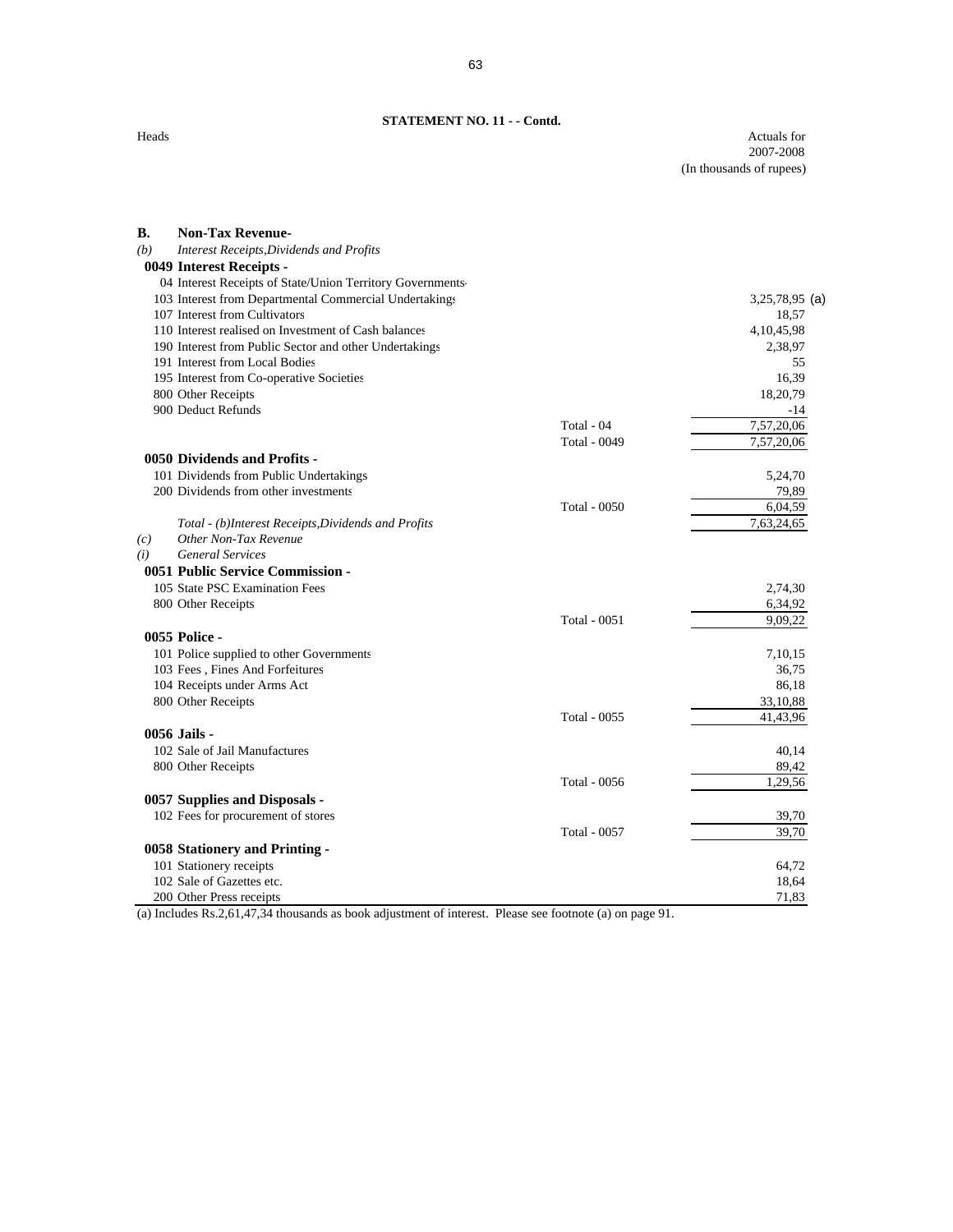**Heads** Actuals for the contract of the contract of the contract of the contract of the contract of the contract of the contract of the contract of the contract of the contract of the contract of the contract of the contra 2007-2008 (In thousands of rupees)

| В.  | <b>Non-Tax Revenue-</b>                                   |                     |                  |
|-----|-----------------------------------------------------------|---------------------|------------------|
| (b) | <b>Interest Receipts, Dividends and Profits</b>           |                     |                  |
|     | 0049 Interest Receipts -                                  |                     |                  |
|     | 04 Interest Receipts of State/Union Territory Governments |                     |                  |
|     | 103 Interest from Departmental Commercial Undertakings    |                     | $3,25,78,95$ (a) |
|     | 107 Interest from Cultivators                             |                     | 18,57            |
|     | 110 Interest realised on Investment of Cash balances      |                     | 4, 10, 45, 98    |
|     | 190 Interest from Public Sector and other Undertakings    |                     | 2,38,97          |
|     | 191 Interest from Local Bodies                            |                     | 55               |
|     | 195 Interest from Co-operative Societies                  |                     | 16,39            |
|     | 800 Other Receipts                                        |                     | 18,20,79         |
|     | 900 Deduct Refunds                                        |                     | -14              |
|     |                                                           | Total - 04          | 7,57,20,06       |
|     |                                                           | <b>Total - 0049</b> | 7,57,20,06       |
|     | 0050 Dividends and Profits -                              |                     |                  |
|     | 101 Dividends from Public Undertakings                    |                     | 5,24,70          |
|     | 200 Dividends from other investments                      |                     | 79,89            |
|     |                                                           | <b>Total - 0050</b> | 6,04,59          |
|     | Total - (b)Interest Receipts, Dividends and Profits       |                     | 7,63,24,65       |
| (c) | Other Non-Tax Revenue                                     |                     |                  |
| (i) | <b>General Services</b>                                   |                     |                  |
|     | 0051 Public Service Commission -                          |                     |                  |
|     | 105 State PSC Examination Fees                            |                     | 2,74,30          |
|     | 800 Other Receipts                                        |                     | 6,34,92          |
|     |                                                           | <b>Total - 0051</b> | 9,09,22          |
|     | 0055 Police -                                             |                     |                  |
|     | 101 Police supplied to other Governments                  |                     | 7,10,15          |
|     | 103 Fees, Fines And Forfeitures                           |                     | 36,75            |
|     | 104 Receipts under Arms Act                               |                     | 86,18            |
|     | 800 Other Receipts                                        |                     | 33,10,88         |
|     |                                                           | Total - 0055        | 41,43,96         |
|     | $0056$ Jails -                                            |                     |                  |
|     | 102 Sale of Jail Manufactures                             |                     | 40,14            |
|     | 800 Other Receipts                                        |                     | 89,42            |
|     |                                                           | Total - 0056        | 1,29,56          |
|     | 0057 Supplies and Disposals -                             |                     |                  |
|     | 102 Fees for procurement of stores                        |                     | 39,70            |
|     |                                                           | Total - 0057        | 39,70            |
|     | 0058 Stationery and Printing -                            |                     |                  |
|     | 101 Stationery receipts                                   |                     | 64,72            |
|     | 102 Sale of Gazettes etc.                                 |                     | 18,64            |
|     | 200 Other Press receipts                                  |                     | 71,83            |
|     |                                                           |                     |                  |

(a) Includes Rs.2,61,47,34 thousands as book adjustment of interest. Please see footnote (a) on page 91.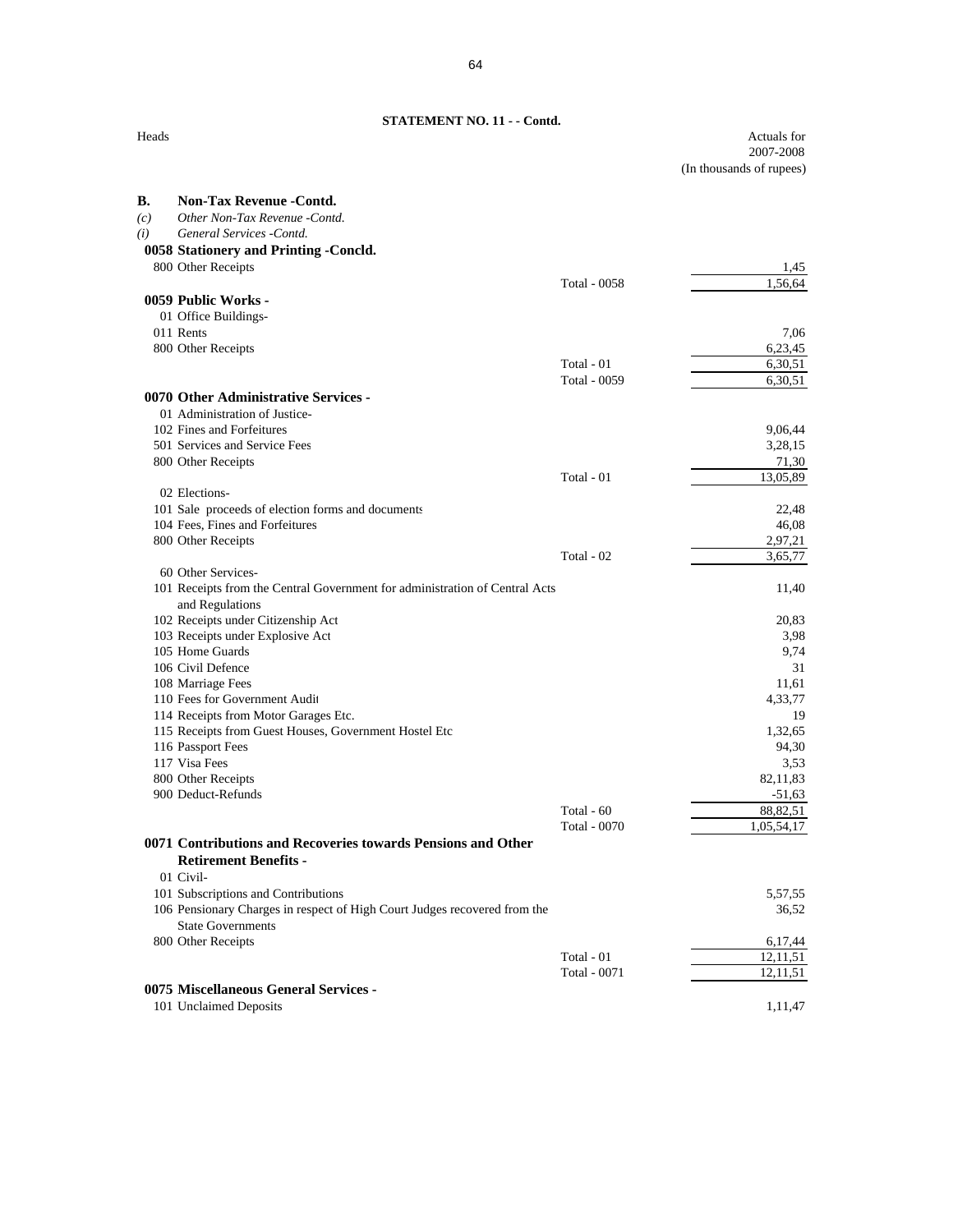**Heads** Actuals for the contract of the contract of the contract of the contract of the contract of the contract of the contract of the contract of the contract of the contract of the contract of the contract of the contra 2007-2008 (In thousands of rupees)

| В.  | <b>Non-Tax Revenue - Contd.</b>                                             |                            |                          |
|-----|-----------------------------------------------------------------------------|----------------------------|--------------------------|
| (c) | Other Non-Tax Revenue -Contd.                                               |                            |                          |
| (i) | General Services - Contd.                                                   |                            |                          |
|     | 0058 Stationery and Printing - Concld.                                      |                            |                          |
|     | 800 Other Receipts                                                          |                            | 1,45                     |
|     |                                                                             | Total - 0058               | 1,56,64                  |
|     | 0059 Public Works -                                                         |                            |                          |
|     | 01 Office Buildings-                                                        |                            |                          |
|     | 011 Rents                                                                   |                            | 7,06                     |
|     | 800 Other Receipts                                                          |                            | 6,23,45                  |
|     |                                                                             | Total - 01                 | 6,30,51                  |
|     |                                                                             | Total - 0059               | 6,30,51                  |
|     | 0070 Other Administrative Services -                                        |                            |                          |
|     | 01 Administration of Justice-                                               |                            |                          |
|     | 102 Fines and Forfeitures                                                   |                            | 9,06,44                  |
|     | 501 Services and Service Fees                                               |                            | 3,28,15                  |
|     | 800 Other Receipts                                                          |                            | 71,30                    |
|     |                                                                             | Total - 01                 | 13,05,89                 |
|     | 02 Elections-                                                               |                            |                          |
|     | 101 Sale proceeds of election forms and documents                           |                            | 22,48                    |
|     | 104 Fees, Fines and Forfeitures                                             |                            | 46,08                    |
|     | 800 Other Receipts                                                          |                            | 2,97,21                  |
|     |                                                                             | Total $-02$                | 3,65,77                  |
|     | 60 Other Services-                                                          |                            |                          |
|     | 101 Receipts from the Central Government for administration of Central Acts |                            | 11,40                    |
|     | and Regulations                                                             |                            |                          |
|     | 102 Receipts under Citizenship Act                                          |                            | 20,83                    |
|     | 103 Receipts under Explosive Act                                            |                            | 3,98                     |
|     | 105 Home Guards                                                             |                            | 9,74                     |
|     | 106 Civil Defence                                                           |                            | 31                       |
|     | 108 Marriage Fees                                                           |                            | 11,61                    |
|     | 110 Fees for Government Audit                                               |                            | 4,33,77                  |
|     |                                                                             |                            |                          |
|     | 114 Receipts from Motor Garages Etc.                                        |                            | 19                       |
|     | 115 Receipts from Guest Houses, Government Hostel Etc                       |                            | 1,32,65                  |
|     | 116 Passport Fees<br>117 Visa Fees                                          |                            | 94,30                    |
|     |                                                                             |                            | 3,53                     |
|     | 800 Other Receipts<br>900 Deduct-Refunds                                    |                            | 82, 11, 83               |
|     |                                                                             |                            | $-51,63$                 |
|     |                                                                             | Total - 60<br>Total - 0070 | 88, 82, 51<br>1,05,54,17 |
|     |                                                                             |                            |                          |
|     | 0071 Contributions and Recoveries towards Pensions and Other                |                            |                          |
|     | <b>Retirement Benefits -</b>                                                |                            |                          |
|     | 01 Civil-                                                                   |                            |                          |
|     | 101 Subscriptions and Contributions                                         |                            | 5,57,55                  |
|     | 106 Pensionary Charges in respect of High Court Judges recovered from the   |                            | 36,52                    |
|     | <b>State Governments</b>                                                    |                            |                          |
|     | 800 Other Receipts                                                          |                            | 6,17,44                  |
|     |                                                                             | Total - 01                 | 12,11,51                 |
|     |                                                                             | Total - 0071               | 12,11,51                 |
|     | 0075 Miscellaneous General Services -                                       |                            |                          |
|     | 101 Unclaimed Deposits                                                      |                            | 1,11,47                  |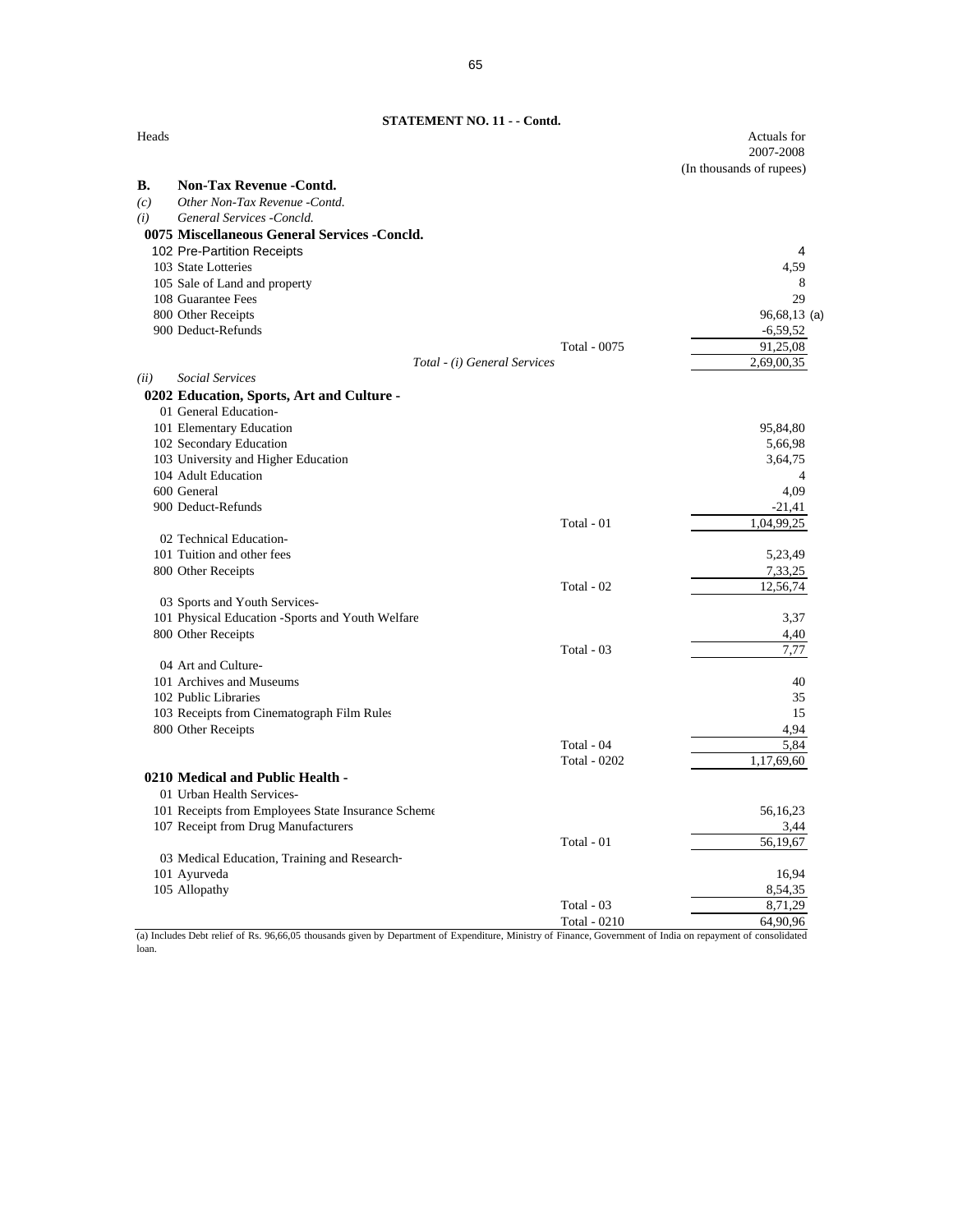| Heads |                                                    |                              | Actuals for              |
|-------|----------------------------------------------------|------------------------------|--------------------------|
|       |                                                    |                              | 2007-2008                |
|       |                                                    |                              | (In thousands of rupees) |
| В.    | <b>Non-Tax Revenue - Contd.</b>                    |                              |                          |
| (c)   | Other Non-Tax Revenue -Contd.                      |                              |                          |
| (i)   | General Services - Concld.                         |                              |                          |
|       | 0075 Miscellaneous General Services - Concld.      |                              |                          |
|       | 102 Pre-Partition Receipts                         |                              | 4                        |
|       | 103 State Lotteries                                |                              | 4,59                     |
|       | 105 Sale of Land and property                      |                              | 8                        |
|       | 108 Guarantee Fees                                 |                              | 29                       |
|       | 800 Other Receipts                                 |                              | $96,68,13$ (a)           |
|       | 900 Deduct-Refunds                                 |                              | $-6,59,52$               |
|       |                                                    | Total - 0075                 | 91,25,08                 |
|       |                                                    | Total - (i) General Services | 2,69,00,35               |
| (ii)  | <b>Social Services</b>                             |                              |                          |
|       | 0202 Education, Sports, Art and Culture -          |                              |                          |
|       | 01 General Education-                              |                              |                          |
|       | 101 Elementary Education                           |                              | 95,84,80                 |
|       | 102 Secondary Education                            |                              | 5,66,98                  |
|       | 103 University and Higher Education                |                              | 3,64,75                  |
|       | 104 Adult Education                                |                              | 4                        |
|       | 600 General                                        |                              | 4,09                     |
|       | 900 Deduct-Refunds                                 |                              | $-21,41$                 |
|       |                                                    | Total $-01$                  | 1,04,99,25               |
|       | 02 Technical Education-                            |                              |                          |
|       | 101 Tuition and other fees                         |                              | 5,23,49                  |
|       | 800 Other Receipts                                 |                              | 7,33,25                  |
|       |                                                    | Total - 02                   | 12,56,74                 |
|       | 03 Sports and Youth Services-                      |                              |                          |
|       | 101 Physical Education -Sports and Youth Welfare   |                              | 3,37                     |
|       | 800 Other Receipts                                 | Total - 03                   | 4,40                     |
|       | 04 Art and Culture-                                |                              | 7,77                     |
|       | 101 Archives and Museums                           |                              | 40                       |
|       | 102 Public Libraries                               |                              | 35                       |
|       | 103 Receipts from Cinematograph Film Rules         |                              | 15                       |
|       |                                                    |                              | 4,94                     |
|       | 800 Other Receipts                                 | Total - 04                   | 5.84                     |
|       |                                                    | <b>Total - 0202</b>          | 1,17,69,60               |
|       | 0210 Medical and Public Health -                   |                              |                          |
|       | 01 Urban Health Services-                          |                              |                          |
|       |                                                    |                              |                          |
|       | 101 Receipts from Employees State Insurance Scheme |                              | 56,16,23                 |
|       | 107 Receipt from Drug Manufacturers                | Total - 01                   | 3,44                     |
|       |                                                    |                              | 56,19,67                 |
|       | 03 Medical Education, Training and Research-       |                              |                          |
|       | 101 Ayurveda<br>105 Allopathy                      |                              | 16,94                    |
|       |                                                    | Total - 03                   | 8,54,35<br>8,71,29       |
|       |                                                    | <b>Total - 0210</b>          | 64,90,96                 |
|       |                                                    |                              |                          |

(a) Includes Debt relief of Rs. 96,66,05 thousands given by Department of Expenditure, Ministry of Finance, Government of India on repayment of consolidated loan.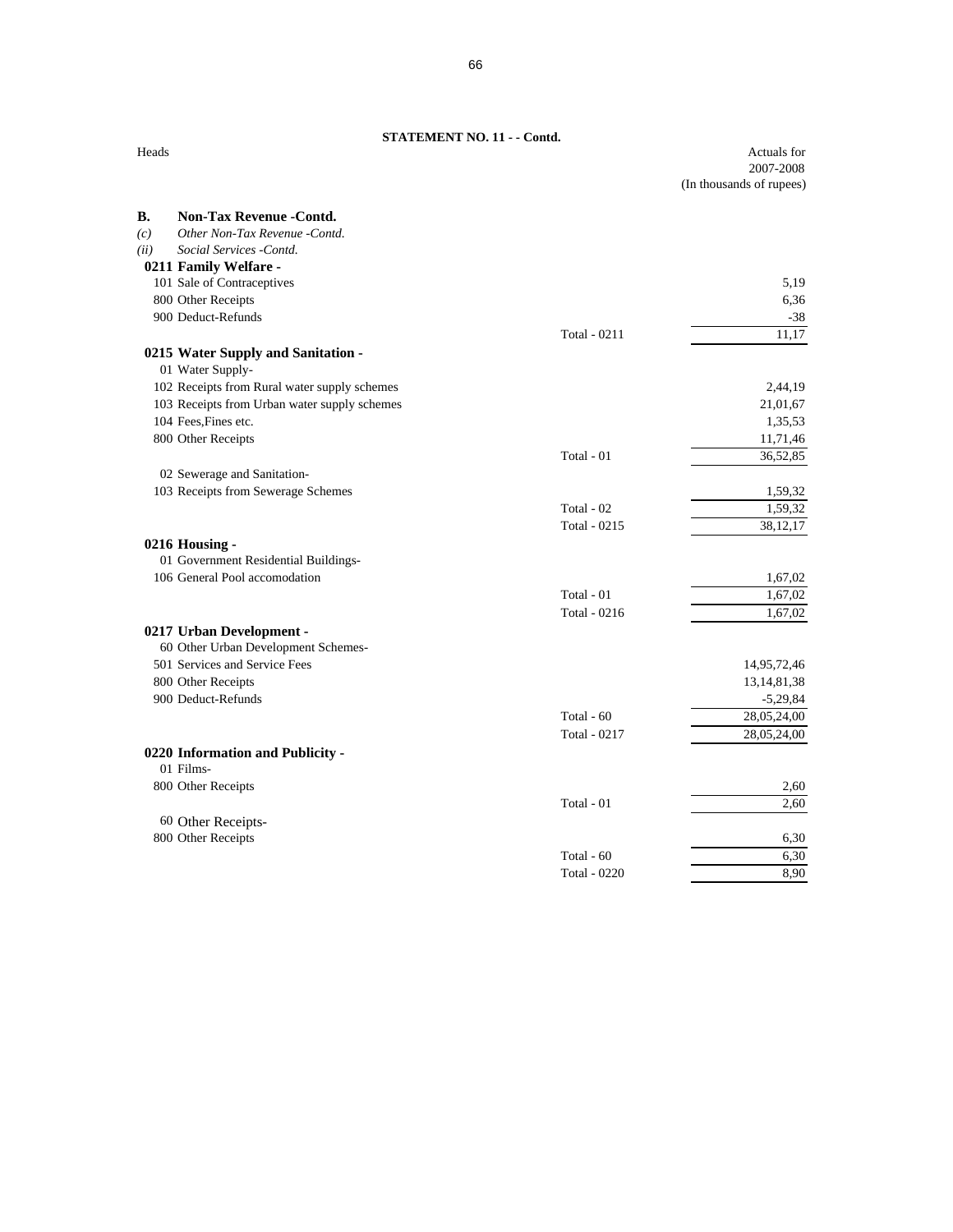| Heads |                                                        |                     | Actuals for              |
|-------|--------------------------------------------------------|---------------------|--------------------------|
|       |                                                        |                     | 2007-2008                |
|       |                                                        |                     | (In thousands of rupees) |
| В.    | <b>Non-Tax Revenue - Contd.</b>                        |                     |                          |
| (c)   | Other Non-Tax Revenue -Contd.                          |                     |                          |
| (ii)  | Social Services - Contd.                               |                     |                          |
|       | 0211 Family Welfare -                                  |                     |                          |
|       | 101 Sale of Contraceptives                             |                     | 5,19                     |
|       | 800 Other Receipts                                     |                     | 6,36                     |
|       | 900 Deduct-Refunds                                     |                     | $-38$                    |
|       |                                                        | <b>Total - 0211</b> | 11,17                    |
|       | 0215 Water Supply and Sanitation -                     |                     |                          |
|       | 01 Water Supply-                                       |                     |                          |
|       | 102 Receipts from Rural water supply schemes           |                     | 2,44,19                  |
|       | 103 Receipts from Urban water supply schemes           |                     | 21,01,67                 |
|       | 104 Fees, Fines etc.                                   |                     | 1,35,53                  |
|       | 800 Other Receipts                                     |                     | 11,71,46                 |
|       |                                                        | Total $-01$         | 36,52,85                 |
|       | 02 Sewerage and Sanitation-                            |                     |                          |
|       | 103 Receipts from Sewerage Schemes                     |                     | 1,59,32                  |
|       |                                                        | Total $-02$         | 1,59,32                  |
|       |                                                        | Total - 0215        | 38, 12, 17               |
|       |                                                        |                     |                          |
|       | 0216 Housing -<br>01 Government Residential Buildings- |                     |                          |
|       | 106 General Pool accomodation                          |                     |                          |
|       |                                                        |                     | 1,67,02                  |
|       |                                                        | Total - 01          | 1,67,02                  |
|       |                                                        | Total - 0216        | 1,67,02                  |
|       | 0217 Urban Development -                               |                     |                          |
|       | 60 Other Urban Development Schemes-                    |                     |                          |
|       | 501 Services and Service Fees                          |                     | 14,95,72,46              |
|       | 800 Other Receipts                                     |                     | 13, 14, 81, 38           |
|       | 900 Deduct-Refunds                                     |                     | $-5,29,84$               |
|       |                                                        | Total - 60          | 28,05,24,00              |
|       |                                                        | <b>Total - 0217</b> | 28,05,24,00              |
|       | 0220 Information and Publicity -                       |                     |                          |
|       | 01 Films-                                              |                     |                          |
|       | 800 Other Receipts                                     |                     | 2,60                     |
|       |                                                        | Total $-01$         | 2,60                     |
|       | 60 Other Receipts-                                     |                     |                          |
|       | 800 Other Receipts                                     |                     | 6,30                     |
|       |                                                        | Total - $60$        | 6,30                     |
|       |                                                        | <b>Total - 0220</b> | 8.90                     |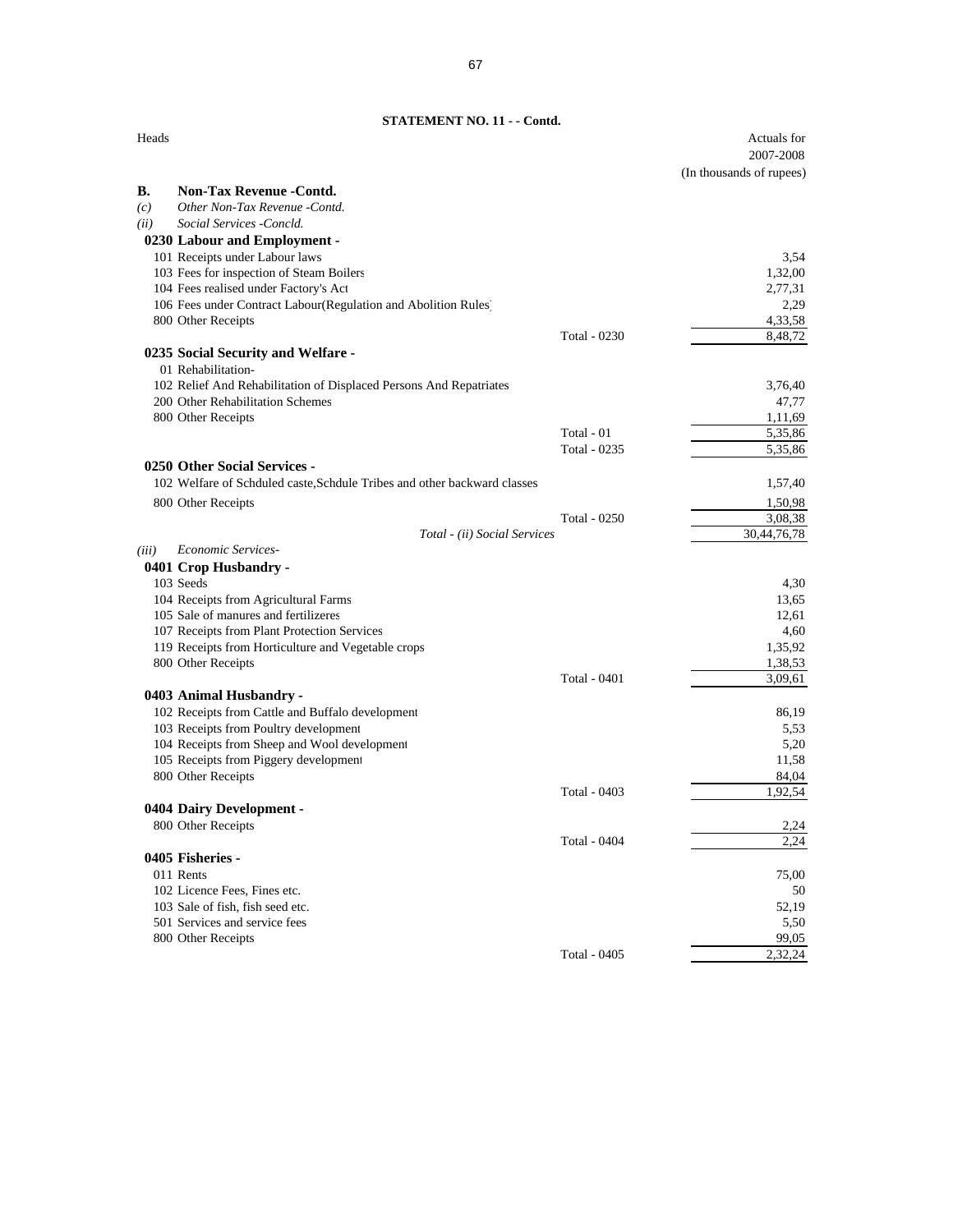| Heads |                                                                          | Actuals for              |
|-------|--------------------------------------------------------------------------|--------------------------|
|       |                                                                          | 2007-2008                |
|       |                                                                          | (In thousands of rupees) |
| В.    | <b>Non-Tax Revenue - Contd.</b>                                          |                          |
| (c)   | Other Non-Tax Revenue -Contd.                                            |                          |
| (ii)  | Social Services - Concld.                                                |                          |
|       | 0230 Labour and Employment -                                             |                          |
|       | 101 Receipts under Labour laws                                           | 3,54                     |
|       | 103 Fees for inspection of Steam Boilers                                 | 1,32,00                  |
|       | 104 Fees realised under Factory's Act                                    | 2,77,31                  |
|       | 106 Fees under Contract Labour(Regulation and Abolition Rules)           | 2,29                     |
|       | 800 Other Receipts                                                       | 4,33,58                  |
|       |                                                                          | Total - 0230<br>8,48,72  |
|       | 0235 Social Security and Welfare -                                       |                          |
|       | 01 Rehabilitation-                                                       |                          |
|       | 102 Relief And Rehabilitation of Displaced Persons And Repatriates       | 3,76,40                  |
|       | 200 Other Rehabilitation Schemes                                         | 47,77                    |
|       | 800 Other Receipts                                                       | 1,11,69                  |
|       | Total - 01                                                               | 5,35,86                  |
|       |                                                                          | 5,35,86<br>Total - 0235  |
|       | 0250 Other Social Services -                                             |                          |
|       | 102 Welfare of Schduled caste, Schdule Tribes and other backward classes | 1,57,40                  |
|       |                                                                          |                          |
|       | 800 Other Receipts                                                       | 1,50,98                  |
|       |                                                                          | Total - 0250<br>3,08,38  |
|       | Total - (ii) Social Services                                             | 30,44,76,78              |
| (iii) | Economic Services-                                                       |                          |
|       | 0401 Crop Husbandry -                                                    |                          |
|       | 103 Seeds                                                                | 4,30                     |
|       | 104 Receipts from Agricultural Farms                                     | 13,65                    |
|       | 105 Sale of manures and fertilizeres                                     | 12,61                    |
|       | 107 Receipts from Plant Protection Services                              | 4,60                     |
|       | 119 Receipts from Horticulture and Vegetable crops                       | 1,35,92                  |
|       | 800 Other Receipts                                                       | 1,38,53                  |
|       |                                                                          | Total - 0401<br>3,09,61  |
|       | 0403 Animal Husbandry -                                                  |                          |
|       | 102 Receipts from Cattle and Buffalo development                         | 86,19                    |
|       | 103 Receipts from Poultry development                                    | 5,53                     |
|       | 104 Receipts from Sheep and Wool development                             | 5,20                     |
|       | 105 Receipts from Piggery development                                    | 11,58                    |
|       | 800 Other Receipts                                                       | 84,04                    |
|       |                                                                          | 1,92,54<br>Total - 0403  |
|       | 0404 Dairy Development -                                                 |                          |
|       | 800 Other Receipts                                                       | 2,24                     |
|       |                                                                          | Total - 0404<br>2,24     |
|       | 0405 Fisheries -                                                         |                          |
|       | 011 Rents                                                                | 75,00                    |
|       | 102 Licence Fees, Fines etc.                                             | 50                       |
|       | 103 Sale of fish, fish seed etc.                                         | 52,19                    |
|       | 501 Services and service fees                                            | 5,50                     |
|       | 800 Other Receipts                                                       | 99,05                    |
|       |                                                                          | Total - 0405<br>2,32,24  |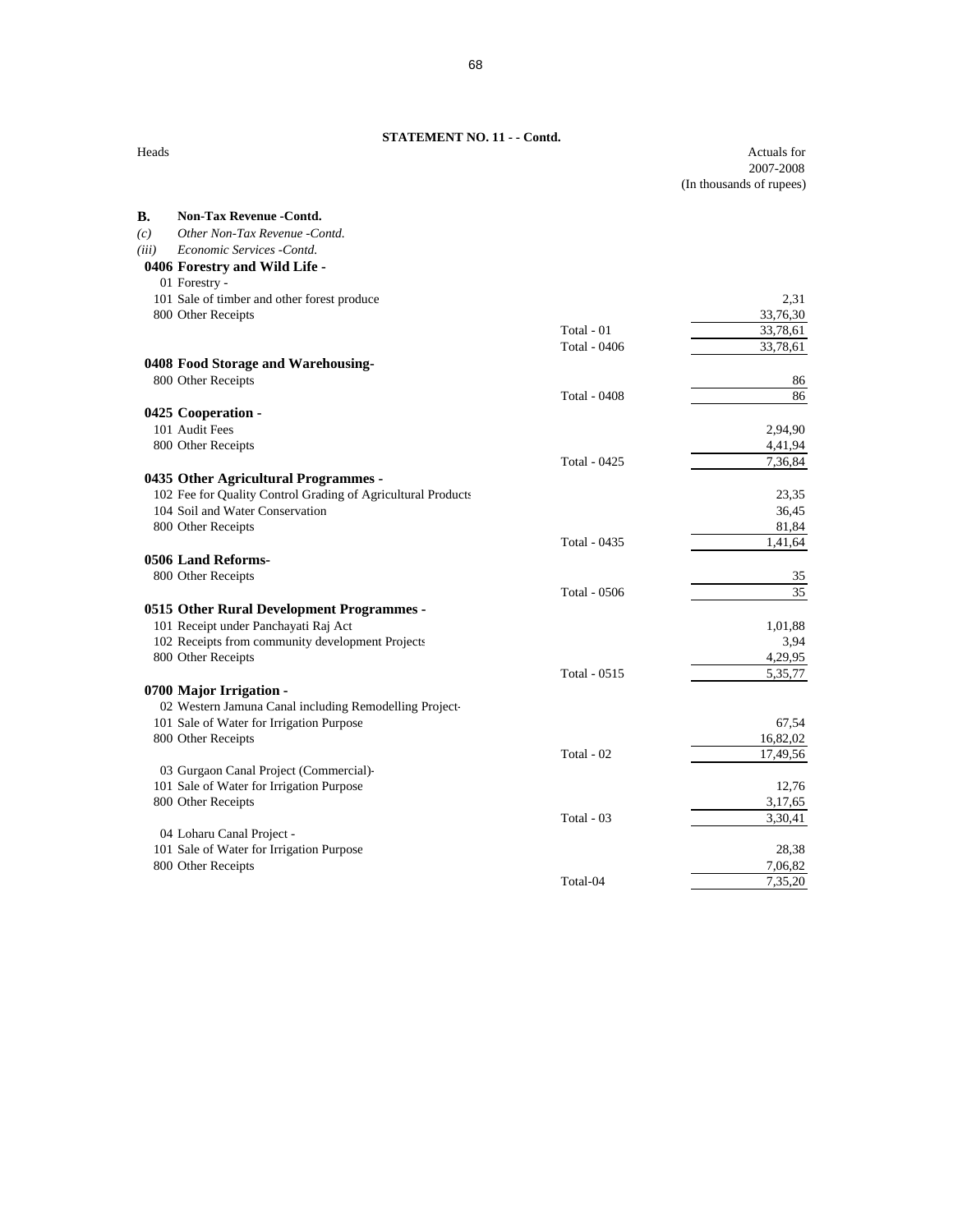| Heads |                                                              |              | Actuals for              |
|-------|--------------------------------------------------------------|--------------|--------------------------|
|       |                                                              |              | 2007-2008                |
|       |                                                              |              | (In thousands of rupees) |
| В.    | Non-Tax Revenue - Contd.                                     |              |                          |
| (c)   | Other Non-Tax Revenue -Contd.                                |              |                          |
| (iii) | Economic Services - Contd.                                   |              |                          |
|       | 0406 Forestry and Wild Life -                                |              |                          |
|       | 01 Forestry -                                                |              |                          |
|       | 101 Sale of timber and other forest produce                  |              | 2,31                     |
|       | 800 Other Receipts                                           |              | 33,76,30                 |
|       |                                                              | Total - 01   | 33,78,61                 |
|       |                                                              | Total - 0406 | 33,78,61                 |
|       | 0408 Food Storage and Warehousing-                           |              |                          |
|       | 800 Other Receipts                                           |              | 86                       |
|       |                                                              | Total - 0408 | 86                       |
|       | 0425 Cooperation -                                           |              |                          |
|       | 101 Audit Fees                                               |              | 2,94,90                  |
|       | 800 Other Receipts                                           |              | 4,41,94                  |
|       |                                                              | Total - 0425 | 7,36,84                  |
|       | 0435 Other Agricultural Programmes -                         |              |                          |
|       | 102 Fee for Quality Control Grading of Agricultural Products |              | 23,35                    |
|       | 104 Soil and Water Conservation                              |              | 36,45                    |
|       | 800 Other Receipts                                           |              | 81,84                    |
|       |                                                              | Total - 0435 | 1.41.64                  |
|       | 0506 Land Reforms-                                           |              |                          |
|       | 800 Other Receipts                                           |              | 35                       |
|       |                                                              | Total - 0506 | 35                       |
|       | 0515 Other Rural Development Programmes -                    |              |                          |
|       | 101 Receipt under Panchayati Raj Act                         |              | 1,01,88                  |
|       | 102 Receipts from community development Projects             |              | 3,94                     |
|       | 800 Other Receipts                                           |              | 4,29,95                  |
|       |                                                              | Total - 0515 | 5,35,77                  |
|       | 0700 Major Irrigation -                                      |              |                          |
|       | 02 Western Jamuna Canal including Remodelling Project-       |              |                          |
|       | 101 Sale of Water for Irrigation Purpose                     |              | 67,54                    |
|       | 800 Other Receipts                                           |              | 16,82,02                 |
|       |                                                              | Total - 02   | 17,49,56                 |
|       | 03 Gurgaon Canal Project (Commercial)-                       |              |                          |
|       | 101 Sale of Water for Irrigation Purpose                     |              | 12.76                    |
|       | 800 Other Receipts                                           |              | 3,17,65                  |
|       |                                                              | Total - $03$ | 3,30,41                  |
|       | 04 Loharu Canal Project -                                    |              |                          |
|       | 101 Sale of Water for Irrigation Purpose                     |              | 28,38                    |
|       | 800 Other Receipts                                           |              | 7,06,82                  |
|       |                                                              | Total-04     | 7,35,20                  |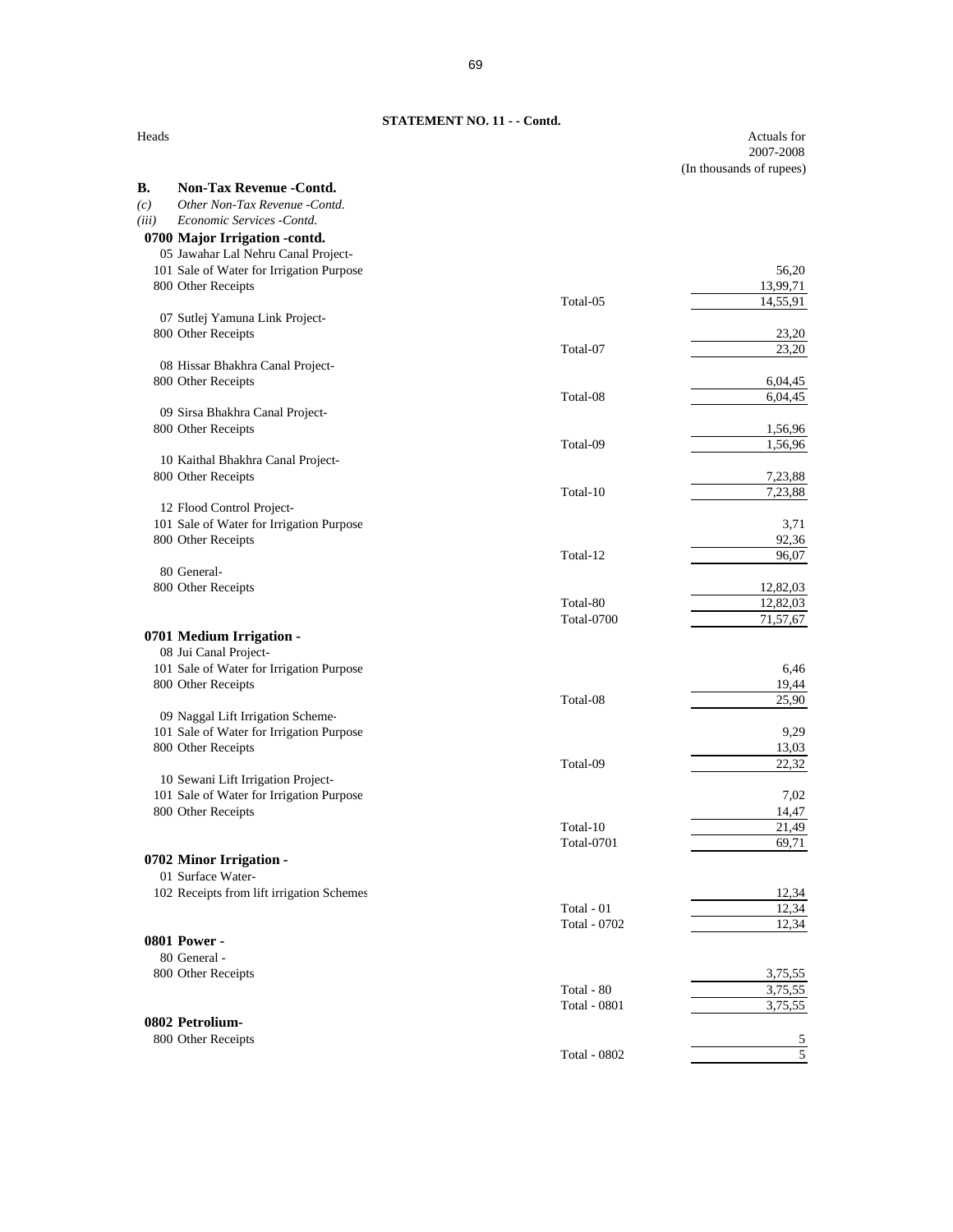**Heads** Actuals for the contract of the contract of the contract of the contract of the contract of the contract of the contract of the contract of the contract of the contract of the contract of the contract of the contra 2007-2008 (In thousands of rupees)

| В.<br>(c)<br>(iii) | <b>Non-Tax Revenue - Contd.</b><br>Other Non-Tax Revenue -Contd.<br>Economic Services - Contd.<br>0700 Major Irrigation -contd. |                        |                      |
|--------------------|---------------------------------------------------------------------------------------------------------------------------------|------------------------|----------------------|
|                    | 05 Jawahar Lal Nehru Canal Project-<br>101 Sale of Water for Irrigation Purpose                                                 |                        | 56,20                |
|                    | 800 Other Receipts                                                                                                              |                        | 13,99,71             |
|                    |                                                                                                                                 | Total-05               | 14,55,91             |
|                    | 07 Sutlej Yamuna Link Project-                                                                                                  |                        |                      |
|                    | 800 Other Receipts                                                                                                              |                        | 23,20                |
|                    |                                                                                                                                 | Total-07               | 23,20                |
|                    | 08 Hissar Bhakhra Canal Project-<br>800 Other Receipts                                                                          |                        | 6,04,45              |
|                    |                                                                                                                                 | Total-08               | 6,04,45              |
|                    | 09 Sirsa Bhakhra Canal Project-                                                                                                 |                        |                      |
|                    | 800 Other Receipts                                                                                                              |                        | 1,56,96              |
|                    |                                                                                                                                 | Total-09               | 1,56,96              |
|                    | 10 Kaithal Bhakhra Canal Project-                                                                                               |                        |                      |
|                    | 800 Other Receipts                                                                                                              |                        | 7,23,88              |
|                    | 12 Flood Control Project-                                                                                                       | Total-10               | 7,23,88              |
|                    | 101 Sale of Water for Irrigation Purpose                                                                                        |                        | 3,71                 |
|                    | 800 Other Receipts                                                                                                              |                        | 92,36                |
|                    |                                                                                                                                 | Total-12               | 96,07                |
|                    | 80 General-                                                                                                                     |                        |                      |
|                    | 800 Other Receipts                                                                                                              |                        | 12,82,03             |
|                    |                                                                                                                                 | Total-80<br>Total-0700 | 12,82,03<br>71,57,67 |
|                    | 0701 Medium Irrigation -                                                                                                        |                        |                      |
|                    | 08 Jui Canal Project-                                                                                                           |                        |                      |
|                    | 101 Sale of Water for Irrigation Purpose                                                                                        |                        | 6,46                 |
|                    | 800 Other Receipts                                                                                                              |                        | 19,44                |
|                    |                                                                                                                                 | Total-08               | 25,90                |
|                    | 09 Naggal Lift Irrigation Scheme-                                                                                               |                        |                      |
|                    | 101 Sale of Water for Irrigation Purpose                                                                                        |                        | 9,29                 |
|                    | 800 Other Receipts                                                                                                              | Total-09               | 13,03<br>22,32       |
|                    | 10 Sewani Lift Irrigation Project-                                                                                              |                        |                      |
|                    | 101 Sale of Water for Irrigation Purpose                                                                                        |                        | 7,02                 |
|                    | 800 Other Receipts                                                                                                              |                        | 14,47                |
|                    |                                                                                                                                 | Total-10               | 21,49                |
|                    |                                                                                                                                 | Total-0701             | 69,71                |
|                    | 0702 Minor Irrigation -                                                                                                         |                        |                      |
|                    | 01 Surface Water-<br>102 Receipts from lift irrigation Schemes                                                                  |                        | 12,34                |
|                    |                                                                                                                                 | Total - 01             | 12,34                |
|                    |                                                                                                                                 | Total - 0702           | 12,34                |
|                    | 0801 Power -                                                                                                                    |                        |                      |
|                    | 80 General -                                                                                                                    |                        |                      |
|                    | 800 Other Receipts                                                                                                              |                        | 3,75,55              |
|                    |                                                                                                                                 | Total - 80             | 3,75,55              |
|                    |                                                                                                                                 | <b>Total - 0801</b>    | 3,75,55              |
|                    | 0802 Petrolium-                                                                                                                 |                        |                      |
|                    | 800 Other Receipts                                                                                                              | <b>Total - 0802</b>    | 5<br>$\overline{5}$  |
|                    |                                                                                                                                 |                        |                      |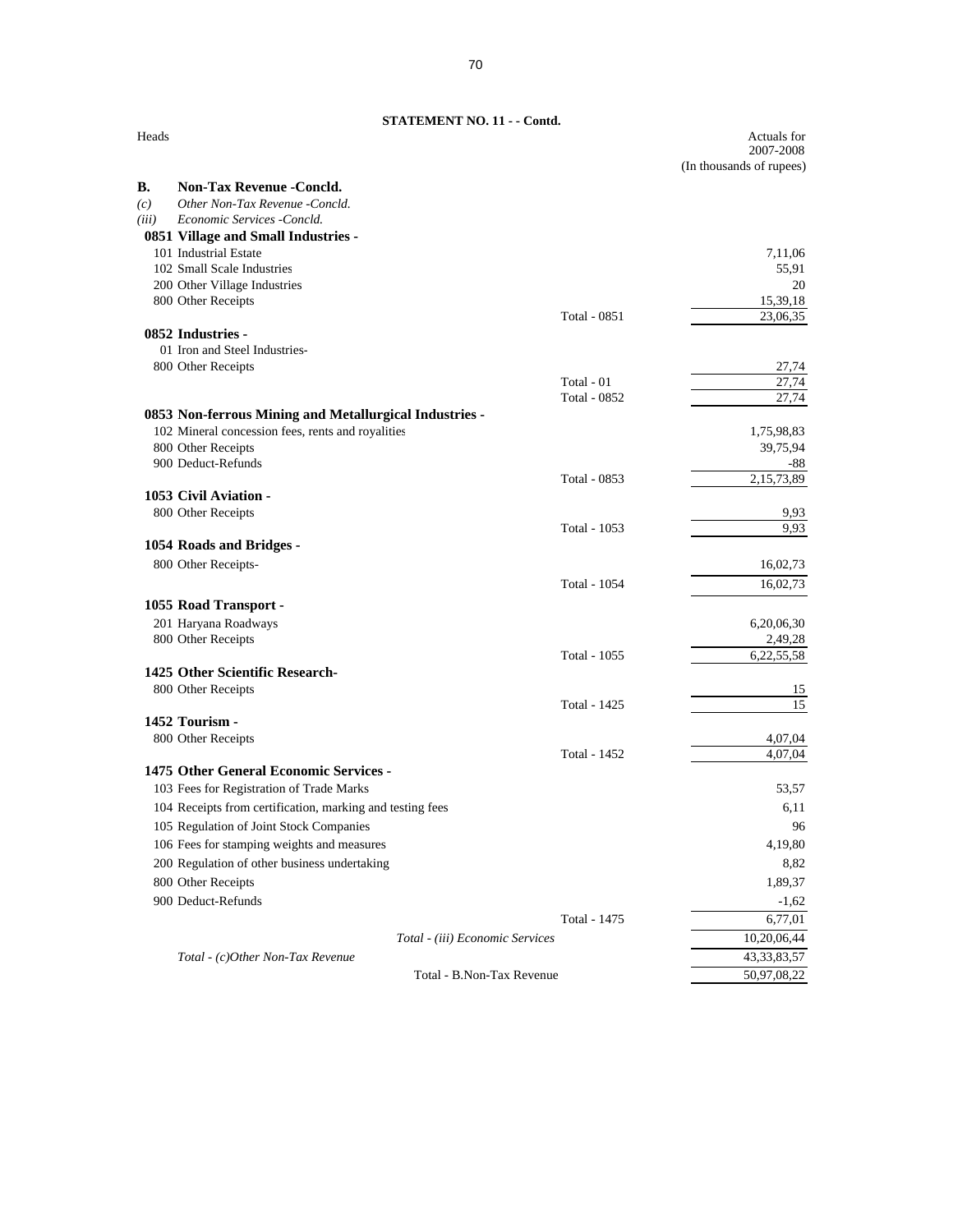| Heads |                                                           |                                   | Actuals for<br>2007-2008 |
|-------|-----------------------------------------------------------|-----------------------------------|--------------------------|
|       |                                                           |                                   | (In thousands of rupees) |
| В.    | <b>Non-Tax Revenue - Concld.</b>                          |                                   |                          |
| (c)   | Other Non-Tax Revenue -Concld.                            |                                   |                          |
| (iii) | Economic Services - Concld.                               |                                   |                          |
|       | 0851 Village and Small Industries -                       |                                   |                          |
|       | 101 Industrial Estate                                     |                                   | 7,11,06                  |
|       | 102 Small Scale Industries                                |                                   | 55,91                    |
|       | 200 Other Village Industries                              |                                   | 20                       |
|       | 800 Other Receipts                                        |                                   | 15,39,18                 |
|       |                                                           | Total - 0851                      | 23,06,35                 |
|       | 0852 Industries -                                         |                                   |                          |
|       | 01 Iron and Steel Industries-                             |                                   |                          |
|       | 800 Other Receipts                                        |                                   | 27,74                    |
|       |                                                           | Total - 01<br><b>Total - 0852</b> | 27,74                    |
|       | 0853 Non-ferrous Mining and Metallurgical Industries -    |                                   | 27,74                    |
|       | 102 Mineral concession fees, rents and royalities         |                                   | 1,75,98,83               |
|       | 800 Other Receipts                                        |                                   | 39,75,94                 |
|       | 900 Deduct-Refunds                                        |                                   | -88                      |
|       |                                                           | Total - 0853                      | 2,15,73,89               |
|       | 1053 Civil Aviation -                                     |                                   |                          |
|       | 800 Other Receipts                                        |                                   | 9,93                     |
|       |                                                           | Total - 1053                      | 9.93                     |
|       | 1054 Roads and Bridges -                                  |                                   |                          |
|       | 800 Other Receipts-                                       |                                   | 16,02,73                 |
|       |                                                           | Total - 1054                      | 16,02,73                 |
|       |                                                           |                                   |                          |
|       | 1055 Road Transport -                                     |                                   |                          |
|       | 201 Haryana Roadways                                      |                                   | 6,20,06,30               |
|       | 800 Other Receipts                                        | Total - 1055                      | 2,49,28<br>6,22,55,58    |
|       | 1425 Other Scientific Research-                           |                                   |                          |
|       | 800 Other Receipts                                        |                                   | 15                       |
|       |                                                           | Total - 1425                      | 15                       |
|       | 1452 Tourism -                                            |                                   |                          |
|       | 800 Other Receipts                                        |                                   | 4,07,04                  |
|       |                                                           | Total - 1452                      | 4,07,04                  |
|       | 1475 Other General Economic Services -                    |                                   |                          |
|       | 103 Fees for Registration of Trade Marks                  |                                   | 53,57                    |
|       | 104 Receipts from certification, marking and testing fees |                                   | 6,11                     |
|       | 105 Regulation of Joint Stock Companies                   |                                   | 96                       |
|       | 106 Fees for stamping weights and measures                |                                   | 4,19,80                  |
|       |                                                           |                                   |                          |
|       | 200 Regulation of other business undertaking              |                                   | 8,82                     |
|       | 800 Other Receipts                                        |                                   | 1,89,37                  |
|       | 900 Deduct-Refunds                                        |                                   | $-1,62$                  |
|       |                                                           | Total - 1475                      | 6,77,01                  |
|       |                                                           | Total - (iii) Economic Services   | 10,20,06,44              |
|       | Total - (c)Other Non-Tax Revenue                          |                                   | 43, 33, 83, 57           |
|       |                                                           | Total - B.Non-Tax Revenue         | 50,97,08,22              |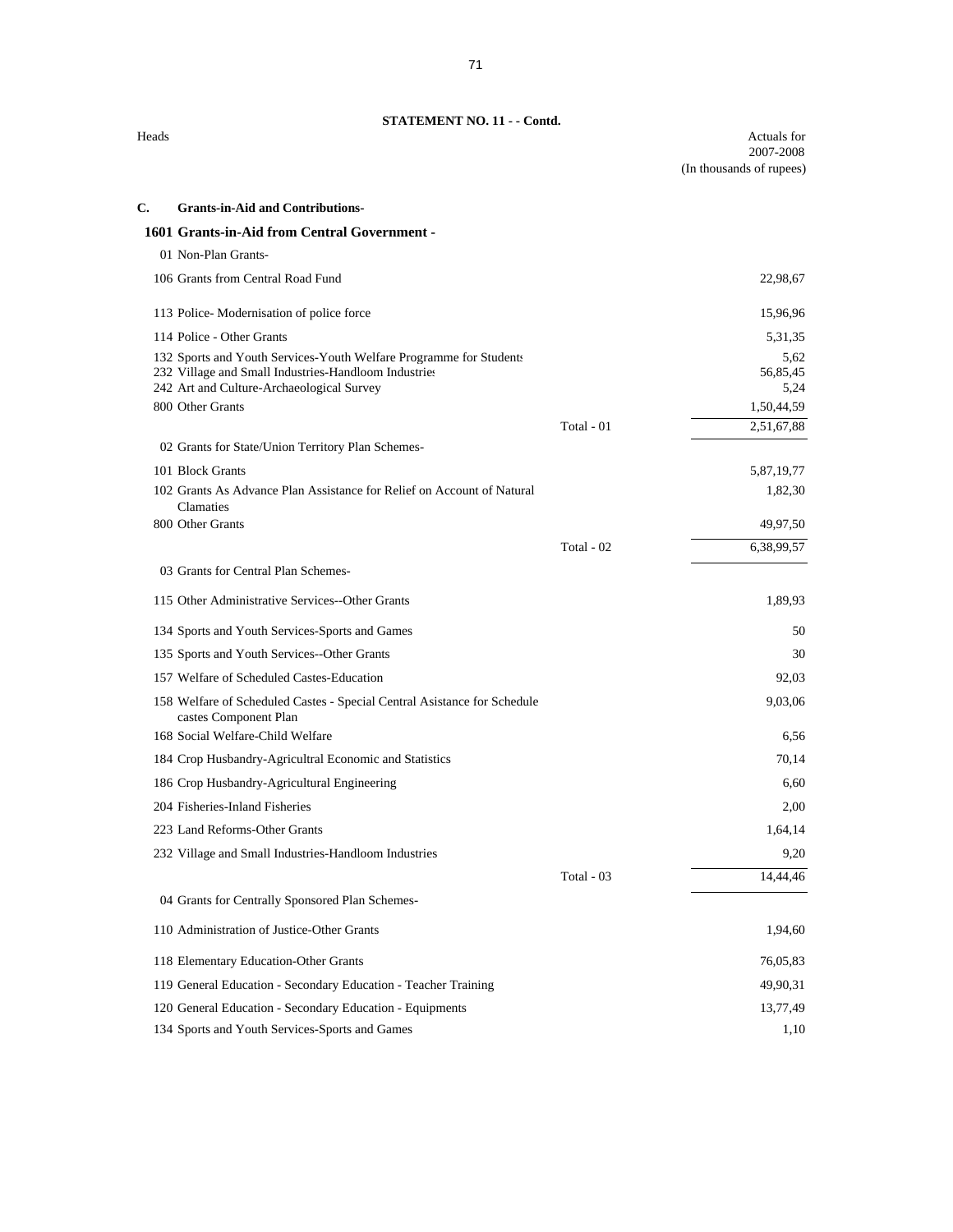| Heads |                                                                                                                                                                         |            | Actuals for                           |
|-------|-------------------------------------------------------------------------------------------------------------------------------------------------------------------------|------------|---------------------------------------|
|       |                                                                                                                                                                         |            | 2007-2008<br>(In thousands of rupees) |
| C.    | <b>Grants-in-Aid and Contributions-</b>                                                                                                                                 |            |                                       |
|       | 1601 Grants-in-Aid from Central Government -                                                                                                                            |            |                                       |
|       | 01 Non-Plan Grants-                                                                                                                                                     |            |                                       |
|       | 106 Grants from Central Road Fund                                                                                                                                       |            | 22,98,67                              |
|       | 113 Police-Modernisation of police force                                                                                                                                |            | 15,96,96                              |
|       | 114 Police - Other Grants                                                                                                                                               |            | 5, 31, 35                             |
|       | 132 Sports and Youth Services-Youth Welfare Programme for Students<br>232 Village and Small Industries-Handloom Industries<br>242 Art and Culture-Archaeological Survey |            | 5,62<br>56,85,45<br>5,24              |
|       | 800 Other Grants                                                                                                                                                        |            | 1,50,44,59                            |
|       |                                                                                                                                                                         | Total - 01 | 2,51,67,88                            |
|       | 02 Grants for State/Union Territory Plan Schemes-                                                                                                                       |            |                                       |
|       | 101 Block Grants                                                                                                                                                        |            | 5,87,19,77                            |
|       | 102 Grants As Advance Plan Assistance for Relief on Account of Natural<br>Clamaties                                                                                     |            | 1,82,30                               |
|       | 800 Other Grants                                                                                                                                                        |            | 49,97,50                              |
|       |                                                                                                                                                                         | Total - 02 | 6,38,99,57                            |
|       | 03 Grants for Central Plan Schemes-                                                                                                                                     |            |                                       |
|       | 115 Other Administrative Services--Other Grants                                                                                                                         |            | 1,89,93                               |
|       | 134 Sports and Youth Services-Sports and Games                                                                                                                          |            | 50                                    |
|       | 135 Sports and Youth Services--Other Grants                                                                                                                             |            | 30                                    |
|       | 157 Welfare of Scheduled Castes-Education                                                                                                                               |            | 92,03                                 |
|       | 158 Welfare of Scheduled Castes - Special Central Asistance for Schedule<br>castes Component Plan                                                                       |            | 9,03,06                               |
|       | 168 Social Welfare-Child Welfare                                                                                                                                        |            | 6,56                                  |
|       | 184 Crop Husbandry-Agricultral Economic and Statistics                                                                                                                  |            | 70,14                                 |
|       | 186 Crop Husbandry-Agricultural Engineering                                                                                                                             |            | 6,60                                  |
|       | 204 Fisheries-Inland Fisheries                                                                                                                                          |            | 2,00                                  |
|       | 223 Land Reforms-Other Grants                                                                                                                                           |            | 1,64,14                               |
|       | 232 Village and Small Industries-Handloom Industries                                                                                                                    |            | 9,20                                  |
|       |                                                                                                                                                                         | Total - 03 | 14,44,46                              |
|       | 04 Grants for Centrally Sponsored Plan Schemes-                                                                                                                         |            |                                       |
|       | 110 Administration of Justice-Other Grants                                                                                                                              |            | 1,94,60                               |
|       | 118 Elementary Education-Other Grants                                                                                                                                   |            | 76,05,83                              |
|       | 119 General Education - Secondary Education - Teacher Training                                                                                                          |            | 49,90,31                              |
|       | 120 General Education - Secondary Education - Equipments                                                                                                                |            | 13,77,49                              |
|       | 134 Sports and Youth Services-Sports and Games                                                                                                                          |            | 1,10                                  |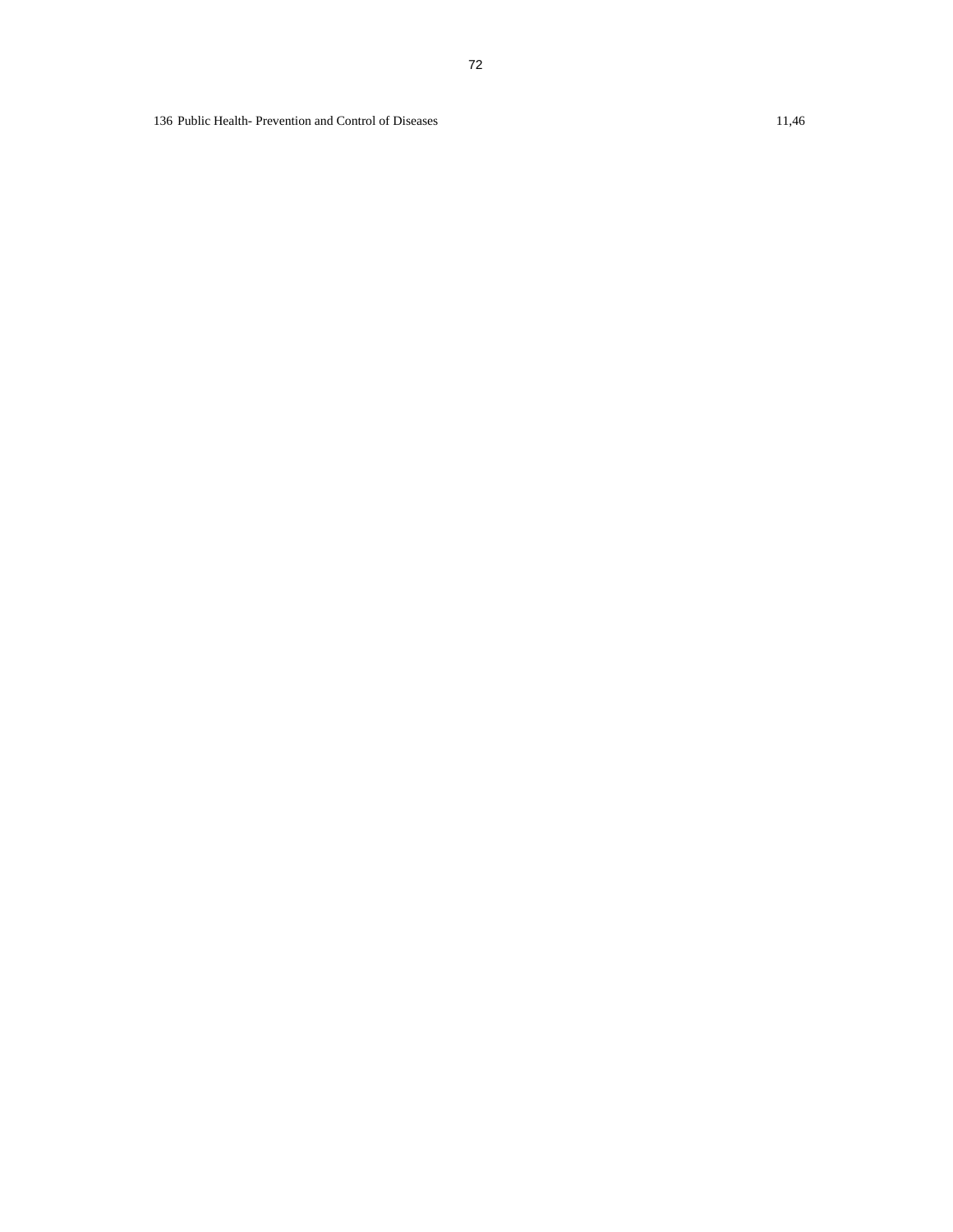136 Public Health- Prevention and Control of Diseases 11,46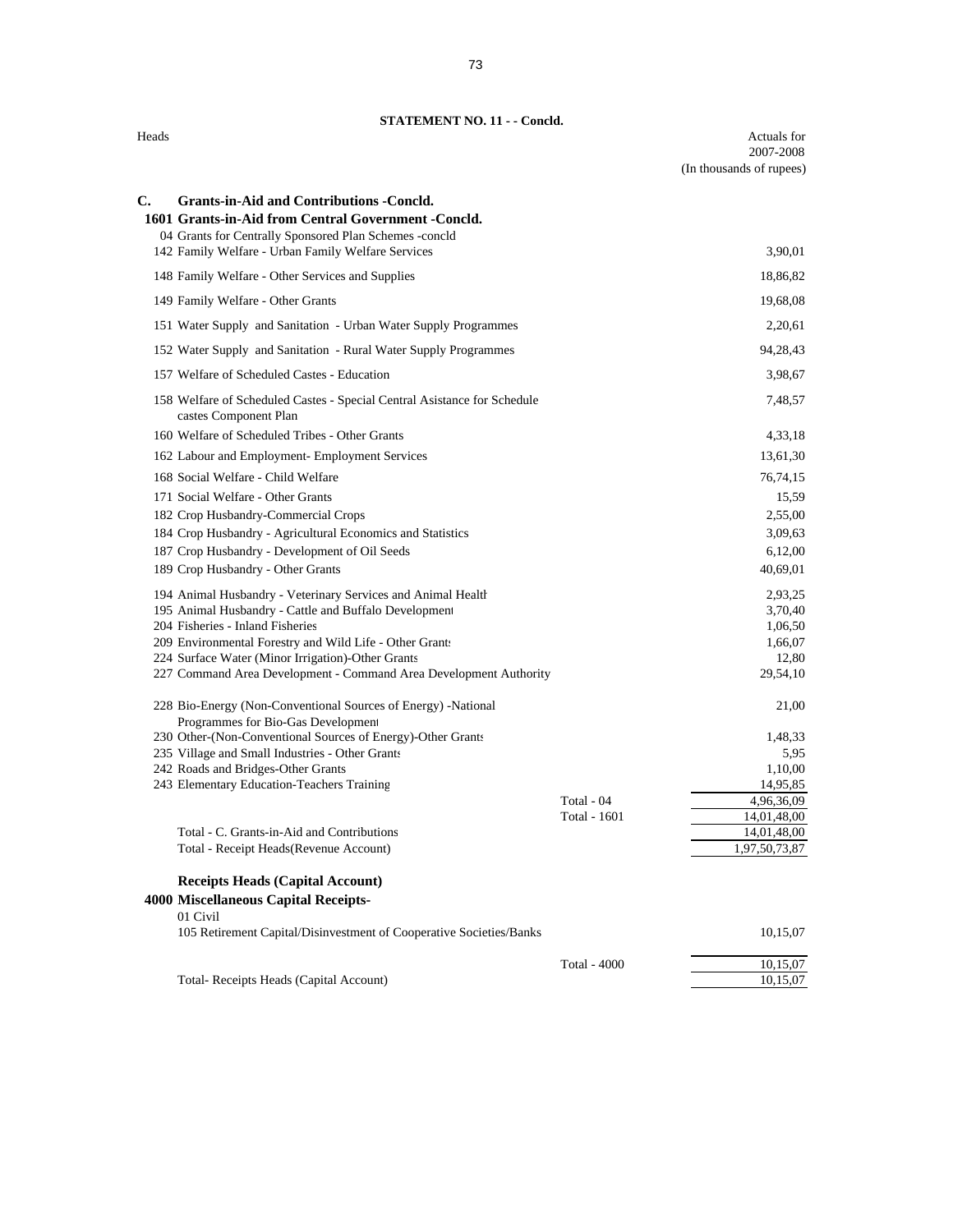**STATEMENT NO. 11 - - Concld.** 

| Heads |                                                                                                                                                                                                                        |                     | Actuals for<br>2007-2008 |
|-------|------------------------------------------------------------------------------------------------------------------------------------------------------------------------------------------------------------------------|---------------------|--------------------------|
|       |                                                                                                                                                                                                                        |                     | (In thousands of rupees) |
| C.    | <b>Grants-in-Aid and Contributions -Concld.</b><br>1601 Grants-in-Aid from Central Government -Concld.<br>04 Grants for Centrally Sponsored Plan Schemes -concld<br>142 Family Welfare - Urban Family Welfare Services |                     | 3,90,01                  |
|       | 148 Family Welfare - Other Services and Supplies                                                                                                                                                                       |                     | 18,86,82                 |
|       | 149 Family Welfare - Other Grants                                                                                                                                                                                      |                     | 19,68,08                 |
|       | 151 Water Supply and Sanitation - Urban Water Supply Programmes                                                                                                                                                        |                     | 2,20,61                  |
|       | 152 Water Supply and Sanitation - Rural Water Supply Programmes                                                                                                                                                        |                     | 94,28,43                 |
|       | 157 Welfare of Scheduled Castes - Education                                                                                                                                                                            |                     | 3,98,67                  |
|       | 158 Welfare of Scheduled Castes - Special Central Asistance for Schedule<br>castes Component Plan                                                                                                                      |                     | 7,48,57                  |
|       | 160 Welfare of Scheduled Tribes - Other Grants                                                                                                                                                                         |                     | 4,33,18                  |
|       | 162 Labour and Employment- Employment Services                                                                                                                                                                         |                     | 13,61,30                 |
|       | 168 Social Welfare - Child Welfare                                                                                                                                                                                     |                     | 76,74,15                 |
|       | 171 Social Welfare - Other Grants                                                                                                                                                                                      |                     | 15,59                    |
|       | 182 Crop Husbandry-Commercial Crops                                                                                                                                                                                    |                     | 2,55,00                  |
|       | 184 Crop Husbandry - Agricultural Economics and Statistics                                                                                                                                                             |                     | 3,09,63                  |
|       | 187 Crop Husbandry - Development of Oil Seeds                                                                                                                                                                          |                     | 6,12,00                  |
|       | 189 Crop Husbandry - Other Grants                                                                                                                                                                                      |                     | 40,69,01                 |
|       | 194 Animal Husbandry - Veterinary Services and Animal Health                                                                                                                                                           |                     | 2,93,25                  |
|       | 195 Animal Husbandry - Cattle and Buffalo Development                                                                                                                                                                  |                     | 3,70,40                  |
|       | 204 Fisheries - Inland Fisheries                                                                                                                                                                                       |                     | 1,06,50                  |
|       | 209 Environmental Forestry and Wild Life - Other Grants                                                                                                                                                                |                     | 1,66,07                  |
|       | 224 Surface Water (Minor Irrigation)-Other Grants                                                                                                                                                                      |                     | 12,80                    |
|       | 227 Command Area Development - Command Area Development Authority                                                                                                                                                      |                     | 29,54,10                 |
|       | 228 Bio-Energy (Non-Conventional Sources of Energy) -National<br>Programmes for Bio-Gas Development                                                                                                                    |                     | 21,00                    |
|       | 230 Other-(Non-Conventional Sources of Energy)-Other Grants                                                                                                                                                            |                     | 1,48,33                  |
|       | 235 Village and Small Industries - Other Grants                                                                                                                                                                        |                     | 5,95                     |
|       | 242 Roads and Bridges-Other Grants                                                                                                                                                                                     |                     | 1,10,00                  |
|       | 243 Elementary Education-Teachers Training                                                                                                                                                                             | Total - 04          | 14,95,85<br>4,96,36,09   |
|       |                                                                                                                                                                                                                        | <b>Total - 1601</b> | 14,01,48,00              |
|       | Total - C. Grants-in-Aid and Contributions                                                                                                                                                                             |                     | 14,01,48,00              |
|       | Total - Receipt Heads (Revenue Account)                                                                                                                                                                                |                     | 1,97,50,73,87            |
|       | <b>Receipts Heads (Capital Account)</b>                                                                                                                                                                                |                     |                          |
|       | 4000 Miscellaneous Capital Receipts-                                                                                                                                                                                   |                     |                          |
|       | 01 Civil                                                                                                                                                                                                               |                     |                          |
|       | 105 Retirement Capital/Disinvestment of Cooperative Societies/Banks                                                                                                                                                    |                     | 10,15,07                 |
|       |                                                                                                                                                                                                                        | <b>Total - 4000</b> | 10,15,07                 |
|       | Total-Receipts Heads (Capital Account)                                                                                                                                                                                 |                     | 10,15,07                 |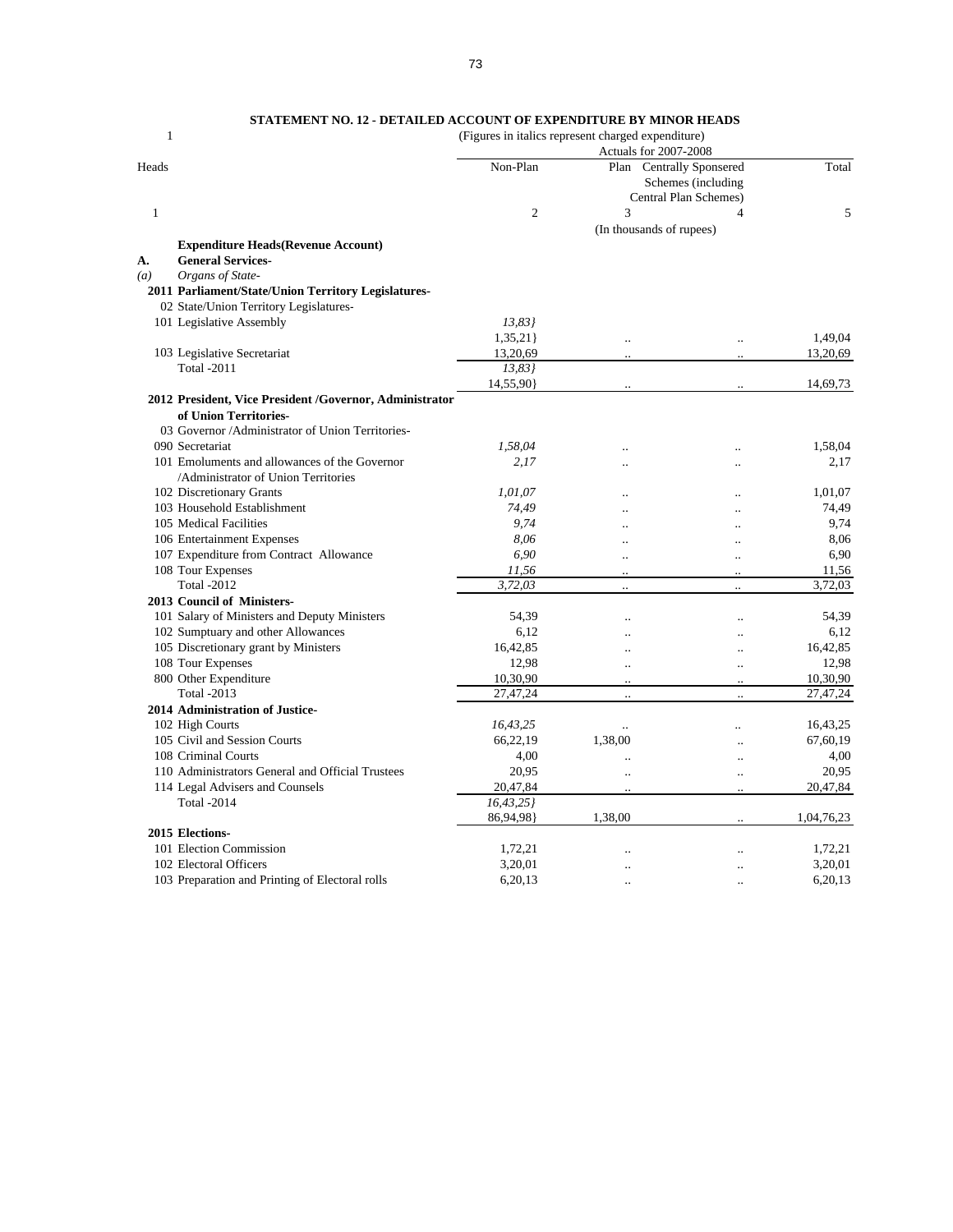1

|       |                                                                        | Actuals for 2007-2008                |                          |                                             |            |
|-------|------------------------------------------------------------------------|--------------------------------------|--------------------------|---------------------------------------------|------------|
| Heads |                                                                        | Non-Plan<br>Plan Centrally Sponsered |                          | Schemes (including<br>Central Plan Schemes) | Total      |
| 1     |                                                                        | $\overline{2}$                       | 3                        | 4                                           | 5          |
|       |                                                                        |                                      | (In thousands of rupees) |                                             |            |
| A.    | <b>Expenditure Heads (Revenue Account)</b><br><b>General Services-</b> |                                      |                          |                                             |            |
| (a)   | Organs of State-                                                       |                                      |                          |                                             |            |
|       | 2011 Parliament/State/Union Territory Legislatures-                    |                                      |                          |                                             |            |
|       | 02 State/Union Territory Legislatures-                                 |                                      |                          |                                             |            |
|       | 101 Legislative Assembly                                               | 13,831                               |                          |                                             |            |
|       |                                                                        | 1,35,21                              | $\ddot{\phantom{a}}$     |                                             | 1.49.04    |
|       | 103 Legislative Secretariat                                            | 13,20,69                             | $\ddot{\phantom{a}}$     | $\ddot{\phantom{a}}$                        | 13,20,69   |
|       | <b>Total -2011</b>                                                     | 13,831                               |                          |                                             |            |
|       |                                                                        | 14,55,90}                            |                          |                                             | 14,69.73   |
|       | 2012 President, Vice President /Governor, Administrator                |                                      |                          |                                             |            |
|       | of Union Territories-                                                  |                                      |                          |                                             |            |
|       | 03 Governor / Administrator of Union Territories-                      |                                      |                          |                                             |            |
|       | 090 Secretariat                                                        | 1,58,04                              | $\ddot{\phantom{a}}$     |                                             | 1,58,04    |
|       | 101 Emoluments and allowances of the Governor                          | 2,17                                 | $\ddot{\phantom{a}}$     | $\ddot{\phantom{a}}$                        | 2,17       |
|       | /Administrator of Union Territories                                    |                                      |                          |                                             |            |
|       | 102 Discretionary Grants                                               | 1,01,07                              | $\ddot{\phantom{a}}$     |                                             | 1,01,07    |
|       | 103 Household Establishment                                            | 74,49                                | $\ddot{\phantom{a}}$     |                                             | 74,49      |
|       | 105 Medical Facilities                                                 | 9,74                                 | $\ddot{\phantom{a}}$     |                                             | 9,74       |
|       | 106 Entertainment Expenses                                             | 8,06                                 | $\ddot{\phantom{a}}$     |                                             | 8,06       |
|       | 107 Expenditure from Contract Allowance                                | 6,90                                 |                          |                                             | 6,90       |
|       | 108 Tour Expenses                                                      | 11,56                                |                          |                                             | 11,56      |
|       | <b>Total -2012</b>                                                     | 3,72,03                              |                          |                                             | 3,72,03    |
|       | 2013 Council of Ministers-                                             |                                      |                          |                                             |            |
|       | 101 Salary of Ministers and Deputy Ministers                           | 54,39                                | $\ddotsc$                | $\ddot{\phantom{a}}$                        | 54,39      |
|       | 102 Sumptuary and other Allowances                                     | 6,12                                 |                          |                                             | 6,12       |
|       | 105 Discretionary grant by Ministers                                   | 16,42,85                             |                          | $\ddot{\phantom{a}}$                        | 16,42,85   |
|       | 108 Tour Expenses                                                      | 12,98                                | $\ddot{\phantom{a}}$     | $\ddot{\phantom{a}}$                        | 12,98      |
|       | 800 Other Expenditure                                                  | 10,30,90                             | $\ddotsc$                | $\ddot{\phantom{a}}$                        | 10,30,90   |
|       | <b>Total -2013</b>                                                     | 27,47,24                             | $\ddotsc$                | $\ddot{\phantom{a}}$                        | 27,47,24   |
|       | 2014 Administration of Justice-                                        |                                      |                          |                                             |            |
|       | 102 High Courts                                                        | 16,43,25                             |                          |                                             | 16,43,25   |
|       | 105 Civil and Session Courts                                           | 66,22,19                             | 1,38,00                  | $\ddot{\phantom{a}}$                        | 67,60,19   |
|       | 108 Criminal Courts                                                    | 4,00                                 | $\ddot{\phantom{a}}$     |                                             | 4,00       |
|       | 110 Administrators General and Official Trustees                       | 20.95                                | $\ddot{\phantom{a}}$     | $\ddot{\phantom{a}}$                        | 20,95      |
|       | 114 Legal Advisers and Counsels                                        | 20,47,84                             |                          | $\ddot{\phantom{a}}$                        | 20,47,84   |
|       | <b>Total -2014</b>                                                     | 16,43,25                             |                          |                                             |            |
|       |                                                                        | 86,94,98}                            | 1,38,00                  | $\ddotsc$                                   | 1,04,76,23 |
|       | 2015 Elections-                                                        |                                      |                          |                                             |            |
|       | 101 Election Commission                                                | 1,72,21                              | $\ddot{\phantom{a}}$     |                                             | 1,72,21    |
|       | 102 Electoral Officers                                                 | 3,20,01                              | $\ddotsc$                | $\ddot{\phantom{a}}$                        | 3,20,01    |
|       |                                                                        |                                      |                          |                                             |            |

103 Preparation and Printing of Electoral rolls 6,20,13 ... 6,20,13 ... 6,20,13

## **STATEMENT NO. 12 - DETAILED ACCOUNT OF EXPENDITURE BY MINOR HEADS**

(Figures in italics represent charged expenditure)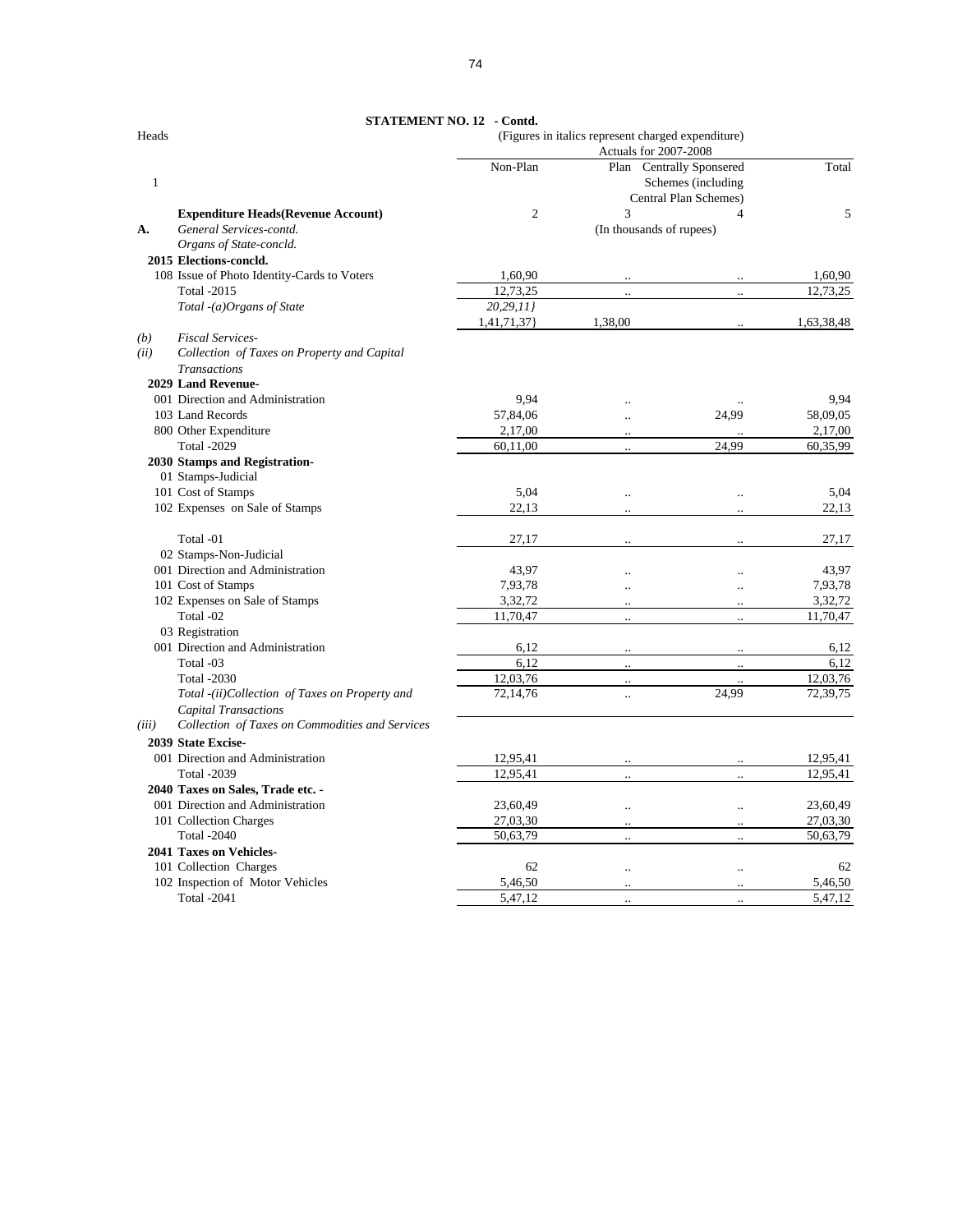| Heads        |                                                 | (Figures in italics represent charged expenditure)<br>Actuals for 2007-2008 |                      |                          |            |  |
|--------------|-------------------------------------------------|-----------------------------------------------------------------------------|----------------------|--------------------------|------------|--|
|              |                                                 |                                                                             |                      |                          |            |  |
|              |                                                 | Non-Plan                                                                    |                      | Plan Centrally Sponsered | Total      |  |
| $\mathbf{1}$ |                                                 |                                                                             |                      | Schemes (including       |            |  |
|              |                                                 |                                                                             |                      | Central Plan Schemes)    |            |  |
|              | <b>Expenditure Heads (Revenue Account)</b>      | $\mathbf{2}$                                                                | 3                    | $\overline{4}$           | 5          |  |
| A.           | General Services-contd.                         |                                                                             |                      | (In thousands of rupees) |            |  |
|              | Organs of State-concld.                         |                                                                             |                      |                          |            |  |
|              | 2015 Elections-concld.                          |                                                                             |                      |                          |            |  |
|              | 108 Issue of Photo Identity-Cards to Voters     | 1,60,90                                                                     |                      |                          | 1,60,90    |  |
|              | <b>Total -2015</b>                              | 12,73,25                                                                    | $\ddot{\phantom{a}}$ | $\ddot{\phantom{a}}$     | 12,73,25   |  |
|              | Total -(a)Organs of State                       | $\overline{20,29,11}$                                                       |                      |                          |            |  |
|              |                                                 | 1,41,71,37}                                                                 | 1,38,00              |                          | 1,63,38,48 |  |
| (b)          | <b>Fiscal Services-</b>                         |                                                                             |                      |                          |            |  |
| (ii)         | Collection of Taxes on Property and Capital     |                                                                             |                      |                          |            |  |
|              | <b>Transactions</b>                             |                                                                             |                      |                          |            |  |
|              | 2029 Land Revenue-                              |                                                                             |                      |                          |            |  |
|              | 001 Direction and Administration                | 9,94                                                                        |                      |                          | 9.94       |  |
|              | 103 Land Records                                | 57,84,06                                                                    | $\ddot{\phantom{a}}$ | 24.99                    | 58,09,05   |  |
|              | 800 Other Expenditure                           | 2,17,00                                                                     |                      |                          | 2,17,00    |  |
|              | <b>Total -2029</b>                              | 60.11.00                                                                    | $\ddot{\phantom{a}}$ | 24.99                    | 60.35.99   |  |
|              | 2030 Stamps and Registration-                   |                                                                             |                      |                          |            |  |
|              | 01 Stamps-Judicial                              |                                                                             |                      |                          |            |  |
|              | 101 Cost of Stamps                              | 5,04                                                                        | $\ddot{\phantom{a}}$ |                          | 5.04       |  |
|              | 102 Expenses on Sale of Stamps                  | 22,13                                                                       |                      |                          | 22,13      |  |
|              | Total -01                                       | 27,17                                                                       |                      |                          | 27,17      |  |
|              | 02 Stamps-Non-Judicial                          |                                                                             |                      |                          |            |  |
|              | 001 Direction and Administration                | 43,97                                                                       |                      |                          | 43,97      |  |
|              | 101 Cost of Stamps                              | 7,93,78                                                                     | $\ddot{\phantom{a}}$ |                          | 7,93,78    |  |
|              | 102 Expenses on Sale of Stamps                  | 3,32,72                                                                     |                      |                          | 3,32,72    |  |
|              | Total -02                                       | 11,70,47                                                                    | $\ddot{\phantom{a}}$ |                          | 11,70,47   |  |
|              | 03 Registration                                 |                                                                             |                      |                          |            |  |
|              | 001 Direction and Administration                | 6,12                                                                        |                      |                          | 6,12       |  |
|              | Total -03                                       | 6,12                                                                        | $\ddotsc$            | $\ddot{\phantom{a}}$     | 6,12       |  |
|              | <b>Total -2030</b>                              | 12,03,76                                                                    |                      |                          | 12,03,76   |  |
|              | Total -(ii)Collection of Taxes on Property and  | 72,14,76                                                                    | $\ddot{\phantom{a}}$ | 24.99                    | 72,39,75   |  |
|              | <b>Capital Transactions</b>                     |                                                                             |                      |                          |            |  |
| (iii)        | Collection of Taxes on Commodities and Services |                                                                             |                      |                          |            |  |
|              | 2039 State Excise-                              |                                                                             |                      |                          |            |  |
|              | 001 Direction and Administration                | 12,95,41                                                                    |                      |                          | 12,95,41   |  |
|              | <b>Total -2039</b>                              | 12,95,41                                                                    | $\ddot{\phantom{a}}$ | $\ddotsc$                | 12,95,41   |  |
|              | 2040 Taxes on Sales, Trade etc. -               |                                                                             |                      |                          |            |  |
|              | 001 Direction and Administration                | 23,60,49                                                                    | $\ddot{\phantom{a}}$ | $\ddot{\phantom{a}}$     | 23,60,49   |  |
|              | 101 Collection Charges                          | 27,03,30                                                                    | $\ddot{\phantom{a}}$ |                          | 27,03,30   |  |
|              | <b>Total -2040</b>                              | 50,63,79                                                                    | $\ddotsc$            | $\ddotsc$                | 50,63,79   |  |
|              | <b>2041 Taxes on Vehicles-</b>                  |                                                                             |                      |                          |            |  |
|              | 101 Collection Charges                          | 62                                                                          | $\ddot{\phantom{1}}$ | $\ddot{\phantom{a}}$     | 62         |  |
|              | 102 Inspection of Motor Vehicles                | 5,46,50                                                                     | $\ddotsc$            |                          | 5,46,50    |  |
|              | <b>Total -2041</b>                              | 5,47,12                                                                     | $\ddot{\phantom{a}}$ | $\ddotsc$                | 5,47,12    |  |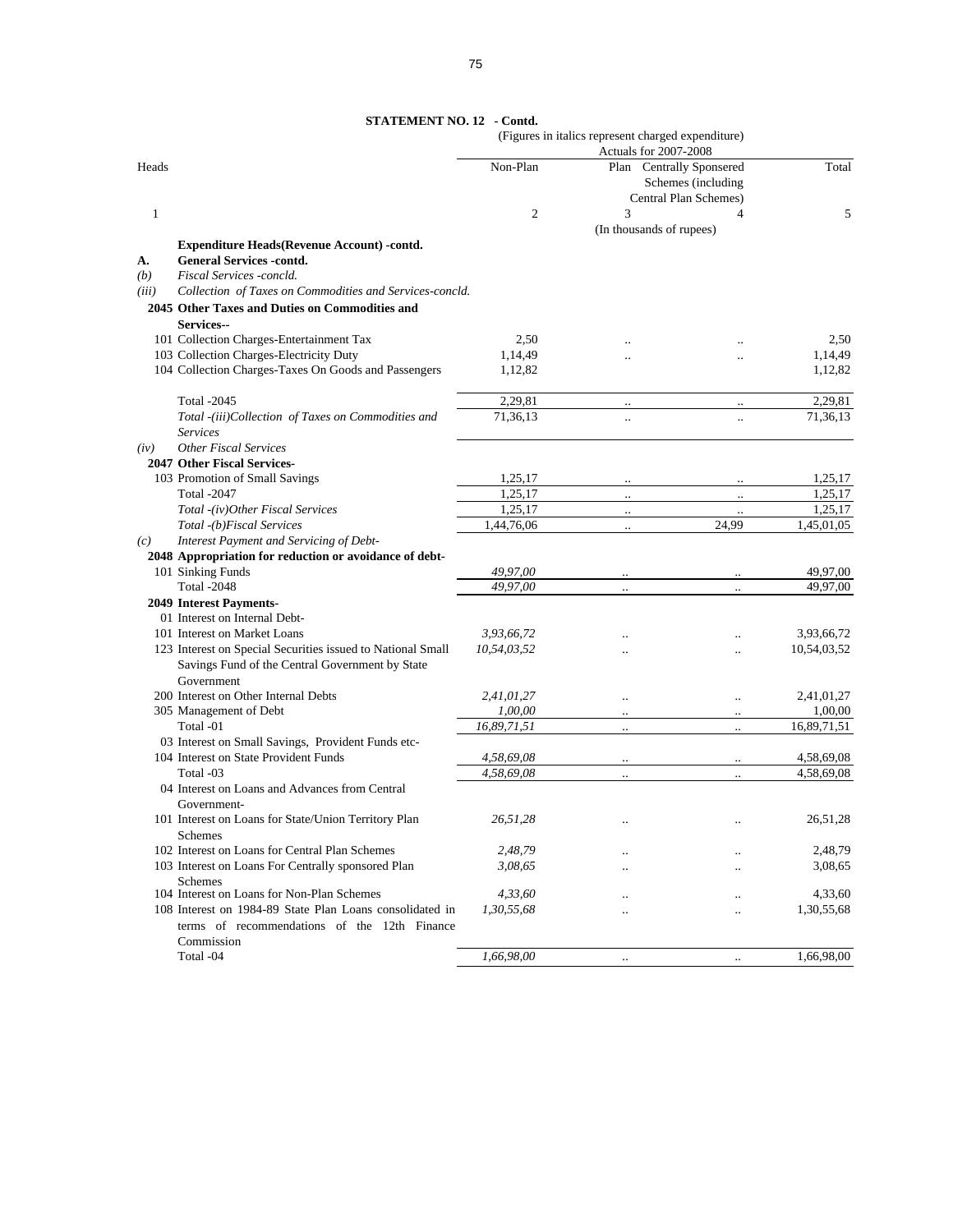|  |  |  | (Figures in italics represent charged expenditure) |
|--|--|--|----------------------------------------------------|
|  |  |  |                                                    |

|              |                                                                               | Actuals for 2007-2008 |                          |                                                                         |             |  |
|--------------|-------------------------------------------------------------------------------|-----------------------|--------------------------|-------------------------------------------------------------------------|-------------|--|
| Heads        |                                                                               | Non-Plan              |                          | Plan Centrally Sponsered<br>Schemes (including<br>Central Plan Schemes) | Total       |  |
| $\mathbf{1}$ |                                                                               | $\mathfrak{2}$        | 3                        | $\overline{\mathcal{A}}$                                                | 5           |  |
|              |                                                                               |                       | (In thousands of rupees) |                                                                         |             |  |
|              | Expenditure Heads(Revenue Account) -contd.<br><b>General Services -contd.</b> |                       |                          |                                                                         |             |  |
| А.           | Fiscal Services -concld.                                                      |                       |                          |                                                                         |             |  |
| (b)<br>(iii) | Collection of Taxes on Commodities and Services-concld.                       |                       |                          |                                                                         |             |  |
|              | 2045 Other Taxes and Duties on Commodities and                                |                       |                          |                                                                         |             |  |
|              | Services--                                                                    |                       |                          |                                                                         |             |  |
|              | 101 Collection Charges-Entertainment Tax                                      | 2,50                  |                          |                                                                         | 2,50        |  |
|              | 103 Collection Charges-Electricity Duty                                       | 1,14,49               |                          |                                                                         | 1,14,49     |  |
|              | 104 Collection Charges-Taxes On Goods and Passengers                          | 1,12,82               |                          |                                                                         | 1,12,82     |  |
|              |                                                                               |                       |                          |                                                                         |             |  |
|              | <b>Total -2045</b>                                                            | 2,29,81               |                          |                                                                         | 2,29,81     |  |
|              | Total -(iii)Collection of Taxes on Commodities and                            | 71, 36, 13            | $\ddot{\phantom{a}}$     |                                                                         | 71,36,13    |  |
|              | <b>Services</b>                                                               |                       |                          |                                                                         |             |  |
| (iv)         | <b>Other Fiscal Services</b>                                                  |                       |                          |                                                                         |             |  |
|              | <b>2047 Other Fiscal Services-</b>                                            |                       |                          |                                                                         |             |  |
|              | 103 Promotion of Small Savings                                                | 1,25,17               |                          |                                                                         | 1,25,17     |  |
|              | <b>Total -2047</b>                                                            | 1,25,17               | $\ddotsc$                | $\ddotsc$                                                               | 1,25,17     |  |
|              | Total -(iv)Other Fiscal Services                                              | 1,25,17               | $\ddot{\phantom{a}}$     |                                                                         | 1,25,17     |  |
|              | Total -(b)Fiscal Services                                                     | 1,44,76,06            | $\ddotsc$                | 24,99                                                                   | 1,45,01,05  |  |
| (c)          | Interest Payment and Servicing of Debt-                                       |                       |                          |                                                                         |             |  |
|              | 2048 Appropriation for reduction or avoidance of debt-                        |                       |                          |                                                                         |             |  |
|              | 101 Sinking Funds                                                             | 49,97,00              |                          |                                                                         | 49,97,00    |  |
|              | <b>Total -2048</b>                                                            | 49.97.00              | $\ddotsc$                | $\ddot{\phantom{1}}$                                                    | 49.97.00    |  |
|              | 2049 Interest Payments-                                                       |                       |                          |                                                                         |             |  |
|              | 01 Interest on Internal Debt-                                                 |                       |                          |                                                                         |             |  |
|              | 101 Interest on Market Loans                                                  | 3,93,66,72            |                          |                                                                         | 3,93,66,72  |  |
|              | 123 Interest on Special Securities issued to National Small                   | 10,54,03,52           |                          |                                                                         | 10,54,03,52 |  |
|              | Savings Fund of the Central Government by State                               |                       |                          |                                                                         |             |  |
|              | Government                                                                    |                       |                          |                                                                         |             |  |
|              | 200 Interest on Other Internal Debts                                          | 2,41,01,27            | $\ldots$                 | $\ddot{\phantom{a}}$                                                    | 2,41,01,27  |  |
|              | 305 Management of Debt                                                        | 1,00,00               | $\ddot{\phantom{a}}$     | $\ddotsc$                                                               | 1,00,00     |  |
|              | Total -01                                                                     | 16,89,71,51           | $\ddotsc$                | $\ddotsc$                                                               | 16,89,71,51 |  |
|              | 03 Interest on Small Savings, Provident Funds etc-                            |                       |                          |                                                                         |             |  |
|              | 104 Interest on State Provident Funds                                         | 4,58,69,08            |                          |                                                                         | 4,58,69,08  |  |
|              | Total -03                                                                     | 4,58,69,08            | $\ldots$                 | $\ddotsc$                                                               | 4,58,69,08  |  |
|              | 04 Interest on Loans and Advances from Central<br>Government-                 |                       |                          |                                                                         |             |  |
|              | 101 Interest on Loans for State/Union Territory Plan                          | 26,51,28              |                          |                                                                         | 26,51,28    |  |
|              | Schemes                                                                       |                       |                          |                                                                         |             |  |
|              | 102 Interest on Loans for Central Plan Schemes                                | 2,48,79               |                          |                                                                         | 2,48,79     |  |
|              | 103 Interest on Loans For Centrally sponsored Plan                            | 3,08,65               |                          |                                                                         | 3,08,65     |  |
|              | Schemes                                                                       |                       |                          |                                                                         |             |  |
|              | 104 Interest on Loans for Non-Plan Schemes                                    | 4,33,60               |                          |                                                                         | 4,33,60     |  |
|              | 108 Interest on 1984-89 State Plan Loans consolidated in                      | 1,30,55,68            | $\ddotsc$                |                                                                         | 1,30,55,68  |  |
|              | terms of recommendations of the 12th Finance                                  |                       |                          |                                                                         |             |  |
|              | Commission                                                                    |                       |                          |                                                                         |             |  |
|              | Total -04                                                                     | 1,66,98,00            | $\ddotsc$                | $\ldots$                                                                | 1,66,98,00  |  |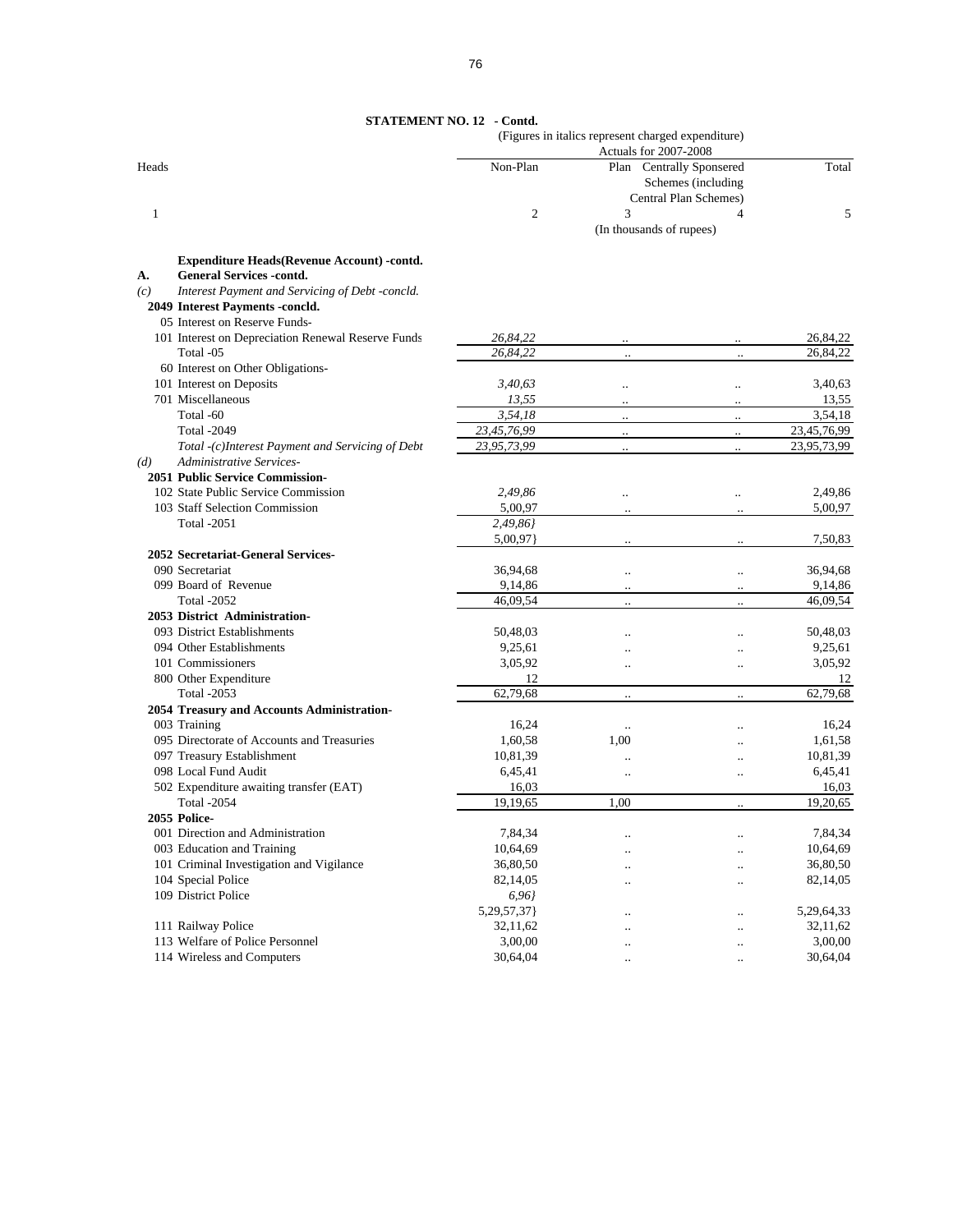|       |                                                    | (Figures in italics represent charged expenditure)<br>Actuals for 2007-2008 |                          |                                             |             |  |  |
|-------|----------------------------------------------------|-----------------------------------------------------------------------------|--------------------------|---------------------------------------------|-------------|--|--|
| Heads |                                                    | Non-Plan                                                                    | Plan Centrally Sponsered | Schemes (including<br>Central Plan Schemes) | Total       |  |  |
| 1     |                                                    | $\mathfrak{2}$                                                              | 3                        | 4                                           | 5           |  |  |
|       |                                                    |                                                                             | (In thousands of rupees) |                                             |             |  |  |
|       | Expenditure Heads(Revenue Account) -contd.         |                                                                             |                          |                                             |             |  |  |
| А.    | <b>General Services -contd.</b>                    |                                                                             |                          |                                             |             |  |  |
| (c)   | Interest Payment and Servicing of Debt -concld.    |                                                                             |                          |                                             |             |  |  |
|       | 2049 Interest Payments -concld.                    |                                                                             |                          |                                             |             |  |  |
|       | 05 Interest on Reserve Funds-                      |                                                                             |                          |                                             |             |  |  |
|       | 101 Interest on Depreciation Renewal Reserve Funds | 26,84,22                                                                    |                          |                                             | 26,84,22    |  |  |
|       | Total -05                                          | 26,84,22                                                                    | $\ddot{\phantom{a}}$     |                                             | 26,84,22    |  |  |
|       | 60 Interest on Other Obligations-                  |                                                                             |                          |                                             |             |  |  |
|       | 101 Interest on Deposits                           | 3,40,63                                                                     |                          | $\ldots$                                    | 3,40,63     |  |  |
|       | 701 Miscellaneous                                  | 13,55                                                                       | $\ddotsc$                | $\ddotsc$                                   | 13,55       |  |  |
|       | Total -60                                          | $\overline{3,}54,18$                                                        | $\ddotsc$                | $\ldots$                                    | 3,54,18     |  |  |
|       | <b>Total -2049</b>                                 | 23,45,76,99                                                                 |                          | $\ddotsc$                                   | 23,45,76,99 |  |  |
|       | Total -(c)Interest Payment and Servicing of Debt   | 23,95,73,99                                                                 |                          | $\ldots$                                    | 23,95,73,99 |  |  |
| (d)   | Administrative Services-                           |                                                                             |                          |                                             |             |  |  |
|       | 2051 Public Service Commission-                    |                                                                             |                          |                                             |             |  |  |
|       | 102 State Public Service Commission                | 2,49,86                                                                     |                          |                                             | 2,49,86     |  |  |
|       | 103 Staff Selection Commission                     | 5,00,97                                                                     | $\ddot{\phantom{a}}$     |                                             | 5,00,97     |  |  |
|       | <b>Total -2051</b>                                 | 2,49,86                                                                     |                          |                                             |             |  |  |
|       |                                                    | 5,00,97                                                                     |                          |                                             | 7,50,83     |  |  |
|       | 2052 Secretariat-General Services-                 |                                                                             |                          |                                             |             |  |  |
|       | 090 Secretariat                                    |                                                                             |                          |                                             |             |  |  |
|       |                                                    | 36,94,68                                                                    |                          | $\ddot{\phantom{a}}$                        | 36,94,68    |  |  |
|       | 099 Board of Revenue                               | 9,14,86                                                                     |                          |                                             | 9,14,86     |  |  |
|       | <b>Total -2052</b>                                 | 46,09,54                                                                    |                          | $\ldots$                                    | 46,09,54    |  |  |
|       | 2053 District Administration-                      |                                                                             |                          |                                             |             |  |  |
|       | 093 District Establishments                        | 50,48,03                                                                    | $\ddotsc$                |                                             | 50,48,03    |  |  |
|       | 094 Other Establishments                           | 9,25,61                                                                     | $\ddot{\phantom{a}}$     |                                             | 9,25,61     |  |  |
|       | 101 Commissioners                                  | 3,05,92                                                                     | $\ddot{\phantom{a}}$     | $\ddot{\phantom{a}}$                        | 3,05,92     |  |  |
|       | 800 Other Expenditure                              | 12                                                                          |                          |                                             | 12          |  |  |
|       | <b>Total -2053</b>                                 | 62,79,68                                                                    |                          | $\ddotsc$                                   | 62,79,68    |  |  |
|       | 2054 Treasury and Accounts Administration-         |                                                                             |                          |                                             |             |  |  |
|       | 003 Training                                       | 16,24                                                                       |                          |                                             | 16,24       |  |  |
|       | 095 Directorate of Accounts and Treasuries         | 1,60,58                                                                     | 1,00                     | $\ddot{\phantom{a}}$                        | 1,61,58     |  |  |
|       | 097 Treasury Establishment                         | 10,81,39                                                                    | $\ddotsc$                | $\ddot{\phantom{a}}$                        | 10,81,39    |  |  |
|       | 098 Local Fund Audit                               | 6,45,41                                                                     |                          |                                             | 6,45,41     |  |  |
|       | 502 Expenditure awaiting transfer (EAT)            | 16,03                                                                       |                          |                                             | 16,03       |  |  |
|       | <b>Total -2054</b>                                 | 19,19,65                                                                    | 1,00                     |                                             | 19,20,65    |  |  |
|       | 2055 Police-                                       |                                                                             |                          |                                             |             |  |  |
|       | 001 Direction and Administration                   | 7,84,34                                                                     |                          | $\cdot$ .                                   | 7,84,34     |  |  |
|       | 003 Education and Training                         | 10,64,69                                                                    |                          |                                             | 10,64,69    |  |  |
|       | 101 Criminal Investigation and Vigilance           | 36,80,50                                                                    |                          |                                             | 36,80,50    |  |  |
|       | 104 Special Police                                 | 82,14,05                                                                    |                          |                                             | 82,14,05    |  |  |
|       | 109 District Police                                | 6,96                                                                        |                          |                                             |             |  |  |
|       |                                                    | 5,29,57,37}                                                                 |                          |                                             | 5,29,64,33  |  |  |
|       | 111 Railway Police                                 | 32,11,62                                                                    | $\ddotsc$                |                                             | 32,11,62    |  |  |
|       | 113 Welfare of Police Personnel                    | 3,00,00                                                                     |                          |                                             | 3,00,00     |  |  |
|       | 114 Wireless and Computers                         | 30,64,04                                                                    |                          |                                             | 30,64,04    |  |  |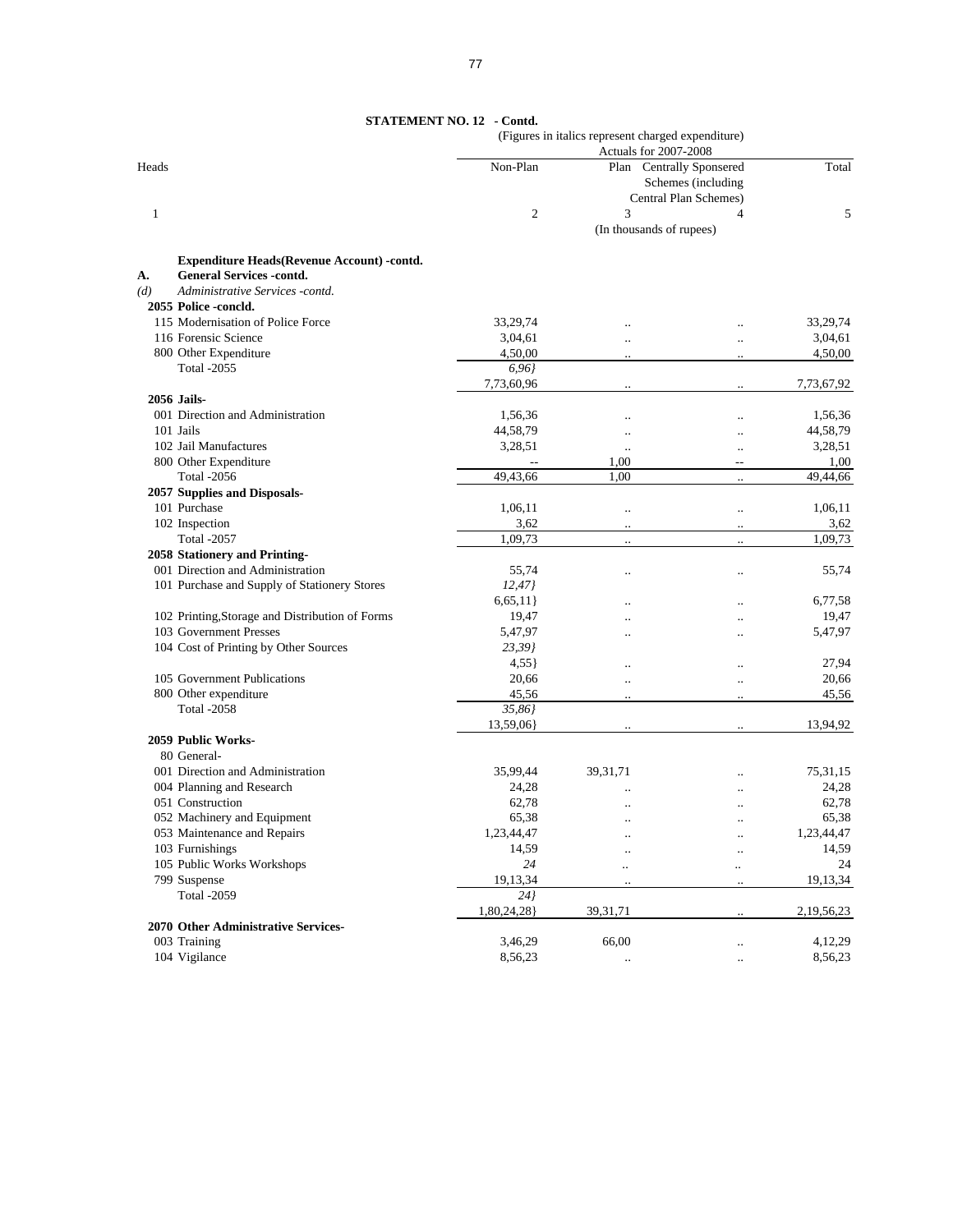|       | (Figures in italics represent charged expenditure) |                          |                              |                             |            |
|-------|----------------------------------------------------|--------------------------|------------------------------|-----------------------------|------------|
|       |                                                    |                          | Actuals for 2007-2008        |                             |            |
| Heads |                                                    | Non-Plan                 | Plan Centrally Sponsered     |                             | Total      |
|       |                                                    |                          |                              | Schemes (including          |            |
|       |                                                    |                          |                              | Central Plan Schemes)       |            |
| 1     |                                                    | $\mathfrak{2}$           | 3                            | $\overline{4}$              | 5          |
|       |                                                    |                          | (In thousands of rupees)     |                             |            |
|       | Expenditure Heads(Revenue Account) -contd.         |                          |                              |                             |            |
| А.    | <b>General Services -contd.</b>                    |                          |                              |                             |            |
| (d)   | Administrative Services -contd.                    |                          |                              |                             |            |
|       | 2055 Police -concld.                               |                          |                              |                             |            |
|       | 115 Modernisation of Police Force                  | 33,29,74                 | $\ddot{\phantom{a}}$         |                             | 33,29,74   |
|       | 116 Forensic Science                               | 3,04,61                  |                              |                             | 3,04,61    |
|       | 800 Other Expenditure                              | 4,50,00                  | $\ddotsc$                    | $\ddot{\phantom{a}}$        | 4,50,00    |
|       | <b>Total -2055</b>                                 | 6,96                     |                              |                             |            |
|       |                                                    | 7,73,60,96               |                              |                             | 7,73,67,92 |
|       | 2056 Jails-                                        |                          |                              |                             |            |
|       | 001 Direction and Administration                   | 1,56,36                  | $\ddot{\phantom{a}}$         |                             | 1,56,36    |
|       | 101 Jails                                          | 44,58,79                 |                              |                             | 44,58,79   |
|       | 102 Jail Manufactures                              | 3,28,51                  |                              |                             | 3,28,51    |
|       | 800 Other Expenditure                              | $\overline{\phantom{a}}$ | $\ddot{\phantom{a}}$<br>1,00 | $\ddot{\phantom{a}}$<br>$-$ | 1,00       |
|       | <b>Total -2056</b>                                 | 49,43,66                 | 1.00                         |                             | 49,44,66   |
|       | 2057 Supplies and Disposals-                       |                          |                              |                             |            |
|       | 101 Purchase                                       |                          |                              |                             |            |
|       |                                                    | 1,06,11                  |                              |                             | 1,06,11    |
|       | 102 Inspection                                     | 3,62                     |                              |                             | 3,62       |
|       | <b>Total -2057</b>                                 | 1,09,73                  |                              | $\ddot{\phantom{a}}$        | 1,09,73    |
|       | 2058 Stationery and Printing-                      |                          |                              |                             |            |
|       | 001 Direction and Administration                   | 55,74                    |                              | $\ddotsc$                   | 55,74      |
|       | 101 Purchase and Supply of Stationery Stores       | 12,47                    |                              |                             |            |
|       |                                                    | $6,65,11$ }              |                              |                             | 6,77,58    |
|       | 102 Printing, Storage and Distribution of Forms    | 19,47                    |                              | $\ddot{\phantom{a}}$        | 19,47      |
|       | 103 Government Presses                             | 5,47,97                  |                              | $\ddot{\phantom{a}}$        | 5,47,97    |
|       | 104 Cost of Printing by Other Sources              | 23,39                    |                              |                             |            |
|       |                                                    | $4,55$ }                 |                              | $\ddot{\phantom{a}}$        | 27,94      |
|       | 105 Government Publications                        | 20,66                    |                              |                             | 20,66      |
|       | 800 Other expenditure                              | 45,56                    |                              |                             | 45,56      |
|       | <b>Total -2058</b>                                 | 35,86}                   |                              |                             |            |
|       |                                                    | 13,59,06}                |                              |                             | 13,94,92   |
|       | 2059 Public Works-                                 |                          |                              |                             |            |
|       | 80 General-                                        |                          |                              |                             |            |
|       | 001 Direction and Administration                   | 35,99,44                 | 39, 31, 71                   |                             | 75,31,15   |
|       | 004 Planning and Research                          | 24,28                    |                              | $\ddot{\phantom{a}}$        | 24,28      |
|       | 051 Construction                                   | 62,78                    |                              | $\ddot{\phantom{a}}$        | 62,78      |
|       | 052 Machinery and Equipment                        | 65,38                    |                              | $\ddotsc$                   | 65,38      |
|       | 053 Maintenance and Repairs                        | 1,23,44,47               |                              | $\ddot{\phantom{0}}$        | 1,23,44,47 |
|       | 103 Furnishings                                    | 14,59                    |                              |                             | 14,59      |
|       | 105 Public Works Workshops                         | 24                       |                              |                             | 24         |
|       | 799 Suspense                                       | 19,13,34                 |                              |                             | 19,13,34   |
|       | <b>Total -2059</b>                                 | 24                       |                              |                             |            |
|       |                                                    | 1,80,24,28               | 39,31,71                     |                             | 2,19,56,23 |
|       | 2070 Other Administrative Services-                |                          |                              |                             |            |
|       |                                                    | 3.46,29                  | 66,00                        |                             |            |
|       | 003 Training<br>104 Vigilance                      |                          |                              | $\cdot$ .                   | 4,12,29    |
|       |                                                    | 8,56,23                  |                              | $\ldots$                    | 8,56,23    |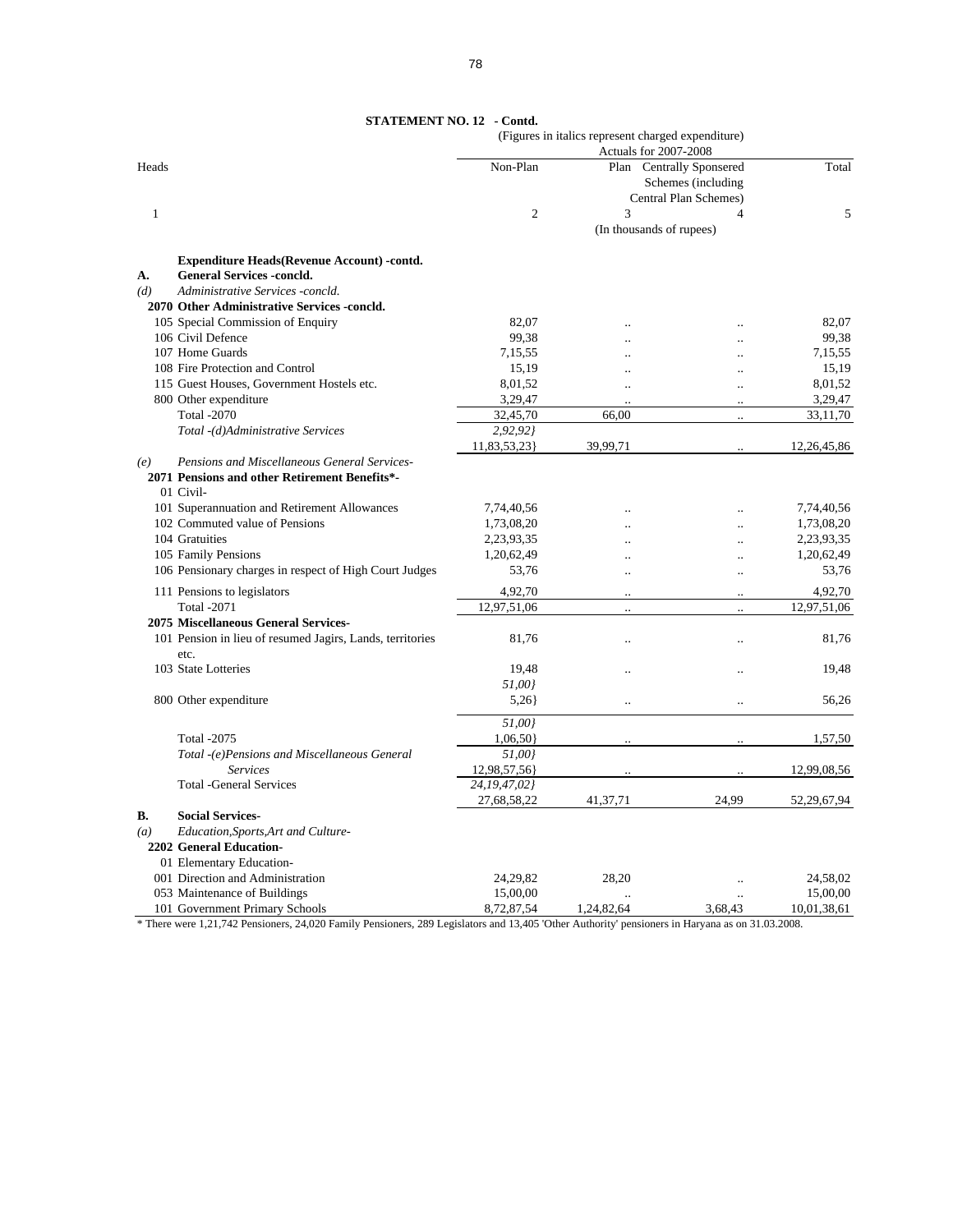|                                                           |                 | (Figures in italics represent charged expenditure) |                          |             |  |
|-----------------------------------------------------------|-----------------|----------------------------------------------------|--------------------------|-------------|--|
|                                                           |                 |                                                    | Actuals for 2007-2008    |             |  |
| Heads                                                     | Non-Plan        |                                                    | Plan Centrally Sponsered | Total       |  |
|                                                           |                 |                                                    | Schemes (including       |             |  |
|                                                           |                 |                                                    | Central Plan Schemes)    |             |  |
| $\mathbf{1}$                                              | $\mathfrak{2}$  | 3                                                  | $\overline{\mathcal{A}}$ | 5           |  |
|                                                           |                 |                                                    | (In thousands of rupees) |             |  |
| Expenditure Heads(Revenue Account) -contd.                |                 |                                                    |                          |             |  |
| <b>General Services -concld.</b><br>A.                    |                 |                                                    |                          |             |  |
| Administrative Services -concld.<br>(d)                   |                 |                                                    |                          |             |  |
| 2070 Other Administrative Services -concld.               |                 |                                                    |                          |             |  |
|                                                           | 82,07           |                                                    |                          | 82,07       |  |
| 105 Special Commission of Enquiry                         |                 | $\ddot{\phantom{a}}$                               |                          |             |  |
| 106 Civil Defence                                         | 99,38           | $\ddot{\phantom{a}}$                               |                          | 99,38       |  |
| 107 Home Guards                                           | 7,15,55         |                                                    |                          | 7,15,55     |  |
| 108 Fire Protection and Control                           | 15,19           |                                                    |                          | 15,19       |  |
| 115 Guest Houses, Government Hostels etc.                 | 8,01,52         | $\ddot{\phantom{a}}$                               | $\ddotsc$                | 8,01,52     |  |
| 800 Other expenditure                                     | 3,29,47         | $\ddot{\phantom{a}}$                               |                          | 3,29,47     |  |
| <b>Total -2070</b>                                        | 32,45,70        | 66,00                                              |                          | 33,11,70    |  |
| Total -(d)Administrative Services                         | 2,92,92         |                                                    |                          |             |  |
|                                                           | 11,83,53,23}    | 39,99,71                                           |                          | 12,26,45,86 |  |
| Pensions and Miscellaneous General Services-<br>(e)       |                 |                                                    |                          |             |  |
| 2071 Pensions and other Retirement Benefits*-             |                 |                                                    |                          |             |  |
| 01 Civil-                                                 |                 |                                                    |                          |             |  |
| 101 Superannuation and Retirement Allowances              | 7,74,40,56      | $\ddot{\phantom{a}}$                               |                          | 7,74,40,56  |  |
| 102 Commuted value of Pensions                            | 1,73,08,20      | $\ddot{\phantom{a}}$                               |                          | 1,73,08,20  |  |
| 104 Gratuities                                            | 2,23,93,35      |                                                    |                          | 2,23,93,35  |  |
| 105 Family Pensions                                       | 1,20,62,49      |                                                    |                          | 1,20,62,49  |  |
| 106 Pensionary charges in respect of High Court Judges    | 53,76           |                                                    |                          | 53,76       |  |
|                                                           |                 | $\ddot{\phantom{a}}$                               | $\ddot{\phantom{a}}$     |             |  |
| 111 Pensions to legislators                               | 4,92,70         |                                                    |                          | 4,92,70     |  |
| <b>Total -2071</b>                                        | 12,97,51,06     | $\ddotsc$                                          | $\ddot{\phantom{a}}$     | 12,97,51,06 |  |
| <b>2075 Miscellaneous General Services-</b>               |                 |                                                    |                          |             |  |
| 101 Pension in lieu of resumed Jagirs, Lands, territories | 81,76           | $\ddot{\phantom{a}}$                               |                          | 81,76       |  |
| etc.                                                      |                 |                                                    |                          |             |  |
| 103 State Lotteries                                       | 19,48           |                                                    |                          | 19,48       |  |
|                                                           | 51,00}          |                                                    |                          |             |  |
| 800 Other expenditure                                     | 5,26            | $\ddot{\phantom{a}}$                               |                          | 56,26       |  |
|                                                           |                 |                                                    |                          |             |  |
|                                                           | 51,00}          |                                                    |                          |             |  |
| <b>Total -2075</b>                                        | 1,06,50         |                                                    |                          | 1,57,50     |  |
| Total -(e)Pensions and Miscellaneous General              | 51,00}          |                                                    |                          |             |  |
| <b>Services</b>                                           | 12,98,57,56}    |                                                    |                          | 12,99,08,56 |  |
| <b>Total - General Services</b>                           | 24, 19, 47, 02} |                                                    |                          |             |  |
|                                                           | 27,68,58,22     | 41, 37, 71                                         | 24,99                    | 52,29,67,94 |  |
| В.<br><b>Social Services-</b>                             |                 |                                                    |                          |             |  |
| (a)<br>Education, Sports, Art and Culture-                |                 |                                                    |                          |             |  |
| 2202 General Education-                                   |                 |                                                    |                          |             |  |
| 01 Elementary Education-                                  |                 |                                                    |                          |             |  |
| 001 Direction and Administration                          | 24,29,82        | 28,20                                              |                          | 24,58,02    |  |
| 053 Maintenance of Buildings                              | 15,00,00        |                                                    |                          | 15,00,00    |  |
| 101 Government Primary Schools                            | 8,72,87,54      | 1,24,82,64                                         | 3,68,43                  | 10,01,38,61 |  |
|                                                           |                 |                                                    |                          |             |  |

\* There were 1,21,742 Pensioners, 24,020 Family Pensioners, 289 Legislators and 13,405 'Other Authority' pensioners in Haryana as on 31.03.2008.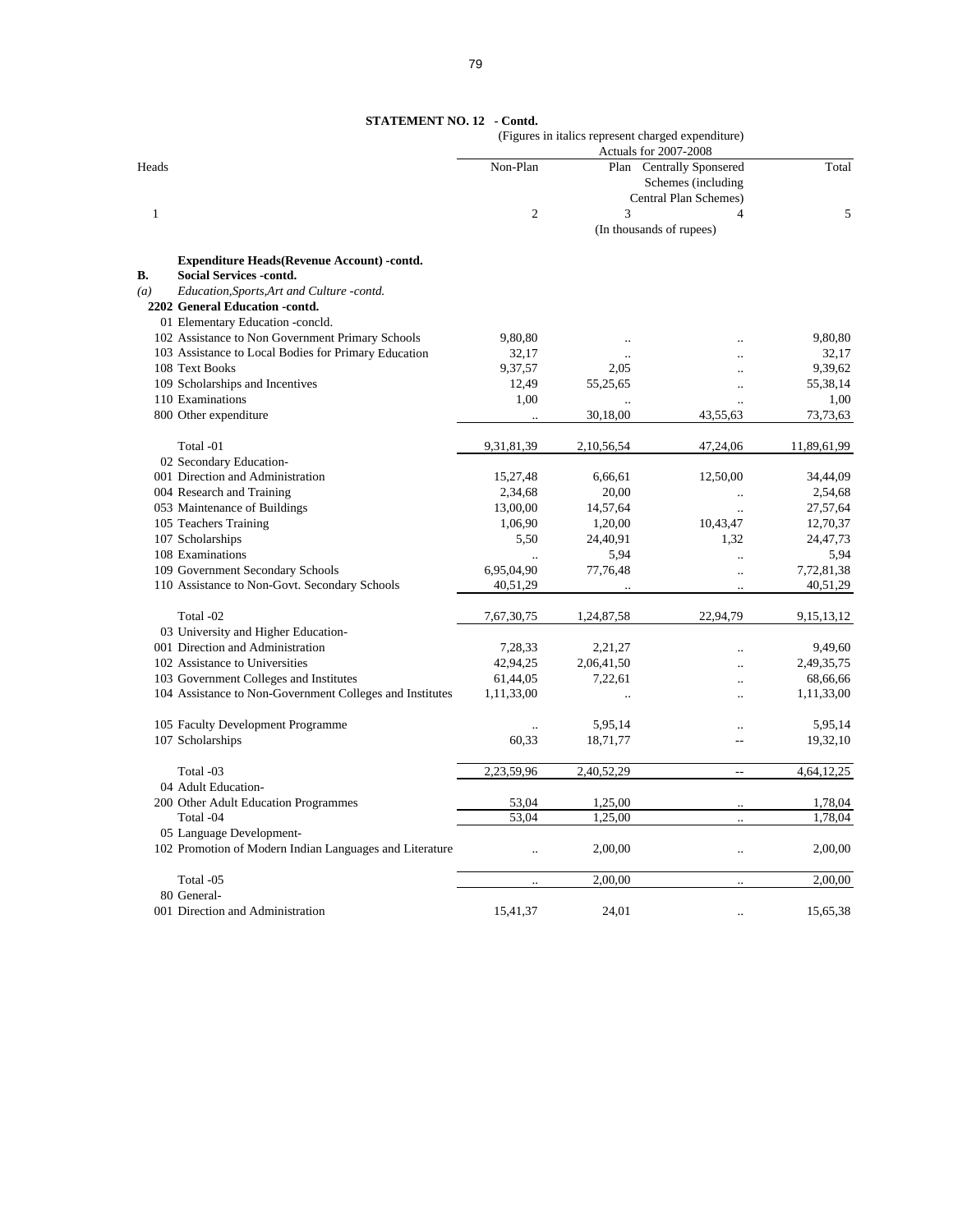|                  | (Figures in italics represent charged expenditure)       |                               |                      |                          |               |
|------------------|----------------------------------------------------------|-------------------------------|----------------------|--------------------------|---------------|
|                  |                                                          | Actuals for 2007-2008         |                      |                          |               |
| Heads            |                                                          | Non-Plan                      |                      | Plan Centrally Sponsered | Total         |
|                  |                                                          |                               |                      | Schemes (including       |               |
|                  |                                                          |                               |                      | Central Plan Schemes)    |               |
| 1                |                                                          | $\overline{c}$                | 3                    | 4                        | 5             |
|                  |                                                          |                               |                      | (In thousands of rupees) |               |
|                  |                                                          |                               |                      |                          |               |
|                  | <b>Expenditure Heads (Revenue Account) -contd.</b>       |                               |                      |                          |               |
| <b>B.</b>        | <b>Social Services -contd.</b>                           |                               |                      |                          |               |
| $\left(a\right)$ | Education, Sports, Art and Culture -contd.               |                               |                      |                          |               |
|                  | 2202 General Education -contd.                           |                               |                      |                          |               |
|                  | 01 Elementary Education -concld.                         |                               |                      |                          |               |
|                  | 102 Assistance to Non Government Primary Schools         | 9,80,80                       | $\ddotsc$            |                          | 9,80,80       |
|                  | 103 Assistance to Local Bodies for Primary Education     | 32,17                         | $\ddot{\phantom{a}}$ |                          | 32,17         |
|                  | 108 Text Books                                           | 9,37,57                       | 2,05                 |                          | 9,39,62       |
|                  | 109 Scholarships and Incentives                          | 12,49                         | 55,25,65             |                          | 55,38,14      |
|                  | 110 Examinations                                         | 1,00                          |                      |                          | 1,00          |
|                  | 800 Other expenditure                                    |                               | 30,18,00             | 43,55,63                 | 73,73,63      |
|                  |                                                          |                               |                      |                          |               |
|                  | Total -01                                                | 9,31,81,39                    | 2,10,56,54           | 47,24,06                 | 11,89,61,99   |
|                  | 02 Secondary Education-                                  |                               |                      |                          |               |
|                  | 001 Direction and Administration                         | 15,27,48                      | 6,66,61              | 12,50,00                 | 34,44,09      |
|                  | 004 Research and Training                                | 2,34,68                       | 20,00                |                          | 2,54,68       |
|                  | 053 Maintenance of Buildings                             | 13,00,00                      | 14,57,64             |                          | 27,57,64      |
|                  | 105 Teachers Training                                    | 1,06,90                       | 1,20,00              | 10,43,47                 | 12,70,37      |
|                  | 107 Scholarships                                         | 5,50                          | 24,40,91             | 1,32                     | 24,47,73      |
|                  | 108 Examinations                                         |                               | 5,94                 | $\ddot{\phantom{a}}$     | 5.94          |
|                  | 109 Government Secondary Schools                         | 6,95,04,90                    | 77,76,48             | $\ddot{\phantom{a}}$     | 7,72,81,38    |
|                  | 110 Assistance to Non-Govt. Secondary Schools            | 40,51,29                      |                      |                          | 40,51,29      |
|                  |                                                          |                               |                      |                          |               |
|                  | Total -02                                                | 7,67,30,75                    | 1,24,87,58           | 22,94,79                 | 9, 15, 13, 12 |
|                  | 03 University and Higher Education-                      |                               |                      |                          |               |
|                  | 001 Direction and Administration                         | 7,28,33                       | 2,21,27              |                          | 9,49,60       |
|                  | 102 Assistance to Universities                           | 42,94,25                      | 2,06,41,50           |                          | 2,49,35,75    |
|                  | 103 Government Colleges and Institutes                   | 61,44,05                      | 7,22,61              |                          | 68,66,66      |
|                  | 104 Assistance to Non-Government Colleges and Institutes | 1,11,33,00                    |                      |                          | 1,11,33,00    |
|                  |                                                          |                               | $\ddotsc$            | $\ddot{\phantom{a}}$     |               |
|                  | 105 Faculty Development Programme                        |                               | 5,95,14              |                          | 5,95,14       |
|                  | 107 Scholarships                                         | $\ddot{\phantom{a}}$<br>60,33 | 18,71,77             | $\ddot{\phantom{a}}$     | 19,32,10      |
|                  |                                                          |                               |                      |                          |               |
|                  |                                                          | 2,23,59,96                    |                      |                          |               |
|                  | Total -03                                                |                               | 2,40,52,29           | $\overline{\phantom{a}}$ | 4,64,12,25    |
|                  | 04 Adult Education-                                      |                               |                      |                          |               |
|                  | 200 Other Adult Education Programmes                     | 53,04                         | 1,25,00              |                          | 1,78,04       |
|                  | Total -04                                                | 53,04                         | 1,25,00              |                          | 1,78,04       |
|                  | 05 Language Development-                                 |                               |                      |                          |               |
|                  | 102 Promotion of Modern Indian Languages and Literature  | $\ddot{\phantom{a}}$          | 2,00,00              | $\ddot{\phantom{a}}$     | 2,00,00       |
|                  |                                                          |                               |                      |                          |               |
|                  | Total -05                                                |                               | 2,00,00              |                          | 2,00,00       |
|                  | 80 General-                                              |                               |                      |                          |               |
|                  | 001 Direction and Administration                         | 15,41,37                      | 24,01                | $\ddot{\phantom{a}}$     | 15,65,38      |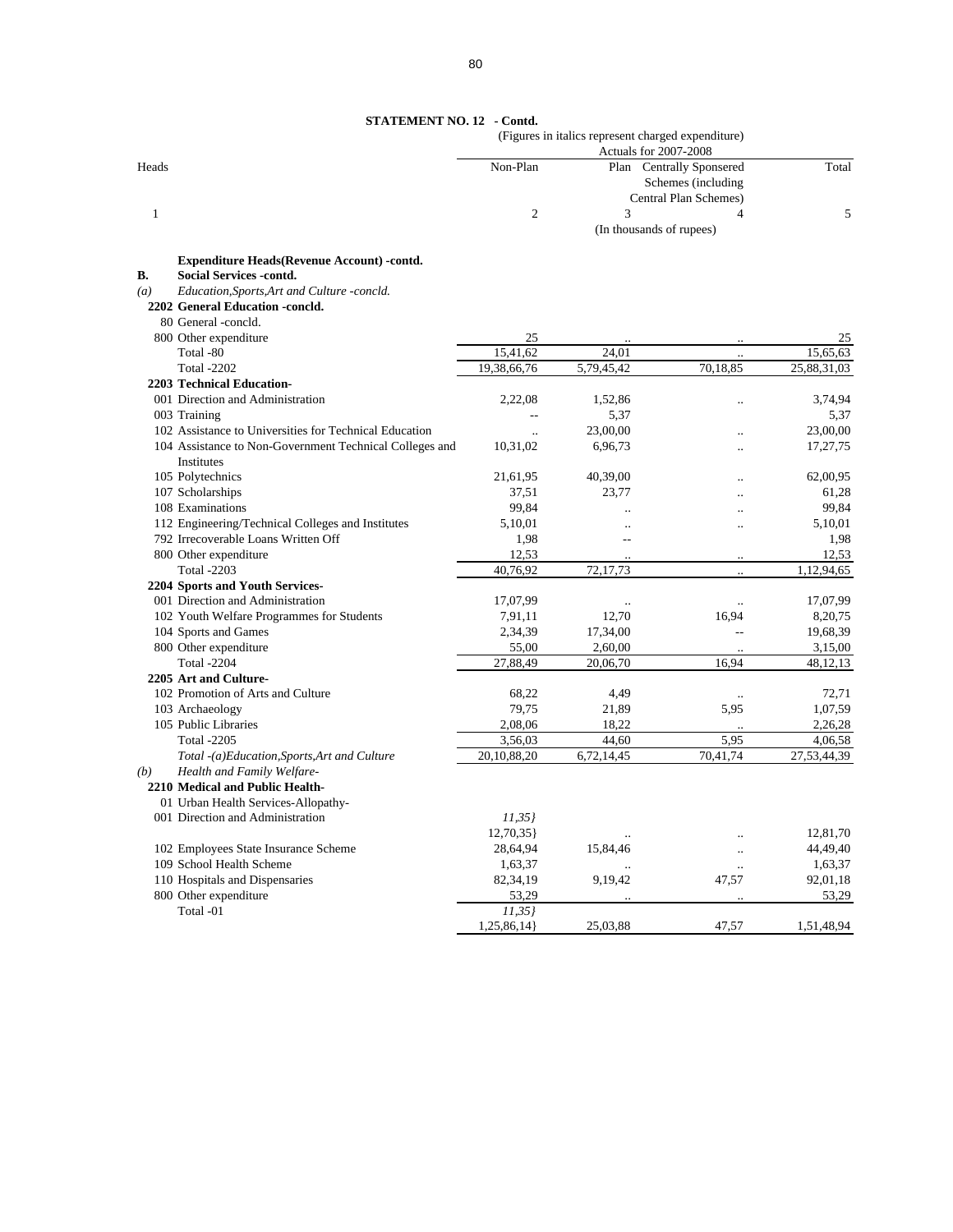|              |                                                         | (Figures in italics represent charged expenditure) |                       |                          |             |
|--------------|---------------------------------------------------------|----------------------------------------------------|-----------------------|--------------------------|-------------|
|              |                                                         |                                                    | Actuals for 2007-2008 |                          |             |
| Heads        |                                                         | Non-Plan                                           |                       | Plan Centrally Sponsered | Total       |
|              |                                                         |                                                    |                       | Schemes (including       |             |
|              |                                                         |                                                    |                       | Central Plan Schemes)    |             |
| $\mathbf{1}$ |                                                         | $\overline{2}$                                     | 3                     | $\overline{4}$           | 5           |
|              |                                                         |                                                    |                       | (In thousands of rupees) |             |
|              | Expenditure Heads(Revenue Account) -contd.              |                                                    |                       |                          |             |
| В.           | <b>Social Services -contd.</b>                          |                                                    |                       |                          |             |
| (a)          | Education, Sports, Art and Culture -concld.             |                                                    |                       |                          |             |
|              | 2202 General Education -concld.                         |                                                    |                       |                          |             |
|              | 80 General -concld.                                     |                                                    |                       |                          |             |
|              | 800 Other expenditure                                   | 25                                                 |                       |                          | 25          |
|              | Total -80                                               | 15.41.62                                           | 24.01                 |                          | 15,65,63    |
|              | <b>Total -2202</b>                                      | 19,38,66,76                                        | 5,79,45,42            | 70,18,85                 | 25,88,31,03 |
|              | <b>2203 Technical Education-</b>                        |                                                    |                       |                          |             |
|              | 001 Direction and Administration                        | 2,22,08                                            | 1,52,86               | $\ddot{\phantom{a}}$     | 3,74,94     |
|              | 003 Training                                            | $\overline{a}$                                     | 5,37                  |                          | 5,37        |
|              | 102 Assistance to Universities for Technical Education  |                                                    | 23,00,00              |                          | 23,00,00    |
|              | 104 Assistance to Non-Government Technical Colleges and | 10,31,02                                           | 6,96,73               |                          | 17,27,75    |
|              | Institutes                                              |                                                    |                       |                          |             |
|              | 105 Polytechnics                                        | 21,61,95                                           | 40,39,00              | $\ddot{\phantom{a}}$     | 62,00,95    |
|              | 107 Scholarships                                        | 37,51                                              | 23,77                 |                          | 61,28       |
|              | 108 Examinations                                        | 99,84                                              | $\ddot{\phantom{a}}$  | $\ddot{\phantom{a}}$     | 99,84       |
|              | 112 Engineering/Technical Colleges and Institutes       | 5,10,01                                            |                       |                          | 5,10,01     |
|              | 792 Irrecoverable Loans Written Off                     | 1,98                                               | $\overline{a}$        |                          | 1,98        |
|              | 800 Other expenditure                                   | 12,53                                              |                       |                          | 12,53       |
|              | <b>Total -2203</b>                                      | 40,76,92                                           | 72,17,73              |                          | 1,12,94,65  |
|              | 2204 Sports and Youth Services-                         |                                                    |                       |                          |             |
|              | 001 Direction and Administration                        | 17,07,99                                           |                       | $\ddotsc$                | 17,07,99    |
|              | 102 Youth Welfare Programmes for Students               | 7,91,11                                            | 12,70                 | 16,94                    | 8,20,75     |
|              | 104 Sports and Games                                    | 2,34,39                                            | 17,34,00              |                          | 19,68,39    |
|              | 800 Other expenditure                                   | 55,00                                              | 2,60,00               |                          | 3,15,00     |
|              | <b>Total -2204</b>                                      | 27,88,49                                           | 20,06,70              | 16,94                    | 48, 12, 13  |
|              | 2205 Art and Culture-                                   |                                                    |                       |                          |             |
|              | 102 Promotion of Arts and Culture                       | 68,22                                              | 4,49                  |                          | 72,71       |
|              | 103 Archaeology                                         | 79,75                                              | 21,89                 | 5,95                     | 1,07,59     |
|              | 105 Public Libraries                                    | 2,08,06                                            | 18,22                 |                          | 2,26,28     |
|              | <b>Total -2205</b>                                      | 3,56,03                                            | 44,60                 | 5,95                     | 4,06,58     |
|              | Total -(a)Education, Sports, Art and Culture            | 20,10,88,20                                        | 6,72,14,45            | 70,41,74                 | 27,53,44,39 |
| (b)          | Health and Family Welfare-                              |                                                    |                       |                          |             |
|              | 2210 Medical and Public Health-                         |                                                    |                       |                          |             |
|              | 01 Urban Health Services-Allopathy-                     |                                                    |                       |                          |             |
|              | 001 Direction and Administration                        | 11,35                                              |                       |                          |             |
|              |                                                         | 12,70,35                                           |                       |                          | 12,81,70    |
|              | 102 Employees State Insurance Scheme                    | 28,64,94                                           | 15,84,46              | $\ddot{\phantom{a}}$     | 44,49,40    |
|              | 109 School Health Scheme                                | 1,63,37                                            |                       | $\ddot{\phantom{a}}$     | 1,63,37     |
|              | 110 Hospitals and Dispensaries                          | 82,34,19                                           | 9,19,42               | 47,57                    | 92,01,18    |
|              | 800 Other expenditure                                   | 53,29                                              |                       |                          | 53,29       |
|              | Total -01                                               | 11,35                                              |                       |                          |             |
|              |                                                         | 1,25,86,14                                         | 25,03,88              | 47,57                    | 1,51,48,94  |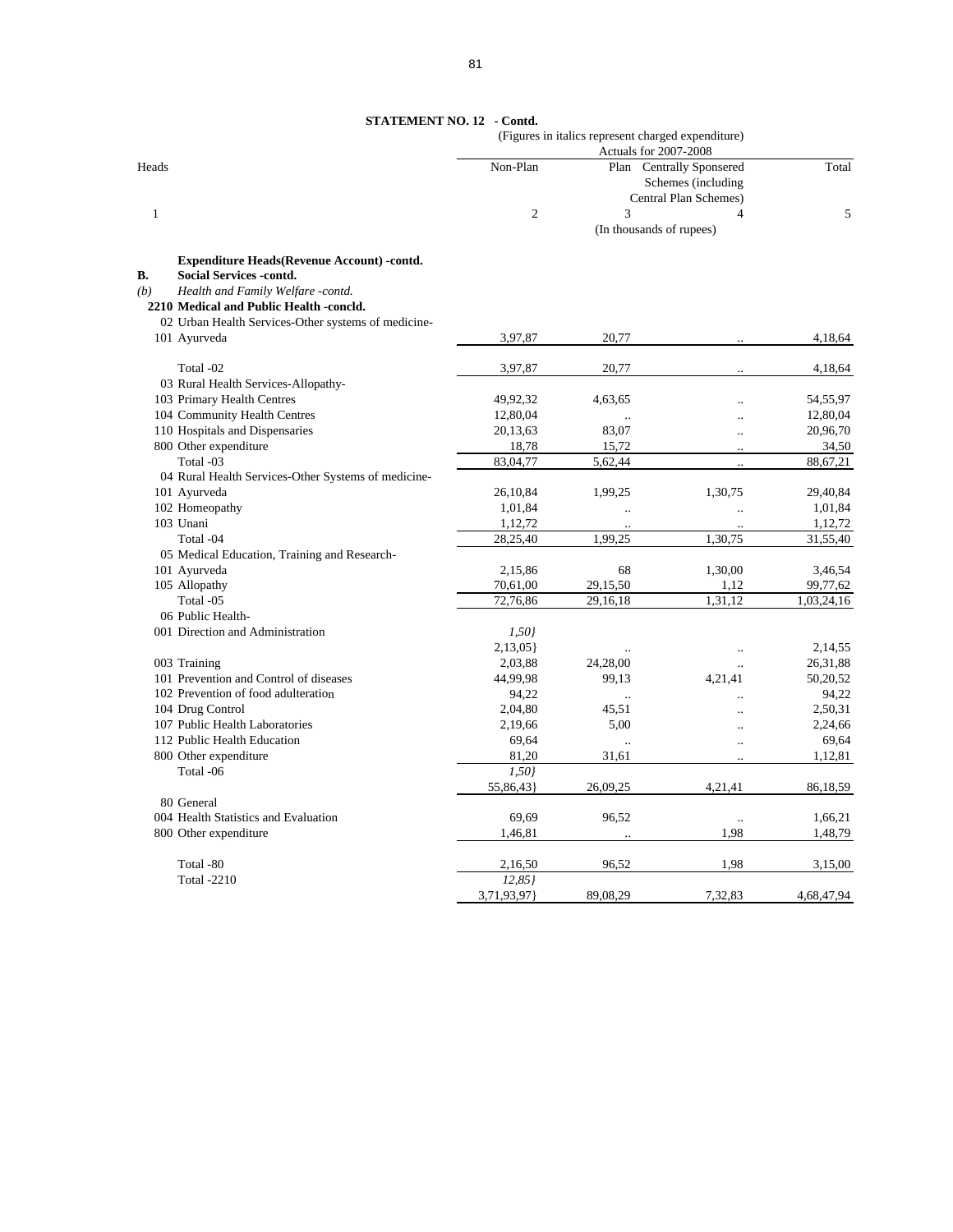| <b>STATEMENT NO. 12 - Contd.</b> |  |  |
|----------------------------------|--|--|
|----------------------------------|--|--|

|              |                                                                                      | (Figures in italics represent charged expenditure)<br>Actuals for 2007-2008 |          |                                                                         |            |
|--------------|--------------------------------------------------------------------------------------|-----------------------------------------------------------------------------|----------|-------------------------------------------------------------------------|------------|
| Heads        |                                                                                      | Non-Plan                                                                    |          | Plan Centrally Sponsered<br>Schemes (including<br>Central Plan Schemes) | Total      |
| $\mathbf{1}$ |                                                                                      | $\mathbf{2}$                                                                | 3        | $\overline{4}$                                                          | 5          |
|              |                                                                                      |                                                                             |          | (In thousands of rupees)                                                |            |
| В.           | <b>Expenditure Heads (Revenue Account) -contd.</b><br><b>Social Services -contd.</b> |                                                                             |          |                                                                         |            |
| (b)          | Health and Family Welfare -contd.                                                    |                                                                             |          |                                                                         |            |
|              | 2210 Medical and Public Health -concld.                                              |                                                                             |          |                                                                         |            |
|              | 02 Urban Health Services-Other systems of medicine-                                  |                                                                             |          |                                                                         |            |
|              | 101 Ayurveda                                                                         | 3,97,87                                                                     | 20,77    |                                                                         | 4,18,64    |
|              |                                                                                      |                                                                             |          |                                                                         |            |
|              | Total -02                                                                            | 3,97,87                                                                     | 20,77    |                                                                         | 4,18,64    |
|              | 03 Rural Health Services-Allopathy-                                                  |                                                                             |          |                                                                         |            |
|              | 103 Primary Health Centres                                                           | 49,92,32                                                                    | 4,63,65  | $\sim$                                                                  | 54,55,97   |
|              | 104 Community Health Centres                                                         | 12,80,04                                                                    |          |                                                                         | 12,80,04   |
|              | 110 Hospitals and Dispensaries                                                       | 20,13,63                                                                    | 83,07    | $\sim$                                                                  | 20,96,70   |
|              | 800 Other expenditure                                                                | 18,78                                                                       | 15,72    |                                                                         | 34,50      |
|              | Total -03                                                                            | 83,04,77                                                                    | 5,62,44  |                                                                         | 88,67,21   |
|              | 04 Rural Health Services-Other Systems of medicine-                                  |                                                                             |          |                                                                         |            |
|              | 101 Ayurveda                                                                         | 26, 10, 84                                                                  | 1,99,25  | 1,30,75                                                                 | 29,40,84   |
|              | 102 Homeopathy                                                                       | 1,01,84                                                                     |          | $\ddot{\phantom{a}}$                                                    | 1,01,84    |
|              | 103 Unani                                                                            | 1,12,72                                                                     |          |                                                                         | 1,12,72    |
|              | Total -04                                                                            | 28,25,40                                                                    | 1,99,25  | 1,30,75                                                                 | 31,55,40   |
|              | 05 Medical Education, Training and Research-                                         |                                                                             |          |                                                                         |            |
|              | 101 Ayurveda                                                                         | 2,15,86                                                                     | 68       | 1,30,00                                                                 | 3,46,54    |
|              | 105 Allopathy                                                                        | 70,61,00                                                                    | 29,15,50 | 1,12                                                                    | 99,77,62   |
|              | Total -05                                                                            | 72,76,86                                                                    | 29,16,18 | 1,31,12                                                                 | 1,03,24,16 |
|              | 06 Public Health-                                                                    |                                                                             |          |                                                                         |            |
|              | 001 Direction and Administration                                                     | 1,50                                                                        |          |                                                                         |            |
|              |                                                                                      | 2,13,05                                                                     |          |                                                                         | 2,14,55    |
|              | 003 Training                                                                         | 2,03,88                                                                     | 24,28,00 |                                                                         | 26,31,88   |
|              | 101 Prevention and Control of diseases                                               | 44,99,98                                                                    | 99,13    | 4,21,41                                                                 | 50,20,52   |
|              | 102 Prevention of food adulteration                                                  | 94,22                                                                       |          |                                                                         | 94,22      |
|              | 104 Drug Control                                                                     | 2,04,80                                                                     | 45,51    |                                                                         | 2,50,31    |
|              | 107 Public Health Laboratories                                                       | 2,19,66                                                                     | 5,00     |                                                                         | 2,24,66    |
|              | 112 Public Health Education                                                          | 69,64                                                                       |          |                                                                         | 69,64      |
|              | 800 Other expenditure                                                                | 81,20                                                                       | 31,61    |                                                                         | 1,12,81    |
|              | Total -06                                                                            | 1,50                                                                        |          |                                                                         |            |
|              |                                                                                      | 55,86,43}                                                                   | 26,09,25 | 4,21,41                                                                 | 86,18,59   |
|              | 80 General                                                                           |                                                                             |          |                                                                         |            |
|              | 004 Health Statistics and Evaluation                                                 | 69,69                                                                       | 96,52    | $\ddotsc$                                                               | 1,66,21    |
|              | 800 Other expenditure                                                                | 1,46,81                                                                     |          | 1,98                                                                    | 1,48,79    |
|              | Total -80                                                                            | 2,16,50                                                                     | 96,52    | 1,98                                                                    | 3,15,00    |
|              | <b>Total -2210</b>                                                                   | 12,85                                                                       |          |                                                                         |            |
|              |                                                                                      | 3,71,93,97}                                                                 | 89,08,29 | 7,32,83                                                                 | 4,68,47,94 |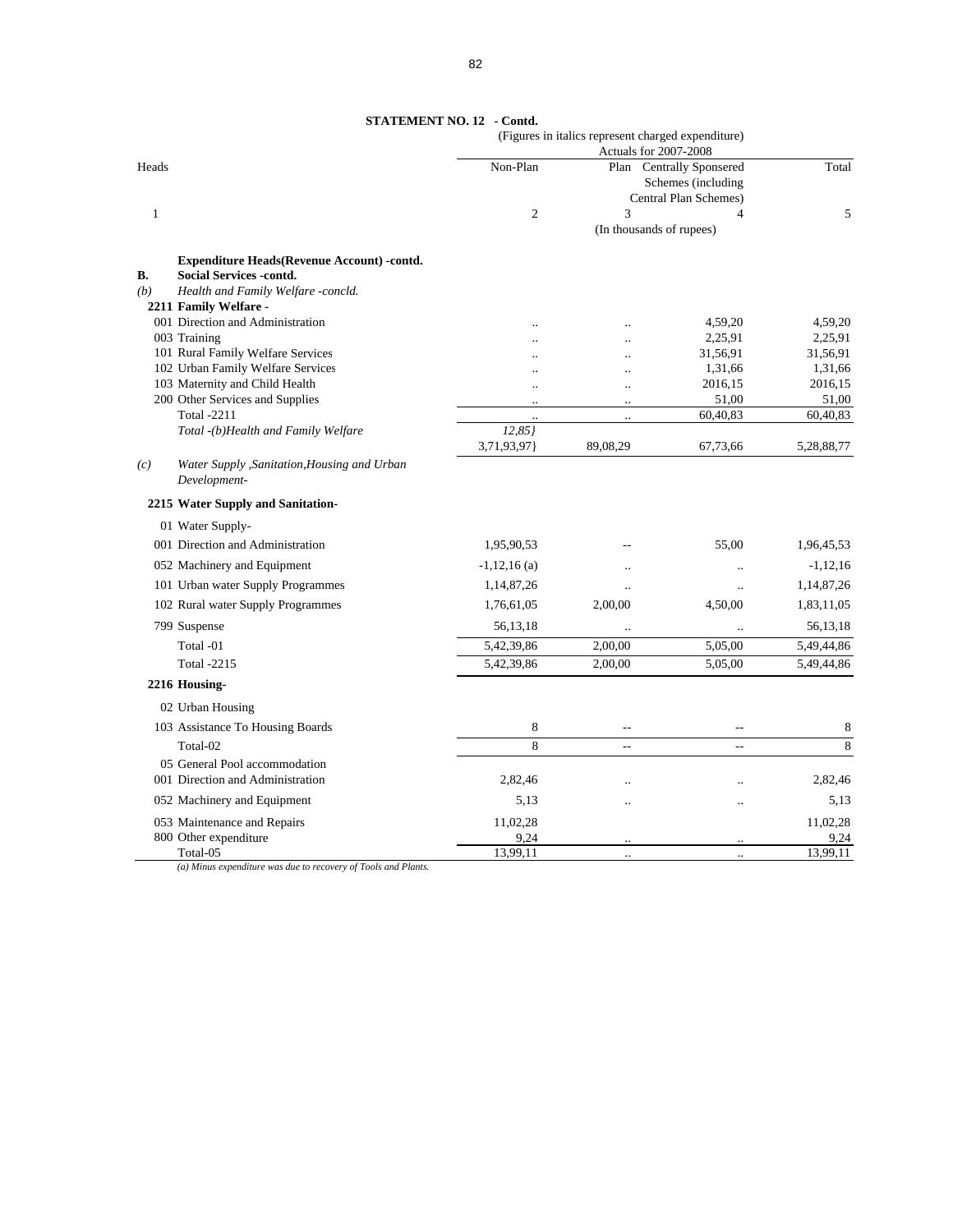|              |                                                                                                                                                     | (Figures in italics represent charged expenditure)<br>Actuals for 2007-2008 |                          |                                                |                  |
|--------------|-----------------------------------------------------------------------------------------------------------------------------------------------------|-----------------------------------------------------------------------------|--------------------------|------------------------------------------------|------------------|
| Heads        |                                                                                                                                                     | Non-Plan                                                                    |                          | Plan Centrally Sponsered<br>Schemes (including | Total            |
|              |                                                                                                                                                     |                                                                             |                          | Central Plan Schemes)                          |                  |
| $\mathbf{1}$ |                                                                                                                                                     | $\mathfrak{2}$                                                              | 3                        | $\overline{4}$                                 | 5                |
|              |                                                                                                                                                     |                                                                             | (In thousands of rupees) |                                                |                  |
| В.<br>(b)    | <b>Expenditure Heads (Revenue Account) -contd.</b><br><b>Social Services -contd.</b><br>Health and Family Welfare -concld.<br>2211 Family Welfare - |                                                                             |                          |                                                |                  |
|              | 001 Direction and Administration                                                                                                                    |                                                                             | $\ddot{\phantom{a}}$     | 4,59,20                                        | 4,59,20          |
|              | 003 Training                                                                                                                                        |                                                                             |                          | 2,25,91                                        | 2,25,91          |
|              | 101 Rural Family Welfare Services                                                                                                                   |                                                                             | $\ddot{\phantom{a}}$     | 31,56,91                                       | 31,56,91         |
|              | 102 Urban Family Welfare Services                                                                                                                   |                                                                             | $\ddot{\phantom{a}}$     | 1,31,66                                        | 1,31,66          |
|              | 103 Maternity and Child Health<br>200 Other Services and Supplies                                                                                   |                                                                             |                          | 2016,15<br>51,00                               | 2016,15<br>51,00 |
|              | <b>Total -2211</b>                                                                                                                                  | $\ddot{\phantom{a}}$                                                        | $\ddot{\phantom{a}}$     | 60,40,83                                       | 60,40,83         |
|              | Total -(b)Health and Family Welfare                                                                                                                 | 12,85<br>3,71,93,97}                                                        | 89,08,29                 | 67,73,66                                       | 5,28,88,77       |
| (c)          | Water Supply , Sanitation, Housing and Urban<br>Development-                                                                                        |                                                                             |                          |                                                |                  |
|              | 2215 Water Supply and Sanitation-                                                                                                                   |                                                                             |                          |                                                |                  |
|              | 01 Water Supply-                                                                                                                                    |                                                                             |                          |                                                |                  |
|              | 001 Direction and Administration                                                                                                                    | 1,95,90,53                                                                  |                          | 55,00                                          | 1,96,45,53       |
|              | 052 Machinery and Equipment                                                                                                                         | $-1,12,16$ (a)                                                              | $\ddot{\phantom{a}}$     |                                                | $-1,12,16$       |
|              | 101 Urban water Supply Programmes                                                                                                                   | 1,14,87,26                                                                  | $\ddot{\phantom{a}}$     | $\ddot{\phantom{a}}$                           | 1,14,87,26       |
|              | 102 Rural water Supply Programmes                                                                                                                   | 1,76,61,05                                                                  | 2,00,00                  | 4,50,00                                        | 1,83,11,05       |
|              | 799 Suspense                                                                                                                                        | 56,13,18                                                                    |                          |                                                | 56, 13, 18       |
|              | Total -01                                                                                                                                           | 5,42,39,86                                                                  | 2,00,00                  | 5,05,00                                        | 5,49,44,86       |
|              | <b>Total -2215</b>                                                                                                                                  | 5,42,39,86                                                                  | 2,00,00                  | 5,05,00                                        | 5,49,44,86       |
|              | 2216 Housing-                                                                                                                                       |                                                                             |                          |                                                |                  |
|              | 02 Urban Housing                                                                                                                                    |                                                                             |                          |                                                |                  |
|              | 103 Assistance To Housing Boards                                                                                                                    | 8                                                                           |                          |                                                | 8                |
|              | Total-02                                                                                                                                            | 8                                                                           | $\overline{a}$           | $\overline{a}$                                 | 8                |
|              | 05 General Pool accommodation<br>001 Direction and Administration                                                                                   | 2,82,46                                                                     |                          |                                                | 2,82,46          |
|              | 052 Machinery and Equipment                                                                                                                         | 5,13                                                                        |                          |                                                | 5,13             |
|              | 053 Maintenance and Repairs<br>800 Other expenditure                                                                                                | 11,02,28<br>9,24                                                            |                          |                                                | 11,02,28<br>9,24 |
|              | Total-05                                                                                                                                            | 13,99,11                                                                    | $\ddot{\phantom{a}}$     |                                                | 13,99,11         |

*(a) Minus expenditure was due to recovery of Tools and Plants.*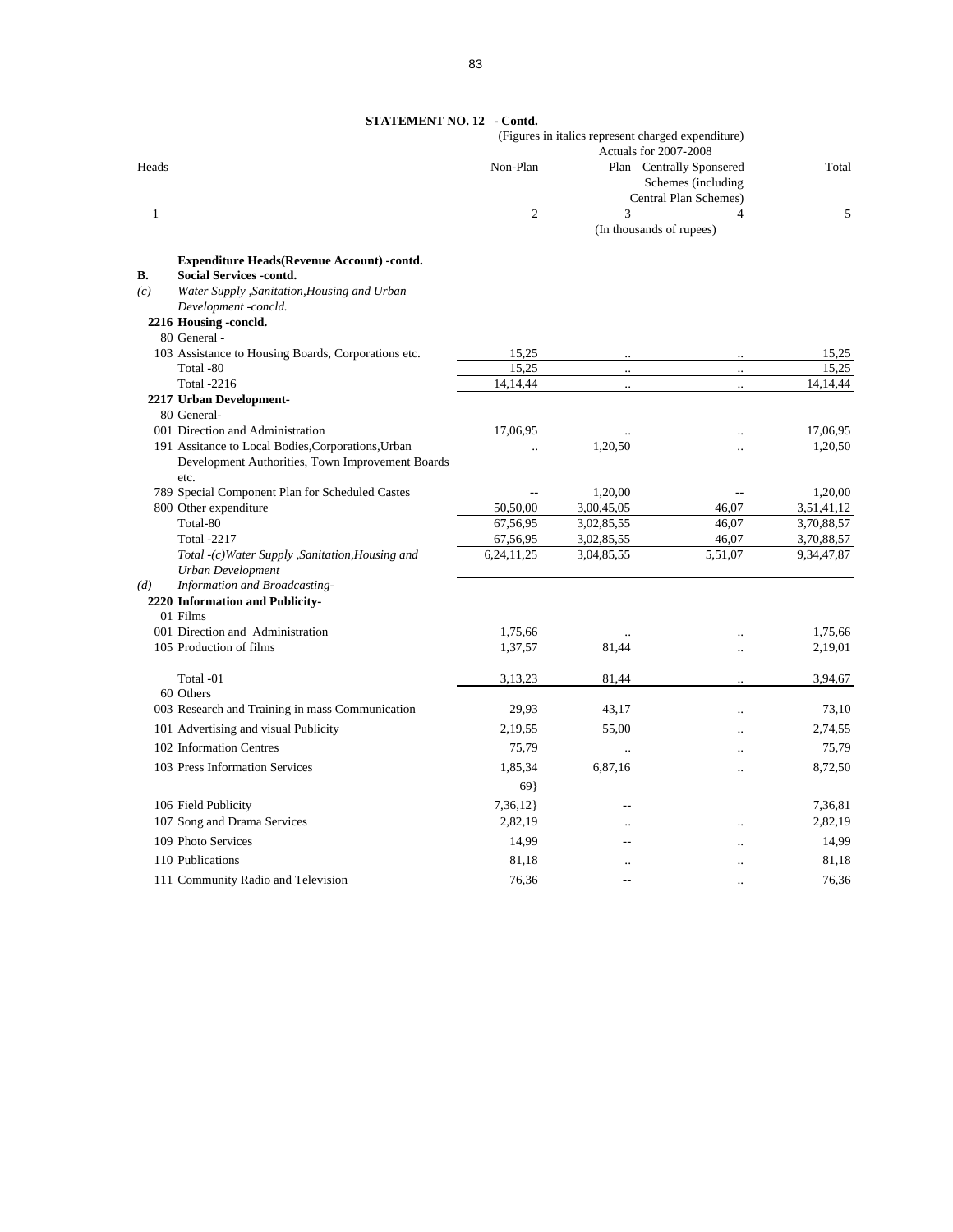|              |                                                                                                                                                                               | (Figures in italics represent charged expenditure)<br>Actuals for 2007-2008 |                |                                                                         |            |
|--------------|-------------------------------------------------------------------------------------------------------------------------------------------------------------------------------|-----------------------------------------------------------------------------|----------------|-------------------------------------------------------------------------|------------|
| Heads        |                                                                                                                                                                               | Non-Plan                                                                    |                | Plan Centrally Sponsered<br>Schemes (including<br>Central Plan Schemes) | Total      |
| $\mathbf{1}$ |                                                                                                                                                                               | $\mathfrak{2}$                                                              | 3              | 4<br>(In thousands of rupees)                                           | 5          |
|              |                                                                                                                                                                               |                                                                             |                |                                                                         |            |
| В.<br>(c)    | Expenditure Heads(Revenue Account) -contd.<br><b>Social Services -contd.</b><br>Water Supply , Sanitation, Housing and Urban<br>Development -concld.<br>2216 Housing -concld. |                                                                             |                |                                                                         |            |
|              | 80 General -                                                                                                                                                                  |                                                                             |                |                                                                         |            |
|              | 103 Assistance to Housing Boards, Corporations etc.                                                                                                                           | 15,25                                                                       |                |                                                                         | 15,25      |
|              | Total -80                                                                                                                                                                     | 15,25                                                                       | $\ddotsc$      | $\ddot{\phantom{a}}$                                                    | 15,25      |
|              | <b>Total -2216</b>                                                                                                                                                            | 14,14,44                                                                    |                |                                                                         | 14, 14, 44 |
|              | 2217 Urban Development-<br>80 General-                                                                                                                                        |                                                                             |                |                                                                         |            |
|              | 001 Direction and Administration                                                                                                                                              | 17,06,95                                                                    |                |                                                                         | 17,06,95   |
|              | 191 Assitance to Local Bodies, Corporations, Urban                                                                                                                            |                                                                             | 1,20,50        |                                                                         | 1,20,50    |
|              | Development Authorities, Town Improvement Boards<br>etc.                                                                                                                      |                                                                             |                |                                                                         |            |
|              | 789 Special Component Plan for Scheduled Castes                                                                                                                               |                                                                             | 1,20,00        |                                                                         | 1,20,00    |
|              | 800 Other expenditure                                                                                                                                                         | 50,50,00                                                                    | 3,00,45,05     | 46,07                                                                   | 3,51,41,12 |
|              | Total-80                                                                                                                                                                      | 67,56,95                                                                    | 3,02,85,55     | 46,07                                                                   | 3,70,88,57 |
|              | <b>Total -2217</b>                                                                                                                                                            | 67,56,95                                                                    | 3,02,85,55     | 46,07                                                                   | 3,70,88,57 |
|              | Total -(c)Water Supply , Sanitation, Housing and<br><b>Urban Development</b>                                                                                                  | 6,24,11,25                                                                  | 3,04,85,55     | 5,51,07                                                                 | 9,34,47,87 |
| (d)          | Information and Broadcasting-                                                                                                                                                 |                                                                             |                |                                                                         |            |
|              | 2220 Information and Publicity-<br>01 Films                                                                                                                                   |                                                                             |                |                                                                         |            |
|              | 001 Direction and Administration                                                                                                                                              | 1,75,66                                                                     |                |                                                                         | 1,75,66    |
|              | 105 Production of films                                                                                                                                                       | 1,37,57                                                                     | 81,44          |                                                                         | 2,19,01    |
|              |                                                                                                                                                                               |                                                                             |                |                                                                         |            |
|              | Total -01                                                                                                                                                                     | 3,13,23                                                                     | 81,44          |                                                                         | 3,94,67    |
|              | 60 Others                                                                                                                                                                     |                                                                             |                |                                                                         |            |
|              | 003 Research and Training in mass Communication                                                                                                                               | 29,93                                                                       | 43,17          |                                                                         | 73,10      |
|              | 101 Advertising and visual Publicity                                                                                                                                          | 2,19,55                                                                     | 55,00          | $\sim$                                                                  | 2,74,55    |
|              | 102 Information Centres                                                                                                                                                       | 75,79                                                                       |                |                                                                         | 75,79      |
|              | 103 Press Information Services                                                                                                                                                | 1,85,34                                                                     | 6,87,16        |                                                                         | 8,72,50    |
|              |                                                                                                                                                                               | 69                                                                          |                |                                                                         |            |
|              | 106 Field Publicity                                                                                                                                                           | 7,36,12                                                                     | $\overline{a}$ |                                                                         | 7,36,81    |
|              | 107 Song and Drama Services                                                                                                                                                   | 2,82,19                                                                     | $\ddotsc$      |                                                                         | 2,82,19    |
|              | 109 Photo Services                                                                                                                                                            | 14,99                                                                       | $-$            |                                                                         | 14,99      |
|              | 110 Publications                                                                                                                                                              | 81,18                                                                       | $\ddotsc$      |                                                                         | 81,18      |
|              | 111 Community Radio and Television                                                                                                                                            | 76,36                                                                       | $\sim$         |                                                                         | 76,36      |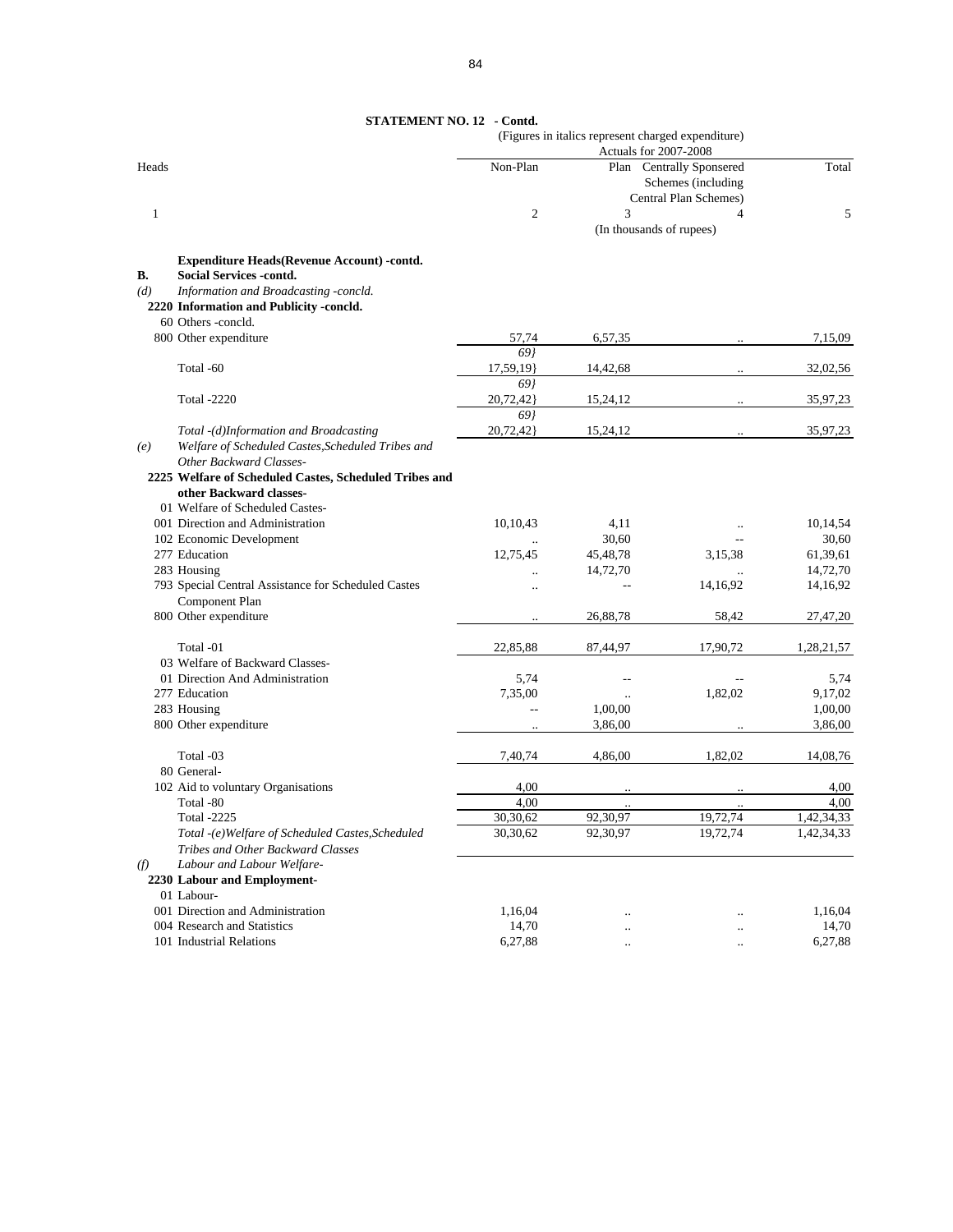| <b>STATEMENT NO. 12 - Contd.</b> |  |  |
|----------------------------------|--|--|
|----------------------------------|--|--|

|       | STATEMENT NO. 12 - COMU.                                        |                      | (Figures in italics represent charged expenditure) |                          |                  |
|-------|-----------------------------------------------------------------|----------------------|----------------------------------------------------|--------------------------|------------------|
|       |                                                                 |                      | Actuals for 2007-2008                              |                          |                  |
| Heads |                                                                 | Non-Plan             |                                                    | Plan Centrally Sponsered | Total            |
|       |                                                                 |                      |                                                    | Schemes (including       |                  |
|       |                                                                 |                      |                                                    | Central Plan Schemes)    |                  |
| 1     |                                                                 | $\overline{c}$       | 3                                                  | 4                        | 5                |
|       |                                                                 |                      | (In thousands of rupees)                           |                          |                  |
|       |                                                                 |                      |                                                    |                          |                  |
|       | Expenditure Heads(Revenue Account) -contd.                      |                      |                                                    |                          |                  |
| В.    | <b>Social Services -contd.</b>                                  |                      |                                                    |                          |                  |
| (d)   | Information and Broadcasting -concld.                           |                      |                                                    |                          |                  |
|       | 2220 Information and Publicity -concld.                         |                      |                                                    |                          |                  |
|       | 60 Others -concld.                                              |                      |                                                    |                          |                  |
|       | 800 Other expenditure                                           | 57,74                | 6,57,35                                            |                          | 7,15,09          |
|       |                                                                 | 691                  |                                                    |                          |                  |
|       | Total -60                                                       | 17,59,19             | 14,42,68                                           |                          | 32,02,56         |
|       |                                                                 | 69}                  |                                                    |                          |                  |
|       | <b>Total -2220</b>                                              | 20,72,42}            | 15,24,12                                           |                          | 35,97,23         |
|       |                                                                 | 691                  |                                                    |                          |                  |
|       | Total -(d)Information and Broadcasting                          | 20,72,42}            | 15,24,12                                           |                          | 35,97,23         |
| (e)   | Welfare of Scheduled Castes, Scheduled Tribes and               |                      |                                                    |                          |                  |
|       | Other Backward Classes-                                         |                      |                                                    |                          |                  |
|       | 2225 Welfare of Scheduled Castes, Scheduled Tribes and          |                      |                                                    |                          |                  |
|       | other Backward classes-                                         |                      |                                                    |                          |                  |
|       | 01 Welfare of Scheduled Castes-                                 |                      |                                                    |                          |                  |
|       | 001 Direction and Administration                                | 10,10,43             | 4,11                                               |                          | 10,14,54         |
|       | 102 Economic Development                                        |                      | 30,60                                              |                          | 30,60            |
|       | 277 Education                                                   | 12,75,45             | 45, 48, 78                                         |                          | 61,39,61         |
|       | 283 Housing                                                     |                      |                                                    | 3,15,38                  | 14,72,70         |
|       |                                                                 | $\ddot{\phantom{a}}$ | 14,72,70                                           |                          |                  |
|       | 793 Special Central Assistance for Scheduled Castes             |                      |                                                    | 14,16,92                 | 14,16,92         |
|       | Component Plan<br>800 Other expenditure                         |                      | 26,88,78                                           | 58,42                    |                  |
|       |                                                                 |                      |                                                    |                          | 27,47,20         |
|       | Total -01                                                       | 22,85,88             | 87,44,97                                           | 17,90,72                 | 1,28,21,57       |
|       | 03 Welfare of Backward Classes-                                 |                      |                                                    |                          |                  |
|       | 01 Direction And Administration                                 | 5,74                 |                                                    |                          | 5,74             |
|       | 277 Education                                                   | 7,35,00              |                                                    |                          | 9,17,02          |
|       | 283 Housing                                                     |                      | 1,00,00                                            | 1,82,02                  | 1,00,00          |
|       | 800 Other expenditure                                           |                      | 3,86,00                                            |                          | 3,86,00          |
|       |                                                                 |                      |                                                    |                          |                  |
|       | Total -03                                                       | 7,40,74              | 4,86,00                                            | 1,82,02                  | 14,08,76         |
|       | 80 General-                                                     |                      |                                                    |                          |                  |
|       | 102 Aid to voluntary Organisations                              | 4,00                 |                                                    |                          | 4,00             |
|       | Total -80                                                       | 4,00                 |                                                    |                          | 4,00             |
|       | Total -2225                                                     | 30,30,62             | 92,30,97                                           | 19,72,74                 | 1,42,34,33       |
|       | Total -(e)Welfare of Scheduled Castes, Scheduled                | 30,30,62             | 92,30,97                                           | 19,72,74                 | 1,42,34,33       |
|       | Tribes and Other Backward Classes                               |                      |                                                    |                          |                  |
|       | Labour and Labour Welfare-                                      |                      |                                                    |                          |                  |
| (f)   |                                                                 |                      |                                                    |                          |                  |
|       | 2230 Labour and Employment-<br>01 Labour-                       |                      |                                                    |                          |                  |
|       |                                                                 |                      |                                                    |                          |                  |
|       | 001 Direction and Administration<br>004 Research and Statistics | 1,16,04<br>14,70     |                                                    |                          | 1,16,04<br>14,70 |
|       | 101 Industrial Relations                                        | 6,27,88              |                                                    |                          | 6,27,88          |
|       |                                                                 |                      |                                                    |                          |                  |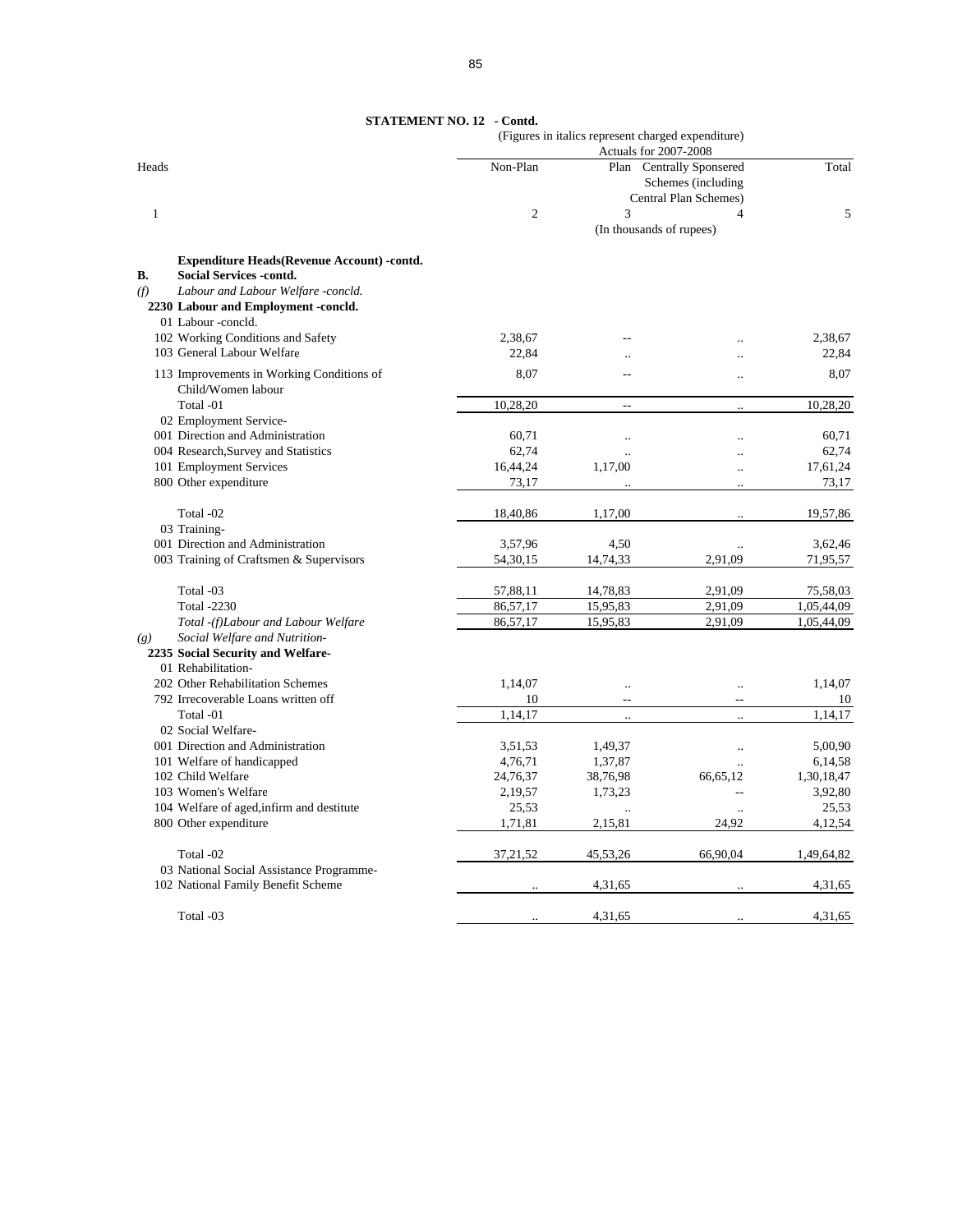|              |                                                    | (Figures in italics represent charged expenditure) |                      |                          |            |
|--------------|----------------------------------------------------|----------------------------------------------------|----------------------|--------------------------|------------|
|              |                                                    |                                                    |                      | Actuals for 2007-2008    |            |
| Heads        |                                                    | Non-Plan                                           |                      | Plan Centrally Sponsered | Total      |
|              |                                                    |                                                    |                      | Schemes (including       |            |
|              |                                                    |                                                    |                      | Central Plan Schemes)    |            |
| $\mathbf{1}$ |                                                    | $\overline{c}$                                     | 3                    | 4                        | 5          |
|              |                                                    |                                                    |                      | (In thousands of rupees) |            |
|              |                                                    |                                                    |                      |                          |            |
|              | <b>Expenditure Heads (Revenue Account) -contd.</b> |                                                    |                      |                          |            |
| В.           | <b>Social Services -contd.</b>                     |                                                    |                      |                          |            |
| (f)          | Labour and Labour Welfare -concld.                 |                                                    |                      |                          |            |
|              | 2230 Labour and Employment -concld.                |                                                    |                      |                          |            |
|              | 01 Labour -concld.                                 |                                                    |                      |                          |            |
|              | 102 Working Conditions and Safety                  | 2,38,67                                            |                      |                          | 2,38,67    |
|              | 103 General Labour Welfare                         | 22,84                                              |                      |                          | 22,84      |
|              | 113 Improvements in Working Conditions of          | 8,07                                               |                      |                          | 8,07       |
|              | Child/Women labour                                 |                                                    |                      |                          |            |
|              | Total -01                                          | 10,28,20                                           | $\overline{a}$       |                          | 10,28,20   |
|              | 02 Employment Service-                             |                                                    |                      |                          |            |
|              | 001 Direction and Administration                   | 60,71                                              | $\ddot{\phantom{a}}$ |                          | 60,71      |
|              | 004 Research, Survey and Statistics                | 62,74                                              |                      |                          | 62,74      |
|              | 101 Employment Services                            | 16,44,24                                           | 1,17,00              |                          | 17,61,24   |
|              | 800 Other expenditure                              | 73,17                                              |                      |                          | 73,17      |
|              |                                                    |                                                    |                      |                          |            |
|              | Total -02                                          | 18,40,86                                           | 1,17,00              |                          | 19,57,86   |
|              | 03 Training-                                       |                                                    |                      |                          |            |
|              | 001 Direction and Administration                   | 3,57,96                                            | 4,50                 |                          | 3,62,46    |
|              | 003 Training of Craftsmen & Supervisors            | 54, 30, 15                                         | 14,74,33             | 2,91,09                  | 71,95,57   |
|              |                                                    |                                                    |                      |                          |            |
|              | Total -03                                          | 57,88,11                                           | 14,78,83             | 2,91,09                  | 75,58,03   |
|              | <b>Total -2230</b>                                 | 86,57,17                                           | 15,95,83             | 2,91,09                  | 1,05,44,09 |
|              | Total -(f)Labour and Labour Welfare                | 86,57,17                                           | 15,95,83             | 2,91,09                  | 1,05,44,09 |
| (g)          | Social Welfare and Nutrition-                      |                                                    |                      |                          |            |
|              | 2235 Social Security and Welfare-                  |                                                    |                      |                          |            |
|              | 01 Rehabilitation-                                 |                                                    |                      |                          |            |
|              | 202 Other Rehabilitation Schemes                   | 1,14,07                                            |                      |                          | 1,14,07    |
|              | 792 Irrecoverable Loans written off                | 10                                                 | <br>Щ,               | $\ddot{\phantom{a}}$     | 10         |
|              | Total -01                                          | 1,14,17                                            |                      |                          | 1,14,17    |
|              | 02 Social Welfare-                                 |                                                    | $\ddotsc$            | $\ddotsc$                |            |
|              | 001 Direction and Administration                   | 3,51,53                                            | 1,49,37              |                          | 5,00,90    |
|              | 101 Welfare of handicapped                         | 4,76,71                                            | 1,37,87              | $\ddot{\phantom{a}}$     | 6,14,58    |
|              | 102 Child Welfare                                  |                                                    |                      |                          |            |
|              |                                                    | 24,76,37                                           | 38,76,98             | 66,65,12                 | 1,30,18,47 |
|              | 103 Women's Welfare                                | 2,19,57                                            | 1,73,23              |                          | 3,92,80    |
|              | 104 Welfare of aged, infirm and destitute          | 25,53                                              | Ω,                   |                          | 25,53      |
|              | 800 Other expenditure                              | 1,71,81                                            | 2,15,81              | 24.92                    | 4,12,54    |
|              |                                                    |                                                    |                      |                          |            |
|              | Total -02                                          | 37, 21, 52                                         | 45,53,26             | 66,90,04                 | 1,49,64,82 |
|              | 03 National Social Assistance Programme-           |                                                    |                      |                          |            |
|              | 102 National Family Benefit Scheme                 |                                                    | 4,31,65              |                          | 4,31,65    |
|              | Total -03                                          |                                                    | 4,31,65              |                          | 4,31,65    |
|              |                                                    |                                                    |                      |                          |            |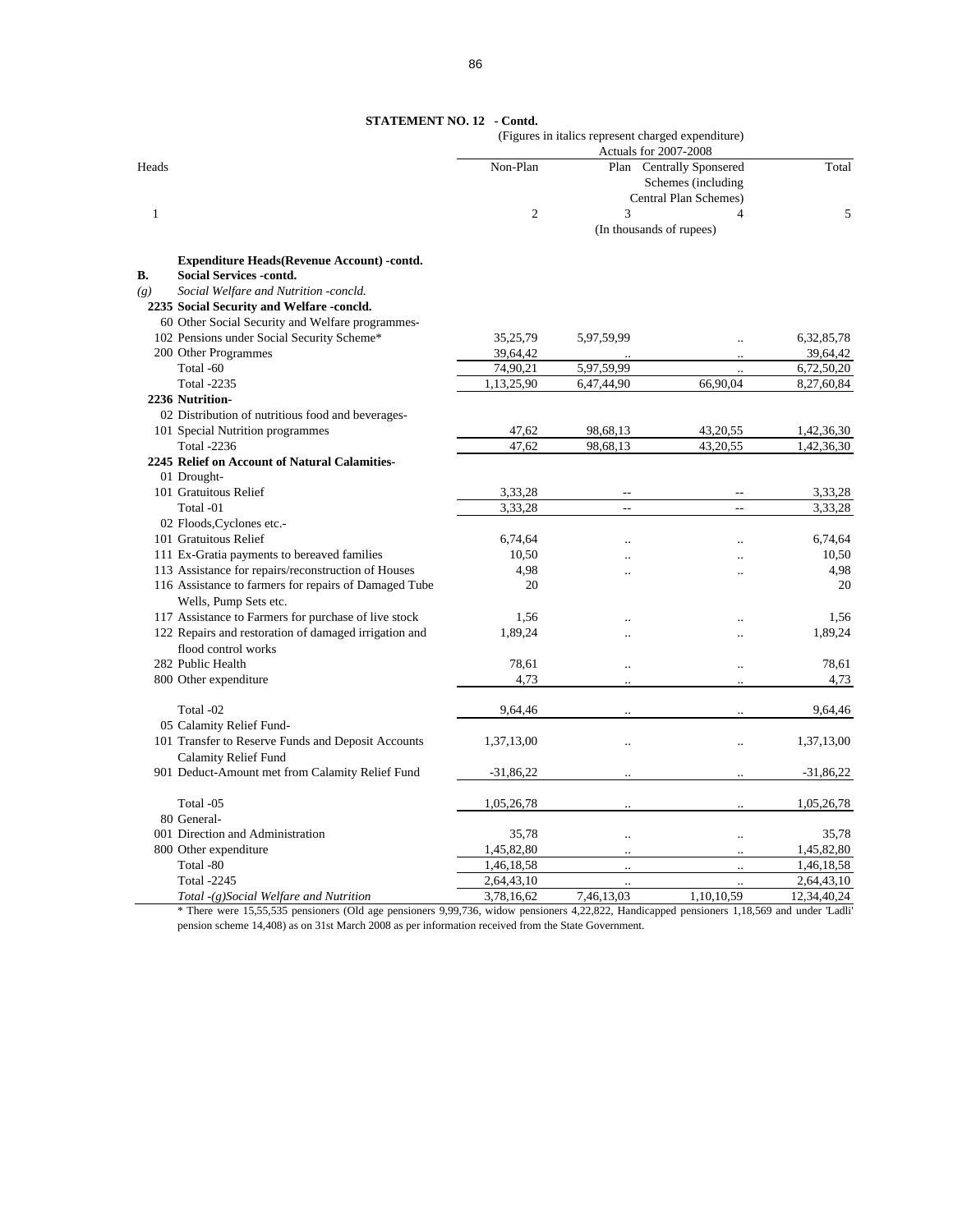# **STATEMENT NO. 12 - Contd.**<br>(Figures in italic)

|              | 1 ENIER 1 RV. 14                                                               |                | (Figures in italics represent charged expenditure) |                            |             |
|--------------|--------------------------------------------------------------------------------|----------------|----------------------------------------------------|----------------------------|-------------|
|              |                                                                                |                | Actuals for 2007-2008                              |                            |             |
| Heads        |                                                                                | Non-Plan       | Plan                                               | <b>Centrally Sponsered</b> | Total       |
|              |                                                                                |                |                                                    | Schemes (including         |             |
|              |                                                                                |                |                                                    | Central Plan Schemes)      |             |
| $\mathbf{1}$ |                                                                                | $\mathfrak{2}$ | 3                                                  | $\overline{4}$             | 5           |
|              |                                                                                |                | (In thousands of rupees)                           |                            |             |
|              | <b>Expenditure Heads (Revenue Account) -contd.</b>                             |                |                                                    |                            |             |
| В.           | <b>Social Services -contd.</b>                                                 |                |                                                    |                            |             |
| (g)          | Social Welfare and Nutrition -concld.                                          |                |                                                    |                            |             |
|              | 2235 Social Security and Welfare -concld.                                      |                |                                                    |                            |             |
|              | 60 Other Social Security and Welfare programmes-                               |                |                                                    |                            |             |
|              | 102 Pensions under Social Security Scheme*                                     | 35,25,79       | 5,97,59,99                                         |                            | 6,32,85,78  |
|              | 200 Other Programmes                                                           | 39,64,42       |                                                    |                            | 39,64,42    |
|              | Total -60                                                                      | 74,90,21       | 5,97,59,99                                         |                            | 6,72,50,20  |
|              | <b>Total -2235</b>                                                             | 1,13,25,90     | 6,47,44,90                                         | 66,90,04                   | 8,27,60,84  |
|              | 2236 Nutrition-                                                                |                |                                                    |                            |             |
|              | 02 Distribution of nutritious food and beverages-                              |                |                                                    |                            |             |
|              | 101 Special Nutrition programmes                                               | 47,62          | 98,68,13                                           | 43, 20, 55                 | 1,42,36,30  |
|              | <b>Total -2236</b>                                                             | 47,62          | 98,68,13                                           | 43,20,55                   | 1,42,36,30  |
|              | 2245 Relief on Account of Natural Calamities-                                  |                |                                                    |                            |             |
|              | 01 Drought-                                                                    |                |                                                    |                            |             |
|              | 101 Gratuitous Relief                                                          | 3,33,28        |                                                    |                            | 3,33,28     |
|              | Total -01                                                                      | 3,33,28        | $\sim$                                             | $\sim$                     | 3,33,28     |
|              |                                                                                |                |                                                    |                            |             |
|              | 02 Floods, Cyclones etc.-<br>101 Gratuitous Relief                             | 6,74,64        |                                                    |                            | 6,74,64     |
|              |                                                                                |                |                                                    |                            | 10,50       |
|              | 111 Ex-Gratia payments to bereaved families                                    | 10,50          |                                                    |                            |             |
|              | 113 Assistance for repairs/reconstruction of Houses                            | 4,98           |                                                    |                            | 4,98        |
|              | 116 Assistance to farmers for repairs of Damaged Tube<br>Wells, Pump Sets etc. | 20             |                                                    |                            | 20          |
|              | 117 Assistance to Farmers for purchase of live stock                           | 1,56           |                                                    |                            | 1,56        |
|              | 122 Repairs and restoration of damaged irrigation and<br>flood control works   | 1,89,24        |                                                    |                            | 1,89,24     |
|              | 282 Public Health                                                              | 78,61          |                                                    |                            | 78,61       |
|              | 800 Other expenditure                                                          | 4,73           |                                                    |                            | 4,73        |
|              |                                                                                |                |                                                    |                            |             |
|              | Total -02                                                                      | 9,64,46        |                                                    |                            | 9,64,46     |
|              | 05 Calamity Relief Fund-                                                       |                |                                                    |                            |             |
|              | 101 Transfer to Reserve Funds and Deposit Accounts                             | 1,37,13,00     |                                                    |                            | 1,37,13,00  |
|              | <b>Calamity Relief Fund</b>                                                    |                |                                                    |                            |             |
|              | 901 Deduct-Amount met from Calamity Relief Fund                                | $-31,86,22$    |                                                    |                            | $-31,86,22$ |
|              | Total -05                                                                      |                |                                                    |                            |             |
|              |                                                                                | 1,05,26,78     | $\ddot{\phantom{a}}$                               |                            | 1,05,26,78  |
|              | 80 General-                                                                    |                |                                                    |                            |             |
|              | 001 Direction and Administration                                               | 35,78          | $\ddot{\phantom{a}}$                               |                            | 35,78       |
|              | 800 Other expenditure                                                          | 1,45,82,80     |                                                    |                            | 1,45,82,80  |
|              | Total -80                                                                      | 1,46,18,58     | $\ddot{\phantom{1}}$                               | $\ddotsc$                  | 1,46,18,58  |
|              | <b>Total -2245</b>                                                             | 2,64,43,10     |                                                    |                            | 2,64,43,10  |
|              | Total -(g)Social Welfare and Nutrition                                         | 3,78,16,62     | 7,46,13,03                                         | 1,10,10,59                 | 12,34,40,24 |

\* There were 15,55,535 pensioners (Old age pensioners 9,99,736, widow pensioners 4,22,822, Handicapped pensioners 1,18,569 and under 'Ladli' pension scheme 14,408) as on 31st March 2008 as per information received from the State Government.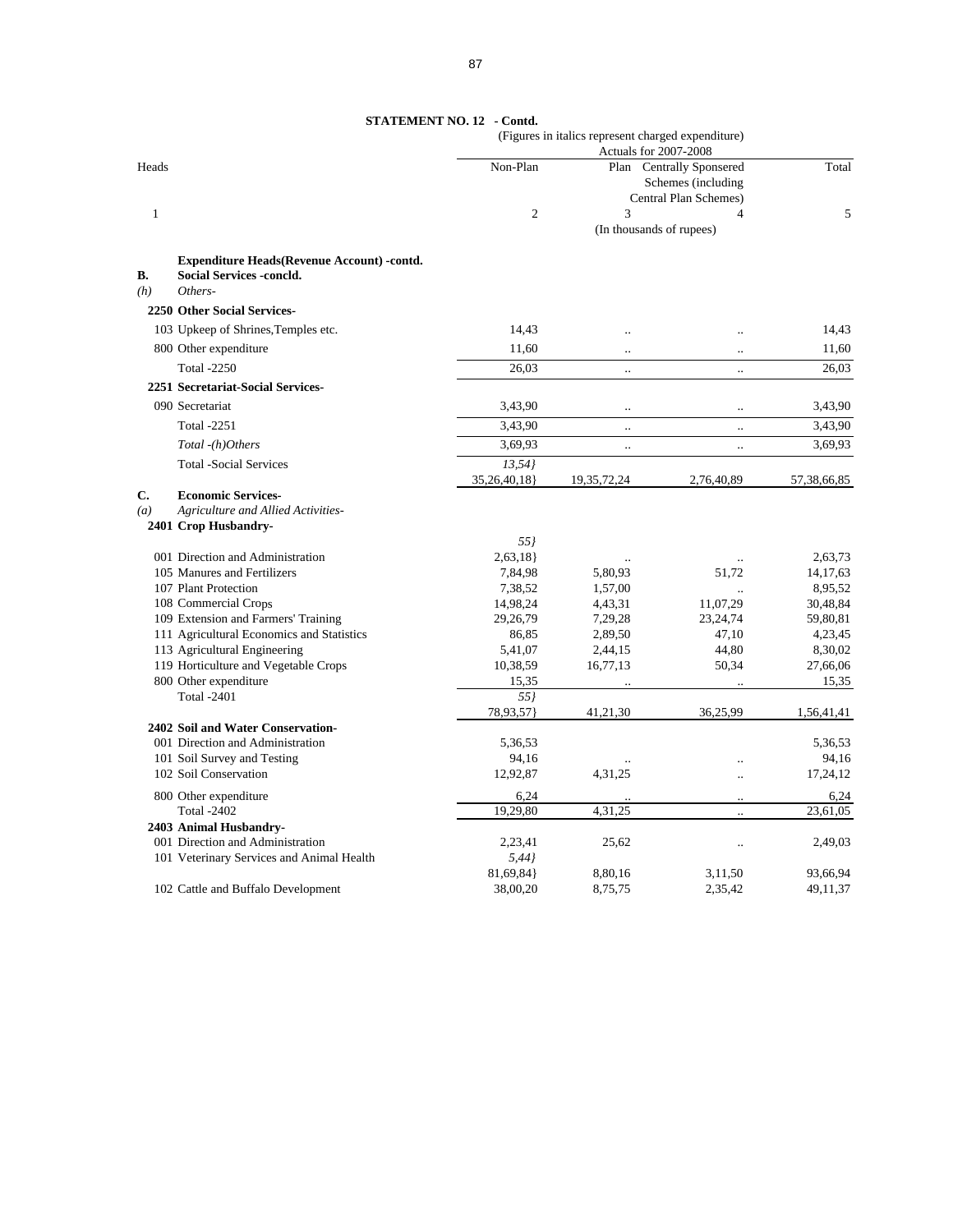|       |                                            | (Figures in italics represent charged expenditure) |                      |                                                   |             |
|-------|--------------------------------------------|----------------------------------------------------|----------------------|---------------------------------------------------|-------------|
| Heads |                                            | Non-Plan                                           |                      | Actuals for 2007-2008<br>Plan Centrally Sponsered | Total       |
|       |                                            |                                                    |                      | Schemes (including                                |             |
|       |                                            |                                                    |                      | Central Plan Schemes)                             |             |
| 1     |                                            | $\overline{c}$                                     | 3                    | $\overline{4}$                                    | 5           |
|       |                                            |                                                    |                      | (In thousands of rupees)                          |             |
|       | Expenditure Heads(Revenue Account) -contd. |                                                    |                      |                                                   |             |
| В.    | <b>Social Services -concld.</b>            |                                                    |                      |                                                   |             |
| (h)   | Others-                                    |                                                    |                      |                                                   |             |
|       | 2250 Other Social Services-                |                                                    |                      |                                                   |             |
|       | 103 Upkeep of Shrines, Temples etc.        | 14,43                                              | $\ddot{\phantom{a}}$ | $\ddot{\phantom{a}}$                              | 14,43       |
|       | 800 Other expenditure                      | 11,60                                              | $\ddot{\phantom{a}}$ | $\ddotsc$                                         | 11,60       |
|       | <b>Total -2250</b>                         | 26,03                                              | $\ddotsc$            | $\ddot{\phantom{a}}$                              | 26,03       |
|       | 2251 Secretariat-Social Services-          |                                                    |                      |                                                   |             |
|       | 090 Secretariat                            | 3,43,90                                            | $\ddot{\phantom{a}}$ | $\ddot{\phantom{a}}$                              | 3,43,90     |
|       | <b>Total -2251</b>                         | 3,43,90                                            |                      |                                                   | 3,43,90     |
|       | Total -(h)Others                           | 3,69,93                                            | $\ddotsc$            | $\ddotsc$                                         | 3,69,93     |
|       |                                            |                                                    | $\ddotsc$            | $\ddot{\phantom{a}}$                              |             |
|       | <b>Total -Social Services</b>              | 13,541<br>35,26,40,18}                             | 19, 35, 72, 24       | 2,76,40,89                                        | 57,38,66,85 |
| C.    | <b>Economic Services-</b>                  |                                                    |                      |                                                   |             |
| (a)   | <b>Agriculture and Allied Activities-</b>  |                                                    |                      |                                                   |             |
|       | 2401 Crop Husbandry-                       |                                                    |                      |                                                   |             |
|       |                                            | 55                                                 |                      |                                                   |             |
|       | 001 Direction and Administration           | 2,63,18                                            |                      |                                                   | 2,63,73     |
|       | 105 Manures and Fertilizers                | 7,84,98                                            | 5,80,93              | 51,72                                             | 14,17,63    |
|       | 107 Plant Protection                       | 7,38,52                                            | 1,57,00              | $\ddot{\phantom{a}}$                              | 8,95,52     |
|       | 108 Commercial Crops                       | 14,98,24                                           | 4,43,31              | 11,07,29                                          | 30,48,84    |
|       | 109 Extension and Farmers' Training        | 29,26,79                                           | 7,29,28              | 23, 24, 74                                        | 59,80,81    |
|       | 111 Agricultural Economics and Statistics  | 86,85                                              | 2,89,50              | 47,10                                             | 4,23,45     |
|       | 113 Agricultural Engineering               | 5,41,07                                            | 2,44,15              | 44,80                                             | 8,30,02     |
|       | 119 Horticulture and Vegetable Crops       | 10,38,59                                           | 16,77,13             | 50,34                                             | 27,66,06    |
|       | 800 Other expenditure                      | 15,35                                              |                      |                                                   | 15,35       |
|       | <b>Total -2401</b>                         | 551                                                |                      |                                                   |             |
|       |                                            | 78,93,57}                                          | 41,21,30             | 36,25,99                                          | 1,56,41,41  |
|       | 2402 Soil and Water Conservation-          |                                                    |                      |                                                   |             |
|       | 001 Direction and Administration           | 5,36,53                                            |                      |                                                   | 5,36,53     |
|       | 101 Soil Survey and Testing                | 94,16                                              |                      |                                                   | 94,16       |
|       | 102 Soil Conservation                      | 12,92,87                                           | 4,31,25              |                                                   | 17,24,12    |
|       | 800 Other expenditure                      | 6,24                                               |                      |                                                   | 6.24        |
|       | <b>Total -2402</b>                         | 19,29,80                                           | 4,31,25              | $\ddotsc$                                         | 23,61,05    |
|       | 2403 Animal Husbandry-                     |                                                    |                      |                                                   |             |
|       | 001 Direction and Administration           | 2,23,41                                            | 25,62                | $\ddotsc$                                         | 2,49,03     |
|       | 101 Veterinary Services and Animal Health  | 5,44                                               |                      |                                                   |             |
|       |                                            | 81,69,84}                                          | 8,80,16              | 3,11,50                                           | 93,66,94    |
|       | 102 Cattle and Buffalo Development         | 38,00,20                                           | 8,75,75              | 2,35,42                                           | 49,11,37    |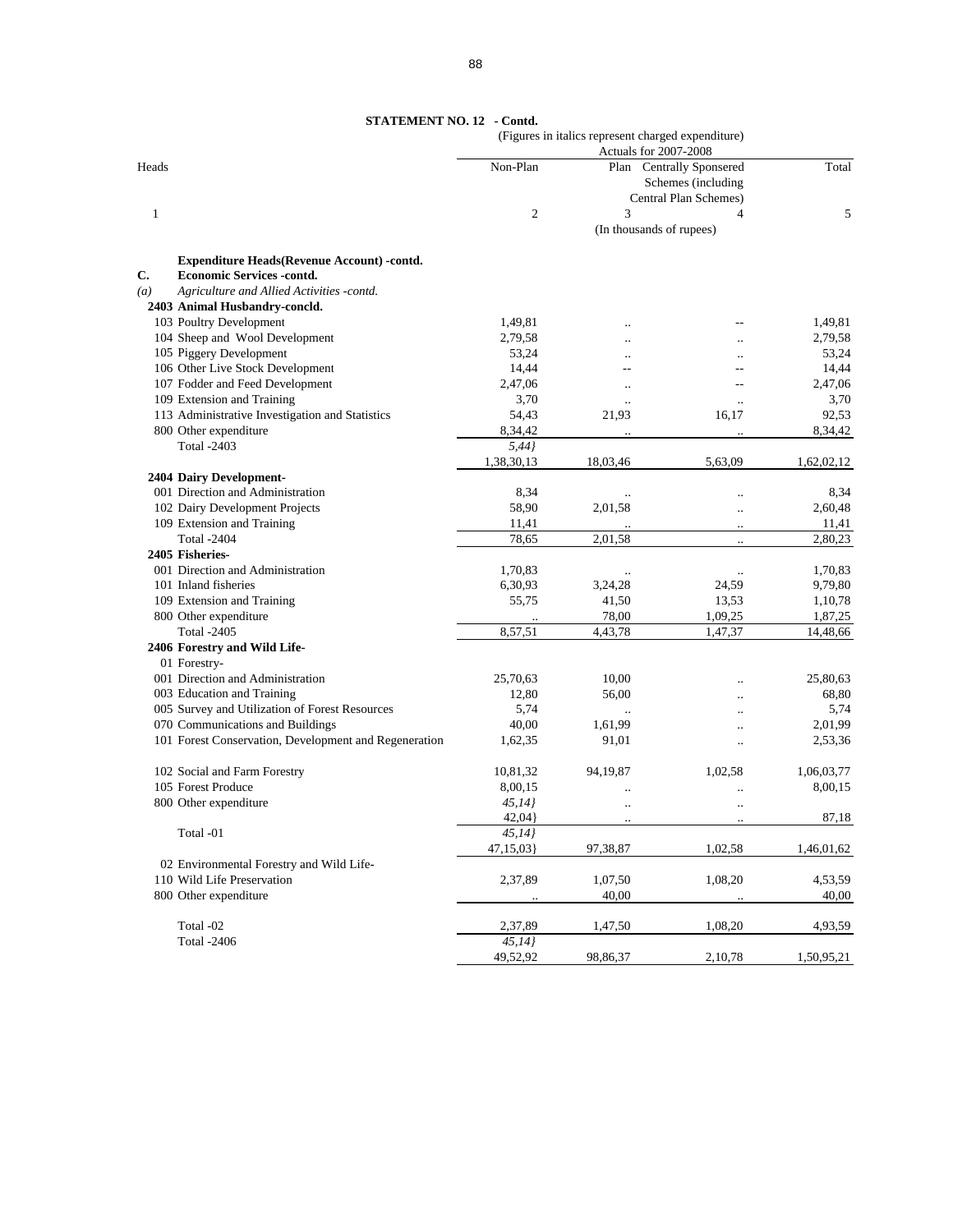|                  |                                                       | (Figures in italics represent charged expenditure)<br>Actuals for 2007-2008 |                                                |                       |                  |
|------------------|-------------------------------------------------------|-----------------------------------------------------------------------------|------------------------------------------------|-----------------------|------------------|
| Heads            | Non-Plan                                              |                                                                             | Plan Centrally Sponsered<br>Schemes (including | Total                 |                  |
|                  |                                                       |                                                                             |                                                | Central Plan Schemes) |                  |
| $\mathbf{1}$     |                                                       | $\overline{c}$                                                              | 3                                              | 4                     | 5                |
|                  |                                                       |                                                                             | (In thousands of rupees)                       |                       |                  |
|                  | <b>Expenditure Heads (Revenue Account) -contd.</b>    |                                                                             |                                                |                       |                  |
| C.               | <b>Economic Services -contd.</b>                      |                                                                             |                                                |                       |                  |
| $\left(a\right)$ | Agriculture and Allied Activities -contd.             |                                                                             |                                                |                       |                  |
|                  | 2403 Animal Husbandry-concld.                         |                                                                             |                                                |                       |                  |
|                  | 103 Poultry Development                               | 1,49,81                                                                     |                                                |                       | 1,49,81          |
|                  | 104 Sheep and Wool Development                        | 2,79,58                                                                     |                                                |                       | 2,79,58          |
|                  | 105 Piggery Development                               | 53,24                                                                       |                                                |                       | 53,24            |
|                  | 106 Other Live Stock Development                      | 14,44                                                                       | $-$                                            |                       | 14,44            |
|                  | 107 Fodder and Feed Development                       | 2,47,06                                                                     |                                                | $-$                   | 2,47,06          |
|                  | 109 Extension and Training                            | 3,70                                                                        | $\ddot{\phantom{a}}$<br>                       |                       | 3,70             |
|                  | 113 Administrative Investigation and Statistics       | 54,43                                                                       | 21,93                                          | 16,17                 | 92,53            |
|                  | 800 Other expenditure                                 | 8,34,42                                                                     |                                                |                       | 8,34,42          |
|                  | <b>Total -2403</b>                                    | 5,44                                                                        |                                                |                       |                  |
|                  |                                                       | 1,38,30,13                                                                  | 18,03,46                                       | 5,63,09               | 1,62,02,12       |
|                  | 2404 Dairy Development-                               |                                                                             |                                                |                       |                  |
|                  | 001 Direction and Administration                      | 8,34                                                                        |                                                |                       | 8,34             |
|                  | 102 Dairy Development Projects                        | 58,90                                                                       | 2,01,58                                        |                       | 2,60,48          |
|                  | 109 Extension and Training                            | 11,41                                                                       |                                                | $\ddot{\phantom{a}}$  |                  |
|                  | <b>Total -2404</b>                                    | 78,65                                                                       | 2,01,58                                        |                       | 11,41<br>2,80,23 |
|                  | 2405 Fisheries-                                       |                                                                             |                                                | $\ddot{\phantom{a}}$  |                  |
|                  | 001 Direction and Administration                      | 1,70,83                                                                     |                                                |                       |                  |
|                  |                                                       |                                                                             |                                                |                       | 1,70,83          |
|                  | 101 Inland fisheries                                  | 6,30,93                                                                     | 3,24,28                                        | 24,59                 | 9,79,80          |
|                  | 109 Extension and Training                            | 55,75                                                                       | 41,50                                          | 13,53                 | 1,10,78          |
|                  | 800 Other expenditure                                 |                                                                             | 78,00                                          | 1,09,25               | 1,87,25          |
|                  | <b>Total -2405</b>                                    | 8,57,51                                                                     | 4,43,78                                        | 1,47,37               | 14,48,66         |
|                  | 2406 Forestry and Wild Life-                          |                                                                             |                                                |                       |                  |
|                  | 01 Forestry-                                          |                                                                             |                                                |                       |                  |
|                  | 001 Direction and Administration                      | 25,70,63                                                                    | 10,00                                          |                       | 25,80,63         |
|                  | 003 Education and Training                            | 12,80                                                                       | 56,00                                          |                       | 68,80            |
|                  | 005 Survey and Utilization of Forest Resources        | 5,74                                                                        | $\ddotsc$                                      | $\ddot{\phantom{a}}$  | 5,74             |
|                  | 070 Communications and Buildings                      | 40,00                                                                       | 1,61,99                                        | $\ddot{\phantom{a}}$  | 2,01,99          |
|                  | 101 Forest Conservation, Development and Regeneration | 1,62,35                                                                     | 91,01                                          | $\ddot{\phantom{a}}$  | 2,53,36          |
|                  | 102 Social and Farm Forestry                          | 10,81,32                                                                    | 94,19,87                                       | 1,02,58               | 1,06,03,77       |
|                  | 105 Forest Produce                                    | 8,00,15                                                                     |                                                |                       | 8,00,15          |
|                  | 800 Other expenditure                                 | 45,14}                                                                      | $\ddot{\phantom{a}}$                           | $\ddot{\phantom{a}}$  |                  |
|                  |                                                       | 42,04                                                                       | $\ddot{\phantom{a}}$                           |                       | 87,18            |
|                  | Total -01                                             | 45,14                                                                       |                                                |                       |                  |
|                  |                                                       | 47,15,03}                                                                   | 97,38,87                                       | 1,02,58               | 1,46,01,62       |
|                  | 02 Environmental Forestry and Wild Life-              |                                                                             |                                                |                       |                  |
|                  | 110 Wild Life Preservation                            | 2,37,89                                                                     | 1,07,50                                        | 1,08,20               | 4,53,59          |
|                  | 800 Other expenditure                                 |                                                                             | 40,00                                          |                       | 40,00            |
|                  |                                                       | $\ldots$                                                                    |                                                |                       |                  |
|                  | Total -02                                             | 2,37,89                                                                     | 1,47,50                                        | 1,08,20               | 4,93,59          |
|                  | <b>Total -2406</b>                                    | 45,14                                                                       |                                                |                       |                  |
|                  |                                                       | 49,52,92                                                                    | 98,86,37                                       | 2,10,78               | 1,50,95,21       |
|                  |                                                       |                                                                             |                                                |                       |                  |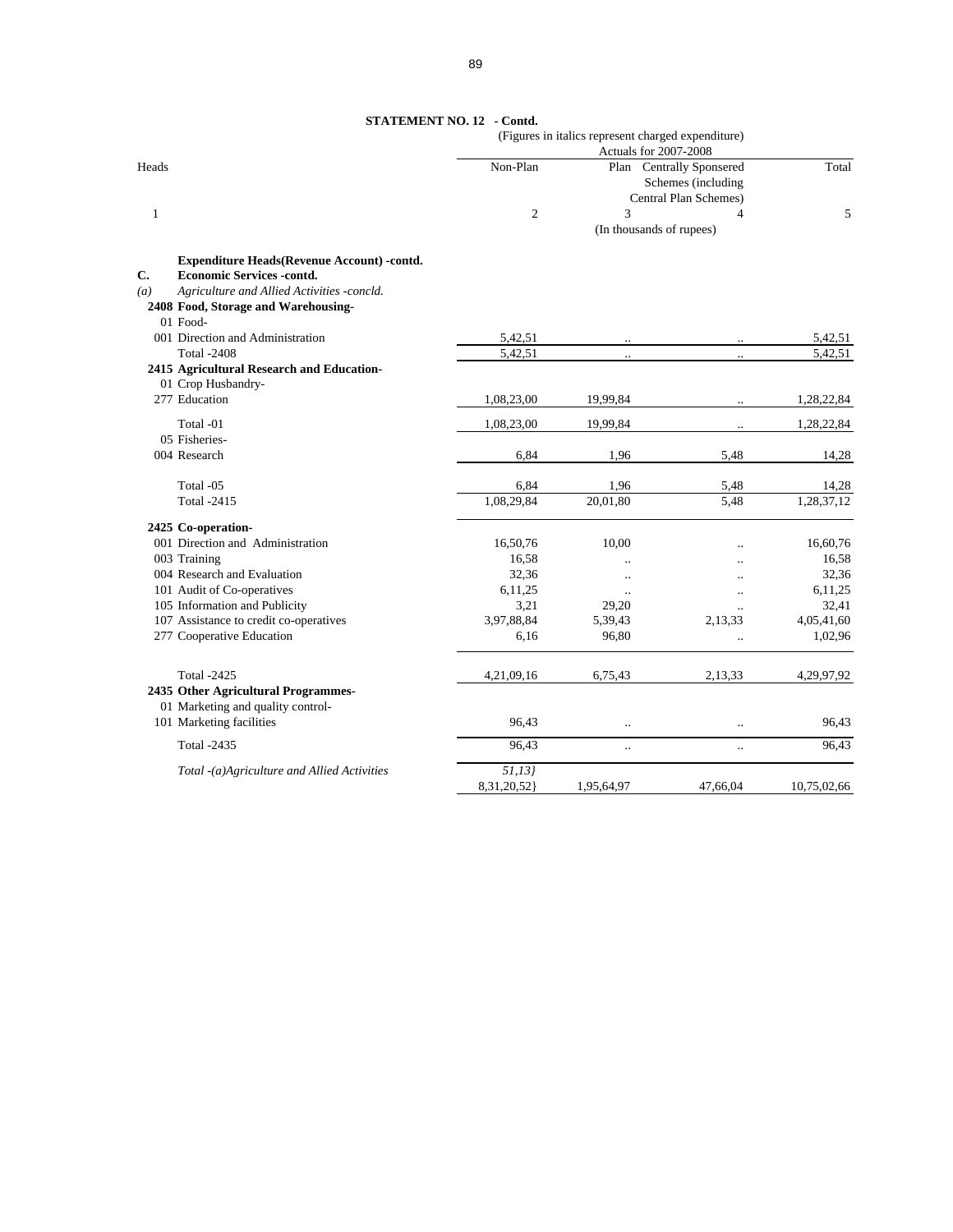|              |                                                    | (Figures in italics represent charged expenditure) |                          |                          |             |  |
|--------------|----------------------------------------------------|----------------------------------------------------|--------------------------|--------------------------|-------------|--|
|              |                                                    | Actuals for 2007-2008                              |                          |                          |             |  |
| Heads        |                                                    | Non-Plan                                           |                          | Plan Centrally Sponsered | Total       |  |
|              |                                                    |                                                    |                          | Schemes (including       |             |  |
|              |                                                    |                                                    |                          | Central Plan Schemes)    |             |  |
| $\mathbf{1}$ |                                                    | $\mathfrak{2}$                                     | 3                        | 4                        | 5           |  |
|              |                                                    |                                                    | (In thousands of rupees) |                          |             |  |
|              | <b>Expenditure Heads (Revenue Account) -contd.</b> |                                                    |                          |                          |             |  |
| C.           | <b>Economic Services -contd.</b>                   |                                                    |                          |                          |             |  |
| (a)          | Agriculture and Allied Activities -concld.         |                                                    |                          |                          |             |  |
|              | 2408 Food, Storage and Warehousing-                |                                                    |                          |                          |             |  |
|              | 01 Food-                                           |                                                    |                          |                          |             |  |
|              | 001 Direction and Administration                   | 5,42,51                                            |                          |                          | 5,42,51     |  |
|              | <b>Total -2408</b>                                 | 5,42,51                                            | $\ddot{\phantom{a}}$     |                          | 5,42,51     |  |
|              | 2415 Agricultural Research and Education-          |                                                    |                          |                          |             |  |
|              | 01 Crop Husbandry-                                 |                                                    |                          |                          |             |  |
|              | 277 Education                                      | 1,08,23,00                                         | 19,99,84                 |                          | 1,28,22,84  |  |
|              | Total -01                                          | 1,08,23,00                                         | 19,99,84                 |                          | 1,28,22,84  |  |
|              | 05 Fisheries-                                      |                                                    |                          |                          |             |  |
|              | 004 Research                                       | 6,84                                               | 1,96                     | 5,48                     | 14,28       |  |
|              | Total -05                                          | 6,84                                               | 1,96                     | 5,48                     | 14,28       |  |
|              | <b>Total -2415</b>                                 | 1,08,29,84                                         | 20,01,80                 | 5.48                     | 1,28,37,12  |  |
|              | 2425 Co-operation-                                 |                                                    |                          |                          |             |  |
|              | 001 Direction and Administration                   | 16,50,76                                           | 10.00                    |                          | 16,60,76    |  |
|              | 003 Training                                       | 16,58                                              |                          |                          | 16,58       |  |
|              | 004 Research and Evaluation                        | 32,36                                              | $\ddotsc$                |                          | 32,36       |  |
|              | 101 Audit of Co-operatives                         | 6,11,25                                            | $\ddot{\phantom{a}}$     |                          | 6,11,25     |  |
|              | 105 Information and Publicity                      | 3,21                                               | 29,20                    |                          | 32,41       |  |
|              | 107 Assistance to credit co-operatives             | 3,97,88,84                                         | 5,39,43                  | 2,13,33                  | 4,05,41,60  |  |
|              | 277 Cooperative Education                          | 6,16                                               | 96,80                    |                          | 1,02,96     |  |
|              |                                                    |                                                    |                          |                          |             |  |
|              | <b>Total -2425</b>                                 | 4,21,09,16                                         | 6,75,43                  | 2,13,33                  | 4,29,97,92  |  |
|              | 2435 Other Agricultural Programmes-                |                                                    |                          |                          |             |  |
|              | 01 Marketing and quality control-                  |                                                    |                          |                          |             |  |
|              | 101 Marketing facilities                           | 96,43                                              | $\ddot{\phantom{a}}$     | $\ddot{\phantom{a}}$     | 96,43       |  |
|              | <b>Total -2435</b>                                 | 96,43                                              | $\ddotsc$                | $\ddotsc$                | 96,43       |  |
|              | Total -(a)Agriculture and Allied Activities        | 51, 13                                             |                          |                          |             |  |
|              |                                                    | 8,31,20,52}                                        | 1,95,64,97               | 47,66,04                 | 10,75,02,66 |  |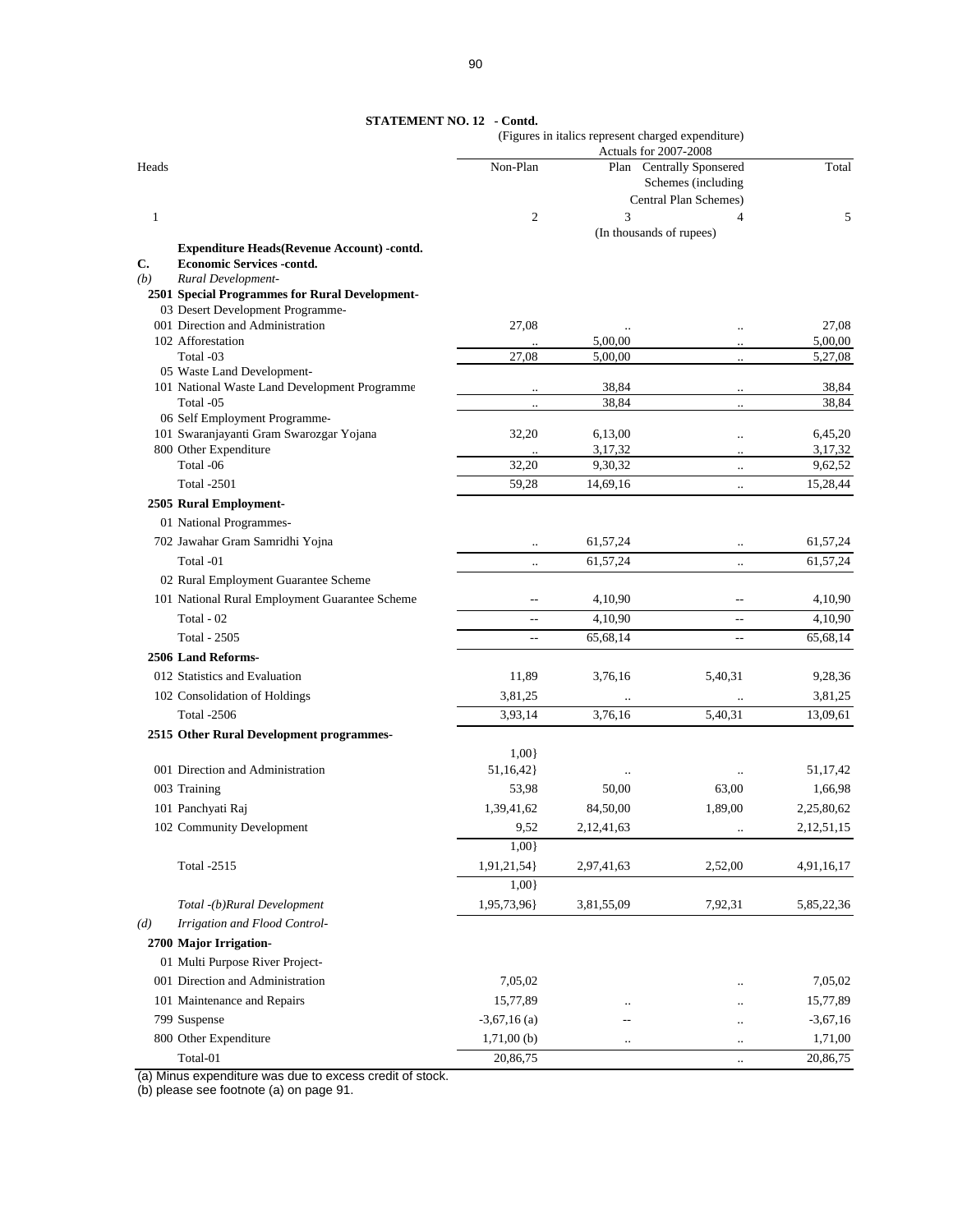|              |                                                                                | STATEMENT NO. 12 - COMU. |                    | (Figures in italics represent charged expenditure)<br>Actuals for 2007-2008 |                    |
|--------------|--------------------------------------------------------------------------------|--------------------------|--------------------|-----------------------------------------------------------------------------|--------------------|
|              |                                                                                |                          |                    |                                                                             |                    |
| Heads        |                                                                                | Non-Plan                 |                    | Plan Centrally Sponsered<br>Schemes (including                              | Total              |
|              |                                                                                |                          |                    | Central Plan Schemes)                                                       |                    |
| $\mathbf{1}$ |                                                                                | $\mathfrak{2}$           | 3                  | $\overline{4}$                                                              | 5                  |
|              |                                                                                |                          |                    | (In thousands of rupees)                                                    |                    |
| C.           | Expenditure Heads(Revenue Account) -contd.<br><b>Economic Services -contd.</b> |                          |                    |                                                                             |                    |
| (b)          | <b>Rural Development-</b>                                                      |                          |                    |                                                                             |                    |
|              | 2501 Special Programmes for Rural Development-                                 |                          |                    |                                                                             |                    |
|              | 03 Desert Development Programme-                                               |                          |                    |                                                                             |                    |
|              | 001 Direction and Administration                                               | 27,08                    |                    |                                                                             | 27,08              |
|              | 102 Afforestation<br>Total -03                                                 | 27,08                    | 5,00,00<br>5,00,00 |                                                                             | 5,00,00<br>5,27,08 |
|              | 05 Waste Land Development-                                                     |                          |                    |                                                                             |                    |
|              | 101 National Waste Land Development Programme                                  |                          | 38,84              | $\ddot{\phantom{a}}$                                                        | 38,84              |
|              | Total -05                                                                      |                          | 38,84              |                                                                             | 38,84              |
|              | 06 Self Employment Programme-                                                  |                          |                    |                                                                             |                    |
|              | 101 Swaranjayanti Gram Swarozgar Yojana<br>800 Other Expenditure               | 32,20                    | 6,13,00            |                                                                             | 6,45,20            |
|              | Total -06                                                                      | 32,20                    | 3,17,32<br>9.30.32 | $\ddotsc$                                                                   | 3,17,32<br>9,62,52 |
|              | <b>Total -2501</b>                                                             | 59,28                    | 14,69,16           | $\ddot{\phantom{a}}$                                                        | 15,28,44           |
|              | 2505 Rural Employment-                                                         |                          |                    |                                                                             |                    |
|              | 01 National Programmes-                                                        |                          |                    |                                                                             |                    |
|              | 702 Jawahar Gram Samridhi Yojna                                                |                          |                    |                                                                             |                    |
|              | Total -01                                                                      | $\cdot$ .                | 61,57,24           | $\ddot{\phantom{0}}$                                                        | 61,57,24           |
|              |                                                                                | $\ldots$                 | 61,57,24           | $\ldots$                                                                    | 61, 57, 24         |
|              | 02 Rural Employment Guarantee Scheme                                           |                          |                    |                                                                             |                    |
|              | 101 National Rural Employment Guarantee Scheme                                 | $\overline{\phantom{m}}$ | 4,10,90            | $\overline{a}$                                                              | 4,10,90            |
|              | Total - 02                                                                     | $\overline{\phantom{m}}$ | 4,10,90            | $\overline{\phantom{a}}$                                                    | 4,10,90            |
|              | Total - 2505                                                                   | $\overline{\phantom{a}}$ | 65,68,14           | $\overline{\phantom{a}}$                                                    | 65,68,14           |
|              | 2506 Land Reforms-                                                             |                          |                    |                                                                             |                    |
|              | 012 Statistics and Evaluation                                                  | 11,89                    | 3,76,16            | 5,40,31                                                                     | 9,28,36            |
|              | 102 Consolidation of Holdings                                                  | 3,81,25                  |                    | $\ldots$                                                                    | 3,81,25            |
|              | <b>Total -2506</b>                                                             | 3,93,14                  | 3,76,16            | 5,40,31                                                                     | 13,09,61           |
|              | 2515 Other Rural Development programmes-                                       |                          |                    |                                                                             |                    |
|              |                                                                                | 1,00                     |                    |                                                                             |                    |
|              | 001 Direction and Administration                                               | 51,16,42}                |                    | $\ddot{\phantom{a}}$                                                        | 51, 17, 42         |
|              | 003 Training                                                                   | 53,98                    | 50,00              | 63,00                                                                       | 1,66,98            |
|              | 101 Panchyati Raj                                                              | 1,39,41,62               | 84,50,00           | 1,89,00                                                                     | 2,25,80,62         |
|              | 102 Community Development                                                      | 9,52                     | 2,12,41,63         | $\cdot$ .                                                                   | 2, 12, 51, 15      |
|              |                                                                                | $1,00$ }                 |                    |                                                                             |                    |
|              | Total -2515                                                                    | 1,91,21,54}              | 2,97,41,63         | 2,52,00                                                                     | 4,91,16,17         |
|              |                                                                                | 1,00                     |                    |                                                                             |                    |
|              | Total -(b)Rural Development                                                    | 1,95,73,96}              | 3,81,55,09         | 7,92,31                                                                     | 5,85,22,36         |
| (d)          | Irrigation and Flood Control-                                                  |                          |                    |                                                                             |                    |
|              | 2700 Major Irrigation-                                                         |                          |                    |                                                                             |                    |
|              | 01 Multi Purpose River Project-                                                |                          |                    |                                                                             |                    |
|              | 001 Direction and Administration                                               | 7,05,02                  |                    |                                                                             | 7,05,02            |
|              | 101 Maintenance and Repairs                                                    | 15,77,89                 |                    |                                                                             | 15,77,89           |
|              | 799 Suspense                                                                   | $-3,67,16$ (a)           |                    |                                                                             | $-3,67,16$         |
|              | 800 Other Expenditure                                                          | $1,71,00$ (b)            |                    |                                                                             | 1,71,00            |
|              | Total-01                                                                       | 20,86,75                 |                    | $\ddot{\phantom{0}}$                                                        | 20,86,75           |
|              |                                                                                |                          |                    |                                                                             |                    |

(a) Minus expenditure was due to excess credit of stock.

(b) please see footnote (a) on page 91.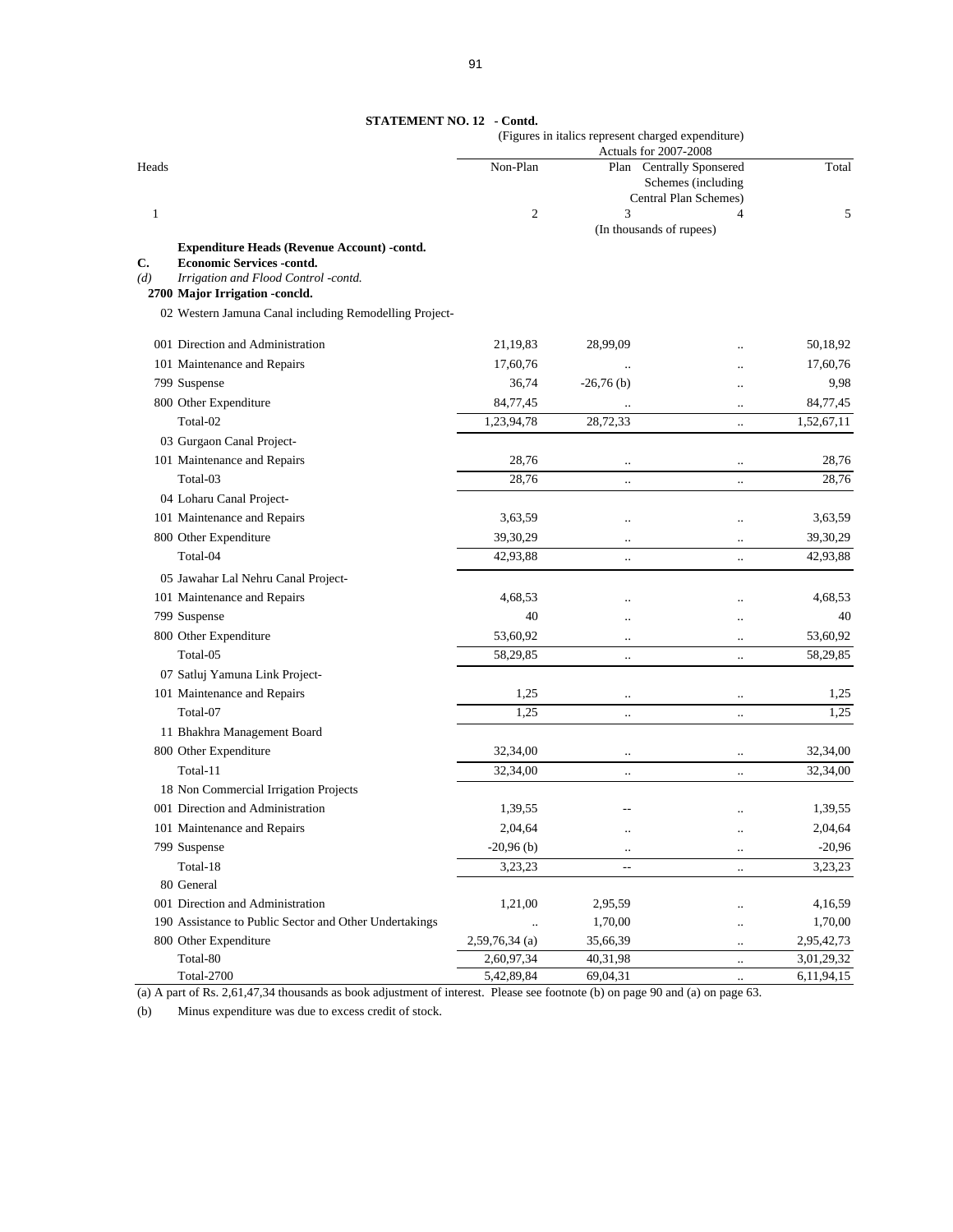| <b>STATEMENT NO. 12 - Contd.</b> |  |  |
|----------------------------------|--|--|
|----------------------------------|--|--|

|           |                                                                          | (Figures in italics represent charged expenditure)<br>Actuals for 2007-2008 |                          |                            |            |
|-----------|--------------------------------------------------------------------------|-----------------------------------------------------------------------------|--------------------------|----------------------------|------------|
| Heads     |                                                                          | Non-Plan                                                                    |                          | Plan Centrally Sponsered   | Total      |
|           |                                                                          |                                                                             |                          | Schemes (including         |            |
|           |                                                                          |                                                                             |                          | Central Plan Schemes)      |            |
| 1         |                                                                          | $\overline{2}$                                                              | 3                        | 4                          | 5          |
|           |                                                                          |                                                                             | (In thousands of rupees) |                            |            |
|           | <b>Expenditure Heads (Revenue Account) -contd.</b>                       |                                                                             |                          |                            |            |
| C.<br>(d) | <b>Economic Services -contd.</b><br>Irrigation and Flood Control -contd. |                                                                             |                          |                            |            |
|           | 2700 Major Irrigation -concld.                                           |                                                                             |                          |                            |            |
|           | 02 Western Jamuna Canal including Remodelling Project-                   |                                                                             |                          |                            |            |
|           |                                                                          |                                                                             |                          |                            |            |
|           | 001 Direction and Administration                                         | 21,19,83                                                                    | 28,99,09                 |                            | 50,18,92   |
|           | 101 Maintenance and Repairs                                              | 17,60,76                                                                    |                          |                            | 17,60,76   |
|           | 799 Suspense                                                             | 36,74                                                                       | $-26,76(b)$              | $\ddot{\phantom{a}}$       | 9,98       |
|           | 800 Other Expenditure                                                    | 84,77,45                                                                    |                          | $\ddot{\phantom{0}}$       | 84,77,45   |
|           | Total-02                                                                 | 1,23,94,78                                                                  | 28,72,33                 | $\ddotsc$                  | 1,52,67,11 |
|           | 03 Gurgaon Canal Project-                                                |                                                                             |                          |                            |            |
|           | 101 Maintenance and Repairs                                              | 28,76                                                                       | $\ddotsc$                | $\ddot{\phantom{0}}$       | 28,76      |
|           | Total-03                                                                 | 28,76                                                                       | $\ldots$                 | $\ddotsc$                  | 28,76      |
|           | 04 Loharu Canal Project-                                                 |                                                                             |                          |                            |            |
|           | 101 Maintenance and Repairs                                              | 3,63,59                                                                     | $\ddot{\phantom{a}}$     | $\ddot{\phantom{a}}$       | 3,63,59    |
|           | 800 Other Expenditure                                                    | 39,30,29                                                                    | $\ddot{\phantom{0}}$     | $\ddot{\phantom{0}}$       | 39,30,29   |
|           | Total-04                                                                 | 42,93,88                                                                    | $\ddotsc$                |                            | 42,93,88   |
|           | 05 Jawahar Lal Nehru Canal Project-                                      |                                                                             |                          |                            |            |
|           | 101 Maintenance and Repairs                                              | 4,68,53                                                                     | $\ddot{\phantom{a}}$     |                            | 4,68,53    |
|           | 799 Suspense                                                             | 40                                                                          | $\ddot{\phantom{a}}$     |                            | 40         |
|           | 800 Other Expenditure                                                    | 53,60,92                                                                    | $\ddotsc$                | $\ddot{\phantom{0}}$       | 53,60,92   |
|           | Total-05                                                                 | 58,29,85                                                                    | $\ldots$                 | $\ddotsc$                  | 58,29,85   |
|           | 07 Satluj Yamuna Link Project-                                           |                                                                             |                          |                            |            |
|           | 101 Maintenance and Repairs                                              | 1,25                                                                        | $\ldots$                 | $\ddot{\phantom{0}}$       | 1,25       |
|           | Total-07                                                                 | 1,25                                                                        | $\ldots$                 | $\ddotsc$                  | 1,25       |
|           | 11 Bhakhra Management Board                                              |                                                                             |                          |                            |            |
|           | 800 Other Expenditure                                                    | 32,34,00                                                                    | $\ddotsc$                |                            | 32,34,00   |
|           | Total-11                                                                 | 32,34,00                                                                    | $\ddot{\phantom{a}}$     | $\ddotsc$                  | 32,34,00   |
|           | 18 Non Commercial Irrigation Projects                                    |                                                                             |                          |                            |            |
|           | 001 Direction and Administration                                         | 1,39,55                                                                     |                          |                            | 1,39,55    |
|           | 101 Maintenance and Repairs                                              | 2,04,64                                                                     |                          |                            | 2,04,64    |
|           | 799 Suspense                                                             | $-20,96(b)$                                                                 |                          |                            | $-20,96$   |
|           | Total-18                                                                 | 3,23,23                                                                     | $\cdot$ .                | $\ddot{\phantom{0}}$       | 3,23,23    |
|           | 80 General                                                               |                                                                             | $\overline{a}$           | $\ddot{\phantom{a}}$       |            |
|           | 001 Direction and Administration                                         | 1,21,00                                                                     | 2,95,59                  |                            | 4,16,59    |
|           | 190 Assistance to Public Sector and Other Undertakings                   |                                                                             | 1,70,00                  |                            | 1,70,00    |
|           | 800 Other Expenditure                                                    | $\ddot{\phantom{0}}$<br>$2,59,76,34$ (a)                                    | 35,66,39                 |                            | 2,95,42,73 |
|           | Total-80                                                                 | 2,60,97,34                                                                  | 40,31,98                 | $\ddot{\phantom{0}}$       | 3,01,29,32 |
|           | <b>Total-2700</b>                                                        | 5,42,89,84                                                                  | 69,04,31                 | $\ddot{\phantom{0}}$<br>Ω, | 6,11,94,15 |

(a) A part of Rs. 2,61,47,34 thousands as book adjustment of interest. Please see footnote (b) on page 90 and (a) on page 63.

(b) Minus expenditure was due to excess credit of stock.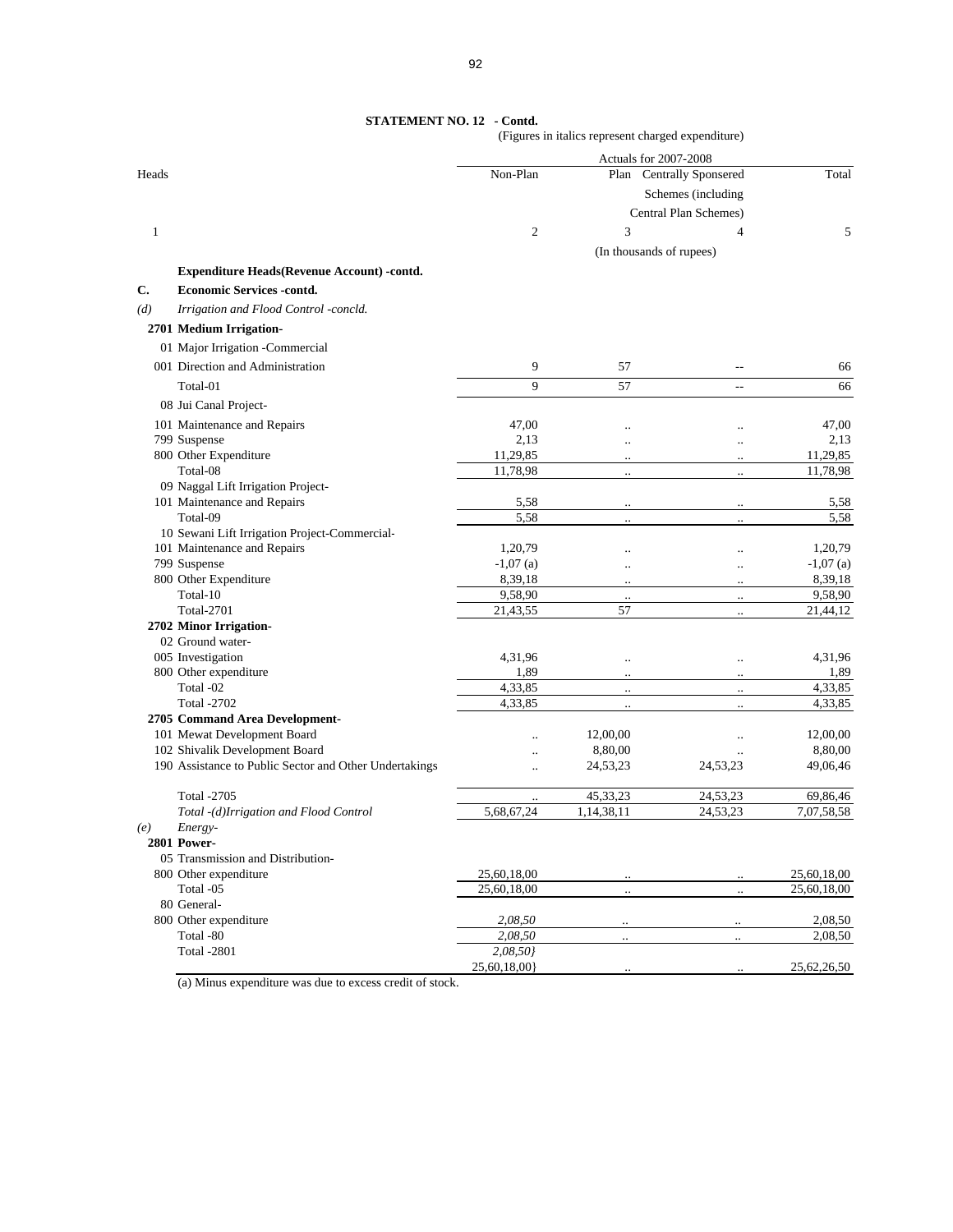(Figures in italics represent charged expenditure)

|       |                                                        | Actuals for 2007-2008 |                          |                          |             |  |
|-------|--------------------------------------------------------|-----------------------|--------------------------|--------------------------|-------------|--|
| Heads |                                                        | Non-Plan              |                          | Plan Centrally Sponsered | Total       |  |
|       |                                                        |                       |                          | Schemes (including       |             |  |
|       |                                                        |                       |                          |                          |             |  |
|       |                                                        |                       |                          | Central Plan Schemes)    |             |  |
| 1     |                                                        | 2                     | 3                        | 4                        | 5           |  |
|       |                                                        |                       | (In thousands of rupees) |                          |             |  |
|       | Expenditure Heads(Revenue Account) -contd.             |                       |                          |                          |             |  |
| C.    | <b>Economic Services -contd.</b>                       |                       |                          |                          |             |  |
| (d)   | Irrigation and Flood Control -concld.                  |                       |                          |                          |             |  |
|       |                                                        |                       |                          |                          |             |  |
|       | 2701 Medium Irrigation-                                |                       |                          |                          |             |  |
|       | 01 Major Irrigation -Commercial                        |                       |                          |                          |             |  |
|       | 001 Direction and Administration                       | 9                     | 57                       | --                       | 66          |  |
|       | Total-01                                               | 9                     | 57                       | $\overline{a}$           | 66          |  |
|       | 08 Jui Canal Project-                                  |                       |                          |                          |             |  |
|       |                                                        |                       |                          |                          |             |  |
|       | 101 Maintenance and Repairs                            | 47,00                 |                          |                          | 47,00       |  |
|       | 799 Suspense                                           | 2,13                  | $\ddotsc$                |                          | 2,13        |  |
|       | 800 Other Expenditure                                  | 11,29,85              | $\ddot{\phantom{a}}$     | $\ddotsc$                | 11,29,85    |  |
|       | Total-08                                               | 11,78,98              | $\ddot{\phantom{a}}$     | $\ddotsc$                | 11,78,98    |  |
|       | 09 Naggal Lift Irrigation Project-                     |                       |                          |                          |             |  |
|       | 101 Maintenance and Repairs                            | 5,58                  | $\ddotsc$                | $\ddot{\phantom{a}}$     | 5,58        |  |
|       | Total-09                                               | 5,58                  | $\ddotsc$                | $\ddotsc$                | 5,58        |  |
|       | 10 Sewani Lift Irrigation Project-Commercial-          |                       |                          |                          |             |  |
|       | 101 Maintenance and Repairs                            | 1,20,79               | $\ddot{\phantom{a}}$     | $\ddot{\phantom{a}}$     | 1,20,79     |  |
|       | 799 Suspense                                           | $-1,07$ (a)           |                          |                          | $-1,07$ (a) |  |
|       | 800 Other Expenditure                                  | 8,39,18               | $\ddot{\phantom{a}}$     |                          | 8,39,18     |  |
|       | Total-10                                               | 9,58,90               | $\ldots$                 | $\ddotsc$                | 9,58,90     |  |
|       | <b>Total-2701</b>                                      | 21,43,55              | 57                       | $\ddotsc$                | 21,44,12    |  |
|       | 2702 Minor Irrigation-                                 |                       |                          |                          |             |  |
|       | 02 Ground water-                                       |                       |                          |                          |             |  |
|       | 005 Investigation                                      | 4,31,96               | $\ddotsc$                | $\ddotsc$                | 4,31,96     |  |
|       | 800 Other expenditure                                  | 1,89                  |                          |                          | 1,89        |  |
|       | Total -02                                              | 4,33,85               | $\ddotsc$                | $\ddotsc$                | 4,33,85     |  |
|       | <b>Total -2702</b>                                     | 4,33,85               | $\ddotsc$                | $\ddotsc$                | 4,33,85     |  |
|       | 2705 Command Area Development-                         |                       |                          |                          |             |  |
|       | 101 Mewat Development Board                            |                       | 12,00,00                 | $\ddot{\phantom{0}}$     | 12,00,00    |  |
|       | 102 Shivalik Development Board                         |                       | 8,80,00                  |                          | 8,80,00     |  |
|       | 190 Assistance to Public Sector and Other Undertakings | $\ddot{\phantom{a}}$  | 24,53,23                 | 24,53,23                 | 49,06,46    |  |
|       |                                                        |                       |                          |                          |             |  |
|       | <b>Total -2705</b>                                     | $\ddotsc$             | 45, 33, 23               | 24,53,23                 | 69,86,46    |  |
|       | Total -(d)Irrigation and Flood Control                 | 5,68,67,24            | 1,14,38,11               | 24,53,23                 | 7,07,58,58  |  |
| (e)   | Energy-                                                |                       |                          |                          |             |  |
|       | 2801 Power-                                            |                       |                          |                          |             |  |
|       | 05 Transmission and Distribution-                      |                       |                          |                          |             |  |
|       | 800 Other expenditure                                  | 25,60,18,00           |                          |                          | 25,60,18,00 |  |
|       | Total -05                                              | 25,60,18,00           | $\ddot{\phantom{a}}$     |                          | 25,60,18,00 |  |
|       | 80 General-                                            |                       |                          |                          |             |  |
|       | 800 Other expenditure                                  | 2,08,50               |                          |                          | 2,08,50     |  |
|       | Total -80                                              | 2,08,50               |                          | $\ldots$                 | 2,08,50     |  |
|       | <b>Total -2801</b>                                     | 2,08,50}              |                          |                          |             |  |
|       |                                                        | 25,60,18,00}          |                          |                          | 25,62,26,50 |  |

(a) Minus expenditure was due to excess credit of stock.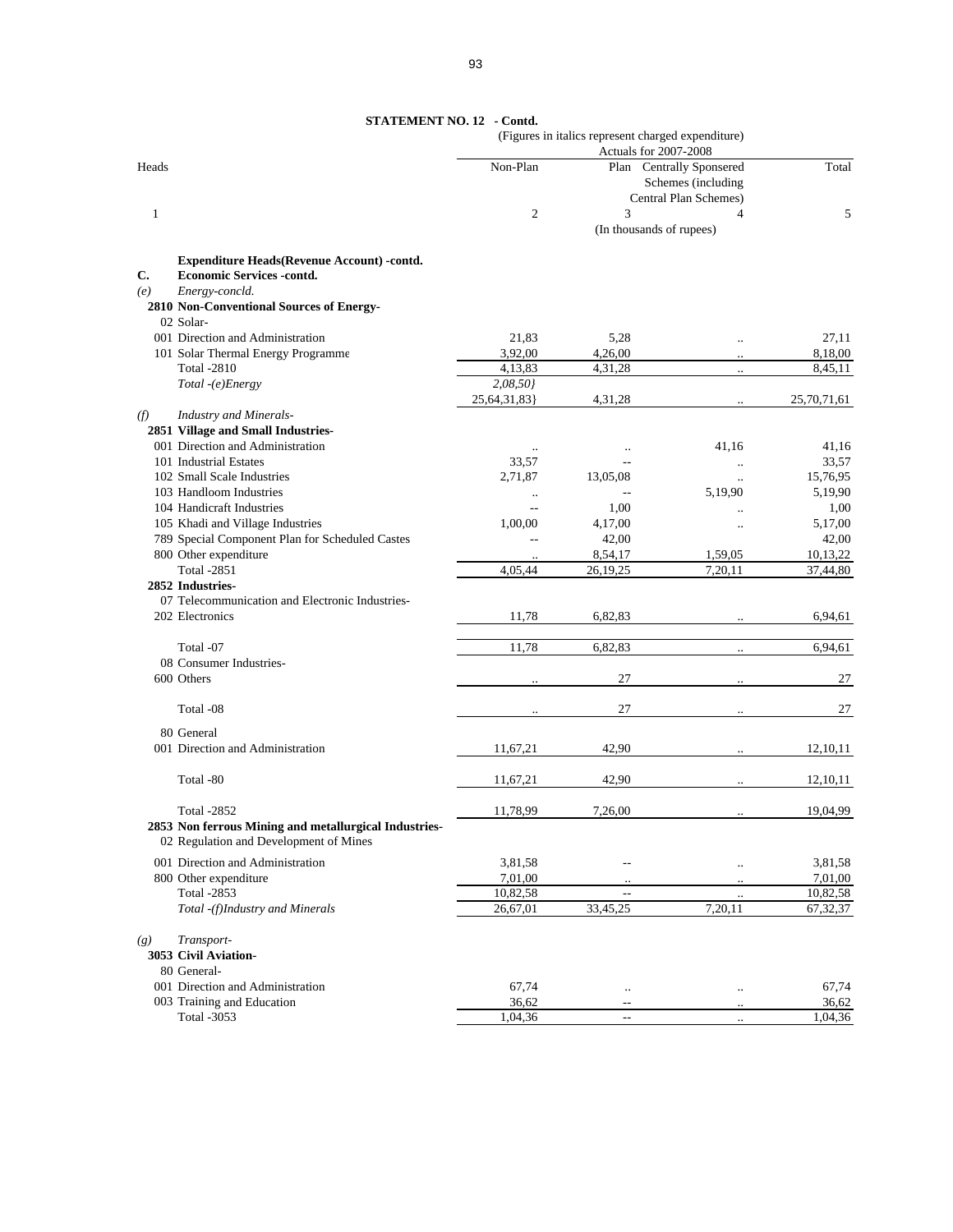|              | (Figures in italics represent charged expenditure)                                              |                    |                          |                          |             |
|--------------|-------------------------------------------------------------------------------------------------|--------------------|--------------------------|--------------------------|-------------|
|              |                                                                                                 |                    | Actuals for 2007-2008    |                          |             |
| Heads        |                                                                                                 | Non-Plan           |                          | Plan Centrally Sponsered | Total       |
|              |                                                                                                 |                    |                          | Schemes (including       |             |
|              |                                                                                                 |                    |                          | Central Plan Schemes)    |             |
| $\mathbf{1}$ |                                                                                                 | $\mathfrak{2}$     | 3                        | $\overline{4}$           | 5           |
|              |                                                                                                 |                    | (In thousands of rupees) |                          |             |
|              |                                                                                                 |                    |                          |                          |             |
|              | Expenditure Heads(Revenue Account) -contd.                                                      |                    |                          |                          |             |
| C.           | <b>Economic Services -contd.</b>                                                                |                    |                          |                          |             |
| (e)          | Energy-concld.                                                                                  |                    |                          |                          |             |
|              | 2810 Non-Conventional Sources of Energy-                                                        |                    |                          |                          |             |
|              | 02 Solar-                                                                                       |                    |                          |                          |             |
|              | 001 Direction and Administration                                                                | 21,83              | 5,28                     | $\ddotsc$                | 27,11       |
|              | 101 Solar Thermal Energy Programme                                                              | 3,92,00            | 4,26,00                  | $\ddotsc$                | 8,18,00     |
|              | <b>Total -2810</b>                                                                              | 4,13,83            | 4,31,28                  | $\ddotsc$                | 8,45,11     |
|              | Total -(e)Energy                                                                                | 2,08,50            |                          |                          |             |
|              |                                                                                                 | 25,64,31,83}       | 4,31,28                  |                          | 25,70,71,61 |
| (f)          | <b>Industry and Minerals-</b>                                                                   |                    |                          |                          |             |
|              | 2851 Village and Small Industries-                                                              |                    |                          |                          |             |
|              | 001 Direction and Administration                                                                |                    |                          | 41,16                    | 41,16       |
|              | 101 Industrial Estates                                                                          | $\ddotsc$<br>33,57 | $\ddot{\phantom{a}}$     |                          | 33,57       |
|              |                                                                                                 |                    |                          | $\ddot{\phantom{a}}$     |             |
|              | 102 Small Scale Industries                                                                      | 2,71,87            | 13,05,08                 |                          | 15,76,95    |
|              | 103 Handloom Industries                                                                         | $\ddotsc$          |                          | 5,19,90                  | 5,19,90     |
|              | 104 Handicraft Industries                                                                       | Ξ.                 | 1,00                     |                          | 1,00        |
|              | 105 Khadi and Village Industries                                                                | 1,00,00            | 4,17,00                  | $\ddot{\phantom{0}}$     | 5,17,00     |
|              | 789 Special Component Plan for Scheduled Castes                                                 |                    | 42,00                    |                          | 42,00       |
|              | 800 Other expenditure                                                                           |                    | 8,54,17                  | 1,59,05                  | 10,13,22    |
|              | <b>Total -2851</b>                                                                              | 4,05,44            | 26,19,25                 | 7,20,11                  | 37,44,80    |
|              | 2852 Industries-                                                                                |                    |                          |                          |             |
|              | 07 Telecommunication and Electronic Industries-                                                 |                    |                          |                          |             |
|              | 202 Electronics                                                                                 | 11,78              | 6,82,83                  |                          | 6,94,61     |
|              |                                                                                                 |                    |                          |                          |             |
|              | Total -07                                                                                       | 11,78              | 6,82,83                  | $\ddotsc$                | 6,94,61     |
|              | 08 Consumer Industries-                                                                         |                    |                          |                          |             |
|              | 600 Others                                                                                      |                    | 27                       |                          | 27          |
|              |                                                                                                 |                    |                          |                          |             |
|              | Total -08                                                                                       |                    | 27                       |                          | 27          |
|              |                                                                                                 |                    |                          |                          |             |
|              | 80 General                                                                                      |                    |                          |                          |             |
|              | 001 Direction and Administration                                                                | 11,67,21           | 42,90                    |                          | 12,10,11    |
|              |                                                                                                 |                    |                          |                          |             |
|              | Total -80                                                                                       | 11,67,21           | 42,90                    |                          | 12,10,11    |
|              |                                                                                                 |                    |                          |                          |             |
|              | <b>Total -2852</b>                                                                              | 11,78,99           | 7,26,00                  |                          | 19,04,99    |
|              | 2853 Non ferrous Mining and metallurgical Industries-<br>02 Regulation and Development of Mines |                    |                          |                          |             |
|              |                                                                                                 |                    |                          |                          |             |
|              | 001 Direction and Administration                                                                | 3,81,58            |                          |                          | 3,81,58     |
|              | 800 Other expenditure                                                                           | 7,01,00            |                          |                          | 7,01,00     |
|              | Total -2853                                                                                     | 10,82,58           | $\sim$ $\sim$            |                          | 10,82,58    |
|              | Total -(f)Industry and Minerals                                                                 | 26,67,01           | 33,45,25                 | 7,20,11                  | 67, 32, 37  |
|              |                                                                                                 |                    |                          |                          |             |
| (g)          | Transport-                                                                                      |                    |                          |                          |             |
|              | 3053 Civil Aviation-                                                                            |                    |                          |                          |             |
|              | 80 General-                                                                                     |                    |                          |                          |             |
|              | 001 Direction and Administration                                                                | 67,74              | $\ldots$                 | $\ddot{\phantom{0}}$     | 67,74       |
|              | 003 Training and Education                                                                      | 36,62              | --                       |                          | 36,62       |
|              | Total -3053                                                                                     | 1,04,36            | $- -$                    | $\ddot{\phantom{a}}$     | 1,04,36     |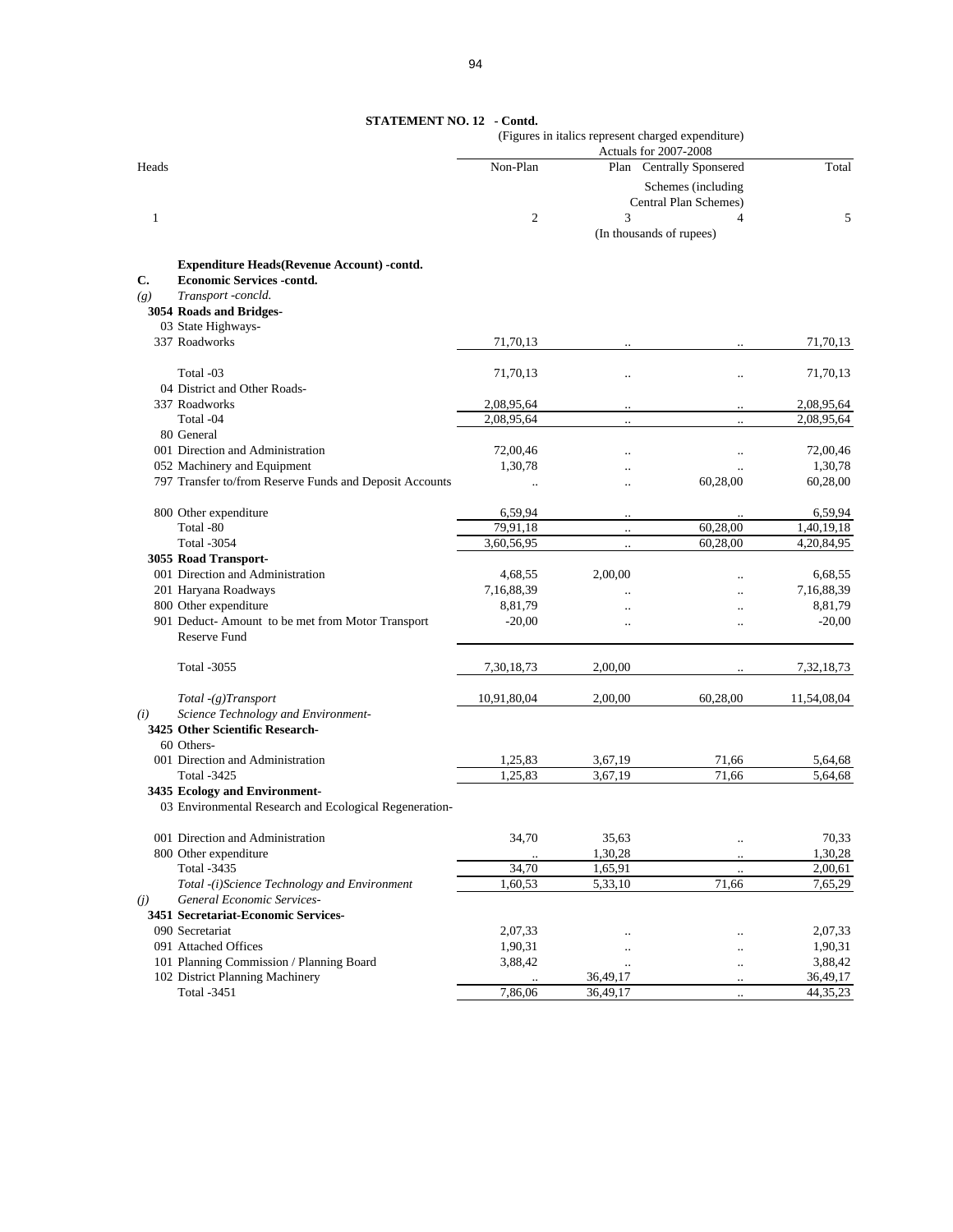| <b>STATEMENT NO. 12 - Contd.</b> |  |  |
|----------------------------------|--|--|
|----------------------------------|--|--|

|              |                                                         | (Figures in italics represent charged expenditure) |                      |                          |             |
|--------------|---------------------------------------------------------|----------------------------------------------------|----------------------|--------------------------|-------------|
| Heads        |                                                         | Non-Plan                                           |                      | Plan Centrally Sponsered | Total       |
|              |                                                         |                                                    |                      | Schemes (including       |             |
|              |                                                         |                                                    |                      | Central Plan Schemes)    |             |
| $\mathbf{1}$ |                                                         | $\overline{2}$                                     | 3                    | 4                        | 5           |
|              |                                                         |                                                    |                      | (In thousands of rupees) |             |
|              |                                                         |                                                    |                      |                          |             |
|              | Expenditure Heads(Revenue Account) -contd.              |                                                    |                      |                          |             |
| C.           | <b>Economic Services -contd.</b>                        |                                                    |                      |                          |             |
| (g)          | Transport -concld.                                      |                                                    |                      |                          |             |
|              | 3054 Roads and Bridges-                                 |                                                    |                      |                          |             |
|              | 03 State Highways-                                      |                                                    |                      |                          |             |
|              | 337 Roadworks                                           |                                                    |                      |                          |             |
|              |                                                         | 71,70,13                                           |                      |                          | 71,70,13    |
|              | Total -03                                               |                                                    |                      |                          | 71,70,13    |
|              | 04 District and Other Roads-                            | 71,70,13                                           | $\ddot{\phantom{a}}$ | $\ddot{\phantom{a}}$     |             |
|              |                                                         |                                                    |                      |                          |             |
|              | 337 Roadworks                                           | 2,08,95,64                                         |                      |                          | 2,08,95,64  |
|              | Total -04                                               | 2,08,95,64                                         | $\ddot{\phantom{a}}$ | $\ddot{\phantom{a}}$     | 2,08,95,64  |
|              | 80 General                                              |                                                    |                      |                          |             |
|              | 001 Direction and Administration                        | 72,00,46                                           |                      | $\ddot{\phantom{0}}$     | 72,00,46    |
|              | 052 Machinery and Equipment                             | 1,30,78                                            |                      |                          | 1,30,78     |
|              | 797 Transfer to/from Reserve Funds and Deposit Accounts |                                                    |                      | 60,28,00                 | 60,28,00    |
|              | 800 Other expenditure                                   | 6,59,94                                            |                      |                          | 6,59,94     |
|              | Total -80                                               | 79,91,18                                           |                      | 60,28,00                 | 1,40,19,18  |
|              | <b>Total -3054</b>                                      | 3,60,56,95                                         |                      | 60,28,00                 | 4,20,84,95  |
|              | 3055 Road Transport-                                    |                                                    |                      |                          |             |
|              | 001 Direction and Administration                        | 4,68,55                                            | 2,00,00              | $\ddot{\phantom{a}}$     | 6,68,55     |
|              | 201 Haryana Roadways                                    | 7,16,88,39                                         | $\ddot{\phantom{a}}$ |                          | 7,16,88,39  |
|              | 800 Other expenditure                                   | 8,81,79                                            |                      |                          | 8,81,79     |
|              | 901 Deduct- Amount to be met from Motor Transport       | $-20,00$                                           |                      |                          | $-20,00$    |
|              | Reserve Fund                                            |                                                    |                      |                          |             |
|              | Total -3055                                             | 7,30,18,73                                         | 2,00,00              |                          | 7,32,18,73  |
|              |                                                         |                                                    |                      |                          |             |
|              | Total -(g)Transport                                     | 10,91,80,04                                        | 2,00,00              | 60,28,00                 | 11,54,08,04 |
| (i)          | Science Technology and Environment-                     |                                                    |                      |                          |             |
|              | 3425 Other Scientific Research-                         |                                                    |                      |                          |             |
|              | 60 Others-                                              |                                                    |                      |                          |             |
|              | 001 Direction and Administration                        | 1,25,83                                            | 3,67,19              | 71,66                    | 5,64,68     |
|              | <b>Total -3425</b>                                      | 1,25,83                                            | 3,67,19              | 71,66                    | 5,64,68     |
|              | 3435 Ecology and Environment-                           |                                                    |                      |                          |             |
|              | 03 Environmental Research and Ecological Regeneration-  |                                                    |                      |                          |             |
|              | 001 Direction and Administration                        | 34,70                                              | 35,63                |                          | 70,33       |
|              | 800 Other expenditure                                   |                                                    | 1,30,28              | $\ddotsc$                | 1,30,28     |
|              | <b>Total -3435</b>                                      | 34,70                                              | 1,65,91              |                          | 2,00,61     |
|              | Total -(i)Science Technology and Environment            |                                                    |                      | $\ddotsc$                |             |
|              |                                                         | 1,60,53                                            | 5,33,10              | 71,66                    | 7,65,29     |
| (j)          | General Economic Services-                              |                                                    |                      |                          |             |
|              | 3451 Secretariat-Economic Services-                     |                                                    |                      |                          |             |
|              | 090 Secretariat                                         | 2,07,33                                            | $\ddot{\phantom{0}}$ |                          | 2,07,33     |
|              | 091 Attached Offices                                    | 1,90,31                                            | $\ddotsc$            | $\ddot{\phantom{0}}$     | 1,90,31     |
|              | 101 Planning Commission / Planning Board                | 3,88,42                                            | $\ddotsc$            | $\ddotsc$                | 3,88,42     |
|              | 102 District Planning Machinery                         |                                                    | 36,49,17             |                          | 36,49,17    |
|              | Total -3451                                             | 7,86,06                                            | 36,49,17             |                          | 44, 35, 23  |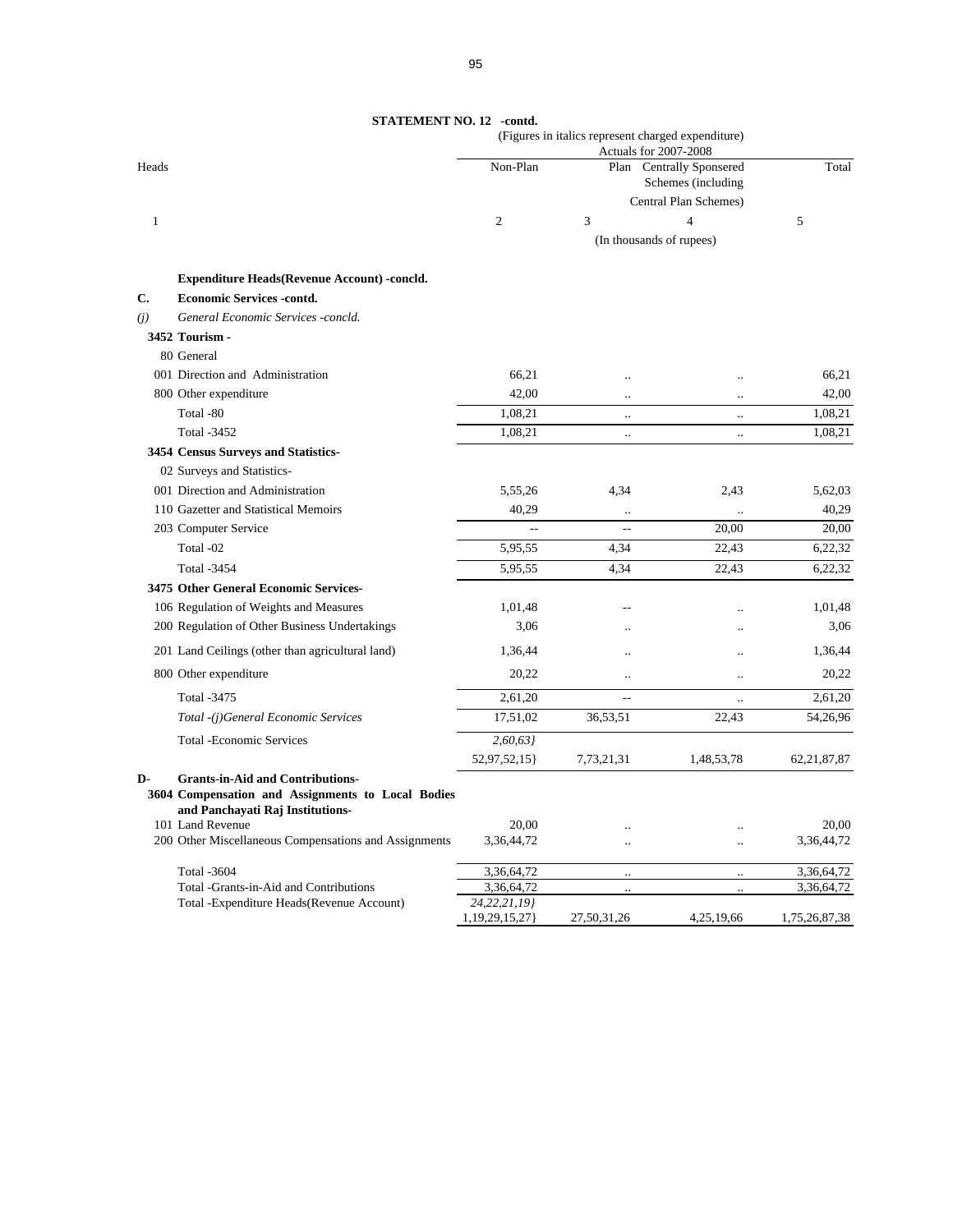|       |                                                       | (Figures in italics represent charged expenditure)<br>Actuals for 2007-2008 |                          |                                                |                |
|-------|-------------------------------------------------------|-----------------------------------------------------------------------------|--------------------------|------------------------------------------------|----------------|
| Heads |                                                       | Non-Plan                                                                    |                          | Plan Centrally Sponsered<br>Schemes (including | Total          |
|       |                                                       |                                                                             |                          | Central Plan Schemes)                          |                |
| 1     |                                                       | $\mathfrak{2}$                                                              | 3                        | $\overline{4}$                                 | 5              |
|       |                                                       |                                                                             |                          | (In thousands of rupees)                       |                |
|       | <b>Expenditure Heads (Revenue Account) -concld.</b>   |                                                                             |                          |                                                |                |
| C.    | <b>Economic Services -contd.</b>                      |                                                                             |                          |                                                |                |
| (i)   | General Economic Services -concld.                    |                                                                             |                          |                                                |                |
|       | 3452 Tourism -                                        |                                                                             |                          |                                                |                |
|       | 80 General                                            |                                                                             |                          |                                                |                |
|       | 001 Direction and Administration                      | 66,21                                                                       | $\ddot{\phantom{a}}$     |                                                | 66,21          |
|       | 800 Other expenditure                                 | 42,00                                                                       | $\ddot{\phantom{a}}$     | $\ddot{\phantom{a}}$                           | 42,00          |
|       | Total -80                                             | 1,08,21                                                                     | $\ddotsc$                | $\ddot{\phantom{a}}$                           | 1,08,21        |
|       | <b>Total -3452</b>                                    | 1,08,21                                                                     |                          | $\ddotsc$                                      | 1,08,21        |
|       | 3454 Census Surveys and Statistics-                   |                                                                             |                          |                                                |                |
|       | 02 Surveys and Statistics-                            |                                                                             |                          |                                                |                |
|       | 001 Direction and Administration                      | 5,55,26                                                                     | 4,34                     | 2,43                                           | 5,62,03        |
|       | 110 Gazetter and Statistical Memoirs                  | 40,29                                                                       | $\ddot{\phantom{a}}$     | $\ddot{\phantom{a}}$                           | 40,29          |
|       | 203 Computer Service                                  | $\overline{\phantom{a}}$                                                    | $\overline{\phantom{a}}$ | 20,00                                          | 20,00          |
|       | Total -02                                             | 5,95,55                                                                     | 4,34                     | 22,43                                          | 6,22,32        |
|       | <b>Total -3454</b>                                    | 5,95,55                                                                     | 4.34                     | 22.43                                          | 6,22,32        |
|       | 3475 Other General Economic Services-                 |                                                                             |                          |                                                |                |
|       | 106 Regulation of Weights and Measures                | 1,01,48                                                                     |                          |                                                | 1,01,48        |
|       | 200 Regulation of Other Business Undertakings         | 3,06                                                                        |                          |                                                | 3,06           |
|       | 201 Land Ceilings (other than agricultural land)      | 1,36,44                                                                     | $\ddot{\phantom{a}}$     | $\ddot{\phantom{a}}$                           | 1,36,44        |
|       | 800 Other expenditure                                 | 20,22                                                                       | $\ddot{\phantom{a}}$     | $\ddot{\phantom{a}}$                           | 20,22          |
|       | Total -3475                                           | 2,61,20                                                                     | $\overline{a}$           | $\ldots$                                       | 2,61,20        |
|       | Total -(j)General Economic Services                   | 17,51,02                                                                    | 36,53,51                 | 22,43                                          | 54,26,96       |
|       | <b>Total - Economic Services</b>                      | 2,60,63                                                                     |                          |                                                |                |
|       |                                                       | 52,97,52,15}                                                                | 7,73,21,31               | 1,48,53,78                                     | 62, 21, 87, 87 |
| D-    | <b>Grants-in-Aid and Contributions-</b>               |                                                                             |                          |                                                |                |
|       | 3604 Compensation and Assignments to Local Bodies     |                                                                             |                          |                                                |                |
|       | and Panchayati Raj Institutions-<br>101 Land Revenue  | 20,00                                                                       |                          |                                                | 20,00          |
|       | 200 Other Miscellaneous Compensations and Assignments | 3,36,44,72                                                                  |                          |                                                | 3,36,44,72     |
|       | <b>Total -3604</b>                                    | 3,36,64,72                                                                  |                          |                                                | 3,36,64,72     |
|       | Total -Grants-in-Aid and Contributions                | 3,36,64,72                                                                  |                          |                                                | 3,36,64,72     |
|       | Total - Expenditure Heads (Revenue Account)           | 24, 22, 21, 19}                                                             |                          |                                                |                |
|       |                                                       | 1,19,29,15,27}                                                              | 27,50,31,26              | 4,25,19,66                                     | 1,75,26,87,38  |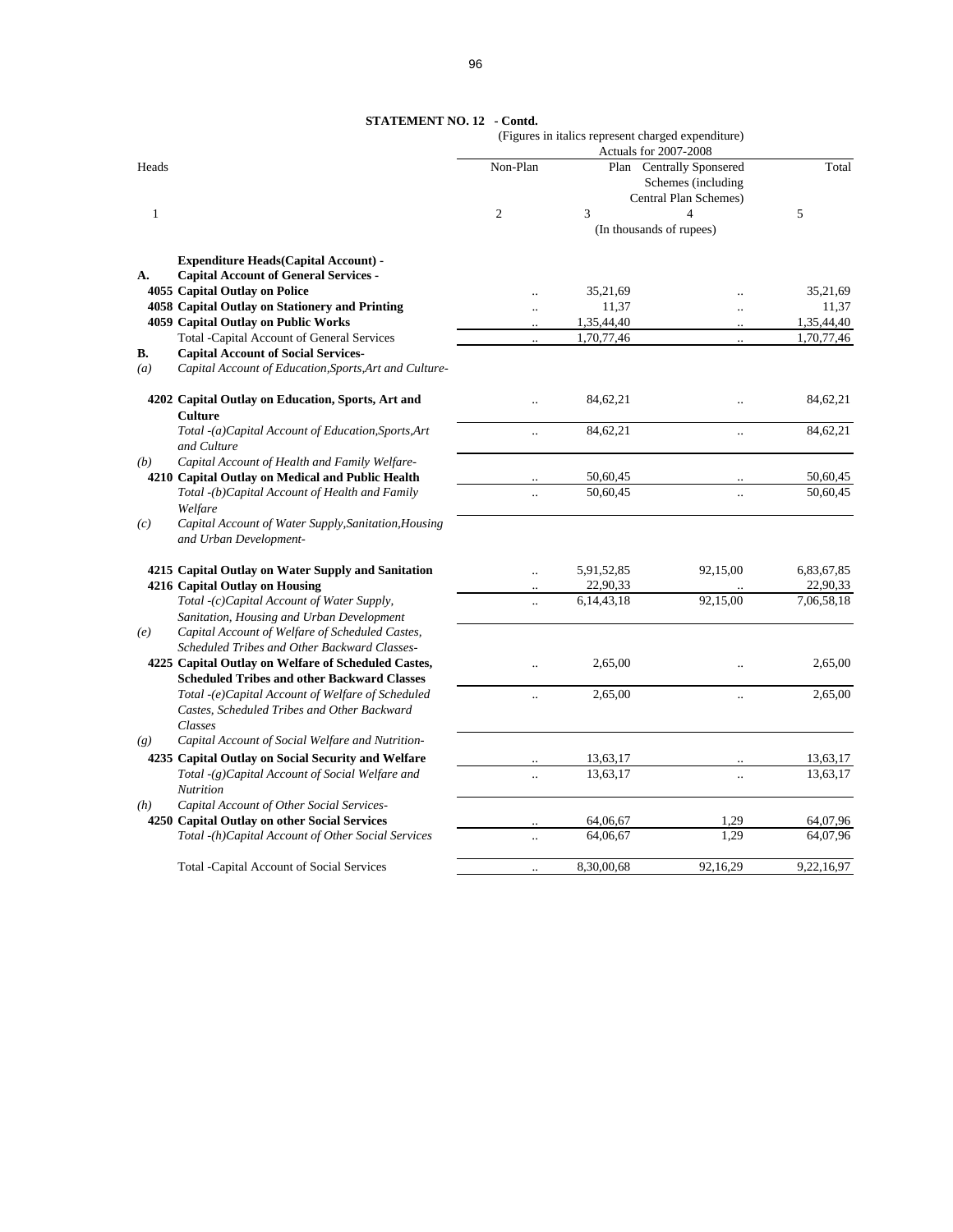|                  |                                                                                | (Figures in italics represent charged expenditure)<br>Actuals for 2007-2008 |               |                                                                         |            |  |
|------------------|--------------------------------------------------------------------------------|-----------------------------------------------------------------------------|---------------|-------------------------------------------------------------------------|------------|--|
| Heads            |                                                                                | Non-Plan                                                                    |               | Plan Centrally Sponsered<br>Schemes (including<br>Central Plan Schemes) | Total      |  |
| $\mathbf{1}$     |                                                                                | $\overline{2}$                                                              | 3             | $\overline{4}$                                                          | 5          |  |
|                  |                                                                                |                                                                             |               | (In thousands of rupees)                                                |            |  |
|                  | <b>Expenditure Heads (Capital Account) -</b>                                   |                                                                             |               |                                                                         |            |  |
| A.               | <b>Capital Account of General Services -</b>                                   |                                                                             |               |                                                                         |            |  |
|                  | 4055 Capital Outlay on Police                                                  |                                                                             | 35,21,69      |                                                                         | 35,21,69   |  |
|                  | 4058 Capital Outlay on Stationery and Printing                                 | $\ddot{\phantom{a}}$                                                        | 11,37         |                                                                         | 11,37      |  |
|                  | 4059 Capital Outlay on Public Works                                            |                                                                             | 1,35,44,40    |                                                                         | 1,35,44,40 |  |
|                  | <b>Total -Capital Account of General Services</b>                              |                                                                             | 1,70,77,46    |                                                                         | 1,70,77,46 |  |
| В.               | <b>Capital Account of Social Services-</b>                                     |                                                                             |               |                                                                         |            |  |
| $\left(a\right)$ | Capital Account of Education, Sports, Art and Culture-                         |                                                                             |               |                                                                         |            |  |
|                  | 4202 Capital Outlay on Education, Sports, Art and                              |                                                                             | 84,62,21      |                                                                         | 84,62,21   |  |
|                  | <b>Culture</b>                                                                 |                                                                             |               |                                                                         |            |  |
|                  | Total -(a)Capital Account of Education, Sports, Art<br>and Culture             | $\ddotsc$                                                                   | 84,62,21      | $\ddotsc$                                                               | 84,62,21   |  |
| (b)              | Capital Account of Health and Family Welfare-                                  |                                                                             |               |                                                                         |            |  |
|                  | 4210 Capital Outlay on Medical and Public Health                               |                                                                             | 50,60,45      |                                                                         | 50,60,45   |  |
|                  | Total -(b)Capital Account of Health and Family                                 | $\ddotsc$                                                                   | 50,60,45      | $\ddot{\phantom{a}}$                                                    | 50,60,45   |  |
|                  | Welfare                                                                        |                                                                             |               |                                                                         |            |  |
| (c)              | Capital Account of Water Supply, Sanitation, Housing<br>and Urban Development- |                                                                             |               |                                                                         |            |  |
|                  | 4215 Capital Outlay on Water Supply and Sanitation                             | $\ddotsc$                                                                   | 5,91,52,85    | 92,15,00                                                                | 6,83,67,85 |  |
|                  | 4216 Capital Outlay on Housing                                                 |                                                                             | 22,90,33      |                                                                         | 22,90,33   |  |
|                  | Total -(c)Capital Account of Water Supply,                                     | $\ddot{\phantom{a}}$                                                        | 6, 14, 43, 18 | 92,15,00                                                                | 7,06,58,18 |  |
|                  | Sanitation, Housing and Urban Development                                      |                                                                             |               |                                                                         |            |  |
| (e)              | Capital Account of Welfare of Scheduled Castes,                                |                                                                             |               |                                                                         |            |  |
|                  | Scheduled Tribes and Other Backward Classes-                                   |                                                                             |               |                                                                         |            |  |
|                  | 4225 Capital Outlay on Welfare of Scheduled Castes,                            |                                                                             | 2,65,00       |                                                                         | 2,65,00    |  |
|                  | <b>Scheduled Tribes and other Backward Classes</b>                             |                                                                             |               |                                                                         |            |  |
|                  | Total -(e)Capital Account of Welfare of Scheduled                              | $\ddot{\phantom{a}}$                                                        | 2,65,00       |                                                                         | 2,65,00    |  |
|                  | Castes, Scheduled Tribes and Other Backward                                    |                                                                             |               |                                                                         |            |  |
|                  | Classes                                                                        |                                                                             |               |                                                                         |            |  |
| (g)              | Capital Account of Social Welfare and Nutrition-                               |                                                                             |               |                                                                         |            |  |
|                  | 4235 Capital Outlay on Social Security and Welfare                             |                                                                             | 13,63,17      |                                                                         | 13,63,17   |  |
|                  | Total -(g)Capital Account of Social Welfare and                                | $\ddot{\phantom{a}}$                                                        | 13,63,17      |                                                                         | 13,63,17   |  |
|                  | Nutrition                                                                      |                                                                             |               |                                                                         |            |  |
| (h)              | Capital Account of Other Social Services-                                      |                                                                             |               |                                                                         |            |  |
|                  | 4250 Capital Outlay on other Social Services                                   |                                                                             | 64,06,67      | 1,29                                                                    | 64,07,96   |  |
|                  | Total -(h)Capital Account of Other Social Services                             | $\ddotsc$                                                                   | 64,06,67      | 1.29                                                                    | 64,07,96   |  |
|                  | <b>Total -Capital Account of Social Services</b>                               | $\ddotsc$                                                                   | 8,30,00,68    | 92,16,29                                                                | 9,22,16,97 |  |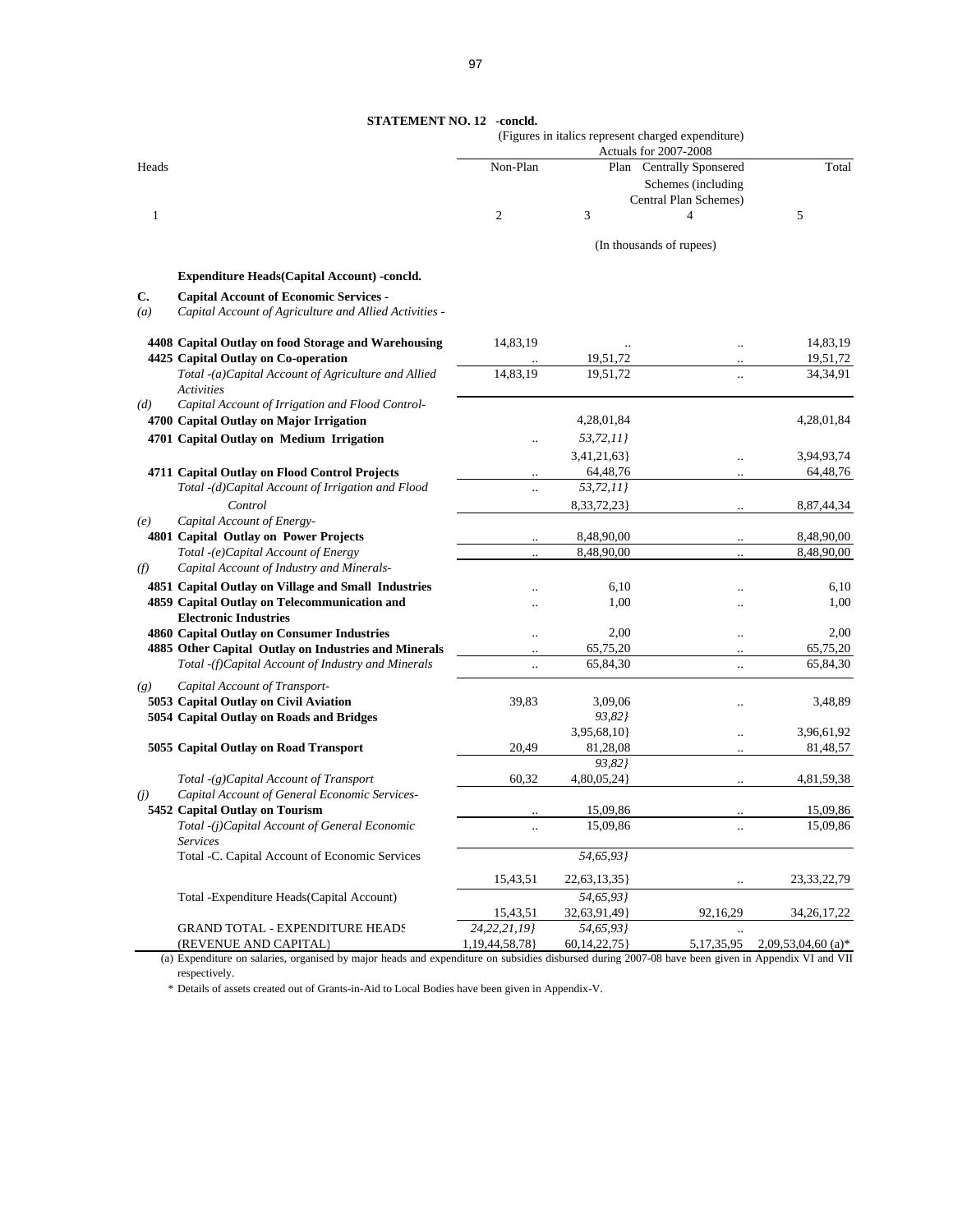## **STATEMENT NO. 12 -concld.**

|                  | STATEMENT NU. 14                                                         | -сопста.             |                | (Figures in italics represent charged expenditure) |                      |
|------------------|--------------------------------------------------------------------------|----------------------|----------------|----------------------------------------------------|----------------------|
|                  |                                                                          |                      |                | Actuals for 2007-2008                              |                      |
| Heads            |                                                                          | Non-Plan             |                | Plan Centrally Sponsered                           | Total                |
|                  |                                                                          |                      |                | Schemes (including)                                |                      |
|                  |                                                                          |                      |                | Central Plan Schemes)                              |                      |
| 1                |                                                                          | $\overline{2}$       | 3              | 4                                                  | 5                    |
|                  |                                                                          |                      |                | (In thousands of rupees)                           |                      |
|                  | Expenditure Heads(Capital Account) -concld.                              |                      |                |                                                    |                      |
| C.               | <b>Capital Account of Economic Services -</b>                            |                      |                |                                                    |                      |
| $\left(a\right)$ | Capital Account of Agriculture and Allied Activities -                   |                      |                |                                                    |                      |
|                  | 4408 Capital Outlay on food Storage and Warehousing                      | 14,83,19             |                |                                                    | 14,83,19             |
|                  | 4425 Capital Outlay on Co-operation                                      |                      | 19,51,72       |                                                    | 19,51,72             |
|                  | Total -(a)Capital Account of Agriculture and Allied<br><b>Activities</b> | 14,83,19             | 19,51,72       | $\ddot{\phantom{a}}$                               | 34,34,91             |
| (d)              | Capital Account of Irrigation and Flood Control-                         |                      |                |                                                    |                      |
|                  | 4700 Capital Outlay on Major Irrigation                                  |                      | 4,28,01,84     |                                                    | 4,28,01,84           |
|                  | 4701 Capital Outlay on Medium Irrigation                                 |                      | 53, 72, 11     |                                                    |                      |
|                  |                                                                          |                      | 3,41,21,63     | $\ddot{\phantom{a}}$                               | 3,94,93,74           |
|                  | 4711 Capital Outlay on Flood Control Projects                            |                      | 64,48,76       |                                                    | 64,48,76             |
|                  | Total -(d)Capital Account of Irrigation and Flood                        | $\ddotsc$            | 53, 72, 11     |                                                    |                      |
|                  | Control                                                                  |                      | 8, 33, 72, 23} |                                                    | 8,87,44,34           |
| (e)              | Capital Account of Energy-                                               |                      |                |                                                    |                      |
|                  | 4801 Capital Outlay on Power Projects                                    |                      | 8,48,90,00     |                                                    | 8,48,90,00           |
|                  | Total -(e)Capital Account of Energy                                      |                      | 8,48,90,00     |                                                    | 8,48,90,00           |
| (f)              | Capital Account of Industry and Minerals-                                |                      |                |                                                    |                      |
|                  | 4851 Capital Outlay on Village and Small Industries                      |                      | 6,10           |                                                    | 6,10                 |
|                  | 4859 Capital Outlay on Telecommunication and                             | $\ddot{\phantom{a}}$ | 1,00           |                                                    | 1,00                 |
|                  | <b>Electronic Industries</b>                                             |                      |                |                                                    |                      |
|                  | 4860 Capital Outlay on Consumer Industries                               | $\ddot{\phantom{a}}$ | 2,00           |                                                    | 2,00                 |
|                  | 4885 Other Capital Outlay on Industries and Minerals                     |                      | 65,75,20       |                                                    | 65,75,20             |
|                  | Total -(f)Capital Account of Industry and Minerals                       | $\ddotsc$            | 65,84,30       | $\ddotsc$                                          | 65,84,30             |
| (g)              | Capital Account of Transport-                                            |                      |                |                                                    |                      |
|                  | 5053 Capital Outlay on Civil Aviation                                    | 39,83                | 3,09,06        |                                                    | 3,48,89              |
|                  | 5054 Capital Outlay on Roads and Bridges                                 |                      | 93,82}         |                                                    |                      |
|                  |                                                                          |                      | 3,95,68,10     |                                                    | 3,96,61,92           |
|                  | 5055 Capital Outlay on Road Transport                                    | 20,49                | 81,28,08       |                                                    | 81,48,57             |
|                  |                                                                          |                      | 93,82}         |                                                    |                      |
|                  | Total -(g)Capital Account of Transport                                   | 60,32                | 4,80,05,24     |                                                    | 4,81,59,38           |
| (j)              | Capital Account of General Economic Services-                            |                      |                |                                                    |                      |
|                  | 5452 Capital Outlay on Tourism                                           |                      | 15,09,86       |                                                    | 15,09,86             |
|                  | Total -(j)Capital Account of General Economic<br><b>Services</b>         |                      | 15,09,86       |                                                    | 15,09,86             |
|                  | Total -C. Capital Account of Economic Services                           |                      | 54,65,93}      |                                                    |                      |
|                  |                                                                          | 15,43,51             | 22,63,13,35}   |                                                    | 23, 33, 22, 79       |
|                  | Total - Expenditure Heads (Capital Account)                              |                      | 54,65,93}      |                                                    |                      |
|                  |                                                                          | 15,43,51             | 32,63,91,49}   | 92,16,29                                           | 34, 26, 17, 22       |
|                  | <b>GRAND TOTAL - EXPENDITURE HEADS</b>                                   | 24, 22, 21, 19}      | 54,65,93}      |                                                    |                      |
|                  | (REVENUE AND CAPITAL)                                                    | 1,19,44,58,78}       | 60,14,22,75    | 5,17,35,95                                         | $2,09,53,04,60$ (a)* |

(a) Expenditure on salaries, organised by major heads and expenditure on subsidies disbursed during 2007-08 have been given in Appendix VI and VII respectively.

\* Details of assets created out of Grants-in-Aid to Local Bodies have been given in Appendix-V.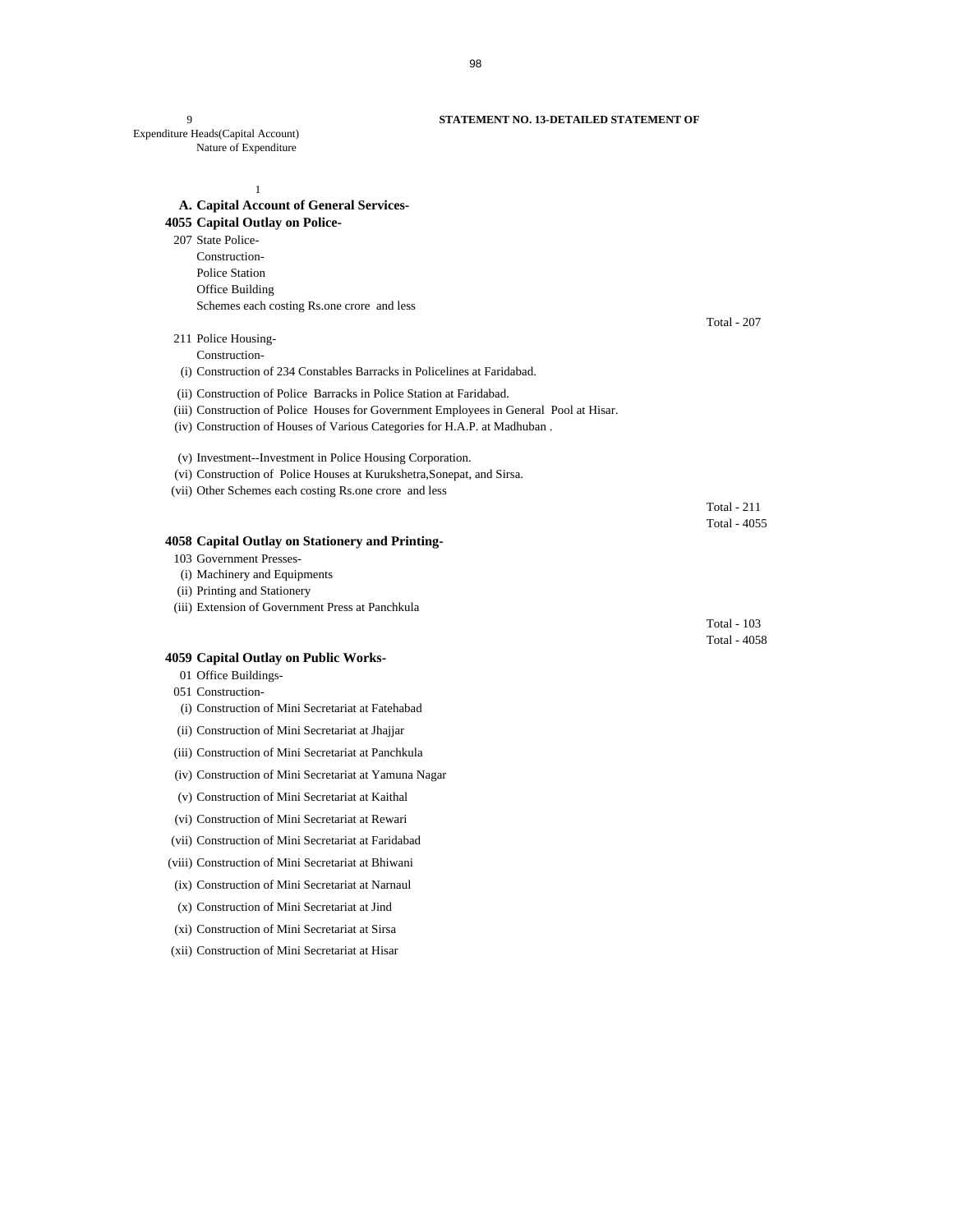## 9 **STATEMENT NO. 13-DETAILED STATEMENT OF**

Expenditure Heads(Capital Account) Nature of Expenditure

| 1                                                                                                                                |                    |
|----------------------------------------------------------------------------------------------------------------------------------|--------------------|
| A. Capital Account of General Services-                                                                                          |                    |
| 4055 Capital Outlay on Police-                                                                                                   |                    |
| 207 State Police-                                                                                                                |                    |
| Construction-                                                                                                                    |                    |
| <b>Police Station</b>                                                                                                            |                    |
| Office Building                                                                                                                  |                    |
| Schemes each costing Rs.one crore and less                                                                                       |                    |
|                                                                                                                                  | <b>Total - 207</b> |
| 211 Police Housing-<br>Construction-                                                                                             |                    |
| (i) Construction of 234 Constables Barracks in Policelines at Faridabad.                                                         |                    |
| (ii) Construction of Police Barracks in Police Station at Faridabad.                                                             |                    |
| (iii) Construction of Police Houses for Government Employees in General Pool at Hisar.                                           |                    |
| (iv) Construction of Houses of Various Categories for H.A.P. at Madhuban.                                                        |                    |
|                                                                                                                                  |                    |
| (v) Investment--Investment in Police Housing Corporation.                                                                        |                    |
| (vi) Construction of Police Houses at Kurukshetra, Sonepat, and Sirsa.<br>(vii) Other Schemes each costing Rs.one crore and less |                    |
|                                                                                                                                  | <b>Total - 211</b> |
|                                                                                                                                  | Total - 4055       |
| 4058 Capital Outlay on Stationery and Printing-                                                                                  |                    |
| 103 Government Presses-                                                                                                          |                    |
| (i) Machinery and Equipments                                                                                                     |                    |
| (ii) Printing and Stationery                                                                                                     |                    |
| (iii) Extension of Government Press at Panchkula                                                                                 |                    |
|                                                                                                                                  | Total - 103        |
|                                                                                                                                  | Total - 4058       |
| 4059 Capital Outlay on Public Works-                                                                                             |                    |
| 01 Office Buildings-                                                                                                             |                    |
| 051 Construction-                                                                                                                |                    |
| (i) Construction of Mini Secretariat at Fatehabad                                                                                |                    |
| (ii) Construction of Mini Secretariat at Jhajjar                                                                                 |                    |
| (iii) Construction of Mini Secretariat at Panchkula                                                                              |                    |
| (iv) Construction of Mini Secretariat at Yamuna Nagar                                                                            |                    |
| (v) Construction of Mini Secretariat at Kaithal                                                                                  |                    |
| (vi) Construction of Mini Secretariat at Rewari                                                                                  |                    |
| (vii) Construction of Mini Secretariat at Faridabad                                                                              |                    |
| (viii) Construction of Mini Secretariat at Bhiwani                                                                               |                    |
| (ix) Construction of Mini Secretariat at Narnaul                                                                                 |                    |
| (x) Construction of Mini Secretariat at Jind                                                                                     |                    |
| (xi) Construction of Mini Secretariat at Sirsa                                                                                   |                    |

(xii) Construction of Mini Secretariat at Hisar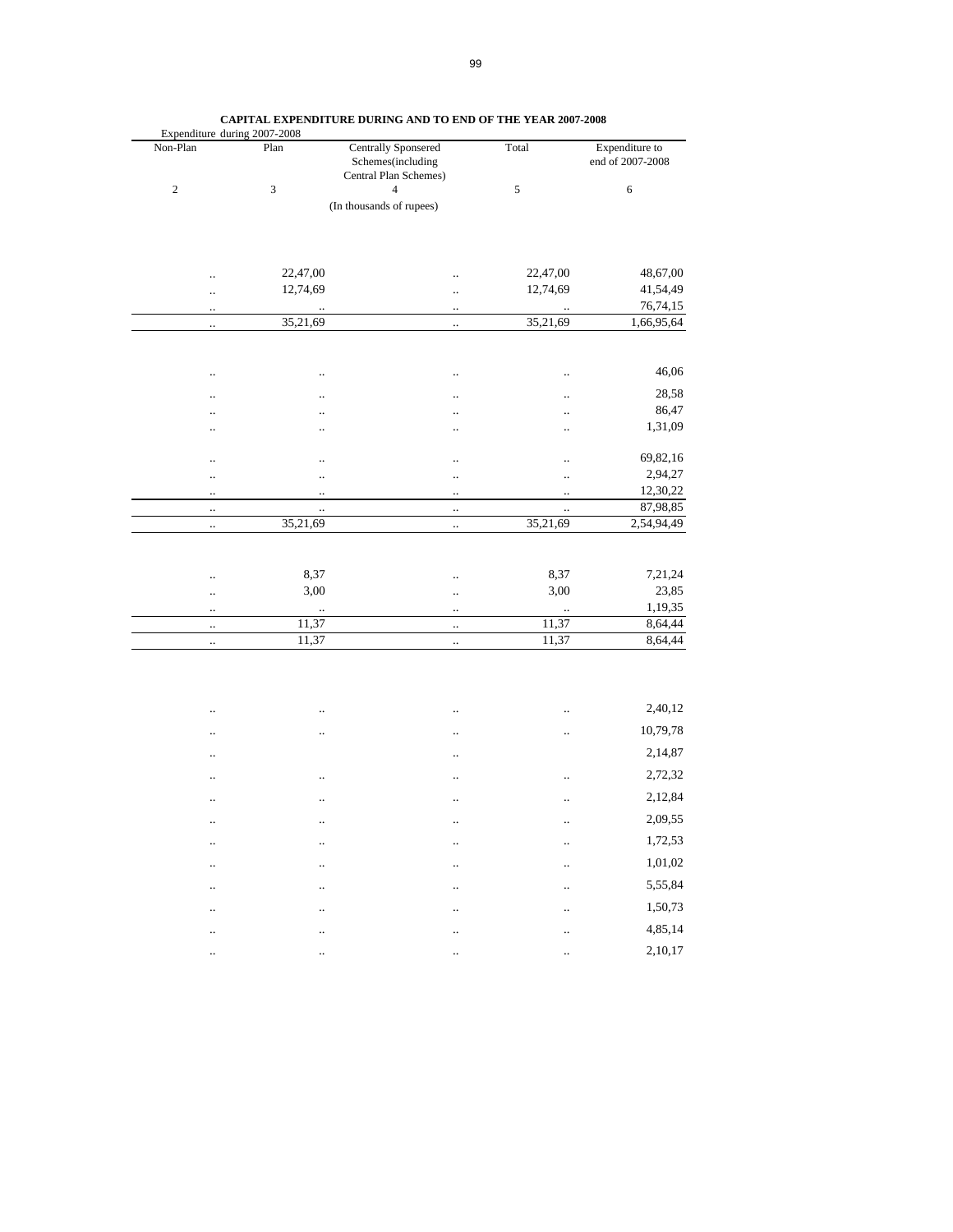| Non-Plan   | Plan                 | <b>Centrally Sponsered</b><br>Schemes(including<br>Central Plan Schemes) | Total                | Expenditure to<br>end of 2007-2008 |
|------------|----------------------|--------------------------------------------------------------------------|----------------------|------------------------------------|
| $\sqrt{2}$ | $\sqrt{3}$           | $\overline{4}$                                                           | $\sqrt{5}$           | $\epsilon$                         |
|            |                      | (In thousands of rupees)                                                 |                      |                                    |
|            | 22,47,00             |                                                                          | 22,47,00             | 48,67,00                           |
|            | 12,74,69             | $\ddot{\phantom{a}}$                                                     | 12,74,69             | 41,54,49                           |
|            |                      | $\ddot{\phantom{a}}$                                                     |                      | 76,74,15                           |
| ٠.         | 35,21,69             | $\ldots$                                                                 | 35,21,69             | 1,66,95,64                         |
|            |                      |                                                                          |                      |                                    |
|            |                      |                                                                          |                      | 46,06                              |
|            |                      |                                                                          |                      | 28,58                              |
|            |                      |                                                                          |                      | 86,47                              |
|            |                      |                                                                          |                      | 1,31,09                            |
|            |                      |                                                                          |                      | 69,82,16                           |
|            | $\ddot{\phantom{0}}$ |                                                                          | $\ddot{\phantom{0}}$ | 2,94,27                            |
|            | $\ddot{\phantom{a}}$ | $\ddot{\phantom{0}}$                                                     | $\ddotsc$            | 12,30,22                           |
|            | .,                   | $\ddot{\phantom{0}}$                                                     | $\ddot{\phantom{a}}$ | 87,98,85                           |
|            | 35,21,69             | $\ddotsc$                                                                | 35,21,69             | 2,54,94,49                         |
| .,         | 8,37                 |                                                                          | 8,37                 | 7,21,24                            |
|            | 3,00                 |                                                                          | 3,00                 | 23,85                              |
| $\cdot$ .  | $\ldots$             | $\ddotsc$                                                                | $\ldots$             | 1,19,35                            |
|            | 11,37                |                                                                          | 11,37                | 8,64,44                            |
| .,         | 11,37                | $\ddot{\phantom{a}}$                                                     | 11,37                | 8,64,44                            |
|            |                      |                                                                          |                      |                                    |
|            |                      |                                                                          | .,                   | 2,40,12                            |
|            |                      |                                                                          |                      | 10,79,78                           |
|            |                      |                                                                          |                      | 2,14,87                            |
|            |                      |                                                                          | $\ddot{\phantom{a}}$ | 2,72,32                            |
|            |                      |                                                                          |                      | 2,12,84                            |
|            | $\ddotsc$            | $\ddot{\phantom{a}}$                                                     |                      | 2,09,55                            |
|            |                      |                                                                          | $\ddot{\phantom{0}}$ | 1,72,53                            |
|            |                      |                                                                          | $\ddot{\phantom{0}}$ | 1,01,02                            |
|            |                      |                                                                          |                      | 5,55,84                            |
|            |                      |                                                                          |                      | 1,50,73                            |
|            |                      |                                                                          |                      | 4,85,14<br>2,10,17                 |
|            |                      |                                                                          |                      |                                    |

**CAPITAL EXPENDITURE DURING AND TO END OF THE YEAR 2007-2008**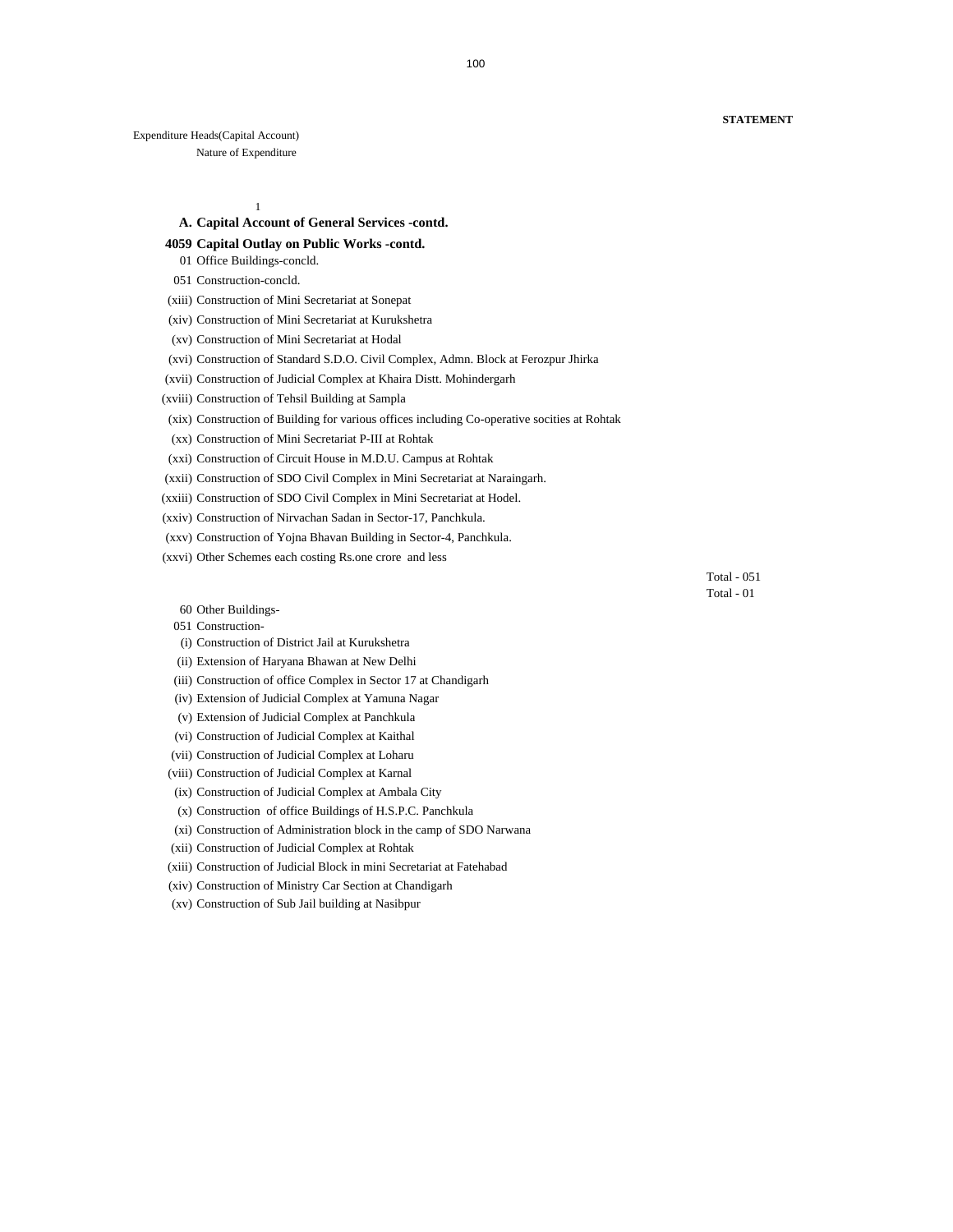### **STATEMENT**

Expenditure Heads(Capital Account)

Nature of Expenditure

#### **A. Capital Account of General Services -contd.**

### **4059 Capital Outlay on Public Works -contd.**

- 01 Office Buildings-concld.
- 051 Construction-concld.

1

- (xiii) Construction of Mini Secretariat at Sonepat
- (xiv) Construction of Mini Secretariat at Kurukshetra
- (xv) Construction of Mini Secretariat at Hodal
- (xvi) Construction of Standard S.D.O. Civil Complex, Admn. Block at Ferozpur Jhirka
- (xvii) Construction of Judicial Complex at Khaira Distt. Mohindergarh
- (xviii) Construction of Tehsil Building at Sampla
- (xix) Construction of Building for various offices including Co-operative socities at Rohtak
- (xx) Construction of Mini Secretariat P-III at Rohtak
- (xxi) Construction of Circuit House in M.D.U. Campus at Rohtak
- (xxii) Construction of SDO Civil Complex in Mini Secretariat at Naraingarh.
- (xxiii) Construction of SDO Civil Complex in Mini Secretariat at Hodel.
- (xxiv) Construction of Nirvachan Sadan in Sector-17, Panchkula.
- (xxv) Construction of Yojna Bhavan Building in Sector-4, Panchkula.
- (xxvi) Other Schemes each costing Rs.one crore and less

60 Other Buildings-

- 051 Construction-
- (i) Construction of District Jail at Kurukshetra
- (ii) Extension of Haryana Bhawan at New Delhi
- (iii) Construction of office Complex in Sector 17 at Chandigarh
- (iv) Extension of Judicial Complex at Yamuna Nagar
- (v) Extension of Judicial Complex at Panchkula
- (vi) Construction of Judicial Complex at Kaithal
- (vii) Construction of Judicial Complex at Loharu
- (viii) Construction of Judicial Complex at Karnal
- (ix) Construction of Judicial Complex at Ambala City
- (x) Construction of office Buildings of H.S.P.C. Panchkula
- (xi) Construction of Administration block in the camp of SDO Narwana
- (xii) Construction of Judicial Complex at Rohtak
- (xiii) Construction of Judicial Block in mini Secretariat at Fatehabad
- (xiv) Construction of Ministry Car Section at Chandigarh
- (xv) Construction of Sub Jail building at Nasibpur

Total - 051 Total - 01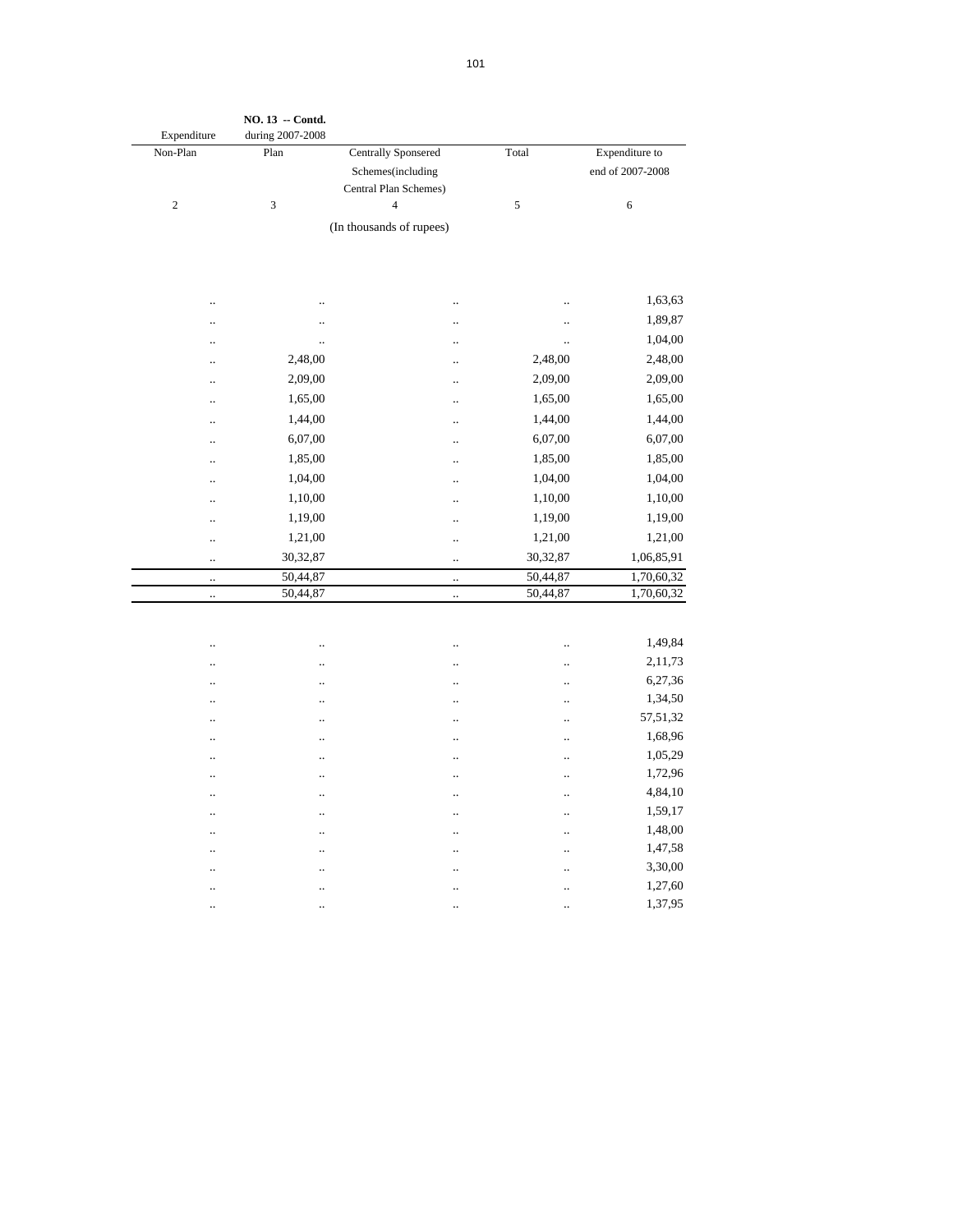| Expenditure    | NO. 13 -- Contd.<br>during 2007-2008 |                            |           |                  |
|----------------|--------------------------------------|----------------------------|-----------|------------------|
| Non-Plan       | Plan                                 | <b>Centrally Sponsered</b> | Total     | Expenditure to   |
|                |                                      | Schemes(including          |           | end of 2007-2008 |
|                |                                      | Central Plan Schemes)      |           |                  |
| $\overline{2}$ | 3                                    | $\overline{4}$             | 5         | 6                |
|                |                                      | (In thousands of rupees)   |           |                  |
|                |                                      |                            |           |                  |
|                |                                      |                            |           |                  |
|                |                                      |                            |           | 1,63,63          |
|                |                                      |                            |           | 1,89,87          |
|                |                                      |                            | $\ddotsc$ | 1,04,00          |
|                | 2,48,00                              |                            | 2,48,00   | 2,48,00          |
|                | 2,09,00                              |                            | 2,09,00   | 2,09,00          |
|                | 1,65,00                              |                            | 1,65,00   | 1,65,00          |
|                | 1,44,00                              | $\cdot$ .                  | 1,44,00   | 1,44,00          |
|                | 6,07,00                              |                            | 6,07,00   | 6,07,00          |
|                | 1,85,00                              |                            | 1,85,00   | 1,85,00          |
|                | 1,04,00                              |                            | 1,04,00   | 1,04,00          |
|                | 1,10,00                              |                            | 1,10,00   | 1,10,00          |
|                | 1,19,00                              |                            | 1,19,00   | 1,19,00          |
|                | 1,21,00                              |                            | 1,21,00   | 1,21,00          |
|                | 30,32,87                             | $\ddotsc$                  | 30,32,87  | 1,06,85,91       |
|                | $\overline{50,}44,87$                | $\ddot{\phantom{0}}$       | 50,44,87  | 1,70,60,32       |
|                | 50,44,87                             | $\ddot{\phantom{0}}$       | 50,44,87  | 1,70,60,32       |

|  | $\cdot$ . |              | $\cdot\cdot$  | 1,49,84  |
|--|-----------|--------------|---------------|----------|
|  | $\ldots$  |              | $\ldots$      | 2,11,73  |
|  | $\ldots$  |              | $\cdot\cdot$  | 6,27,36  |
|  | $\ldots$  |              | $\ldots$      | 1,34,50  |
|  | $\ldots$  |              | $\ldots$      | 57,51,32 |
|  | $\ldots$  | $\ddotsc$    | $\ldots$      | 1,68,96  |
|  | $\ldots$  |              | $\ldots$      | 1,05,29  |
|  | $\ldots$  | $\ddotsc$    | $\cdot\cdot$  | 1,72,96  |
|  | $\ddotsc$ | $\ddotsc$    | $\ddotsc$     | 4,84,10  |
|  | $\ldots$  | $\cdot\cdot$ | $\ldots$      | 1,59,17  |
|  | $\ldots$  | $\ddotsc$    | $\cdot \cdot$ | 1,48,00  |
|  | $\ldots$  |              | $\cdot\cdot$  | 1,47,58  |
|  | $\ldots$  | $\ddotsc$    | $\ddotsc$     | 3,30,00  |
|  | $\ddotsc$ | $\ddotsc$    | $\cdot \cdot$ | 1,27,60  |
|  |           |              |               | 1,37,95  |
|  | $\ldots$  |              | $\cdot\cdot$  |          |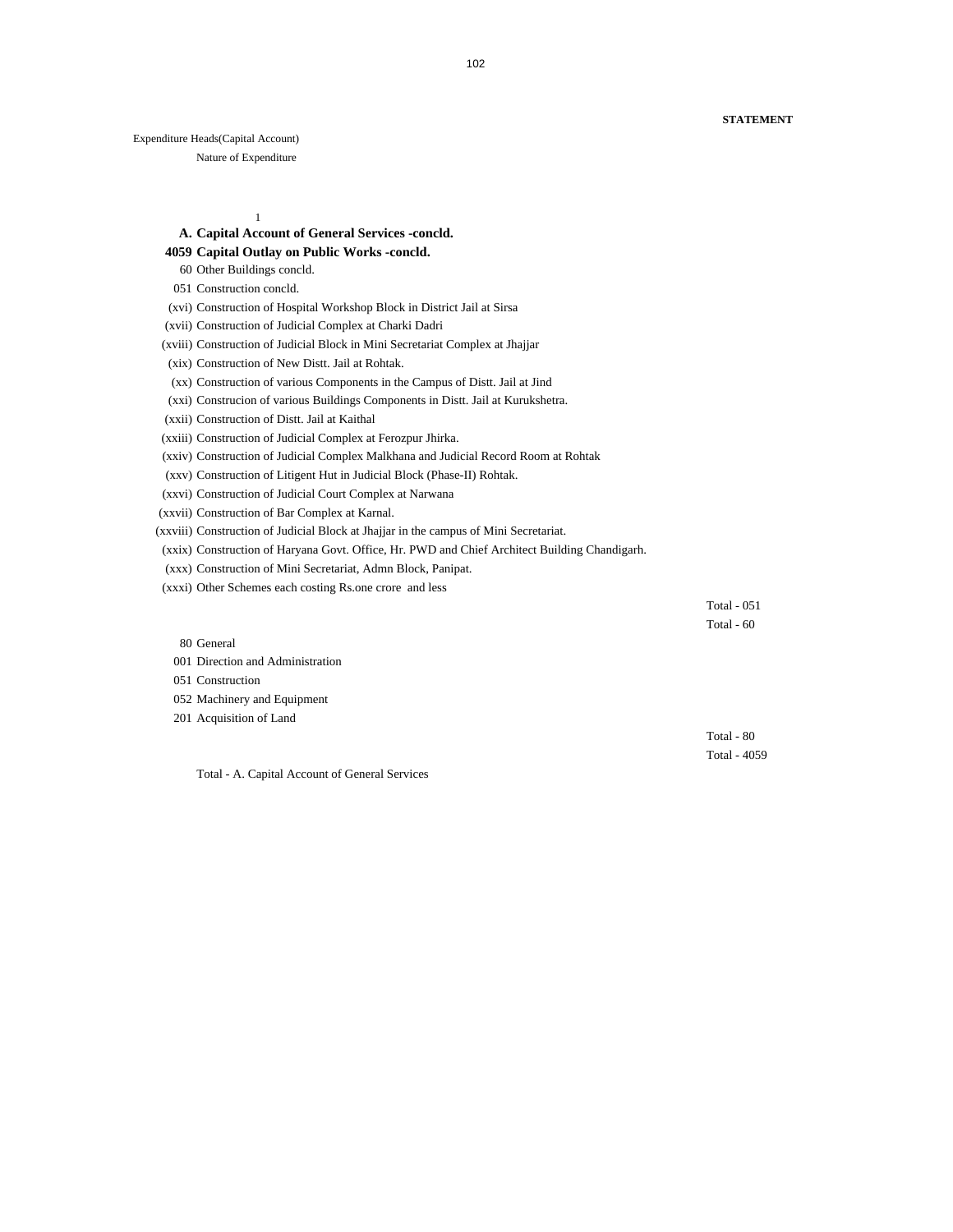#### **STATEMENT**

Expenditure Heads(Capital Account)

Nature of Expenditure

1

### **A. Capital Account of General Services -concld.**

#### **4059 Capital Outlay on Public Works -concld.**

- 60 Other Buildings concld.
- 051 Construction concld.
- (xvi) Construction of Hospital Workshop Block in District Jail at Sirsa
- (xvii) Construction of Judicial Complex at Charki Dadri
- (xviii) Construction of Judicial Block in Mini Secretariat Complex at Jhajjar
- (xix) Construction of New Distt. Jail at Rohtak.
- (xx) Construction of various Components in the Campus of Distt. Jail at Jind
- (xxi) Construcion of various Buildings Components in Distt. Jail at Kurukshetra.
- (xxii) Construction of Distt. Jail at Kaithal
- (xxiii) Construction of Judicial Complex at Ferozpur Jhirka.
- (xxiv) Construction of Judicial Complex Malkhana and Judicial Record Room at Rohtak
- (xxv) Construction of Litigent Hut in Judicial Block (Phase-II) Rohtak.
- (xxvi) Construction of Judicial Court Complex at Narwana
- (xxvii) Construction of Bar Complex at Karnal.
- (xxviii) Construction of Judicial Block at Jhajjar in the campus of Mini Secretariat.
- (xxix) Construction of Haryana Govt. Office, Hr. PWD and Chief Architect Building Chandigarh.
- (xxx) Construction of Mini Secretariat, Admn Block, Panipat.
- (xxxi) Other Schemes each costing Rs.one crore and less

|                                  | <b>Total - 051</b> |
|----------------------------------|--------------------|
|                                  | Total - 60         |
| 80 General                       |                    |
| 001 Direction and Administration |                    |
| 051 Construction                 |                    |
| 052 Machinery and Equipment      |                    |
| 201 Acquisition of Land          |                    |
|                                  | Total - 80         |
|                                  | Total - 4059       |
|                                  |                    |

Total - A. Capital Account of General Services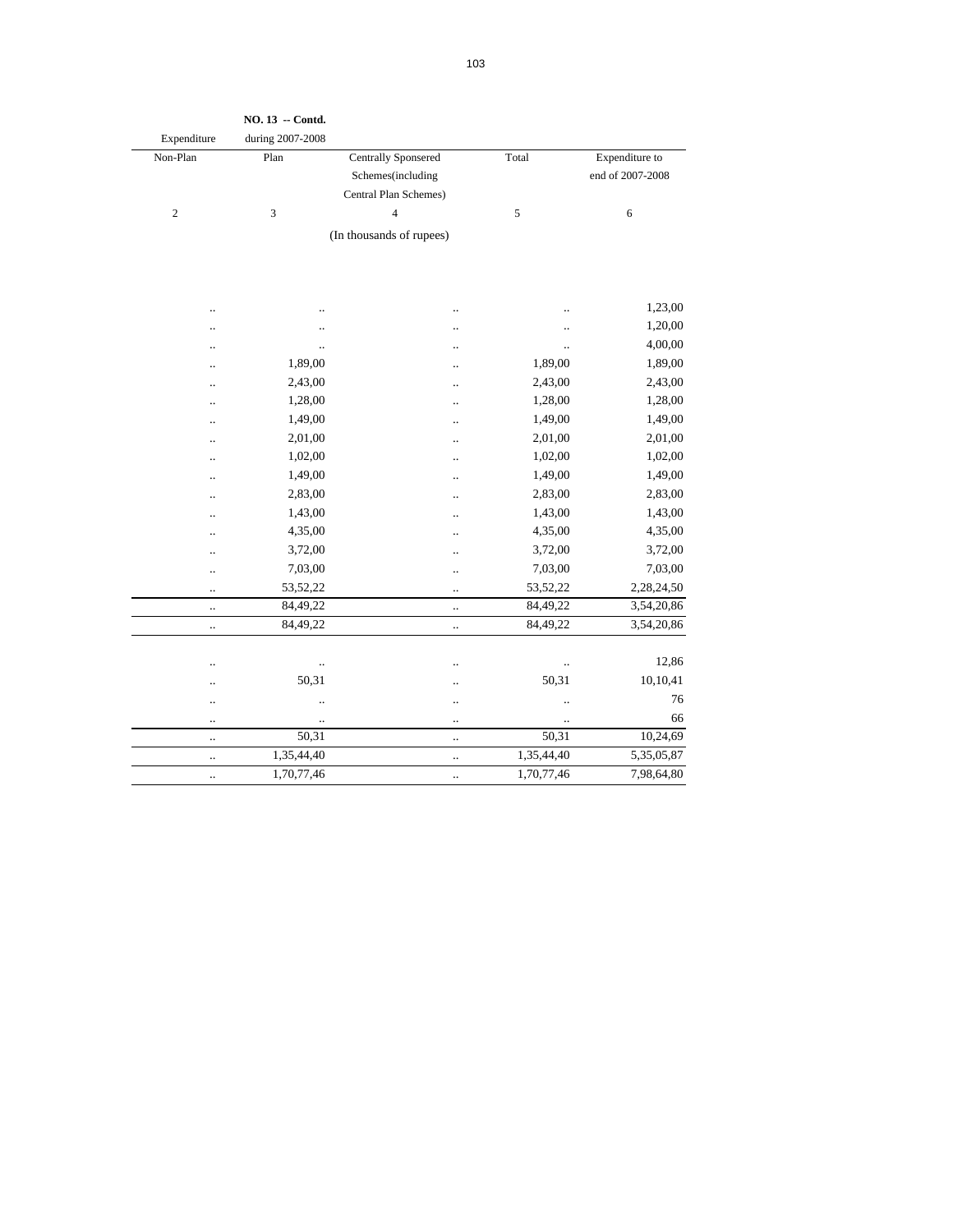|                      | NO. 13 -- Contd.     |                          |                      |                  |
|----------------------|----------------------|--------------------------|----------------------|------------------|
| Expenditure          | during 2007-2008     |                          |                      |                  |
| Non-Plan             | Plan                 | Centrally Sponsered      | Total                | Expenditure to   |
|                      |                      | Schemes(including        |                      | end of 2007-2008 |
|                      |                      | Central Plan Schemes)    |                      |                  |
| $\sqrt{2}$           | 3                    | $\overline{4}$           | 5                    | 6                |
|                      |                      | (In thousands of rupees) |                      |                  |
|                      |                      |                          |                      |                  |
|                      |                      |                          |                      | 1,23,00          |
|                      |                      |                          |                      | 1,20,00          |
|                      |                      |                          |                      | 4,00,00          |
|                      | 1,89,00              |                          | 1,89,00              | 1,89,00          |
|                      | 2,43,00              |                          | 2,43,00              | 2,43,00          |
|                      | 1,28,00              |                          | 1,28,00              | 1,28,00          |
|                      | 1,49,00              |                          | 1,49,00              | 1,49,00          |
|                      | 2,01,00              |                          | 2,01,00              | 2,01,00          |
|                      | 1,02,00              |                          | 1,02,00              | 1,02,00          |
| ٠.                   | 1,49,00              |                          | 1,49,00              | 1,49,00          |
|                      | 2,83,00              |                          | 2,83,00              | 2,83,00          |
| .,                   | 1,43,00              |                          | 1,43,00              | 1,43,00          |
|                      | 4,35,00              |                          | 4,35,00              | 4,35,00          |
|                      | 3,72,00              |                          | 3,72,00              | 3,72,00          |
|                      | 7,03,00              |                          | 7,03,00              | 7,03,00          |
| $\cdot$ .            | 53,52,22             | $\ddotsc$                | 53,52,22             | 2,28,24,50       |
| $\ddotsc$            | 84,49,22             |                          | 84,49,22             | 3,54,20,86       |
| $\cdot$ .            | 84,49,22             |                          | 84,49,22             | 3,54,20,86       |
|                      |                      |                          |                      |                  |
|                      | $\ddot{\phantom{0}}$ |                          |                      | 12,86            |
|                      | 50,31                |                          | 50,31                | 10,10,41         |
|                      | $\ddot{\phantom{0}}$ | $\ddot{\phantom{0}}$     | $\ddot{\phantom{0}}$ | 76               |
| $\cdot$ .            |                      | $\ddotsc$                | $\ddotsc$            | 66               |
| $\cdot$ .            | 50,31                |                          | 50,31                | 10,24,69         |
| $\ddot{\phantom{0}}$ | 1,35,44,40           | $\ddot{\phantom{0}}$     | 1,35,44,40           | 5,35,05,87       |
| $\ddot{\phantom{0}}$ | 1,70,77,46           | $\ddot{\phantom{0}}$     | 1,70,77,46           | 7,98,64,80       |

103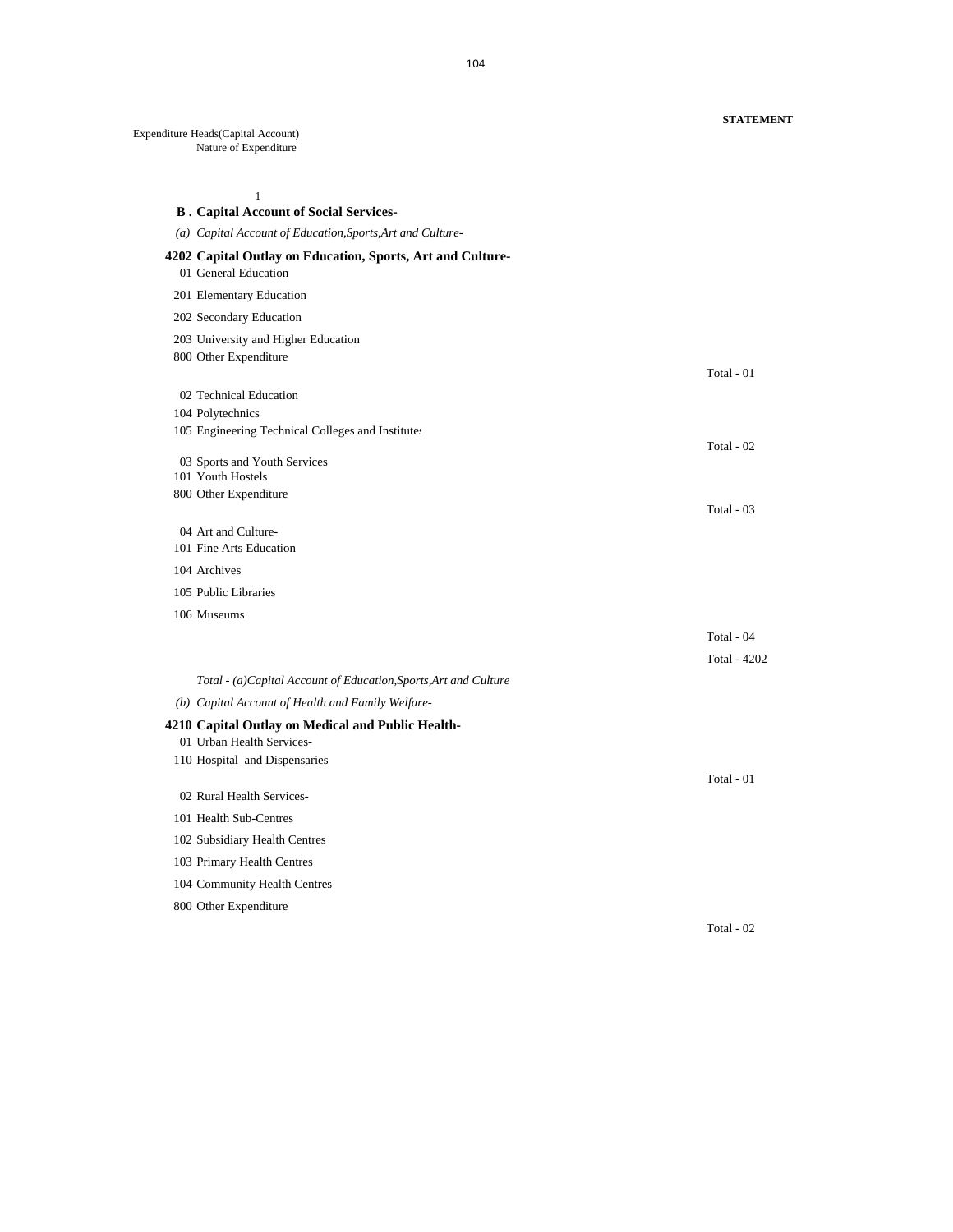## **STATEMENT**

Expenditure Heads(Capital Account) Nature of Expenditure

| $\mathbf{1}$                                                                       |              |
|------------------------------------------------------------------------------------|--------------|
| <b>B. Capital Account of Social Services-</b>                                      |              |
| (a) Capital Account of Education, Sports, Art and Culture-                         |              |
| 4202 Capital Outlay on Education, Sports, Art and Culture-<br>01 General Education |              |
| 201 Elementary Education                                                           |              |
|                                                                                    |              |
| 202 Secondary Education                                                            |              |
| 203 University and Higher Education<br>800 Other Expenditure                       |              |
|                                                                                    | Total - 01   |
| 02 Technical Education                                                             |              |
| 104 Polytechnics                                                                   |              |
| 105 Engineering Technical Colleges and Institutes                                  |              |
|                                                                                    | Total - 02   |
| 03 Sports and Youth Services<br>101 Youth Hostels                                  |              |
| 800 Other Expenditure                                                              |              |
|                                                                                    | Total - 03   |
| 04 Art and Culture-                                                                |              |
| 101 Fine Arts Education                                                            |              |
| 104 Archives                                                                       |              |
| 105 Public Libraries                                                               |              |
| 106 Museums                                                                        |              |
|                                                                                    | Total - 04   |
|                                                                                    | Total - 4202 |
| Total - (a)Capital Account of Education, Sports, Art and Culture                   |              |
| (b) Capital Account of Health and Family Welfare-                                  |              |
| 4210 Capital Outlay on Medical and Public Health-                                  |              |
| 01 Urban Health Services-                                                          |              |
| 110 Hospital and Dispensaries                                                      |              |
|                                                                                    | Total - 01   |
| 02 Rural Health Services-                                                          |              |
| 101 Health Sub-Centres                                                             |              |
| 102 Subsidiary Health Centres                                                      |              |
| 103 Primary Health Centres                                                         |              |
| 104 Community Health Centres                                                       |              |

800 Other Expenditure

Total - 02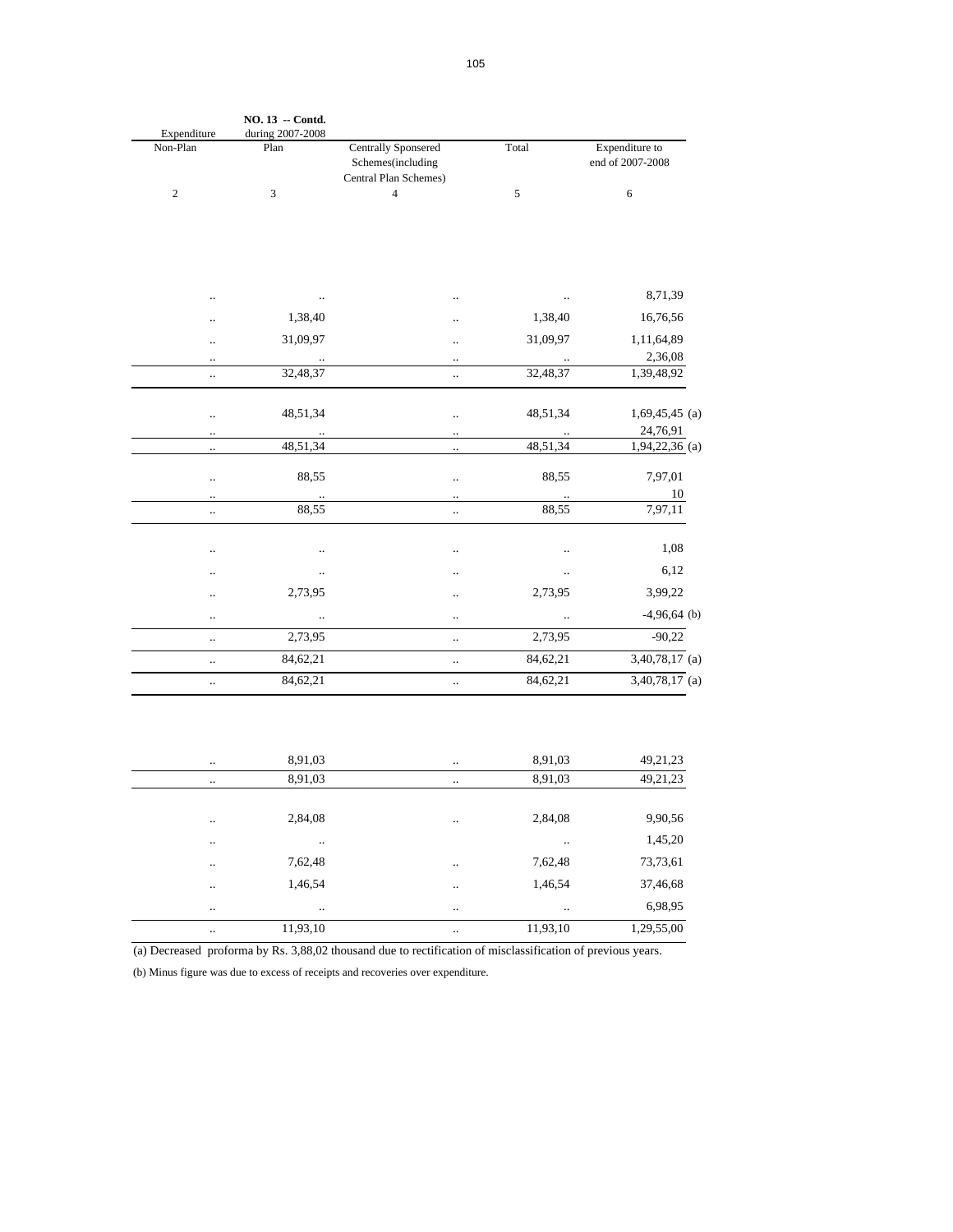| Expenditure          | NO. 13 -- Contd.<br>during 2007-2008 |                                                 |            |                                    |
|----------------------|--------------------------------------|-------------------------------------------------|------------|------------------------------------|
| Non-Plan             | Plan                                 | <b>Centrally Sponsered</b><br>Schemes(including | Total      | Expenditure to<br>end of 2007-2008 |
|                      |                                      | Central Plan Schemes)                           |            |                                    |
| $\overline{2}$       | 3                                    | $\overline{4}$                                  | $\sqrt{5}$ | 6                                  |
|                      |                                      |                                                 |            |                                    |
|                      | $\ddotsc$                            |                                                 | $\ldots$   | 8,71,39                            |
|                      | 1,38,40                              |                                                 | 1,38,40    | 16,76,56                           |
|                      | 31,09,97                             |                                                 | 31,09,97   | 1,11,64,89                         |
| $\ddot{\phantom{a}}$ |                                      |                                                 |            | 2,36,08                            |
| ٠.                   | 32,48,37                             |                                                 | 32,48,37   | 1,39,48,92                         |
| $\ddot{\phantom{a}}$ | 48,51,34                             | Ω.                                              | 48,51,34   | $1,69,45,45$ (a)                   |
|                      |                                      |                                                 |            | 24,76,91                           |
|                      | 48,51,34                             | $\ddot{\phantom{a}}$                            | 48,51,34   | $1,94,22,36$ (a)                   |
|                      | 88,55                                |                                                 | 88,55      | 7,97,01                            |
|                      |                                      |                                                 |            | 10                                 |
| ٠.                   | 88,55                                |                                                 | 88,55      | 7,97,11                            |
| ٠.                   |                                      |                                                 |            | 1,08                               |
|                      |                                      |                                                 |            | 6,12                               |
|                      | 2,73,95                              |                                                 | 2,73,95    | 3,99,22                            |
| $\ddotsc$            | $\cdot$ .                            | $\ddotsc$                                       | $\ddotsc$  | $-4,96,64$ (b)                     |
| $\cdot$ .            | 2,73,95                              | $\ddotsc$                                       | 2,73,95    | $-90,22$                           |
|                      | 84,62,21                             |                                                 | 84,62,21   | $\overline{3,40,78,17}$ (a)        |
| $\cdot$ .            | 84,62,21                             | $\ddotsc$                                       | 84,62,21   | 3,40,78,17 (a)                     |

| $\ddotsc$    | 8,91,03       |           | 8,91,03   | 49,21,23   |
|--------------|---------------|-----------|-----------|------------|
| $\cdot\cdot$ | 8,91,03       |           | 8,91,03   | 49,21,23   |
|              |               |           |           |            |
|              | 2,84,08       | $\ddotsc$ | 2,84,08   | 9,90,56    |
|              | $\cdot \cdot$ |           | $\cdot$ . | 1,45,20    |
|              | 7,62,48       |           | 7,62,48   | 73,73,61   |
|              | 1,46,54       |           | 1,46,54   | 37,46,68   |
|              | $\cdot$ .     |           | $\ddotsc$ | 6,98,95    |
| $\ddotsc$    | 11,93,10      |           | 11,93,10  | 1,29,55,00 |

(a) Decreased proforma by Rs. 3,88,02 thousand due to rectification of misclassification of previous years.

(b) Minus figure was due to excess of receipts and recoveries over expenditure.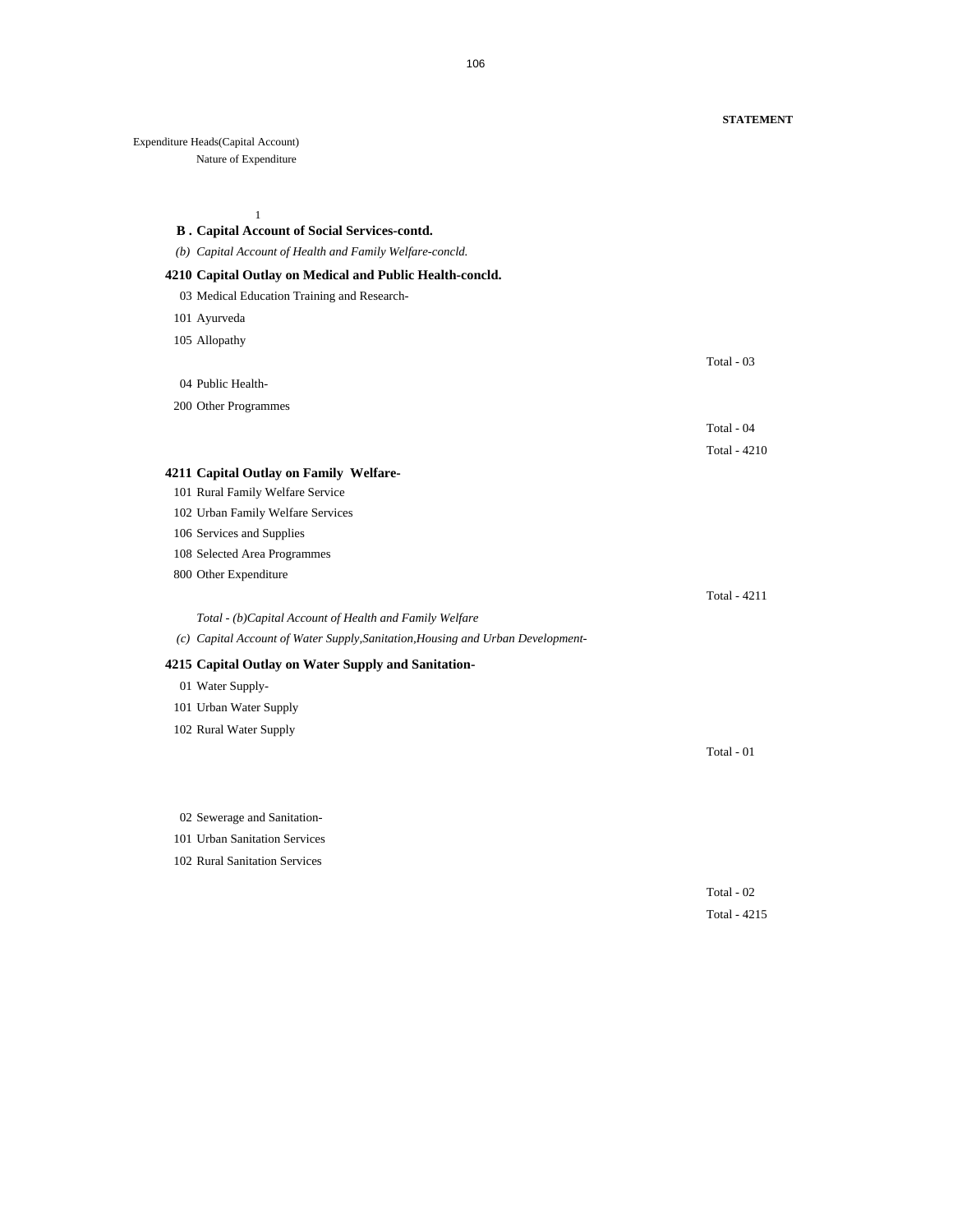Expenditure Heads(Capital Account)

Nature of Expenditure

102 Rural Sanitation Services

| $\mathbf{1}$                                                                    |                     |
|---------------------------------------------------------------------------------|---------------------|
| <b>B.</b> Capital Account of Social Services-contd.                             |                     |
| (b) Capital Account of Health and Family Welfare-concld.                        |                     |
| 4210 Capital Outlay on Medical and Public Health-concld.                        |                     |
| 03 Medical Education Training and Research-                                     |                     |
| 101 Ayurveda                                                                    |                     |
| 105 Allopathy                                                                   |                     |
|                                                                                 | Total - 03          |
| 04 Public Health-                                                               |                     |
| 200 Other Programmes                                                            |                     |
|                                                                                 | Total - 04          |
|                                                                                 | <b>Total - 4210</b> |
| 4211 Capital Outlay on Family Welfare-                                          |                     |
| 101 Rural Family Welfare Service                                                |                     |
| 102 Urban Family Welfare Services                                               |                     |
| 106 Services and Supplies                                                       |                     |
| 108 Selected Area Programmes                                                    |                     |
| 800 Other Expenditure                                                           |                     |
|                                                                                 | Total - 4211        |
| Total - (b)Capital Account of Health and Family Welfare                         |                     |
| (c) Capital Account of Water Supply, Sanitation, Housing and Urban Development- |                     |
| 4215 Capital Outlay on Water Supply and Sanitation-                             |                     |
| 01 Water Supply-                                                                |                     |
| 101 Urban Water Supply                                                          |                     |
| 102 Rural Water Supply                                                          |                     |
|                                                                                 | Total - 01          |
|                                                                                 |                     |
|                                                                                 |                     |
| 02 Sewerage and Sanitation-                                                     |                     |
| 101 Urban Sanitation Services                                                   |                     |

Total - 02 Total - 4215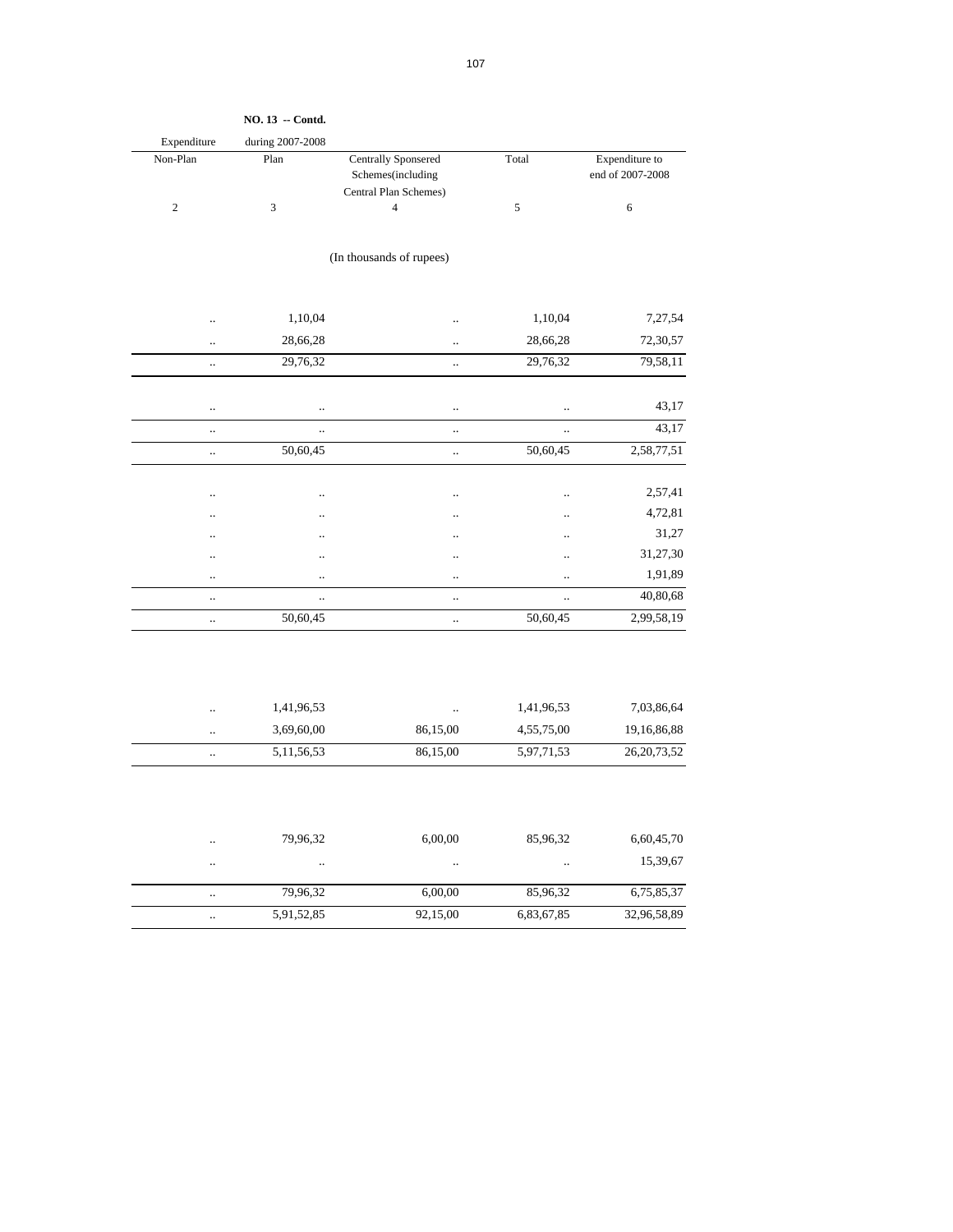|                         | NO. 13 -- Contd.            |                            |                      |                  |
|-------------------------|-----------------------------|----------------------------|----------------------|------------------|
| Expenditure<br>Non-Plan | during 2007-2008<br>Plan    | <b>Centrally Sponsered</b> | Total                | Expenditure to   |
|                         |                             | Schemes(including          |                      | end of 2007-2008 |
|                         |                             | Central Plan Schemes)      |                      |                  |
| $\sqrt{2}$              | $\ensuremath{\mathfrak{Z}}$ | $\overline{4}$             | $\mathfrak s$        | $\epsilon$       |
|                         |                             | (In thousands of rupees)   |                      |                  |
| $\ddotsc$               | 1,10,04                     | $\ddotsc$                  | 1,10,04              | 7,27,54          |
|                         | 28,66,28                    |                            | 28,66,28             | 72,30,57         |
| ä,                      | 29,76,32                    | $\ddotsc$                  | 29,76,32             | 79,58,11         |
| $\ddot{\phantom{a}}$    |                             | $\ddot{\phantom{0}}$       |                      | 43,17            |
| $\ddot{\phantom{0}}$    | .,                          | ă,                         | .,                   | 43,17            |
| Ц,                      | 50,60,45                    | $\ddot{\phantom{0}}$       | 50,60,45             | 2,58,77,51       |
|                         |                             |                            |                      | 2,57,41          |
|                         |                             | $\ddot{\phantom{a}}$       |                      | 4,72,81          |
|                         |                             |                            |                      | 31,27            |
| $\ddot{\phantom{a}}$    |                             | $\ddot{\phantom{0}}$       | $\ddot{\phantom{a}}$ | 31,27,30         |
| $\ddot{\phantom{0}}$    |                             |                            |                      | 1,91,89          |
| $\ddotsc$               | .,                          |                            | .,                   | 40,80,68         |
| $\ldots$                | 50,60,45                    | $\ddot{\phantom{0}}$       | 50,60,45             | 2,99,58,19       |
|                         |                             |                            |                      |                  |
| Ϋ.                      | 1,41,96,53                  | $\ddotsc$                  | 1,41,96,53           | 7,03,86,64       |
| $\ddotsc$               | 3,69,60,00                  | 86,15,00                   | 4,55,75,00           | 19, 16, 86, 88   |
|                         | 5,11,56,53                  | 86,15,00                   | 5,97,71,53           | 26, 20, 73, 52   |
|                         |                             |                            |                      |                  |
| $\ddot{\phantom{a}}$    | 79,96,32                    | 6,00,00                    | 85,96,32             | 6,60,45,70       |
| $\ddot{\phantom{0}}$    | $\ddot{\phantom{a}}$        | $\ddotsc$                  | $\ddotsc$            | 15,39,67         |
| $\cdots$                | 79,96,32                    | 6,00,00                    | 85,96,32             | 6,75,85,37       |
| μ,                      | 5,91,52,85                  | 92,15,00                   | 6,83,67,85           | 32,96,58,89      |

|  | $NO. 13 - Cont$ |
|--|-----------------|
|  |                 |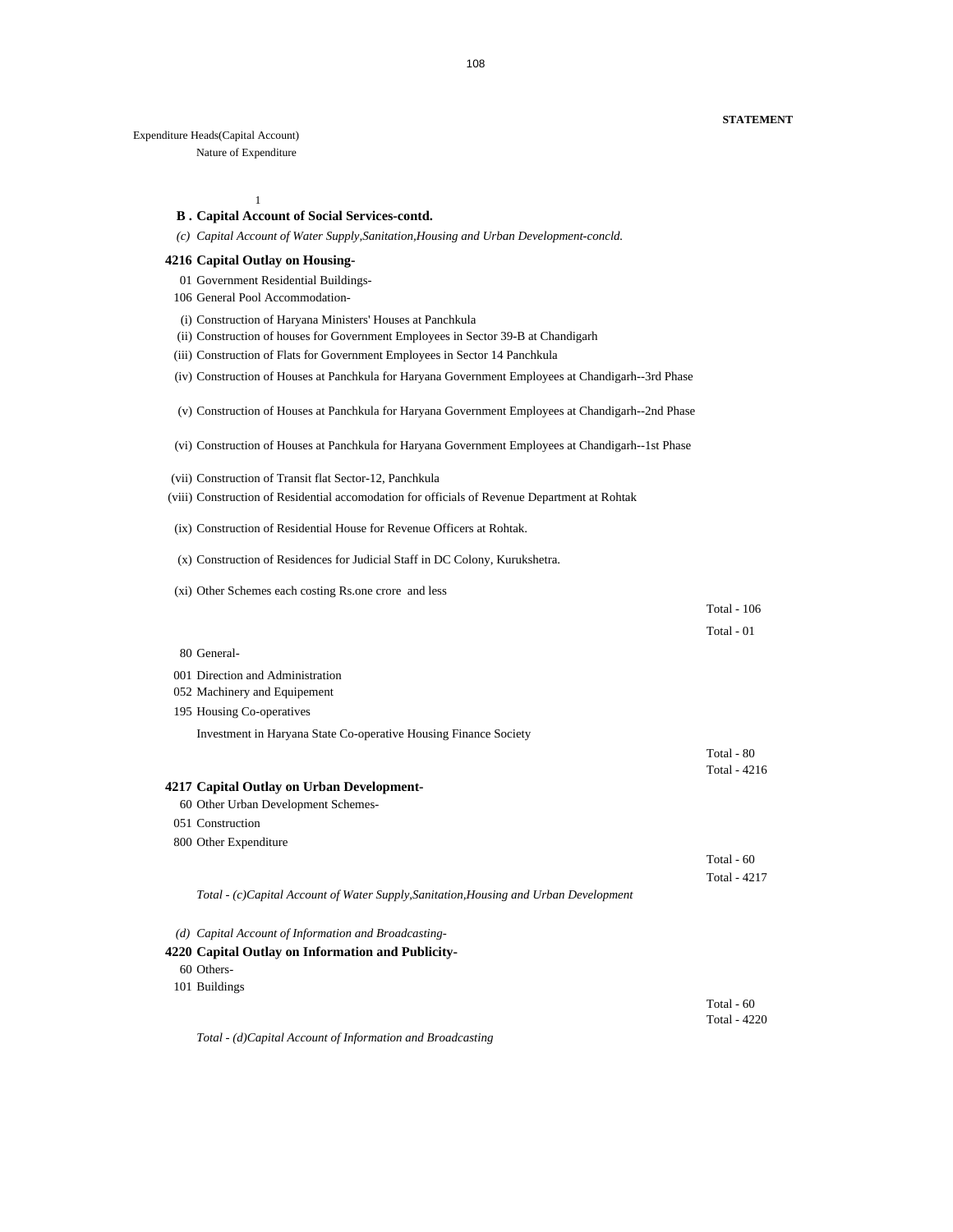Expenditure Heads(Capital Account)

Nature of Expenditure

1

#### **B . Capital Account of Social Services-contd.**

*(c) Capital Account of Water Supply,Sanitation,Housing and Urban Development-concld.*

#### **4216 Capital Outlay on Housing-**

- 01 Government Residential Buildings-
- 106 General Pool Accommodation-
- (i) Construction of Haryana Ministers' Houses at Panchkula
- (ii) Construction of houses for Government Employees in Sector 39-B at Chandigarh
- (iii) Construction of Flats for Government Employees in Sector 14 Panchkula
- (iv) Construction of Houses at Panchkula for Haryana Government Employees at Chandigarh--3rd Phase
- (v) Construction of Houses at Panchkula for Haryana Government Employees at Chandigarh--2nd Phase
- (vi) Construction of Houses at Panchkula for Haryana Government Employees at Chandigarh--1st Phase
- (vii) Construction of Transit flat Sector-12, Panchkula
- (viii) Construction of Residential accomodation for officials of Revenue Department at Rohtak
- (ix) Construction of Residential House for Revenue Officers at Rohtak.
- (x) Construction of Residences for Judicial Staff in DC Colony, Kurukshetra.
- (xi) Other Schemes each costing Rs.one crore and less

|                                                                                       | <b>Total - 106</b> |
|---------------------------------------------------------------------------------------|--------------------|
|                                                                                       | Total - 01         |
| 80 General-                                                                           |                    |
| 001 Direction and Administration                                                      |                    |
| 052 Machinery and Equipement                                                          |                    |
| 195 Housing Co-operatives                                                             |                    |
| Investment in Haryana State Co-operative Housing Finance Society                      |                    |
|                                                                                       | Total - 80         |
|                                                                                       | Total - 4216       |
| 4217 Capital Outlay on Urban Development-                                             |                    |
| 60 Other Urban Development Schemes-                                                   |                    |
| 051 Construction                                                                      |                    |
| 800 Other Expenditure                                                                 |                    |
|                                                                                       | Total - $60$       |
|                                                                                       | Total - 4217       |
| Total - (c)Capital Account of Water Supply, Sanitation, Housing and Urban Development |                    |
| (d) Capital Account of Information and Broadcasting-                                  |                    |
| 4220 Capital Outlay on Information and Publicity-                                     |                    |
| 60 Others-                                                                            |                    |
| 101 Buildings                                                                         |                    |
|                                                                                       | Total $-60$        |
|                                                                                       | Total - 4220       |

*Total - (d)Capital Account of Information and Broadcasting*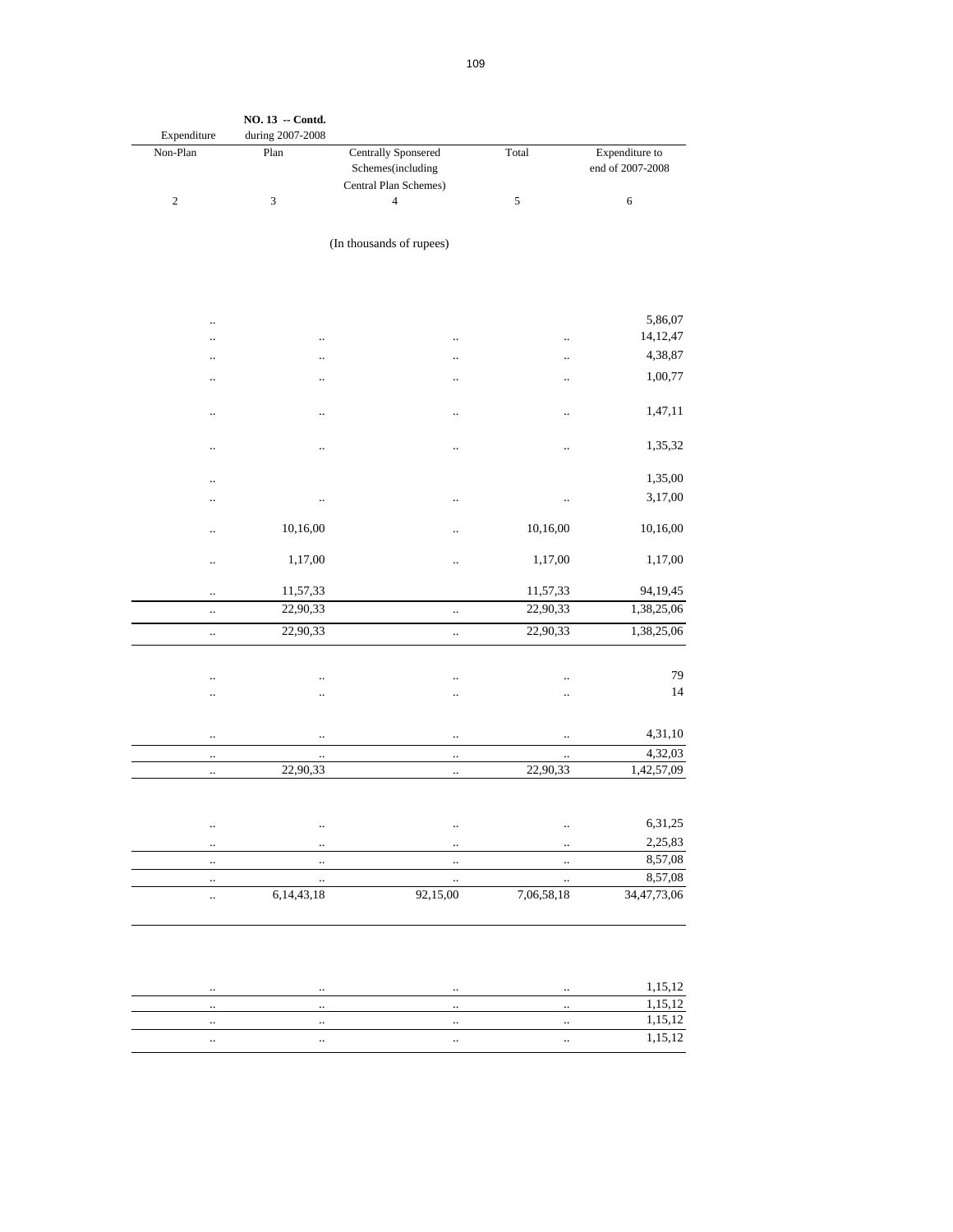|                      | NO. 13 -- Contd.     |                            |                      |                  |
|----------------------|----------------------|----------------------------|----------------------|------------------|
| Expenditure          | during 2007-2008     |                            |                      |                  |
| Non-Plan             | Plan                 | <b>Centrally Sponsered</b> | Total                | Expenditure to   |
|                      |                      | Schemes(including          |                      | end of 2007-2008 |
|                      |                      | Central Plan Schemes)      |                      |                  |
| $\sqrt{2}$           | $\mathfrak{Z}$       | $\overline{4}$             | $\sqrt{5}$           | $\boldsymbol{6}$ |
|                      |                      |                            |                      |                  |
|                      |                      | (In thousands of rupees)   |                      |                  |
|                      |                      |                            |                      |                  |
|                      |                      |                            |                      | 5,86,07          |
| $\ddot{\phantom{a}}$ | $\ddot{\phantom{a}}$ | $\ddot{\phantom{0}}$       | $\ddot{\phantom{a}}$ | 14, 12, 47       |
|                      |                      |                            |                      | 4,38,87          |
|                      |                      |                            |                      |                  |
| ٠.                   | $\ddot{\phantom{a}}$ | $\ddot{\phantom{a}}$       | $\ddot{\phantom{a}}$ | 1,00,77          |
| .,                   |                      |                            |                      | 1,47,11          |
| Ω.                   |                      |                            |                      | 1,35,32          |
|                      |                      |                            |                      | 1,35,00          |
|                      |                      |                            |                      | 3,17,00          |
|                      | $\ddot{\phantom{0}}$ |                            | $\ddot{\phantom{a}}$ |                  |
| Ω.                   | 10,16,00             | Ω.                         | 10,16,00             | 10,16,00         |
|                      | 1,17,00              |                            | 1,17,00              | 1,17,00          |
| .,                   | 11,57,33             |                            | 11,57,33             | 94,19,45         |
| .,                   | 22,90,33             | $\ddotsc$                  | 22,90,33             | 1,38,25,06       |
| .,                   | 22,90,33             | $\ddotsc$                  | 22,90,33             | 1,38,25,06       |
|                      |                      |                            |                      |                  |
| .,                   |                      |                            | $\ddotsc$            | 79               |
| μ,                   |                      |                            | $\ddot{\phantom{a}}$ | 14               |
|                      |                      |                            |                      |                  |
| $\ldots$             | $\ldots$             | $\ldots$                   | $\ldots$             | 4,31,10          |
|                      |                      | $\ldots$                   | $\ddotsc$            | 4,32,03          |
| $\ddot{\phantom{a}}$ | 22,90,33             | ä,                         | 22,90,33             | 1,42,57,09       |
|                      |                      |                            |                      |                  |
|                      |                      |                            | $\ddotsc$            | 6,31,25          |
|                      | $\ldots$             | $\ldots$                   | $\ldots$             | 2,25,83          |
| ä,                   | $\ddot{\phantom{a}}$ | $\ddotsc$                  |                      | 8,57,08          |
| à,                   | $\ddotsc$            | $\ddotsc$                  | .,                   | 8,57,08          |
|                      | 6, 14, 43, 18        | 92,15,00                   | 7,06,58,18           | 34, 47, 73, 06   |
|                      |                      |                            |                      |                  |

# .. .. .. .. 1,15,12 .. .. .. .. 1,15,12 .. .. .. .. 1,15,12 .. .. .. .. 1,15,12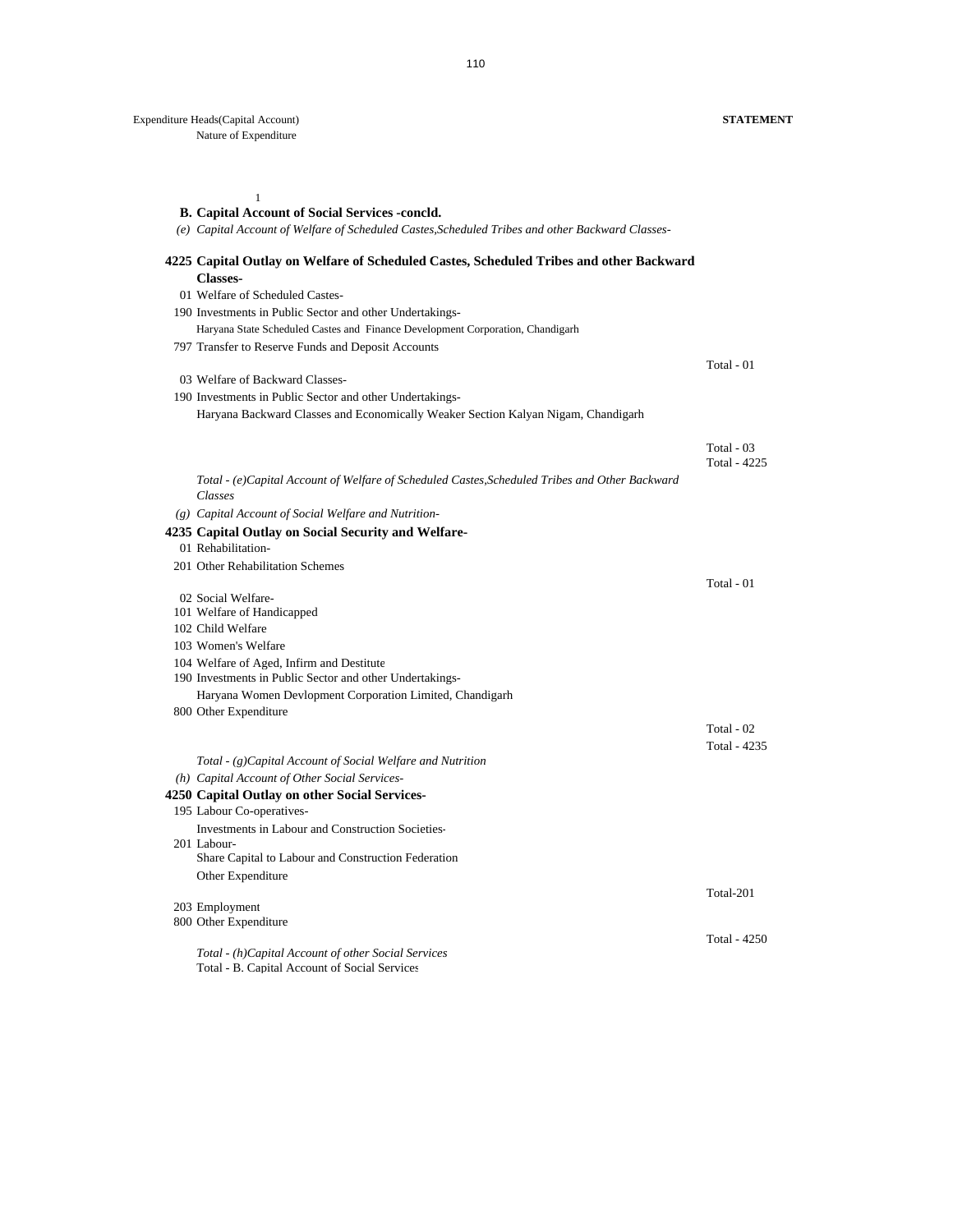Expenditure Heads(Capital Account) **STATEMENT**

110

| 1<br><b>B. Capital Account of Social Services -concld.</b>                                                |                            |
|-----------------------------------------------------------------------------------------------------------|----------------------------|
| (e) Capital Account of Welfare of Scheduled Castes, Scheduled Tribes and other Backward Classes-          |                            |
| 4225 Capital Outlay on Welfare of Scheduled Castes, Scheduled Tribes and other Backward                   |                            |
| <b>Classes-</b><br>01 Welfare of Scheduled Castes-                                                        |                            |
| 190 Investments in Public Sector and other Undertakings-                                                  |                            |
| Haryana State Scheduled Castes and Finance Development Corporation, Chandigarh                            |                            |
| 797 Transfer to Reserve Funds and Deposit Accounts                                                        |                            |
|                                                                                                           | Total - 01                 |
| 03 Welfare of Backward Classes-                                                                           |                            |
| 190 Investments in Public Sector and other Undertakings-                                                  |                            |
| Haryana Backward Classes and Economically Weaker Section Kalyan Nigam, Chandigarh                         |                            |
|                                                                                                           | Total - 03<br>Total - 4225 |
| Total - (e)Capital Account of Welfare of Scheduled Castes, Scheduled Tribes and Other Backward<br>Classes |                            |
| (g) Capital Account of Social Welfare and Nutrition-                                                      |                            |
| 4235 Capital Outlay on Social Security and Welfare-                                                       |                            |
| 01 Rehabilitation-                                                                                        |                            |
| 201 Other Rehabilitation Schemes                                                                          |                            |
| 02 Social Welfare-                                                                                        | Total - 01                 |
| 101 Welfare of Handicapped                                                                                |                            |
| 102 Child Welfare                                                                                         |                            |
| 103 Women's Welfare                                                                                       |                            |
| 104 Welfare of Aged, Infirm and Destitute                                                                 |                            |
| 190 Investments in Public Sector and other Undertakings-                                                  |                            |
| Haryana Women Devlopment Corporation Limited, Chandigarh                                                  |                            |
| 800 Other Expenditure                                                                                     |                            |
|                                                                                                           | Total - 02                 |
| Total - (g)Capital Account of Social Welfare and Nutrition                                                | Total - 4235               |
| (h) Capital Account of Other Social Services-                                                             |                            |
| 4250 Capital Outlay on other Social Services-                                                             |                            |
| 195 Labour Co-operatives-                                                                                 |                            |
| Investments in Labour and Construction Societies-                                                         |                            |
| 201 Labour-                                                                                               |                            |
| Share Capital to Labour and Construction Federation                                                       |                            |
| Other Expenditure                                                                                         | Total-201                  |
| 203 Employment                                                                                            |                            |
| 800 Other Expenditure                                                                                     |                            |
|                                                                                                           | Total - 4250               |
| Total - (h)Capital Account of other Social Services<br>Total - B. Capital Account of Social Services      |                            |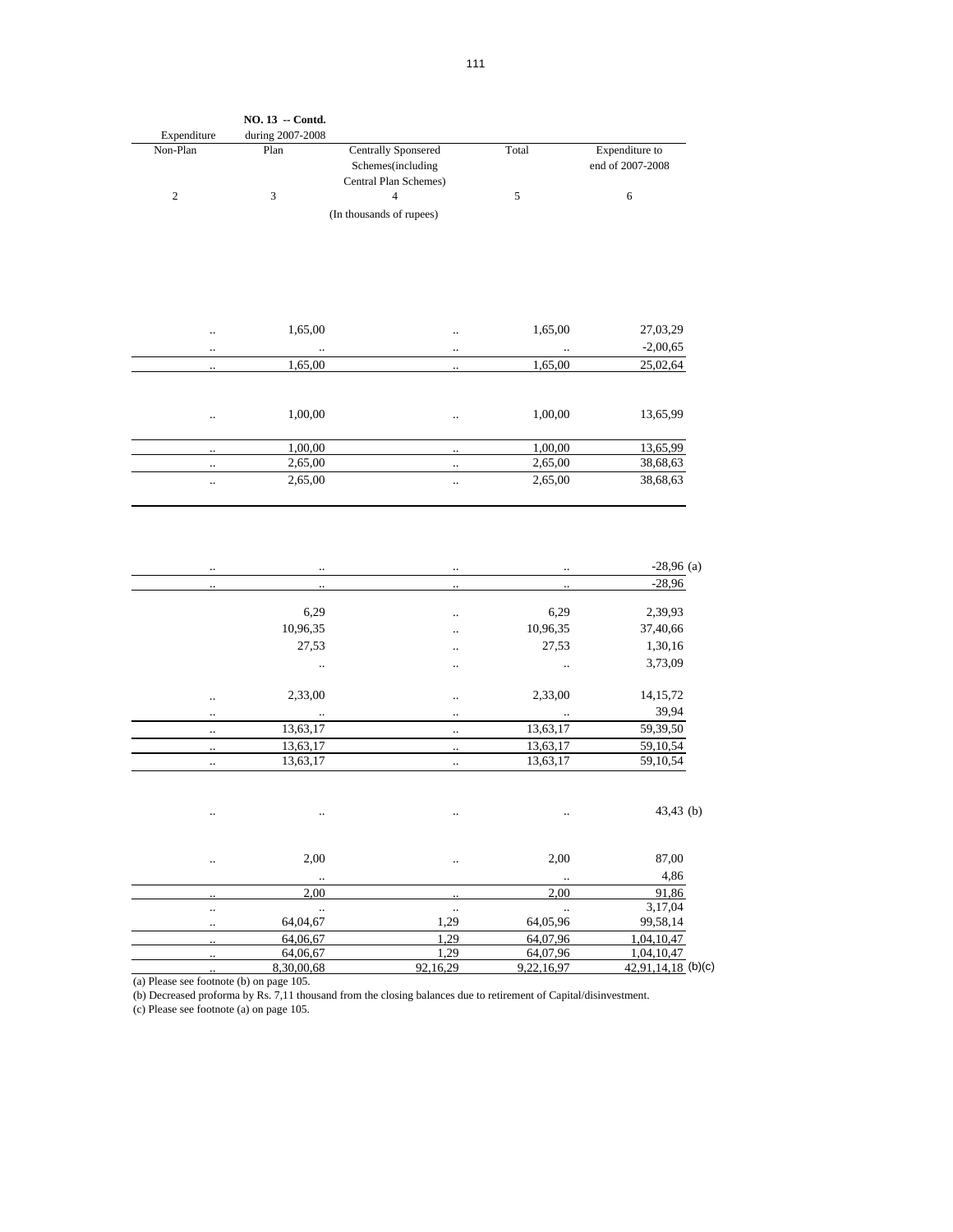| Expenditure          | NO. 13 -- Contd.<br>during 2007-2008 |                                                 |                      |                                    |
|----------------------|--------------------------------------|-------------------------------------------------|----------------------|------------------------------------|
| Non-Plan             | Plan                                 | <b>Centrally Sponsered</b><br>Schemes(including | Total                | Expenditure to<br>end of 2007-2008 |
| $\sqrt{2}$           | $\ensuremath{\mathfrak{Z}}$          | Central Plan Schemes)<br>4                      | $\sqrt{5}$           | 6                                  |
|                      |                                      | (In thousands of rupees)                        |                      |                                    |
|                      |                                      |                                                 |                      |                                    |
| $\ddotsc$            | 1,65,00                              | $\ddotsc$                                       | 1,65,00              | 27,03,29                           |
|                      |                                      |                                                 |                      | $-2,00,65$                         |
|                      | 1,65,00                              | $\ddot{\phantom{a}}$                            | 1,65,00              | 25,02,64                           |
|                      | 1,00,00                              | $\ddotsc$                                       | 1,00,00              | 13,65,99                           |
|                      | 1,00,00                              |                                                 |                      |                                    |
| <br>$\cdot$ .        | 2,65,00                              | $\ddot{\phantom{0}}$<br>$\ldots$                | 1,00,00<br>2,65,00   | 13,65,99<br>38,68,63               |
| Ц,                   | 2,65,00                              | .,                                              | 2,65,00              | 38,68,63                           |
|                      |                                      |                                                 |                      | $-28,96$ (a)                       |
|                      |                                      |                                                 |                      | $-28,96$                           |
|                      | 6,29                                 |                                                 | 6,29                 | 2,39,93                            |
|                      | 10,96,35                             |                                                 | 10,96,35             | 37,40,66                           |
|                      | 27,53                                | $\ddot{\phantom{a}}$                            | 27,53                | 1,30,16                            |
|                      | $\ldots$                             |                                                 | $\ldots$             | 3,73,09                            |
|                      | 2,33,00                              | $\ddot{\phantom{0}}$                            | 2,33,00              | 14, 15, 72                         |
|                      | $\ddotsc$                            | $\ddot{\phantom{0}}$                            | $\ddot{\phantom{0}}$ | 39,94                              |
|                      | 13,63,17                             | $\ddot{\phantom{a}}$                            | 13,63,17             | 59,39,50                           |
| $\ddot{\phantom{a}}$ | 13,63,17                             | $\ddot{\phantom{0}}$                            | 13,63,17             | 59,10,54                           |
| $\ddotsc$            | 13,63,17                             | $\ddotsc$                                       | 13,63,17             | 59,10,54                           |
| $\cdot$              | $\ddotsc$                            | $\cdot\cdot$                                    | $\ldots$             | $43,43$ (b)                        |
| $\ldots$             | 2,00                                 | $\ldots$                                        | 2,00                 | 87,00                              |
|                      | $\ddot{\phantom{0}}$                 |                                                 |                      | 4,86                               |
|                      | 2,00                                 |                                                 | 2,00                 | 91,86                              |
|                      | $\ddotsc$                            | $\ddot{\phantom{1}}$                            | $\ddot{\phantom{a}}$ | 3,17,04                            |
|                      | 64,04,67                             | 1,29                                            | 64,05,96             | 99,58,14                           |
|                      | 64,06,67<br>64,06,67                 | 1,29<br>1,29                                    | 64,07,96<br>64,07,96 | 1,04,10,47<br>1,04,10,47           |
|                      | 8,30,00,68                           | 92,16,29                                        | 9,22,16,97           | $42,91,14,18$ (b)(c)               |

(a) Please see footnote (b) on page 105.

(b) Decreased proforma by Rs. 7,11 thousand from the closing balances due to retirement of Capital/disinvestment.

(c) Please see footnote (a) on page 105.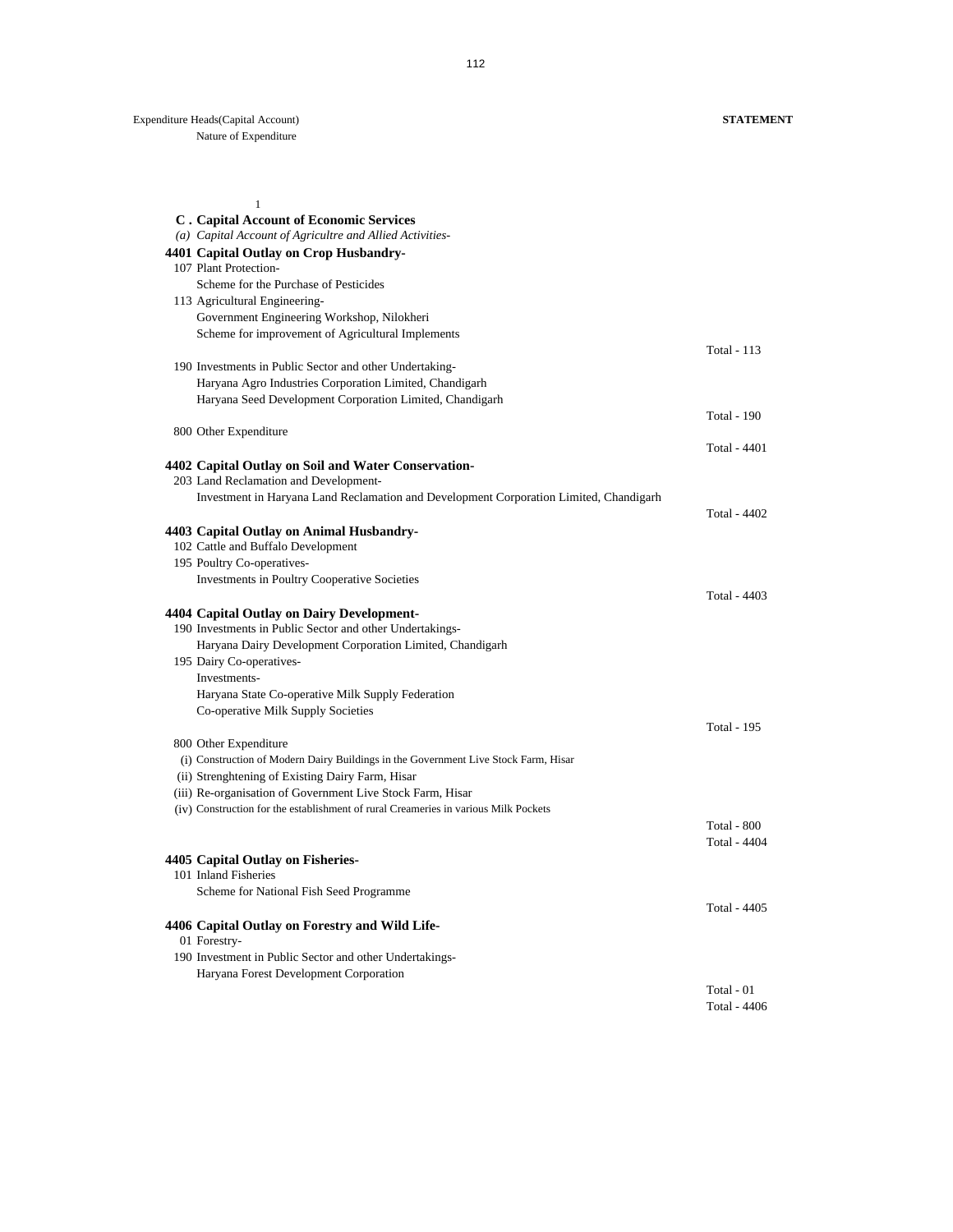### Expenditure Heads(Capital Account) **STATEMENT** Nature of Expenditure

| 1                                                                                                              |                    |
|----------------------------------------------------------------------------------------------------------------|--------------------|
| <b>C. Capital Account of Economic Services</b>                                                                 |                    |
| (a) Capital Account of Agricultre and Allied Activities-                                                       |                    |
| 4401 Capital Outlay on Crop Husbandry-                                                                         |                    |
| 107 Plant Protection-                                                                                          |                    |
| Scheme for the Purchase of Pesticides                                                                          |                    |
| 113 Agricultural Engineering-                                                                                  |                    |
| Government Engineering Workshop, Nilokheri                                                                     |                    |
| Scheme for improvement of Agricultural Implements                                                              |                    |
|                                                                                                                | Total - 113        |
| 190 Investments in Public Sector and other Undertaking-                                                        |                    |
| Haryana Agro Industries Corporation Limited, Chandigarh                                                        |                    |
| Haryana Seed Development Corporation Limited, Chandigarh                                                       | <b>Total - 190</b> |
| 800 Other Expenditure                                                                                          |                    |
|                                                                                                                | Total - 4401       |
| 4402 Capital Outlay on Soil and Water Conservation-                                                            |                    |
| 203 Land Reclamation and Development-                                                                          |                    |
| Investment in Haryana Land Reclamation and Development Corporation Limited, Chandigarh                         |                    |
|                                                                                                                | Total - 4402       |
| 4403 Capital Outlay on Animal Husbandry-                                                                       |                    |
| 102 Cattle and Buffalo Development                                                                             |                    |
| 195 Poultry Co-operatives-                                                                                     |                    |
| <b>Investments in Poultry Cooperative Societies</b>                                                            |                    |
|                                                                                                                | Total - 4403       |
| 4404 Capital Outlay on Dairy Development-                                                                      |                    |
| 190 Investments in Public Sector and other Undertakings-                                                       |                    |
| Haryana Dairy Development Corporation Limited, Chandigarh                                                      |                    |
| 195 Dairy Co-operatives-                                                                                       |                    |
| Investments-                                                                                                   |                    |
| Haryana State Co-operative Milk Supply Federation                                                              |                    |
| Co-operative Milk Supply Societies                                                                             |                    |
|                                                                                                                | Total - 195        |
| 800 Other Expenditure<br>(i) Construction of Modern Dairy Buildings in the Government Live Stock Farm, Hisar   |                    |
|                                                                                                                |                    |
| (ii) Strenghtening of Existing Dairy Farm, Hisar<br>(iii) Re-organisation of Government Live Stock Farm, Hisar |                    |
| (iv) Construction for the establishment of rural Creameries in various Milk Pockets                            |                    |
|                                                                                                                | Total - 800        |
|                                                                                                                | Total - 4404       |
| 4405 Capital Outlay on Fisheries-                                                                              |                    |
| 101 Inland Fisheries                                                                                           |                    |
| Scheme for National Fish Seed Programme                                                                        |                    |
|                                                                                                                | Total - 4405       |
| 4406 Capital Outlay on Forestry and Wild Life-                                                                 |                    |
| 01 Forestry-                                                                                                   |                    |
| 190 Investment in Public Sector and other Undertakings-                                                        |                    |
| Haryana Forest Development Corporation                                                                         |                    |
|                                                                                                                | Total - 01         |
|                                                                                                                | Total - 4406       |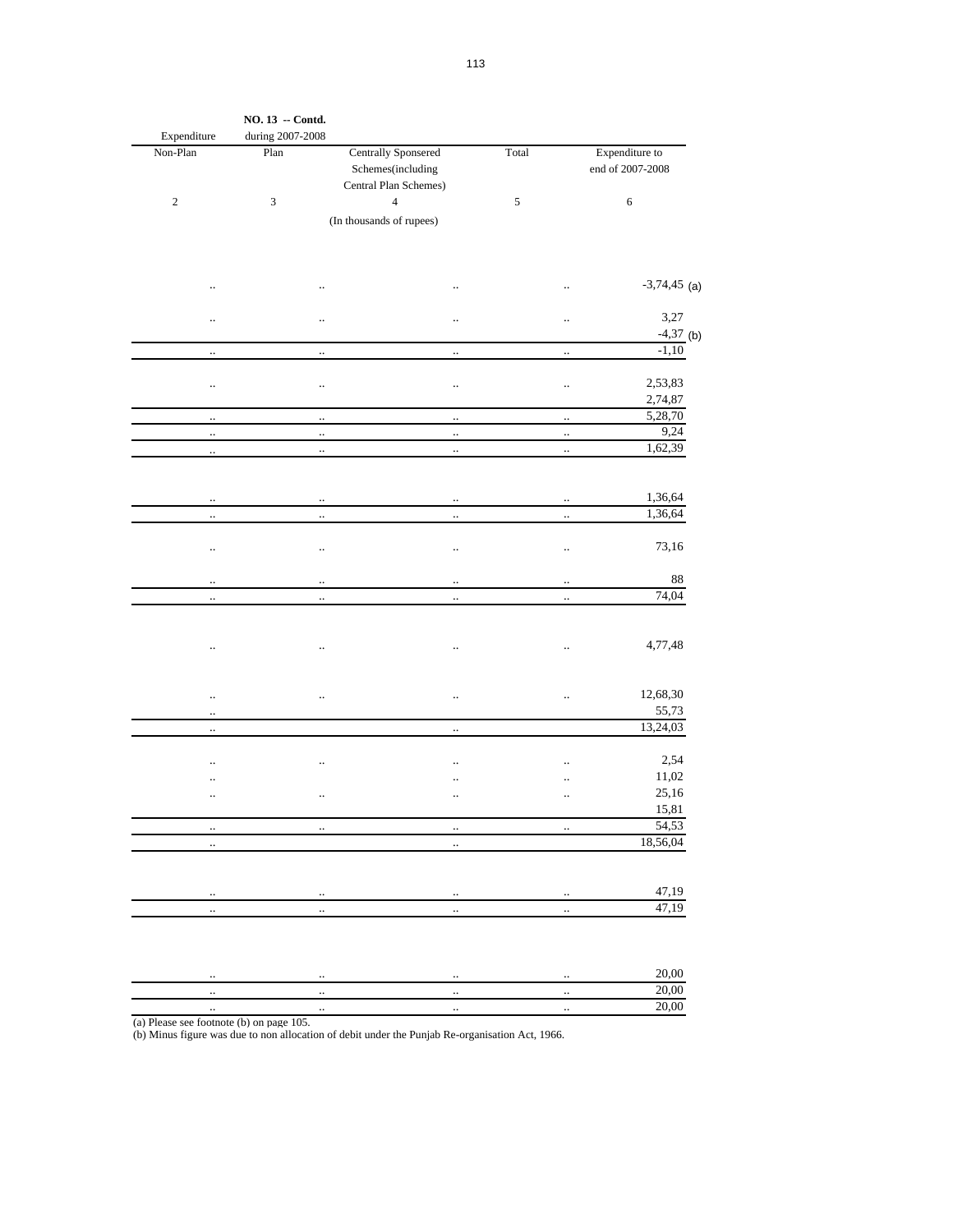| Expenditure          | during 2007-2008            |                            |            |                                        |
|----------------------|-----------------------------|----------------------------|------------|----------------------------------------|
| Non-Plan             | Plan                        | <b>Centrally Sponsered</b> | Total      | Expenditure to                         |
|                      |                             | Schemes(including          |            | end of 2007-2008                       |
|                      |                             | Central Plan Schemes)      |            |                                        |
| $\sqrt{2}$           | $\ensuremath{\mathfrak{Z}}$ | $\overline{4}$             | $\sqrt{5}$ | $\boldsymbol{6}$                       |
|                      |                             | (In thousands of rupees)   |            |                                        |
| $\ddot{\phantom{0}}$ | $\ddot{\phantom{0}}$        | $\cdot$ .                  |            | $-3,74,45$ (a)<br>$\ddotsc$            |
|                      |                             |                            |            |                                        |
| $\cdot$ .            | $\ddotsc$                   | $\ddotsc$                  |            | 3,27<br>$\cdot$ .                      |
|                      |                             |                            |            | $-4,37$ (b)                            |
| $\ldots$             | $\ldots$                    | $\ldots$                   |            | $-1,10$<br>$\ldots$                    |
| $\ddot{\phantom{0}}$ | $\ddot{\phantom{0}}$        | $\cdot\cdot$               |            | 2,53,83<br>$\ldots$                    |
|                      |                             |                            |            | 2,74,87                                |
| $\ldots$             | $\ldots$                    | $\ldots$                   |            | 5,28,70<br>$\ldots$                    |
|                      | $\ddotsc$                   | $\ddotsc$                  |            | 9,24<br>$\ddotsc$                      |
| $\cdot$              | $\ldots$                    | $\ldots$                   |            | 1,62,39<br>$\ldots$                    |
|                      |                             |                            |            |                                        |
| $\ddotsc$            | $\ldots$                    | $\ddotsc$                  |            | 1,36,64<br>$\ldots$                    |
| $\ddot{\phantom{1}}$ | $\ddot{\phantom{1}}$        | $\ldots$                   |            | 1,36,64<br>$\ddotsc$                   |
| $\cdot$ .            | $\ddotsc$                   | $\ldots$                   |            | 73,16<br>$\ldots$                      |
|                      |                             |                            |            |                                        |
| $\ddotsc$            | $\ddotsc$                   | $\ddotsc$                  |            | 88<br>$\ddotsc$                        |
| $\ddotsc$            | $\ddot{\phantom{0}}$        | $\ddotsc$                  |            | 74,04<br>$\ddotsc$                     |
|                      |                             |                            |            |                                        |
| $\cdot$ .            | $\ddotsc$                   | $\ldots$                   |            | 4,77,48<br>$\ddot{\phantom{0}}$        |
|                      |                             |                            |            |                                        |
| $\ddot{\phantom{0}}$ | $\ldots$                    | $\cdot$ .                  |            | 12,68,30<br>$\ddotsc$                  |
| $\cdot$ .            |                             |                            |            | 55,73                                  |
| $\ddotsc$            |                             | $\ddot{\phantom{a}}$       |            | 13,24,03                               |
|                      |                             |                            |            | 2,54                                   |
|                      | $\ddotsc$                   | $\ddot{\phantom{0}}$       |            | $\ddotsc$                              |
|                      |                             | $\ddot{\phantom{a}}$       |            | 11,02<br>$\ddot{\phantom{0}}$<br>25,16 |
| $\cdot$ .            | $\ldots$                    | $\cdot$ .                  |            | $\cdot$ .<br>15,81                     |
|                      |                             |                            |            | 54,53                                  |
| $\cdot\cdot$         | $\cdot\cdot$                | $\cdot\cdot$               |            | $\cdot$ .<br>18,56,04                  |
| $\ldots$             |                             | $\ldots$                   |            |                                        |
|                      | $\cdot$ .                   | $\ddotsc$                  |            | 47,19<br>$\cdot\cdot$                  |
|                      | $\ddot{\phantom{a}}$        | $\ddot{\phantom{a}}$       |            | 47,19<br>$\ddot{\phantom{a}}$          |
|                      |                             |                            |            |                                        |
|                      |                             |                            |            |                                        |
|                      |                             |                            |            | 20,00                                  |

**NO. 13 -- Contd.**

(a) Please see footnote (b) on page 105. (b) Minus figure was due to non allocation of debit under the Punjab Re-organisation Act, 1966.

.. .. .. .. 20,00 .. .. .. .. 20,00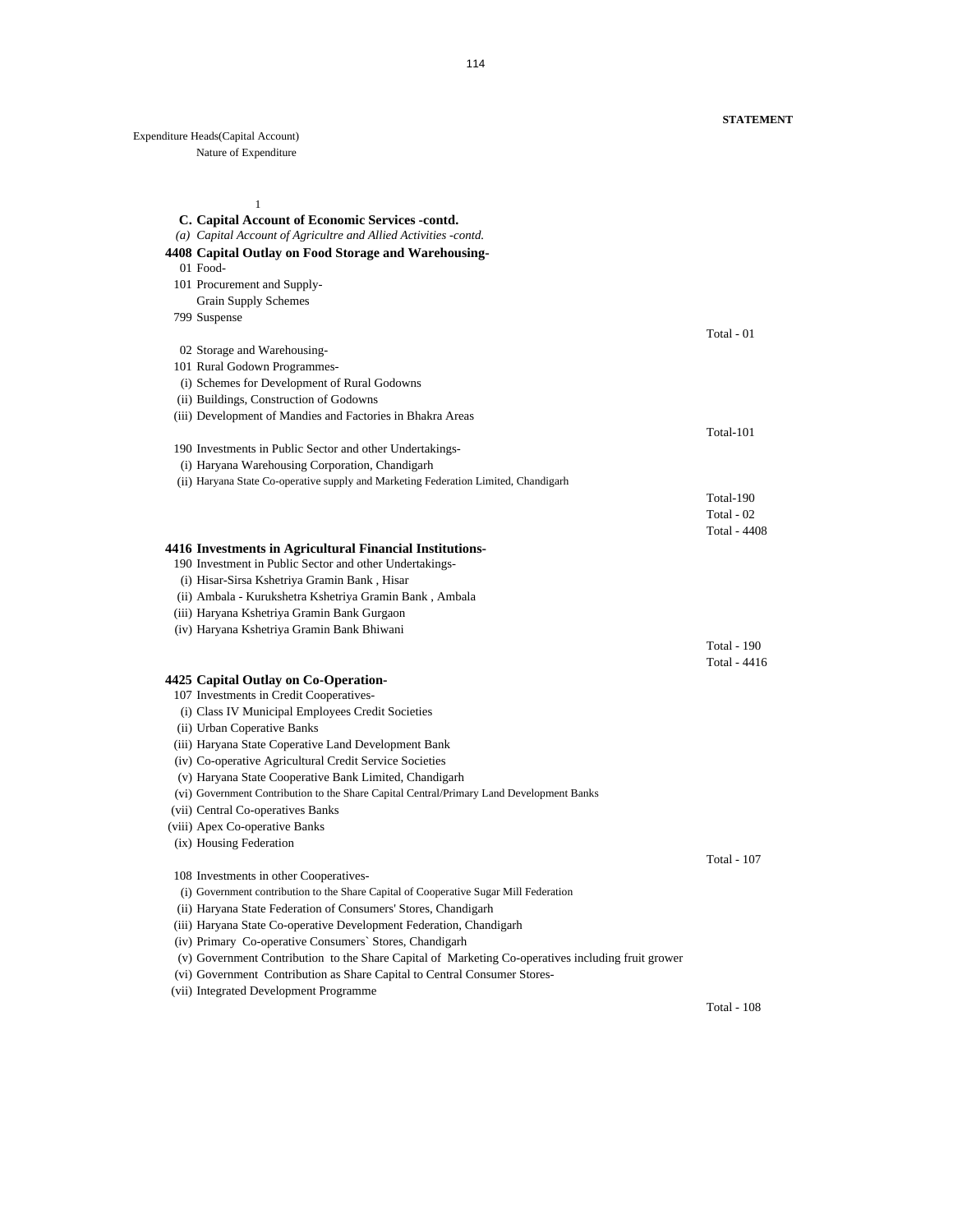| C. Capital Account of Economic Services -contd.                                                    |                     |
|----------------------------------------------------------------------------------------------------|---------------------|
| (a) Capital Account of Agricultre and Allied Activities -contd.                                    |                     |
| 4408 Capital Outlay on Food Storage and Warehousing-                                               |                     |
| $01$ Food-                                                                                         |                     |
| 101 Procurement and Supply-                                                                        |                     |
| <b>Grain Supply Schemes</b>                                                                        |                     |
| 799 Suspense                                                                                       |                     |
|                                                                                                    | Total - 01          |
| 02 Storage and Warehousing-                                                                        |                     |
| 101 Rural Godown Programmes-                                                                       |                     |
| (i) Schemes for Development of Rural Godowns                                                       |                     |
| (ii) Buildings, Construction of Godowns                                                            |                     |
| (iii) Development of Mandies and Factories in Bhakra Areas                                         |                     |
|                                                                                                    | Total-101           |
| 190 Investments in Public Sector and other Undertakings-                                           |                     |
| (i) Haryana Warehousing Corporation, Chandigarh                                                    |                     |
| (ii) Haryana State Co-operative supply and Marketing Federation Limited, Chandigarh                |                     |
|                                                                                                    | Total-190           |
|                                                                                                    | Total - 02          |
|                                                                                                    | <b>Total - 4408</b> |
| 4416 Investments in Agricultural Financial Institutions-                                           |                     |
| 190 Investment in Public Sector and other Undertakings-                                            |                     |
| (i) Hisar-Sirsa Kshetriya Gramin Bank, Hisar                                                       |                     |
| (ii) Ambala - Kurukshetra Kshetriya Gramin Bank, Ambala                                            |                     |
| (iii) Haryana Kshetriya Gramin Bank Gurgaon                                                        |                     |
| (iv) Haryana Kshetriya Gramin Bank Bhiwani                                                         |                     |
|                                                                                                    | <b>Total - 190</b>  |
|                                                                                                    | Total - 4416        |
| 4425 Capital Outlay on Co-Operation-                                                               |                     |
| 107 Investments in Credit Cooperatives-                                                            |                     |
| (i) Class IV Municipal Employees Credit Societies                                                  |                     |
| (ii) Urban Coperative Banks                                                                        |                     |
| (iii) Haryana State Coperative Land Development Bank                                               |                     |
| (iv) Co-operative Agricultural Credit Service Societies                                            |                     |
| (v) Haryana State Cooperative Bank Limited, Chandigarh                                             |                     |
| (vi) Government Contribution to the Share Capital Central/Primary Land Development Banks           |                     |
| (vii) Central Co-operatives Banks                                                                  |                     |
| (viii) Apex Co-operative Banks                                                                     |                     |
| (ix) Housing Federation                                                                            |                     |
|                                                                                                    | Total - 107         |
| 108 Investments in other Cooperatives-                                                             |                     |
| (i) Government contribution to the Share Capital of Cooperative Sugar Mill Federation              |                     |
| (ii) Haryana State Federation of Consumers' Stores, Chandigarh                                     |                     |
| (iii) Haryana State Co-operative Development Federation, Chandigarh                                |                     |
| (iv) Primary Co-operative Consumers' Stores, Chandigarh                                            |                     |
| (v) Government Contribution to the Share Capital of Marketing Co-operatives including fruit grower |                     |
| (vi) Government Contribution as Share Capital to Central Consumer Stores-                          |                     |
| (vii) Integrated Development Programme                                                             |                     |

Total - 108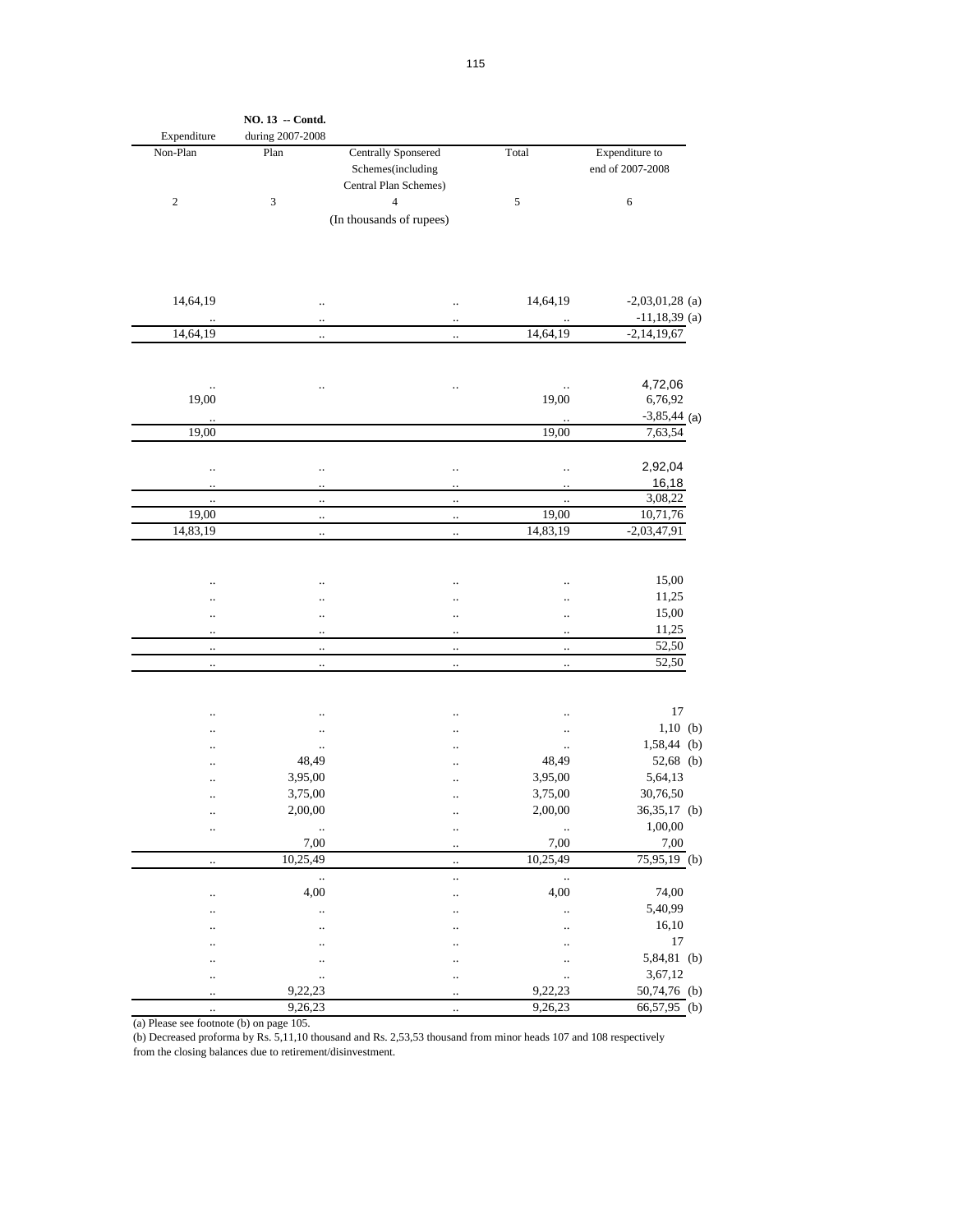|             | NO. 13 -- Contd.            |                            |                      |                                      |
|-------------|-----------------------------|----------------------------|----------------------|--------------------------------------|
| Expenditure | during 2007-2008            |                            |                      |                                      |
| Non-Plan    | Plan                        | <b>Centrally Sponsered</b> | Total                | Expenditure to                       |
|             |                             | Schemes(including          |                      | end of 2007-2008                     |
|             |                             | Central Plan Schemes)      |                      |                                      |
| $\sqrt{2}$  | $\ensuremath{\mathfrak{Z}}$ | $\overline{4}$             | 5                    | $\sqrt{6}$                           |
|             |                             | (In thousands of rupees)   |                      |                                      |
|             |                             |                            |                      |                                      |
| 14,64,19    | $\ldots$                    | $\ddot{\phantom{a}}$       | 14,64,19             | $-2,03,01,28$ (a)<br>$-11,18,39$ (a) |
| 14,64,19    | $\cdot$ .                   | $\ddot{\phantom{0}}$       | <br>14,64,19         | $-2,14,19,67$                        |
|             | $\ddotsc$                   | $\ddotsc$                  |                      |                                      |
|             | $\ddot{\phantom{0}}$        | $\cdot$ .                  | $\cdot$              | 4,72,06                              |
| 19,00       |                             |                            | 19,00                | 6,76,92                              |
|             |                             |                            |                      | $-3,85,44$ (a)                       |
| 19,00       |                             |                            | 19,00                | 7,63,54                              |
| $\cdot$ .   | $\ddot{\phantom{0}}$        | $\cdot$ .                  | $\cdot$ .            | 2,92,04                              |
|             |                             | $\ddot{\phantom{0}}$       | $\ddot{\phantom{a}}$ | 16,18                                |
| $\ddotsc$   |                             | $\ddotsc$                  | $\ddotsc$            | 3,08,22                              |
| 19,00       | $\ldots$                    | $\ldots$                   | 19,00                | 10,71,76                             |
| 14,83,19    |                             | $\ddotsc$                  | 14,83,19             | $-2,03,47,91$                        |
|             |                             |                            |                      | 15,00                                |
|             |                             |                            |                      | 11,25                                |
|             |                             | $\ddot{\phantom{0}}$       |                      | 15,00                                |
|             | $\ddot{\phantom{0}}$        | $\ddot{\phantom{0}}$       | $\ddot{\phantom{0}}$ | 11,25                                |
| $\cdot$ .   | $\ldots$                    | $\ldots$                   | $\ddotsc$            | 52,50                                |
| $\ldots$    | $\ldots$                    | $\ddot{\phantom{a}}$       | $\ddot{\phantom{1}}$ | 52,50                                |
|             |                             |                            |                      | 17                                   |
|             |                             |                            | $\cdot$ .            | $1,10$ (b)                           |
|             | $\cdot\cdot$                |                            | $\cdot$ .            | $1,58,44$ (b)                        |
| ۰.          | $\ldots$<br>48,49           |                            | $\ddotsc$<br>48,49   | 52,68 (b)                            |
|             | 3,95,00                     |                            | 3,95,00              | 5,64,13                              |
|             | 3,75,00                     |                            | 3,75,00              | 30,76,50                             |
| $\ddotsc$   | 2,00,00                     |                            | 2,00,00              | 36,35,17 (b)                         |
| $\cdots$    |                             |                            |                      | 1,00,00                              |
| Ω.          | $\cdot$ .<br>7,00           |                            | $\ddotsc$<br>7,00    |                                      |
|             |                             |                            |                      | 7,00<br>$\overline{75,95,19}$ (b)    |
| $\ldots$    | 10,25,49                    | $\ldots$                   | 10,25,49             |                                      |
|             | $\ddot{\phantom{1}}$        |                            | $\ddot{\phantom{1}}$ |                                      |
|             | 4,00                        |                            | 4,00                 | 74,00                                |
|             |                             |                            | .,                   | 5,40,99                              |
|             |                             |                            |                      | 16,10                                |
|             |                             |                            |                      | 17                                   |
|             |                             |                            |                      | 5,84,81 (b)                          |
|             | $\ldots$                    |                            | $\ldots$             | 3,67,12                              |
|             | 9,22,23                     |                            | 9,22,23              | 50,74,76 (b)                         |
|             | 9,26,23                     | $\ddot{\phantom{a}}$       | 9,26,23              | 66,57,95 (b)                         |

(a) Please see footnote (b) on page 105.

(b) Decreased proforma by Rs. 5,11,10 thousand and Rs. 2,53,53 thousand from minor heads 107 and 108 respectively from the closing balances due to retirement/disinvestment.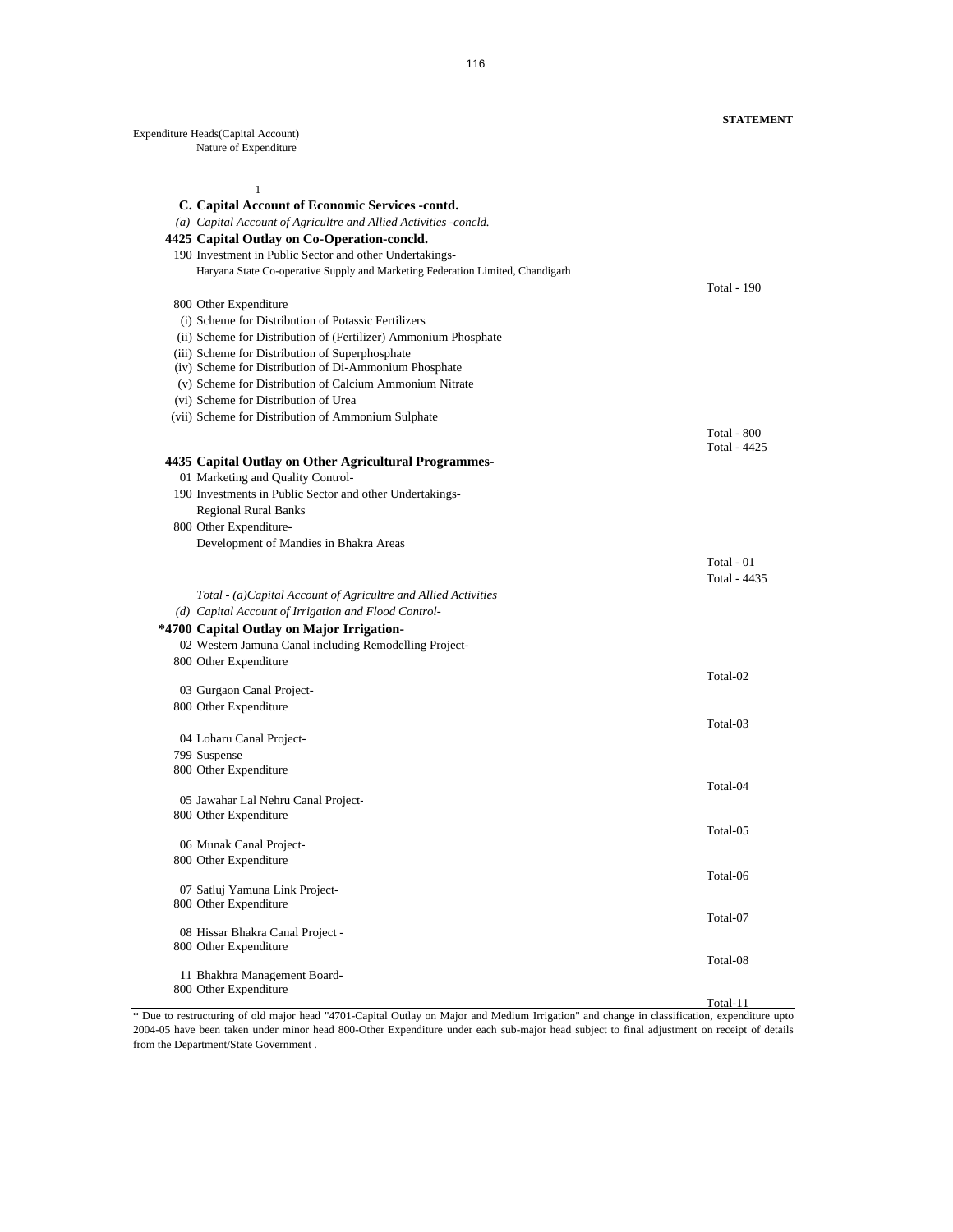Expenditure Heads(Capital Account) Nature of Expenditure

| 1                                                                                                        |              |
|----------------------------------------------------------------------------------------------------------|--------------|
| C. Capital Account of Economic Services -contd.                                                          |              |
| (a) Capital Account of Agricultre and Allied Activities -concld.                                         |              |
| 4425 Capital Outlay on Co-Operation-concld.                                                              |              |
| 190 Investment in Public Sector and other Undertakings-                                                  |              |
| Haryana State Co-operative Supply and Marketing Federation Limited, Chandigarh                           |              |
|                                                                                                          | Total - 190  |
| 800 Other Expenditure                                                                                    |              |
| (i) Scheme for Distribution of Potassic Fertilizers                                                      |              |
| (ii) Scheme for Distribution of (Fertilizer) Ammonium Phosphate                                          |              |
| (iii) Scheme for Distribution of Superphosphate<br>(iv) Scheme for Distribution of Di-Ammonium Phosphate |              |
| (v) Scheme for Distribution of Calcium Ammonium Nitrate                                                  |              |
| (vi) Scheme for Distribution of Urea                                                                     |              |
| (vii) Scheme for Distribution of Ammonium Sulphate                                                       |              |
|                                                                                                          | Total - 800  |
|                                                                                                          | Total - 4425 |
| 4435 Capital Outlay on Other Agricultural Programmes-                                                    |              |
| 01 Marketing and Quality Control-                                                                        |              |
| 190 Investments in Public Sector and other Undertakings-                                                 |              |
| <b>Regional Rural Banks</b>                                                                              |              |
| 800 Other Expenditure-                                                                                   |              |
| Development of Mandies in Bhakra Areas                                                                   |              |
|                                                                                                          | Total - 01   |
|                                                                                                          | Total - 4435 |
| Total - (a)Capital Account of Agricultre and Allied Activities                                           |              |
| (d) Capital Account of Irrigation and Flood Control-                                                     |              |
| *4700 Capital Outlay on Major Irrigation-                                                                |              |
| 02 Western Jamuna Canal including Remodelling Project-                                                   |              |
| 800 Other Expenditure                                                                                    |              |
|                                                                                                          | Total-02     |
| 03 Gurgaon Canal Project-                                                                                |              |
| 800 Other Expenditure                                                                                    |              |
|                                                                                                          | Total-03     |
| 04 Loharu Canal Project-                                                                                 |              |
| 799 Suspense                                                                                             |              |
| 800 Other Expenditure                                                                                    |              |
|                                                                                                          | Total-04     |
| 05 Jawahar Lal Nehru Canal Project-                                                                      |              |
| 800 Other Expenditure                                                                                    |              |
|                                                                                                          | Total-05     |
| 06 Munak Canal Project-<br>800 Other Expenditure                                                         |              |
|                                                                                                          | Total-06     |
| 07 Satluj Yamuna Link Project-                                                                           |              |
| 800 Other Expenditure                                                                                    |              |
|                                                                                                          | Total-07     |
| 08 Hissar Bhakra Canal Project -                                                                         |              |
| 800 Other Expenditure                                                                                    | Total-08     |
| 11 Bhakhra Management Board-                                                                             |              |
| 800 Other Expenditure                                                                                    |              |
|                                                                                                          | Total-11     |

Total-11 \* Due to restructuring of old major head "4701-Capital Outlay on Major and Medium Irrigation" and change in classification, expenditure upto 2004-05 have been taken under minor head 800-Other Expenditure under each sub-major head subject to final adjustment on receipt of details from the Department/State Government .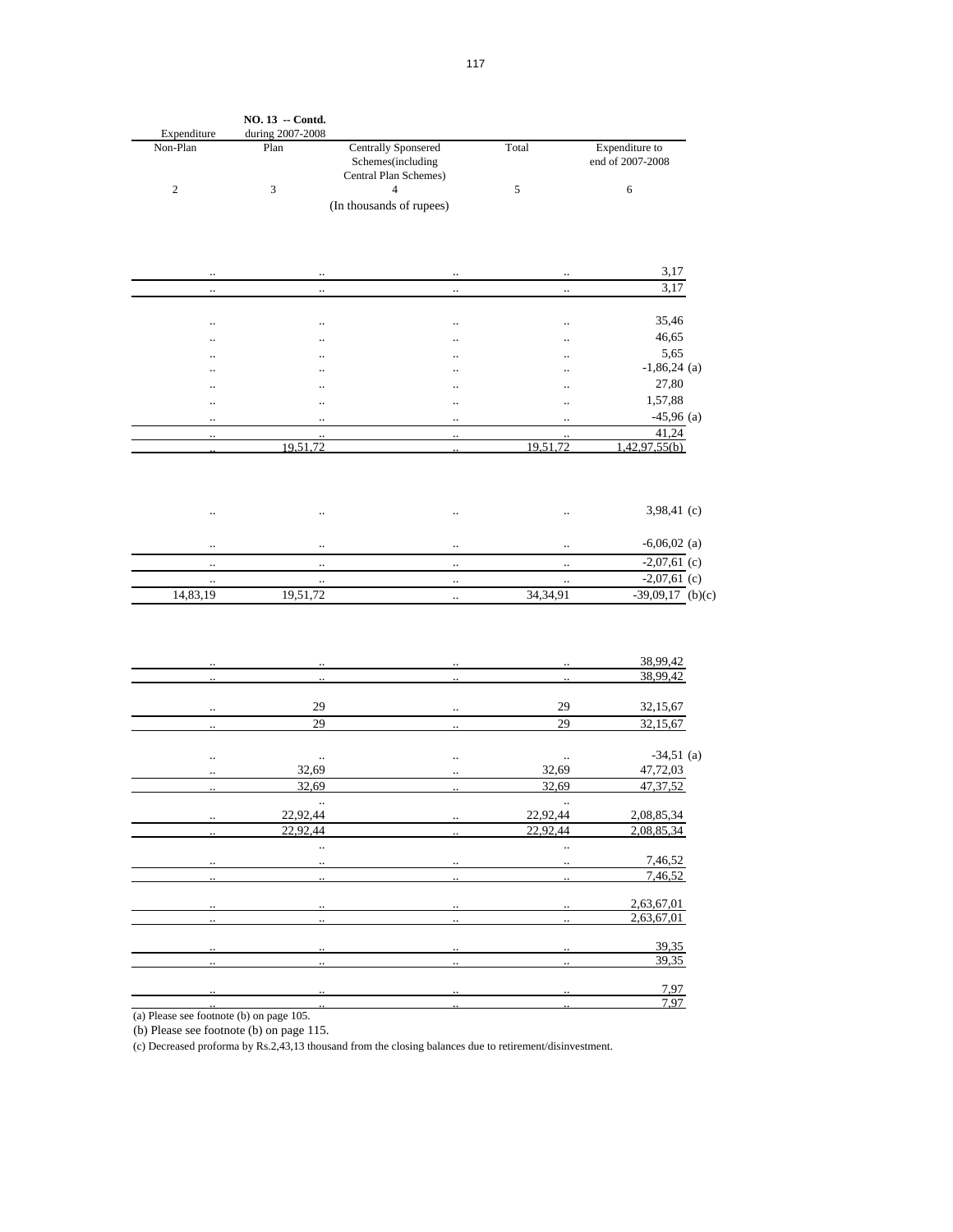| Expenditure          | NO. 13 -- Contd.<br>during 2007-2008 |                                                                     |                                  |                                    |
|----------------------|--------------------------------------|---------------------------------------------------------------------|----------------------------------|------------------------------------|
| Non-Plan             | Plan                                 | <b>Centrally Sponsered</b><br>Schemes(including                     | Total                            | Expenditure to<br>end of 2007-2008 |
| $\sqrt{2}$           | 3                                    | Central Plan Schemes)<br>$\overline{4}$<br>(In thousands of rupees) | $\sqrt{5}$                       | $\sqrt{6}$                         |
|                      |                                      |                                                                     |                                  |                                    |
| $\cdot$ .            | $\ddotsc$                            | $\ddot{\phantom{0}}$                                                | $\ddotsc$                        | 3,17                               |
| $\ddot{\phantom{0}}$ | $\ddot{\phantom{0}}$                 | $\ddot{\phantom{0}}$                                                | $\ddot{\phantom{a}}$             | 3,17                               |
| $\cdot$ .            | $\ddotsc$                            | $\ldots$                                                            | $\ldots$                         | 35,46                              |
|                      | $\ddot{\phantom{a}}$                 | $\ddot{\phantom{a}}$                                                |                                  | 46,65                              |
|                      |                                      | $\ddot{\phantom{a}}$                                                |                                  | 5,65                               |
|                      |                                      |                                                                     |                                  | $-1,86,24$ (a)<br>27,80            |
|                      |                                      | $\ddot{\phantom{a}}$                                                |                                  |                                    |
| $\cdot$ .            | $\ddot{\phantom{0}}$                 | $\ddotsc$                                                           |                                  | 1,57,88                            |
| $\ddotsc$            | $\ddot{\phantom{a}}$                 | $\ddot{\phantom{a}}$                                                |                                  | $-45,96$ (a)<br>41,24              |
|                      | 19,51,72                             |                                                                     | 19,51,72                         | 1,42,97,55(b)                      |
|                      |                                      |                                                                     |                                  |                                    |
| $\ddot{\phantom{0}}$ | $\ddotsc$                            | $\ddotsc$                                                           | $\ddotsc$                        | 3,98,41 (c)                        |
| $\cdot$ .            | $\ddotsc$                            | $\cdot$ .                                                           | $\ddot{\phantom{0}}$             | $-6,06,02$ (a)                     |
| ä,                   | $\ddotsc$                            | $\ddotsc$                                                           |                                  | $-2,07,61$ (c)                     |
|                      | $\ldots$                             | $\ldots$                                                            |                                  | $-2,07,61$ (c)                     |
| 14,83,19             | 19,51,72                             | $\ddotsc$                                                           | 34,34,91                         | $-39,09,17$ (b)(c)                 |
|                      |                                      |                                                                     |                                  |                                    |
|                      |                                      |                                                                     |                                  | 38,99,42                           |
|                      |                                      |                                                                     |                                  | 38,99,42                           |
|                      | 29                                   | $\ddotsc$                                                           | 29                               | 32,15,67                           |
|                      | 29                                   |                                                                     | 29                               | 32,15,67                           |
|                      |                                      |                                                                     |                                  | $-34,51$ (a)                       |
| $\ddotsc$            | $\ddot{\phantom{0}}$<br>32,69        | $\ldots$<br>$\ldots$                                                | $\cdot$ .<br>32,69               | 47,72,03                           |
| $\ldots$             | 32,69                                |                                                                     | 32,69                            | 47, 37, 52                         |
|                      | $\ddot{\phantom{0}}$<br>22,92,44     |                                                                     | $\ddot{\phantom{0}}$<br>22,92,44 | 2,08,85,34                         |
|                      | 22,92,44                             |                                                                     | 22,92,44                         | 2,08,85,34                         |
|                      | $\ddot{\phantom{0}}$                 |                                                                     |                                  |                                    |
|                      |                                      |                                                                     |                                  | 7,46,52                            |
|                      |                                      |                                                                     |                                  | 7,46,52                            |
|                      |                                      |                                                                     |                                  | 2,63,67,01                         |
|                      |                                      |                                                                     |                                  | 2,63,67,01                         |
|                      |                                      |                                                                     |                                  | 39,35                              |
|                      |                                      |                                                                     |                                  | 39,35                              |
|                      |                                      |                                                                     |                                  | 7,97                               |
|                      |                                      |                                                                     |                                  | 7,97                               |

(a) Please see footnote (b) on page 105.

(b) Please see footnote (b) on page 115.

(c) Decreased proforma by Rs.2,43,13 thousand from the closing balances due to retirement/disinvestment.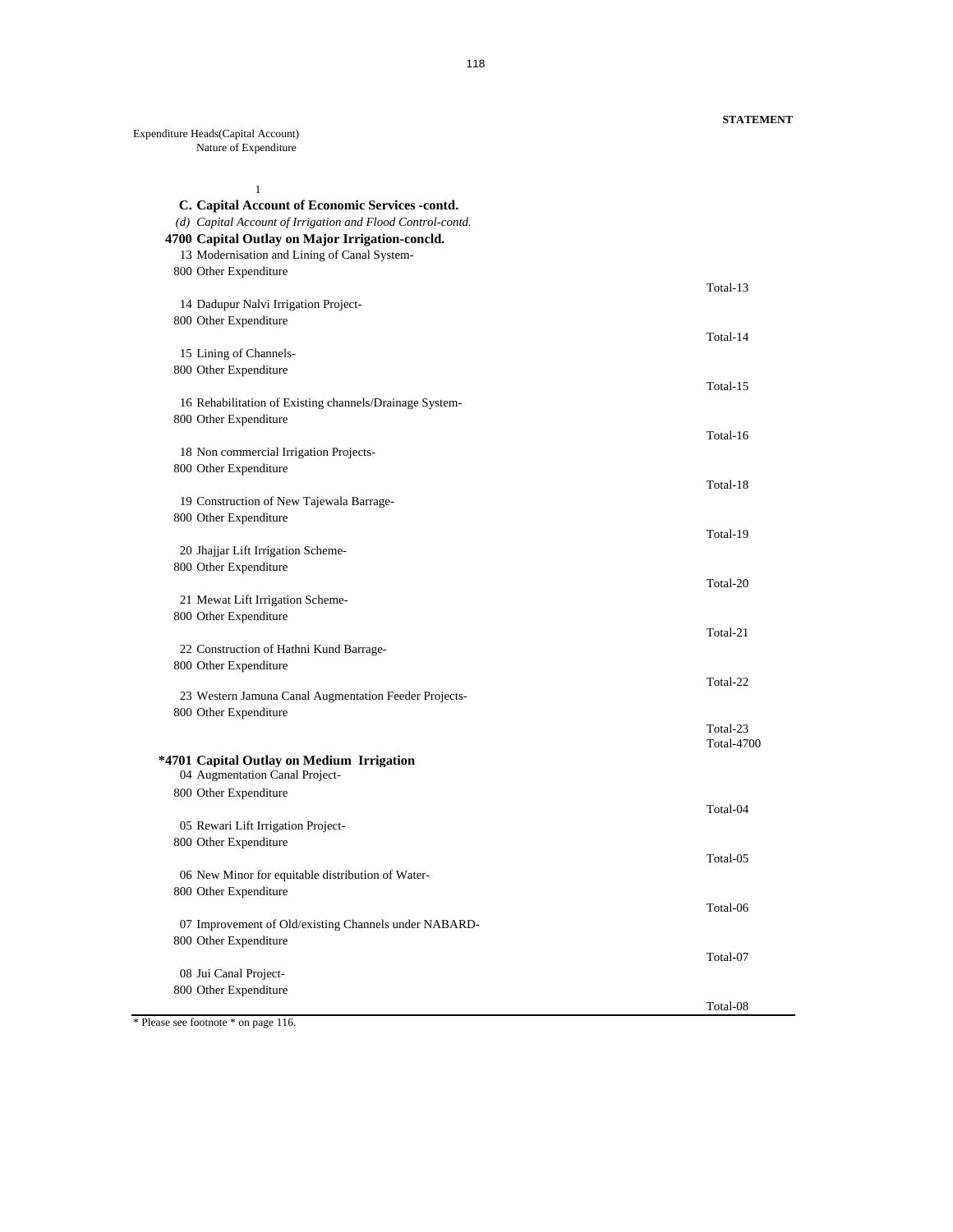Total-08

## Expenditure Heads(Capital Account) Nature of Expenditure 1 **C. Capital Account of Economic Services -contd.** *(d) Capital Account of Irrigation and Flood Control-contd.* **4700 Capital Outlay on Major Irrigation-concld.** 13 Modernisation and Lining of Canal System-800 Other Expenditure Total-13 14 Dadupur Nalvi Irrigation Project-800 Other Expenditure Total-14 15 Lining of Channels-800 Other Expenditure Total-15 16 Rehabilitation of Existing channels/Drainage System-800 Other Expenditure Total-16 18 Non commercial Irrigation Projects-800 Other Expenditure Total-18 19 Construction of New Tajewala Barrage-800 Other Expenditure Total-19 20 Jhajjar Lift Irrigation Scheme-800 Other Expenditure Total-20 21 Mewat Lift Irrigation Scheme-800 Other Expenditure Total-21 22 Construction of Hathni Kund Barrage-800 Other Expenditure Total-22 23 Western Jamuna Canal Augmentation Feeder Projects-800 Other Expenditure Total-23 Total-4700 **\*4701 Capital Outlay on Medium Irrigation** 04 Augmentation Canal Project-800 Other Expenditure Total-04 05 Rewari Lift Irrigation Project-800 Other Expenditure Total-05 06 New Minor for equitable distribution of Water-800 Other Expenditure Total-06 07 Improvement of Old/existing Channels under NABARD-800 Other Expenditure Total-07 08 Jui Canal Project-800 Other Expenditure

\* Please see footnote \* on page 116.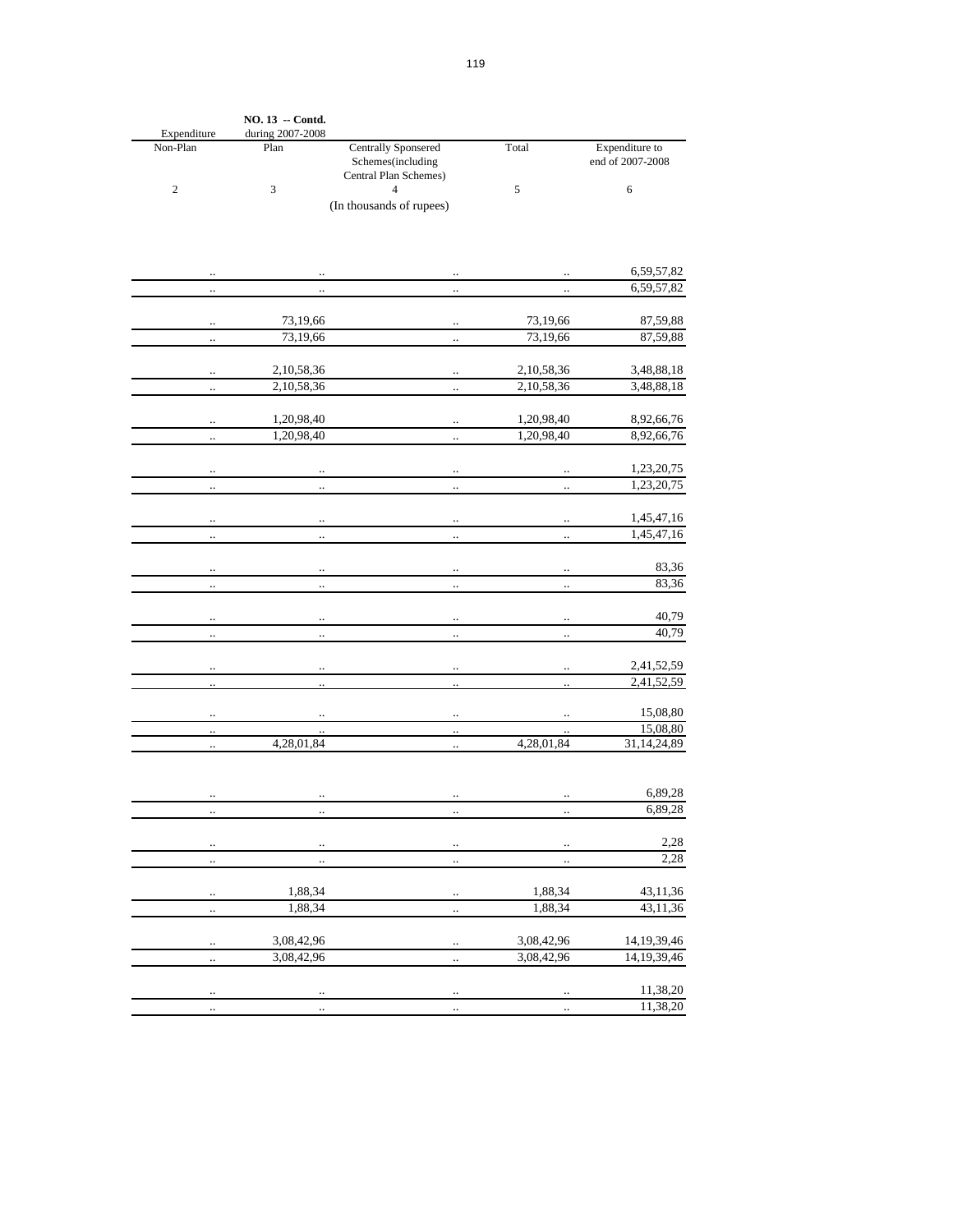|                      | NO. 13 -- Contd.                 |                                                 |                      |                                    |
|----------------------|----------------------------------|-------------------------------------------------|----------------------|------------------------------------|
| Expenditure          | during 2007-2008                 |                                                 |                      |                                    |
| Non-Plan             | Plan                             | <b>Centrally Sponsered</b><br>Schemes(including | Total                | Expenditure to<br>end of 2007-2008 |
|                      | $\overline{3}$                   | Central Plan Schemes)<br>$\overline{4}$         |                      |                                    |
| $\overline{c}$       |                                  | (In thousands of rupees)                        | $\sqrt{5}$           | 6                                  |
|                      |                                  |                                                 |                      |                                    |
|                      | $\ddot{\phantom{0}}$             |                                                 |                      | 6,59,57,82                         |
| .,                   | $\ddot{\phantom{a}}$             | $\ddotsc$                                       |                      | 6,59,57,82                         |
|                      |                                  |                                                 |                      |                                    |
| $\ddot{\phantom{a}}$ | 73,19,66                         |                                                 | 73,19,66             | 87,59,88                           |
| $\ddotsc$            | 73,19,66                         | $\ddotsc$                                       | 73,19,66             | 87,59,88                           |
| $\cdot$ .            | 2,10,58,36                       |                                                 | 2,10,58,36           | 3,48,88,18                         |
| .,                   | 2,10,58,36                       |                                                 | 2,10,58,36           | 3,48,88,18                         |
|                      |                                  |                                                 |                      |                                    |
|                      | 1,20,98,40                       |                                                 | 1,20,98,40           | 8,92,66,76                         |
| .,                   | 1,20,98,40                       |                                                 | 1,20,98,40           | 8,92,66,76                         |
| Ω.                   |                                  |                                                 | $\ddot{\phantom{a}}$ | 1,23,20,75                         |
|                      |                                  | $\ddot{\phantom{a}}$                            | .,                   | 1,23,20,75                         |
|                      |                                  |                                                 |                      |                                    |
|                      | $\ddot{\phantom{0}}$             |                                                 |                      | 1,45,47,16                         |
| $\ddot{\phantom{a}}$ | $\ddot{\phantom{a}}$             | $\ddotsc$                                       | $\ddot{\phantom{a}}$ | 1,45,47,16                         |
| $\ddot{\phantom{a}}$ | $\ddotsc$                        | $\ddot{\phantom{a}}$                            | $\ddot{\phantom{a}}$ | 83,36                              |
| $\ldots$             | $\ldots$                         | $\ldots$                                        | $\ldots$             | 83,36                              |
|                      |                                  |                                                 |                      |                                    |
| $\cdot$              | $\ldots$<br>$\ddot{\phantom{a}}$ | $\cdot$ .                                       | $\ldots$             | 40,79<br>40,79                     |
| ä,                   |                                  | $\ddotsc$                                       | $\ddot{\phantom{a}}$ |                                    |
|                      |                                  | Ω.                                              |                      | 2,41,52,59                         |
|                      |                                  |                                                 |                      | 2,41,52,59                         |
| $\cdot$ .            | $\ddot{\phantom{0}}$             |                                                 |                      | 15,08,80                           |
|                      |                                  | $\ddotsc$                                       |                      | 15,08,80                           |
| а.                   | 4,28,01,84                       | $\mathbf{u}$                                    | 4,28,01,84           | 31,14,24,89                        |
|                      |                                  |                                                 |                      |                                    |
|                      |                                  |                                                 |                      | 6,89,28                            |
|                      |                                  |                                                 |                      | 6,89,28                            |
|                      |                                  |                                                 |                      |                                    |
|                      |                                  |                                                 |                      | 2,28                               |
|                      |                                  |                                                 |                      | 2,28                               |
|                      | 1,88,34                          |                                                 | 1,88,34              | 43,11,36                           |
|                      | 1,88,34                          |                                                 | 1,88,34              | 43,11,36                           |
|                      |                                  |                                                 |                      |                                    |
|                      | 3,08,42,96                       |                                                 | 3,08,42,96           | 14, 19, 39, 46                     |
| $\ddotsc$            | 3,08,42,96                       | $\ldots$                                        | 3,08,42,96           | 14, 19, 39, 46                     |
| $\cdot$ .            |                                  |                                                 |                      | 11,38,20                           |
| .,                   |                                  |                                                 |                      | 11,38,20                           |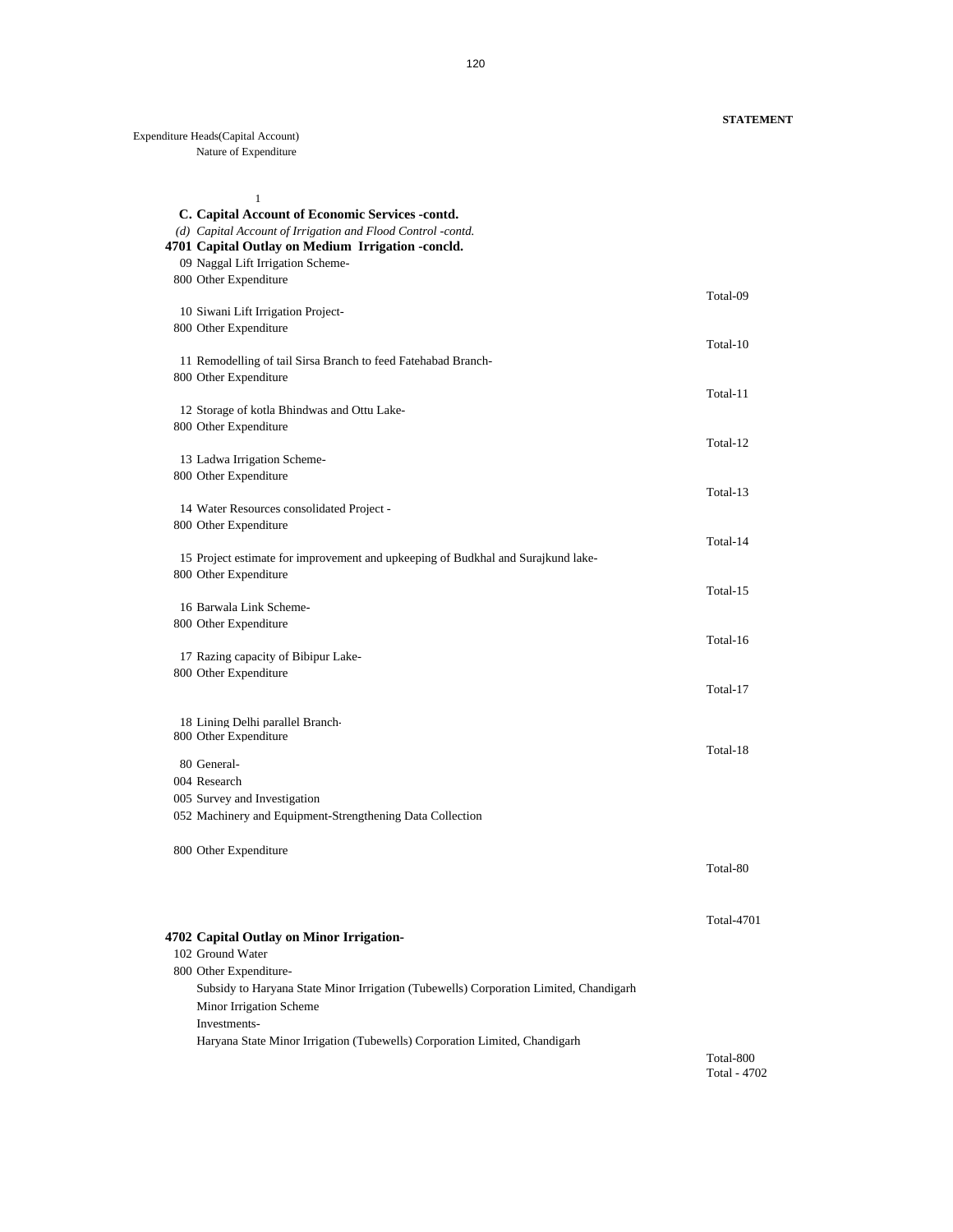#### Expenditure Heads(Capital Account) Nature of Expenditure

| $\mathbf{1}$                                                                          |                   |
|---------------------------------------------------------------------------------------|-------------------|
| C. Capital Account of Economic Services -contd.                                       |                   |
| (d) Capital Account of Irrigation and Flood Control -contd.                           |                   |
| 4701 Capital Outlay on Medium Irrigation -concld.                                     |                   |
| 09 Naggal Lift Irrigation Scheme-                                                     |                   |
| 800 Other Expenditure                                                                 |                   |
|                                                                                       | Total-09          |
| 10 Siwani Lift Irrigation Project-                                                    |                   |
| 800 Other Expenditure                                                                 |                   |
|                                                                                       | Total-10          |
| 11 Remodelling of tail Sirsa Branch to feed Fatehabad Branch-                         |                   |
| 800 Other Expenditure                                                                 |                   |
|                                                                                       | Total-11          |
|                                                                                       |                   |
| 12 Storage of kotla Bhindwas and Ottu Lake-                                           |                   |
| 800 Other Expenditure                                                                 |                   |
|                                                                                       | Total-12          |
| 13 Ladwa Irrigation Scheme-                                                           |                   |
| 800 Other Expenditure                                                                 |                   |
|                                                                                       | Total-13          |
| 14 Water Resources consolidated Project -                                             |                   |
| 800 Other Expenditure                                                                 |                   |
|                                                                                       | Total-14          |
| 15 Project estimate for improvement and upkeeping of Budkhal and Surajkund lake-      |                   |
| 800 Other Expenditure                                                                 |                   |
|                                                                                       | Total-15          |
| 16 Barwala Link Scheme-                                                               |                   |
| 800 Other Expenditure                                                                 |                   |
|                                                                                       | Total-16          |
| 17 Razing capacity of Bibipur Lake-                                                   |                   |
| 800 Other Expenditure                                                                 |                   |
|                                                                                       | Total-17          |
|                                                                                       |                   |
| 18 Lining Delhi parallel Branch-                                                      |                   |
| 800 Other Expenditure                                                                 |                   |
|                                                                                       | Total-18          |
| 80 General-                                                                           |                   |
| 004 Research                                                                          |                   |
| 005 Survey and Investigation                                                          |                   |
| 052 Machinery and Equipment-Strengthening Data Collection                             |                   |
|                                                                                       |                   |
|                                                                                       |                   |
| 800 Other Expenditure                                                                 |                   |
|                                                                                       | Total-80          |
|                                                                                       |                   |
|                                                                                       |                   |
|                                                                                       | <b>Total-4701</b> |
| 4702 Capital Outlay on Minor Irrigation-                                              |                   |
| 102 Ground Water                                                                      |                   |
| 800 Other Expenditure-                                                                |                   |
| Subsidy to Haryana State Minor Irrigation (Tubewells) Corporation Limited, Chandigarh |                   |
|                                                                                       |                   |
| Minor Irrigation Scheme                                                               |                   |
| Investments-                                                                          |                   |
| Haryana State Minor Irrigation (Tubewells) Corporation Limited, Chandigarh            |                   |
|                                                                                       | Total-800         |

Total - 4702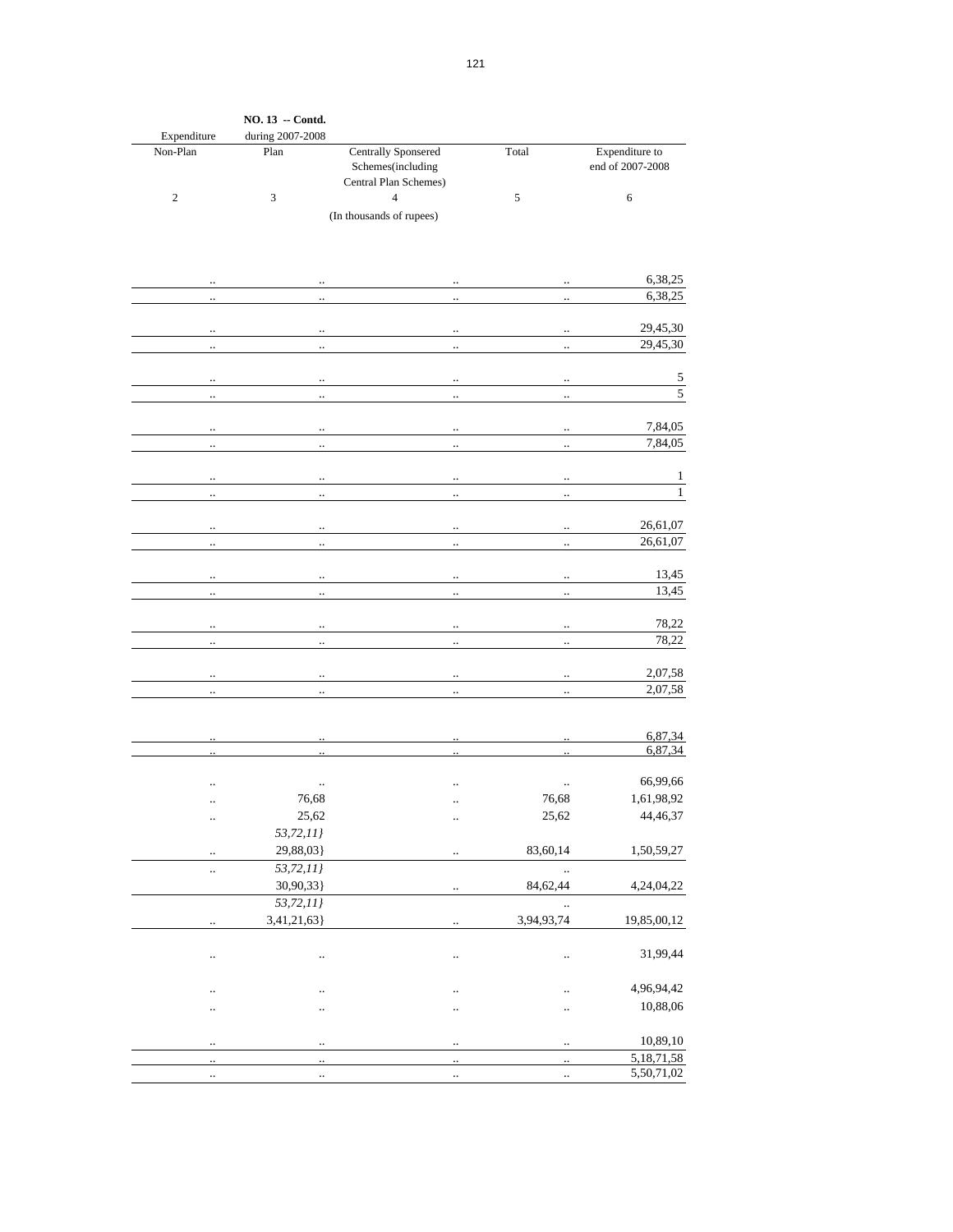| Expenditure          | $110.12 - \text{Coulu.}$<br>during 2007-2008 |                          |                      |                  |
|----------------------|----------------------------------------------|--------------------------|----------------------|------------------|
| Non-Plan             | Plan                                         | Centrally Sponsered      | Total                | Expenditure to   |
|                      |                                              | Schemes(including        |                      | end of 2007-2008 |
|                      |                                              | Central Plan Schemes)    |                      |                  |
| $\sqrt{2}$           | $\sqrt{3}$                                   | $\overline{4}$           | $\sqrt{5}$           | $\sqrt{6}$       |
|                      |                                              | (In thousands of rupees) |                      |                  |
|                      |                                              |                          |                      |                  |
|                      |                                              |                          |                      |                  |
|                      |                                              |                          |                      |                  |
| $\cdot$ .            |                                              | $\ddot{\phantom{0}}$     | $\ldots$             | 6,38,25          |
| .,                   |                                              |                          | $\ddot{\phantom{a}}$ | 6,38,25          |
|                      |                                              |                          |                      |                  |
| $\ddotsc$            | $\ldots$                                     | $\ldots$                 | $\ddot{\phantom{a}}$ | 29,45,30         |
|                      | $\ldots$                                     | $\ddotsc$                | $\ldots$             | 29,45,30         |
|                      |                                              |                          |                      |                  |
| $\ddotsc$            | $\ldots$                                     | $\ldots$                 | $\ldots$             | $\sqrt{5}$       |
| .,                   | $\ddotsc$                                    | $\ddotsc$                |                      | $\overline{5}$   |
|                      |                                              |                          |                      |                  |
| $\cdot$ .            | $\ldots$                                     | $\ldots$                 | $\ldots$             | 7,84,05          |
| $\ddotsc$            | $\ddotsc$                                    | $\ddotsc$                | $\ddotsc$            | 7,84,05          |
|                      |                                              |                          |                      |                  |
|                      |                                              |                          | $\ddot{\phantom{a}}$ | $\mathbf{1}$     |
| $\ddot{\phantom{a}}$ | $\ldots$                                     | $\ddotsc$                |                      | $\,1$            |
| .,                   | .,                                           | $\ddotsc$                | .,                   |                  |
|                      |                                              |                          |                      |                  |
|                      |                                              |                          | $\ldots$             | 26,61,07         |
| Ω,                   | $\ddot{\phantom{a}}$                         | $\ddotsc$                | $\ddotsc$            | 26,61,07         |
|                      |                                              |                          |                      |                  |
|                      | $\ldots$                                     | $\ldots$                 | $\ddotsc$            | 13,45            |
| $\ldots$             | $\cdot$ .                                    | $\ddotsc$                | $\ldots$             | 13,45            |
|                      |                                              |                          |                      |                  |
| $\cdot\cdot$         | $\ldots$                                     | $\ldots$                 | $\ldots$             | 78,22            |
| $\ddot{\phantom{a}}$ | $\ddotsc$                                    | $\ddotsc$                | $\ddotsc$            | 78,22            |
|                      |                                              |                          |                      |                  |
| Ω.                   | $\ddotsc$                                    | $\ldots$                 | $\ddot{\phantom{a}}$ | 2,07,58          |
| $\ldots$             | $\cdot$ .                                    | $\ddotsc$                | $\ddotsc$            | 2,07,58          |
|                      |                                              |                          |                      |                  |
|                      |                                              |                          |                      |                  |
|                      |                                              |                          |                      | 6,87,34          |
|                      |                                              |                          |                      | 6,87,34          |
|                      |                                              |                          |                      | 66,99,66         |
|                      |                                              |                          | $\ldots$             |                  |
|                      | 76,68                                        |                          | 76,68                | 1,61,98,92       |
|                      | 25,62                                        |                          | 25,62                | 44,46,37         |
|                      | 53,72,11}                                    |                          |                      |                  |
| ۰.                   | 29,88,03}                                    |                          | 83,60,14             | 1,50,59,27       |
|                      | 53, 72, 11                                   |                          |                      |                  |
|                      | 30,90,33}                                    | $\ddot{\phantom{a}}$     | 84,62,44             | 4,24,04,22       |
|                      | 53,72,11}                                    |                          |                      |                  |
|                      | 3,41,21,63}                                  |                          | 3,94,93,74           | 19,85,00,12      |
|                      |                                              |                          |                      |                  |
|                      |                                              |                          |                      | 31,99,44         |
| $\cdot$ .            | $\ddotsc$                                    |                          | $\ddot{\phantom{0}}$ |                  |
|                      |                                              |                          |                      | 4,96,94,42       |
|                      |                                              |                          |                      |                  |
|                      |                                              |                          |                      | 10,88,06         |
|                      |                                              |                          |                      |                  |
|                      |                                              |                          |                      | 10,89,10         |
|                      | $\ldots$                                     | $\ldots$                 | $\ddotsc$            | 5,18,71,58       |
| .,                   | $\ddotsc$                                    | $\ldots$                 | $\ddot{\phantom{a}}$ | 5,50,71,02       |

**NO. 13 -- Contd.**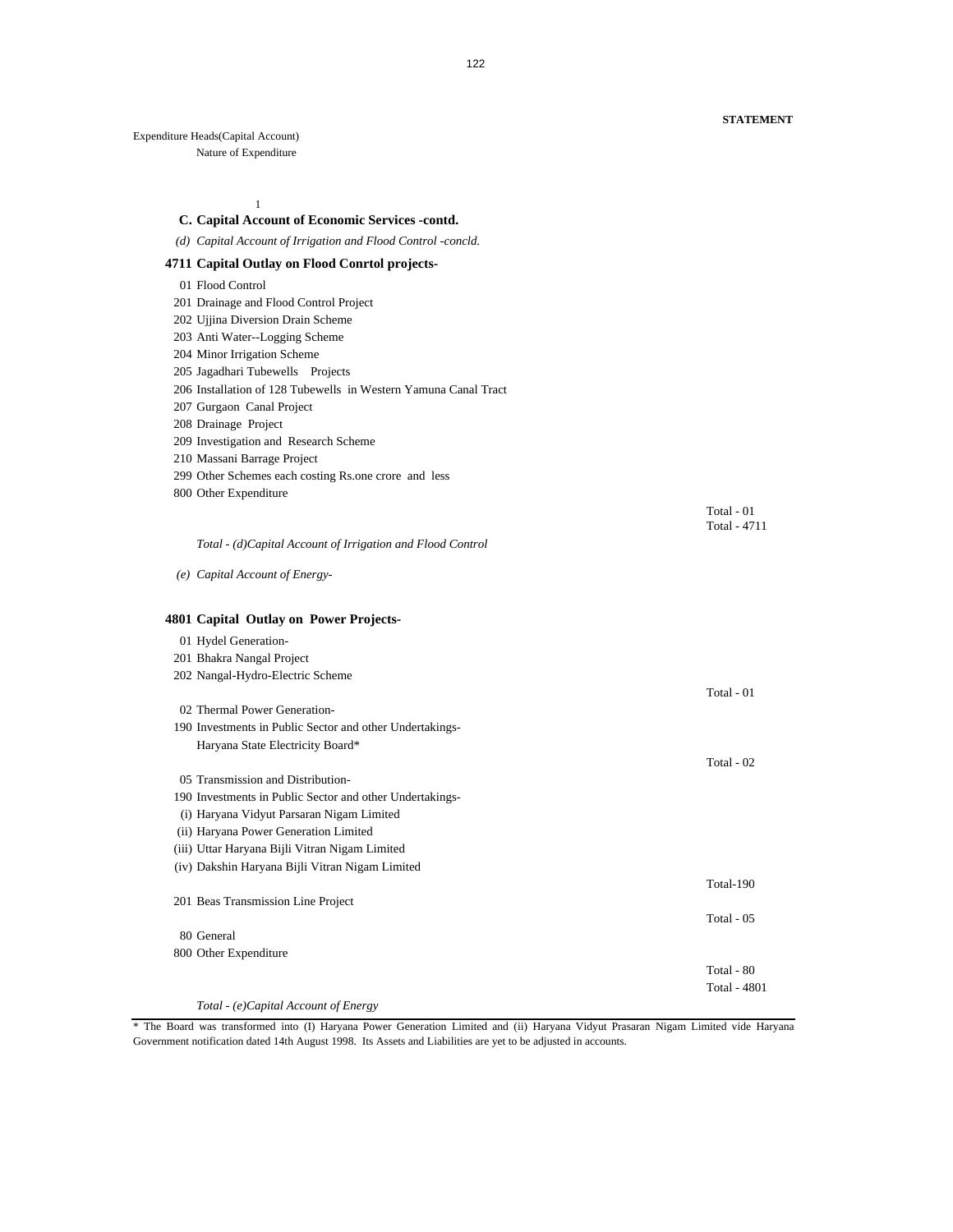Expenditure Heads(Capital Account)

Nature of Expenditure

#### **C. Capital Account of Economic Services -contd.**

*(d) Capital Account of Irrigation and Flood Control -concld.*

### **4711 Capital Outlay on Flood Conrtol projects-**

01 Flood Control

1

- 201 Drainage and Flood Control Project
- 202 Ujjina Diversion Drain Scheme
- 203 Anti Water--Logging Scheme
- 204 Minor Irrigation Scheme
- 205 Jagadhari Tubewells Projects
- 206 Installation of 128 Tubewells in Western Yamuna Canal Tract
- 207 Gurgaon Canal Project
- 208 Drainage Project
- 209 Investigation and Research Scheme
- 210 Massani Barrage Project
- 299 Other Schemes each costing Rs.one crore and less
- 800 Other Expenditure

| Total - 01   |
|--------------|
| Total - 4711 |

*Total - (d)Capital Account of Irrigation and Flood Control*

*(e) Capital Account of Energy-*

#### **4801 Capital Outlay on Power Projects-**

| 01 Hydel Generation-                                     |                     |
|----------------------------------------------------------|---------------------|
| 201 Bhakra Nangal Project                                |                     |
| 202 Nangal-Hydro-Electric Scheme                         |                     |
|                                                          | Total $-01$         |
| 02 Thermal Power Generation-                             |                     |
| 190 Investments in Public Sector and other Undertakings- |                     |
| Haryana State Electricity Board*                         |                     |
|                                                          | Total $-02$         |
| 05 Transmission and Distribution-                        |                     |
| 190 Investments in Public Sector and other Undertakings- |                     |
| (i) Haryana Vidyut Parsaran Nigam Limited                |                     |
| (ii) Haryana Power Generation Limited                    |                     |
| (iii) Uttar Haryana Bijli Vitran Nigam Limited           |                     |
| (iv) Dakshin Haryana Bijli Vitran Nigam Limited          |                     |
|                                                          | Total-190           |
| 201 Beas Transmission Line Project                       |                     |
|                                                          | Total $-05$         |
| 80 General                                               |                     |
| 800 Other Expenditure                                    |                     |
|                                                          | Total - 80          |
|                                                          | <b>Total - 4801</b> |
|                                                          |                     |

*Total - (e)Capital Account of Energy*

\* The Board was transformed into (I) Haryana Power Generation Limited and (ii) Haryana Vidyut Prasaran Nigam Limited vide Haryana Government notification dated 14th August 1998. Its Assets and Liabilities are yet to be adjusted in accounts.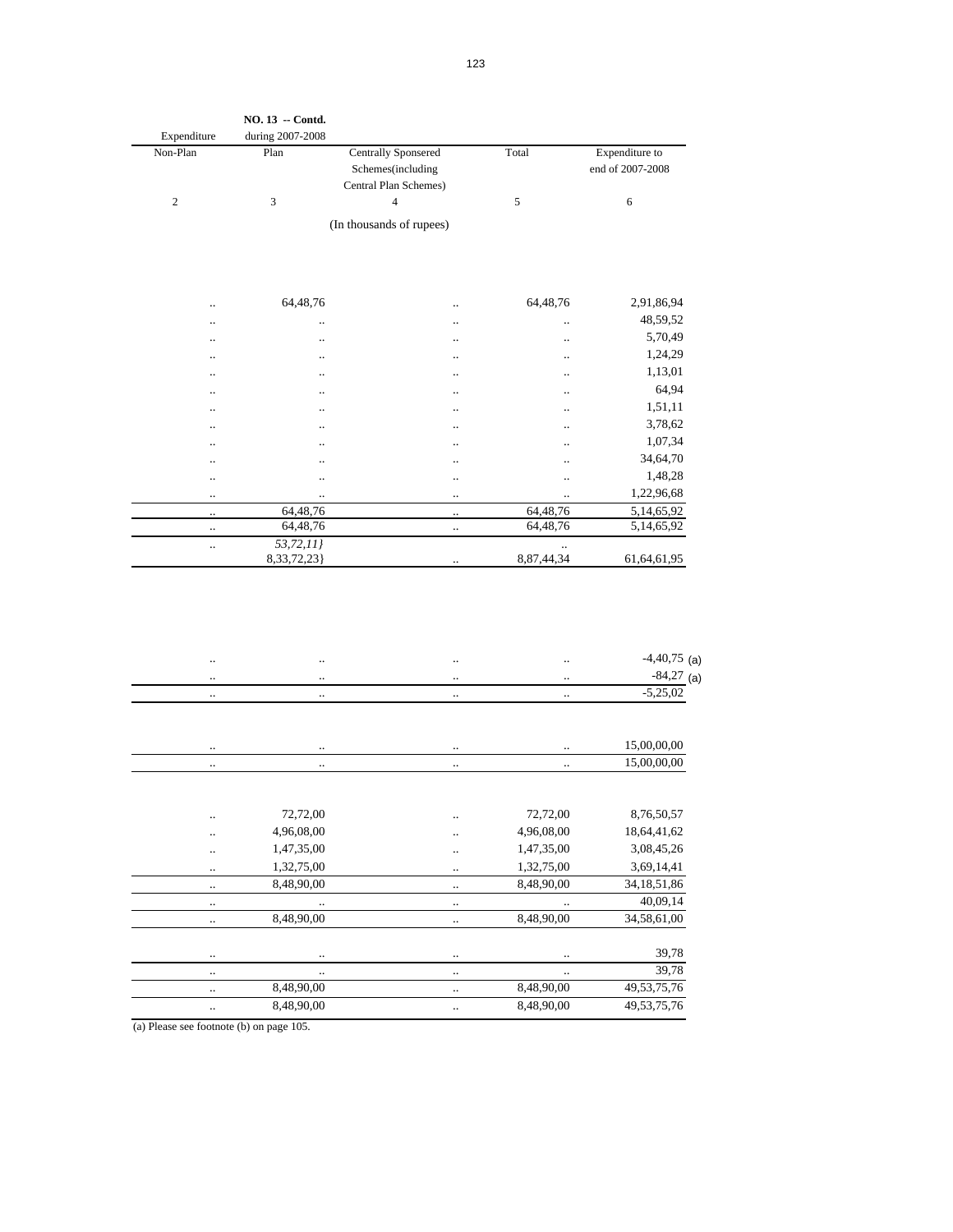| Expenditure  | NO. 13 -- Contd.<br>during 2007-2008 |                            |                      |                  |
|--------------|--------------------------------------|----------------------------|----------------------|------------------|
| Non-Plan     | Plan                                 | <b>Centrally Sponsered</b> | Total                | Expenditure to   |
|              |                                      | Schemes(including          |                      | end of 2007-2008 |
|              |                                      | Central Plan Schemes)      |                      |                  |
| $\sqrt{2}$   | 3                                    | $\overline{4}$             | 5                    | 6                |
|              |                                      | (In thousands of rupees)   |                      |                  |
|              |                                      |                            |                      |                  |
| Ω.           | 64,48,76                             |                            | 64,48,76             | 2,91,86,94       |
|              |                                      |                            |                      | 48,59,52         |
|              |                                      |                            |                      | 5,70,49          |
|              | $\ddot{\phantom{0}}$                 |                            |                      | 1,24,29          |
|              |                                      |                            |                      | 1,13,01          |
|              |                                      |                            |                      | 64,94            |
|              |                                      |                            |                      | 1,51,11          |
|              |                                      |                            |                      | 3,78,62          |
|              |                                      |                            |                      | 1,07,34          |
|              |                                      |                            |                      | 34,64,70         |
|              |                                      |                            |                      | 1,48,28          |
|              |                                      |                            | $\ddot{\phantom{a}}$ | 1,22,96,68       |
| $\cdot\cdot$ | 64,48,76                             | $\cdot$ .                  | 64,48,76             | 5,14,65,92       |
| $\ddotsc$    | 64,48,76                             | $\ldots$                   | 64,48,76             | 5,14,65,92       |
|              | 53, 72, 11                           |                            |                      |                  |
|              | 8, 33, 72, 23}                       |                            | 8,87,44,34           | 61,64,61,95      |

| $\cdot$ . | $\cdot$ . | $\cdot$ . | $\cdot$ . | $-84,27$ (a)<br>$-5,25,02$ |
|-----------|-----------|-----------|-----------|----------------------------|
| $\cdot$ . | $\cdot$ . | $\cdots$  | $\cdot$ . |                            |

|  |            | <br>           | 15,00,00,00    |
|--|------------|----------------|----------------|
|  |            | <br>           | 15,00,00,00    |
|  |            |                |                |
|  |            |                |                |
|  | 72,72,00   | <br>72,72,00   | 8,76,50,57     |
|  | 4,96,08,00 | <br>4,96,08,00 | 18,64,41,62    |
|  | 1,47,35,00 | <br>1,47,35,00 | 3,08,45,26     |
|  | 1,32,75,00 | <br>1,32,75,00 | 3,69,14,41     |
|  | 8,48,90,00 | <br>8,48,90,00 | 34, 18, 51, 86 |
|  |            | <br>           | 40,09,14       |
|  | 8,48,90,00 | <br>8,48,90,00 | 34,58,61,00    |
|  |            | <br>           | 39,78          |
|  |            | <br>           | 39,78          |
|  | 8,48,90,00 | <br>8,48,90,00 | 49, 53, 75, 76 |
|  | 8,48,90,00 | <br>8,48,90,00 | 49, 53, 75, 76 |

(a) Please see footnote (b) on page 105.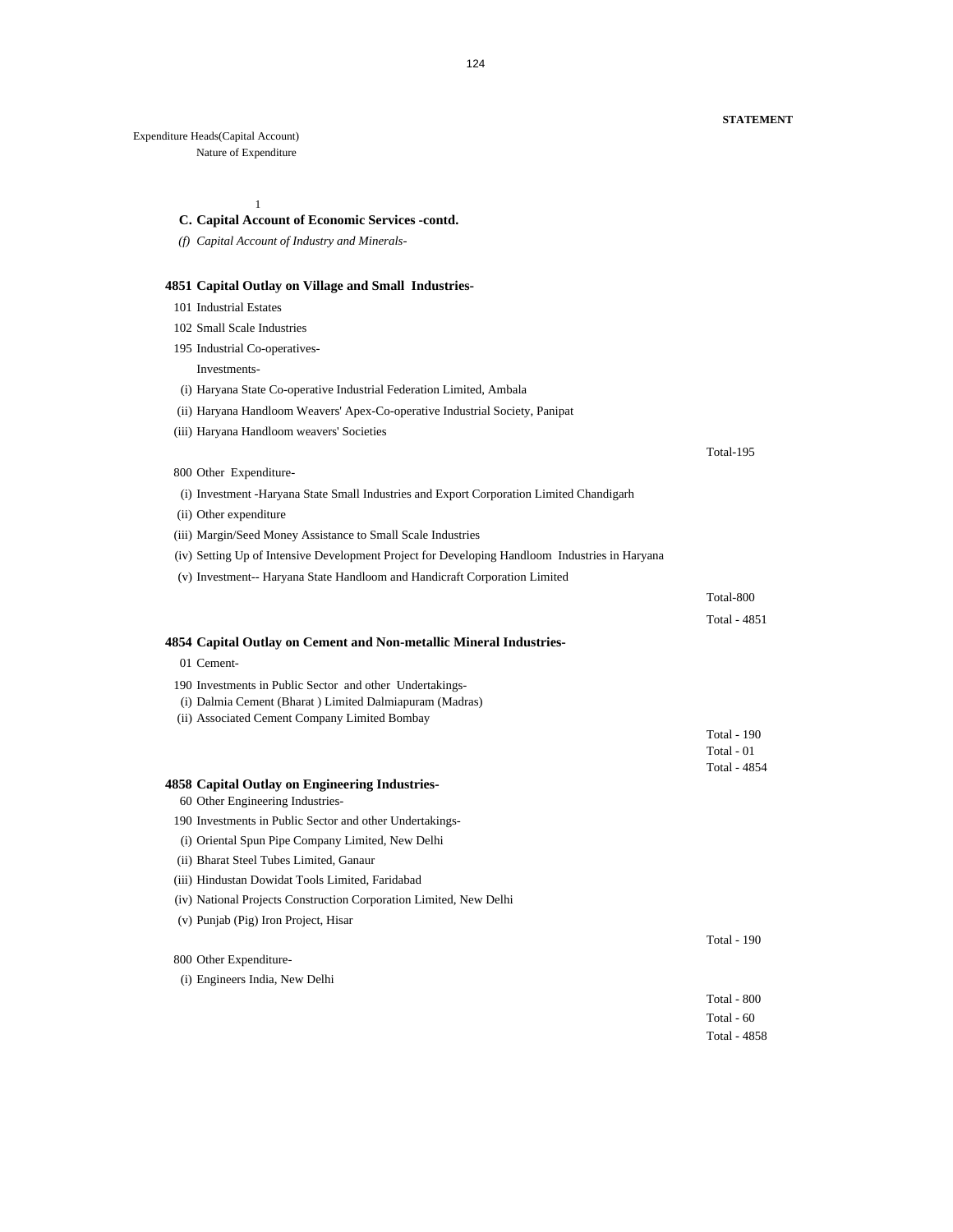1

Nature of Expenditure

## **C. Capital Account of Economic Services -contd.**

*(f) Capital Account of Industry and Minerals-*

## **4851 Capital Outlay on Village and Small Industries-**

| 101 Industrial Estates                                                                                             |                    |
|--------------------------------------------------------------------------------------------------------------------|--------------------|
| 102 Small Scale Industries                                                                                         |                    |
| 195 Industrial Co-operatives-                                                                                      |                    |
| Investments-                                                                                                       |                    |
| (i) Haryana State Co-operative Industrial Federation Limited, Ambala                                               |                    |
| (ii) Haryana Handloom Weavers' Apex-Co-operative Industrial Society, Panipat                                       |                    |
| (iii) Haryana Handloom weavers' Societies                                                                          |                    |
|                                                                                                                    | Total-195          |
| 800 Other Expenditure-                                                                                             |                    |
| (i) Investment -Haryana State Small Industries and Export Corporation Limited Chandigarh<br>(ii) Other expenditure |                    |
| (iii) Margin/Seed Money Assistance to Small Scale Industries                                                       |                    |
|                                                                                                                    |                    |
| (iv) Setting Up of Intensive Development Project for Developing Handloom Industries in Haryana                     |                    |
| (v) Investment-- Haryana State Handloom and Handicraft Corporation Limited                                         | Total-800          |
|                                                                                                                    |                    |
|                                                                                                                    | Total - 4851       |
| 4854 Capital Outlay on Cement and Non-metallic Mineral Industries-                                                 |                    |
| 01 Cement-                                                                                                         |                    |
| 190 Investments in Public Sector and other Undertakings-                                                           |                    |
| (i) Dalmia Cement (Bharat) Limited Dalmiapuram (Madras)<br>(ii) Associated Cement Company Limited Bombay           |                    |
|                                                                                                                    | <b>Total - 190</b> |
|                                                                                                                    | Total - 01         |
| 4858 Capital Outlay on Engineering Industries-                                                                     | Total - 4854       |
| 60 Other Engineering Industries-                                                                                   |                    |
| 190 Investments in Public Sector and other Undertakings-                                                           |                    |
| (i) Oriental Spun Pipe Company Limited, New Delhi                                                                  |                    |
| (ii) Bharat Steel Tubes Limited, Ganaur                                                                            |                    |
| (iii) Hindustan Dowidat Tools Limited, Faridabad                                                                   |                    |
| (iv) National Projects Construction Corporation Limited, New Delhi                                                 |                    |
| (v) Punjab (Pig) Iron Project, Hisar                                                                               |                    |
|                                                                                                                    | <b>Total - 190</b> |
| 800 Other Expenditure-                                                                                             |                    |
| (i) Engineers India, New Delhi                                                                                     |                    |
|                                                                                                                    | <b>Total - 800</b> |
|                                                                                                                    | Total - 60         |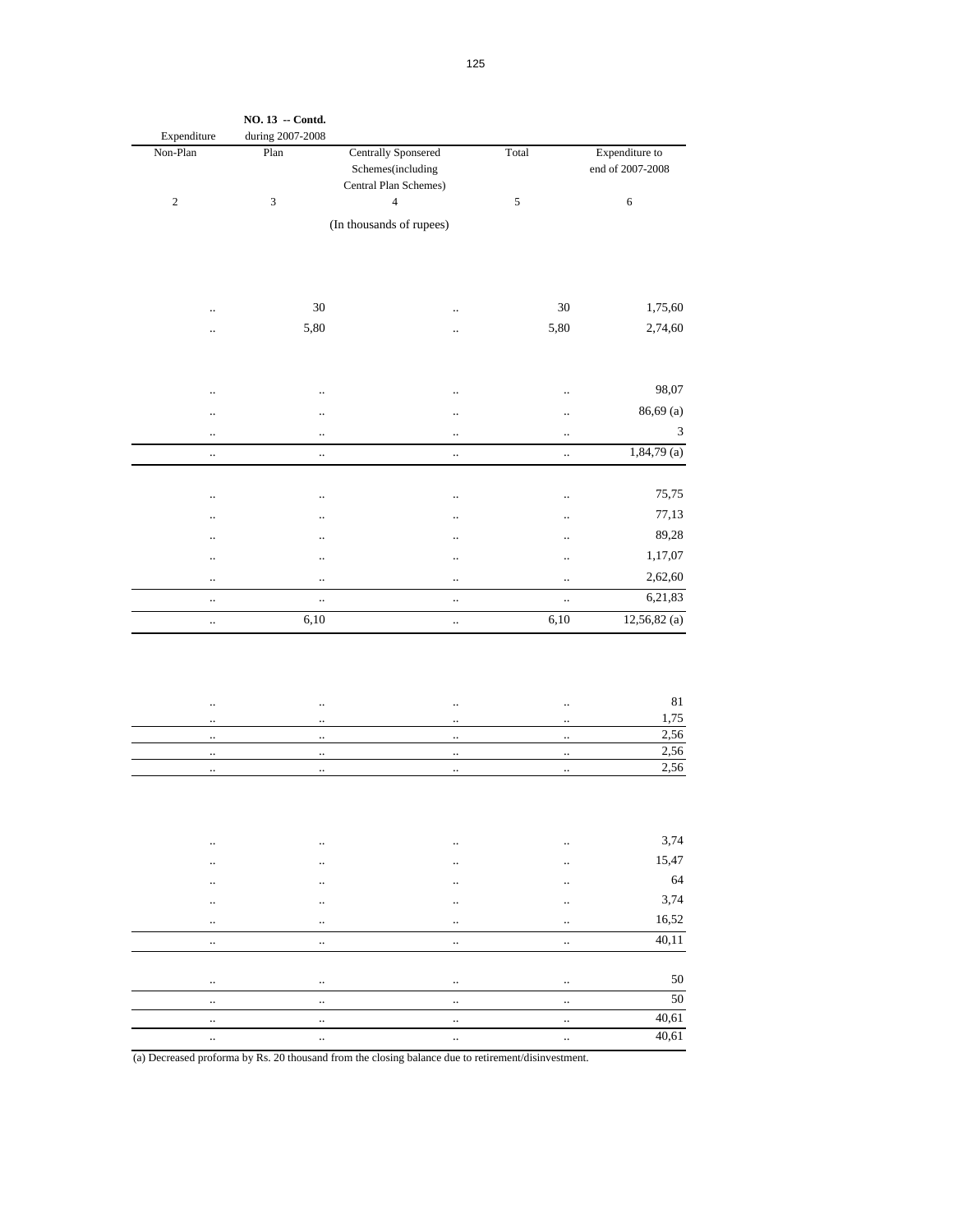| Expenditure           | during 2007-2008     |                          |                       |                             |
|-----------------------|----------------------|--------------------------|-----------------------|-----------------------------|
| Non-Plan              | Plan                 | Centrally Sponsered      | Total                 | Expenditure to              |
|                       |                      | Schemes(including        |                       | end of 2007-2008            |
|                       |                      | Central Plan Schemes)    |                       |                             |
| $\sqrt{2}$            | $\sqrt{3}$           | $\sqrt{4}$               | $\sqrt{5}$            | $\sqrt{6}$                  |
|                       |                      | (In thousands of rupees) |                       |                             |
|                       |                      |                          |                       |                             |
|                       |                      |                          |                       |                             |
| $\cdot$ .             | $30\,$               |                          | $30\,$                | 1,75,60                     |
| $\cdot$ .             | 5,80                 |                          | 5,80                  | 2,74,60                     |
|                       |                      |                          |                       |                             |
| $\ddot{\phantom{0}}$  |                      |                          |                       | 98,07                       |
| $\cdot$ .             |                      |                          |                       | 86,69 (a)                   |
|                       |                      |                          |                       | $\ensuremath{\mathfrak{Z}}$ |
| $\ddot{\phantom{a}}$  | Ц,                   | $\ddotsc$                | $\ddot{\phantom{1}}$  | $1,84,79$ (a)               |
|                       |                      |                          |                       |                             |
| $\cdot$ .             |                      |                          | $\ldots$              | 75,75                       |
|                       |                      |                          |                       | 77,13                       |
|                       |                      |                          |                       | 89,28                       |
|                       |                      |                          |                       | 1,17,07                     |
| $\ddotsc$             |                      |                          |                       | 2,62,60                     |
| ä,                    | $\ddot{\cdot}$       | $\ddotsc$                | $\ddot{\phantom{1}}$  | 6,21,83                     |
| ä,                    | 6,10                 | .,                       | 6,10                  | $12,56,82$ (a)              |
|                       |                      |                          |                       |                             |
|                       |                      |                          |                       |                             |
|                       |                      |                          |                       |                             |
|                       | $\ddotsc$            |                          | $\cdot$ .             | $81\,$                      |
|                       | $\ddotsc$            |                          | $\ddot{\phantom{a}}$  | 1,75                        |
| $\ldots$              | $\ldots$             |                          | $\ddotsc$             | 2,56                        |
| .,                    | .,                   | $\ddot{\phantom{0}}$     | .,                    | 2,56                        |
|                       | $\ldots$             | $\ddotsc$                | $\ddot{\phantom{a}}$  | 2,56                        |
|                       |                      |                          |                       |                             |
|                       |                      |                          |                       |                             |
|                       |                      |                          |                       | 3,74                        |
| $\cdot$ .             |                      |                          | $\ddotsc$             | 15,47                       |
|                       |                      |                          |                       | 64                          |
|                       |                      |                          |                       | 3,74                        |
| $\ddot{\phantom{0}}$  |                      |                          |                       | 16,52                       |
| $\cdot$ .<br>$\ldots$ | $\ldots$<br>$\ldots$ | $\ldots$<br>$\ldots$     | $\ddotsc$<br>$\ldots$ | 40,11                       |
|                       |                      |                          |                       |                             |
| $\ddot{\phantom{0}}$  | $\ddot{\phantom{0}}$ | $\ddot{\phantom{0}}$     | $\cdot$ .             | 50                          |
| $\ddot{\phantom{0}}$  | $\ldots$             | $\ldots$                 | $\ldots$              | 50                          |
| $\ddot{\cdot}$        | $\ddotsc$            | $\cdot\cdot$             | $\ddotsc$             | $\frac{40,61}{ }$           |
| ă,                    | ä,                   | $\ddot{\phantom{1}}$     | $\ddotsc$             | 40,61                       |

(a) Decreased proforma by Rs. 20 thousand from the closing balance due to retirement/disinvestment.

**NO. 13 -- Contd.**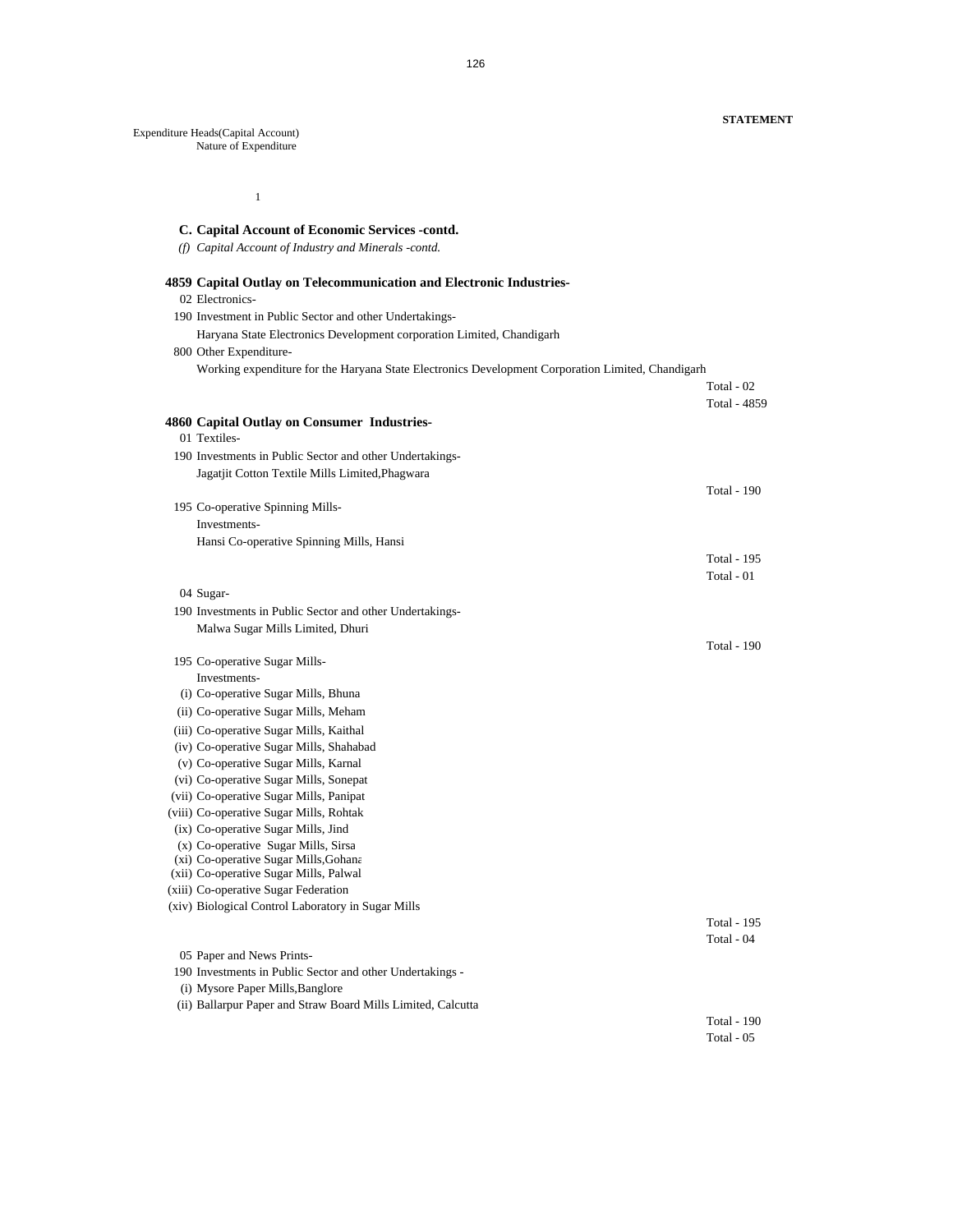126

Expenditure Heads(Capital Account) Nature of Expenditure

**C. Capital Account of Economic Services -contd.**

| (f) Capital Account of Industry and Minerals -contd.                                              |                            |
|---------------------------------------------------------------------------------------------------|----------------------------|
| 4859 Capital Outlay on Telecommunication and Electronic Industries-                               |                            |
| 02 Electronics-                                                                                   |                            |
| 190 Investment in Public Sector and other Undertakings-                                           |                            |
| Haryana State Electronics Development corporation Limited, Chandigarh                             |                            |
| 800 Other Expenditure-                                                                            |                            |
| Working expenditure for the Haryana State Electronics Development Corporation Limited, Chandigarh |                            |
|                                                                                                   | Total - 02<br>Total - 4859 |
| 4860 Capital Outlay on Consumer Industries-                                                       |                            |
| 01 Textiles-                                                                                      |                            |
| 190 Investments in Public Sector and other Undertakings-                                          |                            |
| Jagatjit Cotton Textile Mills Limited, Phagwara                                                   |                            |
|                                                                                                   | Total - 190                |
| 195 Co-operative Spinning Mills-                                                                  |                            |
| Investments-                                                                                      |                            |
| Hansi Co-operative Spinning Mills, Hansi                                                          |                            |
|                                                                                                   | <b>Total - 195</b>         |
|                                                                                                   | Total - 01                 |
| 04 Sugar-                                                                                         |                            |
| 190 Investments in Public Sector and other Undertakings-                                          |                            |
| Malwa Sugar Mills Limited, Dhuri                                                                  |                            |
|                                                                                                   | <b>Total - 190</b>         |
| 195 Co-operative Sugar Mills-                                                                     |                            |
| Investments-<br>(i) Co-operative Sugar Mills, Bhuna                                               |                            |
|                                                                                                   |                            |
| (ii) Co-operative Sugar Mills, Meham                                                              |                            |
| (iii) Co-operative Sugar Mills, Kaithal<br>(iv) Co-operative Sugar Mills, Shahabad                |                            |
| (v) Co-operative Sugar Mills, Karnal                                                              |                            |
| (vi) Co-operative Sugar Mills, Sonepat                                                            |                            |
| (vii) Co-operative Sugar Mills, Panipat                                                           |                            |
| (viii) Co-operative Sugar Mills, Rohtak                                                           |                            |
| (ix) Co-operative Sugar Mills, Jind                                                               |                            |
| (x) Co-operative Sugar Mills, Sirsa                                                               |                            |
| (xi) Co-operative Sugar Mills, Gohana                                                             |                            |
| (xii) Co-operative Sugar Mills, Palwal                                                            |                            |
| (xiii) Co-operative Sugar Federation<br>(xiv) Biological Control Laboratory in Sugar Mills        |                            |
|                                                                                                   | <b>Total - 195</b>         |
|                                                                                                   | Total - 04                 |
| 05 Paper and News Prints-                                                                         |                            |
| 190 Investments in Public Sector and other Undertakings -                                         |                            |
| (i) Mysore Paper Mills, Banglore                                                                  |                            |
| (ii) Ballarpur Paper and Straw Board Mills Limited, Calcutta                                      |                            |
|                                                                                                   | <b>Total - 190</b>         |
|                                                                                                   | Total - 05                 |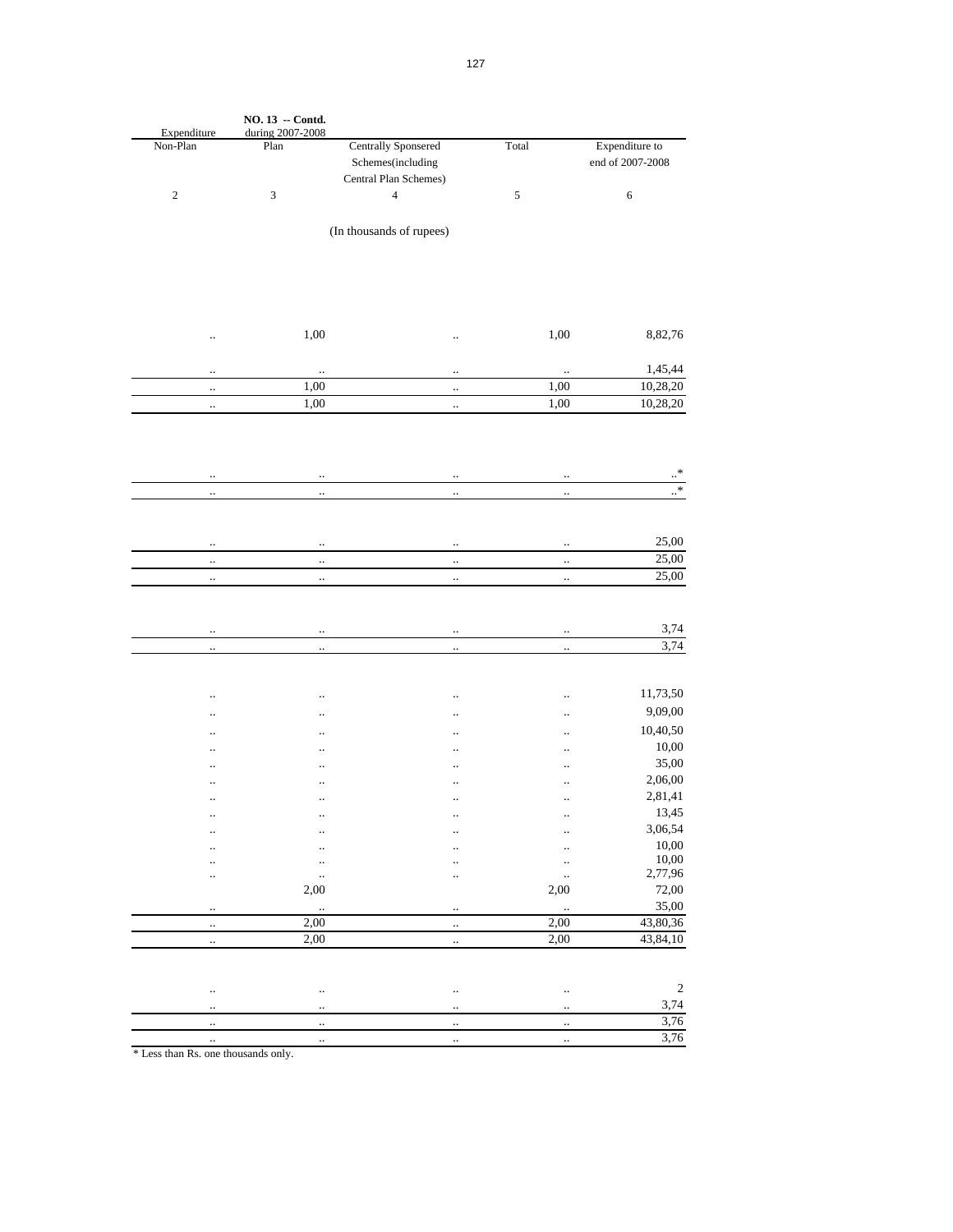| Expenditure          | NO. 13 -- Contd.<br>during 2007-2008 |                                          |                      |                                    |
|----------------------|--------------------------------------|------------------------------------------|----------------------|------------------------------------|
| Non-Plan             | Plan                                 | Centrally Sponsered<br>Schemes(including | Total                | Expenditure to<br>end of 2007-2008 |
|                      |                                      | Central Plan Schemes)                    |                      |                                    |
| $\sqrt{2}$           | $\overline{3}$                       | $\overline{4}$                           | $\sqrt{5}$           | $\sqrt{6}$                         |
|                      |                                      | (In thousands of rupees)                 |                      |                                    |
|                      |                                      |                                          |                      |                                    |
|                      | 1,00                                 | $\ddotsc$                                | $1,\!00$             | 8,82,76                            |
|                      |                                      | $\ddotsc$                                |                      | 1,45,44                            |
| $\cdot$ .<br>        | $\cdot$ .<br>1,00                    |                                          | $\ldots$<br>1,00     | 10,28,20                           |
| .,                   | 1,00                                 |                                          | 1,00                 | 10,28,20                           |
|                      |                                      |                                          |                      |                                    |
| $\ddotsc$            | $\ldots$                             | $\ldots$                                 | $\ldots$             | ∴*                                 |
| $\ddot{\phantom{1}}$ | $\ldots$                             | $\ddot{\phantom{1}}$                     | $\ddotsc$            | $\ddot{\phantom{0}}$               |
|                      |                                      |                                          |                      |                                    |
|                      | $\ldots$                             | $\ddotsc$                                | $\cdot$ .            | 25,00<br>25,00                     |
|                      | .,                                   | $\ddotsc$                                | $\ddotsc$            | 25,00                              |
| .,                   |                                      | u,                                       | $\ddotsc$            |                                    |
| $\ddotsc$            | $\ddotsc$                            | $\ldots$                                 | $\ddotsc$            | 3,74                               |
| Ω.                   | $\cdot$ .                            | $\ddotsc$                                | $\cdot$ .            | 3,74                               |
|                      |                                      | $\ddot{\phantom{0}}$                     |                      | 11,73,50                           |
|                      |                                      |                                          |                      | 9,09,00                            |
|                      |                                      |                                          |                      | 10,40,50                           |
|                      |                                      |                                          |                      | 10,00                              |
|                      |                                      |                                          |                      | 35,00                              |
|                      | $\ddotsc$                            |                                          |                      | 2,06,00                            |
|                      | $\ddotsc$                            |                                          |                      | 2,81,41                            |
|                      | $\ddotsc$                            |                                          |                      | 13,45                              |
|                      |                                      |                                          |                      | 3,06,54                            |
|                      |                                      |                                          |                      | 10,00                              |
|                      |                                      |                                          |                      | 10,00                              |
|                      | $\ddot{\phantom{0}}$                 |                                          | $\ddotsc$            | 2,77,96                            |
|                      | 2,00                                 |                                          | 2,00                 | 72,00                              |
| $\cdot$ .            | $\ddotsc$                            | $\cdot$ .                                | $\ddotsc$            | 35,00                              |
|                      | 2,00                                 | $\ldots$                                 | 2,00                 | 43,80,36                           |
| $\ldots$             | 2,00                                 | $\ldots$                                 | 2,00                 | 43,84,10                           |
| $\cdot$ .            | $\ddotsc$                            | $\cdot$ .                                |                      | $\sqrt{2}$                         |
|                      | $\ddotsc$                            | $\ddotsc$                                |                      | 3,74                               |
|                      | $\ddot{\phantom{0}}$                 |                                          | $\ddot{\phantom{0}}$ | 3,76                               |
|                      |                                      |                                          |                      | 3,76                               |

\* Less than Rs. one thousands only.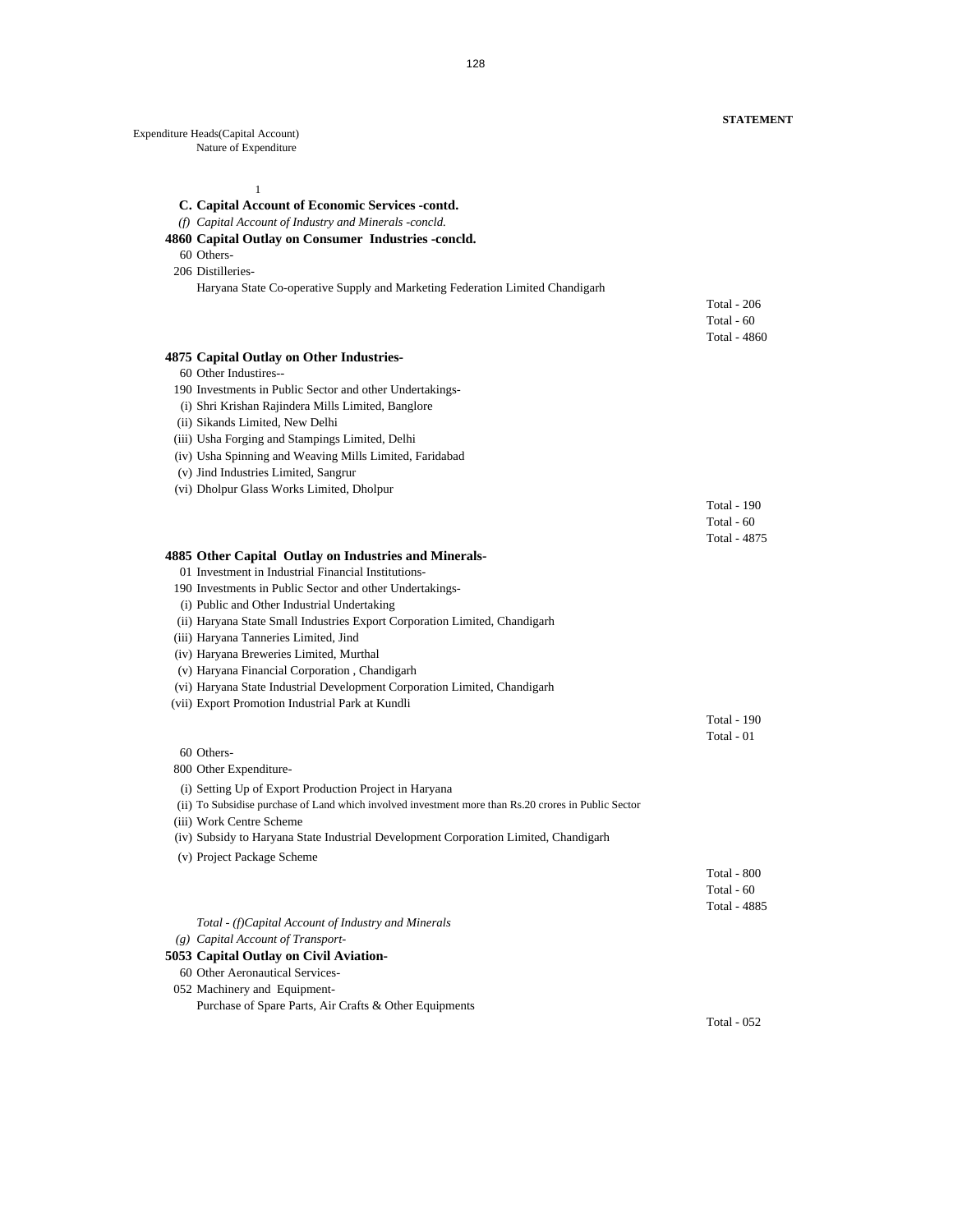| Expenditure Heads(Capital Account)                                                                   |                    |
|------------------------------------------------------------------------------------------------------|--------------------|
| Nature of Expenditure                                                                                |                    |
|                                                                                                      |                    |
|                                                                                                      |                    |
| $\mathbf{1}$                                                                                         |                    |
| C. Capital Account of Economic Services -contd.                                                      |                    |
| (f) Capital Account of Industry and Minerals -concld.                                                |                    |
| 4860 Capital Outlay on Consumer Industries -concld.                                                  |                    |
| 60 Others-                                                                                           |                    |
| 206 Distilleries-                                                                                    |                    |
| Haryana State Co-operative Supply and Marketing Federation Limited Chandigarh                        |                    |
|                                                                                                      | <b>Total - 206</b> |
|                                                                                                      | Total - 60         |
|                                                                                                      | Total - 4860       |
| 4875 Capital Outlay on Other Industries-                                                             |                    |
| 60 Other Industires--                                                                                |                    |
| 190 Investments in Public Sector and other Undertakings-                                             |                    |
| (i) Shri Krishan Rajindera Mills Limited, Banglore                                                   |                    |
| (ii) Sikands Limited, New Delhi                                                                      |                    |
| (iii) Usha Forging and Stampings Limited, Delhi                                                      |                    |
| (iv) Usha Spinning and Weaving Mills Limited, Faridabad                                              |                    |
| (v) Jind Industries Limited, Sangrur                                                                 |                    |
| (vi) Dholpur Glass Works Limited, Dholpur                                                            |                    |
|                                                                                                      | Total - 190        |
|                                                                                                      | Total $-60$        |
|                                                                                                      | Total - 4875       |
| 4885 Other Capital Outlay on Industries and Minerals-                                                |                    |
| 01 Investment in Industrial Financial Institutions-                                                  |                    |
| 190 Investments in Public Sector and other Undertakings-                                             |                    |
| (i) Public and Other Industrial Undertaking                                                          |                    |
| (ii) Haryana State Small Industries Export Corporation Limited, Chandigarh                           |                    |
| (iii) Haryana Tanneries Limited, Jind                                                                |                    |
| (iv) Haryana Breweries Limited, Murthal                                                              |                    |
| (v) Haryana Financial Corporation, Chandigarh                                                        |                    |
| (vi) Haryana State Industrial Development Corporation Limited, Chandigarh                            |                    |
|                                                                                                      |                    |
| (vii) Export Promotion Industrial Park at Kundli                                                     | Total - 190        |
|                                                                                                      |                    |
| 60 Others-                                                                                           | Total - 01         |
|                                                                                                      |                    |
| 800 Other Expenditure-                                                                               |                    |
| (i) Setting Up of Export Production Project in Haryana                                               |                    |
| (ii) To Subsidise purchase of Land which involved investment more than Rs.20 crores in Public Sector |                    |
| (iii) Work Centre Scheme                                                                             |                    |
| (iv) Subsidy to Haryana State Industrial Development Corporation Limited, Chandigarh                 |                    |
| (v) Project Package Scheme                                                                           |                    |
|                                                                                                      | Total - 800        |
|                                                                                                      | Total - 60         |
|                                                                                                      | Total - 4885       |
| Total - (f)Capital Account of Industry and Minerals                                                  |                    |
| (g) Capital Account of Transport-                                                                    |                    |
| 5053 Capital Outlay on Civil Aviation-                                                               |                    |
| 60 Other Aeronautical Services-                                                                      |                    |
| 052 Machinery and Equipment-                                                                         |                    |
| Purchase of Spare Parts, Air Crafts & Other Equipments                                               |                    |

Total - 052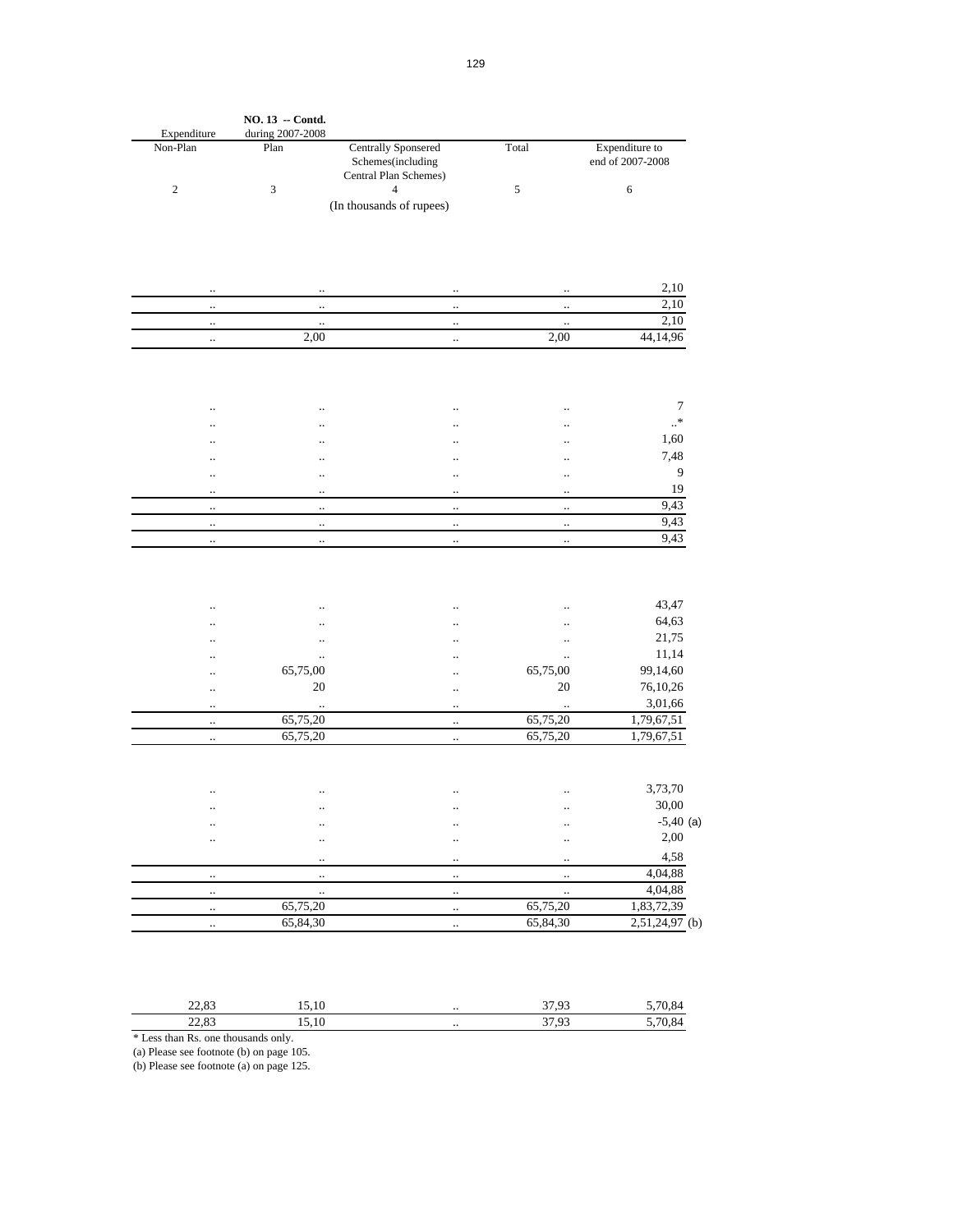| Expenditure                                  | NO. 13 -- Contd.<br>during 2007-2008 |                                                 |                       |                                    |
|----------------------------------------------|--------------------------------------|-------------------------------------------------|-----------------------|------------------------------------|
| Non-Plan                                     | Plan                                 | <b>Centrally Sponsered</b><br>Schemes(including | Total                 | Expenditure to<br>end of 2007-2008 |
| $\sqrt{2}$                                   | 3                                    | Central Plan Schemes)<br>$\overline{4}$         | $\sqrt{5}$            | $\sqrt{6}$                         |
|                                              |                                      | (In thousands of rupees)                        |                       |                                    |
|                                              |                                      |                                                 |                       |                                    |
| $\cdot$ .                                    | $\cdot$                              | $\ddotsc$                                       | $\ddotsc$             | 2,10                               |
| $\ddotsc$                                    | $\ldots$                             | $\ldots$                                        | $\ldots$              | 2,10                               |
| $\ddotsc$                                    | $\ldots$                             | $\ddot{\phantom{0}}$                            | $\ddot{\phantom{0}}$  | 2,10                               |
| $\ldots$                                     | 2,00                                 | $\ddot{\phantom{a}}$                            | 2,00                  | 44,14,96                           |
|                                              |                                      |                                                 |                       |                                    |
| $\ddotsc$                                    | $\ddot{\phantom{0}}$                 | $\ddotsc$                                       | $\ddotsc$             | $\overline{7}$                     |
|                                              |                                      |                                                 |                       | $\cdot$                            |
|                                              |                                      |                                                 |                       | 1,60                               |
|                                              |                                      |                                                 |                       | 7,48                               |
|                                              | $\ddot{\phantom{0}}$                 | $\ddot{\phantom{0}}$                            |                       | 9                                  |
|                                              |                                      | $\ddot{\phantom{0}}$                            |                       | 19                                 |
| $\ddotsc$                                    | $\ldots$                             | $\ddotsc$                                       | $\ddotsc$             | 9,43                               |
| $\ddotsc$                                    | .,                                   | $\ddot{\phantom{0}}$                            | $\ddot{\phantom{a}}$  | 9,43                               |
| $\cdot$ .                                    | $\ldots$                             | $\ddotsc$                                       | $\ldots$              | 9,43                               |
|                                              |                                      |                                                 |                       | 43,47                              |
|                                              |                                      |                                                 |                       | 64,63                              |
|                                              | $\ddotsc$                            |                                                 | $\ddotsc$             | 21,75                              |
|                                              | $\ddotsc$                            |                                                 | $\ddotsc$             | 11,14                              |
|                                              | $\ldots$<br>65,75,00                 |                                                 | $\ddotsc$<br>65,75,00 | 99,14,60                           |
|                                              | 20                                   |                                                 | 20                    | 76,10,26                           |
| $\ddot{\phantom{a}}$<br>$\ddot{\phantom{a}}$ | $\ddot{\phantom{a}}$                 | <br>$\ddot{\phantom{a}}$                        | $\ddot{\phantom{a}}$  | 3,01,66                            |
| $\cdot\cdot$                                 | 65,75,20                             | $\ddotsc$                                       | 65,75,20              | 1,79,67,51                         |
|                                              | 65,75,20                             | $\ddot{\phantom{0}}$                            | 65,75,20              | 1,79,67,51                         |
|                                              |                                      |                                                 |                       |                                    |
| $\cdot$ .                                    | $\cdot$ .                            | $\cdot$ .                                       | $\ldots$              | 3,73,70                            |
| $\cdot$ .                                    | $\cdot$ .                            | $\cdot$ .                                       | $\ddotsc$             | 30,00                              |
|                                              | $\ddotsc$                            |                                                 | $\ddotsc$             | $-5,40$ (a)                        |
|                                              |                                      |                                                 |                       | 2,00                               |
|                                              |                                      |                                                 | $\ddot{\phantom{0}}$  | 4,58                               |
| $\ldots$                                     | $\cdot\cdot$                         | $\ldots$                                        | $\ddot{\phantom{1}}$  | 4,04,88                            |
| $\cdot$ .                                    | $\ddot{\phantom{0}}$                 | $\ddotsc$                                       | $\ddot{\phantom{0}}$  | 4,04,88                            |
| $\ldots$                                     | 65,75,20                             | $\ldots$                                        | 65,75,20              | 1,83,72,39                         |
| $\ldots$                                     | 65,84,30                             | $\ddotsc$                                       | 65,84,30              | $2,51,24,97$ (b)                   |

| ാറാ<br>22,03   | 10<br>10,10            | $\cdot$ . | 27.02 | 5.70<br>$\sim$<br>.84 |
|----------------|------------------------|-----------|-------|-----------------------|
| າາ ໑າ<br>22,00 | $\epsilon$<br>1, 1, 10 |           | 27.22 | 570<br>.84            |

\* Less than Rs. one thousands only.

(a) Please see footnote (b) on page 105.

(b) Please see footnote (a) on page 125.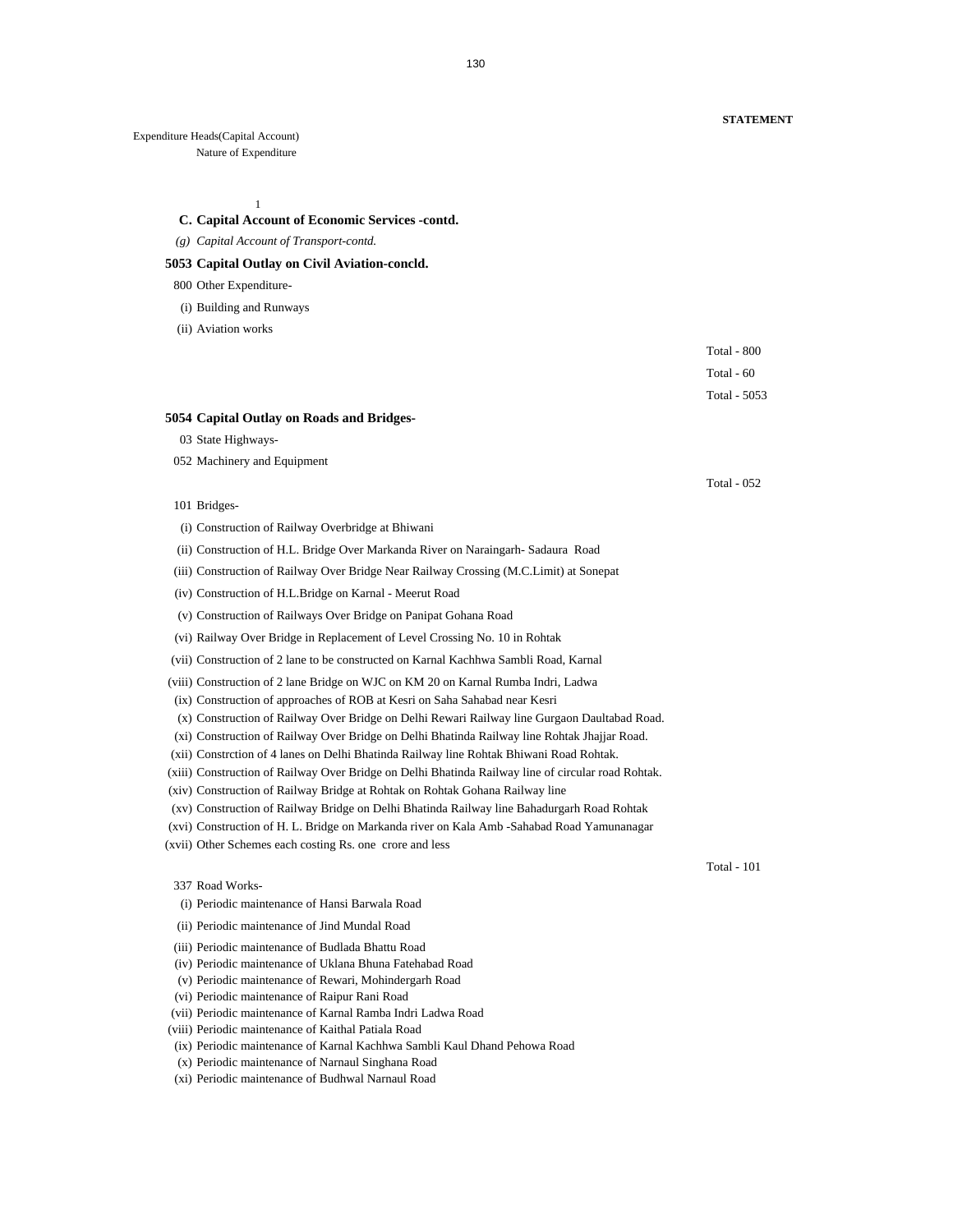Expenditure Heads(Capital Account)

Nature of Expenditure

1

### **C. Capital Account of Economic Services -contd.**

*(g) Capital Account of Transport-contd.*

### **5053 Capital Outlay on Civil Aviation-concld.**

- 800 Other Expenditure-
- (i) Building and Runways
- (ii) Aviation works

|                                                                                                    | Total - 800        |
|----------------------------------------------------------------------------------------------------|--------------------|
|                                                                                                    | Total - 60         |
|                                                                                                    | Total - 5053       |
| 5054 Capital Outlay on Roads and Bridges-                                                          |                    |
| 03 State Highways-                                                                                 |                    |
| 052 Machinery and Equipment                                                                        |                    |
|                                                                                                    | <b>Total - 052</b> |
| 101 Bridges-                                                                                       |                    |
| (i) Construction of Railway Overbridge at Bhiwani                                                  |                    |
| (ii) Construction of H.L. Bridge Over Markanda River on Naraingarh-Sadaura Road                    |                    |
| (iii) Construction of Railway Over Bridge Near Railway Crossing (M.C.Limit) at Sonepat             |                    |
| (iv) Construction of H.L.Bridge on Karnal - Meerut Road                                            |                    |
| (v) Construction of Railways Over Bridge on Panipat Gohana Road                                    |                    |
| (vi) Railway Over Bridge in Replacement of Level Crossing No. 10 in Rohtak                         |                    |
| (vii) Construction of 2 lane to be constructed on Karnal Kachhwa Sambli Road, Karnal               |                    |
| (viii) Construction of 2 lane Bridge on WJC on KM 20 on Karnal Rumba Indri, Ladwa                  |                    |
| (ix) Construction of approaches of ROB at Kesri on Saha Sahabad near Kesri                         |                    |
| (x) Construction of Railway Over Bridge on Delhi Rewari Railway line Gurgaon Daultabad Road.       |                    |
| (xi) Construction of Railway Over Bridge on Delhi Bhatinda Railway line Rohtak Jhajjar Road.       |                    |
| (xii) Constrction of 4 lanes on Delhi Bhatinda Railway line Rohtak Bhiwani Road Rohtak.            |                    |
| (xiii) Construction of Railway Over Bridge on Delhi Bhatinda Railway line of circular road Rohtak. |                    |
| (xiv) Construction of Railway Bridge at Rohtak on Rohtak Gohana Railway line                       |                    |
| (xv) Construction of Railway Bridge on Delhi Bhatinda Railway line Bahadurgarh Road Rohtak         |                    |
| (xvi) Construction of H. L. Bridge on Markanda river on Kala Amb -Sahabad Road Yamunanagar         |                    |
| (xvii) Other Schemes each costing Rs. one crore and less                                           |                    |
|                                                                                                    | <b>Total - 101</b> |
| 337 Road Works-                                                                                    |                    |

- (i) Periodic maintenance of Hansi Barwala Road
- (ii) Periodic maintenance of Jind Mundal Road
- (iii) Periodic maintenance of Budlada Bhattu Road
- (iv) Periodic maintenance of Uklana Bhuna Fatehabad Road
- (v) Periodic maintenance of Rewari, Mohindergarh Road
- (vi) Periodic maintenance of Raipur Rani Road
- (vii) Periodic maintenance of Karnal Ramba Indri Ladwa Road
- (viii) Periodic maintenance of Kaithal Patiala Road
- (ix) Periodic maintenance of Karnal Kachhwa Sambli Kaul Dhand Pehowa Road
- (x) Periodic maintenance of Narnaul Singhana Road
- (xi) Periodic maintenance of Budhwal Narnaul Road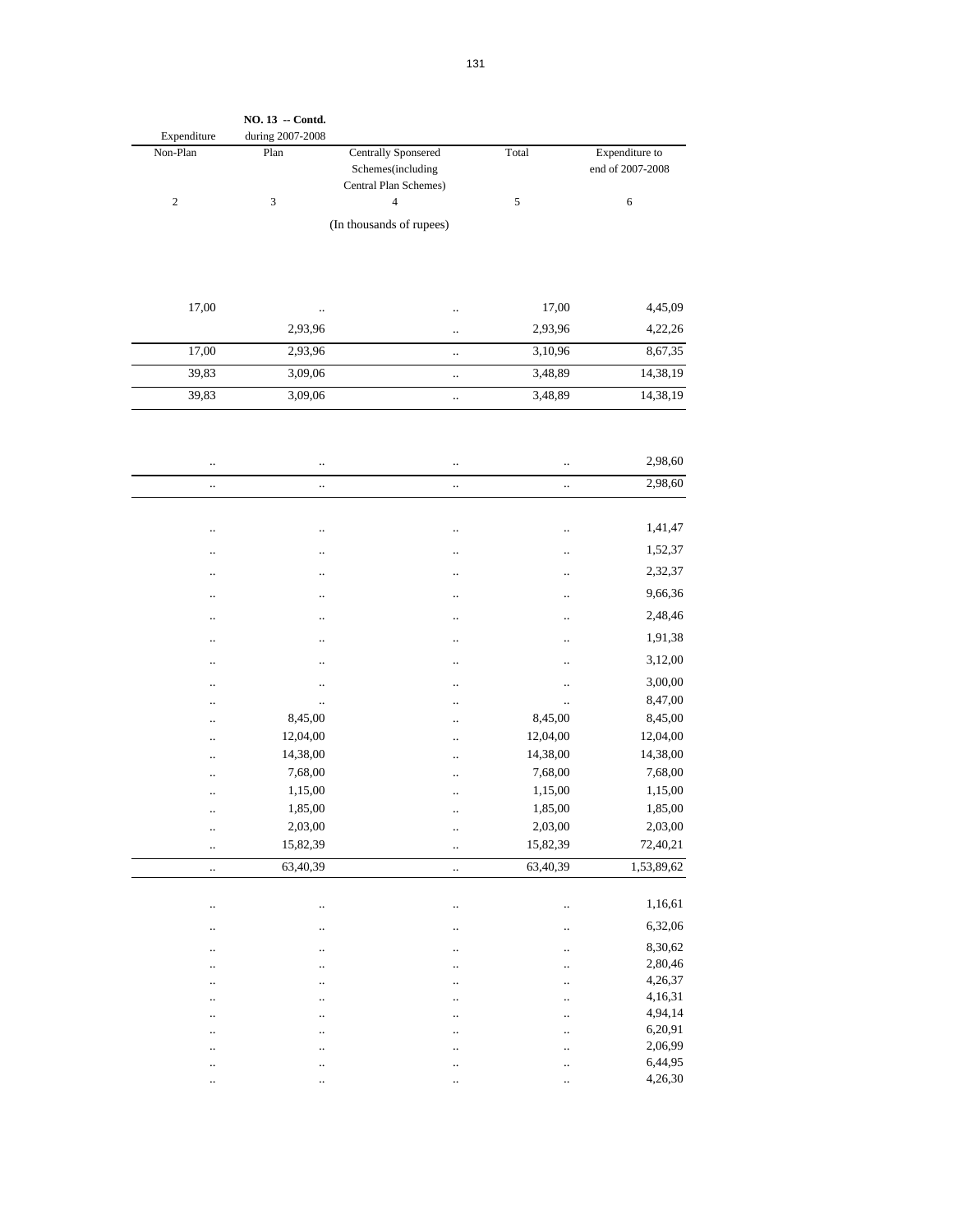|                      | NO. 13 -- Contd.     |                            |                      |                    |
|----------------------|----------------------|----------------------------|----------------------|--------------------|
| Expenditure          | during 2007-2008     |                            |                      |                    |
| Non-Plan             | Plan                 | <b>Centrally Sponsered</b> | Total                | Expenditure to     |
|                      |                      | Schemes(including          |                      | end of 2007-2008   |
| $\sqrt{2}$           | $\mathfrak{Z}$       | Central Plan Schemes)<br>4 |                      |                    |
|                      |                      |                            | 5                    | $\epsilon$         |
|                      |                      | (In thousands of rupees)   |                      |                    |
|                      |                      |                            |                      |                    |
|                      |                      |                            |                      |                    |
|                      |                      |                            |                      |                    |
| 17,00                |                      | $\cdot$ .                  | 17,00                | 4,45,09            |
|                      | 2,93,96              |                            | 2,93,96              | 4,22,26            |
|                      |                      | $\ldots$                   |                      |                    |
| 17,00                | 2,93,96              | $\ddotsc$                  | 3,10,96              | 8,67,35            |
| 39,83                | 3,09,06              | $\ddotsc$                  | 3,48,89              | 14,38,19           |
| 39,83                | 3,09,06              | $\ddot{\phantom{0}}$       | 3,48,89              | 14,38,19           |
|                      |                      |                            |                      |                    |
|                      |                      |                            |                      |                    |
|                      |                      |                            |                      | 2,98,60            |
| $\ddotsc$            | $\ddot{\phantom{0}}$ | $\ldots$                   | $\ddotsc$            |                    |
| $\cdots$             | $\ddotsc$            | .,                         |                      | 2,98,60            |
|                      |                      |                            |                      |                    |
| .,                   | $\cdot$              |                            | .,                   | 1,41,47            |
|                      |                      |                            |                      | 1,52,37            |
|                      |                      |                            |                      | 2,32,37            |
|                      |                      |                            |                      |                    |
|                      |                      |                            |                      | 9,66,36            |
|                      |                      | $\ddot{\phantom{0}}$       |                      | 2,48,46            |
|                      | $\ddot{\phantom{0}}$ | $\ddotsc$                  |                      | 1,91,38            |
|                      | $\ddot{\phantom{0}}$ | $\ddot{\phantom{0}}$       |                      | 3,12,00            |
|                      |                      | $\ddotsc$                  | $\ddotsc$            | 3,00,00            |
|                      | $\ddotsc$            | $\ddot{\phantom{0}}$       | $\ldots$             | 8,47,00            |
|                      | 8,45,00              |                            | 8,45,00              | 8,45,00            |
|                      | 12,04,00             |                            | 12,04,00             | 12,04,00           |
|                      | 14,38,00             |                            | 14,38,00             | 14,38,00           |
|                      | 7,68,00              |                            | 7,68,00              | 7,68,00            |
|                      | 1,15,00              | $\ddot{\phantom{0}}$       | 1,15,00              | 1,15,00            |
|                      | 1,85,00              |                            | 1,85,00              | 1,85,00            |
| $\cdot$              | 2,03,00              | $\cdot$ .                  | 2,03,00              | 2,03,00            |
| $\cdot$ .            | 15,82,39             | $\ldots$                   | 15,82,39             | 72,40,21           |
| $\cdot$ .            | 63,40,39             |                            | 63,40,39             | 1,53,89,62         |
|                      |                      |                            |                      |                    |
| $\ddot{\phantom{0}}$ | $\ddot{\phantom{0}}$ | $\ddot{\phantom{0}}$       |                      | 1,16,61            |
|                      |                      |                            |                      | 6,32,06            |
|                      | $\ddot{\phantom{0}}$ | $\ddotsc$                  | $\ddot{\phantom{0}}$ |                    |
|                      | $\cdot$              | $\ddotsc$                  | $\ddotsc$            | 8,30,62            |
| <br>                 |                      | <br>                       | <br>                 | 2,80,46<br>4,26,37 |
|                      |                      |                            |                      | 4,16,31            |
| $\ddot{\phantom{a}}$ | $\ddot{\phantom{a}}$ |                            |                      | 4,94,14            |
|                      |                      |                            |                      | 6,20,91            |
|                      |                      |                            |                      | 2,06,99            |
|                      |                      |                            |                      | 6,44,95            |
| $\ddot{\phantom{0}}$ | $\ddot{\phantom{0}}$ | $\ddot{\phantom{0}}$       | $\cdot$ .            | 4,26,30            |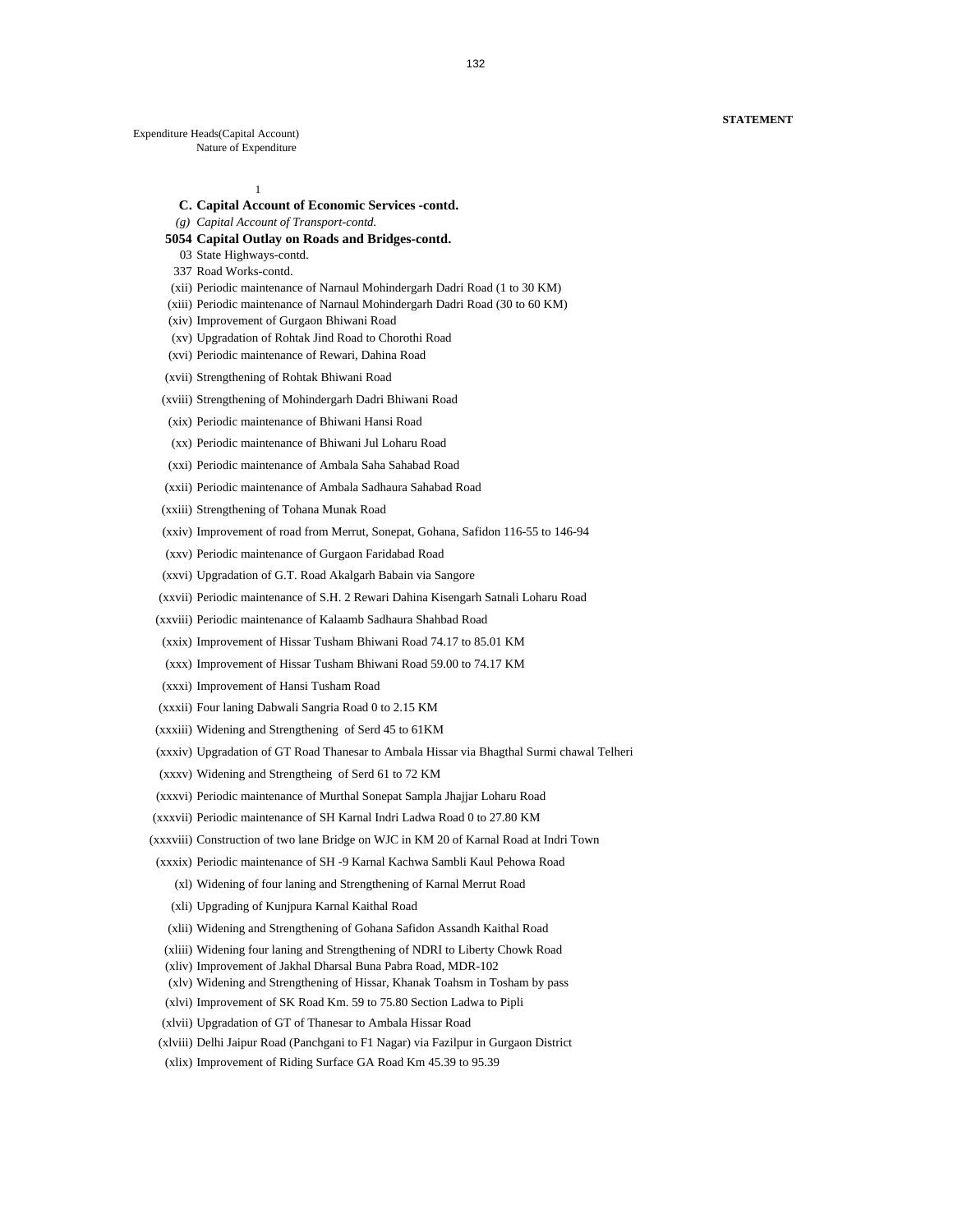Nature of Expenditure

#### 1

- **C. Capital Account of Economic Services -contd.**
- *(g) Capital Account of Transport-contd.*
- **5054 Capital Outlay on Roads and Bridges-contd.**
	- 03 State Highways-contd.
- 337 Road Works-contd.
- (xii) Periodic maintenance of Narnaul Mohindergarh Dadri Road (1 to 30 KM)
- (xiii) Periodic maintenance of Narnaul Mohindergarh Dadri Road (30 to 60 KM)
- (xiv) Improvement of Gurgaon Bhiwani Road
- (xv) Upgradation of Rohtak Jind Road to Chorothi Road
- (xvi) Periodic maintenance of Rewari, Dahina Road
- (xvii) Strengthening of Rohtak Bhiwani Road
- (xviii) Strengthening of Mohindergarh Dadri Bhiwani Road
- (xix) Periodic maintenance of Bhiwani Hansi Road
- (xx) Periodic maintenance of Bhiwani Jul Loharu Road
- (xxi) Periodic maintenance of Ambala Saha Sahabad Road
- (xxii) Periodic maintenance of Ambala Sadhaura Sahabad Road
- (xxiii) Strengthening of Tohana Munak Road
- (xxiv) Improvement of road from Merrut, Sonepat, Gohana, Safidon 116-55 to 146-94
- (xxv) Periodic maintenance of Gurgaon Faridabad Road
- (xxvi) Upgradation of G.T. Road Akalgarh Babain via Sangore
- (xxvii) Periodic maintenance of S.H. 2 Rewari Dahina Kisengarh Satnali Loharu Road
- (xxviii) Periodic maintenance of Kalaamb Sadhaura Shahbad Road
- (xxix) Improvement of Hissar Tusham Bhiwani Road 74.17 to 85.01 KM
- (xxx) Improvement of Hissar Tusham Bhiwani Road 59.00 to 74.17 KM
- (xxxi) Improvement of Hansi Tusham Road
- (xxxii) Four laning Dabwali Sangria Road 0 to 2.15 KM
- (xxxiii) Widening and Strengthening of Serd 45 to 61KM
- (xxxiv) Upgradation of GT Road Thanesar to Ambala Hissar via Bhagthal Surmi chawal Telheri
- (xxxv) Widening and Strengtheing of Serd 61 to 72 KM
- (xxxvi) Periodic maintenance of Murthal Sonepat Sampla Jhajjar Loharu Road
- (xxxvii) Periodic maintenance of SH Karnal Indri Ladwa Road 0 to 27.80 KM
- (xxxviii) Construction of two lane Bridge on WJC in KM 20 of Karnal Road at Indri Town
- (xxxix) Periodic maintenance of SH -9 Karnal Kachwa Sambli Kaul Pehowa Road
	- (xl) Widening of four laning and Strengthening of Karnal Merrut Road
	- (xli) Upgrading of Kunjpura Karnal Kaithal Road
	- (xlii) Widening and Strengthening of Gohana Safidon Assandh Kaithal Road
	- (xliii) Widening four laning and Strengthening of NDRI to Liberty Chowk Road
	- (xliv) Improvement of Jakhal Dharsal Buna Pabra Road, MDR-102
	- (xlv) Widening and Strengthening of Hissar, Khanak Toahsm in Tosham by pass
- (xlvi) Improvement of SK Road Km. 59 to 75.80 Section Ladwa to Pipli
- (xlvii) Upgradation of GT of Thanesar to Ambala Hissar Road
- (xlviii) Delhi Jaipur Road (Panchgani to F1 Nagar) via Fazilpur in Gurgaon District
- (xlix) Improvement of Riding Surface GA Road Km 45.39 to 95.39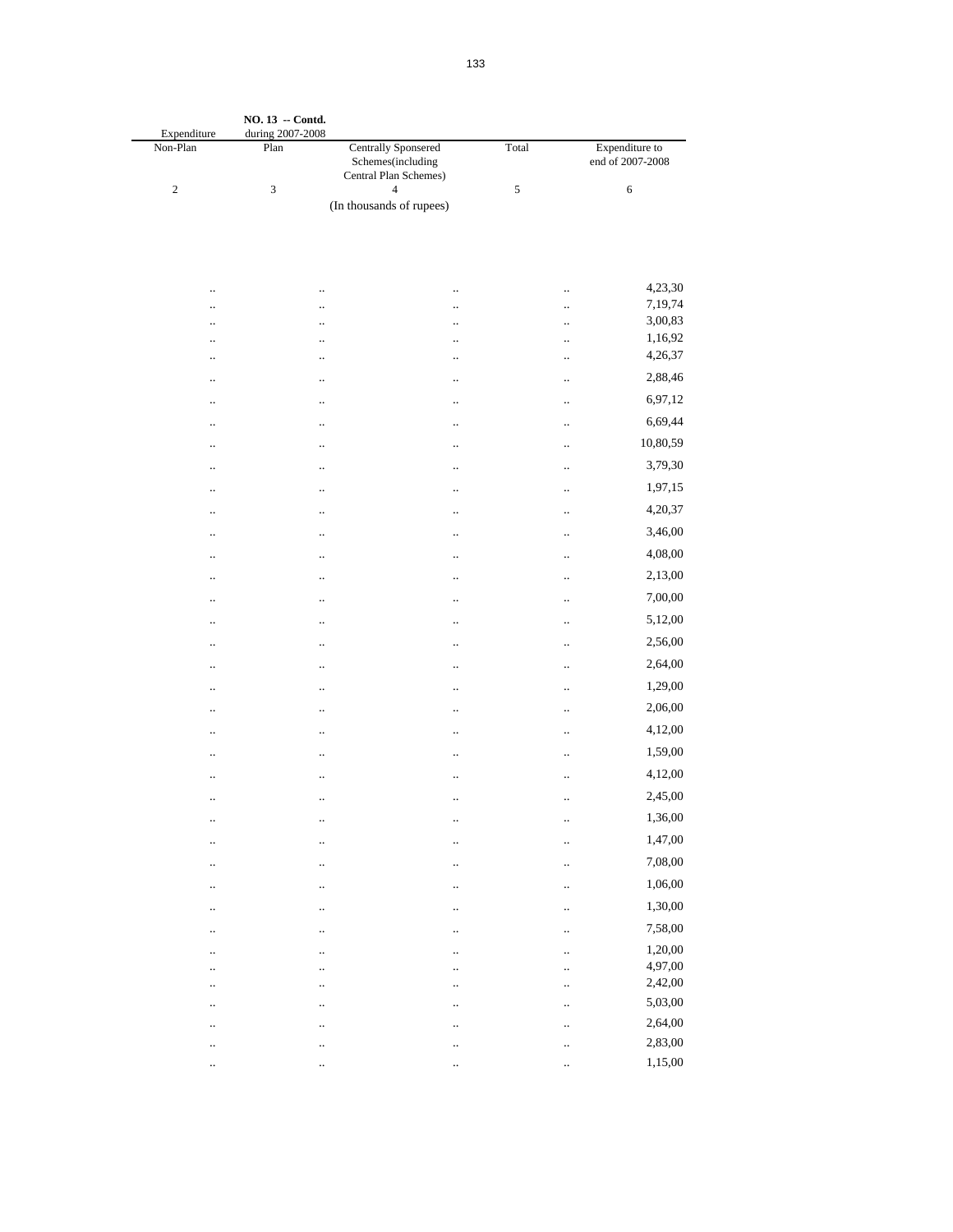| Expenditure              | during 2007-2008       |                                                                          |       |                                     |
|--------------------------|------------------------|--------------------------------------------------------------------------|-------|-------------------------------------|
| Non-Plan                 | Plan                   | <b>Centrally Sponsered</b><br>Schemes(including<br>Central Plan Schemes) | Total | Expenditure to<br>end of 2007-2008  |
| $\overline{\mathbf{c}}$  | 3                      | $\overline{\mathcal{A}}$<br>(In thousands of rupees)                     | 5     | $\boldsymbol{6}$                    |
|                          |                        |                                                                          |       |                                     |
|                          |                        |                                                                          |       |                                     |
|                          |                        |                                                                          |       |                                     |
| $\ddot{\phantom{0}}$     | $\ddot{\phantom{0}}$   | $\ddotsc$                                                                |       | 4,23,30<br>$\ddotsc$                |
| <br>$\ddot{\phantom{a}}$ | $\ddotsc$              |                                                                          |       | 7,19,74<br>$\ddotsc$<br>3,00,83<br> |
|                          | $\cdot$ .<br>$\ddotsc$ | <br>$\ddot{\phantom{0}}$                                                 |       | 1,16,92<br>                         |
| $\ddotsc$                | $\ddotsc$              | $\ddot{\phantom{0}}$                                                     |       | 4,26,37<br>                         |
| $\cdot$ .                | $\cdot$ .              | $\ldots$                                                                 |       | 2,88,46<br>$\ddotsc$                |
| $\ddotsc$                | $\cdot$ .              | $\ddot{\phantom{0}}$                                                     |       | 6,97,12<br>$\ddotsc$                |
| $\cdot$ .                | $\cdot$ .              | $\cdot$ .                                                                |       | 6,69,44<br>$\ddotsc$                |
| $\ddotsc$                | $\ddotsc$              | $\cdot$ .                                                                |       | 10,80,59<br>                        |
| $\cdot$ .                | $\ddotsc$              | $\ddotsc$                                                                |       | 3,79,30<br>$\ddotsc$                |
| $\ddotsc$                | $\ddotsc$              | $\cdot$ .                                                                |       | 1,97,15<br>٠.                       |
| $\cdot$ .                | $\cdot$ .              |                                                                          |       | 4,20,37<br>$\ddotsc$                |
| $\cdot$ .                | $\cdot$ .              | $\cdot$ .                                                                |       | 3,46,00<br>$\ddotsc$                |
| $\cdot\cdot$             | $\cdot$ .              | $\cdot$ .                                                                |       | 4,08,00<br>$\ddotsc$                |
| $\cdot$ .                | $\cdot$ .              | $\cdot$ .                                                                |       | 2,13,00<br>$\ddotsc$                |
| $\ddotsc$                | $\ddotsc$              | $\ddot{\phantom{0}}$                                                     |       | 7,00,00<br>                         |
| $\ddot{\phantom{0}}$     | $\cdot$ .              | $\cdot$ .                                                                |       | 5,12,00<br>$\ddotsc$                |
| $\cdot\cdot$             | $\ddotsc$              | $\ddot{\phantom{0}}$                                                     |       | 2,56,00<br>                         |
| $\cdot$ .                | $\ddotsc$              | $\ddotsc$                                                                |       | 2,64,00<br>$\ddotsc$                |
| $\ddotsc$                | $\cdot$ .              | $\cdot$ .                                                                |       | 1,29,00<br>                         |
| $\ddotsc$                | $\cdot$ .              | $\cdot\cdot$                                                             |       | 2,06,00<br>$\ddotsc$                |
| $\ddotsc$                | $\cdot$ .              | $\cdot$ .                                                                |       | 4,12,00<br>$\ddotsc$                |
|                          | $\ddotsc$              |                                                                          |       | 1,59,00<br>                         |
| $\ddotsc$                |                        | $\cdot$ .                                                                |       | 4,12,00                             |
| $\cdot$ .                | $\cdot$ .              | $\cdot$ .                                                                |       | $\ddotsc$<br>2,45,00                |
| $\cdot$ .                | $\cdot$ .              | $\cdot$ .                                                                |       | $\ddot{\phantom{0}}$<br>1,36,00     |
| $\ddot{\phantom{0}}$     | $\cdot$ .              | $\ddotsc$                                                                |       | $\ddotsc$                           |
| $\cdot$ .                | $\ddot{\phantom{0}}$   | $\ddot{\phantom{0}}$                                                     |       | 1,47,00<br>                         |
| $\ddot{\phantom{0}}$     | $\cdot$ .              | $\ddotsc$                                                                |       | 7,08,00<br>$\ddotsc$                |
| $\cdot\cdot$             | $\cdot\cdot$           |                                                                          |       | 1,06,00<br>$\ddotsc$                |
| $\cdot$ .                | $\cdot$ .              | $\ddotsc$                                                                |       | 1,30,00<br>$\ddotsc$                |
|                          | $\cdot$ .              | $\ddotsc$                                                                |       | 7,58,00<br>$\ddotsc$                |
| $\ddotsc$                | $\cdot$ .              | $\ddotsc$                                                                |       | 1,20,00<br>$\ddotsc$<br>4,97,00     |
| <br>$\ddotsc$            | $\ddotsc$<br>$\cdot$ . | <br>$\ddotsc$                                                            |       | $\ddotsc$<br>2,42,00<br>$\ddotsc$   |
|                          | $\ddotsc$              | $\ddotsc$                                                                |       | 5,03,00<br>$\ddotsc$                |
| $\ddotsc$                | $\cdot$ .              |                                                                          |       | 2,64,00<br>$\ddotsc$                |
| $\ddotsc$                | $\cdot$ .              | $\cdot$ .                                                                |       | 2,83,00<br>$\cdot$ .                |
| $\cdot\cdot$             | $\cdot$ .              | $\ddotsc$                                                                |       | 1,15,00<br>$\cdot$ .                |

**NO. 13 -- Contd.**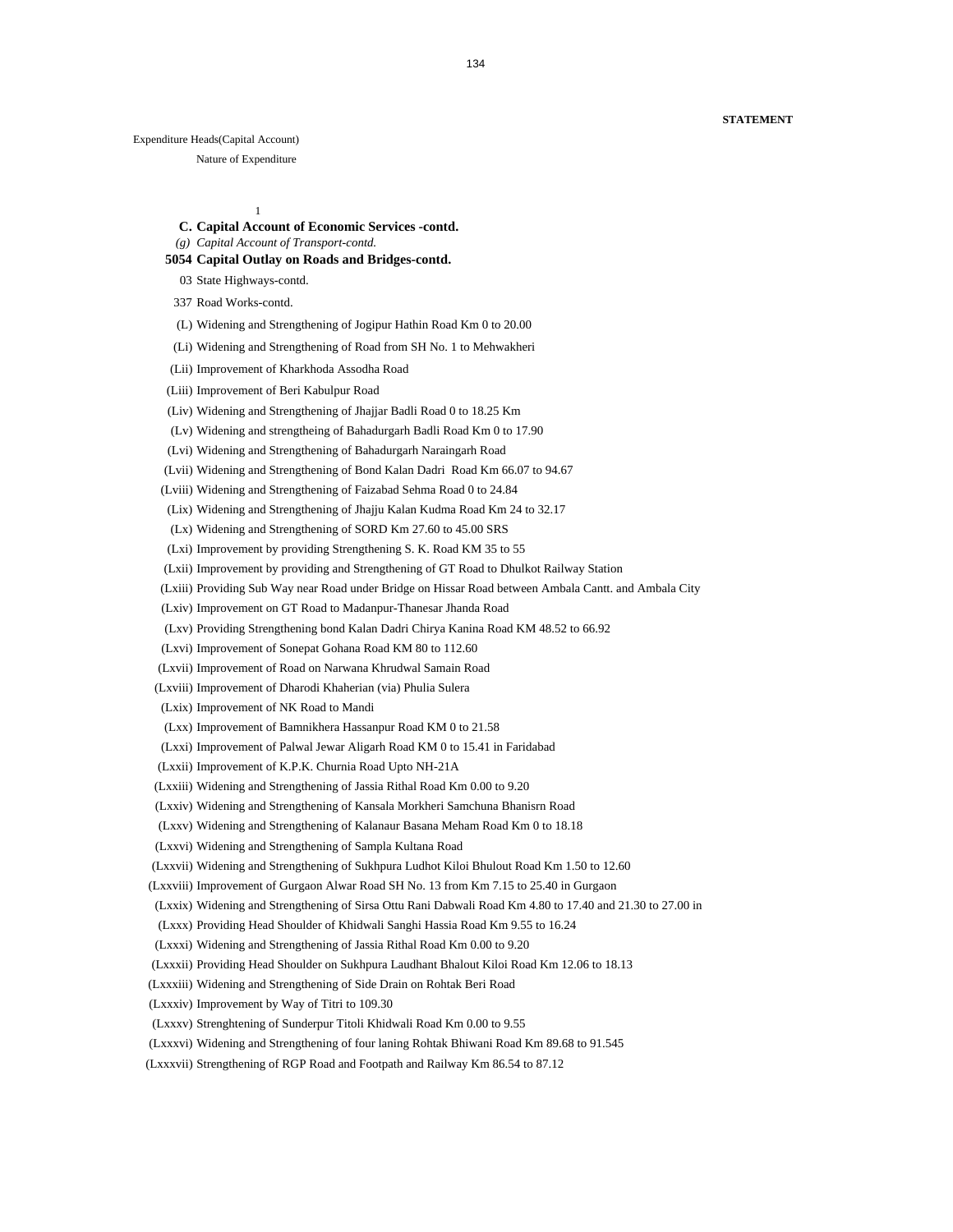Expenditure Heads(Capital Account)

Nature of Expenditure

#### 1

- **C. Capital Account of Economic Services -contd.**
- *(g) Capital Account of Transport-contd.*

#### **5054 Capital Outlay on Roads and Bridges-contd.**

- 03 State Highways-contd.
- 337 Road Works-contd.
- (L) Widening and Strengthening of Jogipur Hathin Road Km 0 to 20.00
- (Li) Widening and Strengthening of Road from SH No. 1 to Mehwakheri
- (Lii) Improvement of Kharkhoda Assodha Road
- (Liii) Improvement of Beri Kabulpur Road
- (Liv) Widening and Strengthening of Jhajjar Badli Road 0 to 18.25 Km
- (Lv) Widening and strengtheing of Bahadurgarh Badli Road Km 0 to 17.90
- (Lvi) Widening and Strengthening of Bahadurgarh Naraingarh Road
- (Lvii) Widening and Strengthening of Bond Kalan Dadri Road Km 66.07 to 94.67
- (Lviii) Widening and Strengthening of Faizabad Sehma Road 0 to 24.84
- (Lix) Widening and Strengthening of Jhajju Kalan Kudma Road Km 24 to 32.17
- (Lx) Widening and Strengthening of SORD Km 27.60 to 45.00 SRS
- (Lxi) Improvement by providing Strengthening S. K. Road KM 35 to 55
- (Lxii) Improvement by providing and Strengthening of GT Road to Dhulkot Railway Station
- (Lxiii) Providing Sub Way near Road under Bridge on Hissar Road between Ambala Cantt. and Ambala City
- (Lxiv) Improvement on GT Road to Madanpur-Thanesar Jhanda Road
- (Lxv) Providing Strengthening bond Kalan Dadri Chirya Kanina Road KM 48.52 to 66.92
- (Lxvi) Improvement of Sonepat Gohana Road KM 80 to 112.60
- (Lxvii) Improvement of Road on Narwana Khrudwal Samain Road
- (Lxviii) Improvement of Dharodi Khaherian (via) Phulia Sulera
- (Lxix) Improvement of NK Road to Mandi
- (Lxx) Improvement of Bamnikhera Hassanpur Road KM 0 to 21.58
- (Lxxi) Improvement of Palwal Jewar Aligarh Road KM 0 to 15.41 in Faridabad
- (Lxxii) Improvement of K.P.K. Churnia Road Upto NH-21A
- (Lxxiii) Widening and Strengthening of Jassia Rithal Road Km 0.00 to 9.20
- (Lxxiv) Widening and Strengthening of Kansala Morkheri Samchuna Bhanisrn Road
- (Lxxv) Widening and Strengthening of Kalanaur Basana Meham Road Km 0 to 18.18
- (Lxxvi) Widening and Strengthening of Sampla Kultana Road
- (Lxxvii) Widening and Strengthening of Sukhpura Ludhot Kiloi Bhulout Road Km 1.50 to 12.60
- (Lxxviii) Improvement of Gurgaon Alwar Road SH No. 13 from Km 7.15 to 25.40 in Gurgaon
- (Lxxix) Widening and Strengthening of Sirsa Ottu Rani Dabwali Road Km 4.80 to 17.40 and 21.30 to 27.00 in
- (Lxxx) Providing Head Shoulder of Khidwali Sanghi Hassia Road Km 9.55 to 16.24
- (Lxxxi) Widening and Strengthening of Jassia Rithal Road Km 0.00 to 9.20
- (Lxxxii) Providing Head Shoulder on Sukhpura Laudhant Bhalout Kiloi Road Km 12.06 to 18.13
- (Lxxxiii) Widening and Strengthening of Side Drain on Rohtak Beri Road
- (Lxxxiv) Improvement by Way of Titri to 109.30
- (Lxxxv) Strenghtening of Sunderpur Titoli Khidwali Road Km 0.00 to 9.55
- (Lxxxvi) Widening and Strengthening of four laning Rohtak Bhiwani Road Km 89.68 to 91.545
- (Lxxxvii) Strengthening of RGP Road and Footpath and Railway Km 86.54 to 87.12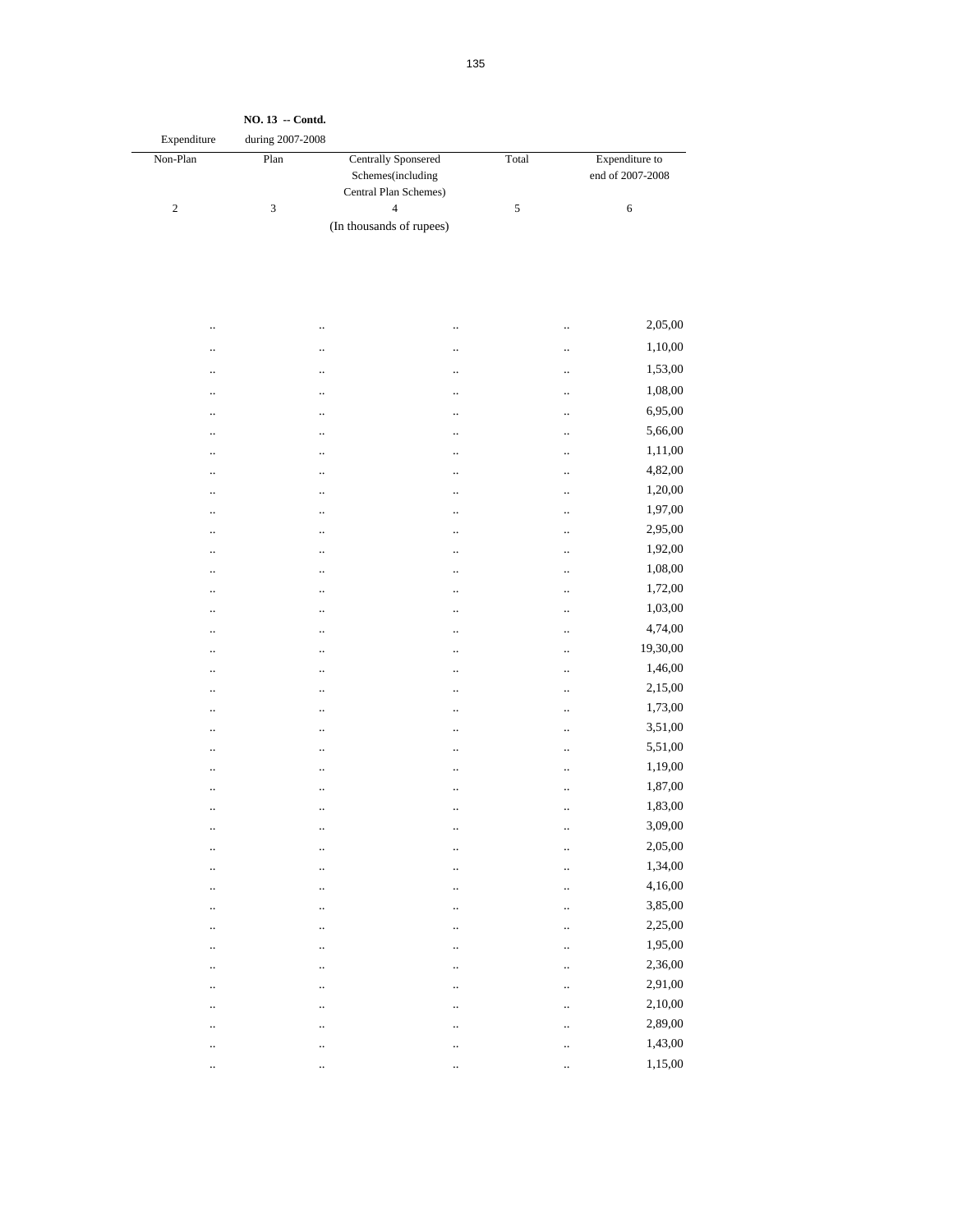| Expenditure | during 2007-2008        |                            |            |                      |
|-------------|-------------------------|----------------------------|------------|----------------------|
| Non-Plan    | Plan                    | <b>Centrally Sponsered</b> | Total      | Expenditure to       |
|             |                         | Schemes(including          |            | end of 2007-2008     |
|             |                         | Central Plan Schemes)      |            |                      |
| $\sqrt{2}$  | $\overline{\mathbf{3}}$ | 4                          | $\sqrt{5}$ | $\epsilon$           |
|             |                         | (In thousands of rupees)   |            |                      |
|             |                         |                            |            |                      |
|             |                         |                            |            |                      |
|             |                         |                            |            |                      |
|             |                         |                            |            |                      |
|             | $\ddotsc$               |                            |            | 2,05,00<br>          |
|             | $\ddotsc$               | $\ddot{\phantom{0}}$       |            | 1,10,00<br>          |
|             |                         |                            |            | 1,53,00<br>.,        |
|             | $\cdot$ .               |                            |            | 1,08,00<br>          |
|             | $\ddotsc$               | $\ddot{\phantom{0}}$       |            | 6,95,00<br>          |
|             | $\ddotsc$               |                            |            | 5,66,00<br>          |
|             |                         | $\ddot{\phantom{0}}$       |            | 1,11,00<br>          |
|             |                         |                            |            | 4,82,00<br>          |
|             |                         |                            |            | 1,20,00<br>.,        |
|             |                         |                            |            | 1,97,00<br>          |
|             |                         |                            |            | 2,95,00<br>          |
|             | $\ddotsc$               | $\ddot{\phantom{0}}$       |            | 1,92,00<br>          |
|             | $\ddotsc$               | $\ddot{\phantom{0}}$       |            | 1,08,00<br>          |
|             |                         |                            |            | 1,72,00              |
|             | $\ddotsc$               | $\cdot$                    |            | $\ddotsc$<br>1,03,00 |
|             | $\ddotsc$               | $\ddot{\phantom{0}}$       |            | <br>4,74,00          |
|             | $\ddotsc$               | $\ddot{\phantom{0}}$       |            | <br>19,30,00         |
|             | $\ddotsc$               | $\ddot{\phantom{0}}$       |            |                      |
|             | $\cdot$ .               | $\cdot$                    |            | 1,46,00<br>          |
|             | $\ddotsc$               | $\ddot{\phantom{0}}$       |            | 2,15,00<br>          |
|             | $\ddotsc$               | $\ddot{\phantom{0}}$       |            | 1,73,00<br>          |
|             | $\ddotsc$               | $\ddot{\phantom{0}}$       |            | 3,51,00<br>          |
|             | $\ddotsc$               | $\ddot{\phantom{0}}$       |            | 5,51,00<br>$\ddotsc$ |
|             | $\ddotsc$               | $\ddot{\phantom{0}}$       |            | 1,19,00<br>          |
|             | $\ddotsc$               | $\ddot{\phantom{0}}$       |            | 1,87,00<br>          |
|             | $\ddot{\phantom{0}}$    |                            |            | 1,83,00<br>          |
| ٠.          | $\ddot{\phantom{0}}$    | $\ddot{\phantom{a}}$       |            | 3,09,00<br>          |
| $\cdot$ .   | $\cdot$ .               | $\ddotsc$                  |            | 2,05,00<br>          |
|             |                         |                            |            | 1,34,00<br>          |
|             |                         |                            |            | 4,16,00<br>          |
|             |                         |                            |            | 3,85,00<br>          |
|             |                         |                            |            | 2,25,00<br>          |
|             |                         | $\ddot{\phantom{0}}$       |            | 1,95,00<br>$\ddotsc$ |
|             |                         |                            |            | 2,36,00<br>          |
|             |                         |                            |            | 2,91,00              |
|             |                         |                            |            | 2,10,00<br>          |
|             |                         |                            |            | 2,89,00              |
|             |                         |                            |            | 1,43,00              |
|             |                         |                            |            | 1,15,00              |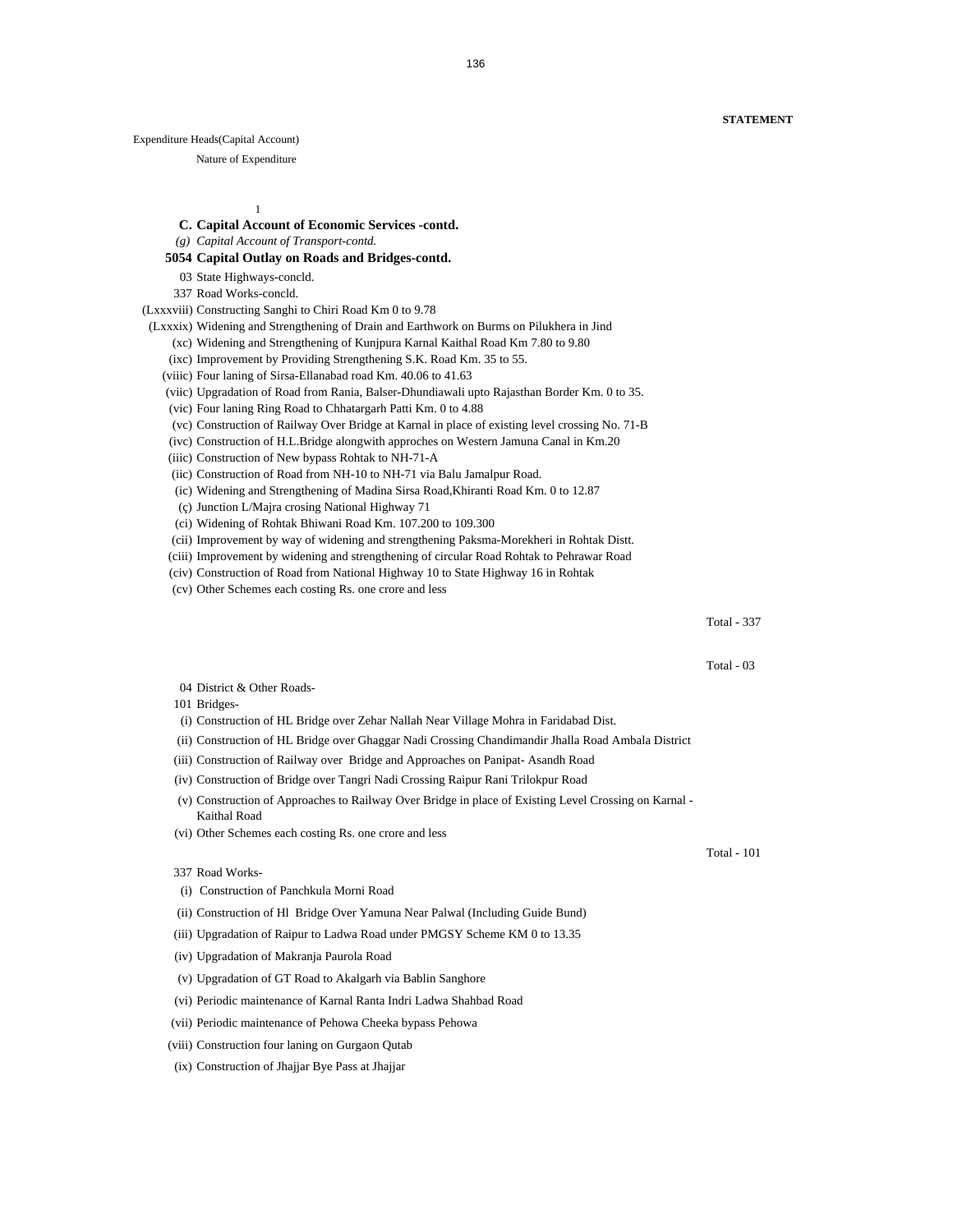Expenditure Heads(Capital Account)

Nature of Expenditure

| 1                                                                                                                                                            |                    |
|--------------------------------------------------------------------------------------------------------------------------------------------------------------|--------------------|
| C. Capital Account of Economic Services -contd.                                                                                                              |                    |
| (g) Capital Account of Transport-contd.                                                                                                                      |                    |
| 5054 Capital Outlay on Roads and Bridges-contd.                                                                                                              |                    |
| 03 State Highways-concld.                                                                                                                                    |                    |
| 337 Road Works-concld.                                                                                                                                       |                    |
| (Lxxxviii) Constructing Sanghi to Chiri Road Km 0 to 9.78                                                                                                    |                    |
| (Lxxxix) Widening and Strengthening of Drain and Earthwork on Burms on Pilukhera in Jind                                                                     |                    |
| (xc) Widening and Strengthening of Kunjpura Karnal Kaithal Road Km 7.80 to 9.80<br>(ixc) Improvement by Providing Strengthening S.K. Road Km. 35 to 55.      |                    |
| (viiic) Four laning of Sirsa-Ellanabad road Km. 40.06 to 41.63                                                                                               |                    |
| (viic) Upgradation of Road from Rania, Balser-Dhundiawali upto Rajasthan Border Km. 0 to 35.                                                                 |                    |
| (vic) Four laning Ring Road to Chhatargarh Patti Km. 0 to 4.88                                                                                               |                    |
| (vc) Construction of Railway Over Bridge at Karnal in place of existing level crossing No. 71-B                                                              |                    |
| (ivc) Construction of H.L.Bridge alongwith approches on Western Jamuna Canal in Km.20                                                                        |                    |
| (iiic) Construction of New bypass Rohtak to NH-71-A                                                                                                          |                    |
| (iic) Construction of Road from NH-10 to NH-71 via Balu Jamalpur Road.<br>(ic) Widening and Strengthening of Madina Sirsa Road, Khiranti Road Km. 0 to 12.87 |                    |
| (c) Junction L/Majra crosing National Highway 71                                                                                                             |                    |
| (ci) Widening of Rohtak Bhiwani Road Km. 107.200 to 109.300                                                                                                  |                    |
| (cii) Improvement by way of widening and strengthening Paksma-Morekheri in Rohtak Distt.                                                                     |                    |
| (ciii) Improvement by widening and strengthening of circular Road Rohtak to Pehrawar Road                                                                    |                    |
| (civ) Construction of Road from National Highway 10 to State Highway 16 in Rohtak                                                                            |                    |
| (cv) Other Schemes each costing Rs. one crore and less                                                                                                       |                    |
|                                                                                                                                                              | <b>Total - 337</b> |
|                                                                                                                                                              |                    |
|                                                                                                                                                              |                    |
|                                                                                                                                                              | Total - 03         |
| 04 District & Other Roads-                                                                                                                                   |                    |
| 101 Bridges-                                                                                                                                                 |                    |
| (i) Construction of HL Bridge over Zehar Nallah Near Village Mohra in Faridabad Dist.                                                                        |                    |
| (ii) Construction of HL Bridge over Ghaggar Nadi Crossing Chandimandir Jhalla Road Ambala District                                                           |                    |
| (iii) Construction of Railway over Bridge and Approaches on Panipat-Asandh Road                                                                              |                    |
| (iv) Construction of Bridge over Tangri Nadi Crossing Raipur Rani Trilokpur Road                                                                             |                    |
| (v) Construction of Approaches to Railway Over Bridge in place of Existing Level Crossing on Karnal -<br>Kaithal Road                                        |                    |
|                                                                                                                                                              |                    |
| (vi) Other Schemes each costing Rs. one crore and less                                                                                                       |                    |
|                                                                                                                                                              | <b>Total - 101</b> |
| 337 Road Works-                                                                                                                                              |                    |
| (i) Construction of Panchkula Morni Road                                                                                                                     |                    |
| (ii) Construction of Hl Bridge Over Yamuna Near Palwal (Including Guide Bund)                                                                                |                    |
| (iii) Upgradation of Raipur to Ladwa Road under PMGSY Scheme KM 0 to 13.35                                                                                   |                    |
| (iv) Upgradation of Makranja Paurola Road                                                                                                                    |                    |

(vi) Periodic maintenance of Karnal Ranta Indri Ladwa Shahbad Road

(vii) Periodic maintenance of Pehowa Cheeka bypass Pehowa

(viii) Construction four laning on Gurgaon Qutab

(ix) Construction of Jhajjar Bye Pass at Jhajjar

 $-101$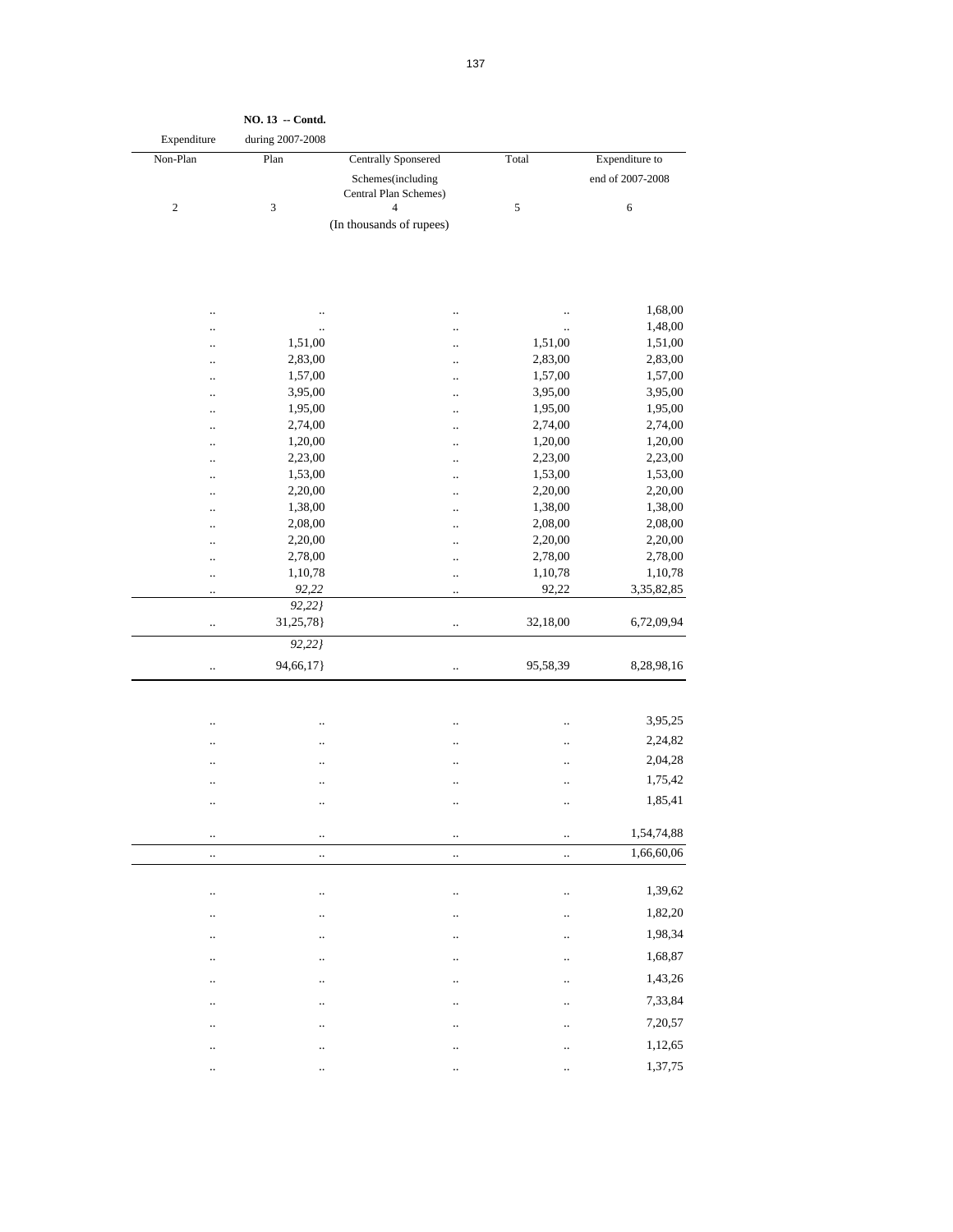| Expenditure             | during 2007-2008          |                            |                          |                  |
|-------------------------|---------------------------|----------------------------|--------------------------|------------------|
| Non-Plan                | Plan                      | <b>Centrally Sponsered</b> | Total                    | Expenditure to   |
|                         |                           | Schemes(including          |                          | end of 2007-2008 |
|                         |                           | Central Plan Schemes)      |                          |                  |
| $\overline{\mathbf{c}}$ | $\ensuremath{\mathbf{3}}$ | 4                          | $\sqrt{5}$               | $\epsilon$       |
|                         |                           | (In thousands of rupees)   |                          |                  |
|                         |                           |                            |                          |                  |
|                         |                           |                            |                          |                  |
|                         |                           |                            |                          |                  |
|                         |                           |                            |                          | 1,68,00          |
| <br>                    | <br>                      | <br>                       | $\ddot{\phantom{0}}$<br> | 1,48,00          |
| $\ddot{\phantom{a}}$    | 1,51,00                   |                            | 1,51,00                  | 1,51,00          |
|                         | 2,83,00                   |                            | 2,83,00                  | 2,83,00          |
|                         | 1,57,00                   |                            | 1,57,00                  | 1,57,00          |
|                         | 3,95,00                   |                            | 3,95,00                  | 3,95,00          |
| ٠.                      | 1,95,00                   |                            | 1,95,00                  | 1,95,00          |
|                         | 2,74,00                   |                            | 2,74,00                  | 2,74,00          |
| .,                      | 1,20,00                   |                            | 1,20,00                  | 1,20,00          |
|                         | 2,23,00                   |                            | 2,23,00                  | 2,23,00          |
| .,                      | 1,53,00                   |                            | 1,53,00                  | 1,53,00          |
|                         | 2,20,00                   |                            | 2,20,00                  | 2,20,00          |
| .,                      | 1,38,00                   |                            | 1,38,00                  | 1,38,00          |
|                         | 2,08,00                   |                            | 2,08,00                  | 2,08,00          |
| .,                      | 2,20,00                   |                            | 2,20,00                  | 2,20,00          |
|                         | 2,78,00                   |                            | 2,78,00                  | 2,78,00          |
| $\ddot{\phantom{0}}$    | 1,10,78                   | $\ddotsc$                  | 1,10,78                  | 1,10,78          |
| $\cdot$ .               | 92,22                     |                            | 92,22                    | 3, 35, 82, 85    |
|                         | 92,22                     |                            |                          |                  |
|                         | 31,25,78}                 | $\ddot{\phantom{0}}$       | 32,18,00                 | 6,72,09,94       |
|                         | 92,22}                    |                            |                          |                  |
|                         | 94,66,17}                 | $\ddot{\phantom{0}}$       | 95,58,39                 | 8,28,98,16       |
|                         |                           |                            |                          |                  |
|                         |                           |                            |                          |                  |
|                         |                           |                            |                          | 3,95,25          |
|                         | $\cdot$                   |                            |                          | 2,24,82          |
|                         |                           |                            |                          | 2,04,28          |
|                         |                           | $\ddot{\phantom{0}}$       |                          | 1,75,42          |
|                         | $\ddot{\phantom{0}}$      |                            |                          | 1,85,41          |
|                         |                           |                            |                          |                  |
| $\ddotsc$               | $\ddot{\phantom{0}}$      | $\ddot{\phantom{0}}$       | $\ddot{\phantom{0}}$     | 1,54,74,88       |
|                         |                           |                            | .,                       | 1,66,60,06       |
|                         |                           |                            |                          |                  |
|                         |                           | $\ddot{\phantom{0}}$       |                          | 1,39,62          |
|                         |                           |                            |                          |                  |
|                         |                           |                            |                          | 1,82,20          |
|                         |                           |                            |                          | 1,98,34          |
|                         |                           |                            |                          | 1,68,87          |
|                         | $\ddot{\phantom{a}}$      |                            |                          | 1,43,26          |
|                         |                           |                            |                          | 7,33,84          |
|                         |                           |                            |                          |                  |
|                         |                           |                            |                          | 7,20,57          |
|                         | $\ddot{\phantom{a}}$      |                            |                          | 1,12,65          |
| $\ddot{\phantom{0}}$    | $\ddot{\phantom{0}}$      |                            |                          | 1,37,75          |

**NO. 13 -- Contd.**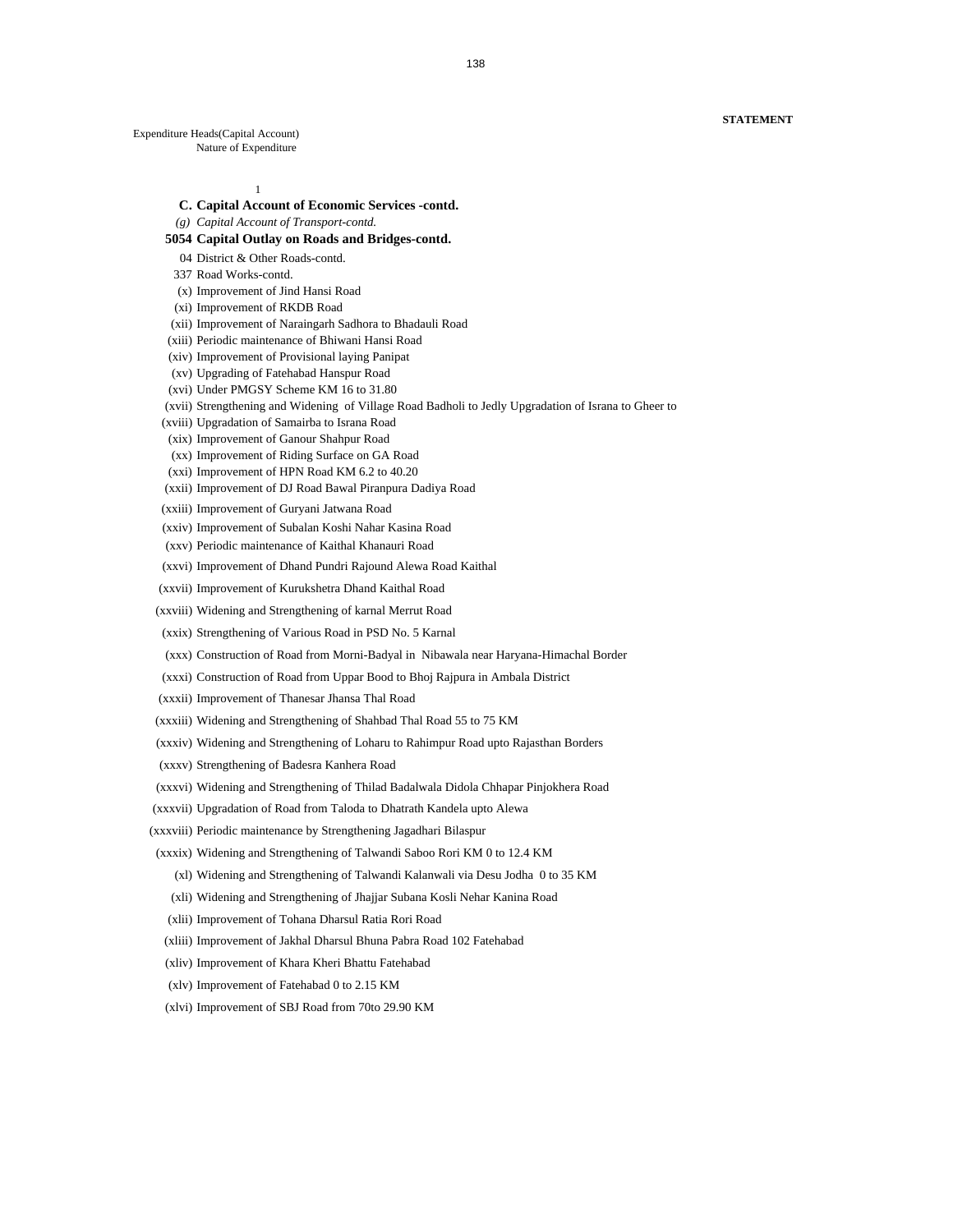Expenditure Heads(Capital Account)

Nature of Expenditure

#### 1

**C. Capital Account of Economic Services -contd.**

- *(g) Capital Account of Transport-contd.*
- **5054 Capital Outlay on Roads and Bridges-contd.**
	- 04 District & Other Roads-contd.
- 337 Road Works-contd.
- (x) Improvement of Jind Hansi Road
- (xi) Improvement of RKDB Road
- (xii) Improvement of Naraingarh Sadhora to Bhadauli Road
- (xiii) Periodic maintenance of Bhiwani Hansi Road
- (xiv) Improvement of Provisional laying Panipat
- (xv) Upgrading of Fatehabad Hanspur Road
- (xvi) Under PMGSY Scheme KM 16 to 31.80
- (xvii) Strengthening and Widening of Village Road Badholi to Jedly Upgradation of Israna to Gheer to
- (xviii) Upgradation of Samairba to Israna Road
- (xix) Improvement of Ganour Shahpur Road
- (xx) Improvement of Riding Surface on GA Road
- (xxi) Improvement of HPN Road KM 6.2 to 40.20
- (xxii) Improvement of DJ Road Bawal Piranpura Dadiya Road
- (xxiii) Improvement of Guryani Jatwana Road
- (xxiv) Improvement of Subalan Koshi Nahar Kasina Road
- (xxv) Periodic maintenance of Kaithal Khanauri Road
- (xxvi) Improvement of Dhand Pundri Rajound Alewa Road Kaithal
- (xxvii) Improvement of Kurukshetra Dhand Kaithal Road
- (xxviii) Widening and Strengthening of karnal Merrut Road
- (xxix) Strengthening of Various Road in PSD No. 5 Karnal
- (xxx) Construction of Road from Morni-Badyal in Nibawala near Haryana-Himachal Border
- (xxxi) Construction of Road from Uppar Bood to Bhoj Rajpura in Ambala District
- (xxxii) Improvement of Thanesar Jhansa Thal Road
- (xxxiii) Widening and Strengthening of Shahbad Thal Road 55 to 75 KM
- (xxxiv) Widening and Strengthening of Loharu to Rahimpur Road upto Rajasthan Borders
- (xxxv) Strengthening of Badesra Kanhera Road
- (xxxvi) Widening and Strengthening of Thilad Badalwala Didola Chhapar Pinjokhera Road
- (xxxvii) Upgradation of Road from Taloda to Dhatrath Kandela upto Alewa
- (xxxviii) Periodic maintenance by Strengthening Jagadhari Bilaspur
- (xxxix) Widening and Strengthening of Talwandi Saboo Rori KM 0 to 12.4 KM
	- (xl) Widening and Strengthening of Talwandi Kalanwali via Desu Jodha 0 to 35 KM
	- (xli) Widening and Strengthening of Jhajjar Subana Kosli Nehar Kanina Road
	- (xlii) Improvement of Tohana Dharsul Ratia Rori Road
- (xliii) Improvement of Jakhal Dharsul Bhuna Pabra Road 102 Fatehabad
- (xliv) Improvement of Khara Kheri Bhattu Fatehabad
- (xlv) Improvement of Fatehabad 0 to 2.15 KM
- (xlvi) Improvement of SBJ Road from 70to 29.90 KM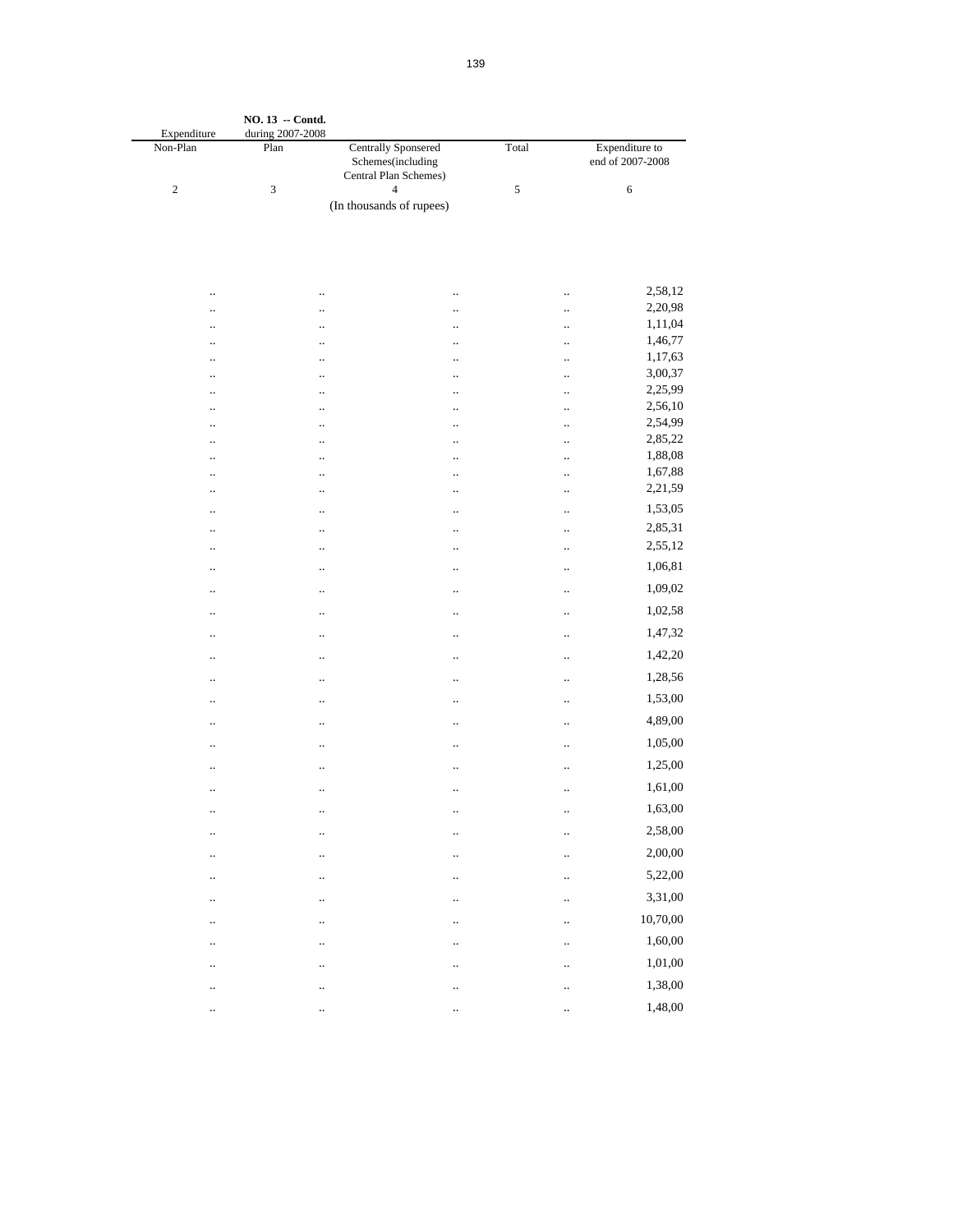| Expenditure          | NO. 13 -- Contd.<br>during 2007-2008 |                                                                          |       |                                                         |
|----------------------|--------------------------------------|--------------------------------------------------------------------------|-------|---------------------------------------------------------|
| Non-Plan             | Plan                                 | <b>Centrally Sponsered</b><br>Schemes(including<br>Central Plan Schemes) | Total | Expenditure to<br>end of 2007-2008                      |
| $\boldsymbol{2}$     | $\overline{\mathbf{3}}$              | $\overline{4}$                                                           | 5     | $\sqrt{6}$                                              |
|                      |                                      | (In thousands of rupees)                                                 |       |                                                         |
|                      |                                      |                                                                          |       |                                                         |
|                      |                                      |                                                                          |       |                                                         |
| $\ddot{\phantom{0}}$ |                                      | $\ddot{\phantom{0}}$                                                     |       | 2,58,12<br><br>2,20,98                                  |
| <br>                 | $\ddotsc$<br>                        | $\ddotsc$<br>$\ddot{\phantom{0}}$                                        |       | <br>1,11,04<br>                                         |
|                      | $\ddotsc$                            | $\ddotsc$                                                                |       | 1,46,77<br>                                             |
|                      | $\ddotsc$                            | $\ddot{\phantom{0}}$                                                     |       | 1,17,63<br>                                             |
|                      | $\ddotsc$                            | $\ddotsc$                                                                |       | 3,00,37<br>$\ddotsc$                                    |
|                      |                                      | $\ddot{\phantom{0}}$                                                     |       | 2,25,99<br>                                             |
|                      |                                      | $\ddot{\phantom{0}}$                                                     |       | 2,56,10<br>$\ddot{\phantom{0}}$                         |
|                      |                                      | $\ddot{\phantom{0}}$                                                     |       | 2,54,99<br>$\ddot{\phantom{0}}$                         |
|                      | $\ddotsc$                            | $\ddot{\phantom{0}}$                                                     |       | 2,85,22<br>$\ddot{\phantom{0}}$                         |
|                      |                                      | $\ddot{\phantom{0}}$                                                     |       | 1,88,08<br>$\ddot{\phantom{0}}$<br>1,67,88              |
| <br>                 | $\ddotsc$<br>                        | $\cdot$ .                                                                |       | $\ddot{\phantom{0}}$<br>2,21,59<br>$\ddot{\phantom{0}}$ |
|                      |                                      | $\ddot{\phantom{0}}$                                                     |       | 1,53,05                                                 |
|                      |                                      | $\cdot$ .                                                                |       | $\ddot{\phantom{0}}$                                    |
|                      |                                      | $\cdot$ .                                                                |       | 2,85,31<br>$\ddot{\phantom{0}}$                         |
|                      |                                      | $\cdot$ .                                                                |       | 2,55,12<br>$\ddot{\phantom{0}}$                         |
|                      |                                      | $\ddotsc$                                                                |       | 1,06,81<br>                                             |
|                      | $\ddotsc$                            | $\ddot{\phantom{0}}$                                                     |       | 1,09,02<br>$\ddot{\phantom{0}}$                         |
| $\cdot$ .            | $\cdot$ .                            | $\cdot$ .                                                                |       | 1,02,58<br>$\ddotsc$                                    |
|                      |                                      |                                                                          |       | 1,47,32                                                 |
|                      | $\cdot$ .                            | $\ddot{\phantom{0}}$                                                     |       | $\ddot{\phantom{0}}$                                    |
| $\cdot$ .            | $\cdot$ .                            | $\ddotsc$                                                                |       | 1,42,20<br>$\ddotsc$                                    |
|                      | $\ddot{\phantom{0}}$                 | $\cdot$ .                                                                |       | 1,28,56<br>$\ddot{\phantom{0}}$                         |
|                      |                                      | $\ddotsc$                                                                |       | 1,53,00<br>                                             |
|                      |                                      | $\ddot{\phantom{0}}$                                                     |       | 4,89,00<br>$\ddot{\phantom{0}}$                         |
|                      |                                      |                                                                          |       | 1,05,00                                                 |
| $\cdot$ .            | $\cdot$ .                            | $\cdot$ .                                                                |       | $\ddotsc$                                               |
|                      | $\cdot$ .                            | $\cdot$ .                                                                |       | 1,25,00<br>$\ddotsc$                                    |
|                      | $\cdot$ .                            | $\ddot{\phantom{0}}$                                                     |       | 1,61,00<br>$\ddot{\phantom{0}}$                         |
| $\cdot$ .            | $\ddotsc$                            | $\cdot$ .                                                                |       | 1,63,00<br>$\ddotsc$                                    |
|                      |                                      |                                                                          |       | 2,58,00                                                 |
|                      |                                      | $\ddotsc$                                                                |       |                                                         |
|                      |                                      |                                                                          |       | 2,00,00<br>                                             |
|                      |                                      |                                                                          |       | 5,22,00                                                 |
|                      |                                      |                                                                          |       | 3,31,00<br>                                             |
|                      |                                      |                                                                          |       | 10,70,00<br>$\ddot{\phantom{0}}$                        |
|                      |                                      |                                                                          |       | 1,60,00                                                 |
| ٠.                   |                                      |                                                                          |       |                                                         |
|                      |                                      |                                                                          |       | 1,01,00                                                 |
|                      |                                      |                                                                          |       | 1,38,00<br>$\ddot{\phantom{a}}$                         |
|                      |                                      |                                                                          |       | 1,48,00                                                 |

139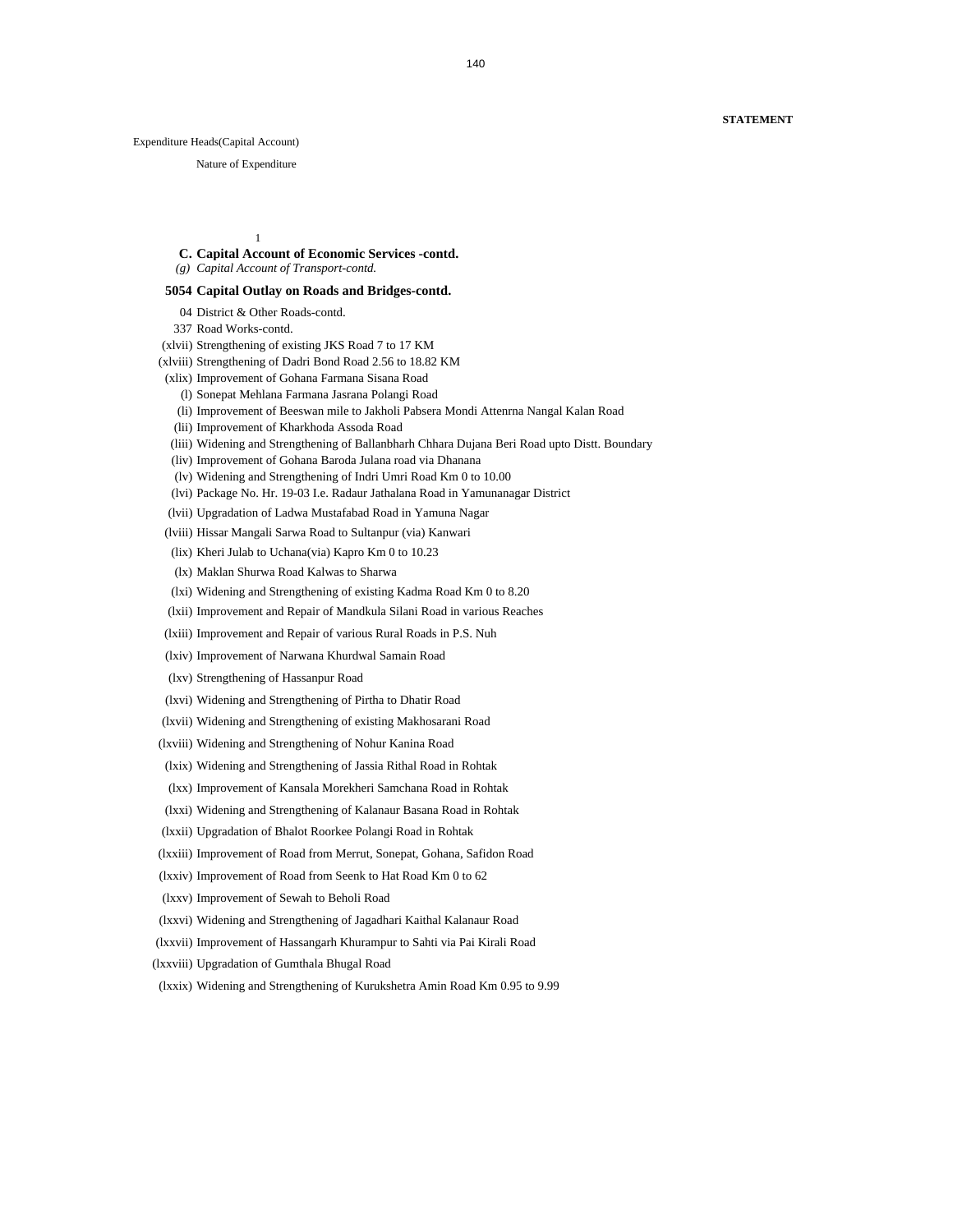Expenditure Heads(Capital Account)

Nature of Expenditure

#### 1 **C. Capital Account of Economic Services -contd.**

*(g) Capital Account of Transport-contd.*

#### **5054 Capital Outlay on Roads and Bridges-contd.**

- 04 District & Other Roads-contd.
- 337 Road Works-contd.
- (xlvii) Strengthening of existing JKS Road 7 to 17 KM
- (xlviii) Strengthening of Dadri Bond Road 2.56 to 18.82 KM
- (xlix) Improvement of Gohana Farmana Sisana Road
	- (l) Sonepat Mehlana Farmana Jasrana Polangi Road
- (li) Improvement of Beeswan mile to Jakholi Pabsera Mondi Attenrna Nangal Kalan Road
- (lii) Improvement of Kharkhoda Assoda Road
- (liii) Widening and Strengthening of Ballanbharh Chhara Dujana Beri Road upto Distt. Boundary
- (liv) Improvement of Gohana Baroda Julana road via Dhanana
- (lv) Widening and Strengthening of Indri Umri Road Km 0 to 10.00
- (lvi) Package No. Hr. 19-03 I.e. Radaur Jathalana Road in Yamunanagar District
- (lvii) Upgradation of Ladwa Mustafabad Road in Yamuna Nagar
- (lviii) Hissar Mangali Sarwa Road to Sultanpur (via) Kanwari
- (lix) Kheri Julab to Uchana(via) Kapro Km 0 to 10.23
- (lx) Maklan Shurwa Road Kalwas to Sharwa
- (lxi) Widening and Strengthening of existing Kadma Road Km 0 to 8.20
- (lxii) Improvement and Repair of Mandkula Silani Road in various Reaches
- (lxiii) Improvement and Repair of various Rural Roads in P.S. Nuh
- (lxiv) Improvement of Narwana Khurdwal Samain Road
- (lxv) Strengthening of Hassanpur Road
- (lxvi) Widening and Strengthening of Pirtha to Dhatir Road
- (lxvii) Widening and Strengthening of existing Makhosarani Road
- (lxviii) Widening and Strengthening of Nohur Kanina Road
- (lxix) Widening and Strengthening of Jassia Rithal Road in Rohtak
- (lxx) Improvement of Kansala Morekheri Samchana Road in Rohtak
- (lxxi) Widening and Strengthening of Kalanaur Basana Road in Rohtak
- (lxxii) Upgradation of Bhalot Roorkee Polangi Road in Rohtak
- (lxxiii) Improvement of Road from Merrut, Sonepat, Gohana, Safidon Road
- (lxxiv) Improvement of Road from Seenk to Hat Road Km 0 to 62
- (lxxv) Improvement of Sewah to Beholi Road
- (lxxvi) Widening and Strengthening of Jagadhari Kaithal Kalanaur Road
- (lxxvii) Improvement of Hassangarh Khurampur to Sahti via Pai Kirali Road
- (lxxviii) Upgradation of Gumthala Bhugal Road
- (lxxix) Widening and Strengthening of Kurukshetra Amin Road Km 0.95 to 9.99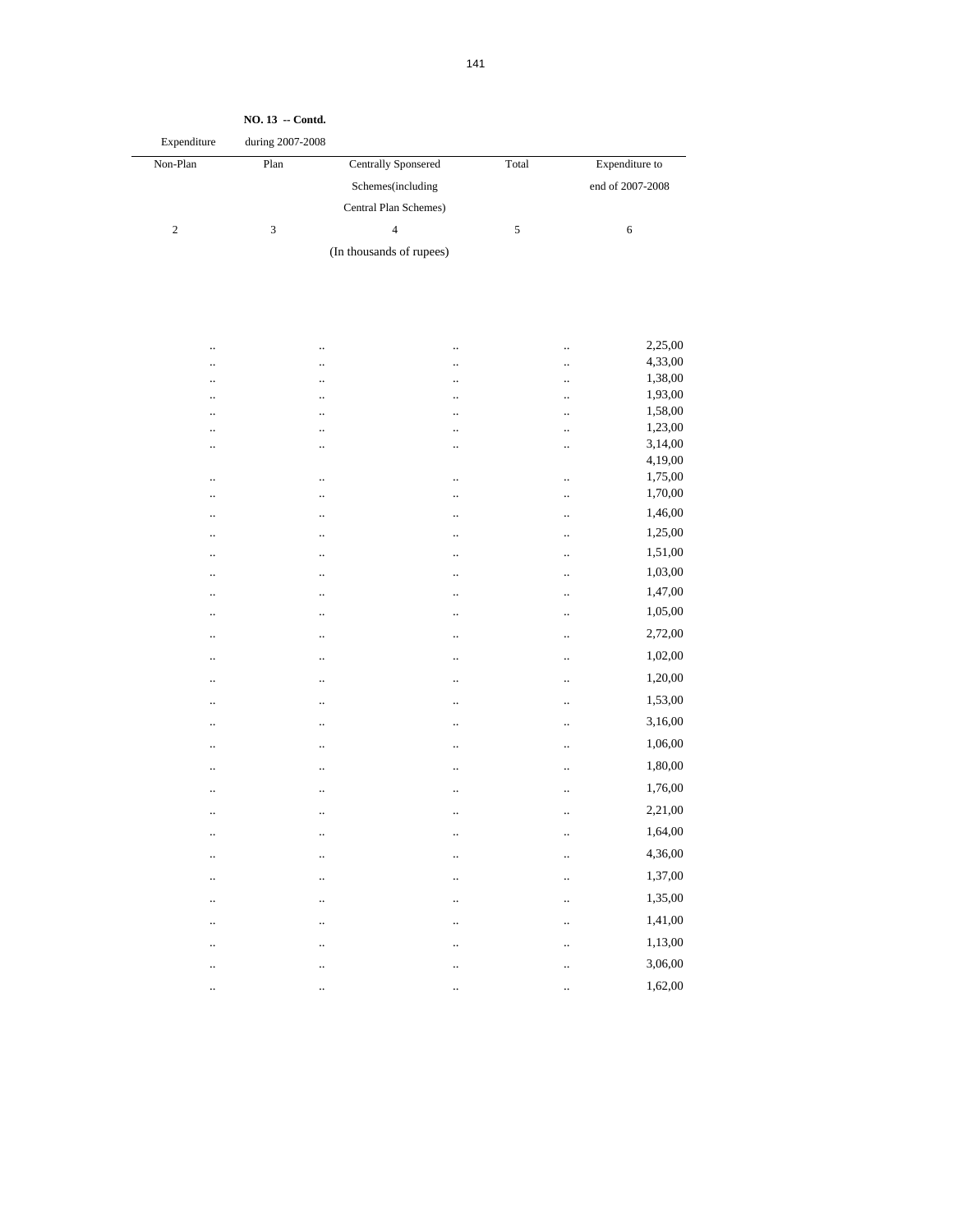| Expenditure          | during 2007-2008 |                          |                                   |       |                                 |
|----------------------|------------------|--------------------------|-----------------------------------|-------|---------------------------------|
| Non-Plan             | Plan             | Centrally Sponsered      |                                   | Total | Expenditure to                  |
|                      |                  | Schemes(including        |                                   |       | end of 2007-2008                |
|                      |                  | Central Plan Schemes)    |                                   |       |                                 |
| $\sqrt{2}$           | 3                | $\overline{4}$           |                                   | 5     | $\sqrt{6}$                      |
|                      |                  | (In thousands of rupees) |                                   |       |                                 |
|                      |                  |                          |                                   |       |                                 |
| $\ddot{\phantom{0}}$ |                  | $\ddotsc$                | $\ddotsc$                         |       | 2,25,00<br>                     |
|                      |                  |                          | $\ddotsc$                         |       | 4,33,00<br>$\ddotsc$            |
|                      |                  |                          | $\ddot{\phantom{0}}$              |       | 1,38,00<br>                     |
|                      |                  |                          | $\ddot{\phantom{0}}$              |       | 1,93,00<br>$\ddotsc$            |
| $\ddot{\phantom{0}}$ |                  |                          | $\ddot{\phantom{0}}$              |       | 1,58,00<br>$\ddotsc$            |
|                      |                  |                          | $\ddot{\phantom{0}}$              |       | 1,23,00<br>                     |
|                      |                  |                          | $\ddot{\phantom{0}}$              |       | 3,14,00<br>$\ddotsc$            |
|                      |                  |                          |                                   |       | 4,19,00<br>1,75,00              |
| $\cdot$ .<br>        |                  | <br>                     | $\cdot$ .<br>$\ddot{\phantom{0}}$ |       | $\ddotsc$<br>1,70,00<br>        |
|                      |                  |                          | $\ddotsc$                         |       | 1,46,00<br>                     |
|                      |                  |                          | $\ddot{\phantom{0}}$              |       | 1,25,00<br>                     |
|                      |                  |                          |                                   |       | 1,51,00<br>                     |
| .,                   |                  |                          | $\ddot{\phantom{0}}$              |       | 1,03,00                         |
|                      |                  |                          | $\cdot$                           |       | <br>1,47,00                     |
|                      |                  |                          | $\ddot{\phantom{0}}$              |       |                                 |
|                      |                  |                          | $\ddot{\phantom{0}}$              |       | 1,05,00<br>                     |
| $\ddotsc$            |                  | $\cdot$ .                | $\cdot\cdot$                      |       | 2,72,00<br>                     |
|                      |                  | $\cdot$ .                | $\ddot{\phantom{0}}$              |       | 1,02,00<br>$\ddotsc$            |
|                      |                  |                          | $\ddot{\phantom{0}}$              |       | 1,20,00<br>                     |
| $\ddot{\phantom{0}}$ |                  |                          | $\ddotsc$                         |       | 1,53,00<br>$\ddotsc$            |
|                      |                  |                          | $\ddot{\phantom{0}}$              |       | 3,16,00<br>                     |
|                      |                  |                          |                                   |       |                                 |
|                      |                  |                          | $\ddotsc$                         |       | 1,06,00<br>                     |
|                      |                  |                          | $\ddot{\phantom{0}}$              |       | 1,80,00<br>                     |
|                      |                  | $\ddotsc$                | $\ddot{\phantom{0}}$              |       | 1,76,00<br>                     |
|                      |                  | $\cdot$ .                | $\cdot$ .                         |       | 2,21,00<br>                     |
| $\ddotsc$            |                  | $\ddot{\phantom{0}}$     | $\cdot\cdot$                      |       | 1,64,00<br>$\ddot{\phantom{0}}$ |
|                      |                  |                          |                                   |       | 4,36,00<br>                     |
|                      |                  |                          |                                   |       | 1,37,00                         |
|                      |                  |                          |                                   |       |                                 |
|                      |                  |                          |                                   |       | 1,35,00<br>                     |
|                      |                  |                          |                                   |       | 1,41,00<br>                     |
|                      |                  |                          |                                   |       | 1,13,00<br>                     |
|                      |                  |                          |                                   |       | 3,06,00<br>                     |
|                      |                  |                          |                                   |       | 1,62,00                         |

**NO. 13 -- Contd.**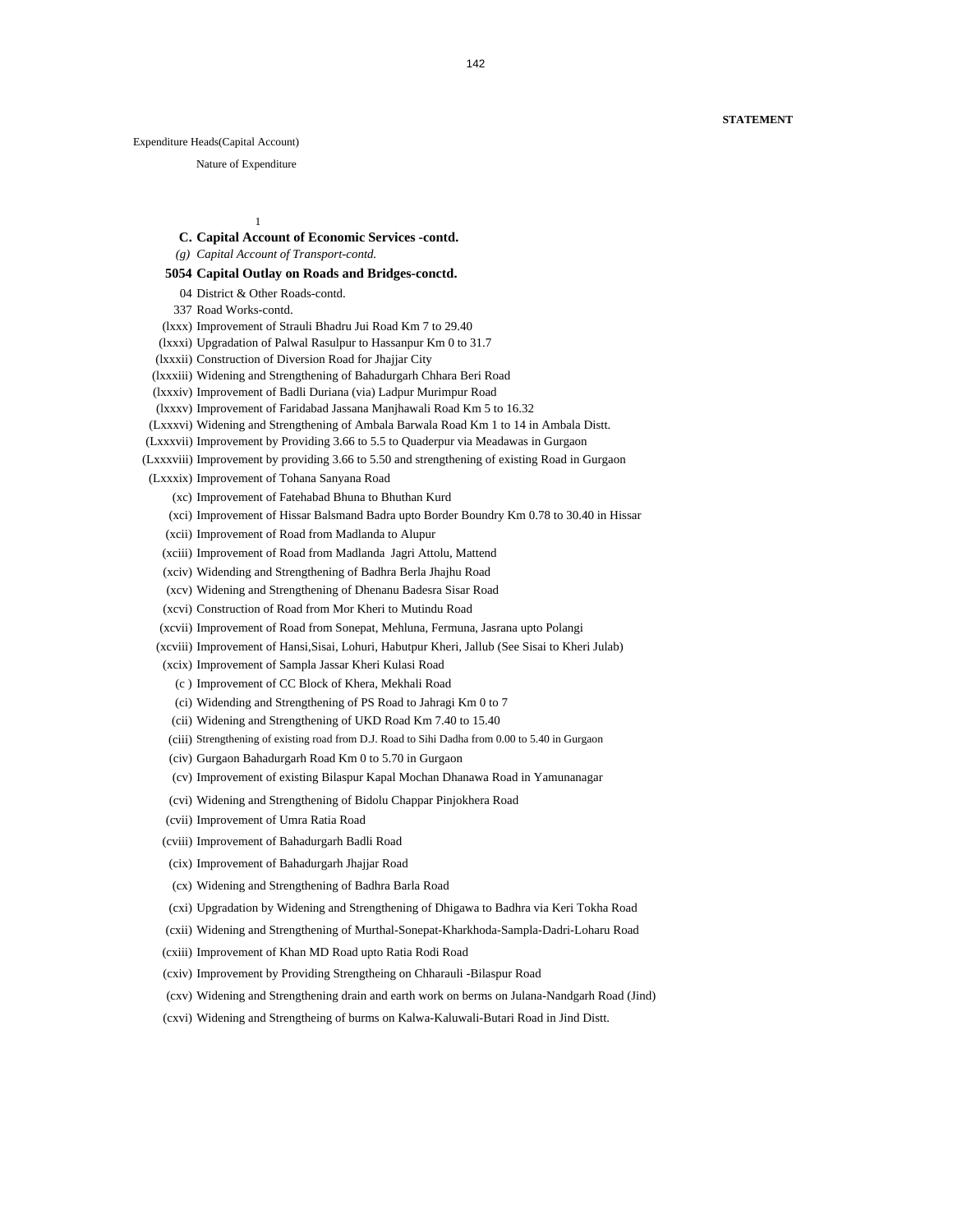Expenditure Heads(Capital Account)

Nature of Expenditure

#### 1

- **C. Capital Account of Economic Services -contd.**
- *(g) Capital Account of Transport-contd.*

#### **5054 Capital Outlay on Roads and Bridges-conctd.**

- 04 District & Other Roads-contd.
- 337 Road Works-contd.
- (lxxx) Improvement of Strauli Bhadru Jui Road Km 7 to 29.40
- (lxxxi) Upgradation of Palwal Rasulpur to Hassanpur Km 0 to 31.7
- (lxxxii) Construction of Diversion Road for Jhajjar City
- (lxxxiii) Widening and Strengthening of Bahadurgarh Chhara Beri Road
- (lxxxiv) Improvement of Badli Duriana (via) Ladpur Murimpur Road
- (lxxxv) Improvement of Faridabad Jassana Manjhawali Road Km 5 to 16.32
- (Lxxxvi) Widening and Strengthening of Ambala Barwala Road Km 1 to 14 in Ambala Distt.
- (Lxxxvii) Improvement by Providing 3.66 to 5.5 to Quaderpur via Meadawas in Gurgaon
- (Lxxxviii) Improvement by providing 3.66 to 5.50 and strengthening of existing Road in Gurgaon
- (Lxxxix) Improvement of Tohana Sanyana Road
	- (xc) Improvement of Fatehabad Bhuna to Bhuthan Kurd
	- (xci) Improvement of Hissar Balsmand Badra upto Border Boundry Km 0.78 to 30.40 in Hissar
	- (xcii) Improvement of Road from Madlanda to Alupur
	- (xciii) Improvement of Road from Madlanda Jagri Attolu, Mattend
	- (xciv) Widending and Strengthening of Badhra Berla Jhajhu Road
	- (xcv) Widening and Strengthening of Dhenanu Badesra Sisar Road
	- (xcvi) Construction of Road from Mor Kheri to Mutindu Road
	- (xcvii) Improvement of Road from Sonepat, Mehluna, Fermuna, Jasrana upto Polangi
	- (xcviii) Improvement of Hansi,Sisai, Lohuri, Habutpur Kheri, Jallub (See Sisai to Kheri Julab)
	- (xcix) Improvement of Sampla Jassar Kheri Kulasi Road
		- (c ) Improvement of CC Block of Khera, Mekhali Road
		- (ci) Widending and Strengthening of PS Road to Jahragi Km 0 to 7
	- (cii) Widening and Strengthening of UKD Road Km 7.40 to 15.40
	- (ciii) Strengthening of existing road from D.J. Road to Sihi Dadha from 0.00 to 5.40 in Gurgaon
	- (civ) Gurgaon Bahadurgarh Road Km 0 to 5.70 in Gurgaon
	- (cv) Improvement of existing Bilaspur Kapal Mochan Dhanawa Road in Yamunanagar
	- (cvi) Widening and Strengthening of Bidolu Chappar Pinjokhera Road
	- (cvii) Improvement of Umra Ratia Road
	- (cviii) Improvement of Bahadurgarh Badli Road
	- (cix) Improvement of Bahadurgarh Jhajjar Road
	- (cx) Widening and Strengthening of Badhra Barla Road
	- (cxi) Upgradation by Widening and Strengthening of Dhigawa to Badhra via Keri Tokha Road
	- (cxii) Widening and Strengthening of Murthal-Sonepat-Kharkhoda-Sampla-Dadri-Loharu Road
	- (cxiii) Improvement of Khan MD Road upto Ratia Rodi Road
	- (cxiv) Improvement by Providing Strengtheing on Chharauli -Bilaspur Road
	- (cxv) Widening and Strengthening drain and earth work on berms on Julana-Nandgarh Road (Jind)
	- (cxvi) Widening and Strengtheing of burms on Kalwa-Kaluwali-Butari Road in Jind Distt.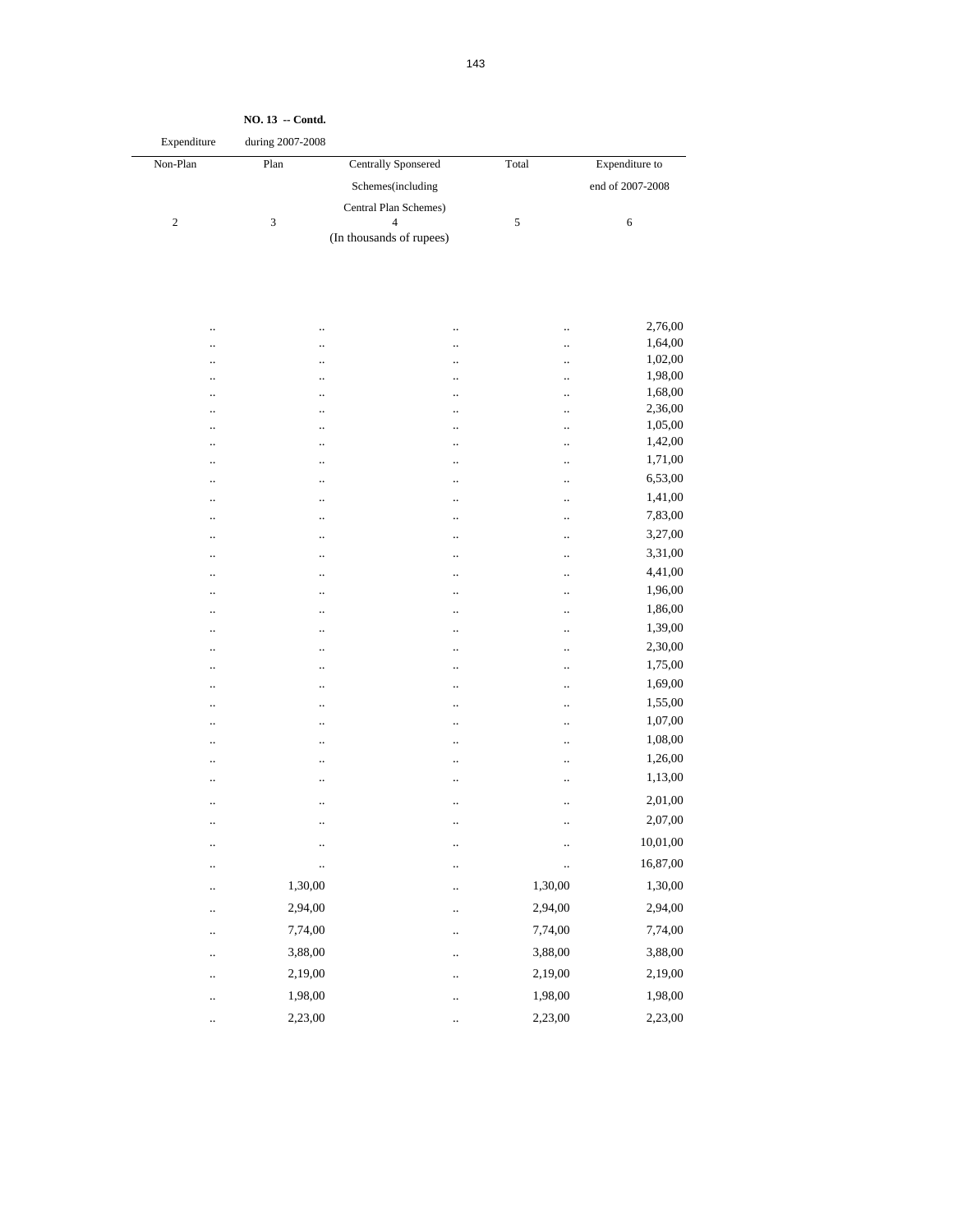**NO. 13 -- Contd.**

| Expenditure          | during 2007-2008            |                            |            |                    |
|----------------------|-----------------------------|----------------------------|------------|--------------------|
| $\mbox{Non-Plan}$    | Plan                        | <b>Centrally Sponsered</b> | Total      | Expenditure to     |
|                      |                             | Schemes(including          |            | end of 2007-2008   |
|                      |                             | Central Plan Schemes)      |            |                    |
| $\sqrt{2}$           | $\ensuremath{\mathfrak{Z}}$ | 4                          | $\sqrt{5}$ | 6                  |
|                      |                             | (In thousands of rupees)   |            |                    |
|                      |                             |                            |            |                    |
| $\ddot{\phantom{0}}$ |                             | $\ddot{\phantom{0}}$       |            | 2,76,00            |
|                      |                             | $\ddotsc$                  |            | 1,64,00            |
|                      |                             |                            | .,         | 1,02,00            |
|                      |                             | $\ddot{\phantom{0}}$       |            | 1,98,00            |
|                      |                             |                            |            | 1,68,00            |
|                      |                             | $\ddotsc$                  |            | 2,36,00<br>1,05,00 |
| <br>                 | <br>                        | $\ddot{\phantom{0}}$<br>   | <br>       | 1,42,00            |
|                      |                             |                            |            | 1,71,00            |
|                      |                             |                            |            | 6,53,00            |
|                      |                             |                            |            | 1,41,00            |
|                      |                             |                            |            | 7,83,00            |
|                      |                             |                            |            |                    |
|                      |                             |                            |            | 3,27,00            |
|                      |                             |                            |            | 3,31,00            |
|                      |                             |                            |            | 4,41,00            |
|                      |                             |                            |            | 1,96,00            |
|                      |                             |                            |            | 1,86,00            |
|                      |                             |                            |            | 1,39,00            |
|                      |                             |                            |            | 2,30,00            |
|                      |                             |                            |            | 1,75,00            |
|                      |                             |                            |            | 1,69,00            |
|                      |                             |                            |            | 1,55,00            |
|                      |                             |                            |            | 1,07,00            |
|                      |                             |                            |            | 1,08,00            |
|                      |                             |                            |            | 1,26,00            |
|                      |                             | $\cdot$                    |            | 1,13,00            |
| $\ddot{\phantom{0}}$ |                             |                            |            | 2,01,00            |
| $\ldots$             | $\ddot{\phantom{0}}$        | $\ddotsc$                  |            | 2,07,00            |
|                      |                             |                            |            | 10,01,00           |
| $\cdot$ .            | $\ddotsc$                   | $\ddotsc$                  | $\cdot$ .  |                    |
|                      | $\ddot{\phantom{0}}$        | $\ddot{\phantom{0}}$       | $\ddotsc$  | 16,87,00           |
| $\cdot$ .            | 1,30,00                     | $\ddot{\phantom{0}}$       | 1,30,00    | 1,30,00            |
|                      | 2,94,00                     | $\ddot{\phantom{0}}$       | 2,94,00    | 2,94,00            |
|                      | 7,74,00                     |                            | 7,74,00    | 7,74,00            |
|                      | 3,88,00                     |                            | 3,88,00    | 3,88,00            |
|                      |                             |                            |            |                    |
|                      | 2,19,00                     |                            | 2,19,00    | 2,19,00            |
|                      | 1,98,00                     | $\ddotsc$                  | 1,98,00    | 1,98,00            |
|                      | 2,23,00                     |                            | 2,23,00    | 2,23,00            |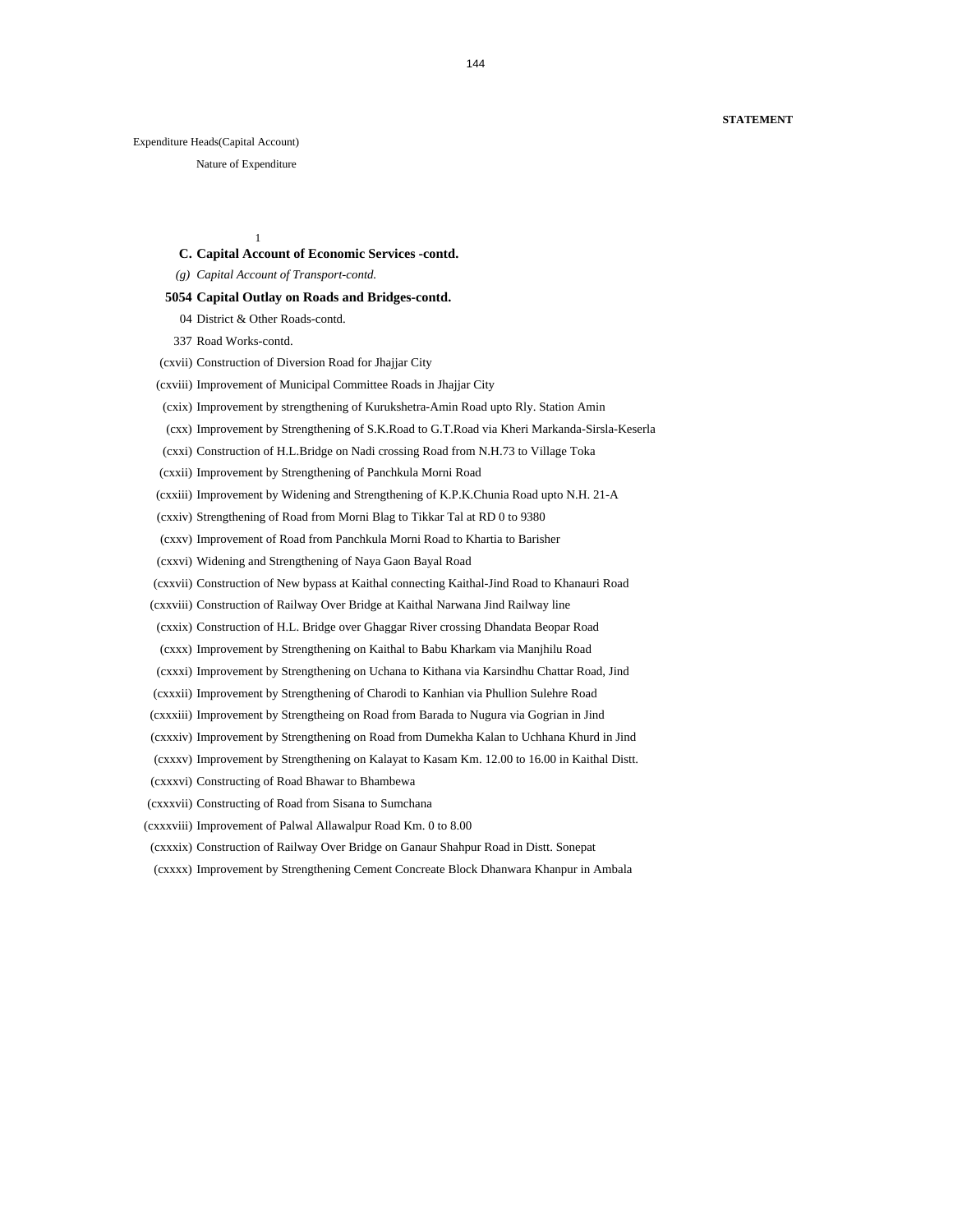Expenditure Heads(Capital Account)

Nature of Expenditure

#### **C. Capital Account of Economic Services -contd.**

*(g) Capital Account of Transport-contd.*

## **5054 Capital Outlay on Roads and Bridges-contd.**

- 04 District & Other Roads-contd.
- 337 Road Works-contd.

1

- (cxvii) Construction of Diversion Road for Jhajjar City
- (cxviii) Improvement of Municipal Committee Roads in Jhajjar City
- (cxix) Improvement by strengthening of Kurukshetra-Amin Road upto Rly. Station Amin
- (cxx) Improvement by Strengthening of S.K.Road to G.T.Road via Kheri Markanda-Sirsla-Keserla
- (cxxi) Construction of H.L.Bridge on Nadi crossing Road from N.H.73 to Village Toka
- (cxxii) Improvement by Strengthening of Panchkula Morni Road
- (cxxiii) Improvement by Widening and Strengthening of K.P.K.Chunia Road upto N.H. 21-A
- (cxxiv) Strengthening of Road from Morni Blag to Tikkar Tal at RD 0 to 9380
- (cxxv) Improvement of Road from Panchkula Morni Road to Khartia to Barisher
- (cxxvi) Widening and Strengthening of Naya Gaon Bayal Road
- (cxxvii) Construction of New bypass at Kaithal connecting Kaithal-Jind Road to Khanauri Road
- (cxxviii) Construction of Railway Over Bridge at Kaithal Narwana Jind Railway line
- (cxxix) Construction of H.L. Bridge over Ghaggar River crossing Dhandata Beopar Road
- (cxxx) Improvement by Strengthening on Kaithal to Babu Kharkam via Manjhilu Road
- (cxxxi) Improvement by Strengthening on Uchana to Kithana via Karsindhu Chattar Road, Jind
- (cxxxii) Improvement by Strengthening of Charodi to Kanhian via Phullion Sulehre Road
- (cxxxiii) Improvement by Strengtheing on Road from Barada to Nugura via Gogrian in Jind
- (cxxxiv) Improvement by Strengthening on Road from Dumekha Kalan to Uchhana Khurd in Jind
- (cxxxv) Improvement by Strengthening on Kalayat to Kasam Km. 12.00 to 16.00 in Kaithal Distt.
- (cxxxvi) Constructing of Road Bhawar to Bhambewa
- (cxxxvii) Constructing of Road from Sisana to Sumchana
- (cxxxviii) Improvement of Palwal Allawalpur Road Km. 0 to 8.00
- (cxxxix) Construction of Railway Over Bridge on Ganaur Shahpur Road in Distt. Sonepat
- (cxxxx) Improvement by Strengthening Cement Concreate Block Dhanwara Khanpur in Ambala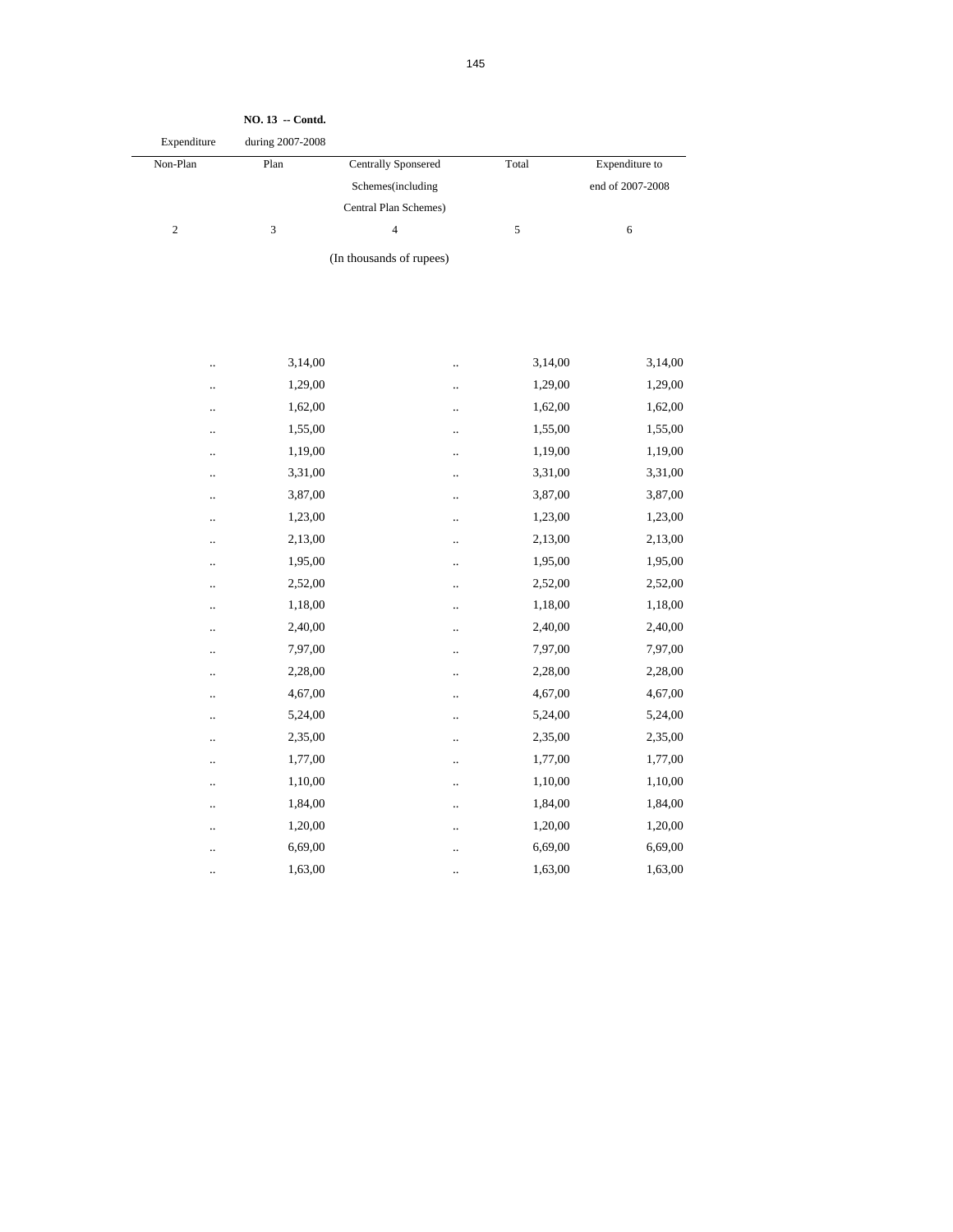| Expenditure             | during 2007-2008 |                            |               |                  |
|-------------------------|------------------|----------------------------|---------------|------------------|
| Non-Plan                | Plan             | <b>Centrally Sponsered</b> | Total         | Expenditure to   |
|                         |                  | Schemes(including          |               | end of 2007-2008 |
|                         |                  | Central Plan Schemes)      |               |                  |
| $\overline{\mathbf{c}}$ | 3                | $\sqrt{4}$                 | $\mathfrak s$ | 6                |
|                         |                  | (In thousands of rupees)   |               |                  |
|                         |                  |                            |               |                  |
|                         |                  |                            |               |                  |
|                         |                  |                            |               |                  |
|                         |                  |                            |               |                  |
| $\ddot{\phantom{0}}$    | 3,14,00          |                            | 3,14,00       | 3,14,00          |
| ٠.                      | 1,29,00          |                            | 1,29,00       | 1,29,00          |
| ٠.                      | 1,62,00          |                            | 1,62,00       | 1,62,00          |
| ٠.                      | 1,55,00          |                            | 1,55,00       | 1,55,00          |
| $\ddot{\phantom{a}}$    | 1,19,00          | $\ddot{\phantom{a}}$       | 1,19,00       | 1,19,00          |
| ٠.                      | 3,31,00          |                            | 3,31,00       | 3,31,00          |
| ٠.                      | 3,87,00          |                            | 3,87,00       | 3,87,00          |
|                         | 1,23,00          |                            | 1,23,00       | 1,23,00          |
| $\ddot{\phantom{a}}$    | 2,13,00          |                            | 2,13,00       | 2,13,00          |
| ٠.                      | 1,95,00          |                            | 1,95,00       | 1,95,00          |
|                         | 2,52,00          |                            | 2,52,00       | 2,52,00          |
|                         | 1,18,00          |                            | 1,18,00       | 1,18,00          |
|                         | 2,40,00          |                            | 2,40,00       | 2,40,00          |
| ٠.                      | 7,97,00          |                            | 7,97,00       | 7,97,00          |
| ٠.                      | 2,28,00          |                            | 2,28,00       | 2,28,00          |
|                         | 4,67,00          |                            | 4,67,00       | 4,67,00          |
|                         | 5,24,00          |                            | 5,24,00       | 5,24,00          |
| $\ddot{\phantom{a}}$    | 2,35,00          | $\ddot{\phantom{a}}$       | 2,35,00       | 2,35,00          |
| ٠.                      | 1,77,00          |                            | 1,77,00       | 1,77,00          |
| ٠.                      | 1,10,00          |                            | 1,10,00       | 1,10,00          |
|                         | 1,84,00          |                            | 1,84,00       | 1,84,00          |
| ٠.                      | 1,20,00          |                            | 1,20,00       | 1,20,00          |
|                         | 6,69,00          |                            | 6,69,00       | 6,69,00          |
|                         | 1,63,00          |                            | 1,63,00       | 1,63,00          |
|                         |                  |                            |               |                  |

**NO. 13 -- Contd.**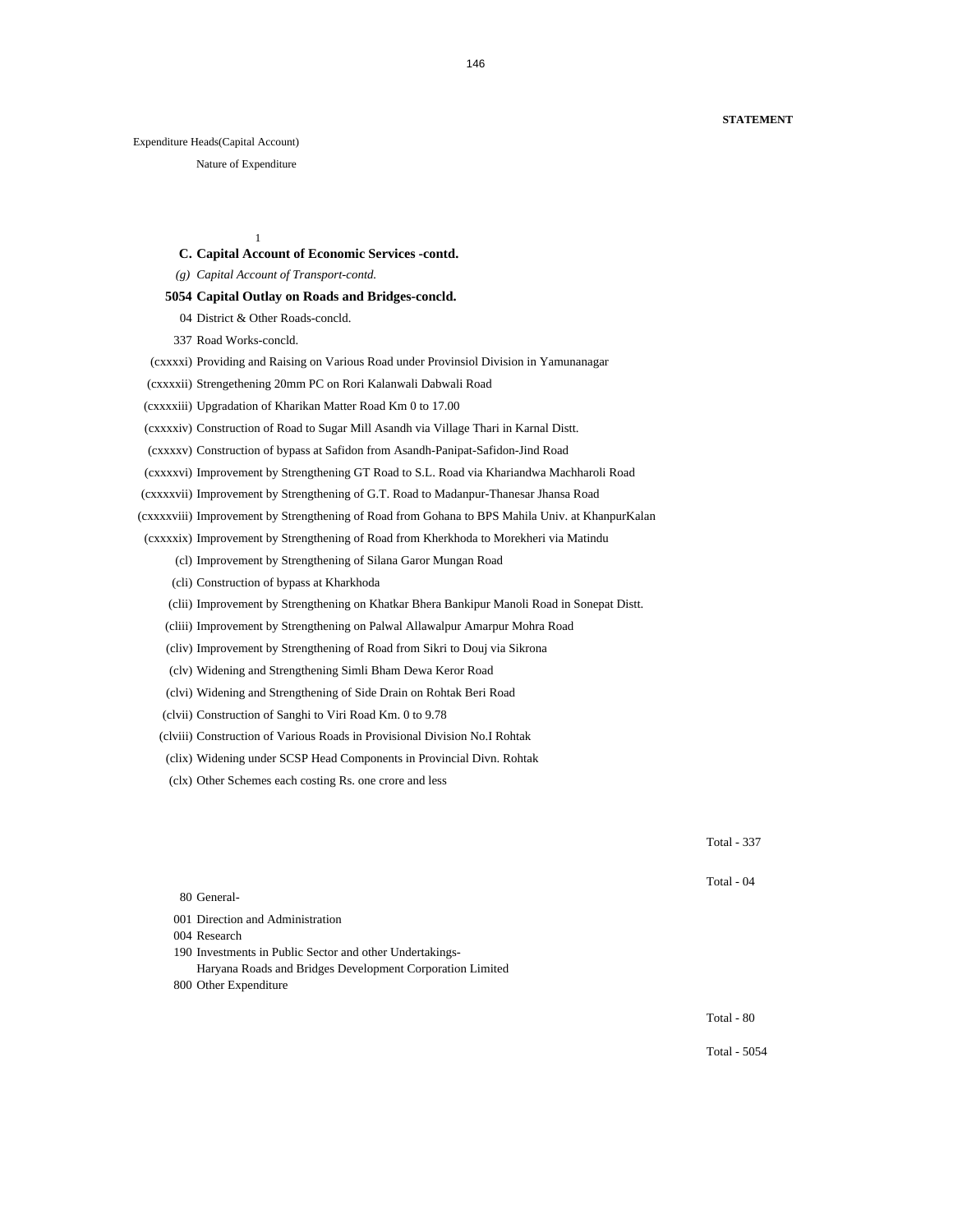Expenditure Heads(Capital Account)

Nature of Expenditure

## **C. Capital Account of Economic Services -contd.**

*(g) Capital Account of Transport-contd.*

#### **5054 Capital Outlay on Roads and Bridges-concld.**

- 04 District & Other Roads-concld.
- 337 Road Works-concld.

1

- (cxxxxi) Providing and Raising on Various Road under Provinsiol Division in Yamunanagar
- (cxxxxii) Strengethening 20mm PC on Rori Kalanwali Dabwali Road
- (cxxxxiii) Upgradation of Kharikan Matter Road Km 0 to 17.00
- (cxxxxiv) Construction of Road to Sugar Mill Asandh via Village Thari in Karnal Distt.
- (cxxxxv) Construction of bypass at Safidon from Asandh-Panipat-Safidon-Jind Road
- (cxxxxvi) Improvement by Strengthening GT Road to S.L. Road via Khariandwa Machharoli Road
- (cxxxxvii) Improvement by Strengthening of G.T. Road to Madanpur-Thanesar Jhansa Road
- (cxxxxviii) Improvement by Strengthening of Road from Gohana to BPS Mahila Univ. at KhanpurKalan
- (cxxxxix) Improvement by Strengthening of Road from Kherkhoda to Morekheri via Matindu
	- (cl) Improvement by Strengthening of Silana Garor Mungan Road
	- (cli) Construction of bypass at Kharkhoda
	- (clii) Improvement by Strengthening on Khatkar Bhera Bankipur Manoli Road in Sonepat Distt.
	- (cliii) Improvement by Strengthening on Palwal Allawalpur Amarpur Mohra Road
	- (cliv) Improvement by Strengthening of Road from Sikri to Douj via Sikrona
	- (clv) Widening and Strengthening Simli Bham Dewa Keror Road
	- (clvi) Widening and Strengthening of Side Drain on Rohtak Beri Road
	- (clvii) Construction of Sanghi to Viri Road Km. 0 to 9.78
	- (clviii) Construction of Various Roads in Provisional Division No.I Rohtak
	- (clix) Widening under SCSP Head Components in Provincial Divn. Rohtak
	- (clx) Other Schemes each costing Rs. one crore and less

Total - 04 80 General-001 Direction and Administration 004 Research 190 Investments in Public Sector and other Undertakings-Haryana Roads and Bridges Development Corporation Limited 800 Other Expenditure

Total - 80

Total - 337

Total - 5054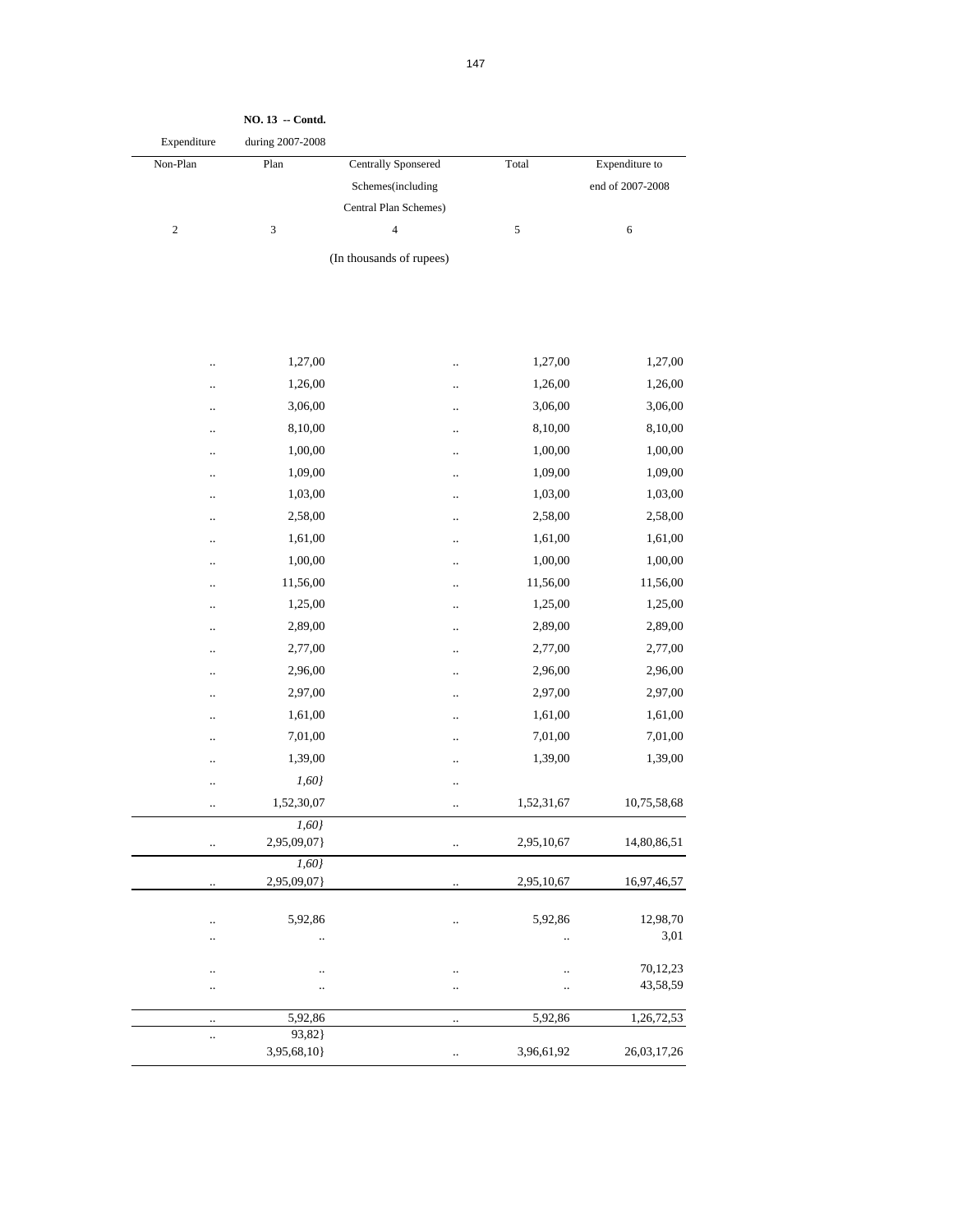| Expenditure          | during 2007-2008        |                            |            |                  |
|----------------------|-------------------------|----------------------------|------------|------------------|
| Non-Plan             | Plan                    | <b>Centrally Sponsered</b> | Total      | Expenditure to   |
|                      |                         | Schemes(including          |            | end of 2007-2008 |
|                      |                         | Central Plan Schemes)      |            |                  |
| $\sqrt{2}$           | $\overline{\mathbf{3}}$ | $\sqrt{4}$                 | $\sqrt{5}$ | 6                |
|                      |                         | (In thousands of rupees)   |            |                  |
|                      |                         |                            |            |                  |
|                      |                         |                            |            |                  |
|                      |                         |                            |            |                  |
|                      |                         |                            |            |                  |
|                      | 1,27,00                 |                            | 1,27,00    | 1,27,00          |
|                      | 1,26,00                 |                            | 1,26,00    | 1,26,00          |
|                      | 3,06,00                 |                            | 3,06,00    | 3,06,00          |
|                      | 8,10,00                 |                            | 8,10,00    | 8,10,00          |
|                      | 1,00,00                 |                            | 1,00,00    | 1,00,00          |
|                      | 1,09,00                 |                            | 1,09,00    | 1,09,00          |
| ٠.                   | 1,03,00                 |                            | 1,03,00    | 1,03,00          |
|                      | 2,58,00                 |                            | 2,58,00    | 2,58,00          |
|                      | 1,61,00                 |                            | 1,61,00    | 1,61,00          |
|                      | 1,00,00                 |                            | 1,00,00    | 1,00,00          |
|                      | 11,56,00                |                            | 11,56,00   | 11,56,00         |
|                      | 1,25,00                 |                            | 1,25,00    | 1,25,00          |
|                      | 2,89,00                 |                            | 2,89,00    | 2,89,00          |
|                      | 2,77,00                 |                            | 2,77,00    | 2,77,00          |
|                      | 2,96,00                 |                            | 2,96,00    | 2,96,00          |
|                      | 2,97,00                 |                            | 2,97,00    | 2,97,00          |
|                      | 1,61,00                 |                            | 1,61,00    | 1,61,00          |
|                      | 7,01,00                 |                            | 7,01,00    | 7,01,00          |
| ٠.                   |                         |                            |            |                  |
|                      | 1,39,00                 |                            | 1,39,00    | 1,39,00          |
|                      | 1,60                    |                            |            |                  |
| $\ddot{\phantom{0}}$ | 1,52,30,07              |                            | 1,52,31,67 | 10,75,58,68      |
|                      | 1,60}<br>2,95,09,07}    |                            | 2,95,10,67 | 14,80,86,51      |
| $\cdot$ .            | 1,60                    |                            |            |                  |
|                      | 2,95,09,07}             |                            | 2,95,10,67 | 16,97,46,57      |
|                      |                         |                            |            |                  |
| $\ddot{\phantom{0}}$ | 5,92,86                 | $\ldots$                   | 5,92,86    | 12,98,70         |
|                      |                         |                            |            | 3,01             |
|                      |                         |                            |            | 70,12,23         |
|                      |                         |                            |            | 43,58,59         |
|                      |                         |                            |            |                  |
| <br>.,               | 5,92,86<br>93,82}       |                            | 5,92,86    | 1,26,72,53       |
|                      | 3,95,68,10}             |                            | 3,96,61,92 | 26,03,17,26      |

**NO. 13 -- Contd.**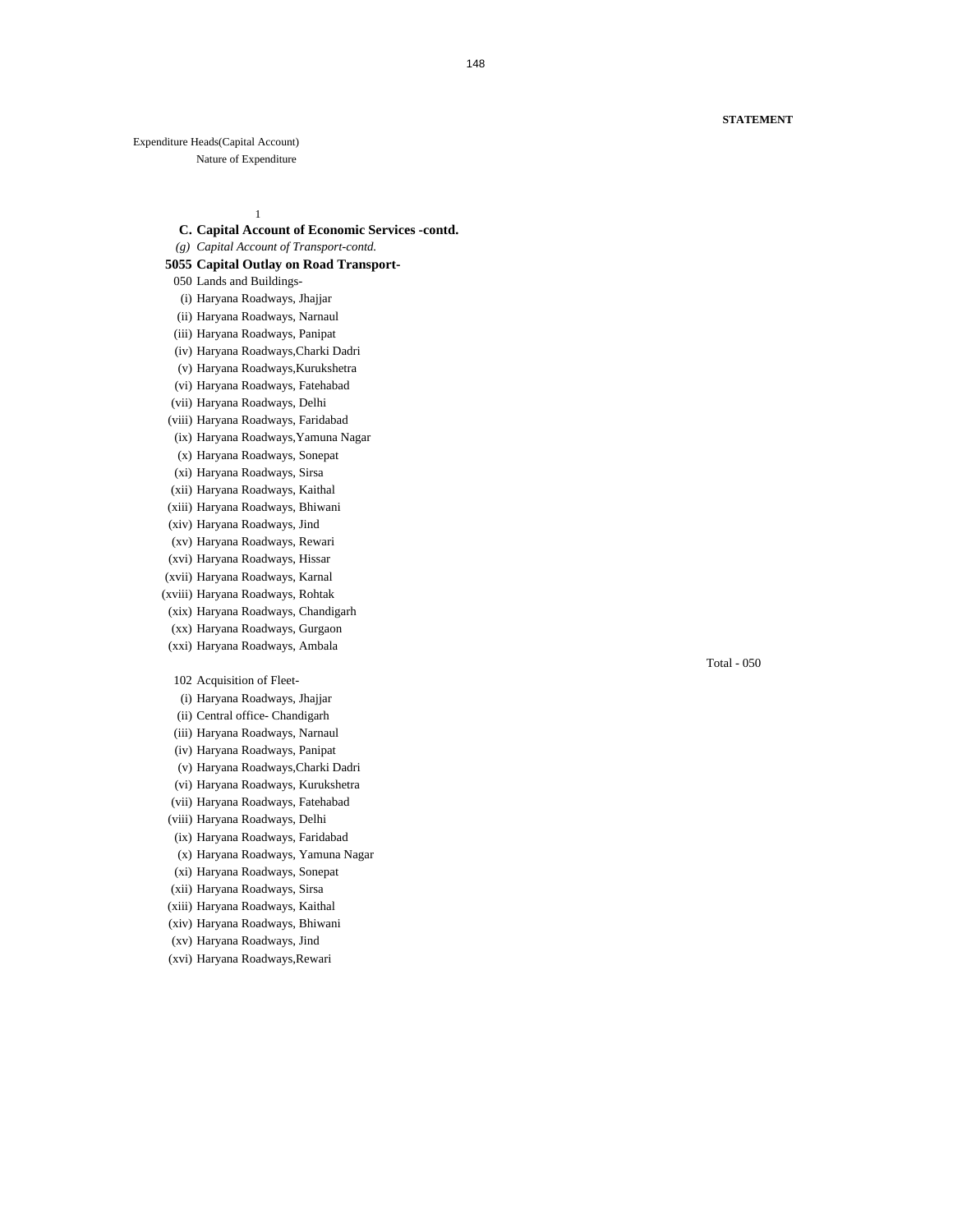Expenditure Heads(Capital Account)

Nature of Expenditure

#### 1

**C. Capital Account of Economic Services -contd.** *(g) Capital Account of Transport-contd.* **5055 Capital Outlay on Road Transport-**050 Lands and Buildings- (i) Haryana Roadways, Jhajjar (ii) Haryana Roadways, Narnaul (iii) Haryana Roadways, Panipat (iv) Haryana Roadways,Charki Dadri (v) Haryana Roadways,Kurukshetra (vi) Haryana Roadways, Fatehabad (vii) Haryana Roadways, Delhi (viii) Haryana Roadways, Faridabad (ix) Haryana Roadways,Yamuna Nagar (x) Haryana Roadways, Sonepat (xi) Haryana Roadways, Sirsa (xii) Haryana Roadways, Kaithal (xiii) Haryana Roadways, Bhiwani (xiv) Haryana Roadways, Jind (xv) Haryana Roadways, Rewari (xvi) Haryana Roadways, Hissar (xvii) Haryana Roadways, Karnal (xviii) Haryana Roadways, Rohtak (xix) Haryana Roadways, Chandigarh (xx) Haryana Roadways, Gurgaon (xxi) Haryana Roadways, Ambala 102 Acquisition of Fleet- (i) Haryana Roadways, Jhajjar (ii) Central office- Chandigarh (iii) Haryana Roadways, Narnaul (iv) Haryana Roadways, Panipat (v) Haryana Roadways,Charki Dadri (vi) Haryana Roadways, Kurukshetra (vii) Haryana Roadways, Fatehabad (viii) Haryana Roadways, Delhi (ix) Haryana Roadways, Faridabad (x) Haryana Roadways, Yamuna Nagar (xi) Haryana Roadways, Sonepat (xii) Haryana Roadways, Sirsa (xiii) Haryana Roadways, Kaithal (xiv) Haryana Roadways, Bhiwani (xv) Haryana Roadways, Jind (xvi) Haryana Roadways,Rewari

Total - 050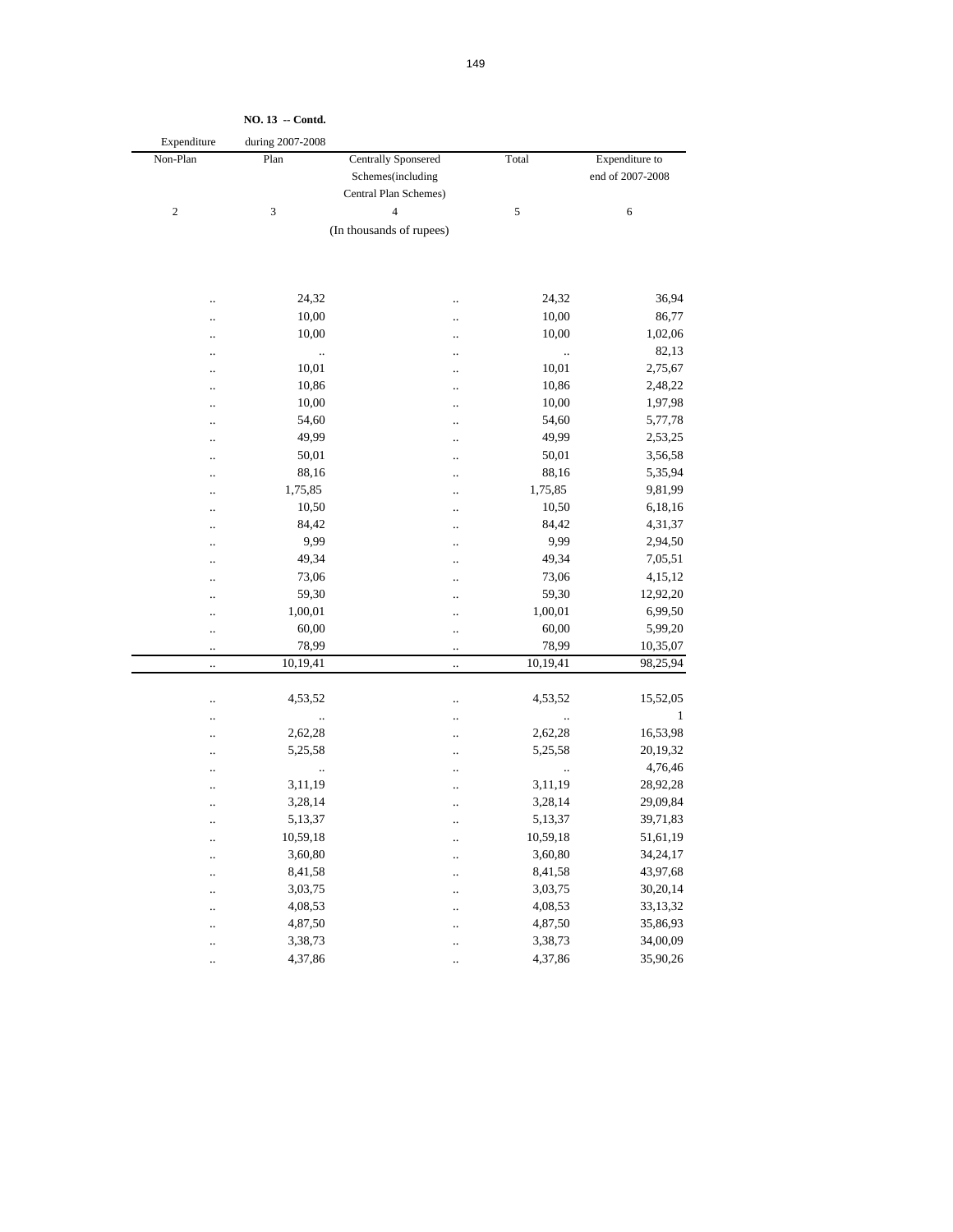| Expenditure          | during 2007-2008          |                            |                      |                  |
|----------------------|---------------------------|----------------------------|----------------------|------------------|
| Non-Plan             | Plan                      | <b>Centrally Sponsered</b> | Total                | Expenditure to   |
|                      |                           | Schemes(including          |                      | end of 2007-2008 |
|                      |                           | Central Plan Schemes)      |                      |                  |
| 2                    | $\ensuremath{\mathbf{3}}$ | 4                          | 5                    | 6                |
|                      |                           | (In thousands of rupees)   |                      |                  |
|                      |                           |                            |                      |                  |
|                      |                           |                            |                      |                  |
|                      |                           |                            |                      |                  |
| $\ddot{\phantom{0}}$ | 24,32                     |                            | 24,32                | 36,94            |
| .,                   | 10,00                     |                            | 10,00                | 86,77            |
|                      | 10,00                     |                            | 10,00                | 1,02,06          |
|                      | $\ddotsc$                 |                            | $\ddot{\phantom{0}}$ | 82,13            |
|                      | 10,01                     |                            | 10,01                | 2,75,67          |
|                      | 10,86                     |                            | 10,86                | 2,48,22          |
| $\ddot{\phantom{0}}$ | 10,00                     |                            | 10,00                | 1,97,98          |
|                      | 54,60                     |                            | 54,60                | 5,77,78          |
|                      | 49,99                     |                            | 49,99                | 2,53,25          |
|                      | 50,01                     |                            | 50,01                | 3,56,58          |
|                      | 88,16                     |                            | 88,16                | 5,35,94          |
|                      | 1,75,85                   |                            | 1,75,85              | 9,81,99          |
|                      | 10,50                     |                            | 10,50                | 6,18,16          |
|                      | 84,42                     |                            | 84,42                | 4,31,37          |
|                      | 9,99                      |                            | 9,99                 | 2,94,50          |
|                      | 49,34                     |                            | 49,34                | 7,05,51          |
| ٠.                   | 73,06                     |                            | 73,06                | 4,15,12          |
| $\ddot{\phantom{0}}$ | 59,30                     |                            | 59,30                | 12,92,20         |
|                      | 1,00,01                   |                            | 1,00,01              | 6,99,50          |
| $\ddot{\phantom{0}}$ | 60,00                     |                            | 60,00                | 5,99,20          |
| $\cdot\cdot$         | 78,99                     | $\ddotsc$                  | 78,99                | 10,35,07         |
| $\ddot{\phantom{0}}$ | 10,19,41                  | $\ddot{\phantom{0}}$       | 10,19,41             | 98,25,94         |
|                      |                           |                            |                      |                  |
|                      | 4,53,52                   |                            | 4,53,52              | 15,52,05         |
|                      |                           |                            |                      | $\mathbf{1}$     |
|                      | 2,62,28                   |                            | 2,62,28              | 16,53,98         |
|                      | 5,25,58                   |                            | 5,25,58              | 20,19,32         |
|                      | $\ddot{\phantom{0}}$      |                            | $\ddot{\phantom{0}}$ | 4,76,46          |
|                      | 3,11,19                   |                            | 3,11,19              | 28,92,28         |
|                      | 3,28,14                   |                            | 3,28,14              | 29,09,84         |
|                      | 5,13,37                   |                            | 5,13,37              | 39,71,83         |
| $\cdot$              | 10,59,18                  |                            | 10,59,18             | 51,61,19         |
|                      | 3,60,80                   |                            | 3,60,80              | 34,24,17         |
|                      | 8,41,58                   |                            | 8,41,58              | 43,97,68         |
|                      | 3,03,75                   |                            | 3,03,75              | 30,20,14         |
|                      | 4,08,53                   |                            | 4,08,53              | 33,13,32         |
|                      | 4,87,50                   |                            | 4,87,50              | 35,86,93         |
|                      | 3,38,73                   |                            | 3,38,73              | 34,00,09         |
|                      | 4,37,86                   |                            | 4,37,86              | 35,90,26         |

**NO. 13 -- Contd.**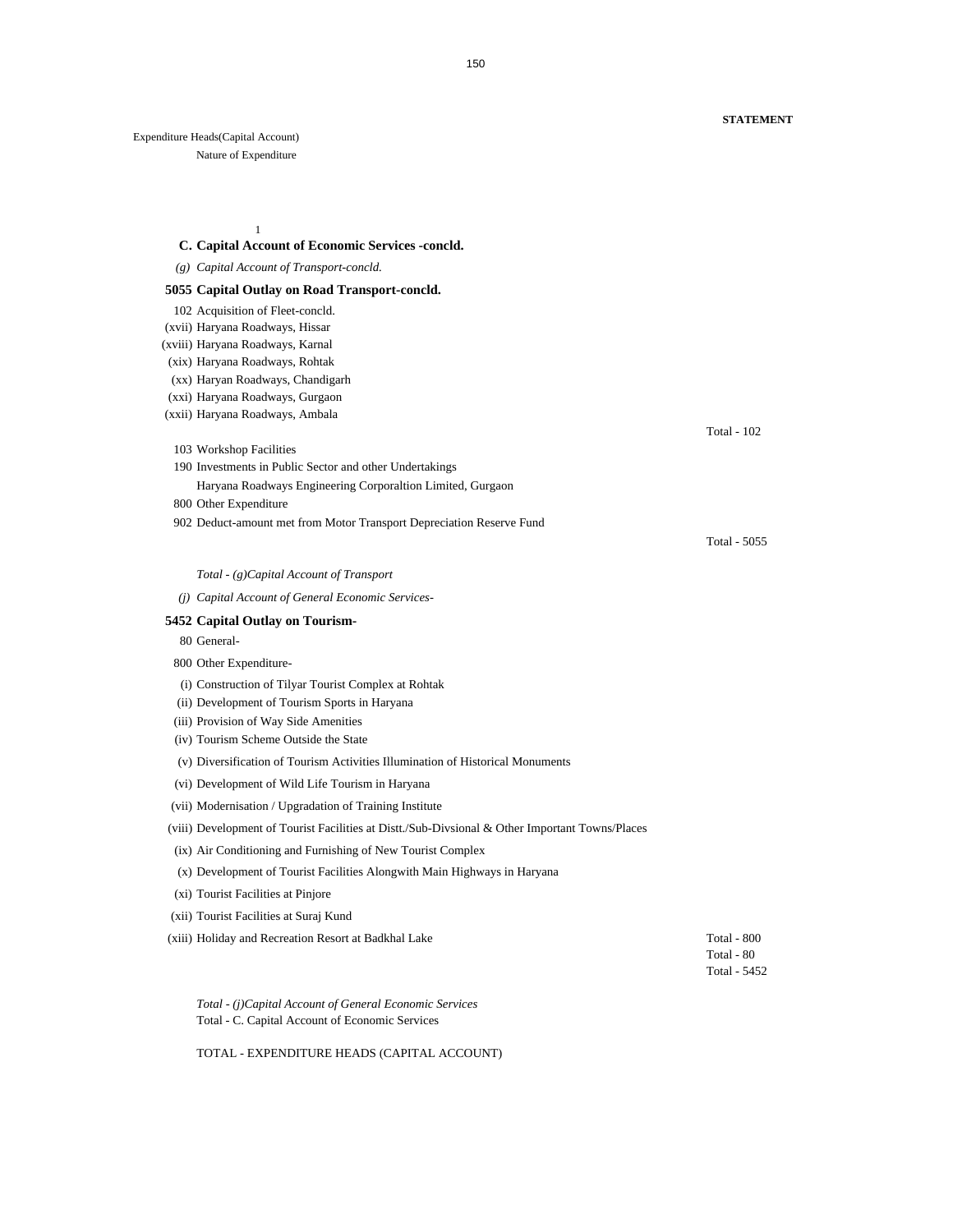Expenditure Heads(Capital Account)

Nature of Expenditure

1

#### **C. Capital Account of Economic Services -concld.**

*(g) Capital Account of Transport-concld.*

## **5055 Capital Outlay on Road Transport-concld.**

- 102 Acquisition of Fleet-concld.
- (xvii) Haryana Roadways, Hissar
- (xviii) Haryana Roadways, Karnal
- (xix) Haryana Roadways, Rohtak
- (xx) Haryan Roadways, Chandigarh
- (xxi) Haryana Roadways, Gurgaon
- (xxii) Haryana Roadways, Ambala

103 Workshop Facilities

- 190 Investments in Public Sector and other Undertakings Haryana Roadways Engineering Corporaltion Limited, Gurgaon
- 800 Other Expenditure
- 902 Deduct-amount met from Motor Transport Depreciation Reserve Fund
	- *Total (g)Capital Account of Transport*
- *(j) Capital Account of General Economic Services-*

## **5452 Capital Outlay on Tourism-**

- 80 General-
- 800 Other Expenditure-
- (i) Construction of Tilyar Tourist Complex at Rohtak
- (ii) Development of Tourism Sports in Haryana
- (iii) Provision of Way Side Amenities
- (iv) Tourism Scheme Outside the State
- (v) Diversification of Tourism Activities Illumination of Historical Monuments
- (vi) Development of Wild Life Tourism in Haryana
- (vii) Modernisation / Upgradation of Training Institute
- (viii) Development of Tourist Facilities at Distt./Sub-Divsional & Other Important Towns/Places
- (ix) Air Conditioning and Furnishing of New Tourist Complex
- (x) Development of Tourist Facilities Alongwith Main Highways in Haryana
- (xi) Tourist Facilities at Pinjore
- (xii) Tourist Facilities at Suraj Kund
- (xiii) Holiday and Recreation Resort at Badkhal Lake Total 800

Total - 80

Total - 5452

*Total - (j)Capital Account of General Economic Services* Total - C. Capital Account of Economic Services

TOTAL - EXPENDITURE HEADS (CAPITAL ACCOUNT)

Total - 102

Total - 5055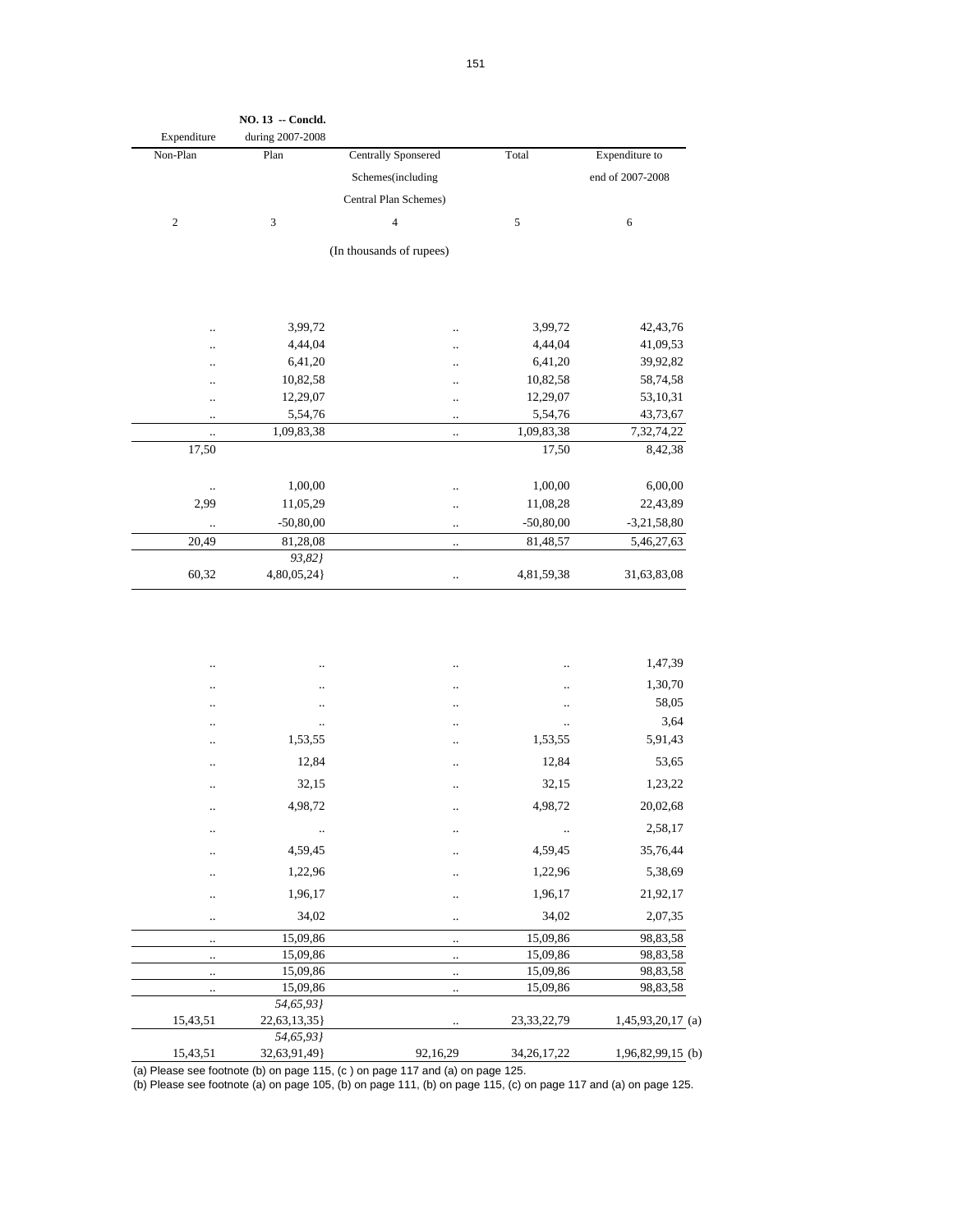|                         | NO. 13 -- Concld.     |                          |                     |                     |
|-------------------------|-----------------------|--------------------------|---------------------|---------------------|
| Expenditure             | during 2007-2008      |                          |                     |                     |
| Non-Plan                | Plan                  | Centrally Sponsered      | Total               | Expenditure to      |
|                         |                       | Schemes(including        |                     | end of 2007-2008    |
|                         |                       | Central Plan Schemes)    |                     |                     |
| $\overline{\mathbf{c}}$ | 3                     | $\overline{4}$           | 5                   | $\sqrt{6}$          |
|                         |                       |                          |                     |                     |
|                         |                       | (In thousands of rupees) |                     |                     |
|                         |                       |                          |                     |                     |
|                         | 3,99,72               |                          | 3,99,72             | 42,43,76            |
|                         | 4,44,04               |                          | 4,44,04             | 41,09,53            |
|                         | 6,41,20               |                          | 6,41,20             | 39,92,82            |
|                         | 10,82,58              |                          | 10,82,58            | 58,74,58            |
|                         | 12,29,07              | $\ddot{\phantom{0}}$     | 12,29,07            | 53,10,31            |
| $\ddot{\phantom{0}}$    | 5,54,76               | $\ddotsc$                | 5,54,76             | 43,73,67            |
| $\ldots$                | 1,09,83,38            | $\ddotsc$                | 1,09,83,38          | 7,32,74,22          |
| 17,50                   |                       |                          | 17,50               | 8,42,38             |
| $\ddot{\phantom{0}}$    | 1,00,00               | $\ddot{\phantom{0}}$     | 1,00,00             | 6,00,00             |
| 2,99                    | 11,05,29              | $\ddot{\phantom{0}}$     | 11,08,28            | 22,43,89            |
| $\ddot{\phantom{0}}$    | $-50,80,00$           | $\ddot{\phantom{0}}$     | $-50,80,00$         | $-3,21,58,80$       |
| 20,49                   | 81,28,08              | $\ddot{\phantom{0}}$     | 81,48,57            | 5,46,27,63          |
|                         | 93,82                 |                          |                     |                     |
| 60,32                   | 4,80,05,24}           | $\cdot$ .                | 4,81,59,38          | 31,63,83,08         |
|                         |                       |                          |                     |                     |
|                         |                       |                          |                     |                     |
|                         | $\cdot$               |                          |                     | 1,47,39             |
|                         |                       |                          |                     | 1,30,70             |
|                         | $\ddotsc$             |                          | $\ldots$            | 58,05               |
|                         | $\ddot{\phantom{0}}$  |                          | $\ldots$            | 3,64                |
|                         | 1,53,55               | $\ddot{\phantom{0}}$     | 1,53,55             | 5,91,43             |
|                         | 12,84                 |                          | 12,84               | 53,65               |
| $\ddot{\phantom{0}}$    | 32,15                 | $\cdot$ .                | 32,15               | 1,23,22             |
|                         | 4,98,72               | $\ddot{\phantom{0}}$     | 4,98,72             | 20,02,68            |
|                         |                       |                          |                     | 2,58,17             |
|                         | $\ddotsc$<br>4,59,45  |                          | $\ldots$<br>4,59,45 | 35,76,44            |
|                         | 1,22,96               |                          | 1,22,96             | 5,38,69             |
|                         |                       |                          |                     |                     |
|                         | 1,96,17               | $\ddot{\phantom{a}}$     | 1,96,17             | 21,92,17            |
|                         | 34,02                 | $\cdot$ .                | 34,02               | 2,07,35             |
| $\cdot$ .               | 15,09,86              | $\cdot$ .                | 15,09,86            | 98,83,58            |
| $\cdot$ .               | 15,09,86              | $\ddotsc$                | 15,09,86            | 98,83,58            |
| $\cdot\cdot$            | 15,09,86              | $\ddotsc$                | 15,09,86            | 98,83,58            |
|                         | 15,09,86<br>54,65,93} | $\ddot{\phantom{0}}$     | 15,09,86            | 98,83,58            |
| 15,43,51                | 22,63,13,35}          |                          | 23, 33, 22, 79      | $1,45,93,20,17$ (a) |
|                         | 54,65,93}             |                          |                     |                     |
| 15,43,51                | 32,63,91,49}          | 92,16,29                 | 34, 26, 17, 22      | 1,96,82,99,15 (b)   |

(b) Please see footnote (a) on page 105, (b) on page 111, (b) on page 115, (c) on page 117 and (a) on page 125.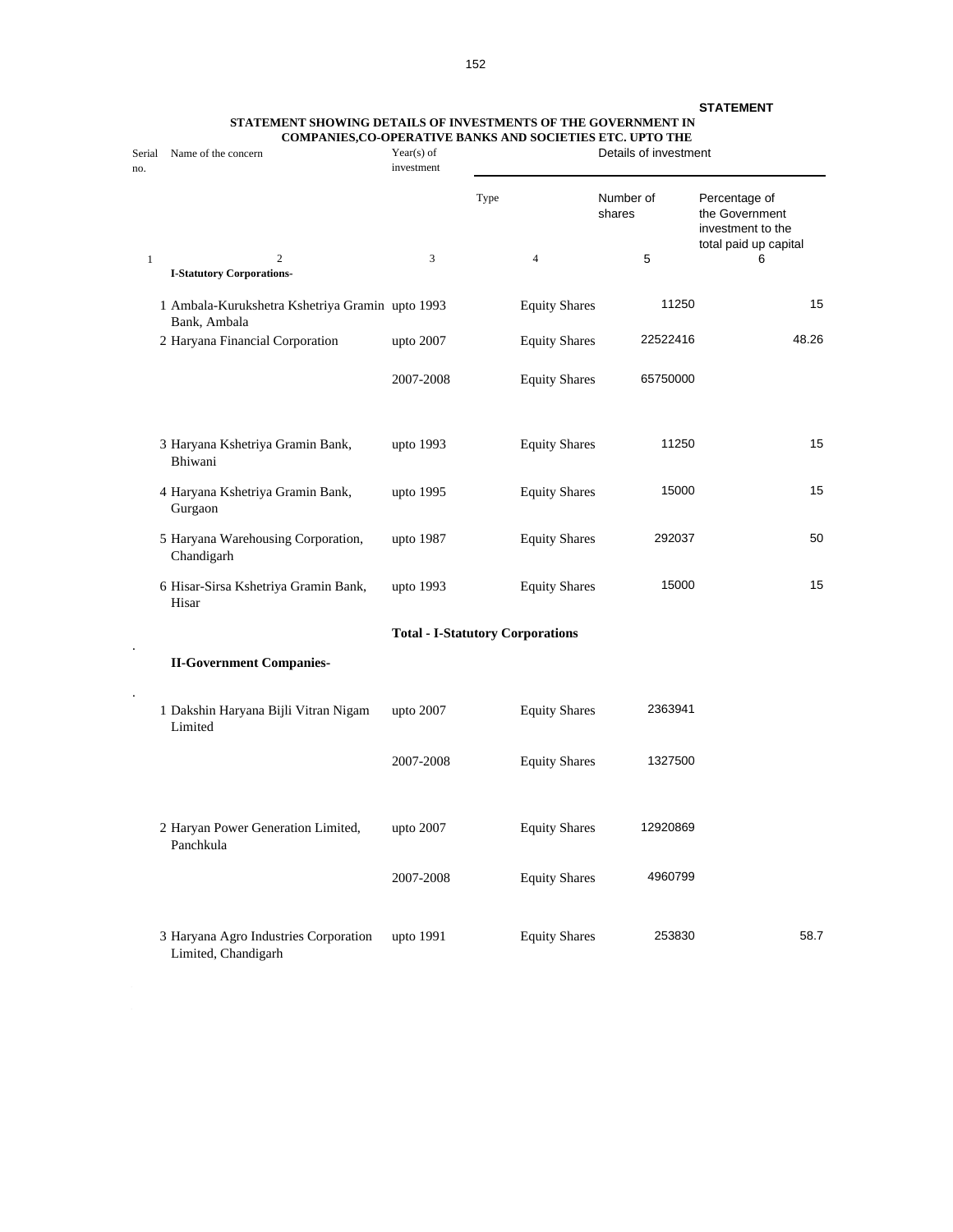|                                                                 | <b>STATEMENT</b> |
|-----------------------------------------------------------------|------------------|
| STATEMENT SHOWING DETAILS OF INVESTMENTS OF THE GOVERNMENT IN   |                  |
| <b>COMPANIES.CO-OPERATIVE BANKS AND SOCIETIES ETC. UPTO THE</b> |                  |

| Serial Name of the concern<br>no. |                                                                 | Year(s) of<br>investment                | Details of investment |                      |                     |                                                                               |
|-----------------------------------|-----------------------------------------------------------------|-----------------------------------------|-----------------------|----------------------|---------------------|-------------------------------------------------------------------------------|
|                                   |                                                                 |                                         | Type                  |                      | Number of<br>shares | Percentage of<br>the Government<br>investment to the<br>total paid up capital |
| $\mathbf{1}$                      | $\overline{c}$<br><b>I-Statutory Corporations-</b>              | 3                                       |                       | $\overline{4}$       | 5                   | 6                                                                             |
|                                   | 1 Ambala-Kurukshetra Kshetriya Gramin upto 1993<br>Bank, Ambala |                                         |                       | <b>Equity Shares</b> | 11250               | 15                                                                            |
|                                   | 2 Haryana Financial Corporation                                 | upto 2007                               |                       | <b>Equity Shares</b> | 22522416            | 48.26                                                                         |
|                                   |                                                                 | 2007-2008                               |                       | <b>Equity Shares</b> | 65750000            |                                                                               |
|                                   | 3 Haryana Kshetriya Gramin Bank,<br>Bhiwani                     | upto 1993                               |                       | <b>Equity Shares</b> | 11250               | 15                                                                            |
|                                   | 4 Haryana Kshetriya Gramin Bank,<br>Gurgaon                     | upto 1995                               |                       | <b>Equity Shares</b> | 15000               | 15                                                                            |
|                                   | 5 Haryana Warehousing Corporation,<br>Chandigarh                | upto 1987                               |                       | <b>Equity Shares</b> | 292037              | 50                                                                            |
|                                   | 6 Hisar-Sirsa Kshetriya Gramin Bank,<br>Hisar                   | upto 1993                               |                       | <b>Equity Shares</b> | 15000               | 15                                                                            |
|                                   |                                                                 | <b>Total - I-Statutory Corporations</b> |                       |                      |                     |                                                                               |
|                                   | <b>II-Government Companies-</b>                                 |                                         |                       |                      |                     |                                                                               |
|                                   | 1 Dakshin Haryana Bijli Vitran Nigam<br>Limited                 | upto 2007                               |                       | <b>Equity Shares</b> | 2363941             |                                                                               |
|                                   |                                                                 | 2007-2008                               |                       | <b>Equity Shares</b> | 1327500             |                                                                               |
|                                   | 2 Haryan Power Generation Limited,<br>Panchkula                 | upto 2007                               |                       | <b>Equity Shares</b> | 12920869            |                                                                               |
|                                   |                                                                 | 2007-2008                               |                       | <b>Equity Shares</b> | 4960799             |                                                                               |
|                                   | 3 Haryana Agro Industries Corporation<br>Limited, Chandigarh    | upto 1991                               |                       | <b>Equity Shares</b> | 253830              | 58.7                                                                          |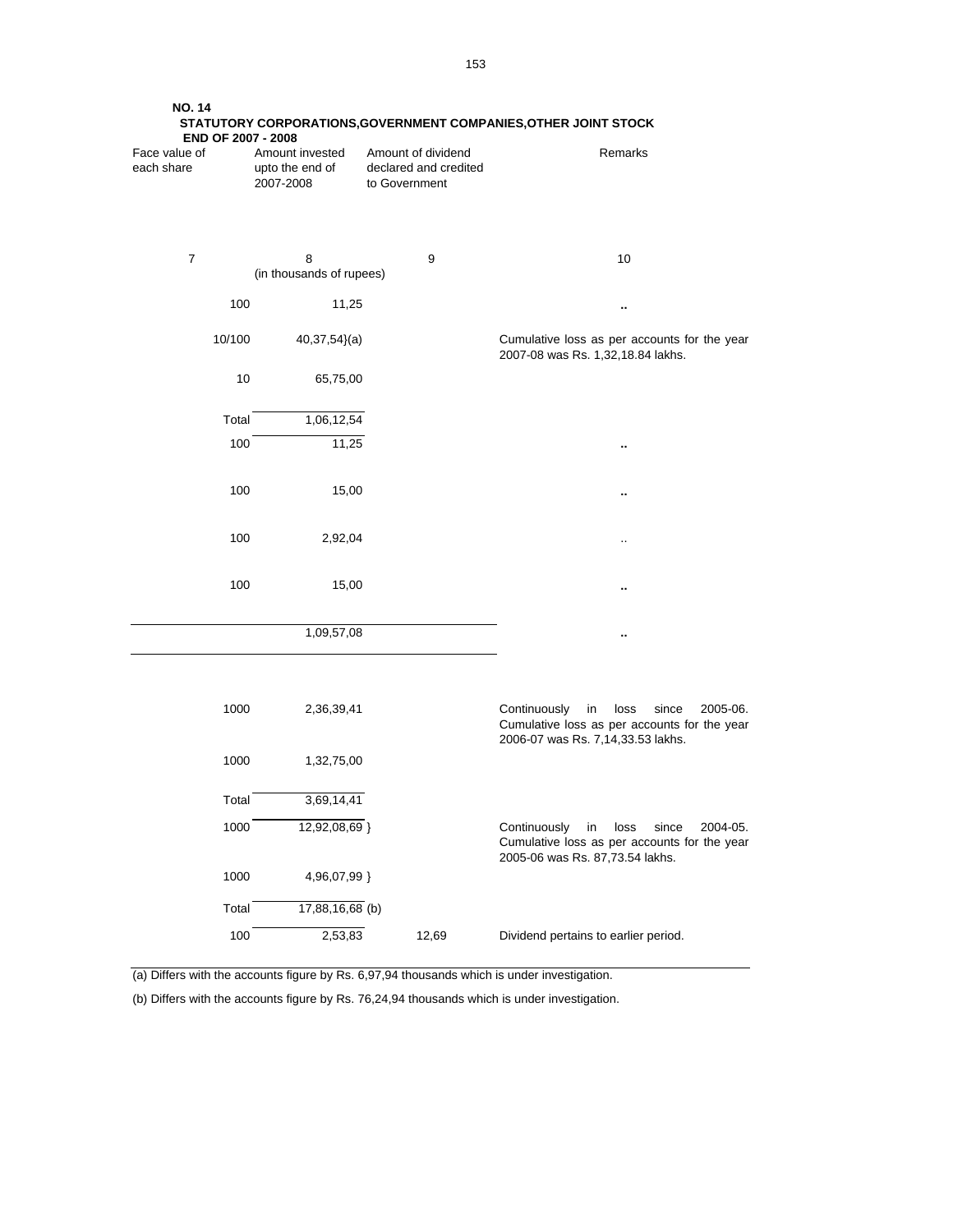| <b>NO. 14</b><br>END OF 2007 - 2008 |                                                 |                                                              | STATUTORY CORPORATIONS, GOVERNMENT COMPANIES, OTHER JOINT STOCK                                                                      |
|-------------------------------------|-------------------------------------------------|--------------------------------------------------------------|--------------------------------------------------------------------------------------------------------------------------------------|
| Face value of<br>each share         | Amount invested<br>upto the end of<br>2007-2008 | Amount of dividend<br>declared and credited<br>to Government | Remarks                                                                                                                              |
| $\overline{7}$                      | 8<br>(in thousands of rupees)                   | 9                                                            | 10                                                                                                                                   |
| 100                                 | 11,25                                           |                                                              |                                                                                                                                      |
| 10/100                              | $40,37,54$ $(a)$                                |                                                              | Cumulative loss as per accounts for the year<br>2007-08 was Rs. 1,32,18.84 lakhs.                                                    |
| 10                                  | 65,75,00                                        |                                                              |                                                                                                                                      |
| Total                               | 1,06,12,54                                      |                                                              |                                                                                                                                      |
| 100                                 | 11,25                                           |                                                              |                                                                                                                                      |
| 100                                 | 15,00                                           |                                                              |                                                                                                                                      |
| 100                                 | 2,92,04                                         |                                                              |                                                                                                                                      |
| 100                                 | 15,00                                           |                                                              |                                                                                                                                      |
|                                     | 1,09,57,08                                      |                                                              |                                                                                                                                      |
|                                     |                                                 |                                                              |                                                                                                                                      |
| 1000                                | 2,36,39,41                                      |                                                              | Continuously<br>loss<br>since<br>2005-06.<br>in<br>Cumulative loss as per accounts for the year<br>2006-07 was Rs. 7,14,33.53 lakhs. |
| 1000                                | 1,32,75,00                                      |                                                              |                                                                                                                                      |
| Total                               | 3,69,14,41                                      |                                                              |                                                                                                                                      |
| 1000                                | 12,92,08,69 }                                   |                                                              | Continuously<br>in<br>loss<br>since<br>2004-05.<br>Cumulative loss as per accounts for the year<br>2005-06 was Rs. 87,73.54 lakhs.   |
| 1000                                | 4,96,07,99 }                                    |                                                              |                                                                                                                                      |
| Total                               | $17,88,16,68$ (b)                               |                                                              |                                                                                                                                      |
| 100                                 | 2,53,83                                         | 12,69                                                        | Dividend pertains to earlier period.                                                                                                 |

(a) Differs with the accounts figure by Rs. 6,97,94 thousands which is under investigation.

(b) Differs with the accounts figure by Rs. 76,24,94 thousands which is under investigation.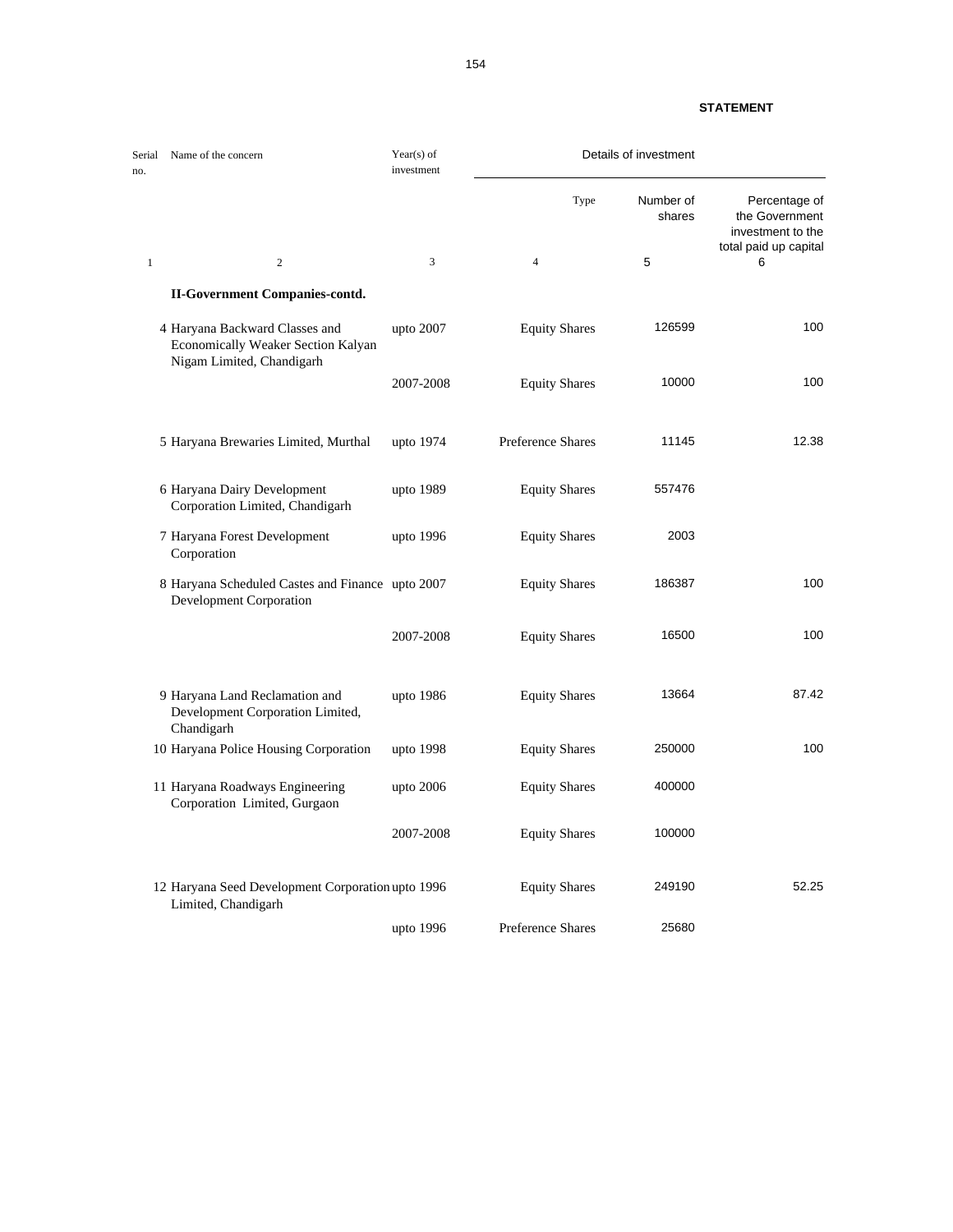| Serial<br>no. | Name of the concern                                                                               | Year(s) of<br>investment |                          | Details of investment |                                                      |
|---------------|---------------------------------------------------------------------------------------------------|--------------------------|--------------------------|-----------------------|------------------------------------------------------|
|               |                                                                                                   |                          | Type                     | Number of<br>shares   | Percentage of<br>the Government<br>investment to the |
| $\mathbf{1}$  | $\sqrt{2}$                                                                                        | 3                        | $\overline{4}$           | 5                     | total paid up capital<br>6                           |
|               | <b>II-Government Companies-contd.</b>                                                             |                          |                          |                       |                                                      |
|               | 4 Haryana Backward Classes and<br>Economically Weaker Section Kalyan<br>Nigam Limited, Chandigarh | upto 2007                | <b>Equity Shares</b>     | 126599                | 100                                                  |
|               |                                                                                                   | 2007-2008                | <b>Equity Shares</b>     | 10000                 | 100                                                  |
|               | 5 Haryana Brewaries Limited, Murthal                                                              | upto 1974                | Preference Shares        | 11145                 | 12.38                                                |
|               | 6 Haryana Dairy Development<br>Corporation Limited, Chandigarh                                    | upto 1989                | <b>Equity Shares</b>     | 557476                |                                                      |
|               | 7 Haryana Forest Development<br>Corporation                                                       | upto 1996                | <b>Equity Shares</b>     | 2003                  |                                                      |
|               | 8 Haryana Scheduled Castes and Finance upto 2007<br><b>Development Corporation</b>                |                          | <b>Equity Shares</b>     | 186387                | 100                                                  |
|               |                                                                                                   | 2007-2008                | <b>Equity Shares</b>     | 16500                 | 100                                                  |
|               | 9 Haryana Land Reclamation and<br>Development Corporation Limited,<br>Chandigarh                  | upto 1986                | <b>Equity Shares</b>     | 13664                 | 87.42                                                |
|               | 10 Haryana Police Housing Corporation                                                             | upto 1998                | <b>Equity Shares</b>     | 250000                | 100                                                  |
|               | 11 Haryana Roadways Engineering<br>Corporation Limited, Gurgaon                                   | upto 2006                | <b>Equity Shares</b>     | 400000                |                                                      |
|               |                                                                                                   | 2007-2008                | <b>Equity Shares</b>     | 100000                |                                                      |
|               | 12 Haryana Seed Development Corporation upto 1996<br>Limited, Chandigarh                          |                          | <b>Equity Shares</b>     | 249190                | 52.25                                                |
|               |                                                                                                   | upto 1996                | <b>Preference Shares</b> | 25680                 |                                                      |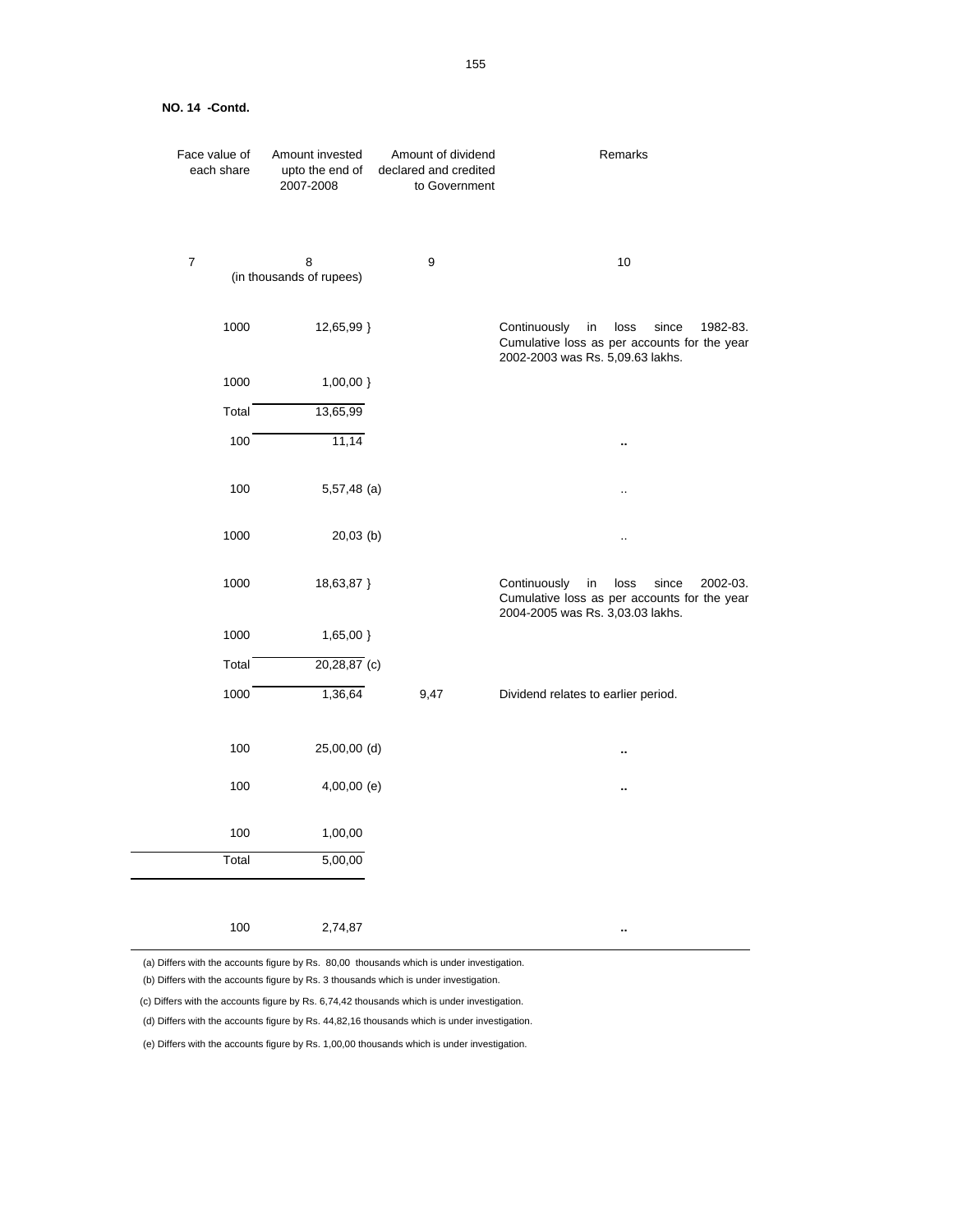#### **NO. 14 -Contd.**

| Face value of<br>each share | Amount invested<br>upto the end of<br>2007-2008 | Amount of dividend<br>declared and credited<br>to Government | Remarks                                                                                                                             |
|-----------------------------|-------------------------------------------------|--------------------------------------------------------------|-------------------------------------------------------------------------------------------------------------------------------------|
| 7                           | 8<br>(in thousands of rupees)                   | 9                                                            | 10                                                                                                                                  |
| 1000                        | 12,65,99 }                                      |                                                              | Continuously<br>loss<br>since<br>1982-83.<br>in<br>Cumulative loss as per accounts for the year<br>2002-2003 was Rs. 5,09.63 lakhs. |
| 1000                        | $1,00,00$ }                                     |                                                              |                                                                                                                                     |
| Total                       | 13,65,99                                        |                                                              |                                                                                                                                     |
| 100                         | 11,14                                           |                                                              |                                                                                                                                     |
| 100                         | 5,57,48 (a)                                     |                                                              |                                                                                                                                     |
| 1000                        | $20,03$ (b)                                     |                                                              |                                                                                                                                     |
| 1000                        | 18,63,87 }                                      |                                                              | Continuously<br>loss<br>since<br>2002-03.<br>in<br>Cumulative loss as per accounts for the year<br>2004-2005 was Rs. 3,03.03 lakhs. |
| 1000                        | $1,65,00$ }                                     |                                                              |                                                                                                                                     |
| Total                       | $20,28,87$ (c)                                  |                                                              |                                                                                                                                     |
| 1000                        | 1,36,64                                         | 9,47                                                         | Dividend relates to earlier period.                                                                                                 |
| 100                         | 25,00,00 (d)                                    |                                                              |                                                                                                                                     |
| 100                         | $4,00,00$ (e)                                   |                                                              |                                                                                                                                     |
| 100                         | 1,00,00                                         |                                                              |                                                                                                                                     |
| Total                       | 5,00,00                                         |                                                              |                                                                                                                                     |
| 100                         | 2,74,87                                         |                                                              | ٠.                                                                                                                                  |

(a) Differs with the accounts figure by Rs. 80,00 thousands which is under investigation.

(b) Differs with the accounts figure by Rs. 3 thousands which is under investigation.

(c) Differs with the accounts figure by Rs. 6,74,42 thousands which is under investigation.

(d) Differs with the accounts figure by Rs. 44,82,16 thousands which is under investigation.

(e) Differs with the accounts figure by Rs. 1,00,00 thousands which is under investigation.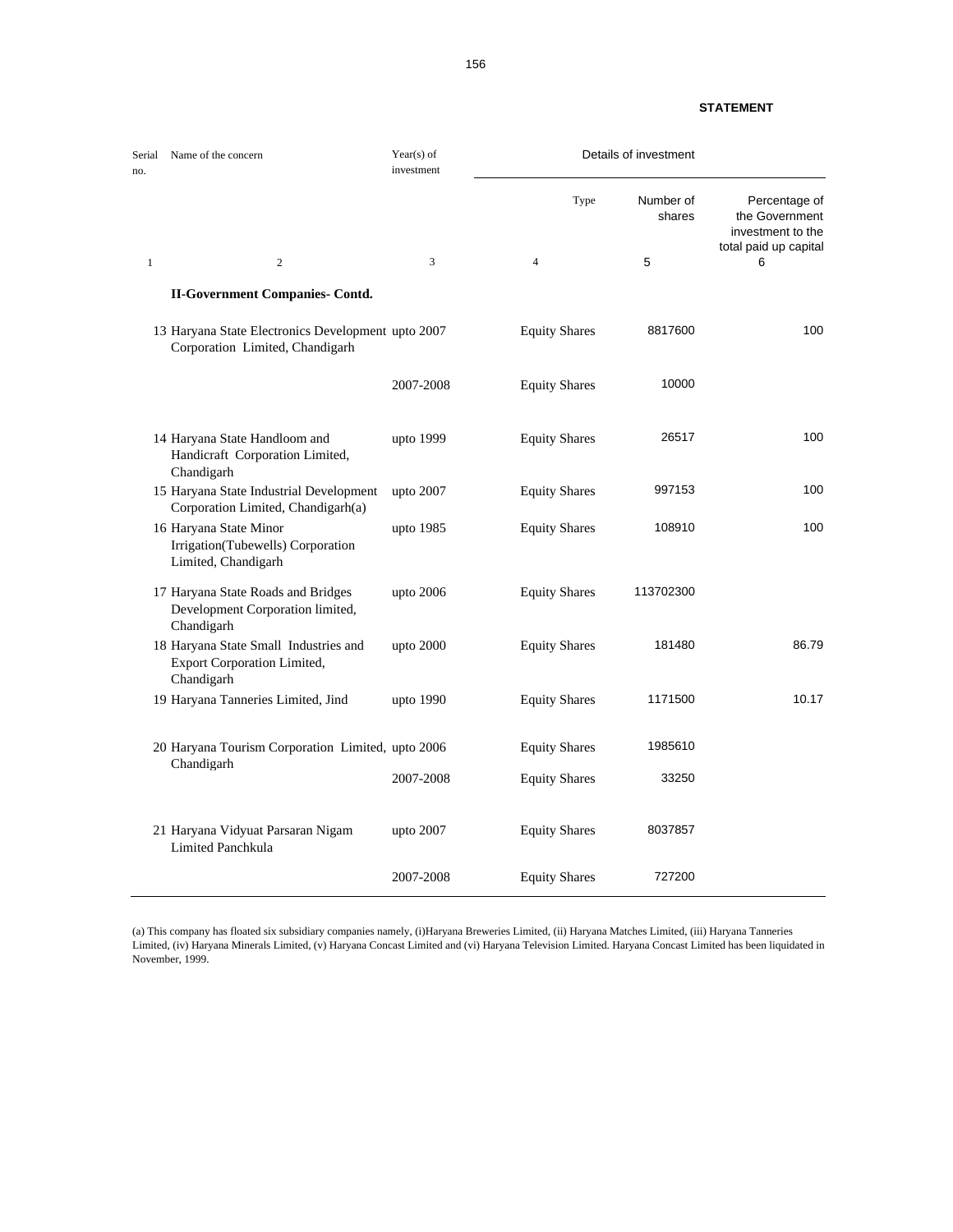| Serial<br>no. | Name of the concern                                                                   | Year(s) of<br>investment |                      | Details of investment |                                                                               |
|---------------|---------------------------------------------------------------------------------------|--------------------------|----------------------|-----------------------|-------------------------------------------------------------------------------|
|               |                                                                                       |                          | Type                 | Number of<br>shares   | Percentage of<br>the Government<br>investment to the<br>total paid up capital |
| $\mathbf{1}$  | $\overline{2}$                                                                        | 3                        | $\overline{4}$       | 5                     | 6                                                                             |
|               | <b>II-Government Companies- Contd.</b>                                                |                          |                      |                       |                                                                               |
|               | 13 Haryana State Electronics Development upto 2007<br>Corporation Limited, Chandigarh |                          | <b>Equity Shares</b> | 8817600               | 100                                                                           |
|               |                                                                                       | 2007-2008                | <b>Equity Shares</b> | 10000                 |                                                                               |
|               | 14 Haryana State Handloom and<br>Handicraft Corporation Limited,<br>Chandigarh        | upto 1999                | <b>Equity Shares</b> | 26517                 | 100                                                                           |
|               | 15 Haryana State Industrial Development<br>Corporation Limited, Chandigarh(a)         | upto 2007                | <b>Equity Shares</b> | 997153                | 100                                                                           |
|               | 16 Haryana State Minor<br>Irrigation(Tubewells) Corporation<br>Limited, Chandigarh    | upto 1985                | <b>Equity Shares</b> | 108910                | 100                                                                           |
|               | 17 Haryana State Roads and Bridges<br>Development Corporation limited,<br>Chandigarh  | upto 2006                | <b>Equity Shares</b> | 113702300             |                                                                               |
|               | 18 Haryana State Small Industries and<br>Export Corporation Limited,<br>Chandigarh    | upto 2000                | <b>Equity Shares</b> | 181480                | 86.79                                                                         |
|               | 19 Haryana Tanneries Limited, Jind                                                    | upto 1990                | <b>Equity Shares</b> | 1171500               | 10.17                                                                         |
|               | 20 Haryana Tourism Corporation Limited, upto 2006<br>Chandigarh                       |                          | <b>Equity Shares</b> | 1985610               |                                                                               |
|               |                                                                                       | 2007-2008                | <b>Equity Shares</b> | 33250                 |                                                                               |
|               | 21 Haryana Vidyuat Parsaran Nigam<br><b>Limited Panchkula</b>                         | upto 2007                | <b>Equity Shares</b> | 8037857               |                                                                               |
|               |                                                                                       | 2007-2008                | <b>Equity Shares</b> | 727200                |                                                                               |

(a) This company has floated six subsidiary companies namely, (i)Haryana Breweries Limited, (ii) Haryana Matches Limited, (iii) Haryana Tanneries Limited, (iv) Haryana Minerals Limited, (v) Haryana Concast Limited and (vi) Haryana Television Limited. Haryana Concast Limited has been liquidated in November, 1999.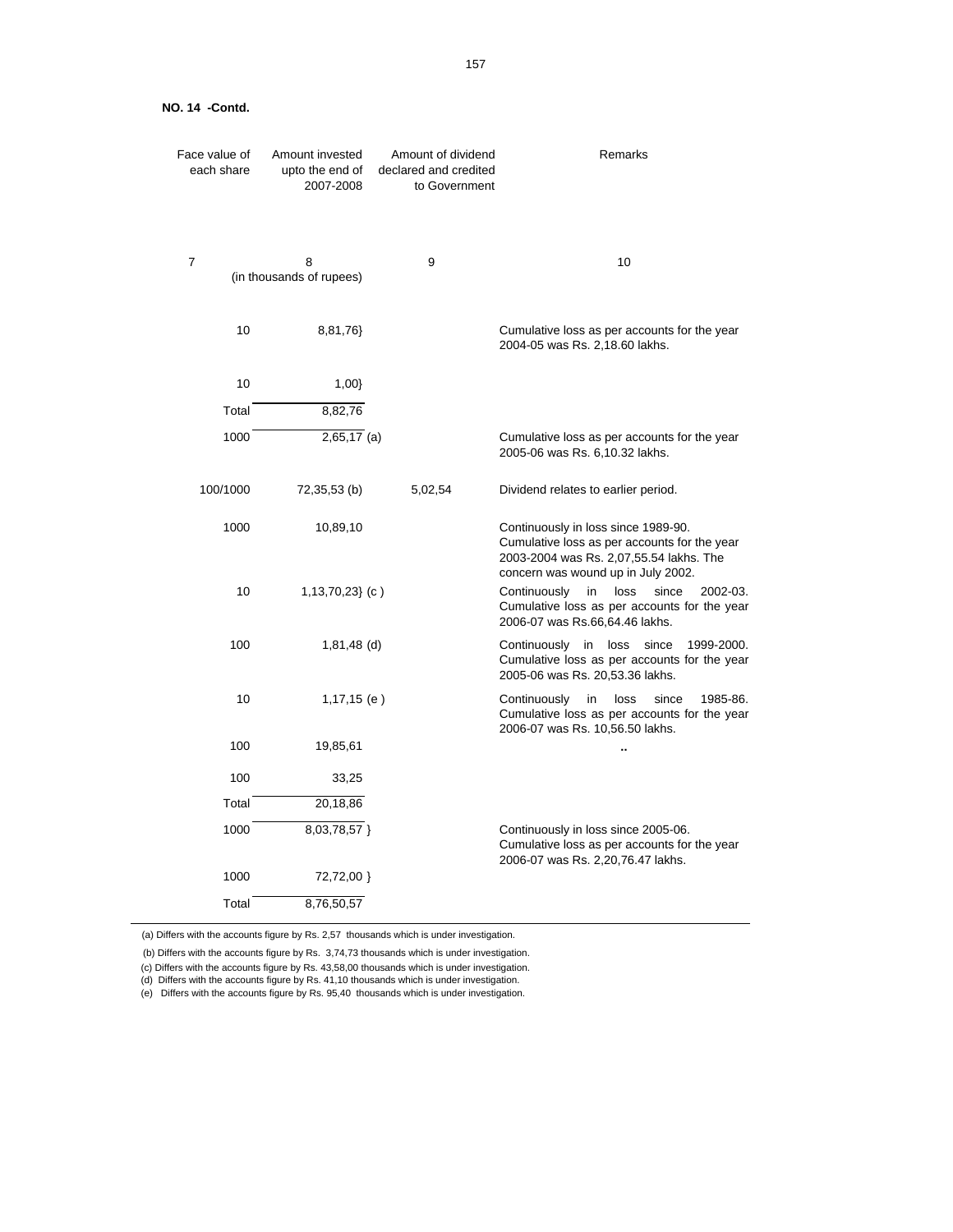#### **NO. 14 -Contd.**

| Face value of<br>each share | Amount invested<br>upto the end of<br>2007-2008 | Amount of dividend<br>declared and credited<br>to Government | Remarks                                                                                                                                                              |
|-----------------------------|-------------------------------------------------|--------------------------------------------------------------|----------------------------------------------------------------------------------------------------------------------------------------------------------------------|
| $\overline{7}$              | 8<br>(in thousands of rupees)                   | 9                                                            | 10                                                                                                                                                                   |
| 10                          | 8,81,76                                         |                                                              | Cumulative loss as per accounts for the year<br>2004-05 was Rs. 2,18.60 lakhs.                                                                                       |
| 10                          | 1,00                                            |                                                              |                                                                                                                                                                      |
| Total                       | 8,82,76                                         |                                                              |                                                                                                                                                                      |
| 1000                        | $2,65,17$ (a)                                   |                                                              | Cumulative loss as per accounts for the year<br>2005-06 was Rs. 6,10.32 lakhs.                                                                                       |
| 100/1000                    | 72,35,53 (b)                                    | 5,02,54                                                      | Dividend relates to earlier period.                                                                                                                                  |
| 1000                        | 10,89,10                                        |                                                              | Continuously in loss since 1989-90.<br>Cumulative loss as per accounts for the year<br>2003-2004 was Rs. 2,07,55.54 lakhs. The<br>concern was wound up in July 2002. |
| 10                          | $1,13,70,23$ (c)                                |                                                              | since<br>Continuously<br>in<br>loss<br>2002-03.<br>Cumulative loss as per accounts for the year<br>2006-07 was Rs.66,64.46 lakhs.                                    |
| 100                         | $1,81,48$ (d)                                   |                                                              | loss<br>since<br>1999-2000.<br>Continuously<br>in<br>Cumulative loss as per accounts for the year<br>2005-06 was Rs. 20,53.36 lakhs.                                 |
| 10                          | $1,17,15$ (e)                                   |                                                              | 1985-86.<br>Continuously<br>in<br>loss<br>since<br>Cumulative loss as per accounts for the year<br>2006-07 was Rs. 10,56.50 lakhs.                                   |
| 100                         | 19,85,61                                        |                                                              |                                                                                                                                                                      |
| 100                         | 33,25                                           |                                                              |                                                                                                                                                                      |
| Total                       | 20,18,86                                        |                                                              |                                                                                                                                                                      |
| 1000                        | $8,03,78,57$ }                                  |                                                              | Continuously in loss since 2005-06.<br>Cumulative loss as per accounts for the year<br>2006-07 was Rs. 2,20,76.47 lakhs.                                             |
| 1000                        | 72,72,00 }                                      |                                                              |                                                                                                                                                                      |
| Total                       | 8,76,50,57                                      |                                                              |                                                                                                                                                                      |

(a) Differs with the accounts figure by Rs. 2,57 thousands which is under investigation.

(b) Differs with the accounts figure by Rs. 3,74,73 thousands which is under investigation.

(c) Differs with the accounts figure by Rs. 43,58,00 thousands which is under investigation.

(d) Differs with the accounts figure by Rs. 41,10 thousands which is under investigation.

(e) Differs with the accounts figure by Rs. 95,40 thousands which is under investigation.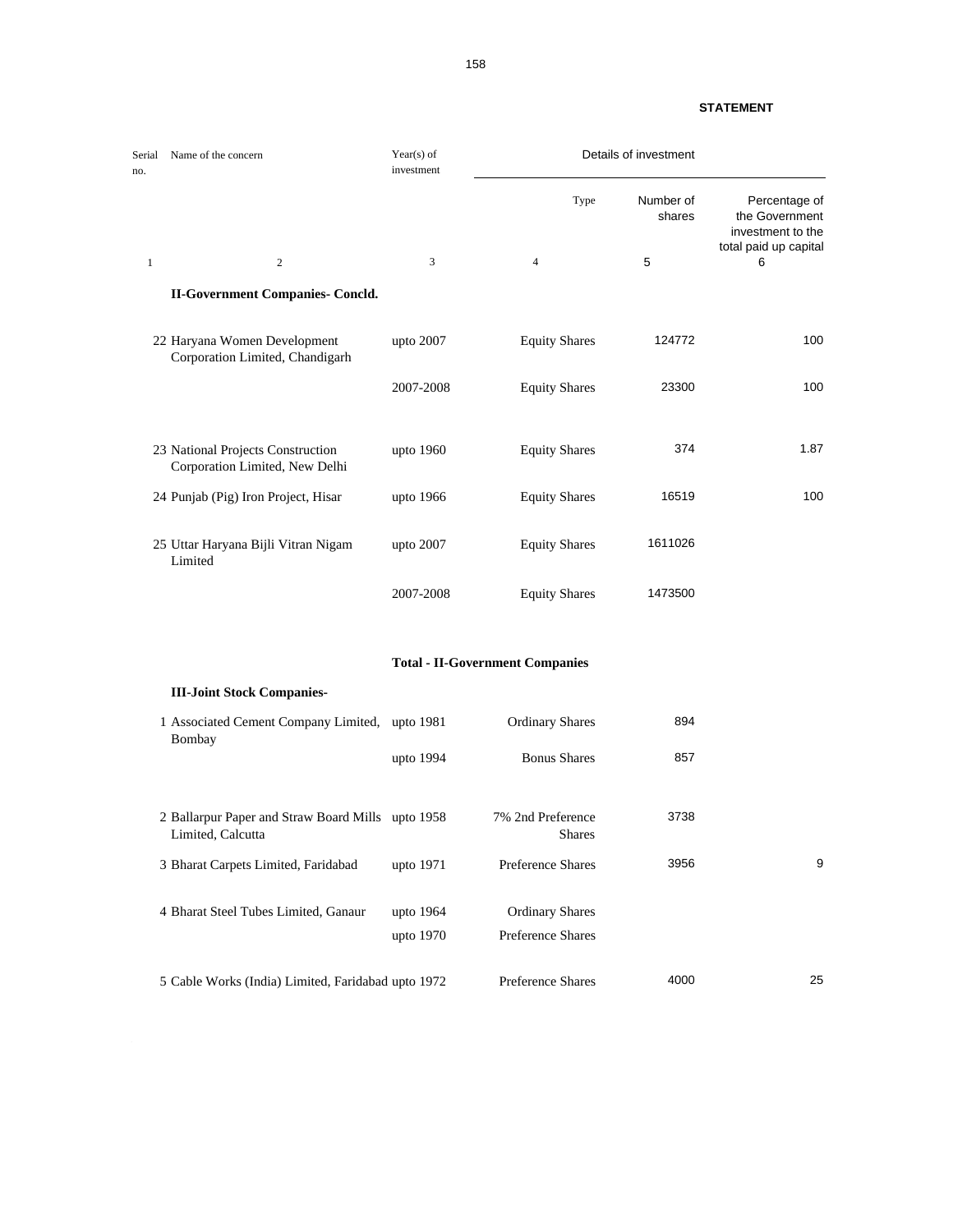| no.          | Serial Name of the concern                                             | Year(s) of<br>investment |                                        | Details of investment |                                                      |
|--------------|------------------------------------------------------------------------|--------------------------|----------------------------------------|-----------------------|------------------------------------------------------|
|              |                                                                        |                          | Type                                   | Number of<br>shares   | Percentage of<br>the Government<br>investment to the |
| $\mathbf{1}$ | $\mathbf{2}$                                                           | 3                        | $\overline{4}$                         | 5                     | total paid up capital<br>6                           |
|              | <b>II-Government Companies- Concld.</b>                                |                          |                                        |                       |                                                      |
|              | 22 Haryana Women Development<br>Corporation Limited, Chandigarh        | upto 2007                | <b>Equity Shares</b>                   | 124772                | 100                                                  |
|              |                                                                        | 2007-2008                | <b>Equity Shares</b>                   | 23300                 | 100                                                  |
|              | 23 National Projects Construction<br>Corporation Limited, New Delhi    | upto 1960                | <b>Equity Shares</b>                   | 374                   | 1.87                                                 |
|              | 24 Punjab (Pig) Iron Project, Hisar                                    | upto 1966                | <b>Equity Shares</b>                   | 16519                 | 100                                                  |
|              | 25 Uttar Haryana Bijli Vitran Nigam<br>Limited                         | upto 2007                | <b>Equity Shares</b>                   | 1611026               |                                                      |
|              |                                                                        | 2007-2008                | <b>Equity Shares</b>                   | 1473500               |                                                      |
|              |                                                                        |                          | <b>Total - II-Government Companies</b> |                       |                                                      |
|              | <b>III-Joint Stock Companies-</b>                                      |                          |                                        |                       |                                                      |
|              | 1 Associated Cement Company Limited,<br>Bombay                         | upto 1981                | <b>Ordinary Shares</b>                 | 894                   |                                                      |
|              |                                                                        | upto 1994                | <b>Bonus Shares</b>                    | 857                   |                                                      |
|              | 2 Ballarpur Paper and Straw Board Mills upto 1958<br>Limited, Calcutta |                          | 7% 2nd Preference<br><b>Shares</b>     | 3738                  |                                                      |
|              | 3 Bharat Carpets Limited, Faridabad                                    | upto 1971                | Preference Shares                      | 3956                  | 9                                                    |
|              | 4 Bharat Steel Tubes Limited, Ganaur                                   | upto 1964                | <b>Ordinary Shares</b>                 |                       |                                                      |
|              |                                                                        | upto 1970                | Preference Shares                      |                       |                                                      |
|              | 5 Cable Works (India) Limited, Faridabad upto 1972                     |                          | Preference Shares                      | 4000                  | 25                                                   |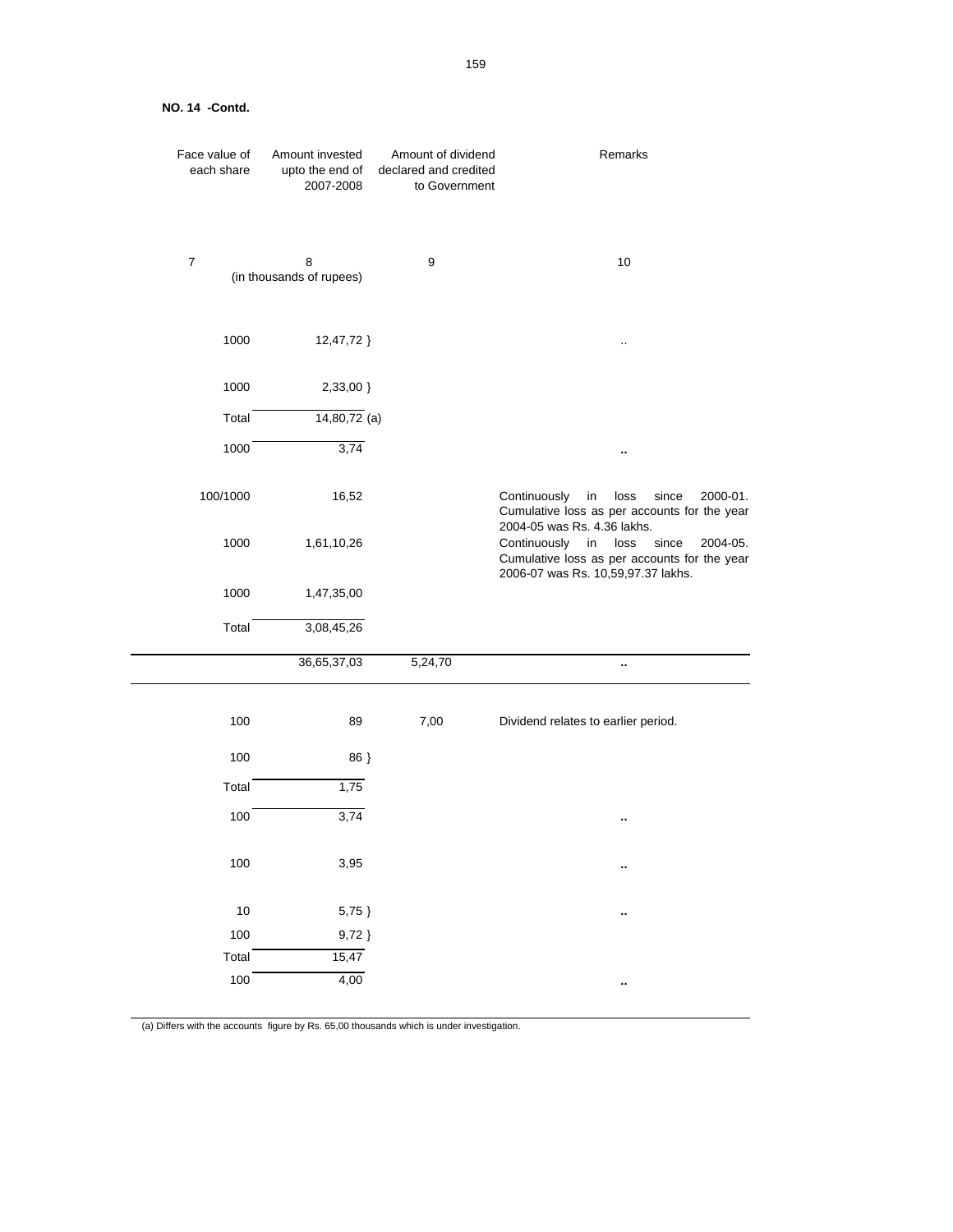| Face value of<br>each share | Amount invested<br>upto the end of<br>2007-2008 | Amount of dividend<br>declared and credited<br>to Government | Remarks                                                                                                                               |
|-----------------------------|-------------------------------------------------|--------------------------------------------------------------|---------------------------------------------------------------------------------------------------------------------------------------|
| $\overline{\mathcal{I}}$    | 8<br>(in thousands of rupees)                   | 9                                                            | 10                                                                                                                                    |
| 1000                        | 12,47,72 }                                      |                                                              |                                                                                                                                       |
| 1000                        | 2,33,00 }                                       |                                                              |                                                                                                                                       |
| Total                       | $\overline{14,80,72}$ (a)                       |                                                              |                                                                                                                                       |
| 1000                        | 3,74                                            |                                                              | ٠.                                                                                                                                    |
| 100/1000                    | 16,52                                           |                                                              | Continuously<br>in<br>loss<br>since<br>2000-01.<br>Cumulative loss as per accounts for the year<br>2004-05 was Rs. 4.36 lakhs.        |
| 1000                        | 1,61,10,26                                      |                                                              | Continuously<br>in<br>loss<br>since<br>2004-05.<br>Cumulative loss as per accounts for the year<br>2006-07 was Rs. 10,59,97.37 lakhs. |
| 1000                        | 1,47,35,00                                      |                                                              |                                                                                                                                       |
| Total                       | 3,08,45,26                                      |                                                              |                                                                                                                                       |
|                             | 36,65,37,03                                     | 5,24,70                                                      | .,                                                                                                                                    |
| 100                         | 89                                              | 7,00                                                         | Dividend relates to earlier period.                                                                                                   |
| 100                         | 86 }                                            |                                                              |                                                                                                                                       |
| Total                       | 1,75                                            |                                                              |                                                                                                                                       |
| 100                         | 3,74                                            |                                                              | .,                                                                                                                                    |
| 100                         | 3,95                                            |                                                              | ٠.                                                                                                                                    |
| 10                          | $5,75$ }                                        |                                                              |                                                                                                                                       |
| 100                         | $9,72$ }                                        |                                                              |                                                                                                                                       |
| Total                       | 15,47                                           |                                                              |                                                                                                                                       |
| 100                         | 4,00                                            |                                                              | .,                                                                                                                                    |

(a) Differs with the accounts figure by Rs. 65,00 thousands which is under investigation.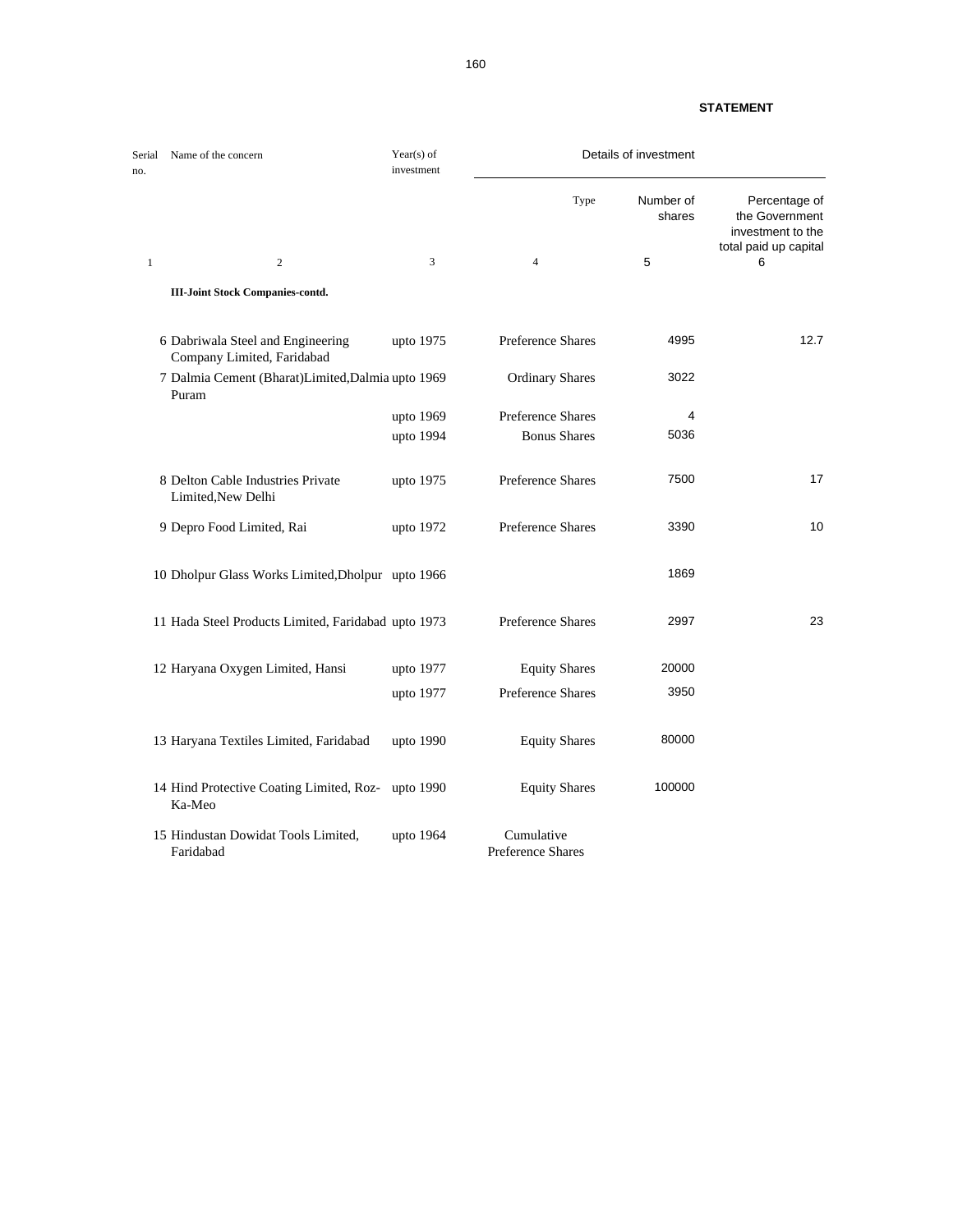| Serial<br>Name of the concern<br>no. |                                                                 | Year(s) of<br>investment |                                 | Details of investment |                                                      |
|--------------------------------------|-----------------------------------------------------------------|--------------------------|---------------------------------|-----------------------|------------------------------------------------------|
|                                      |                                                                 |                          | Type                            | Number of<br>shares   | Percentage of<br>the Government<br>investment to the |
| 1                                    | $\overline{c}$                                                  | 3                        | $\overline{4}$                  | 5                     | total paid up capital<br>6                           |
|                                      | <b>III-Joint Stock Companies-contd.</b>                         |                          |                                 |                       |                                                      |
|                                      | 6 Dabriwala Steel and Engineering<br>Company Limited, Faridabad | upto 1975                | <b>Preference Shares</b>        | 4995                  | 12.7                                                 |
|                                      | 7 Dalmia Cement (Bharat)Limited,Dalmia upto 1969<br>Puram       |                          | <b>Ordinary Shares</b>          | 3022                  |                                                      |
|                                      |                                                                 | upto 1969                | Preference Shares               | 4                     |                                                      |
|                                      |                                                                 | upto 1994                | <b>Bonus Shares</b>             | 5036                  |                                                      |
|                                      | 8 Delton Cable Industries Private<br>Limited, New Delhi         | upto 1975                | Preference Shares               | 7500                  | 17                                                   |
|                                      | 9 Depro Food Limited, Rai                                       | upto 1972                | Preference Shares               | 3390                  | 10                                                   |
|                                      | 10 Dholpur Glass Works Limited, Dholpur upto 1966               |                          |                                 | 1869                  |                                                      |
|                                      | 11 Hada Steel Products Limited, Faridabad upto 1973             |                          | Preference Shares               | 2997                  | 23                                                   |
|                                      | 12 Haryana Oxygen Limited, Hansi                                | upto 1977                | <b>Equity Shares</b>            | 20000                 |                                                      |
|                                      |                                                                 | upto 1977                | <b>Preference Shares</b>        | 3950                  |                                                      |
|                                      | 13 Haryana Textiles Limited, Faridabad                          | upto 1990                | <b>Equity Shares</b>            | 80000                 |                                                      |
|                                      | 14 Hind Protective Coating Limited, Roz-<br>Ka-Meo              | upto $1990$              | <b>Equity Shares</b>            | 100000                |                                                      |
|                                      | 15 Hindustan Dowidat Tools Limited,<br>Faridabad                | upto 1964                | Cumulative<br>Preference Shares |                       |                                                      |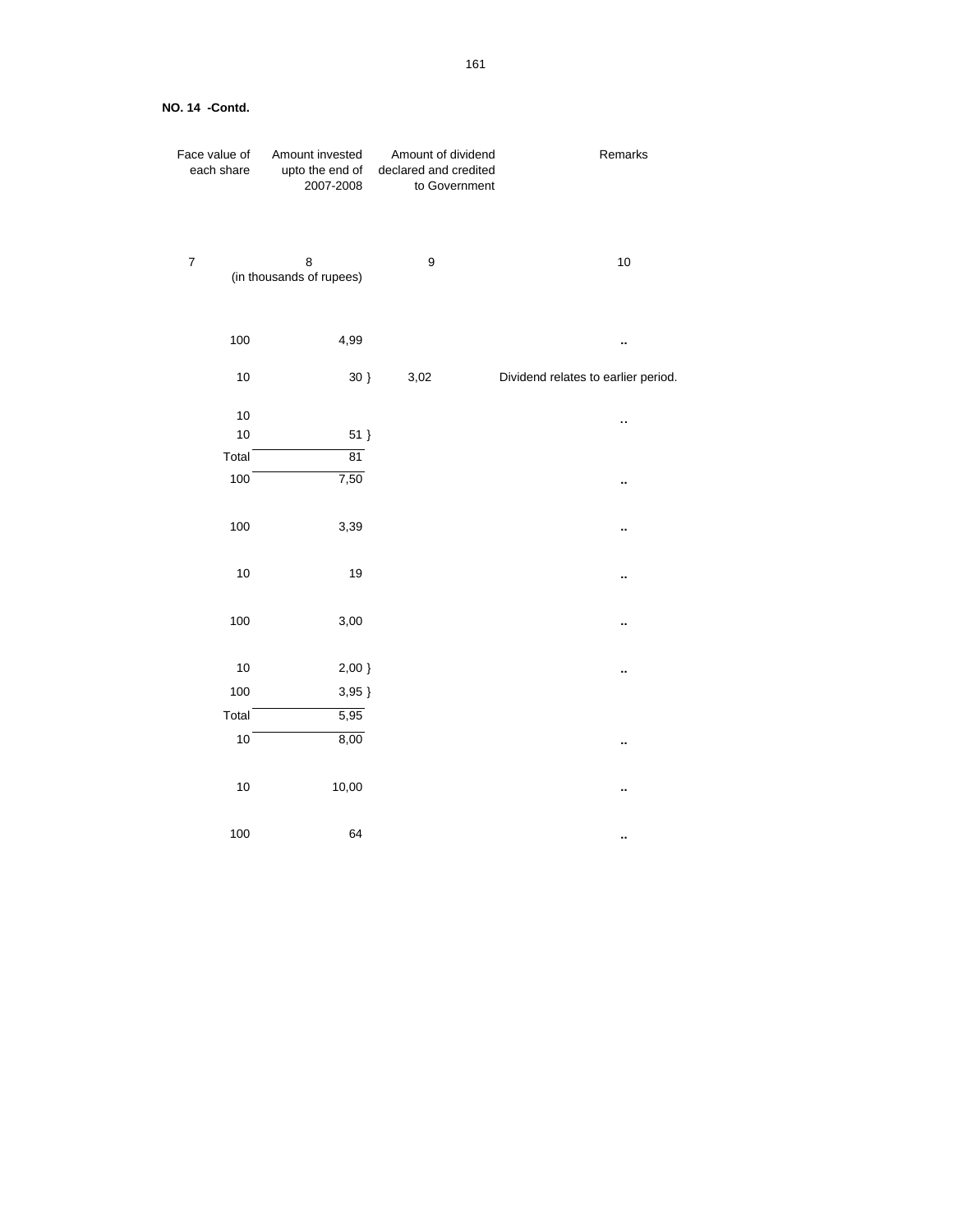| Face value of<br>each share | Amount invested<br>upto the end of<br>2007-2008 | Amount of dividend<br>declared and credited<br>to Government | Remarks                             |
|-----------------------------|-------------------------------------------------|--------------------------------------------------------------|-------------------------------------|
| $\overline{7}$              | 8<br>(in thousands of rupees)                   | $\boldsymbol{9}$                                             | 10                                  |
| 100                         | 4,99                                            |                                                              | .,                                  |
| $10$                        | $30$ }                                          | 3,02                                                         | Dividend relates to earlier period. |
| 10<br>$10$                  | $51 \}$                                         |                                                              | ٠.                                  |
| Total                       | 81                                              |                                                              |                                     |
| 100                         | 7,50                                            |                                                              | .,                                  |
| 100                         | 3,39                                            |                                                              |                                     |
| 10                          | 19                                              |                                                              | ٠.                                  |
| 100                         | 3,00                                            |                                                              | ٠.                                  |
| 10                          | $2,00$ }                                        |                                                              | .,                                  |
| 100                         | $3,95$ }                                        |                                                              |                                     |
| Total                       | 5,95                                            |                                                              |                                     |
| 10                          | 8,00                                            |                                                              | ٠.                                  |
| $10$                        | 10,00                                           |                                                              | ٠.                                  |
| 100                         | 64                                              |                                                              | .,                                  |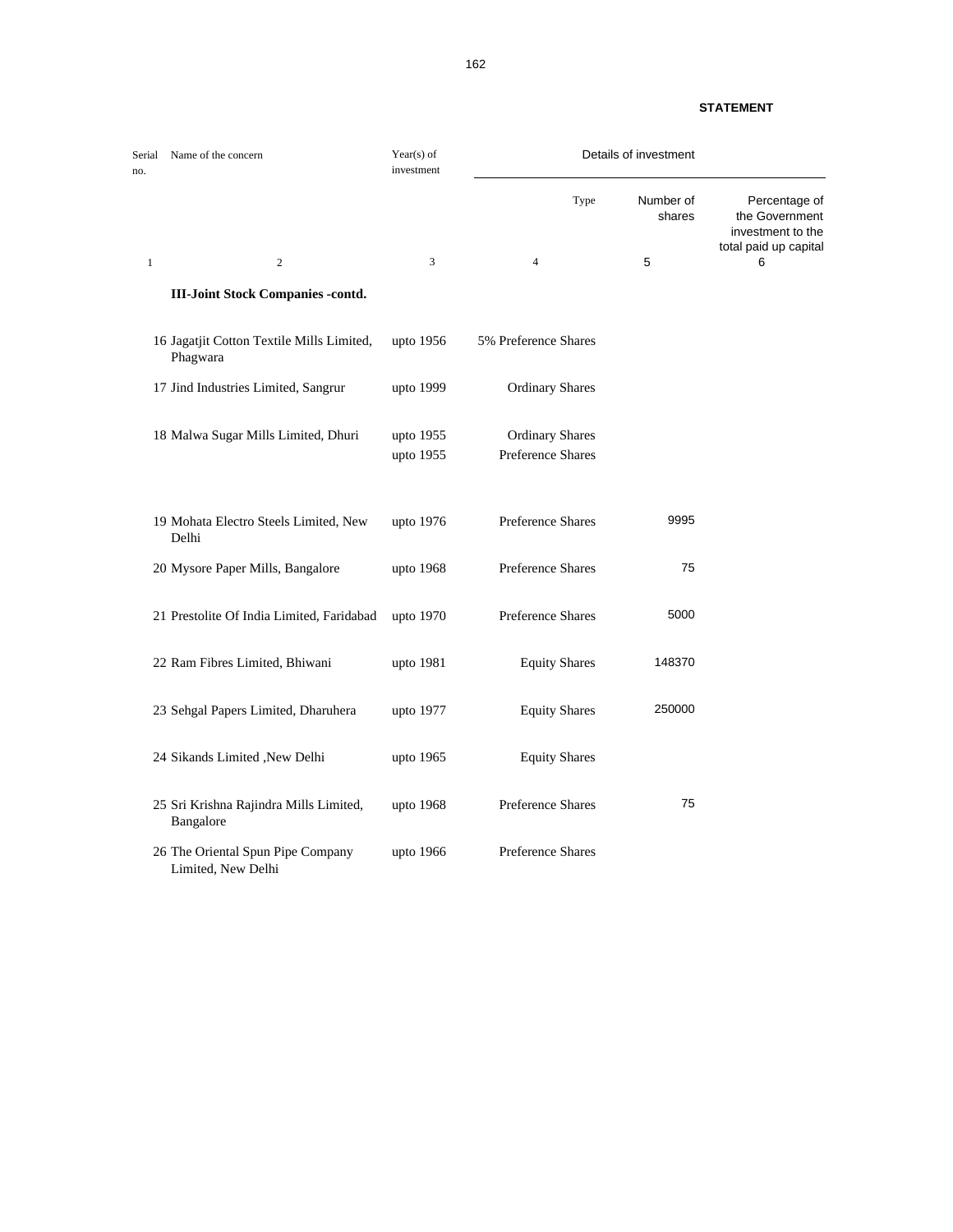| Serial<br>no. | Name of the concern                                     | Year(s) of<br>investment | Details of investment                       |                     |                                                                               |
|---------------|---------------------------------------------------------|--------------------------|---------------------------------------------|---------------------|-------------------------------------------------------------------------------|
|               |                                                         |                          | Type                                        | Number of<br>shares | Percentage of<br>the Government<br>investment to the<br>total paid up capital |
| $\mathbf{1}$  | 2                                                       | 3                        | $\overline{4}$                              | 5                   | 6                                                                             |
|               | <b>III-Joint Stock Companies -contd.</b>                |                          |                                             |                     |                                                                               |
|               | 16 Jagatjit Cotton Textile Mills Limited,<br>Phagwara   | upto 1956                | 5% Preference Shares                        |                     |                                                                               |
|               | 17 Jind Industries Limited, Sangrur                     | upto 1999                | <b>Ordinary Shares</b>                      |                     |                                                                               |
|               | 18 Malwa Sugar Mills Limited, Dhuri                     | upto 1955<br>upto 1955   | <b>Ordinary Shares</b><br>Preference Shares |                     |                                                                               |
|               | 19 Mohata Electro Steels Limited, New<br>Delhi          | upto 1976                | Preference Shares                           | 9995                |                                                                               |
|               | 20 Mysore Paper Mills, Bangalore                        | upto 1968                | Preference Shares                           | 75                  |                                                                               |
|               | 21 Prestolite Of India Limited, Faridabad               | upto 1970                | Preference Shares                           | 5000                |                                                                               |
|               | 22 Ram Fibres Limited, Bhiwani                          | upto 1981                | <b>Equity Shares</b>                        | 148370              |                                                                               |
|               | 23 Sehgal Papers Limited, Dharuhera                     | upto 1977                | <b>Equity Shares</b>                        | 250000              |                                                                               |
|               | 24 Sikands Limited , New Delhi                          | upto 1965                | <b>Equity Shares</b>                        |                     |                                                                               |
|               | 25 Sri Krishna Rajindra Mills Limited,<br>Bangalore     | upto 1968                | Preference Shares                           | 75                  |                                                                               |
|               | 26 The Oriental Spun Pipe Company<br>Limited, New Delhi | upto 1966                | Preference Shares                           |                     |                                                                               |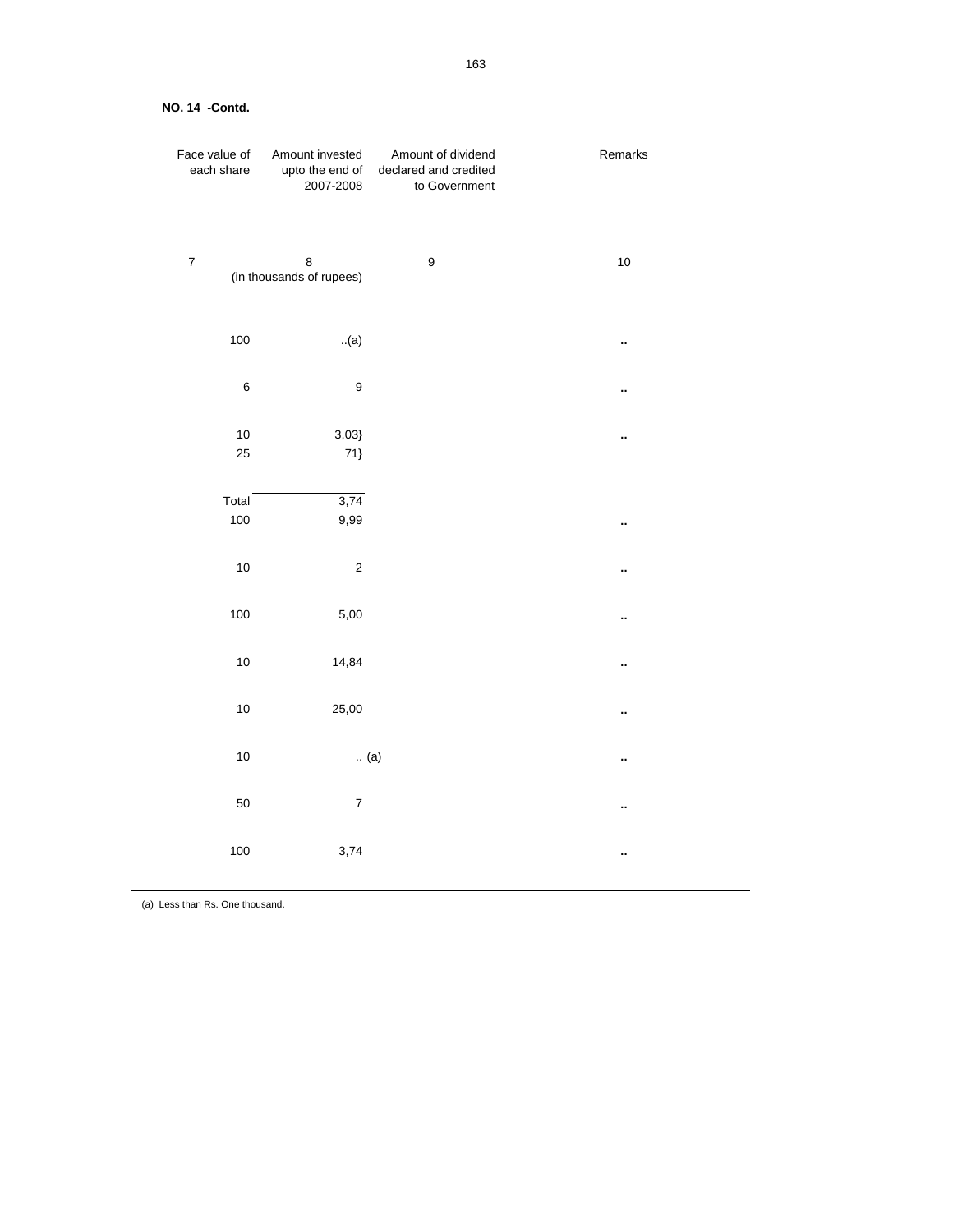| Face value of<br>each share | Amount invested<br>upto the end of<br>2007-2008 | Amount of dividend<br>declared and credited<br>to Government | Remarks |
|-----------------------------|-------------------------------------------------|--------------------------------------------------------------|---------|
| $\overline{\mathbf{7}}$     | 8<br>(in thousands of rupees)                   | $\boldsymbol{9}$                                             | 10      |
| 100                         | (a)                                             |                                                              | .,      |
| $\,$ 6 $\,$                 | $\boldsymbol{9}$                                |                                                              | .,      |
| $10\,$<br>25                | $3,03\}$<br>71                                  |                                                              | .,      |
| Total<br>100                | 3,74<br>9,99                                    |                                                              | .,      |
| $10$                        | $\boldsymbol{2}$                                |                                                              | ٠.      |
| 100                         | 5,00                                            |                                                              |         |
| $10$                        | 14,84                                           |                                                              |         |
| $10$                        | 25,00                                           |                                                              | .,      |
| $10$                        | (a)                                             |                                                              | ٠.      |
| 50                          | $\overline{\mathbf{7}}$                         |                                                              |         |
| 100                         | 3,74                                            |                                                              | .,      |

(a) Less than Rs. One thousand.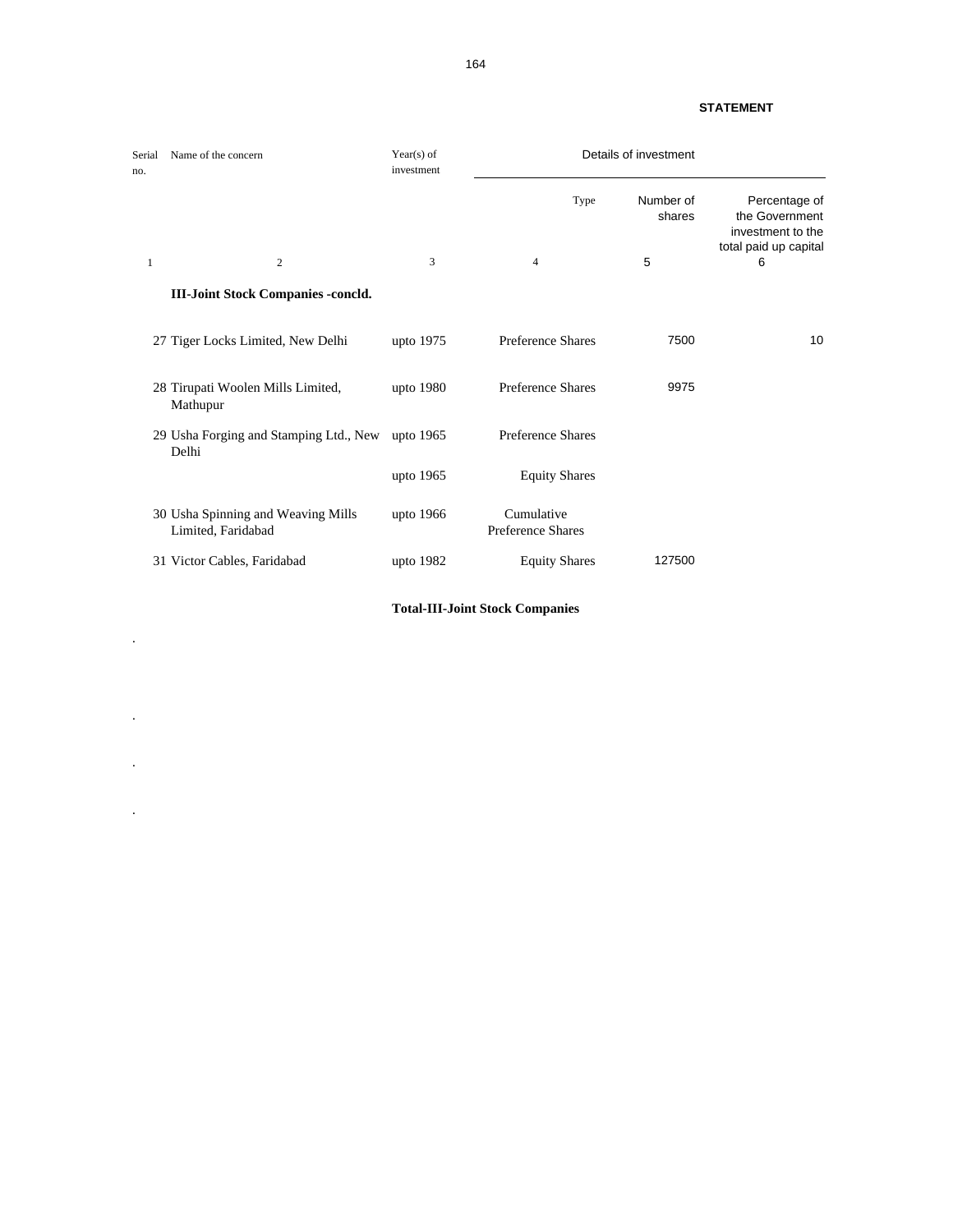|                                                                               | Details of investment |                                 | Year(s) of<br>investment | Serial<br>Name of the concern<br>no.                     |   |
|-------------------------------------------------------------------------------|-----------------------|---------------------------------|--------------------------|----------------------------------------------------------|---|
| Percentage of<br>the Government<br>investment to the<br>total paid up capital | Number of<br>shares   | Type                            |                          |                                                          |   |
| 6                                                                             | 5                     | $\overline{4}$                  | 3                        | 2                                                        | 1 |
|                                                                               |                       |                                 |                          | <b>III-Joint Stock Companies -concld.</b>                |   |
| 10                                                                            | 7500                  | Preference Shares               | upto 1975                | 27 Tiger Locks Limited, New Delhi                        |   |
|                                                                               | 9975                  | Preference Shares               | upto $1980$              | 28 Tirupati Woolen Mills Limited,<br>Mathupur            |   |
|                                                                               |                       | Preference Shares               | upto 1965                | 29 Usha Forging and Stamping Ltd., New<br>Delhi          |   |
|                                                                               |                       | <b>Equity Shares</b>            | upto 1965                |                                                          |   |
|                                                                               |                       | Cumulative<br>Preference Shares | upto 1966                | 30 Usha Spinning and Weaving Mills<br>Limited, Faridabad |   |
|                                                                               | 127500                | <b>Equity Shares</b>            | upto 1982                | 31 Victor Cables, Faridabad                              |   |

**Total-III-Joint Stock Companies**

*.*

*.*

*.*

*.*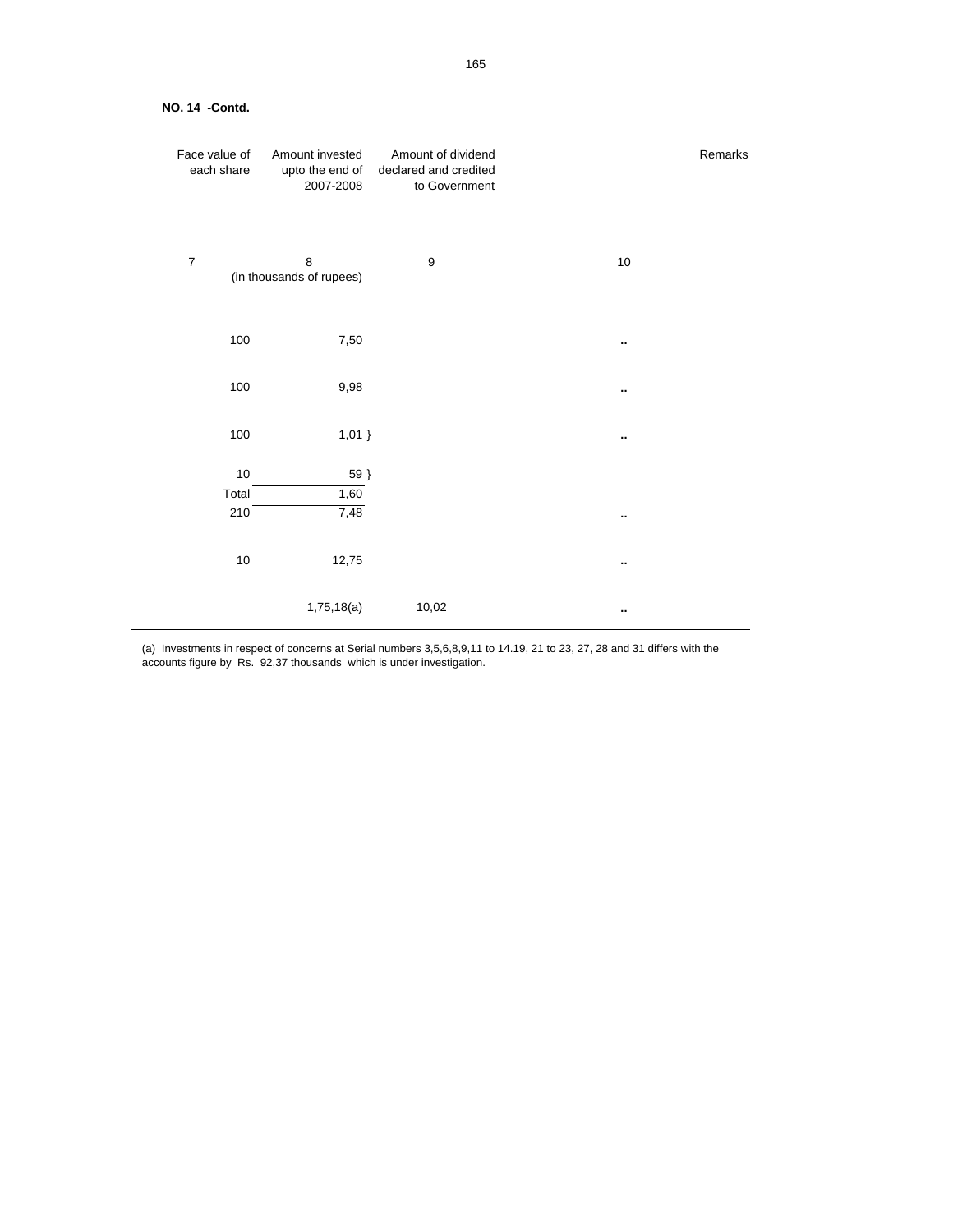## **NO. 14 -Contd.**

| Face value of<br>each share | Amount invested<br>upto the end of<br>2007-2008 | Amount of dividend<br>declared and credited<br>to Government | Remarks   |
|-----------------------------|-------------------------------------------------|--------------------------------------------------------------|-----------|
| $\overline{\mathcal{I}}$    | 8<br>(in thousands of rupees)                   | $\boldsymbol{9}$                                             | $10$      |
| 100                         | 7,50                                            |                                                              | ٠.        |
| 100                         | 9,98                                            |                                                              | $\bullet$ |
| 100                         | $1,01$ }                                        |                                                              | .,        |
| $10$                        | 59 }                                            |                                                              |           |
| Total                       | 1,60                                            |                                                              |           |
| 210                         | 7,48                                            |                                                              |           |
| $10$                        | 12,75                                           |                                                              | ٠.        |
|                             | 1,75,18(a)                                      | 10,02                                                        | .,        |

(a) Investments in respect of concerns at Serial numbers 3,5,6,8,9,11 to 14.19, 21 to 23, 27, 28 and 31 differs with the accounts figure by Rs. 92,37 thousands which is under investigation.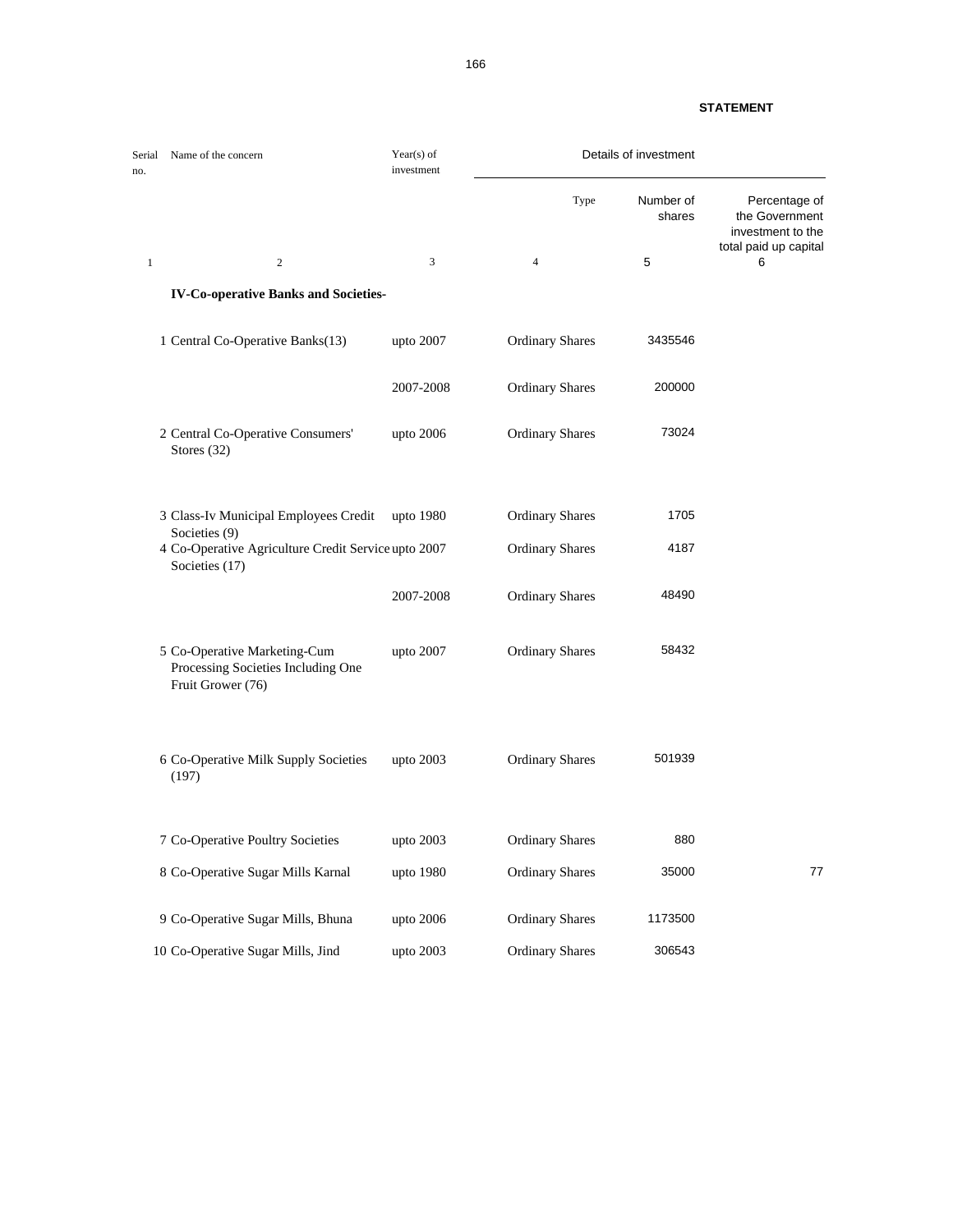| Serial<br>no. | Name of the concern                                                                     | Year(s) of<br>Details of investment<br>investment |                        |                     |                                                      |  |
|---------------|-----------------------------------------------------------------------------------------|---------------------------------------------------|------------------------|---------------------|------------------------------------------------------|--|
|               |                                                                                         |                                                   | Type                   | Number of<br>shares | Percentage of<br>the Government<br>investment to the |  |
| $\mathbf{1}$  | $\sqrt{2}$                                                                              | 3                                                 | $\overline{4}$         | 5                   | total paid up capital<br>6                           |  |
|               | <b>IV-Co-operative Banks and Societies-</b>                                             |                                                   |                        |                     |                                                      |  |
|               | 1 Central Co-Operative Banks(13)                                                        | upto 2007                                         | <b>Ordinary Shares</b> | 3435546             |                                                      |  |
|               |                                                                                         | 2007-2008                                         | <b>Ordinary Shares</b> | 200000              |                                                      |  |
|               | 2 Central Co-Operative Consumers'<br>Stores (32)                                        | upto 2006                                         | <b>Ordinary Shares</b> | 73024               |                                                      |  |
|               | 3 Class-Iv Municipal Employees Credit<br>Societies (9)                                  | upto 1980                                         | <b>Ordinary Shares</b> | 1705                |                                                      |  |
|               | 4 Co-Operative Agriculture Credit Service upto 2007<br>Societies (17)                   |                                                   | <b>Ordinary Shares</b> | 4187                |                                                      |  |
|               |                                                                                         | 2007-2008                                         | <b>Ordinary Shares</b> | 48490               |                                                      |  |
|               | 5 Co-Operative Marketing-Cum<br>Processing Societies Including One<br>Fruit Grower (76) | upto 2007                                         | <b>Ordinary Shares</b> | 58432               |                                                      |  |
|               | 6 Co-Operative Milk Supply Societies<br>(197)                                           | upto 2003                                         | <b>Ordinary Shares</b> | 501939              |                                                      |  |
|               | 7 Co-Operative Poultry Societies                                                        | upto 2003                                         | <b>Ordinary Shares</b> | 880                 |                                                      |  |
|               | 8 Co-Operative Sugar Mills Karnal                                                       | upto 1980                                         | <b>Ordinary Shares</b> | 35000               | 77                                                   |  |
|               | 9 Co-Operative Sugar Mills, Bhuna                                                       | upto 2006                                         | <b>Ordinary Shares</b> | 1173500             |                                                      |  |
|               | 10 Co-Operative Sugar Mills, Jind                                                       | upto 2003                                         | <b>Ordinary Shares</b> | 306543              |                                                      |  |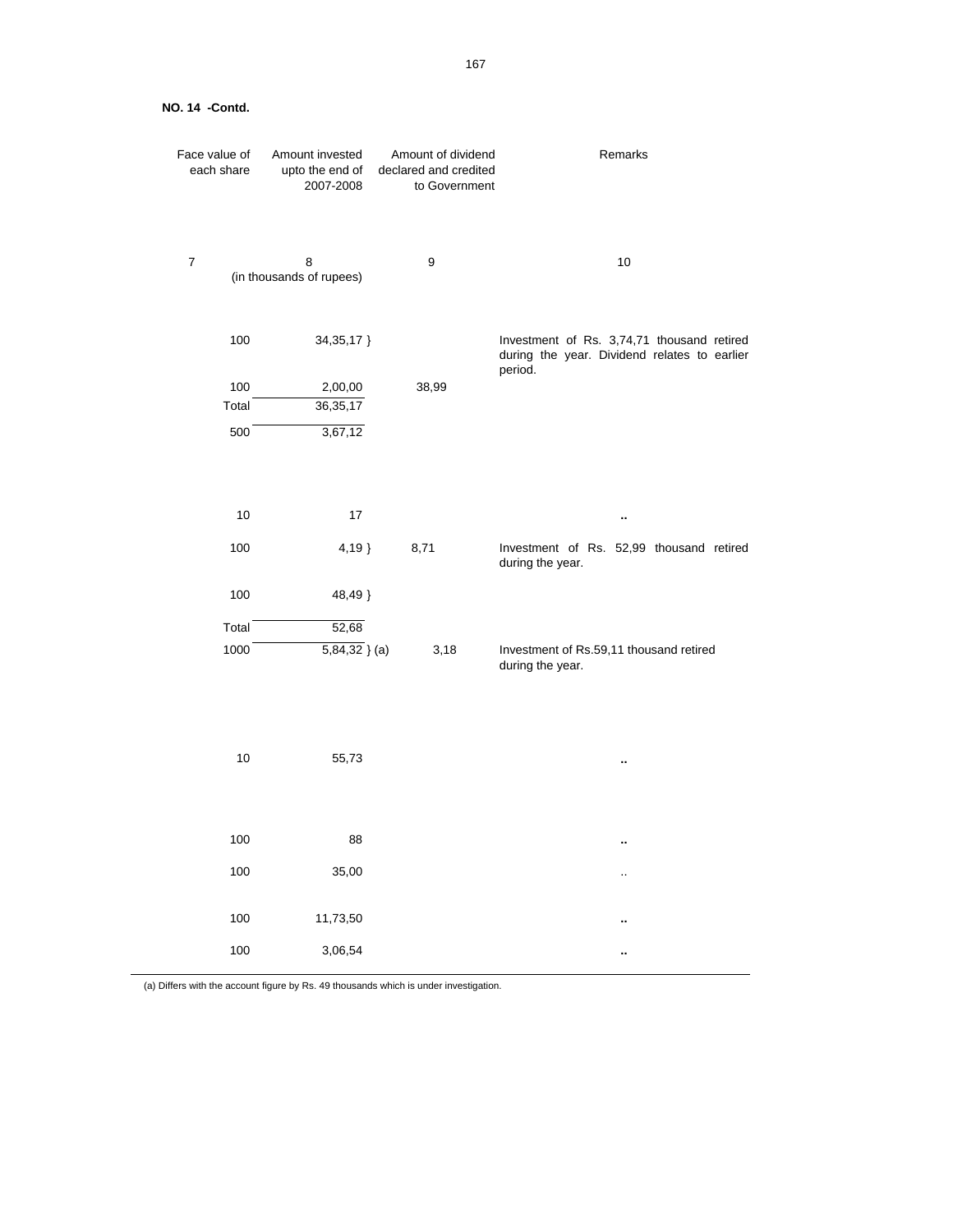## **NO. 14 -Contd.**

| Face value of<br>each share | Amount invested<br>upto the end of<br>2007-2008 | Amount of dividend<br>declared and credited<br>to Government | Remarks                                                                                               |
|-----------------------------|-------------------------------------------------|--------------------------------------------------------------|-------------------------------------------------------------------------------------------------------|
| $\boldsymbol{7}$            | 8<br>(in thousands of rupees)                   | $\boldsymbol{9}$                                             | 10                                                                                                    |
| 100                         | 34, 35, 17 }                                    |                                                              | Investment of Rs. 3,74,71 thousand retired<br>during the year. Dividend relates to earlier<br>period. |
| 100                         | 2,00,00                                         | 38,99                                                        |                                                                                                       |
| Total                       | 36,35,17                                        |                                                              |                                                                                                       |
| 500                         | 3,67,12                                         |                                                              |                                                                                                       |
| 10                          | 17                                              |                                                              |                                                                                                       |
| 100                         | $4,19$ }                                        | 8,71                                                         | Investment of Rs. 52,99 thousand retired<br>during the year.                                          |
| 100                         | 48,49 }                                         |                                                              |                                                                                                       |
| Total                       | 52,68                                           |                                                              |                                                                                                       |
| 1000                        | $5,84,32$ } (a)                                 | 3,18                                                         | Investment of Rs.59,11 thousand retired<br>during the year.                                           |
| $10$                        | 55,73                                           |                                                              | .,                                                                                                    |
| 100                         | 88                                              |                                                              |                                                                                                       |
| 100                         | 35,00                                           |                                                              | $\ddot{\phantom{0}}$                                                                                  |
| 100                         | 11,73,50                                        |                                                              |                                                                                                       |
| 100                         | 3,06,54                                         |                                                              | .,                                                                                                    |

(a) Differs with the account figure by Rs. 49 thousands which is under investigation.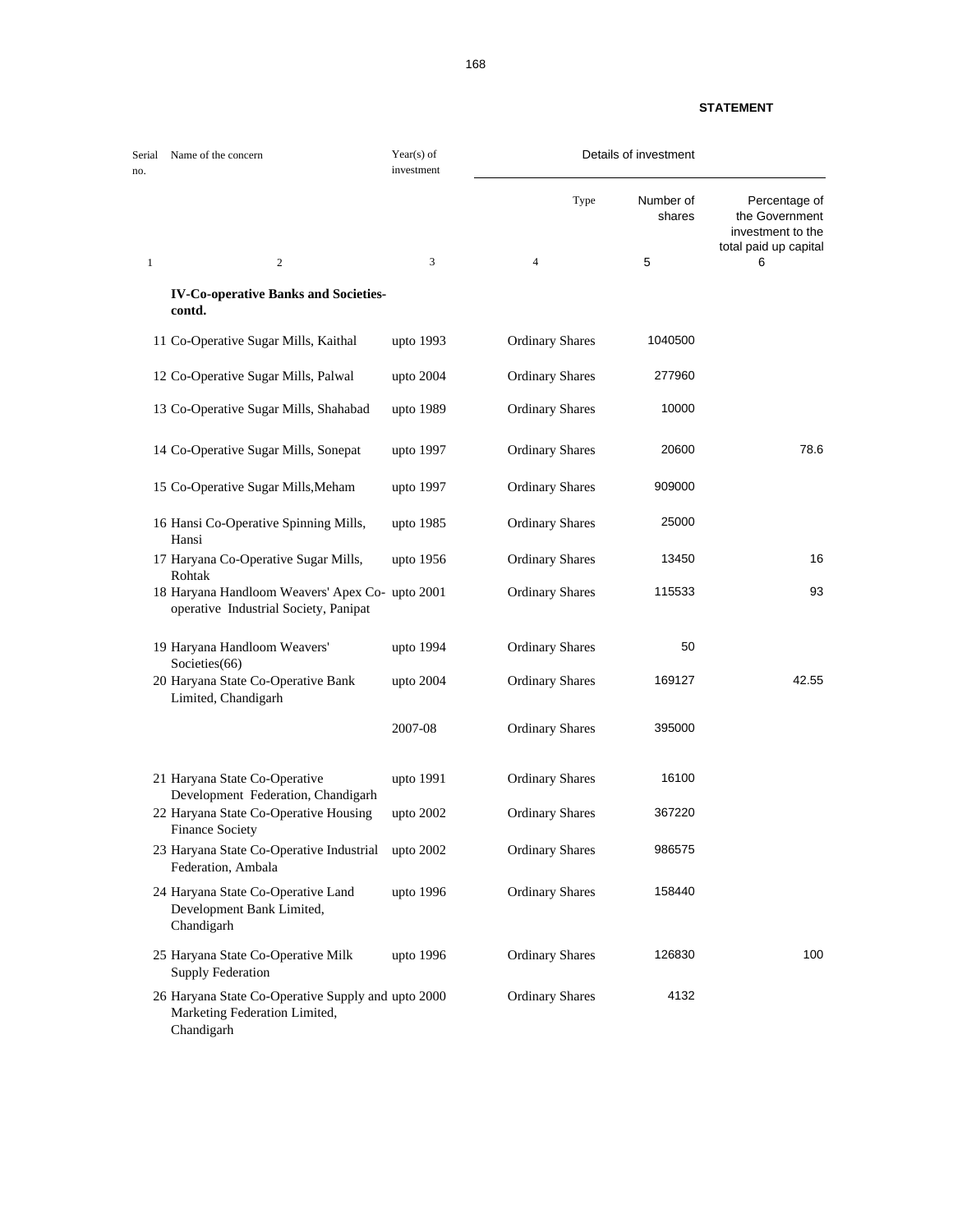| no.          | Serial Name of the concern                                                                            | Year(s) of<br>investment |                        | Details of investment |                                                      |
|--------------|-------------------------------------------------------------------------------------------------------|--------------------------|------------------------|-----------------------|------------------------------------------------------|
|              |                                                                                                       |                          | Type                   | Number of<br>shares   | Percentage of<br>the Government<br>investment to the |
| $\mathbf{1}$ | $\overline{c}$                                                                                        | 3                        | $\overline{4}$         | 5                     | total paid up capital<br>6                           |
|              | <b>IV-Co-operative Banks and Societies-</b><br>contd.                                                 |                          |                        |                       |                                                      |
|              | 11 Co-Operative Sugar Mills, Kaithal                                                                  | upto 1993                | <b>Ordinary Shares</b> | 1040500               |                                                      |
|              | 12 Co-Operative Sugar Mills, Palwal                                                                   | upto 2004                | <b>Ordinary Shares</b> | 277960                |                                                      |
|              | 13 Co-Operative Sugar Mills, Shahabad                                                                 | upto 1989                | <b>Ordinary Shares</b> | 10000                 |                                                      |
|              | 14 Co-Operative Sugar Mills, Sonepat                                                                  | upto 1997                | <b>Ordinary Shares</b> | 20600                 | 78.6                                                 |
|              | 15 Co-Operative Sugar Mills, Meham                                                                    | upto 1997                | <b>Ordinary Shares</b> | 909000                |                                                      |
|              | 16 Hansi Co-Operative Spinning Mills,<br>Hansi                                                        | upto 1985                | <b>Ordinary Shares</b> | 25000                 |                                                      |
|              | 17 Haryana Co-Operative Sugar Mills,<br>Rohtak                                                        | upto 1956                | <b>Ordinary Shares</b> | 13450                 | 16                                                   |
|              | 18 Haryana Handloom Weavers' Apex Co- upto 2001<br>operative Industrial Society, Panipat              |                          | <b>Ordinary Shares</b> | 115533                | 93                                                   |
|              | 19 Haryana Handloom Weavers'                                                                          | upto 1994                | <b>Ordinary Shares</b> | 50                    |                                                      |
|              | Societies(66)<br>20 Haryana State Co-Operative Bank<br>Limited, Chandigarh                            | upto 2004                | <b>Ordinary Shares</b> | 169127                | 42.55                                                |
|              |                                                                                                       | 2007-08                  | <b>Ordinary Shares</b> | 395000                |                                                      |
|              | 21 Haryana State Co-Operative                                                                         | upto 1991                | <b>Ordinary Shares</b> | 16100                 |                                                      |
|              | Development Federation, Chandigarh<br>22 Haryana State Co-Operative Housing<br><b>Finance Society</b> | upto 2002                | <b>Ordinary Shares</b> | 367220                |                                                      |
|              | 23 Haryana State Co-Operative Industrial<br>Federation, Ambala                                        | upto 2002                | <b>Ordinary Shares</b> | 986575                |                                                      |
|              | 24 Haryana State Co-Operative Land<br>Development Bank Limited,<br>Chandigarh                         | upto 1996                | <b>Ordinary Shares</b> | 158440                |                                                      |
|              | 25 Haryana State Co-Operative Milk<br>Supply Federation                                               | upto 1996                | <b>Ordinary Shares</b> | 126830                | 100                                                  |
|              | 26 Haryana State Co-Operative Supply and upto 2000<br>Marketing Federation Limited,<br>Chandigarh     |                          | <b>Ordinary Shares</b> | 4132                  |                                                      |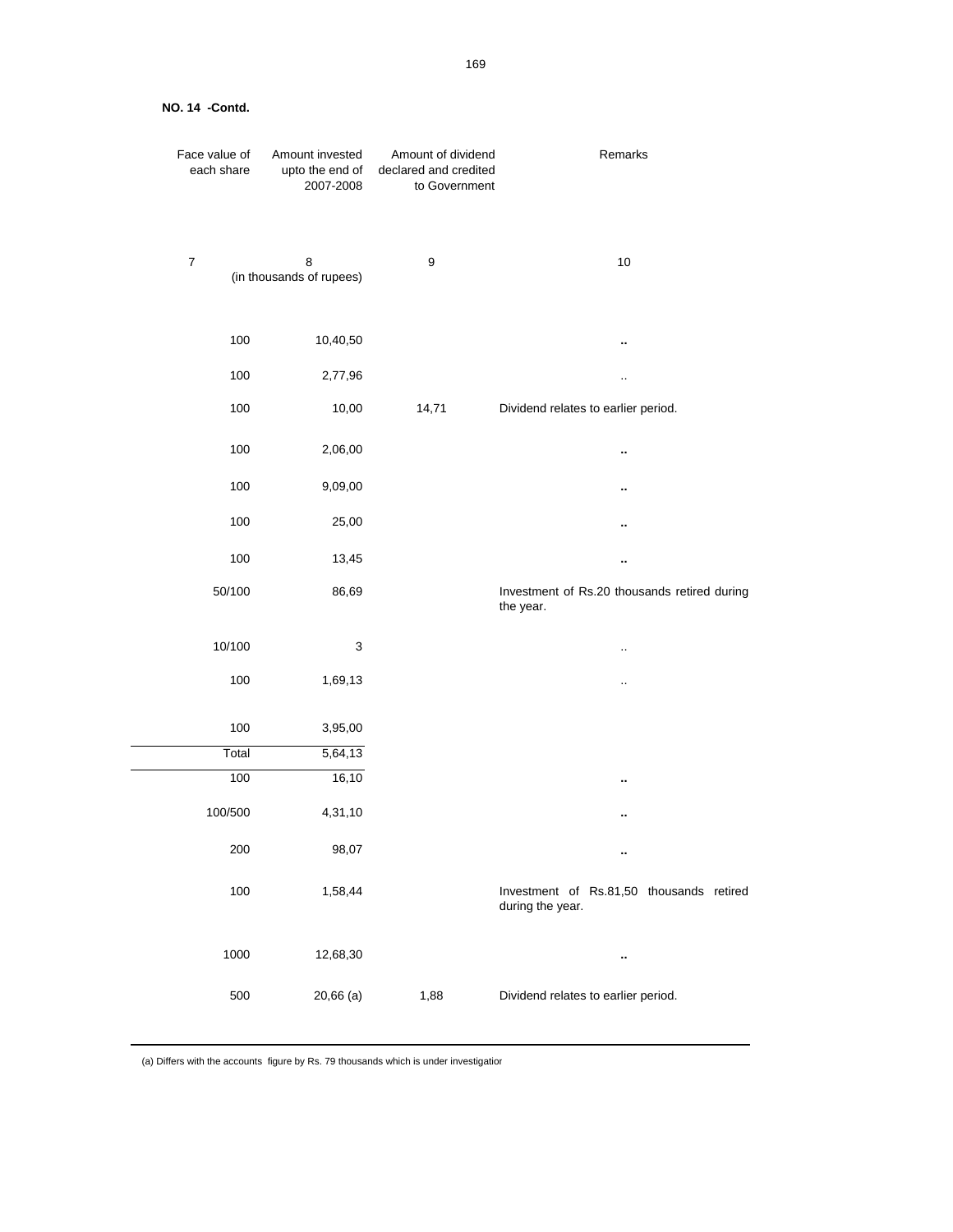| Face value of<br>each share | Amount invested<br>upto the end of<br>2007-2008 | Amount of dividend<br>declared and credited<br>to Government | Remarks                                                         |
|-----------------------------|-------------------------------------------------|--------------------------------------------------------------|-----------------------------------------------------------------|
| $\boldsymbol{7}$            | 8<br>(in thousands of rupees)                   | $\boldsymbol{9}$                                             | 10                                                              |
| 100                         | 10,40,50                                        |                                                              | ٠.                                                              |
| 100                         | 2,77,96                                         |                                                              |                                                                 |
| 100                         | 10,00                                           | 14,71                                                        | Dividend relates to earlier period.                             |
| 100                         | 2,06,00                                         |                                                              | ٠.                                                              |
| 100                         | 9,09,00                                         |                                                              | ٠.                                                              |
| 100                         | 25,00                                           |                                                              | .,                                                              |
| 100                         | 13,45                                           |                                                              |                                                                 |
| 50/100                      | 86,69                                           |                                                              | .,<br>Investment of Rs.20 thousands retired during<br>the year. |
| 10/100                      | $\ensuremath{\mathsf{3}}$                       |                                                              |                                                                 |
| 100                         | 1,69,13                                         |                                                              |                                                                 |
| 100                         | 3,95,00                                         |                                                              |                                                                 |
| Total                       | 5,64,13                                         |                                                              |                                                                 |
| 100                         | 16, 10                                          |                                                              | .,                                                              |
| 100/500                     | 4,31,10                                         |                                                              | .,                                                              |
| 200                         | 98,07                                           |                                                              | .,                                                              |
| 100                         | 1,58,44                                         |                                                              | Investment of Rs.81,50 thousands retired<br>during the year.    |
| 1000                        | 12,68,30                                        |                                                              | .,                                                              |
| 500                         | $20,66$ (a)                                     | 1,88                                                         | Dividend relates to earlier period.                             |

(a) Differs with the accounts figure by Rs. 79 thousands which is under investigation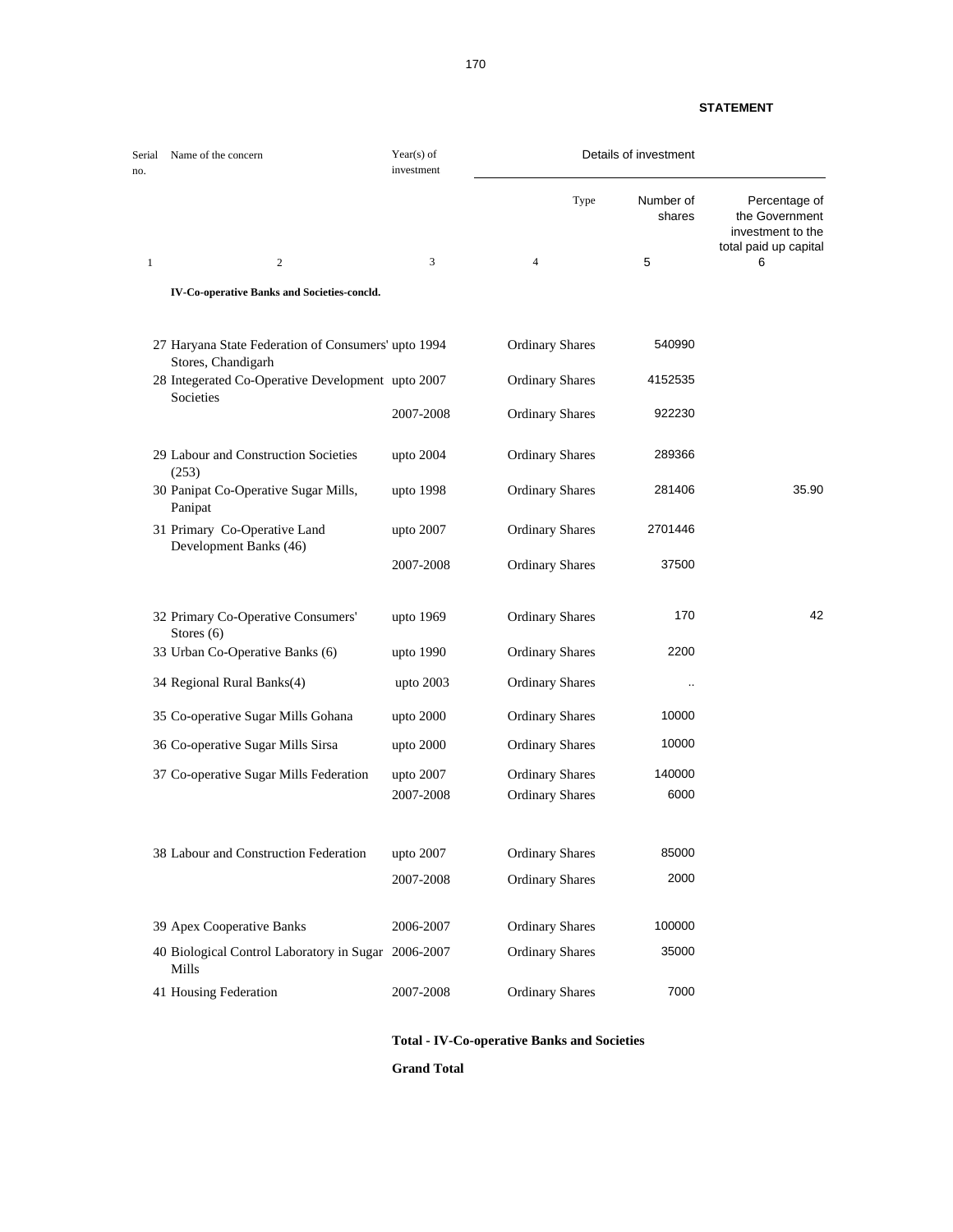| no. | Serial Name of the concern                                                | Year(s) of<br>investment |                        | Details of investment |                                                                               |
|-----|---------------------------------------------------------------------------|--------------------------|------------------------|-----------------------|-------------------------------------------------------------------------------|
|     |                                                                           |                          | Type                   | Number of<br>shares   | Percentage of<br>the Government<br>investment to the<br>total paid up capital |
| 1   | $\overline{c}$                                                            | 3                        | 4                      | 5                     | 6                                                                             |
|     | IV-Co-operative Banks and Societies-concld.                               |                          |                        |                       |                                                                               |
|     | 27 Haryana State Federation of Consumers' upto 1994<br>Stores, Chandigarh |                          | <b>Ordinary Shares</b> | 540990                |                                                                               |
|     | 28 Integerated Co-Operative Development upto 2007<br>Societies            |                          | <b>Ordinary Shares</b> | 4152535               |                                                                               |
|     |                                                                           | 2007-2008                | <b>Ordinary Shares</b> | 922230                |                                                                               |
|     | 29 Labour and Construction Societies<br>(253)                             | upto 2004                | <b>Ordinary Shares</b> | 289366                |                                                                               |
|     | 30 Panipat Co-Operative Sugar Mills,<br>Panipat                           | upto 1998                | <b>Ordinary Shares</b> | 281406                | 35.90                                                                         |
|     | 31 Primary Co-Operative Land<br>Development Banks (46)                    | upto 2007                | <b>Ordinary Shares</b> | 2701446               |                                                                               |
|     |                                                                           | 2007-2008                | <b>Ordinary Shares</b> | 37500                 |                                                                               |
|     | 32 Primary Co-Operative Consumers'<br>Stores $(6)$                        | upto 1969                | <b>Ordinary Shares</b> | 170                   | 42                                                                            |
|     | 33 Urban Co-Operative Banks (6)                                           | upto 1990                | <b>Ordinary Shares</b> | 2200                  |                                                                               |
|     | 34 Regional Rural Banks(4)                                                | upto 2003                | <b>Ordinary Shares</b> | $\ddot{\phantom{a}}$  |                                                                               |
|     | 35 Co-operative Sugar Mills Gohana                                        | upto 2000                | <b>Ordinary Shares</b> | 10000                 |                                                                               |
|     | 36 Co-operative Sugar Mills Sirsa                                         | upto $2000$              | <b>Ordinary Shares</b> | 10000                 |                                                                               |
|     | 37 Co-operative Sugar Mills Federation                                    | upto 2007                | <b>Ordinary Shares</b> | 140000                |                                                                               |
|     |                                                                           | 2007-2008                | <b>Ordinary Shares</b> | 6000                  |                                                                               |
|     | 38 Labour and Construction Federation                                     | upto 2007                | <b>Ordinary Shares</b> | 85000                 |                                                                               |
|     |                                                                           | 2007-2008                | <b>Ordinary Shares</b> | 2000                  |                                                                               |
|     | 39 Apex Cooperative Banks                                                 | 2006-2007                | <b>Ordinary Shares</b> | 100000                |                                                                               |
|     | 40 Biological Control Laboratory in Sugar 2006-2007<br>Mills              |                          | <b>Ordinary Shares</b> | 35000                 |                                                                               |
|     | 41 Housing Federation                                                     | 2007-2008                | <b>Ordinary Shares</b> | 7000                  |                                                                               |

## **Total - IV-Co-operative Banks and Societies**

**Grand Total**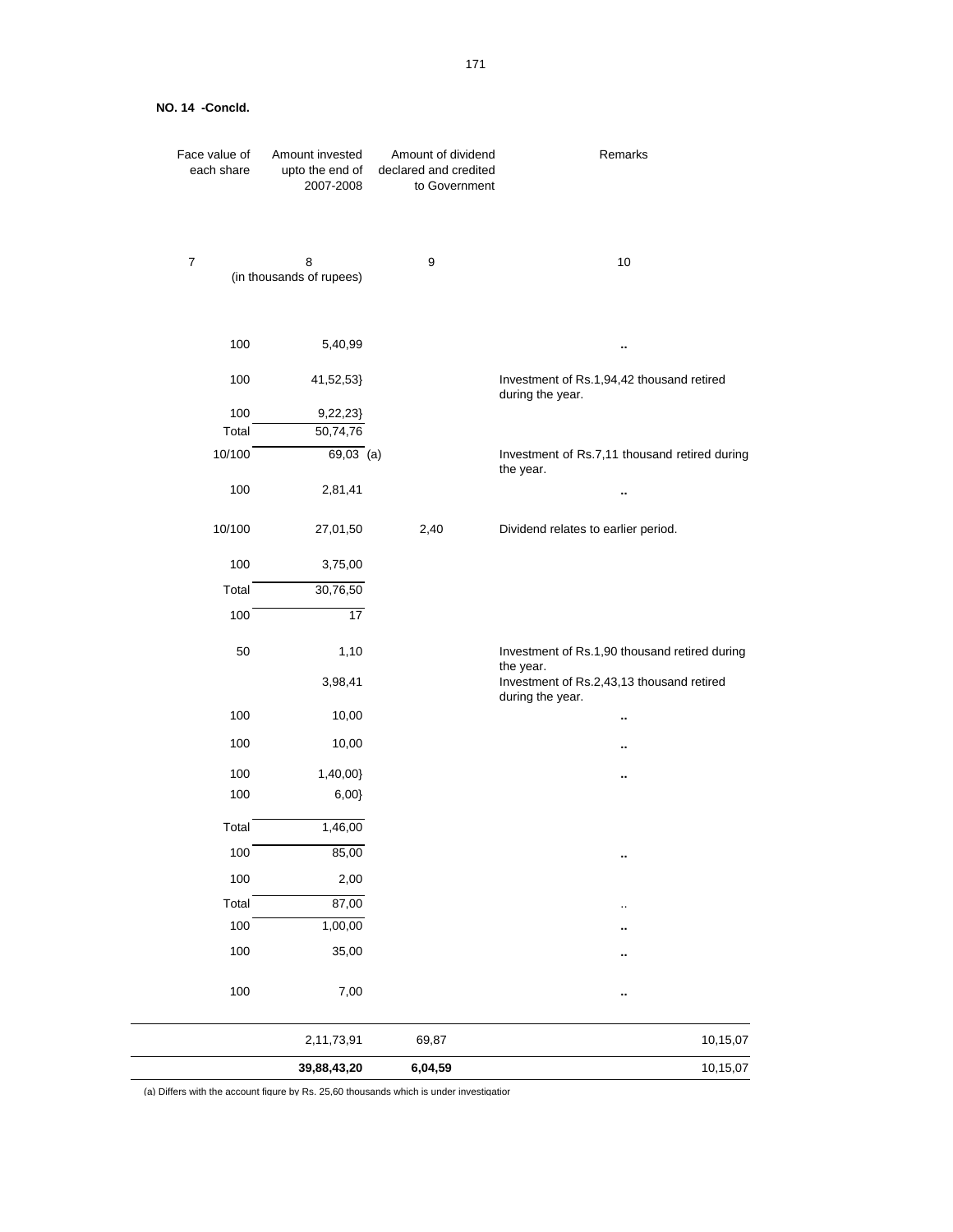## **NO. 14 -Concld.**

|                          | Face value of<br>each share | Amount invested<br>upto the end of<br>2007-2008 | Amount of dividend<br>declared and credited<br>to Government | Remarks                                                                    |
|--------------------------|-----------------------------|-------------------------------------------------|--------------------------------------------------------------|----------------------------------------------------------------------------|
| $\overline{\mathcal{I}}$ |                             | 8<br>(in thousands of rupees)                   | 9                                                            | 10                                                                         |
|                          |                             |                                                 |                                                              |                                                                            |
|                          | 100                         | 5,40,99                                         |                                                              | .,                                                                         |
|                          | 100                         | 41,52,53}                                       |                                                              | Investment of Rs.1,94,42 thousand retired<br>during the year.              |
|                          | 100                         | 9,22,23}                                        |                                                              |                                                                            |
|                          | Total                       | 50,74,76                                        |                                                              |                                                                            |
|                          | 10/100                      | $69,03$ (a)                                     |                                                              | Investment of Rs.7,11 thousand retired during<br>the year.                 |
|                          | 100                         | 2,81,41                                         |                                                              | ٠.                                                                         |
|                          | 10/100                      | 27,01,50                                        | 2,40                                                         | Dividend relates to earlier period.                                        |
|                          | 100                         | 3,75,00                                         |                                                              |                                                                            |
|                          | Total                       | 30,76,50                                        |                                                              |                                                                            |
|                          | 100                         | $\overline{17}$                                 |                                                              |                                                                            |
|                          | 50                          | 1,10                                            |                                                              | Investment of Rs.1,90 thousand retired during                              |
|                          |                             | 3,98,41                                         |                                                              | the year.<br>Investment of Rs.2,43,13 thousand retired<br>during the year. |
|                          | 100                         | 10,00                                           |                                                              | .,                                                                         |
|                          | 100                         | 10,00                                           |                                                              |                                                                            |
|                          | 100                         | 1,40,00}                                        |                                                              | .,                                                                         |
|                          | 100                         | $6,00\}$                                        |                                                              |                                                                            |
|                          | Total                       | 1,46,00                                         |                                                              |                                                                            |
|                          | 100                         | 85,00                                           |                                                              | ×,                                                                         |
|                          | 100                         | 2,00                                            |                                                              |                                                                            |
|                          | Total                       | 87,00                                           |                                                              |                                                                            |
|                          | 100                         | 1,00,00                                         |                                                              |                                                                            |
|                          | 100                         | 35,00                                           |                                                              |                                                                            |
|                          | 100                         | 7,00                                            |                                                              |                                                                            |
|                          |                             | 2,11,73,91                                      | 69,87                                                        | 10,15,07                                                                   |
|                          |                             | 39,88,43,20                                     | 6,04,59                                                      | 10,15,07                                                                   |

(a) Differs with the account figure by Rs. 25,60 thousands which is under investigation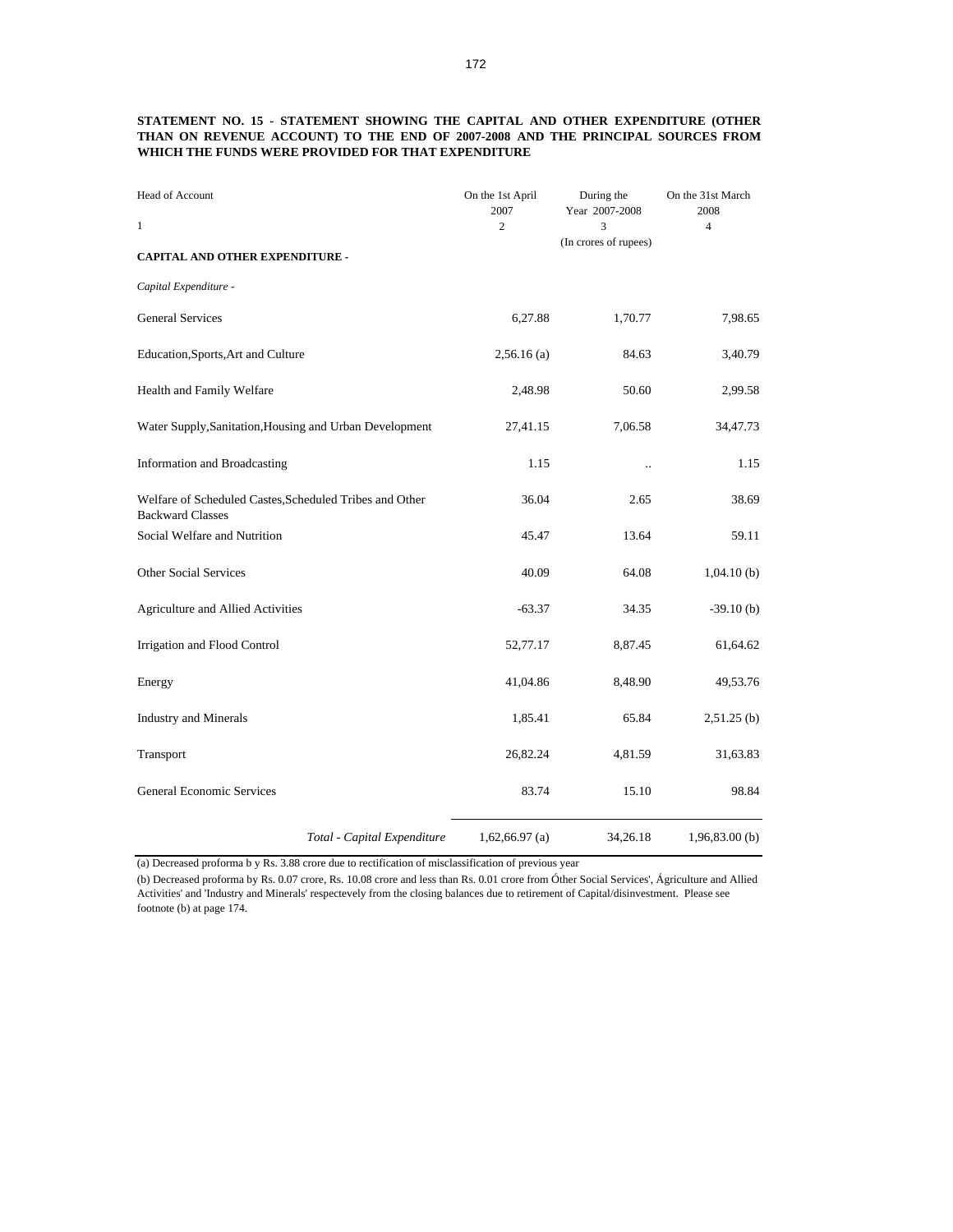## **STATEMENT NO. 15 - STATEMENT SHOWING THE CAPITAL AND OTHER EXPENDITURE (OTHER THAN ON REVENUE ACCOUNT) TO THE END OF 2007-2008 AND THE PRINCIPAL SOURCES FROM WHICH THE FUNDS WERE PROVIDED FOR THAT EXPENDITURE**

| Head of Account<br>$\mathbf{1}$                                                    | On the 1st April<br>2007<br>$\overline{2}$ | During the<br>Year 2007-2008<br>3 | On the 31st March<br>2008<br>$\overline{4}$ |
|------------------------------------------------------------------------------------|--------------------------------------------|-----------------------------------|---------------------------------------------|
| <b>CAPITAL AND OTHER EXPENDITURE -</b>                                             |                                            | (In crores of rupees)             |                                             |
| Capital Expenditure -                                                              |                                            |                                   |                                             |
| <b>General Services</b>                                                            | 6,27.88                                    | 1,70.77                           | 7,98.65                                     |
| Education, Sports, Art and Culture                                                 | $2,56.16$ (a)                              | 84.63                             | 3,40.79                                     |
| Health and Family Welfare                                                          | 2,48.98                                    | 50.60                             | 2,99.58                                     |
| Water Supply, Sanitation, Housing and Urban Development                            | 27,41.15                                   | 7,06.58                           | 34,47.73                                    |
| Information and Broadcasting                                                       | 1.15                                       |                                   | 1.15                                        |
| Welfare of Scheduled Castes, Scheduled Tribes and Other<br><b>Backward Classes</b> | 36.04                                      | 2.65                              | 38.69                                       |
| Social Welfare and Nutrition                                                       | 45.47                                      | 13.64                             | 59.11                                       |
| Other Social Services                                                              | 40.09                                      | 64.08                             | $1,04.10$ (b)                               |
| Agriculture and Allied Activities                                                  | $-63.37$                                   | 34.35                             | $-39.10(b)$                                 |
| Irrigation and Flood Control                                                       | 52,77.17                                   | 8,87.45                           | 61,64.62                                    |
| Energy                                                                             | 41,04.86                                   | 8,48.90                           | 49,53.76                                    |
| <b>Industry and Minerals</b>                                                       | 1,85.41                                    | 65.84                             | $2,51.25$ (b)                               |
| Transport                                                                          | 26,82.24                                   | 4,81.59                           | 31,63.83                                    |
| <b>General Economic Services</b>                                                   | 83.74                                      | 15.10                             | 98.84                                       |
| Total - Capital Expenditure                                                        | $1,62,66.97$ (a)                           | 34,26.18                          | $1,96,83.00$ (b)                            |

(a) Decreased proforma b y Rs. 3.88 crore due to rectification of misclassification of previous year

(b) Decreased proforma by Rs. 0.07 crore, Rs. 10.08 crore and less than Rs. 0.01 crore from Óther Social Services', Ágriculture and Allied Activities' and 'Industry and Minerals' respectevely from the closing balances due to retirement of Capital/disinvestment. Please see footnote (b) at page 174.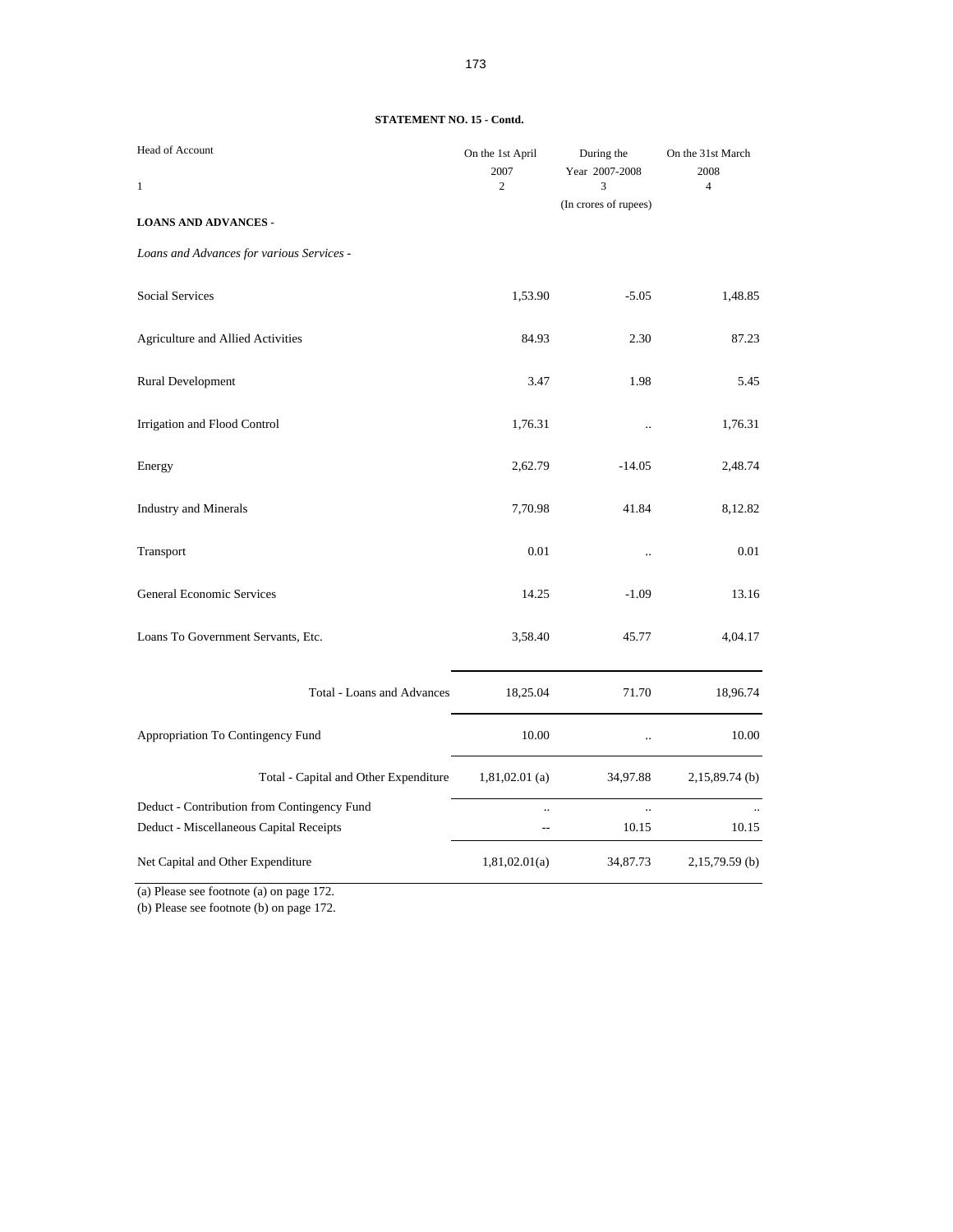| STATEMENT NO. 15 - Contd. |  |  |
|---------------------------|--|--|
|---------------------------|--|--|

| Head of Account<br>$\,1$                                                               | On the 1st April<br>2007<br>$\overline{c}$ | During the<br>Year 2007-2008<br>3 | On the 31st March<br>2008<br>4 |
|----------------------------------------------------------------------------------------|--------------------------------------------|-----------------------------------|--------------------------------|
| <b>LOANS AND ADVANCES -</b>                                                            |                                            | (In crores of rupees)             |                                |
| Loans and Advances for various Services -                                              |                                            |                                   |                                |
| <b>Social Services</b>                                                                 | 1,53.90                                    | $-5.05$                           | 1,48.85                        |
| Agriculture and Allied Activities                                                      | 84.93                                      | 2.30                              | 87.23                          |
| Rural Development                                                                      | 3.47                                       | 1.98                              | 5.45                           |
| Irrigation and Flood Control                                                           | 1,76.31                                    |                                   | 1,76.31                        |
| Energy                                                                                 | 2,62.79                                    | $-14.05$                          | 2,48.74                        |
| <b>Industry and Minerals</b>                                                           | 7,70.98                                    | 41.84                             | 8,12.82                        |
| Transport                                                                              | 0.01                                       |                                   | 0.01                           |
| <b>General Economic Services</b>                                                       | 14.25                                      | $-1.09$                           | 13.16                          |
| Loans To Government Servants, Etc.                                                     | 3,58.40                                    | 45.77                             | 4,04.17                        |
| <b>Total - Loans and Advances</b>                                                      | 18,25.04                                   | 71.70                             | 18,96.74                       |
| Appropriation To Contingency Fund                                                      | 10.00                                      | $\ddot{\phantom{a}}$              | 10.00                          |
| Total - Capital and Other Expenditure                                                  | 1,81,02.01 (a)                             | 34,97.88                          | 2,15,89.74 (b)                 |
| Deduct - Contribution from Contingency Fund<br>Deduct - Miscellaneous Capital Receipts | $\ddot{\phantom{a}}$<br>$\overline{a}$     | <br>10.15                         | 10.15                          |
| Net Capital and Other Expenditure                                                      | 1,81,02.01(a)                              | 34,87.73                          | $2,15,79.59$ (b)               |

(a) Please see footnote (a) on page 172.

(b) Please see footnote (b) on page 172.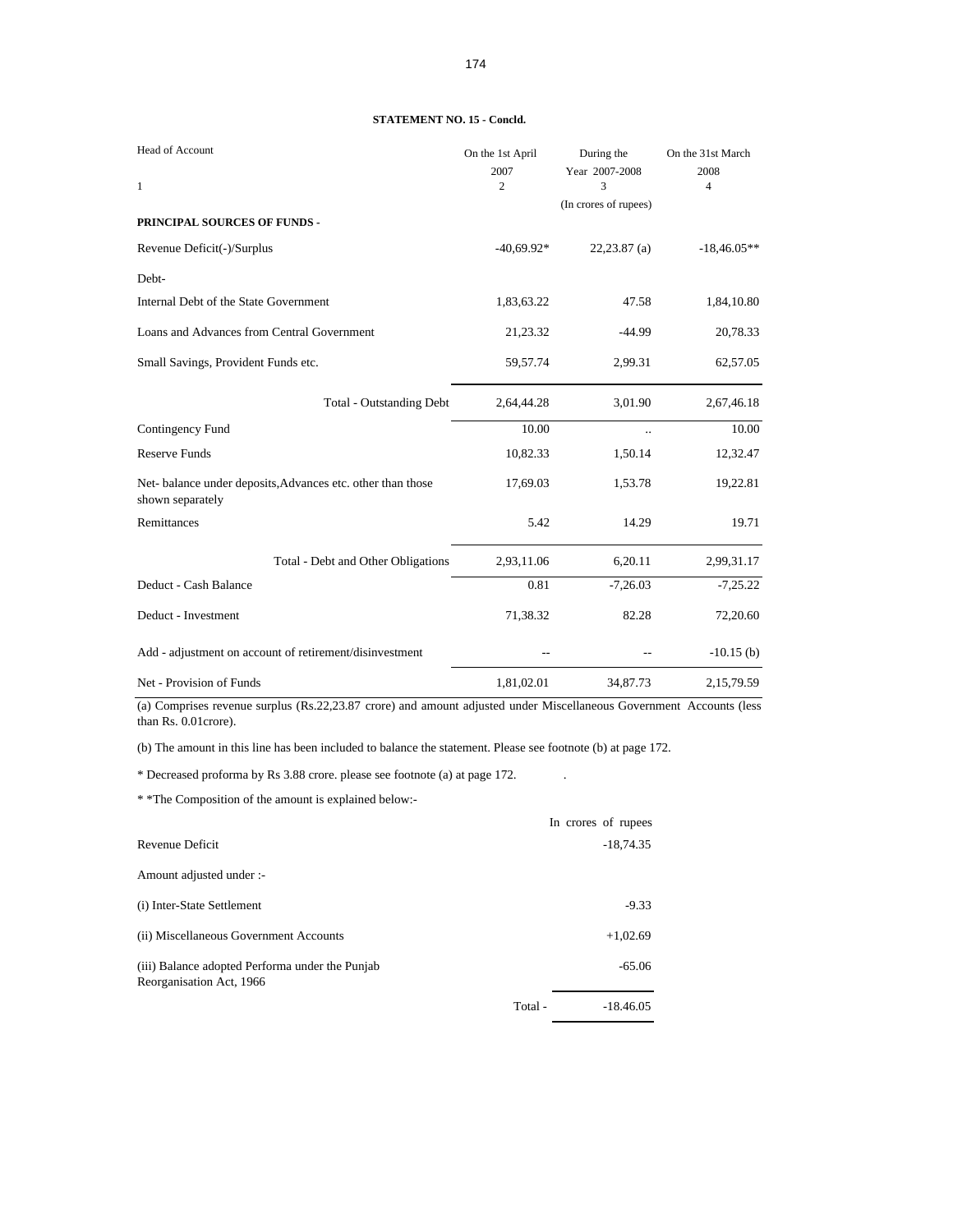## **STATEMENT NO. 15 - Concld.**

| Head of Account                                                                | On the 1st April | During the            | On the 31st March |
|--------------------------------------------------------------------------------|------------------|-----------------------|-------------------|
|                                                                                | 2007             | Year 2007-2008        | 2008              |
| $\mathbf{1}$                                                                   | $\overline{2}$   | 3                     | $\overline{4}$    |
|                                                                                |                  | (In crores of rupees) |                   |
| PRINCIPAL SOURCES OF FUNDS -                                                   |                  |                       |                   |
| Revenue Deficit(-)/Surplus                                                     | $-40,69.92*$     | $22,23.87$ (a)        | $-18,46.05**$     |
| Debt-                                                                          |                  |                       |                   |
| Internal Debt of the State Government                                          | 1,83,63.22       | 47.58                 | 1,84,10.80        |
| Loans and Advances from Central Government                                     | 21,23.32         | $-44.99$              | 20,78.33          |
| Small Savings, Provident Funds etc.                                            | 59,57.74         | 2,99.31               | 62,57.05          |
| <b>Total - Outstanding Debt</b>                                                | 2,64,44.28       | 3,01.90               | 2,67,46.18        |
| Contingency Fund                                                               | 10.00            |                       | 10.00             |
| <b>Reserve Funds</b>                                                           | 10,82.33         | 1,50.14               | 12,32.47          |
| Net-balance under deposits, Advances etc. other than those<br>shown separately | 17,69.03         | 1,53.78               | 19,22.81          |
| Remittances                                                                    | 5.42             | 14.29                 | 19.71             |
| Total - Debt and Other Obligations                                             | 2,93,11.06       | 6,20.11               | 2,99,31.17        |
| Deduct - Cash Balance                                                          | 0.81             | $-7,26.03$            | $-7,25.22$        |
| Deduct - Investment                                                            | 71,38.32         | 82.28                 | 72,20.60          |
| Add - adjustment on account of retirement/disinvestment                        |                  |                       | $-10.15$ (b)      |
| Net - Provision of Funds                                                       | 1,81,02.01       | 34,87.73              | 2,15,79.59        |

(a) Comprises revenue surplus (Rs.22,23.87 crore) and amount adjusted under Miscellaneous Government Accounts (less than Rs. 0.01crore).

(b) The amount in this line has been included to balance the statement. Please see footnote (b) at page 172.

\* Decreased proforma by Rs 3.88 crore. please see footnote (a) at page 172. .

\* \*The Composition of the amount is explained below:-

|                                                                             |         | In crores of rupees |
|-----------------------------------------------------------------------------|---------|---------------------|
| Revenue Deficit                                                             |         | $-18.74.35$         |
| Amount adjusted under :-                                                    |         |                     |
| (i) Inter-State Settlement                                                  |         | $-9.33$             |
| (ii) Miscellaneous Government Accounts                                      |         | $+1,02.69$          |
| (iii) Balance adopted Performa under the Punjab<br>Reorganisation Act, 1966 |         | $-65.06$            |
|                                                                             | Total - | $-18.46.05$         |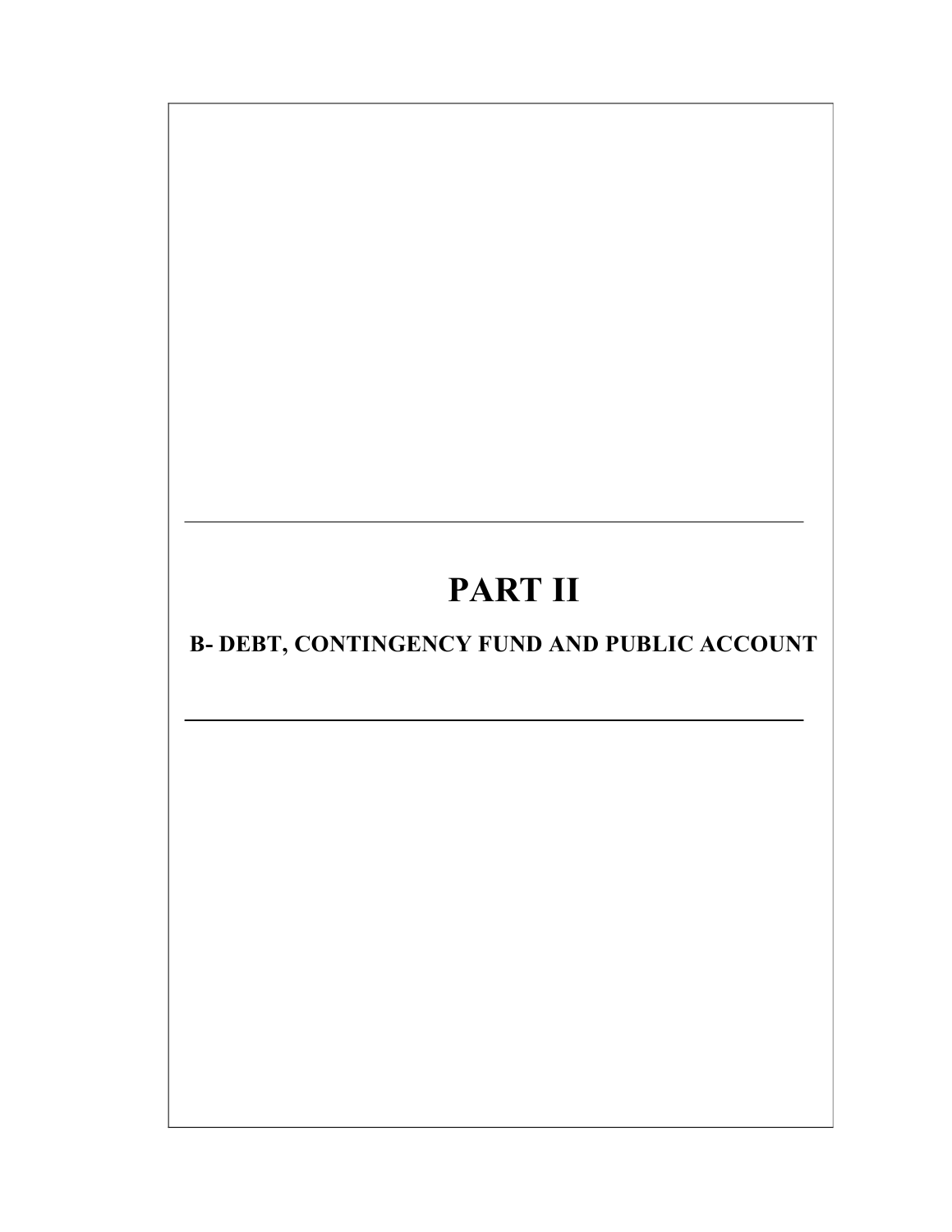# **PART II**

**B DEBT, CONTINGENCY FUND AND PUBLIC ACCOUNT**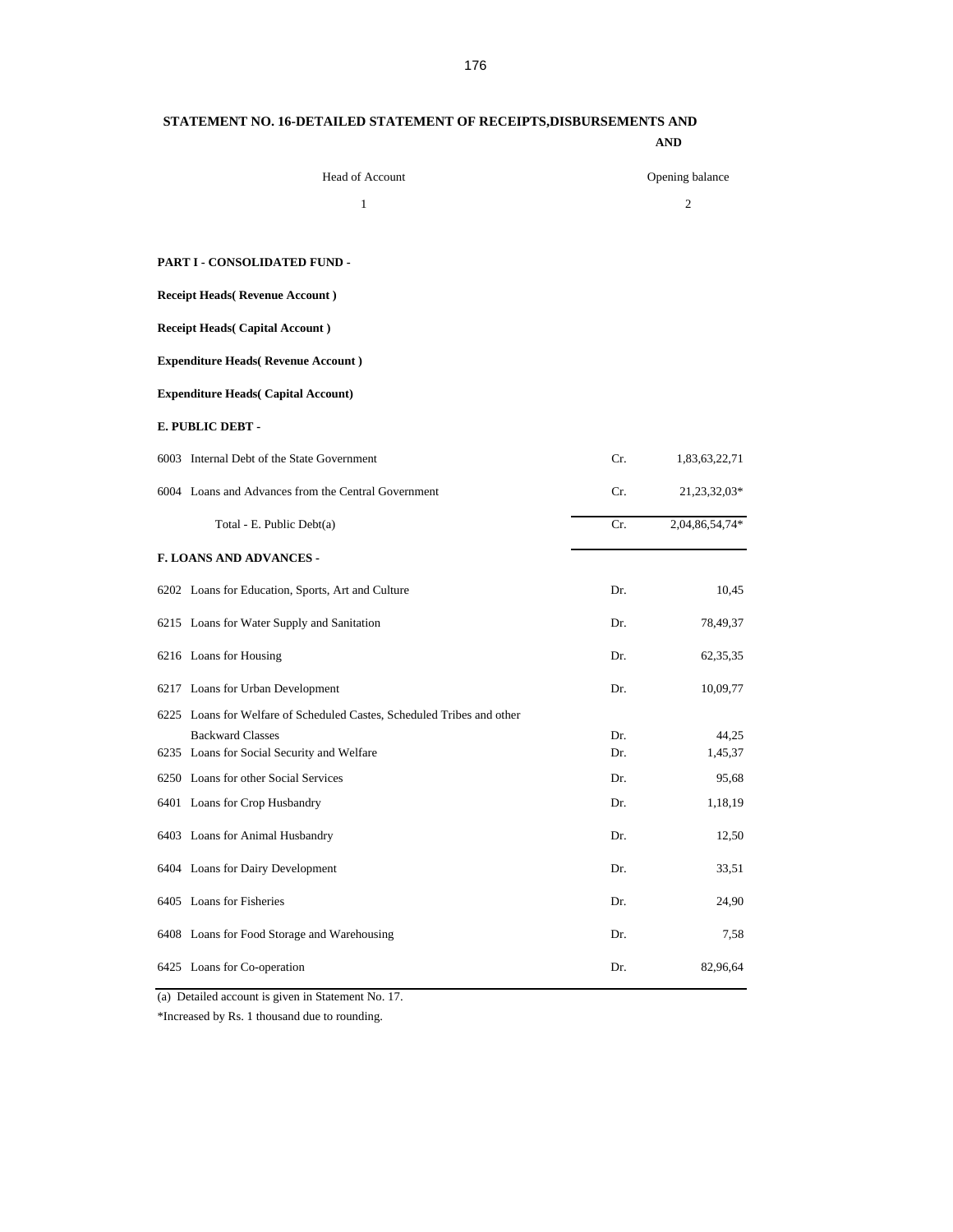| Head of Account                                                        |            | Opening balance  |
|------------------------------------------------------------------------|------------|------------------|
| 1                                                                      |            | 2                |
|                                                                        |            |                  |
| PART I - CONSOLIDATED FUND -                                           |            |                  |
| <b>Receipt Heads (Revenue Account)</b>                                 |            |                  |
| <b>Receipt Heads (Capital Account)</b>                                 |            |                  |
| <b>Expenditure Heads (Revenue Account)</b>                             |            |                  |
| <b>Expenditure Heads (Capital Account)</b>                             |            |                  |
| E. PUBLIC DEBT -                                                       |            |                  |
| 6003 Internal Debt of the State Government                             | Cr.        | 1,83,63,22,71    |
| 6004 Loans and Advances from the Central Government                    | Cr.        | 21, 23, 32, 03*  |
| Total - E. Public Debt(a)                                              | Cr.        | 2,04,86,54,74*   |
| F. LOANS AND ADVANCES -                                                |            |                  |
| 6202 Loans for Education, Sports, Art and Culture                      | Dr.        | 10,45            |
| 6215 Loans for Water Supply and Sanitation                             | Dr.        | 78,49,37         |
| 6216 Loans for Housing                                                 | Dr.        | 62, 35, 35       |
| 6217 Loans for Urban Development                                       | Dr.        | 10,09,77         |
| 6225 Loans for Welfare of Scheduled Castes, Scheduled Tribes and other |            |                  |
| <b>Backward Classes</b>                                                | Dr.<br>Dr. | 44,25            |
| 6235 Loans for Social Security and Welfare                             | Dr.        | 1,45,37          |
| 6250 Loans for other Social Services<br>6401 Loans for Crop Husbandry  | Dr.        | 95,68<br>1,18,19 |
|                                                                        |            |                  |
| 6403 Loans for Animal Husbandry                                        | Dr.        | 12,50            |
| 6404 Loans for Dairy Development                                       | Dr.        | 33,51            |
| 6405 Loans for Fisheries                                               | Dr.        | 24,90            |
| 6408 Loans for Food Storage and Warehousing                            | Dr.        | 7,58             |
| 6425 Loans for Co-operation                                            | Dr.        | 82,96,64         |

## **AND STATEMENT NO. 16-DETAILED STATEMENT OF RECEIPTS,DISBURSEMENTS AND**

(a) Detailed account is given in Statement No. 17.

\*Increased by Rs. 1 thousand due to rounding.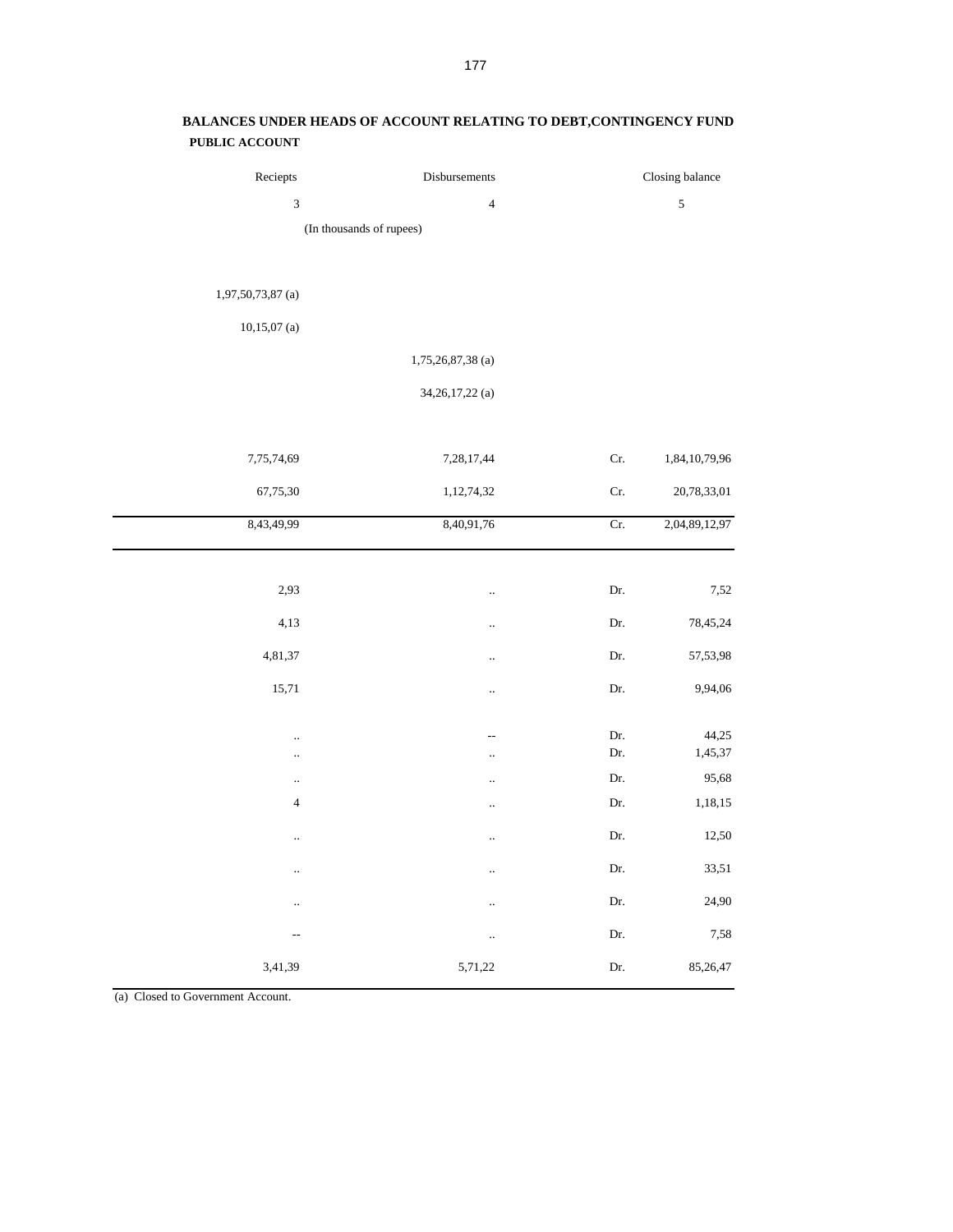| Reciepts             | Disbursements            | Closing balance             |               |
|----------------------|--------------------------|-----------------------------|---------------|
| $\overline{3}$       | $\sqrt{4}$               |                             | $\sqrt{5}$    |
|                      | (In thousands of rupees) |                             |               |
|                      |                          |                             |               |
|                      |                          |                             |               |
| 1,97,50,73,87 (a)    |                          |                             |               |
| $10,15,07$ (a)       |                          |                             |               |
|                      | 1,75,26,87,38 (a)        |                             |               |
|                      | 34, 26, 17, 22 (a)       |                             |               |
|                      |                          |                             |               |
| 7,75,74,69           | 7,28,17,44               | Cr.                         | 1,84,10,79,96 |
| 67,75,30             | 1,12,74,32               | Cr.                         | 20,78,33,01   |
| 8,43,49,99           | 8,40,91,76               | Cr.                         | 2,04,89,12,97 |
|                      |                          |                             |               |
| 2,93                 | $\ddotsc$                | Dr.                         | 7,52          |
| 4,13                 |                          | Dr.                         | 78,45,24      |
| 4,81,37              | $\cdot$ .                | Dr.                         | 57,53,98      |
| 15,71                | $\cdot$ .                | Dr.                         | 9,94,06       |
| $\ddot{\phantom{0}}$ | --                       | Dr.                         | 44,25         |
|                      |                          | Dr.                         | 1,45,37       |
| $\ddotsc$            |                          | Dr.                         | 95,68         |
| $\overline{4}$       | $\ddotsc$                | Dr.                         | 1,18,15       |
| .,                   |                          | Dr.                         | 12,50         |
| $\cdot$              | $\ddotsc$                | Dr.                         | 33,51         |
|                      | Ω.                       | Dr.                         | 24,90         |
|                      |                          | Dr.                         | 7,58          |
| 3,41,39              | 5,71,22                  | $\mathop{\rm Dr}\nolimits.$ | 85,26,47      |

# **PUBLIC ACCOUNT BALANCES UNDER HEADS OF ACCOUNT RELATING TO DEBT,CONTINGENCY FUND**

(a) Closed to Government Account.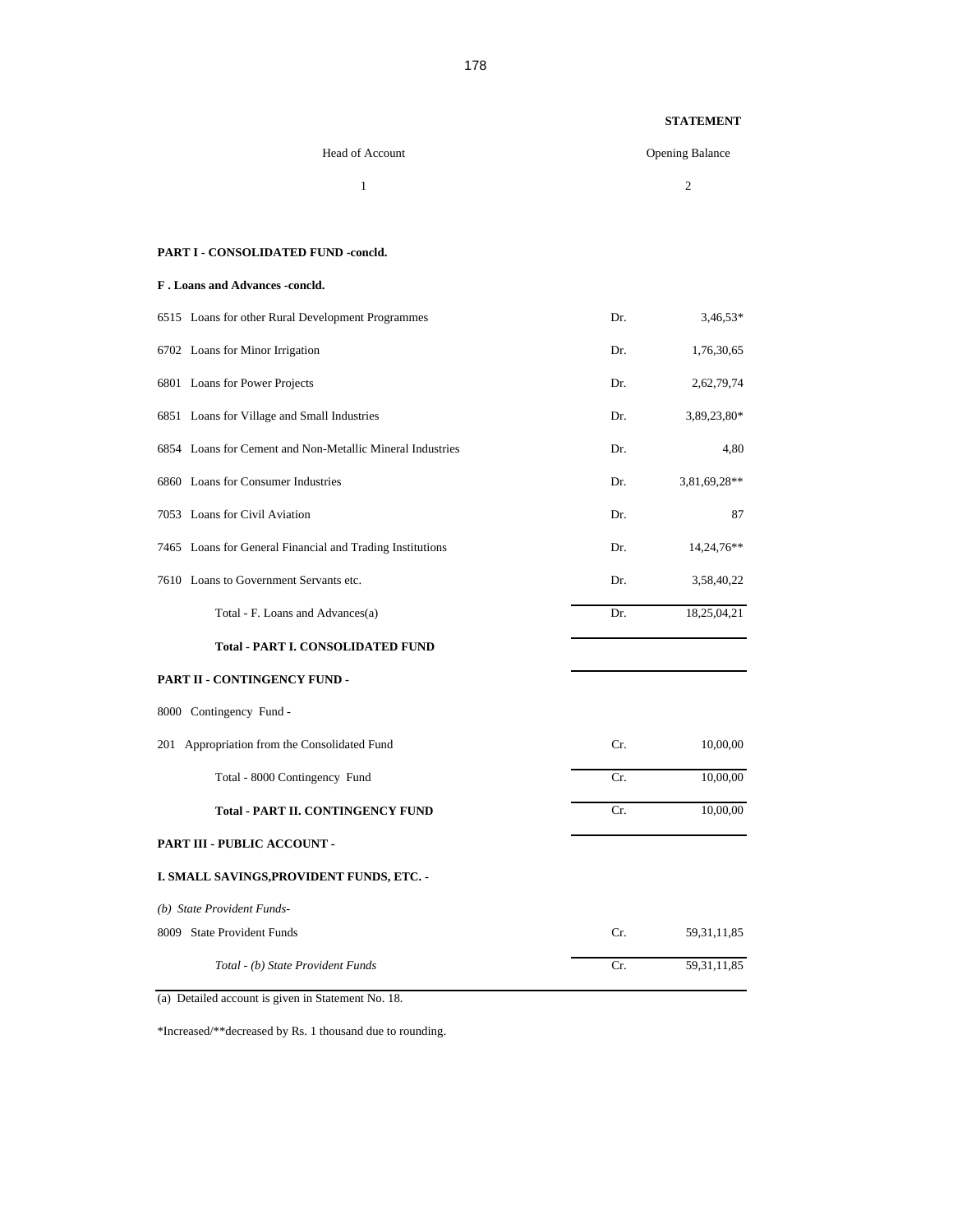| Head of Account | <b>Opening Balance</b> |
|-----------------|------------------------|
|                 | ∼                      |

#### **PART I - CONSOLIDATED FUND -concld.**

# **F . Loans and Advances -concld.** 6515 Loans for other Rural Development Programmes Dr. 3,46,53\* 6702 Loans for Minor Irrigation Dr. 1,76,30,65 6801 Loans for Power Projects Dr. 2,62,79,74 6851 Loans for Village and Small Industries Dr. 3,89,23,80\* 6854 Loans for Cement and Non-Metallic Mineral Industries Dr. 4,80 6860 Loans for Consumer Industries Dr. 3,81,69,28\*\* 7053 Loans for Civil Aviation Dr. 87 7465 Loans for General Financial and Trading Institutions Dr. 14,24,76\*\* 7610 Loans to Government Servants etc. Dr. 3,58,40,22 Total - F. Loans and Advances(a) Dr. 18,25,04,21  **Total - PART I. CONSOLIDATED FUND PART II - CONTINGENCY FUND -**  8000 Contingency Fund - 201 Appropriation from the Consolidated Fund Cr. 10,00,00 Total - 8000 Contingency Fund Cr. 10,00,00 **Total - PART II. CONTINGENCY FUND** Cr. 200,000 **PART III - PUBLIC ACCOUNT - I. SMALL SAVINGS,PROVIDENT FUNDS, ETC. -**  *(b) State Provident Funds-*8009 State Provident Funds Cr. 59,31,11,85  *Total - (b) State Provident Funds* Cr. 59,31,11,85

(a) Detailed account is given in Statement No. 18.

\*Increased/\*\*decreased by Rs. 1 thousand due to rounding.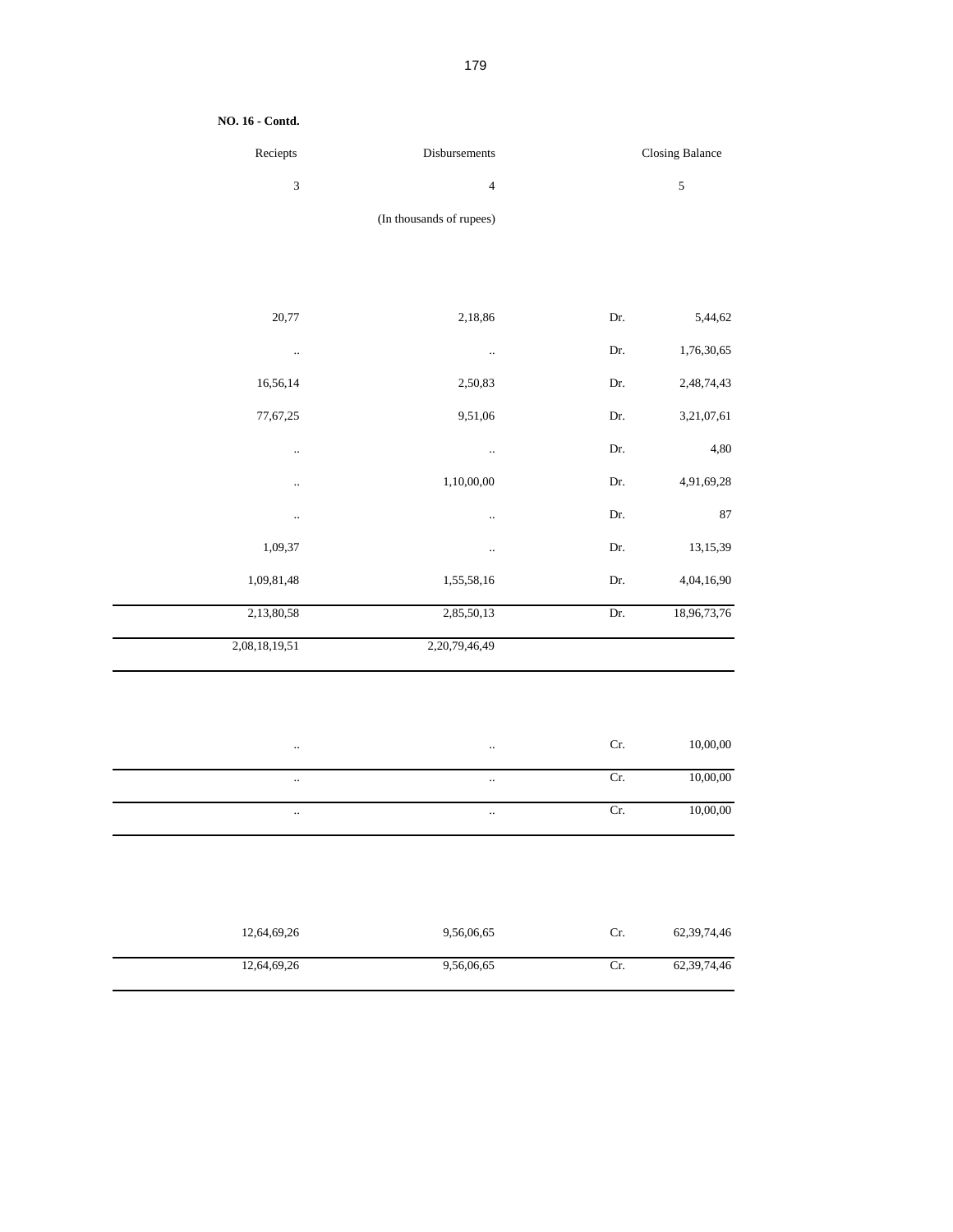| <b>NO. 16 - Contd.</b> |                          |     |                        |
|------------------------|--------------------------|-----|------------------------|
| Reciepts               | Disbursements            |     | <b>Closing Balance</b> |
| $\sqrt{3}$             | $\overline{4}$           |     | $\sqrt{5}$             |
|                        | (In thousands of rupees) |     |                        |
|                        |                          |     |                        |
|                        |                          |     |                        |
| 20,77                  | 2,18,86                  | Dr. | 5,44,62                |
| $\ldots$               | $\ldots$                 | Dr. | 1,76,30,65             |
| 16,56,14               | 2,50,83                  | Dr. | 2,48,74,43             |
| 77,67,25               | 9,51,06                  | Dr. | 3,21,07,61             |
| $\ddotsc$              | $\ddotsc$                | Dr. | 4,80                   |
| $\ddot{\phantom{0}}$   | 1,10,00,00               | Dr. | 4,91,69,28             |
| $\ddotsc$              | $\ddotsc$                | Dr. | 87                     |
| 1,09,37                | $\ldots$                 | Dr. | 13,15,39               |
| 1,09,81,48             | 1,55,58,16               | Dr. | 4,04,16,90             |
| 2,13,80,58             | 2,85,50,13               | Dr. | 18,96,73,76            |
| 2,08,18,19,51          | 2,20,79,46,49            |     |                        |
|                        |                          |     |                        |
|                        |                          |     |                        |
| $\ldots$               | $\ldots$                 | Cr. | 10,00,00               |
| $\ddotsc$              | $\ddot{\phantom{a}}$     | Cr. | 10,00,00               |
| $\ddotsc$              | $\ldots$                 | Cr. | 10,00,00               |
|                        |                          |     |                        |
|                        |                          |     |                        |
|                        |                          |     |                        |
| 12,64,69,26            | 9,56,06,65               | Cr. | 62, 39, 74, 46         |
| 12,64,69,26            | 9,56,06,65               | Cr. | 62,39,74,46            |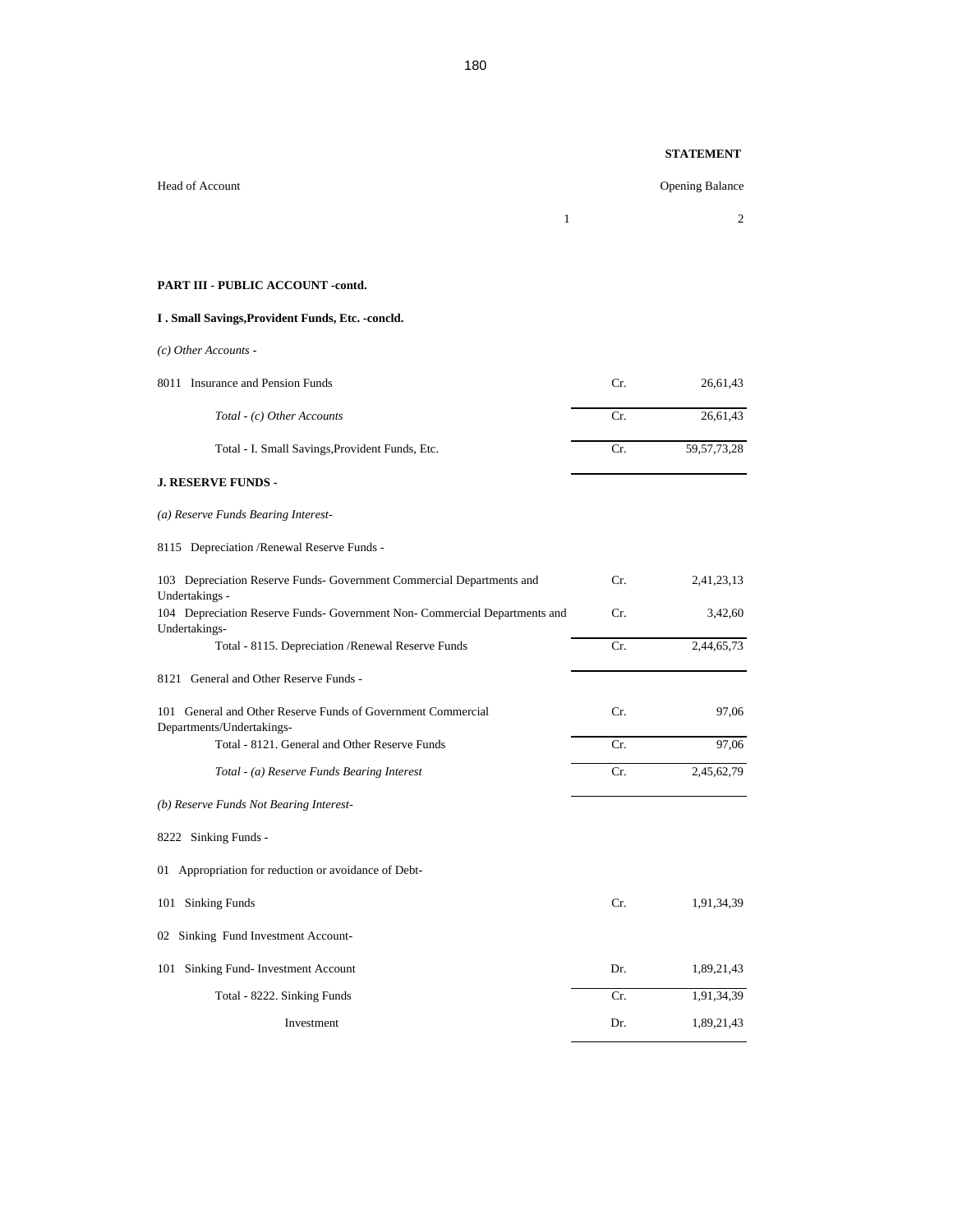|                                                                                              |     | <b>STATEMENT</b>       |
|----------------------------------------------------------------------------------------------|-----|------------------------|
| <b>Head of Account</b>                                                                       |     | <b>Opening Balance</b> |
| 1                                                                                            |     | 2                      |
|                                                                                              |     |                        |
| PART III - PUBLIC ACCOUNT -contd.                                                            |     |                        |
| I. Small Savings, Provident Funds, Etc. - concld.                                            |     |                        |
| $(c)$ Other Accounts -                                                                       |     |                        |
| 8011 Insurance and Pension Funds                                                             | Cr. | 26,61,43               |
| Total - (c) Other Accounts                                                                   | Cr. | 26,61,43               |
| Total - I. Small Savings, Provident Funds, Etc.                                              | Cr. | 59, 57, 73, 28         |
| <b>J. RESERVE FUNDS -</b>                                                                    |     |                        |
| (a) Reserve Funds Bearing Interest-                                                          |     |                        |
| 8115 Depreciation / Renewal Reserve Funds -                                                  |     |                        |
| 103 Depreciation Reserve Funds- Government Commercial Departments and                        | Cr. | 2,41,23,13             |
| Undertakings -<br>104 Depreciation Reserve Funds- Government Non- Commercial Departments and | Cr. | 3,42,60                |
| Undertakings-<br>Total - 8115. Depreciation / Renewal Reserve Funds                          | Cr. | 2,44,65,73             |
| 8121 General and Other Reserve Funds -                                                       |     |                        |
| 101 General and Other Reserve Funds of Government Commercial                                 | Cr. | 97,06                  |
| Departments/Undertakings-<br>Total - 8121. General and Other Reserve Funds                   | Cr. | 97,06                  |
| Total - (a) Reserve Funds Bearing Interest                                                   | Cr. | 2,45,62,79             |
| (b) Reserve Funds Not Bearing Interest-                                                      |     |                        |
| 8222 Sinking Funds -                                                                         |     |                        |
| 01 Appropriation for reduction or avoidance of Debt-                                         |     |                        |
| <b>Sinking Funds</b><br>101                                                                  | Cr. | 1,91,34,39             |
| Sinking Fund Investment Account-<br>02                                                       |     |                        |
| 101 Sinking Fund- Investment Account                                                         | Dr. | 1,89,21,43             |
| Total - 8222. Sinking Funds                                                                  | Cr. | 1,91,34,39             |
| Investment                                                                                   | Dr. | 1,89,21,43             |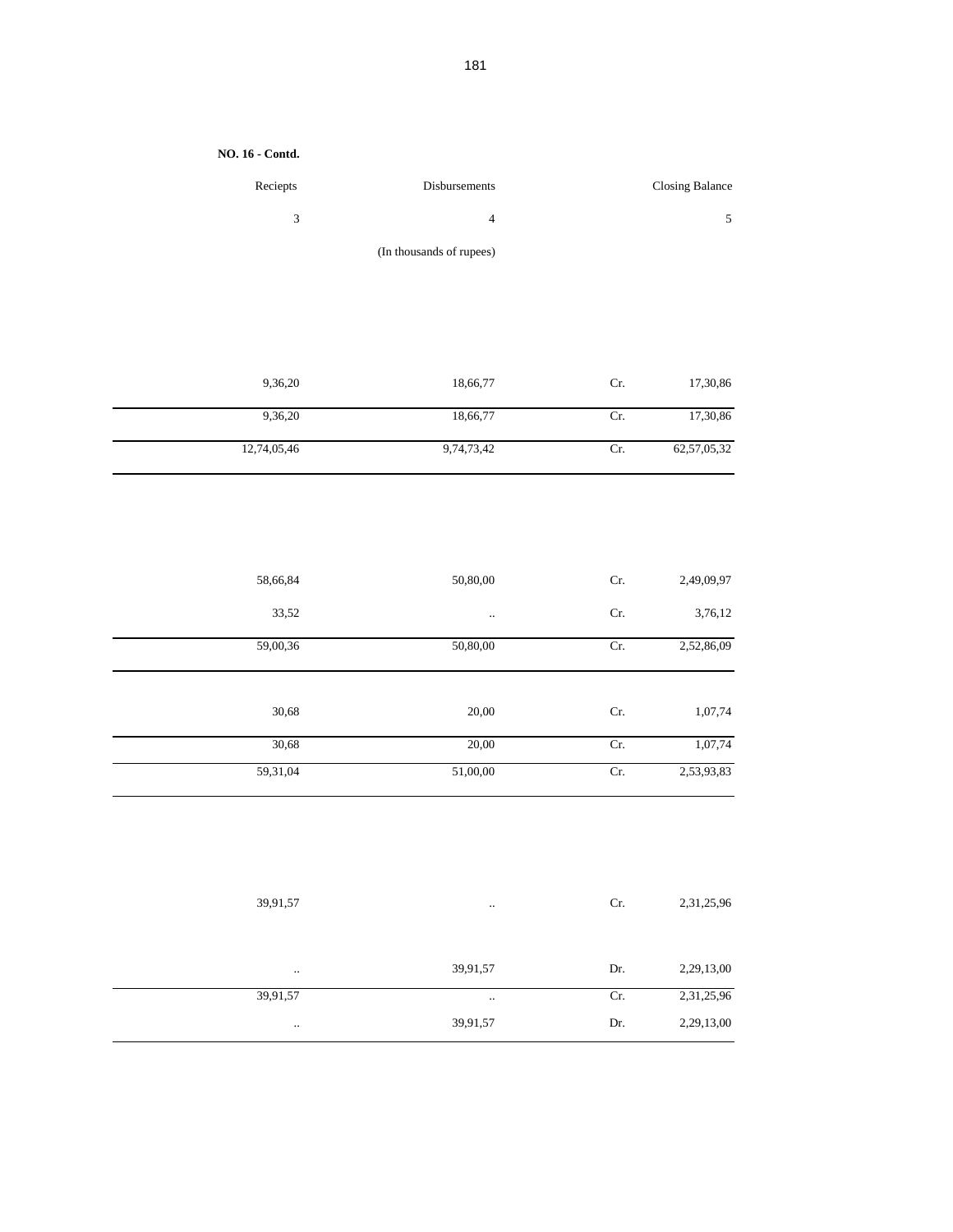|                        |                          | <b>NO. 16 - Contd.</b> |
|------------------------|--------------------------|------------------------|
| <b>Closing Balance</b> | <b>Disbursements</b>     | Reciepts               |
| 5                      | 4                        | 3                      |
|                        | (In thousands of rupees) |                        |

| 9,36,20     | 18,66,77   | Cr. | 17,30,86       |
|-------------|------------|-----|----------------|
| 9,36,20     | 18,66,77   | Cr. | 17,30,86       |
| 12,74,05,46 | 9,74,73,42 | Cr. | 62, 57, 05, 32 |

| 58,66,84 | 50,80,00  | Cr. | 2,49,09,97 |
|----------|-----------|-----|------------|
| 33,52    | $\ddotsc$ | Cr. | 3,76,12    |
| 59,00,36 | 50,80,00  | Cr. | 2,52,86,09 |
|          |           |     |            |
| 30,68    | 20,00     | Cr. | 1,07,74    |
| 30,68    | 20,00     | Cr. | 1,07,74    |
| 59,31,04 | 51,00,00  | Cr. | 2,53,93,83 |

| 39,91,57 | $\ddotsc$ | Cr. | 2,31,25,96 |
|----------|-----------|-----|------------|
|          |           |     |            |
|          | 39,91,57  | Dr. | 2,29,13,00 |
| 39,91,57 | $\cdot$   | Cr. | 2,31,25,96 |
|          | 39,91,57  | Dr. | 2,29,13,00 |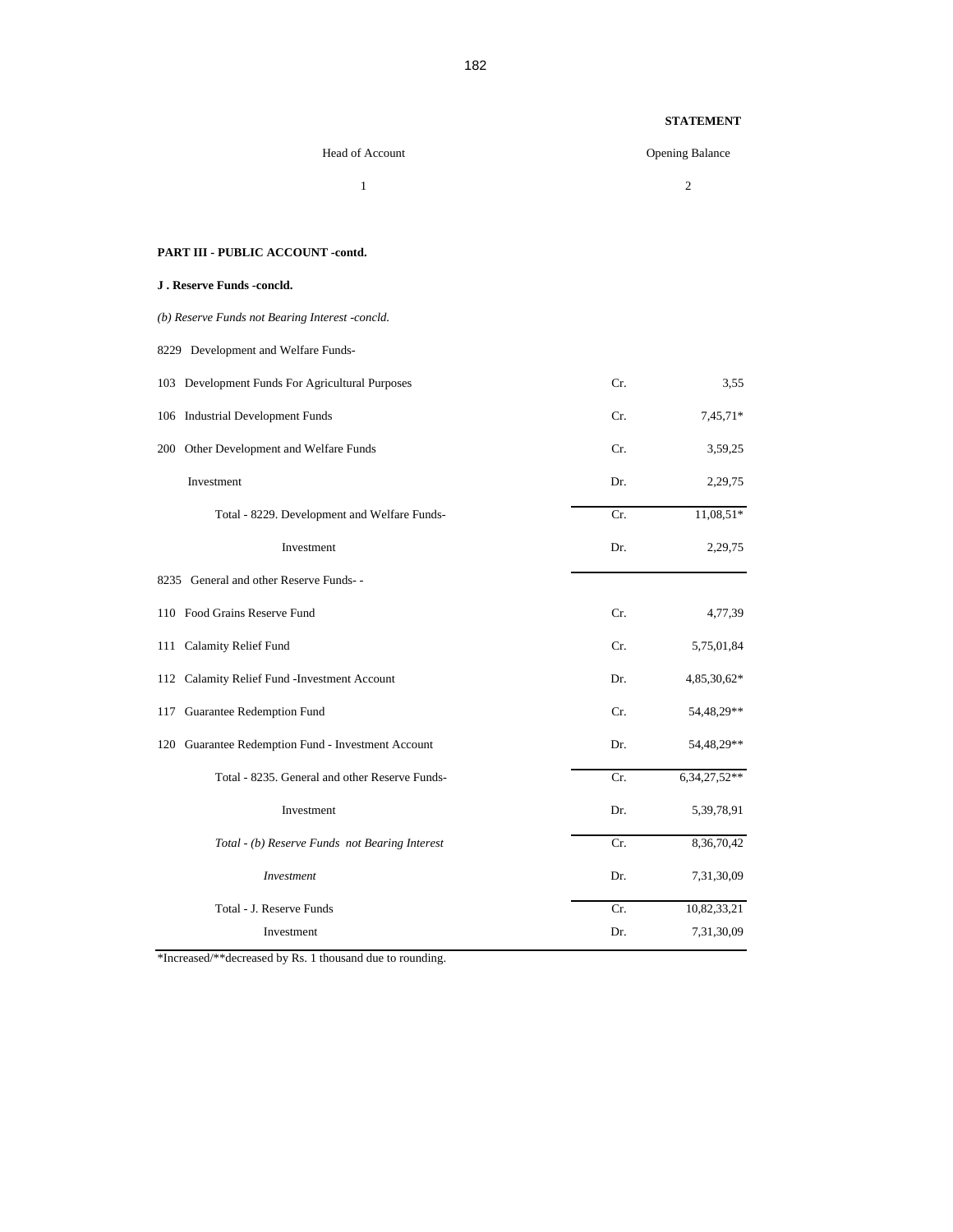| Head of Account | <b>Opening Balance</b> |
|-----------------|------------------------|
|                 |                        |

# **PART III - PUBLIC ACCOUNT -contd.**

**J . Reserve Funds -concld.**

| 8229 Development and Welfare Funds-<br>3,55<br>103 Development Funds For Agricultural Purposes<br>Cr.<br>106 Industrial Development Funds<br>Cr.<br>7,45,71*<br>Other Development and Welfare Funds<br>Cr.<br>3,59,25<br>200 |  |
|------------------------------------------------------------------------------------------------------------------------------------------------------------------------------------------------------------------------------|--|
|                                                                                                                                                                                                                              |  |
|                                                                                                                                                                                                                              |  |
|                                                                                                                                                                                                                              |  |
|                                                                                                                                                                                                                              |  |
| Investment<br>2,29,75<br>Dr.                                                                                                                                                                                                 |  |
| 11,08,51*<br>Total - 8229. Development and Welfare Funds-<br>Cr.                                                                                                                                                             |  |
| Investment<br>Dr.<br>2,29,75                                                                                                                                                                                                 |  |
| 8235 General and other Reserve Funds-                                                                                                                                                                                        |  |
| 110 Food Grains Reserve Fund<br>Cr.<br>4,77,39                                                                                                                                                                               |  |
| Calamity Relief Fund<br>Cr.<br>5,75,01,84<br>111                                                                                                                                                                             |  |
| Calamity Relief Fund -Investment Account<br>Dr.<br>4,85,30,62*<br>112                                                                                                                                                        |  |
| Guarantee Redemption Fund<br>Cr.<br>54,48,29**<br>117                                                                                                                                                                        |  |
| Guarantee Redemption Fund - Investment Account<br>54,48,29**<br>120<br>Dr.                                                                                                                                                   |  |
| Total - 8235. General and other Reserve Funds-<br>Cr.<br>6,34,27,52**                                                                                                                                                        |  |
| 5,39,78,91<br>Investment<br>Dr.                                                                                                                                                                                              |  |
| 8,36,70,42<br>Cr.<br>Total - (b) Reserve Funds not Bearing Interest                                                                                                                                                          |  |
| Investment<br>Dr.<br>7,31,30,09                                                                                                                                                                                              |  |
| Total - J. Reserve Funds<br>Cr.<br>10,82,33,21                                                                                                                                                                               |  |
| 7,31,30,09<br>Investment<br>Dr.                                                                                                                                                                                              |  |

\*Increased/\*\*decreased by Rs. 1 thousand due to rounding.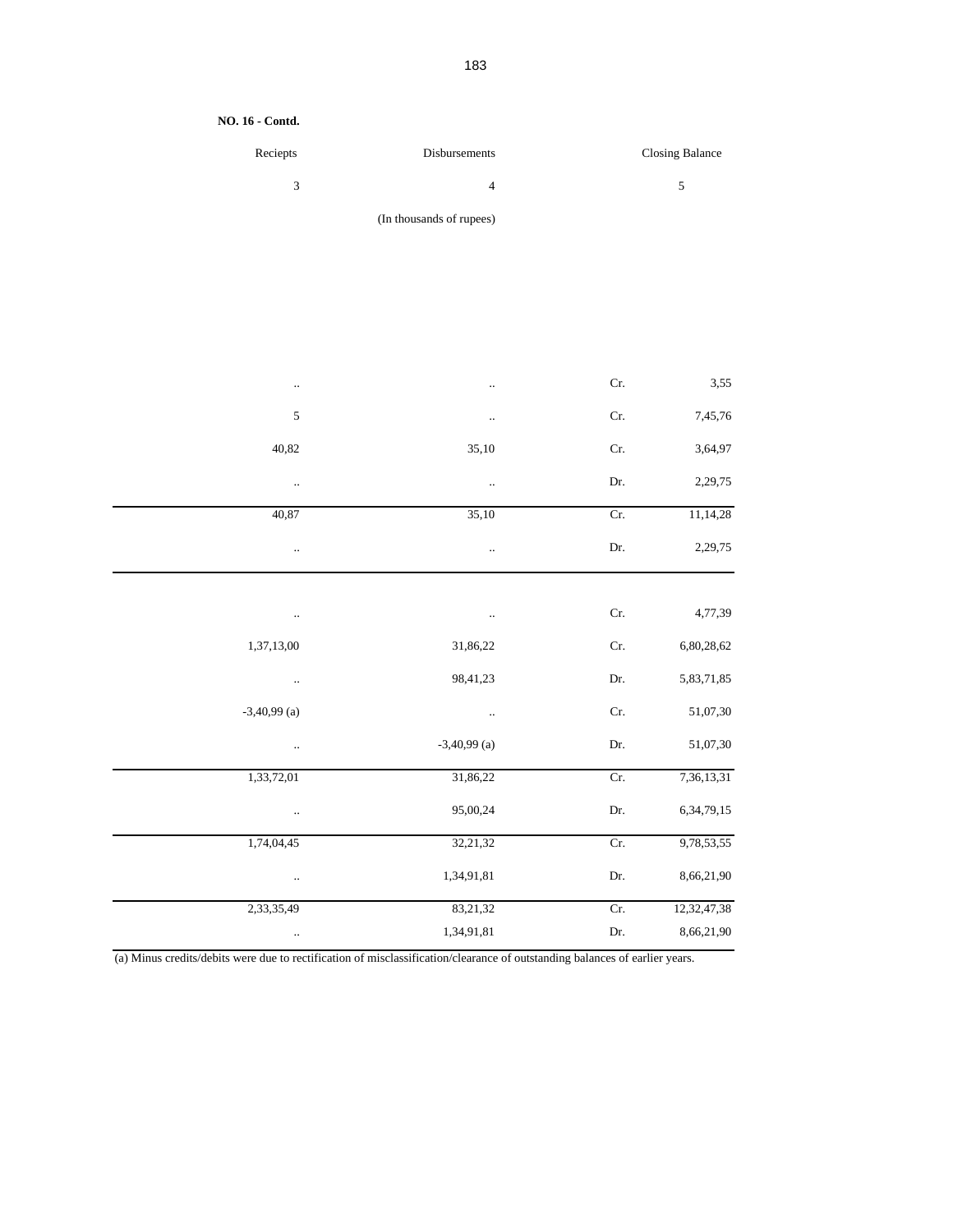| Reciepts             | Disbursements            |                             | <b>Closing Balance</b> |
|----------------------|--------------------------|-----------------------------|------------------------|
| $\sqrt{3}$           | $\overline{4}$           |                             | 5                      |
|                      | (In thousands of rupees) |                             |                        |
|                      |                          |                             |                        |
|                      |                          |                             |                        |
|                      |                          |                             |                        |
|                      |                          |                             |                        |
| $\ldots$             | .,                       | $\rm Cr.$                   | 3,55                   |
| 5                    | μ.                       | $\rm Cr.$                   | 7,45,76                |
| 40,82                | 35,10                    | Cr.                         | 3,64,97                |
| $\ddotsc$            |                          | Dr.                         | 2,29,75                |
| 40,87                | 35,10                    | Cr.                         | 11,14,28               |
| $\ldots$             | ä,                       | $\mathop{\rm Dr}\nolimits.$ | 2,29,75                |
|                      |                          |                             |                        |
| $\ddotsc$            | $\ldots$                 | $\rm Cr.$                   | 4,77,39                |
| 1,37,13,00           | 31,86,22                 | $\rm Cr.$                   | 6,80,28,62             |
| $\ldots$             | 98,41,23                 | $\mathop{\rm Dr}\nolimits.$ | 5,83,71,85             |
| $-3,40,99$ (a)       | $\ddot{\phantom{1}}$     | $\rm Cr.$                   | 51,07,30               |
| $\ddot{\phantom{1}}$ | $-3,40,99$ (a)           | Dr.                         | 51,07,30               |
| 1,33,72,01           | 31,86,22                 | Cr.                         | 7,36,13,31             |
| $\ldots$             | 95,00,24                 | Dr.                         | 6,34,79,15             |
| 1,74,04,45           | 32,21,32                 | Cr.                         | 9,78,53,55             |
| $\ddot{\phantom{a}}$ | 1,34,91,81               | Dr.                         | 8,66,21,90             |
| 2,33,35,49           | 83,21,32                 | Cr.                         | 12,32,47,38            |

(a) Minus credits/debits were due to rectification of misclassification/clearance of outstanding balances of earlier years.

.. 1,34,91,81 Dr. 8,66,21,90

**NO. 16 - Contd.**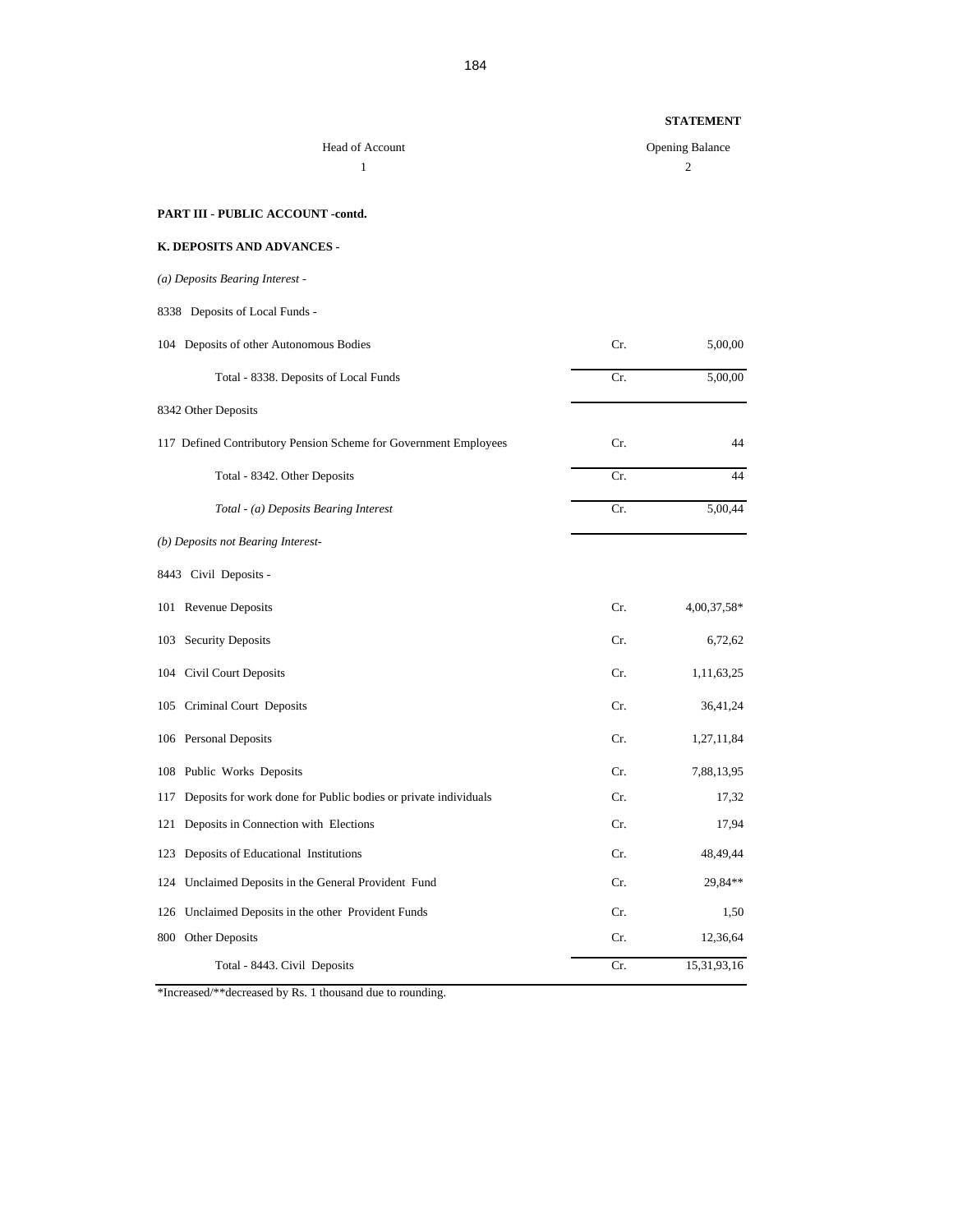| STATEMENT |  |
|-----------|--|
|-----------|--|

| Head of Account | <b>Opening Balance</b> |
|-----------------|------------------------|
|                 |                        |

#### **PART III - PUBLIC ACCOUNT -contd.**

#### **K. DEPOSITS AND ADVANCES -**

*(a) Deposits Bearing Interest -*

8338 Deposits of Local Funds -

| 104 Deposits of other Autonomous Bodies                          | Cr. | 5,00,00 |
|------------------------------------------------------------------|-----|---------|
| Total - 8338. Deposits of Local Funds                            | Cr. | 5,00,00 |
| 8342 Other Deposits                                              |     |         |
| 117 Defined Contributory Pension Scheme for Government Employees | Cr. | 44      |
| Total - 8342. Other Deposits                                     | Cr. | 44      |

| Total - (a) Deposits Bearing Interest | 5,00,44 |
|---------------------------------------|---------|

#### *(b) Deposits not Bearing Interest-*

|  |  | 8443 Civil Deposits - |  |
|--|--|-----------------------|--|
|--|--|-----------------------|--|

| 101 Revenue Deposits                                                | Cr. | $4,00,37,58*$  |
|---------------------------------------------------------------------|-----|----------------|
| 103 Security Deposits                                               | Cr. | 6,72,62        |
| 104 Civil Court Deposits                                            | Cr. | 1,11,63,25     |
| 105 Criminal Court Deposits                                         | Cr. | 36,41,24       |
| 106 Personal Deposits                                               | Cr. | 1,27,11,84     |
| 108 Public Works Deposits                                           | Cr. | 7,88,13,95     |
| 117 Deposits for work done for Public bodies or private individuals | Cr. | 17,32          |
| 121 Deposits in Connection with Elections                           | Cr. | 17,94          |
| 123 Deposits of Educational Institutions                            | Cr. | 48,49,44       |
| 124 Unclaimed Deposits in the General Provident Fund                | Cr. | 29,84**        |
| 126 Unclaimed Deposits in the other Provident Funds                 | Cr. | 1,50           |
| 800 Other Deposits                                                  | Cr. | 12,36,64       |
| Total - 8443. Civil Deposits                                        | Cr. | 15, 31, 93, 16 |

\*Increased/\*\*decreased by Rs. 1 thousand due to rounding.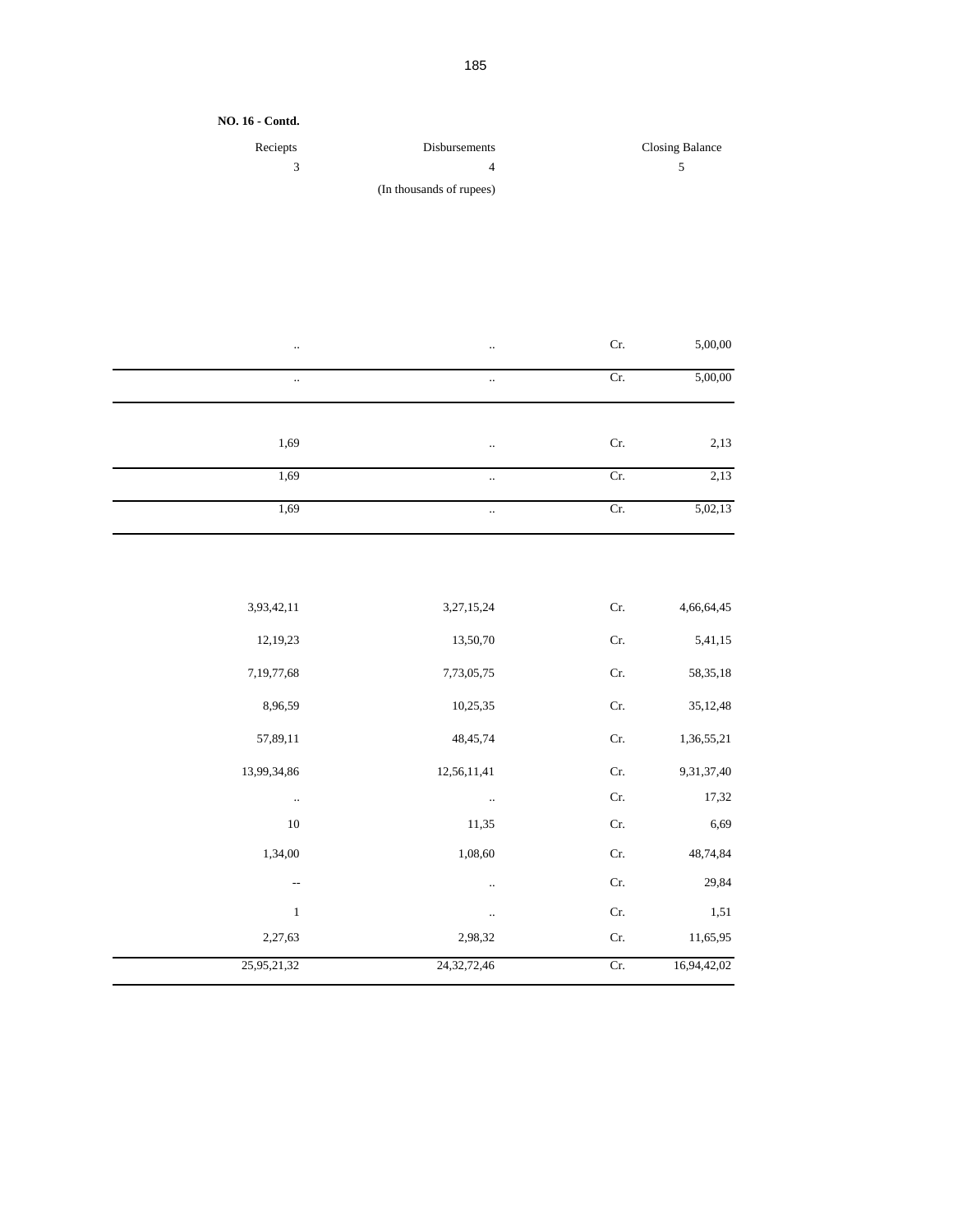|  |  | <b>NO. 16 - Contd.</b> |
|--|--|------------------------|
|--|--|------------------------|

| Closing Balance | <b>Disbursements</b>     | Reciepts |
|-----------------|--------------------------|----------|
|                 |                          |          |
|                 | (In thousands of rupees) |          |

| $\ddotsc$ | $\cdots$ | Cr. | 5,00,00 |
|-----------|----------|-----|---------|
| $\cdots$  | $\ldots$ | Cr. | 5,00,00 |
|           |          |     |         |
| 1,69      | $\cdots$ | Cr. | 2,13    |
| 1,69      | $\sim$   | Cr. | 2,13    |
| 1,69      | $\sim$   | Cr. | 5,02,13 |

| 3,93,42,11     | 3,27,15,24           | Cr. | 4,66,64,45  |
|----------------|----------------------|-----|-------------|
| 12,19,23       | 13,50,70             | Cr. | 5,41,15     |
| 7,19,77,68     | 7,73,05,75           | Cr. | 58, 35, 18  |
| 8,96,59        | 10,25,35             | Cr. | 35,12,48    |
| 57,89,11       | 48, 45, 74           | Cr. | 1,36,55,21  |
| 13,99,34,86    | 12,56,11,41          | Cr. | 9,31,37,40  |
| $\cdot\cdot$   | $\cdot\cdot$         | Cr. | 17,32       |
| 10             | 11,35                | Cr. | 6,69        |
| 1,34,00        | 1,08,60              | Cr. | 48,74,84    |
| $\overline{a}$ | $\ldots$             | Cr. | 29,84       |
| $\mathbf{1}$   | $\ddot{\phantom{0}}$ | Cr. | 1,51        |
| 2,27,63        | 2,98,32              | Cr. | 11,65,95    |
| 25,95,21,32    | 24, 32, 72, 46       | Cr. | 16,94,42,02 |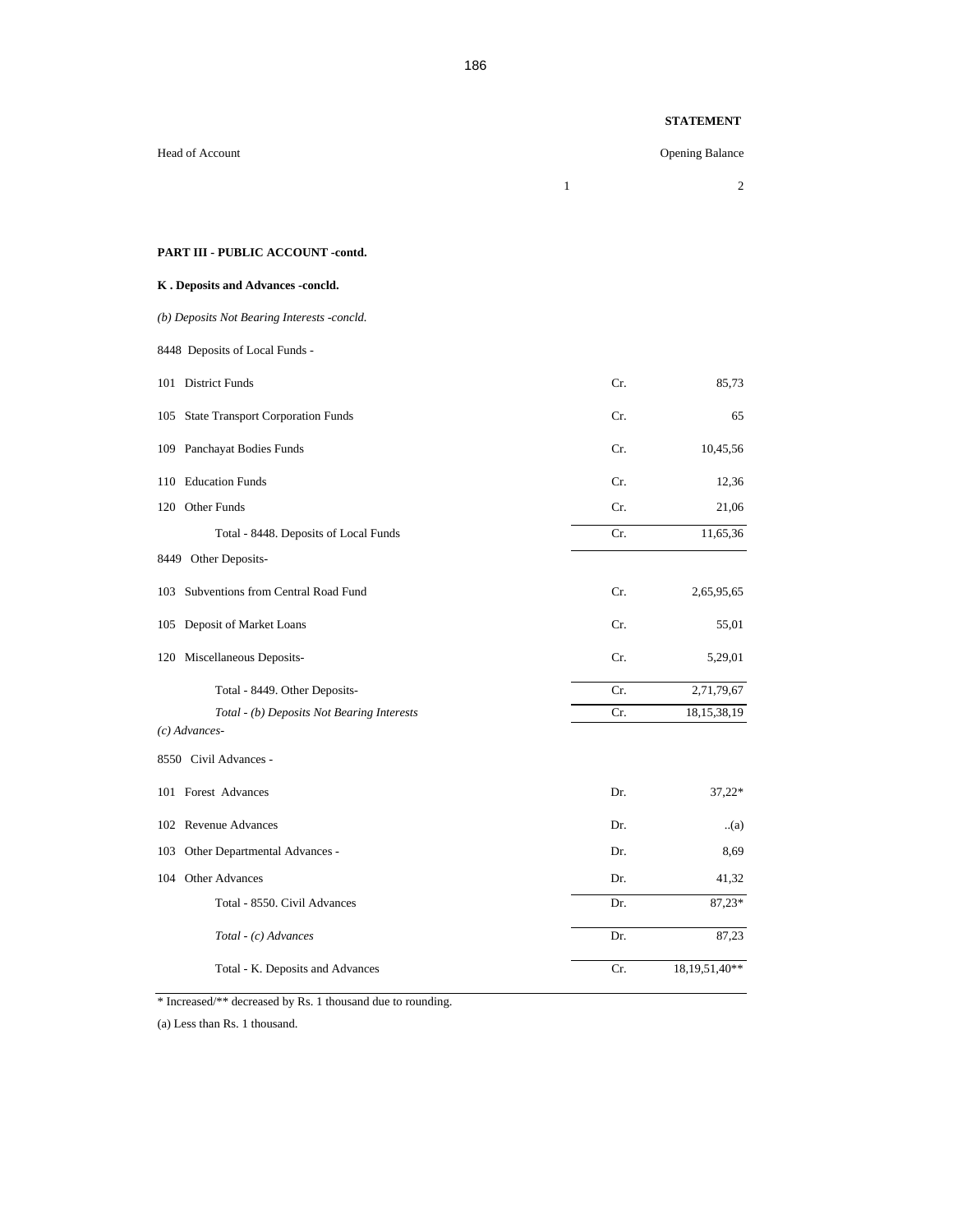| Head of Account | <b>Opening Balance</b> |
|-----------------|------------------------|
|                 | $\sim$                 |

#### **PART III - PUBLIC ACCOUNT -contd.**

**K . Deposits and Advances -concld.**

# *(b) Deposits Not Bearing Interests -concld.* 8448 Deposits of Local Funds - 101 District Funds Cr. 85,73 105 State Transport Corporation Funds Cr. 65 109 Panchayat Bodies Funds Cr. 10,45,56 110 Education Funds **Cr.** 12,36 120 Other Funds Cr. 21,06 Total - 8448. Deposits of Local Funds Cr. 11,65,36 8449 Other Deposits-103 Subventions from Central Road Fund Cr. 2,65,95,65 105 Deposit of Market Loans Cr. 55,01 120 Miscellaneous Deposits- Cr. 5,29,01 Total - 8449. Other Deposits- Cr. 2,71,79,67  *Total - (b) Deposits Not Bearing Interests* Cr. 18,15,38,19 *(c) Advances-*8550 Civil Advances - 101 Forest Advances Dr. 37,22<sup>\*</sup> 102 Revenue Advances Dr. ..(a) 103 Other Departmental Advances - Dr. 8,69 104 Other Advances Dr. 41,32 Total - 8550. Civil Advances Dr. 87,23\*  *Total - (c) Advances* Dr. 87,23 Total - K. Deposits and Advances Cr. 18,19,51,40<sup>\*\*</sup>

\* Increased/\*\* decreased by Rs. 1 thousand due to rounding.

(a) Less than Rs. 1 thousand.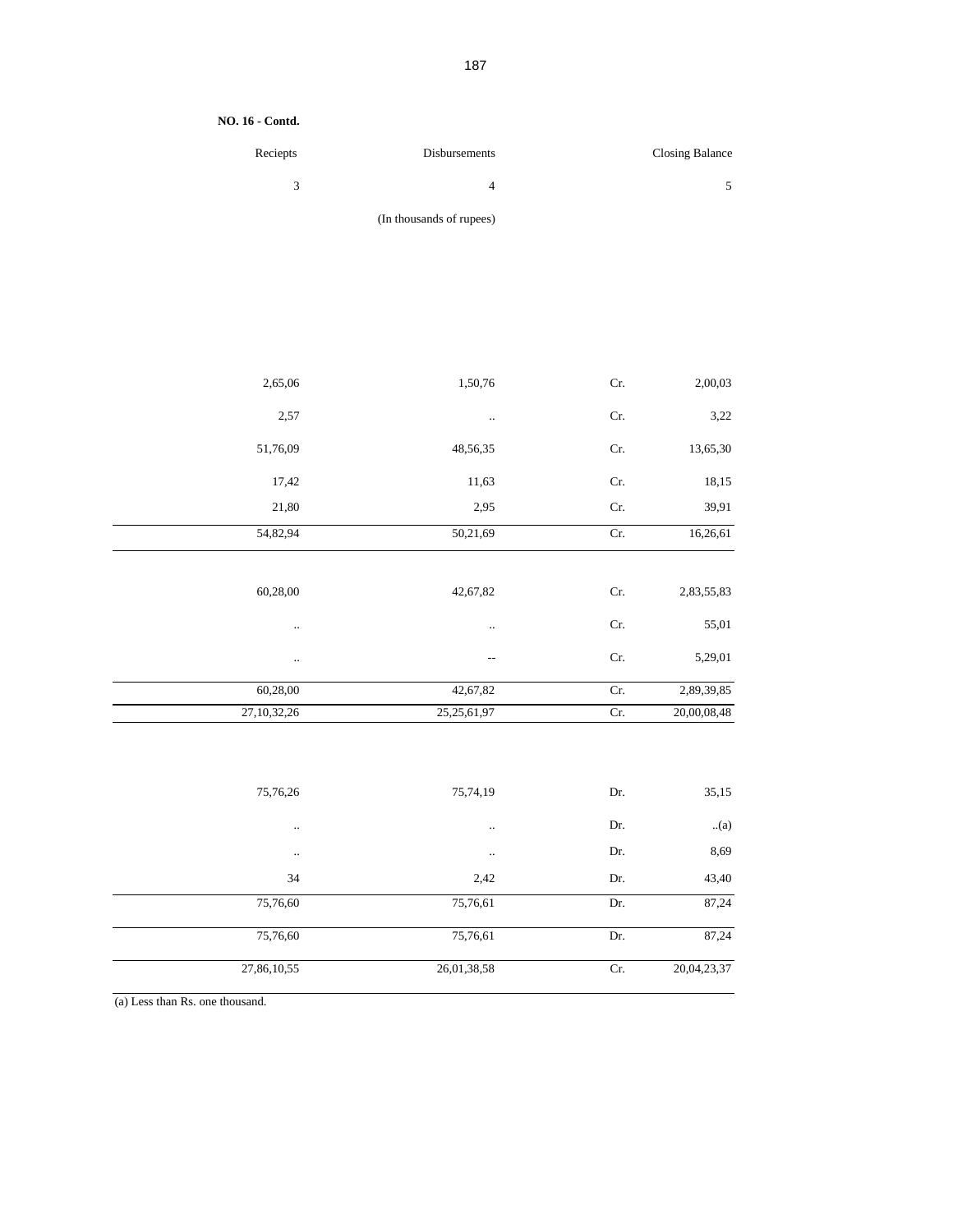| <b>NO. 16 - Contd.</b> |                          |                        |
|------------------------|--------------------------|------------------------|
| Reciepts               | <b>Disbursements</b>     | <b>Closing Balance</b> |
| 3                      | 4                        | 5                      |
|                        | (In thousands of rupees) |                        |

| 2,00,03     | Cr. | 1,50,76                  | 2,65,06        |
|-------------|-----|--------------------------|----------------|
| 3,22        | Cr. |                          | 2,57           |
| 13,65,30    | Cr. | 48,56,35                 | 51,76,09       |
| 18,15       | Cr. | 11,63                    | 17,42          |
| 39,91       | Cr. | 2,95                     | 21,80          |
| 16,26,61    | Cr. | 50,21,69                 | 54,82,94       |
|             |     |                          |                |
| 2,83,55,83  | Cr. | 42,67,82                 | 60,28,00       |
| 55,01       | Cr. |                          | $\cdot\cdot$   |
| 5,29,01     | Cr. | $\overline{\phantom{a}}$ | $\cdot\cdot$   |
| 2,89,39,85  | Cr. | 42,67,82                 | 60,28,00       |
| 20,00,08,48 | Cr. | 25, 25, 61, 97           | 27, 10, 32, 26 |
|             |     |                          |                |

| 75,76,26    | 75,74,19    | Dr. | 35,15           |
|-------------|-------------|-----|-----------------|
| $\ldots$    | $\ldots$    | Dr. | $\cdot$ . $(a)$ |
|             | $\ddotsc$   | Dr. | 8,69            |
| 34          | 2,42        | Dr. | 43,40           |
| 75,76,60    | 75,76,61    | Dr. | 87,24           |
| 75,76,60    | 75,76,61    | Dr. | 87,24           |
| 27,86,10,55 | 26,01,38,58 | Cr. | 20,04,23,37     |

(a) Less than Rs. one thousand.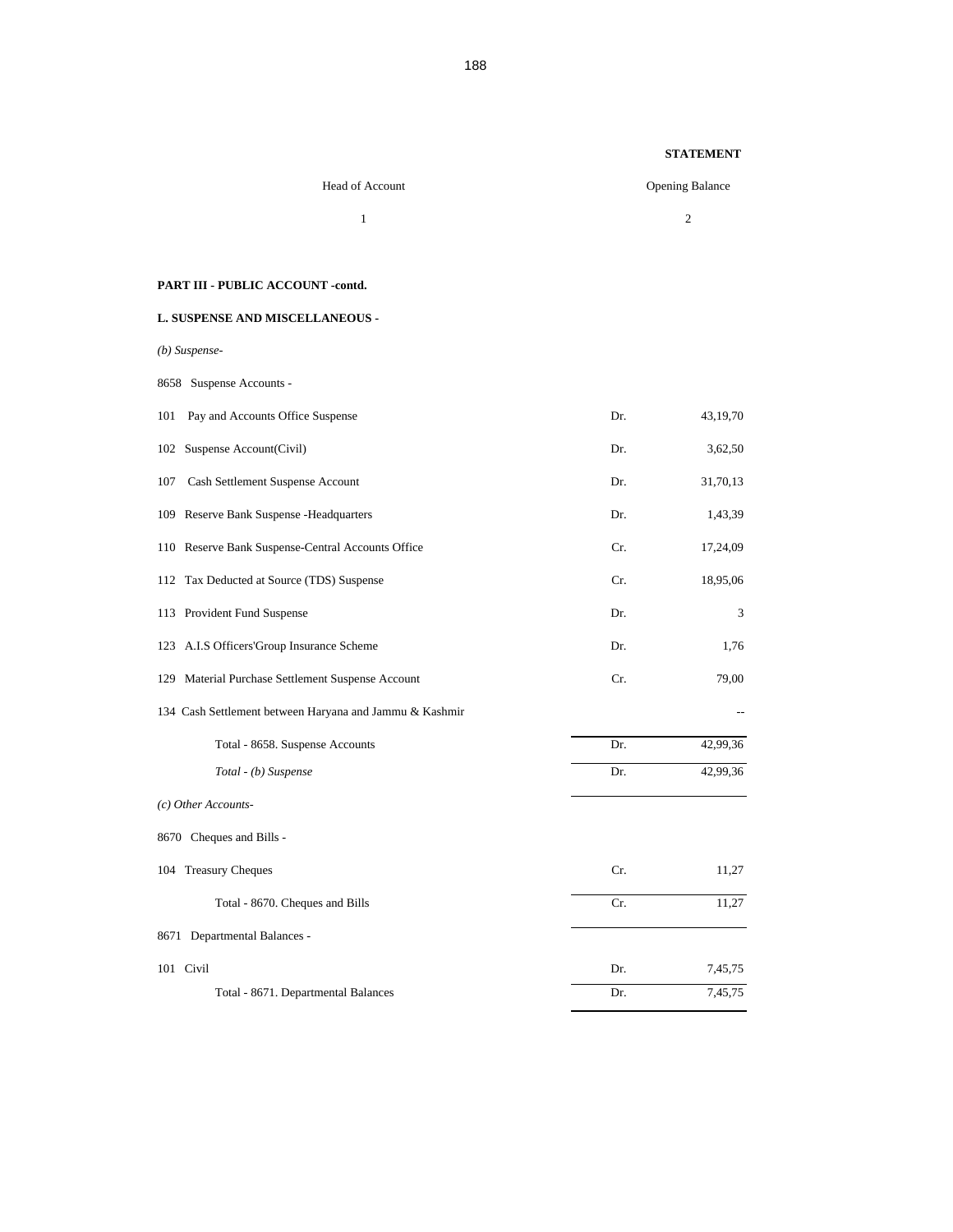| Head of Account |                                                         |     | <b>Opening Balance</b> |  |
|-----------------|---------------------------------------------------------|-----|------------------------|--|
| 1               |                                                         |     | 2                      |  |
|                 |                                                         |     |                        |  |
|                 | PART III - PUBLIC ACCOUNT -contd.                       |     |                        |  |
|                 | L. SUSPENSE AND MISCELLANEOUS -                         |     |                        |  |
|                 | (b) Suspense-                                           |     |                        |  |
|                 | 8658 Suspense Accounts -                                |     |                        |  |
| 101             | Pay and Accounts Office Suspense                        | Dr. | 43,19,70               |  |
|                 | 102 Suspense Account(Civil)                             | Dr. | 3,62,50                |  |
| 107             | Cash Settlement Suspense Account                        | Dr. | 31,70,13               |  |
|                 | 109 Reserve Bank Suspense - Headquarters                | Dr. | 1,43,39                |  |
|                 | 110 Reserve Bank Suspense-Central Accounts Office       | Cr. | 17,24,09               |  |
|                 | 112 Tax Deducted at Source (TDS) Suspense               | Cr. | 18,95,06               |  |
|                 | 113 Provident Fund Suspense                             | Dr. | 3                      |  |
|                 | 123 A.I.S Officers'Group Insurance Scheme               | Dr. | 1,76                   |  |
|                 | 129 Material Purchase Settlement Suspense Account       | Cr. | 79,00                  |  |
|                 | 134 Cash Settlement between Haryana and Jammu & Kashmir |     |                        |  |
|                 | Total - 8658. Suspense Accounts                         | Dr. | 42,99,36               |  |
|                 | Total - (b) Suspense                                    | Dr. | 42,99,36               |  |
|                 | (c) Other Accounts-                                     |     |                        |  |
|                 | 8670 Cheques and Bills -                                |     |                        |  |
|                 | 104 Treasury Cheques                                    | Cr. | 11,27                  |  |
|                 | Total - 8670. Cheques and Bills                         | Cr. | 11,27                  |  |
|                 | 8671 Departmental Balances -                            |     |                        |  |
|                 | 101 Civil                                               | Dr. | 7,45,75                |  |
|                 | Total - 8671. Departmental Balances                     | Dr. | 7,45,75                |  |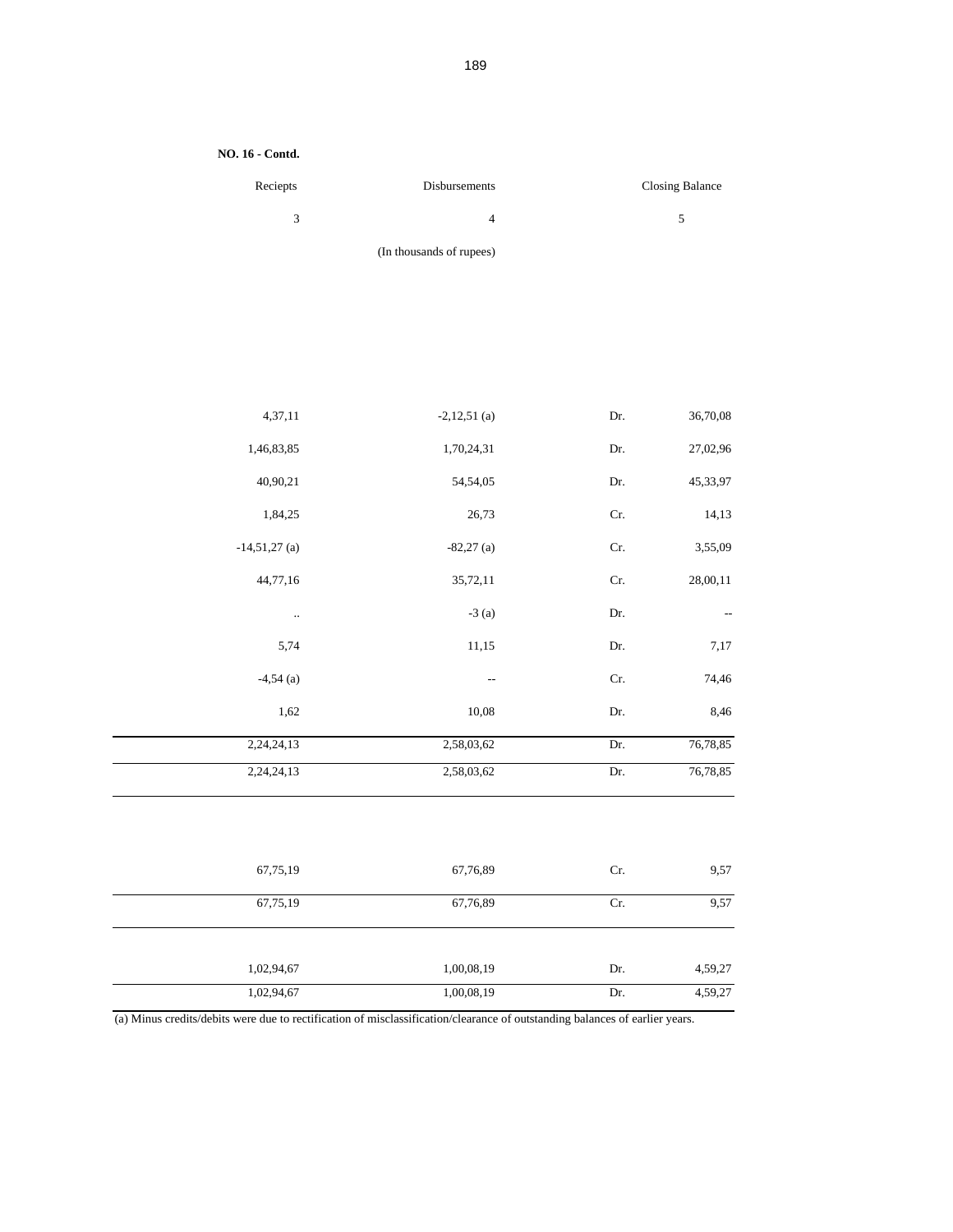|  |  | <b>NO. 16 - Contd.</b> |
|--|--|------------------------|
|--|--|------------------------|

| Reciepts | <b>Disbursements</b>     | Closing Balance |
|----------|--------------------------|-----------------|
|          | 4                        |                 |
|          | (In thousands of rupees) |                 |

| 4,37,11         | $-2,12,51$ (a) | Dr.       | 36,70,08 |
|-----------------|----------------|-----------|----------|
| 1,46,83,85      | 1,70,24,31     | Dr.       | 27,02,96 |
| 40,90,21        | 54,54,05       | Dr.       | 45,33,97 |
| 1,84,25         | 26,73          | Cr.       | 14,13    |
| $-14,51,27$ (a) | $-82,27(a)$    | Cr.       | 3,55,09  |
| 44,77,16        | 35,72,11       | Cr.       | 28,00,11 |
| $\cdot\cdot$    | $-3$ (a)       | Dr.       | $-\, -$  |
| 5,74            | 11,15          | Dr.       | 7,17     |
| $-4,54$ (a)     | --             | Cr.       | 74,46    |
| 1,62            | 10,08          | Dr.       | 8,46     |
| 2,24,24,13      | 2,58,03,62     | Dr.       | 76,78,85 |
| 2,24,24,13      | 2,58,03,62     | Dr.       | 76,78,85 |
|                 |                |           |          |
|                 |                |           |          |
| 67,75,19        | 67,76,89       | $\rm Cr.$ | 9,57     |
| 67,75,19        | 67,76,89       | Cr.       | 9,57     |
|                 |                |           |          |
| 1,02,94,67      | 1,00,08,19     | Dr.       | 4,59,27  |

(a) Minus credits/debits were due to rectification of misclassification/clearance of outstanding balances of earlier years.

1,02,94,67 1,00,08,19 Dr. 4,59,27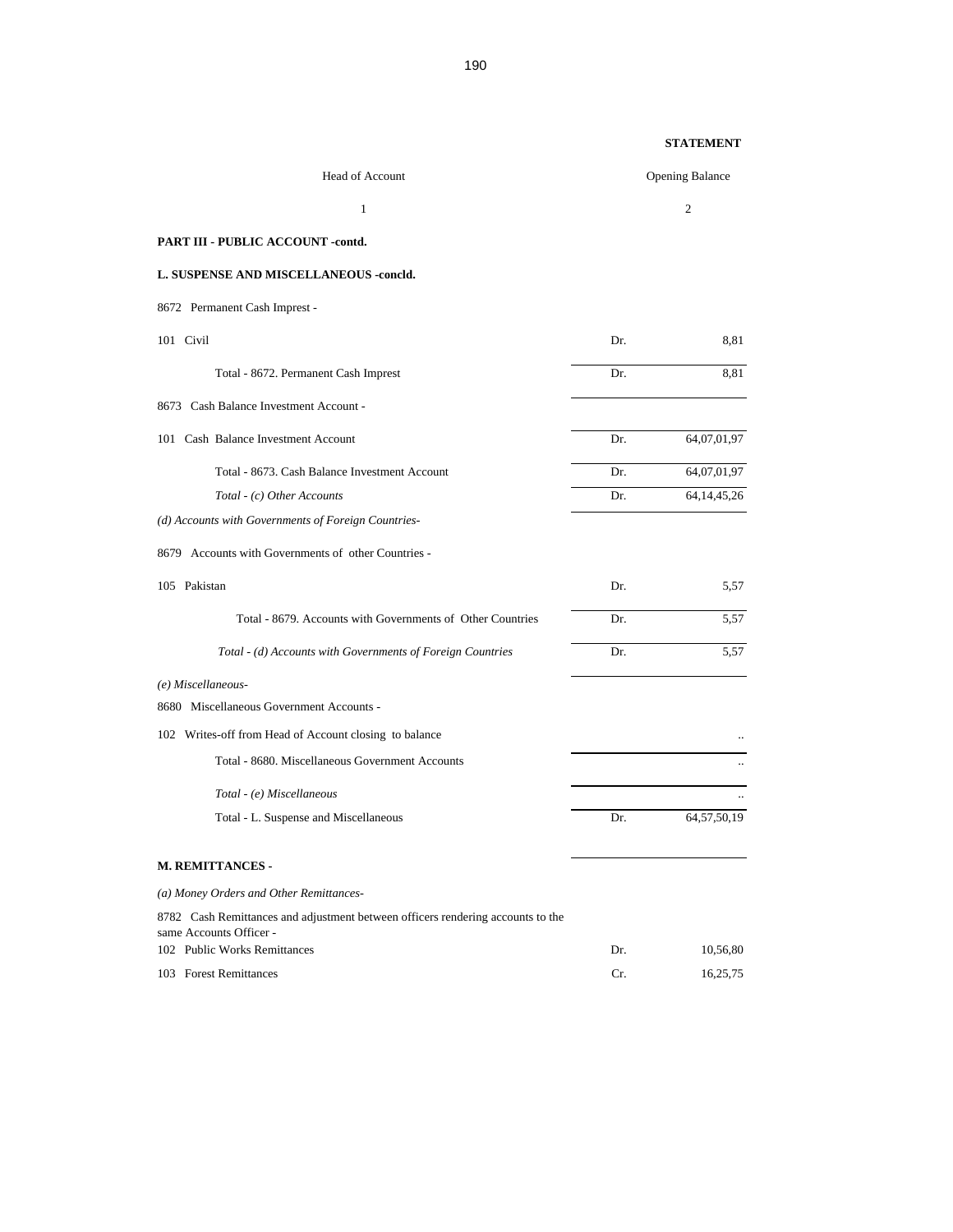| Head of Account                                                                 |     | <b>Opening Balance</b> |  |
|---------------------------------------------------------------------------------|-----|------------------------|--|
| $\mathbf{1}$                                                                    |     | 2                      |  |
| PART III - PUBLIC ACCOUNT -contd.                                               |     |                        |  |
| L. SUSPENSE AND MISCELLANEOUS -concld.                                          |     |                        |  |
| 8672 Permanent Cash Imprest -                                                   |     |                        |  |
| 101 Civil                                                                       | Dr. | 8,81                   |  |
| Total - 8672. Permanent Cash Imprest                                            | Dr. | 8,81                   |  |
| 8673 Cash Balance Investment Account -                                          |     |                        |  |
| 101 Cash Balance Investment Account                                             | Dr. | 64,07,01,97            |  |
| Total - 8673. Cash Balance Investment Account                                   | Dr. | 64,07,01,97            |  |
| Total - (c) Other Accounts                                                      | Dr. | 64, 14, 45, 26         |  |
| (d) Accounts with Governments of Foreign Countries-                             |     |                        |  |
| 8679 Accounts with Governments of other Countries -                             |     |                        |  |
| 105 Pakistan                                                                    | Dr. | 5,57                   |  |
| Total - 8679. Accounts with Governments of Other Countries                      | Dr. | 5,57                   |  |
| Total - (d) Accounts with Governments of Foreign Countries                      | Dr. | 5,57                   |  |
| (e) Miscellaneous-                                                              |     |                        |  |
| 8680 Miscellaneous Government Accounts -                                        |     |                        |  |
| 102 Writes-off from Head of Account closing to balance                          |     |                        |  |
| Total - 8680. Miscellaneous Government Accounts                                 |     |                        |  |
| Total - (e) Miscellaneous                                                       |     |                        |  |
| Total - L. Suspense and Miscellaneous                                           | Dr. | 64,57,50,19            |  |
| <b>M. REMITTANCES -</b>                                                         |     |                        |  |
| (a) Money Orders and Other Remittances-                                         |     |                        |  |
| 8782 Cash Remittances and adjustment between officers rendering accounts to the |     |                        |  |
| same Accounts Officer -<br>102 Public Works Remittances                         | Dr. | 10,56,80               |  |
| 103 Forest Remittances                                                          | Cr. | 16,25,75               |  |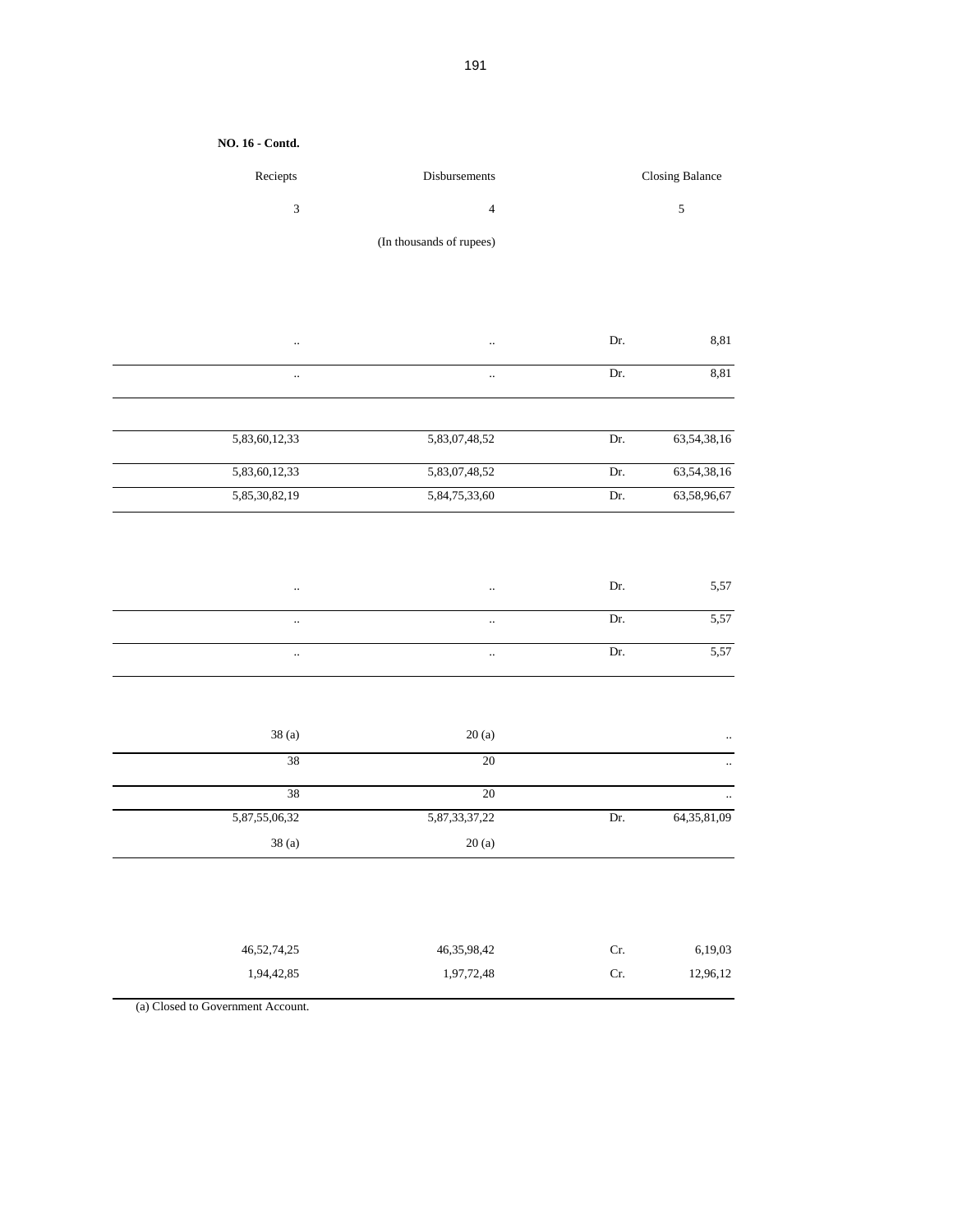| <b>Closing Balance</b> |           | Disbursements            | Reciepts             |
|------------------------|-----------|--------------------------|----------------------|
| $\sqrt{5}$             |           | $\overline{4}$           | $\sqrt{3}$           |
|                        |           | (In thousands of rupees) |                      |
|                        |           |                          |                      |
|                        |           |                          |                      |
| 8,81                   | Dr.       | $\ddot{\phantom{a}}$     | $\ddot{\phantom{a}}$ |
|                        |           |                          |                      |
| 8,81                   | Dr.       | ä,                       | $\ddot{\phantom{1}}$ |
|                        |           |                          |                      |
| 63, 54, 38, 16         | Dr.       | 5,83,07,48,52            | 5,83,60,12,33        |
| 63, 54, 38, 16         | Dr.       | 5,83,07,48,52            | 5,83,60,12,33        |
| 63,58,96,67            | Dr.       | 5,84,75,33,60            | 5,85,30,82,19        |
|                        |           |                          |                      |
|                        |           |                          |                      |
| 5,57                   | Dr.       | $\ddotsc$                | $\ddotsc$            |
| 5,57                   | Dr.       | ä,                       |                      |
| 5,57                   | Dr.       | $\ddotsc$                | $\ddot{\phantom{a}}$ |
|                        |           |                          |                      |
|                        |           |                          |                      |
| $\ddot{\phantom{a}}$   |           | $20(a)$                  | 38(a)                |
|                        |           | 20                       | 38                   |
|                        |           | 20                       | 38                   |
| 64, 35, 81, 09         | Dr.       | 5,87,33,37,22            | 5,87,55,06,32        |
|                        |           | 20(a)                    | 38(a)                |
|                        |           |                          |                      |
|                        |           |                          |                      |
| 6,19,03                | Cr.       | 46, 35, 98, 42           | 46, 52, 74, 25       |
| 12,96,12               | $\rm Cr.$ | 1,97,72,48               | 1,94,42,85           |

(a) Closed to Government Account.

**NO. 16 - Contd.**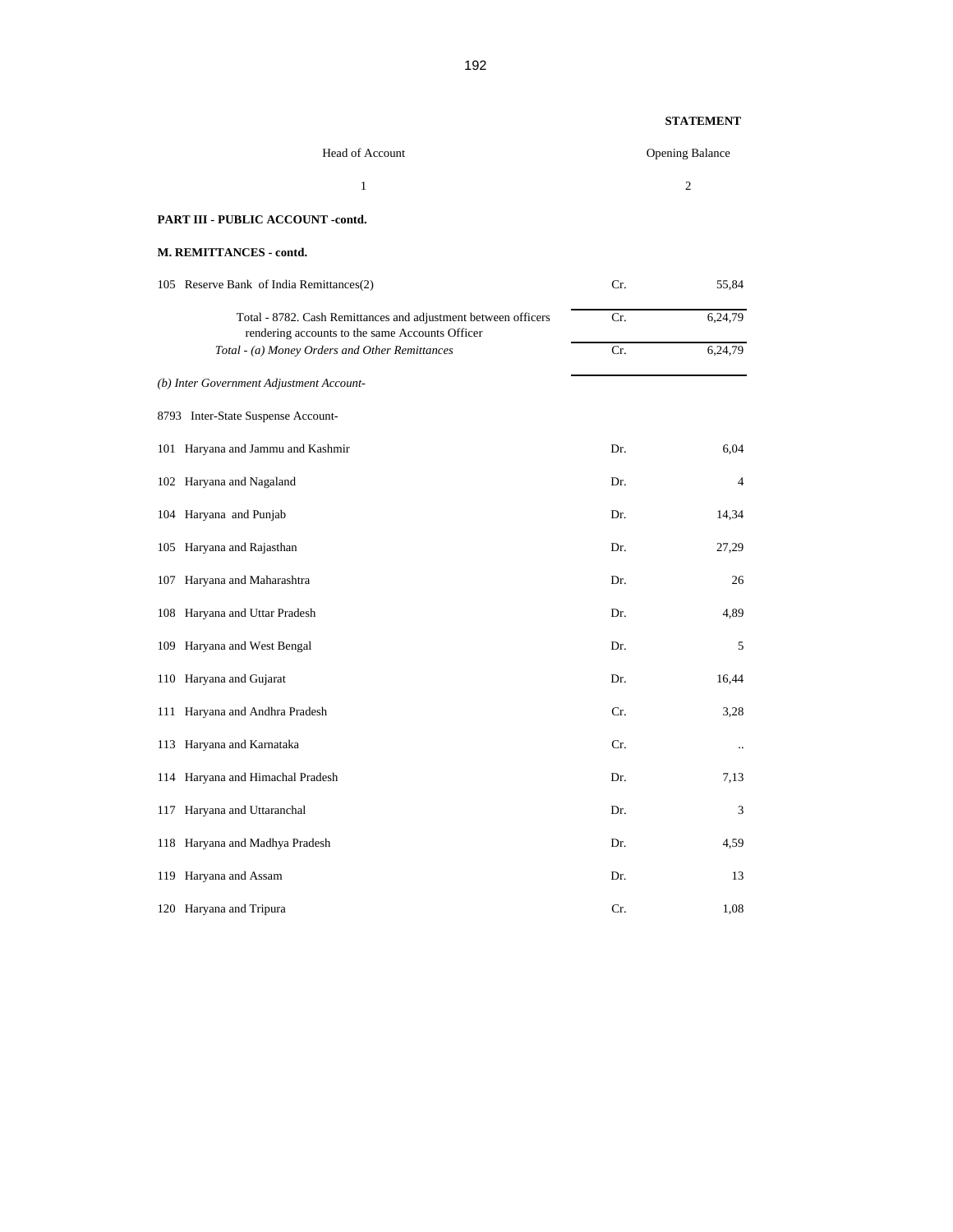| Head of Account                                                                                                   |     | <b>Opening Balance</b> |
|-------------------------------------------------------------------------------------------------------------------|-----|------------------------|
| 1                                                                                                                 |     | $\overline{2}$         |
| PART III - PUBLIC ACCOUNT -contd.                                                                                 |     |                        |
| M. REMITTANCES - contd.                                                                                           |     |                        |
| 105 Reserve Bank of India Remittances(2)                                                                          | Cr. | 55,84                  |
| Total - 8782. Cash Remittances and adjustment between officers<br>rendering accounts to the same Accounts Officer | Cr. | 6,24,79                |
| Total - (a) Money Orders and Other Remittances                                                                    | Cr. | 6,24,79                |
| (b) Inter Government Adjustment Account-                                                                          |     |                        |
| 8793 Inter-State Suspense Account-                                                                                |     |                        |
| 101 Haryana and Jammu and Kashmir                                                                                 | Dr. | 6,04                   |
| 102 Haryana and Nagaland                                                                                          | Dr. | 4                      |
| 104 Haryana and Punjab                                                                                            | Dr. | 14,34                  |
| 105 Haryana and Rajasthan                                                                                         | Dr. | 27,29                  |
| 107 Haryana and Maharashtra                                                                                       | Dr. | 26                     |
| 108 Haryana and Uttar Pradesh                                                                                     | Dr. | 4,89                   |
| 109 Haryana and West Bengal                                                                                       | Dr. | 5                      |
| 110 Haryana and Gujarat                                                                                           | Dr. | 16,44                  |
| 111 Haryana and Andhra Pradesh                                                                                    | Cr. | 3,28                   |
| 113 Haryana and Karnataka                                                                                         | Cr. | $\ddot{\phantom{a}}$   |
| 114 Haryana and Himachal Pradesh                                                                                  | Dr. | 7,13                   |
| 117 Haryana and Uttaranchal                                                                                       | Dr. | 3                      |
| 118 Haryana and Madhya Pradesh                                                                                    | Dr. | 4,59                   |
| 119 Haryana and Assam                                                                                             | Dr. | 13                     |
| 120 Haryana and Tripura                                                                                           | Cr. | 1,08                   |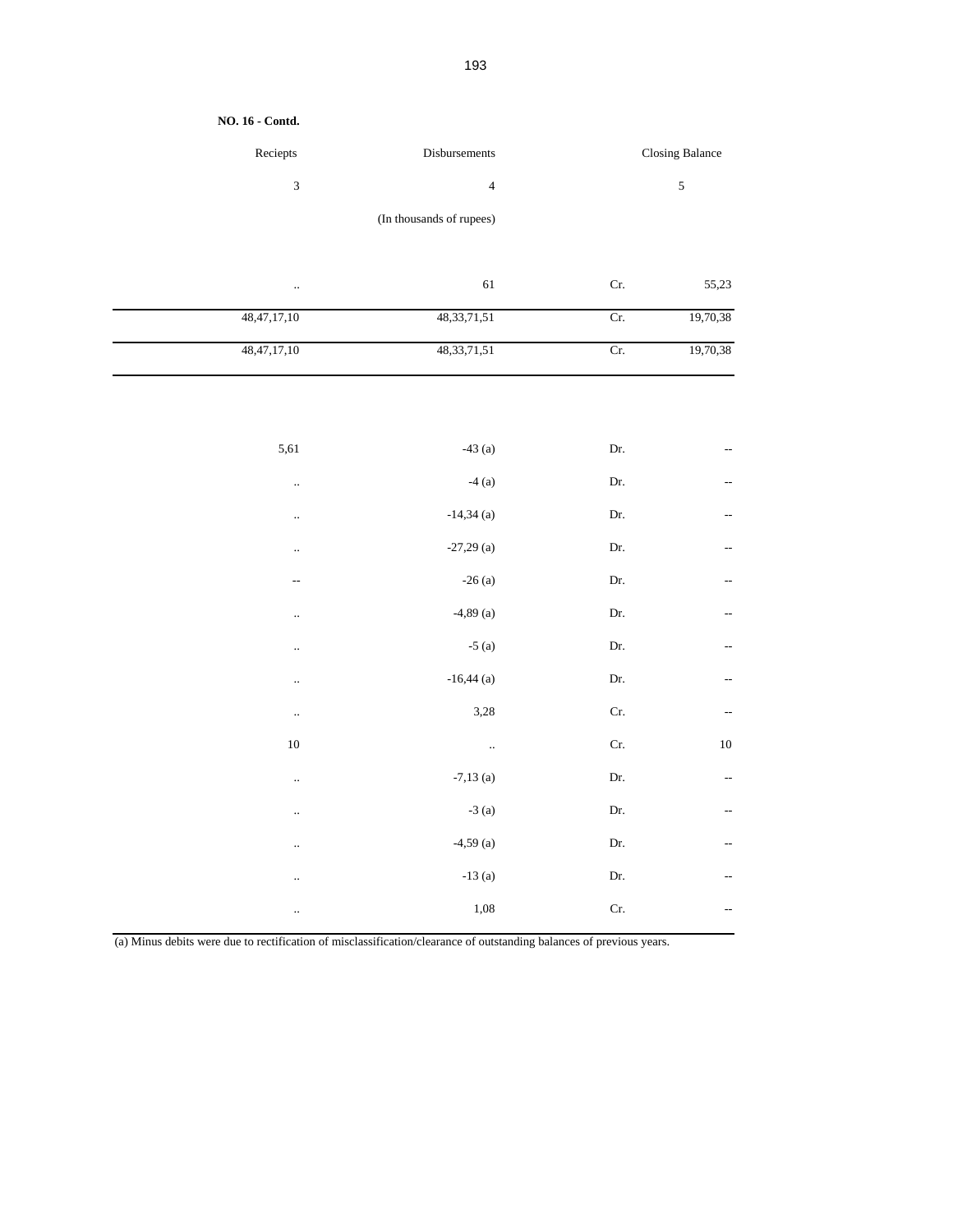| <b>NO. 16 - Contd.</b> |                                          |                             |                          |
|------------------------|------------------------------------------|-----------------------------|--------------------------|
| Reciepts               | $\label{thm:obs} \textbf{Disbursements}$ |                             | Closing Balance          |
| $\overline{3}$         | $\overline{\mathbf{4}}$                  |                             | $\overline{5}$           |
|                        | (In thousands of rupees)                 |                             |                          |
|                        |                                          |                             |                          |
| .,                     | 61                                       | Cr.                         | 55,23                    |
| 48, 47, 17, 10         | 48, 33, 71, 51                           | Cr.                         | 19,70,38                 |
| 48, 47, 17, 10         | 48, 33, 71, 51                           | Cr.                         | 19,70,38                 |
|                        |                                          |                             |                          |
|                        |                                          |                             |                          |
| 5,61                   | $-43$ (a)                                | $\mathop{\rm Dr}\nolimits.$ | $\overline{a}$           |
|                        | $-4$ (a)                                 | Dr.                         |                          |
|                        | $-14,34$ (a)                             | Dr.                         | $\overline{\phantom{a}}$ |
|                        | $-27,29$ (a)                             | Dr.                         | $\overline{a}$           |
|                        | $-26(a)$                                 | Dr.                         | $\overline{a}$           |
|                        | $-4,89$ (a)                              | Dr.                         |                          |
|                        | $-5$ (a)                                 | Dr.                         |                          |
| $\ddot{\phantom{a}}$   | $-16,44$ (a)                             | Dr.                         |                          |
| $\ldots$               | 3,28                                     | $\rm Cr.$                   | --                       |
| $10\,$                 | $\ldots$                                 | Cr.                         | $10\,$                   |
| $\ddot{\phantom{0}}$   | $-7,13(a)$                               | $\mathop{\rm Dr}\nolimits.$ | $- -$                    |
|                        | $-3$ (a)                                 | $\mathop{\rm Dr}\nolimits.$ |                          |
| $\ddot{\phantom{a}}$   | $-4,59$ (a)                              | $\mathop{\rm Dr}\nolimits.$ |                          |
|                        | $-13(a)$                                 | Dr.                         |                          |
| $\ddot{\phantom{a}}$   | 1,08                                     | Cr.                         | $\overline{\phantom{a}}$ |

(a) Minus debits were due to rectification of misclassification/clearance of outstanding balances of previous years.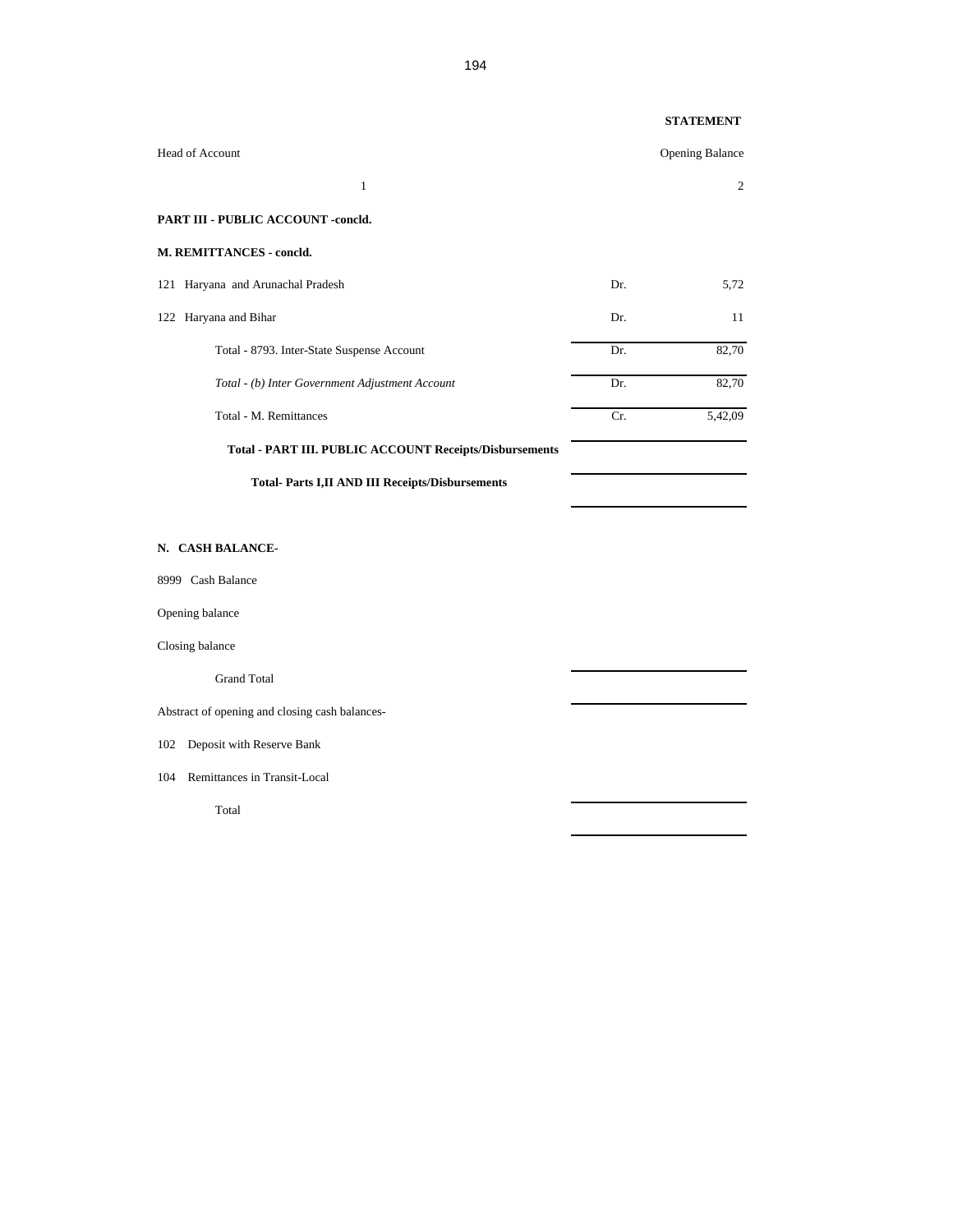| <b>Head of Account</b>                                         |     | <b>Opening Balance</b> |
|----------------------------------------------------------------|-----|------------------------|
| 1                                                              |     | 2                      |
| PART III - PUBLIC ACCOUNT -concld.                             |     |                        |
| M. REMITTANCES - concld.                                       |     |                        |
| 121 Haryana and Arunachal Pradesh                              | Dr. | 5,72                   |
| 122 Haryana and Bihar                                          | Dr. | 11                     |
| Total - 8793. Inter-State Suspense Account                     | Dr. | 82,70                  |
| Total - (b) Inter Government Adjustment Account                | Dr. | 82,70                  |
| Total - M. Remittances                                         | Cr. | 5,42,09                |
| <b>Total - PART III. PUBLIC ACCOUNT Receipts/Disbursements</b> |     |                        |
| <b>Total-Parts I,II AND III Receipts/Disbursements</b>         |     |                        |

# **N. CASH BALANCE-**

8999 Cash Balance

Opening balance

Closing balance

Grand Total

Abstract of opening and closing cash balances-

102 Deposit with Reserve Bank

104 Remittances in Transit-Local

Total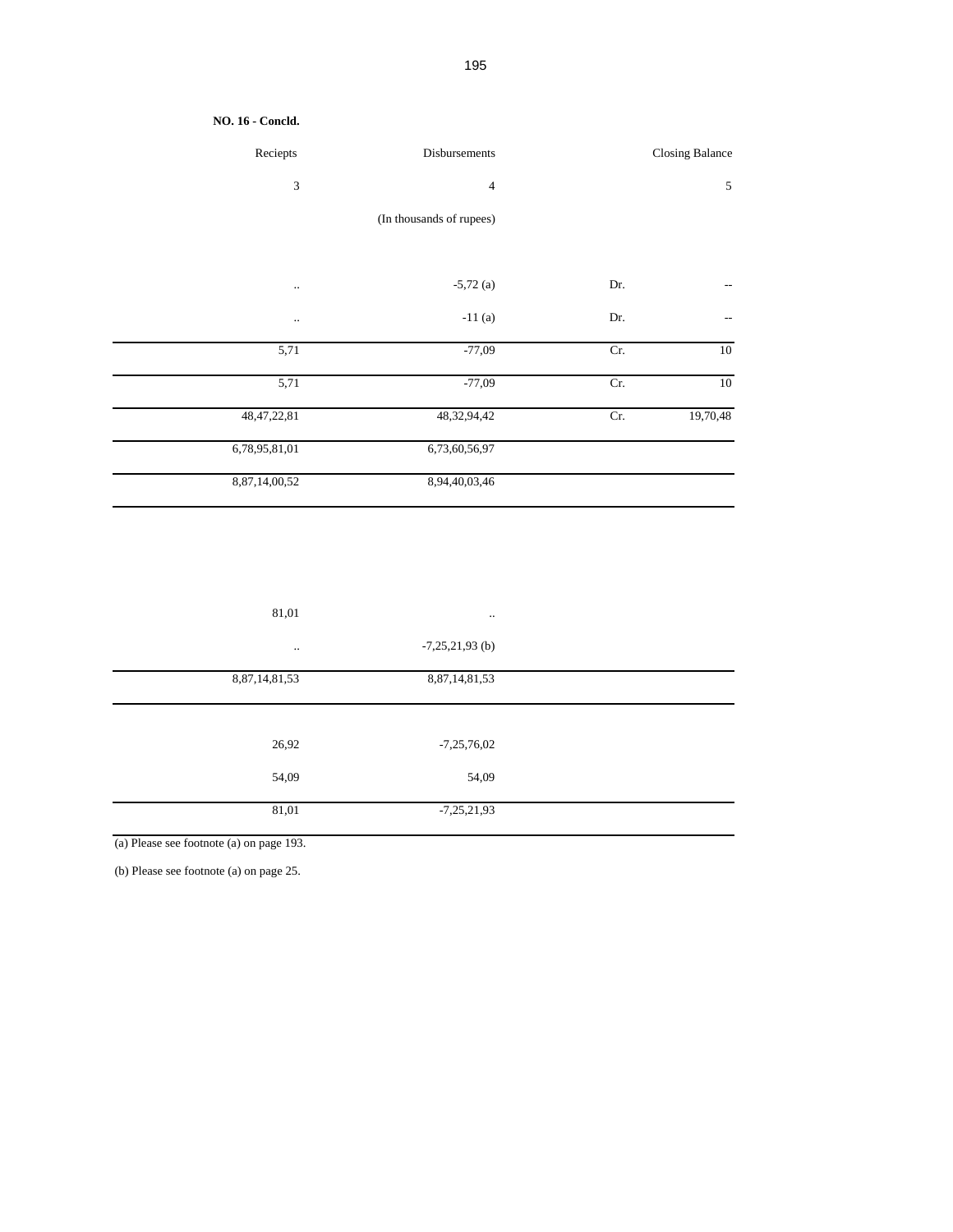| <b>NO. 16 - Concld.</b> |                             |                          |     |                        |
|-------------------------|-----------------------------|--------------------------|-----|------------------------|
|                         | Reciepts                    | Disbursements            |     | <b>Closing Balance</b> |
|                         | $\ensuremath{\mathfrak{Z}}$ | $\overline{4}$           |     | $\sqrt{5}$             |
|                         |                             | (In thousands of rupees) |     |                        |
|                         |                             |                          |     |                        |
|                         |                             | $-5,72(a)$               | Dr. | $-$                    |
|                         | $\ldots$                    | $-11(a)$                 | Dr. |                        |
|                         | 5,71                        | $-77,09$                 | Cr. | 10                     |
|                         | 5,71                        | $-77,09$                 | Cr. | 10                     |
| 48, 47, 22, 81          |                             | 48, 32, 94, 42           | Cr. | 19,70,48               |
| 6,78,95,81,01           |                             | 6,73,60,56,97            |     |                        |
| 8,87,14,00,52           |                             | 8,94,40,03,46            |     |                        |

| 81,01         | $\cdot\cdot$      |  |
|---------------|-------------------|--|
|               | $-7,25,21,93$ (b) |  |
| 8,87,14,81,53 | 8,87,14,81,53     |  |
|               |                   |  |
| 26,92         | $-7,25,76,02$     |  |
| 54,09         | 54,09             |  |
| 81,01         | $-7,25,21,93$     |  |

(a) Please see footnote (a) on page 193.

(b) Please see footnote (a) on page 25.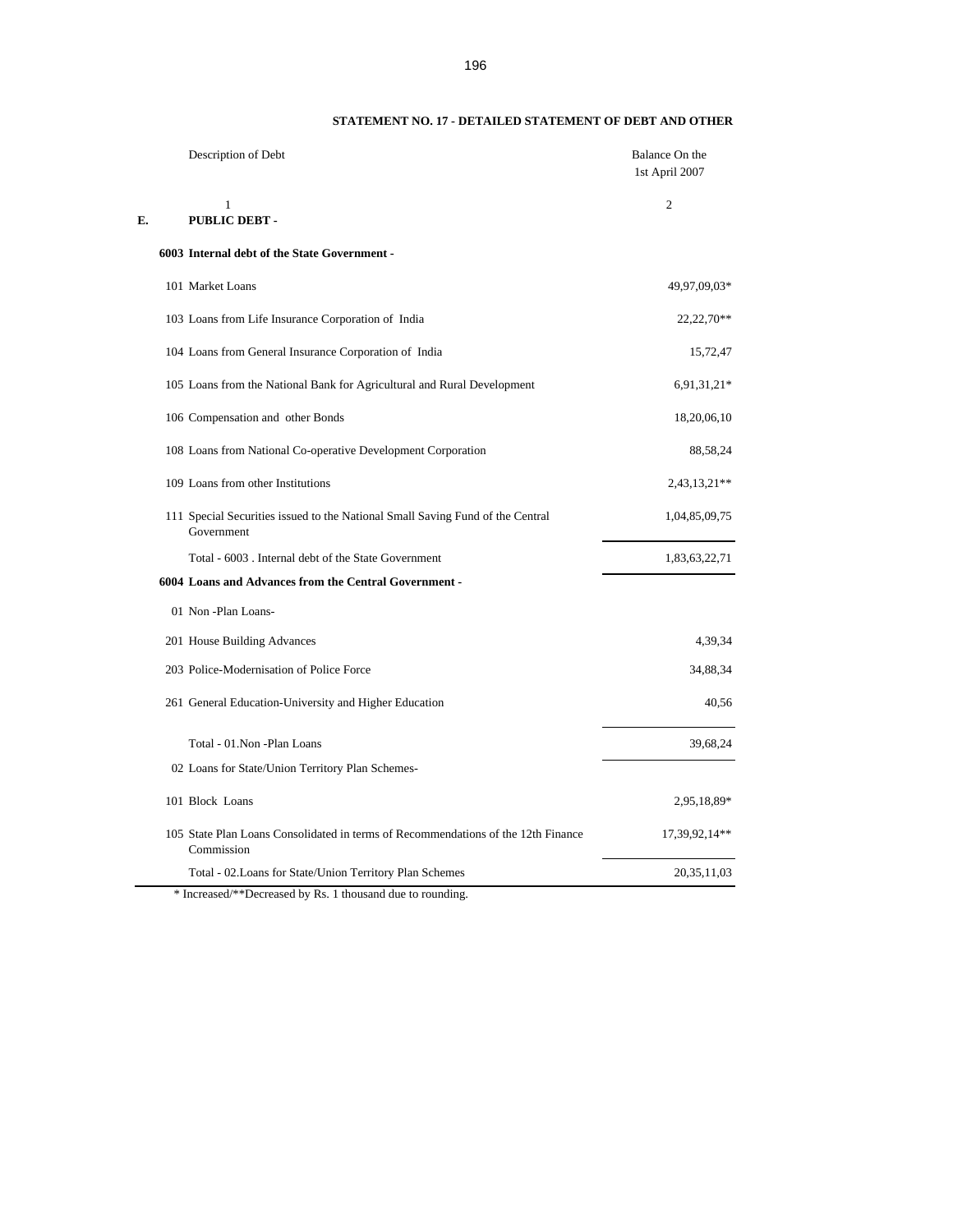|    | Description of Debt                                                                             | Balance On the<br>1st April 2007 |
|----|-------------------------------------------------------------------------------------------------|----------------------------------|
| Е. | 1<br><b>PUBLIC DEBT-</b>                                                                        | 2                                |
|    | 6003 Internal debt of the State Government -                                                    |                                  |
|    | 101 Market Loans                                                                                | 49,97,09,03*                     |
|    | 103 Loans from Life Insurance Corporation of India                                              | 22, 22, 70**                     |
|    | 104 Loans from General Insurance Corporation of India                                           | 15,72,47                         |
|    | 105 Loans from the National Bank for Agricultural and Rural Development                         | 6,91,31,21*                      |
|    | 106 Compensation and other Bonds                                                                | 18,20,06,10                      |
|    | 108 Loans from National Co-operative Development Corporation                                    | 88,58,24                         |
|    | 109 Loans from other Institutions                                                               | 2,43,13,21**                     |
|    | 111 Special Securities issued to the National Small Saving Fund of the Central<br>Government    | 1,04,85,09,75                    |
|    | Total - 6003. Internal debt of the State Government                                             | 1,83,63,22,71                    |
|    | 6004 Loans and Advances from the Central Government -                                           |                                  |
|    | 01 Non-Plan Loans-                                                                              |                                  |
|    | 201 House Building Advances                                                                     | 4,39,34                          |
|    | 203 Police-Modernisation of Police Force                                                        | 34,88,34                         |
|    | 261 General Education-University and Higher Education                                           | 40,56                            |
|    | Total - 01. Non -Plan Loans                                                                     | 39,68,24                         |
|    | 02 Loans for State/Union Territory Plan Schemes-                                                |                                  |
|    | 101 Block Loans                                                                                 | 2,95,18,89*                      |
|    | 105 State Plan Loans Consolidated in terms of Recommendations of the 12th Finance<br>Commission | 17,39,92,14**                    |
|    | Total - 02. Loans for State/Union Territory Plan Schemes                                        | 20, 35, 11, 03                   |
|    | * Increased/**Decreased by Rs. 1 thousand due to rounding.                                      |                                  |

# **STATEMENT NO. 17 - DETAILED STATEMENT OF DEBT AND OTHER**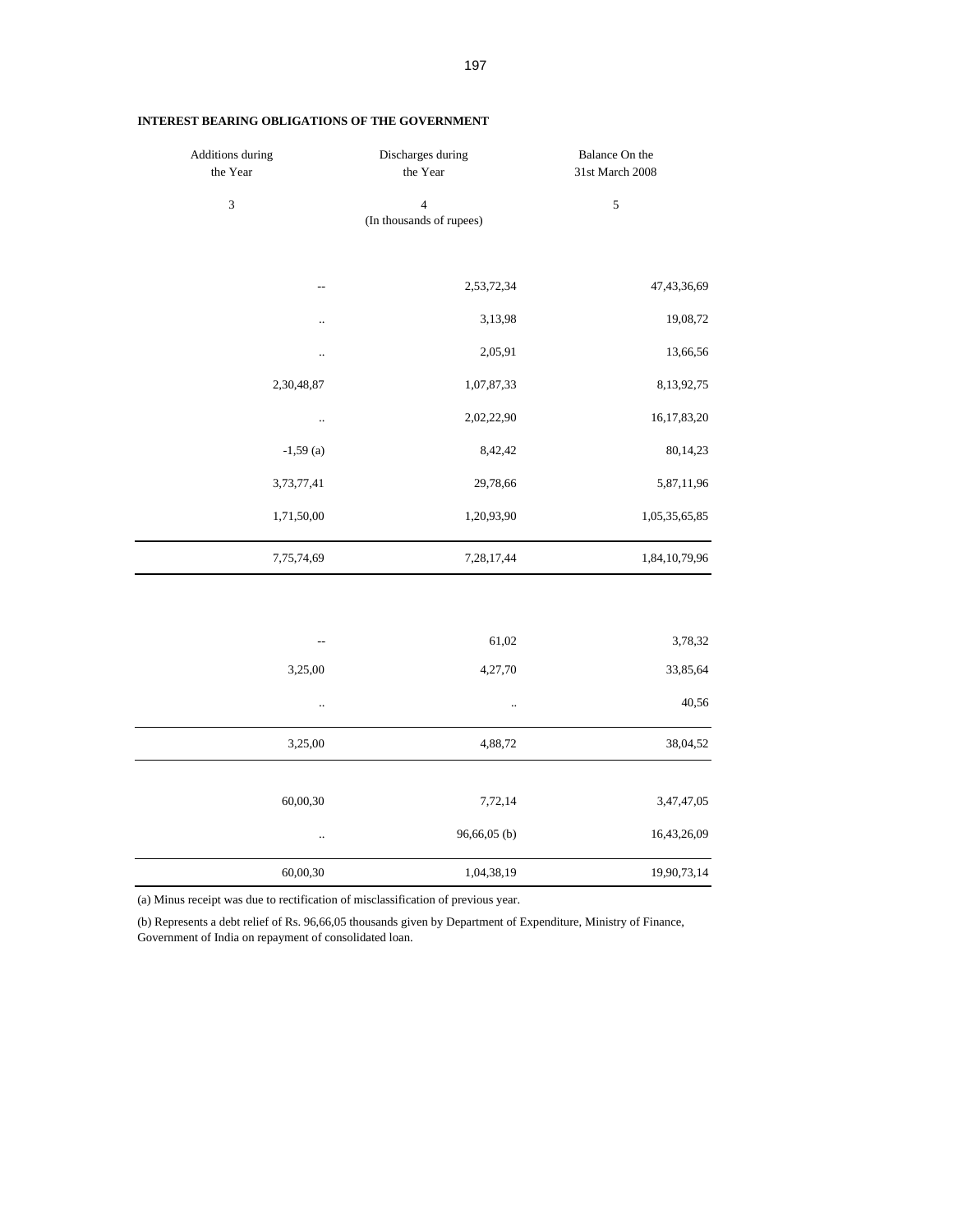| Additions during<br>the Year | Discharges during<br>the Year              | Balance On the<br>31st March 2008 |  |
|------------------------------|--------------------------------------------|-----------------------------------|--|
| $\ensuremath{\mathfrak{Z}}$  | $\overline{4}$<br>(In thousands of rupees) | 5                                 |  |
|                              | 2,53,72,34                                 | 47, 43, 36, 69                    |  |
|                              | 3,13,98                                    | 19,08,72                          |  |
| $\ldots$                     | 2,05,91                                    | 13,66,56                          |  |
| 2,30,48,87                   | 1,07,87,33                                 | 8,13,92,75                        |  |
|                              | 2,02,22,90                                 | 16,17,83,20                       |  |
| $-1,59$ (a)                  | 8,42,42                                    | 80,14,23                          |  |
| 3,73,77,41                   | 29,78,66                                   | 5,87,11,96                        |  |
| 1,71,50,00                   | 1,20,93,90                                 | 1,05,35,65,85                     |  |
| 7,75,74,69                   | 7,28,17,44                                 | 1,84,10,79,96                     |  |
|                              | 61,02                                      | 3,78,32                           |  |
| 3,25,00                      | 4,27,70                                    | 33,85,64                          |  |
| $\ddotsc$                    |                                            | 40,56                             |  |
| 3,25,00                      | 4,88,72                                    | 38,04,52                          |  |
| 60,00,30                     | 7,72,14                                    | 3,47,47,05                        |  |
|                              | 96,66,05 (b)                               | 16,43,26,09                       |  |
| 60,00,30                     | 1,04,38,19                                 | 19,90,73,14                       |  |

# **INTEREST BEARING OBLIGATIONS OF THE GOVERNMENT**

(a) Minus receipt was due to rectification of misclassification of previous year.

(b) Represents a debt relief of Rs. 96,66,05 thousands given by Department of Expenditure, Ministry of Finance, Government of India on repayment of consolidated loan.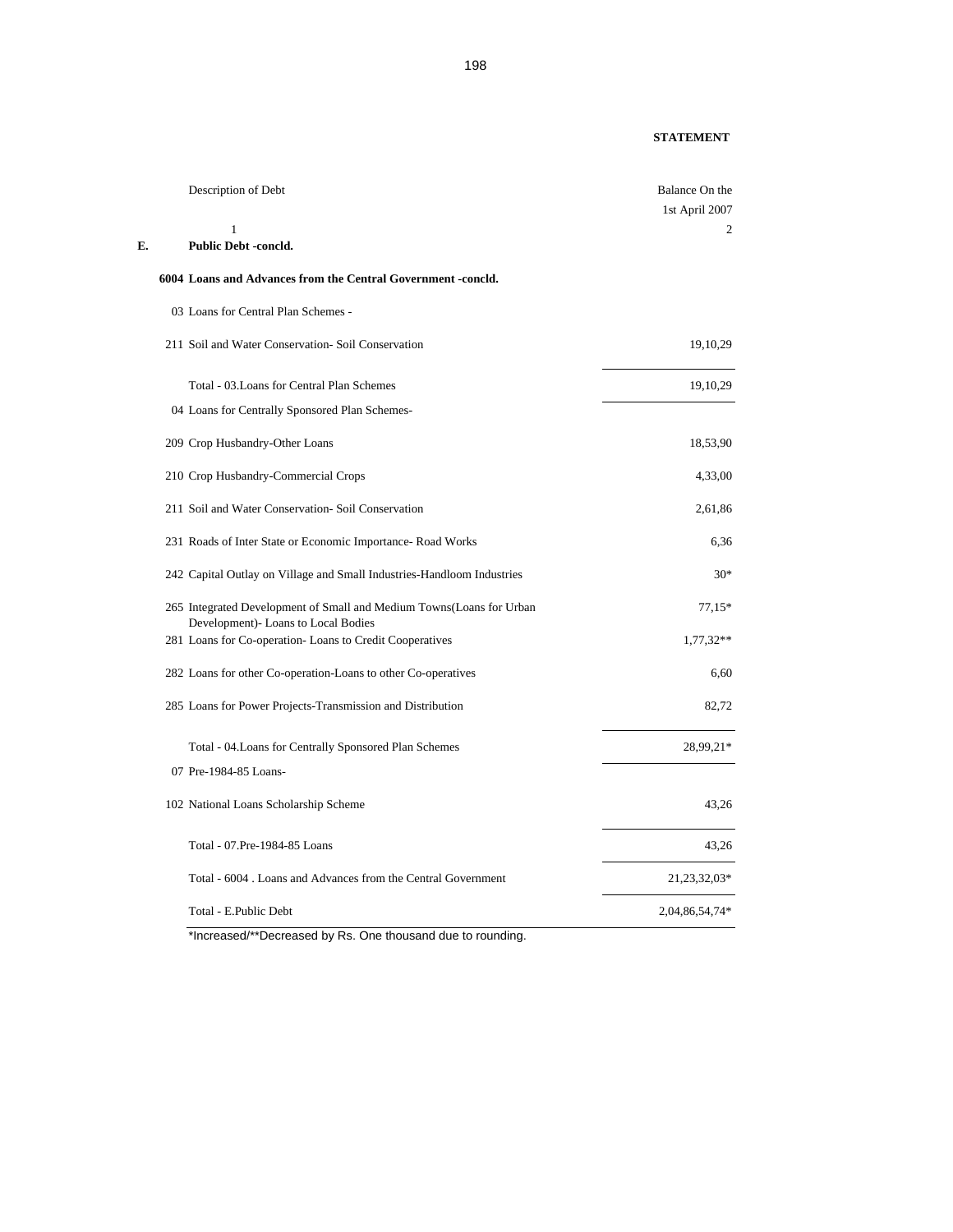| Description of Debt                        |                                                                                                             | Balance On the  |
|--------------------------------------------|-------------------------------------------------------------------------------------------------------------|-----------------|
|                                            |                                                                                                             | 1st April 2007  |
| $\mathbf{1}$<br>Public Debt -concld.<br>E. |                                                                                                             | 2               |
|                                            | 6004 Loans and Advances from the Central Government -concld.                                                |                 |
| 03 Loans for Central Plan Schemes -        |                                                                                                             |                 |
|                                            | 211 Soil and Water Conservation-Soil Conservation                                                           | 19, 10, 29      |
|                                            | Total - 03. Loans for Central Plan Schemes                                                                  | 19, 10, 29      |
|                                            | 04 Loans for Centrally Sponsored Plan Schemes-                                                              |                 |
| 209 Crop Husbandry-Other Loans             |                                                                                                             | 18,53,90        |
| 210 Crop Husbandry-Commercial Crops        |                                                                                                             | 4,33,00         |
|                                            | 211 Soil and Water Conservation- Soil Conservation                                                          | 2,61,86         |
|                                            | 231 Roads of Inter State or Economic Importance- Road Works                                                 | 6,36            |
|                                            | 242 Capital Outlay on Village and Small Industries-Handloom Industries                                      | $30*$           |
|                                            | 265 Integrated Development of Small and Medium Towns(Loans for Urban<br>Development)- Loans to Local Bodies | $77,15*$        |
|                                            | 281 Loans for Co-operation-Loans to Credit Cooperatives                                                     | 1,77,32**       |
|                                            | 282 Loans for other Co-operation-Loans to other Co-operatives                                               | 6,60            |
|                                            | 285 Loans for Power Projects-Transmission and Distribution                                                  | 82,72           |
|                                            | Total - 04. Loans for Centrally Sponsored Plan Schemes                                                      | 28,99,21*       |
| 07 Pre-1984-85 Loans-                      |                                                                                                             |                 |
| 102 National Loans Scholarship Scheme      |                                                                                                             | 43,26           |
| Total - 07. Pre-1984-85 Loans              |                                                                                                             | 43,26           |
|                                            | Total - 6004. Loans and Advances from the Central Government                                                | 21, 23, 32, 03* |
| Total - E.Public Debt                      |                                                                                                             | 2,04,86,54,74*  |

\*Increased/\*\*Decreased by Rs. One thousand due to rounding.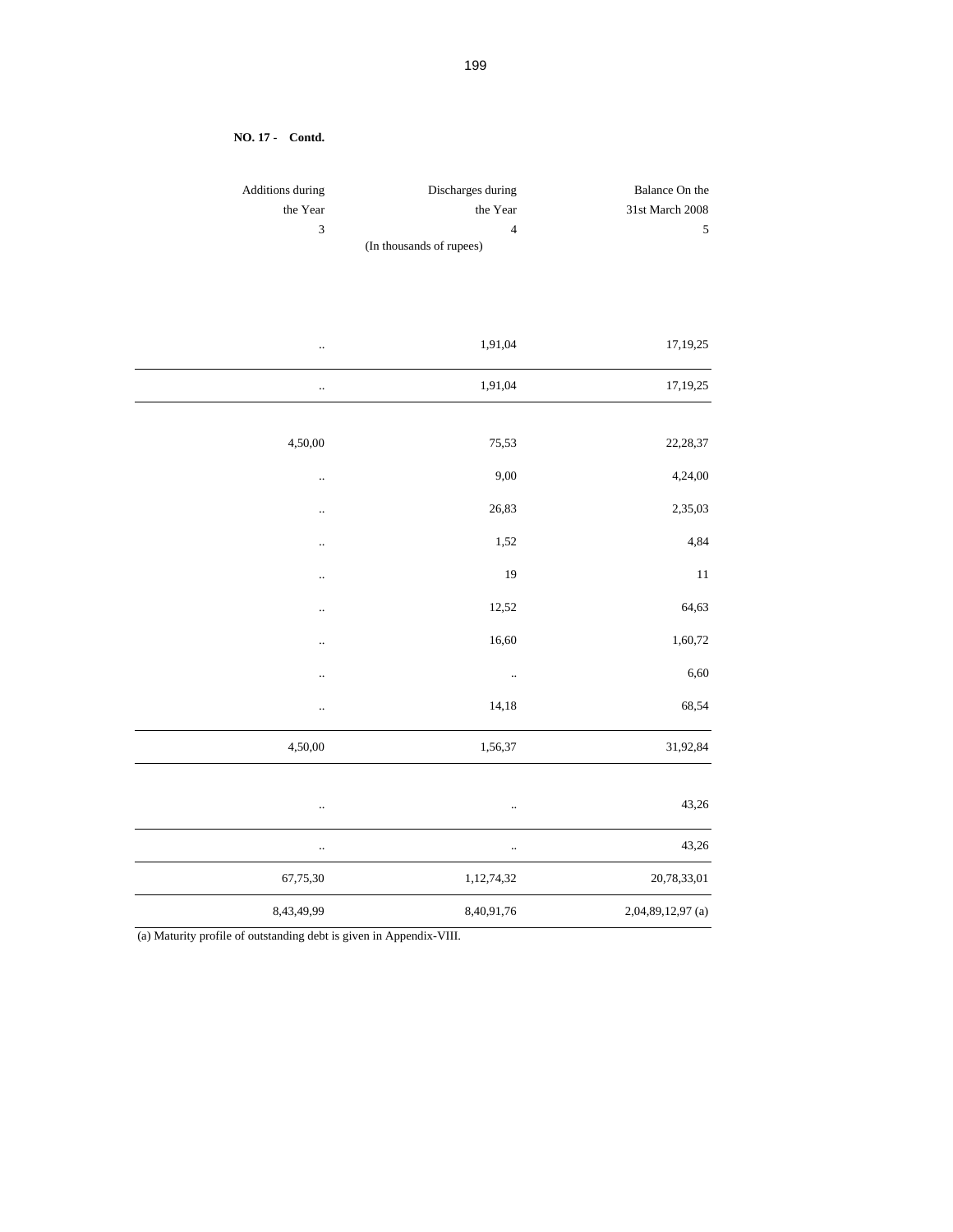| <b>NO. 17 - Contd.</b> |
|------------------------|
|------------------------|

| Additions during         | Discharges during | Balance On the  |
|--------------------------|-------------------|-----------------|
| the Year                 | the Year          | 31st March 2008 |
|                          |                   |                 |
| (In thousands of rupees) |                   |                 |

| $\ldots$                                                            | 1,91,04    | 17,19,25          |
|---------------------------------------------------------------------|------------|-------------------|
| $\ddot{\phantom{a}}$                                                | 1,91,04    | 17,19,25          |
|                                                                     |            |                   |
| 4,50,00                                                             | 75,53      | 22,28,37          |
| $\ldots$                                                            | 9,00       | 4,24,00           |
| $\cdot$ .                                                           | 26,83      | 2,35,03           |
| $\ddotsc$                                                           | 1,52       | 4,84              |
| $\ddotsc$                                                           | 19         | 11                |
| $\ddot{\phantom{0}}$                                                | 12,52      | 64,63             |
| $\ddot{\phantom{a}}$                                                | 16,60      | 1,60,72           |
| $\ddot{\phantom{0}}$                                                | $\ldots$   | 6,60              |
| $\ddot{\phantom{0}}$                                                | 14,18      | 68,54             |
| 4,50,00                                                             | 1,56,37    | 31,92,84          |
|                                                                     |            |                   |
| $\ldots$                                                            |            | 43,26             |
| $\ldots$                                                            | $\ddotsc$  | 43,26             |
| 67,75,30                                                            | 1,12,74,32 | 20,78,33,01       |
| 8,43,49,99                                                          | 8,40,91,76 | 2,04,89,12,97 (a) |
| (a) Maturity profile of outstanding debt is given in Appendix-VIII. |            |                   |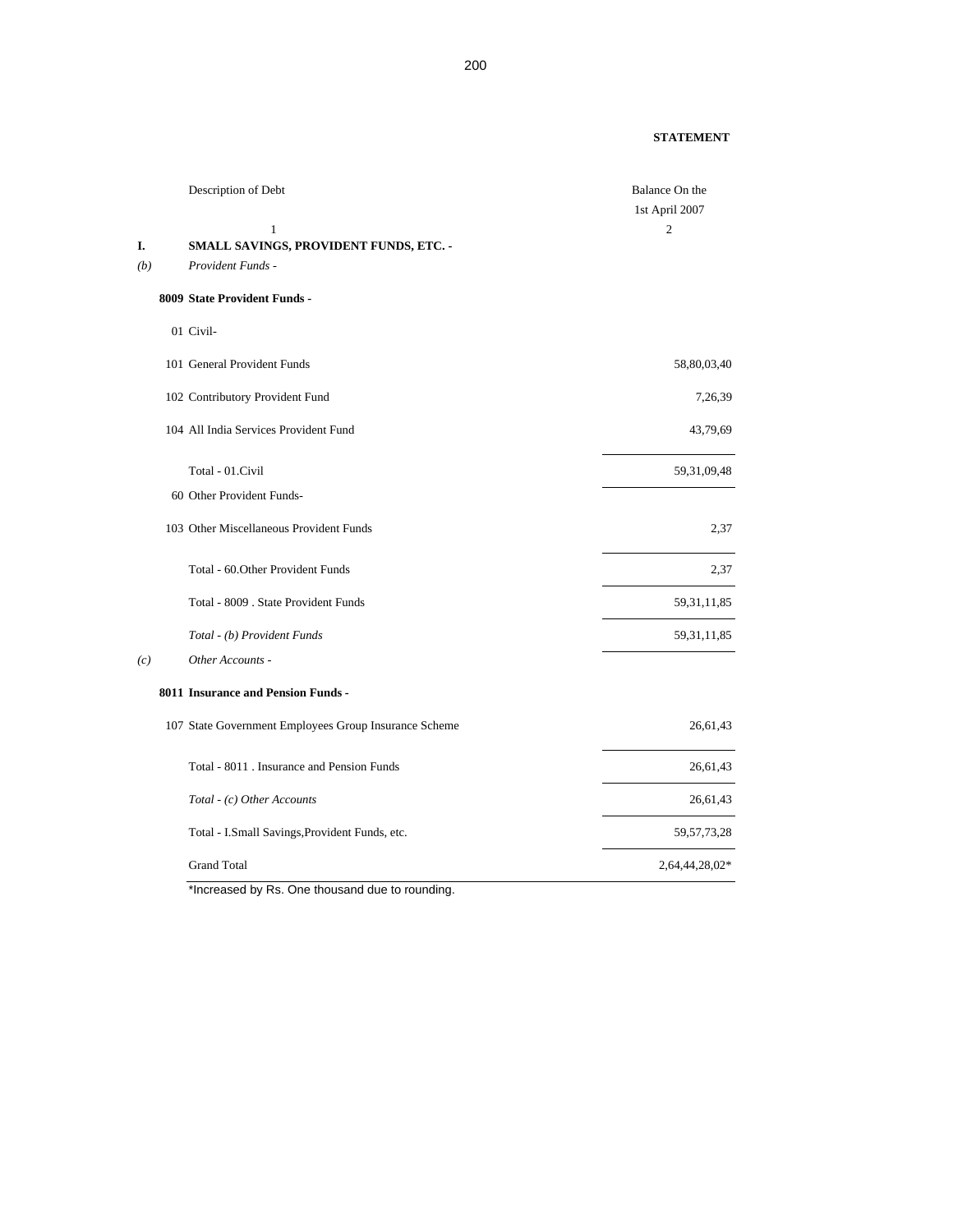|     | Description of Debt                                    | Balance On the<br>1st April 2007 |
|-----|--------------------------------------------------------|----------------------------------|
| I.  | $\mathbf{1}$<br>SMALL SAVINGS, PROVIDENT FUNDS, ETC. - | 2                                |
| (b) | Provident Funds -                                      |                                  |
|     | 8009 State Provident Funds -                           |                                  |
|     | 01 Civil-                                              |                                  |
|     | 101 General Provident Funds                            | 58,80,03,40                      |
|     | 102 Contributory Provident Fund                        | 7,26,39                          |
|     | 104 All India Services Provident Fund                  | 43,79,69                         |
|     | Total - 01. Civil                                      | 59, 31, 09, 48                   |
|     | 60 Other Provident Funds-                              |                                  |
|     | 103 Other Miscellaneous Provident Funds                | 2,37                             |
|     | Total - 60. Other Provident Funds                      | 2,37                             |
|     | Total - 8009 . State Provident Funds                   | 59, 31, 11, 85                   |
|     | Total - (b) Provident Funds                            | 59, 31, 11, 85                   |
| (c) | Other Accounts -                                       |                                  |
|     | 8011 Insurance and Pension Funds -                     |                                  |
|     | 107 State Government Employees Group Insurance Scheme  | 26,61,43                         |
|     | Total - 8011 . Insurance and Pension Funds             | 26,61,43                         |
|     | Total - (c) Other Accounts                             | 26,61,43                         |
|     | Total - I.Small Savings, Provident Funds, etc.         | 59, 57, 73, 28                   |
|     | <b>Grand Total</b>                                     | 2,64,44,28,02*                   |

\*Increased by Rs. One thousand due to rounding.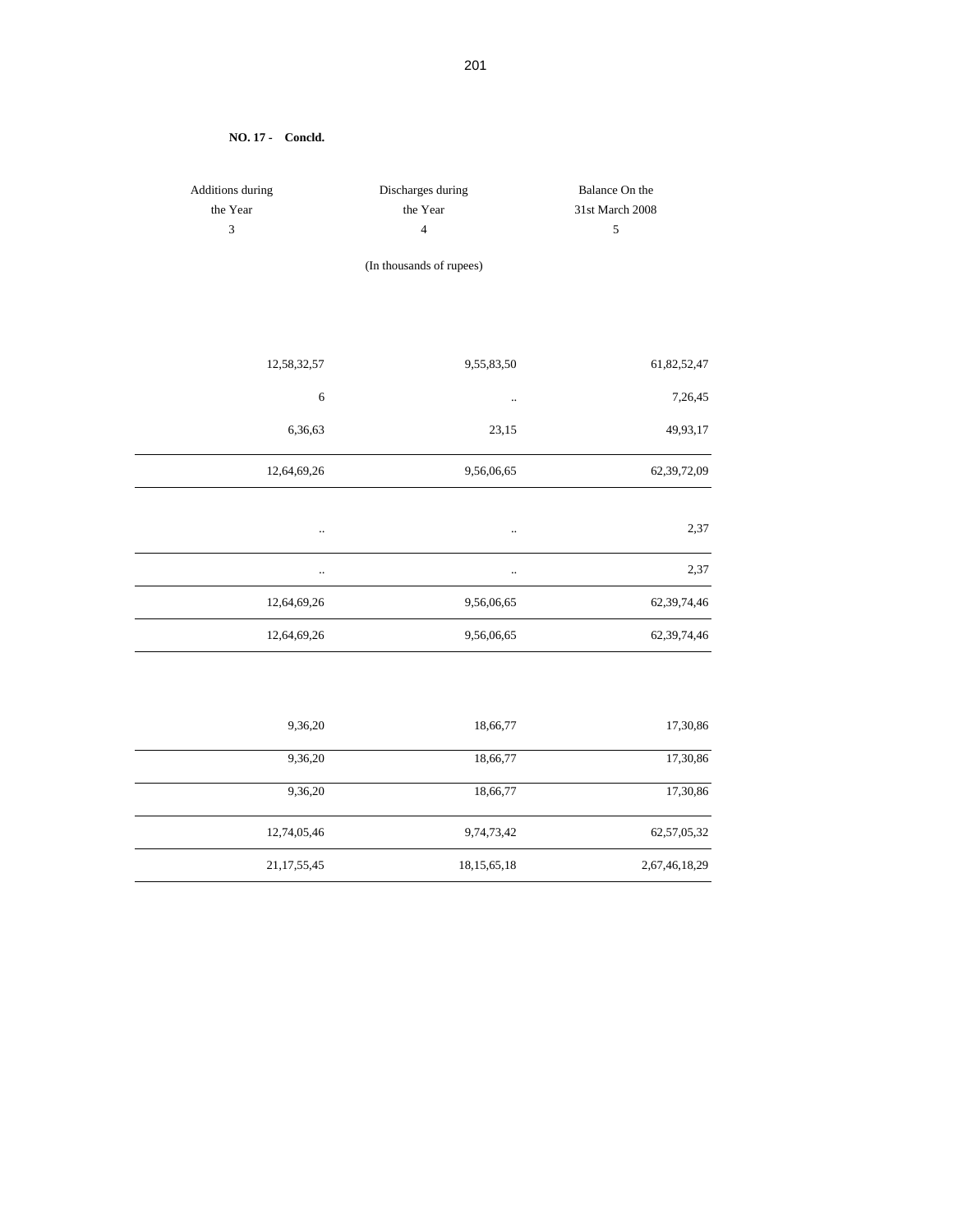| Additions during<br>the Year<br>$\sqrt{3}$ | Discharges during<br>the Year<br>$\overline{4}$ | Balance On the<br>31st March 2008<br>5 |  |
|--------------------------------------------|-------------------------------------------------|----------------------------------------|--|
|                                            | (In thousands of rupees)                        |                                        |  |
|                                            |                                                 |                                        |  |
|                                            |                                                 |                                        |  |
| 12,58,32,57                                | 9,55,83,50                                      | 61,82,52,47                            |  |
| 6                                          | $\ddot{\phantom{0}}$                            | 7,26,45                                |  |
| 6,36,63                                    | 23,15                                           | 49,93,17                               |  |
| 12,64,69,26                                | 9,56,06,65                                      | 62,39,72,09                            |  |
|                                            |                                                 |                                        |  |
| $\cdot$ .                                  | $\ddot{\phantom{a}}$                            | 2,37                                   |  |
| $\ldots$                                   | $\ldots$                                        | 2,37                                   |  |
| 12,64,69,26                                | 9,56,06,65                                      | 62, 39, 74, 46                         |  |
| 12,64,69,26                                | 9,56,06,65                                      | 62, 39, 74, 46                         |  |
|                                            |                                                 |                                        |  |
| 9,36,20                                    | 18,66,77                                        | 17,30,86                               |  |
| 9,36,20                                    | 18,66,77                                        | 17,30,86                               |  |
| 9,36,20                                    | 18,66,77                                        | 17,30,86                               |  |
|                                            |                                                 |                                        |  |
| 12,74,05,46                                | 9,74,73,42                                      | 62,57,05,32                            |  |
| 21,17,55,45                                | 18, 15, 65, 18                                  | 2,67,46,18,29                          |  |

**NO. 17 - Concld.**

÷.

J,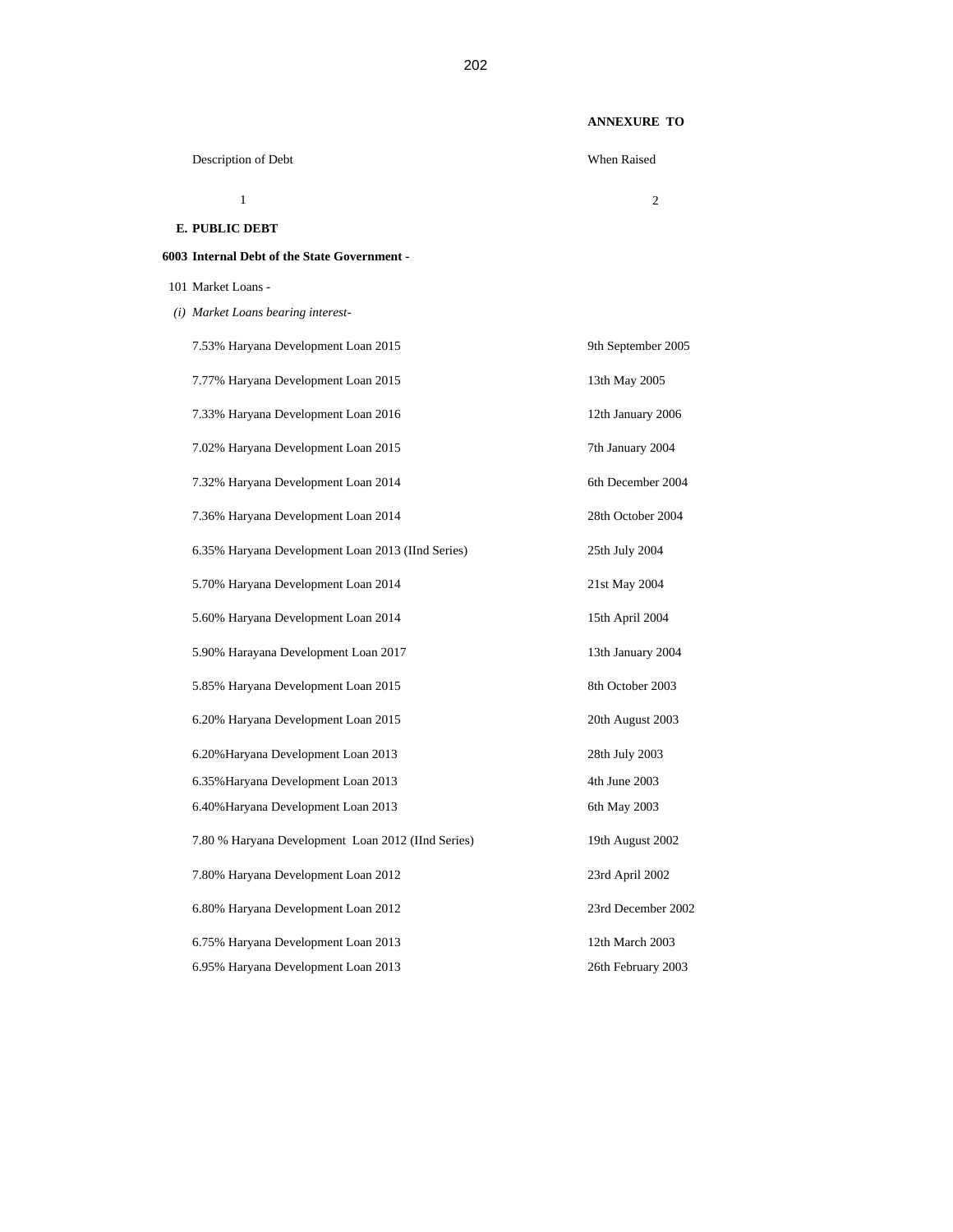| Description of Debt | <b>When Raised</b> |
|---------------------|--------------------|
|                     |                    |

 $1$  2

# **E. PUBLIC DEBT**

# **6003 Internal Debt of the State Government -**

- 101 Market Loans -
- *(i) Market Loans bearing interest-*

| 7.53% Haryana Development Loan 2015                | 9th September 2005 |
|----------------------------------------------------|--------------------|
| 7.77% Haryana Development Loan 2015                | 13th May 2005      |
| 7.33% Haryana Development Loan 2016                | 12th January 2006  |
| 7.02% Haryana Development Loan 2015                | 7th January 2004   |
| 7.32% Haryana Development Loan 2014                | 6th December 2004  |
| 7.36% Haryana Development Loan 2014                | 28th October 2004  |
| 6.35% Haryana Development Loan 2013 (IInd Series)  | 25th July 2004     |
| 5.70% Haryana Development Loan 2014                | 21st May 2004      |
| 5.60% Haryana Development Loan 2014                | 15th April 2004    |
| 5.90% Harayana Development Loan 2017               | 13th January 2004  |
| 5.85% Haryana Development Loan 2015                | 8th October 2003   |
| 6.20% Haryana Development Loan 2015                | 20th August 2003   |
| 6.20% Haryana Development Loan 2013                | 28th July 2003     |
| 6.35% Haryana Development Loan 2013                | 4th June 2003      |
| 6.40% Haryana Development Loan 2013                | 6th May 2003       |
| 7.80 % Haryana Development Loan 2012 (IInd Series) | 19th August 2002   |
| 7.80% Haryana Development Loan 2012                | 23rd April 2002    |
| 6.80% Haryana Development Loan 2012                | 23rd December 2002 |
| 6.75% Haryana Development Loan 2013                | 12th March 2003    |
| 6.95% Haryana Development Loan 2013                | 26th February 2003 |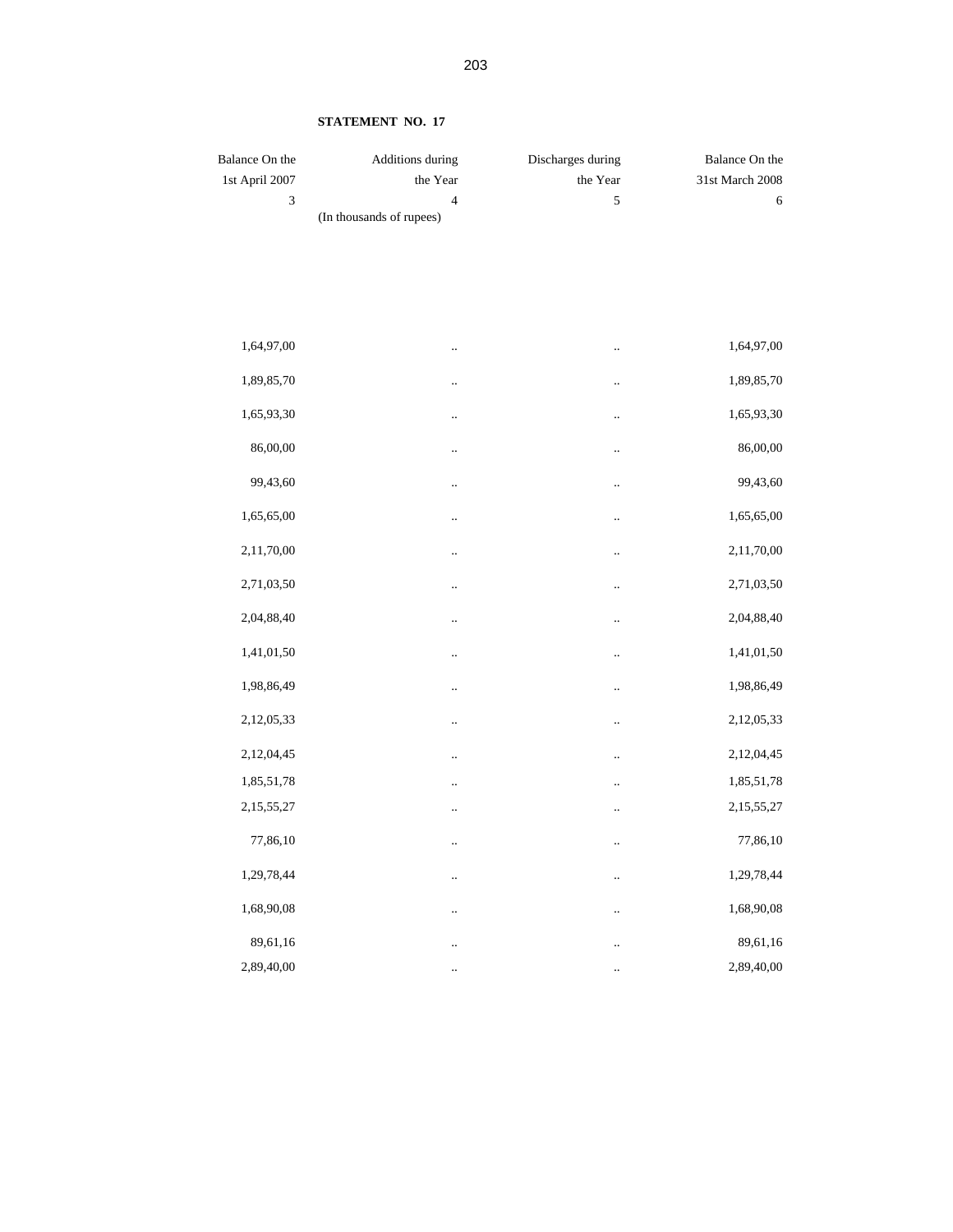| Balance On the<br>1st April 2007 | Additions during<br>the Year               | Discharges during<br>the Year | Balance On the<br>31st March 2008 |
|----------------------------------|--------------------------------------------|-------------------------------|-----------------------------------|
| $\mathfrak z$                    | $\overline{4}$<br>(In thousands of rupees) | $\sqrt{5}$                    | $\sqrt{6}$                        |
|                                  |                                            |                               |                                   |
| 1,64,97,00                       | $\ddotsc$                                  |                               | 1,64,97,00                        |
| 1,89,85,70                       |                                            |                               | 1,89,85,70                        |
| 1,65,93,30                       | $\ddotsc$                                  |                               | 1,65,93,30                        |
| 86,00,00                         |                                            |                               | 86,00,00                          |
|                                  | $\ldots$                                   |                               |                                   |
| 99,43,60                         | $\ddotsc$                                  | $\ddotsc$                     | 99,43,60                          |
| 1,65,65,00                       | $\ddotsc$                                  | $\ldots$                      | 1,65,65,00                        |
| 2,11,70,00                       |                                            | $\ddotsc$                     | 2,11,70,00                        |
| 2,71,03,50                       |                                            |                               | 2,71,03,50                        |
| 2,04,88,40                       | $\ddotsc$                                  |                               | 2,04,88,40                        |
| 1,41,01,50                       | $\ddotsc$                                  |                               | 1,41,01,50                        |
| 1,98,86,49                       | $\ddotsc$                                  |                               | 1,98,86,49                        |
|                                  |                                            |                               |                                   |
| 2,12,05,33                       | $\ldots$                                   | $\ldots$                      | 2,12,05,33                        |
| 2,12,04,45                       | $\ddotsc$                                  |                               | 2,12,04,45                        |
| 1,85,51,78                       |                                            |                               | 1,85,51,78                        |
| 2,15,55,27                       |                                            |                               | 2,15,55,27                        |
| 77,86,10                         | $\cdot$ .                                  | $\ldots$                      | 77,86,10                          |
| 1,29,78,44                       |                                            |                               | 1,29,78,44                        |
| 1,68,90,08                       |                                            |                               | 1,68,90,08                        |
| 89,61,16                         |                                            |                               | 89,61,16                          |
| 2,89,40,00                       |                                            |                               | 2,89,40,00                        |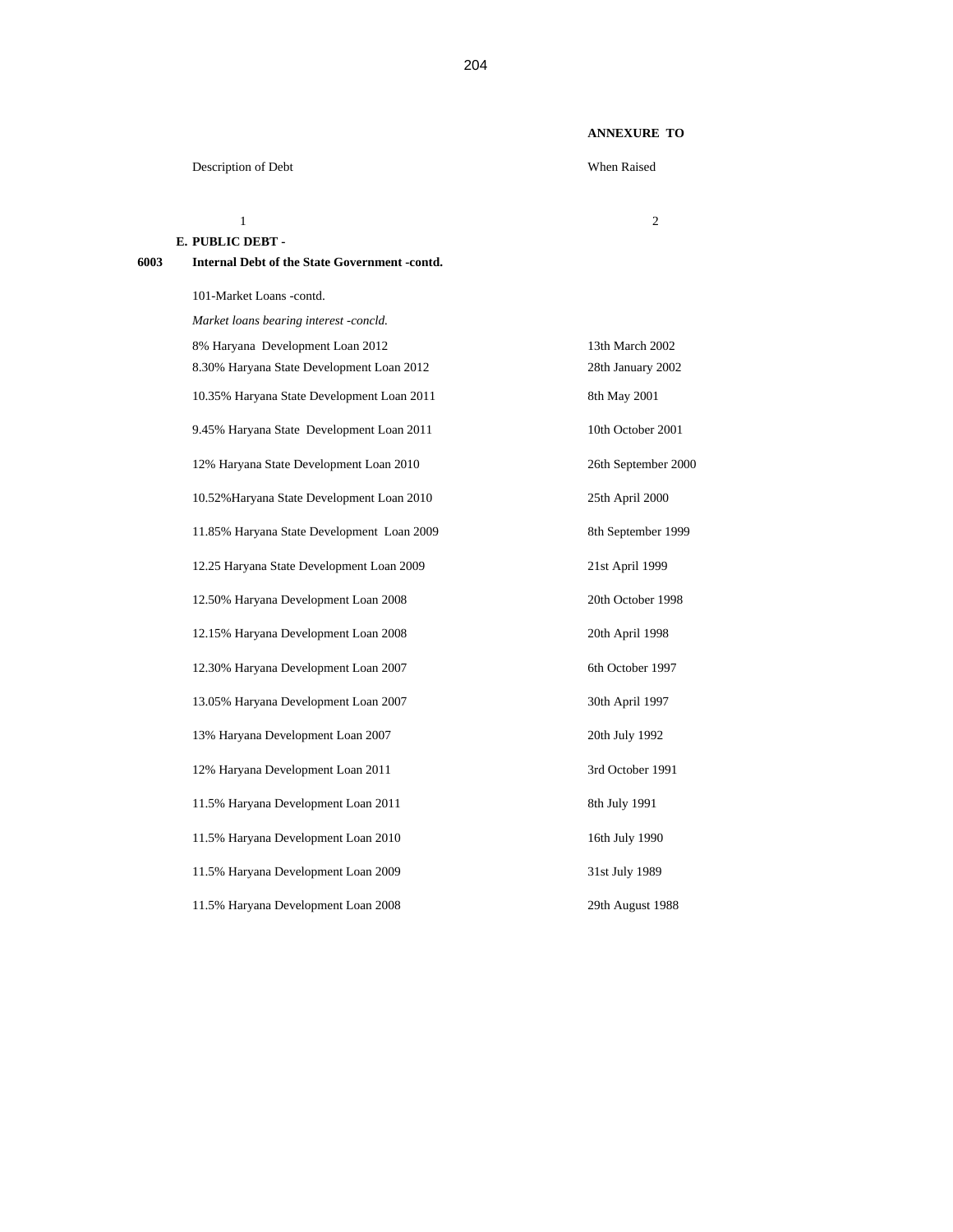#### Description of Debt When Raised

 $1$  2 **E. PUBLIC DEBT - 6003 Internal Debt of the State Government -contd.** 101-Market Loans -contd. *Market loans bearing interest -concld.* 8% Haryana Development Loan 2012 13th March 2002 8.30% Haryana State Development Loan 2012 28th January 2002 10.35% Haryana State Development Loan 2011 8th May 2001 9.45% Haryana State Development Loan 2011 10th October 2001 12% Haryana State Development Loan 2010 26th September 2000 10.52%Haryana State Development Loan 2010 25th April 2000 11.85% Haryana State Development Loan 2009 8th September 1999 12.25 Haryana State Development Loan 2009 21st April 1999 12.50% Haryana Development Loan 2008 20th October 1998 12.15% Haryana Development Loan 2008 20th April 1998 12.30% Haryana Development Loan 2007 6th October 1997 13.05% Haryana Development Loan 2007 30th April 1997 13% Haryana Development Loan 2007 20th July 1992 12% Haryana Development Loan 2011 3rd October 1991 11.5% Haryana Development Loan 2011 8th July 1991 11.5% Haryana Development Loan 2010 16th July 1990 11.5% Haryana Development Loan 2009 31st July 1989 11.5% Haryana Development Loan 2008 29th August 1988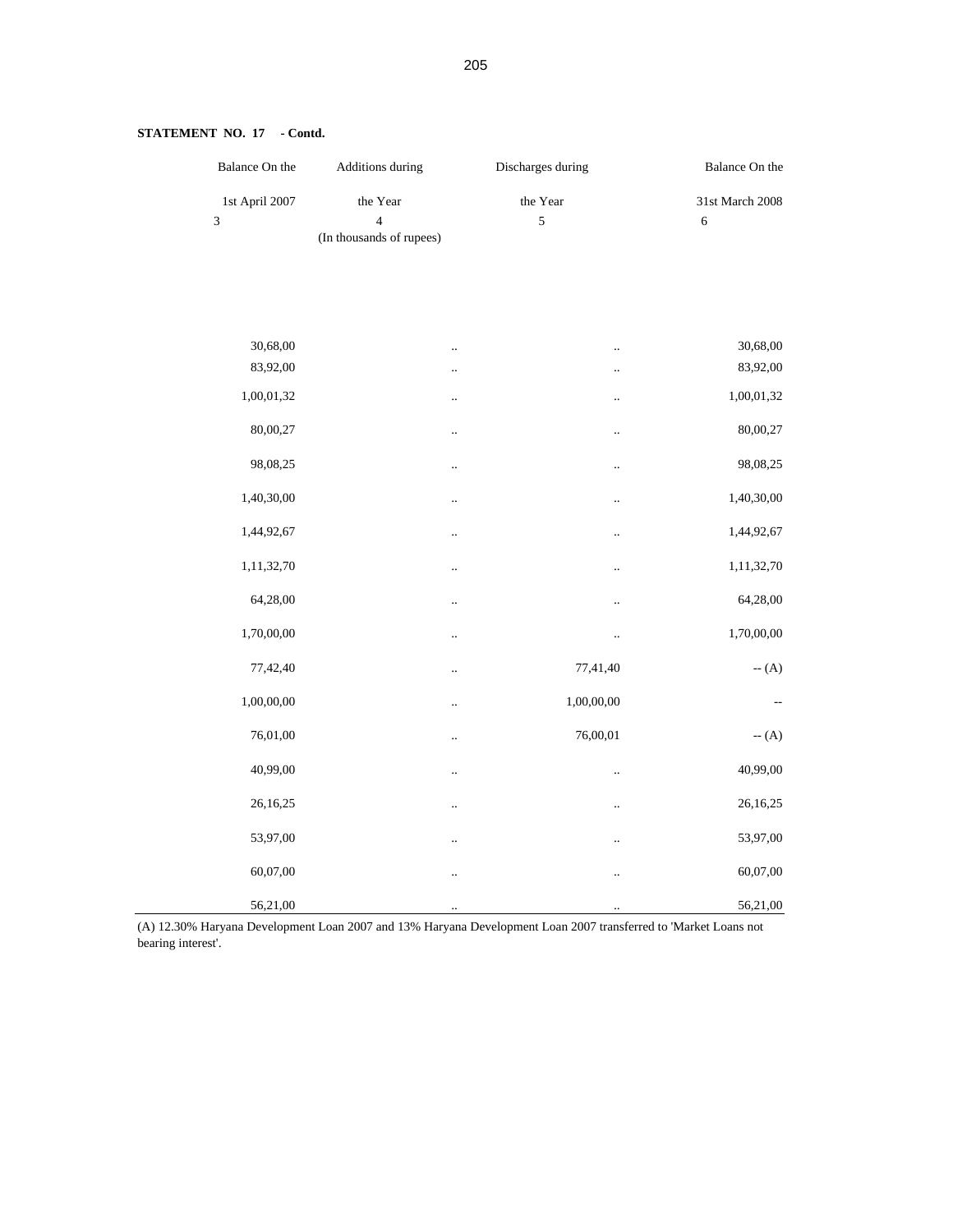| Balance On the                | Discharges during      | Additions during                                       | Balance On the                            |
|-------------------------------|------------------------|--------------------------------------------------------|-------------------------------------------|
| 31st March 2008<br>$\sqrt{6}$ | the Year<br>$\sqrt{5}$ | the Year<br>$\overline{4}$<br>(In thousands of rupees) | 1st April 2007<br>$\overline{\mathbf{3}}$ |
|                               |                        |                                                        |                                           |
| 30,68,00                      | $\ddotsc$              | $\ddotsc$                                              | 30,68,00                                  |
| 83,92,00                      |                        |                                                        | 83,92,00                                  |
| 1,00,01,32                    | $\ddotsc$              | $\ddotsc$                                              | 1,00,01,32                                |
| 80,00,27                      | $\ddot{\phantom{a}}$   | $\ldots$                                               | 80,00,27                                  |
| 98,08,25                      | $\ddotsc$              | $\ddotsc$                                              | 98,08,25                                  |
| 1,40,30,00                    |                        | $\ddotsc$                                              | 1,40,30,00                                |
| 1,44,92,67                    |                        | $\ddotsc$                                              | 1,44,92,67                                |
| 1,11,32,70                    | $\ddotsc$              | $\ddotsc$                                              | 1,11,32,70                                |
| 64,28,00                      | $\ldots$               | $\cdot$ .                                              | 64,28,00                                  |
| 1,70,00,00                    | $\ddotsc$              | $\ddotsc$                                              | 1,70,00,00                                |
| $- (A)$                       | 77,41,40               | $\ldots$                                               | 77,42,40                                  |
|                               | 1,00,00,00             | $\ldots$                                               | 1,00,00,00                                |
| $- (A)$                       | 76,00,01               | $\cdot$ .                                              | 76,01,00                                  |
| 40,99,00                      | $\ldots$               | $\ddotsc$                                              | 40,99,00                                  |
| 26,16,25                      | $\ddotsc$              | $\ldots$                                               | 26,16,25                                  |
| 53,97,00                      | $\ddotsc$              | $\ldots$                                               | 53,97,00                                  |
| 60,07,00                      | $\ddotsc$              | $\ddotsc$                                              | 60,07,00                                  |
| 56,21,00                      |                        | $\cdot$ .                                              | 56,21,00                                  |

# **STATEMENT NO. 17 - Contd.**

(A) 12.30% Haryana Development Loan 2007 and 13% Haryana Development Loan 2007 transferred to 'Market Loans not bearing interest'.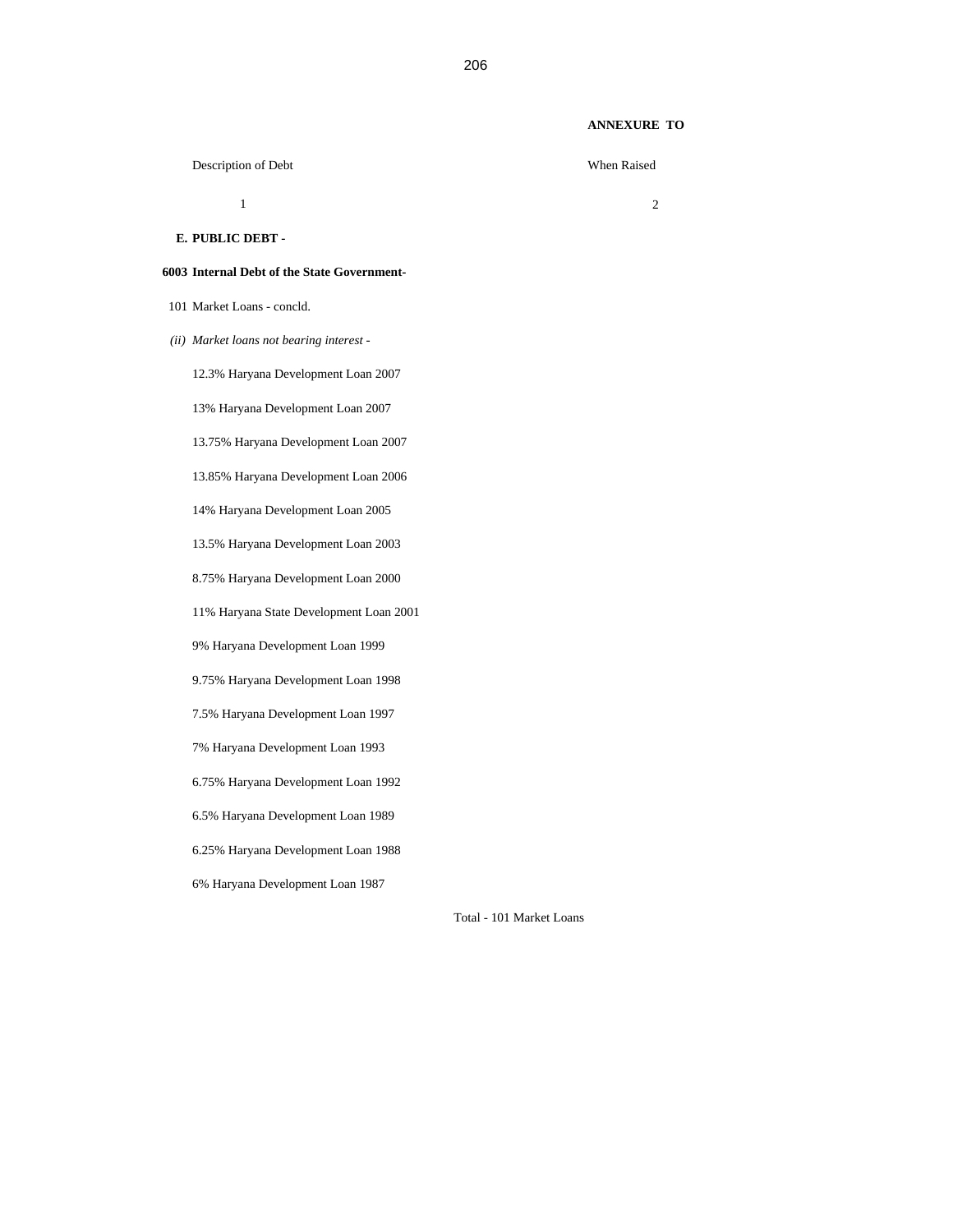| Description of Debt | <b>When Raised</b> |
|---------------------|--------------------|
|                     |                    |

1 2

#### **E. PUBLIC DEBT -**

#### **6003 Internal Debt of the State Government-**

- 101 Market Loans concld.
- *(ii) Market loans not bearing interest*

12.3% Haryana Development Loan 2007

13% Haryana Development Loan 2007

13.75% Haryana Development Loan 2007

13.85% Haryana Development Loan 2006

14% Haryana Development Loan 2005

13.5% Haryana Development Loan 2003

8.75% Haryana Development Loan 2000

11% Haryana State Development Loan 2001

9% Haryana Development Loan 1999

9.75% Haryana Development Loan 1998

7.5% Haryana Development Loan 1997

7% Haryana Development Loan 1993

6.75% Haryana Development Loan 1992

6.5% Haryana Development Loan 1989

6.25% Haryana Development Loan 1988

6% Haryana Development Loan 1987

Total - 101 Market Loans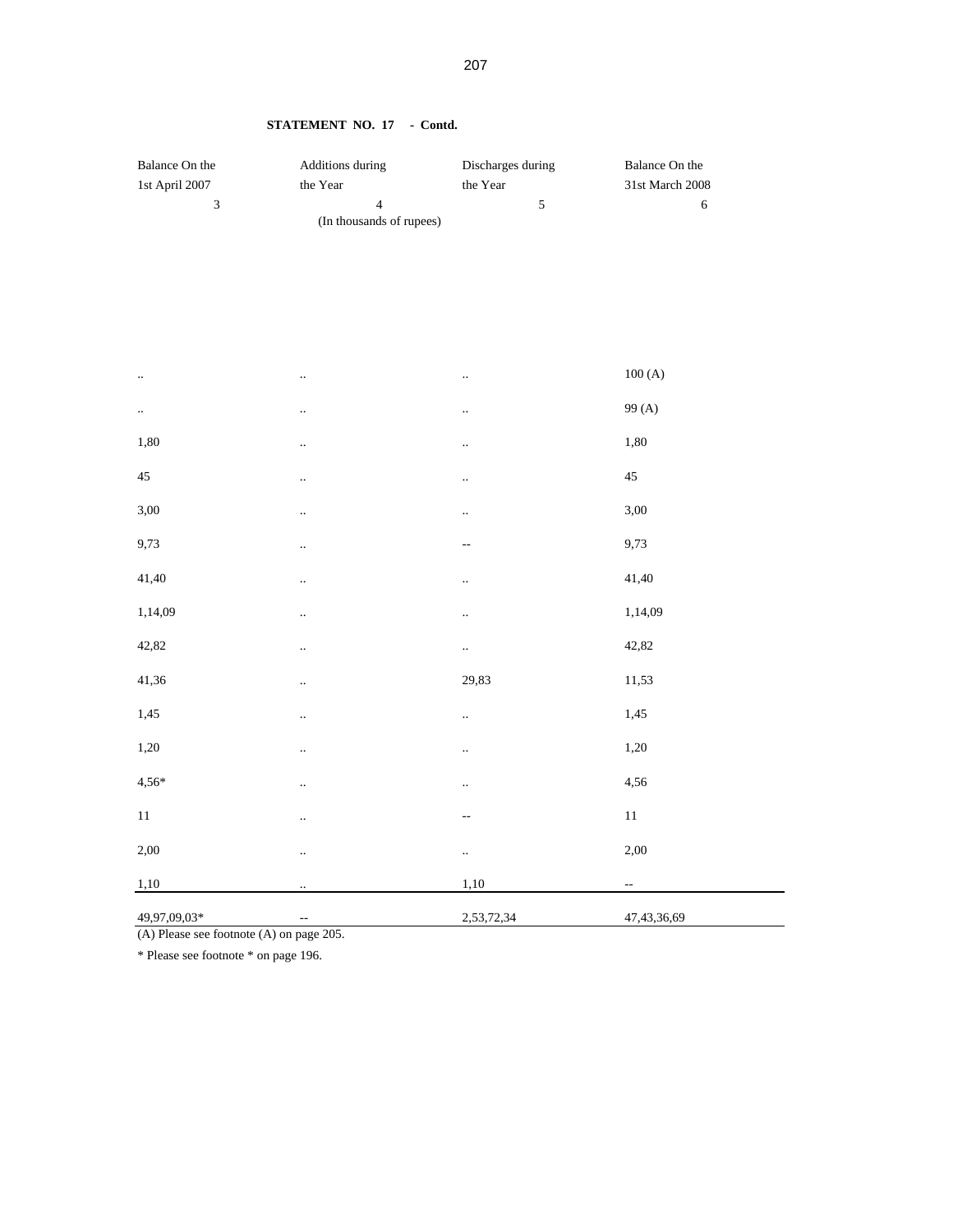| Balance On the | Additions during                       | Discharges during    | Balance On the    |
|----------------|----------------------------------------|----------------------|-------------------|
| 1st April 2007 | the Year                               | the Year             | 31st March 2008   |
| $\overline{3}$ | $\sqrt{4}$<br>(In thousands of rupees) | $\overline{5}$       | $\overline{6}$    |
|                |                                        |                      |                   |
|                |                                        |                      |                   |
|                | $\ddot{\phantom{0}}$                   | $\ddot{\phantom{0}}$ | 100(A)            |
|                |                                        |                      | 99 <sub>(A)</sub> |
| 1,80           |                                        |                      | 1,80              |
| 45             | $\ddotsc$                              | $\ddot{\phantom{0}}$ | $45\,$            |
| 3,00           |                                        |                      | 3,00              |
| 9,73           | $\ddotsc$                              | --                   | 9,73              |
| 41,40          |                                        |                      | 41,40             |
| 1,14,09        | $\ddot{\phantom{0}}$                   |                      | 1,14,09           |
| 42,82          | $\ddotsc$                              | $\ddotsc$            | 42,82             |
| 41,36          |                                        | 29,83                | 11,53             |
| 1,45           |                                        |                      | 1,45              |
| 1,20           |                                        |                      | 1,20              |
| $4,56*$        | $\ldots$                               |                      | 4,56              |
| $11\,$         |                                        | $-$                  | $11\,$            |
| 2,00           |                                        | $\ddotsc$            | 2,00              |
| 1,10           | $\ldots$                               | 1,10                 | $\qquad \qquad -$ |
| 49,97,09,03*   | $\overline{\phantom{a}}$               | 2,53,72,34           | 47, 43, 36, 69    |

 $\blacksquare$ 

 $\overline{\phantom{0}}$ 

# **STATEMENT NO. 17 - Contd.**

(A) Please see footnote (A) on page 205.

\* Please see footnote \* on page 196.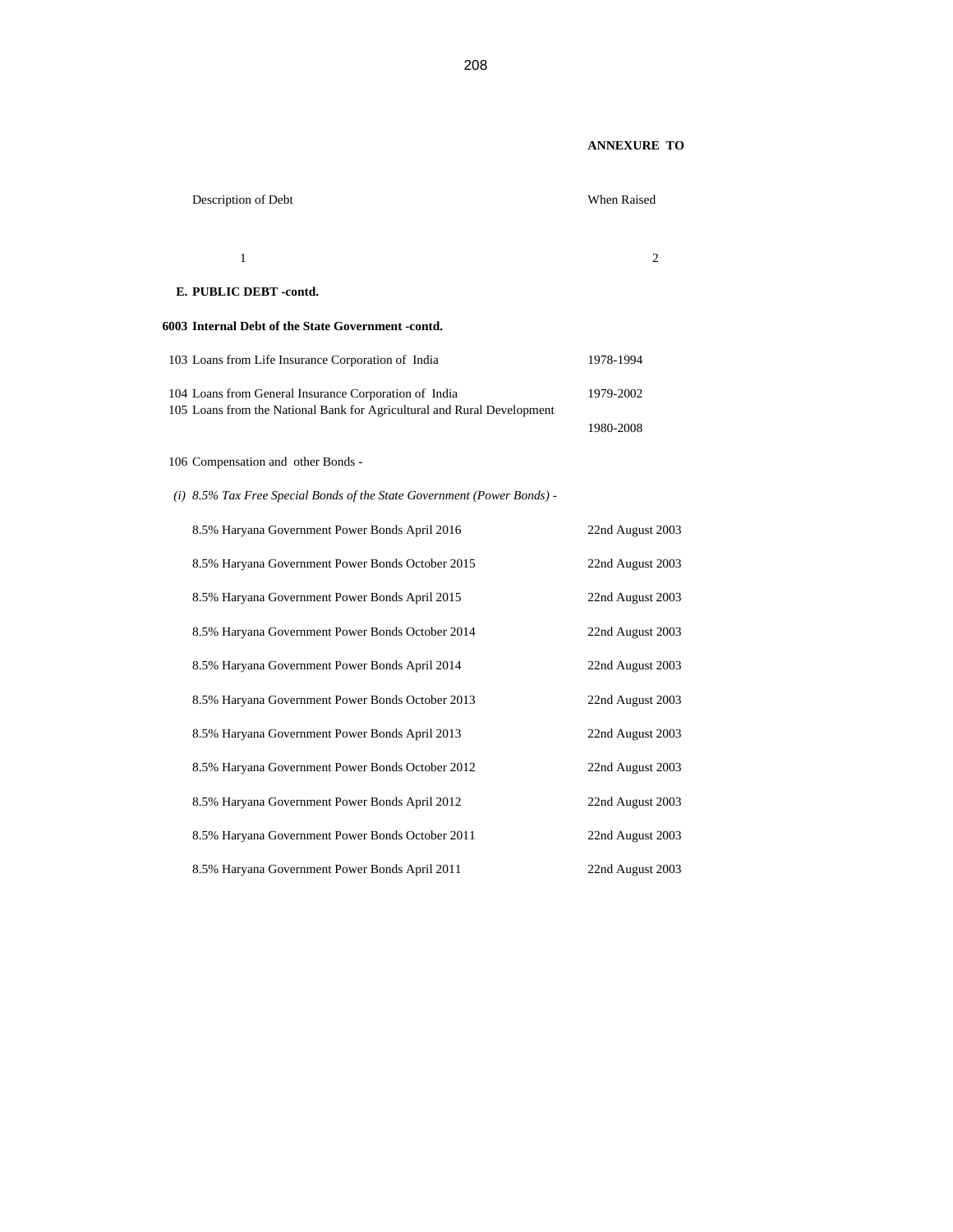| Description of Debt                                                                                                              | <b>When Raised</b> |
|----------------------------------------------------------------------------------------------------------------------------------|--------------------|
|                                                                                                                                  |                    |
| $\mathbf{1}$                                                                                                                     | $\overline{c}$     |
| E. PUBLIC DEBT -contd.                                                                                                           |                    |
| 6003 Internal Debt of the State Government -contd.                                                                               |                    |
| 103 Loans from Life Insurance Corporation of India                                                                               | 1978-1994          |
| 104 Loans from General Insurance Corporation of India<br>105 Loans from the National Bank for Agricultural and Rural Development | 1979-2002          |
|                                                                                                                                  | 1980-2008          |
| 106 Compensation and other Bonds -                                                                                               |                    |
| (i) 8.5% Tax Free Special Bonds of the State Government (Power Bonds) -                                                          |                    |
| 8.5% Haryana Government Power Bonds April 2016                                                                                   | 22nd August 2003   |
| 8.5% Haryana Government Power Bonds October 2015                                                                                 | 22nd August 2003   |
| 8.5% Haryana Government Power Bonds April 2015                                                                                   | 22nd August 2003   |
| 8.5% Haryana Government Power Bonds October 2014                                                                                 | 22nd August 2003   |
| 8.5% Haryana Government Power Bonds April 2014                                                                                   | 22nd August 2003   |
| 8.5% Haryana Government Power Bonds October 2013                                                                                 | 22nd August 2003   |
| 8.5% Haryana Government Power Bonds April 2013                                                                                   | 22nd August 2003   |
| 8.5% Haryana Government Power Bonds October 2012                                                                                 | 22nd August 2003   |
| 8.5% Haryana Government Power Bonds April 2012                                                                                   | 22nd August 2003   |
| 8.5% Haryana Government Power Bonds October 2011                                                                                 | 22nd August 2003   |
| 8.5% Haryana Government Power Bonds April 2011                                                                                   | 22nd August 2003   |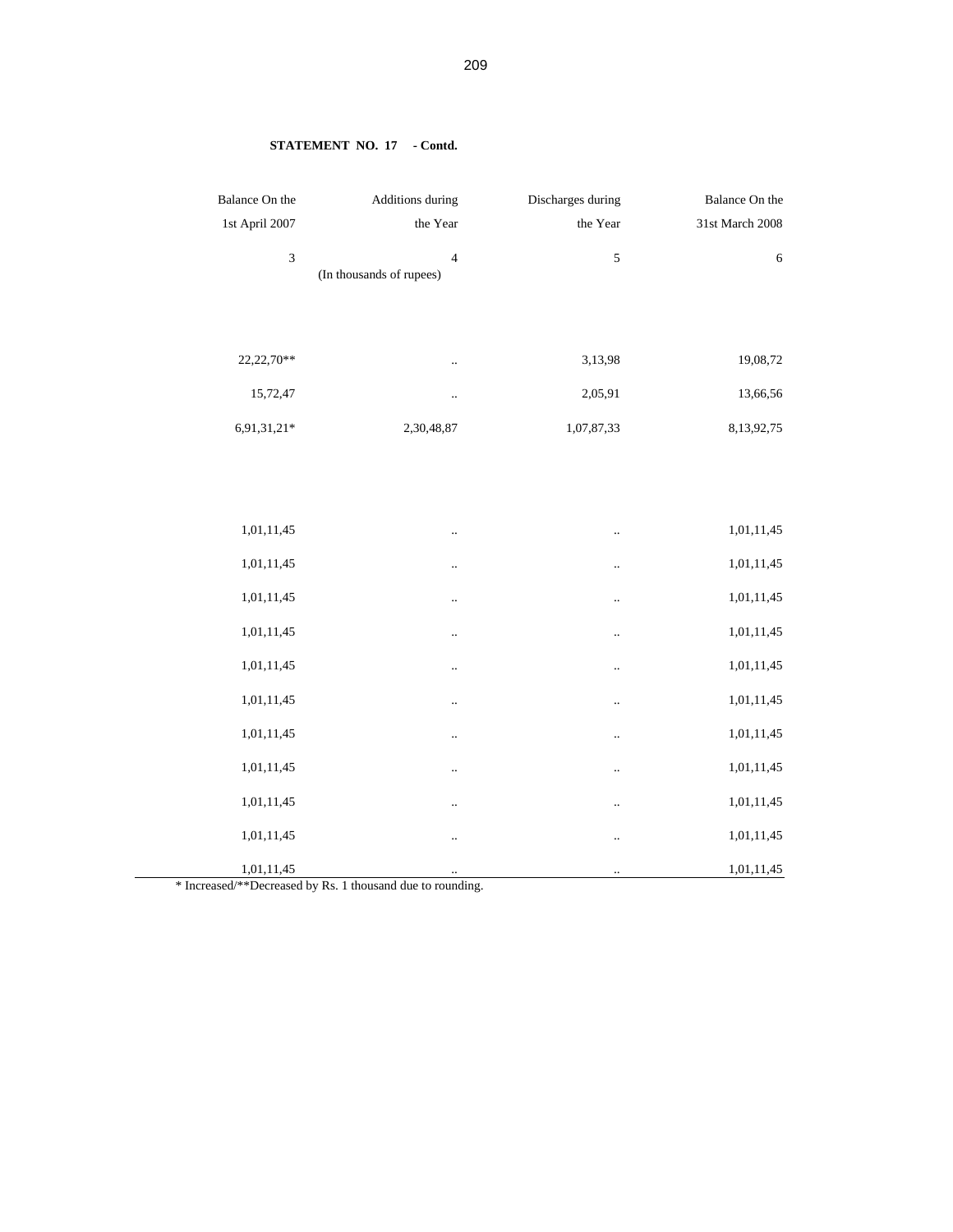| Balance On the  | Discharges during | Additions during                           | Balance On the |
|-----------------|-------------------|--------------------------------------------|----------------|
| 31st March 2008 | the Year          | the Year                                   | 1st April 2007 |
| $\sqrt{6}$      | $\sqrt{5}$        | $\overline{4}$<br>(In thousands of rupees) | $\overline{3}$ |
|                 |                   |                                            |                |
| 19,08,72        | 3,13,98           |                                            | 22,22,70**     |
| 13,66,56        | 2,05,91           |                                            | 15,72,47       |
| 8, 13, 92, 75   | 1,07,87,33        | 2,30,48,87                                 | $6,91,31,21*$  |
|                 |                   |                                            |                |
|                 |                   |                                            |                |
| 1,01,11,45      | $\ddotsc$         |                                            | 1,01,11,45     |
| 1,01,11,45      | $\ddotsc$         |                                            | 1,01,11,45     |
| 1,01,11,45      | $\ddotsc$         |                                            | 1,01,11,45     |
| 1,01,11,45      |                   |                                            | 1,01,11,45     |
| 1,01,11,45      | $\ddotsc$         |                                            | 1,01,11,45     |
| 1,01,11,45      | $\ddotsc$         |                                            | 1,01,11,45     |
| 1,01,11,45      | $\ddotsc$         |                                            | 1,01,11,45     |
| 1,01,11,45      |                   |                                            | 1,01,11,45     |
| 1,01,11,45      | $\ddotsc$         |                                            | 1,01,11,45     |
| 1,01,11,45      | $\ddotsc$         |                                            | 1,01,11,45     |
| 1,01,11,45      | $\cdot\cdot$      | $\cdot$ .                                  | 1,01,11,45     |

# **STATEMENT NO. 17 - Contd.**

\* Increased/\*\*Decreased by Rs. 1 thousand due to rounding.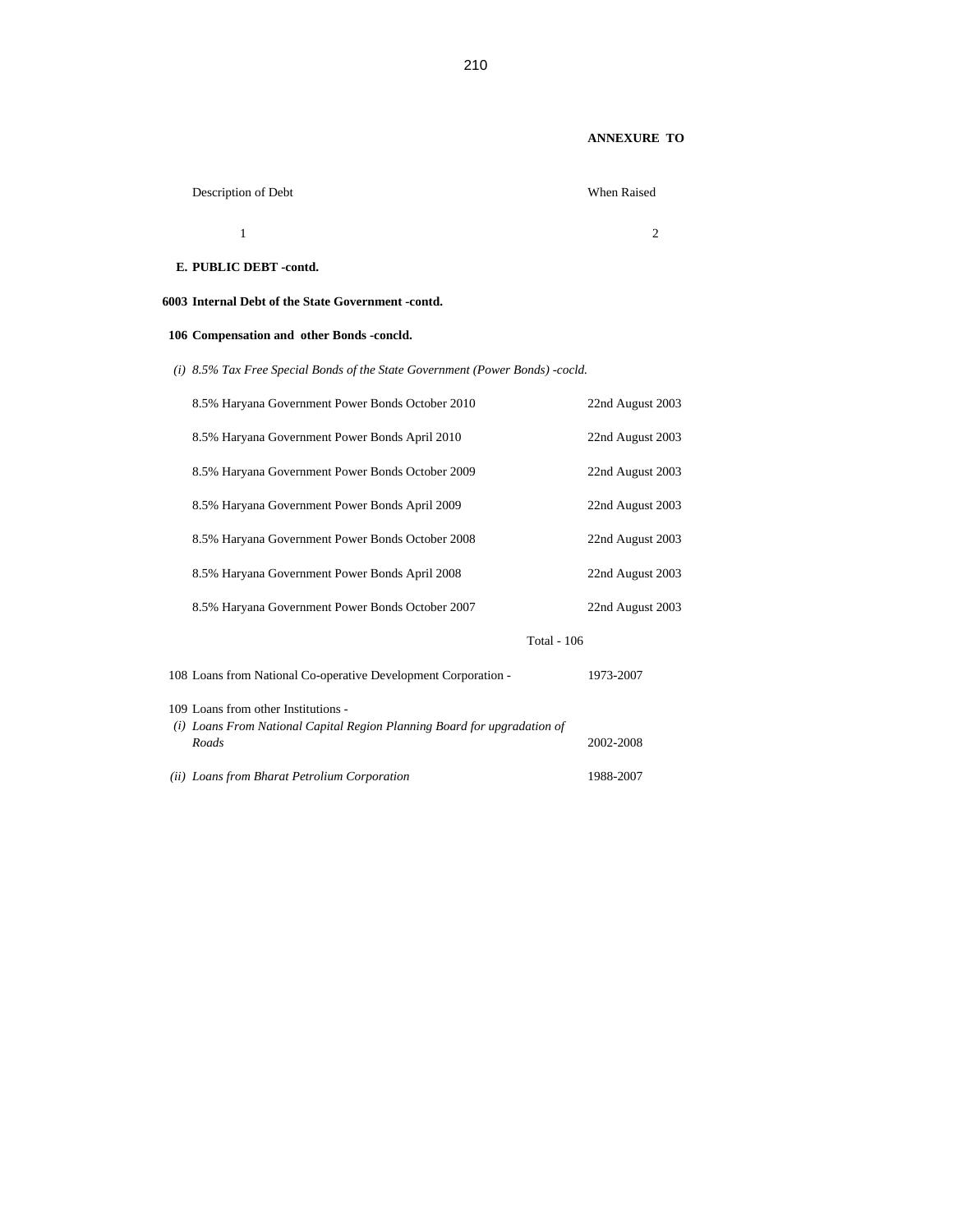# **ANNEXURE TO**

| E. PUBLIC DEBT -contd.                                                            |                  |
|-----------------------------------------------------------------------------------|------------------|
| 6003 Internal Debt of the State Government -contd.                                |                  |
| 106 Compensation and other Bonds -concld.                                         |                  |
| (i) 8.5% Tax Free Special Bonds of the State Government (Power Bonds) -cocld.     |                  |
| 8.5% Haryana Government Power Bonds October 2010                                  | 22nd August 2003 |
| 8.5% Haryana Government Power Bonds April 2010                                    | 22nd August 2003 |
| 8.5% Haryana Government Power Bonds October 2009                                  | 22nd August 2003 |
| 8.5% Haryana Government Power Bonds April 2009                                    | 22nd August 2003 |
| 8.5% Haryana Government Power Bonds October 2008                                  | 22nd August 2003 |
| 8.5% Haryana Government Power Bonds April 2008                                    | 22nd August 2003 |
| 8.5% Haryana Government Power Bonds October 2007                                  | 22nd August 2003 |
| <b>Total - 106</b>                                                                |                  |
| 108 Loans from National Co-operative Development Corporation -                    | 1973-2007        |
| 109 Loans from other Institutions -                                               |                  |
| (i) Loans From National Capital Region Planning Board for upgradation of<br>Roads | 2002-2008        |
| (ii) Loans from Bharat Petrolium Corporation                                      | 1988-2007        |

Description of Debt When Raised

 $1$  2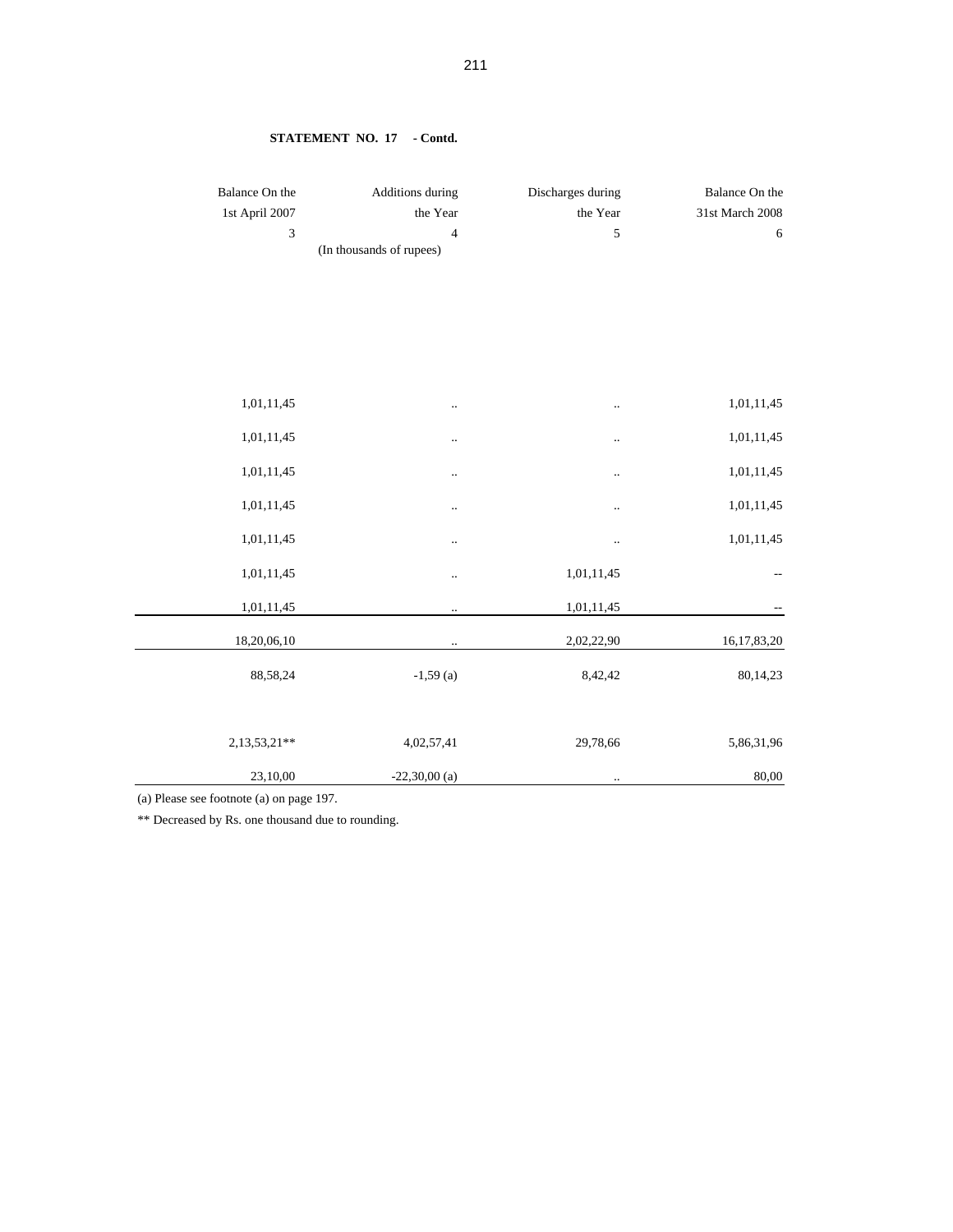| Balance On the | Additions during         | Discharges during    | Balance On the  |
|----------------|--------------------------|----------------------|-----------------|
| 1st April 2007 | the Year                 | the Year             | 31st March 2008 |
| $\overline{3}$ | $\overline{4}$           | $\sqrt{5}$           | 6               |
|                | (In thousands of rupees) |                      |                 |
|                |                          |                      |                 |
|                |                          |                      |                 |
|                |                          |                      |                 |
|                |                          |                      |                 |
|                |                          |                      |                 |
|                |                          |                      |                 |
| 1,01,11,45     | $\ddot{\phantom{a}}$     | $\ddotsc$            | 1,01,11,45      |
| 1,01,11,45     | $\ddotsc$                | $\ddotsc$            | 1,01,11,45      |
|                |                          |                      |                 |
| 1,01,11,45     | $\ldots$                 | $\ddotsc$            | 1,01,11,45      |
| 1,01,11,45     | $\ddotsc$                | $\ddot{\phantom{0}}$ | 1,01,11,45      |
|                |                          |                      |                 |
| 1,01,11,45     | $\ldots$                 | $\ddotsc$            | 1,01,11,45      |
| 1,01,11,45     | $\ddot{\phantom{0}}$     | 1,01,11,45           |                 |
|                |                          |                      |                 |
| 1,01,11,45     | $\ddotsc$                | 1,01,11,45           |                 |
| 18,20,06,10    | $\ddot{\phantom{a}}$     | 2,02,22,90           | 16,17,83,20     |
|                |                          |                      |                 |
| 88,58,24       | $-1,59$ (a)              | 8,42,42              | 80,14,23        |
|                |                          |                      |                 |
|                |                          |                      |                 |
| 2,13,53,21**   | 4,02,57,41               | 29,78,66             | 5,86,31,96      |
| 23,10,00       | $-22,30,00$ (a)          | $\ldots$             | 80,00           |

# **STATEMENT NO. 17 - Contd.**

(a) Please see footnote (a) on page 197.

\*\* Decreased by Rs. one thousand due to rounding.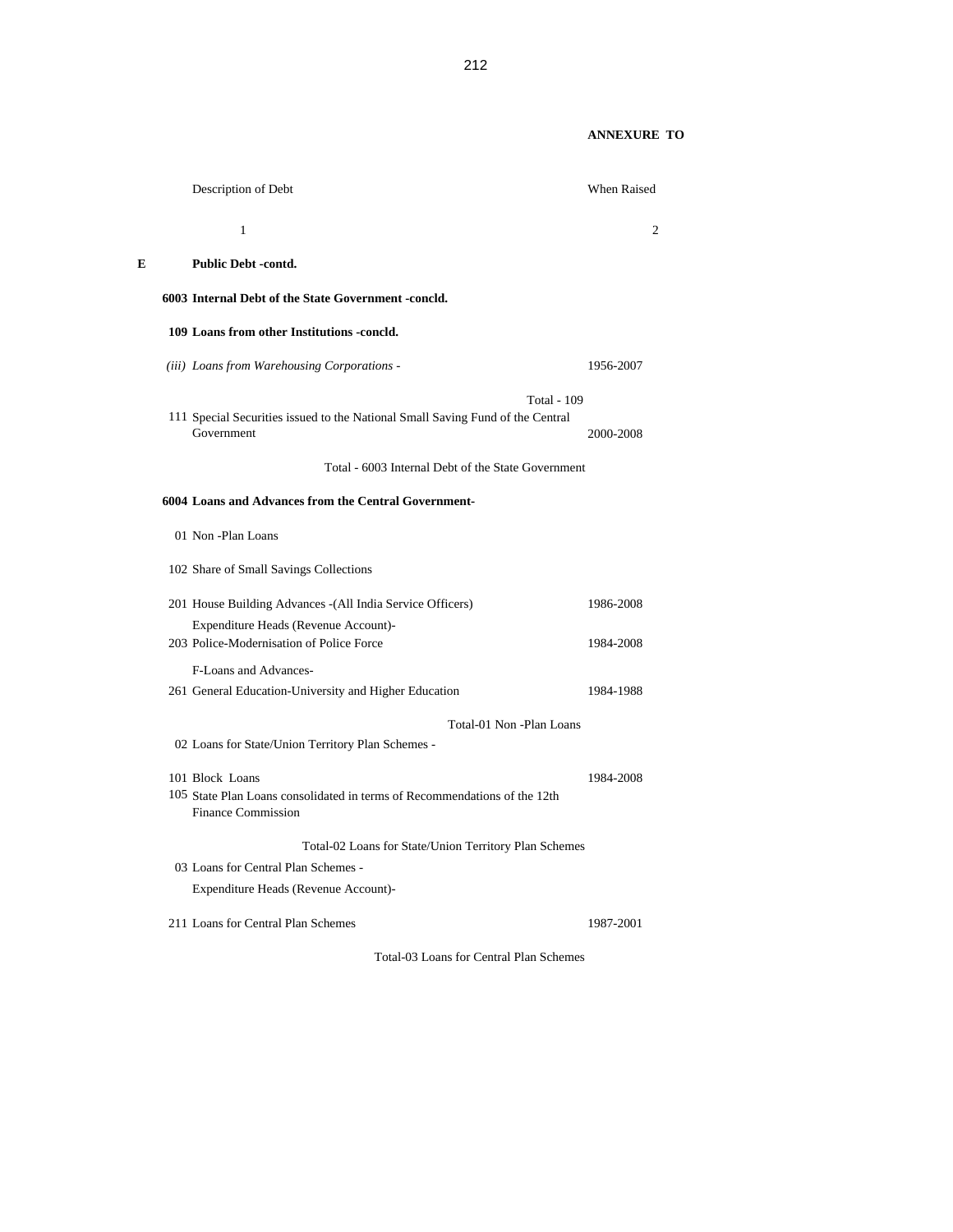**ANNEXURE TO** 

|   | Description of Debt                                                                                                       | <b>When Raised</b> |
|---|---------------------------------------------------------------------------------------------------------------------------|--------------------|
|   | $\mathbf{1}$                                                                                                              | $\overline{c}$     |
| E | <b>Public Debt -contd.</b>                                                                                                |                    |
|   | 6003 Internal Debt of the State Government -concld.                                                                       |                    |
|   | 109 Loans from other Institutions -concld.                                                                                |                    |
|   | (iii) Loans from Warehousing Corporations -                                                                               | 1956-2007          |
|   | <b>Total - 109</b><br>111 Special Securities issued to the National Small Saving Fund of the Central<br>Government        | 2000-2008          |
|   | Total - 6003 Internal Debt of the State Government                                                                        |                    |
|   | 6004 Loans and Advances from the Central Government-                                                                      |                    |
|   | 01 Non-Plan Loans                                                                                                         |                    |
|   | 102 Share of Small Savings Collections                                                                                    |                    |
|   | 201 House Building Advances - (All India Service Officers)                                                                | 1986-2008          |
|   | Expenditure Heads (Revenue Account)-<br>203 Police-Modernisation of Police Force                                          | 1984-2008          |
|   | F-Loans and Advances-                                                                                                     |                    |
|   | 261 General Education-University and Higher Education                                                                     | 1984-1988          |
|   | Total-01 Non-Plan Loans                                                                                                   |                    |
|   | 02 Loans for State/Union Territory Plan Schemes -                                                                         |                    |
|   | 101 Block Loans<br>105 State Plan Loans consolidated in terms of Recommendations of the 12th<br><b>Finance Commission</b> | 1984-2008          |
|   | Total-02 Loans for State/Union Territory Plan Schemes                                                                     |                    |
|   | 03 Loans for Central Plan Schemes -                                                                                       |                    |
|   | Expenditure Heads (Revenue Account)-                                                                                      |                    |
|   | 211 Loans for Central Plan Schemes                                                                                        | 1987-2001          |

Total-03 Loans for Central Plan Schemes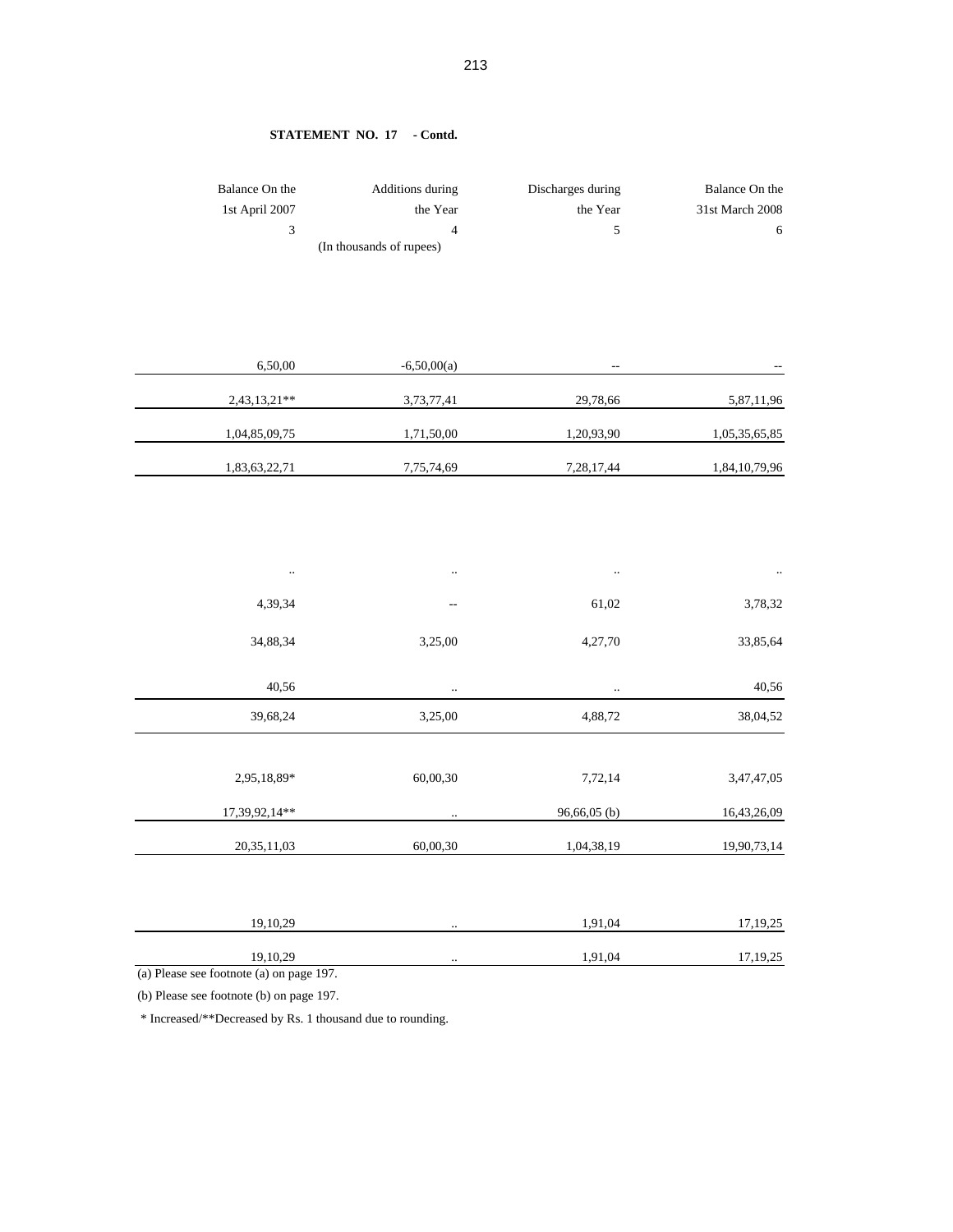| Balance On the<br>31st March 2008<br>$\sqrt{6}$ | Discharges during<br>the Year<br>$\sqrt{5}$ | Additions during<br>the Year<br>$\overline{4}$<br>(In thousands of rupees) | Balance On the<br>1st April 2007<br>$\mathfrak{Z}$ |
|-------------------------------------------------|---------------------------------------------|----------------------------------------------------------------------------|----------------------------------------------------|
|                                                 |                                             |                                                                            |                                                    |
|                                                 |                                             | $-6,50,00(a)$                                                              | 6,50,00                                            |
| 5,87,11,96                                      | 29,78,66                                    | 3,73,77,41                                                                 | 2,43,13,21**                                       |
| 1,05,35,65,85                                   | 1,20,93,90                                  | 1,71,50,00                                                                 | 1,04,85,09,75                                      |
| 1,84,10,79,96                                   | 7,28,17,44                                  | 7,75,74,69                                                                 | 1,83,63,22,71                                      |
|                                                 |                                             |                                                                            |                                                    |
|                                                 | $\ldots$                                    |                                                                            | $\cdot\cdot$                                       |
| 3,78,32                                         | 61,02                                       |                                                                            | 4,39,34                                            |
| 33,85,64                                        | 4,27,70                                     | 3,25,00                                                                    | 34,88,34                                           |
| 40,56                                           | $\ddotsc$                                   | $\ddot{\phantom{a}}$                                                       | 40,56                                              |
| 38,04,52                                        | 4,88,72                                     | 3,25,00                                                                    | 39,68,24                                           |
| 3,47,47,05                                      | 7,72,14                                     | 60,00,30                                                                   | 2,95,18,89*                                        |
| 16,43,26,09                                     | $96,66,05$ (b)                              |                                                                            | 17,39,92,14**                                      |
| 19,90,73,14                                     | 1,04,38,19                                  | 60,00,30                                                                   | 20, 35, 11, 03                                     |
|                                                 |                                             |                                                                            |                                                    |
| 17,19,25                                        | 1,91,04                                     |                                                                            | 19,10,29                                           |
| 17,19,25                                        | 1,91,04                                     |                                                                            | 19,10,29                                           |

#### **STATEMENT NO. 17 - Contd.**

(a) Please see footnote (a) on page 197.

(b) Please see footnote (b) on page 197.

\* Increased/\*\*Decreased by Rs. 1 thousand due to rounding.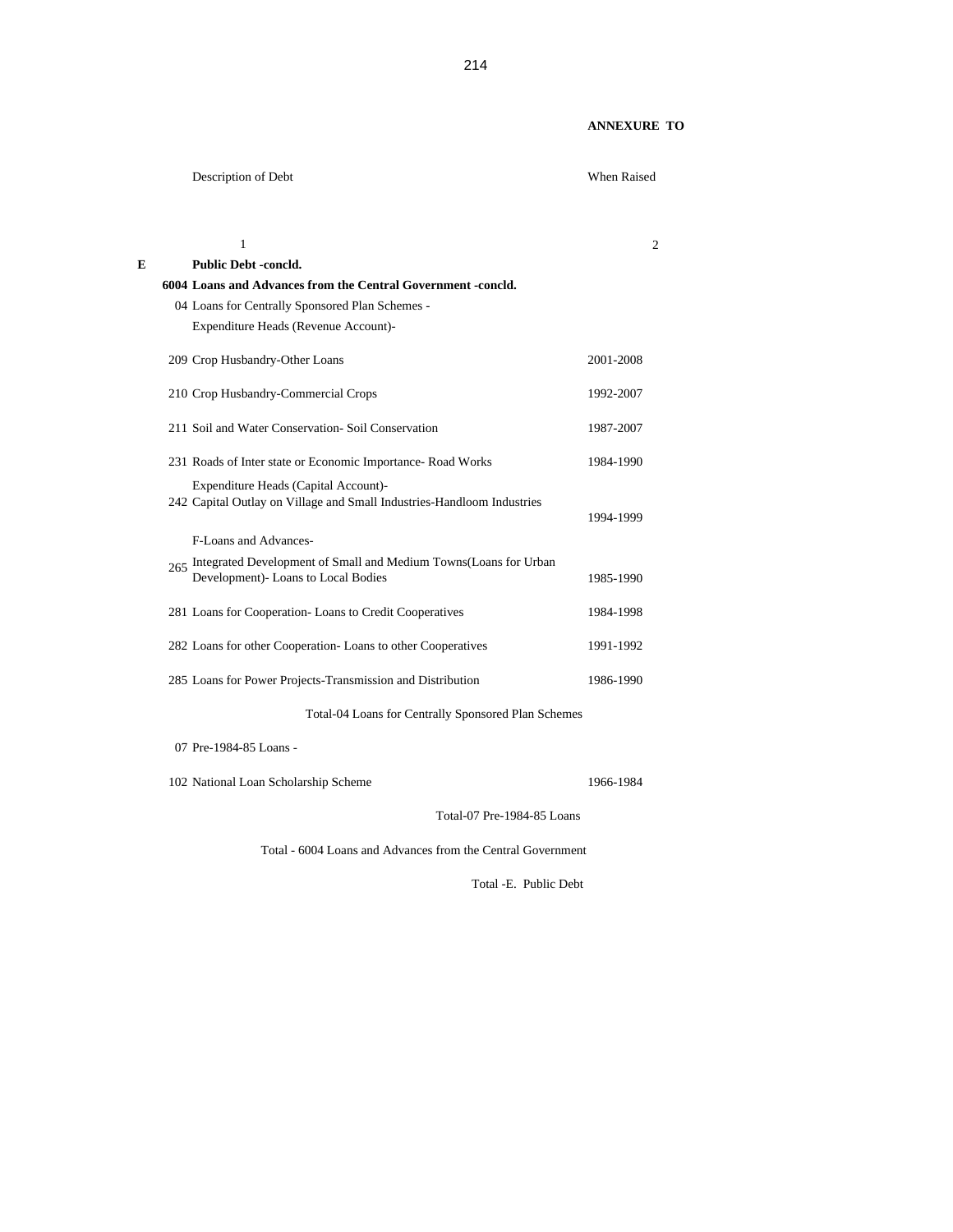## Description of Debt When Raised

|   | 1                                                                                                              |           | $\overline{2}$ |
|---|----------------------------------------------------------------------------------------------------------------|-----------|----------------|
| E | <b>Public Debt -concld.</b>                                                                                    |           |                |
|   | 6004 Loans and Advances from the Central Government -concld.                                                   |           |                |
|   | 04 Loans for Centrally Sponsored Plan Schemes -                                                                |           |                |
|   | Expenditure Heads (Revenue Account)-                                                                           |           |                |
|   | 209 Crop Husbandry-Other Loans                                                                                 | 2001-2008 |                |
|   | 210 Crop Husbandry-Commercial Crops                                                                            | 1992-2007 |                |
|   | 211 Soil and Water Conservation-Soil Conservation                                                              | 1987-2007 |                |
|   | 231 Roads of Inter state or Economic Importance- Road Works                                                    | 1984-1990 |                |
|   | Expenditure Heads (Capital Account)-                                                                           |           |                |
|   | 242 Capital Outlay on Village and Small Industries-Handloom Industries                                         | 1994-1999 |                |
|   | F-Loans and Advances-                                                                                          |           |                |
|   | Integrated Development of Small and Medium Towns(Loans for Urban<br>265<br>Development)- Loans to Local Bodies | 1985-1990 |                |
|   | 281 Loans for Cooperation-Loans to Credit Cooperatives                                                         | 1984-1998 |                |
|   | 282 Loans for other Cooperation-Loans to other Cooperatives                                                    | 1991-1992 |                |
|   | 285 Loans for Power Projects-Transmission and Distribution                                                     | 1986-1990 |                |
|   | Total-04 Loans for Centrally Sponsored Plan Schemes                                                            |           |                |
|   | 07 Pre-1984-85 Loans -                                                                                         |           |                |

102 National Loan Scholarship Scheme 1966-1984

Total-07 Pre-1984-85 Loans

Total - 6004 Loans and Advances from the Central Government

Total -E. Public Debt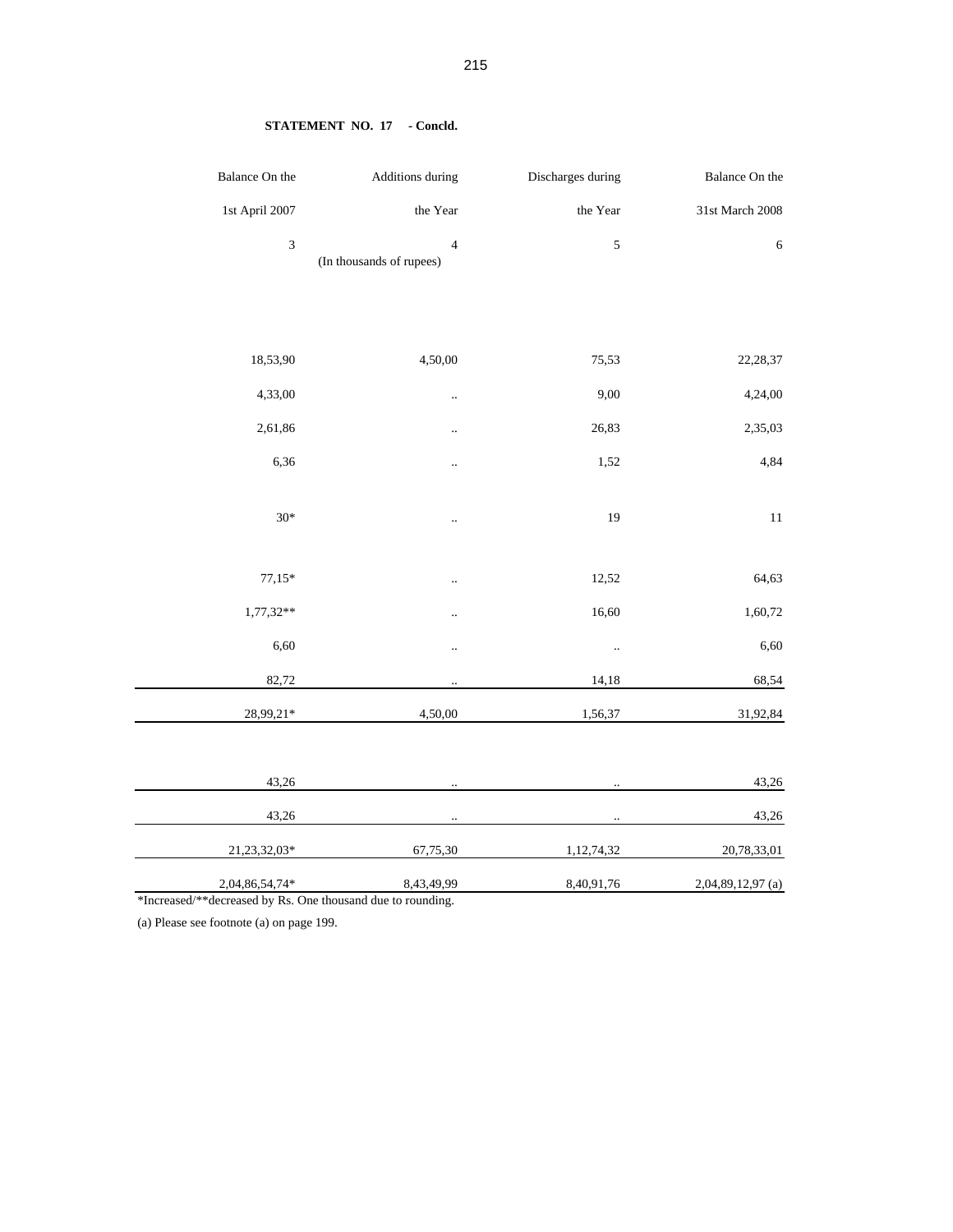| Balance On the                                                                | Additions during                           | Discharges during | Balance On the    |
|-------------------------------------------------------------------------------|--------------------------------------------|-------------------|-------------------|
| 1st April 2007                                                                | the Year                                   | the Year          | 31st March 2008   |
| 3                                                                             | $\overline{4}$<br>(In thousands of rupees) | 5                 | $\sqrt{6}$        |
|                                                                               |                                            |                   |                   |
| 18,53,90                                                                      | 4,50,00                                    | 75,53             | 22, 28, 37        |
| 4,33,00                                                                       |                                            | 9,00              | 4,24,00           |
| 2,61,86                                                                       | $\ddot{\phantom{a}}$                       | 26,83             | 2,35,03           |
| 6,36                                                                          |                                            | 1,52              | 4,84              |
| $30*$                                                                         |                                            | 19                | $11\,$            |
| $77,15*$                                                                      |                                            | 12,52             | 64,63             |
| 1,77,32**                                                                     |                                            | 16,60             | 1,60,72           |
| 6,60                                                                          |                                            | $\ddotsc$         | 6,60              |
| 82,72                                                                         |                                            | 14,18             | 68,54             |
| 28,99,21*                                                                     | 4,50,00                                    | 1,56,37           | 31,92,84          |
| 43,26                                                                         |                                            |                   | 43,26             |
| 43,26                                                                         |                                            |                   | 43,26             |
| 21,23,32,03*                                                                  | 67,75,30                                   | 1,12,74,32        | 20,78,33,01       |
| 2,04,86,54,74*<br>*Increased/**decreased by Rs. One thousand due to rounding. | 8,43,49,99                                 | 8,40,91,76        | 2,04,89,12,97 (a) |

## **STATEMENT NO. 17 - Concld.**

(a) Please see footnote (a) on page 199.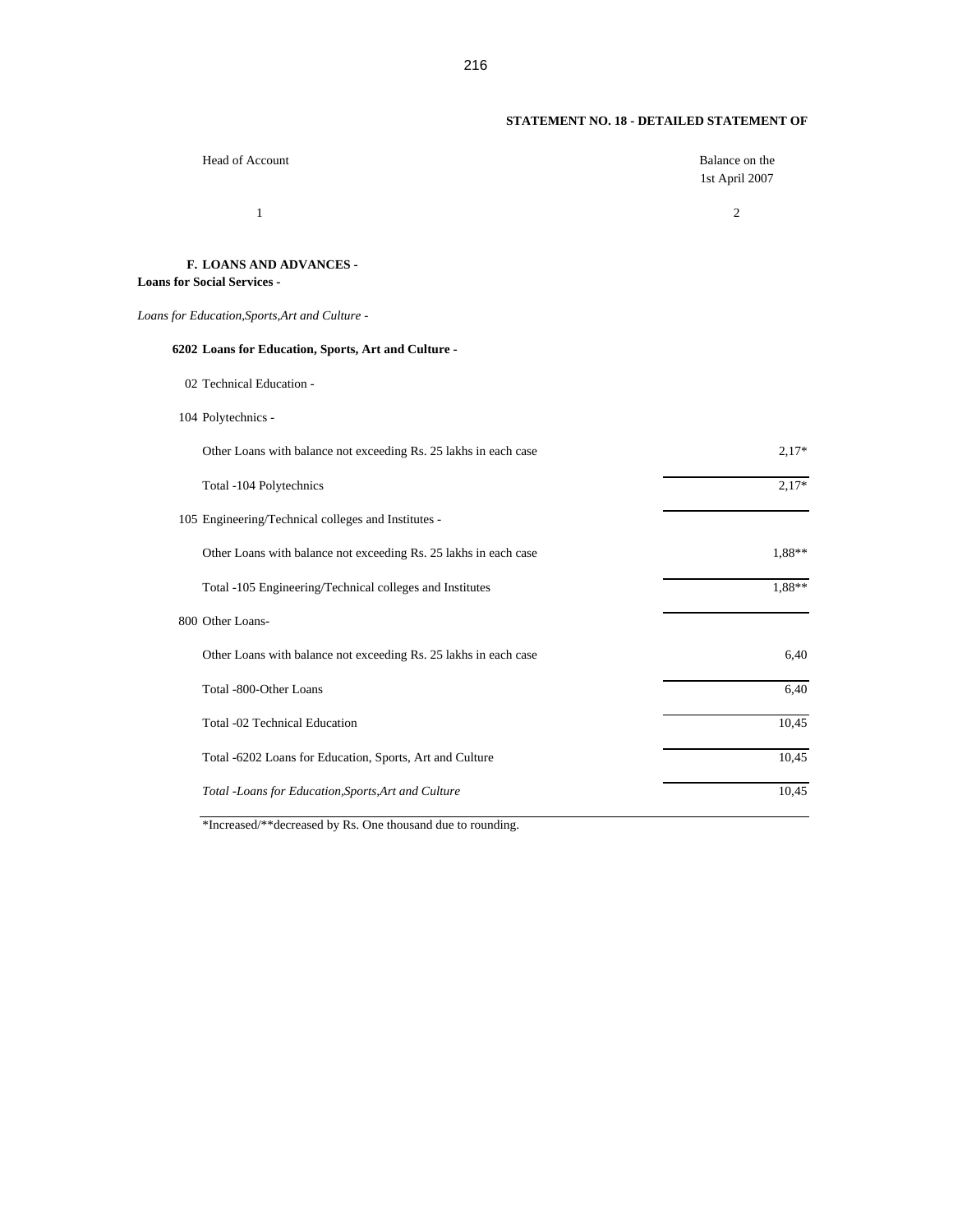## **STATEMENT NO. 18 - DETAILED STATEMENT OF**

| Head of Account                                                  | Balance on the<br>1st April 2007 |
|------------------------------------------------------------------|----------------------------------|
| $\mathbf{1}$                                                     | $\sqrt{2}$                       |
| F. LOANS AND ADVANCES -<br><b>Loans for Social Services -</b>    |                                  |
| Loans for Education, Sports, Art and Culture -                   |                                  |
| 6202 Loans for Education, Sports, Art and Culture -              |                                  |
| 02 Technical Education -                                         |                                  |
| 104 Polytechnics -                                               |                                  |
| Other Loans with balance not exceeding Rs. 25 lakhs in each case | $2,17*$                          |
| Total -104 Polytechnics                                          | $2,17*$                          |
| 105 Engineering/Technical colleges and Institutes -              |                                  |
| Other Loans with balance not exceeding Rs. 25 lakhs in each case | 1,88**                           |
| Total -105 Engineering/Technical colleges and Institutes         | 1,88**                           |
| 800 Other Loans-                                                 |                                  |
| Other Loans with balance not exceeding Rs. 25 lakhs in each case | 6,40                             |
| Total -800-Other Loans                                           | 6,40                             |
| Total -02 Technical Education                                    | 10,45                            |
| Total -6202 Loans for Education, Sports, Art and Culture         | 10,45                            |
| Total -Loans for Education, Sports, Art and Culture              | 10,45                            |

\*Increased/\*\*decreased by Rs. One thousand due to rounding.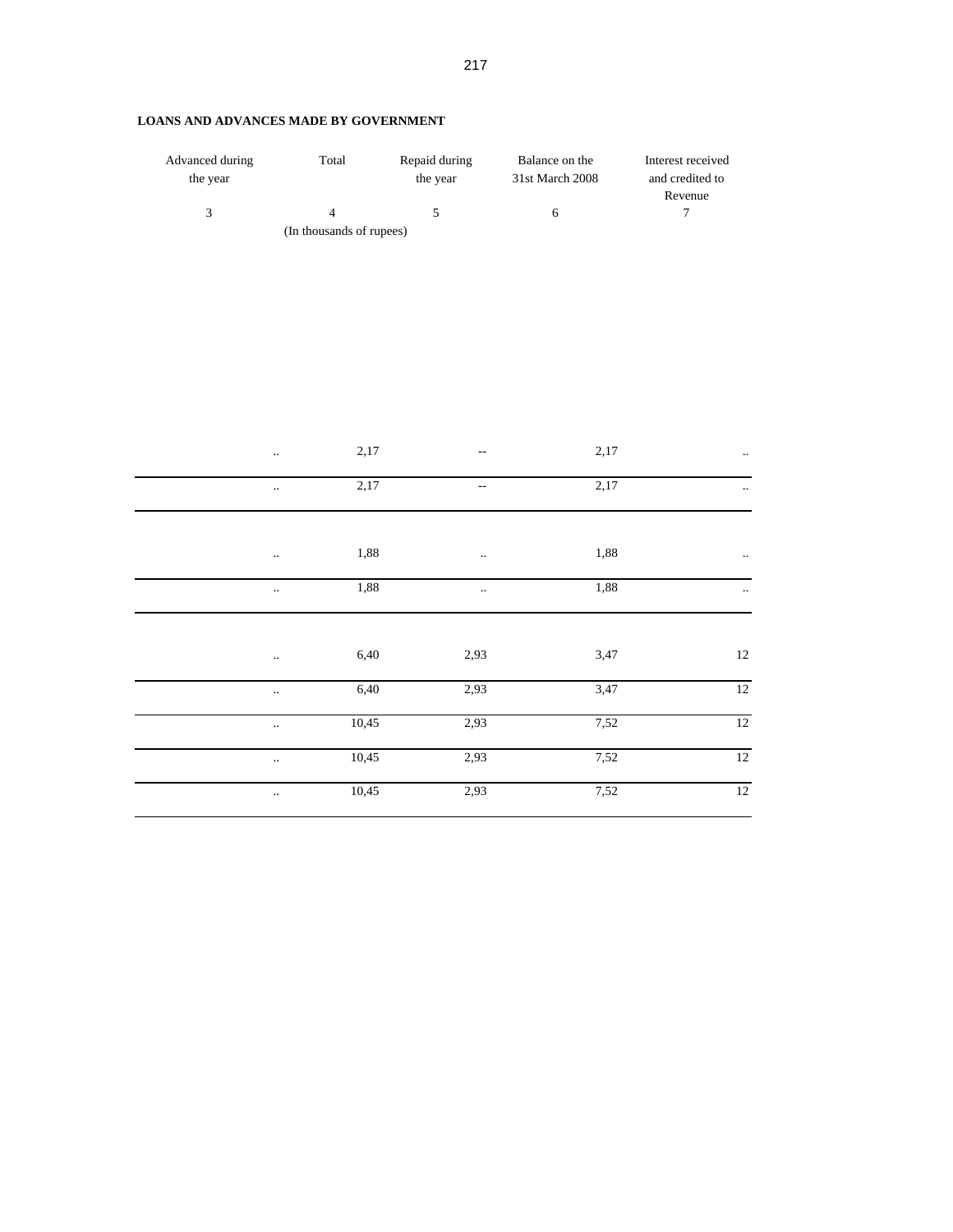| Advanced during<br>the year |                      | Total                    | Repaid during<br>the year | Balance on the<br>31st March 2008 | Interest received<br>and credited to<br>Revenue |
|-----------------------------|----------------------|--------------------------|---------------------------|-----------------------------------|-------------------------------------------------|
| $\overline{3}$              |                      | $\overline{4}$           | $\sqrt{5}$                | $\sqrt{6}$                        | $\boldsymbol{7}$                                |
|                             |                      | (In thousands of rupees) |                           |                                   |                                                 |
|                             |                      |                          |                           |                                   |                                                 |
|                             |                      |                          |                           |                                   |                                                 |
|                             |                      |                          |                           |                                   |                                                 |
|                             |                      |                          |                           |                                   |                                                 |
|                             |                      |                          |                           |                                   |                                                 |
|                             |                      |                          |                           |                                   |                                                 |
|                             |                      |                          |                           |                                   |                                                 |
|                             |                      |                          |                           |                                   |                                                 |
|                             | $\cdot$ .            | 2,17                     |                           | 2,17                              |                                                 |
|                             | $\ddotsc$            | 2,17                     | $\overline{a}$            | 2,17                              | $\ldots$                                        |
|                             |                      |                          |                           |                                   |                                                 |
|                             |                      |                          |                           |                                   |                                                 |
|                             | $\ddot{\phantom{a}}$ | 1,88                     |                           | 1,88                              | $\ddotsc$                                       |
|                             |                      | 1,88                     | $\ddot{\phantom{0}}$      | 1,88                              |                                                 |
|                             | $\ldots$             |                          |                           |                                   | $\ldots$                                        |
|                             |                      |                          |                           |                                   |                                                 |
|                             | $\ddot{\phantom{a}}$ | 6,40                     | 2,93                      | 3,47                              | $12\,$                                          |
|                             |                      | 6,40                     |                           | 3,47                              | $\overline{12}$                                 |
|                             | $\ddot{\phantom{a}}$ |                          | 2,93                      |                                   |                                                 |
|                             | $\ddotsc$            | 10,45                    | 2,93                      | 7,52                              | 12                                              |
|                             | $\ddotsc$            | 10,45                    | 2,93                      | 7,52                              | 12                                              |
|                             |                      |                          |                           |                                   |                                                 |
|                             | $\ddotsc$            | 10,45                    | 2,93                      | 7,52                              | $\overline{12}$                                 |

## **LOANS AND ADVANCES MADE BY GOVERNMENT**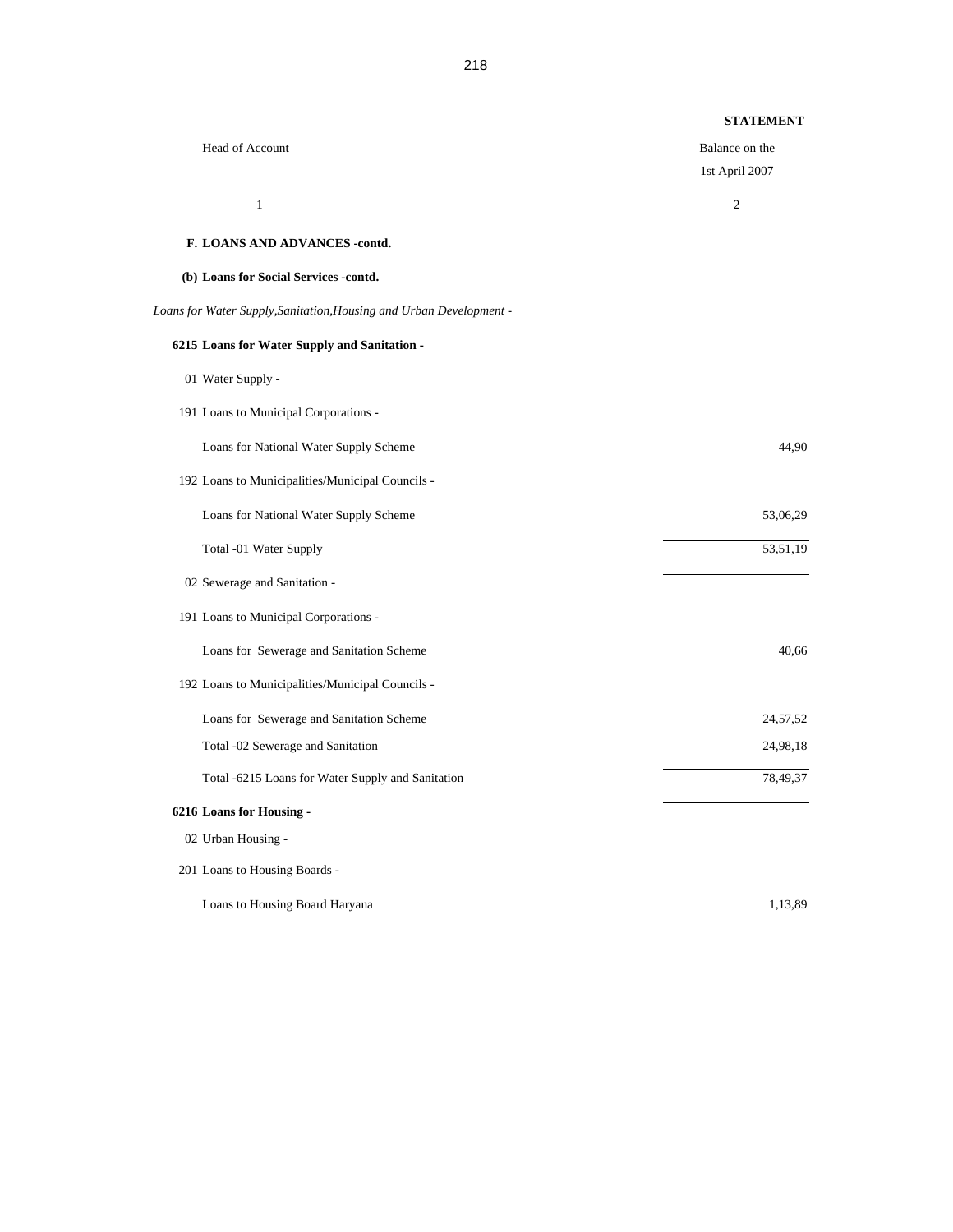|                                                                     | <b>STATEMENT</b> |
|---------------------------------------------------------------------|------------------|
| Head of Account                                                     | Balance on the   |
|                                                                     | 1st April 2007   |
| $\mathbf{1}$                                                        | $\mathfrak{2}$   |
| F. LOANS AND ADVANCES -contd.                                       |                  |
| (b) Loans for Social Services -contd.                               |                  |
| Loans for Water Supply, Sanitation, Housing and Urban Development - |                  |
| 6215 Loans for Water Supply and Sanitation -                        |                  |
| 01 Water Supply -                                                   |                  |
| 191 Loans to Municipal Corporations -                               |                  |
| Loans for National Water Supply Scheme                              | 44,90            |
| 192 Loans to Municipalities/Municipal Councils -                    |                  |
| Loans for National Water Supply Scheme                              | 53,06,29         |
| Total -01 Water Supply                                              | 53,51,19         |
| 02 Sewerage and Sanitation -                                        |                  |
| 191 Loans to Municipal Corporations -                               |                  |
| Loans for Sewerage and Sanitation Scheme                            | 40,66            |
| 192 Loans to Municipalities/Municipal Councils -                    |                  |
| Loans for Sewerage and Sanitation Scheme                            | 24,57,52         |
| Total -02 Sewerage and Sanitation                                   | 24,98,18         |
| Total -6215 Loans for Water Supply and Sanitation                   | 78,49,37         |
| 6216 Loans for Housing -                                            |                  |
| 02 Urban Housing -                                                  |                  |
| 201 Loans to Housing Boards -                                       |                  |
| Loans to Housing Board Haryana                                      | 1,13,89          |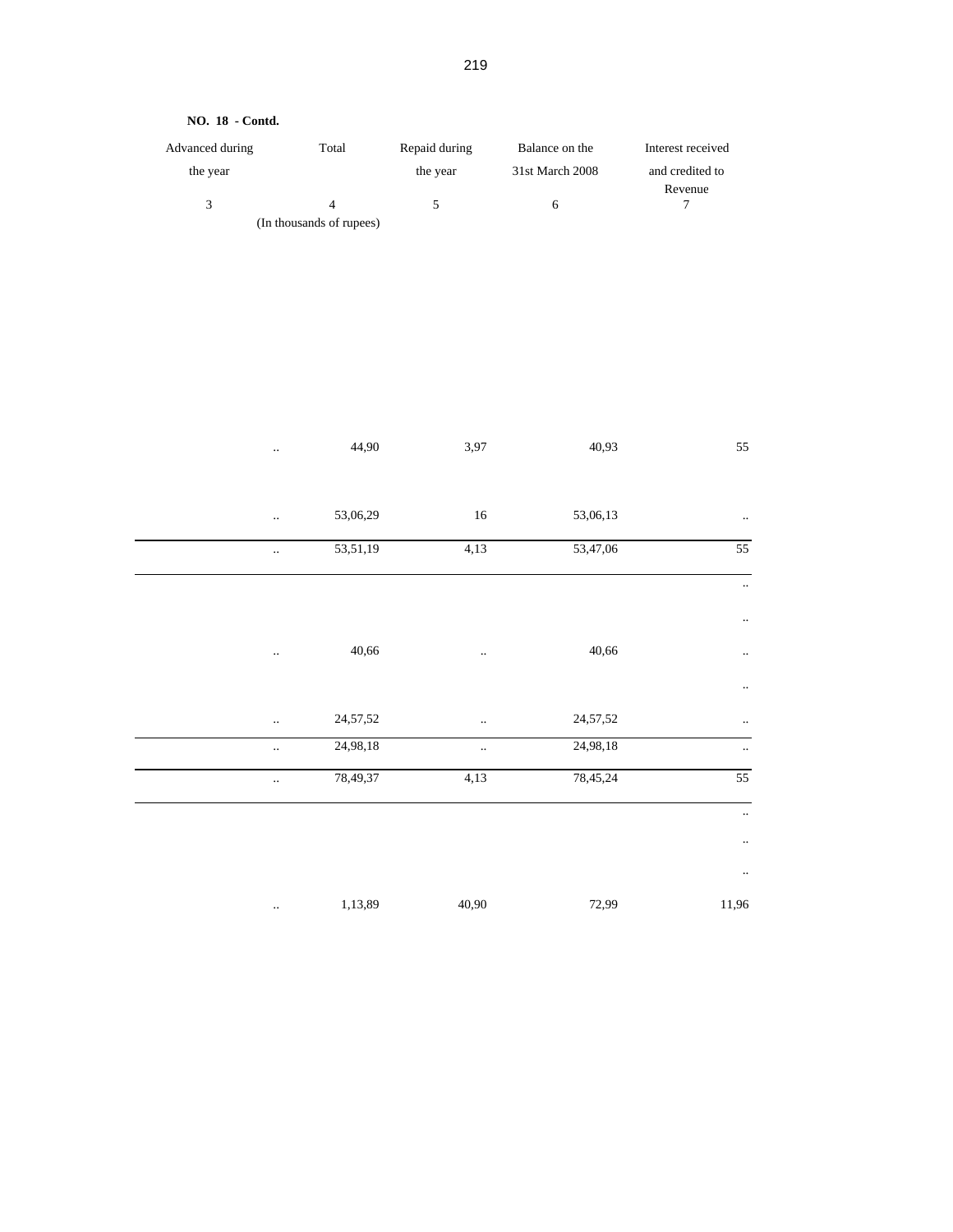| Advanced during<br>the year |                      | Total                    | Repaid during<br>the year | Balance on the<br>31st March 2008 | Interest received<br>and credited to |
|-----------------------------|----------------------|--------------------------|---------------------------|-----------------------------------|--------------------------------------|
| $\mathfrak{Z}$              |                      | $\overline{4}$           | 5                         | $\sqrt{6}$                        | Revenue<br>$\boldsymbol{7}$          |
|                             |                      | (In thousands of rupees) |                           |                                   |                                      |
|                             |                      |                          |                           |                                   |                                      |
|                             |                      |                          |                           |                                   |                                      |
|                             |                      |                          |                           |                                   |                                      |
|                             |                      |                          |                           |                                   |                                      |
|                             |                      |                          |                           |                                   |                                      |
|                             | .,                   | 44,90                    | 3,97                      | 40,93                             | 55                                   |
|                             |                      |                          |                           |                                   |                                      |
|                             | $\cdot$ .            | 53,06,29                 | $16\,$                    | 53,06,13                          | $\ddot{\phantom{0}}$                 |
|                             | $\ddot{\phantom{a}}$ | 53,51,19                 | 4,13                      | 53,47,06                          | $\overline{55}$                      |
|                             |                      |                          |                           |                                   | $\ldots$                             |
|                             |                      |                          |                           |                                   |                                      |
|                             |                      | 40,66                    | $\ldots$                  | 40,66                             | .,                                   |
|                             |                      |                          |                           |                                   | $\ddot{\phantom{a}}$                 |
|                             |                      | 24,57,52                 | $\ddotsc$                 | 24,57,52                          | .,                                   |
|                             |                      | 24,98,18                 | $\ldots$                  | 24,98,18                          | .,                                   |
|                             | .,                   | 78,49,37                 | 4,13                      | 78,45,24                          | $\overline{55}$                      |
|                             |                      |                          |                           |                                   | $\ldots$                             |
|                             |                      |                          |                           |                                   |                                      |
|                             |                      |                          |                           |                                   | $\cdot$ .                            |
|                             | $\ldots$             | 1,13,89                  | 40,90                     | 72,99                             | 11,96                                |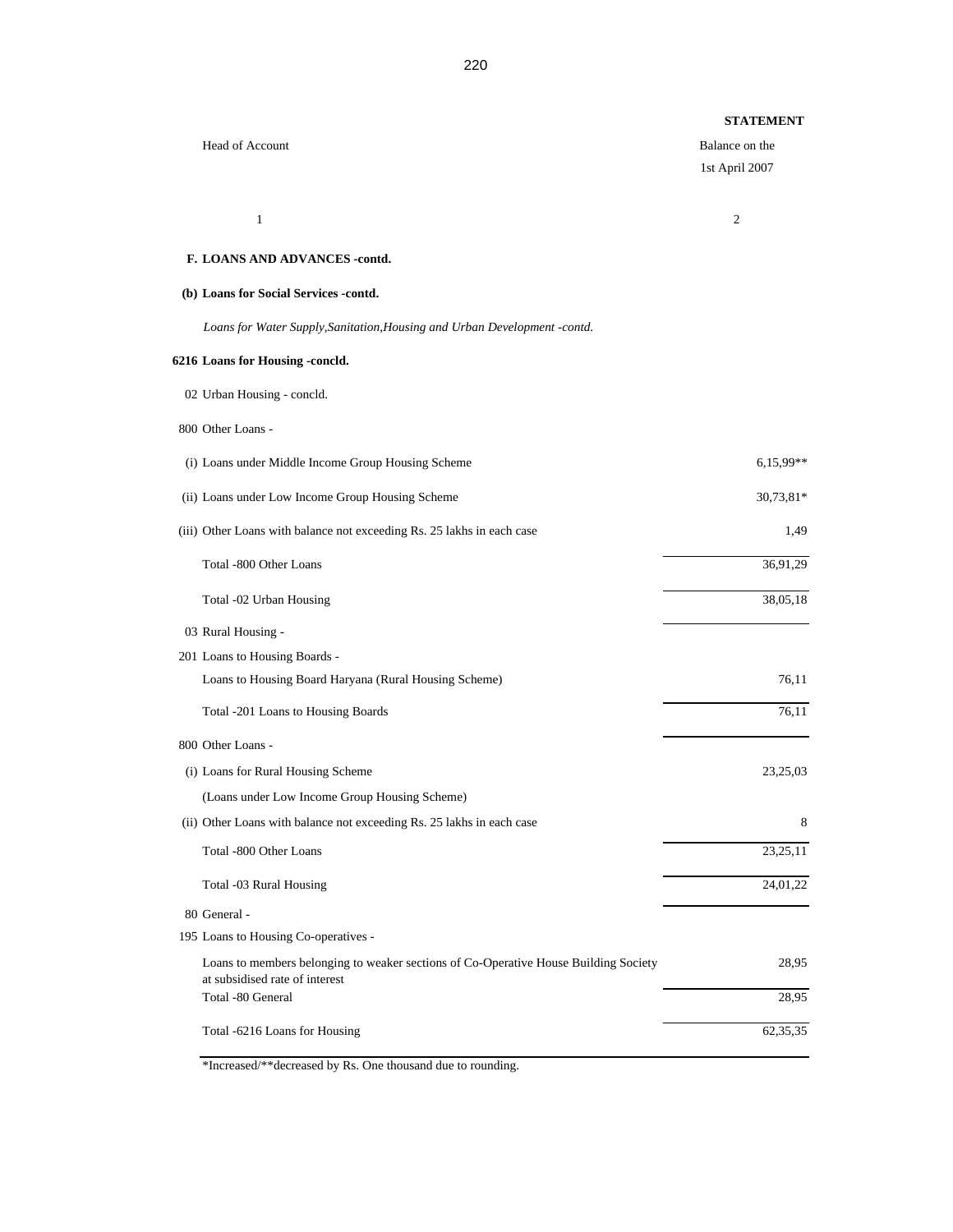| Head of Account                                                                      | <b>STATEMENT</b><br>Balance on the<br>1st April 2007 |
|--------------------------------------------------------------------------------------|------------------------------------------------------|
| 1                                                                                    | 2                                                    |
| F. LOANS AND ADVANCES -contd.                                                        |                                                      |
| (b) Loans for Social Services -contd.                                                |                                                      |
| Loans for Water Supply, Sanitation, Housing and Urban Development -contd.            |                                                      |
| 6216 Loans for Housing -concld.                                                      |                                                      |
| 02 Urban Housing - concld.                                                           |                                                      |
| 800 Other Loans -                                                                    |                                                      |
| (i) Loans under Middle Income Group Housing Scheme                                   | $6,15,99**$                                          |
| (ii) Loans under Low Income Group Housing Scheme                                     | 30,73,81*                                            |
| (iii) Other Loans with balance not exceeding Rs. 25 lakhs in each case               | 1,49                                                 |
|                                                                                      |                                                      |
| Total -800 Other Loans                                                               | 36,91,29                                             |
| Total -02 Urban Housing                                                              | 38,05,18                                             |
| 03 Rural Housing -                                                                   |                                                      |
| 201 Loans to Housing Boards -                                                        |                                                      |
| Loans to Housing Board Haryana (Rural Housing Scheme)                                | 76,11                                                |
| Total -201 Loans to Housing Boards                                                   | 76,11                                                |
| 800 Other Loans -                                                                    |                                                      |
| (i) Loans for Rural Housing Scheme                                                   | 23,25,03                                             |
| (Loans under Low Income Group Housing Scheme)                                        |                                                      |
| (ii) Other Loans with balance not exceeding Rs. 25 lakhs in each case                | 8                                                    |
| Total -800 Other Loans                                                               | 23, 25, 11                                           |
| Total -03 Rural Housing                                                              | 24,01,22                                             |
| 80 General -                                                                         |                                                      |
| 195 Loans to Housing Co-operatives -                                                 |                                                      |
| Loans to members belonging to weaker sections of Co-Operative House Building Society | 28,95                                                |
| at subsidised rate of interest<br>Total -80 General                                  | 28,95                                                |
| Total -6216 Loans for Housing                                                        | 62, 35, 35                                           |

\*Increased/\*\*decreased by Rs. One thousand due to rounding.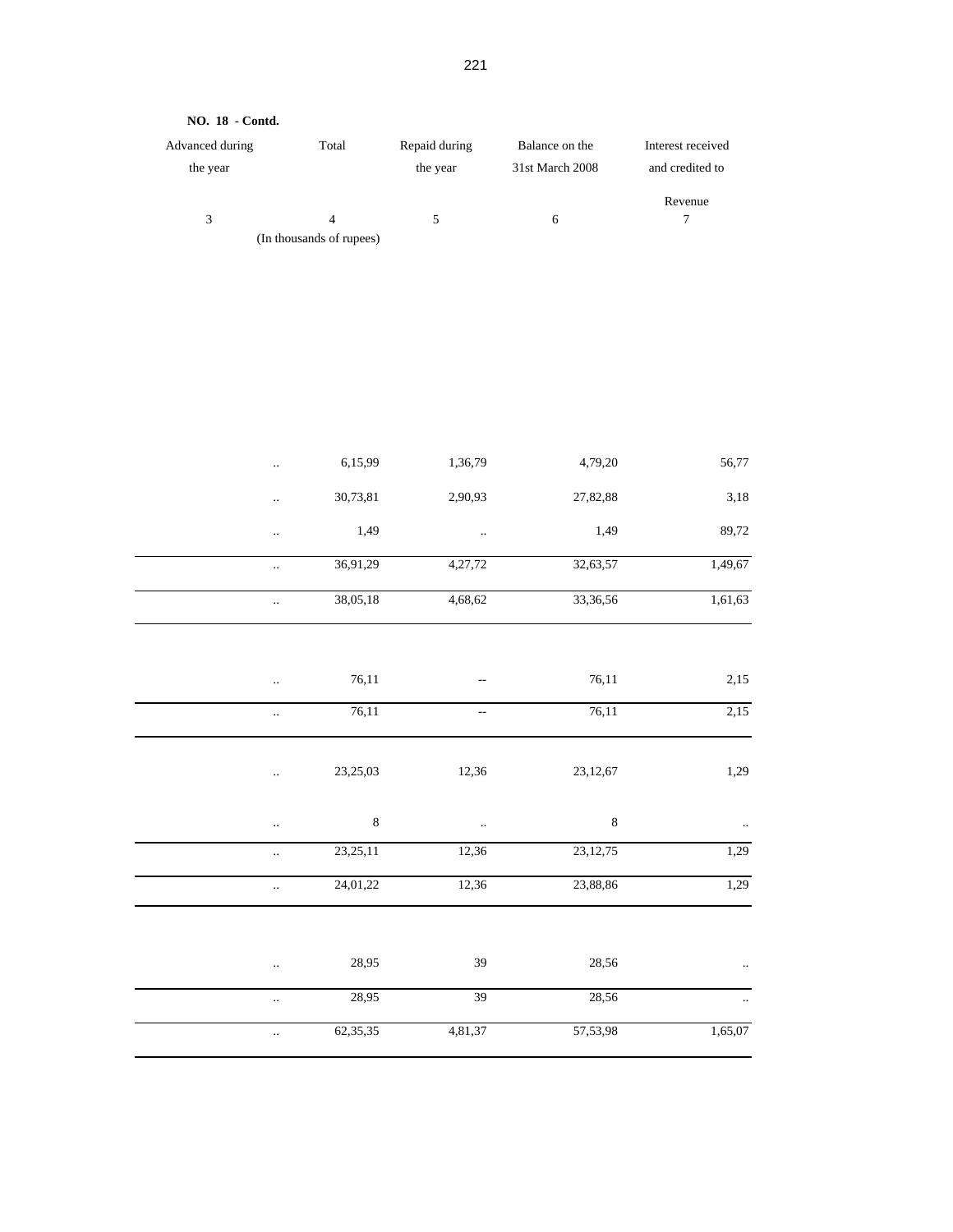| Advanced during<br>the year | $\operatorname{\mathsf{Total}}$                     | Repaid during<br>the year | Balance on the<br>31st March 2008 | Interest received<br>and credited to |
|-----------------------------|-----------------------------------------------------|---------------------------|-----------------------------------|--------------------------------------|
| $\sqrt{3}$                  | $\overline{\mathbf{4}}$<br>(In thousands of rupees) | $\sqrt{5}$                | $\sqrt{6}$                        | Revenue<br>$\sqrt{ }$                |
|                             |                                                     |                           |                                   |                                      |
|                             |                                                     |                           |                                   |                                      |
|                             | 6,15,99<br>                                         | 1,36,79                   | 4,79,20                           | 56,77                                |
|                             | 30,73,81<br>$\ddot{\phantom{a}}$                    | 2,90,93                   | 27,82,88                          | 3,18                                 |
|                             | 1,49<br>                                            | $\ddotsc$                 | 1,49                              | 89,72                                |
|                             | 36,91,29<br>.,                                      | 4,27,72                   | 32,63,57                          | 1,49,67                              |
|                             | 38,05,18<br>$\ddotsc$                               | 4,68,62                   | 33,36,56                          | 1,61,63                              |
|                             | 76,11<br>                                           |                           | 76,11                             | 2,15                                 |
|                             | 76,11<br>$\ddotsc$                                  | $\ddotsc$                 | 76,11                             | 2,15                                 |
|                             | 23,25,03<br>                                        | 12,36                     | 23,12,67                          | 1,29                                 |
|                             | $\,$ $\,$<br>$\ddot{\phantom{0}}$                   | $\cdot\cdot$              | 8                                 | $\cdot\cdot$                         |
|                             | 23,25,11<br>.,                                      | 12,36                     | 23, 12, 75                        | 1,29                                 |
|                             | 24,01,22<br>.,                                      | 12,36                     | 23,88,86                          | 1,29                                 |
|                             | 28,95<br>$\ldots$                                   | 39                        | 28,56                             |                                      |
|                             | 28,95<br>                                           | 39                        | 28,56                             | $\ldots$                             |
|                             | 62,35,35<br>$\ddot{\phantom{a}}$                    | 4,81,37                   | 57,53,98                          | 1,65,07                              |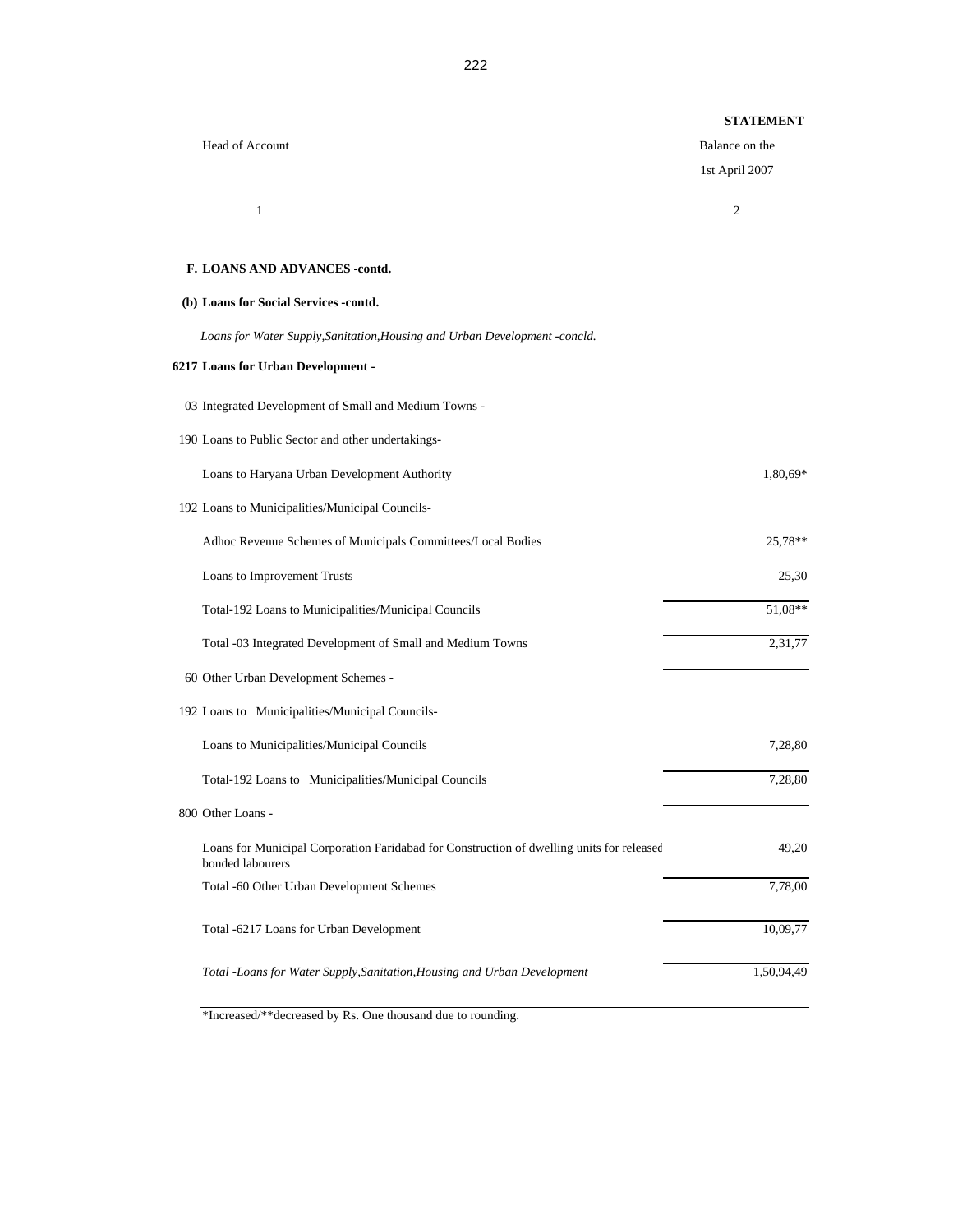| Head of Account                                                                                               | <b>STATEMENT</b><br>Balance on the<br>1st April 2007 |
|---------------------------------------------------------------------------------------------------------------|------------------------------------------------------|
| 1                                                                                                             | 2                                                    |
| F. LOANS AND ADVANCES -contd.                                                                                 |                                                      |
| (b) Loans for Social Services -contd.                                                                         |                                                      |
| Loans for Water Supply, Sanitation, Housing and Urban Development -concld.                                    |                                                      |
| 6217 Loans for Urban Development -                                                                            |                                                      |
| 03 Integrated Development of Small and Medium Towns -                                                         |                                                      |
| 190 Loans to Public Sector and other undertakings-                                                            |                                                      |
| Loans to Haryana Urban Development Authority                                                                  | 1,80,69*                                             |
| 192 Loans to Municipalities/Municipal Councils-                                                               |                                                      |
| Adhoc Revenue Schemes of Municipals Committees/Local Bodies                                                   | 25,78**                                              |
| Loans to Improvement Trusts                                                                                   | 25,30                                                |
| Total-192 Loans to Municipalities/Municipal Councils                                                          | 51,08**                                              |
| Total -03 Integrated Development of Small and Medium Towns                                                    | 2,31,77                                              |
| 60 Other Urban Development Schemes -                                                                          |                                                      |
| 192 Loans to Municipalities/Municipal Councils-                                                               |                                                      |
| Loans to Municipalities/Municipal Councils                                                                    | 7,28,80                                              |
| Total-192 Loans to Municipalities/Municipal Councils                                                          | 7,28,80                                              |
| 800 Other Loans -                                                                                             |                                                      |
| Loans for Municipal Corporation Faridabad for Construction of dwelling units for released<br>bonded labourers | 49,20                                                |
| Total -60 Other Urban Development Schemes                                                                     | 7,78,00                                              |
| Total -6217 Loans for Urban Development                                                                       | 10,09,77                                             |
| Total -Loans for Water Supply, Sanitation, Housing and Urban Development                                      | 1,50,94,49                                           |

\*Increased/\*\*decreased by Rs. One thousand due to rounding.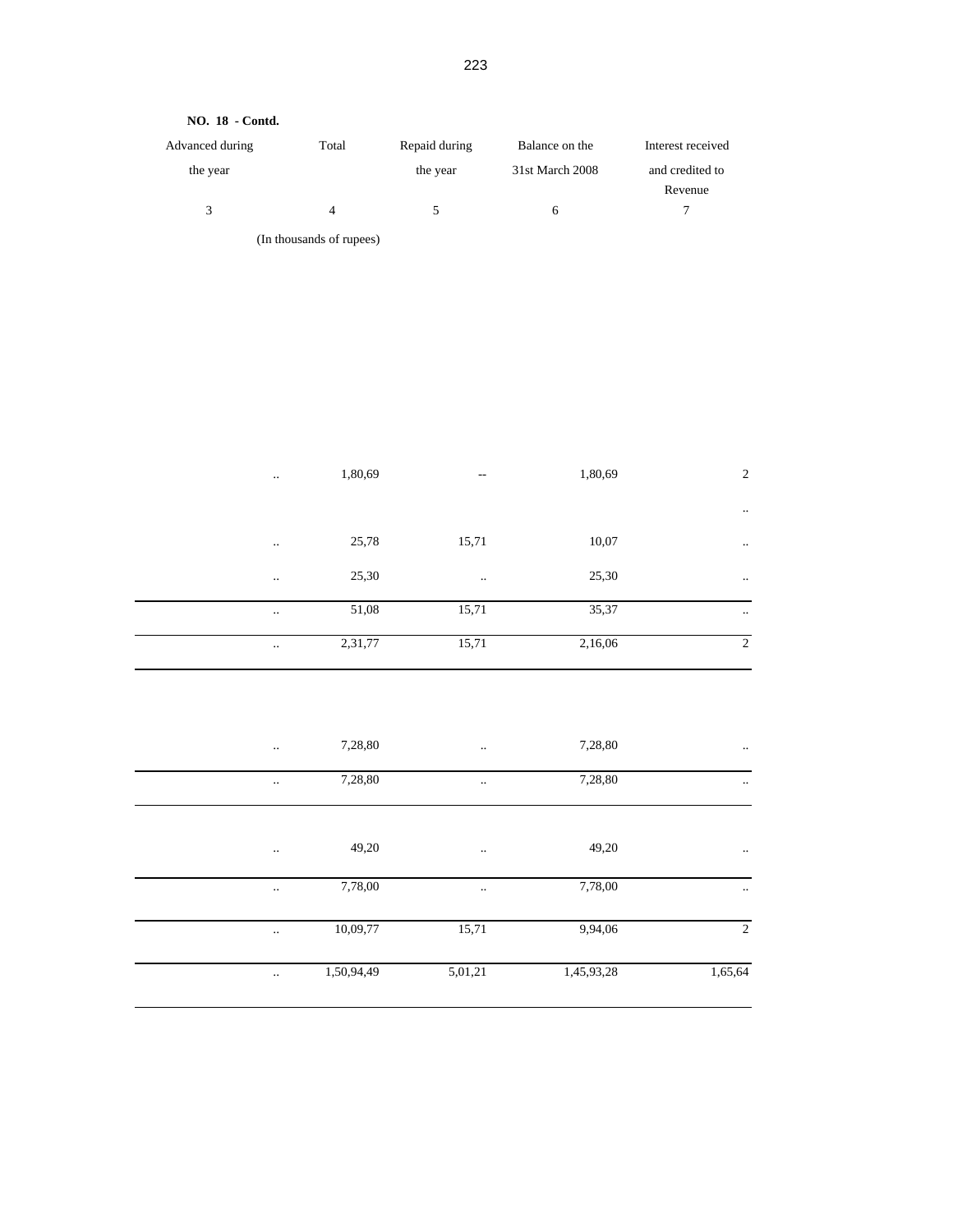| <b>NO. 18 - Contd.</b> |                          |               |                 |                   |
|------------------------|--------------------------|---------------|-----------------|-------------------|
| Advanced during        | Total                    | Repaid during | Balance on the  | Interest received |
| the year               |                          | the year      | 31st March 2008 | and credited to   |
|                        |                          |               |                 | Revenue           |
| 3                      | 4                        | 5             | 6               | 7                 |
|                        | (In thousands of rupees) |               |                 |                   |

| $\cdot\cdot$ | 1,80,69 | $\sim$ $\sim$ | 1,80,69 | 2         |
|--------------|---------|---------------|---------|-----------|
|              |         |               |         | $\ldots$  |
| $\cdot$ .    | 25,78   | 15,71         | 10,07   | $\cdot$ . |
| $\cdot$ .    | 25,30   | $\cdot\cdot$  | 25,30   | $\ldots$  |
| $\cdots$     | 51,08   | 15,71         | 35,37   | $\cdot$ . |
| $\cdot\cdot$ | 2,31,77 | 15,71         | 2,16,06 | 2         |

| $\cdot$ . | 7,28,80    |              | 7,28,80    | $\cdot$ .   |
|-----------|------------|--------------|------------|-------------|
| $\cdot$ . | 7,28,80    | $\cdot\cdot$ | 7,28,80    | $\bullet$ . |
| $\ddotsc$ | 49,20      |              | 49,20      | $\cdot$ .   |
| $\cdot$ . | 7,78,00    |              | 7,78,00    | $\cdot$ .   |
| $\cdot$ . | 10,09,77   | 15,71        | 9,94,06    | 2           |
| $\cdot$ . | 1,50,94,49 | 5,01,21      | 1,45,93,28 | 1,65,64     |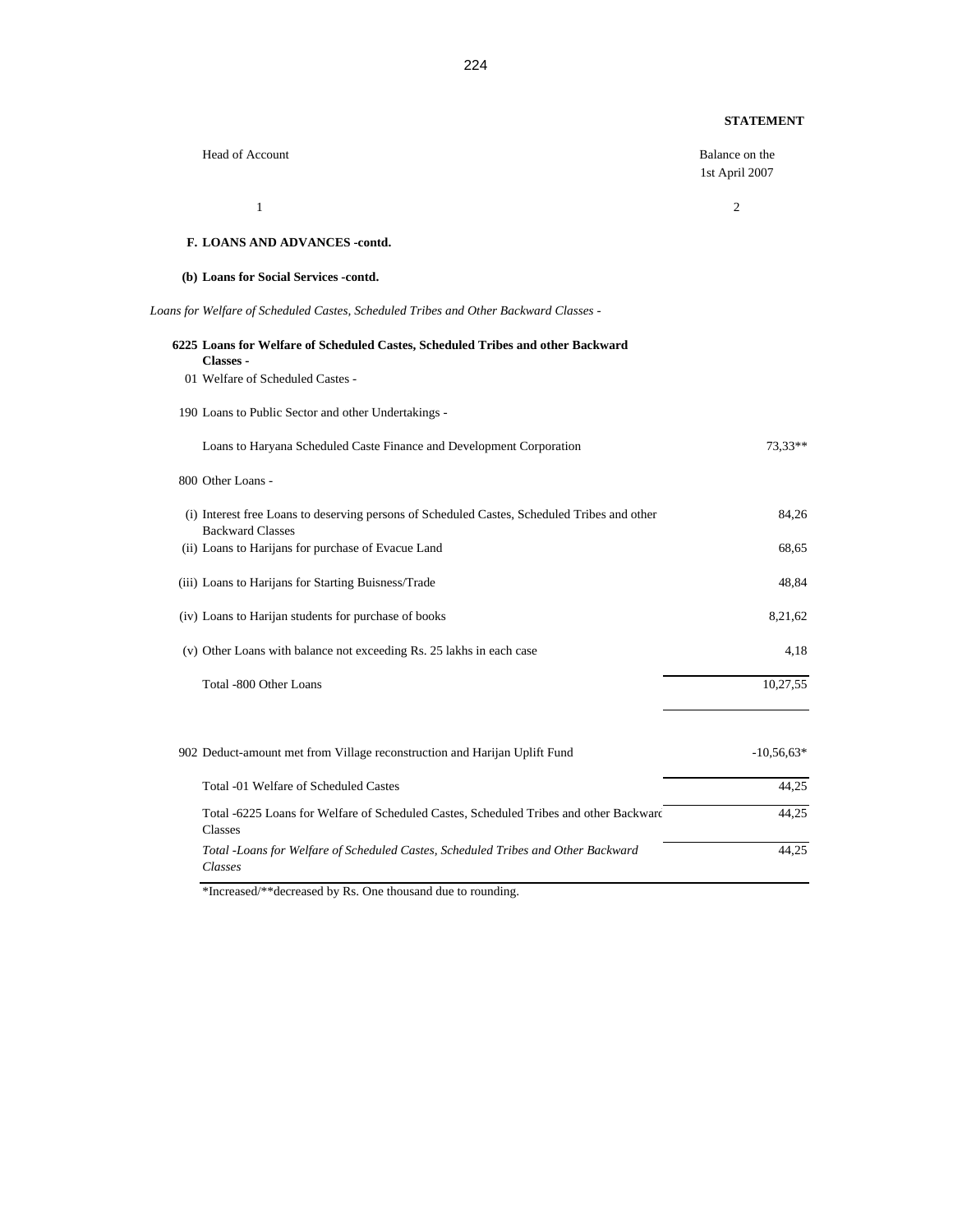## **STATEMENT**

| Head of Account                                                                                                         | Balance on the<br>1st April 2007 |
|-------------------------------------------------------------------------------------------------------------------------|----------------------------------|
| $\mathbf{1}$                                                                                                            | $\overline{2}$                   |
| F. LOANS AND ADVANCES -contd.                                                                                           |                                  |
| (b) Loans for Social Services -contd.                                                                                   |                                  |
| Loans for Welfare of Scheduled Castes, Scheduled Tribes and Other Backward Classes -                                    |                                  |
| 6225 Loans for Welfare of Scheduled Castes, Scheduled Tribes and other Backward<br>Classes -                            |                                  |
| 01 Welfare of Scheduled Castes -                                                                                        |                                  |
| 190 Loans to Public Sector and other Undertakings -                                                                     |                                  |
| Loans to Haryana Scheduled Caste Finance and Development Corporation                                                    | 73.33**                          |
| 800 Other Loans -                                                                                                       |                                  |
| (i) Interest free Loans to deserving persons of Scheduled Castes, Scheduled Tribes and other<br><b>Backward Classes</b> | 84,26                            |
| (ii) Loans to Harijans for purchase of Evacue Land                                                                      | 68,65                            |
| (iii) Loans to Harijans for Starting Buisness/Trade                                                                     | 48,84                            |
| (iv) Loans to Harijan students for purchase of books                                                                    | 8,21,62                          |
| (v) Other Loans with balance not exceeding Rs. 25 lakhs in each case                                                    | 4,18                             |
| Total -800 Other Loans                                                                                                  | 10,27,55                         |
| 902 Deduct-amount met from Village reconstruction and Harijan Uplift Fund                                               | $-10,56,63*$                     |
| Total -01 Welfare of Scheduled Castes                                                                                   | 44,25                            |
| Total -6225 Loans for Welfare of Scheduled Castes, Scheduled Tribes and other Backward<br>Classes                       | 44,25                            |
| Total -Loans for Welfare of Scheduled Castes, Scheduled Tribes and Other Backward<br>Classes                            | 44,25                            |

\*Increased/\*\*decreased by Rs. One thousand due to rounding.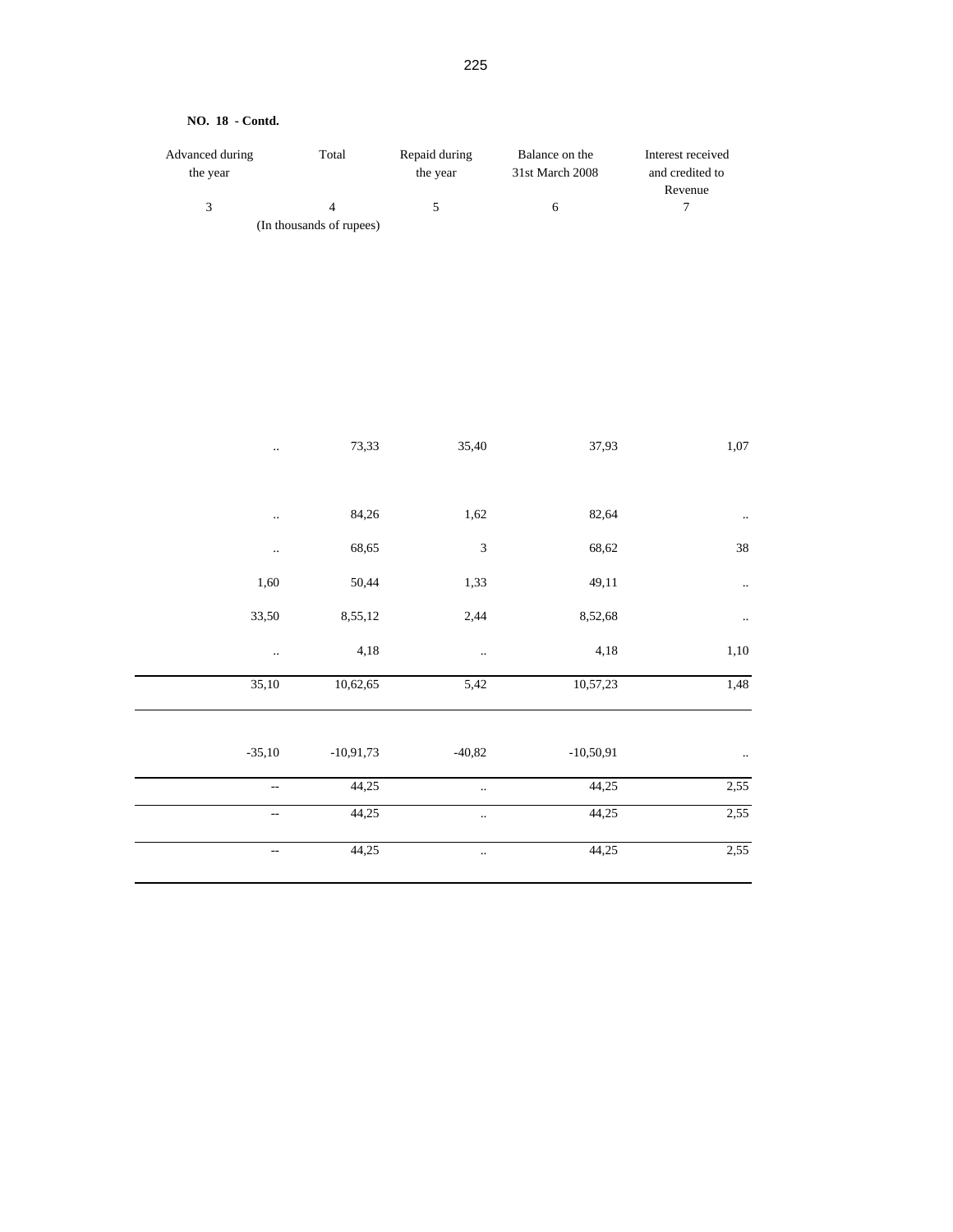J.

| Advanced during | Total                    | Repaid during | Balance on the  | Interest received |
|-----------------|--------------------------|---------------|-----------------|-------------------|
| the year        |                          | the year      | 31st March 2008 | and credited to   |
|                 |                          |               |                 | Revenue           |
|                 |                          |               |                 |                   |
|                 | (In thousands of rupees) |               |                 |                   |

| $\ldots$                 | 73,33       | 35,40          | 37,93       | 1,07      |
|--------------------------|-------------|----------------|-------------|-----------|
|                          |             |                |             |           |
| $\cdot$ .                | 84,26       | 1,62           | 82,64       | $\cdot$ . |
| $\cdot\cdot$             | 68,65       | $\mathfrak{Z}$ | 68,62       | $38\,$    |
| 1,60                     | 50,44       | 1,33           | 49,11       | $\cdot$ . |
| 33,50                    | 8,55,12     | 2,44           | 8,52,68     | $\ldots$  |
| $\cdot$ .                | 4,18        | $\cdot$ .      | 4,18        | 1,10      |
| 35,10                    | 10,62,65    | 5,42           | 10,57,23    | 1,48      |
|                          |             |                |             |           |
| $-35,10$                 | $-10,91,73$ | $-40,82$       | $-10,50,91$ | $\ldots$  |
| $-$                      | 44,25       | $\ldots$       | 44,25       | 2,55      |
| $-$                      | 44,25       |                | 44,25       | 2,55      |
| $\overline{\phantom{m}}$ | 44,25       | $\cdot$ .      | 44,25       | 2,55      |
|                          |             |                |             |           |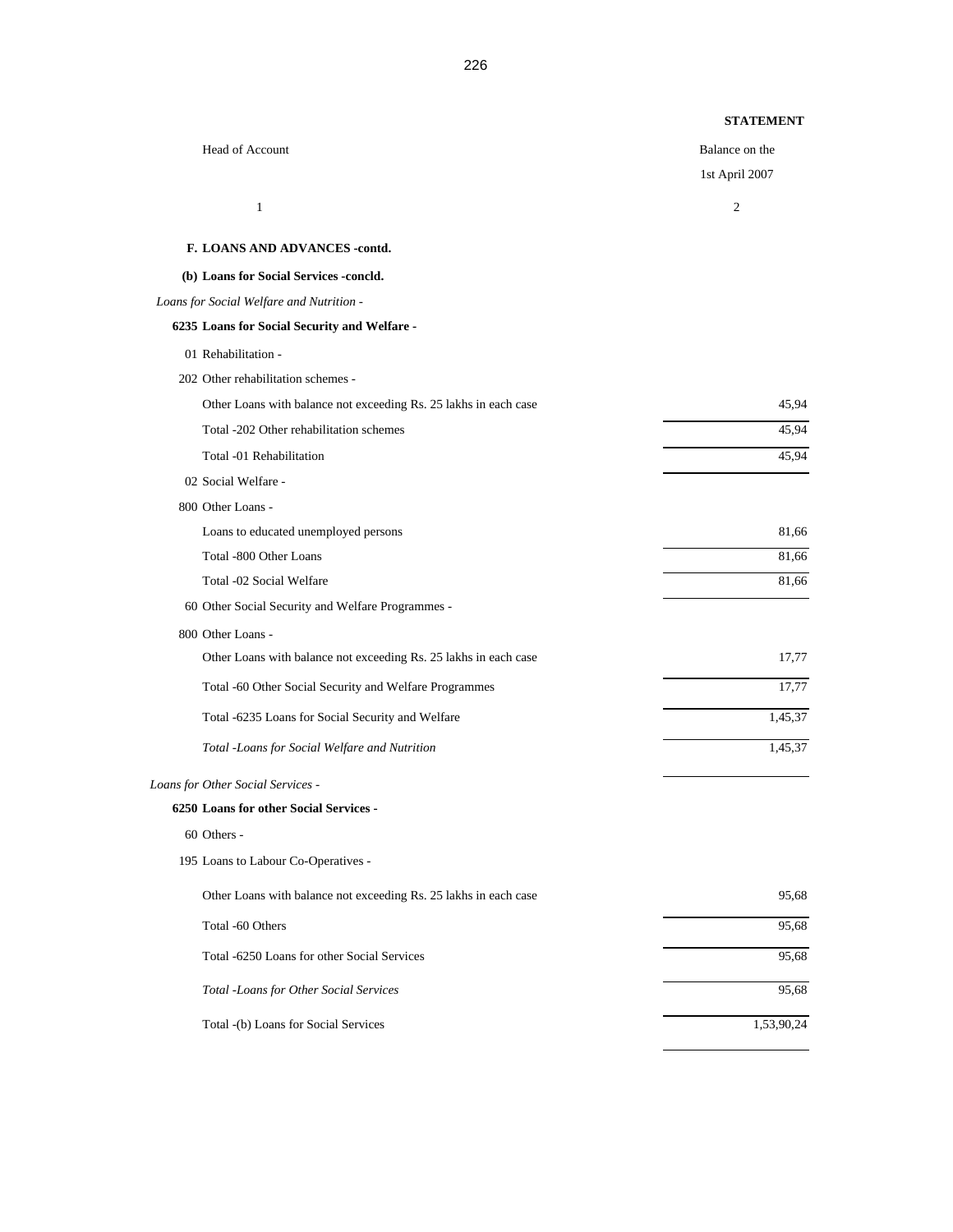|                                                                  | <b>STATEMENT</b> |
|------------------------------------------------------------------|------------------|
| Head of Account                                                  | Balance on the   |
|                                                                  | 1st April 2007   |
| $\mathbf{1}$                                                     | $\overline{c}$   |
| F. LOANS AND ADVANCES -contd.                                    |                  |
| (b) Loans for Social Services -concld.                           |                  |
| Loans for Social Welfare and Nutrition -                         |                  |
| 6235 Loans for Social Security and Welfare -                     |                  |
| 01 Rehabilitation -                                              |                  |
| 202 Other rehabilitation schemes -                               |                  |
| Other Loans with balance not exceeding Rs. 25 lakhs in each case | 45,94            |
| Total -202 Other rehabilitation schemes                          | 45,94            |
| Total -01 Rehabilitation                                         | 45,94            |
| 02 Social Welfare -                                              |                  |
| 800 Other Loans -                                                |                  |
| Loans to educated unemployed persons                             | 81,66            |
| Total -800 Other Loans                                           | 81,66            |
| Total -02 Social Welfare                                         | 81,66            |
| 60 Other Social Security and Welfare Programmes -                |                  |
| 800 Other Loans -                                                |                  |
| Other Loans with balance not exceeding Rs. 25 lakhs in each case | 17,77            |
| Total -60 Other Social Security and Welfare Programmes           | 17,77            |
| Total -6235 Loans for Social Security and Welfare                | 1,45,37          |
| Total -Loans for Social Welfare and Nutrition                    | 1,45,37          |
| Loans for Other Social Services -                                |                  |
| 6250 Loans for other Social Services -                           |                  |
| 60 Others -                                                      |                  |
| 195 Loans to Labour Co-Operatives -                              |                  |
| Other Loans with balance not exceeding Rs. 25 lakhs in each case | 95,68            |
| Total -60 Others                                                 | 95,68            |
| Total -6250 Loans for other Social Services                      | 95,68            |
| Total -Loans for Other Social Services                           | 95,68            |
| Total -(b) Loans for Social Services                             | 1,53,90,24       |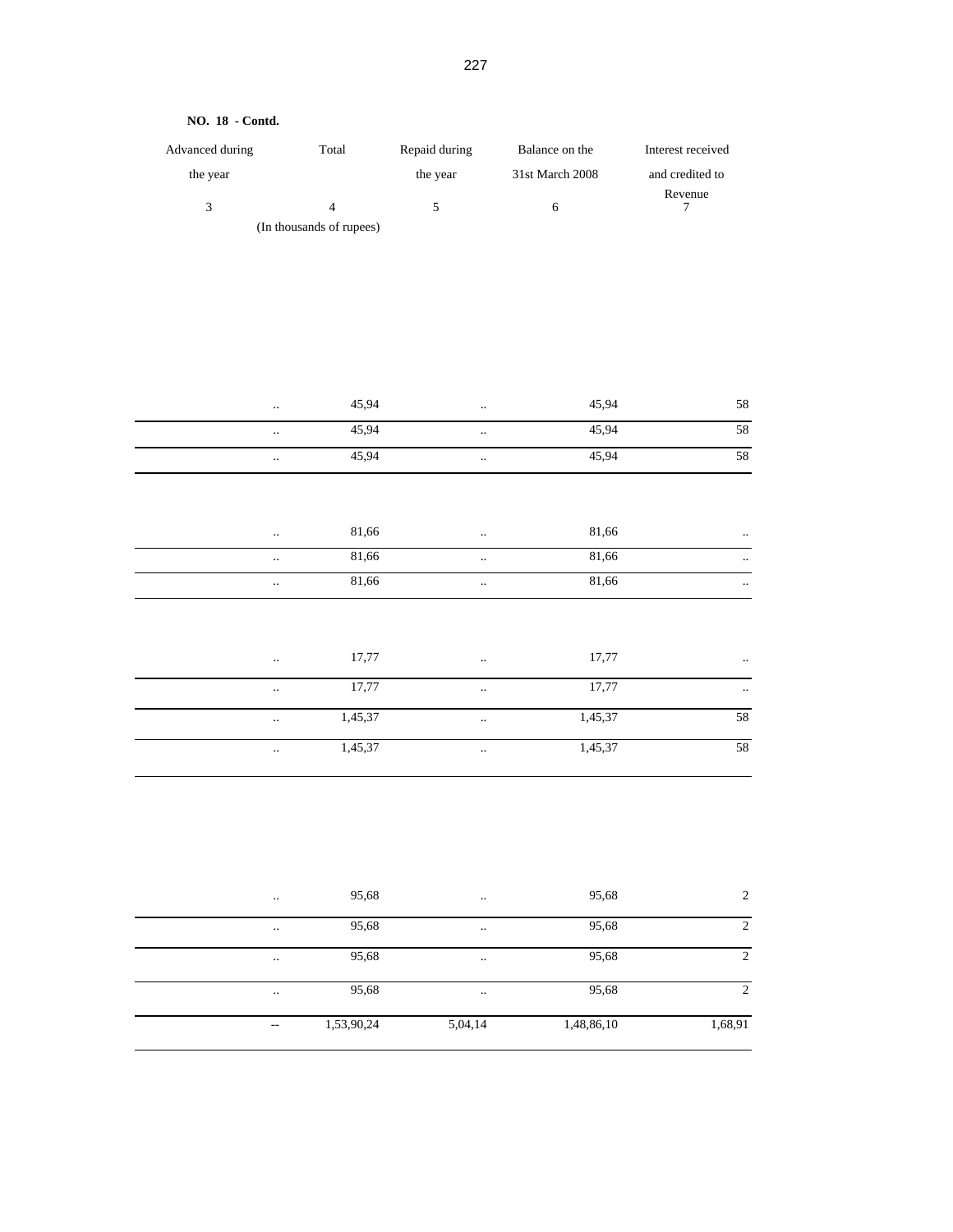| Advanced during | Total                    | Repaid during | Balance on the  | Interest received |
|-----------------|--------------------------|---------------|-----------------|-------------------|
| the year        |                          | the year      | 31st March 2008 | and credited to   |
| 3               |                          |               |                 | Revenue           |
|                 | (In thousands of rupees) |               |                 |                   |

| $\ldots$     | 45,94   | $\ldots$  | 45,94   | 58           |
|--------------|---------|-----------|---------|--------------|
| $\ldots$     | 45,94   | $\cdot$ . | 45,94   | 58           |
| $\cdot$ .    | 45,94   | $\cdot$ . | 45,94   | 58           |
|              |         |           |         |              |
| $\ldots$     | 81,66   | $\cdot$ . | 81,66   | $\ddotsc$    |
| $\cdot$ .    | 81,66   | $\cdot$ . | 81,66   | ٠.           |
| $\cdot\cdot$ | 81,66   | $\cdot$ . | 81,66   | $\cdot$ .    |
|              |         |           |         |              |
| $\ldots$     | 17,77   | $\ldots$  | 17,77   | $\cdot\cdot$ |
| $\cdot$ .    | 17,77   | $\cdot$ . | 17,77   | $\cdot$ .    |
| $\cdot\cdot$ | 1,45,37 | $\cdot$ . | 1,45,37 | 58           |
| $\ldots$     | 1,45,37 | $\ldots$  | 1,45,37 | 58           |
|              |         |           |         |              |

|           | 95,68      | $\cdot \cdot$ | 95,68      | 2       |
|-----------|------------|---------------|------------|---------|
| $\cdot$ . | 95,68      | $\cdot \cdot$ | 95,68      | 2       |
| $\cdot$ . | 95,68      | $\cdot \cdot$ | 95,68      | 2       |
| $\cdot$ . | 95,68      | $\cdots$      | 95,68      | 2       |
| $- -$     | 1,53,90,24 | 5,04,14       | 1,48,86,10 | 1,68,91 |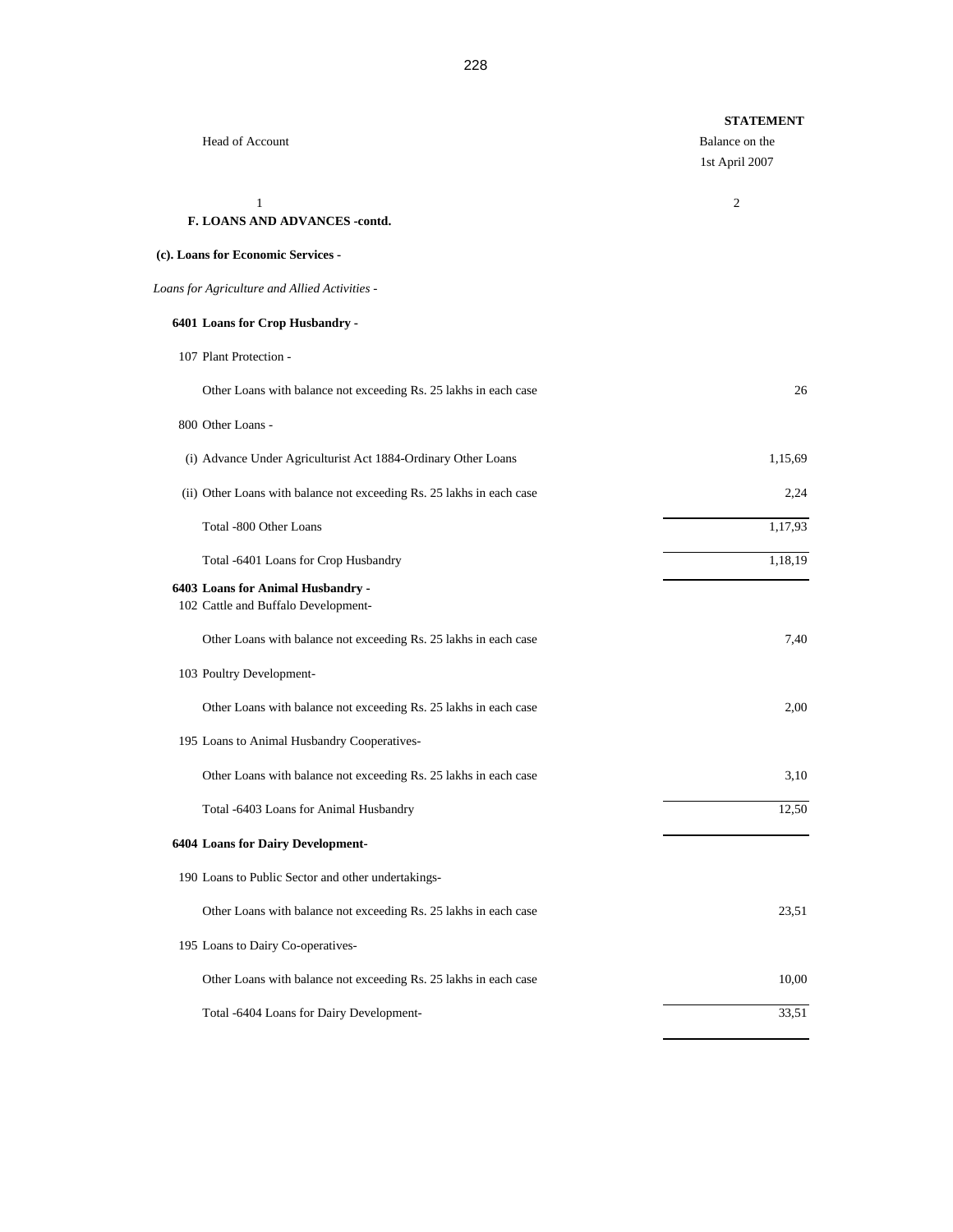| Head of Account                                                          | <b>STATEMENT</b><br>Balance on the<br>1st April 2007 |
|--------------------------------------------------------------------------|------------------------------------------------------|
| $\mathbf{1}$<br>F. LOANS AND ADVANCES -contd.                            | $\overline{c}$                                       |
| (c). Loans for Economic Services -                                       |                                                      |
| Loans for Agriculture and Allied Activities -                            |                                                      |
| 6401 Loans for Crop Husbandry -                                          |                                                      |
| 107 Plant Protection -                                                   |                                                      |
| Other Loans with balance not exceeding Rs. 25 lakhs in each case         | 26                                                   |
| 800 Other Loans -                                                        |                                                      |
| (i) Advance Under Agriculturist Act 1884-Ordinary Other Loans            | 1,15,69                                              |
| (ii) Other Loans with balance not exceeding Rs. 25 lakhs in each case    | 2,24                                                 |
| Total -800 Other Loans                                                   | 1,17,93                                              |
| Total -6401 Loans for Crop Husbandry                                     | 1,18,19                                              |
| 6403 Loans for Animal Husbandry -<br>102 Cattle and Buffalo Development- |                                                      |
| Other Loans with balance not exceeding Rs. 25 lakhs in each case         | 7,40                                                 |
| 103 Poultry Development-                                                 |                                                      |
| Other Loans with balance not exceeding Rs. 25 lakhs in each case         | 2,00                                                 |
| 195 Loans to Animal Husbandry Cooperatives-                              |                                                      |
| Other Loans with balance not exceeding Rs. 25 lakhs in each case         | 3,10                                                 |
| Total -6403 Loans for Animal Husbandry                                   | 12,50                                                |
| 6404 Loans for Dairy Development-                                        |                                                      |
| 190 Loans to Public Sector and other undertakings-                       |                                                      |
| Other Loans with balance not exceeding Rs. 25 lakhs in each case         | 23,51                                                |
| 195 Loans to Dairy Co-operatives-                                        |                                                      |
| Other Loans with balance not exceeding Rs. 25 lakhs in each case         | 10,00                                                |
| Total -6404 Loans for Dairy Development-                                 | 33,51                                                |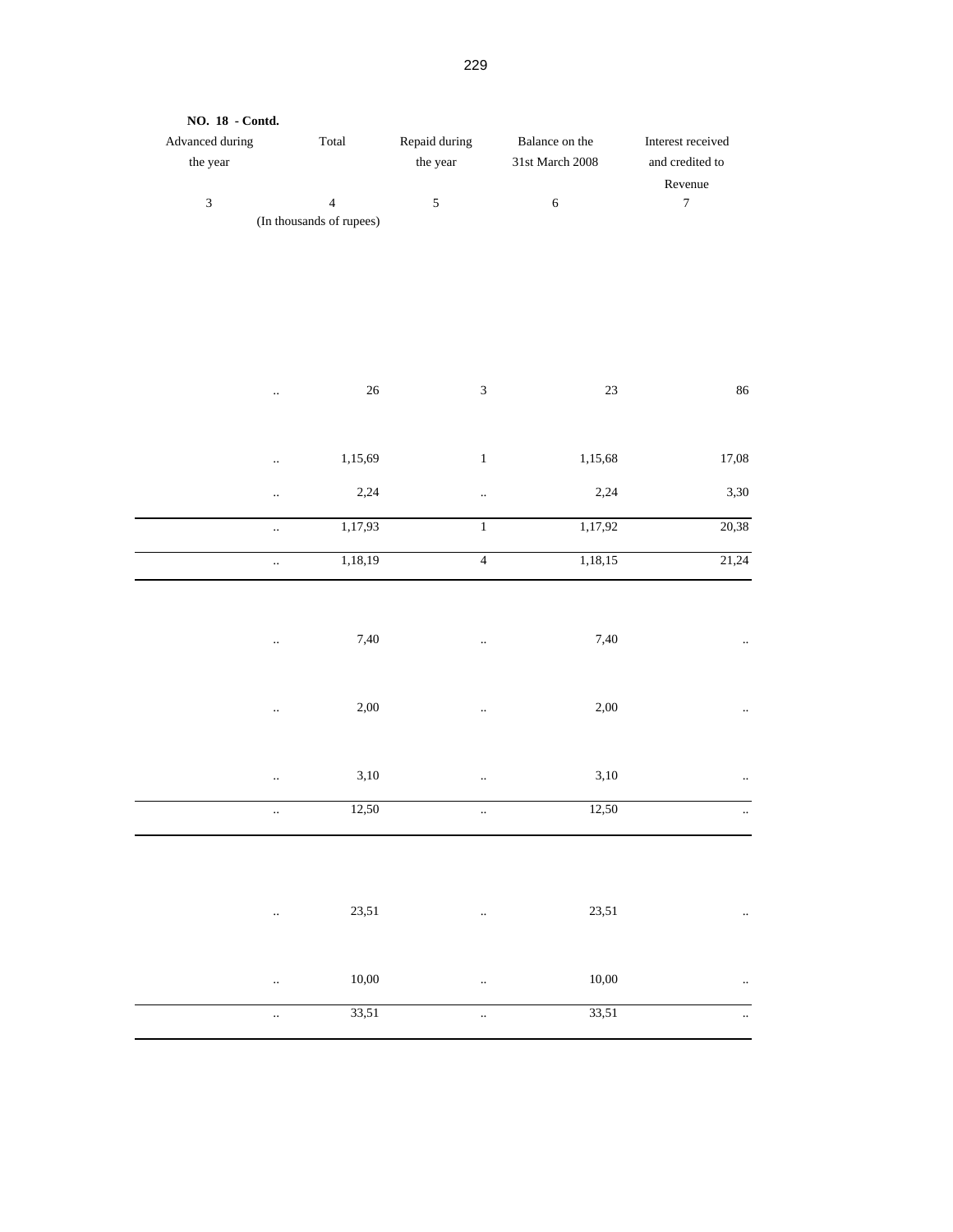| $110.10 - \text{Collu.}$    |                      |                                        |                             |                                                |                                                 |
|-----------------------------|----------------------|----------------------------------------|-----------------------------|------------------------------------------------|-------------------------------------------------|
| Advanced during<br>the year |                      | $\operatorname{\mathsf{Total}}$        | Repaid during<br>the year   | Balance on the<br>$31\mathrm{st}$ March $2008$ | Interest received<br>and credited to<br>Revenue |
| $\sqrt{3}$                  |                      | $\sqrt{4}$<br>(In thousands of rupees) | $\sqrt{5}$                  | $\sqrt{6}$                                     | $\tau$                                          |
|                             |                      |                                        |                             |                                                |                                                 |
|                             |                      |                                        |                             |                                                |                                                 |
|                             | $\ldots$             | $26\,$                                 | $\ensuremath{\mathfrak{Z}}$ | $23\,$                                         | 86                                              |
|                             | $\cdot$ .            | 1,15,69                                | $\,1$                       | 1,15,68                                        | 17,08                                           |
|                             | $\ddotsc$            | 2,24                                   |                             | 2,24                                           | 3,30                                            |
|                             | н,                   | 1,17,93                                | $\,1$                       | 1,17,92                                        | 20,38                                           |
|                             | $\ldots$             | 1,18,19                                | $\overline{4}$              | 1,18,15                                        | 21,24                                           |
|                             |                      |                                        |                             |                                                |                                                 |
|                             | $\cdot$ .            | 7,40                                   |                             | 7,40                                           | $\cdot$ .                                       |
|                             |                      |                                        |                             |                                                |                                                 |
|                             | $\ldots$             | 2,00                                   |                             | 2,00                                           | $\cdot$ .                                       |
|                             |                      |                                        |                             |                                                |                                                 |
|                             | $\ddot{\phantom{0}}$ | 3,10                                   |                             | 3,10                                           |                                                 |
|                             | $\ldots$             | 12,50                                  | $\ddot{\phantom{0}}$        | 12,50                                          | $\cdot$ .                                       |
|                             |                      |                                        |                             |                                                |                                                 |
|                             | $\ldots$             | 23,51                                  | $\ldots$                    | 23,51                                          | $\ddot{\phantom{0}}$                            |
|                             |                      |                                        |                             |                                                |                                                 |
|                             | $\ldots$             | 10,00                                  |                             | 10,00                                          |                                                 |
|                             | н,                   | 33,51                                  | $\ddot{\phantom{0}}$        | 33,51                                          | $\ddot{\phantom{0}}$                            |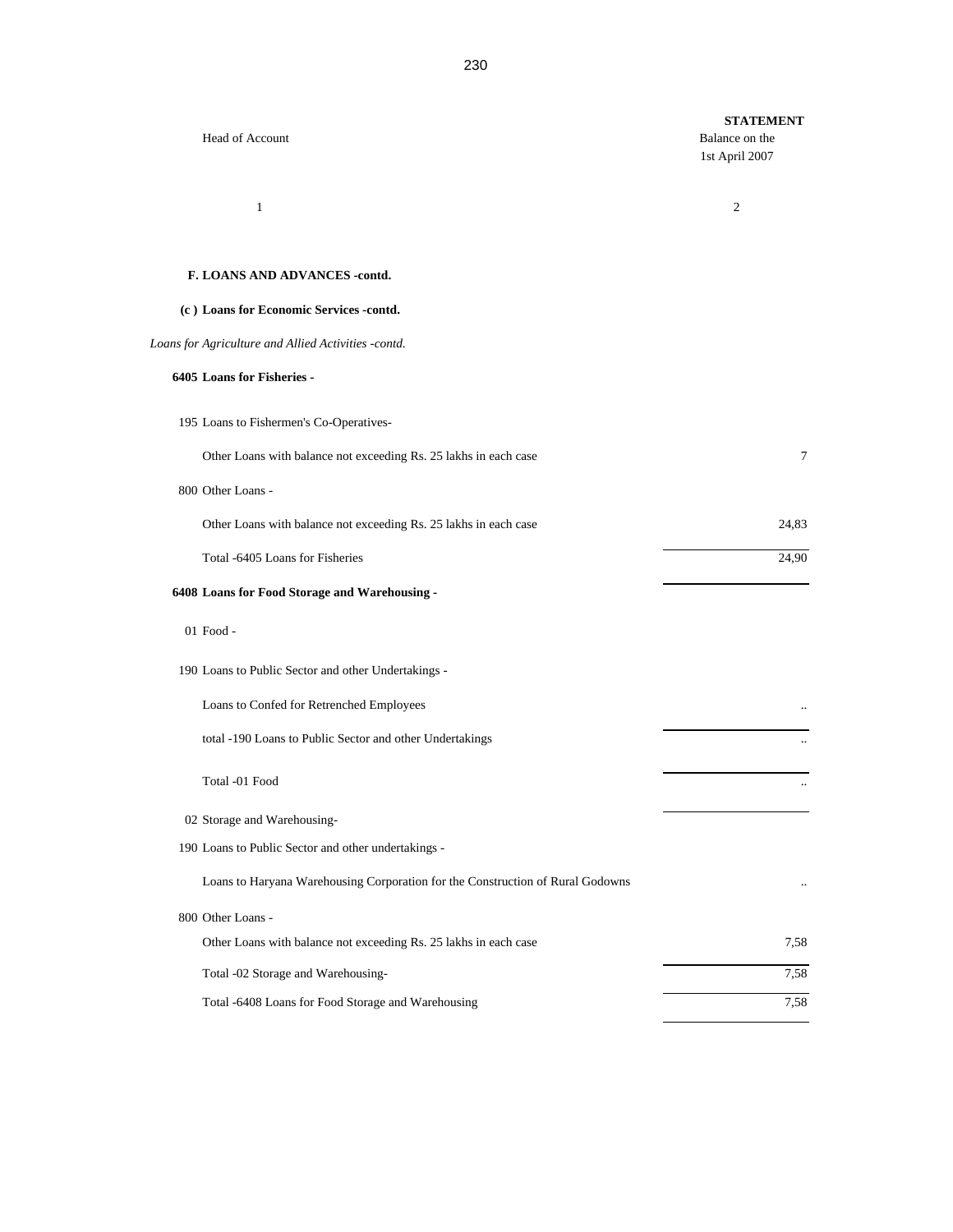| Head of Account                                                                | <b>STATEMENT</b><br>Balance on the<br>1st April 2007 |
|--------------------------------------------------------------------------------|------------------------------------------------------|
| $\mathbf{1}$                                                                   | $\overline{2}$                                       |
| F. LOANS AND ADVANCES -contd.                                                  |                                                      |
| (c) Loans for Economic Services -contd.                                        |                                                      |
| Loans for Agriculture and Allied Activities -contd.                            |                                                      |
| 6405 Loans for Fisheries -                                                     |                                                      |
| 195 Loans to Fishermen's Co-Operatives-                                        |                                                      |
| Other Loans with balance not exceeding Rs. 25 lakhs in each case               | 7                                                    |
| 800 Other Loans -                                                              |                                                      |
| Other Loans with balance not exceeding Rs. 25 lakhs in each case               | 24,83                                                |
| Total -6405 Loans for Fisheries                                                | 24,90                                                |
| 6408 Loans for Food Storage and Warehousing -                                  |                                                      |
| 01 Food -                                                                      |                                                      |
| 190 Loans to Public Sector and other Undertakings -                            |                                                      |
| Loans to Confed for Retrenched Employees                                       |                                                      |
| total -190 Loans to Public Sector and other Undertakings                       |                                                      |
| Total -01 Food                                                                 |                                                      |
| 02 Storage and Warehousing-                                                    |                                                      |
| 190 Loans to Public Sector and other undertakings -                            |                                                      |
| Loans to Haryana Warehousing Corporation for the Construction of Rural Godowns | $\cdot\cdot$                                         |
| 800 Other Loans -                                                              |                                                      |
| Other Loans with balance not exceeding Rs. 25 lakhs in each case               | 7,58                                                 |
| Total -02 Storage and Warehousing-                                             | 7,58                                                 |
| Total -6408 Loans for Food Storage and Warehousing                             | 7,58                                                 |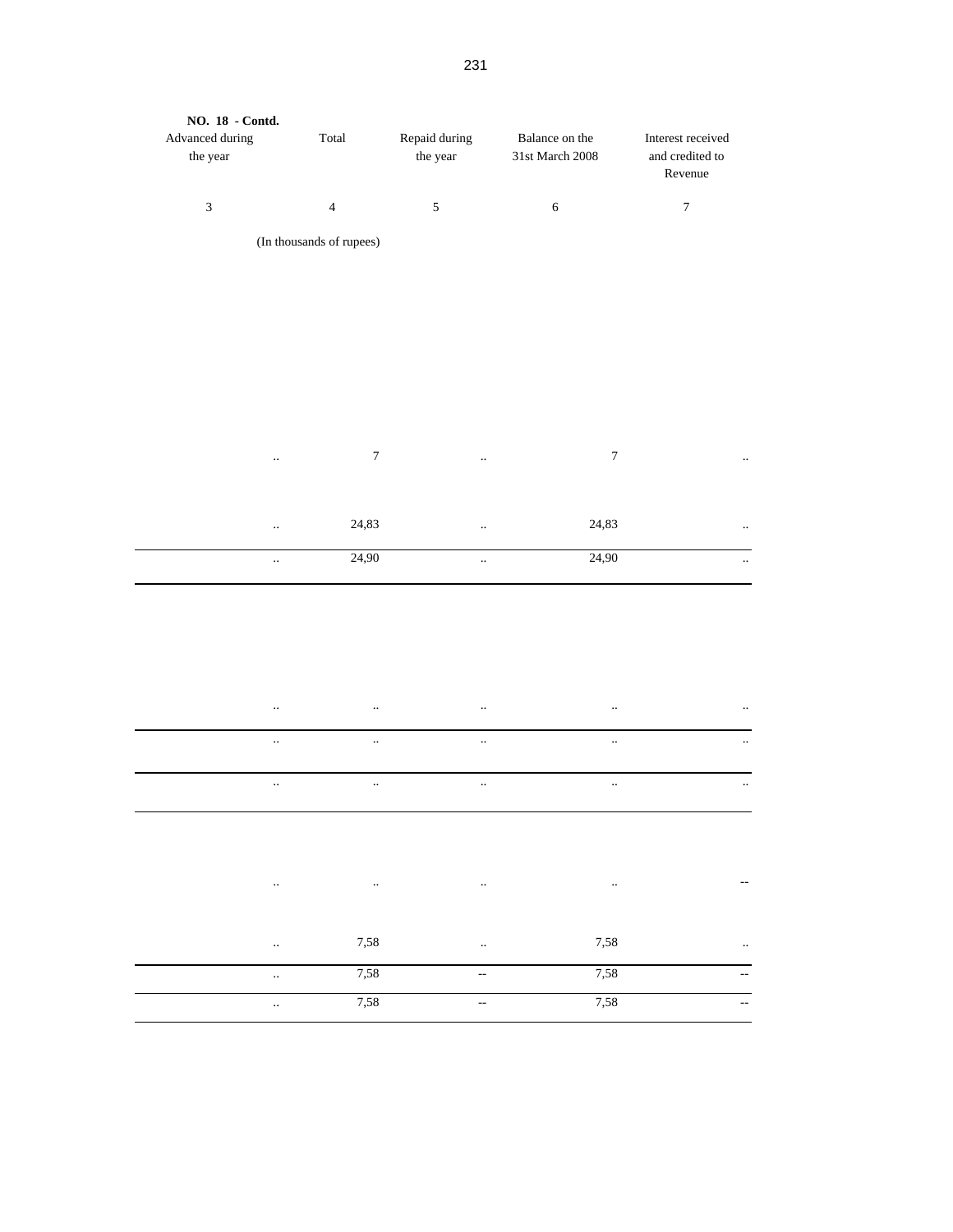| NO. 18 - Contd.<br>Advanced during<br>the year | Total                    | Repaid during<br>the year | Balance on the<br>31st March 2008 | Interest received<br>and credited to<br>Revenue |
|------------------------------------------------|--------------------------|---------------------------|-----------------------------------|-------------------------------------------------|
| $\overline{\mathbf{3}}$                        | $\overline{4}$           | $\sqrt{5}$                | $\sqrt{6}$                        | $\boldsymbol{7}$                                |
|                                                | (In thousands of rupees) |                           |                                   |                                                 |
|                                                |                          |                           |                                   |                                                 |
|                                                |                          |                           |                                   |                                                 |
| $\cdot$ .                                      | $\boldsymbol{7}$         | $\ldots$                  | $\boldsymbol{7}$                  | $\cdot$ .                                       |
| $\ddot{\phantom{a}}$                           | 24,83                    | $\ddot{\phantom{a}}$      | 24,83                             | $\cdot$ .                                       |
| $\ldots$                                       | 24,90                    | $\ldots$                  | 24,90                             | $\cdot$ .                                       |

| $\ldots$ | $\ldots$ | $\ldots$     | $\ldots$     | $\ldots$                 |
|----------|----------|--------------|--------------|--------------------------|
| $\ldots$ | $\ldots$ | $\cdot\cdot$ | $\ldots$     | $\ldots$                 |
| $\ldots$ | $\ldots$ | $\cdot\cdot$ | $\cdot\cdot$ | $\ldots$                 |
|          |          |              |              |                          |
| $\ldots$ | $\ldots$ | $\ldots$     | $\ldots$     | $- -$                    |
| $\ldots$ | 7,58     | $\ldots$     | 7,58         | $\ldots$                 |
| $\ldots$ | 7,58     | $\sim$       | 7,58         | $\sim$ $-$               |
| $\ldots$ | 7,58     | $- -$        | 7,58         | $\overline{\phantom{m}}$ |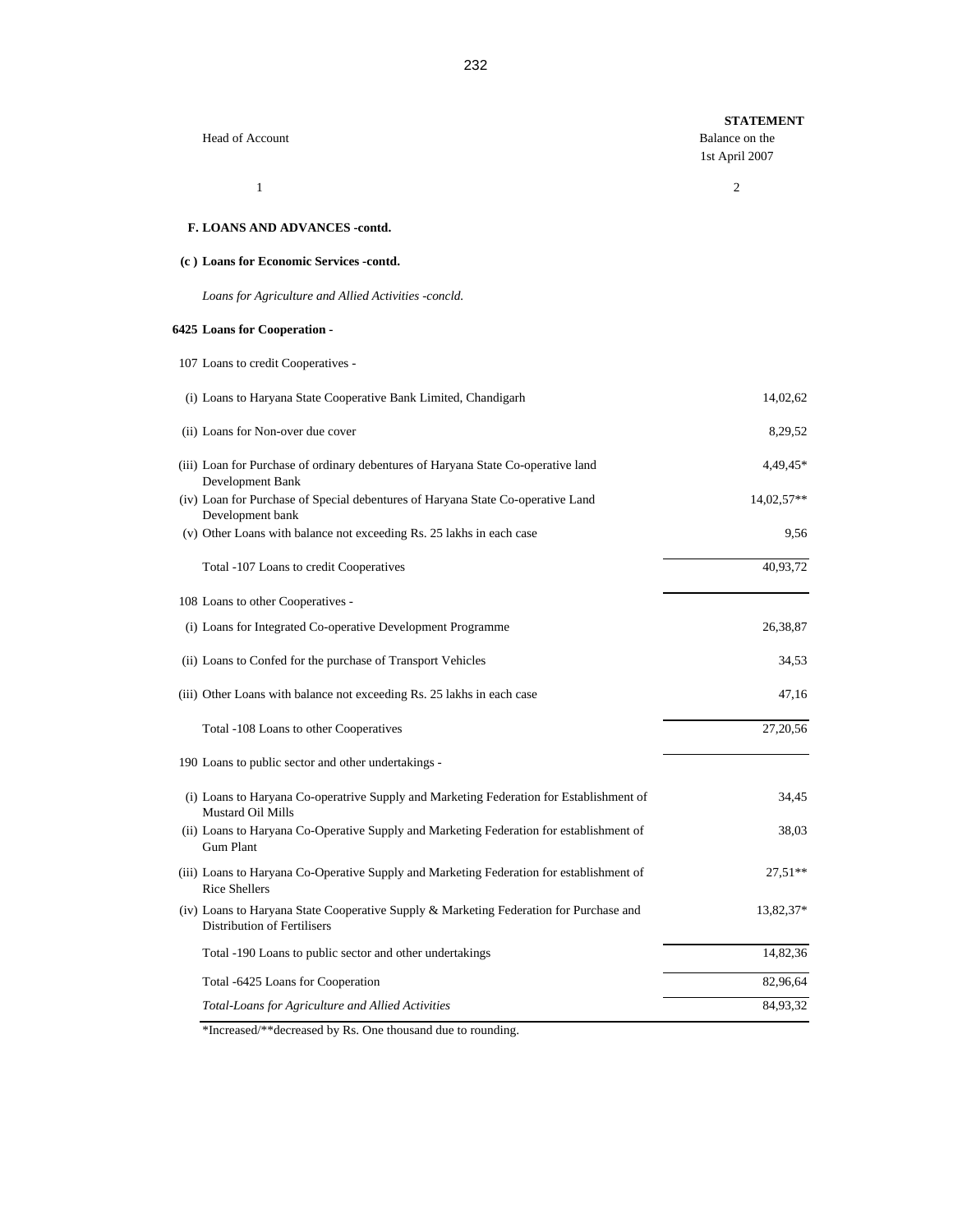| <b>Head of Account</b>                                                                                                  | <b>STATEMENT</b><br>Balance on the<br>1st April 2007 |
|-------------------------------------------------------------------------------------------------------------------------|------------------------------------------------------|
| $\mathbf{1}$                                                                                                            | $\overline{2}$                                       |
| <b>F. LOANS AND ADVANCES -contd.</b>                                                                                    |                                                      |
| (c) Loans for Economic Services -contd.                                                                                 |                                                      |
| Loans for Agriculture and Allied Activities -concld.                                                                    |                                                      |
| 6425 Loans for Cooperation -                                                                                            |                                                      |
| 107 Loans to credit Cooperatives -                                                                                      |                                                      |
| (i) Loans to Haryana State Cooperative Bank Limited, Chandigarh                                                         | 14,02,62                                             |
| (ii) Loans for Non-over due cover                                                                                       | 8,29,52                                              |
| (iii) Loan for Purchase of ordinary debentures of Haryana State Co-operative land                                       | 4,49,45*                                             |
| Development Bank<br>(iv) Loan for Purchase of Special debentures of Haryana State Co-operative Land<br>Development bank | 14,02,57**                                           |
| (v) Other Loans with balance not exceeding Rs. 25 lakhs in each case                                                    | 9,56                                                 |
| Total -107 Loans to credit Cooperatives                                                                                 | 40,93,72                                             |
| 108 Loans to other Cooperatives -                                                                                       |                                                      |
| (i) Loans for Integrated Co-operative Development Programme                                                             | 26,38,87                                             |
| (ii) Loans to Confed for the purchase of Transport Vehicles                                                             | 34,53                                                |
| (iii) Other Loans with balance not exceeding Rs. 25 lakhs in each case                                                  | 47,16                                                |
| Total -108 Loans to other Cooperatives                                                                                  | 27,20,56                                             |
| 190 Loans to public sector and other undertakings -                                                                     |                                                      |
| (i) Loans to Haryana Co-operatrive Supply and Marketing Federation for Establishment of<br>Mustard Oil Mills            | 34,45                                                |
| (ii) Loans to Haryana Co-Operative Supply and Marketing Federation for establishment of<br><b>Gum Plant</b>             | 38,03                                                |
| (iii) Loans to Haryana Co-Operative Supply and Marketing Federation for establishment of<br><b>Rice Shellers</b>        | $27.51**$                                            |
| (iv) Loans to Haryana State Cooperative Supply & Marketing Federation for Purchase and                                  | 13,82,37*                                            |

(iv) Loans to Haryana State Cooperative Supply & Marketing Federation for Purchase and Distribution of Fertilisers Total -190 Loans to public sector and other undertakings 14,82,36 Total -6425 Loans for Cooperation 82,96,64 *Total-Loans for Agriculture and Allied Activities* 84,93,32

\*Increased/\*\*decreased by Rs. One thousand due to rounding.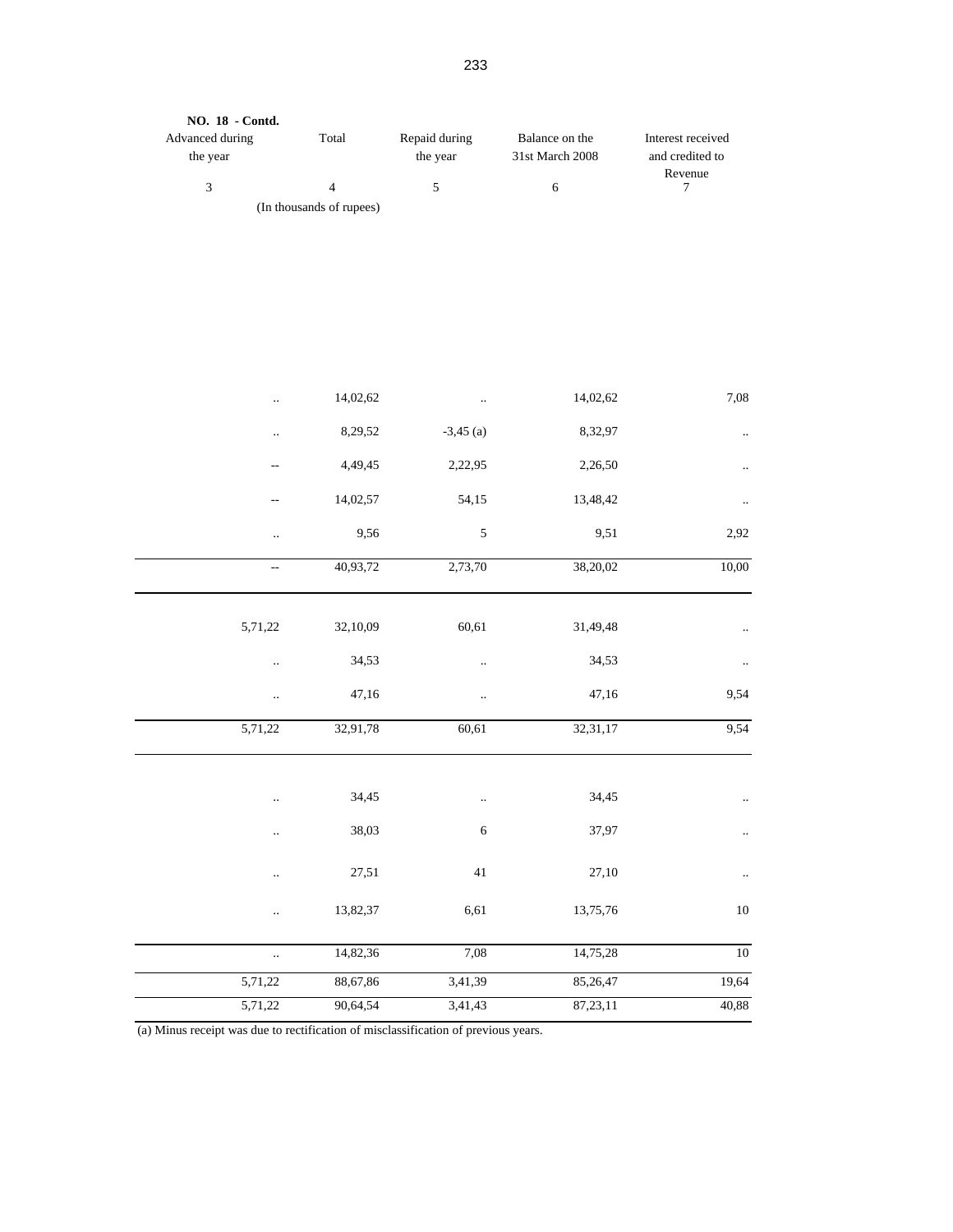| NO. 18 - Contd.<br>Advanced during<br>the year | Total                                  | Repaid during<br>the year | Balance on the<br>31st March 2008 | Interest received<br>and credited to<br>Revenue |
|------------------------------------------------|----------------------------------------|---------------------------|-----------------------------------|-------------------------------------------------|
| $\overline{3}$                                 | $\sqrt{4}$<br>(In thousands of rupees) | $\mathfrak s$             | $\sqrt{6}$                        | $\tau$                                          |
|                                                |                                        |                           |                                   |                                                 |
| $\ddotsc$                                      | 14,02,62                               |                           | 14,02,62                          | 7,08                                            |
| $\cdot$                                        | 8,29,52                                | $-3,45$ (a)               | 8,32,97                           | $\cdot$ .                                       |
| $-$                                            | 4,49,45                                | 2,22,95                   | 2,26,50                           | $\cdot$ .                                       |
| --                                             | 14,02,57                               | 54,15                     | 13,48,42                          | $\cdot$ .                                       |
| $\cdot$ .                                      | 9,56                                   | $\sqrt{5}$                | 9,51                              | 2,92                                            |
| $\overline{a}$                                 | 40,93,72                               | 2,73,70                   | 38,20,02                          | 10,00                                           |
| 5,71,22                                        | 32,10,09                               | 60,61                     | 31,49,48                          | $\cdot$ .                                       |
| $\ddotsc$                                      | 34,53                                  | $\ldots$                  | 34,53                             | $\cdot$ .                                       |
| $\ldots$                                       | 47,16                                  |                           | 47,16                             | 9,54                                            |
| 5,71,22                                        | 32,91,78                               | 60,61                     | 32,31,17                          | 9,54                                            |
| $\cdot$ .                                      | 34,45                                  | $\ddotsc$                 | 34,45                             | $\cdot$ .                                       |
|                                                | 38,03                                  | $\sqrt{6}$                | 37,97                             | $\ddotsc$                                       |
|                                                | 27,51                                  | $41\,$                    | 27,10                             | $\cdot$ .                                       |
| $\cdot$ .                                      | 13,82,37                               | 6,61                      | 13,75,76                          | $10\,$                                          |
| $\ldots$                                       | 14,82,36                               | 7,08                      | 14,75,28                          | $10\,$                                          |
| 5,71,22                                        | 88,67,86                               | 3,41,39                   | 85,26,47                          | 19,64                                           |
| 5,71,22                                        | 90,64,54                               | 3,41,43                   | 87,23,11                          | 40,88                                           |

(a) Minus receipt was due to rectification of misclassification of previous years.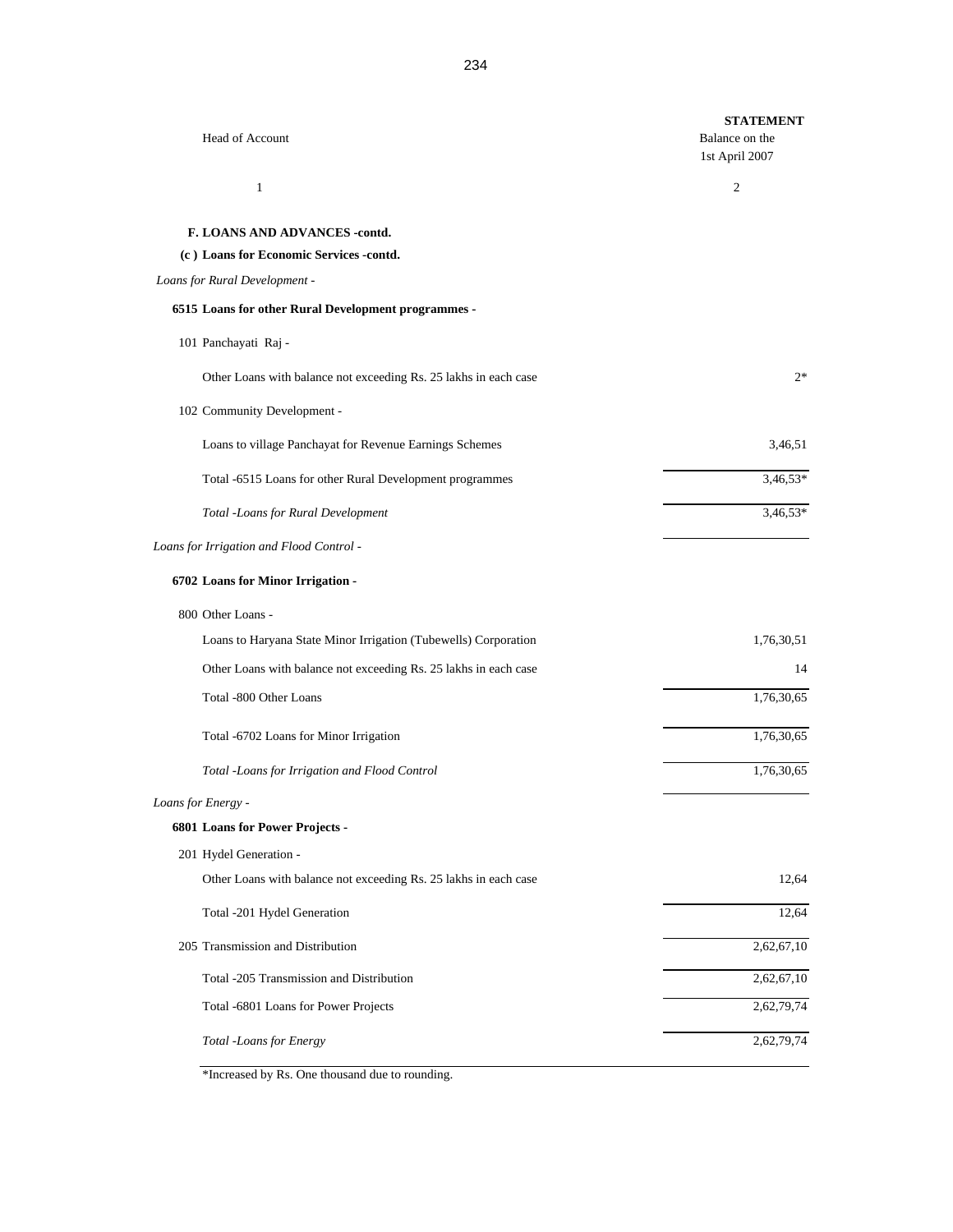| Head of Account                                                  | <b>STATEMENT</b><br>Balance on the<br>1st April 2007 |
|------------------------------------------------------------------|------------------------------------------------------|
| $\mathbf{1}$                                                     | $\overline{c}$                                       |
| F. LOANS AND ADVANCES -contd.                                    |                                                      |
| (c) Loans for Economic Services -contd.                          |                                                      |
| Loans for Rural Development -                                    |                                                      |
| 6515 Loans for other Rural Development programmes -              |                                                      |
| 101 Panchayati Raj -                                             |                                                      |
| Other Loans with balance not exceeding Rs. 25 lakhs in each case | $2*$                                                 |
| 102 Community Development -                                      |                                                      |
| Loans to village Panchayat for Revenue Earnings Schemes          | 3,46,51                                              |
| Total -6515 Loans for other Rural Development programmes         | $3,46,53*$                                           |
| Total -Loans for Rural Development                               | $3,46,53*$                                           |
| Loans for Irrigation and Flood Control -                         |                                                      |
| 6702 Loans for Minor Irrigation -                                |                                                      |
| 800 Other Loans -                                                |                                                      |
| Loans to Haryana State Minor Irrigation (Tubewells) Corporation  | 1,76,30,51                                           |
| Other Loans with balance not exceeding Rs. 25 lakhs in each case | 14                                                   |
| Total -800 Other Loans                                           | 1,76,30,65                                           |
| Total -6702 Loans for Minor Irrigation                           | 1,76,30,65                                           |
| Total -Loans for Irrigation and Flood Control                    | 1,76,30,65                                           |
| Loans for Energy -                                               |                                                      |
| 6801 Loans for Power Projects -                                  |                                                      |
| 201 Hydel Generation -                                           |                                                      |
| Other Loans with balance not exceeding Rs. 25 lakhs in each case | 12,64                                                |
| Total -201 Hydel Generation                                      | 12,64                                                |
| 205 Transmission and Distribution                                | 2,62,67,10                                           |
| Total -205 Transmission and Distribution                         | 2,62,67,10                                           |
| Total -6801 Loans for Power Projects                             | 2,62,79,74                                           |
| <b>Total -Loans for Energy</b>                                   | 2,62,79,74                                           |

\*Increased by Rs. One thousand due to rounding.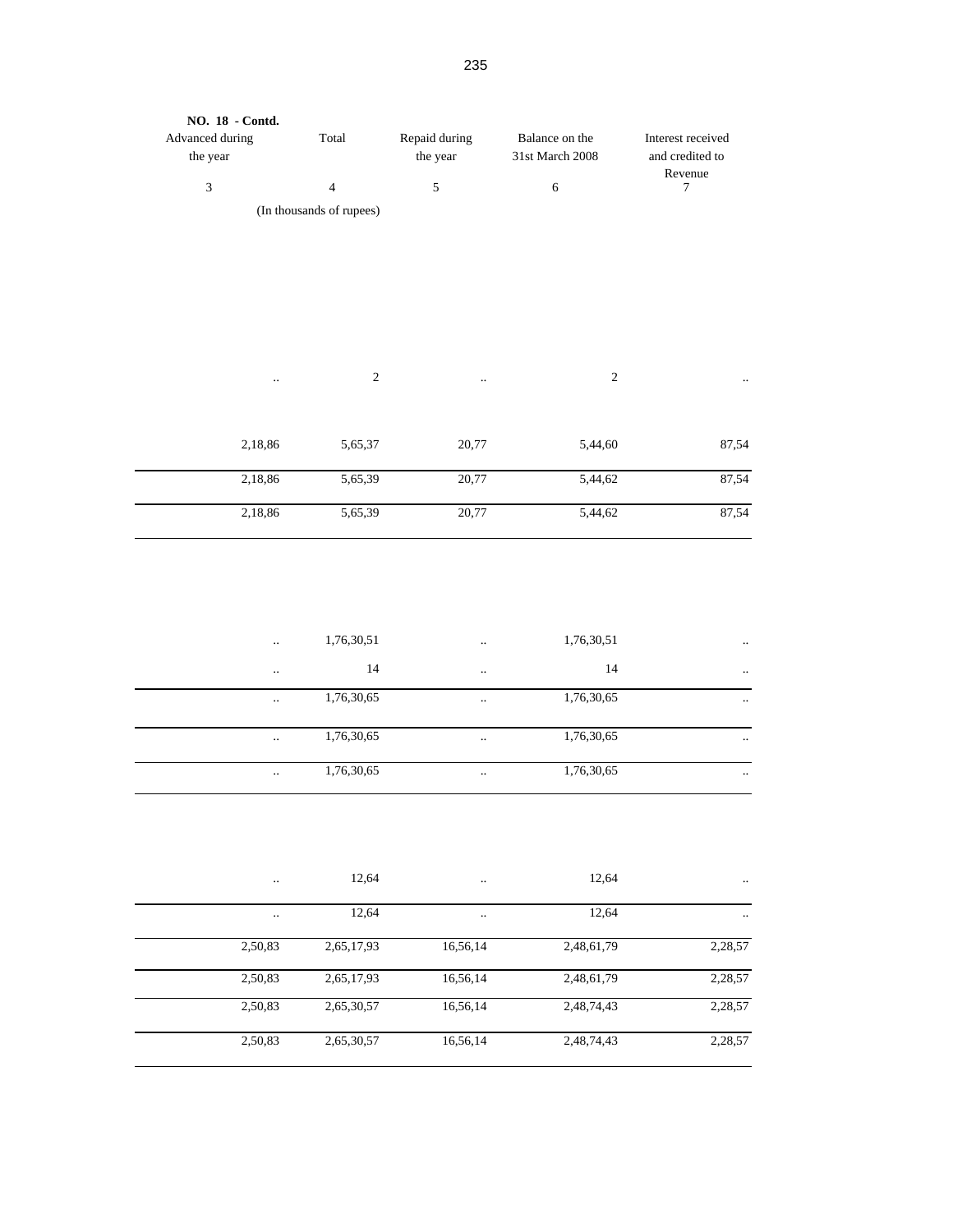| NO. 18 - Contd.<br>Advanced during<br>the year | Total                    | Repaid during<br>the year | Balance on the<br>31st March 2008 | Interest received<br>and credited to |
|------------------------------------------------|--------------------------|---------------------------|-----------------------------------|--------------------------------------|
| $\mathfrak{Z}$                                 | $\sqrt{4}$               | $\sqrt{5}$                | $\sqrt{6}$                        | Revenue<br>$\overline{7}$            |
|                                                | (In thousands of rupees) |                           |                                   |                                      |
|                                                |                          |                           |                                   |                                      |
|                                                |                          |                           |                                   |                                      |
|                                                |                          |                           |                                   |                                      |
|                                                |                          |                           |                                   |                                      |
|                                                |                          |                           |                                   |                                      |
| $\cdot$ .                                      | $\sqrt{2}$               |                           | $\sqrt{2}$                        | ٠.                                   |
|                                                |                          |                           |                                   |                                      |
| 2,18,86                                        | 5,65,37                  | 20,77                     | 5,44,60                           | 87,54                                |
| 2,18,86                                        | 5,65,39                  | 20,77                     | 5,44,62                           | 87,54                                |
| 2,18,86                                        | 5,65,39                  | 20,77                     | 5,44,62                           | 87,54                                |
|                                                |                          |                           |                                   |                                      |

| <br>1,76,30,51 |              | 1,76,30,51 | $\bullet$ .   |
|----------------|--------------|------------|---------------|
| <br>14         | $\cdot$      | 14         | $\cdot$ .     |
| <br>1,76,30,65 |              | 1,76,30,65 | $\cdot$ .     |
| <br>1,76,30,65 |              | 1,76,30,65 | $\cdot$ .     |
| <br>1,76,30,65 | $\cdot\cdot$ | 1,76,30,65 | $\cdot \cdot$ |

| 12,64      | $\cdot$  | 12,64      | $\ldots$ |
|------------|----------|------------|----------|
| 12,64      |          | 12,64      |          |
| 2,65,17,93 | 16,56,14 | 2,48,61,79 | 2,28,57  |
| 2,65,17,93 | 16,56,14 | 2,48,61,79 | 2,28,57  |
| 2,65,30,57 | 16,56,14 | 2,48,74,43 | 2,28,57  |
| 2,65,30,57 | 16,56,14 | 2,48,74,43 | 2,28,57  |
|            |          |            |          |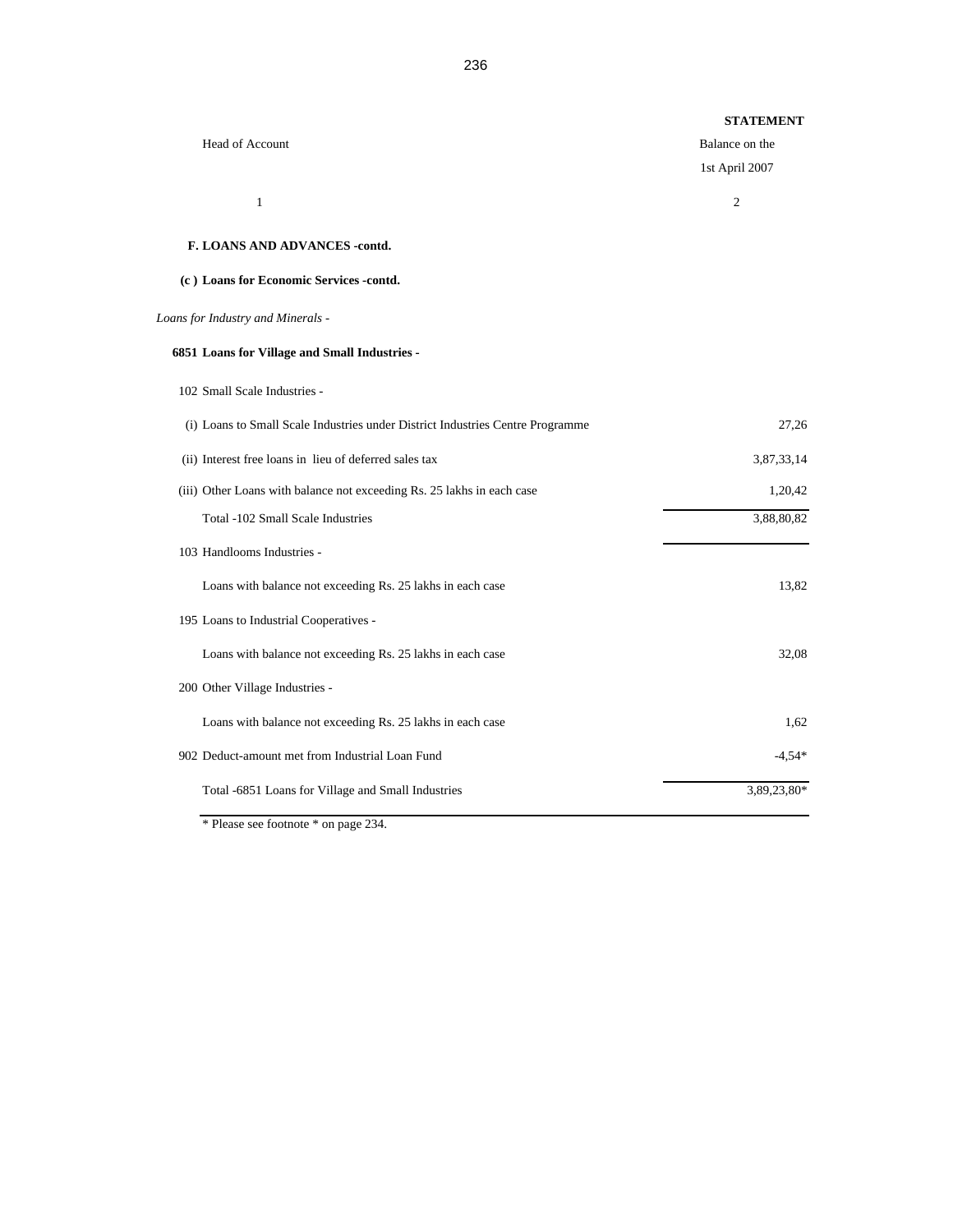| Head of Account                                                                | <b>STATEMENT</b><br>Balance on the<br>1st April 2007 |
|--------------------------------------------------------------------------------|------------------------------------------------------|
| $\mathbf{1}$                                                                   | $\overline{2}$                                       |
| F. LOANS AND ADVANCES -contd.                                                  |                                                      |
| (c) Loans for Economic Services -contd.                                        |                                                      |
| Loans for Industry and Minerals -                                              |                                                      |
| 6851 Loans for Village and Small Industries -                                  |                                                      |
| 102 Small Scale Industries -                                                   |                                                      |
| (i) Loans to Small Scale Industries under District Industries Centre Programme | 27,26                                                |
| (ii) Interest free loans in lieu of deferred sales tax                         | 3,87,33,14                                           |
| (iii) Other Loans with balance not exceeding Rs. 25 lakhs in each case         | 1,20,42                                              |
| Total -102 Small Scale Industries                                              | 3,88,80,82                                           |
| 103 Handlooms Industries -                                                     |                                                      |
| Loans with balance not exceeding Rs. 25 lakhs in each case                     | 13,82                                                |
| 195 Loans to Industrial Cooperatives -                                         |                                                      |
| Loans with balance not exceeding Rs. 25 lakhs in each case                     | 32,08                                                |
| 200 Other Village Industries -                                                 |                                                      |
| Loans with balance not exceeding Rs. 25 lakhs in each case                     | 1,62                                                 |
| 902 Deduct-amount met from Industrial Loan Fund                                | $-4.54*$                                             |
| Total -6851 Loans for Village and Small Industries                             | 3,89,23,80*                                          |

\* Please see footnote \* on page 234.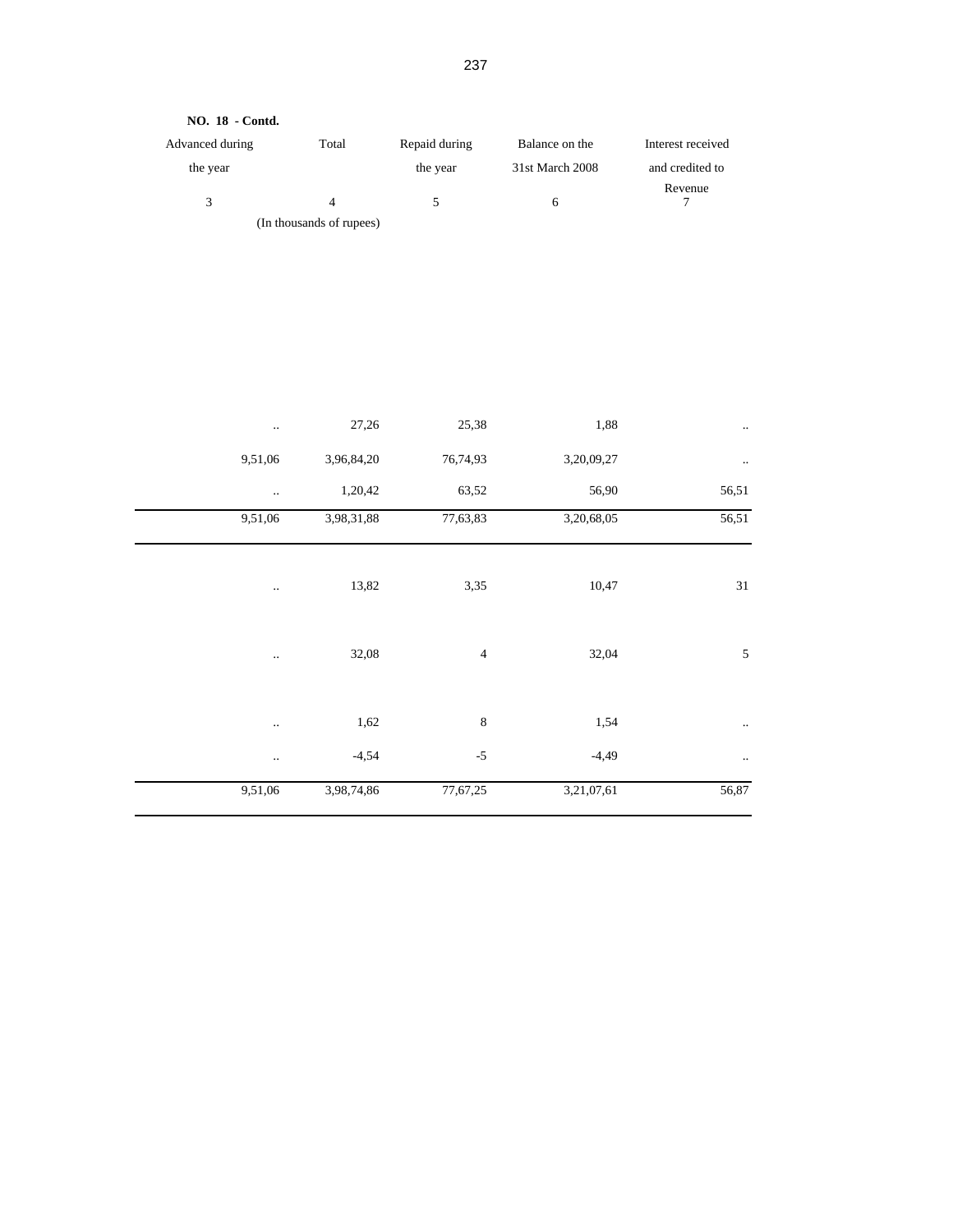| Advanced during | Total                    | Repaid during |                | Balance on the  | Interest received           |
|-----------------|--------------------------|---------------|----------------|-----------------|-----------------------------|
| the year        |                          | the year      |                | 31st March 2008 | and credited to             |
| $\overline{3}$  | $\overline{\mathbf{4}}$  | $\mathfrak s$ |                | $\sqrt{6}$      | Revenue<br>$\boldsymbol{7}$ |
|                 | (In thousands of rupees) |               |                |                 |                             |
|                 |                          |               |                |                 |                             |
|                 |                          |               |                |                 |                             |
|                 |                          |               |                |                 |                             |
|                 |                          |               |                |                 |                             |
|                 |                          |               |                |                 |                             |
|                 |                          |               |                |                 |                             |
|                 |                          |               |                |                 |                             |
|                 | $\ldots$                 | 27,26         | 25,38          | 1,88            |                             |
|                 |                          |               |                |                 | $\cdot$ .                   |
| 9,51,06         |                          | 3,96,84,20    | 76,74,93       | 3,20,09,27      | $\ldots$                    |
|                 | $\ldots$                 | 1,20,42       | 63,52          | 56,90           | 56,51                       |
| 9,51,06         |                          | 3,98,31,88    | 77,63,83       | 3,20,68,05      | 56,51                       |
|                 |                          |               |                |                 |                             |
|                 |                          |               |                |                 |                             |
|                 |                          | 13,82         | 3,35           | 10,47           | 31                          |
|                 |                          |               |                |                 |                             |
|                 |                          | 32,08         | $\overline{4}$ | 32,04           | $\mathfrak s$               |
|                 |                          |               |                |                 |                             |
|                 |                          |               |                |                 |                             |
|                 | $\cdot$                  | 1,62          | $\,8\,$        | 1,54            |                             |
|                 | $\ddotsc$                | $-4,54$       | $\text{-}5$    | $-4,49$         | $\ddot{\phantom{a}}$        |
|                 |                          |               |                |                 |                             |
| 9,51,06         |                          | 3,98,74,86    | 77,67,25       | 3,21,07,61      | 56,87                       |

# 237

**NO. 18 - Contd.**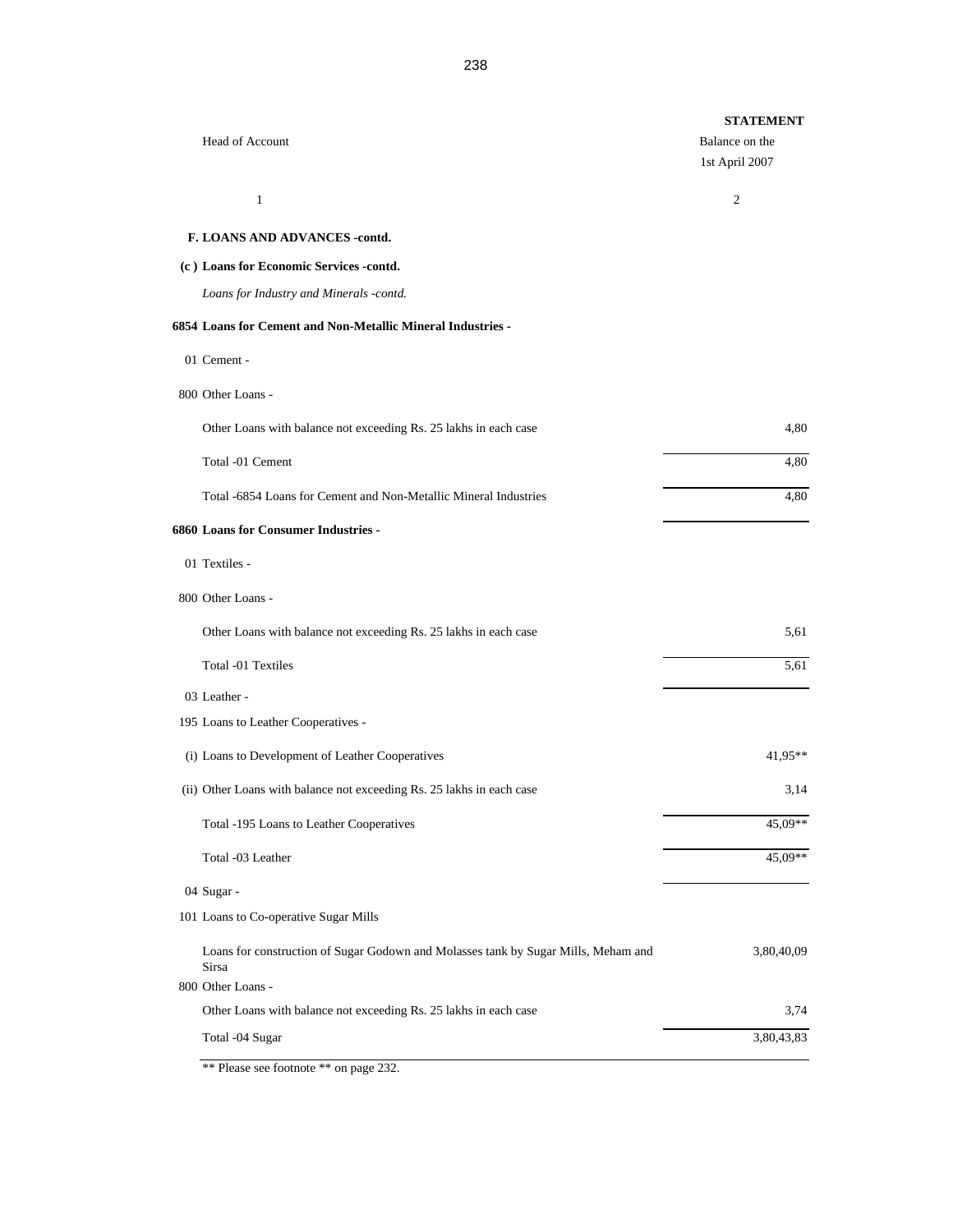| Head of Account                                                                             | STATEMENT<br>Balance on the<br>1st April 2007 |
|---------------------------------------------------------------------------------------------|-----------------------------------------------|
| $\mathbf{1}$                                                                                | 2                                             |
| F. LOANS AND ADVANCES -contd.                                                               |                                               |
| (c) Loans for Economic Services -contd.                                                     |                                               |
| Loans for Industry and Minerals -contd.                                                     |                                               |
| 6854 Loans for Cement and Non-Metallic Mineral Industries -                                 |                                               |
| 01 Cement -                                                                                 |                                               |
| 800 Other Loans -                                                                           |                                               |
| Other Loans with balance not exceeding Rs. 25 lakhs in each case                            | 4,80                                          |
| Total -01 Cement                                                                            | 4,80                                          |
| Total -6854 Loans for Cement and Non-Metallic Mineral Industries                            | 4,80                                          |
| <b>6860 Loans for Consumer Industries -</b>                                                 |                                               |
| 01 Textiles -                                                                               |                                               |
| 800 Other Loans -                                                                           |                                               |
| Other Loans with balance not exceeding Rs. 25 lakhs in each case                            | 5,61                                          |
| Total -01 Textiles                                                                          | 5,61                                          |
| 03 Leather -                                                                                |                                               |
| 195 Loans to Leather Cooperatives -                                                         |                                               |
| (i) Loans to Development of Leather Cooperatives                                            | 41,95**                                       |
| (ii) Other Loans with balance not exceeding Rs. 25 lakhs in each case                       | 3,14                                          |
| Total -195 Loans to Leather Cooperatives                                                    | 45,09**                                       |
| Total -03 Leather                                                                           | $45,09**$                                     |
| 04 Sugar -                                                                                  |                                               |
| 101 Loans to Co-operative Sugar Mills                                                       |                                               |
| Loans for construction of Sugar Godown and Molasses tank by Sugar Mills, Meham and<br>Sirsa | 3,80,40,09                                    |
| 800 Other Loans -                                                                           |                                               |
| Other Loans with balance not exceeding Rs. 25 lakhs in each case                            | 3,74                                          |
| Total -04 Sugar                                                                             | 3,80,43,83                                    |

\*\* Please see footnote \*\* on page 232.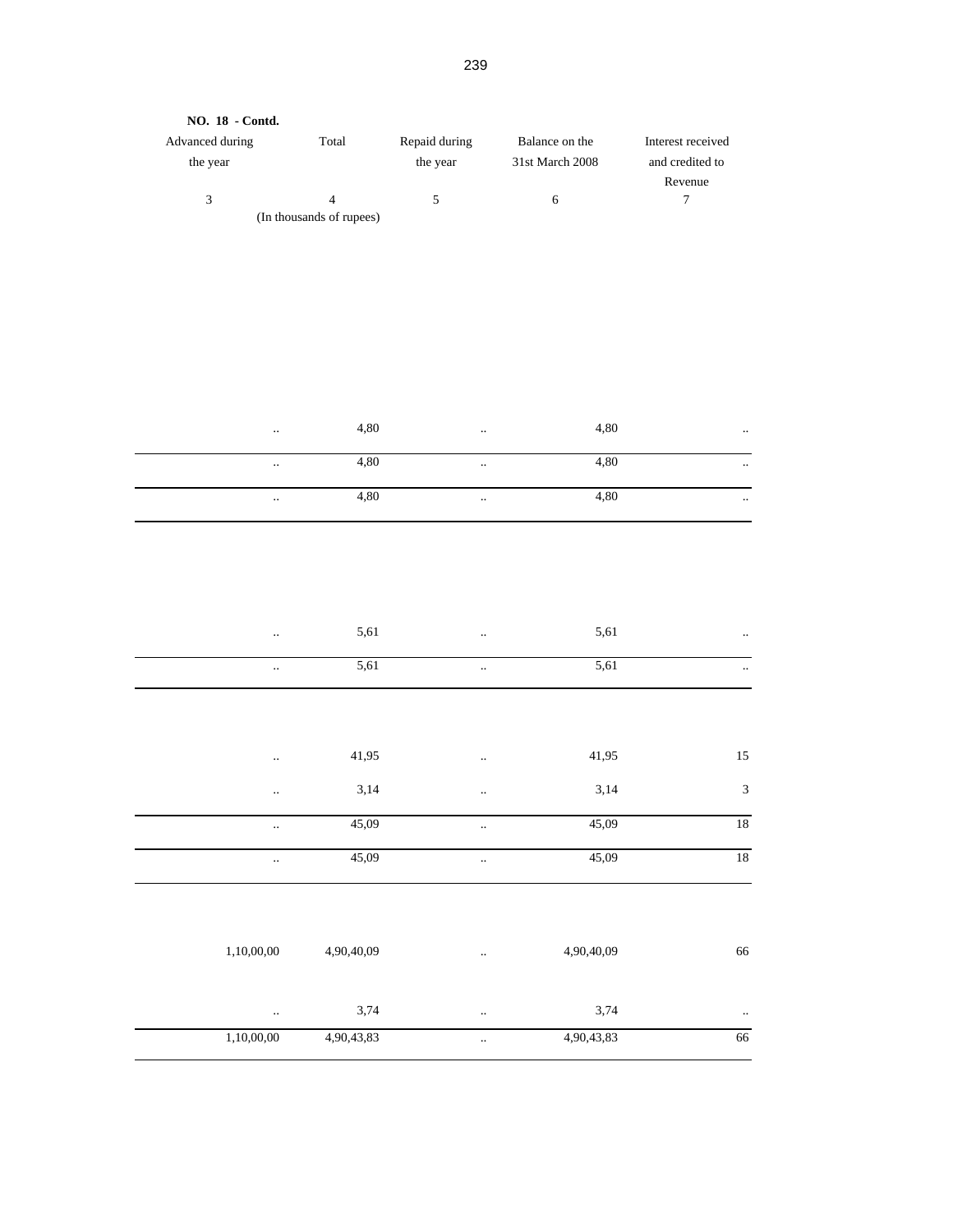| NO. 18 - Contd.             |                                            |                           |                                   |                                                 |
|-----------------------------|--------------------------------------------|---------------------------|-----------------------------------|-------------------------------------------------|
| Advanced during<br>the year | Total                                      | Repaid during<br>the year | Balance on the<br>31st March 2008 | Interest received<br>and credited to<br>Revenue |
| $\overline{\mathbf{3}}$     | $\overline{4}$<br>(In thousands of rupees) | $\sqrt{5}$                | $\sqrt{6}$                        | $\boldsymbol{7}$                                |
|                             |                                            |                           |                                   |                                                 |
|                             |                                            |                           |                                   |                                                 |
|                             |                                            |                           |                                   |                                                 |
|                             |                                            |                           |                                   |                                                 |
| $\ddotsc$                   | 4,80                                       | $\ldots$                  | 4,80                              | $\cdot$ .                                       |
|                             |                                            |                           |                                   |                                                 |
| .,                          | 4,80                                       | .,                        | 4,80                              | $\ldots$                                        |
| $\ddot{\phantom{0}}$        | 4,80                                       | $\ldots$                  | 4,80                              | $\ldots$                                        |
|                             |                                            |                           |                                   |                                                 |
|                             |                                            |                           |                                   |                                                 |
| $\ldots$                    | 5,61                                       | $\ddotsc$                 | 5,61                              | $\cdot$ .                                       |
|                             | 5,61                                       | $\ldots$                  | 5,61                              | $\ldots$                                        |
|                             |                                            |                           |                                   |                                                 |
| $\cdot$                     | 41,95                                      | $\ldots$                  | 41,95                             | $15\,$                                          |
|                             | 3,14                                       | $\ddotsc$                 | 3,14                              | $\ensuremath{\mathfrak{Z}}$                     |
|                             | 45,09                                      | $\ldots$                  | 45,09                             | $18$                                            |
| .,                          | 45,09                                      | $\ldots$                  | 45,09                             | 18                                              |
|                             |                                            |                           |                                   |                                                 |
| 1,10,00,00                  | 4,90,40,09                                 |                           | 4,90,40,09                        | 66                                              |
|                             | 3,74                                       | $\ddotsc$                 | 3,74                              | $\cdot$ .                                       |
| 1,10,00,00                  | 4,90,43,83                                 | $\ldots$                  | 4,90,43,83                        | 66                                              |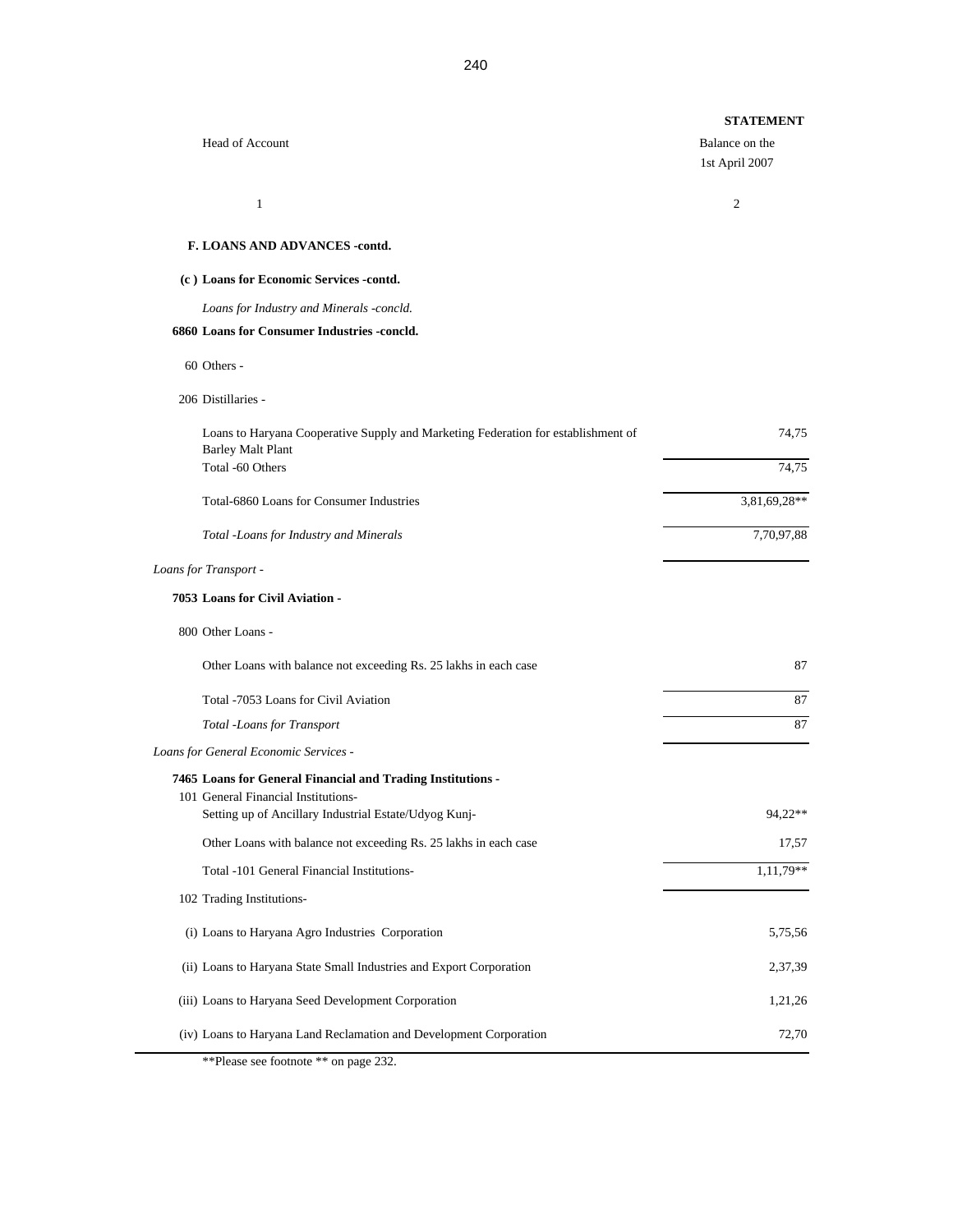| <b>Head of Account</b>                                                                                        | <b>STATEMENT</b><br>Balance on the<br>1st April 2007 |
|---------------------------------------------------------------------------------------------------------------|------------------------------------------------------|
| $\mathbf{1}$                                                                                                  | $\overline{c}$                                       |
| <b>F. LOANS AND ADVANCES -contd.</b>                                                                          |                                                      |
| (c) Loans for Economic Services -contd.                                                                       |                                                      |
| Loans for Industry and Minerals -concld.                                                                      |                                                      |
| 6860 Loans for Consumer Industries -concld.                                                                   |                                                      |
| 60 Others -                                                                                                   |                                                      |
| 206 Distillaries -                                                                                            |                                                      |
| Loans to Haryana Cooperative Supply and Marketing Federation for establishment of<br><b>Barley Malt Plant</b> | 74,75                                                |
| Total -60 Others                                                                                              | 74,75                                                |
| Total-6860 Loans for Consumer Industries                                                                      | 3,81,69,28**                                         |
| Total -Loans for Industry and Minerals                                                                        | 7,70,97,88                                           |
| Loans for Transport -                                                                                         |                                                      |
| 7053 Loans for Civil Aviation -                                                                               |                                                      |
| 800 Other Loans -                                                                                             |                                                      |
| Other Loans with balance not exceeding Rs. 25 lakhs in each case                                              | 87                                                   |
| Total -7053 Loans for Civil Aviation                                                                          | 87                                                   |
| Total -Loans for Transport                                                                                    | 87                                                   |
| Loans for General Economic Services -                                                                         |                                                      |
| 7465 Loans for General Financial and Trading Institutions -                                                   |                                                      |
| 101 General Financial Institutions-<br>Setting up of Ancillary Industrial Estate/Udyog Kunj-                  | 94.22**                                              |
| Other Loans with balance not exceeding Rs. 25 lakhs in each case                                              | 17,57                                                |
| Total -101 General Financial Institutions-                                                                    | $1,11,79**$                                          |
| 102 Trading Institutions-                                                                                     |                                                      |
| (i) Loans to Haryana Agro Industries Corporation                                                              | 5,75,56                                              |
| (ii) Loans to Haryana State Small Industries and Export Corporation                                           | 2,37,39                                              |
| (iii) Loans to Haryana Seed Development Corporation                                                           | 1,21,26                                              |
| (iv) Loans to Haryana Land Reclamation and Development Corporation                                            | 72,70                                                |
| **Please see footnote ** on page 232.                                                                         |                                                      |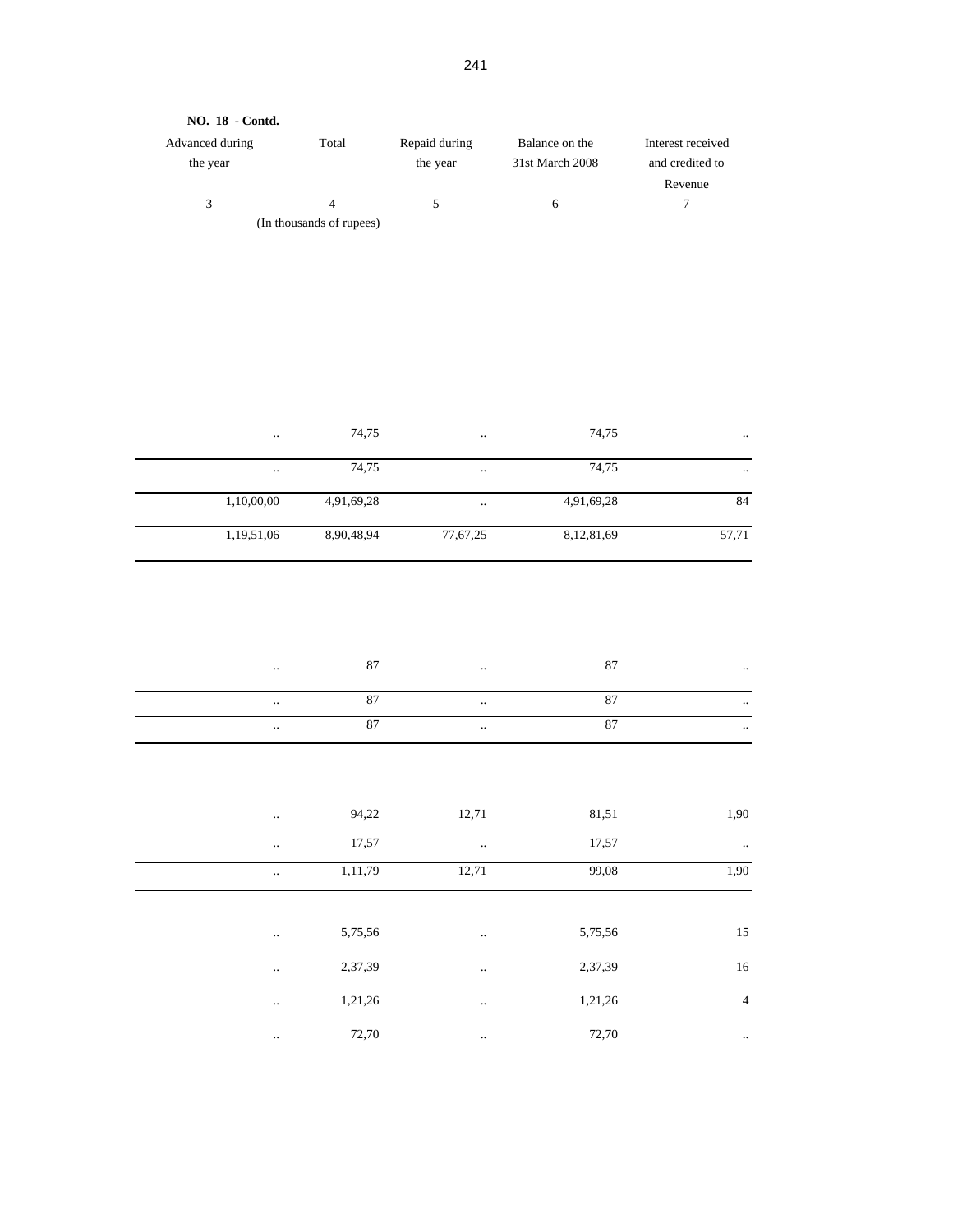| 241 |  |
|-----|--|
|     |  |

| Advanced during | Total                    | Repaid during | Balance on the  | Interest received |
|-----------------|--------------------------|---------------|-----------------|-------------------|
| the year        |                          | the year      | 31st March 2008 | and credited to   |
|                 |                          |               |                 | Revenue           |
| 3               |                          |               | <sub>(</sub>    |                   |
|                 | (In thousands of rupees) |               |                 |                   |

| $\cdot$ . | 74,75      | $\cdot \cdot$ | 74,75      | $\cdot$    |  |
|-----------|------------|---------------|------------|------------|--|
| $\cdot$ . | 74,75      | $\cdot \cdot$ | 74,75      |            |  |
| 84        | 4,91,69,28 | $\cdots$      | 4,91,69,28 | 1,10,00,00 |  |
| 57,71     | 8,12,81,69 | 77,67,25      | 8,90,48,94 | 1,19,51,06 |  |

| $\cdot$ . | 87      | $\ldots$  | 87      | $\cdot$ .      |
|-----------|---------|-----------|---------|----------------|
| $\cdot$ . | 87      | $\cdot$ . | 87      | $\cdot$ .      |
| $\cdot$ . | 87      | $\cdot$ . | 87      | $\cdot$ .      |
|           |         |           |         |                |
|           |         |           |         |                |
| $\cdot$ . | 94,22   | 12,71     | 81,51   | $1,\!90$       |
| $\cdot$ . | 17,57   | $\ldots$  | 17,57   | $\cdot\cdot$   |
| $\ldots$  | 1,11,79 | 12,71     | 99,08   | 1,90           |
|           |         |           |         |                |
| $\cdot$ . | 5,75,56 | $\ddotsc$ | 5,75,56 | $15\,$         |
| $\cdot$ . | 2,37,39 | $\ddotsc$ | 2,37,39 | $16\,$         |
| $\cdot$ . | 1,21,26 | $\cdot$ . | 1,21,26 | $\overline{4}$ |
| $\cdot$ . | 72,70   | $\ldots$  | 72,70   | $\ldots$       |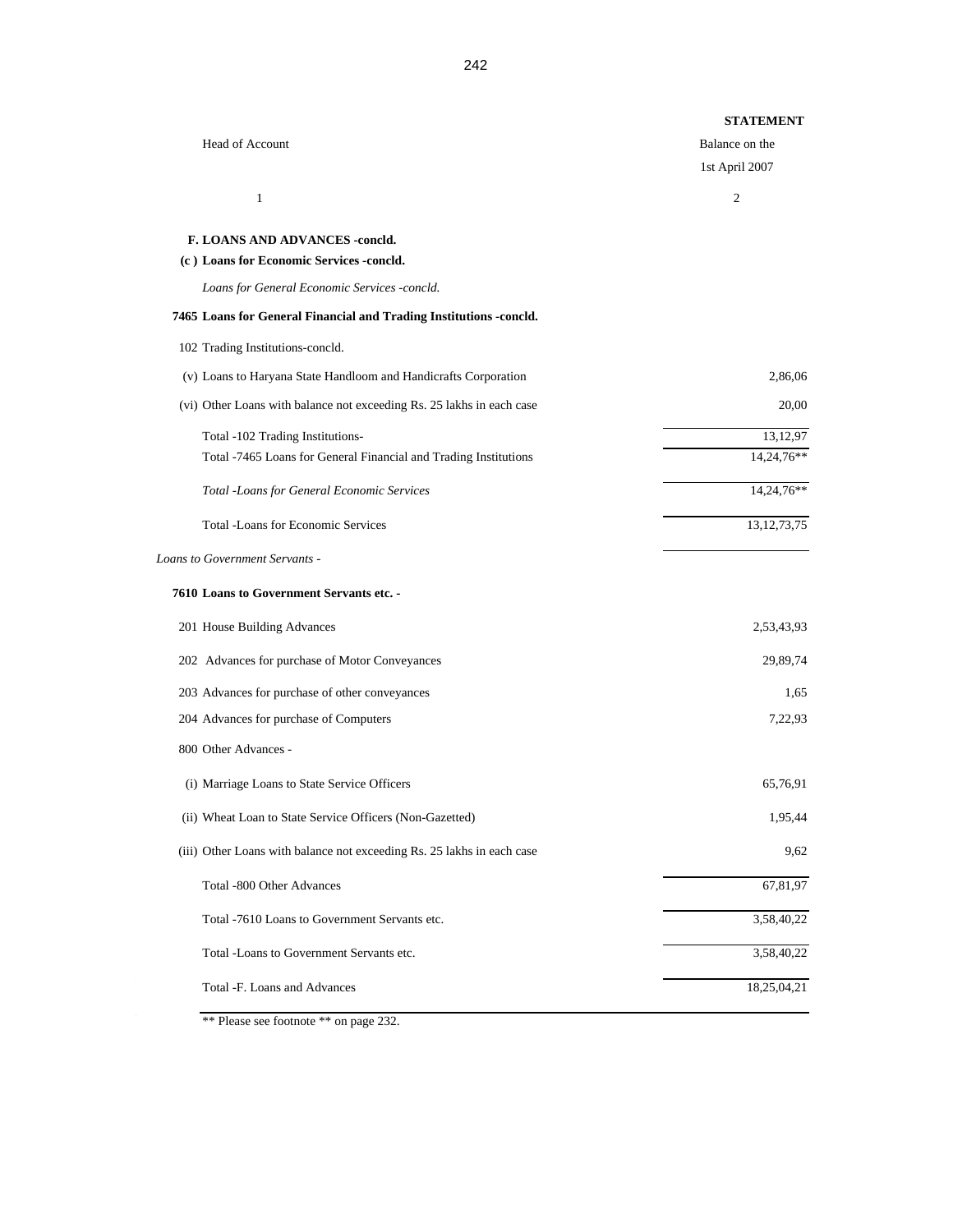|                                                                        | STATEMENT      |
|------------------------------------------------------------------------|----------------|
| Head of Account                                                        | Balance on the |
|                                                                        | 1st April 2007 |
| 1                                                                      | $\overline{c}$ |
| F. LOANS AND ADVANCES -concld.                                         |                |
| (c) Loans for Economic Services -concld.                               |                |
| Loans for General Economic Services -concld.                           |                |
| 7465 Loans for General Financial and Trading Institutions -concld.     |                |
| 102 Trading Institutions-concld.                                       |                |
| (v) Loans to Haryana State Handloom and Handicrafts Corporation        | 2,86,06        |
| (vi) Other Loans with balance not exceeding Rs. 25 lakhs in each case  | 20,00          |
| Total -102 Trading Institutions-                                       | 13,12,97       |
| Total -7465 Loans for General Financial and Trading Institutions       | 14,24,76**     |
| Total -Loans for General Economic Services                             | 14,24,76**     |
| <b>Total -Loans for Economic Services</b>                              | 13, 12, 73, 75 |
| Loans to Government Servants -                                         |                |
| 7610 Loans to Government Servants etc. -                               |                |
| 201 House Building Advances                                            | 2,53,43,93     |
| 202 Advances for purchase of Motor Conveyances                         | 29,89,74       |
| 203 Advances for purchase of other conveyances                         | 1,65           |
| 204 Advances for purchase of Computers                                 | 7,22,93        |
| 800 Other Advances -                                                   |                |
| (i) Marriage Loans to State Service Officers                           | 65,76,91       |
| (ii) Wheat Loan to State Service Officers (Non-Gazetted)               | 1,95,44        |
| (iii) Other Loans with balance not exceeding Rs. 25 lakhs in each case | 9,62           |
| Total -800 Other Advances                                              | 67,81,97       |
| Total -7610 Loans to Government Servants etc.                          | 3,58,40,22     |
| Total -Loans to Government Servants etc.                               | 3,58,40,22     |
| Total -F. Loans and Advances                                           | 18,25,04,21    |

\*\* Please see footnote \*\* on page 232.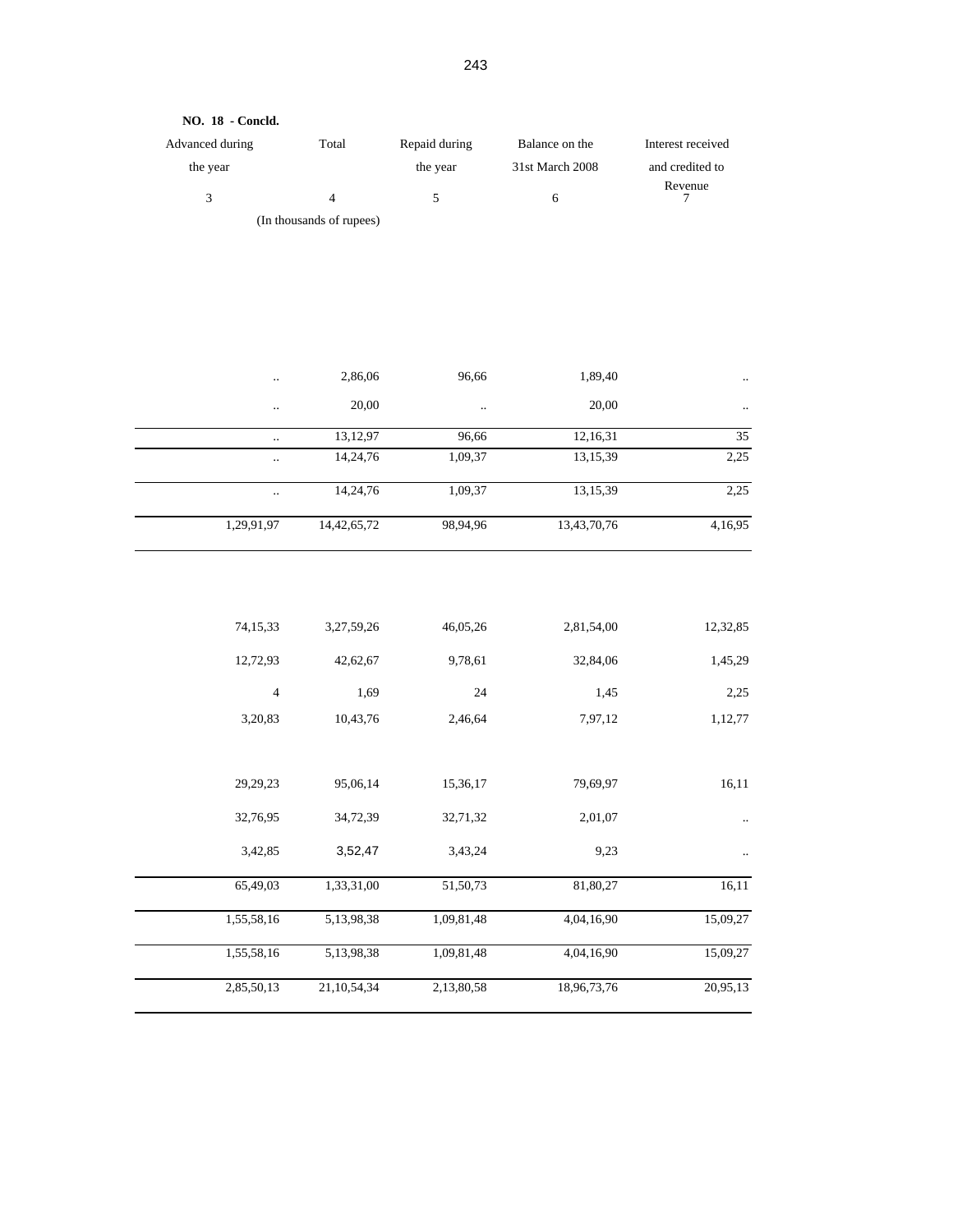|                   |                 |               |                          | NO. 18 - Concld. |
|-------------------|-----------------|---------------|--------------------------|------------------|
| Interest received | Balance on the  | Repaid during | Total                    | Advanced during  |
| and credited to   | 31st March 2008 | the year      |                          | the year         |
| Revenue<br>7      | $\sqrt{6}$      | $\mathfrak s$ | $\overline{4}$           | 3                |
|                   |                 |               | (In thousands of rupees) |                  |
|                   |                 |               |                          |                  |
|                   | 1,89,40         | 96,66         | 2,86,06                  |                  |
| $\cdot$ .         | 20,00           |               | 20,00                    |                  |
| 35                | 12,16,31        | 96,66         | 13,12,97                 |                  |
| 2,25              | 13,15,39        | 1,09,37       | 14,24,76                 |                  |
| 2,25              | 13,15,39        | 1,09,37       | 14,24,76                 |                  |
| 4,16,95           | 13,43,70,76     | 98,94,96      | 14,42,65,72              | 1,29,91,97       |
|                   |                 |               |                          |                  |
| 12,32,85          | 2,81,54,00      | 46,05,26      | 3,27,59,26               | 74,15,33         |
| 1,45,29           | 32,84,06        | 9,78,61       | 42,62,67                 | 12,72,93         |
| 2,25              | 1,45            | 24            | 1,69                     | $\overline{4}$   |
| 1,12,77           | 7,97,12         | 2,46,64       | 10,43,76                 | 3,20,83          |
| 16,11             | 79,69,97        | 15,36,17      | 95,06,14                 | 29,29,23         |
| $\ldots$          | 2,01,07         | 32,71,32      | 34,72,39                 | 32,76,95         |
|                   | 9,23            | 3,43,24       | 3,52,47                  | 3,42,85          |
| 16,11             | 81,80,27        | 51,50,73      | 1,33,31,00               | 65,49,03         |
| 15,09,27          | 4,04,16,90      | 1,09,81,48    | 5,13,98,38               | 1,55,58,16       |
| 15,09,27          | 4,04,16,90      | 1,09,81,48    | 5,13,98,38               | 1,55,58,16       |
| 20,95,13          | 18,96,73,76     | 2,13,80,58    | 21, 10, 54, 34           | 2,85,50,13       |
|                   |                 |               |                          |                  |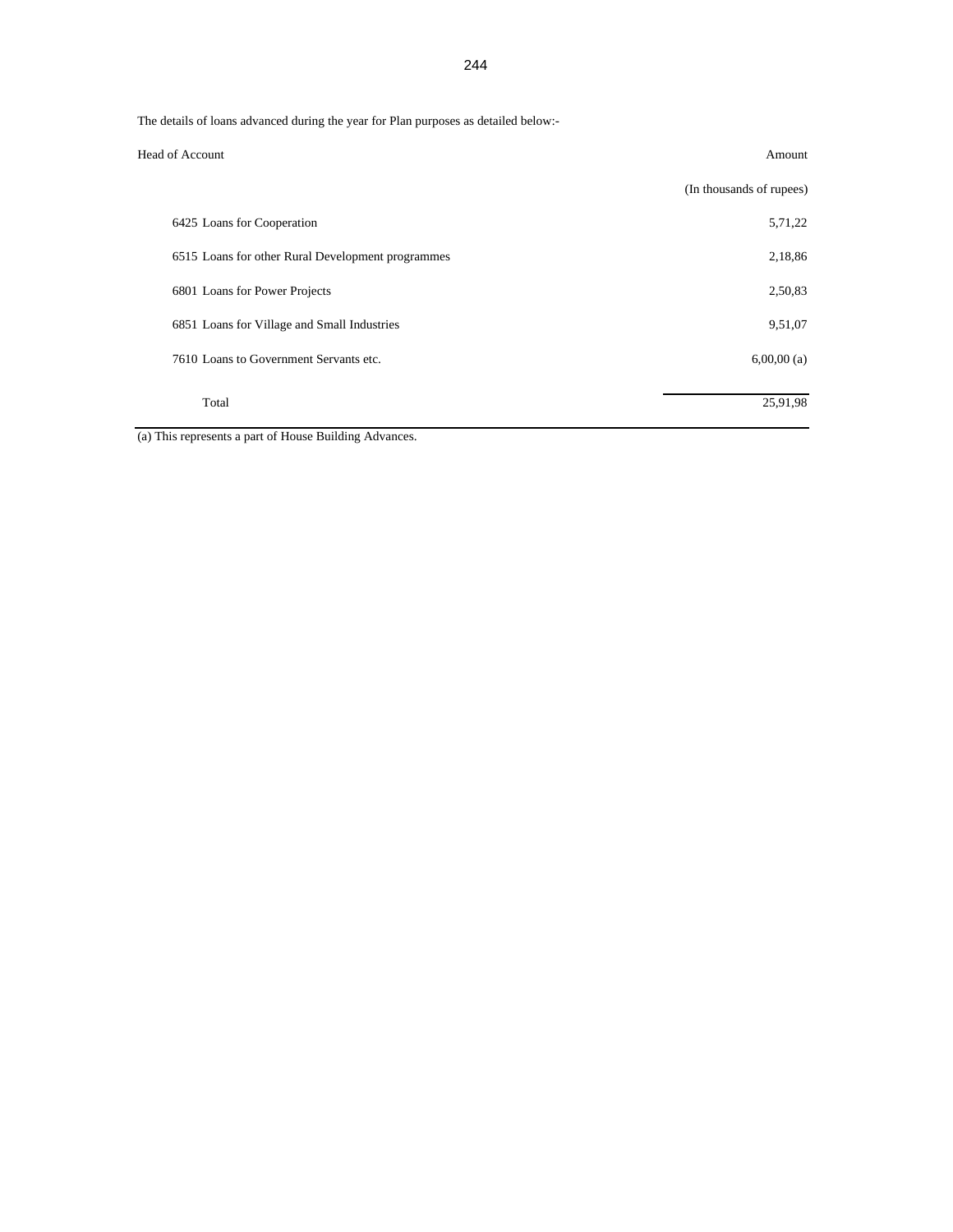The details of loans advanced during the year for Plan purposes as detailed below:-

| Head of Account                                   | Amount                   |
|---------------------------------------------------|--------------------------|
|                                                   | (In thousands of rupees) |
| 6425 Loans for Cooperation                        | 5,71,22                  |
| 6515 Loans for other Rural Development programmes | 2,18,86                  |
| 6801 Loans for Power Projects                     | 2,50,83                  |
| 6851 Loans for Village and Small Industries       | 9,51,07                  |
| 7610 Loans to Government Servants etc.            | $6,00,00$ (a)            |
| Total                                             | 25.91.98                 |
|                                                   |                          |

(a) This represents a part of House Building Advances.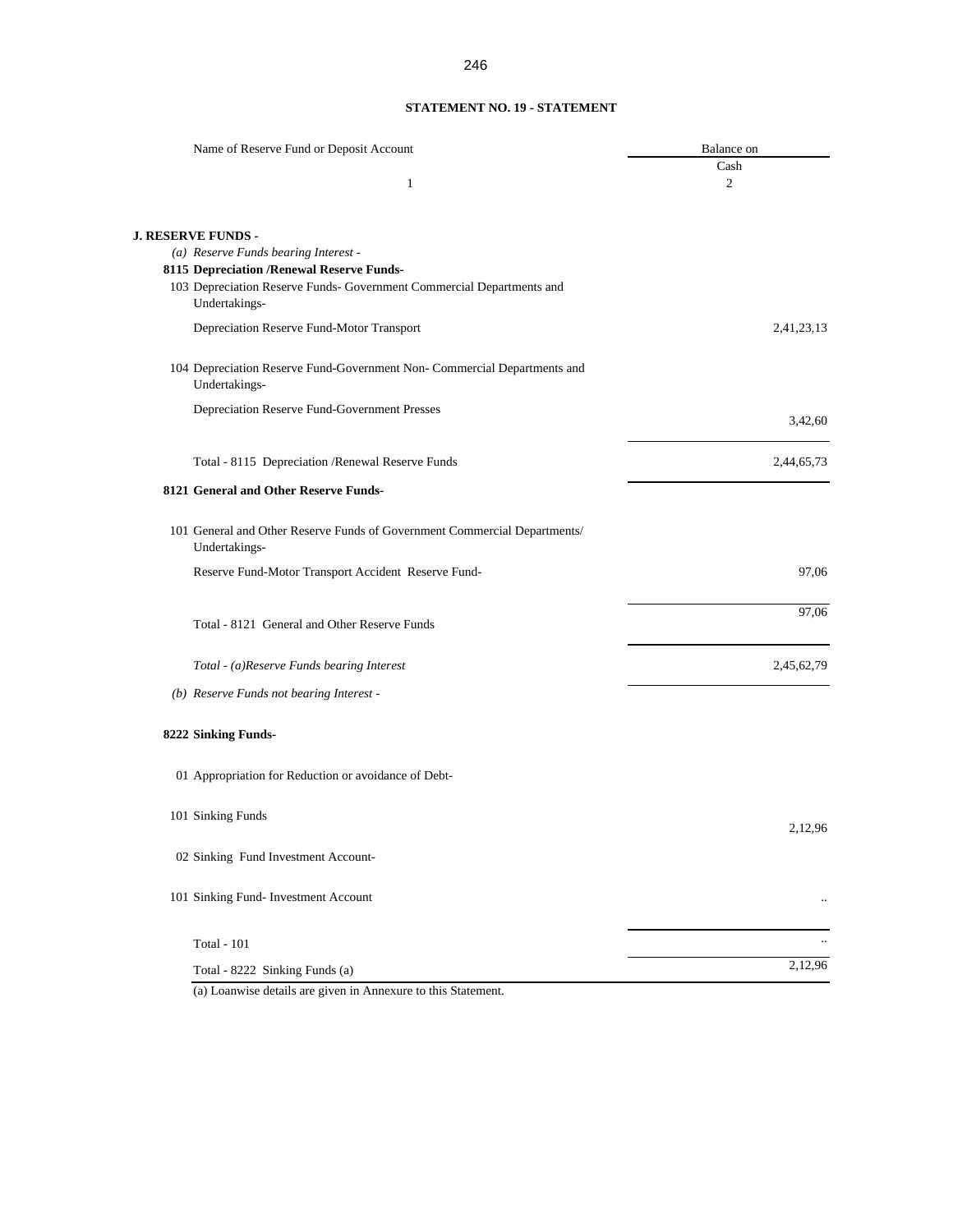#### **STATEMENT NO. 19 - STATEMENT**

| Name of Reserve Fund or Deposit Account                                                                                              | Balance on             |
|--------------------------------------------------------------------------------------------------------------------------------------|------------------------|
| $\mathbf{1}$                                                                                                                         | Cash<br>$\overline{2}$ |
| <b>J. RESERVE FUNDS -</b>                                                                                                            |                        |
| (a) Reserve Funds bearing Interest -                                                                                                 |                        |
| 8115 Depreciation / Renewal Reserve Funds-<br>103 Depreciation Reserve Funds- Government Commercial Departments and<br>Undertakings- |                        |
| Depreciation Reserve Fund-Motor Transport                                                                                            | 2,41,23,13             |
| 104 Depreciation Reserve Fund-Government Non- Commercial Departments and<br>Undertakings-                                            |                        |
| Depreciation Reserve Fund-Government Presses                                                                                         | 3,42,60                |
| Total - 8115 Depreciation / Renewal Reserve Funds                                                                                    | 2,44,65,73             |
| 8121 General and Other Reserve Funds-                                                                                                |                        |
| 101 General and Other Reserve Funds of Government Commercial Departments/<br>Undertakings-                                           |                        |
| Reserve Fund-Motor Transport Accident Reserve Fund-                                                                                  | 97,06                  |
| Total - 8121 General and Other Reserve Funds                                                                                         | 97,06                  |
| Total - (a)Reserve Funds bearing Interest                                                                                            | 2,45,62,79             |
| (b) Reserve Funds not bearing Interest -                                                                                             |                        |
| 8222 Sinking Funds-                                                                                                                  |                        |
| 01 Appropriation for Reduction or avoidance of Debt-                                                                                 |                        |
| 101 Sinking Funds                                                                                                                    | 2.12.96                |
| 02 Sinking Fund Investment Account-                                                                                                  |                        |
| 101 Sinking Fund- Investment Account                                                                                                 |                        |
| <b>Total - 101</b>                                                                                                                   |                        |
| Total - 8222 Sinking Funds (a)                                                                                                       | 2,12,96                |

(a) Loanwise details are given in Annexure to this Statement.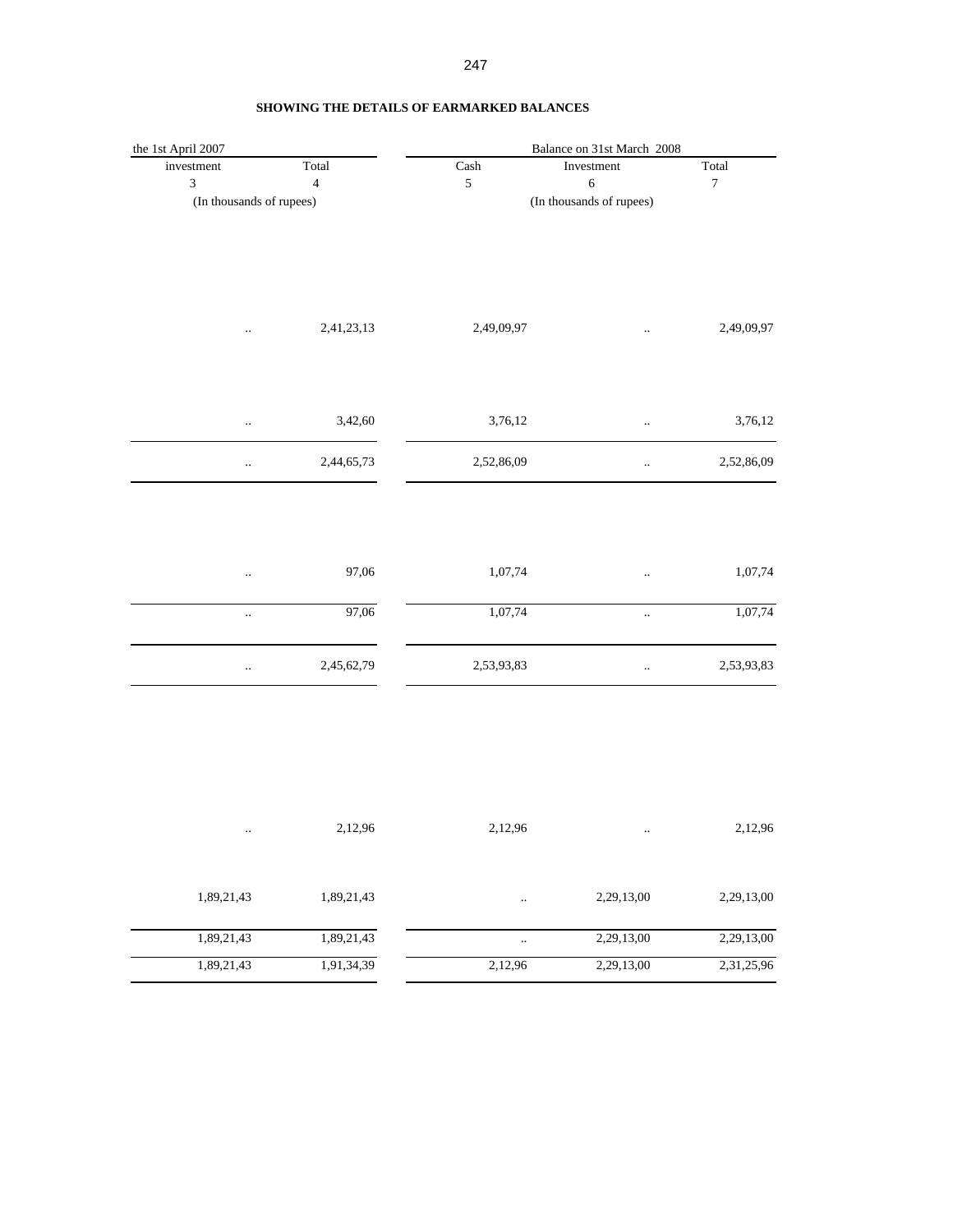|                  | Balance on 31st March 2008             |            |                | the 1st April 2007                         |
|------------------|----------------------------------------|------------|----------------|--------------------------------------------|
| Total            | Investment                             | Cash       | Total          | investment                                 |
| $\boldsymbol{7}$ | $\sqrt{6}$<br>(In thousands of rupees) | 5          | $\overline{4}$ | $\overline{3}$<br>(In thousands of rupees) |
|                  |                                        |            |                |                                            |
| 2,49,09,97       |                                        | 2,49,09,97 | 2,41,23,13     | $\ddot{\phantom{a}}$                       |
| 3,76,12          | $\ddotsc$                              | 3,76,12    | 3,42,60        | $\ddot{\phantom{a}}$                       |
| 2,52,86,09       | $\ddotsc$                              | 2,52,86,09 | 2,44,65,73     | $\ddotsc$                                  |
|                  |                                        |            |                |                                            |
| 1,07,74          | $\ddot{\phantom{a}}$                   | 1,07,74    | 97,06          | $\ddot{\phantom{a}}$                       |
| 1,07,74          |                                        | 1,07,74    | 97,06          | $\ddotsc$                                  |
| 2,53,93,83       |                                        | 2,53,93,83 | 2,45,62,79     | $\ldots$                                   |

#### **SHOWING THE DETAILS OF EARMARKED BALANCES**

| 1,89,21,43 | 1,89,21,43 | $\cdot$ | 2,29,13,00    | 2,29,13,00    |
|------------|------------|---------|---------------|---------------|
| 1,89,21,43 | 1,89,21,43 |         | 2, 29, 13, 00 | 2,29,13,00    |
| 1,89,21,43 | 1,91,34,39 | 2,12,96 | 2, 29, 13, 00 | 2, 31, 25, 96 |

.. 2,12,96 2,12,96 .. 2,12,96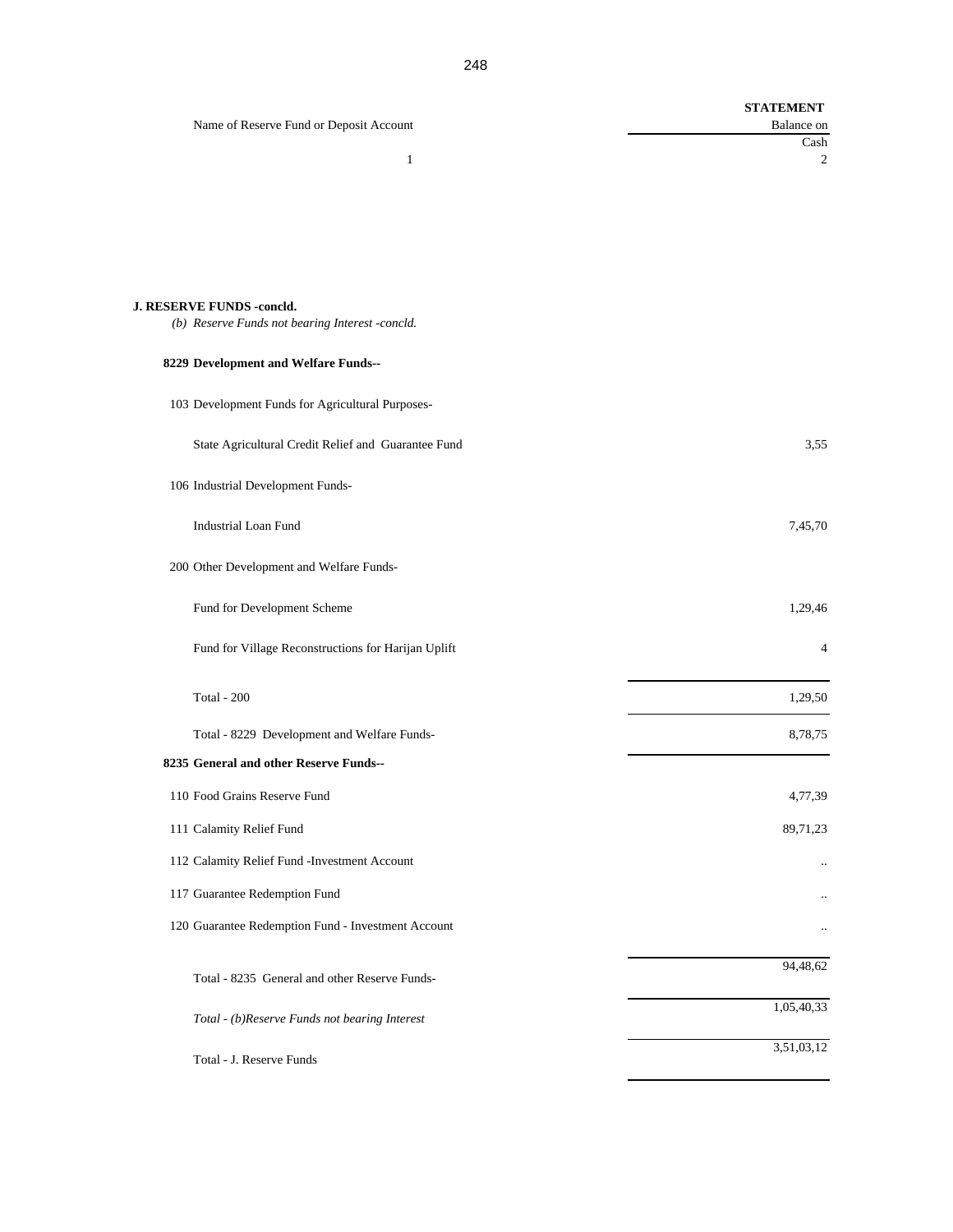## **J. RESERVE FUNDS -concld.**

*(b) Reserve Funds not bearing Interest -concld.*

| 8229 Development and Welfare Funds--                |                |
|-----------------------------------------------------|----------------|
| 103 Development Funds for Agricultural Purposes-    |                |
| State Agricultural Credit Relief and Guarantee Fund | 3.55           |
| 106 Industrial Development Funds-                   |                |
| <b>Industrial Loan Fund</b>                         | 7,45,70        |
| 200 Other Development and Welfare Funds-            |                |
| Fund for Development Scheme                         | 1,29,46        |
| Fund for Village Reconstructions for Harijan Uplift | $\overline{4}$ |
| <b>Total - 200</b>                                  | 1,29,50        |
| Total - 8229 Development and Welfare Funds-         | 8,78,75        |
| 8235 General and other Reserve Funds--              |                |
| 110 Food Grains Reserve Fund                        | 4,77,39        |
| 111 Calamity Relief Fund                            | 89,71,23       |
| 112 Calamity Relief Fund -Investment Account        |                |
| 117 Guarantee Redemption Fund                       |                |
| 120 Guarantee Redemption Fund - Investment Account  |                |
| Total - 8235 General and other Reserve Funds-       | 94,48,62       |
| Total - (b)Reserve Funds not bearing Interest       | 1,05,40,33     |
| Total - J. Reserve Funds                            | 3,51,03,12     |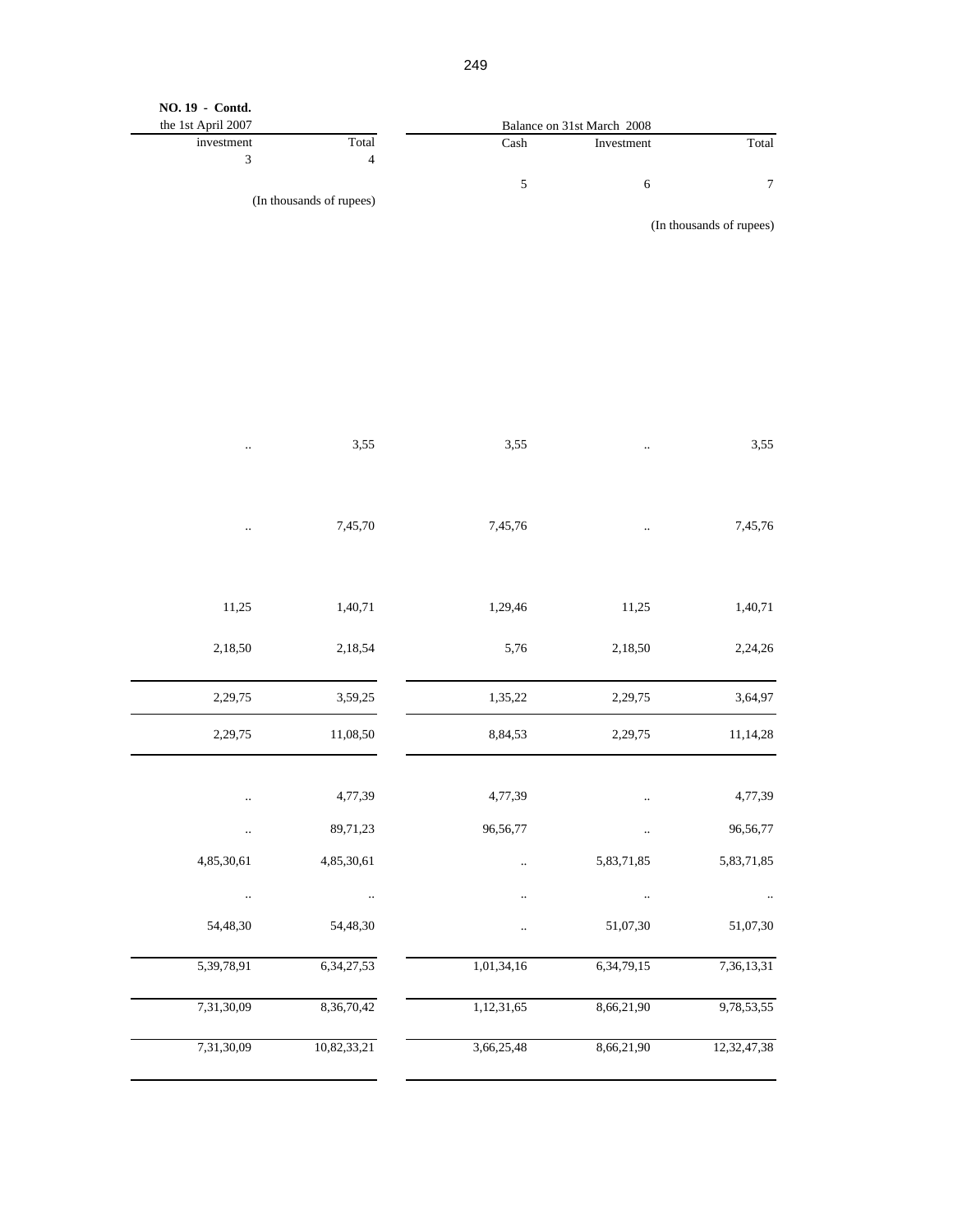|                          | Balance on 31st March 2008 |            |                          | the 1st April 2007          |
|--------------------------|----------------------------|------------|--------------------------|-----------------------------|
| Total                    | Investment                 | Cash       | Total                    | investment                  |
|                          |                            |            | $\overline{4}$           | $\ensuremath{\mathfrak{Z}}$ |
| $\boldsymbol{7}$         | $\sqrt{6}$                 | 5          | (In thousands of rupees) |                             |
| (In thousands of rupees) |                            |            |                          |                             |
|                          |                            |            |                          |                             |
|                          |                            |            |                          |                             |
|                          |                            |            |                          |                             |
|                          |                            |            |                          |                             |
|                          |                            |            |                          |                             |
|                          |                            |            |                          |                             |
|                          |                            |            |                          |                             |
|                          |                            |            |                          |                             |
|                          |                            |            |                          |                             |
| 3,55                     |                            | 3,55       | 3,55                     |                             |
|                          |                            |            |                          |                             |
|                          |                            |            |                          |                             |
| 7,45,76                  |                            | 7,45,76    | 7,45,70                  |                             |
|                          |                            |            |                          |                             |
|                          |                            |            |                          |                             |
| 1,40,71                  | 11,25                      | 1,29,46    | 1,40,71                  | 11,25                       |
|                          |                            |            |                          |                             |
| 2,24,26                  | 2,18,50                    | 5,76       | 2,18,54                  | 2,18,50                     |
|                          |                            |            |                          |                             |
| 3,64,97                  | 2,29,75                    | 1,35,22    | 3,59,25                  | 2,29,75                     |
| 11,14,28                 | 2,29,75                    | 8,84,53    | 11,08,50                 | 2,29,75                     |
|                          |                            |            |                          |                             |
|                          |                            |            |                          |                             |
| 4,77,39                  | $\ldots$                   | 4,77,39    | 4,77,39                  | $\ldots$                    |
| 96,56,77                 |                            | 96,56,77   | 89,71,23                 |                             |
| 5,83,71,85               | 5,83,71,85                 |            | 4,85,30,61               | 4,85,30,61                  |
|                          |                            |            |                          |                             |
| $\ddot{\phantom{1}}$     | $\ldots$                   |            | $\ldots$                 | $\cdot$ .                   |
| 51,07,30                 | 51,07,30                   |            | 54,48,30                 | 54,48,30                    |
|                          |                            |            |                          |                             |
| 7,36,13,31               | 6,34,79,15                 | 1,01,34,16 | 6, 34, 27, 53            | 5,39,78,91                  |
| 9,78,53,55               | 8,66,21,90                 | 1,12,31,65 | 8,36,70,42               | 7,31,30,09                  |
|                          |                            |            |                          |                             |
| 12,32,47,38              | 8,66,21,90                 | 3,66,25,48 | 10,82,33,21              | 7,31,30,09                  |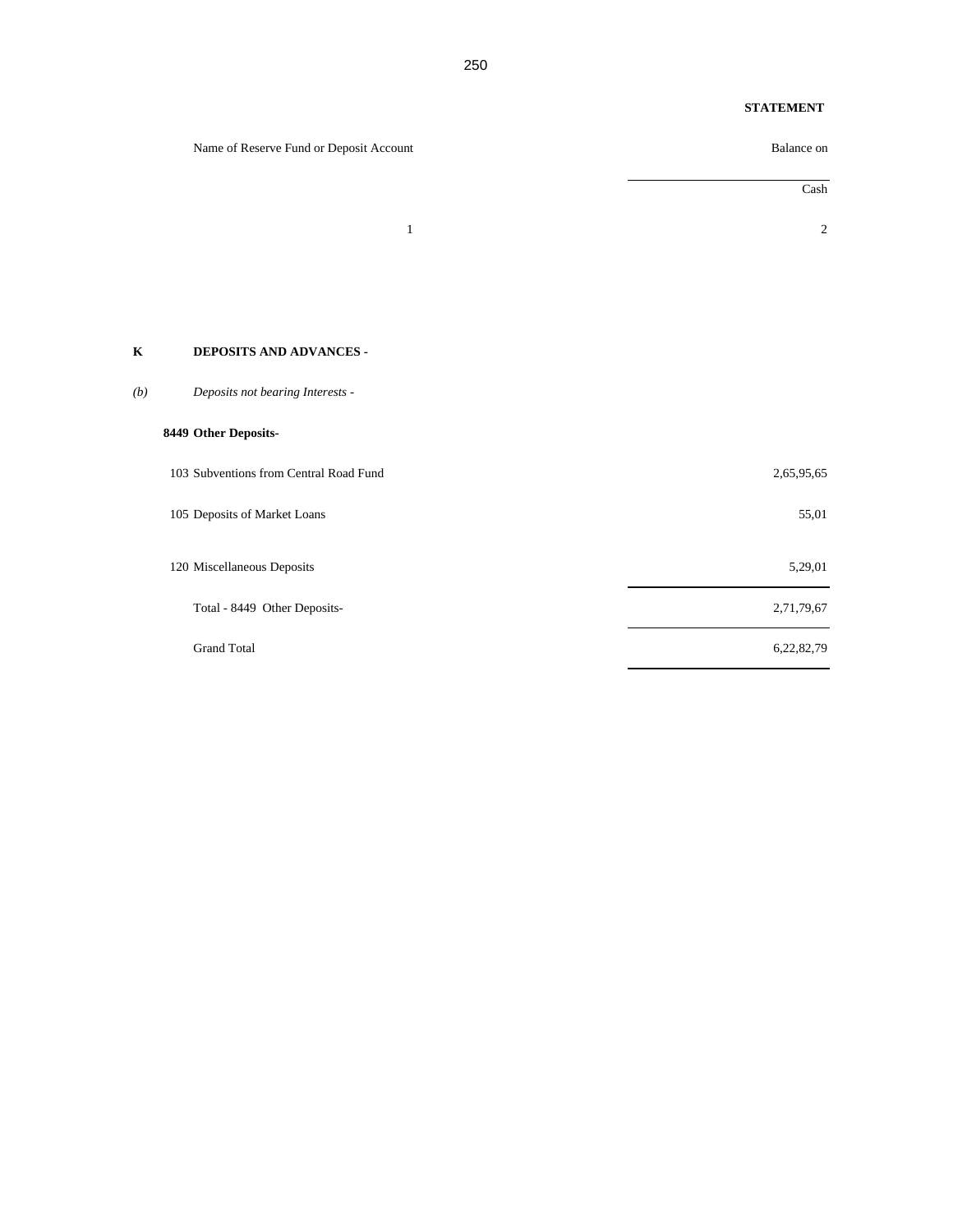|     | Name of Reserve Fund or Deposit Account | <b>Balance</b> on |
|-----|-----------------------------------------|-------------------|
|     |                                         | Cash              |
|     | $\mathbf{1}$                            | $\mathbf{2}$      |
|     |                                         |                   |
|     |                                         |                   |
| K   | DEPOSITS AND ADVANCES -                 |                   |
| (b) | Deposits not bearing Interests -        |                   |
|     | 8449 Other Deposits-                    |                   |
|     | 103 Subventions from Central Road Fund  | 2,65,95,65        |
|     | 105 Deposits of Market Loans            | 55,01             |
|     | 120 Miscellaneous Deposits              | 5,29,01           |
|     | Total - 8449 Other Deposits-            | 2,71,79,67        |
|     | <b>Grand Total</b>                      | 6,22,82,79        |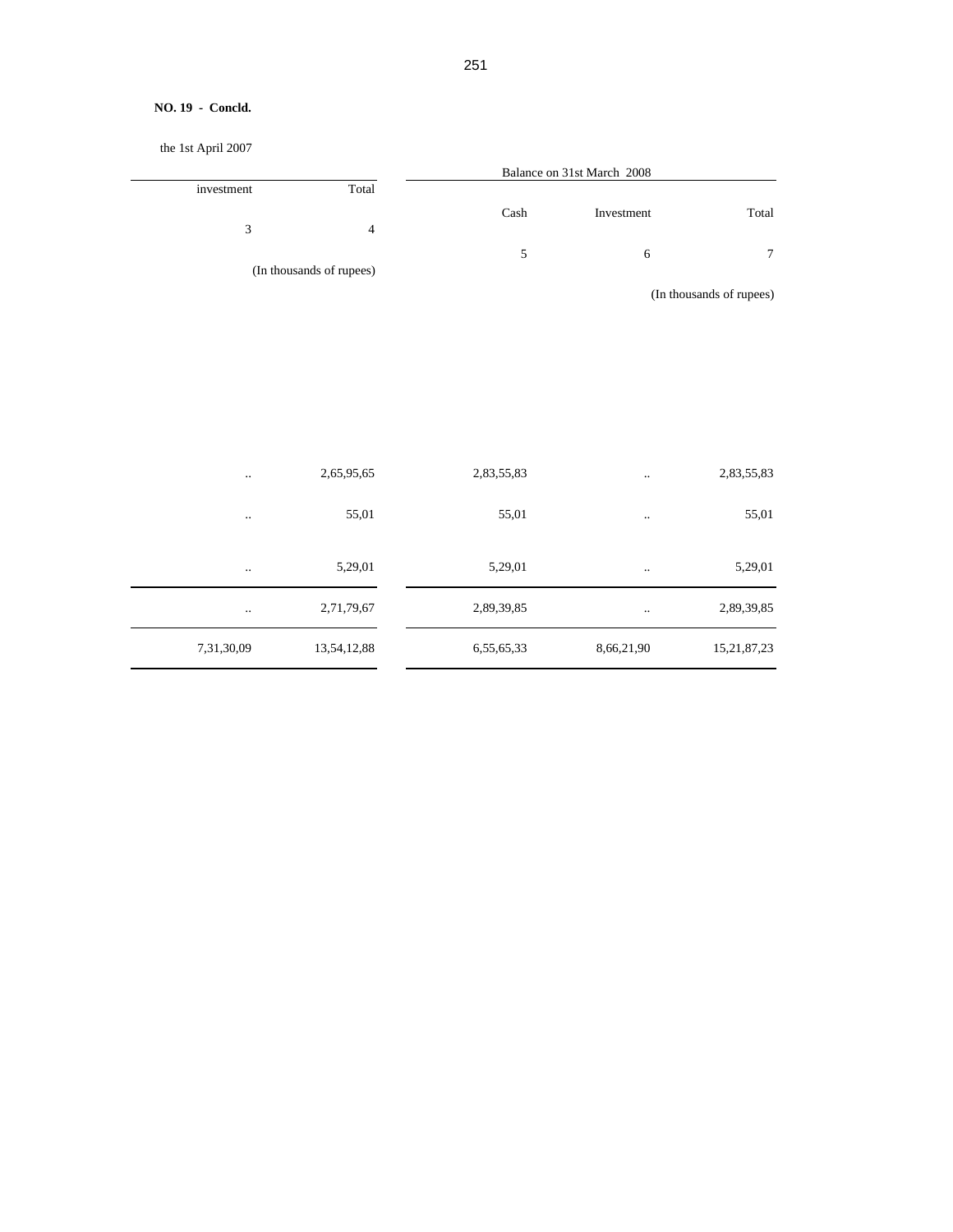## **NO. 19 - Concld.**

the 1st April 2007

|                          | Balance on 31st March 2008 |      |                          |            |
|--------------------------|----------------------------|------|--------------------------|------------|
|                          |                            |      | Total                    | investment |
| Total                    | Investment                 | Cash |                          |            |
|                          |                            |      | 4                        | 3          |
| ⇁                        | 6                          | ∼    |                          |            |
|                          |                            |      | (In thousands of rupees) |            |
| (In thousands of rupees) |                            |      |                          |            |

| 2,83,55,83  |            | 2,83,55,83 | 2,65,95,65  | $\cdot$ .     |
|-------------|------------|------------|-------------|---------------|
| 55,01       | $\cdots$   | 55,01      | 55,01       | $\cdot \cdot$ |
| 5,29,01     | $\ddotsc$  | 5,29,01    | 5,29,01     |               |
| 2,89,39,85  | $\cdots$   | 2,89,39,85 | 2,71,79,67  | $\cdot \cdot$ |
| 15,21,87,23 | 8,66,21,90 | 6,55,65,33 | 13,54,12,88 | 7,31,30,09    |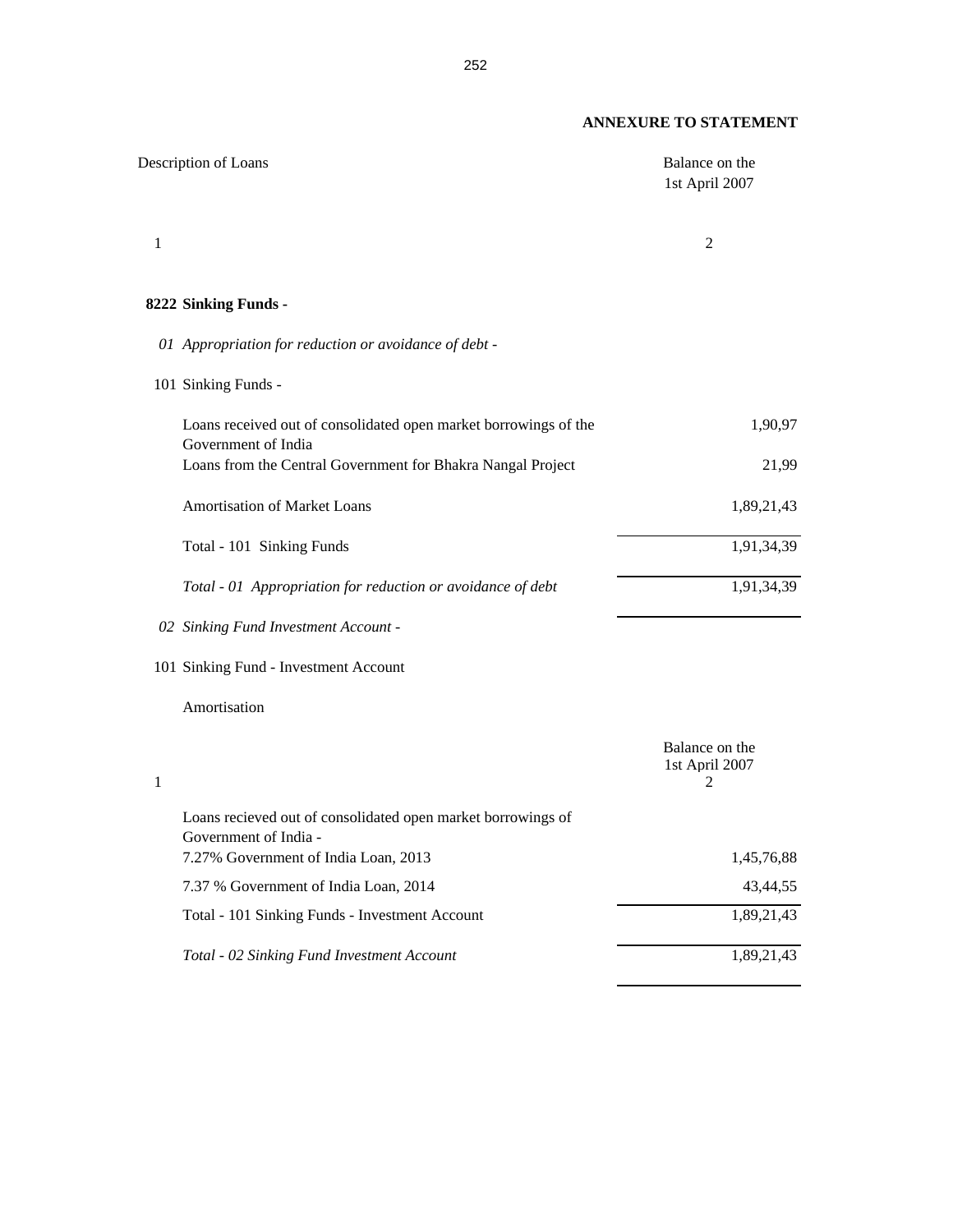## **ANNEXURE TO STATEMENT**

|              | Description of Loans                                                                    | Balance on the<br>1st April 2007      |
|--------------|-----------------------------------------------------------------------------------------|---------------------------------------|
| 1            |                                                                                         | 2                                     |
|              | 8222 Sinking Funds -                                                                    |                                       |
|              | 01 Appropriation for reduction or avoidance of debt -                                   |                                       |
|              | 101 Sinking Funds -                                                                     |                                       |
|              | Loans received out of consolidated open market borrowings of the<br>Government of India | 1,90,97                               |
|              | Loans from the Central Government for Bhakra Nangal Project                             | 21,99                                 |
|              | <b>Amortisation of Market Loans</b>                                                     | 1,89,21,43                            |
|              | Total - 101 Sinking Funds                                                               | 1,91,34,39                            |
|              | Total - 01 Appropriation for reduction or avoidance of debt                             | 1,91,34,39                            |
|              | 02 Sinking Fund Investment Account -                                                    |                                       |
|              | 101 Sinking Fund - Investment Account                                                   |                                       |
|              | Amortisation                                                                            |                                       |
| $\mathbf{1}$ |                                                                                         | Balance on the<br>1st April 2007<br>2 |
|              | Loans recieved out of consolidated open market borrowings of<br>Government of India -   |                                       |
|              | 7.27% Government of India Loan, 2013                                                    | 1,45,76,88                            |
|              | 7.37 % Government of India Loan, 2014                                                   | 43,44,55                              |
|              | Total - 101 Sinking Funds - Investment Account                                          | 1,89,21,43                            |
|              | Total - 02 Sinking Fund Investment Account                                              | 1,89,21,43                            |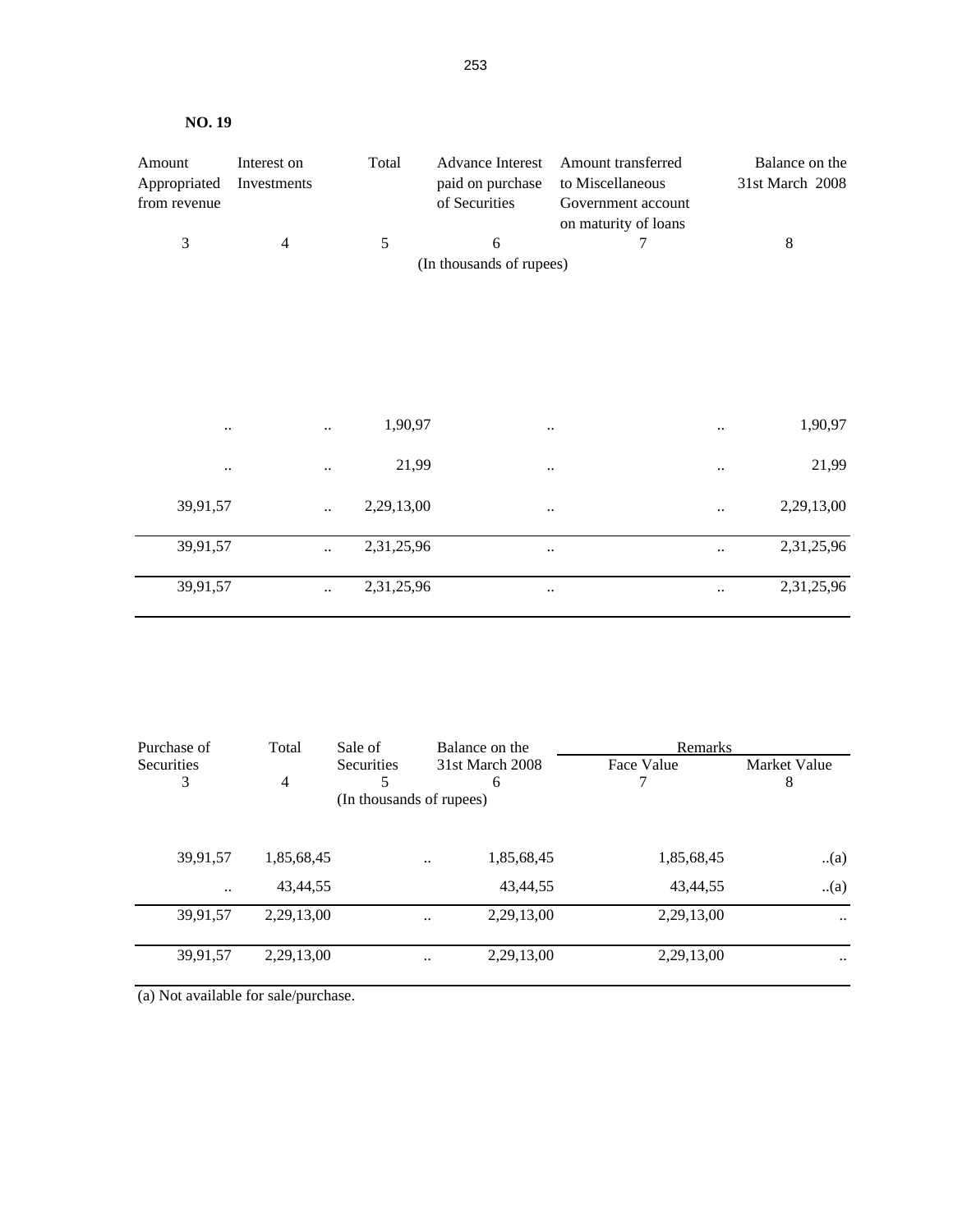|--|--|--|

| Amount<br>Appropriated<br>from revenue | Interest on<br>Investments | Total                              | <b>Advance Interest</b><br>paid on purchase<br>of Securities | Amount transferred<br>to Miscellaneous<br>Government account<br>on maturity of loans | Balance on the<br>31st March 2008 |
|----------------------------------------|----------------------------|------------------------------------|--------------------------------------------------------------|--------------------------------------------------------------------------------------|-----------------------------------|
| 3                                      | $\overline{4}$             | 5                                  | 6                                                            | 7                                                                                    | $\,8\,$                           |
|                                        |                            |                                    | (In thousands of rupees)                                     |                                                                                      |                                   |
| $\ddotsc$                              |                            | 1,90,97<br>                        |                                                              |                                                                                      | <br>1,90,97                       |
| $\ddotsc$                              |                            | 21,99<br>$\ddotsc$                 |                                                              |                                                                                      | <br>21,99                         |
| 39,91,57                               |                            | 2,29,13,00<br>$\ddot{\phantom{a}}$ |                                                              | $\ddotsc$                                                                            | <br>2,29,13,00                    |
| 39,91,57                               |                            | 2,31,25,96<br>$\ddot{\phantom{a}}$ |                                                              | $\ddotsc$                                                                            | <br>2,31,25,96                    |
| 39,91,57                               |                            | 2,31,25,96<br>                     |                                                              | $\ddotsc$                                                                            | <br>2,31,25,96                    |

| Purchase of       | Total          | Sale of                  |           | Balance on the  |            | Remarks    |                 |
|-------------------|----------------|--------------------------|-----------|-----------------|------------|------------|-----------------|
| <b>Securities</b> |                | <b>Securities</b>        |           | 31st March 2008 | Face Value |            | Market Value    |
| 3                 | $\overline{4}$ | C                        |           | 6               |            |            | 8               |
|                   |                | (In thousands of rupees) |           |                 |            |            |                 |
|                   |                |                          |           |                 |            |            |                 |
| 39,91,57          | 1,85,68,45     |                          | $\ddotsc$ | 1,85,68,45      |            | 1,85,68,45 | $\cdot$ .(a)    |
| $\ddotsc$         | 43,44,55       |                          |           | 43,44,55        |            | 43,44,55   | $\cdot$ . $(a)$ |
| 39,91,57          | 2,29,13,00     |                          | $\ddotsc$ | 2,29,13,00      |            | 2,29,13,00 | $\ddotsc$       |
| 39,91,57          | 2,29,13,00     |                          | $\ddotsc$ | 2,29,13,00      |            | 2,29,13,00 | $\ddotsc$       |
|                   |                |                          |           |                 |            |            |                 |

(a) Not available for sale/purchase.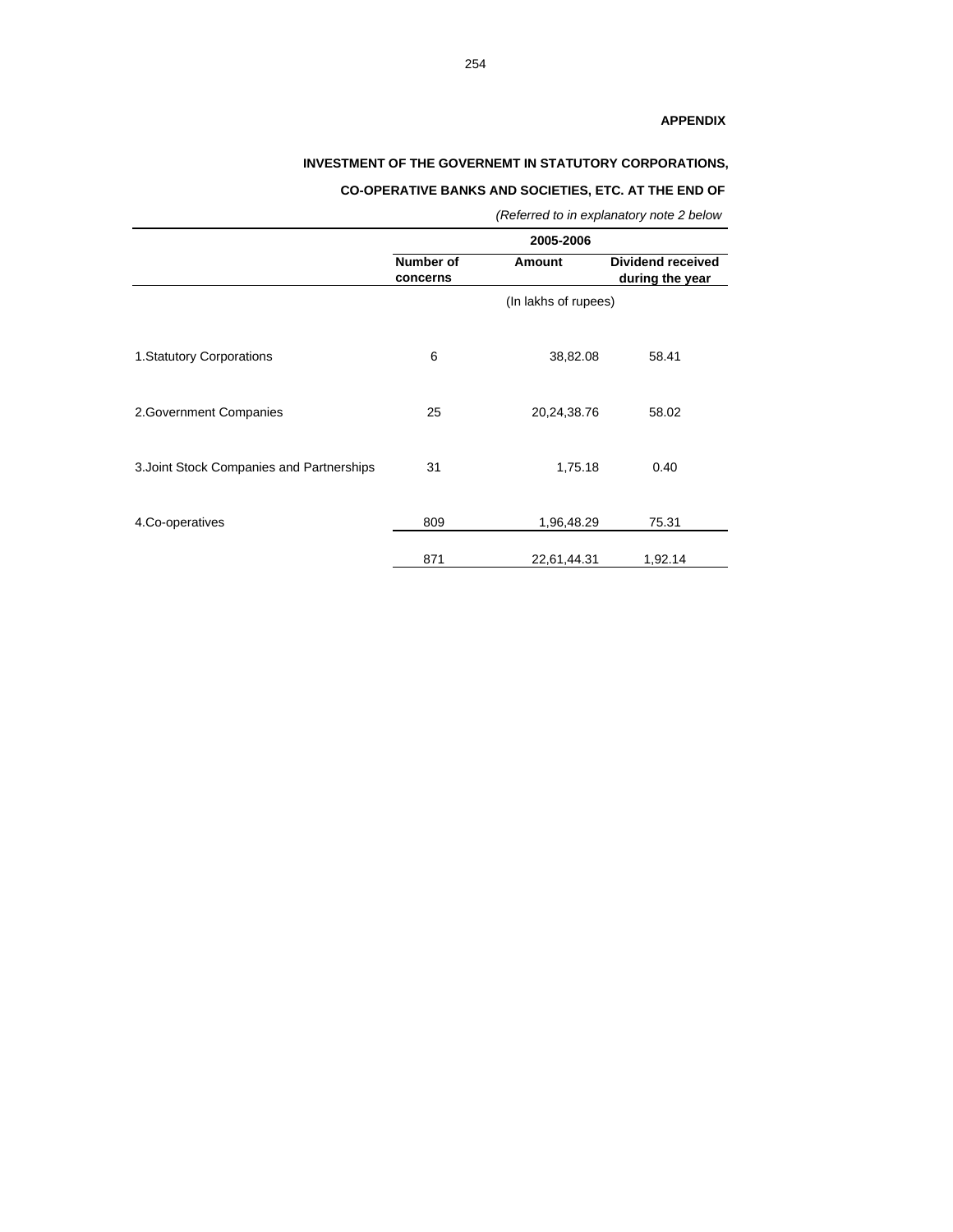## **APPENDIX**

## **INVESTMENT OF THE GOVERNEMT IN STATUTORY CORPORATIONS,**

# **CO-OPERATIVE BANKS AND SOCIETIES, ETC. AT THE END OF**

*(Referred to in explanatory note 2 below*

|                                           |                       | 2005-2006            |                                             |  |  |
|-------------------------------------------|-----------------------|----------------------|---------------------------------------------|--|--|
|                                           | Number of<br>concerns | Amount               | <b>Dividend received</b><br>during the year |  |  |
|                                           |                       | (In lakhs of rupees) |                                             |  |  |
| 1. Statutory Corporations                 | 6                     | 38,82.08             | 58.41                                       |  |  |
| 2. Government Companies                   | 25                    | 20,24,38.76          | 58.02                                       |  |  |
| 3. Joint Stock Companies and Partnerships | 31                    | 1,75.18              | 0.40                                        |  |  |
| 4.Co-operatives                           | 809                   | 1,96,48.29           | 75.31                                       |  |  |
|                                           | 871                   | 22,61,44.31          | 1,92.14                                     |  |  |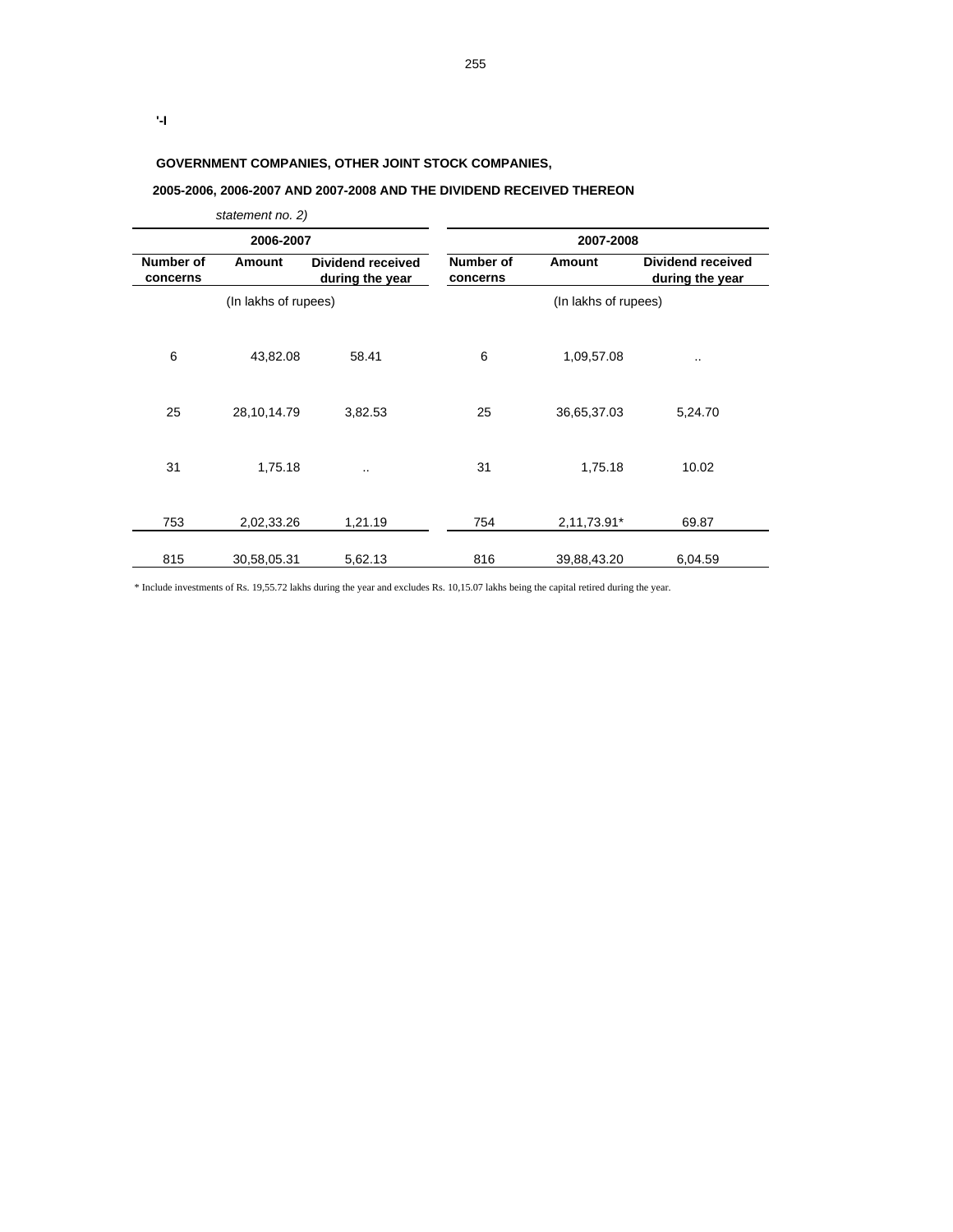## **GOVERNMENT COMPANIES, OTHER JOINT STOCK COMPANIES,**

## **2005-2006, 2006-2007 AND 2007-2008 AND THE DIVIDEND RECEIVED THEREON**

|                                                                         | statement no. 2) |                       |                      |                                      |                      |  |  |
|-------------------------------------------------------------------------|------------------|-----------------------|----------------------|--------------------------------------|----------------------|--|--|
|                                                                         | 2006-2007        |                       |                      | 2007-2008                            |                      |  |  |
| Number of<br>Amount<br>Dividend received<br>during the year<br>concerns |                  | Number of<br>concerns | Amount               | Dividend received<br>during the year |                      |  |  |
| (In lakhs of rupees)                                                    |                  |                       | (In lakhs of rupees) |                                      |                      |  |  |
| 6                                                                       | 43,82.08         | 58.41                 | 6                    | 1,09,57.08                           | $\ddot{\phantom{a}}$ |  |  |
| 25                                                                      | 28,10,14.79      | 3,82.53               | 25                   | 36,65,37.03                          | 5,24.70              |  |  |
| 31                                                                      | 1,75.18          |                       | 31                   | 1,75.18                              | 10.02                |  |  |
| 753                                                                     | 2,02,33.26       | 1,21.19               | 754                  | 2,11,73.91*                          | 69.87                |  |  |
| 815                                                                     | 30,58,05.31      | 5,62.13               | 816                  | 39,88,43.20                          | 6,04.59              |  |  |

255

\* Include investments of Rs. 19,55.72 lakhs during the year and excludes Rs. 10,15.07 lakhs being the capital retired during the year.

 **'-I**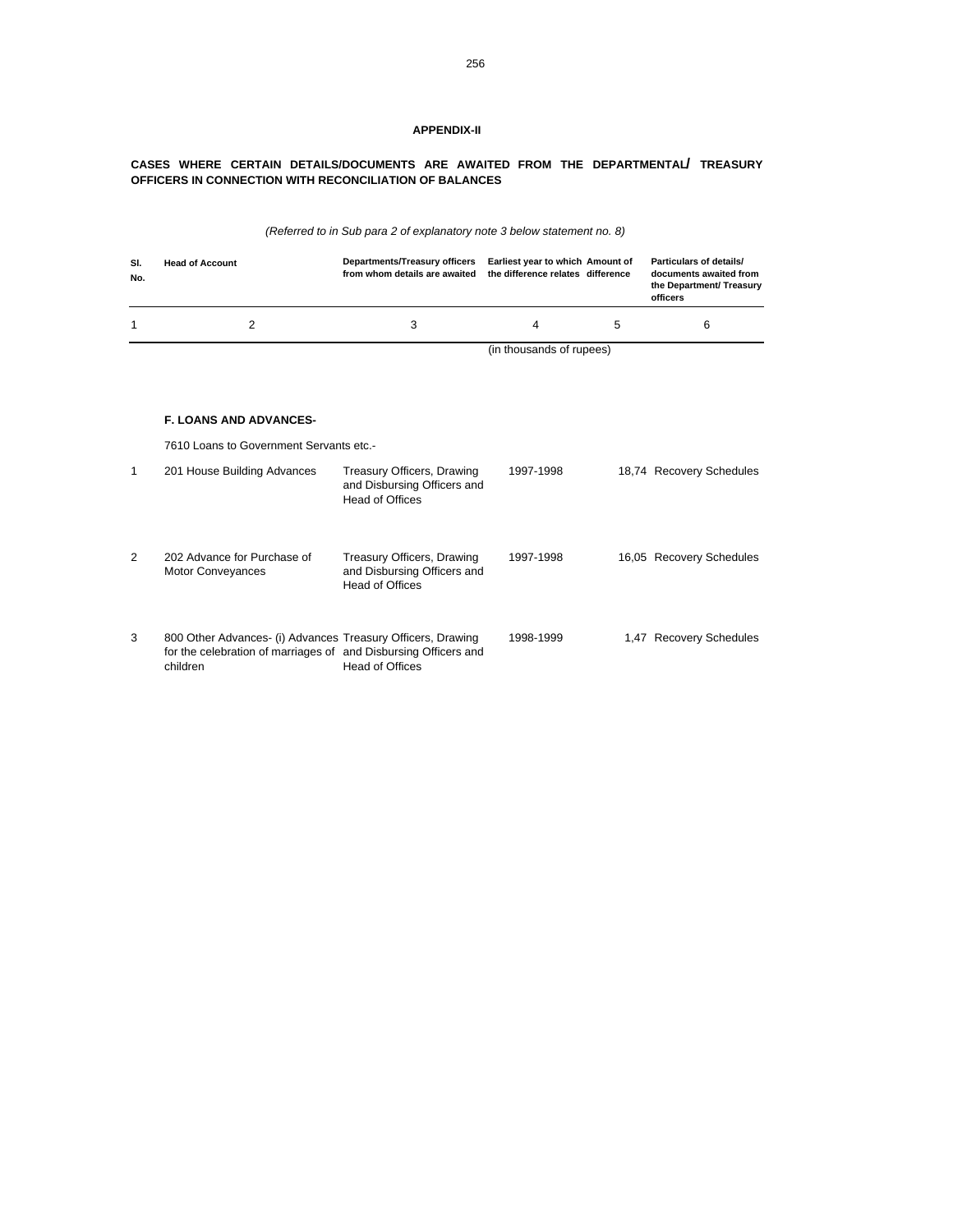#### **APPENDIX-II**

#### **CASES WHERE CERTAIN DETAILS/DOCUMENTS ARE AWAITED FROM THE DEPARTMENTAL/ TREASURY OFFICERS IN CONNECTION WITH RECONCILIATION OF BALANCES**

## *(Referred to in Sub para 2 of explanatory note 3 below statement no. 8)*

| SI.<br>No. | <b>Head of Account</b> | Departments/Treasury officers Earliest year to which Amount of<br>from whom details are awaited the difference relates difference |  | Particulars of details/<br>documents awaited from<br>the Department/ Treasury<br>officers |
|------------|------------------------|-----------------------------------------------------------------------------------------------------------------------------------|--|-------------------------------------------------------------------------------------------|
|            |                        |                                                                                                                                   |  | б                                                                                         |

(in thousands of rupees)

#### **F. LOANS AND ADVANCES-**

7610 Loans to Government Servants etc.-

| 1 | 201 House Building Advances                                                                                                                | Treasury Officers, Drawing<br>and Disbursing Officers and<br><b>Head of Offices</b> | 1997-1998 | 18,74 Recovery Schedules |
|---|--------------------------------------------------------------------------------------------------------------------------------------------|-------------------------------------------------------------------------------------|-----------|--------------------------|
| 2 | 202 Advance for Purchase of<br><b>Motor Conveyances</b>                                                                                    | Treasury Officers, Drawing<br>and Disbursing Officers and<br><b>Head of Offices</b> | 1997-1998 | 16,05 Recovery Schedules |
| 3 | 800 Other Advances- (i) Advances Treasury Officers, Drawing<br>for the celebration of marriages of and Disbursing Officers and<br>children | <b>Head of Offices</b>                                                              | 1998-1999 | 1.47 Recovery Schedules  |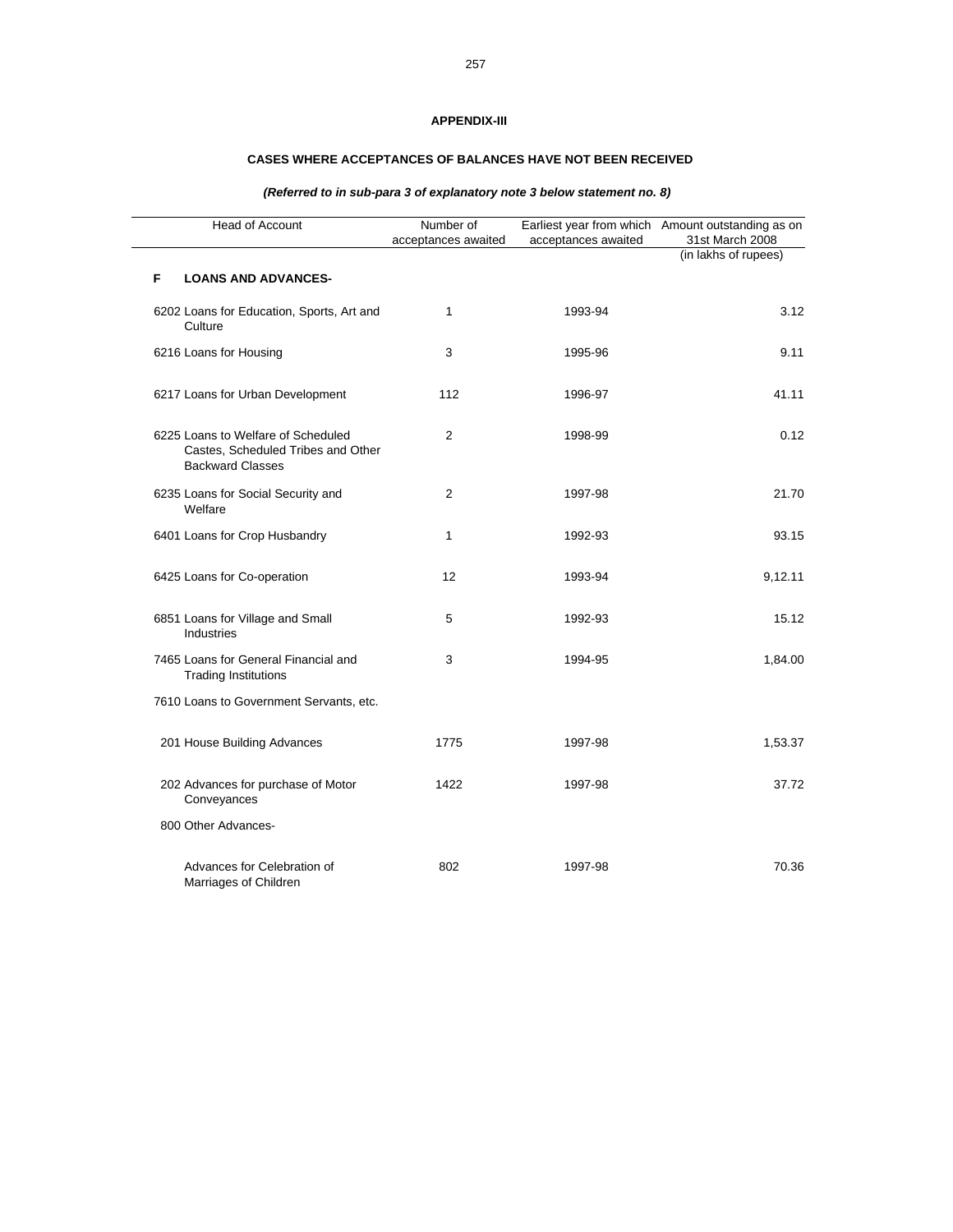## **APPENDIX-III**

## **CASES WHERE ACCEPTANCES OF BALANCES HAVE NOT BEEN RECEIVED**

## *(Referred to in sub-para 3 of explanatory note 3 below statement no. 8)*

| Head of Account                                                                                     | Number of<br>acceptances awaited | acceptances awaited | Earliest year from which Amount outstanding as on<br>31st March 2008 |
|-----------------------------------------------------------------------------------------------------|----------------------------------|---------------------|----------------------------------------------------------------------|
|                                                                                                     |                                  |                     | (in lakhs of rupees)                                                 |
| F.<br><b>LOANS AND ADVANCES-</b>                                                                    |                                  |                     |                                                                      |
| 6202 Loans for Education, Sports, Art and<br>Culture                                                | 1                                | 1993-94             | 3.12                                                                 |
| 6216 Loans for Housing                                                                              | 3                                | 1995-96             | 9.11                                                                 |
| 6217 Loans for Urban Development                                                                    | 112                              | 1996-97             | 41.11                                                                |
| 6225 Loans to Welfare of Scheduled<br>Castes, Scheduled Tribes and Other<br><b>Backward Classes</b> | $\overline{2}$                   | 1998-99             | 0.12                                                                 |
| 6235 Loans for Social Security and<br>Welfare                                                       | 2                                | 1997-98             | 21.70                                                                |
| 6401 Loans for Crop Husbandry                                                                       | 1                                | 1992-93             | 93.15                                                                |
| 6425 Loans for Co-operation                                                                         | 12                               | 1993-94             | 9,12.11                                                              |
| 6851 Loans for Village and Small<br>Industries                                                      | 5                                | 1992-93             | 15.12                                                                |
| 7465 Loans for General Financial and<br><b>Trading Institutions</b>                                 | 3                                | 1994-95             | 1,84.00                                                              |
| 7610 Loans to Government Servants, etc.                                                             |                                  |                     |                                                                      |
| 201 House Building Advances                                                                         | 1775                             | 1997-98             | 1,53.37                                                              |
| 202 Advances for purchase of Motor<br>Conveyances                                                   | 1422                             | 1997-98             | 37.72                                                                |
| 800 Other Advances-                                                                                 |                                  |                     |                                                                      |
| Advances for Celebration of<br>Marriages of Children                                                | 802                              | 1997-98             | 70.36                                                                |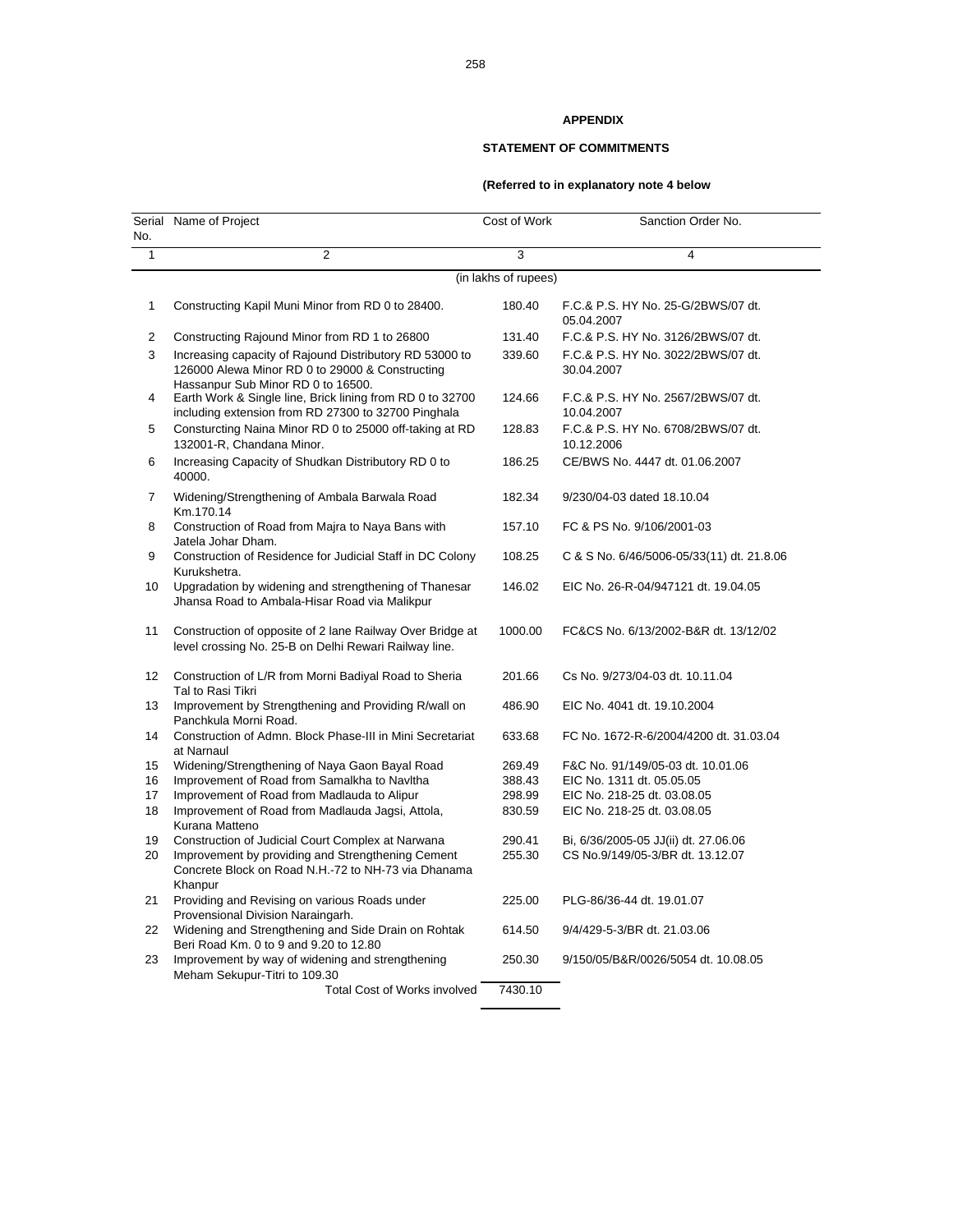## **APPENDIX**

## **STATEMENT OF COMMITMENTS**

#### **(Referred to in explanatory note 4 below**

| No.            | Serial Name of Project                                                                                                                           | Cost of Work         | Sanction Order No.                               |
|----------------|--------------------------------------------------------------------------------------------------------------------------------------------------|----------------------|--------------------------------------------------|
| $\mathbf{1}$   | $\overline{2}$                                                                                                                                   | 3                    | 4                                                |
|                |                                                                                                                                                  | (in lakhs of rupees) |                                                  |
| $\mathbf{1}$   | Constructing Kapil Muni Minor from RD 0 to 28400.                                                                                                | 180.40               | F.C.& P.S. HY No. 25-G/2BWS/07 dt.<br>05.04.2007 |
| 2              | Constructing Rajound Minor from RD 1 to 26800                                                                                                    | 131.40               | F.C.& P.S. HY No. 3126/2BWS/07 dt.               |
| 3              | Increasing capacity of Rajound Distributory RD 53000 to<br>126000 Alewa Minor RD 0 to 29000 & Constructing<br>Hassanpur Sub Minor RD 0 to 16500. | 339.60               | F.C.& P.S. HY No. 3022/2BWS/07 dt.<br>30.04.2007 |
| 4              | Earth Work & Single line, Brick lining from RD 0 to 32700<br>including extension from RD 27300 to 32700 Pinghala                                 | 124.66               | F.C.& P.S. HY No. 2567/2BWS/07 dt.<br>10.04.2007 |
| 5              | Consturcting Naina Minor RD 0 to 25000 off-taking at RD<br>132001-R, Chandana Minor.                                                             | 128.83               | F.C.& P.S. HY No. 6708/2BWS/07 dt.<br>10.12.2006 |
| 6              | Increasing Capacity of Shudkan Distributory RD 0 to<br>40000.                                                                                    | 186.25               | CE/BWS No. 4447 dt. 01.06.2007                   |
| $\overline{7}$ | Widening/Strengthening of Ambala Barwala Road<br>Km.170.14                                                                                       | 182.34               | 9/230/04-03 dated 18.10.04                       |
| 8              | Construction of Road from Majra to Naya Bans with<br>Jatela Johar Dham.                                                                          | 157.10               | FC & PS No. 9/106/2001-03                        |
| 9              | Construction of Residence for Judicial Staff in DC Colony<br>Kurukshetra.                                                                        | 108.25               | C & S No. 6/46/5006-05/33(11) dt. 21.8.06        |
| 10             | Upgradation by widening and strengthening of Thanesar<br>Jhansa Road to Ambala-Hisar Road via Malikpur                                           | 146.02               | EIC No. 26-R-04/947121 dt. 19.04.05              |
| 11             | Construction of opposite of 2 lane Railway Over Bridge at<br>level crossing No. 25-B on Delhi Rewari Railway line.                               | 1000.00              | FC&CS No. 6/13/2002-B&R dt. 13/12/02             |
| 12             | Construction of L/R from Morni Badiyal Road to Sheria<br>Tal to Rasi Tikri                                                                       | 201.66               | Cs No. 9/273/04-03 dt. 10.11.04                  |
| 13             | Improvement by Strengthening and Providing R/wall on<br>Panchkula Morni Road.                                                                    | 486.90               | EIC No. 4041 dt. 19.10.2004                      |
| 14             | Construction of Admn. Block Phase-III in Mini Secretariat<br>at Narnaul                                                                          | 633.68               | FC No. 1672-R-6/2004/4200 dt. 31.03.04           |
| 15             | Widening/Strengthening of Naya Gaon Bayal Road                                                                                                   | 269.49               | F&C No. 91/149/05-03 dt. 10.01.06                |
| 16             | Improvement of Road from Samalkha to Navitha                                                                                                     | 388.43               | EIC No. 1311 dt. 05.05.05                        |
| 17             | Improvement of Road from Madlauda to Alipur                                                                                                      | 298.99               | EIC No. 218-25 dt. 03.08.05                      |
| 18             | Improvement of Road from Madlauda Jagsi, Attola,<br>Kurana Matteno                                                                               | 830.59               | EIC No. 218-25 dt. 03.08.05                      |
| 19             | Construction of Judicial Court Complex at Narwana                                                                                                | 290.41               | Bi, 6/36/2005-05 JJ(ii) dt. 27.06.06             |
| 20             | Improvement by providing and Strengthening Cement<br>Concrete Block on Road N.H.-72 to NH-73 via Dhanama<br>Khanpur                              | 255.30               | CS No.9/149/05-3/BR dt. 13.12.07                 |
| 21             | Providing and Revising on various Roads under<br>Provensional Division Naraingarh.                                                               | 225.00               | PLG-86/36-44 dt. 19.01.07                        |
| 22             | Widening and Strengthening and Side Drain on Rohtak<br>Beri Road Km, 0 to 9 and 9.20 to 12.80                                                    | 614.50               | 9/4/429-5-3/BR dt. 21.03.06                      |
| 23             | Improvement by way of widening and strengthening<br>Meham Sekupur-Titri to 109.30                                                                | 250.30               | 9/150/05/B&R/0026/5054 dt. 10.08.05              |
|                | <b>Total Cost of Works involved</b>                                                                                                              | 7430.10              |                                                  |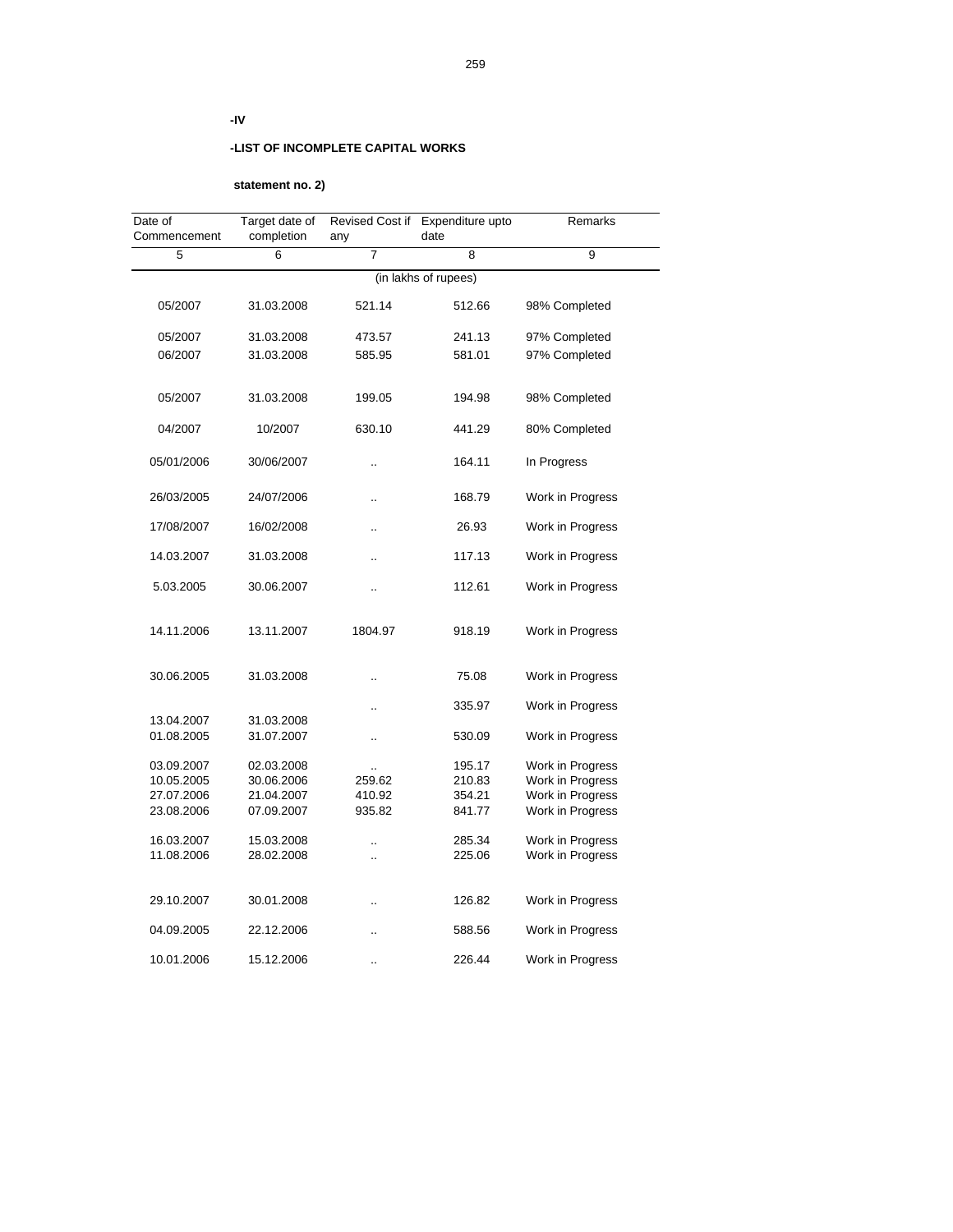## **-IV**

#### **-LIST OF INCOMPLETE CAPITAL WORKS**

#### **statement no. 2)**

| Date of           | Target date of  | <b>Revised Cost if</b> | Expenditure upto     | Remarks          |
|-------------------|-----------------|------------------------|----------------------|------------------|
| Commencement<br>5 | completion<br>6 | any<br>$\overline{7}$  | date<br>8            | 9                |
|                   |                 |                        | (in lakhs of rupees) |                  |
| 05/2007           | 31.03.2008      | 521.14                 | 512.66               | 98% Completed    |
|                   |                 |                        |                      |                  |
| 05/2007           | 31.03.2008      | 473.57                 | 241.13               | 97% Completed    |
| 06/2007           | 31.03.2008      | 585.95                 | 581.01               | 97% Completed    |
| 05/2007           | 31.03.2008      | 199.05                 | 194.98               | 98% Completed    |
|                   |                 |                        |                      |                  |
| 04/2007           | 10/2007         | 630.10                 | 441.29               | 80% Completed    |
| 05/01/2006        | 30/06/2007      |                        | 164.11               | In Progress      |
|                   |                 |                        |                      |                  |
| 26/03/2005        | 24/07/2006      |                        | 168.79               | Work in Progress |
| 17/08/2007        | 16/02/2008      |                        | 26.93                | Work in Progress |
| 14.03.2007        | 31.03.2008      |                        | 117.13               | Work in Progress |
| 5.03.2005         | 30.06.2007      |                        | 112.61               | Work in Progress |
| 14.11.2006        | 13.11.2007      | 1804.97                | 918.19               | Work in Progress |
| 30.06.2005        | 31.03.2008      |                        | 75.08                | Work in Progress |
|                   |                 | $\ddot{\phantom{a}}$   | 335.97               | Work in Progress |
| 13.04.2007        | 31.03.2008      |                        |                      |                  |
| 01.08.2005        | 31.07.2007      |                        | 530.09               | Work in Progress |
| 03.09.2007        | 02.03.2008      | $\ddot{\phantom{a}}$   | 195.17               | Work in Progress |
| 10.05.2005        | 30.06.2006      | 259.62                 | 210.83               | Work in Progress |
| 27.07.2006        | 21.04.2007      | 410.92                 | 354.21               | Work in Progress |
| 23.08.2006        | 07.09.2007      | 935.82                 | 841.77               | Work in Progress |
| 16.03.2007        | 15.03.2008      |                        | 285.34               | Work in Progress |
| 11.08.2006        | 28.02.2008      |                        | 225.06               | Work in Progress |
| 29.10.2007        | 30.01.2008      | ٠.                     | 126.82               | Work in Progress |
| 04.09.2005        | 22.12.2006      |                        | 588.56               | Work in Progress |
| 10.01.2006        | 15.12.2006      | $\ddot{\phantom{a}}$   | 226.44               | Work in Progress |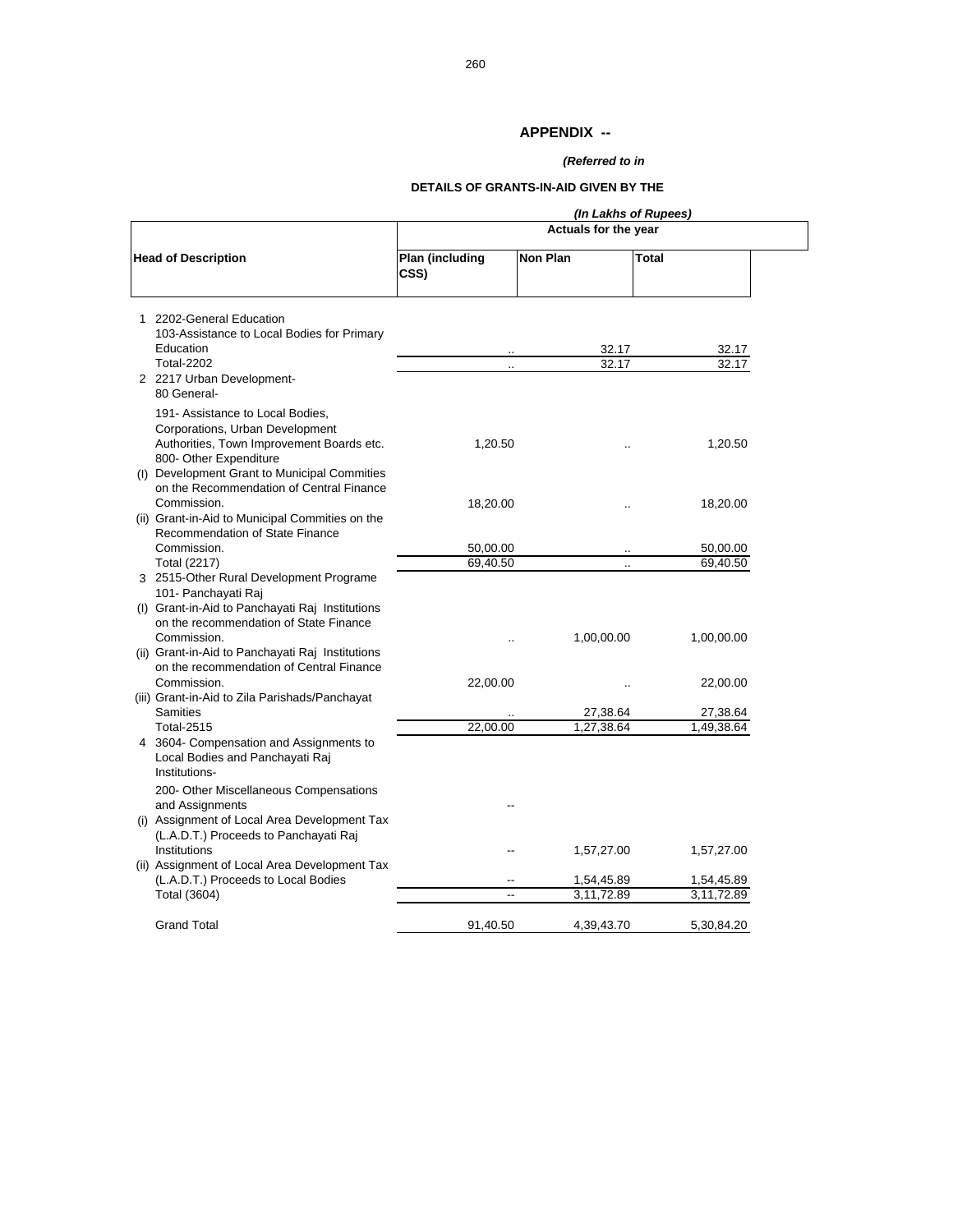## **APPENDIX --**

## *(Referred to in*

## **DETAILS OF GRANTS-IN-AID GIVEN BY THE**

|                                                                                    |                                | (In Lakhs of Rupees)<br>Actuals for the year |              |
|------------------------------------------------------------------------------------|--------------------------------|----------------------------------------------|--------------|
| <b>Head of Description</b>                                                         | <b>Plan (including</b><br>CSS) | <b>Non Plan</b>                              | <b>Total</b> |
| 1 2202-General Education                                                           |                                |                                              |              |
| 103-Assistance to Local Bodies for Primary                                         |                                |                                              |              |
| Education                                                                          |                                | 32.17                                        | 32.17        |
| <b>Total-2202</b>                                                                  | $\ddot{\phantom{a}}$           | 32.17                                        | 32.17        |
| 2 2217 Urban Development-<br>80 General-                                           |                                |                                              |              |
| 191- Assistance to Local Bodies,                                                   |                                |                                              |              |
| Corporations, Urban Development                                                    |                                |                                              |              |
| Authorities, Town Improvement Boards etc.                                          | 1,20.50                        |                                              | 1,20.50      |
| 800- Other Expenditure                                                             |                                |                                              |              |
| (I) Development Grant to Municipal Commities                                       |                                |                                              |              |
| on the Recommendation of Central Finance                                           |                                |                                              |              |
| Commission.                                                                        | 18,20.00                       | $\cdot$ .                                    | 18,20.00     |
| (ii) Grant-in-Aid to Municipal Commities on the<br>Recommendation of State Finance |                                |                                              |              |
| Commission.                                                                        | 50,00.00                       |                                              | 50,00.00     |
| Total (2217)                                                                       | 69,40.50                       |                                              | 69,40.50     |
| 3 2515-Other Rural Development Programe                                            |                                |                                              |              |
| 101- Panchayati Raj                                                                |                                |                                              |              |
| (I) Grant-in-Aid to Panchayati Raj Institutions                                    |                                |                                              |              |
| on the recommendation of State Finance                                             |                                |                                              |              |
| Commission.                                                                        |                                | 1,00,00.00                                   | 1,00,00.00   |
| (ii) Grant-in-Aid to Panchayati Raj Institutions                                   |                                |                                              |              |
| on the recommendation of Central Finance                                           |                                |                                              |              |
| Commission.                                                                        | 22,00.00                       |                                              | 22,00.00     |
| (iii) Grant-in-Aid to Zila Parishads/Panchayat                                     |                                |                                              |              |
| <b>Samities</b>                                                                    |                                | 27,38.64                                     | 27,38.64     |
| <b>Total-2515</b>                                                                  | 22,00.00                       | 1,27,38.64                                   | 1,49,38.64   |
| 4 3604- Compensation and Assignments to                                            |                                |                                              |              |
| Local Bodies and Panchayati Raj                                                    |                                |                                              |              |
| Institutions-                                                                      |                                |                                              |              |
| 200- Other Miscellaneous Compensations                                             |                                |                                              |              |
| and Assignments                                                                    |                                |                                              |              |
| (i) Assignment of Local Area Development Tax                                       |                                |                                              |              |
| (L.A.D.T.) Proceeds to Panchayati Raj<br>Institutions                              |                                | 1,57,27.00                                   | 1,57,27.00   |
| (ii) Assignment of Local Area Development Tax                                      |                                |                                              |              |
| (L.A.D.T.) Proceeds to Local Bodies                                                | --                             | 1,54,45.89                                   | 1,54,45.89   |
| <b>Total (3604)</b>                                                                | $\overline{a}$                 | 3,11,72.89                                   | 3,11,72.89   |
|                                                                                    |                                |                                              |              |
| <b>Grand Total</b>                                                                 | 91,40.50                       | 4,39,43.70                                   | 5,30,84.20   |
|                                                                                    |                                |                                              |              |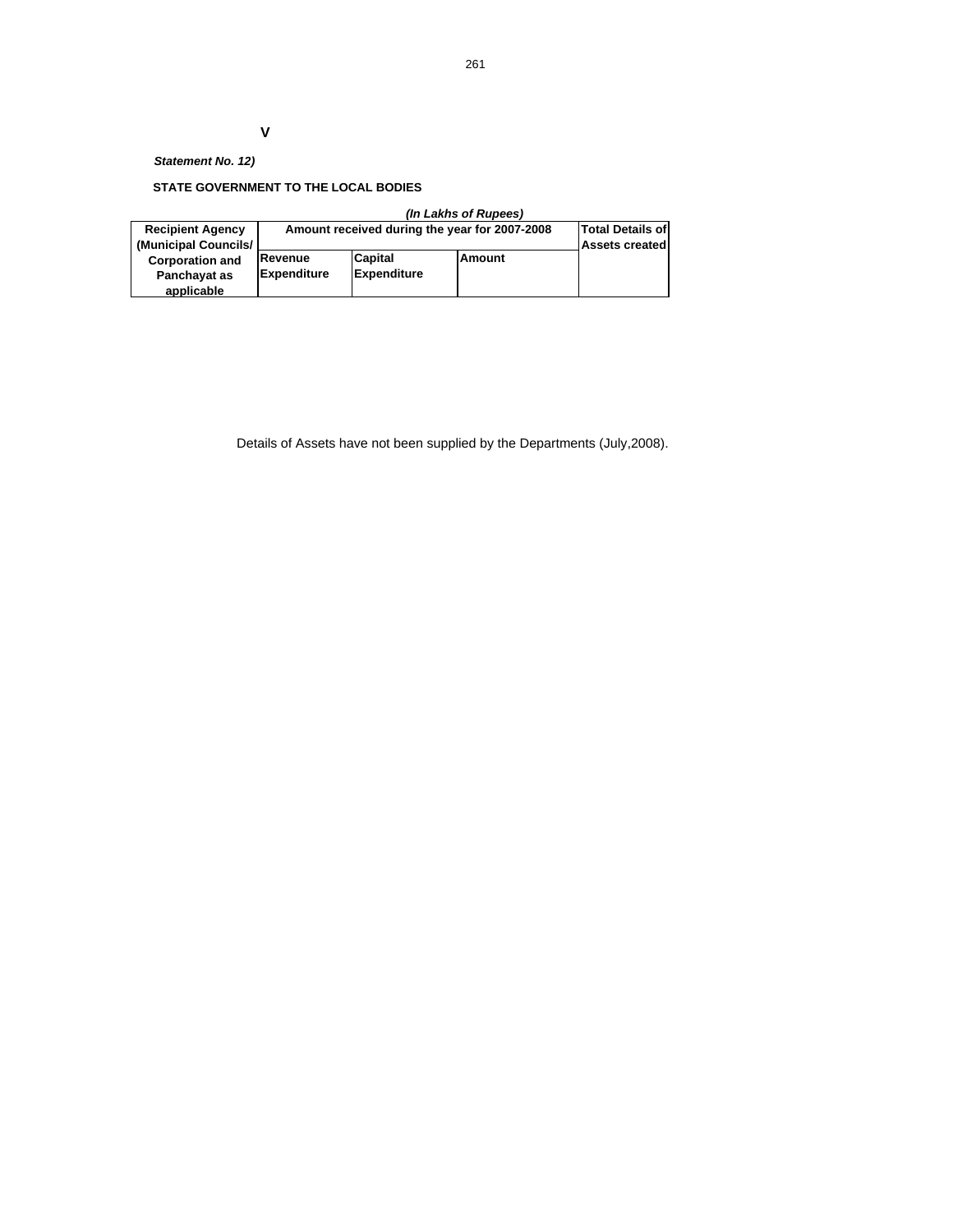## **V**

## *Statement No. 12)*

## **STATE GOVERNMENT TO THE LOCAL BODIES**

|                         |                         |                    | (In Lakhs of Rupees) |                |
|-------------------------|-------------------------|--------------------|----------------------|----------------|
| <b>Recipient Agency</b> | <b>Total Details of</b> |                    |                      |                |
| (Municipal Councils/    |                         |                    |                      | Assets created |
| <b>Corporation and</b>  | Revenue                 | <b>Capital</b>     | l Amount             |                |
| Panchayat as            | <b>Expenditure</b>      | <b>Expenditure</b> |                      |                |
| applicable              |                         |                    |                      |                |

Details of Assets have not been supplied by the Departments (July,2008).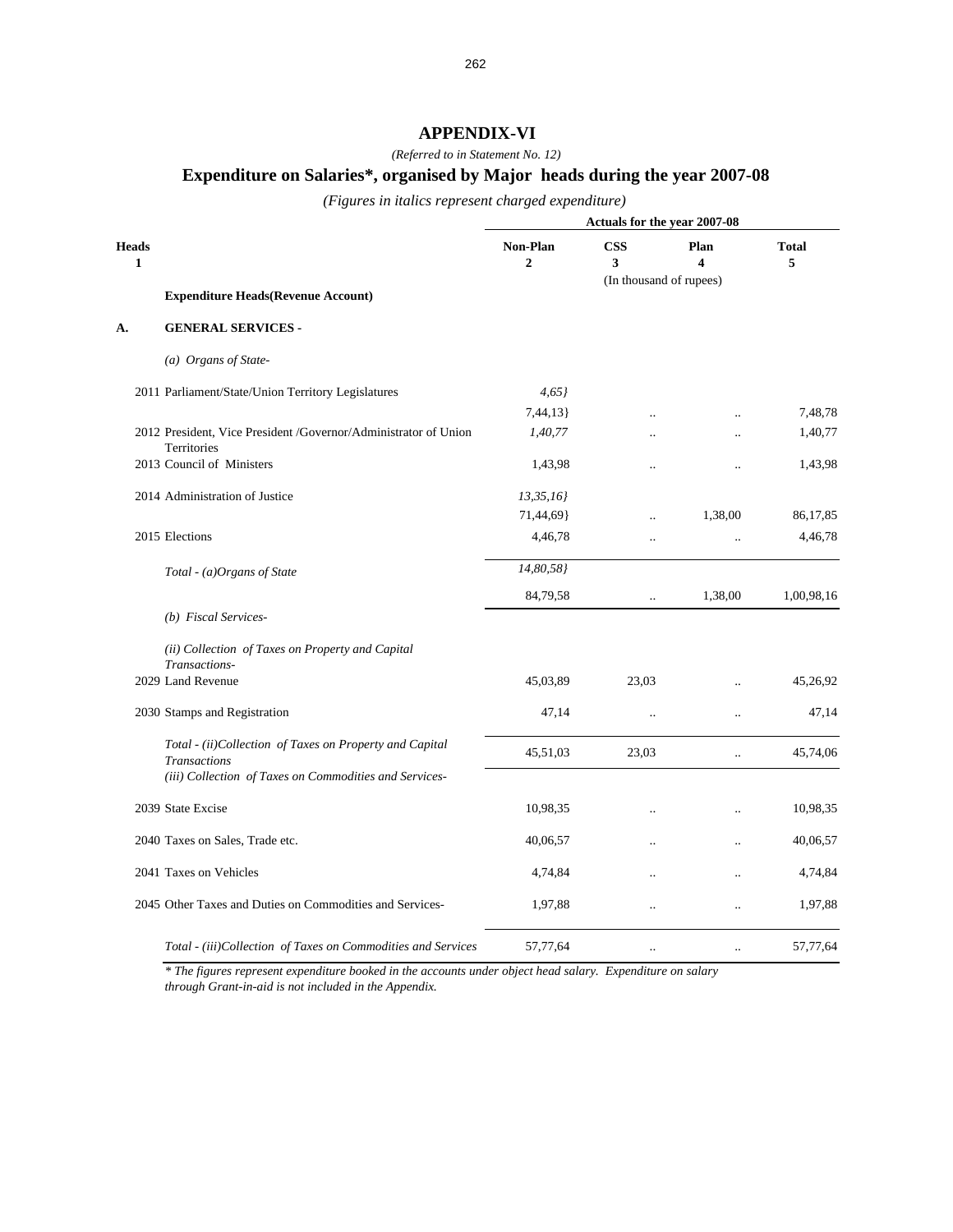## **APPENDIX-VI**

*(Referred to in Statement No. 12)*

# **Expenditure on Salaries\*, organised by Major heads during the year 2007-08**

*(Figures in italics represent charged expenditure)*

|                       |                                                                                | Actuals for the year 2007-08 |                         |                      |                   |
|-----------------------|--------------------------------------------------------------------------------|------------------------------|-------------------------|----------------------|-------------------|
| Heads<br>$\mathbf{1}$ |                                                                                | Non-Plan<br>$\mathbf{2}$     | $\mathbf{CSS}$<br>3     | Plan<br>4            | <b>Total</b><br>5 |
|                       | <b>Expenditure Heads (Revenue Account)</b>                                     |                              | (In thousand of rupees) |                      |                   |
| A.                    | <b>GENERAL SERVICES -</b>                                                      |                              |                         |                      |                   |
|                       | (a) Organs of State-                                                           |                              |                         |                      |                   |
|                       | 2011 Parliament/State/Union Territory Legislatures                             | 4,65}                        |                         |                      |                   |
|                       |                                                                                | 7,44,13                      |                         |                      | 7,48,78           |
|                       | 2012 President, Vice President /Governor/Administrator of Union<br>Territories | 1,40,77                      | $\ddot{\phantom{a}}$    | $\ddotsc$            | 1,40,77           |
|                       | 2013 Council of Ministers                                                      | 1,43,98                      |                         | $\ddot{\phantom{a}}$ | 1,43,98           |
|                       | 2014 Administration of Justice                                                 | 13,35,16                     |                         |                      |                   |
|                       |                                                                                | 71,44,69}                    | $\ddot{\phantom{a}}$    | 1,38,00              | 86,17,85          |
|                       | 2015 Elections                                                                 | 4,46,78                      | $\ddot{\phantom{a}}$    |                      | 4,46,78           |
|                       | Total - (a)Organs of State                                                     | 14,80,58                     |                         |                      |                   |
|                       |                                                                                | 84,79,58                     | $\ddot{\phantom{a}}$    | 1,38,00              | 1,00,98,16        |
|                       | (b) Fiscal Services-                                                           |                              |                         |                      |                   |
|                       | (ii) Collection of Taxes on Property and Capital<br>Transactions-              |                              |                         |                      |                   |
|                       | 2029 Land Revenue                                                              | 45,03,89                     | 23,03                   |                      | 45,26,92          |
|                       |                                                                                |                              |                         |                      |                   |
|                       | 2030 Stamps and Registration                                                   | 47,14                        | $\ddot{\phantom{a}}$    |                      | 47,14             |
|                       | Total - (ii)Collection of Taxes on Property and Capital<br><b>Transactions</b> | 45,51,03                     | 23,03                   | $\ddot{\phantom{a}}$ | 45,74,06          |
|                       | (iii) Collection of Taxes on Commodities and Services-                         |                              |                         |                      |                   |
|                       | 2039 State Excise                                                              | 10,98,35                     |                         |                      | 10,98,35          |
|                       | 2040 Taxes on Sales, Trade etc.                                                | 40,06,57                     |                         | $\ddot{\phantom{a}}$ | 40,06,57          |
|                       | 2041 Taxes on Vehicles                                                         | 4,74,84                      | $\ddot{\phantom{a}}$    |                      | 4,74,84           |
|                       | 2045 Other Taxes and Duties on Commodities and Services-                       | 1,97,88                      |                         | $\ddotsc$            | 1,97,88           |
|                       | Total - (iii)Collection of Taxes on Commodities and Services                   | 57,77,64                     | $\ddot{\phantom{0}}$    | $\ddotsc$            | 57,77,64          |
|                       |                                                                                |                              |                         |                      |                   |

*\* The figures represent expenditure booked in the accounts under object head salary. Expenditure on salary through Grant-in-aid is not included in the Appendix.*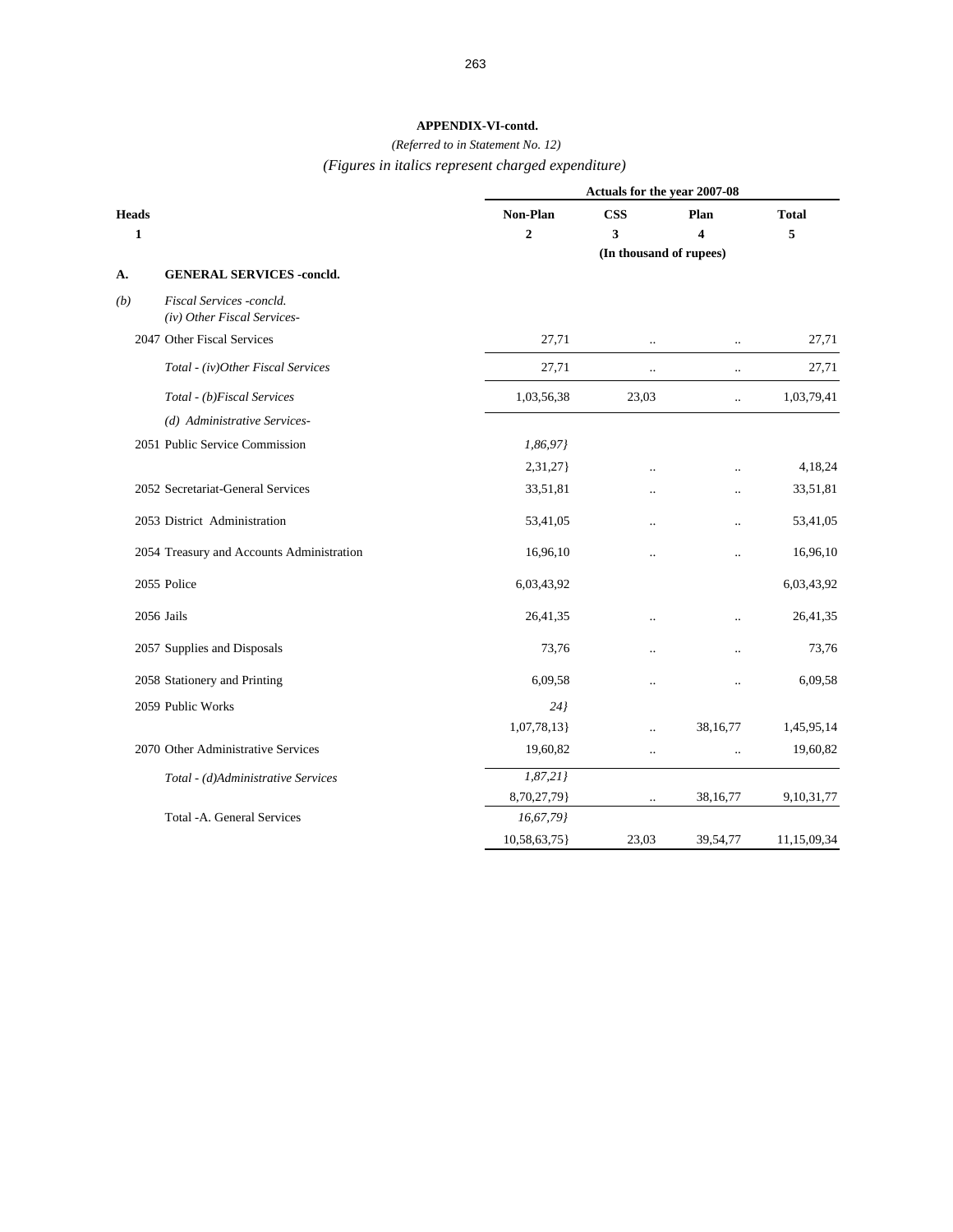## *(Referred to in Statement No. 12)*

*(Figures in italics represent charged expenditure)*

|              |                                                         | Actuals for the year 2007-08 |                         |                      |              |
|--------------|---------------------------------------------------------|------------------------------|-------------------------|----------------------|--------------|
| <b>Heads</b> |                                                         | Non-Plan                     | <b>CSS</b>              | Plan                 | <b>Total</b> |
| $\mathbf{1}$ |                                                         | $\overline{2}$               | 3                       | 4                    | 5            |
|              |                                                         |                              | (In thousand of rupees) |                      |              |
| А.           | <b>GENERAL SERVICES -concld.</b>                        |                              |                         |                      |              |
| (b)          | Fiscal Services -concld.<br>(iv) Other Fiscal Services- |                              |                         |                      |              |
|              | 2047 Other Fiscal Services                              | 27,71                        | $\ddot{\phantom{a}}$    |                      | 27,71        |
|              | Total - (iv)Other Fiscal Services                       | 27,71                        |                         | $\ddot{\phantom{a}}$ | 27,71        |
|              | Total - (b)Fiscal Services                              | 1,03,56,38                   | 23,03                   | $\ddot{\phantom{1}}$ | 1,03,79,41   |
|              | (d) Administrative Services-                            |                              |                         |                      |              |
|              | 2051 Public Service Commission                          | 1,86,97                      |                         |                      |              |
|              |                                                         | 2,31,27}                     | $\ddot{\phantom{a}}$    |                      | 4,18,24      |
|              | 2052 Secretariat-General Services                       | 33,51,81                     |                         | $\ddot{\phantom{a}}$ | 33,51,81     |
|              | 2053 District Administration                            | 53,41,05                     | $\ddot{\phantom{a}}$    | $\sim$               | 53,41,05     |
|              | 2054 Treasury and Accounts Administration               | 16,96,10                     |                         |                      | 16,96,10     |
|              | 2055 Police                                             | 6,03,43,92                   |                         |                      | 6,03,43,92   |
|              | 2056 Jails                                              | 26,41,35                     |                         |                      | 26,41,35     |
|              | 2057 Supplies and Disposals                             | 73,76                        |                         |                      | 73,76        |
|              | 2058 Stationery and Printing                            | 6,09,58                      | $\ddot{\phantom{a}}$    |                      | 6,09,58      |
|              | 2059 Public Works                                       | 24                           |                         |                      |              |
|              |                                                         | 1,07,78,13                   | $\ddot{\phantom{a}}$    | 38,16,77             | 1,45,95,14   |
|              | 2070 Other Administrative Services                      | 19,60,82                     | $\ddotsc$               | $\ddot{\phantom{a}}$ | 19,60,82     |
|              | Total - (d)Administrative Services                      | 1,87,21                      |                         |                      |              |
|              |                                                         | 8,70,27,79}                  |                         | 38,16,77             | 9,10,31,77   |
|              | Total - A. General Services                             | 16,67,79}                    |                         |                      |              |
|              |                                                         | 10,58,63,75}                 | 23,03                   | 39,54,77             | 11,15,09,34  |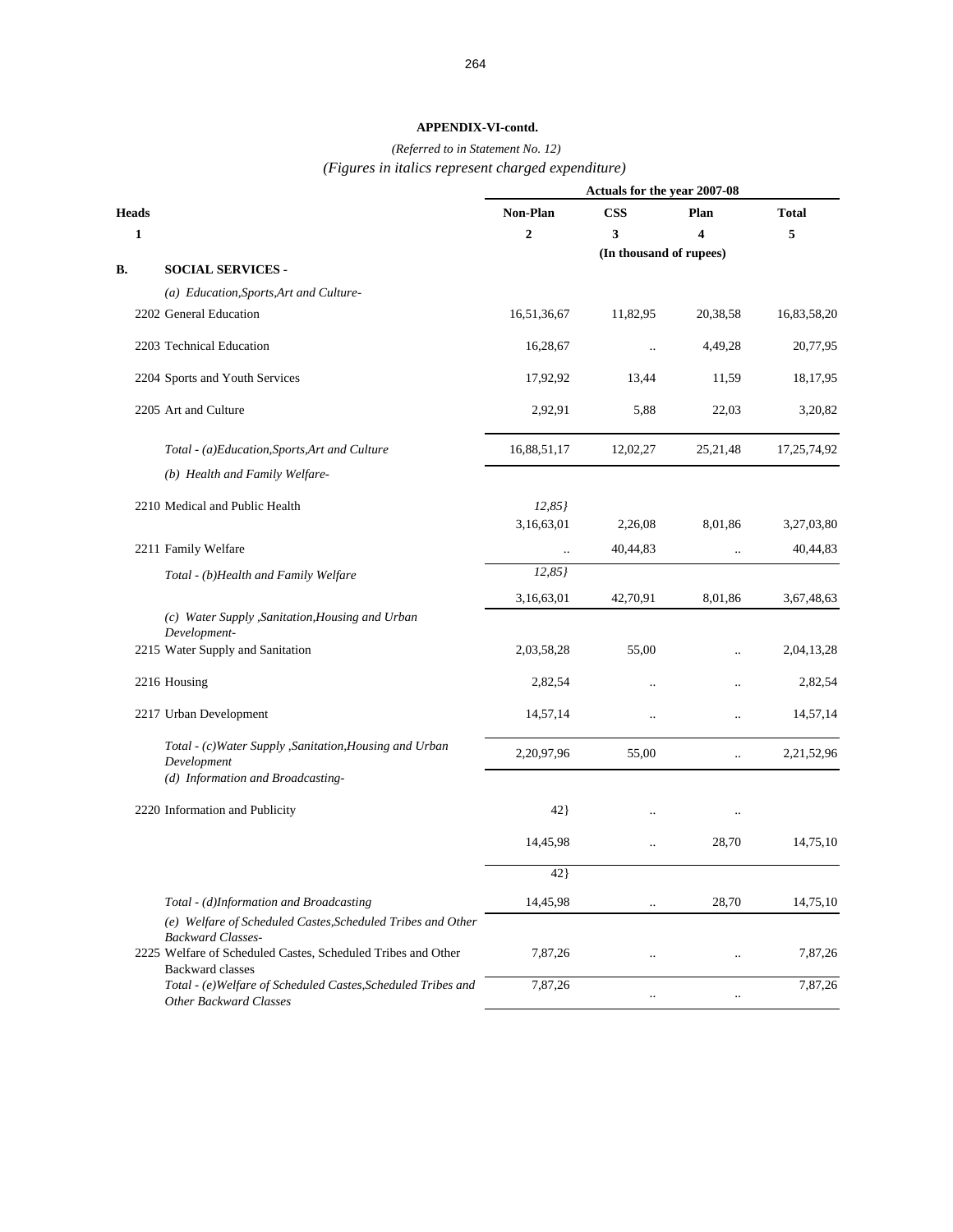## *(Referred to in Statement No. 12) (Figures in italics represent charged expenditure)*

|       |                                                                                               | Actuals for the year 2007-08 |                         |                      |              |
|-------|-----------------------------------------------------------------------------------------------|------------------------------|-------------------------|----------------------|--------------|
| Heads |                                                                                               | Non-Plan                     | <b>CSS</b>              | Plan                 | <b>Total</b> |
| 1     |                                                                                               | $\mathbf{2}$                 | 3                       | 4                    | 5            |
| В.    | <b>SOCIAL SERVICES -</b>                                                                      |                              | (In thousand of rupees) |                      |              |
|       |                                                                                               |                              |                         |                      |              |
|       | (a) Education, Sports, Art and Culture-<br>2202 General Education                             | 16,51,36,67                  | 11,82,95                | 20,38,58             | 16,83,58,20  |
|       |                                                                                               |                              |                         |                      |              |
|       | 2203 Technical Education                                                                      | 16,28,67                     | $\ddot{\phantom{a}}$    | 4,49,28              | 20,77,95     |
|       | 2204 Sports and Youth Services                                                                | 17,92,92                     | 13,44                   | 11,59                | 18,17,95     |
|       | 2205 Art and Culture                                                                          | 2,92,91                      | 5,88                    | 22,03                | 3,20,82      |
|       | Total - (a)Education, Sports, Art and Culture                                                 | 16,88,51,17                  | 12,02,27                | 25, 21, 48           | 17,25,74,92  |
|       | (b) Health and Family Welfare-                                                                |                              |                         |                      |              |
|       | 2210 Medical and Public Health                                                                | 12,85                        |                         |                      |              |
|       |                                                                                               | 3,16,63,01                   | 2,26,08                 | 8,01,86              | 3,27,03,80   |
|       | 2211 Family Welfare                                                                           | $\ddot{\phantom{a}}$         | 40,44,83                | $\ddot{\phantom{a}}$ | 40,44,83     |
|       | Total - (b)Health and Family Welfare                                                          | 12,85                        |                         |                      |              |
|       |                                                                                               | 3,16,63,01                   | 42,70,91                | 8,01,86              | 3,67,48,63   |
|       | (c) Water Supply , Sanitation, Housing and Urban<br>Development-                              |                              |                         |                      |              |
|       | 2215 Water Supply and Sanitation                                                              | 2,03,58,28                   | 55,00                   |                      | 2,04,13,28   |
|       | 2216 Housing                                                                                  | 2,82,54                      |                         |                      | 2,82,54      |
|       | 2217 Urban Development                                                                        | 14,57,14                     | $\ddot{\phantom{a}}$    | $\ddot{\phantom{a}}$ | 14,57,14     |
|       | Total - (c)Water Supply , Sanitation, Housing and Urban<br>Development                        | 2,20,97,96                   | 55,00                   | $\ddot{\phantom{a}}$ | 2,21,52,96   |
|       | (d) Information and Broadcasting-                                                             |                              |                         |                      |              |
|       | 2220 Information and Publicity                                                                | $42$ }                       |                         | $\ddotsc$            |              |
|       |                                                                                               | 14,45,98                     | $\ddot{\phantom{a}}$    | 28,70                | 14,75,10     |
|       |                                                                                               | 42}                          |                         |                      |              |
|       | Total - (d)Information and Broadcasting                                                       | 14,45,98                     | $\cdot$ .               | 28,70                | 14,75,10     |
|       | (e) Welfare of Scheduled Castes, Scheduled Tribes and Other<br><b>Backward Classes-</b>       |                              |                         |                      |              |
|       | 2225 Welfare of Scheduled Castes, Scheduled Tribes and Other<br><b>Backward classes</b>       | 7,87,26                      |                         |                      | 7,87,26      |
|       | Total - (e)Welfare of Scheduled Castes, Scheduled Tribes and<br><b>Other Backward Classes</b> | 7,87,26                      |                         | $\ldots$             | 7,87,26      |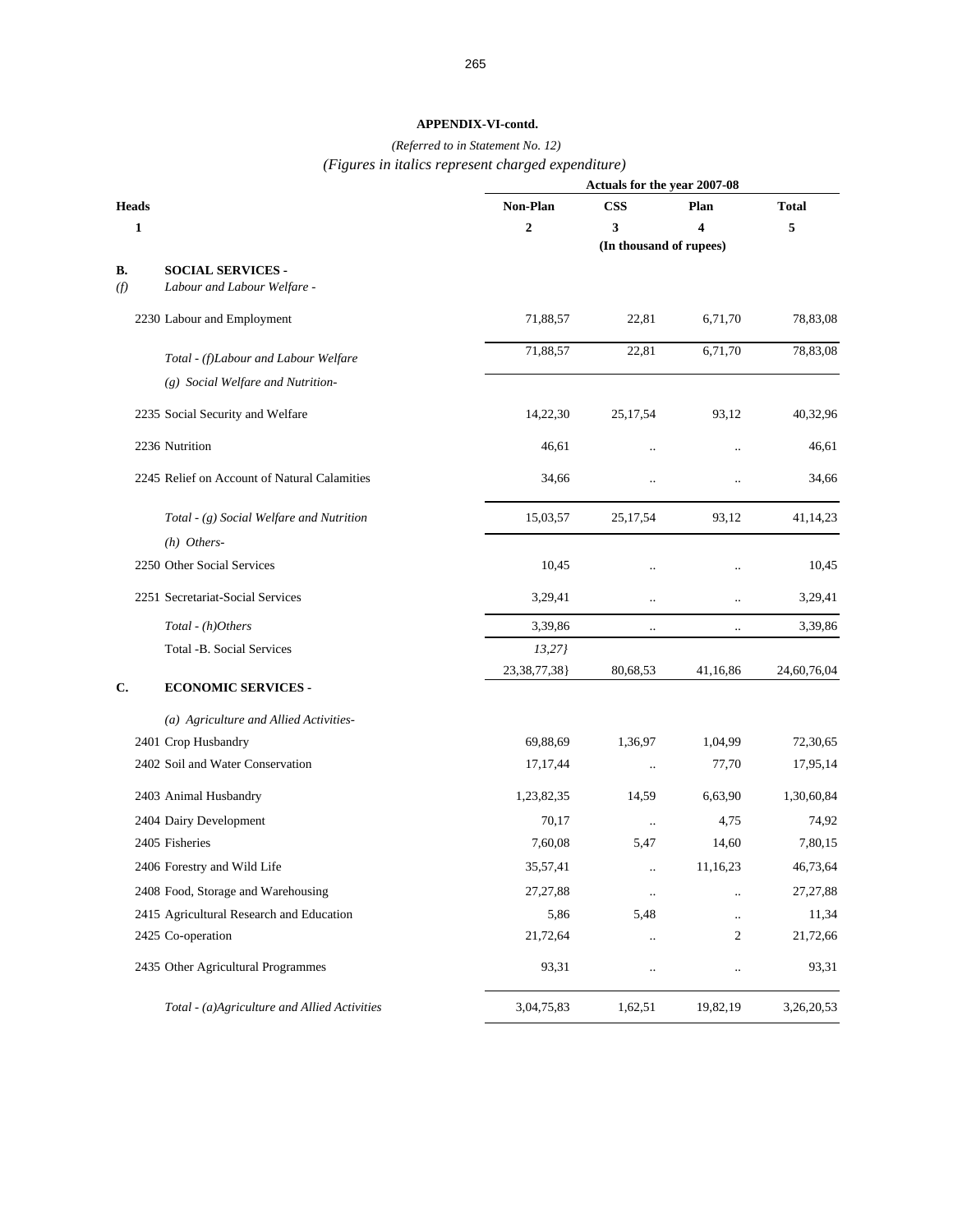## *(Figures in italics represent charged expenditure) (Referred to in Statement No. 12)*

|              |                                                         | Actuals for the year 2007-08 |                         |                         |              |
|--------------|---------------------------------------------------------|------------------------------|-------------------------|-------------------------|--------------|
| <b>Heads</b> |                                                         | Non-Plan                     | <b>CSS</b>              | Plan                    | <b>Total</b> |
| $\mathbf{1}$ |                                                         | $\overline{2}$               | 3                       | $\overline{\mathbf{4}}$ | 5            |
|              |                                                         |                              | (In thousand of rupees) |                         |              |
| В.<br>(f)    | <b>SOCIAL SERVICES -</b><br>Labour and Labour Welfare - |                              |                         |                         |              |
|              | 2230 Labour and Employment                              | 71,88,57                     | 22,81                   | 6,71,70                 | 78,83,08     |
|              | Total - (f)Labour and Labour Welfare                    | 71,88,57                     | 22,81                   | 6,71,70                 | 78,83,08     |
|              | (g) Social Welfare and Nutrition-                       |                              |                         |                         |              |
|              | 2235 Social Security and Welfare                        | 14,22,30                     | 25,17,54                | 93,12                   | 40,32,96     |
|              | 2236 Nutrition                                          | 46,61                        | $\ddot{\phantom{a}}$    | $\ddotsc$               | 46,61        |
|              | 2245 Relief on Account of Natural Calamities            | 34,66                        | $\ddotsc$               |                         | 34,66        |
|              | Total - (g) Social Welfare and Nutrition                | 15,03,57                     | 25, 17, 54              | 93,12                   | 41,14,23     |
|              | $(h)$ Others-                                           |                              |                         |                         |              |
|              | 2250 Other Social Services                              | 10,45                        |                         |                         | 10,45        |
|              | 2251 Secretariat-Social Services                        | 3,29,41                      | $\ddotsc$               | $\ddot{\phantom{a}}$    | 3,29,41      |
|              | Total - (h)Others                                       | 3,39,86                      | $\ldots$                | $\ldots$                | 3,39,86      |
|              | Total -B. Social Services                               | 13,27                        |                         |                         |              |
|              |                                                         | 23, 38, 77, 38}              | 80,68,53                | 41,16,86                | 24,60,76,04  |
| C.           | <b>ECONOMIC SERVICES -</b>                              |                              |                         |                         |              |
|              | (a) Agriculture and Allied Activities-                  |                              |                         |                         |              |
|              | 2401 Crop Husbandry                                     | 69,88,69                     | 1,36,97                 | 1,04,99                 | 72,30,65     |
|              | 2402 Soil and Water Conservation                        | 17, 17, 44                   | $\ldots$                | 77,70                   | 17,95,14     |
|              | 2403 Animal Husbandry                                   | 1,23,82,35                   | 14,59                   | 6,63,90                 | 1,30,60,84   |
|              | 2404 Dairy Development                                  | 70,17                        | $\ldots$                | 4,75                    | 74,92        |
|              | 2405 Fisheries                                          | 7,60,08                      | 5,47                    | 14,60                   | 7,80,15      |
|              | 2406 Forestry and Wild Life                             | 35,57,41                     | $\ldots$                | 11,16,23                | 46,73,64     |
|              | 2408 Food, Storage and Warehousing                      | 27,27,88                     | $\ldots$                |                         | 27, 27, 88   |
|              | 2415 Agricultural Research and Education                | 5,86                         | 5,48                    | $\ddotsc$               | 11,34        |
|              | 2425 Co-operation                                       | 21,72,64                     | $\ddot{\phantom{a}}$    | 2                       | 21,72,66     |
|              | 2435 Other Agricultural Programmes                      | 93,31                        | $\ldots$                | $\ldots$                | 93,31        |
|              | Total - (a)Agriculture and Allied Activities            | 3,04,75,83                   | 1,62,51                 | 19,82,19                | 3,26,20,53   |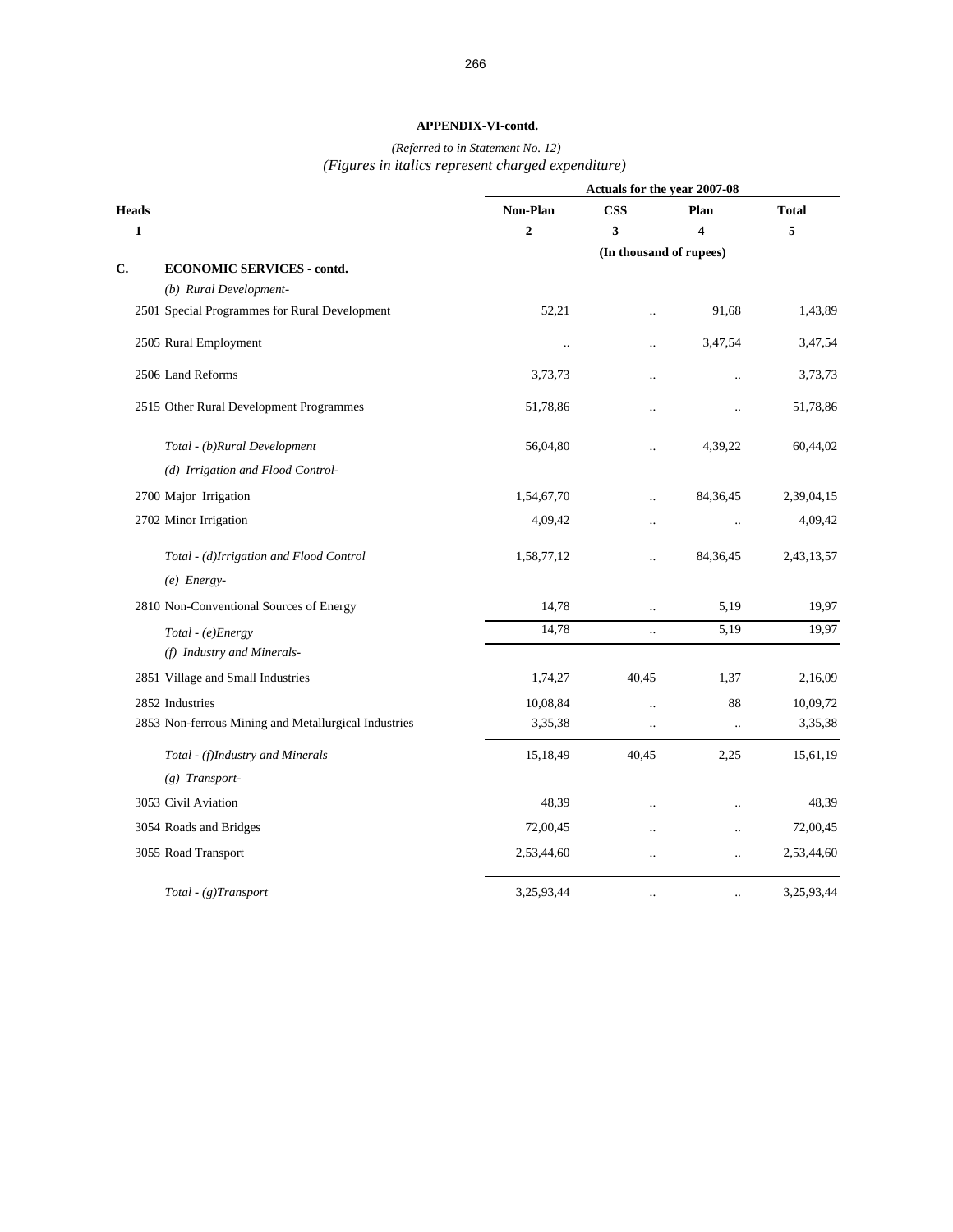## *(Referred to in Statement No. 12) (Figures in italics represent charged expenditure)*

|              |                                                      | Actuals for the year 2007-08 |                         |                      |              |  |
|--------------|------------------------------------------------------|------------------------------|-------------------------|----------------------|--------------|--|
| <b>Heads</b> |                                                      | Non-Plan                     | <b>CSS</b>              | Plan                 | <b>Total</b> |  |
| $\mathbf{1}$ |                                                      | $\overline{2}$               | 3                       | 4                    | 5            |  |
|              |                                                      |                              | (In thousand of rupees) |                      |              |  |
| C.           | <b>ECONOMIC SERVICES - contd.</b>                    |                              |                         |                      |              |  |
|              | (b) Rural Development-                               |                              |                         |                      |              |  |
|              | 2501 Special Programmes for Rural Development        | 52,21                        |                         | 91,68                | 1,43,89      |  |
|              | 2505 Rural Employment                                | $\ddot{\phantom{a}}$         |                         | 3,47,54              | 3,47,54      |  |
|              | 2506 Land Reforms                                    | 3,73,73                      | $\ddot{\phantom{a}}$    |                      | 3,73,73      |  |
|              | 2515 Other Rural Development Programmes              | 51,78,86                     | $\ddot{\phantom{a}}$    |                      | 51,78,86     |  |
|              | Total - (b)Rural Development                         | 56,04,80                     | $\ddotsc$               | 4,39,22              | 60,44,02     |  |
|              | (d) Irrigation and Flood Control-                    |                              |                         |                      |              |  |
|              | 2700 Major Irrigation                                | 1,54,67,70                   | $\ddot{\phantom{a}}$    | 84,36,45             | 2,39,04,15   |  |
|              | 2702 Minor Irrigation                                | 4,09,42                      | $\ddot{\phantom{a}}$    | $\ddot{\phantom{a}}$ | 4,09,42      |  |
|              | Total - (d)Irrigation and Flood Control              | 1,58,77,12                   | $\ddot{\phantom{a}}$    | 84, 36, 45           | 2,43,13,57   |  |
|              | $(e)$ Energy-                                        |                              |                         |                      |              |  |
|              | 2810 Non-Conventional Sources of Energy              | 14,78                        | $\ddot{\phantom{a}}$    | 5,19                 | 19,97        |  |
|              | Total - (e)Energy                                    | 14,78                        | $\ddot{\phantom{a}}$    | 5,19                 | 19,97        |  |
|              | (f) Industry and Minerals-                           |                              |                         |                      |              |  |
|              | 2851 Village and Small Industries                    | 1,74,27                      | 40,45                   | 1,37                 | 2,16,09      |  |
|              | 2852 Industries                                      | 10,08,84                     | $\ddotsc$               | 88                   | 10,09,72     |  |
|              | 2853 Non-ferrous Mining and Metallurgical Industries | 3,35,38                      | $\ddot{\phantom{a}}$    | $\ddot{\phantom{a}}$ | 3,35,38      |  |
|              | Total - (f)Industry and Minerals                     | 15,18,49                     | 40,45                   | 2,25                 | 15,61,19     |  |
|              | $(g)$ Transport-                                     |                              |                         |                      |              |  |
|              | 3053 Civil Aviation                                  | 48,39                        | $\ddot{\phantom{a}}$    | $\ddot{\phantom{a}}$ | 48,39        |  |
|              | 3054 Roads and Bridges                               | 72,00,45                     | $\ddot{\phantom{a}}$    | $\ddot{\phantom{a}}$ | 72,00,45     |  |
|              | 3055 Road Transport                                  | 2,53,44,60                   | $\ddot{\phantom{a}}$    |                      | 2,53,44,60   |  |
|              | $Total$ - $(g) Transform$                            | 3,25,93,44                   |                         | $\cdot$ .            | 3,25,93,44   |  |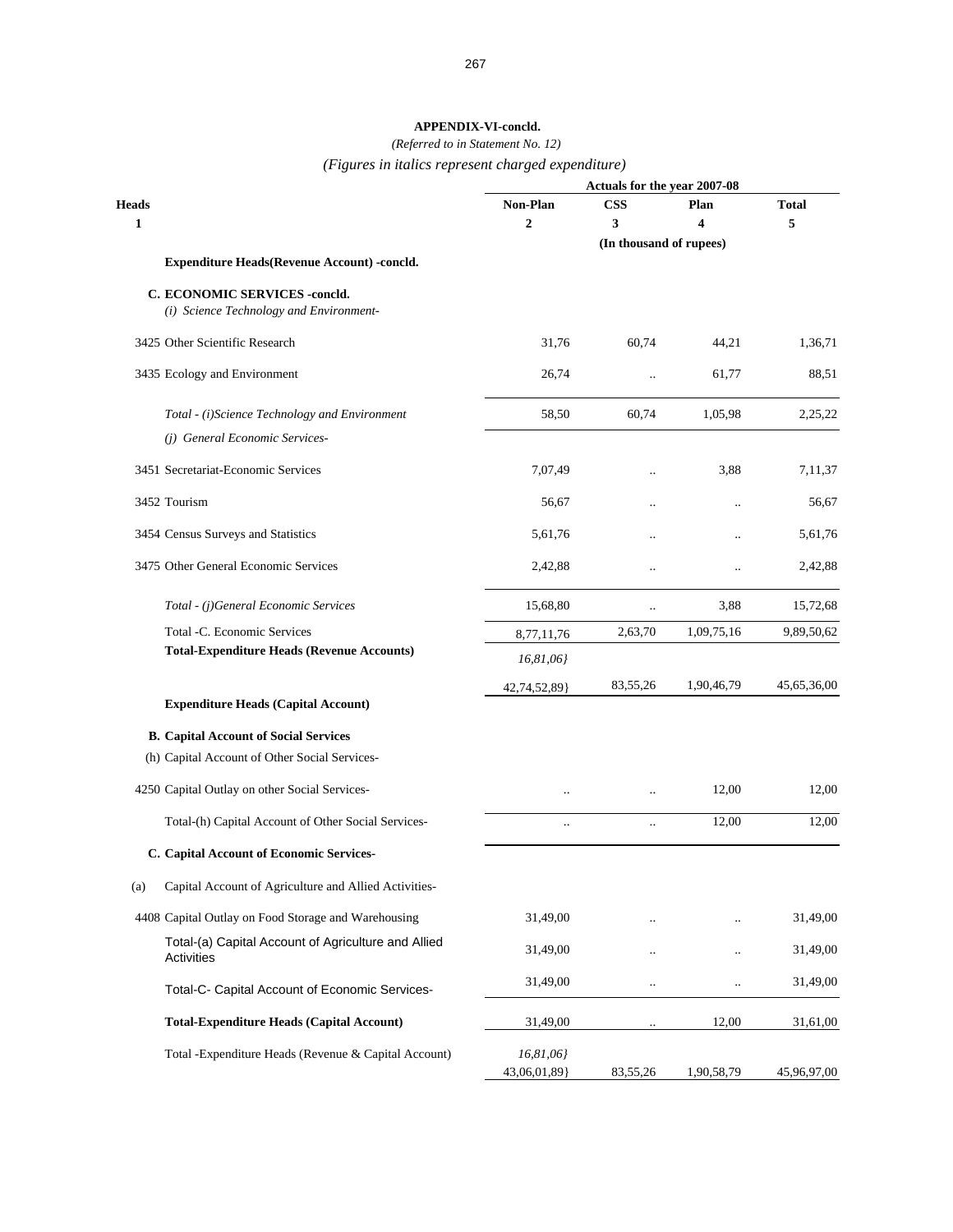## *(Referred to in Statement No. 12)*

*(Figures in italics represent charged expenditure)*

|                                                                          |              | Actuals for the year 2007-08 |                      |              |
|--------------------------------------------------------------------------|--------------|------------------------------|----------------------|--------------|
| <b>Heads</b>                                                             | Non-Plan     | <b>CSS</b>                   | Plan                 | <b>Total</b> |
| 1                                                                        | $\mathbf{2}$ | 3                            | 4                    | 5            |
|                                                                          |              | (In thousand of rupees)      |                      |              |
| <b>Expenditure Heads (Revenue Account) -concld.</b>                      |              |                              |                      |              |
| C. ECONOMIC SERVICES -concld.<br>(i) Science Technology and Environment- |              |                              |                      |              |
| 3425 Other Scientific Research                                           | 31,76        | 60,74                        | 44,21                | 1,36,71      |
| 3435 Ecology and Environment                                             | 26,74        | $\ddot{\phantom{a}}$         | 61,77                | 88,51        |
| Total - (i)Science Technology and Environment                            | 58,50        | 60,74                        | 1,05,98              | 2,25,22      |
| (j) General Economic Services-                                           |              |                              |                      |              |
| 3451 Secretariat-Economic Services                                       | 7,07,49      |                              | 3,88                 | 7,11,37      |
| 3452 Tourism                                                             | 56,67        | $\ddot{\phantom{a}}$         | $\ddot{\phantom{a}}$ | 56,67        |
| 3454 Census Surveys and Statistics                                       | 5,61,76      | $\ddot{\phantom{a}}$         | $\ddotsc$            | 5,61,76      |
| 3475 Other General Economic Services                                     | 2,42,88      |                              | $\ddotsc$            | 2,42,88      |
| Total - (j)General Economic Services                                     | 15,68,80     | $\ddot{\phantom{a}}$         | 3,88                 | 15,72,68     |
| Total -C. Economic Services                                              | 8,77,11,76   | 2,63,70                      | 1,09,75,16           | 9,89,50,62   |
| <b>Total-Expenditure Heads (Revenue Accounts)</b>                        | 16,81,06     |                              |                      |              |
|                                                                          | 42,74,52,89} | 83,55,26                     | 1,90,46,79           | 45,65,36,00  |
| <b>Expenditure Heads (Capital Account)</b>                               |              |                              |                      |              |
| <b>B. Capital Account of Social Services</b>                             |              |                              |                      |              |
| (h) Capital Account of Other Social Services-                            |              |                              |                      |              |
| 4250 Capital Outlay on other Social Services-                            |              |                              | 12,00                | 12,00        |
| Total-(h) Capital Account of Other Social Services-                      | $\ldots$     | $\ddotsc$                    | 12,00                | 12,00        |
| C. Capital Account of Economic Services-                                 |              |                              |                      |              |
| Capital Account of Agriculture and Allied Activities-<br>(a)             |              |                              |                      |              |
| 4408 Capital Outlay on Food Storage and Warehousing                      | 31,49,00     |                              |                      | 31,49,00     |
| Total-(a) Capital Account of Agriculture and Allied<br>Activities        | 31,49,00     |                              | $\ddot{\phantom{a}}$ | 31,49,00     |
| Total-C- Capital Account of Economic Services-                           | 31,49,00     | $\cdot$ .                    | $\ldots$             | 31,49,00     |
| <b>Total-Expenditure Heads (Capital Account)</b>                         | 31,49,00     |                              | 12,00                | 31,61,00     |
| Total - Expenditure Heads (Revenue & Capital Account)                    | 16, 81, 06   |                              |                      |              |
|                                                                          | 43,06,01,89} | 83,55,26                     | 1,90,58,79           | 45,96,97,00  |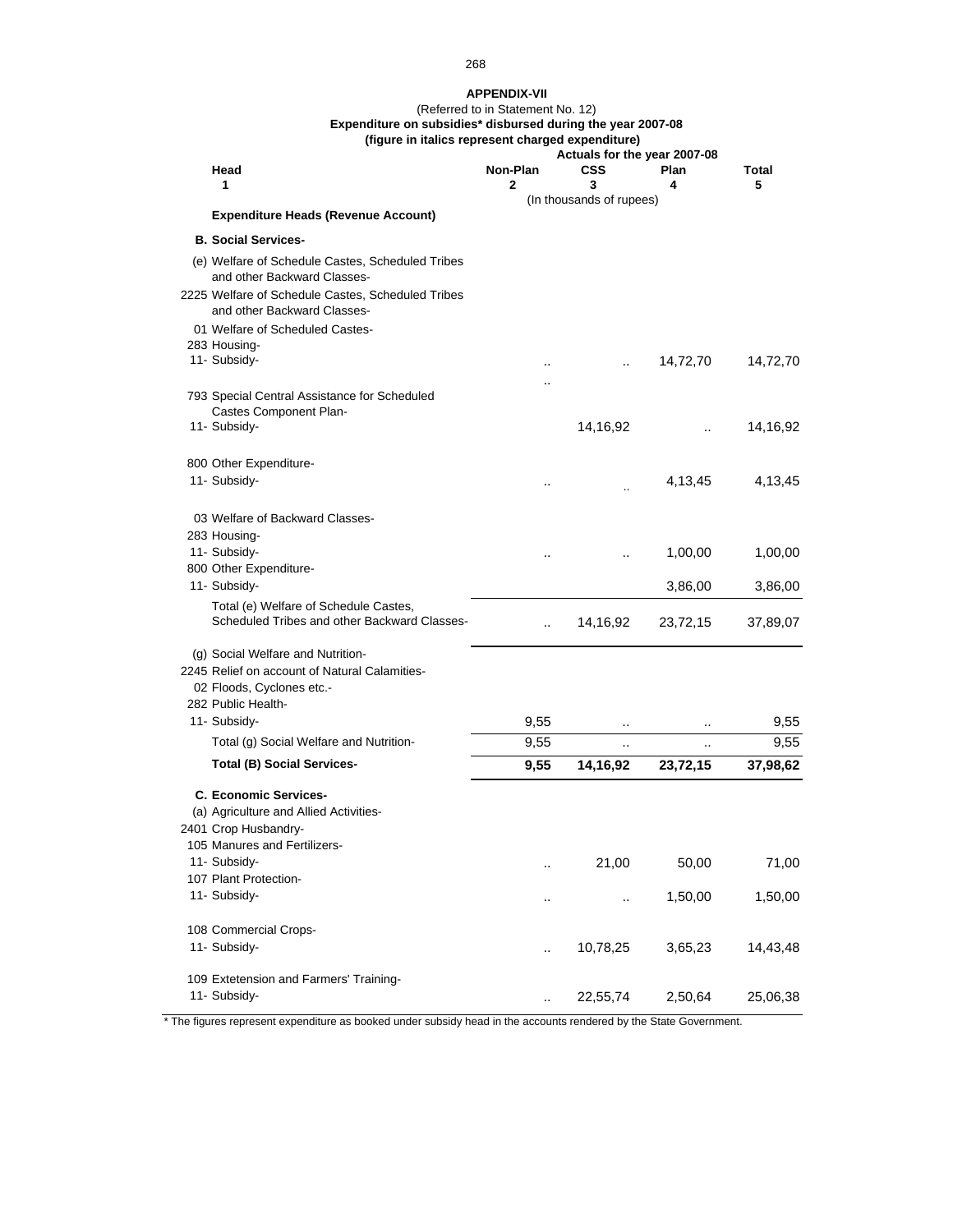## **APPENDIX-VII** (Referred to in Statement No. 12) **Expenditure on subsidies\* disbursed during the year 2007-08**

| (figure in italics represent charged expenditure)                                                                                     |                              |                          |          |          |  |
|---------------------------------------------------------------------------------------------------------------------------------------|------------------------------|--------------------------|----------|----------|--|
|                                                                                                                                       | Actuals for the year 2007-08 |                          |          |          |  |
| Head                                                                                                                                  | Non-Plan                     | <b>CSS</b>               | Plan     | Total    |  |
| 1                                                                                                                                     | $\mathbf{2}$                 | 3                        | 4        | 5        |  |
|                                                                                                                                       |                              | (In thousands of rupees) |          |          |  |
| <b>Expenditure Heads (Revenue Account)</b>                                                                                            |                              |                          |          |          |  |
| <b>B. Social Services-</b>                                                                                                            |                              |                          |          |          |  |
| (e) Welfare of Schedule Castes, Scheduled Tribes<br>and other Backward Classes-                                                       |                              |                          |          |          |  |
| 2225 Welfare of Schedule Castes, Scheduled Tribes<br>and other Backward Classes-                                                      |                              |                          |          |          |  |
| 01 Welfare of Scheduled Castes-<br>283 Housing-                                                                                       |                              |                          |          |          |  |
| 11- Subsidy-                                                                                                                          |                              | ä.                       | 14,72,70 | 14,72,70 |  |
| 793 Special Central Assistance for Scheduled<br>Castes Component Plan-                                                                |                              |                          |          |          |  |
| 11- Subsidy-                                                                                                                          |                              | 14,16,92                 |          | 14,16,92 |  |
| 800 Other Expenditure-                                                                                                                |                              |                          |          |          |  |
| 11- Subsidy-                                                                                                                          |                              |                          | 4,13,45  | 4,13,45  |  |
| 03 Welfare of Backward Classes-                                                                                                       |                              |                          |          |          |  |
| 283 Housing-                                                                                                                          |                              |                          |          |          |  |
| 11- Subsidy-                                                                                                                          |                              | ä.                       | 1,00,00  | 1,00,00  |  |
| 800 Other Expenditure-                                                                                                                |                              |                          |          |          |  |
| 11- Subsidy-                                                                                                                          |                              |                          | 3,86,00  | 3,86,00  |  |
| Total (e) Welfare of Schedule Castes,<br>Scheduled Tribes and other Backward Classes-                                                 | ä,                           | 14,16,92                 | 23,72,15 | 37,89,07 |  |
| (g) Social Welfare and Nutrition-<br>2245 Relief on account of Natural Calamities-<br>02 Floods, Cyclones etc.-<br>282 Public Health- |                              |                          |          |          |  |
| 11- Subsidy-                                                                                                                          | 9,55                         |                          |          | 9,55     |  |
| Total (g) Social Welfare and Nutrition-                                                                                               | 9,55                         |                          |          | 9,55     |  |
| <b>Total (B) Social Services-</b>                                                                                                     | 9,55                         | 14,16,92                 | 23,72,15 | 37,98,62 |  |
| <b>C. Economic Services-</b><br>(a) Agriculture and Allied Activities-<br>2401 Crop Husbandry-<br>105 Manures and Fertilizers-        |                              |                          |          |          |  |
| 11- Subsidy-                                                                                                                          |                              | 21,00                    | 50,00    | 71,00    |  |
| 107 Plant Protection-                                                                                                                 |                              |                          |          |          |  |
| 11- Subsidy-                                                                                                                          | ٠.                           | $\ddotsc$                | 1,50,00  | 1,50,00  |  |
| 108 Commercial Crops-                                                                                                                 |                              |                          |          |          |  |
| 11- Subsidy-                                                                                                                          | ٠.                           | 10,78,25                 | 3,65,23  | 14,43,48 |  |
| 109 Extetension and Farmers' Training-<br>11- Subsidy-                                                                                |                              | 22,55,74                 | 2,50,64  | 25,06,38 |  |
|                                                                                                                                       |                              |                          |          |          |  |

\* The figures represent expenditure as booked under subsidy head in the accounts rendered by the State Government.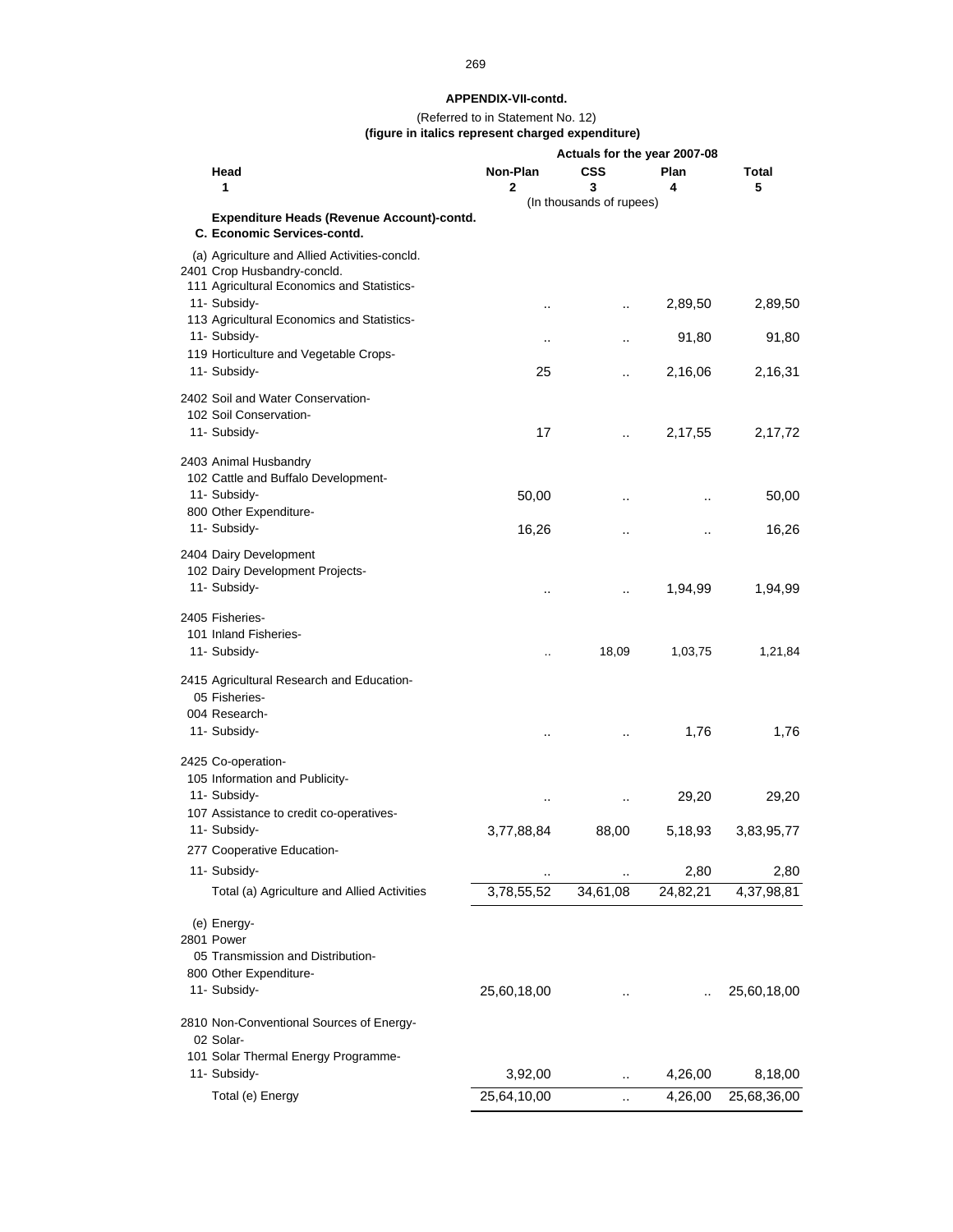#### (Referred to in Statement No. 12)  **(figure in italics represent charged expenditure)**

|                                                                                                                            |                | Actuals for the year 2007-08 |          |             |
|----------------------------------------------------------------------------------------------------------------------------|----------------|------------------------------|----------|-------------|
| Head                                                                                                                       | Non-Plan       | <b>CSS</b>                   | Plan     | Total       |
| 1                                                                                                                          | $\overline{2}$ | 3                            | 4        | 5           |
| Expenditure Heads (Revenue Account)-contd.                                                                                 |                | (In thousands of rupees)     |          |             |
| C. Economic Services-contd.                                                                                                |                |                              |          |             |
| (a) Agriculture and Allied Activities-concld.<br>2401 Crop Husbandry-concld.<br>111 Agricultural Economics and Statistics- |                |                              |          |             |
| 11- Subsidy-<br>113 Agricultural Economics and Statistics-                                                                 | $\ddotsc$      | $\ddot{\phantom{a}}$         | 2,89,50  | 2,89,50     |
| 11- Subsidy-<br>119 Horticulture and Vegetable Crops-                                                                      |                |                              | 91,80    | 91,80       |
| 11- Subsidy-                                                                                                               | 25             | $\ddot{\phantom{a}}$         | 2,16,06  | 2,16,31     |
| 2402 Soil and Water Conservation-<br>102 Soil Conservation-<br>11- Subsidy-                                                | 17             |                              |          |             |
|                                                                                                                            |                | $\ddot{\phantom{a}}$         | 2,17,55  | 2,17,72     |
| 2403 Animal Husbandry<br>102 Cattle and Buffalo Development-                                                               |                |                              |          |             |
| 11- Subsidy-<br>800 Other Expenditure-                                                                                     | 50,00          |                              | ٠.       | 50,00       |
| 11- Subsidy-                                                                                                               | 16,26          | $\ddot{\phantom{a}}$         | ٠.       | 16,26       |
| 2404 Dairy Development<br>102 Dairy Development Projects-<br>11- Subsidy-                                                  |                |                              |          | 1,94,99     |
|                                                                                                                            |                |                              | 1,94,99  |             |
| 2405 Fisheries-<br>101 Inland Fisheries-                                                                                   |                |                              |          |             |
| 11- Subsidy-                                                                                                               |                | 18,09                        | 1,03,75  | 1,21,84     |
| 2415 Agricultural Research and Education-<br>05 Fisheries-                                                                 |                |                              |          |             |
| 004 Research-<br>11- Subsidy-                                                                                              |                | $\ddot{\phantom{0}}$         | 1,76     | 1,76        |
| 2425 Co-operation-                                                                                                         |                |                              |          |             |
| 105 Information and Publicity-<br>11- Subsidy-                                                                             |                | $\ddotsc$                    | 29,20    | 29,20       |
| 107 Assistance to credit co-operatives-<br>11- Subsidy-                                                                    | 3,77,88,84     | 88,00                        | 5,18,93  | 3,83,95,77  |
| 277 Cooperative Education-<br>11- Subsidy-                                                                                 |                |                              | 2,80     | 2,80        |
| Total (a) Agriculture and Allied Activities                                                                                | 3,78,55,52     | 34,61,08                     | 24,82,21 | 4,37,98,81  |
| (e) Energy-<br>2801 Power<br>05 Transmission and Distribution-                                                             |                |                              |          |             |
| 800 Other Expenditure-<br>11- Subsidy-                                                                                     | 25,60,18,00    |                              |          | 25,60,18,00 |
| 2810 Non-Conventional Sources of Energy-<br>02 Solar-                                                                      |                |                              |          |             |
| 101 Solar Thermal Energy Programme-<br>11- Subsidy-                                                                        | 3,92,00        | ٠.                           | 4,26,00  | 8,18,00     |
| Total (e) Energy                                                                                                           | 25,64,10,00    |                              | 4,26,00  | 25,68,36,00 |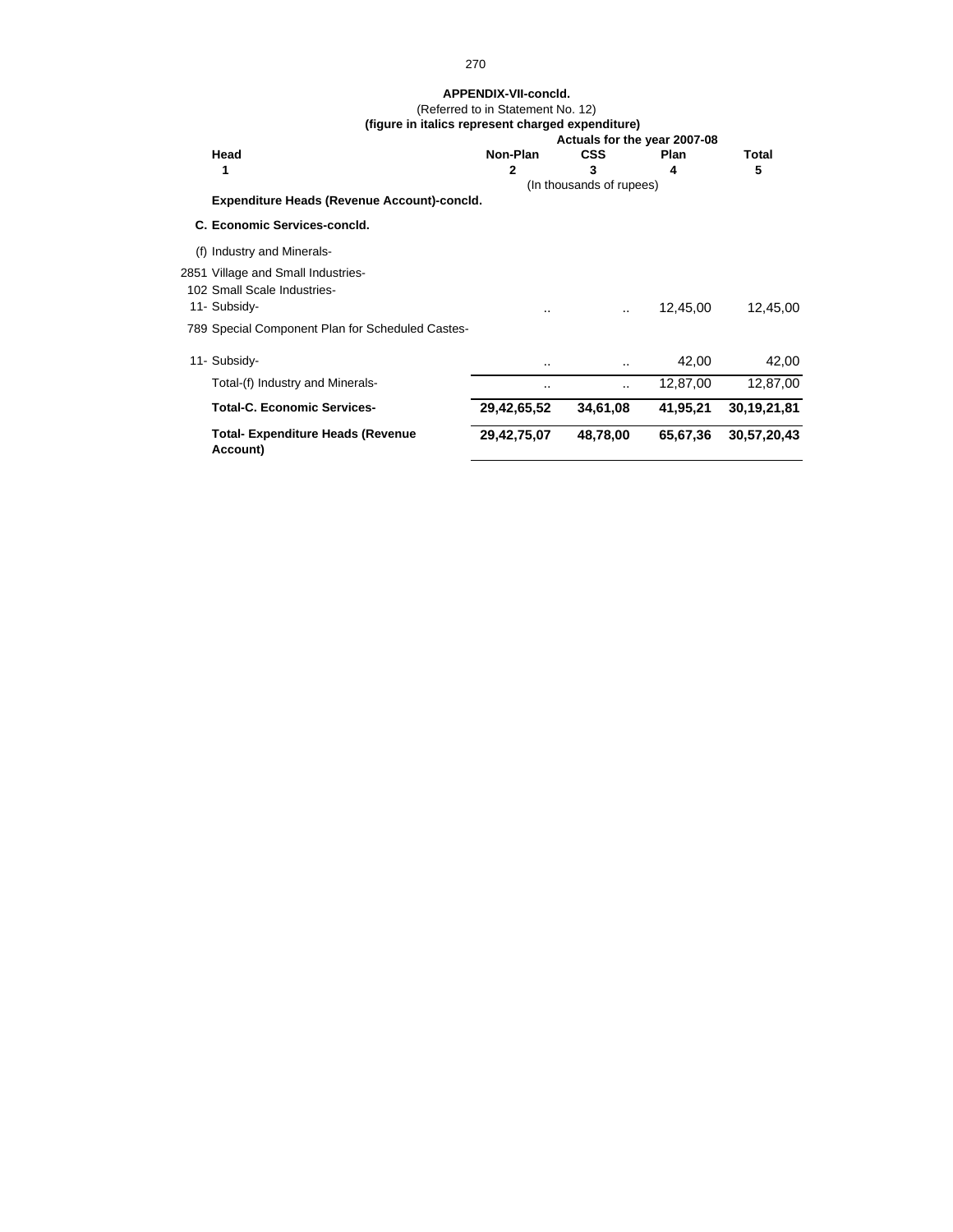#### **APPENDIX-VII-concld.** (Referred to in Statement No. 12)

|  |  | $(NEICHCHU UIII)$ ordinal to $(12)$ |                                              |
|--|--|-------------------------------------|----------------------------------------------|
|  |  |                                     | المستحدث والمستحام فيتحمم وسينت ومالحفا سأرب |

| (figure in italics represent charged expenditure)    |             |                              |          |             |
|------------------------------------------------------|-------------|------------------------------|----------|-------------|
|                                                      |             | Actuals for the year 2007-08 |          |             |
| Head                                                 | Non-Plan    | <b>CSS</b>                   | Plan     | Total       |
|                                                      | 2           | 3                            | 4        | 5           |
|                                                      |             | (In thousands of rupees)     |          |             |
| <b>Expenditure Heads (Revenue Account)-concid.</b>   |             |                              |          |             |
| C. Economic Services-concld.                         |             |                              |          |             |
| (f) Industry and Minerals-                           |             |                              |          |             |
| 2851 Village and Small Industries-                   |             |                              |          |             |
| 102 Small Scale Industries-                          |             |                              |          |             |
| 11- Subsidy-                                         |             |                              | 12,45,00 | 12,45,00    |
| 789 Special Component Plan for Scheduled Castes-     |             |                              |          |             |
| 11- Subsidy-                                         |             |                              | 42,00    | 42,00       |
| Total-(f) Industry and Minerals-                     |             |                              | 12,87,00 | 12,87,00    |
| <b>Total-C. Economic Services-</b>                   | 29,42,65,52 | 34,61,08                     | 41,95,21 | 30,19,21,81 |
| <b>Total- Expenditure Heads (Revenue</b><br>Account) | 29,42,75,07 | 48,78,00                     | 65,67,36 | 30,57,20,43 |
|                                                      |             |                              |          |             |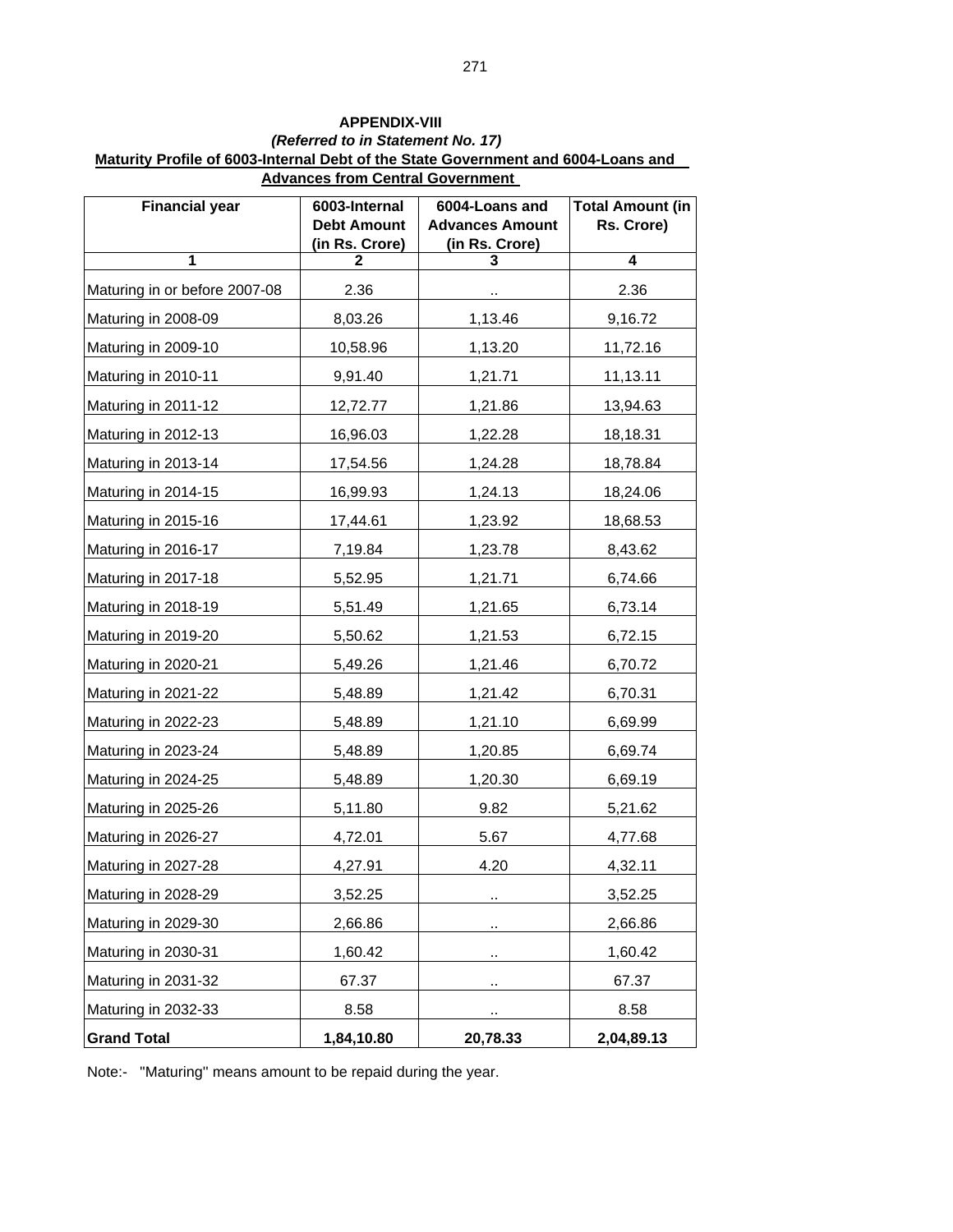| <b>Advances from Central Government</b> |                                                       |                                                            |                                       |  |  |  |
|-----------------------------------------|-------------------------------------------------------|------------------------------------------------------------|---------------------------------------|--|--|--|
| <b>Financial year</b>                   | 6003-Internal<br><b>Debt Amount</b><br>(in Rs. Crore) | 6004-Loans and<br><b>Advances Amount</b><br>(in Rs. Crore) | <b>Total Amount (in</b><br>Rs. Crore) |  |  |  |
| 1                                       |                                                       |                                                            | $\overline{\mathbf{4}}$               |  |  |  |
| Maturing in or before 2007-08           | 2.36                                                  |                                                            | 2.36                                  |  |  |  |
| Maturing in 2008-09                     | 8,03.26                                               | 1,13.46                                                    | 9,16.72                               |  |  |  |
| Maturing in 2009-10                     | 10,58.96                                              | 1,13.20                                                    | 11,72.16                              |  |  |  |
| Maturing in 2010-11                     | 9,91.40                                               | 1,21.71                                                    | 11,13.11                              |  |  |  |
| Maturing in 2011-12                     | 12,72.77                                              | 1,21.86                                                    | 13,94.63                              |  |  |  |
| Maturing in 2012-13                     | 16,96.03                                              | 1,22.28                                                    | 18,18.31                              |  |  |  |
| Maturing in 2013-14                     | 17,54.56                                              | 1,24.28                                                    | 18,78.84                              |  |  |  |
| Maturing in 2014-15                     | 16,99.93                                              | 1,24.13                                                    | 18,24.06                              |  |  |  |
| Maturing in 2015-16                     | 17,44.61                                              | 1,23.92                                                    | 18,68.53                              |  |  |  |
| Maturing in 2016-17                     | 7,19.84                                               | 1,23.78                                                    | 8,43.62                               |  |  |  |
| Maturing in 2017-18                     | 5,52.95                                               | 1,21.71                                                    | 6,74.66                               |  |  |  |
| Maturing in 2018-19                     | 5,51.49                                               | 1,21.65                                                    | 6,73.14                               |  |  |  |
| Maturing in 2019-20                     | 5,50.62                                               | 1,21.53                                                    | 6,72.15                               |  |  |  |
| Maturing in 2020-21                     | 5,49.26                                               | 1,21.46                                                    | 6,70.72                               |  |  |  |
| Maturing in 2021-22                     | 5,48.89                                               | 1,21.42                                                    | 6,70.31                               |  |  |  |
| Maturing in 2022-23                     | 5,48.89                                               | 1,21.10                                                    | 6,69.99                               |  |  |  |
| Maturing in 2023-24                     | 5,48.89                                               | 1,20.85                                                    | 6,69.74                               |  |  |  |
| Maturing in 2024-25                     | 5,48.89                                               | 1,20.30                                                    | 6,69.19                               |  |  |  |
| Maturing in 2025-26                     | 5,11.80                                               | 9.82                                                       | 5,21.62                               |  |  |  |
| Maturing in 2026-27                     | 4,72.01                                               | 5.67                                                       | 4,77.68                               |  |  |  |
| Maturing in 2027-28                     | 4,27.91                                               | 4.20                                                       | 4,32.11                               |  |  |  |
| Maturing in 2028-29                     | 3,52.25                                               |                                                            | 3,52.25                               |  |  |  |
| Maturing in 2029-30                     | 2,66.86                                               |                                                            | 2,66.86                               |  |  |  |
| Maturing in 2030-31                     | 1,60.42                                               |                                                            | 1,60.42                               |  |  |  |
| Maturing in 2031-32                     | 67.37                                                 |                                                            | 67.37                                 |  |  |  |
| Maturing in 2032-33                     | 8.58                                                  |                                                            | 8.58                                  |  |  |  |
| <b>Grand Total</b>                      | 1,84,10.80                                            | 20,78.33                                                   | 2,04,89.13                            |  |  |  |

**Maturity Profile of 6003-Internal Debt of the State Government and 6004-Loans and APPENDIX-VIII** *(Referred to in Statement No. 17)*

Note:- ''Maturing'' means amount to be repaid during the year.